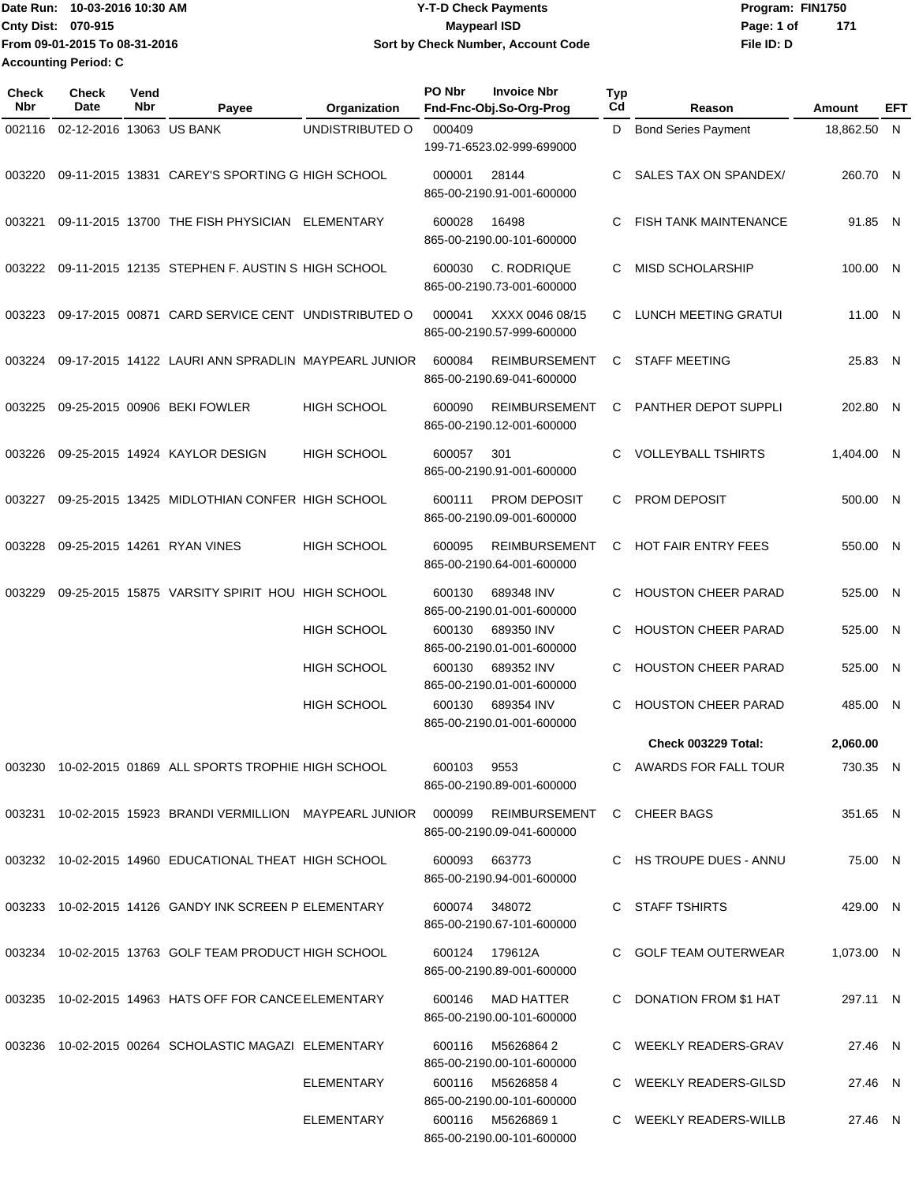Date Run: 10-03-2016 10:30 AM **CONSERVIA CONSERVIATES** Program: FIN1750 **Cnty Dist:** 070-915 **Page:** 1 of **File ID: D From 09-01-2015 To 08-31-2016 10-03-2016 10:30 AM Y-T-D Check Payments 070-915 Maypearl ISD Sort by Check Number, Account Code 171 Accounting Period: C**

| Check<br>Nbr | Check<br>Date            | Vend<br>Nbr | Payee                                                                 | Organization       | PO Nbr        | <b>Invoice Nbr</b><br>Fnd-Fnc-Obj.So-Org-Prog           | <b>Typ</b><br>Cd | Reason                       | Amount      | EFT |
|--------------|--------------------------|-------------|-----------------------------------------------------------------------|--------------------|---------------|---------------------------------------------------------|------------------|------------------------------|-------------|-----|
| 002116       | 02-12-2016 13063 US BANK |             |                                                                       | UNDISTRIBUTED O    | 000409        | 199-71-6523.02-999-699000                               | D                | <b>Bond Series Payment</b>   | 18,862.50 N |     |
| 003220       |                          |             | 09-11-2015 13831 CAREY'S SPORTING G HIGH SCHOOL                       |                    | 000001        | 28144<br>865-00-2190.91-001-600000                      | C                | SALES TAX ON SPANDEX/        | 260.70 N    |     |
| 003221       |                          |             | 09-11-2015 13700 THE FISH PHYSICIAN ELEMENTARY                        |                    | 600028        | 16498<br>865-00-2190.00-101-600000                      | C                | <b>FISH TANK MAINTENANCE</b> | 91.85 N     |     |
| 003222       |                          |             | 09-11-2015 12135 STEPHEN F. AUSTIN S HIGH SCHOOL                      |                    | 600030        | C. RODRIQUE<br>865-00-2190.73-001-600000                | C                | <b>MISD SCHOLARSHIP</b>      | 100.00 N    |     |
| 003223       |                          |             | 09-17-2015 00871 CARD SERVICE CENT UNDISTRIBUTED O                    |                    | 000041        | XXXX 0046 08/15<br>865-00-2190.57-999-600000            | C                | LUNCH MEETING GRATUI         | 11.00 N     |     |
| 003224       |                          |             | 09-17-2015 14122 LAURI ANN SPRADLIN MAYPEARL JUNIOR                   |                    | 600084        | REIMBURSEMENT<br>865-00-2190.69-041-600000              | C.               | <b>STAFF MEETING</b>         | 25.83 N     |     |
| 003225       |                          |             | 09-25-2015 00906 BEKI FOWLER                                          | <b>HIGH SCHOOL</b> | 600090        | <b>REIMBURSEMENT</b><br>865-00-2190.12-001-600000       | C                | PANTHER DEPOT SUPPLI         | 202.80 N    |     |
| 003226       |                          |             | 09-25-2015 14924 KAYLOR DESIGN                                        | <b>HIGH SCHOOL</b> | 600057        | 301<br>865-00-2190.91-001-600000                        | C                | <b>VOLLEYBALL TSHIRTS</b>    | 1,404.00 N  |     |
| 003227       |                          |             | 09-25-2015 13425 MIDLOTHIAN CONFER HIGH SCHOOL                        |                    | 600111        | <b>PROM DEPOSIT</b><br>865-00-2190.09-001-600000        | C                | PROM DEPOSIT                 | 500.00 N    |     |
| 003228       |                          |             | 09-25-2015 14261 RYAN VINES                                           | <b>HIGH SCHOOL</b> | 600095        | <b>REIMBURSEMENT</b><br>865-00-2190.64-001-600000       | C                | <b>HOT FAIR ENTRY FEES</b>   | 550.00 N    |     |
| 003229       |                          |             | 09-25-2015 15875 VARSITY SPIRIT HOU HIGH SCHOOL                       |                    | 600130        | 689348 INV<br>865-00-2190.01-001-600000                 | C                | <b>HOUSTON CHEER PARAD</b>   | 525.00 N    |     |
|              |                          |             |                                                                       | <b>HIGH SCHOOL</b> | 600130        | 689350 INV<br>865-00-2190.01-001-600000                 | C                | <b>HOUSTON CHEER PARAD</b>   | 525.00 N    |     |
|              |                          |             |                                                                       | <b>HIGH SCHOOL</b> | 600130        | 689352 INV<br>865-00-2190.01-001-600000                 | C                | <b>HOUSTON CHEER PARAD</b>   | 525.00 N    |     |
|              |                          |             |                                                                       | <b>HIGH SCHOOL</b> | 600130        | 689354 INV<br>865-00-2190.01-001-600000                 | C                | <b>HOUSTON CHEER PARAD</b>   | 485.00 N    |     |
|              |                          |             |                                                                       |                    |               |                                                         |                  | Check 003229 Total:          | 2.060.00    |     |
|              |                          |             | 003230 10-02-2015 01869 ALL SPORTS TROPHIE HIGH SCHOOL                |                    | 600103        | 9553<br>865-00-2190.89-001-600000                       |                  | C AWARDS FOR FALL TOUR       | 730.35 N    |     |
|              |                          |             | 003231  10-02-2015  15923  BRANDI VERMILLION  MAYPEARL JUNIOR  000099 |                    |               | REIMBURSEMENT C CHEER BAGS<br>865-00-2190.09-041-600000 |                  |                              | 351.65 N    |     |
|              |                          |             | 003232 10-02-2015 14960 EDUCATIONAL THEAT HIGH SCHOOL                 |                    | 600093 663773 | 865-00-2190.94-001-600000                               |                  | C HS TROUPE DUES - ANNU      | 75.00 N     |     |
|              |                          |             | 003233 10-02-2015 14126 GANDY INK SCREEN P ELEMENTARY                 |                    | 600074 348072 | 865-00-2190.67-101-600000                               |                  | C STAFF TSHIRTS              | 429.00 N    |     |
|              |                          |             | 003234 10-02-2015 13763 GOLF TEAM PRODUCT HIGH SCHOOL                 |                    |               | 600124 179612A<br>865-00-2190.89-001-600000             |                  | C GOLF TEAM OUTERWEAR        | 1,073.00 N  |     |
|              |                          |             | 003235 10-02-2015 14963 HATS OFF FOR CANCE ELEMENTARY                 |                    | 600146        | MAD HATTER<br>865-00-2190.00-101-600000                 |                  | C DONATION FROM \$1 HAT      | 297.11 N    |     |
|              |                          |             | 003236 10-02-2015 00264 SCHOLASTIC MAGAZI ELEMENTARY                  |                    |               | 600116 M5626864 2<br>865-00-2190.00-101-600000          |                  | C WEEKLY READERS-GRAV        | 27.46 N     |     |
|              |                          |             |                                                                       | ELEMENTARY         |               | 600116 M56268584<br>865-00-2190.00-101-600000           |                  | C WEEKLY READERS-GILSD       | 27.46 N     |     |
|              |                          |             |                                                                       | ELEMENTARY         |               | 600116 M5626869 1<br>865-00-2190.00-101-600000          |                  | C WEEKLY READERS-WILLB       | 27.46 N     |     |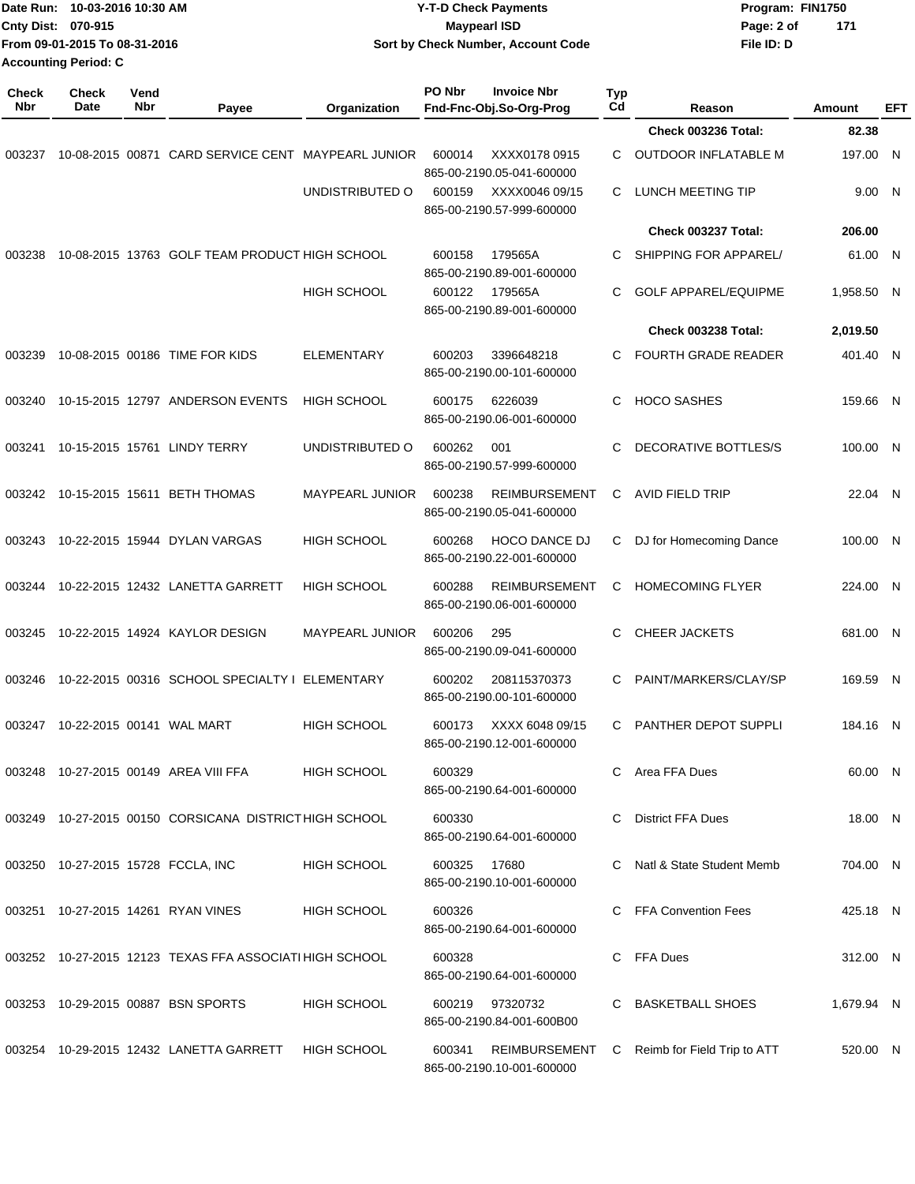|                     | Date Run: 10-03-2016 10:30 AM<br>Cnty Dist: 070-915<br>From 09-01-2015 To 08-31-2016<br><b>Accounting Period: C</b> |                    |                                                         |                        | <b>Y-T-D Check Payments</b><br><b>Maypearl ISD</b><br>Sort by Check Number, Account Code |                  |                               | Program: FIN1750<br>Page: 2 of<br>File ID: D | 171        |            |
|---------------------|---------------------------------------------------------------------------------------------------------------------|--------------------|---------------------------------------------------------|------------------------|------------------------------------------------------------------------------------------|------------------|-------------------------------|----------------------------------------------|------------|------------|
| <b>Check</b><br>Nbr | Check<br>Date                                                                                                       | Vend<br><b>Nbr</b> | Payee                                                   | Organization           | PO Nbr<br><b>Invoice Nbr</b><br>Fnd-Fnc-Obj.So-Org-Prog                                  | <b>Typ</b><br>Cd | Reason                        |                                              | Amount     | <b>EFT</b> |
|                     |                                                                                                                     |                    |                                                         |                        |                                                                                          |                  | Check 003236 Total:           |                                              | 82.38      |            |
| 003237              |                                                                                                                     |                    | 10-08-2015 00871 CARD SERVICE CENT MAYPEARL JUNIOR      |                        | XXXX0178 0915<br>600014<br>865-00-2190.05-041-600000                                     | C.               | OUTDOOR INFLATABLE M          |                                              | 197.00 N   |            |
|                     |                                                                                                                     |                    |                                                         | UNDISTRIBUTED O        | 600159<br>XXXX0046 09/15<br>865-00-2190.57-999-600000                                    | C                | LUNCH MEETING TIP             |                                              | 9.00 N     |            |
|                     |                                                                                                                     |                    |                                                         |                        |                                                                                          |                  | Check 003237 Total:           |                                              | 206.00     |            |
| 003238              |                                                                                                                     |                    | 10-08-2015 13763 GOLF TEAM PRODUCT HIGH SCHOOL          |                        | 179565A<br>600158<br>865-00-2190.89-001-600000                                           | C                | SHIPPING FOR APPAREL/         |                                              | 61.00 N    |            |
|                     |                                                                                                                     |                    |                                                         | <b>HIGH SCHOOL</b>     | 600122<br>179565A<br>865-00-2190.89-001-600000                                           | C                | <b>GOLF APPAREL/EQUIPME</b>   |                                              | 1,958.50 N |            |
|                     |                                                                                                                     |                    |                                                         |                        |                                                                                          |                  | Check 003238 Total:           |                                              | 2,019.50   |            |
| 003239              |                                                                                                                     |                    | 10-08-2015 00186 TIME FOR KIDS                          | <b>ELEMENTARY</b>      | 600203<br>3396648218<br>865-00-2190.00-101-600000                                        | C                | <b>FOURTH GRADE READER</b>    |                                              | 401.40 N   |            |
| 003240              |                                                                                                                     |                    | 10-15-2015 12797 ANDERSON EVENTS                        | <b>HIGH SCHOOL</b>     | 6226039<br>600175<br>865-00-2190.06-001-600000                                           | C                | <b>HOCO SASHES</b>            |                                              | 159.66 N   |            |
| 003241              |                                                                                                                     |                    | 10-15-2015 15761 LINDY TERRY                            | UNDISTRIBUTED O        | 600262<br>001<br>865-00-2190.57-999-600000                                               | C                | DECORATIVE BOTTLES/S          |                                              | 100.00 N   |            |
| 003242              |                                                                                                                     |                    | 10-15-2015 15611 BETH THOMAS                            | <b>MAYPEARL JUNIOR</b> | 600238<br><b>REIMBURSEMENT</b><br>865-00-2190.05-041-600000                              | C                | AVID FIELD TRIP               |                                              | 22.04 N    |            |
| 003243              |                                                                                                                     |                    | 10-22-2015 15944 DYLAN VARGAS                           | <b>HIGH SCHOOL</b>     | 600268<br><b>HOCO DANCE DJ</b><br>865-00-2190.22-001-600000                              | C                | DJ for Homecoming Dance       |                                              | 100.00 N   |            |
| 003244              |                                                                                                                     |                    | 10-22-2015 12432 LANETTA GARRETT                        | <b>HIGH SCHOOL</b>     | <b>REIMBURSEMENT</b><br>600288<br>865-00-2190.06-001-600000                              | C                | <b>HOMECOMING FLYER</b>       |                                              | 224.00 N   |            |
| 003245              |                                                                                                                     |                    | 10-22-2015 14924 KAYLOR DESIGN                          | <b>MAYPEARL JUNIOR</b> | 600206<br>295<br>865-00-2190.09-041-600000                                               | C                | <b>CHEER JACKETS</b>          |                                              | 681.00 N   |            |
|                     |                                                                                                                     |                    | 003246 10-22-2015 00316 SCHOOL SPECIALTY I ELEMENTARY   |                        | 600202<br>208115370373<br>865-00-2190.00-101-600000                                      |                  | C PAINT/MARKERS/CLAY/SP       |                                              | 169.59 N   |            |
|                     |                                                                                                                     |                    | 003247 10-22-2015 00141 WAL MART                        | <b>HIGH SCHOOL</b>     | 600173 XXXX 6048 09/15<br>865-00-2190.12-001-600000                                      |                  | C PANTHER DEPOT SUPPLI        |                                              | 184.16 N   |            |
|                     |                                                                                                                     |                    | 003248 10-27-2015 00149 AREA VIII FFA                   | <b>HIGH SCHOOL</b>     | 600329<br>865-00-2190.64-001-600000                                                      |                  | C Area FFA Dues               |                                              | 60.00 N    |            |
|                     |                                                                                                                     |                    | 003249 10-27-2015 00150 CORSICANA DISTRICT HIGH SCHOOL  |                        | 600330<br>865-00-2190.64-001-600000                                                      | C.               | <b>District FFA Dues</b>      |                                              | 18.00 N    |            |
|                     |                                                                                                                     |                    | 003250 10-27-2015 15728 FCCLA, INC                      | <b>HIGH SCHOOL</b>     | 600325<br>17680<br>865-00-2190.10-001-600000                                             |                  | Natl & State Student Memb     |                                              | 704.00 N   |            |
|                     |                                                                                                                     |                    | 003251 10-27-2015 14261 RYAN VINES                      | <b>HIGH SCHOOL</b>     | 600326<br>865-00-2190.64-001-600000                                                      |                  | C FFA Convention Fees         |                                              | 425.18 N   |            |
|                     |                                                                                                                     |                    | 003252 10-27-2015 12123 TEXAS FFA ASSOCIATI HIGH SCHOOL |                        | 600328<br>865-00-2190.64-001-600000                                                      |                  | C FFA Dues                    |                                              | 312.00 N   |            |
|                     |                                                                                                                     |                    | 003253 10-29-2015 00887 BSN SPORTS                      | <b>HIGH SCHOOL</b>     | 600219 97320732<br>865-00-2190.84-001-600B00                                             |                  | C BASKETBALL SHOES            |                                              | 1,679.94 N |            |
|                     |                                                                                                                     |                    | 003254 10-29-2015 12432 LANETTA GARRETT                 | HIGH SCHOOL            | 600341<br>REIMBURSEMENT<br>865-00-2190.10-001-600000                                     |                  | C Reimb for Field Trip to ATT |                                              | 520.00 N   |            |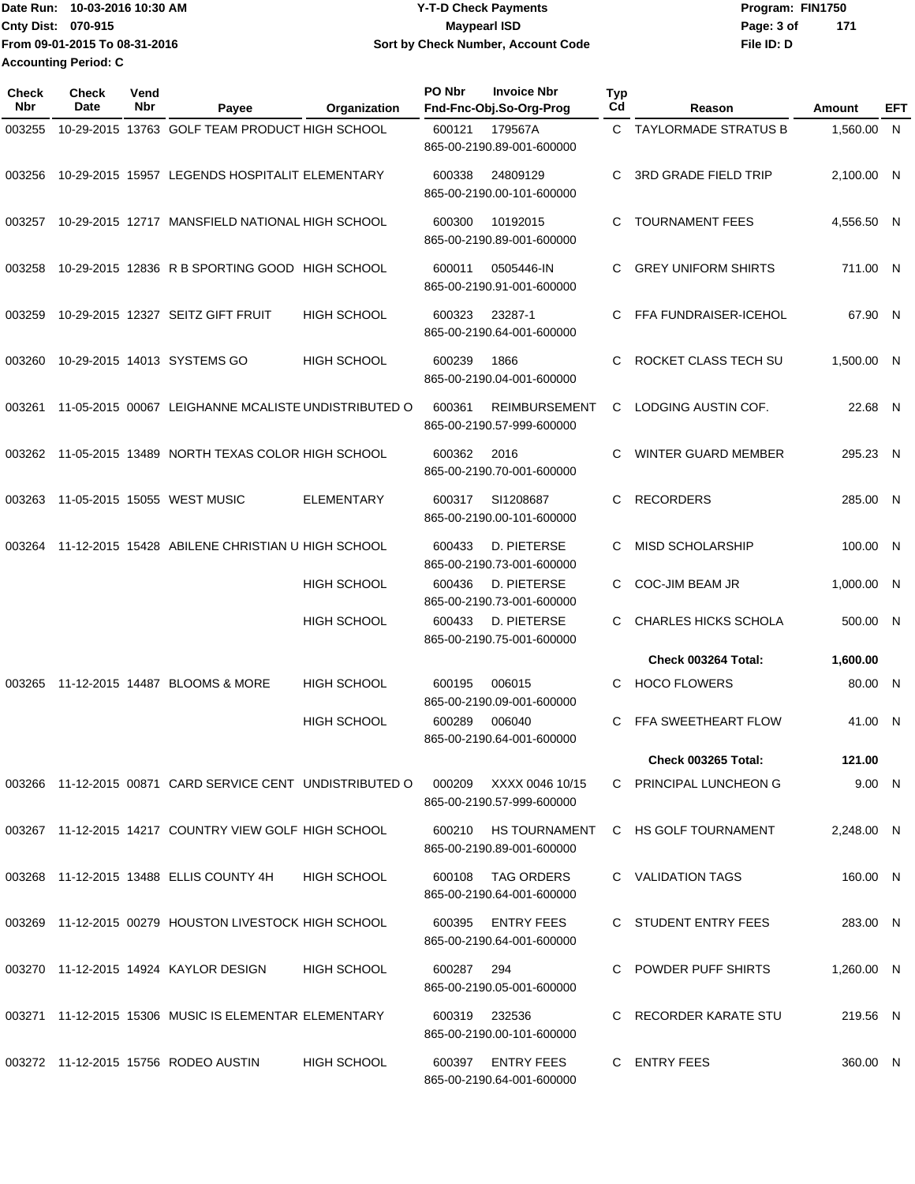|                           | lDate Run: 10-03-2016 10:30 AM | <b>Y-T-D Check Payments</b>        | Program: FIN1750  |  |
|---------------------------|--------------------------------|------------------------------------|-------------------|--|
| <b>Cnty Dist: 070-915</b> |                                | <b>Mavpearl ISD</b>                | 171<br>Page: 3 of |  |
|                           | From 09-01-2015 To 08-31-2016  | Sort by Check Number, Account Code | File ID: D        |  |
|                           | <b>Accounting Period: C</b>    |                                    |                   |  |

| Check<br>Nbr | <b>Check</b><br>Date | Vend<br>Nbr | Payee                                                     | Organization       | PO Nbr | <b>Invoice Nbr</b><br>Fnd-Fnc-Obj.So-Org-Prog     | <b>Typ</b><br>Cd | Reason                      | Amount     | EFT |
|--------------|----------------------|-------------|-----------------------------------------------------------|--------------------|--------|---------------------------------------------------|------------------|-----------------------------|------------|-----|
| 003255       |                      |             | 10-29-2015 13763 GOLF TEAM PRODUCT HIGH SCHOOL            |                    | 600121 | 179567A<br>865-00-2190.89-001-600000              |                  | C TAYLORMADE STRATUS B      | 1,560.00 N |     |
| 003256       |                      |             | 10-29-2015 15957 LEGENDS HOSPITALIT ELEMENTARY            |                    | 600338 | 24809129<br>865-00-2190.00-101-600000             | C                | <b>3RD GRADE FIELD TRIP</b> | 2,100.00 N |     |
| 003257       |                      |             | 10-29-2015 12717 MANSFIELD NATIONAL HIGH SCHOOL           |                    | 600300 | 10192015<br>865-00-2190.89-001-600000             | C                | <b>TOURNAMENT FEES</b>      | 4,556.50 N |     |
| 003258       |                      |             | 10-29-2015 12836 R B SPORTING GOOD HIGH SCHOOL            |                    | 600011 | 0505446-IN<br>865-00-2190.91-001-600000           | C                | <b>GREY UNIFORM SHIRTS</b>  | 711.00 N   |     |
| 003259       |                      |             | 10-29-2015 12327 SEITZ GIFT FRUIT                         | <b>HIGH SCHOOL</b> | 600323 | 23287-1<br>865-00-2190.64-001-600000              | C                | FFA FUNDRAISER-ICEHOL       | 67.90 N    |     |
| 003260       |                      |             | 10-29-2015 14013 SYSTEMS GO                               | <b>HIGH SCHOOL</b> | 600239 | 1866<br>865-00-2190.04-001-600000                 | C                | ROCKET CLASS TECH SU        | 1,500.00 N |     |
| 003261       |                      |             | 11-05-2015 00067 LEIGHANNE MCALISTE UNDISTRIBUTED O       |                    | 600361 | <b>REIMBURSEMENT</b><br>865-00-2190.57-999-600000 | C                | LODGING AUSTIN COF.         | 22.68 N    |     |
|              |                      |             | 003262 11-05-2015 13489 NORTH TEXAS COLOR HIGH SCHOOL     |                    | 600362 | 2016<br>865-00-2190.70-001-600000                 | C                | WINTER GUARD MEMBER         | 295.23 N   |     |
| 003263       |                      |             | 11-05-2015 15055 WEST MUSIC                               | <b>ELEMENTARY</b>  | 600317 | SI1208687<br>865-00-2190.00-101-600000            | C.               | <b>RECORDERS</b>            | 285.00 N   |     |
| 003264       |                      |             | 11-12-2015 15428 ABILENE CHRISTIAN U HIGH SCHOOL          |                    | 600433 | D. PIETERSE<br>865-00-2190.73-001-600000          | C                | <b>MISD SCHOLARSHIP</b>     | 100.00 N   |     |
|              |                      |             |                                                           | HIGH SCHOOL        | 600436 | D. PIETERSE<br>865-00-2190.73-001-600000          | C.               | <b>COC-JIM BEAM JR</b>      | 1,000.00 N |     |
|              |                      |             |                                                           | HIGH SCHOOL        | 600433 | D. PIETERSE<br>865-00-2190.75-001-600000          | C                | <b>CHARLES HICKS SCHOLA</b> | 500.00 N   |     |
|              |                      |             |                                                           |                    |        |                                                   |                  | Check 003264 Total:         | 1,600.00   |     |
| 003265       |                      |             | 11-12-2015 14487 BLOOMS & MORE                            | HIGH SCHOOL        | 600195 | 006015<br>865-00-2190.09-001-600000               | C                | <b>HOCO FLOWERS</b>         | 80.00 N    |     |
|              |                      |             |                                                           | <b>HIGH SCHOOL</b> | 600289 | 006040<br>865-00-2190.64-001-600000               | C                | FFA SWEETHEART FLOW         | 41.00 N    |     |
|              |                      |             |                                                           |                    |        |                                                   |                  | Check 003265 Total:         | 121.00     |     |
|              |                      |             | 003266 11-12-2015 00871 CARD SERVICE CENT UNDISTRIBUTED O |                    | 000209 | XXXX 0046 10/15<br>865-00-2190.57-999-600000      |                  | C PRINCIPAL LUNCHEON G      | 9.00 N     |     |
|              |                      |             | 003267 11-12-2015 14217 COUNTRY VIEW GOLF HIGH SCHOOL     |                    |        | 600210 HS TOURNAMENT<br>865-00-2190.89-001-600000 |                  | C HS GOLF TOURNAMENT        | 2,248.00 N |     |
|              |                      |             | 003268 11-12-2015 13488 ELLIS COUNTY 4H                   | <b>HIGH SCHOOL</b> | 600108 | TAG ORDERS<br>865-00-2190.64-001-600000           |                  | C VALIDATION TAGS           | 160.00 N   |     |
|              |                      |             | 003269 11-12-2015 00279 HOUSTON LIVESTOCK HIGH SCHOOL     |                    | 600395 | <b>ENTRY FEES</b><br>865-00-2190.64-001-600000    |                  | C STUDENT ENTRY FEES        | 283.00 N   |     |
|              |                      |             | 003270 11-12-2015 14924 KAYLOR DESIGN                     | <b>HIGH SCHOOL</b> | 600287 | 294<br>865-00-2190.05-001-600000                  |                  | POWDER PUFF SHIRTS          | 1,260.00 N |     |
|              |                      |             | 003271 11-12-2015 15306 MUSIC IS ELEMENTAR ELEMENTARY     |                    |        | 600319 232536<br>865-00-2190.00-101-600000        |                  | C RECORDER KARATE STU       | 219.56 N   |     |
|              |                      |             | 003272 11-12-2015 15756 RODEO AUSTIN                      | <b>HIGH SCHOOL</b> | 600397 | <b>ENTRY FEES</b><br>865-00-2190.64-001-600000    |                  | C ENTRY FEES                | 360.00 N   |     |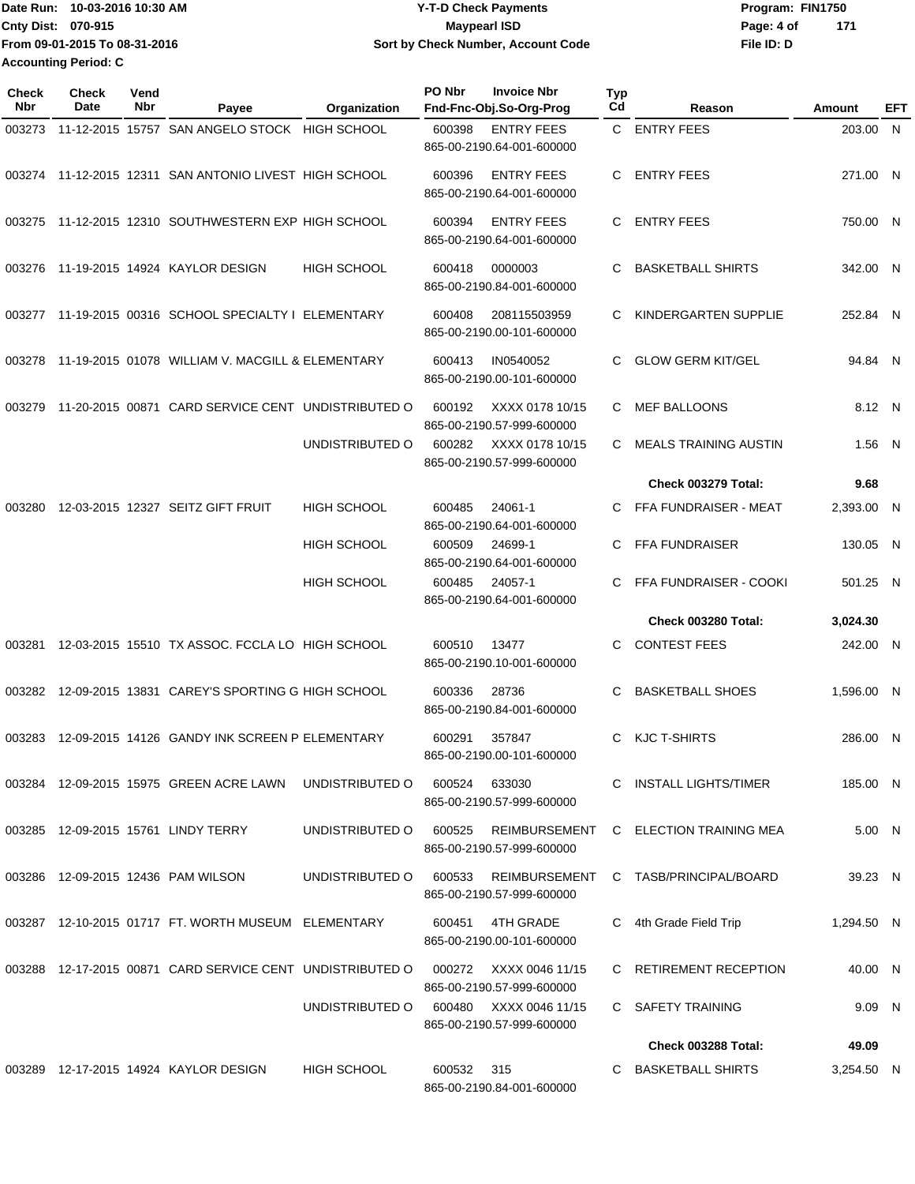| 'Date Run:                  | 10-03-2016 10:30 AM           | <b>Y-T-D Check Payments</b>        | Program: FIN1750 |     |
|-----------------------------|-------------------------------|------------------------------------|------------------|-----|
| <b>Cnty Dist: 070-915</b>   |                               | <b>Mavpearl ISD</b>                | Page: 4 of       | 171 |
|                             | From 09-01-2015 To 08-31-2016 | Sort by Check Number, Account Code | File ID: D       |     |
| <b>Accounting Period: C</b> |                               |                                    |                  |     |

| <b>Check</b><br>Nbr | <b>Check</b><br>Date | Vend<br>Nbr | Payee                                                     | Organization       | PO Nbr | <b>Invoice Nbr</b><br>Fnd-Fnc-Obj.So-Org-Prog  | <b>Typ</b><br>Cd | Reason                                | Amount     | EFT |
|---------------------|----------------------|-------------|-----------------------------------------------------------|--------------------|--------|------------------------------------------------|------------------|---------------------------------------|------------|-----|
| 003273              |                      |             | 11-12-2015 15757 SAN ANGELO STOCK HIGH SCHOOL             |                    | 600398 | <b>ENTRY FEES</b><br>865-00-2190.64-001-600000 |                  | C ENTRY FEES                          | 203.00 N   |     |
|                     |                      |             | 003274 11-12-2015 12311 SAN ANTONIO LIVEST HIGH SCHOOL    |                    | 600396 | <b>ENTRY FEES</b><br>865-00-2190.64-001-600000 | C                | <b>ENTRY FEES</b>                     | 271.00 N   |     |
| 003275              |                      |             | 11-12-2015 12310 SOUTHWESTERN EXP HIGH SCHOOL             |                    | 600394 | <b>ENTRY FEES</b><br>865-00-2190.64-001-600000 | C.               | <b>ENTRY FEES</b>                     | 750.00 N   |     |
| 003276              |                      |             | 11-19-2015 14924 KAYLOR DESIGN                            | <b>HIGH SCHOOL</b> | 600418 | 0000003<br>865-00-2190.84-001-600000           |                  | <b>BASKETBALL SHIRTS</b>              | 342.00 N   |     |
| 003277              |                      |             | 11-19-2015 00316 SCHOOL SPECIALTY I ELEMENTARY            |                    | 600408 | 208115503959<br>865-00-2190.00-101-600000      | C                | KINDERGARTEN SUPPLIE                  | 252.84 N   |     |
| 003278              |                      |             | 11-19-2015 01078 WILLIAM V. MACGILL & ELEMENTARY          |                    | 600413 | IN0540052<br>865-00-2190.00-101-600000         | C                | <b>GLOW GERM KIT/GEL</b>              | 94.84 N    |     |
| 003279              |                      |             | 11-20-2015 00871 CARD SERVICE CENT UNDISTRIBUTED O        |                    | 600192 | XXXX 0178 10/15<br>865-00-2190.57-999-600000   | C                | <b>MEF BALLOONS</b>                   | 8.12 N     |     |
|                     |                      |             |                                                           | UNDISTRIBUTED O    | 600282 | XXXX 0178 10/15<br>865-00-2190.57-999-600000   | C                | <b>MEALS TRAINING AUSTIN</b>          | $1.56$ N   |     |
|                     |                      |             |                                                           |                    |        |                                                |                  | <b>Check 003279 Total:</b>            | 9.68       |     |
| 003280              |                      |             | 12-03-2015 12327 SEITZ GIFT FRUIT                         | <b>HIGH SCHOOL</b> | 600485 | 24061-1<br>865-00-2190.64-001-600000           | C                | FFA FUNDRAISER - MEAT                 | 2,393.00 N |     |
|                     |                      |             |                                                           | <b>HIGH SCHOOL</b> | 600509 | 24699-1<br>865-00-2190.64-001-600000           | C                | <b>FFA FUNDRAISER</b>                 | 130.05 N   |     |
|                     |                      |             |                                                           | <b>HIGH SCHOOL</b> | 600485 | 24057-1<br>865-00-2190.64-001-600000           |                  | FFA FUNDRAISER - COOKI                | 501.25 N   |     |
|                     |                      |             |                                                           |                    |        |                                                |                  | <b>Check 003280 Total:</b>            | 3,024.30   |     |
| 003281              |                      |             | 12-03-2015 15510 TX ASSOC. FCCLA LO HIGH SCHOOL           |                    | 600510 | 13477<br>865-00-2190.10-001-600000             | C                | <b>CONTEST FEES</b>                   | 242.00 N   |     |
|                     |                      |             | 003282 12-09-2015 13831 CAREY'S SPORTING G HIGH SCHOOL    |                    | 600336 | 28736<br>865-00-2190.84-001-600000             | C                | <b>BASKETBALL SHOES</b>               | 1,596.00 N |     |
| 003283              |                      |             | 12-09-2015 14126 GANDY INK SCREEN P ELEMENTARY            |                    | 600291 | 357847<br>865-00-2190.00-101-600000            | C                | <b>KJC T-SHIRTS</b>                   | 286.00 N   |     |
|                     |                      |             | 003284 12-09-2015 15975 GREEN ACRE LAWN                   | UNDISTRIBUTED O    | 600524 | 633030<br>865-00-2190.57-999-600000            |                  | C INSTALL LIGHTS/TIMER                | 185.00 N   |     |
|                     |                      |             | 003285 12-09-2015 15761 LINDY TERRY                       | UNDISTRIBUTED O    | 600525 | 865-00-2190.57-999-600000                      |                  | REIMBURSEMENT C ELECTION TRAINING MEA | 5.00 N     |     |
|                     |                      |             | 003286 12-09-2015 12436 PAM WILSON                        | UNDISTRIBUTED O    | 600533 | REIMBURSEMENT<br>865-00-2190.57-999-600000     |                  | C TASB/PRINCIPAL/BOARD                | 39.23 N    |     |
|                     |                      |             | 003287 12-10-2015 01717 FT. WORTH MUSEUM ELEMENTARY       |                    | 600451 | 4TH GRADE<br>865-00-2190.00-101-600000         |                  | C 4th Grade Field Trip                | 1,294.50 N |     |
|                     |                      |             | 003288 12-17-2015 00871 CARD SERVICE CENT UNDISTRIBUTED O |                    | 000272 | XXXX 0046 11/15<br>865-00-2190.57-999-600000   |                  | C RETIREMENT RECEPTION                | 40.00 N    |     |
|                     |                      |             |                                                           | UNDISTRIBUTED O    | 600480 | XXXX 0046 11/15<br>865-00-2190.57-999-600000   |                  | C SAFETY TRAINING                     | 9.09 N     |     |
|                     |                      |             |                                                           |                    |        |                                                |                  | Check 003288 Total:                   | 49.09      |     |
|                     |                      |             | 003289 12-17-2015 14924 KAYLOR DESIGN                     | <b>HIGH SCHOOL</b> | 600532 | 315<br>865-00-2190.84-001-600000               |                  | C BASKETBALL SHIRTS                   | 3,254.50 N |     |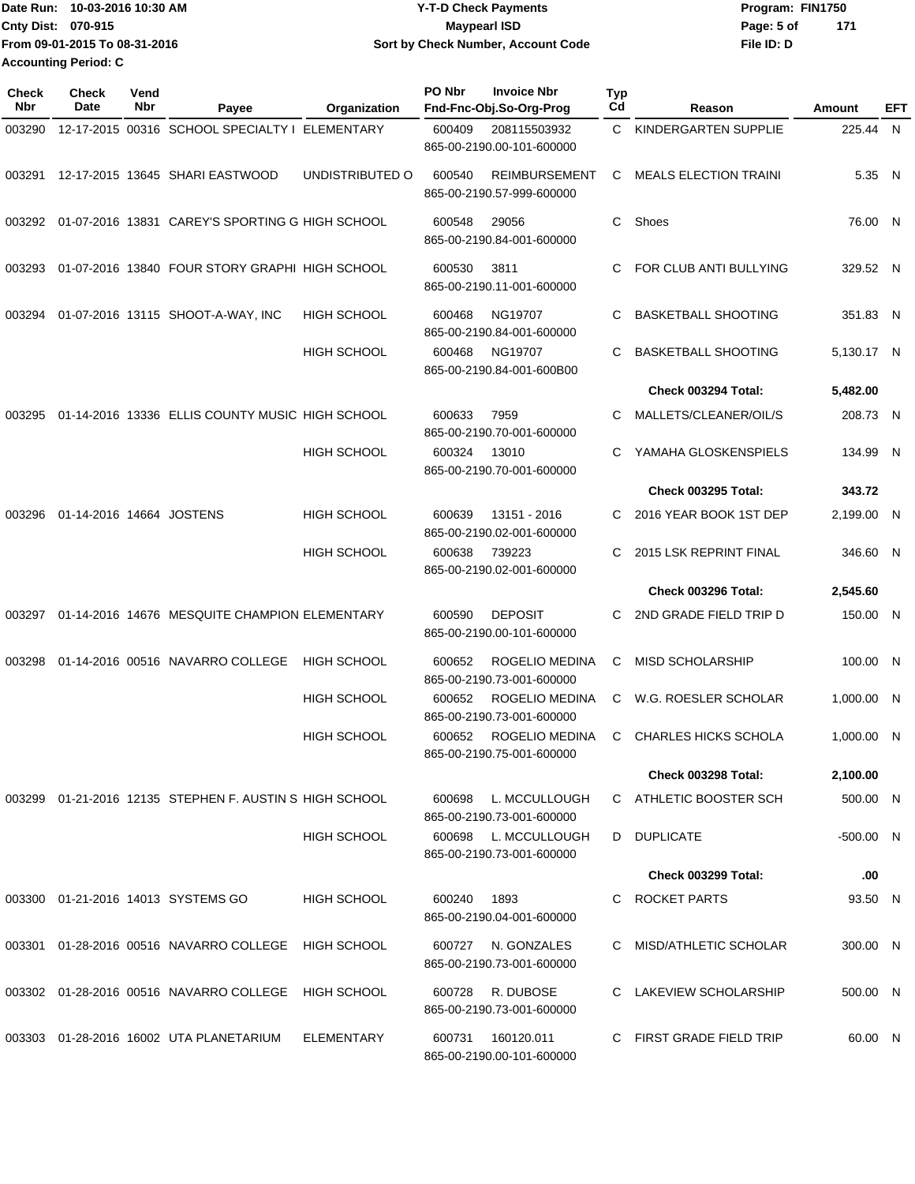| lDate Run: 10-03-2016 10:30 AM | <b>Y-T-D Check Payments</b>        | Program: FIN1750  |  |
|--------------------------------|------------------------------------|-------------------|--|
| <b>Cnty Dist: 070-915</b>      | <b>Mavpearl ISD</b>                | 171<br>Page: 5 of |  |
| From 09-01-2015 To 08-31-2016  | Sort by Check Number, Account Code | File ID: D        |  |
| <b>Accounting Period: C</b>    |                                    |                   |  |

| Check<br>Nbr | Check<br>Date            | Vend<br>Nbr | Payee                                                   | Organization       | PO Nbr | <b>Invoice Nbr</b><br>Fnd-Fnc-Obj.So-Org-Prog     | Typ<br>Cd | Reason                       | Amount      | EFT |
|--------------|--------------------------|-------------|---------------------------------------------------------|--------------------|--------|---------------------------------------------------|-----------|------------------------------|-------------|-----|
| 003290       |                          |             | 12-17-2015 00316 SCHOOL SPECIALTY I ELEMENTARY          |                    | 600409 | 208115503932<br>865-00-2190.00-101-600000         | C.        | KINDERGARTEN SUPPLIE         | 225.44 N    |     |
|              |                          |             | 003291 12-17-2015 13645 SHARI EASTWOOD                  | UNDISTRIBUTED O    | 600540 | <b>REIMBURSEMENT</b><br>865-00-2190.57-999-600000 | C.        | <b>MEALS ELECTION TRAINI</b> | 5.35 N      |     |
| 003292       |                          |             | 01-07-2016 13831 CAREY'S SPORTING G HIGH SCHOOL         |                    | 600548 | 29056<br>865-00-2190.84-001-600000                | C.        | Shoes                        | 76.00 N     |     |
| 003293       |                          |             | 01-07-2016 13840 FOUR STORY GRAPHI HIGH SCHOOL          |                    | 600530 | 3811<br>865-00-2190.11-001-600000                 | C         | FOR CLUB ANTI BULLYING       | 329.52 N    |     |
| 003294       |                          |             | 01-07-2016 13115 SHOOT-A-WAY, INC                       | <b>HIGH SCHOOL</b> | 600468 | NG19707<br>865-00-2190.84-001-600000              | C         | <b>BASKETBALL SHOOTING</b>   | 351.83 N    |     |
|              |                          |             |                                                         | <b>HIGH SCHOOL</b> | 600468 | NG19707<br>865-00-2190.84-001-600B00              | C         | <b>BASKETBALL SHOOTING</b>   | 5,130.17 N  |     |
|              |                          |             |                                                         |                    |        |                                                   |           | Check 003294 Total:          | 5,482.00    |     |
| 003295       |                          |             | 01-14-2016 13336 ELLIS COUNTY MUSIC HIGH SCHOOL         |                    | 600633 | 7959<br>865-00-2190.70-001-600000                 | C         | MALLETS/CLEANER/OIL/S        | 208.73 N    |     |
|              |                          |             |                                                         | <b>HIGH SCHOOL</b> | 600324 | 13010<br>865-00-2190.70-001-600000                | C         | YAMAHA GLOSKENSPIELS         | 134.99 N    |     |
|              |                          |             |                                                         |                    |        |                                                   |           | <b>Check 003295 Total:</b>   | 343.72      |     |
| 003296       | 01-14-2016 14664 JOSTENS |             |                                                         | <b>HIGH SCHOOL</b> | 600639 | 13151 - 2016<br>865-00-2190.02-001-600000         | C.        | 2016 YEAR BOOK 1ST DEP       | 2,199.00 N  |     |
|              |                          |             |                                                         | <b>HIGH SCHOOL</b> | 600638 | 739223<br>865-00-2190.02-001-600000               | C         | 2015 LSK REPRINT FINAL       | 346.60 N    |     |
|              |                          |             |                                                         |                    |        |                                                   |           | Check 003296 Total:          | 2,545.60    |     |
| 003297       |                          |             | 01-14-2016 14676 MESQUITE CHAMPION ELEMENTARY           |                    | 600590 | <b>DEPOSIT</b><br>865-00-2190.00-101-600000       | C.        | 2ND GRADE FIELD TRIP D       | 150.00 N    |     |
| 003298       |                          |             | 01-14-2016 00516 NAVARRO COLLEGE                        | <b>HIGH SCHOOL</b> | 600652 | ROGELIO MEDINA<br>865-00-2190.73-001-600000       | C         | <b>MISD SCHOLARSHIP</b>      | 100.00 N    |     |
|              |                          |             |                                                         | <b>HIGH SCHOOL</b> | 600652 | ROGELIO MEDINA<br>865-00-2190.73-001-600000       | C.        | W.G. ROESLER SCHOLAR         | 1,000.00 N  |     |
|              |                          |             |                                                         | <b>HIGH SCHOOL</b> | 600652 | ROGELIO MEDINA<br>865-00-2190.75-001-600000       | C.        | <b>CHARLES HICKS SCHOLA</b>  | 1,000.00 N  |     |
|              |                          |             |                                                         |                    |        |                                                   |           | <b>Check 003298 Total:</b>   | 2,100.00    |     |
|              |                          |             | 003299 01-21-2016 12135 STEPHEN F. AUSTIN S HIGH SCHOOL |                    | 600698 | L. MCCULLOUGH<br>865-00-2190.73-001-600000        |           | C ATHLETIC BOOSTER SCH       | 500.00 N    |     |
|              |                          |             |                                                         | <b>HIGH SCHOOL</b> |        | 600698 L. MCCULLOUGH<br>865-00-2190.73-001-600000 |           | D DUPLICATE                  | $-500.00$ N |     |
|              |                          |             |                                                         |                    |        |                                                   |           | <b>Check 003299 Total:</b>   | .00         |     |
|              |                          |             | 003300 01-21-2016 14013 SYSTEMS GO                      | <b>HIGH SCHOOL</b> | 600240 | 1893<br>865-00-2190.04-001-600000                 |           | C ROCKET PARTS               | 93.50 N     |     |
|              |                          |             | 003301 01-28-2016 00516 NAVARRO COLLEGE                 | HIGH SCHOOL        |        | 600727 N. GONZALES<br>865-00-2190.73-001-600000   |           | C MISD/ATHLETIC SCHOLAR      | 300.00 N    |     |
|              |                          |             | 003302  01-28-2016  00516  NAVARRO COLLEGE  HIGH SCHOOL |                    |        | 600728 R. DUBOSE<br>865-00-2190.73-001-600000     |           | C LAKEVIEW SCHOLARSHIP       | 500.00 N    |     |
|              |                          |             | 003303 01-28-2016 16002 UTA PLANETARIUM                 | ELEMENTARY         | 600731 | 160120.011<br>865-00-2190.00-101-600000           |           | C FIRST GRADE FIELD TRIP     | 60.00 N     |     |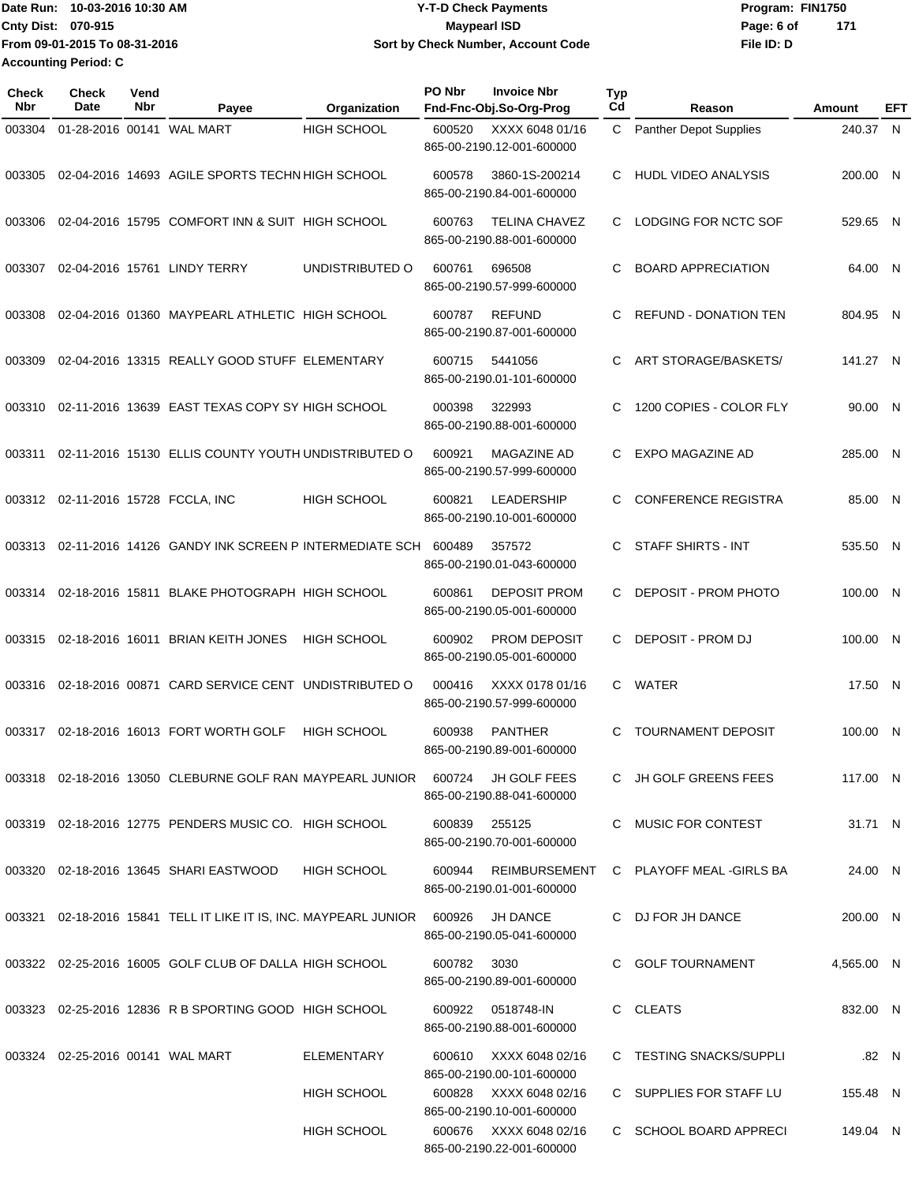Date Run: 10-03-2016 10:30 AM **CONSERVIA CONSERVIATES** Program: FIN1750 **Cnty Dist:** 070-915 **Page: 6 of Page: 6 of Page: 6 of Page: 6 of Page: 6 of Page: 6 of Page: 6 of File ID: D From 09-01-2015 To 08-31-2016 Y-T-D Check Payments 070-915 Maypearl ISD Sort by Check Number, Account Code 171 Accounting Period: C**

| <b>Check</b><br>Nbr | <b>Check</b><br>Date             | Vend<br>Nbr | Payee                                                                | Organization       | PO Nbr | <b>Invoice Nbr</b><br>Fnd-Fnc-Obj.So-Org-Prog       | Typ<br>Cd | Reason                        | Amount     | EFT   |
|---------------------|----------------------------------|-------------|----------------------------------------------------------------------|--------------------|--------|-----------------------------------------------------|-----------|-------------------------------|------------|-------|
| 003304              |                                  |             | 01-28-2016 00141 WAL MART                                            | <b>HIGH SCHOOL</b> | 600520 | XXXX 6048 01/16<br>865-00-2190.12-001-600000        | C.        | <b>Panther Depot Supplies</b> | 240.37 N   |       |
| 003305              |                                  |             | 02-04-2016 14693 AGILE SPORTS TECHN HIGH SCHOOL                      |                    | 600578 | 3860-1S-200214<br>865-00-2190.84-001-600000         | C.        | <b>HUDL VIDEO ANALYSIS</b>    | 200.00 N   |       |
| 003306              |                                  |             | 02-04-2016 15795 COMFORT INN & SUIT HIGH SCHOOL                      |                    | 600763 | <b>TELINA CHAVEZ</b><br>865-00-2190.88-001-600000   | C         | LODGING FOR NCTC SOF          | 529.65 N   |       |
| 003307              |                                  |             | 02-04-2016 15761 LINDY TERRY                                         | UNDISTRIBUTED O    | 600761 | 696508<br>865-00-2190.57-999-600000                 | C         | <b>BOARD APPRECIATION</b>     | 64.00 N    |       |
| 003308              |                                  |             | 02-04-2016 01360 MAYPEARL ATHLETIC HIGH SCHOOL                       |                    | 600787 | <b>REFUND</b><br>865-00-2190.87-001-600000          | C         | <b>REFUND - DONATION TEN</b>  | 804.95 N   |       |
| 003309              |                                  |             | 02-04-2016 13315 REALLY GOOD STUFF ELEMENTARY                        |                    | 600715 | 5441056<br>865-00-2190.01-101-600000                | C         | ART STORAGE/BASKETS/          | 141.27 N   |       |
| 003310              |                                  |             | 02-11-2016 13639 EAST TEXAS COPY SY HIGH SCHOOL                      |                    | 000398 | 322993<br>865-00-2190.88-001-600000                 | C         | 1200 COPIES - COLOR FLY       | 90.00 N    |       |
| 003311              |                                  |             | 02-11-2016 15130 ELLIS COUNTY YOUTH UNDISTRIBUTED O                  |                    | 600921 | MAGAZINE AD<br>865-00-2190.57-999-600000            | C         | <b>EXPO MAGAZINE AD</b>       | 285.00 N   |       |
|                     |                                  |             | 003312 02-11-2016 15728 FCCLA, INC                                   | <b>HIGH SCHOOL</b> | 600821 | <b>LEADERSHIP</b><br>865-00-2190.10-001-600000      | C         | <b>CONFERENCE REGISTRA</b>    | 85.00 N    |       |
| 003313              |                                  |             | 02-11-2016 14126 GANDY INK SCREEN P INTERMEDIATE SCH                 |                    | 600489 | 357572<br>865-00-2190.01-043-600000                 | C.        | <b>STAFF SHIRTS - INT</b>     | 535.50 N   |       |
| 003314              |                                  |             | 02-18-2016 15811 BLAKE PHOTOGRAPH HIGH SCHOOL                        |                    | 600861 | <b>DEPOSIT PROM</b><br>865-00-2190.05-001-600000    | C         | DEPOSIT - PROM PHOTO          | 100.00 N   |       |
| 003315              |                                  |             | 02-18-2016 16011 BRIAN KEITH JONES                                   | <b>HIGH SCHOOL</b> | 600902 | <b>PROM DEPOSIT</b><br>865-00-2190.05-001-600000    | C         | DEPOSIT - PROM DJ             | 100.00 N   |       |
| 003316              |                                  |             | 02-18-2016 00871 CARD SERVICE CENT UNDISTRIBUTED O                   |                    | 000416 | XXXX 0178 01/16<br>865-00-2190.57-999-600000        | C.        | WATER                         | 17.50 N    |       |
| 003317              |                                  |             | 02-18-2016 16013 FORT WORTH GOLF                                     | <b>HIGH SCHOOL</b> | 600938 | <b>PANTHER</b><br>865-00-2190.89-001-600000         | C         | <b>TOURNAMENT DEPOSIT</b>     | 100.00 N   |       |
|                     |                                  |             | 003318  02-18-2016  13050  CLEBURNE GOLF RAN MAYPEARL JUNIOR  600724 |                    |        | <b>JH GOLF FEES</b><br>865-00-2190.88-041-600000    |           | C JH GOLF GREENS FEES         | 117.00 N   |       |
|                     |                                  |             | 003319 02-18-2016 12775 PENDERS MUSIC CO. HIGH SCHOOL                |                    | 600839 | 255125<br>865-00-2190.70-001-600000                 |           | C MUSIC FOR CONTEST           | 31.71 N    |       |
|                     |                                  |             | 003320 02-18-2016 13645 SHARI EASTWOOD                               | <b>HIGH SCHOOL</b> | 600944 | REIMBURSEMENT<br>865-00-2190.01-001-600000          |           | C PLAYOFF MEAL -GIRLS BA      | 24.00 N    |       |
|                     |                                  |             | 003321 02-18-2016 15841 TELL IT LIKE IT IS, INC. MAYPEARL JUNIOR     |                    | 600926 | JH DANCE<br>865-00-2190.05-041-600000               |           | C DJ FOR JH DANCE             | 200.00 N   |       |
|                     |                                  |             | 003322 02-25-2016 16005 GOLF CLUB OF DALLA HIGH SCHOOL               |                    | 600782 | 3030<br>865-00-2190.89-001-600000                   |           | C GOLF TOURNAMENT             | 4,565.00 N |       |
|                     |                                  |             | 003323 02-25-2016 12836 R B SPORTING GOOD HIGH SCHOOL                |                    | 600922 | 0518748-IN<br>865-00-2190.88-001-600000             |           | C CLEATS                      | 832.00 N   |       |
|                     | 003324 02-25-2016 00141 WAL MART |             |                                                                      | ELEMENTARY         | 600610 | XXXX 6048 02/16<br>865-00-2190.00-101-600000        |           | C TESTING SNACKS/SUPPLI       |            | .82 N |
|                     |                                  |             |                                                                      | HIGH SCHOOL        |        | 600828 XXXX 6048 02/16<br>865-00-2190.10-001-600000 |           | C SUPPLIES FOR STAFF LU       | 155.48 N   |       |
|                     |                                  |             |                                                                      | HIGH SCHOOL        |        | 600676 XXXX 6048 02/16<br>865-00-2190.22-001-600000 |           | C SCHOOL BOARD APPRECI        | 149.04 N   |       |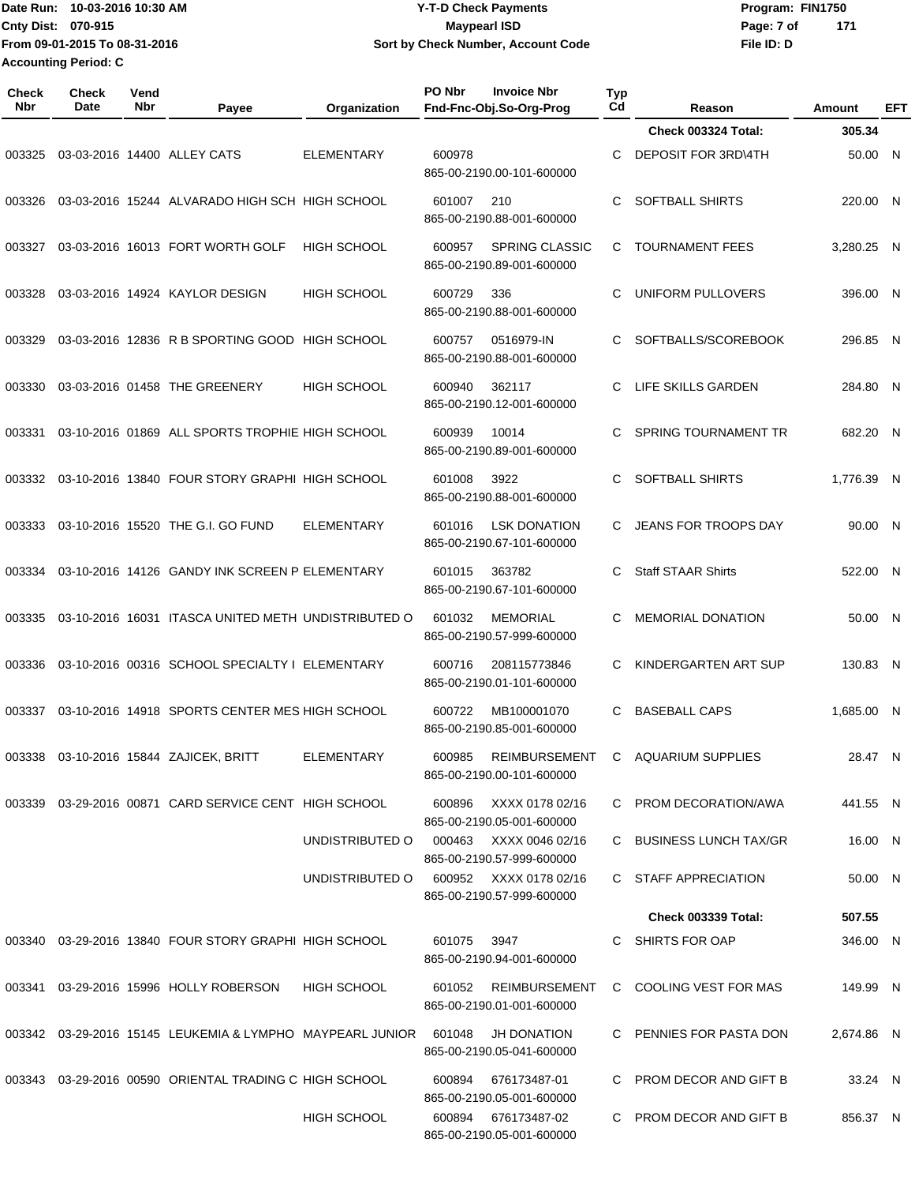**From 09-01-2015 To 08-31-2016 Accounting Period: C**

## Date Run: 10-03-2016 10:30 AM **Date Runity Controller State Payments** Program: FIN1750 **Cnty Dist:** 070-915 **Page: 7 of Page: 7 of Page: 7 of Page: 7 of Page: 7 of 10-03-2016 10:30 AM Y-T-D Check Payments 070-915 Maypearl ISD Sort by Check Number, Account Code**

**File ID: D 171**

| <b>Check</b><br>Nbr | <b>Check</b><br>Date | Vend<br>Nbr | Payee                                                            | Organization                           | PO Nbr | <b>Invoice Nbr</b><br>Fnd-Fnc-Obj.So-Org-Prog       | <b>Typ</b><br>Cd | Reason                     | Amount     | <b>EFT</b>   |
|---------------------|----------------------|-------------|------------------------------------------------------------------|----------------------------------------|--------|-----------------------------------------------------|------------------|----------------------------|------------|--------------|
|                     |                      |             |                                                                  |                                        |        |                                                     |                  | Check 003324 Total:        | 305.34     |              |
| 003325              |                      |             | 03-03-2016 14400 ALLEY CATS                                      | <b>ELEMENTARY</b>                      | 600978 | 865-00-2190.00-101-600000                           | C                | DEPOSIT FOR 3RD\4TH        | 50.00      | N            |
| 003326              |                      |             | 03-03-2016 15244 ALVARADO HIGH SCH HIGH SCHOOL                   |                                        | 601007 | 210<br>865-00-2190.88-001-600000                    | C                | SOFTBALL SHIRTS            | 220.00 N   |              |
| 003327              |                      |             | 03-03-2016 16013 FORT WORTH GOLF                                 | <b>HIGH SCHOOL</b>                     | 600957 | <b>SPRING CLASSIC</b><br>865-00-2190.89-001-600000  | C                | <b>TOURNAMENT FEES</b>     | 3,280.25 N |              |
| 003328              |                      |             | 03-03-2016 14924 KAYLOR DESIGN                                   | <b>HIGH SCHOOL</b>                     | 600729 | 336<br>865-00-2190.88-001-600000                    | C                | <b>UNIFORM PULLOVERS</b>   | 396.00     | $\mathsf{N}$ |
| 003329              |                      |             | 03-03-2016 12836 R B SPORTING GOOD                               | HIGH SCHOOL                            | 600757 | 0516979-IN<br>865-00-2190.88-001-600000             | C                | SOFTBALLS/SCOREBOOK        | 296.85 N   |              |
| 003330              |                      |             | 03-03-2016 01458 THE GREENERY                                    | <b>HIGH SCHOOL</b>                     | 600940 | 362117<br>865-00-2190.12-001-600000                 | С                | LIFE SKILLS GARDEN         | 284.80     | - N          |
| 003331              |                      |             | 03-10-2016 01869 ALL SPORTS TROPHIE HIGH SCHOOL                  |                                        | 600939 | 10014<br>865-00-2190.89-001-600000                  | C                | SPRING TOURNAMENT TR       | 682.20     | - N          |
| 003332              |                      |             | 03-10-2016 13840 FOUR STORY GRAPHI HIGH SCHOOL                   |                                        | 601008 | 3922<br>865-00-2190.88-001-600000                   | C                | SOFTBALL SHIRTS            | 1,776.39 N |              |
| 003333              |                      |             | 03-10-2016 15520 THE G.I. GO FUND                                | <b>ELEMENTARY</b>                      | 601016 | <b>LSK DONATION</b><br>865-00-2190.67-101-600000    | C                | JEANS FOR TROOPS DAY       | 90.00 N    |              |
| 003334              |                      |             | 03-10-2016 14126 GANDY INK SCREEN P ELEMENTARY                   |                                        | 601015 | 363782<br>865-00-2190.67-101-600000                 | C                | <b>Staff STAAR Shirts</b>  | 522.00     | - N          |
| 003335              |                      |             | 03-10-2016 16031 ITASCA UNITED METH UNDISTRIBUTED O              |                                        | 601032 | <b>MEMORIAL</b><br>865-00-2190.57-999-600000        | С                | <b>MEMORIAL DONATION</b>   | 50.00      | - N          |
| 003336              |                      |             | 03-10-2016 00316 SCHOOL SPECIALTY I ELEMENTARY                   |                                        | 600716 | 208115773846<br>865-00-2190.01-101-600000           | С                | KINDERGARTEN ART SUP       | 130.83 N   |              |
| 003337              |                      |             | 03-10-2016 14918 SPORTS CENTER MES HIGH SCHOOL                   |                                        | 600722 | MB100001070<br>865-00-2190.85-001-600000            | C                | <b>BASEBALL CAPS</b>       | 1,685.00   | - N          |
|                     |                      |             | 003338  03-10-2016  15844  ZAJICEK, BRITT                        | ELEMENTARY                             | 600985 | REIMBURSEMENT<br>865-00-2190.00-101-600000          |                  | C AQUARIUM SUPPLIES        | 28.47 N    |              |
|                     |                      |             | 003339 03-29-2016 00871 CARD SERVICE CENT HIGH SCHOOL            |                                        | 600896 | XXXX 0178 02/16<br>865-00-2190.05-001-600000        |                  | C PROM DECORATION/AWA      | 441.55 N   |              |
|                     |                      |             |                                                                  | UNDISTRIBUTED O                        |        | 000463 XXXX 0046 02/16<br>865-00-2190.57-999-600000 |                  | C BUSINESS LUNCH TAX/GR    | 16.00 N    |              |
|                     |                      |             |                                                                  | UNDISTRIBUTED O 600952 XXXX 0178 02/16 |        | 865-00-2190.57-999-600000                           |                  | C STAFF APPRECIATION       | 50.00 N    |              |
|                     |                      |             |                                                                  |                                        |        |                                                     |                  | <b>Check 003339 Total:</b> | 507.55     |              |
|                     |                      |             | 003340 03-29-2016 13840 FOUR STORY GRAPHI HIGH SCHOOL            |                                        | 601075 | 3947<br>865-00-2190.94-001-600000                   |                  | C SHIRTS FOR OAP           | 346.00 N   |              |
|                     |                      |             | 003341 03-29-2016 15996 HOLLY ROBERSON                           | HIGH SCHOOL                            |        | 601052 REIMBURSEMENT<br>865-00-2190.01-001-600000   |                  | C COOLING VEST FOR MAS     | 149.99 N   |              |
|                     |                      |             | 003342 03-29-2016 15145 LEUKEMIA & LYMPHO MAYPEARL JUNIOR 601048 |                                        |        | JH DONATION<br>865-00-2190.05-041-600000            |                  | C PENNIES FOR PASTA DON    | 2,674.86 N |              |
|                     |                      |             | 003343 03-29-2016 00590 ORIENTAL TRADING C HIGH SCHOOL           |                                        | 600894 | 676173487-01<br>865-00-2190.05-001-600000           |                  | C PROM DECOR AND GIFT B    | 33.24 N    |              |
|                     |                      |             |                                                                  | <b>HIGH SCHOOL</b>                     |        | 600894 676173487-02<br>865-00-2190.05-001-600000    |                  | C PROM DECOR AND GIFT B    | 856.37 N   |              |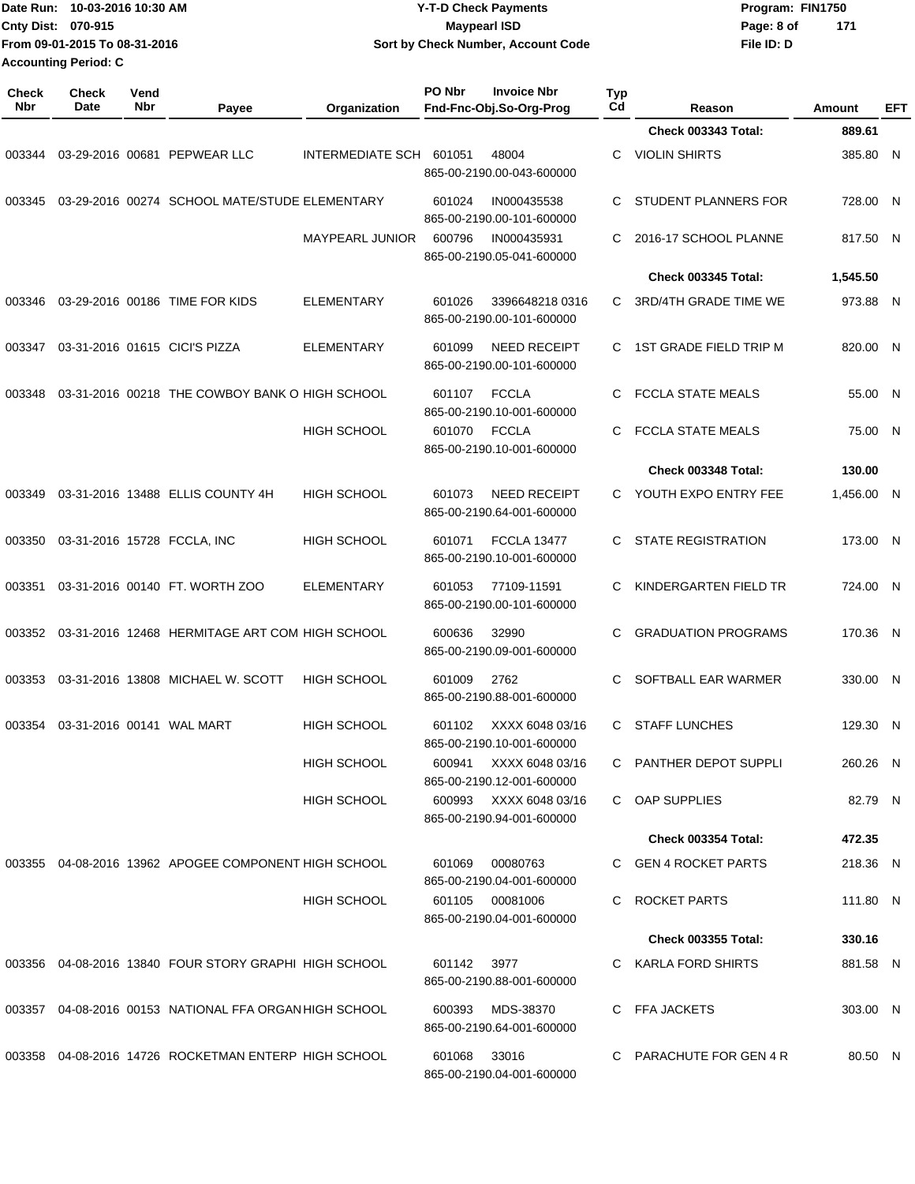|                     | Date Run: 10-03-2016 10:30 AM<br>Cnty Dist: 070-915<br>From 09-01-2015 To 08-31-2016<br><b>Accounting Period: C</b> |             |                                                        |                         |             | <b>Y-T-D Check Payments</b><br><b>Maypearl ISD</b><br>Sort by Check Number, Account Code |           | Page: 8 of<br>File ID: D                     | Program: FIN1750<br>171 |            |
|---------------------|---------------------------------------------------------------------------------------------------------------------|-------------|--------------------------------------------------------|-------------------------|-------------|------------------------------------------------------------------------------------------|-----------|----------------------------------------------|-------------------------|------------|
| <b>Check</b><br>Nbr | <b>Check</b><br>Date                                                                                                | Vend<br>Nbr | Payee                                                  | Organization            | PO Nbr      | <b>Invoice Nbr</b><br>Fnd-Fnc-Obj.So-Org-Prog                                            | Typ<br>Cd | Reason                                       | Amount                  | <b>EFT</b> |
|                     |                                                                                                                     |             |                                                        |                         |             |                                                                                          |           | <b>Check 003343 Total:</b>                   | 889.61                  |            |
| 003344              |                                                                                                                     |             | 03-29-2016 00681 PEPWEAR LLC                           | <b>INTERMEDIATE SCH</b> | 601051      | 48004<br>865-00-2190.00-043-600000                                                       | C         | <b>VIOLIN SHIRTS</b>                         | 385.80 N                |            |
| 003345              |                                                                                                                     |             | 03-29-2016 00274 SCHOOL MATE/STUDE ELEMENTARY          |                         | 601024      | IN000435538<br>865-00-2190.00-101-600000                                                 | C         | STUDENT PLANNERS FOR                         | 728.00                  | - N        |
|                     |                                                                                                                     |             |                                                        | <b>MAYPEARL JUNIOR</b>  | 600796      | IN000435931<br>865-00-2190.05-041-600000                                                 | C         | 2016-17 SCHOOL PLANNE                        | 817.50 N                |            |
|                     |                                                                                                                     |             |                                                        |                         |             |                                                                                          |           | <b>Check 003345 Total:</b>                   | 1,545.50                |            |
| 003346              |                                                                                                                     |             | 03-29-2016 00186 TIME FOR KIDS                         | <b>ELEMENTARY</b>       | 601026      | 3396648218 0316<br>865-00-2190.00-101-600000                                             | C.        | 3RD/4TH GRADE TIME WE                        | 973.88 N                |            |
| 003347              |                                                                                                                     |             | 03-31-2016 01615 CICI'S PIZZA                          | <b>ELEMENTARY</b>       | 601099      | <b>NEED RECEIPT</b><br>865-00-2190.00-101-600000                                         | C.        | 1ST GRADE FIELD TRIP M                       | 820.00 N                |            |
| 003348              |                                                                                                                     |             | 03-31-2016 00218 THE COWBOY BANK O HIGH SCHOOL         |                         | 601107      | <b>FCCLA</b><br>865-00-2190.10-001-600000                                                | C         | <b>FCCLA STATE MEALS</b>                     | 55.00 N                 |            |
|                     |                                                                                                                     |             |                                                        | <b>HIGH SCHOOL</b>      | 601070      | <b>FCCLA</b><br>865-00-2190.10-001-600000                                                | C         | <b>FCCLA STATE MEALS</b>                     | 75.00 N                 |            |
|                     |                                                                                                                     |             |                                                        |                         |             |                                                                                          |           | Check 003348 Total:                          | 130.00                  |            |
| 003349              |                                                                                                                     |             | 03-31-2016 13488 ELLIS COUNTY 4H                       | <b>HIGH SCHOOL</b>      | 601073      | <b>NEED RECEIPT</b><br>865-00-2190.64-001-600000                                         | C         | YOUTH EXPO ENTRY FEE                         | 1,456.00 N              |            |
| 003350              |                                                                                                                     |             | 03-31-2016 15728 FCCLA, INC                            | <b>HIGH SCHOOL</b>      | 601071      | <b>FCCLA 13477</b><br>865-00-2190.10-001-600000                                          | C         | <b>STATE REGISTRATION</b>                    | 173.00 N                |            |
| 003351              |                                                                                                                     |             | 03-31-2016 00140 FT. WORTH ZOO                         | <b>ELEMENTARY</b>       | 601053      | 77109-11591<br>865-00-2190.00-101-600000                                                 | C         | KINDERGARTEN FIELD TR                        | 724.00 N                |            |
| 003352              |                                                                                                                     |             | 03-31-2016 12468 HERMITAGE ART COM HIGH SCHOOL         |                         | 600636      | 32990<br>865-00-2190.09-001-600000                                                       | C         | <b>GRADUATION PROGRAMS</b>                   | 170.36 N                |            |
|                     |                                                                                                                     |             | 003353 03-31-2016 13808 MICHAEL W. SCOTT               | HIGH SCHOOL             | 601009 2762 | 865-00-2190.88-001-600000                                                                |           | SOFTBALL EAR WARMER                          | 330.00 N                |            |
|                     | 003354 03-31-2016 00141 WAL MART                                                                                    |             |                                                        | <b>HIGH SCHOOL</b>      | 601102      | XXXX 6048 03/16<br>865-00-2190.10-001-600000                                             |           | C STAFF LUNCHES                              | 129.30 N                |            |
|                     |                                                                                                                     |             |                                                        | HIGH SCHOOL             |             | 600941 XXXX 6048 03/16<br>865-00-2190.12-001-600000                                      |           | C PANTHER DEPOT SUPPLI                       | 260.26 N                |            |
|                     |                                                                                                                     |             |                                                        | <b>HIGH SCHOOL</b>      |             | 600993 XXXX 6048 03/16<br>865-00-2190.94-001-600000                                      |           | C OAP SUPPLIES                               | 82.79 N                 |            |
|                     |                                                                                                                     |             |                                                        |                         |             |                                                                                          |           | <b>Check 003354 Total:</b>                   | 472.35                  |            |
|                     |                                                                                                                     |             | 003355 04-08-2016 13962 APOGEE COMPONENT HIGH SCHOOL   |                         | 601069      | 00080763<br>865-00-2190.04-001-600000                                                    |           | C GEN 4 ROCKET PARTS                         | 218.36 N                |            |
|                     |                                                                                                                     |             |                                                        | HIGH SCHOOL             |             | 601105 00081006<br>865-00-2190.04-001-600000                                             |           | C ROCKET PARTS<br><b>Check 003355 Total:</b> | 111.80 N<br>330.16      |            |
|                     |                                                                                                                     |             |                                                        |                         |             |                                                                                          |           |                                              |                         |            |
|                     |                                                                                                                     |             | 003356 04-08-2016 13840 FOUR STORY GRAPHI HIGH SCHOOL  |                         | 601142 3977 | 865-00-2190.88-001-600000                                                                |           | C KARLA FORD SHIRTS                          | 881.58 N                |            |
|                     |                                                                                                                     |             | 003357 04-08-2016 00153 NATIONAL FFA ORGAN HIGH SCHOOL |                         | 600393      | MDS-38370<br>865-00-2190.64-001-600000                                                   |           | C FFA JACKETS                                | 303.00 N                |            |
|                     |                                                                                                                     |             | 003358 04-08-2016 14726 ROCKETMAN ENTERP HIGH SCHOOL   |                         | 601068      | 33016<br>865-00-2190.04-001-600000                                                       |           | C PARACHUTE FOR GEN 4 R                      | 80.50 N                 |            |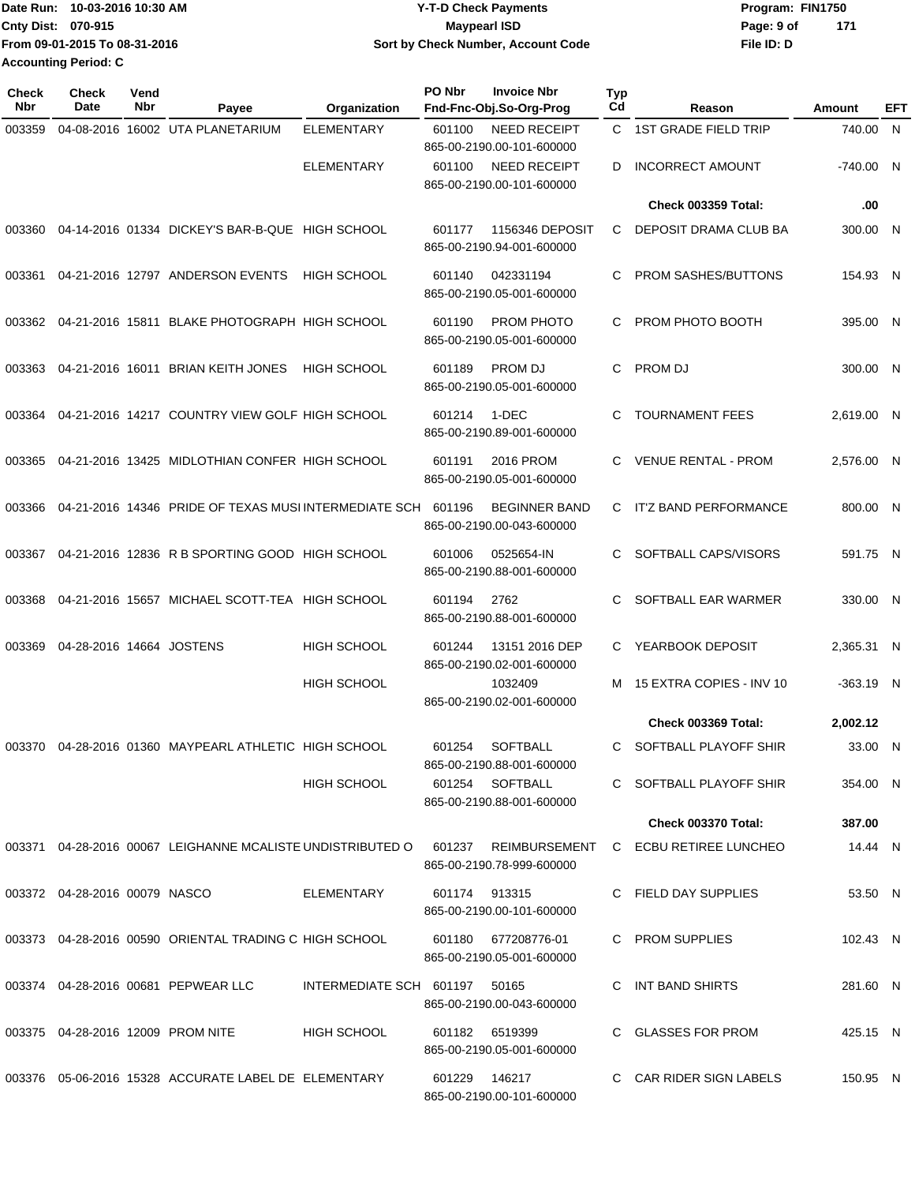|                             | Date Run: 10-03-2016 10:30 AM | <b>Y-T-D Check Payments</b>        | Program: FIN1750 |     |
|-----------------------------|-------------------------------|------------------------------------|------------------|-----|
| <b>Cnty Dist: 070-915</b>   |                               | Maypearl ISD                       | Page: 9 of       | 171 |
|                             | From 09-01-2015 To 08-31-2016 | Sort by Check Number, Account Code | File ID: D       |     |
| <b>Accounting Period: C</b> |                               |                                    |                  |     |

| <b>Check</b><br>Nbr | <b>Check</b><br>Date          | Vend<br>Nbr | Payee                                                        | Organization                  | PO Nbr<br><b>Invoice Nbr</b><br>Fnd-Fnc-Obj.So-Org-Prog    | Typ<br>Cd | Reason                     | Amount      | EFT |
|---------------------|-------------------------------|-------------|--------------------------------------------------------------|-------------------------------|------------------------------------------------------------|-----------|----------------------------|-------------|-----|
| 003359              |                               |             | 04-08-2016 16002 UTA PLANETARIUM                             | <b>ELEMENTARY</b>             | NEED RECEIPT<br>601100<br>865-00-2190.00-101-600000        |           | C 1ST GRADE FIELD TRIP     | 740.00 N    |     |
|                     |                               |             |                                                              | <b>ELEMENTARY</b>             | <b>NEED RECEIPT</b><br>601100<br>865-00-2190.00-101-600000 | D         | <b>INCORRECT AMOUNT</b>    | -740.00 N   |     |
|                     |                               |             |                                                              |                               |                                                            |           | <b>Check 003359 Total:</b> | .00         |     |
| 003360              |                               |             | 04-14-2016 01334 DICKEY'S BAR-B-QUE HIGH SCHOOL              |                               | 1156346 DEPOSIT<br>601177<br>865-00-2190.94-001-600000     | C         | DEPOSIT DRAMA CLUB BA      | 300.00 N    |     |
| 003361              |                               |             | 04-21-2016 12797 ANDERSON EVENTS                             | <b>HIGH SCHOOL</b>            | 042331194<br>601140<br>865-00-2190.05-001-600000           | C         | <b>PROM SASHES/BUTTONS</b> | 154.93 N    |     |
| 003362              |                               |             | 04-21-2016 15811 BLAKE PHOTOGRAPH HIGH SCHOOL                |                               | PROM PHOTO<br>601190<br>865-00-2190.05-001-600000          | C         | PROM PHOTO BOOTH           | 395.00 N    |     |
| 003363              |                               |             | 04-21-2016 16011 BRIAN KEITH JONES                           | <b>HIGH SCHOOL</b>            | <b>PROM DJ</b><br>601189<br>865-00-2190.05-001-600000      | C         | PROM DJ                    | 300.00 N    |     |
| 003364              |                               |             | 04-21-2016 14217 COUNTRY VIEW GOLF HIGH SCHOOL               |                               | 601214<br>1-DEC<br>865-00-2190.89-001-600000               | C         | <b>TOURNAMENT FEES</b>     | 2,619.00 N  |     |
| 003365              |                               |             | 04-21-2016 13425 MIDLOTHIAN CONFER HIGH SCHOOL               |                               | 2016 PROM<br>601191<br>865-00-2190.05-001-600000           | C         | <b>VENUE RENTAL - PROM</b> | 2,576.00 N  |     |
| 003366              |                               |             | 04-21-2016 14346 PRIDE OF TEXAS MUSI INTERMEDIATE SCH 601196 |                               | <b>BEGINNER BAND</b><br>865-00-2190.00-043-600000          | C         | IT'Z BAND PERFORMANCE      | 800.00 N    |     |
| 003367              |                               |             | 04-21-2016 12836 R B SPORTING GOOD HIGH SCHOOL               |                               | 0525654-IN<br>601006<br>865-00-2190.88-001-600000          | C.        | SOFTBALL CAPS/VISORS       | 591.75 N    |     |
| 003368              |                               |             | 04-21-2016 15657 MICHAEL SCOTT-TEA HIGH SCHOOL               |                               | 2762<br>601194<br>865-00-2190.88-001-600000                | C         | SOFTBALL EAR WARMER        | 330.00 N    |     |
| 003369              | 04-28-2016 14664 JOSTENS      |             |                                                              | HIGH SCHOOL                   | 13151 2016 DEP<br>601244<br>865-00-2190.02-001-600000      | C         | YEARBOOK DEPOSIT           | 2,365.31 N  |     |
|                     |                               |             |                                                              | <b>HIGH SCHOOL</b>            | 1032409<br>865-00-2190.02-001-600000                       | м         | 15 EXTRA COPIES - INV 10   | $-363.19$ N |     |
|                     |                               |             |                                                              |                               |                                                            |           | Check 003369 Total:        | 2,002.12    |     |
|                     |                               |             | 003370 04-28-2016 01360 MAYPEARL ATHLETIC HIGH SCHOOL        |                               | 601254<br><b>SOFTBALL</b><br>865-00-2190.88-001-600000     | C.        | SOFTBALL PLAYOFF SHIR      | 33.00 N     |     |
|                     |                               |             |                                                              | <b>HIGH SCHOOL</b>            | 601254 SOFTBALL<br>865-00-2190.88-001-600000               |           | C SOFTBALL PLAYOFF SHIR    | 354.00 N    |     |
|                     |                               |             |                                                              |                               |                                                            |           | <b>Check 003370 Total:</b> | 387.00      |     |
|                     |                               |             | 003371 04-28-2016 00067 LEIGHANNE MCALISTE UNDISTRIBUTED O   |                               | 601237 REIMBURSEMENT<br>865-00-2190.78-999-600000          | C.        | ECBU RETIREE LUNCHEO       | 14.44 N     |     |
|                     | 003372 04-28-2016 00079 NASCO |             |                                                              | ELEMENTARY                    | 601174 913315<br>865-00-2190.00-101-600000                 |           | C FIELD DAY SUPPLIES       | 53.50 N     |     |
|                     |                               |             | 003373 04-28-2016 00590 ORIENTAL TRADING C HIGH SCHOOL       |                               | 601180 677208776-01<br>865-00-2190.05-001-600000           |           | C PROM SUPPLIES            | 102.43 N    |     |
|                     |                               |             | 003374 04-28-2016 00681 PEPWEAR LLC                          | INTERMEDIATE SCH 601197 50165 | 865-00-2190.00-043-600000                                  |           | INT BAND SHIRTS            | 281.60 N    |     |
|                     |                               |             | 003375 04-28-2016 12009 PROM NITE                            | <b>HIGH SCHOOL</b>            | 601182 6519399<br>865-00-2190.05-001-600000                |           | C GLASSES FOR PROM         | 425.15 N    |     |
|                     |                               |             | 003376  05-06-2016  15328  ACCURATE LABEL DE  ELEMENTARY     |                               | 146217<br>601229<br>865-00-2190.00-101-600000              |           | C CAR RIDER SIGN LABELS    | 150.95 N    |     |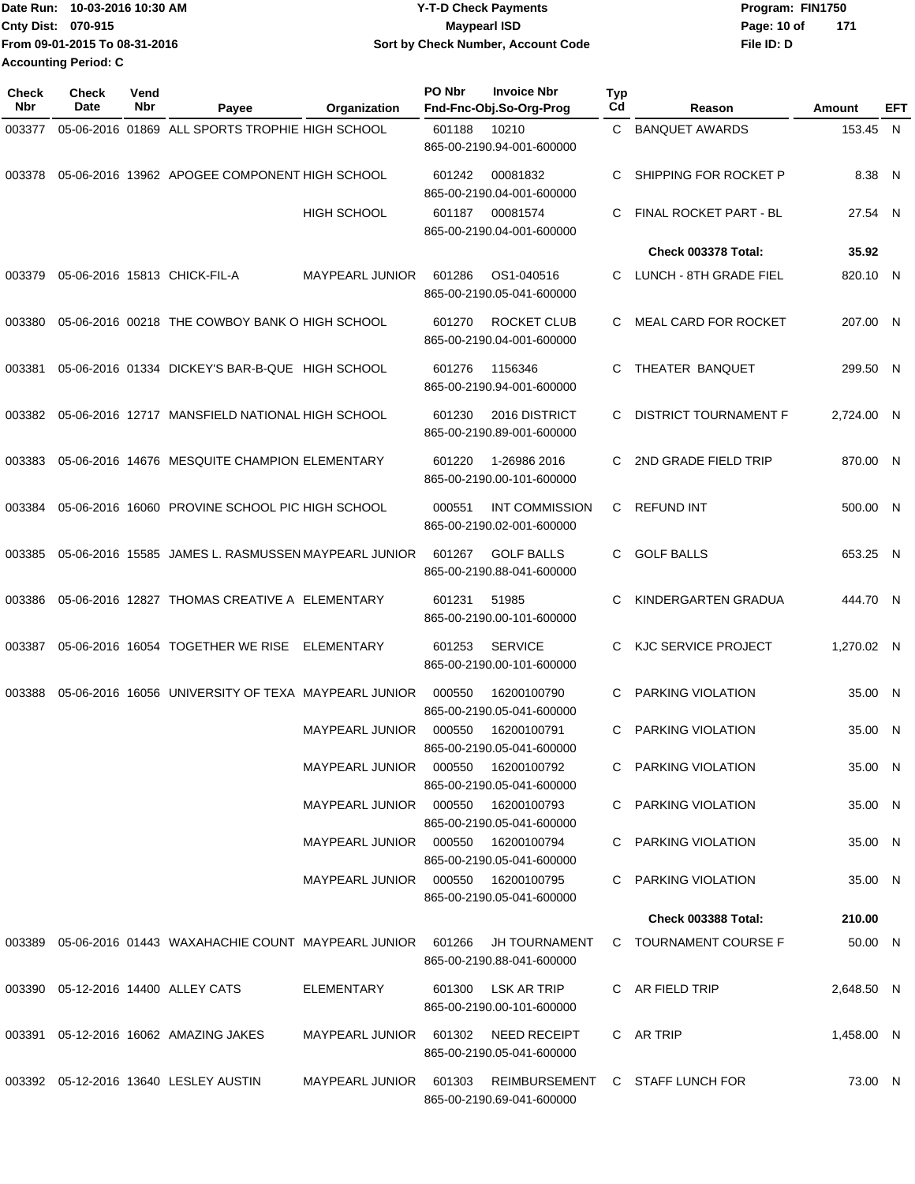| Date Run: 10-03-2016 10:30 AM | <b>Y-T-D Check Payments</b>        | Program: FIN1750   |  |  |
|-------------------------------|------------------------------------|--------------------|--|--|
| <b>Cnty Dist: 070-915</b>     | <b>Mavpearl ISD</b>                | Page: 10 of<br>171 |  |  |
| From 09-01-2015 To 08-31-2016 | Sort by Check Number, Account Code | File ID: D         |  |  |
| <b>Accounting Period: C</b>   |                                    |                    |  |  |

| <b>Check</b><br>Nbr | Check<br>Date | Vend<br>Nbr | Payee                                                                | Organization                        | PO Nbr | <b>Invoice Nbr</b><br>Fnd-Fnc-Obj.So-Org-Prog      | <b>Typ</b><br>Cd | Reason                          | Amount     | EFT |
|---------------------|---------------|-------------|----------------------------------------------------------------------|-------------------------------------|--------|----------------------------------------------------|------------------|---------------------------------|------------|-----|
| 003377              |               |             | 05-06-2016 01869 ALL SPORTS TROPHIE HIGH SCHOOL                      |                                     | 601188 | 10210<br>865-00-2190.94-001-600000                 | C.               | <b>BANQUET AWARDS</b>           | 153.45 N   |     |
| 003378              |               |             | 05-06-2016 13962 APOGEE COMPONENT HIGH SCHOOL                        |                                     | 601242 | 00081832<br>865-00-2190.04-001-600000              | C                | SHIPPING FOR ROCKET P           | 8.38 N     |     |
|                     |               |             |                                                                      | HIGH SCHOOL                         | 601187 | 00081574<br>865-00-2190.04-001-600000              | C                | FINAL ROCKET PART - BL          | 27.54 N    |     |
|                     |               |             |                                                                      |                                     |        |                                                    |                  | Check 003378 Total:             | 35.92      |     |
| 003379              |               |             | 05-06-2016 15813 CHICK-FIL-A                                         | <b>MAYPEARL JUNIOR</b>              | 601286 | OS1-040516<br>865-00-2190.05-041-600000            | C.               | LUNCH - 8TH GRADE FIEL          | 820.10 N   |     |
| 003380              |               |             | 05-06-2016 00218 THE COWBOY BANK O HIGH SCHOOL                       |                                     | 601270 | ROCKET CLUB<br>865-00-2190.04-001-600000           | C.               | MEAL CARD FOR ROCKET            | 207.00 N   |     |
| 003381              |               |             | 05-06-2016 01334 DICKEY'S BAR-B-QUE HIGH SCHOOL                      |                                     | 601276 | 1156346<br>865-00-2190.94-001-600000               | C                | THEATER BANQUET                 | 299.50 N   |     |
| 003382              |               |             | 05-06-2016 12717 MANSFIELD NATIONAL HIGH SCHOOL                      |                                     | 601230 | 2016 DISTRICT<br>865-00-2190.89-001-600000         | C                | DISTRICT TOURNAMENT F           | 2,724.00 N |     |
| 003383              |               |             | 05-06-2016 14676 MESQUITE CHAMPION ELEMENTARY                        |                                     | 601220 | 1-26986 2016<br>865-00-2190.00-101-600000          | C                | 2ND GRADE FIELD TRIP            | 870.00 N   |     |
| 003384              |               |             | 05-06-2016 16060 PROVINE SCHOOL PIC HIGH SCHOOL                      |                                     | 000551 | <b>INT COMMISSION</b><br>865-00-2190.02-001-600000 | C                | <b>REFUND INT</b>               | 500.00 N   |     |
| 003385              |               |             | 05-06-2016 15585 JAMES L. RASMUSSEN MAYPEARL JUNIOR                  |                                     | 601267 | <b>GOLF BALLS</b><br>865-00-2190.88-041-600000     | C.               | <b>GOLF BALLS</b>               | 653.25 N   |     |
| 003386              |               |             | 05-06-2016 12827 THOMAS CREATIVE A ELEMENTARY                        |                                     | 601231 | 51985<br>865-00-2190.00-101-600000                 | C                | KINDERGARTEN GRADUA             | 444.70 N   |     |
| 003387              |               |             | 05-06-2016 16054 TOGETHER WE RISE                                    | ELEMENTARY                          | 601253 | <b>SERVICE</b><br>865-00-2190.00-101-600000        | C                | <b>KJC SERVICE PROJECT</b>      | 1,270.02 N |     |
| 003388              |               |             | 05-06-2016 16056 UNIVERSITY OF TEXA MAYPEARL JUNIOR                  |                                     | 000550 | 16200100790<br>865-00-2190.05-041-600000           | C                | PARKING VIOLATION               | 35.00 N    |     |
|                     |               |             |                                                                      | <b>MAYPEARL JUNIOR</b>              | 000550 | 16200100791<br>865-00-2190.05-041-600000           | C                | PARKING VIOLATION               | 35.00 N    |     |
|                     |               |             |                                                                      | MAYPEARL JUNIOR 000550              |        | 16200100792<br>865-00-2190.05-041-600000           |                  | C PARKING VIOLATION             | 35.00 N    |     |
|                     |               |             |                                                                      | MAYPEARL JUNIOR 000550              |        | 16200100793<br>865-00-2190.05-041-600000           |                  | C PARKING VIOLATION             | 35.00 N    |     |
|                     |               |             |                                                                      | MAYPEARL JUNIOR 000550              |        | 16200100794<br>865-00-2190.05-041-600000           |                  | C PARKING VIOLATION             | 35.00 N    |     |
|                     |               |             |                                                                      | MAYPEARL JUNIOR 000550              |        | 16200100795<br>865-00-2190.05-041-600000           |                  | C PARKING VIOLATION             | 35.00 N    |     |
|                     |               |             |                                                                      |                                     |        |                                                    |                  | <b>Check 003388 Total:</b>      | 210.00     |     |
|                     |               |             | 003389  05-06-2016  01443  WAXAHACHIE COUNT  MAYPEARL JUNIOR  601266 |                                     |        | JH TOURNAMENT<br>865-00-2190.88-041-600000         |                  | C TOURNAMENT COURSE F           | 50.00 N    |     |
|                     |               |             | 003390 05-12-2016 14400 ALLEY CATS                                   | ELEMENTARY                          |        | 601300 LSK AR TRIP<br>865-00-2190.00-101-600000    |                  | C AR FIELD TRIP                 | 2,648.50 N |     |
|                     |               |             | 003391 05-12-2016 16062 AMAZING JAKES                                | MAYPEARL JUNIOR 601302 NEED RECEIPT |        | 865-00-2190.05-041-600000                          |                  | C AR TRIP                       | 1,458.00 N |     |
|                     |               |             | 003392 05-12-2016 13640 LESLEY AUSTIN                                | MAYPEARL JUNIOR 601303              |        | 865-00-2190.69-041-600000                          |                  | REIMBURSEMENT C STAFF LUNCH FOR | 73.00 N    |     |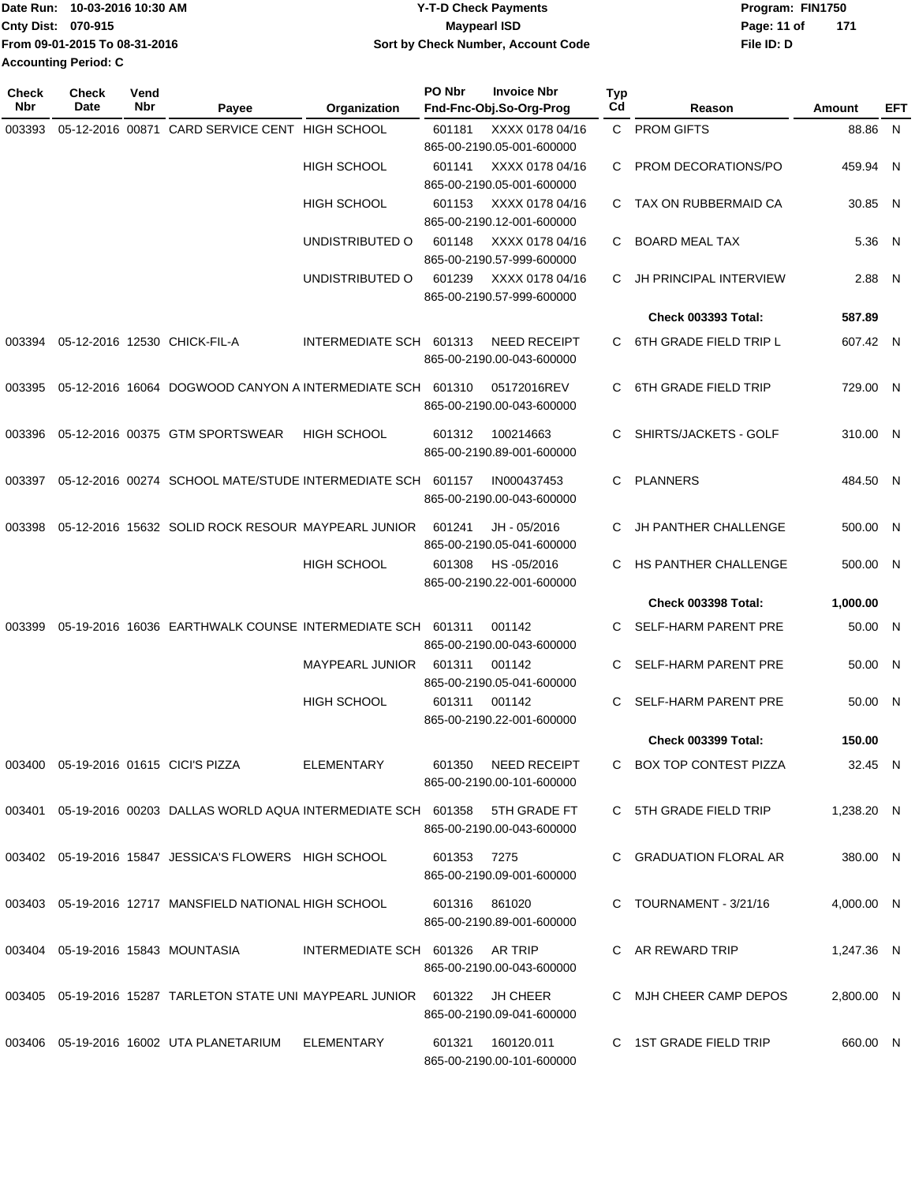|                           | Date Run: 10-03-2016 10:30 AM | <b>Y-T-D Check Payments</b>        | Program: FIN1750   |
|---------------------------|-------------------------------|------------------------------------|--------------------|
| <b>Cnty Dist: 070-915</b> |                               | <b>Mavpearl ISD</b>                | Page: 11 of<br>171 |
|                           | From 09-01-2015 To 08-31-2016 | Sort by Check Number, Account Code | File ID: D         |
| Accounting Period: C      |                               |                                    |                    |

| <b>Check</b><br>Nbr | Check<br>Date | Vend<br>Nbr | Payee                                                                          | Organization                    | PO Nbr        | <b>Invoice Nbr</b><br>Fnd-Fnc-Obj.So-Org-Prog    | <b>Typ</b><br>Cd | Reason                        | Amount     | EFT |
|---------------------|---------------|-------------|--------------------------------------------------------------------------------|---------------------------------|---------------|--------------------------------------------------|------------------|-------------------------------|------------|-----|
| 003393              |               |             | 05-12-2016 00871 CARD SERVICE CENT HIGH SCHOOL                                 |                                 | 601181        | XXXX 0178 04/16<br>865-00-2190.05-001-600000     |                  | C PROM GIFTS                  | 88.86 N    |     |
|                     |               |             |                                                                                | <b>HIGH SCHOOL</b>              | 601141        | XXXX 0178 04/16<br>865-00-2190.05-001-600000     | C                | <b>PROM DECORATIONS/PO</b>    | 459.94 N   |     |
|                     |               |             |                                                                                | <b>HIGH SCHOOL</b>              | 601153        | XXXX 0178 04/16<br>865-00-2190.12-001-600000     |                  | C TAX ON RUBBERMAID CA        | 30.85 N    |     |
|                     |               |             |                                                                                | UNDISTRIBUTED O                 | 601148        | XXXX 0178 04/16<br>865-00-2190.57-999-600000     | C.               | <b>BOARD MEAL TAX</b>         | 5.36 N     |     |
|                     |               |             |                                                                                | UNDISTRIBUTED O                 | 601239        | XXXX 0178 04/16<br>865-00-2190.57-999-600000     | C                | <b>JH PRINCIPAL INTERVIEW</b> | 2.88 N     |     |
|                     |               |             |                                                                                |                                 |               |                                                  |                  | <b>Check 003393 Total:</b>    | 587.89     |     |
| 003394              |               |             | 05-12-2016 12530 CHICK-FIL-A                                                   | INTERMEDIATE SCH 601313         |               | <b>NEED RECEIPT</b><br>865-00-2190.00-043-600000 |                  | C 6TH GRADE FIELD TRIP L      | 607.42 N   |     |
| 003395              |               |             | 05-12-2016 16064 DOGWOOD CANYON A INTERMEDIATE SCH                             |                                 | 601310        | 05172016REV<br>865-00-2190.00-043-600000         | C.               | 6TH GRADE FIELD TRIP          | 729.00 N   |     |
| 003396              |               |             | 05-12-2016 00375 GTM SPORTSWEAR                                                | <b>HIGH SCHOOL</b>              | 601312        | 100214663<br>865-00-2190.89-001-600000           | C                | SHIRTS/JACKETS - GOLF         | 310.00 N   |     |
| 003397              |               |             | 05-12-2016 00274 SCHOOL MATE/STUDE INTERMEDIATE SCH 601157                     |                                 |               | IN000437453<br>865-00-2190.00-043-600000         | C.               | <b>PLANNERS</b>               | 484.50 N   |     |
| 003398              |               |             | 05-12-2016 15632 SOLID ROCK RESOUR MAYPEARL JUNIOR                             |                                 | 601241        | JH - 05/2016<br>865-00-2190.05-041-600000        | C                | <b>JH PANTHER CHALLENGE</b>   | 500.00 N   |     |
|                     |               |             |                                                                                | <b>HIGH SCHOOL</b>              | 601308        | HS-05/2016<br>865-00-2190.22-001-600000          | C.               | HS PANTHER CHALLENGE          | 500.00 N   |     |
|                     |               |             |                                                                                |                                 |               |                                                  |                  | <b>Check 003398 Total:</b>    | 1,000.00   |     |
| 003399              |               |             | 05-19-2016 16036 EARTHWALK COUNSE INTERMEDIATE SCH 601311                      |                                 |               | 001142<br>865-00-2190.00-043-600000              | C.               | SELF-HARM PARENT PRE          | 50.00 N    |     |
|                     |               |             |                                                                                | <b>MAYPEARL JUNIOR</b>          | 601311        | 001142<br>865-00-2190.05-041-600000              | C                | <b>SELF-HARM PARENT PRE</b>   | 50.00 N    |     |
|                     |               |             |                                                                                | <b>HIGH SCHOOL</b>              | 601311        | 001142<br>865-00-2190.22-001-600000              | C.               | <b>SELF-HARM PARENT PRE</b>   | 50.00 N    |     |
|                     |               |             |                                                                                |                                 |               |                                                  |                  | <b>Check 003399 Total:</b>    | 150.00     |     |
|                     |               |             | 003400  05-19-2016  01615  CICI'S PIZZA                                        | ELEMENTARY                      | 601350        | NEED RECEIPT<br>865-00-2190.00-101-600000        |                  | C BOX TOP CONTEST PIZZA       | 32.45 N    |     |
|                     |               |             | 003401 05-19-2016 00203 DALLAS WORLD AQUA INTERMEDIATE SCH 601358 5TH GRADE FT |                                 |               | 865-00-2190.00-043-600000                        |                  | C 5TH GRADE FIELD TRIP        | 1,238.20 N |     |
|                     |               |             | 003402 05-19-2016 15847 JESSICA'S FLOWERS HIGH SCHOOL                          |                                 | 601353 7275   | 865-00-2190.09-001-600000                        |                  | C GRADUATION FLORAL AR        | 380.00 N   |     |
|                     |               |             | 003403 05-19-2016 12717 MANSFIELD NATIONAL HIGH SCHOOL                         |                                 | 601316 861020 | 865-00-2190.89-001-600000                        |                  | C TOURNAMENT - 3/21/16        | 4,000.00 N |     |
|                     |               |             | 003404 05-19-2016 15843 MOUNTASIA                                              | INTERMEDIATE SCH 601326 AR TRIP |               | 865-00-2190.00-043-600000                        |                  | C AR REWARD TRIP              | 1,247.36 N |     |
|                     |               |             | 003405 05-19-2016 15287 TARLETON STATE UNI MAYPEARL JUNIOR 601322 JH CHEER     |                                 |               | 865-00-2190.09-041-600000                        |                  | C MJH CHEER CAMP DEPOS        | 2,800.00 N |     |
|                     |               |             | 003406  05-19-2016  16002  UTA PLANETARIUM                                     | ELEMENTARY                      | 601321        | 160120.011<br>865-00-2190.00-101-600000          |                  | C 1ST GRADE FIELD TRIP        | 660.00 N   |     |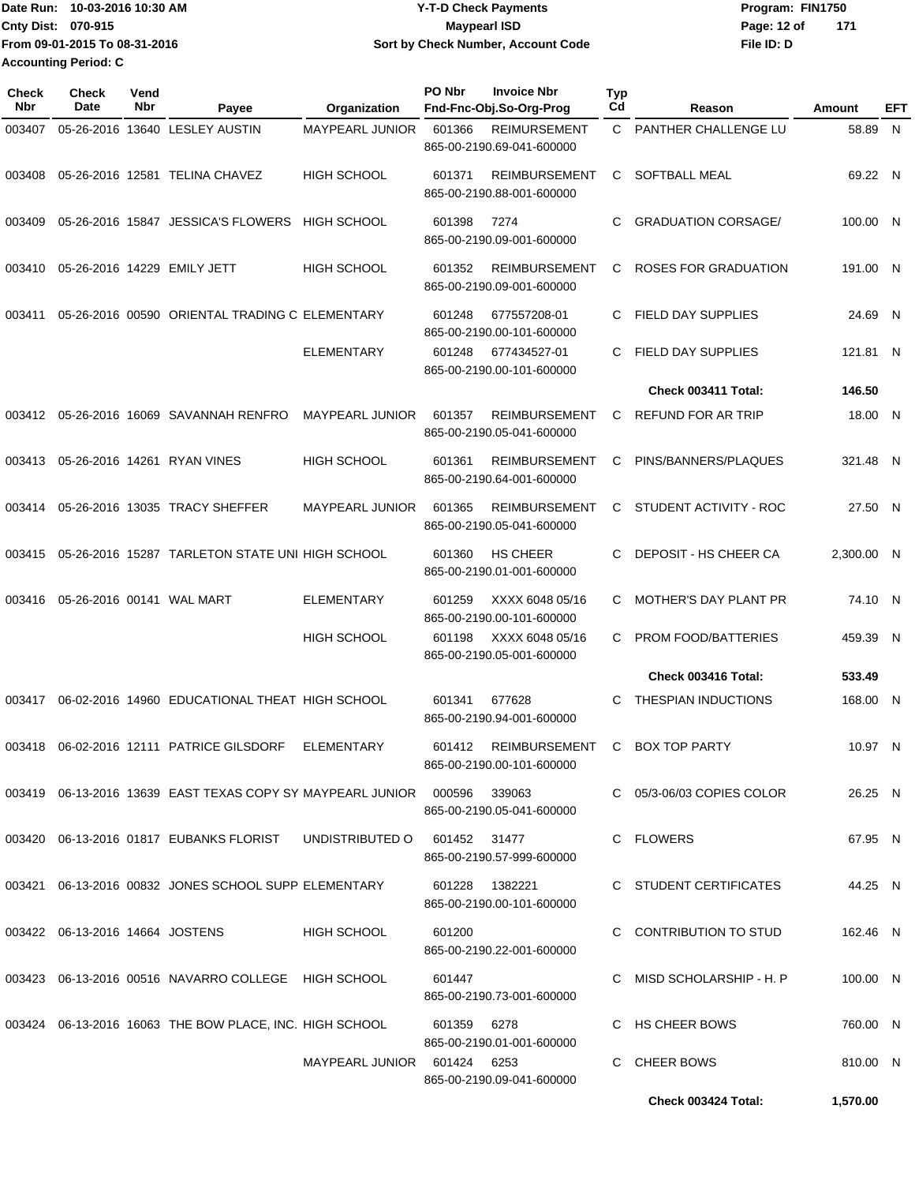|                      | Date Run: 10-03-2016 10:30 AM | <b>Y-T-D Check Payments</b>        | Program: FIN1750 |     |
|----------------------|-------------------------------|------------------------------------|------------------|-----|
| Cnty Dist: 070-915   |                               | <b>Mavpearl ISD</b>                | Page: 12 of      | 171 |
|                      | From 09-01-2015 To 08-31-2016 | Sort by Check Number, Account Code | File ID: D       |     |
| Accounting Period: C |                               |                                    |                  |     |

| Check<br>Nbr | <b>Check</b><br>Date            | Vend<br>Nbr | Payee                                                                         | Organization                | PO Nbr       | <b>Invoice Nbr</b><br>Fnd-Fnc-Obj.So-Org-Prog     | <b>Typ</b><br>Cd | Reason                       | Amount     | EFT |
|--------------|---------------------------------|-------------|-------------------------------------------------------------------------------|-----------------------------|--------------|---------------------------------------------------|------------------|------------------------------|------------|-----|
| 003407       |                                 |             | 05-26-2016 13640 LESLEY AUSTIN                                                | MAYPEARL JUNIOR             | 601366       | <b>REIMURSEMENT</b><br>865-00-2190.69-041-600000  | C.               | PANTHER CHALLENGE LU         | 58.89 N    |     |
| 003408       |                                 |             | 05-26-2016 12581 TELINA CHAVEZ                                                | <b>HIGH SCHOOL</b>          | 601371       | <b>REIMBURSEMENT</b><br>865-00-2190.88-001-600000 | C                | SOFTBALL MEAL                | 69.22 N    |     |
| 003409       |                                 |             | 05-26-2016 15847 JESSICA'S FLOWERS                                            | <b>HIGH SCHOOL</b>          | 601398       | 7274<br>865-00-2190.09-001-600000                 | C                | <b>GRADUATION CORSAGE/</b>   | 100.00 N   |     |
| 003410       |                                 |             | 05-26-2016 14229 EMILY JETT                                                   | <b>HIGH SCHOOL</b>          | 601352       | <b>REIMBURSEMENT</b><br>865-00-2190.09-001-600000 | C                | <b>ROSES FOR GRADUATION</b>  | 191.00 N   |     |
| 003411       |                                 |             | 05-26-2016 00590 ORIENTAL TRADING C ELEMENTARY                                |                             | 601248       | 677557208-01<br>865-00-2190.00-101-600000         | C.               | FIELD DAY SUPPLIES           | 24.69 N    |     |
|              |                                 |             |                                                                               | <b>ELEMENTARY</b>           | 601248       | 677434527-01<br>865-00-2190.00-101-600000         | C                | FIELD DAY SUPPLIES           | 121.81 N   |     |
|              |                                 |             |                                                                               |                             |              |                                                   |                  | Check 003411 Total:          | 146.50     |     |
| 003412       |                                 |             | 05-26-2016 16069 SAVANNAH RENFRO                                              | <b>MAYPEARL JUNIOR</b>      | 601357       | <b>REIMBURSEMENT</b><br>865-00-2190.05-041-600000 | C                | <b>REFUND FOR AR TRIP</b>    | 18.00 N    |     |
| 003413       |                                 |             | 05-26-2016 14261 RYAN VINES                                                   | <b>HIGH SCHOOL</b>          | 601361       | <b>REIMBURSEMENT</b><br>865-00-2190.64-001-600000 | C                | PINS/BANNERS/PLAQUES         | 321.48 N   |     |
| 003414       |                                 |             | 05-26-2016 13035 TRACY SHEFFER                                                | <b>MAYPEARL JUNIOR</b>      | 601365       | <b>REIMBURSEMENT</b><br>865-00-2190.05-041-600000 | C                | STUDENT ACTIVITY - ROC       | 27.50 N    |     |
| 003415       |                                 |             | 05-26-2016 15287 TARLETON STATE UNI HIGH SCHOOL                               |                             | 601360       | <b>HS CHEER</b><br>865-00-2190.01-001-600000      | C.               | DEPOSIT - HS CHEER CA        | 2,300.00 N |     |
| 003416       |                                 |             | 05-26-2016 00141 WAL MART                                                     | <b>ELEMENTARY</b>           | 601259       | XXXX 6048 05/16<br>865-00-2190.00-101-600000      | C                | <b>MOTHER'S DAY PLANT PR</b> | 74.10 N    |     |
|              |                                 |             |                                                                               | <b>HIGH SCHOOL</b>          | 601198       | XXXX 6048 05/16<br>865-00-2190.05-001-600000      | C.               | PROM FOOD/BATTERIES          | 459.39 N   |     |
|              |                                 |             |                                                                               |                             |              |                                                   |                  | Check 003416 Total:          | 533.49     |     |
| 003417       |                                 |             | 06-02-2016 14960 EDUCATIONAL THEAT HIGH SCHOOL                                |                             | 601341       | 677628<br>865-00-2190.94-001-600000               | C                | <b>THESPIAN INDUCTIONS</b>   | 168.00 N   |     |
| 003418       |                                 |             | 06-02-2016 12111 PATRICE GILSDORF                                             | <b>ELEMENTARY</b>           | 601412       | <b>REIMBURSEMENT</b><br>865-00-2190.00-101-600000 | C                | <b>BOX TOP PARTY</b>         | 10.97 N    |     |
|              |                                 |             | 003419  06-13-2016  13639  EAST TEXAS COPY SY MAYPEARL JUNIOR  000596  339063 |                             |              | 865-00-2190.05-041-600000                         |                  | C 05/3-06/03 COPIES COLOR    | 26.25 N    |     |
|              |                                 |             | 003420 06-13-2016 01817 EUBANKS FLORIST                                       | UNDISTRIBUTED O             | 601452 31477 | 865-00-2190.57-999-600000                         |                  | C FLOWERS                    | 67.95 N    |     |
|              |                                 |             | 003421  06-13-2016  00832  JONES SCHOOL SUPP ELEMENTARY                       |                             | 601228       | 1382221<br>865-00-2190.00-101-600000              |                  | C STUDENT CERTIFICATES       | 44.25 N    |     |
|              | 003422 06-13-2016 14664 JOSTENS |             |                                                                               | HIGH SCHOOL                 | 601200       | 865-00-2190.22-001-600000                         |                  | C CONTRIBUTION TO STUD       | 162.46 N   |     |
|              |                                 |             | 003423 06-13-2016 00516 NAVARRO COLLEGE HIGH SCHOOL                           |                             | 601447       | 865-00-2190.73-001-600000                         | C.               | MISD SCHOLARSHIP - H. P      | 100.00 N   |     |
|              |                                 |             | 003424 06-13-2016 16063 THE BOW PLACE, INC. HIGH SCHOOL                       |                             | 601359       | 6278<br>865-00-2190.01-001-600000                 |                  | C HS CHEER BOWS              | 760.00 N   |     |
|              |                                 |             |                                                                               | MAYPEARL JUNIOR 601424 6253 |              | 865-00-2190.09-041-600000                         |                  | <b>CHEER BOWS</b>            | 810.00 N   |     |
|              |                                 |             |                                                                               |                             |              |                                                   |                  | Check 003424 Total:          | 1,570.00   |     |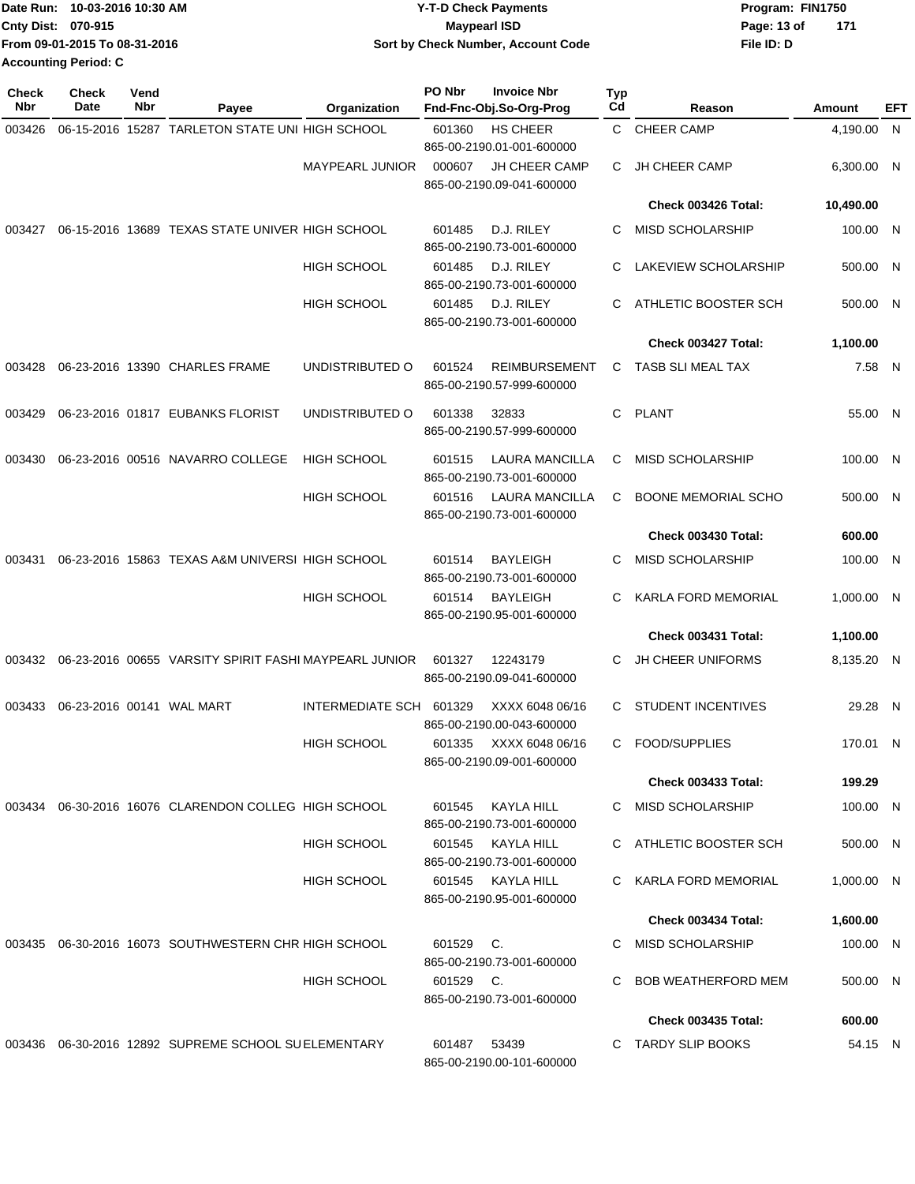|                           | Date Run: 10-03-2016 10:30 AM | <b>Y-T-D Check Payments</b>        | Program: FIN1750   |  |  |
|---------------------------|-------------------------------|------------------------------------|--------------------|--|--|
| <b>Cnty Dist: 070-915</b> |                               | <b>Mavpearl ISD</b>                | Page: 13 of<br>171 |  |  |
|                           | From 09-01-2015 To 08-31-2016 | Sort by Check Number, Account Code | File ID: D         |  |  |
|                           | Accounting Period: C          |                                    |                    |  |  |

| Check<br>Nbr | <b>Check</b><br>Date      | Vend<br>Nbr | Payee                                                        | Organization           | PO Nbr    | <b>Invoice Nbr</b><br>Fnd-Fnc-Obj.So-Org-Prog      | <b>Typ</b><br>Cd | Reason                     | Amount       | EFT |
|--------------|---------------------------|-------------|--------------------------------------------------------------|------------------------|-----------|----------------------------------------------------|------------------|----------------------------|--------------|-----|
| 003426       |                           |             | 06-15-2016 15287 TARLETON STATE UNI HIGH SCHOOL              |                        | 601360    | <b>HS CHEER</b><br>865-00-2190.01-001-600000       | C                | <b>CHEER CAMP</b>          | 4,190.00 N   |     |
|              |                           |             |                                                              | <b>MAYPEARL JUNIOR</b> | 000607    | <b>JH CHEER CAMP</b><br>865-00-2190.09-041-600000  | С                | JH CHEER CAMP              | 6,300.00 N   |     |
|              |                           |             |                                                              |                        |           |                                                    |                  | Check 003426 Total:        | 10,490.00    |     |
| 003427       |                           |             | 06-15-2016 13689 TEXAS STATE UNIVER HIGH SCHOOL              |                        | 601485    | D.J. RILEY<br>865-00-2190.73-001-600000            | C                | <b>MISD SCHOLARSHIP</b>    | 100.00 N     |     |
|              |                           |             |                                                              | <b>HIGH SCHOOL</b>     | 601485    | D.J. RILEY<br>865-00-2190.73-001-600000            | C                | LAKEVIEW SCHOLARSHIP       | 500.00 N     |     |
|              |                           |             |                                                              | <b>HIGH SCHOOL</b>     | 601485    | D.J. RILEY<br>865-00-2190.73-001-600000            | C                | ATHLETIC BOOSTER SCH       | 500.00 N     |     |
|              |                           |             |                                                              |                        |           |                                                    |                  | Check 003427 Total:        | 1,100.00     |     |
| 003428       |                           |             | 06-23-2016 13390 CHARLES FRAME                               | UNDISTRIBUTED O        | 601524    | <b>REIMBURSEMENT</b><br>865-00-2190.57-999-600000  | С                | TASB SLI MEAL TAX          | 7.58 N       |     |
| 003429       |                           |             | 06-23-2016 01817 EUBANKS FLORIST                             | UNDISTRIBUTED O        | 601338    | 32833<br>865-00-2190.57-999-600000                 | C                | <b>PLANT</b>               | 55.00 N      |     |
| 003430       |                           |             | 06-23-2016 00516 NAVARRO COLLEGE                             | <b>HIGH SCHOOL</b>     | 601515    | <b>LAURA MANCILLA</b><br>865-00-2190.73-001-600000 | С                | <b>MISD SCHOLARSHIP</b>    | 100.00 N     |     |
|              |                           |             |                                                              | <b>HIGH SCHOOL</b>     | 601516    | <b>LAURA MANCILLA</b><br>865-00-2190.73-001-600000 | C                | <b>BOONE MEMORIAL SCHO</b> | 500.00 N     |     |
|              |                           |             |                                                              |                        |           |                                                    |                  | Check 003430 Total:        | 600.00       |     |
| 003431       |                           |             | 06-23-2016 15863 TEXAS A&M UNIVERSI HIGH SCHOOL              |                        | 601514    | <b>BAYLEIGH</b><br>865-00-2190.73-001-600000       | С                | <b>MISD SCHOLARSHIP</b>    | 100.00 N     |     |
|              |                           |             |                                                              | <b>HIGH SCHOOL</b>     | 601514    | <b>BAYLEIGH</b><br>865-00-2190.95-001-600000       | C                | KARLA FORD MEMORIAL        | 1,000.00 N   |     |
|              |                           |             |                                                              |                        |           |                                                    |                  | Check 003431 Total:        | 1,100.00     |     |
|              |                           |             | 003432 06-23-2016 00655 VARSITY SPIRIT FASHI MAYPEARL JUNIOR |                        | 601327    | 12243179<br>865-00-2190.09-041-600000              | C                | <b>JH CHEER UNIFORMS</b>   | 8,135.20 N   |     |
| 003433       | 06-23-2016 00141 WAL MART |             |                                                              | INTERMEDIATE SCH       | 601329    | XXXX 6048 06/16<br>865-00-2190.00-043-600000       | C                | STUDENT INCENTIVES         | 29.28 N      |     |
|              |                           |             |                                                              | <b>HIGH SCHOOL</b>     | 601335    | XXXX 6048 06/16<br>865-00-2190.09-001-600000       | C                | <b>FOOD/SUPPLIES</b>       | 170.01 N     |     |
|              |                           |             |                                                              |                        |           |                                                    |                  | <b>Check 003433 Total:</b> | 199.29       |     |
|              |                           |             | 003434 06-30-2016 16076 CLARENDON COLLEG HIGH SCHOOL         |                        | 601545    | KAYLA HILL<br>865-00-2190.73-001-600000            | C                | MISD SCHOLARSHIP           | 100.00 N     |     |
|              |                           |             |                                                              | HIGH SCHOOL            | 601545    | KAYLA HILL<br>865-00-2190.73-001-600000            |                  | C ATHLETIC BOOSTER SCH     | 500.00 N     |     |
|              |                           |             |                                                              | HIGH SCHOOL            | 601545    | KAYLA HILL<br>865-00-2190.95-001-600000            | C.               | KARLA FORD MEMORIAL        | $1,000.00$ N |     |
|              |                           |             |                                                              |                        |           |                                                    |                  | Check 003434 Total:        | 1,600.00     |     |
|              |                           |             | 003435 06-30-2016 16073 SOUTHWESTERN CHR HIGH SCHOOL         |                        | 601529 C. | 865-00-2190.73-001-600000                          | C                | MISD SCHOLARSHIP           | 100.00 N     |     |
|              |                           |             |                                                              | <b>HIGH SCHOOL</b>     | 601529 C. | 865-00-2190.73-001-600000                          |                  | <b>BOB WEATHERFORD MEM</b> | 500.00 N     |     |
|              |                           |             |                                                              |                        |           |                                                    |                  | <b>Check 003435 Total:</b> | 600.00       |     |
|              |                           |             | 003436  06-30-2016  12892  SUPREME SCHOOL SUELEMENTARY       |                        | 601487    | 53439<br>865-00-2190.00-101-600000                 |                  | TARDY SLIP BOOKS           | 54.15 N      |     |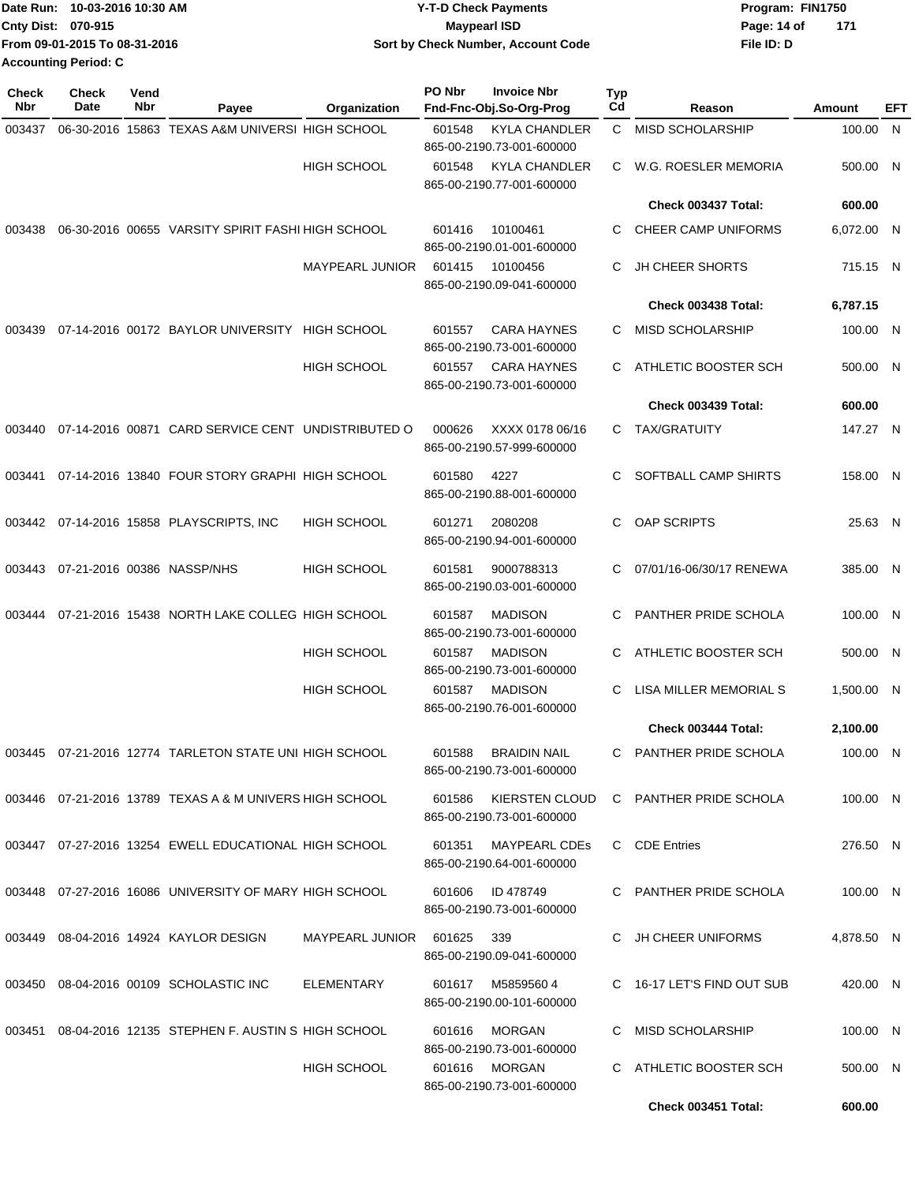|                           | Date Run: 10-03-2016 10:30 AM | <b>Y-T-D Check Payments</b>        | Program: FIN1750 |     |
|---------------------------|-------------------------------|------------------------------------|------------------|-----|
| <b>Cnty Dist: 070-915</b> |                               | <b>Mavpearl ISD</b>                | Page: 14 of      | 171 |
|                           | From 09-01-2015 To 08-31-2016 | Sort by Check Number, Account Code | File ID: D       |     |
| Accounting Period: C      |                               |                                    |                  |     |

| <b>Check</b><br>Nbr | <b>Check</b><br>Date | Vend<br>Nbr | Payee                                                   | Organization           | PO Nbr<br><b>Invoice Nbr</b><br>Fnd-Fnc-Obj.So-Org-Prog     | Typ<br>Cd | Reason                     | Amount     | EFT |
|---------------------|----------------------|-------------|---------------------------------------------------------|------------------------|-------------------------------------------------------------|-----------|----------------------------|------------|-----|
| 003437              |                      |             | 06-30-2016 15863 TEXAS A&M UNIVERSI HIGH SCHOOL         |                        | 601548<br><b>KYLA CHANDLER</b><br>865-00-2190.73-001-600000 | C         | MISD SCHOLARSHIP           | 100.00 N   |     |
|                     |                      |             |                                                         | <b>HIGH SCHOOL</b>     | <b>KYLA CHANDLER</b><br>601548<br>865-00-2190.77-001-600000 | C         | W.G. ROESLER MEMORIA       | 500.00 N   |     |
|                     |                      |             |                                                         |                        |                                                             |           | Check 003437 Total:        | 600.00     |     |
| 003438              |                      |             | 06-30-2016 00655 VARSITY SPIRIT FASHI HIGH SCHOOL       |                        | 601416<br>10100461<br>865-00-2190.01-001-600000             | C         | CHEER CAMP UNIFORMS        | 6,072.00 N |     |
|                     |                      |             |                                                         | <b>MAYPEARL JUNIOR</b> | 601415<br>10100456<br>865-00-2190.09-041-600000             | C         | <b>JH CHEER SHORTS</b>     | 715.15 N   |     |
|                     |                      |             |                                                         |                        |                                                             |           | Check 003438 Total:        | 6,787.15   |     |
| 003439              |                      |             | 07-14-2016 00172 BAYLOR UNIVERSITY HIGH SCHOOL          |                        | 601557<br><b>CARA HAYNES</b><br>865-00-2190.73-001-600000   | C         | <b>MISD SCHOLARSHIP</b>    | 100.00 N   |     |
|                     |                      |             |                                                         | <b>HIGH SCHOOL</b>     | <b>CARA HAYNES</b><br>601557<br>865-00-2190.73-001-600000   | C         | ATHLETIC BOOSTER SCH       | 500.00 N   |     |
|                     |                      |             |                                                         |                        |                                                             |           | Check 003439 Total:        | 600.00     |     |
| 003440              |                      |             | 07-14-2016 00871 CARD SERVICE CENT UNDISTRIBUTED O      |                        | 000626<br>XXXX 0178 06/16<br>865-00-2190.57-999-600000      | C         | <b>TAX/GRATUITY</b>        | 147.27 N   |     |
| 003441              |                      |             | 07-14-2016 13840 FOUR STORY GRAPHI HIGH SCHOOL          |                        | 601580<br>4227<br>865-00-2190.88-001-600000                 | C         | SOFTBALL CAMP SHIRTS       | 158.00 N   |     |
|                     |                      |             | 003442 07-14-2016 15858 PLAYSCRIPTS, INC                | <b>HIGH SCHOOL</b>     | 601271<br>2080208<br>865-00-2190.94-001-600000              | C         | OAP SCRIPTS                | 25.63 N    |     |
|                     |                      |             | 003443  07-21-2016  00386  NASSP/NHS                    | <b>HIGH SCHOOL</b>     | 9000788313<br>601581<br>865-00-2190.03-001-600000           | С         | 07/01/16-06/30/17 RENEWA   | 385.00 N   |     |
| 003444              |                      |             | 07-21-2016 15438 NORTH LAKE COLLEG HIGH SCHOOL          |                        | <b>MADISON</b><br>601587<br>865-00-2190.73-001-600000       | C         | PANTHER PRIDE SCHOLA       | 100.00 N   |     |
|                     |                      |             |                                                         | <b>HIGH SCHOOL</b>     | <b>MADISON</b><br>601587<br>865-00-2190.73-001-600000       | C         | ATHLETIC BOOSTER SCH       | 500.00 N   |     |
|                     |                      |             |                                                         | <b>HIGH SCHOOL</b>     | 601587<br><b>MADISON</b><br>865-00-2190.76-001-600000       | C         | LISA MILLER MEMORIAL S     | 1,500.00 N |     |
|                     |                      |             |                                                         |                        |                                                             |           | Check 003444 Total:        | 2,100.00   |     |
| 003445              |                      |             | 07-21-2016 12774 TARLETON STATE UNI HIGH SCHOOL         |                        | 601588<br><b>BRAIDIN NAIL</b><br>865-00-2190.73-001-600000  | C         | PANTHER PRIDE SCHOLA       | 100.00 N   |     |
|                     |                      |             | 003446 07-21-2016 13789 TEXAS A & M UNIVERS HIGH SCHOOL |                        | 601586<br>KIERSTEN CLOUD<br>865-00-2190.73-001-600000       |           | C PANTHER PRIDE SCHOLA     | 100.00 N   |     |
|                     |                      |             | 003447 07-27-2016 13254 EWELL EDUCATIONAL HIGH SCHOOL   |                        | <b>MAYPEARL CDEs</b><br>601351<br>865-00-2190.64-001-600000 |           | C CDE Entries              | 276.50 N   |     |
|                     |                      |             | 003448 07-27-2016 16086 UNIVERSITY OF MARY HIGH SCHOOL  |                        | 601606<br>ID 478749<br>865-00-2190.73-001-600000            | C.        | PANTHER PRIDE SCHOLA       | 100.00 N   |     |
|                     |                      |             | 003449 08-04-2016 14924 KAYLOR DESIGN                   | MAYPEARL JUNIOR        | 601625<br>339<br>865-00-2190.09-041-600000                  |           | C JH CHEER UNIFORMS        | 4,878.50 N |     |
|                     |                      |             | 003450 08-04-2016 00109 SCHOLASTIC INC                  | ELEMENTARY             | 601617<br>M5859560 4<br>865-00-2190.00-101-600000           |           | C 16-17 LET'S FIND OUT SUB | 420.00 N   |     |
|                     |                      |             | 003451 08-04-2016 12135 STEPHEN F. AUSTIN S HIGH SCHOOL |                        | <b>MORGAN</b><br>601616<br>865-00-2190.73-001-600000        | C         | <b>MISD SCHOLARSHIP</b>    | 100.00 N   |     |
|                     |                      |             |                                                         | <b>HIGH SCHOOL</b>     | 601616<br>MORGAN<br>865-00-2190.73-001-600000               | C.        | ATHLETIC BOOSTER SCH       | 500.00 N   |     |
|                     |                      |             |                                                         |                        |                                                             |           | Check 003451 Total:        | 600.00     |     |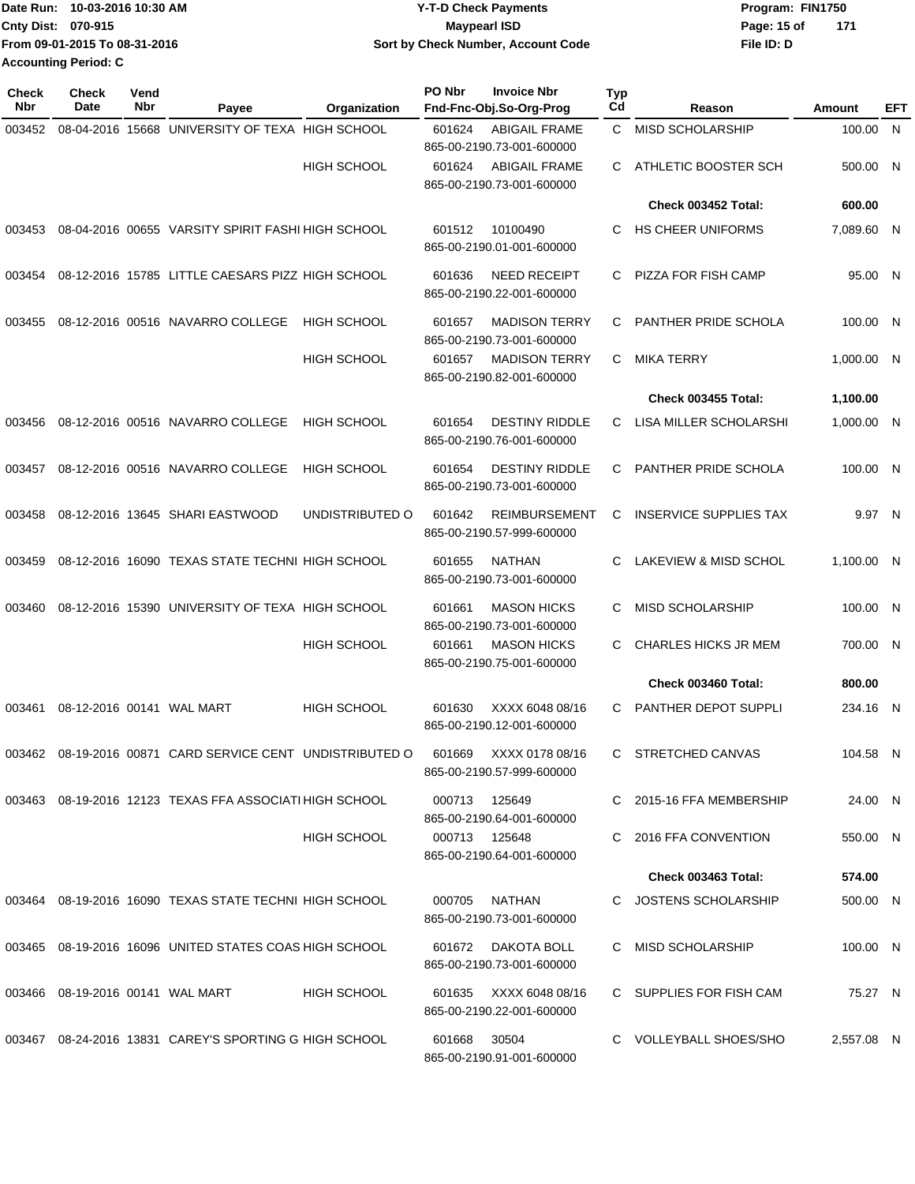|                           | Date Run: 10-03-2016 10:30 AM | <b>Y-T-D Check Payments</b>        | Program: FIN1750 |     |
|---------------------------|-------------------------------|------------------------------------|------------------|-----|
| <b>Cnty Dist: 070-915</b> |                               | Maypearl ISD                       | Page: 15 of      | 171 |
|                           | From 09-01-2015 To 08-31-2016 | Sort by Check Number, Account Code | File ID: D       |     |
| Accounting Period: C      |                               |                                    |                  |     |

| <b>Check</b><br>Nbr | <b>Check</b><br>Date             | Vend<br>Nbr | Payee                                                   | Organization       | PO Nbr | <b>Invoice Nbr</b><br>Fnd-Fnc-Obj.So-Org-Prog      | Typ<br>Cd | Reason                        | Amount     | EFT |
|---------------------|----------------------------------|-------------|---------------------------------------------------------|--------------------|--------|----------------------------------------------------|-----------|-------------------------------|------------|-----|
| 003452              |                                  |             | 08-04-2016 15668 UNIVERSITY OF TEXA HIGH SCHOOL         |                    | 601624 | <b>ABIGAIL FRAME</b><br>865-00-2190.73-001-600000  | C.        | MISD SCHOLARSHIP              | 100.00 N   |     |
|                     |                                  |             |                                                         | <b>HIGH SCHOOL</b> | 601624 | <b>ABIGAIL FRAME</b><br>865-00-2190.73-001-600000  | C         | ATHLETIC BOOSTER SCH          | 500.00 N   |     |
|                     |                                  |             |                                                         |                    |        |                                                    |           | Check 003452 Total:           | 600.00     |     |
| 003453              |                                  |             | 08-04-2016 00655 VARSITY SPIRIT FASHI HIGH SCHOOL       |                    | 601512 | 10100490<br>865-00-2190.01-001-600000              | C         | <b>HS CHEER UNIFORMS</b>      | 7,089.60 N |     |
| 003454              |                                  |             | 08-12-2016 15785 LITTLE CAESARS PIZZ HIGH SCHOOL        |                    | 601636 | <b>NEED RECEIPT</b><br>865-00-2190.22-001-600000   | C         | <b>PIZZA FOR FISH CAMP</b>    | 95.00 N    |     |
| 003455              |                                  |             | 08-12-2016 00516 NAVARRO COLLEGE                        | <b>HIGH SCHOOL</b> | 601657 | <b>MADISON TERRY</b><br>865-00-2190.73-001-600000  | C         | PANTHER PRIDE SCHOLA          | 100.00 N   |     |
|                     |                                  |             |                                                         | HIGH SCHOOL        | 601657 | <b>MADISON TERRY</b><br>865-00-2190.82-001-600000  | С         | <b>MIKA TERRY</b>             | 1,000.00 N |     |
|                     |                                  |             |                                                         |                    |        |                                                    |           | <b>Check 003455 Total:</b>    | 1,100.00   |     |
| 003456              |                                  |             | 08-12-2016 00516 NAVARRO COLLEGE                        | <b>HIGH SCHOOL</b> | 601654 | <b>DESTINY RIDDLE</b><br>865-00-2190.76-001-600000 | C         | LISA MILLER SCHOLARSHI        | 1,000.00 N |     |
| 003457              |                                  |             | 08-12-2016 00516 NAVARRO COLLEGE                        | <b>HIGH SCHOOL</b> | 601654 | <b>DESTINY RIDDLE</b><br>865-00-2190.73-001-600000 | С         | PANTHER PRIDE SCHOLA          | 100.00 N   |     |
| 003458              |                                  |             | 08-12-2016 13645 SHARI EASTWOOD                         | UNDISTRIBUTED O    | 601642 | <b>REIMBURSEMENT</b><br>865-00-2190.57-999-600000  | С         | <b>INSERVICE SUPPLIES TAX</b> | 9.97 N     |     |
| 003459              |                                  |             | 08-12-2016 16090 TEXAS STATE TECHNI HIGH SCHOOL         |                    | 601655 | <b>NATHAN</b><br>865-00-2190.73-001-600000         | C         | LAKEVIEW & MISD SCHOL         | 1,100.00 N |     |
| 003460              |                                  |             | 08-12-2016 15390 UNIVERSITY OF TEXA HIGH SCHOOL         |                    | 601661 | <b>MASON HICKS</b><br>865-00-2190.73-001-600000    | С         | <b>MISD SCHOLARSHIP</b>       | 100.00 N   |     |
|                     |                                  |             |                                                         | <b>HIGH SCHOOL</b> | 601661 | <b>MASON HICKS</b><br>865-00-2190.75-001-600000    | C         | CHARLES HICKS JR MEM          | 700.00 N   |     |
|                     |                                  |             |                                                         |                    |        |                                                    |           | Check 003460 Total:           | 800.00     |     |
| 003461              | 08-12-2016 00141 WAL MART        |             |                                                         | <b>HIGH SCHOOL</b> | 601630 | XXXX 6048 08/16<br>865-00-2190.12-001-600000       | С         | PANTHER DEPOT SUPPLI          | 234.16 N   |     |
| 003462              |                                  |             | 08-19-2016 00871 CARD SERVICE CENT UNDISTRIBUTED O      |                    | 601669 | XXXX 0178 08/16<br>865-00-2190.57-999-600000       | C.        | STRETCHED CANVAS              | 104.58 N   |     |
|                     |                                  |             | 003463 08-19-2016 12123 TEXAS FFA ASSOCIATI HIGH SCHOOL |                    | 000713 | 125649<br>865-00-2190.64-001-600000                |           | C 2015-16 FFA MEMBERSHIP      | 24.00 N    |     |
|                     |                                  |             |                                                         | <b>HIGH SCHOOL</b> |        | 000713 125648<br>865-00-2190.64-001-600000         |           | C 2016 FFA CONVENTION         | 550.00 N   |     |
|                     |                                  |             |                                                         |                    |        |                                                    |           | Check 003463 Total:           | 574.00     |     |
|                     |                                  |             | 003464 08-19-2016 16090 TEXAS STATE TECHNI HIGH SCHOOL  |                    | 000705 | NATHAN<br>865-00-2190.73-001-600000                |           | C JOSTENS SCHOLARSHIP         | 500.00 N   |     |
| 003465              |                                  |             | 08-19-2016 16096 UNITED STATES COAS HIGH SCHOOL         |                    | 601672 | DAKOTA BOLL<br>865-00-2190.73-001-600000           | C         | MISD SCHOLARSHIP              | 100.00 N   |     |
|                     | 003466 08-19-2016 00141 WAL MART |             |                                                         | <b>HIGH SCHOOL</b> | 601635 | XXXX 6048 08/16<br>865-00-2190.22-001-600000       |           | C SUPPLIES FOR FISH CAM       | 75.27 N    |     |
|                     |                                  |             | 003467 08-24-2016 13831 CAREY'S SPORTING G HIGH SCHOOL  |                    | 601668 | 30504<br>865-00-2190.91-001-600000                 |           | C VOLLEYBALL SHOES/SHO        | 2,557.08 N |     |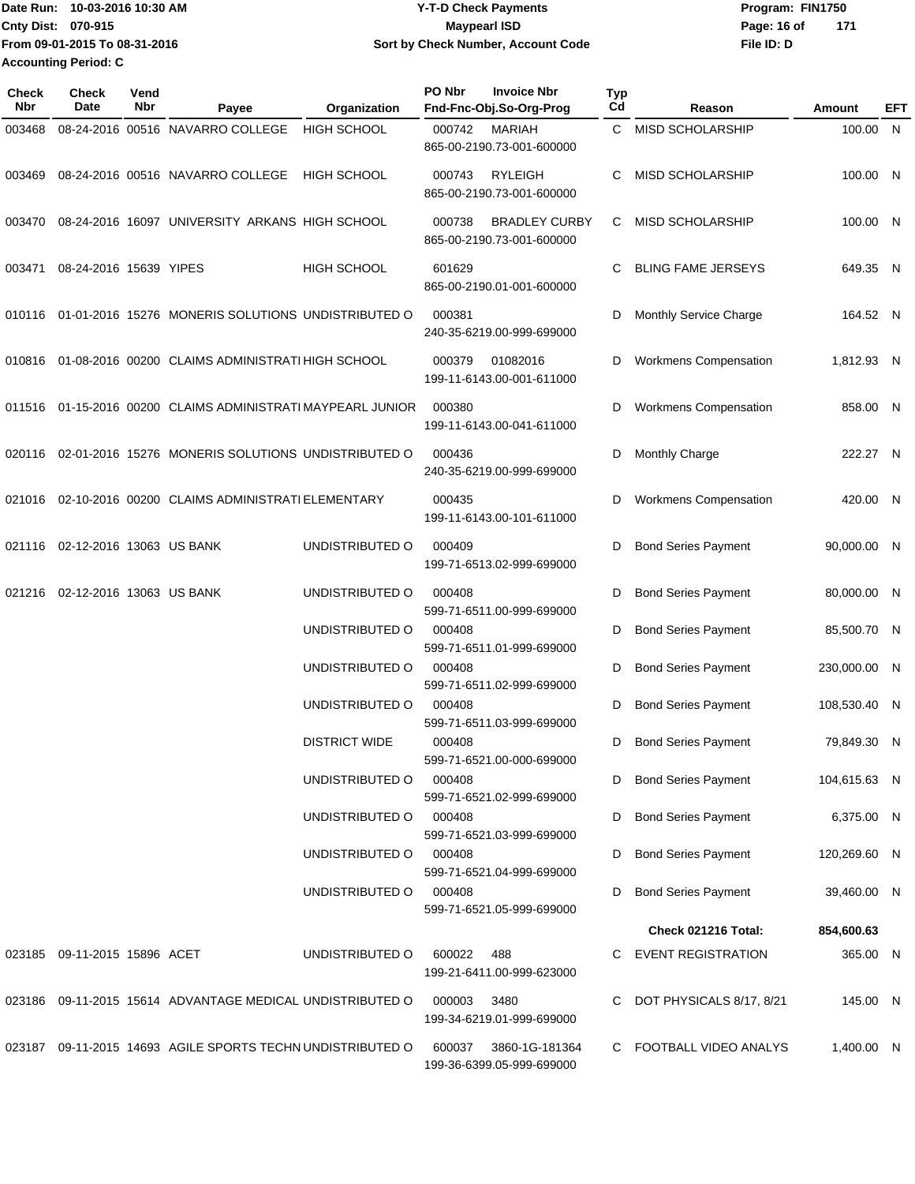Date Run: 10-03-2016 10:30 AM **Date Runity Controller State Payments** Program: FIN1750 **Cnty Dist: Page: 16 of 070-915 Maypearl ISD From 09-01-2015 To 08-31-2016 10-03-2016 10:30 AM Y-T-D Check Payments Sort by Check Number, Account Code Accounting Period: C**

| Maypearl ISD                       | Page: 16 of | 171 |  |
|------------------------------------|-------------|-----|--|
| Sort by Check Number, Account Code | File ID: D  |     |  |
|                                    |             |     |  |

| <b>Check</b><br>Nbr | <b>Check</b><br>Date            | Vend<br>Nbr | Payee                                                       | Organization         | PO Nbr | <b>Invoice Nbr</b><br>Fnd-Fnc-Obj.So-Org-Prog     | <b>Typ</b><br>Cd | Reason                       | Amount       | EFT |
|---------------------|---------------------------------|-------------|-------------------------------------------------------------|----------------------|--------|---------------------------------------------------|------------------|------------------------------|--------------|-----|
| 003468              |                                 |             | 08-24-2016 00516 NAVARRO COLLEGE                            | <b>HIGH SCHOOL</b>   | 000742 | <b>MARIAH</b><br>865-00-2190.73-001-600000        | C                | MISD SCHOLARSHIP             | 100.00 N     |     |
| 003469              |                                 |             | 08-24-2016 00516 NAVARRO COLLEGE                            | HIGH SCHOOL          | 000743 | <b>RYLEIGH</b><br>865-00-2190.73-001-600000       | C                | <b>MISD SCHOLARSHIP</b>      | 100.00 N     |     |
| 003470              |                                 |             | 08-24-2016 16097 UNIVERSITY ARKANS HIGH SCHOOL              |                      | 000738 | <b>BRADLEY CURBY</b><br>865-00-2190.73-001-600000 | C.               | MISD SCHOLARSHIP             | 100.00 N     |     |
| 003471              | 08-24-2016 15639 YIPES          |             |                                                             | <b>HIGH SCHOOL</b>   | 601629 | 865-00-2190.01-001-600000                         | C                | <b>BLING FAME JERSEYS</b>    | 649.35 N     |     |
|                     |                                 |             | 010116 01-01-2016 15276 MONERIS SOLUTIONS UNDISTRIBUTED O   |                      | 000381 | 240-35-6219.00-999-699000                         | D                | Monthly Service Charge       | 164.52 N     |     |
| 010816              |                                 |             | 01-08-2016 00200 CLAIMS ADMINISTRATI HIGH SCHOOL            |                      | 000379 | 01082016<br>199-11-6143.00-001-611000             | D                | <b>Workmens Compensation</b> | 1,812.93 N   |     |
|                     |                                 |             | 011516 01-15-2016 00200 CLAIMS ADMINISTRATI MAYPEARL JUNIOR |                      | 000380 | 199-11-6143.00-041-611000                         | D                | <b>Workmens Compensation</b> | 858.00 N     |     |
| 020116              |                                 |             | 02-01-2016 15276 MONERIS SOLUTIONS UNDISTRIBUTED O          |                      | 000436 | 240-35-6219.00-999-699000                         | D                | <b>Monthly Charge</b>        | 222.27 N     |     |
| 021016              |                                 |             | 02-10-2016 00200 CLAIMS ADMINISTRATI ELEMENTARY             |                      | 000435 | 199-11-6143.00-101-611000                         | D                | Workmens Compensation        | 420.00 N     |     |
|                     | 021116 02-12-2016 13063 US BANK |             |                                                             | UNDISTRIBUTED O      | 000409 | 199-71-6513.02-999-699000                         | D                | <b>Bond Series Payment</b>   | 90,000.00 N  |     |
| 021216              | 02-12-2016 13063 US BANK        |             |                                                             | UNDISTRIBUTED O      | 000408 | 599-71-6511.00-999-699000                         | D                | <b>Bond Series Payment</b>   | 80,000.00 N  |     |
|                     |                                 |             |                                                             | UNDISTRIBUTED O      | 000408 | 599-71-6511.01-999-699000                         | D                | <b>Bond Series Payment</b>   | 85,500.70 N  |     |
|                     |                                 |             |                                                             | UNDISTRIBUTED O      | 000408 | 599-71-6511.02-999-699000                         | D                | <b>Bond Series Payment</b>   | 230,000.00 N |     |
|                     |                                 |             |                                                             | UNDISTRIBUTED O      | 000408 | 599-71-6511.03-999-699000                         | D                | <b>Bond Series Payment</b>   | 108,530.40 N |     |
|                     |                                 |             |                                                             | <b>DISTRICT WIDE</b> | 000408 | 599-71-6521.00-000-699000                         | D                | <b>Bond Series Payment</b>   | 79,849.30 N  |     |
|                     |                                 |             |                                                             | UNDISTRIBUTED O      | 000408 | 599-71-6521.02-999-699000                         | D                | <b>Bond Series Payment</b>   | 104,615.63 N |     |
|                     |                                 |             |                                                             | UNDISTRIBUTED O      | 000408 | 599-71-6521.03-999-699000                         | D                | <b>Bond Series Payment</b>   | 6,375.00 N   |     |
|                     |                                 |             |                                                             | UNDISTRIBUTED O      | 000408 | 599-71-6521.04-999-699000                         | D                | <b>Bond Series Payment</b>   | 120,269.60 N |     |
|                     |                                 |             |                                                             | UNDISTRIBUTED O      | 000408 | 599-71-6521.05-999-699000                         | D                | <b>Bond Series Payment</b>   | 39,460.00 N  |     |
|                     |                                 |             |                                                             |                      |        |                                                   |                  | Check 021216 Total:          | 854,600.63   |     |
|                     | 023185 09-11-2015 15896 ACET    |             |                                                             | UNDISTRIBUTED O      | 600022 | 488<br>199-21-6411.00-999-623000                  | C                | <b>EVENT REGISTRATION</b>    | 365.00 N     |     |
|                     |                                 |             | 023186 09-11-2015 15614 ADVANTAGE MEDICAL UNDISTRIBUTED O   |                      | 000003 | 3480<br>199-34-6219.01-999-699000                 | C.               | DOT PHYSICALS 8/17, 8/21     | 145.00 N     |     |
|                     |                                 |             | 023187 09-11-2015 14693 AGILE SPORTS TECHN UNDISTRIBUTED O  |                      | 600037 | 3860-1G-181364<br>199-36-6399.05-999-699000       |                  | C FOOTBALL VIDEO ANALYS      | 1,400.00 N   |     |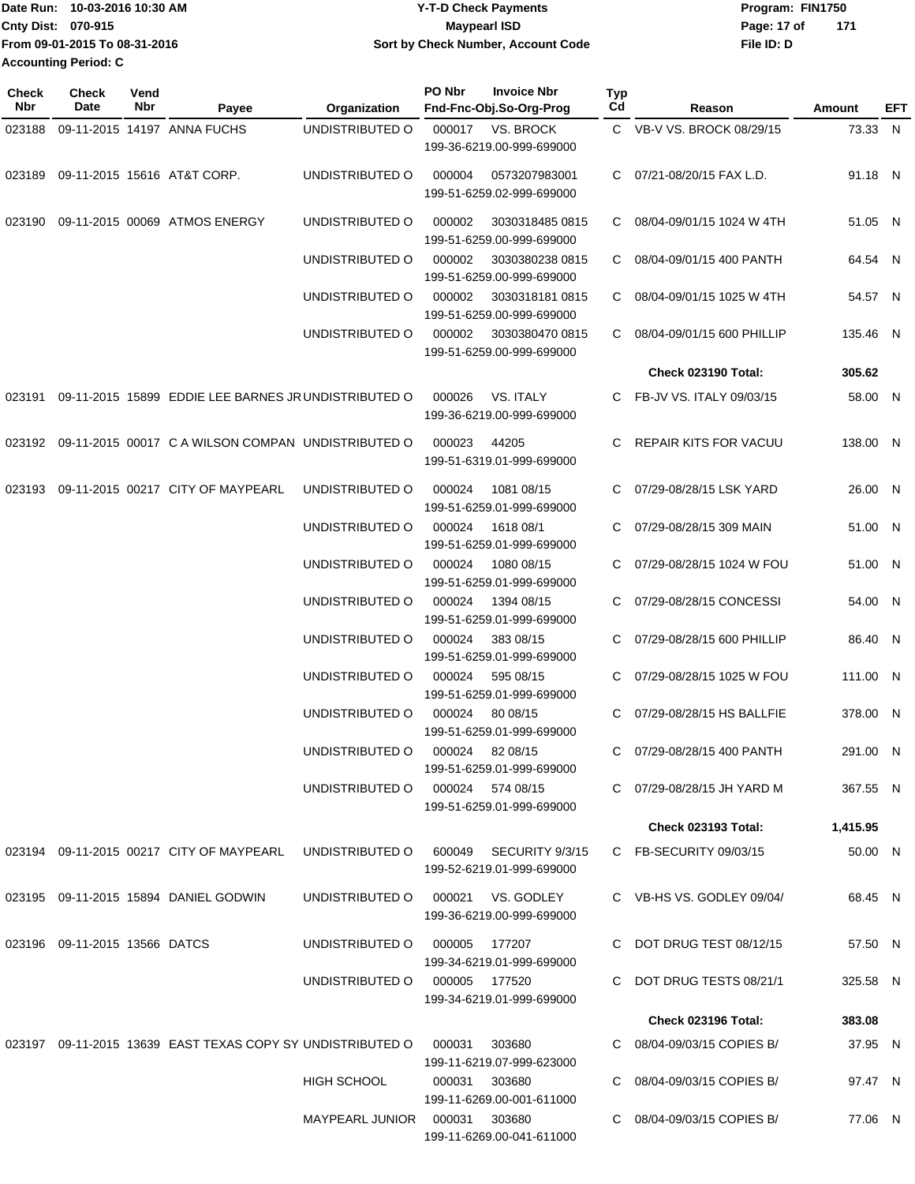| 10-03-2016 10:30 AM<br>lDate Run: | <b>Y-T-D Check Payments</b>        | Program: FIN1750   |
|-----------------------------------|------------------------------------|--------------------|
| <b>Cnty Dist: 070-915</b>         | <b>Maypearl ISD</b>                | 171<br>Page: 17 of |
| From 09-01-2015 To 08-31-2016     | Sort by Check Number, Account Code | File ID: D         |
| <b>Accounting Period: C</b>       |                                    |                    |

| <b>Check</b><br>Nbr | Check<br>Date                 | Vend<br>Nbr | Payee                                                      | Organization                           | PO Nbr        | <b>Invoice Nbr</b><br>Fnd-Fnc-Obj.So-Org-Prog | Typ<br>Cd | Reason                       | Amount   | EFT |
|---------------------|-------------------------------|-------------|------------------------------------------------------------|----------------------------------------|---------------|-----------------------------------------------|-----------|------------------------------|----------|-----|
| 023188              |                               |             | 09-11-2015 14197 ANNA FUCHS                                | UNDISTRIBUTED O                        | 000017        | VS. BROCK                                     |           | C VB-V VS. BROCK 08/29/15    | 73.33 N  |     |
|                     |                               |             |                                                            |                                        |               | 199-36-6219.00-999-699000                     |           |                              |          |     |
| 023189              |                               |             | 09-11-2015 15616 AT&T CORP.                                | UNDISTRIBUTED O                        | 000004        | 0573207983001                                 |           | C 07/21-08/20/15 FAX L.D.    | 91.18 N  |     |
|                     |                               |             |                                                            |                                        |               | 199-51-6259.02-999-699000                     |           |                              |          |     |
|                     |                               |             |                                                            |                                        |               |                                               |           |                              |          |     |
|                     |                               |             | 023190 09-11-2015 00069 ATMOS ENERGY                       | UNDISTRIBUTED O                        | 000002        | 3030318485 0815<br>199-51-6259.00-999-699000  |           | C 08/04-09/01/15 1024 W 4TH  | 51.05 N  |     |
|                     |                               |             |                                                            | UNDISTRIBUTED O                        | 000002        | 3030380238 0815                               |           | C 08/04-09/01/15 400 PANTH   | 64.54 N  |     |
|                     |                               |             |                                                            |                                        |               | 199-51-6259.00-999-699000                     |           |                              |          |     |
|                     |                               |             |                                                            | UNDISTRIBUTED O                        | 000002        | 30303181810815                                | C.        | 08/04-09/01/15 1025 W 4TH    | 54.57 N  |     |
|                     |                               |             |                                                            |                                        |               | 199-51-6259.00-999-699000                     |           |                              |          |     |
|                     |                               |             |                                                            | UNDISTRIBUTED O                        | 000002        | 3030380470 0815                               |           | C 08/04-09/01/15 600 PHILLIP | 135.46 N |     |
|                     |                               |             |                                                            |                                        |               | 199-51-6259.00-999-699000                     |           |                              |          |     |
|                     |                               |             |                                                            |                                        |               |                                               |           | Check 023190 Total:          | 305.62   |     |
| 023191              |                               |             | 09-11-2015 15899 EDDIE LEE BARNES JR UNDISTRIBUTED O       |                                        | 000026        | VS. ITALY<br>199-36-6219.00-999-699000        |           | C FB-JV VS. ITALY 09/03/15   | 58.00 N  |     |
|                     |                               |             |                                                            |                                        |               |                                               |           |                              |          |     |
|                     |                               |             | 023192 09-11-2015 00017 C A WILSON COMPAN UNDISTRIBUTED O  |                                        | 000023        | 44205                                         |           | C REPAIR KITS FOR VACUU      | 138.00 N |     |
|                     |                               |             |                                                            |                                        |               | 199-51-6319.01-999-699000                     |           |                              |          |     |
|                     |                               |             | 023193 09-11-2015 00217 CITY OF MAYPEARL                   | UNDISTRIBUTED O                        | 000024        | 1081 08/15                                    |           | 07/29-08/28/15 LSK YARD      | 26.00 N  |     |
|                     |                               |             |                                                            |                                        |               | 199-51-6259.01-999-699000                     |           |                              |          |     |
|                     |                               |             |                                                            | UNDISTRIBUTED O                        | 000024        | 1618 08/1                                     | C.        | 07/29-08/28/15 309 MAIN      | 51.00 N  |     |
|                     |                               |             |                                                            | UNDISTRIBUTED O                        | 000024        | 199-51-6259.01-999-699000<br>1080 08/15       |           | 07/29-08/28/15 1024 W FOU    | 51.00 N  |     |
|                     |                               |             |                                                            |                                        |               | 199-51-6259.01-999-699000                     |           |                              |          |     |
|                     |                               |             |                                                            | UNDISTRIBUTED O                        | 000024        | 1394 08/15                                    | C.        | 07/29-08/28/15 CONCESSI      | 54.00 N  |     |
|                     |                               |             |                                                            |                                        |               | 199-51-6259.01-999-699000                     |           |                              |          |     |
|                     |                               |             |                                                            | UNDISTRIBUTED O                        | 000024        | 383 08/15                                     |           | C 07/29-08/28/15 600 PHILLIP | 86.40 N  |     |
|                     |                               |             |                                                            |                                        |               | 199-51-6259.01-999-699000                     |           |                              |          |     |
|                     |                               |             |                                                            | UNDISTRIBUTED O                        | 000024        | 595 08/15<br>199-51-6259.01-999-699000        | C.        | 07/29-08/28/15 1025 W FOU    | 111.00 N |     |
|                     |                               |             |                                                            | UNDISTRIBUTED O                        | 000024        | 80 08/15                                      | C         | 07/29-08/28/15 HS BALLFIE    | 378.00 N |     |
|                     |                               |             |                                                            |                                        |               | 199-51-6259.01-999-699000                     |           |                              |          |     |
|                     |                               |             |                                                            | UNDISTRIBUTED O                        |               | 000024 82 08/15                               |           | C 07/29-08/28/15 400 PANTH   | 291.00 N |     |
|                     |                               |             |                                                            |                                        |               | 199-51-6259.01-999-699000                     |           |                              |          |     |
|                     |                               |             |                                                            | UNDISTRIBUTED O 000024 574 08/15       |               |                                               |           | C 07/29-08/28/15 JH YARD M   | 367.55 N |     |
|                     |                               |             |                                                            |                                        |               | 199-51-6259.01-999-699000                     |           |                              |          |     |
|                     |                               |             |                                                            |                                        |               |                                               |           | <b>Check 023193 Total:</b>   | 1,415.95 |     |
|                     |                               |             | 023194 09-11-2015 00217 CITY OF MAYPEARL                   | UNDISTRIBUTED O 600049 SECURITY 9/3/15 |               |                                               |           | C FB-SECURITY 09/03/15       | 50.00 N  |     |
|                     |                               |             |                                                            |                                        |               | 199-52-6219.01-999-699000                     |           |                              |          |     |
|                     |                               |             | 023195 09-11-2015 15894 DANIEL GODWIN                      | UNDISTRIBUTED O                        |               | 000021 VS. GODLEY                             |           | C VB-HS VS. GODLEY 09/04/    | 68.45 N  |     |
|                     |                               |             |                                                            |                                        |               | 199-36-6219.00-999-699000                     |           |                              |          |     |
|                     | 023196 09-11-2015 13566 DATCS |             |                                                            | UNDISTRIBUTED O                        | 000005 177207 |                                               |           | C DOT DRUG TEST 08/12/15     | 57.50 N  |     |
|                     |                               |             |                                                            |                                        |               | 199-34-6219.01-999-699000                     |           |                              |          |     |
|                     |                               |             |                                                            | UNDISTRIBUTED O                        | 000005 177520 |                                               |           | C DOT DRUG TESTS 08/21/1     | 325.58 N |     |
|                     |                               |             |                                                            |                                        |               | 199-34-6219.01-999-699000                     |           |                              |          |     |
|                     |                               |             |                                                            |                                        |               |                                               |           | Check 023196 Total:          | 383.08   |     |
|                     |                               |             | 023197 09-11-2015 13639 EAST TEXAS COPY SY UNDISTRIBUTED O |                                        | 000031        | 303680                                        |           | C 08/04-09/03/15 COPIES B/   | 37.95 N  |     |
|                     |                               |             |                                                            | HIGH SCHOOL                            | 000031 303680 | 199-11-6219.07-999-623000                     |           | C 08/04-09/03/15 COPIES B/   | 97.47 N  |     |
|                     |                               |             |                                                            |                                        |               | 199-11-6269.00-001-611000                     |           |                              |          |     |
|                     |                               |             |                                                            | MAYPEARL JUNIOR  000031  303680        |               |                                               |           | C 08/04-09/03/15 COPIES B/   | 77.06 N  |     |
|                     |                               |             |                                                            |                                        |               | 199-11-6269.00-041-611000                     |           |                              |          |     |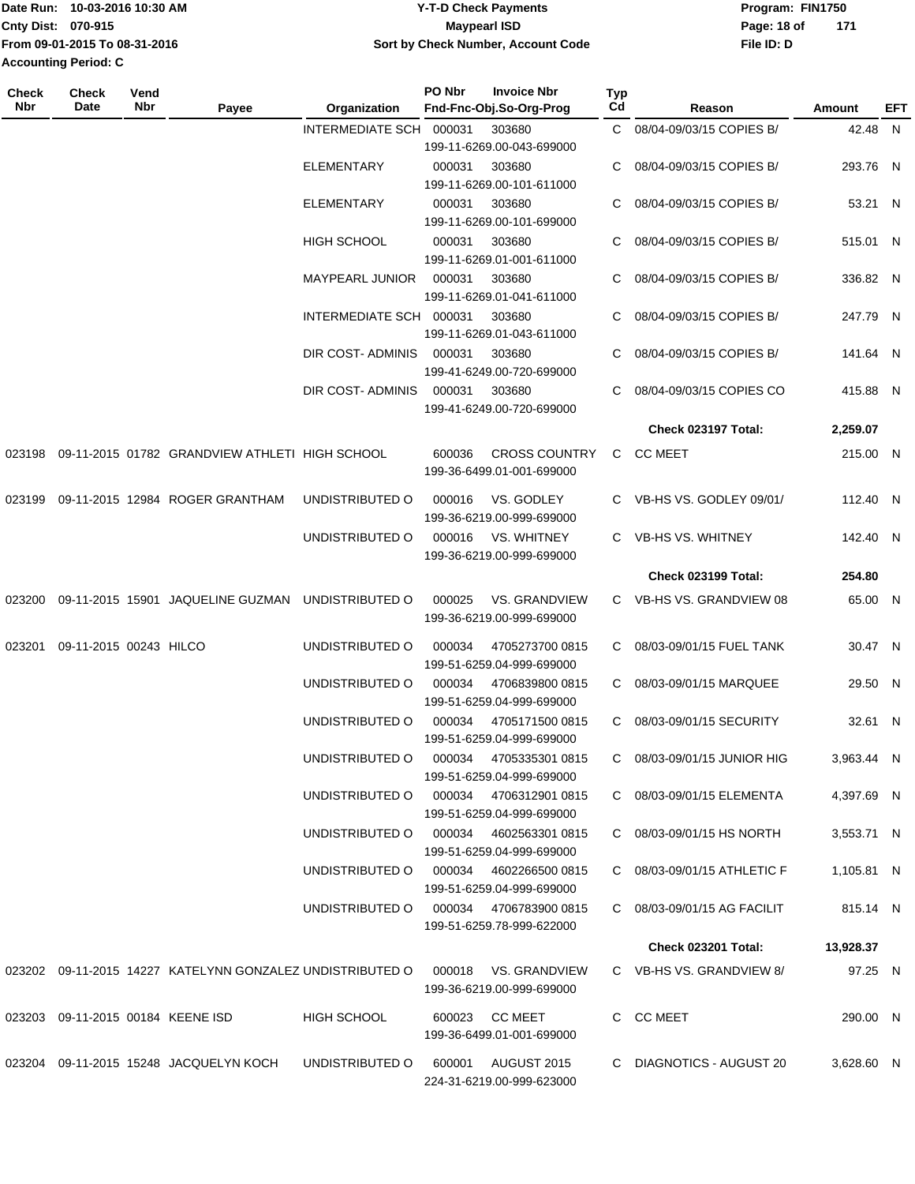|                             | Date Run: 10-03-2016 10:30 AM | <b>Y-T-D Check Payments</b>        | Program: FIN1750 |     |
|-----------------------------|-------------------------------|------------------------------------|------------------|-----|
| Cnty Dist: 070-915          |                               | Maypearl ISD                       | Page: 18 of      | 171 |
|                             | From 09-01-2015 To 08-31-2016 | Sort by Check Number, Account Code | File ID: D       |     |
| <b>Accounting Period: C</b> |                               |                                    |                  |     |

| <b>Check</b><br><b>Nbr</b> | <b>Check</b><br>Date              | Vend<br>Nbr | Payee                                                        | Organization                           | PO Nbr | <b>Invoice Nbr</b><br>Fnd-Fnc-Obj.So-Org-Prog     | <b>Typ</b><br>Cd | Reason                      | Amount     | EFT |
|----------------------------|-----------------------------------|-------------|--------------------------------------------------------------|----------------------------------------|--------|---------------------------------------------------|------------------|-----------------------------|------------|-----|
|                            |                                   |             |                                                              | <b>INTERMEDIATE SCH</b>                | 000031 | 303680                                            |                  | C 08/04-09/03/15 COPIES B/  | 42.48 N    |     |
|                            |                                   |             |                                                              |                                        |        | 199-11-6269.00-043-699000                         |                  |                             |            |     |
|                            |                                   |             |                                                              | <b>ELEMENTARY</b>                      | 000031 | 303680                                            | C.               | 08/04-09/03/15 COPIES B/    | 293.76 N   |     |
|                            |                                   |             |                                                              |                                        |        | 199-11-6269.00-101-611000                         |                  |                             |            |     |
|                            |                                   |             |                                                              | <b>ELEMENTARY</b>                      | 000031 | 303680                                            | C                | 08/04-09/03/15 COPIES B/    | 53.21 N    |     |
|                            |                                   |             |                                                              |                                        |        | 199-11-6269.00-101-699000                         |                  |                             |            |     |
|                            |                                   |             |                                                              | <b>HIGH SCHOOL</b>                     | 000031 | 303680                                            |                  | 08/04-09/03/15 COPIES B/    | 515.01 N   |     |
|                            |                                   |             |                                                              |                                        |        | 199-11-6269.01-001-611000                         |                  |                             |            |     |
|                            |                                   |             |                                                              | <b>MAYPEARL JUNIOR</b>                 | 000031 | 303680                                            |                  | 08/04-09/03/15 COPIES B/    | 336.82 N   |     |
|                            |                                   |             |                                                              |                                        |        | 199-11-6269.01-041-611000                         |                  |                             |            |     |
|                            |                                   |             |                                                              | INTERMEDIATE SCH 000031                |        | 303680                                            |                  | 08/04-09/03/15 COPIES B/    | 247.79 N   |     |
|                            |                                   |             |                                                              |                                        |        | 199-11-6269.01-043-611000                         |                  |                             |            |     |
|                            |                                   |             |                                                              | DIR COST- ADMINIS                      | 000031 | 303680                                            | C.               | 08/04-09/03/15 COPIES B/    | 141.64 N   |     |
|                            |                                   |             |                                                              |                                        |        | 199-41-6249.00-720-699000                         |                  |                             |            |     |
|                            |                                   |             |                                                              | DIR COST-ADMINIS                       | 000031 | 303680                                            |                  | 08/04-09/03/15 COPIES CO    | 415.88 N   |     |
|                            |                                   |             |                                                              |                                        |        | 199-41-6249.00-720-699000                         |                  |                             |            |     |
|                            |                                   |             |                                                              |                                        |        |                                                   |                  |                             |            |     |
|                            |                                   |             |                                                              |                                        |        |                                                   |                  | Check 023197 Total:         | 2,259.07   |     |
|                            |                                   |             | 023198 09-11-2015 01782 GRANDVIEW ATHLETI HIGH SCHOOL        |                                        | 600036 | <b>CROSS COUNTRY</b><br>199-36-6499.01-001-699000 | C                | CC MEET                     | 215.00 N   |     |
| 023199                     |                                   |             | 09-11-2015 12984 ROGER GRANTHAM                              | UNDISTRIBUTED O                        | 000016 | VS. GODLEY                                        |                  | C VB-HS VS. GODLEY 09/01/   | 112.40 N   |     |
|                            |                                   |             |                                                              |                                        |        | 199-36-6219.00-999-699000                         |                  | C VB-HS VS. WHITNEY         |            |     |
|                            |                                   |             |                                                              | UNDISTRIBUTED O                        | 000016 | VS. WHITNEY<br>199-36-6219.00-999-699000          |                  |                             | 142.40 N   |     |
|                            |                                   |             |                                                              |                                        |        |                                                   |                  | <b>Check 023199 Total:</b>  | 254.80     |     |
| 023200                     |                                   |             | 09-11-2015 15901 JAQUELINE GUZMAN UNDISTRIBUTED O            |                                        | 000025 | <b>VS. GRANDVIEW</b><br>199-36-6219.00-999-699000 |                  | C VB-HS VS. GRANDVIEW 08    | 65.00 N    |     |
| 023201                     | 09-11-2015 00243 HILCO            |             |                                                              | UNDISTRIBUTED O                        | 000034 | 4705273700 0815<br>199-51-6259.04-999-699000      |                  | C 08/03-09/01/15 FUEL TANK  | 30.47 N    |     |
|                            |                                   |             |                                                              | UNDISTRIBUTED O                        | 000034 | 4706839800 0815                                   | C.               | 08/03-09/01/15 MARQUEE      | 29.50 N    |     |
|                            |                                   |             |                                                              |                                        |        | 199-51-6259.04-999-699000                         |                  |                             |            |     |
|                            |                                   |             |                                                              | UNDISTRIBUTED O                        | 000034 | 4705171500 0815                                   | C.               | 08/03-09/01/15 SECURITY     | 32.61 N    |     |
|                            |                                   |             |                                                              |                                        |        | 199-51-6259.04-999-699000                         |                  |                             |            |     |
|                            |                                   |             |                                                              | UNDISTRIBUTED O                        |        | 000034 4705335301 0815                            |                  | C 08/03-09/01/15 JUNIOR HIG | 3,963.44 N |     |
|                            |                                   |             |                                                              |                                        |        | 199-51-6259.04-999-699000                         |                  |                             |            |     |
|                            |                                   |             |                                                              | UNDISTRIBUTED O 000034 4706312901 0815 |        |                                                   |                  | C 08/03-09/01/15 ELEMENTA   | 4,397.69 N |     |
|                            |                                   |             |                                                              |                                        |        | 199-51-6259.04-999-699000                         |                  |                             |            |     |
|                            |                                   |             |                                                              | UNDISTRIBUTED O 000034 4602563301 0815 |        |                                                   |                  | C 08/03-09/01/15 HS NORTH   | 3.553.71 N |     |
|                            |                                   |             |                                                              |                                        |        | 199-51-6259.04-999-699000                         |                  |                             |            |     |
|                            |                                   |             |                                                              | UNDISTRIBUTED O 000034 4602266500 0815 |        |                                                   |                  | C 08/03-09/01/15 ATHLETIC F | 1.105.81 N |     |
|                            |                                   |             |                                                              |                                        |        | 199-51-6259.04-999-699000                         |                  |                             |            |     |
|                            |                                   |             |                                                              | UNDISTRIBUTED O 000034 4706783900 0815 |        |                                                   |                  | C 08/03-09/01/15 AG FACILIT | 815.14 N   |     |
|                            |                                   |             |                                                              |                                        |        | 199-51-6259.78-999-622000                         |                  |                             |            |     |
|                            |                                   |             |                                                              |                                        |        |                                                   |                  | <b>Check 023201 Total:</b>  | 13,928.37  |     |
|                            |                                   |             | 023202  09-11-2015  14227  KATELYNN GONZALEZ UNDISTRIBUTED O |                                        |        | 000018 VS. GRANDVIEW                              |                  | C VB-HS VS. GRANDVIEW 8/    | 97.25 N    |     |
|                            |                                   |             |                                                              |                                        |        | 199-36-6219.00-999-699000                         |                  |                             |            |     |
|                            | 023203 09-11-2015 00184 KEENE ISD |             |                                                              | HIGH SCHOOL                            |        | 600023 CC MEET<br>199-36-6499.01-001-699000       |                  | C CC MEET                   | 290.00 N   |     |
|                            |                                   |             |                                                              |                                        |        |                                                   |                  |                             |            |     |
|                            |                                   |             | 023204 09-11-2015 15248 JACQUELYN KOCH                       | UNDISTRIBUTED O                        |        | 600001 AUGUST 2015<br>224-31-6219.00-999-623000   |                  | C DIAGNOTICS - AUGUST 20    | 3,628.60 N |     |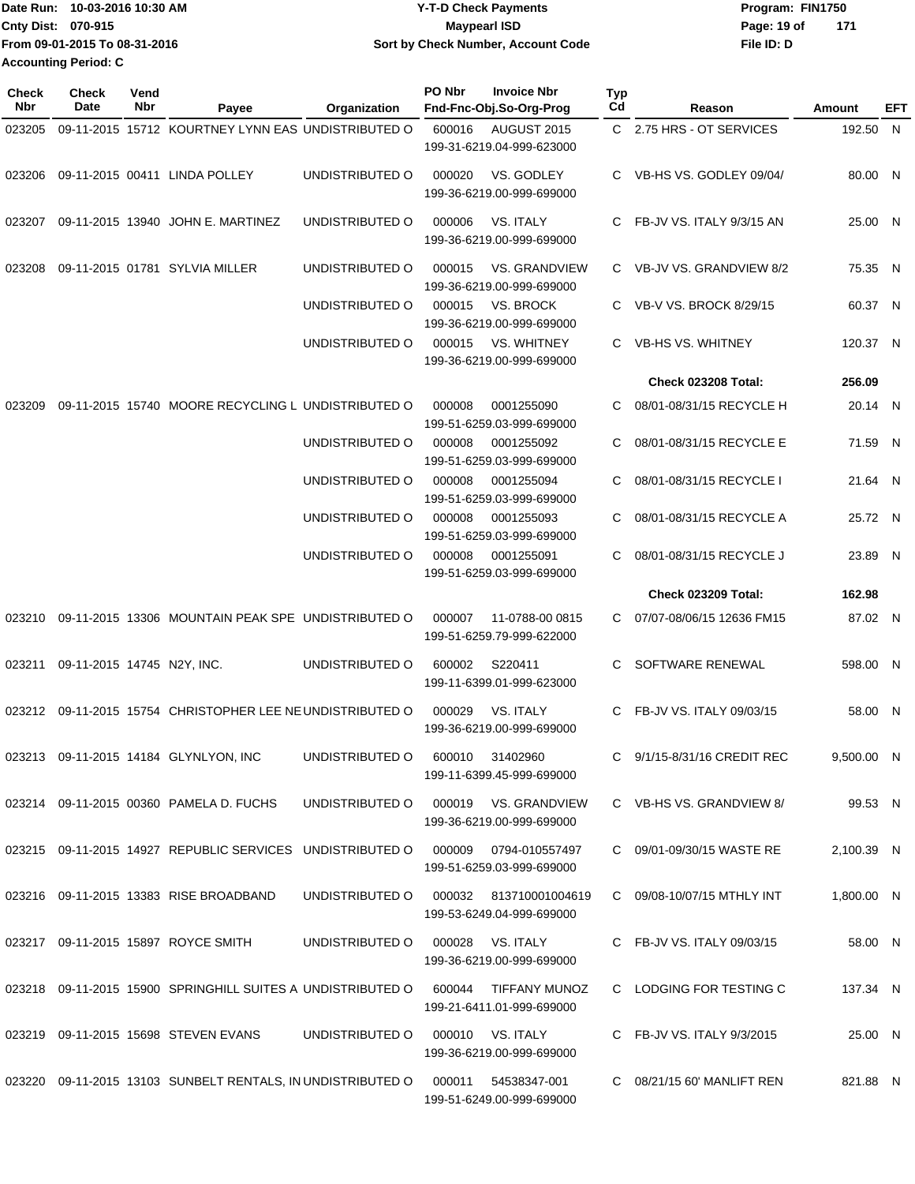| Date Run: 10-03-2016 10:30 AM | <b>Y-T-D Check Payments</b>        | Program: FIN1750   |
|-------------------------------|------------------------------------|--------------------|
| <b>Cnty Dist: 070-915</b>     | Maypearl ISD                       | 171<br>Page: 19 of |
| From 09-01-2015 To 08-31-2016 | Sort by Check Number, Account Code | File ID: D         |
| <b>Accounting Period: C</b>   |                                    |                    |

| <b>Check</b><br>Nbr | <b>Check</b><br>Date       | Vend<br>Nbr | Payee                                                                            | Organization    | PO Nbr | <b>Invoice Nbr</b><br>Fnd-Fnc-Obj.So-Org-Prog       | <b>Typ</b><br>Cd | Reason                      | Amount     | EFT |
|---------------------|----------------------------|-------------|----------------------------------------------------------------------------------|-----------------|--------|-----------------------------------------------------|------------------|-----------------------------|------------|-----|
| 023205              |                            |             | 09-11-2015 15712 KOURTNEY LYNN EAS UNDISTRIBUTED O                               |                 | 600016 | AUGUST 2015                                         |                  | C 2.75 HRS - OT SERVICES    | 192.50 N   |     |
|                     |                            |             |                                                                                  |                 |        | 199-31-6219.04-999-623000                           |                  |                             |            |     |
| 023206              |                            |             | 09-11-2015 00411 LINDA POLLEY                                                    | UNDISTRIBUTED O | 000020 | VS. GODLEY<br>199-36-6219.00-999-699000             |                  | C VB-HS VS. GODLEY 09/04/   | 80.00 N    |     |
| 023207              |                            |             | 09-11-2015 13940 JOHN E. MARTINEZ                                                | UNDISTRIBUTED O | 000006 | VS. ITALY<br>199-36-6219.00-999-699000              |                  | C FB-JV VS. ITALY 9/3/15 AN | 25.00 N    |     |
| 023208              |                            |             | 09-11-2015 01781 SYLVIA MILLER                                                   | UNDISTRIBUTED O | 000015 | <b>VS. GRANDVIEW</b><br>199-36-6219.00-999-699000   |                  | C VB-JV VS. GRANDVIEW 8/2   | 75.35 N    |     |
|                     |                            |             |                                                                                  | UNDISTRIBUTED O | 000015 | VS. BROCK<br>199-36-6219.00-999-699000              |                  | C VB-V VS. BROCK 8/29/15    | 60.37 N    |     |
|                     |                            |             |                                                                                  | UNDISTRIBUTED O | 000015 | <b>VS. WHITNEY</b><br>199-36-6219.00-999-699000     | C.               | <b>VB-HS VS. WHITNEY</b>    | 120.37 N   |     |
|                     |                            |             |                                                                                  |                 |        |                                                     |                  | Check 023208 Total:         | 256.09     |     |
| 023209              |                            |             | 09-11-2015 15740 MOORE RECYCLING L UNDISTRIBUTED O                               |                 | 000008 | 0001255090<br>199-51-6259.03-999-699000             | C                | 08/01-08/31/15 RECYCLE H    | 20.14 N    |     |
|                     |                            |             |                                                                                  | UNDISTRIBUTED O | 000008 | 0001255092<br>199-51-6259.03-999-699000             | C                | 08/01-08/31/15 RECYCLE E    | 71.59 N    |     |
|                     |                            |             |                                                                                  | UNDISTRIBUTED O | 000008 | 0001255094<br>199-51-6259.03-999-699000             | C.               | 08/01-08/31/15 RECYCLE I    | 21.64 N    |     |
|                     |                            |             |                                                                                  | UNDISTRIBUTED O | 000008 | 0001255093<br>199-51-6259.03-999-699000             | C                | 08/01-08/31/15 RECYCLE A    | 25.72 N    |     |
|                     |                            |             |                                                                                  | UNDISTRIBUTED O | 000008 | 0001255091<br>199-51-6259.03-999-699000             | C.               | 08/01-08/31/15 RECYCLE J    | 23.89 N    |     |
|                     |                            |             |                                                                                  |                 |        |                                                     |                  | <b>Check 023209 Total:</b>  | 162.98     |     |
| 023210              |                            |             | 09-11-2015 13306 MOUNTAIN PEAK SPE UNDISTRIBUTED O                               |                 | 000007 | 11-0788-00 0815<br>199-51-6259.79-999-622000        |                  | C 07/07-08/06/15 12636 FM15 | 87.02 N    |     |
| 023211              | 09-11-2015 14745 N2Y, INC. |             |                                                                                  | UNDISTRIBUTED O | 600002 | S220411<br>199-11-6399.01-999-623000                | C.               | SOFTWARE RENEWAL            | 598.00 N   |     |
|                     |                            |             | 023212 09-11-2015 15754 CHRISTOPHER LEE NEUNDISTRIBUTED O                        |                 | 000029 | VS. ITALY<br>199-36-6219.00-999-699000              |                  | C FB-JV VS. ITALY 09/03/15  | 58.00 N    |     |
|                     |                            |             | 023213 09-11-2015 14184 GLYNLYON, INC                                            | UNDISTRIBUTED O |        | 600010 31402960<br>199-11-6399.45-999-699000        |                  | C 9/1/15-8/31/16 CREDIT REC | 9,500.00 N |     |
|                     |                            |             | 023214 09-11-2015 00360 PAMELA D. FUCHS                                          | UNDISTRIBUTED O |        | 000019 VS. GRANDVIEW<br>199-36-6219.00-999-699000   |                  | C VB-HS VS. GRANDVIEW 8/    | 99.53 N    |     |
|                     |                            |             | 023215 09-11-2015 14927 REPUBLIC SERVICES UNDISTRIBUTED O 000009 0794-010557497  |                 |        | 199-51-6259.03-999-699000                           |                  | C 09/01-09/30/15 WASTE RE   | 2,100.39 N |     |
|                     |                            |             | 023216 09-11-2015 13383 RISE BROADBAND                                           | UNDISTRIBUTED O |        | 000032 813710001004619<br>199-53-6249.04-999-699000 |                  | C 09/08-10/07/15 MTHLY INT  | 1,800.00 N |     |
|                     |                            |             | 023217 09-11-2015 15897 ROYCE SMITH                                              | UNDISTRIBUTED O |        | 000028 VS. ITALY<br>199-36-6219.00-999-699000       |                  | C FB-JV VS. ITALY 09/03/15  | 58.00 N    |     |
|                     |                            |             | 023218 09-11-2015 15900 SPRINGHILL SUITES A UNDISTRIBUTED O 600044 TIFFANY MUNOZ |                 |        | 199-21-6411.01-999-699000                           |                  | C LODGING FOR TESTING C     | 137.34 N   |     |
|                     |                            |             | 023219 09-11-2015 15698 STEVEN EVANS                                             | UNDISTRIBUTED O |        | 000010 VS. ITALY<br>199-36-6219.00-999-699000       |                  | C FB-JV VS. ITALY 9/3/2015  | 25.00 N    |     |
|                     |                            |             | 023220 09-11-2015 13103 SUNBELT RENTALS, IN UNDISTRIBUTED O 000011 54538347-001  |                 |        | 199-51-6249.00-999-699000                           |                  | C 08/21/15 60' MANLIFT REN  | 821.88 N   |     |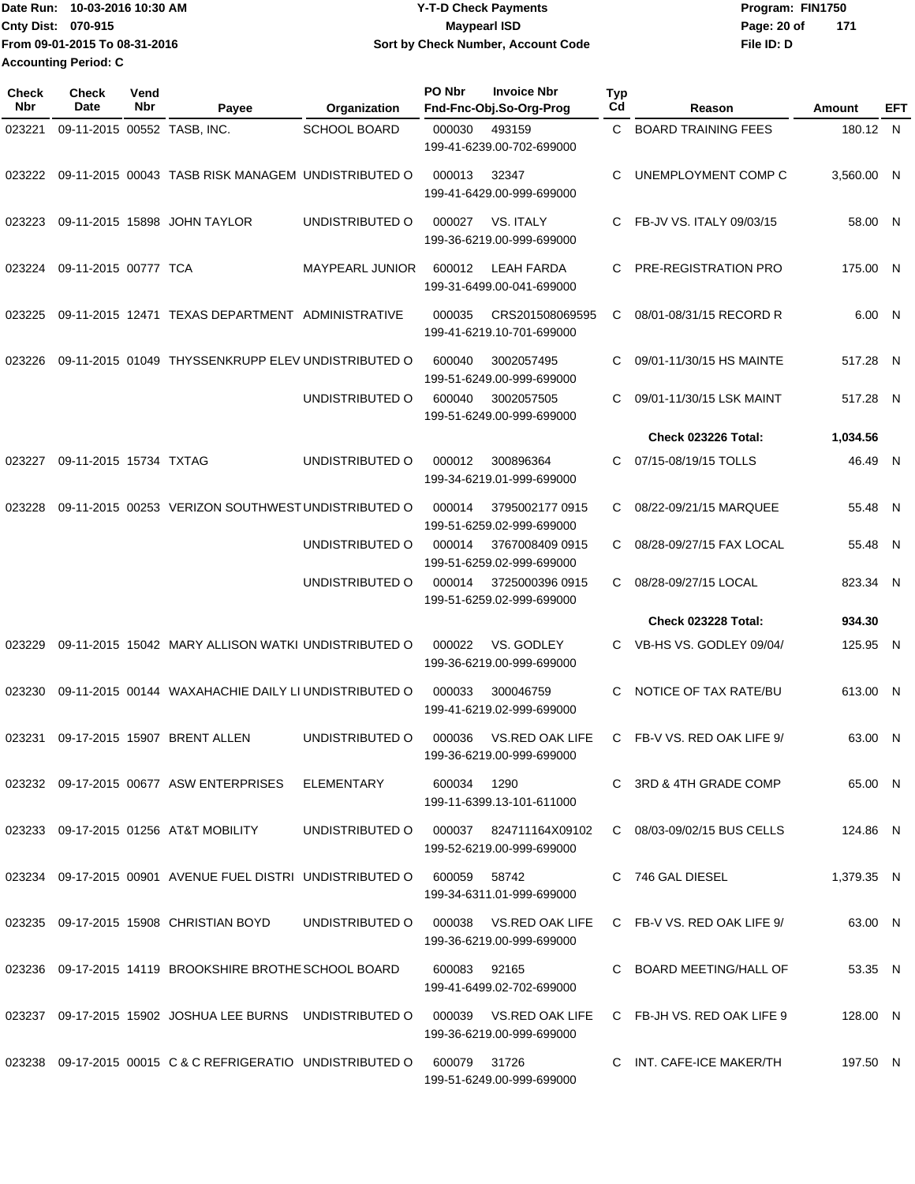| Date Run:                   | 10-03-2016 10:30 AM           | Y-T-D Check Payments               | Program: FIN1750   |
|-----------------------------|-------------------------------|------------------------------------|--------------------|
| <b>Cnty Dist: 070-915</b>   |                               | Maypearl ISD                       | Page: 20 of<br>171 |
|                             | From 09-01-2015 To 08-31-2016 | Sort by Check Number, Account Code | File ID: D         |
| <b>Accounting Period: C</b> |                               |                                    |                    |

| Check<br>Nbr | Check<br>Date               | Vend<br>Nbr | Payee                                                                           | Organization                           | PO Nbr      | <b>Invoice Nbr</b><br>Fnd-Fnc-Obj.So-Org-Prog       | <b>Typ</b><br>Cd | Reason                     | Amount     | EFT |
|--------------|-----------------------------|-------------|---------------------------------------------------------------------------------|----------------------------------------|-------------|-----------------------------------------------------|------------------|----------------------------|------------|-----|
| 023221       | 09-11-2015 00552 TASB, INC. |             |                                                                                 | <b>SCHOOL BOARD</b>                    | 000030      | 493159<br>199-41-6239.00-702-699000                 | C                | <b>BOARD TRAINING FEES</b> | 180.12 N   |     |
| 023222       |                             |             | 09-11-2015 00043 TASB RISK MANAGEM UNDISTRIBUTED O                              |                                        | 000013      | 32347<br>199-41-6429.00-999-699000                  | C                | UNEMPLOYMENT COMP C        | 3,560.00 N |     |
| 023223       |                             |             | 09-11-2015 15898 JOHN TAYLOR                                                    | UNDISTRIBUTED O                        | 000027      | VS. ITALY<br>199-36-6219.00-999-699000              | C                | FB-JV VS. ITALY 09/03/15   | 58.00 N    |     |
| 023224       | 09-11-2015 00777 TCA        |             |                                                                                 | <b>MAYPEARL JUNIOR</b>                 | 600012      | LEAH FARDA<br>199-31-6499.00-041-699000             | C                | PRE-REGISTRATION PRO       | 175.00 N   |     |
| 023225       |                             |             | 09-11-2015 12471 TEXAS DEPARTMENT ADMINISTRATIVE                                |                                        | 000035      | CRS201508069595<br>199-41-6219.10-701-699000        | C                | 08/01-08/31/15 RECORD R    | 6.00 N     |     |
| 023226       |                             |             | 09-11-2015 01049 THYSSENKRUPP ELEV UNDISTRIBUTED O                              |                                        | 600040      | 3002057495<br>199-51-6249.00-999-699000             | С                | 09/01-11/30/15 HS MAINTE   | 517.28 N   |     |
|              |                             |             |                                                                                 | UNDISTRIBUTED O                        | 600040      | 3002057505<br>199-51-6249.00-999-699000             | С                | 09/01-11/30/15 LSK MAINT   | 517.28 N   |     |
|              |                             |             |                                                                                 |                                        |             |                                                     |                  | Check 023226 Total:        | 1,034.56   |     |
| 023227       | 09-11-2015 15734 TXTAG      |             |                                                                                 | UNDISTRIBUTED O                        | 000012      | 300896364<br>199-34-6219.01-999-699000              | С                | 07/15-08/19/15 TOLLS       | 46.49 N    |     |
| 023228       |                             |             | 09-11-2015 00253 VERIZON SOUTHWEST UNDISTRIBUTED O                              |                                        | 000014      | 3795002177 0915<br>199-51-6259.02-999-699000        | С                | 08/22-09/21/15 MARQUEE     | 55.48 N    |     |
|              |                             |             |                                                                                 | UNDISTRIBUTED O                        | 000014      | 3767008409 0915<br>199-51-6259.02-999-699000        | C                | 08/28-09/27/15 FAX LOCAL   | 55.48 N    |     |
|              |                             |             |                                                                                 | UNDISTRIBUTED O                        | 000014      | 3725000396 0915<br>199-51-6259.02-999-699000        | C                | 08/28-09/27/15 LOCAL       | 823.34 N   |     |
|              |                             |             |                                                                                 |                                        |             |                                                     |                  | <b>Check 023228 Total:</b> | 934.30     |     |
| 023229       |                             |             | 09-11-2015 15042 MARY ALLISON WATKI UNDISTRIBUTED O                             |                                        | 000022      | VS. GODLEY<br>199-36-6219.00-999-699000             | C.               | VB-HS VS. GODLEY 09/04/    | 125.95 N   |     |
| 023230       |                             |             | 09-11-2015 00144 WAXAHACHIE DAILY LI UNDISTRIBUTED O                            |                                        | 000033      | 300046759<br>199-41-6219.02-999-699000              | C                | NOTICE OF TAX RATE/BU      | 613.00 N   |     |
| 023231       |                             |             | 09-17-2015 15907 BRENT ALLEN                                                    | UNDISTRIBUTED O                        | 000036      | VS.RED OAK LIFE<br>199-36-6219.00-999-699000        | C                | FB-V VS. RED OAK LIFE 9/   | 63.00 N    |     |
|              |                             |             | 023232   09-17-2015   00677   ASW ENTERPRISES   ELEMENTARY                      |                                        | 600034 1290 | 199-11-6399.13-101-611000                           |                  | C 3RD & 4TH GRADE COMP     | 65.00 N    |     |
|              |                             |             | 023233  09-17-2015  01256  AT&T MOBILITY                                        | UNDISTRIBUTED O 000037 824711164X09102 |             | 199-52-6219.00-999-699000                           |                  | C 08/03-09/02/15 BUS CELLS | 124.86 N   |     |
|              |                             |             | 023234 09-17-2015 00901 AVENUE FUEL DISTRI UNDISTRIBUTED O                      |                                        | 600059      | 58742<br>199-34-6311.01-999-699000                  |                  | C 746 GAL DIESEL           | 1,379.35 N |     |
|              |                             |             | 023235 09-17-2015 15908 CHRISTIAN BOYD                                          | UNDISTRIBUTED O                        |             | 000038 VS.RED OAK LIFE<br>199-36-6219.00-999-699000 |                  | C FB-V VS. RED OAK LIFE 9/ | 63.00 N    |     |
|              |                             |             | 023236 09-17-2015 14119 BROOKSHIRE BROTHE SCHOOL BOARD                          |                                        | 600083      | 92165<br>199-41-6499.02-702-699000                  |                  | C BOARD MEETING/HALL OF    | 53.35 N    |     |
|              |                             |             | 023237 09-17-2015 15902 JOSHUA LEE BURNS UNDISTRIBUTED O 000039 VS.RED OAK LIFE |                                        |             | 199-36-6219.00-999-699000                           |                  | C FB-JH VS. RED OAK LIFE 9 | 128.00 N   |     |
|              |                             |             | 023238 09-17-2015 00015 C & C REFRIGERATIO UNDISTRIBUTED O 600079 31726         |                                        |             | 199-51-6249.00-999-699000                           |                  | C INT. CAFE-ICE MAKER/TH   | 197.50 N   |     |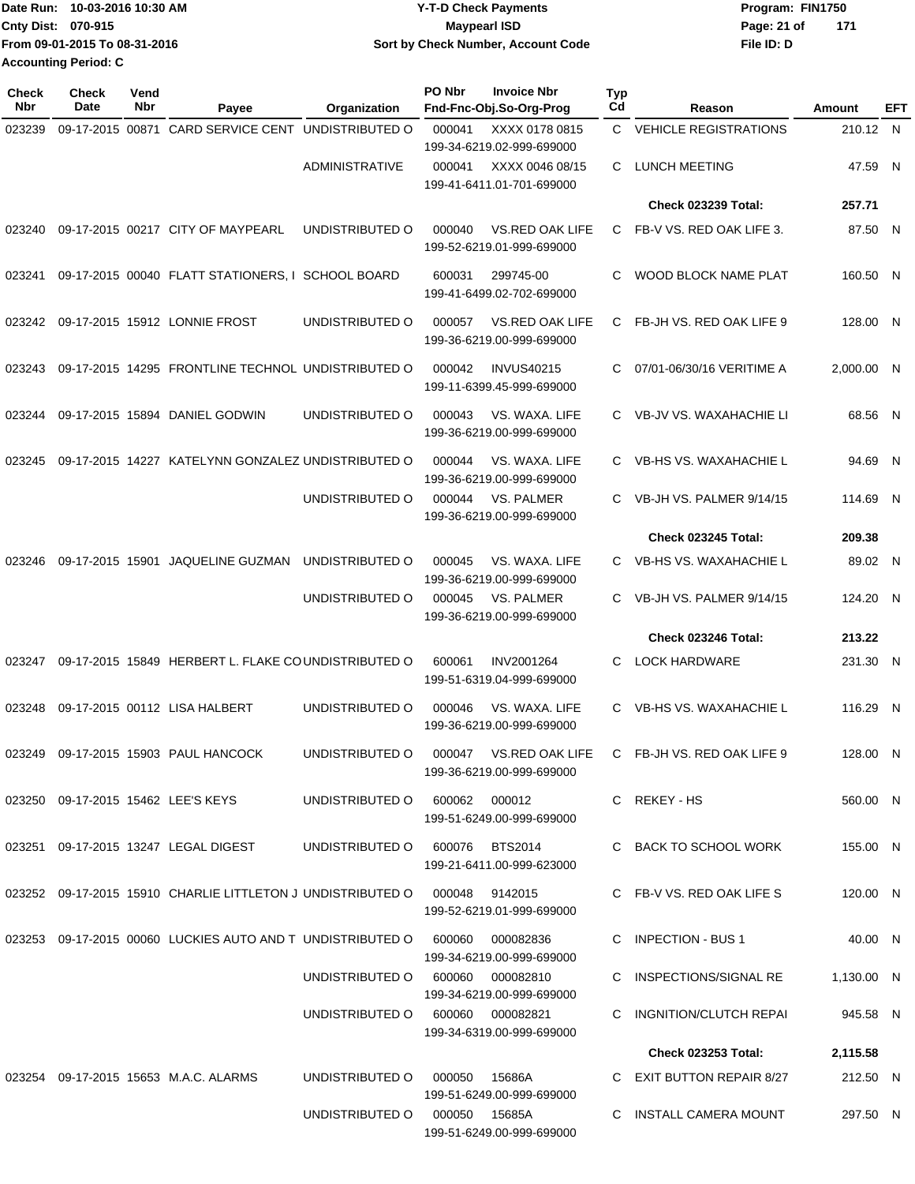| Date Run: 10-03-2016 10:30 AM | <b>Y-T-D Check Payments</b>        | Program: FIN1750     |
|-------------------------------|------------------------------------|----------------------|
| <b>Cnty Dist: 070-915</b>     | Maypearl ISD                       | - 171<br>Page: 21 of |
| From 09-01-2015 To 08-31-2016 | Sort by Check Number, Account Code | File ID: D           |
| <b>Accounting Period: C</b>   |                                    |                      |

| <b>Check</b><br>Nbr | <b>Check</b><br>Date | Vend<br>Nbr | Payee                                                                      | Organization          | PO Nbr | <b>Invoice Nbr</b><br>Fnd-Fnc-Obj.So-Org-Prog       | Typ<br>Cd | Reason                        | Amount     | EFT |
|---------------------|----------------------|-------------|----------------------------------------------------------------------------|-----------------------|--------|-----------------------------------------------------|-----------|-------------------------------|------------|-----|
| 023239              | 09-17-2015 00871     |             | CARD SERVICE CENT UNDISTRIBUTED O                                          |                       | 000041 | XXXX 0178 0815<br>199-34-6219.02-999-699000         | C.        | <b>VEHICLE REGISTRATIONS</b>  | 210.12 N   |     |
|                     |                      |             |                                                                            | <b>ADMINISTRATIVE</b> | 000041 | XXXX 0046 08/15<br>199-41-6411.01-701-699000        | C         | <b>LUNCH MEETING</b>          | 47.59 N    |     |
|                     |                      |             |                                                                            |                       |        |                                                     |           | <b>Check 023239 Total:</b>    | 257.71     |     |
| 023240              |                      |             | 09-17-2015 00217 CITY OF MAYPEARL                                          | UNDISTRIBUTED O       | 000040 | VS.RED OAK LIFE<br>199-52-6219.01-999-699000        | C         | FB-V VS. RED OAK LIFE 3.      | 87.50 N    |     |
| 023241              |                      |             | 09-17-2015 00040 FLATT STATIONERS, I SCHOOL BOARD                          |                       | 600031 | 299745-00<br>199-41-6499.02-702-699000              | C.        | WOOD BLOCK NAME PLAT          | 160.50 N   |     |
| 023242              |                      |             | 09-17-2015 15912 LONNIE FROST                                              | UNDISTRIBUTED O       | 000057 | <b>VS.RED OAK LIFE</b><br>199-36-6219.00-999-699000 | C.        | FB-JH VS. RED OAK LIFE 9      | 128.00 N   |     |
| 023243              |                      |             | 09-17-2015 14295 FRONTLINE TECHNOL UNDISTRIBUTED O                         |                       | 000042 | <b>INVUS40215</b><br>199-11-6399.45-999-699000      | C         | 07/01-06/30/16 VERITIME A     | 2,000.00 N |     |
| 023244              |                      |             | 09-17-2015 15894 DANIEL GODWIN                                             | UNDISTRIBUTED O       | 000043 | VS. WAXA. LIFE<br>199-36-6219.00-999-699000         |           | C VB-JV VS. WAXAHACHIE LI     | 68.56 N    |     |
| 023245              |                      |             | 09-17-2015 14227 KATELYNN GONZALEZ UNDISTRIBUTED O                         |                       | 000044 | VS. WAXA. LIFE<br>199-36-6219.00-999-699000         | C         | <b>VB-HS VS. WAXAHACHIE L</b> | 94.69 N    |     |
|                     |                      |             |                                                                            | UNDISTRIBUTED O       | 000044 | <b>VS. PALMER</b><br>199-36-6219.00-999-699000      | C         | VB-JH VS. PALMER 9/14/15      | 114.69 N   |     |
|                     |                      |             |                                                                            |                       |        |                                                     |           | <b>Check 023245 Total:</b>    | 209.38     |     |
| 023246              |                      |             | 09-17-2015 15901 JAQUELINE GUZMAN                                          | UNDISTRIBUTED O       | 000045 | VS. WAXA. LIFE<br>199-36-6219.00-999-699000         | C         | VB-HS VS. WAXAHACHIE L        | 89.02 N    |     |
|                     |                      |             |                                                                            | UNDISTRIBUTED O       | 000045 | VS. PALMER<br>199-36-6219.00-999-699000             | C.        | VB-JH VS. PALMER 9/14/15      | 124.20 N   |     |
|                     |                      |             |                                                                            |                       |        |                                                     |           | Check 023246 Total:           | 213.22     |     |
| 023247              |                      |             | 09-17-2015 15849 HERBERT L. FLAKE COUNDISTRIBUTED O                        |                       | 600061 | INV2001264<br>199-51-6319.04-999-699000             | C.        | <b>LOCK HARDWARE</b>          | 231.30 N   |     |
| 023248              |                      |             | 09-17-2015 00112 LISA HALBERT                                              | UNDISTRIBUTED O       | 000046 | VS. WAXA. LIFE<br>199-36-6219.00-999-699000         |           | C VB-HS VS. WAXAHACHIE L      | 116.29 N   |     |
| 023249              |                      |             | 09-17-2015 15903 PAUL HANCOCK                                              | UNDISTRIBUTED O       | 000047 | VS.RED OAK LIFE<br>199-36-6219.00-999-699000        |           | C FB-JH VS. RED OAK LIFE 9    | 128.00 N   |     |
|                     |                      |             | 023250 09-17-2015 15462 LEE'S KEYS                                         | UNDISTRIBUTED O       |        | 600062 000012<br>199-51-6249.00-999-699000          |           | C REKEY-HS                    | 560.00 N   |     |
|                     |                      |             | 023251 09-17-2015 13247 LEGAL DIGEST                                       | UNDISTRIBUTED O       |        | 600076 BTS2014<br>199-21-6411.00-999-623000         |           | C BACK TO SCHOOL WORK         | 155.00 N   |     |
|                     |                      |             | 023252 09-17-2015 15910 CHARLIE LITTLETON J UNDISTRIBUTED O 000048 9142015 |                       |        | 199-52-6219.01-999-699000                           |           | C FB-V VS. RED OAK LIFE S     | 120.00 N   |     |
|                     |                      |             | 023253 09-17-2015 00060 LUCKIES AUTO AND TUNDISTRIBUTED O                  |                       | 600060 | 000082836<br>199-34-6219.00-999-699000              |           | C INPECTION - BUS 1           | 40.00 N    |     |
|                     |                      |             |                                                                            | UNDISTRIBUTED O       | 600060 | 000082810<br>199-34-6219.00-999-699000              |           | C INSPECTIONS/SIGNAL RE       | 1,130.00 N |     |
|                     |                      |             |                                                                            | UNDISTRIBUTED O       |        | 600060 000082821<br>199-34-6319.00-999-699000       |           | C INGNITION/CLUTCH REPAI      | 945.58 N   |     |
|                     |                      |             |                                                                            |                       |        |                                                     |           | <b>Check 023253 Total:</b>    | 2,115.58   |     |
|                     |                      |             | 023254 09-17-2015 15653 M.A.C. ALARMS                                      | UNDISTRIBUTED O       | 000050 | 15686A<br>199-51-6249.00-999-699000                 |           | C EXIT BUTTON REPAIR 8/27     | 212.50 N   |     |
|                     |                      |             |                                                                            | UNDISTRIBUTED O       |        | 000050 15685A<br>199-51-6249.00-999-699000          |           | C INSTALL CAMERA MOUNT        | 297.50 N   |     |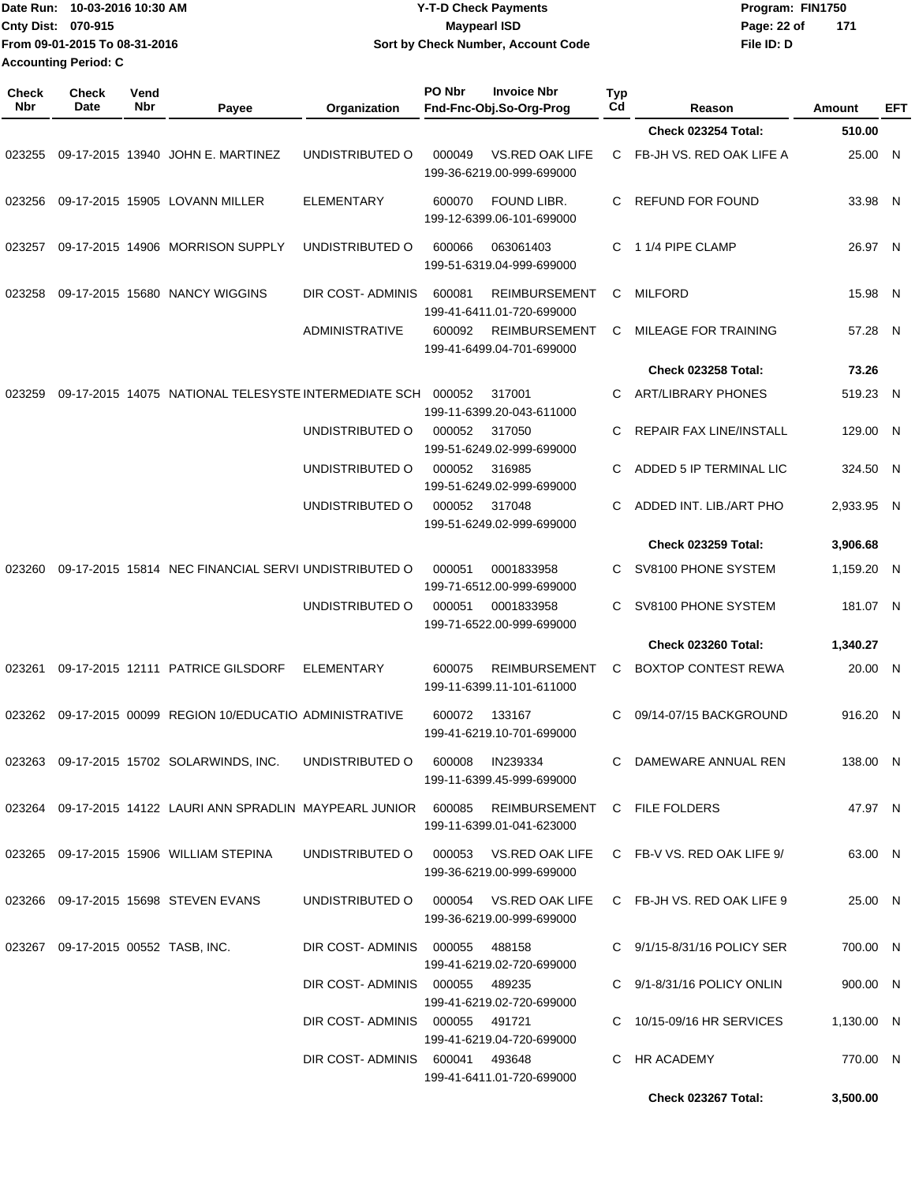|                     | Date Run: 10-03-2016 10:30 AM<br>Cnty Dist: 070-915<br>From 09-01-2015 To 08-31-2016<br><b>Accounting Period: C</b> |             |                                                                                                | <b>Y-T-D Check Payments</b><br><b>Maypearl ISD</b><br>Sort by Check Number, Account Code |        |                                                                       |                  | Program: FIN1750<br>Page: 22 of<br>171<br>File ID: D              |               |          |            |
|---------------------|---------------------------------------------------------------------------------------------------------------------|-------------|------------------------------------------------------------------------------------------------|------------------------------------------------------------------------------------------|--------|-----------------------------------------------------------------------|------------------|-------------------------------------------------------------------|---------------|----------|------------|
| <b>Check</b><br>Nbr | Check<br>Date                                                                                                       | Vend<br>Nbr | Payee                                                                                          | Organization                                                                             | PO Nbr | <b>Invoice Nbr</b><br>Fnd-Fnc-Obj.So-Org-Prog                         | <b>Typ</b><br>Cd | Reason                                                            | <b>Amount</b> |          | <b>EFT</b> |
|                     |                                                                                                                     |             |                                                                                                |                                                                                          |        |                                                                       |                  | Check 023254 Total:                                               | 510.00        |          |            |
| 023255              |                                                                                                                     |             | 09-17-2015 13940 JOHN E. MARTINEZ                                                              | UNDISTRIBUTED O                                                                          | 000049 | VS.RED OAK LIFE<br>199-36-6219.00-999-699000                          | C.               | FB-JH VS. RED OAK LIFE A                                          |               | 25.00 N  |            |
| 023256              |                                                                                                                     |             | 09-17-2015 15905 LOVANN MILLER                                                                 | <b>ELEMENTARY</b>                                                                        | 600070 | FOUND LIBR.<br>199-12-6399.06-101-699000                              | C.               | <b>REFUND FOR FOUND</b>                                           |               | 33.98 N  |            |
| 023257              |                                                                                                                     |             | 09-17-2015 14906 MORRISON SUPPLY                                                               | UNDISTRIBUTED O                                                                          | 600066 | 063061403<br>199-51-6319.04-999-699000                                | C                | 1 1/4 PIPE CLAMP                                                  |               | 26.97 N  |            |
| 023258              |                                                                                                                     |             | 09-17-2015 15680 NANCY WIGGINS                                                                 | DIR COST- ADMINIS                                                                        | 600081 | <b>REIMBURSEMENT</b><br>199-41-6411.01-720-699000                     | C                | <b>MILFORD</b>                                                    |               | 15.98 N  |            |
|                     |                                                                                                                     |             |                                                                                                | <b>ADMINISTRATIVE</b>                                                                    | 600092 | <b>REIMBURSEMENT</b><br>199-41-6499.04-701-699000                     | C                | MILEAGE FOR TRAINING                                              |               | 57.28 N  |            |
|                     |                                                                                                                     |             |                                                                                                |                                                                                          |        |                                                                       |                  | <b>Check 023258 Total:</b>                                        |               | 73.26    |            |
| 023259              |                                                                                                                     |             | 09-17-2015 14075 NATIONAL TELESYSTE INTERMEDIATE SCH 000052                                    |                                                                                          |        | 317001<br>199-11-6399.20-043-611000                                   | C                | <b>ART/LIBRARY PHONES</b>                                         |               | 519.23 N |            |
|                     |                                                                                                                     |             |                                                                                                | UNDISTRIBUTED O                                                                          | 000052 | 317050<br>199-51-6249.02-999-699000                                   | C                | REPAIR FAX LINE/INSTALL                                           |               | 129.00 N |            |
|                     |                                                                                                                     |             |                                                                                                | UNDISTRIBUTED O                                                                          | 000052 | 316985<br>199-51-6249.02-999-699000                                   | C                | ADDED 5 IP TERMINAL LIC                                           |               | 324.50 N |            |
|                     |                                                                                                                     |             |                                                                                                | UNDISTRIBUTED O                                                                          | 000052 | 317048<br>199-51-6249.02-999-699000                                   | C                | ADDED INT. LIB./ART PHO                                           | 2,933.95 N    |          |            |
|                     |                                                                                                                     |             |                                                                                                |                                                                                          |        |                                                                       |                  | <b>Check 023259 Total:</b>                                        | 3,906.68      |          |            |
| 023260              |                                                                                                                     |             | 09-17-2015 15814 NEC FINANCIAL SERVI UNDISTRIBUTED O                                           |                                                                                          | 000051 | 0001833958<br>199-71-6512.00-999-699000                               | C                | SV8100 PHONE SYSTEM                                               | 1,159.20 N    |          |            |
|                     |                                                                                                                     |             |                                                                                                | UNDISTRIBUTED O                                                                          | 000051 | 0001833958<br>199-71-6522.00-999-699000                               | C                | SV8100 PHONE SYSTEM                                               |               | 181.07 N |            |
|                     |                                                                                                                     |             |                                                                                                |                                                                                          |        |                                                                       |                  | Check 023260 Total:                                               | 1,340.27      |          |            |
| 023261              |                                                                                                                     |             | 09-17-2015 12111 PATRICE GILSDORF                                                              | ELEMENTARY                                                                               | 600075 | REIMBURSEMENT<br>199-11-6399.11-101-611000                            | C.               | BOXTOP CONTEST REWA                                               |               | 20.00 N  |            |
|                     |                                                                                                                     |             | 023262 09-17-2015 00099 REGION 10/EDUCATIO ADMINISTRATIVE                                      |                                                                                          |        | 600072 133167<br>199-41-6219.10-701-699000                            |                  | C 09/14-07/15 BACKGROUND                                          |               | 916.20 N |            |
|                     |                                                                                                                     |             | 023263 09-17-2015 15702 SOLARWINDS, INC. UNDISTRIBUTED O 600008 IN239334                       |                                                                                          |        | 199-11-6399.45-999-699000                                             |                  | C DAMEWARE ANNUAL REN                                             |               | 138.00 N |            |
|                     |                                                                                                                     |             | 023264 09-17-2015 14122 LAURI ANN SPRADLIN MAYPEARL JUNIOR 600085 REIMBURSEMENT C FILE FOLDERS |                                                                                          |        | 199-11-6399.01-041-623000                                             |                  |                                                                   |               | 47.97 N  |            |
|                     |                                                                                                                     |             | 023265 09-17-2015 15906 WILLIAM STEPINA                                                        |                                                                                          |        | 199-36-6219.00-999-699000                                             |                  | UNDISTRIBUTED O 000053 VS.RED OAK LIFE C FB-V VS. RED OAK LIFE 9/ |               | 63.00 N  |            |
|                     |                                                                                                                     |             | 023266 09-17-2015 15698 STEVEN EVANS                                                           |                                                                                          |        | UNDISTRIBUTED O  000054  VS.RED OAK LIFE<br>199-36-6219.00-999-699000 |                  | C FB-JH VS. RED OAK LIFE 9                                        |               | 25.00 N  |            |
|                     |                                                                                                                     |             | 023267 09-17-2015 00552 TASB, INC.                                                             | DIR COST-ADMINIS 000055                                                                  |        | 488158<br>199-41-6219.02-720-699000                                   |                  | C 9/1/15-8/31/16 POLICY SER                                       |               | 700.00 N |            |
|                     |                                                                                                                     |             |                                                                                                | DIR COST-ADMINIS 000055 489235                                                           |        | 199-41-6219.02-720-699000                                             |                  | C 9/1-8/31/16 POLICY ONLIN                                        |               | 900.00 N |            |
|                     |                                                                                                                     |             |                                                                                                | DIR COST-ADMINIS 000055 491721                                                           |        | 199-41-6219.04-720-699000                                             |                  | C 10/15-09/16 HR SERVICES                                         | 1,130.00 N    |          |            |
|                     |                                                                                                                     |             |                                                                                                | DIR COST-ADMINIS 600041 493648                                                           |        | 199-41-6411.01-720-699000                                             |                  | C HR ACADEMY                                                      |               | 770.00 N |            |
|                     |                                                                                                                     |             |                                                                                                |                                                                                          |        |                                                                       |                  | <b>Check 023267 Total:</b>                                        | 3,500.00      |          |            |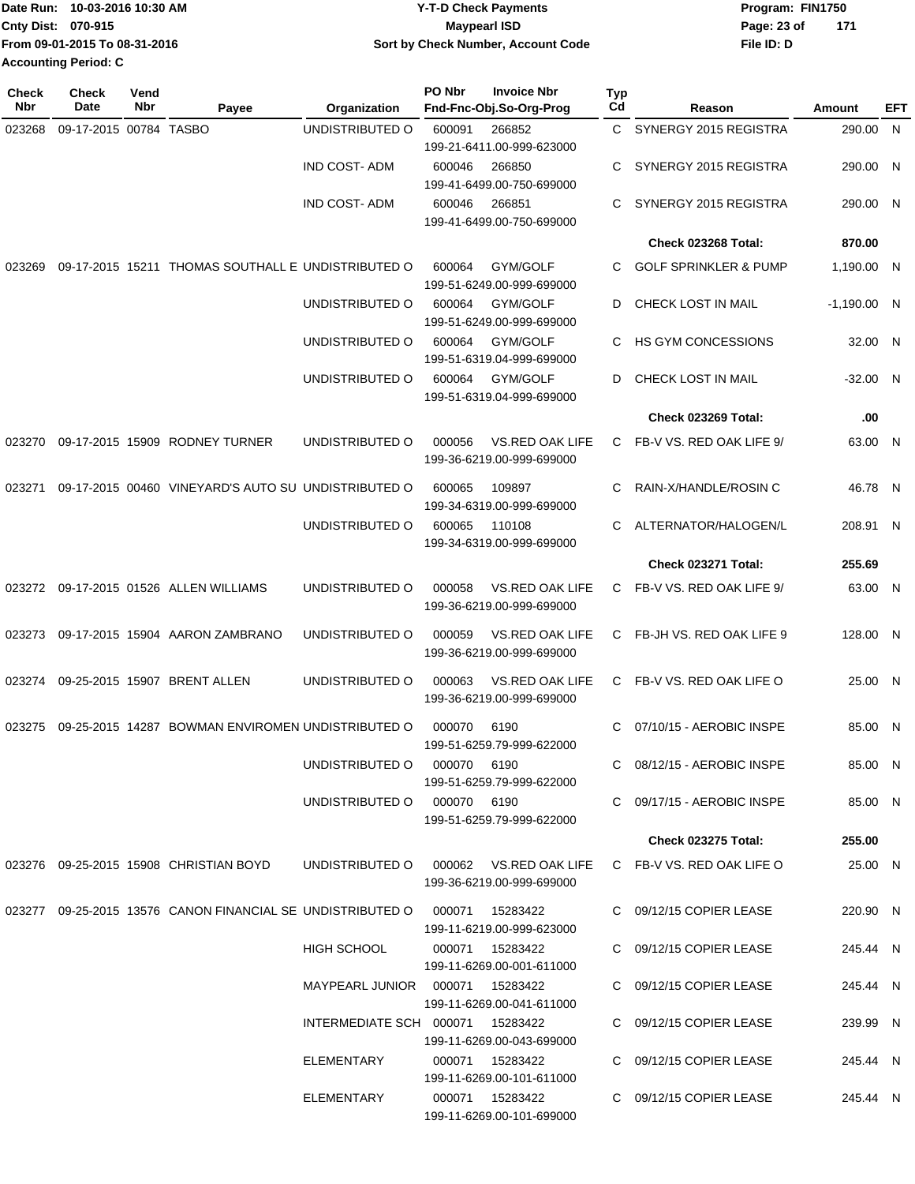|                             | lDate Run: 10-03-2016 10:30 AM | <b>Y-T-D Check Payments</b>        | Program: FIN1750   |
|-----------------------------|--------------------------------|------------------------------------|--------------------|
| <b>Cnty Dist: 070-915</b>   |                                | Maypearl ISD                       | 171<br>Page: 23 of |
|                             | From 09-01-2015 To 08-31-2016  | Sort by Check Number, Account Code | File ID: D         |
| <b>Accounting Period: C</b> |                                |                                    |                    |

| Check<br>Nbr | <b>Check</b><br>Date   | Vend<br><b>Nbr</b> | Payee                                                                      | Organization                           | PO Nbr      | <b>Invoice Nbr</b><br>Fnd-Fnc-Obj.So-Org-Prog | Typ<br>Cd | Reason                           | Amount        | EFT |
|--------------|------------------------|--------------------|----------------------------------------------------------------------------|----------------------------------------|-------------|-----------------------------------------------|-----------|----------------------------------|---------------|-----|
| 023268       | 09-17-2015 00784 TASBO |                    |                                                                            | UNDISTRIBUTED O                        | 600091      | 266852                                        | C.        | SYNERGY 2015 REGISTRA            | 290.00 N      |     |
|              |                        |                    |                                                                            |                                        |             | 199-21-6411.00-999-623000                     |           |                                  |               |     |
|              |                        |                    |                                                                            | <b>IND COST-ADM</b>                    | 600046      | 266850                                        | С         | SYNERGY 2015 REGISTRA            | 290.00 N      |     |
|              |                        |                    |                                                                            |                                        |             | 199-41-6499.00-750-699000                     |           |                                  |               |     |
|              |                        |                    |                                                                            | <b>IND COST-ADM</b>                    | 600046      | 266851<br>199-41-6499.00-750-699000           | C         | SYNERGY 2015 REGISTRA            | 290.00 N      |     |
|              |                        |                    |                                                                            |                                        |             |                                               |           | Check 023268 Total:              | 870.00        |     |
| 023269       |                        |                    | 09-17-2015 15211 THOMAS SOUTHALL E UNDISTRIBUTED O                         |                                        | 600064      | GYM/GOLF                                      | C.        | <b>GOLF SPRINKLER &amp; PUMP</b> | 1,190.00 N    |     |
|              |                        |                    |                                                                            |                                        |             | 199-51-6249.00-999-699000                     |           |                                  |               |     |
|              |                        |                    |                                                                            | UNDISTRIBUTED O                        | 600064      | GYM/GOLF                                      | D         | <b>CHECK LOST IN MAIL</b>        | $-1,190.00$ N |     |
|              |                        |                    |                                                                            |                                        |             | 199-51-6249.00-999-699000                     |           |                                  |               |     |
|              |                        |                    |                                                                            | UNDISTRIBUTED O                        | 600064      | GYM/GOLF                                      | C         | HS GYM CONCESSIONS               | 32.00 N       |     |
|              |                        |                    |                                                                            |                                        | 600064      | 199-51-6319.04-999-699000<br>GYM/GOLF         | D         |                                  |               |     |
|              |                        |                    |                                                                            | UNDISTRIBUTED O                        |             | 199-51-6319.04-999-699000                     |           | CHECK LOST IN MAIL               | $-32.00$ N    |     |
|              |                        |                    |                                                                            |                                        |             |                                               |           | Check 023269 Total:              | .00           |     |
| 023270       |                        |                    | 09-17-2015 15909 RODNEY TURNER                                             | UNDISTRIBUTED O                        | 000056      | <b>VS.RED OAK LIFE</b>                        | C         | FB-V VS. RED OAK LIFE 9/         | 63.00 N       |     |
|              |                        |                    |                                                                            |                                        |             | 199-36-6219.00-999-699000                     |           |                                  |               |     |
|              |                        |                    |                                                                            |                                        |             |                                               |           |                                  |               |     |
| 023271       |                        |                    | 09-17-2015 00460 VINEYARD'S AUTO SU UNDISTRIBUTED O                        |                                        | 600065      | 109897<br>199-34-6319.00-999-699000           | C         | RAIN-X/HANDLE/ROSIN C            | 46.78 N       |     |
|              |                        |                    |                                                                            | UNDISTRIBUTED O                        | 600065      | 110108                                        | C         | ALTERNATOR/HALOGEN/L             | 208.91 N      |     |
|              |                        |                    |                                                                            |                                        |             | 199-34-6319.00-999-699000                     |           |                                  |               |     |
|              |                        |                    |                                                                            |                                        |             |                                               |           | Check 023271 Total:              | 255.69        |     |
|              |                        |                    | 023272 09-17-2015 01526 ALLEN WILLIAMS                                     | UNDISTRIBUTED O                        | 000058      | VS.RED OAK LIFE                               | C         | FB-V VS. RED OAK LIFE 9/         | 63.00 N       |     |
|              |                        |                    |                                                                            |                                        |             | 199-36-6219.00-999-699000                     |           |                                  |               |     |
| 023273       |                        |                    | 09-17-2015 15904 AARON ZAMBRANO                                            | UNDISTRIBUTED O                        | 000059      | <b>VS.RED OAK LIFE</b>                        | C         | FB-JH VS. RED OAK LIFE 9         | 128.00 N      |     |
|              |                        |                    |                                                                            |                                        |             | 199-36-6219.00-999-699000                     |           |                                  |               |     |
|              |                        |                    |                                                                            |                                        |             |                                               |           |                                  |               |     |
| 023274       |                        |                    | 09-25-2015 15907 BRENT ALLEN                                               | UNDISTRIBUTED O                        | 000063      | VS.RED OAK LIFE<br>199-36-6219.00-999-699000  |           | C FB-V VS. RED OAK LIFE O        | 25.00 N       |     |
|              |                        |                    |                                                                            |                                        |             |                                               |           |                                  |               |     |
| 023275       |                        |                    | 09-25-2015 14287 BOWMAN ENVIROMEN UNDISTRIBUTED O                          |                                        | 000070      | 6190                                          | C         | 07/10/15 - AEROBIC INSPE         | 85.00 N       |     |
|              |                        |                    |                                                                            |                                        |             | 199-51-6259.79-999-622000                     |           |                                  |               |     |
|              |                        |                    |                                                                            | UNDISTRIBUTED O                        | 000070 6190 | 199-51-6259.79-999-622000                     |           | C 08/12/15 - AEROBIC INSPE       | 85.00 N       |     |
|              |                        |                    |                                                                            | UNDISTRIBUTED O 000070 6190            |             |                                               |           | C 09/17/15 - AEROBIC INSPE       | 85.00 N       |     |
|              |                        |                    |                                                                            |                                        |             | 199-51-6259.79-999-622000                     |           |                                  |               |     |
|              |                        |                    |                                                                            |                                        |             |                                               |           | Check 023275 Total:              | 255.00        |     |
|              |                        |                    | 023276 09-25-2015 15908 CHRISTIAN BOYD                                     | UNDISTRIBUTED O 000062 VS.RED OAK LIFE |             |                                               |           | C FB-V VS. RED OAK LIFE O        | 25.00 N       |     |
|              |                        |                    |                                                                            |                                        |             | 199-36-6219.00-999-699000                     |           |                                  |               |     |
|              |                        |                    | 023277 09-25-2015 13576 CANON FINANCIAL SE UNDISTRIBUTED O 000071 15283422 |                                        |             |                                               |           | C 09/12/15 COPIER LEASE          | 220.90 N      |     |
|              |                        |                    |                                                                            |                                        |             | 199-11-6219.00-999-623000                     |           |                                  |               |     |
|              |                        |                    |                                                                            | HIGH SCHOOL                            |             | 000071 15283422                               |           | C 09/12/15 COPIER LEASE          | 245.44 N      |     |
|              |                        |                    |                                                                            |                                        |             | 199-11-6269.00-001-611000                     |           |                                  |               |     |
|              |                        |                    |                                                                            |                                        |             |                                               |           | C 09/12/15 COPIER LEASE          | 245.44 N      |     |
|              |                        |                    |                                                                            |                                        |             | 199-11-6269.00-041-611000                     |           |                                  |               |     |
|              |                        |                    |                                                                            | INTERMEDIATE SCH 000071 15283422       |             | 199-11-6269.00-043-699000                     |           | C 09/12/15 COPIER LEASE          | 239.99 N      |     |
|              |                        |                    |                                                                            | ELEMENTARY                             |             | 000071 15283422                               |           | C 09/12/15 COPIER LEASE          | 245.44 N      |     |
|              |                        |                    |                                                                            |                                        |             | 199-11-6269.00-101-611000                     |           |                                  |               |     |
|              |                        |                    |                                                                            | ELEMENTARY                             |             | 000071 15283422                               |           | C 09/12/15 COPIER LEASE          | 245.44 N      |     |
|              |                        |                    |                                                                            |                                        |             | 199-11-6269.00-101-699000                     |           |                                  |               |     |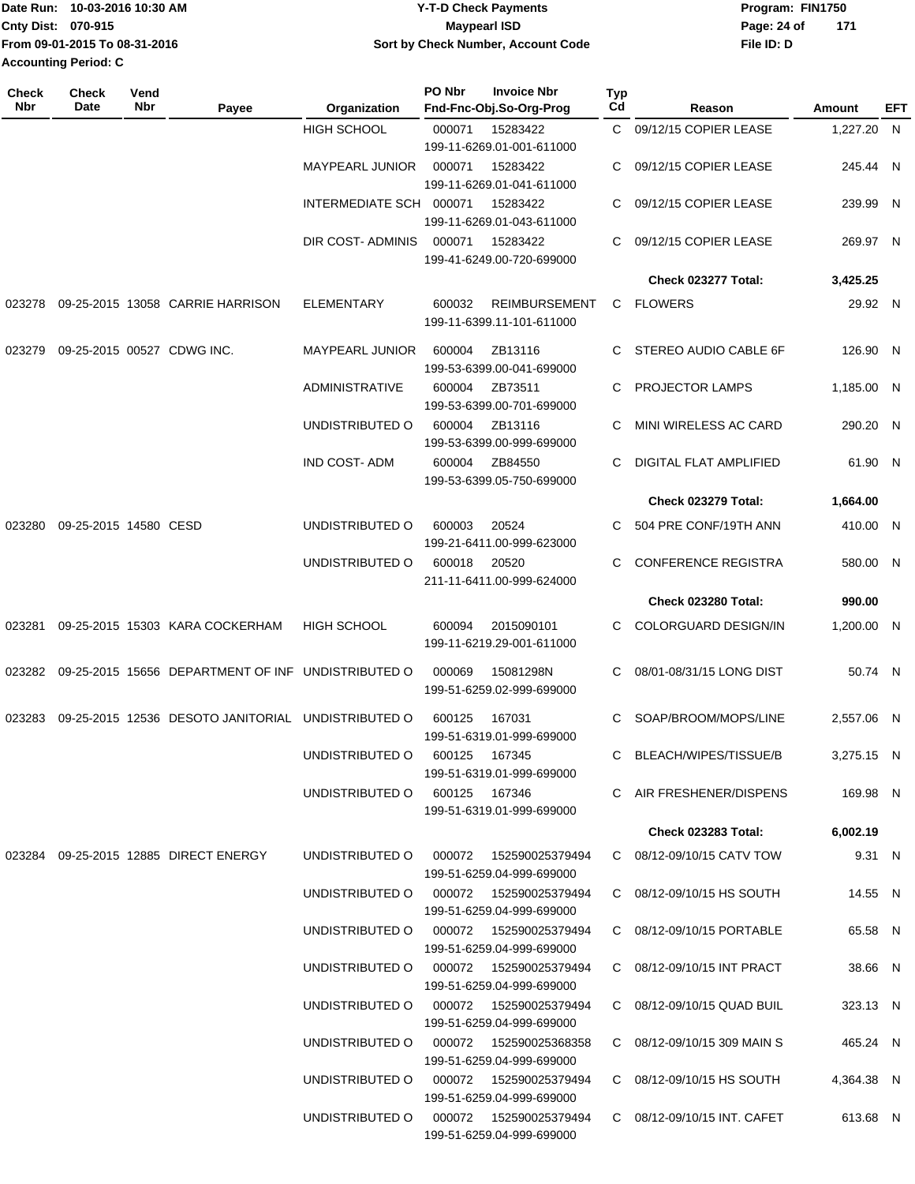|                           | Date Run: 10-03-2016 10:30 AM | <b>Y-T-D Check Payments</b>        | Program: FIN1750   |
|---------------------------|-------------------------------|------------------------------------|--------------------|
| <b>Cnty Dist: 070-915</b> |                               | Maypearl ISD                       | 171<br>Page: 24 of |
|                           | From 09-01-2015 To 08-31-2016 | Sort by Check Number, Account Code | File ID: D         |
| Accounting Period: C      |                               |                                    |                    |

| C 09/12/15 COPIER LEASE<br>1,227.20 N   |                                                                                                                                                                                                                                                                                                                                                                                                                                                                                                                                                                                                                                                                                                          |
|-----------------------------------------|----------------------------------------------------------------------------------------------------------------------------------------------------------------------------------------------------------------------------------------------------------------------------------------------------------------------------------------------------------------------------------------------------------------------------------------------------------------------------------------------------------------------------------------------------------------------------------------------------------------------------------------------------------------------------------------------------------|
|                                         |                                                                                                                                                                                                                                                                                                                                                                                                                                                                                                                                                                                                                                                                                                          |
|                                         |                                                                                                                                                                                                                                                                                                                                                                                                                                                                                                                                                                                                                                                                                                          |
| 09/12/15 COPIER LEASE<br>245.44 N       |                                                                                                                                                                                                                                                                                                                                                                                                                                                                                                                                                                                                                                                                                                          |
|                                         |                                                                                                                                                                                                                                                                                                                                                                                                                                                                                                                                                                                                                                                                                                          |
| 239.99 N                                |                                                                                                                                                                                                                                                                                                                                                                                                                                                                                                                                                                                                                                                                                                          |
|                                         |                                                                                                                                                                                                                                                                                                                                                                                                                                                                                                                                                                                                                                                                                                          |
|                                         |                                                                                                                                                                                                                                                                                                                                                                                                                                                                                                                                                                                                                                                                                                          |
|                                         |                                                                                                                                                                                                                                                                                                                                                                                                                                                                                                                                                                                                                                                                                                          |
|                                         |                                                                                                                                                                                                                                                                                                                                                                                                                                                                                                                                                                                                                                                                                                          |
|                                         |                                                                                                                                                                                                                                                                                                                                                                                                                                                                                                                                                                                                                                                                                                          |
|                                         |                                                                                                                                                                                                                                                                                                                                                                                                                                                                                                                                                                                                                                                                                                          |
| STEREO AUDIO CABLE 6F<br>126.90 N       |                                                                                                                                                                                                                                                                                                                                                                                                                                                                                                                                                                                                                                                                                                          |
|                                         |                                                                                                                                                                                                                                                                                                                                                                                                                                                                                                                                                                                                                                                                                                          |
| 1.185.00 N                              |                                                                                                                                                                                                                                                                                                                                                                                                                                                                                                                                                                                                                                                                                                          |
|                                         |                                                                                                                                                                                                                                                                                                                                                                                                                                                                                                                                                                                                                                                                                                          |
|                                         |                                                                                                                                                                                                                                                                                                                                                                                                                                                                                                                                                                                                                                                                                                          |
|                                         |                                                                                                                                                                                                                                                                                                                                                                                                                                                                                                                                                                                                                                                                                                          |
|                                         |                                                                                                                                                                                                                                                                                                                                                                                                                                                                                                                                                                                                                                                                                                          |
|                                         |                                                                                                                                                                                                                                                                                                                                                                                                                                                                                                                                                                                                                                                                                                          |
|                                         |                                                                                                                                                                                                                                                                                                                                                                                                                                                                                                                                                                                                                                                                                                          |
|                                         |                                                                                                                                                                                                                                                                                                                                                                                                                                                                                                                                                                                                                                                                                                          |
|                                         |                                                                                                                                                                                                                                                                                                                                                                                                                                                                                                                                                                                                                                                                                                          |
|                                         |                                                                                                                                                                                                                                                                                                                                                                                                                                                                                                                                                                                                                                                                                                          |
| Check 023280 Total:<br>990.00           |                                                                                                                                                                                                                                                                                                                                                                                                                                                                                                                                                                                                                                                                                                          |
|                                         |                                                                                                                                                                                                                                                                                                                                                                                                                                                                                                                                                                                                                                                                                                          |
|                                         |                                                                                                                                                                                                                                                                                                                                                                                                                                                                                                                                                                                                                                                                                                          |
|                                         |                                                                                                                                                                                                                                                                                                                                                                                                                                                                                                                                                                                                                                                                                                          |
|                                         |                                                                                                                                                                                                                                                                                                                                                                                                                                                                                                                                                                                                                                                                                                          |
|                                         |                                                                                                                                                                                                                                                                                                                                                                                                                                                                                                                                                                                                                                                                                                          |
| SOAP/BROOM/MOPS/LINE<br>2.557.06 N      |                                                                                                                                                                                                                                                                                                                                                                                                                                                                                                                                                                                                                                                                                                          |
|                                         |                                                                                                                                                                                                                                                                                                                                                                                                                                                                                                                                                                                                                                                                                                          |
| 3,275.15 N                              |                                                                                                                                                                                                                                                                                                                                                                                                                                                                                                                                                                                                                                                                                                          |
|                                         |                                                                                                                                                                                                                                                                                                                                                                                                                                                                                                                                                                                                                                                                                                          |
|                                         |                                                                                                                                                                                                                                                                                                                                                                                                                                                                                                                                                                                                                                                                                                          |
|                                         |                                                                                                                                                                                                                                                                                                                                                                                                                                                                                                                                                                                                                                                                                                          |
|                                         |                                                                                                                                                                                                                                                                                                                                                                                                                                                                                                                                                                                                                                                                                                          |
|                                         |                                                                                                                                                                                                                                                                                                                                                                                                                                                                                                                                                                                                                                                                                                          |
|                                         |                                                                                                                                                                                                                                                                                                                                                                                                                                                                                                                                                                                                                                                                                                          |
|                                         |                                                                                                                                                                                                                                                                                                                                                                                                                                                                                                                                                                                                                                                                                                          |
| 65.58 N                                 |                                                                                                                                                                                                                                                                                                                                                                                                                                                                                                                                                                                                                                                                                                          |
|                                         |                                                                                                                                                                                                                                                                                                                                                                                                                                                                                                                                                                                                                                                                                                          |
| C 08/12-09/10/15 INT PRACT<br>38.66 N   |                                                                                                                                                                                                                                                                                                                                                                                                                                                                                                                                                                                                                                                                                                          |
|                                         |                                                                                                                                                                                                                                                                                                                                                                                                                                                                                                                                                                                                                                                                                                          |
| C 08/12-09/10/15 QUAD BUIL<br>323.13 N  |                                                                                                                                                                                                                                                                                                                                                                                                                                                                                                                                                                                                                                                                                                          |
|                                         |                                                                                                                                                                                                                                                                                                                                                                                                                                                                                                                                                                                                                                                                                                          |
| 465.24 N<br>C 08/12-09/10/15 309 MAIN S |                                                                                                                                                                                                                                                                                                                                                                                                                                                                                                                                                                                                                                                                                                          |
|                                         |                                                                                                                                                                                                                                                                                                                                                                                                                                                                                                                                                                                                                                                                                                          |
|                                         |                                                                                                                                                                                                                                                                                                                                                                                                                                                                                                                                                                                                                                                                                                          |
|                                         |                                                                                                                                                                                                                                                                                                                                                                                                                                                                                                                                                                                                                                                                                                          |
|                                         |                                                                                                                                                                                                                                                                                                                                                                                                                                                                                                                                                                                                                                                                                                          |
|                                         | 09/12/15 COPIER LEASE<br>09/12/15 COPIER LEASE<br>269.97 N<br>Check 023277 Total:<br>3,425.25<br>29.92 N<br>MINI WIRELESS AC CARD<br>290.20 N<br><b>DIGITAL FLAT AMPLIFIED</b><br>61.90 N<br><b>Check 023279 Total:</b><br>1,664.00<br>504 PRE CONF/19TH ANN<br>410.00 N<br><b>CONFERENCE REGISTRA</b><br>580.00 N<br>C COLORGUARD DESIGN/IN<br>1,200.00 N<br>08/01-08/31/15 LONG DIST<br>50.74 N<br>C BLEACH/WIPES/TISSUE/B<br>C AIR FRESHENER/DISPENS<br>169.98 N<br>Check 023283 Total:<br>6,002.19<br>9.31 N<br>C 08/12-09/10/15 CATV TOW<br>C 08/12-09/10/15 HS SOUTH<br>14.55 N<br>C 08/12-09/10/15 PORTABLE<br>C 08/12-09/10/15 HS SOUTH<br>4,364.38 N<br>C 08/12-09/10/15 INT. CAFET<br>613.68 N |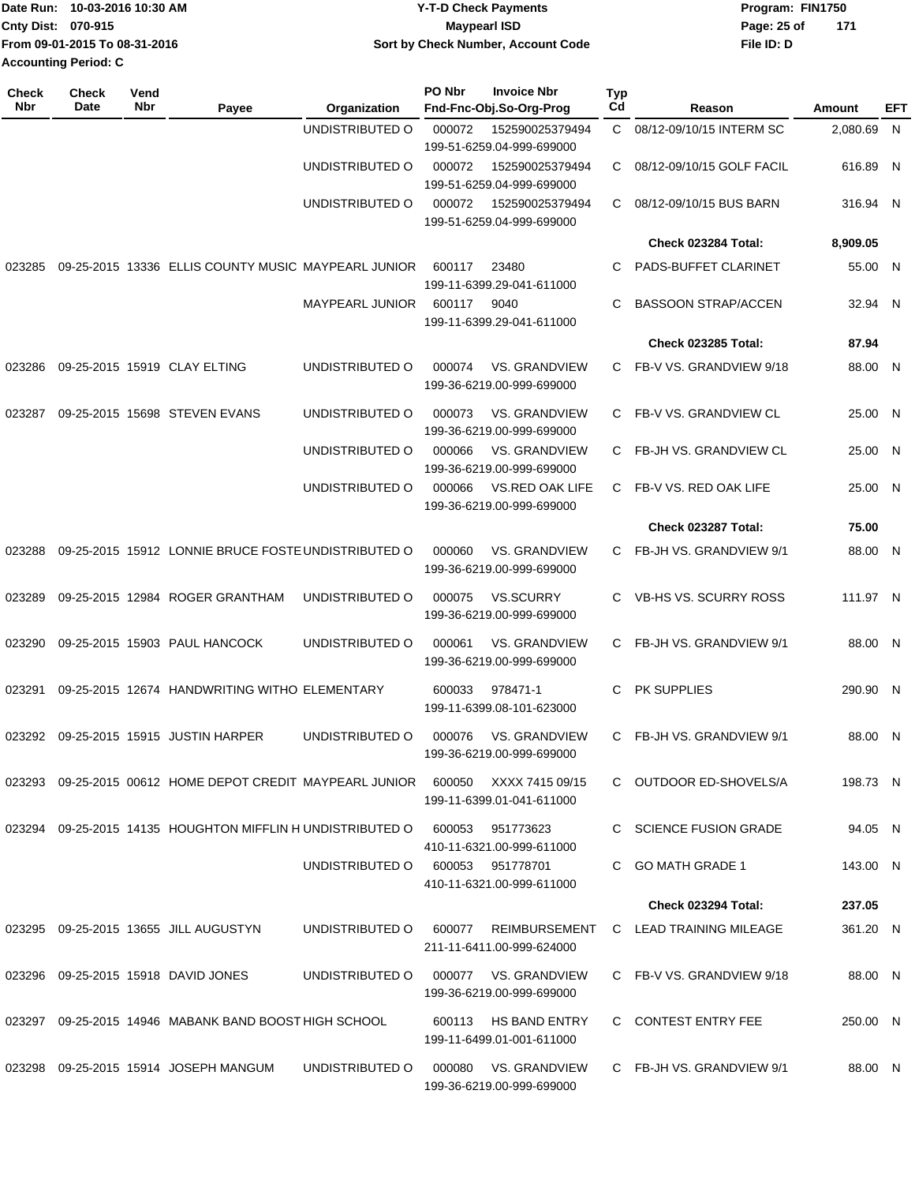|                           | Date Run: 10-03-2016 10:30 AM | <b>Y-T-D Check Payments</b>        | Program: FIN1750   |  |  |  |
|---------------------------|-------------------------------|------------------------------------|--------------------|--|--|--|
| <b>Cnty Dist: 070-915</b> |                               | Maypearl ISD                       | 171<br>Page: 25 of |  |  |  |
|                           | From 09-01-2015 To 08-31-2016 | Sort by Check Number, Account Code | File ID: D         |  |  |  |
| Accounting Period: C      |                               |                                    |                    |  |  |  |

| <b>Check</b><br><b>Nbr</b> | Check<br>Date | Vend<br><b>Nbr</b> | Payee                                                            | Organization    | PO Nbr | <b>Invoice Nbr</b><br>Fnd-Fnc-Obj.So-Org-Prog     | <b>Typ</b><br>Cd | Reason                      | Amount     | <b>EFT</b> |
|----------------------------|---------------|--------------------|------------------------------------------------------------------|-----------------|--------|---------------------------------------------------|------------------|-----------------------------|------------|------------|
|                            |               |                    |                                                                  | UNDISTRIBUTED O | 000072 | 152590025379494<br>199-51-6259.04-999-699000      |                  | C 08/12-09/10/15 INTERM SC  | 2,080.69 N |            |
|                            |               |                    |                                                                  | UNDISTRIBUTED O | 000072 | 152590025379494<br>199-51-6259.04-999-699000      |                  | C 08/12-09/10/15 GOLF FACIL | 616.89 N   |            |
|                            |               |                    |                                                                  | UNDISTRIBUTED O | 000072 | 152590025379494<br>199-51-6259.04-999-699000      | C.               | 08/12-09/10/15 BUS BARN     | 316.94 N   |            |
|                            |               |                    |                                                                  |                 |        |                                                   |                  | Check 023284 Total:         | 8,909.05   |            |
| 023285                     |               |                    | 09-25-2015 13336 ELLIS COUNTY MUSIC MAYPEARL JUNIOR              |                 | 600117 | 23480<br>199-11-6399.29-041-611000                | C                | PADS-BUFFET CLARINET        | 55.00 N    |            |
|                            |               |                    |                                                                  | MAYPEARL JUNIOR | 600117 | 9040<br>199-11-6399.29-041-611000                 | C                | <b>BASSOON STRAP/ACCEN</b>  | 32.94 N    |            |
|                            |               |                    |                                                                  |                 |        |                                                   |                  | <b>Check 023285 Total:</b>  | 87.94      |            |
| 023286                     |               |                    | 09-25-2015 15919 CLAY ELTING                                     | UNDISTRIBUTED O | 000074 | <b>VS. GRANDVIEW</b><br>199-36-6219.00-999-699000 |                  | C FB-V VS. GRANDVIEW 9/18   | 88.00 N    |            |
| 023287                     |               |                    | 09-25-2015 15698 STEVEN EVANS                                    | UNDISTRIBUTED O | 000073 | <b>VS. GRANDVIEW</b><br>199-36-6219.00-999-699000 |                  | C FB-V VS. GRANDVIEW CL     | 25.00 N    |            |
|                            |               |                    |                                                                  | UNDISTRIBUTED O | 000066 | <b>VS. GRANDVIEW</b><br>199-36-6219.00-999-699000 |                  | C FB-JH VS. GRANDVIEW CL    | 25.00 N    |            |
|                            |               |                    |                                                                  | UNDISTRIBUTED O | 000066 | VS.RED OAK LIFE<br>199-36-6219.00-999-699000      | C.               | FB-V VS. RED OAK LIFE       | 25.00 N    |            |
|                            |               |                    |                                                                  |                 |        |                                                   |                  | Check 023287 Total:         | 75.00      |            |
| 023288                     |               |                    | 09-25-2015 15912 LONNIE BRUCE FOSTE UNDISTRIBUTED O              |                 | 000060 | <b>VS. GRANDVIEW</b><br>199-36-6219.00-999-699000 |                  | C FB-JH VS. GRANDVIEW 9/1   | 88.00 N    |            |
| 023289                     |               |                    | 09-25-2015 12984 ROGER GRANTHAM                                  | UNDISTRIBUTED O | 000075 | <b>VS.SCURRY</b><br>199-36-6219.00-999-699000     |                  | C VB-HS VS. SCURRY ROSS     | 111.97 N   |            |
| 023290                     |               |                    | 09-25-2015 15903 PAUL HANCOCK                                    | UNDISTRIBUTED O | 000061 | <b>VS. GRANDVIEW</b><br>199-36-6219.00-999-699000 |                  | C FB-JH VS. GRANDVIEW 9/1   | 88.00 N    |            |
| 023291                     |               |                    | 09-25-2015 12674 HANDWRITING WITHO ELEMENTARY                    |                 | 600033 | 978471-1<br>199-11-6399.08-101-623000             | C                | PK SUPPLIES                 | 290.90 N   |            |
|                            |               |                    | 023292 09-25-2015 15915 JUSTIN HARPER                            | UNDISTRIBUTED O | 000076 | <b>VS. GRANDVIEW</b><br>199-36-6219.00-999-699000 |                  | C FB-JH VS. GRANDVIEW 9/1   | 88.00 N    |            |
|                            |               |                    | 023293 09-25-2015 00612 HOME DEPOT CREDIT MAYPEARL JUNIOR 600050 |                 |        | XXXX 7415 09/15<br>199-11-6399.01-041-611000      |                  | C OUTDOOR ED-SHOVELS/A      | 198.73 N   |            |
|                            |               |                    | 023294 09-25-2015 14135 HOUGHTON MIFFLIN H UNDISTRIBUTED O       |                 | 600053 | 951773623<br>410-11-6321.00-999-611000            |                  | C SCIENCE FUSION GRADE      | 94.05 N    |            |
|                            |               |                    |                                                                  | UNDISTRIBUTED O |        | 600053 951778701<br>410-11-6321.00-999-611000     |                  | C GO MATH GRADE 1           | 143.00 N   |            |
|                            |               |                    |                                                                  |                 |        |                                                   |                  | <b>Check 023294 Total:</b>  | 237.05     |            |
|                            |               |                    | 023295 09-25-2015 13655 JILL AUGUSTYN                            | UNDISTRIBUTED O |        | 600077 REIMBURSEMENT<br>211-11-6411.00-999-624000 |                  | C LEAD TRAINING MILEAGE     | 361.20 N   |            |
|                            |               |                    | 023296 09-25-2015 15918 DAVID JONES                              | UNDISTRIBUTED O |        | 000077 VS. GRANDVIEW<br>199-36-6219.00-999-699000 |                  | C FB-V VS. GRANDVIEW 9/18   | 88.00 N    |            |
|                            |               |                    | 023297 09-25-2015 14946 MABANK BAND BOOST HIGH SCHOOL            |                 | 600113 | HS BAND ENTRY<br>199-11-6499.01-001-611000        |                  | C CONTEST ENTRY FEE         | 250.00 N   |            |
|                            |               |                    | 023298  09-25-2015  15914  JOSEPH MANGUM                         | UNDISTRIBUTED O | 000080 | VS. GRANDVIEW<br>199-36-6219.00-999-699000        |                  | C FB-JH VS. GRANDVIEW 9/1   | 88.00 N    |            |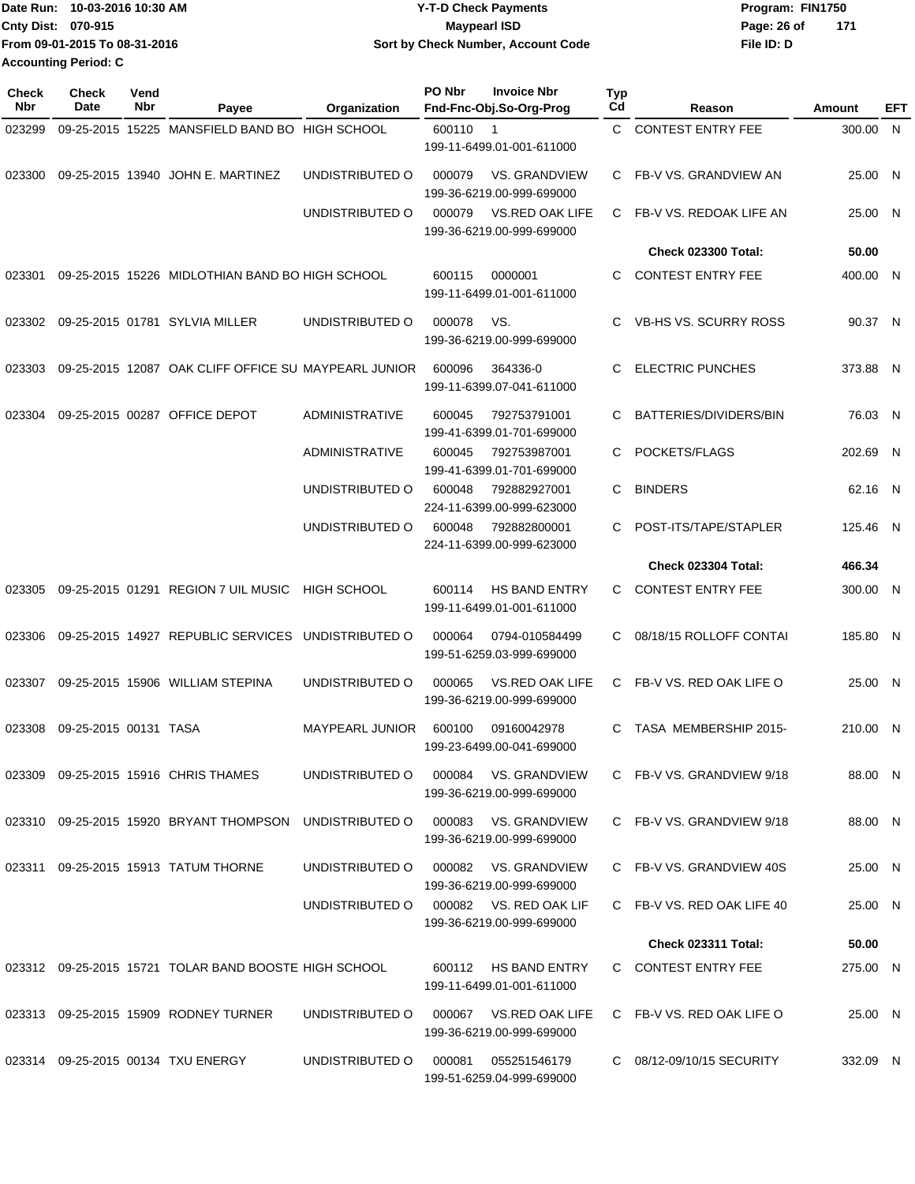|                             | Date Run: 10-03-2016 10:30 AM | <b>Y-T-D Check Payments</b>        | Program: FIN1750     |  |
|-----------------------------|-------------------------------|------------------------------------|----------------------|--|
| <b>Cnty Dist: 070-915</b>   |                               | <b>Mavpearl ISD</b>                | - 171<br>Page: 26 of |  |
|                             | From 09-01-2015 To 08-31-2016 | Sort by Check Number, Account Code | File ID: D           |  |
| <b>Accounting Period: C</b> |                               |                                    |                      |  |

| <b>Check</b><br>Nbr | <b>Check</b><br>Date  | Vend<br>Nbr | Payee                                                 | Organization           | <b>PO Nbr</b><br><b>Invoice Nbr</b><br>Fnd-Fnc-Obj.So-Org-Prog                                            | <b>Typ</b><br>Cd | Reason                     | Amount   | EFT |
|---------------------|-----------------------|-------------|-------------------------------------------------------|------------------------|-----------------------------------------------------------------------------------------------------------|------------------|----------------------------|----------|-----|
| 023299              |                       |             | 09-25-2015 15225 MANSFIELD BAND BO HIGH SCHOOL        |                        | 600110<br>$\overline{1}$<br>199-11-6499.01-001-611000                                                     | C.               | <b>CONTEST ENTRY FEE</b>   | 300.00 N |     |
| 023300              |                       |             | 09-25-2015 13940 JOHN E. MARTINEZ                     | UNDISTRIBUTED O        | 000079<br>VS. GRANDVIEW<br>199-36-6219.00-999-699000                                                      |                  | C FB-V VS. GRANDVIEW AN    | 25.00 N  |     |
|                     |                       |             |                                                       | UNDISTRIBUTED O        | 000079<br><b>VS.RED OAK LIFE</b><br>199-36-6219.00-999-699000                                             | C.               | FB-V VS. REDOAK LIFE AN    | 25.00 N  |     |
|                     |                       |             |                                                       |                        |                                                                                                           |                  | <b>Check 023300 Total:</b> | 50.00    |     |
| 023301              |                       |             | 09-25-2015 15226 MIDLOTHIAN BAND BO HIGH SCHOOL       |                        | 600115<br>0000001<br>199-11-6499.01-001-611000                                                            | C.               | <b>CONTEST ENTRY FEE</b>   | 400.00 N |     |
| 023302              |                       |             | 09-25-2015 01781 SYLVIA MILLER                        | UNDISTRIBUTED O        | 000078<br>VS.<br>199-36-6219.00-999-699000                                                                | C.               | VB-HS VS. SCURRY ROSS      | 90.37 N  |     |
| 023303              |                       |             | 09-25-2015 12087 OAK CLIFF OFFICE SU MAYPEARL JUNIOR  |                        | 600096<br>364336-0<br>199-11-6399.07-041-611000                                                           | C                | <b>ELECTRIC PUNCHES</b>    | 373.88 N |     |
| 023304              |                       |             | 09-25-2015 00287 OFFICE DEPOT                         | <b>ADMINISTRATIVE</b>  | 600045<br>792753791001<br>199-41-6399.01-701-699000                                                       | C                | BATTERIES/DIVIDERS/BIN     | 76.03 N  |     |
|                     |                       |             |                                                       | <b>ADMINISTRATIVE</b>  | 600045<br>792753987001<br>199-41-6399.01-701-699000                                                       | C                | POCKETS/FLAGS              | 202.69 N |     |
|                     |                       |             |                                                       | UNDISTRIBUTED O        | 600048<br>792882927001<br>224-11-6399.00-999-623000                                                       | C                | <b>BINDERS</b>             | 62.16 N  |     |
|                     |                       |             |                                                       | UNDISTRIBUTED O        | 600048<br>792882800001<br>224-11-6399.00-999-623000                                                       | C                | POST-ITS/TAPE/STAPLER      | 125.46 N |     |
|                     |                       |             |                                                       |                        |                                                                                                           |                  | <b>Check 023304 Total:</b> | 466.34   |     |
| 023305              |                       |             | 09-25-2015 01291 REGION 7 UIL MUSIC                   | <b>HIGH SCHOOL</b>     | <b>HS BAND ENTRY</b><br>600114<br>199-11-6499.01-001-611000                                               | C.               | <b>CONTEST ENTRY FEE</b>   | 300.00 N |     |
| 023306              |                       |             | 09-25-2015 14927 REPUBLIC SERVICES                    | UNDISTRIBUTED O        | 000064<br>0794-010584499<br>199-51-6259.03-999-699000                                                     | C.               | 08/18/15 ROLLOFF CONTAI    | 185.80 N |     |
| 023307              |                       |             | 09-25-2015 15906 WILLIAM STEPINA                      | UNDISTRIBUTED O        | 000065<br><b>VS.RED OAK LIFE</b><br>199-36-6219.00-999-699000                                             | C                | FB-V VS. RED OAK LIFE O    | 25.00 N  |     |
| 023308              | 09-25-2015 00131 TASA |             |                                                       | <b>MAYPEARL JUNIOR</b> | 600100<br>09160042978<br>199-23-6499.00-041-699000                                                        | C                | TASA MEMBERSHIP 2015-      | 210.00 N |     |
|                     |                       |             | 023309 09-25-2015 15916 CHRIS THAMES                  |                        | UNDISTRIBUTED O 000084 VS. GRANDVIEW<br>199-36-6219.00-999-699000                                         |                  | C FB-V VS. GRANDVIEW 9/18  | 88.00 N  |     |
|                     |                       |             |                                                       |                        | 023310 09-25-2015 15920 BRYANT THOMPSON UNDISTRIBUTED O 000083 VS. GRANDVIEW<br>199-36-6219.00-999-699000 |                  | C FB-V VS. GRANDVIEW 9/18  | 88.00 N  |     |
|                     |                       |             | 023311 09-25-2015 15913 TATUM THORNE                  | UNDISTRIBUTED O        | 000082 VS. GRANDVIEW<br>199-36-6219.00-999-699000                                                         |                  | C FB-V VS. GRANDVIEW 40S   | 25.00 N  |     |
|                     |                       |             |                                                       | UNDISTRIBUTED O        | 000082 VS. RED OAK LIF<br>199-36-6219.00-999-699000                                                       |                  | C FB-V VS. RED OAK LIFE 40 | 25.00 N  |     |
|                     |                       |             |                                                       |                        |                                                                                                           |                  | Check 023311 Total:        | 50.00    |     |
|                     |                       |             | 023312 09-25-2015 15721 TOLAR BAND BOOSTE HIGH SCHOOL |                        | 600112 HS BAND ENTRY<br>199-11-6499.01-001-611000                                                         |                  | C CONTEST ENTRY FEE        | 275.00 N |     |
|                     |                       |             | 023313 09-25-2015 15909 RODNEY TURNER                 | UNDISTRIBUTED O        | 000067 VS.RED OAK LIFE<br>199-36-6219.00-999-699000                                                       |                  | C FB-V VS. RED OAK LIFE O  | 25.00 N  |     |
|                     |                       |             | 023314 09-25-2015 00134 TXU ENERGY                    | UNDISTRIBUTED O        | 055251546179<br>000081<br>199-51-6259.04-999-699000                                                       |                  | C 08/12-09/10/15 SECURITY  | 332.09 N |     |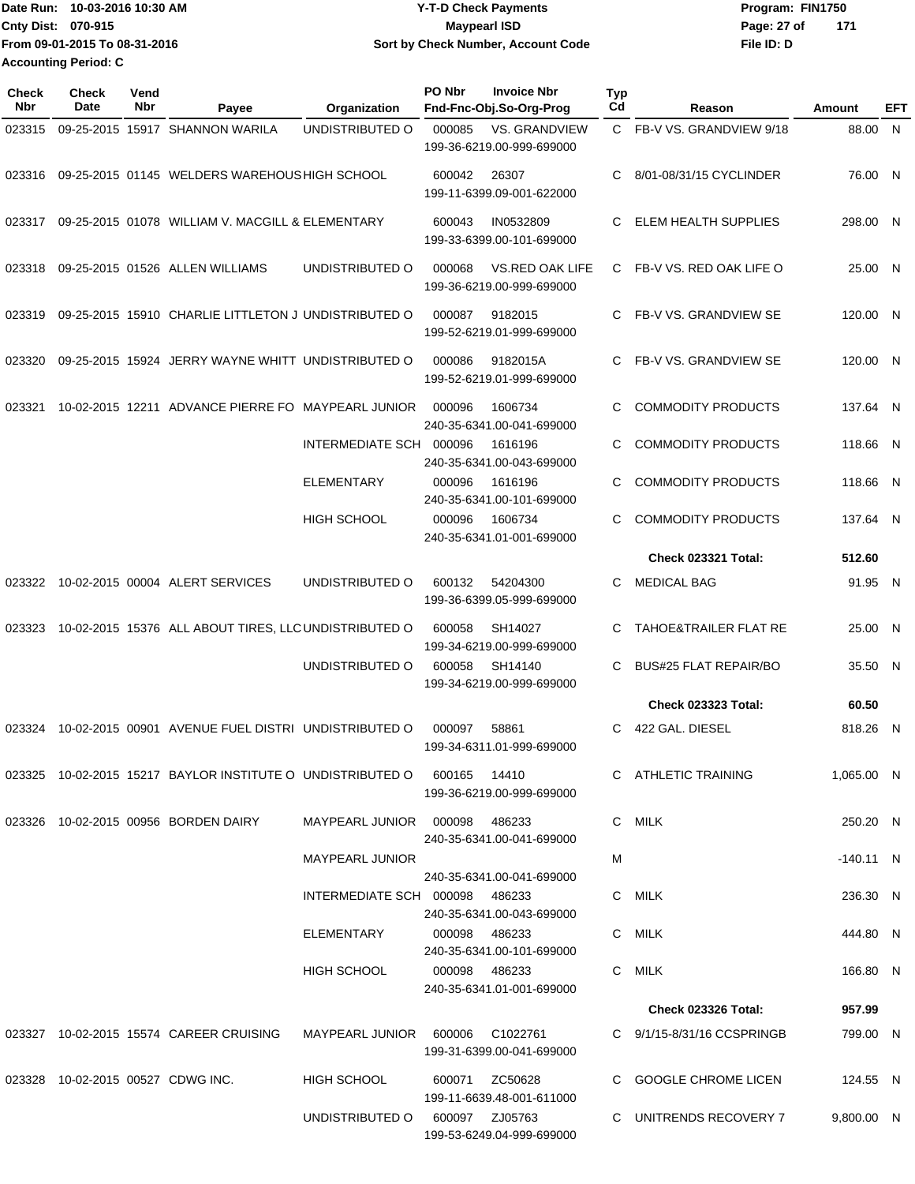**Date Run: Program: FIN1750 Cnty Dist:** 070-915 **Page:** 27 of **File ID: D From 09-01-2015 To 08-31-2016 10-03-2016 10:30 AM Y-T-D Check Payments 070-915 Maypearl ISD Sort by Check Number, Account Code 171 Accounting Period: C**

| Check<br><b>Nbr</b> | Check<br>Date | Vend<br>Nbr | Payee                                                                   | Organization                    | PO Nbr        | <b>Invoice Nbr</b><br>Fnd-Fnc-Obj.So-Org-Prog     | <b>Typ</b><br>Cd | Reason                           | <b>Amount</b> | EFT |
|---------------------|---------------|-------------|-------------------------------------------------------------------------|---------------------------------|---------------|---------------------------------------------------|------------------|----------------------------------|---------------|-----|
| 023315              |               |             | 09-25-2015 15917 SHANNON WARILA                                         | UNDISTRIBUTED O                 | 000085        | <b>VS. GRANDVIEW</b><br>199-36-6219.00-999-699000 |                  | C FB-V VS. GRANDVIEW 9/18        | 88.00 N       |     |
| 023316              |               |             | 09-25-2015 01145 WELDERS WAREHOUS HIGH SCHOOL                           |                                 | 600042        | 26307<br>199-11-6399.09-001-622000                | C.               | 8/01-08/31/15 CYCLINDER          | 76.00 N       |     |
| 023317              |               |             | 09-25-2015 01078 WILLIAM V. MACGILL & ELEMENTARY                        |                                 | 600043        | IN0532809<br>199-33-6399.00-101-699000            | C                | ELEM HEALTH SUPPLIES             | 298.00 N      |     |
| 023318              |               |             | 09-25-2015 01526 ALLEN WILLIAMS                                         | UNDISTRIBUTED O                 | 000068        | VS.RED OAK LIFE<br>199-36-6219.00-999-699000      | C.               | FB-V VS. RED OAK LIFE O          | 25.00 N       |     |
| 023319              |               |             | 09-25-2015 15910 CHARLIE LITTLETON JUNDISTRIBUTED O                     |                                 | 000087        | 9182015<br>199-52-6219.01-999-699000              | C.               | FB-V VS. GRANDVIEW SE            | 120.00 N      |     |
| 023320              |               |             | 09-25-2015 15924 JERRY WAYNE WHITT UNDISTRIBUTED O                      |                                 | 000086        | 9182015A<br>199-52-6219.01-999-699000             | C.               | FB-V VS. GRANDVIEW SE            | 120.00 N      |     |
| 023321              |               |             | 10-02-2015 12211 ADVANCE PIERRE FO MAYPEARL JUNIOR                      |                                 | 000096        | 1606734<br>240-35-6341.00-041-699000              | C.               | <b>COMMODITY PRODUCTS</b>        | 137.64 N      |     |
|                     |               |             |                                                                         | INTERMEDIATE SCH                | 000096        | 1616196<br>240-35-6341.00-043-699000              | C                | <b>COMMODITY PRODUCTS</b>        | 118.66 N      |     |
|                     |               |             |                                                                         | <b>ELEMENTARY</b>               | 000096        | 1616196<br>240-35-6341.00-101-699000              | C                | <b>COMMODITY PRODUCTS</b>        | 118.66 N      |     |
|                     |               |             |                                                                         | <b>HIGH SCHOOL</b>              | 000096        | 1606734<br>240-35-6341.01-001-699000              | C.               | <b>COMMODITY PRODUCTS</b>        | 137.64 N      |     |
|                     |               |             |                                                                         |                                 |               |                                                   |                  | Check 023321 Total:              | 512.60        |     |
| 023322              |               |             | 10-02-2015 00004 ALERT SERVICES                                         | UNDISTRIBUTED O                 | 600132        | 54204300<br>199-36-6399.05-999-699000             | C.               | <b>MEDICAL BAG</b>               | 91.95 N       |     |
| 023323              |               |             | 10-02-2015 15376 ALL ABOUT TIRES, LLC UNDISTRIBUTED O                   |                                 | 600058        | SH14027<br>199-34-6219.00-999-699000              | C                | <b>TAHOE&amp;TRAILER FLAT RE</b> | 25.00 N       |     |
|                     |               |             |                                                                         | UNDISTRIBUTED O                 | 600058        | SH14140<br>199-34-6219.00-999-699000              | C                | <b>BUS#25 FLAT REPAIR/BO</b>     | 35.50 N       |     |
|                     |               |             |                                                                         |                                 |               |                                                   |                  | <b>Check 023323 Total:</b>       | 60.50         |     |
| 023324              |               |             | 10-02-2015 00901 AVENUE FUEL DISTRI UNDISTRIBUTED O                     |                                 | 000097        | 58861<br>199-34-6311.01-999-699000                | C.               | 422 GAL. DIESEL                  | 818.26 N      |     |
|                     |               |             | 023325 10-02-2015 15217 BAYLOR INSTITUTE O UNDISTRIBUTED O 600165 14410 |                                 |               | 199-36-6219.00-999-699000                         |                  | C ATHLETIC TRAINING              | 1,065.00 N    |     |
|                     |               |             | 023326 10-02-2015 00956 BORDEN DAIRY                                    | MAYPEARL JUNIOR  000098  486233 |               | 240-35-6341.00-041-699000                         |                  | C MILK                           | 250.20 N      |     |
|                     |               |             |                                                                         | <b>MAYPEARL JUNIOR</b>          |               | 240-35-6341.00-041-699000                         | м                |                                  | -140.11 N     |     |
|                     |               |             |                                                                         | INTERMEDIATE SCH 000098 486233  |               | 240-35-6341.00-043-699000                         |                  | C MILK                           | 236.30 N      |     |
|                     |               |             |                                                                         | ELEMENTARY                      | 000098 486233 | 240-35-6341.00-101-699000                         |                  | C MILK                           | 444.80 N      |     |
|                     |               |             |                                                                         | HIGH SCHOOL                     | 000098 486233 | 240-35-6341.01-001-699000                         |                  | C MILK                           | 166.80 N      |     |
|                     |               |             |                                                                         |                                 |               |                                                   |                  | <b>Check 023326 Total:</b>       | 957.99        |     |
|                     |               |             | 023327 10-02-2015 15574 CAREER CRUISING MAYPEARL JUNIOR 600006 C1022761 |                                 |               | 199-31-6399.00-041-699000                         |                  | C 9/1/15-8/31/16 CCSPRINGB       | 799.00 N      |     |
|                     |               |             | 023328 10-02-2015 00527 CDWG INC.                                       | HIGH SCHOOL                     |               | 600071 ZC50628<br>199-11-6639.48-001-611000       |                  | C GOOGLE CHROME LICEN            | 124.55 N      |     |
|                     |               |             |                                                                         | UNDISTRIBUTED O 600097 ZJ05763  |               | 199-53-6249.04-999-699000                         |                  | C UNITRENDS RECOVERY 7           | 9,800.00 N    |     |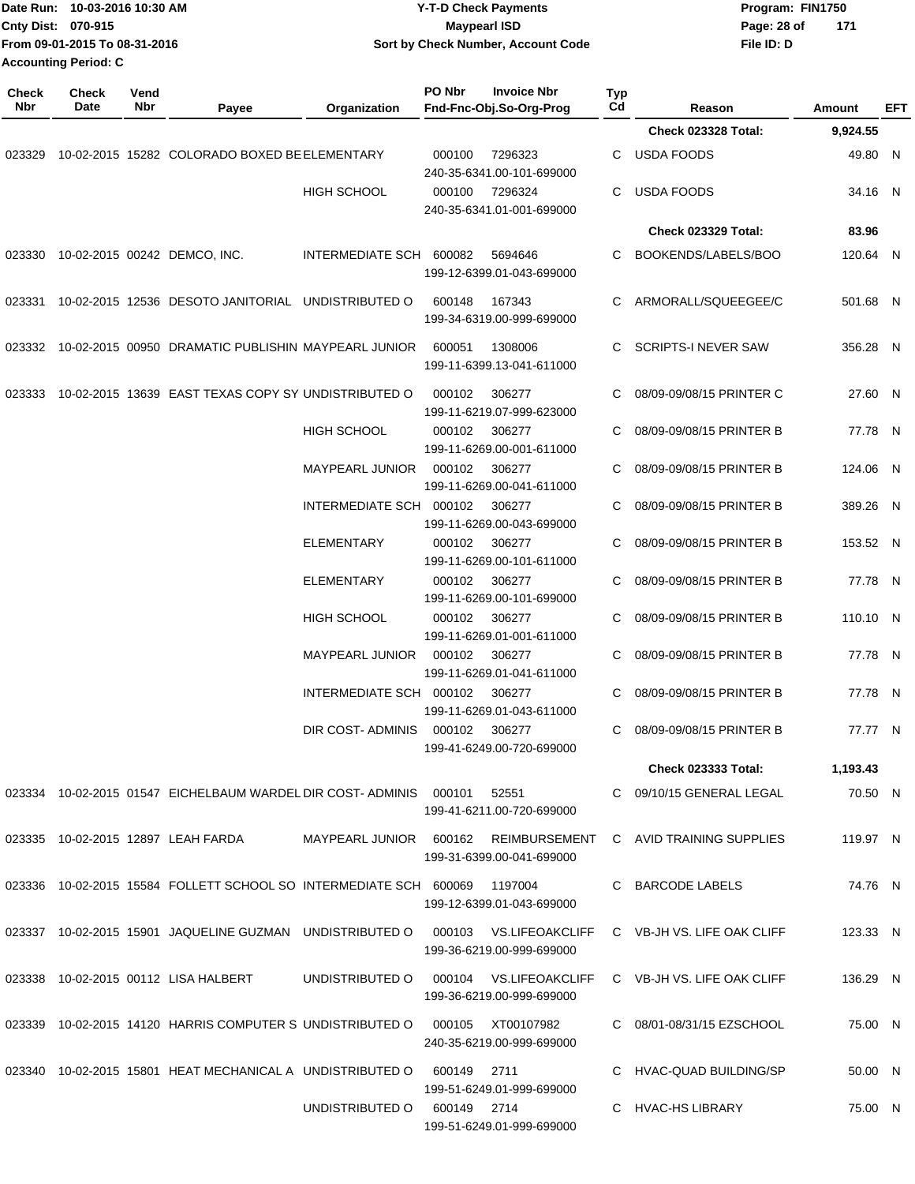| Date Run: 10-03-2016 10:30 AM<br>Cnty Dist: 070-915<br>From 09-01-2015 To 08-31-2016<br><b>Accounting Period: C</b> |               |             | <b>Y-T-D Check Payments</b><br><b>Maypearl ISD</b><br>Sort by Check Number, Account Code |                                      |             |                                               |           | Program: FIN1750<br>Page: 28 of<br>File ID: D | 171 |               |     |
|---------------------------------------------------------------------------------------------------------------------|---------------|-------------|------------------------------------------------------------------------------------------|--------------------------------------|-------------|-----------------------------------------------|-----------|-----------------------------------------------|-----|---------------|-----|
| <b>Check</b><br>Nbr                                                                                                 | Check<br>Date | Vend<br>Nbr | Payee                                                                                    | Organization                         | PO Nbr      | <b>Invoice Nbr</b><br>Fnd-Fnc-Obj.So-Org-Prog | Typ<br>Cd | Reason                                        |     | <b>Amount</b> | EFT |
|                                                                                                                     |               |             |                                                                                          |                                      |             |                                               |           | Check 023328 Total:                           |     | 9,924.55      |     |
| 023329                                                                                                              |               |             | 10-02-2015 15282 COLORADO BOXED BE ELEMENTARY                                            |                                      | 000100      | 7296323<br>240-35-6341.00-101-699000          | С         | <b>USDA FOODS</b>                             |     | 49.80 N       |     |
|                                                                                                                     |               |             |                                                                                          | <b>HIGH SCHOOL</b>                   | 000100      | 7296324<br>240-35-6341.01-001-699000          | C         | <b>USDA FOODS</b>                             |     | 34.16 N       |     |
|                                                                                                                     |               |             |                                                                                          |                                      |             |                                               |           | Check 023329 Total:                           |     | 83.96         |     |
| 023330                                                                                                              |               |             | 10-02-2015 00242 DEMCO, INC.                                                             | INTERMEDIATE SCH                     | 600082      | 5694646<br>199-12-6399.01-043-699000          | С         | BOOKENDS/LABELS/BOO                           |     | 120.64 N      |     |
| 023331                                                                                                              |               |             | 10-02-2015 12536 DESOTO JANITORIAL UNDISTRIBUTED O                                       |                                      | 600148      | 167343<br>199-34-6319.00-999-699000           | С         | ARMORALL/SQUEEGEE/C                           |     | 501.68 N      |     |
| 023332                                                                                                              |               |             | 10-02-2015 00950 DRAMATIC PUBLISHIN MAYPEARL JUNIOR                                      |                                      | 600051      | 1308006<br>199-11-6399.13-041-611000          | C         | <b>SCRIPTS-I NEVER SAW</b>                    |     | 356.28 N      |     |
| 023333                                                                                                              |               |             | 10-02-2015 13639 EAST TEXAS COPY SY UNDISTRIBUTED O                                      |                                      | 000102      | 306277<br>199-11-6219.07-999-623000           | C         | 08/09-09/08/15 PRINTER C                      |     | 27.60 N       |     |
|                                                                                                                     |               |             |                                                                                          | <b>HIGH SCHOOL</b>                   | 000102      | 306277<br>199-11-6269.00-001-611000           | С         | 08/09-09/08/15 PRINTER B                      |     | 77.78 N       |     |
|                                                                                                                     |               |             |                                                                                          | MAYPEARL JUNIOR                      | 000102      | 306277<br>199-11-6269.00-041-611000           | C         | 08/09-09/08/15 PRINTER B                      |     | 124.06 N      |     |
|                                                                                                                     |               |             |                                                                                          | INTERMEDIATE SCH                     | 000102      | 306277<br>199-11-6269.00-043-699000           | С         | 08/09-09/08/15 PRINTER B                      |     | 389.26 N      |     |
|                                                                                                                     |               |             |                                                                                          | <b>ELEMENTARY</b>                    | 000102      | 306277<br>199-11-6269.00-101-611000           | С         | 08/09-09/08/15 PRINTER B                      |     | 153.52 N      |     |
|                                                                                                                     |               |             |                                                                                          | <b>ELEMENTARY</b>                    | 000102      | 306277<br>199-11-6269.00-101-699000           | С         | 08/09-09/08/15 PRINTER B                      |     | 77.78 N       |     |
|                                                                                                                     |               |             |                                                                                          | <b>HIGH SCHOOL</b>                   | 000102      | 306277<br>199-11-6269.01-001-611000           | С         | 08/09-09/08/15 PRINTER B                      |     | 110.10 N      |     |
|                                                                                                                     |               |             |                                                                                          | <b>MAYPEARL JUNIOR</b>               | 000102      | 306277<br>199-11-6269.01-041-611000           | C         | 08/09-09/08/15 PRINTER B                      |     | 77.78 N       |     |
|                                                                                                                     |               |             |                                                                                          | INTERMEDIATE SCH 000102 306277       |             | 199-11-6269.01-043-611000                     |           | C 08/09-09/08/15 PRINTER B                    |     | 77.78 N       |     |
|                                                                                                                     |               |             |                                                                                          | DIR COST-ADMINIS 000102 306277       |             | 199-41-6249.00-720-699000                     |           | C 08/09-09/08/15 PRINTER B                    |     | 77.77 N       |     |
|                                                                                                                     |               |             |                                                                                          |                                      |             |                                               |           | <b>Check 023333 Total:</b>                    |     | 1,193.43      |     |
|                                                                                                                     |               |             | 023334 10-02-2015 01547 EICHELBAUM WARDEL DIR COST-ADMINIS 000101 52551                  |                                      |             | 199-41-6211.00-720-699000                     |           | C 09/10/15 GENERAL LEGAL                      |     | 70.50 N       |     |
|                                                                                                                     |               |             |                                                                                          | MAYPEARL JUNIOR 600162 REIMBURSEMENT |             | 199-31-6399.00-041-699000                     |           | C AVID TRAINING SUPPLIES                      |     | 119.97 N      |     |
|                                                                                                                     |               |             | 023336 10-02-2015 15584 FOLLETT SCHOOL SO INTERMEDIATE SCH 600069 1197004                |                                      |             | 199-12-6399.01-043-699000                     |           | C BARCODE LABELS                              |     | 74.76 N       |     |
|                                                                                                                     |               |             | 023337 10-02-2015 15901 JAQUELINE GUZMAN UNDISTRIBUTED O 000103 VS.LIFEOAKCLIFF          |                                      |             | 199-36-6219.00-999-699000                     |           | C VB-JH VS. LIFE OAK CLIFF                    |     | 123.33 N      |     |
|                                                                                                                     |               |             | 023338 10-02-2015 00112 LISA HALBERT    UNDISTRIBUTED O  000104  VS.LIFEOAKCLIFF         |                                      |             | 199-36-6219.00-999-699000                     |           | C VB-JH VS. LIFE OAK CLIFF                    |     | 136.29 N      |     |
|                                                                                                                     |               |             | 023339 10-02-2015 14120 HARRIS COMPUTER S UNDISTRIBUTED O 000105 XT00107982              |                                      |             | 240-35-6219.00-999-699000                     |           | C 08/01-08/31/15 EZSCHOOL                     |     | 75.00 N       |     |
|                                                                                                                     |               |             | 023340 10-02-2015 15801 HEAT MECHANICAL A UNDISTRIBUTED O                                |                                      | 600149      | 2711<br>199-51-6249.01-999-699000             |           | C HVAC-QUAD BUILDING/SP                       |     | 50.00 N       |     |
|                                                                                                                     |               |             |                                                                                          | UNDISTRIBUTED O                      | 600149 2714 | 199-51-6249.01-999-699000                     |           | C HVAC-HS LIBRARY                             |     | 75.00 N       |     |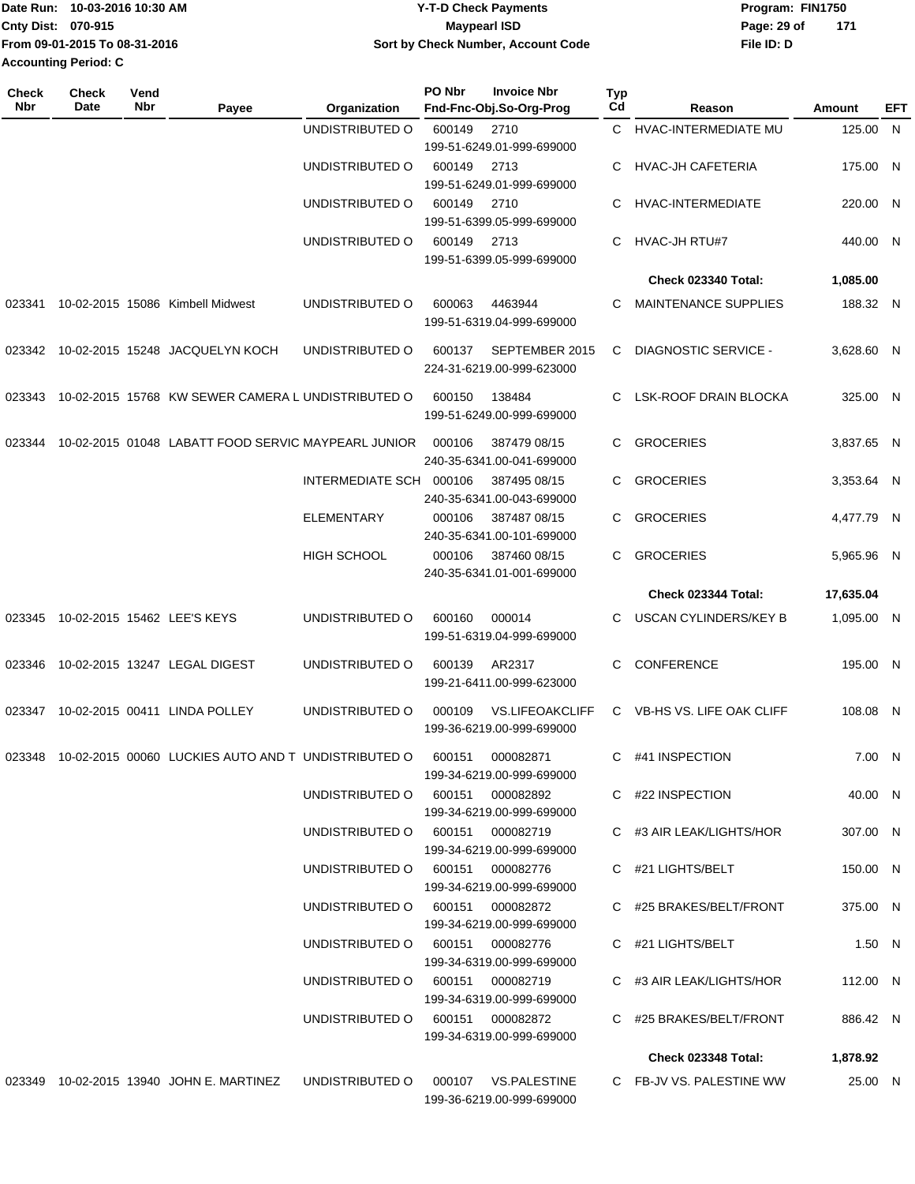| Date Run: 10-03-2016 10:30 AM |                               | <b>Y-T-D Check Payments</b>        | Program: FIN1750   |  |  |
|-------------------------------|-------------------------------|------------------------------------|--------------------|--|--|
| <b>Cnty Dist: 070-915</b>     |                               | Maypearl ISD                       | 171<br>Page: 29 of |  |  |
|                               | From 09-01-2015 To 08-31-2016 | Sort by Check Number, Account Code | File ID: D         |  |  |
| Accounting Period: C          |                               |                                    |                    |  |  |

| Check<br><b>Nbr</b> | <b>Check</b><br>Date | Vend<br>Nbr | Payee                                                      | Organization                        | PO Nbr | <b>Invoice Nbr</b><br>Fnd-Fnc-Obj.So-Org-Prog       | Typ<br>Cd | Reason                      | Amount     | EFT |
|---------------------|----------------------|-------------|------------------------------------------------------------|-------------------------------------|--------|-----------------------------------------------------|-----------|-----------------------------|------------|-----|
|                     |                      |             |                                                            | UNDISTRIBUTED O                     | 600149 | 2710                                                |           | C HVAC-INTERMEDIATE MU      | 125.00 N   |     |
|                     |                      |             |                                                            |                                     |        | 199-51-6249.01-999-699000                           |           |                             |            |     |
|                     |                      |             |                                                            | UNDISTRIBUTED O                     | 600149 | 2713                                                | C         | <b>HVAC-JH CAFETERIA</b>    | 175.00 N   |     |
|                     |                      |             |                                                            |                                     |        | 199-51-6249.01-999-699000                           |           |                             |            |     |
|                     |                      |             |                                                            | UNDISTRIBUTED O                     | 600149 | 2710<br>199-51-6399.05-999-699000                   | C.        | HVAC-INTERMEDIATE           | 220.00 N   |     |
|                     |                      |             |                                                            | UNDISTRIBUTED O                     | 600149 | 2713<br>199-51-6399.05-999-699000                   | C.        | HVAC-JH RTU#7               | 440.00 N   |     |
|                     |                      |             |                                                            |                                     |        |                                                     |           | <b>Check 023340 Total:</b>  | 1,085.00   |     |
| 023341              |                      |             | 10-02-2015 15086 Kimbell Midwest                           | UNDISTRIBUTED O                     | 600063 | 4463944                                             | C         | <b>MAINTENANCE SUPPLIES</b> | 188.32 N   |     |
|                     |                      |             |                                                            |                                     |        | 199-51-6319.04-999-699000                           |           |                             |            |     |
| 023342              |                      |             | 10-02-2015 15248 JACQUELYN KOCH                            | UNDISTRIBUTED O                     | 600137 | SEPTEMBER 2015<br>224-31-6219.00-999-623000         | C         | <b>DIAGNOSTIC SERVICE -</b> | 3,628.60 N |     |
| 023343              |                      |             | 10-02-2015 15768 KW SEWER CAMERA L UNDISTRIBUTED O         |                                     | 600150 | 138484<br>199-51-6249.00-999-699000                 | C.        | LSK-ROOF DRAIN BLOCKA       | 325.00 N   |     |
| 023344              |                      |             | 10-02-2015 01048 LABATT FOOD SERVIC MAYPEARL JUNIOR        |                                     | 000106 | 387479 08/15<br>240-35-6341.00-041-699000           | C.        | <b>GROCERIES</b>            | 3.837.65 N |     |
|                     |                      |             |                                                            | INTERMEDIATE SCH 000106             |        | 387495 08/15<br>240-35-6341.00-043-699000           | C.        | <b>GROCERIES</b>            | 3,353.64 N |     |
|                     |                      |             |                                                            | <b>ELEMENTARY</b>                   | 000106 | 387487 08/15<br>240-35-6341.00-101-699000           | C.        | <b>GROCERIES</b>            | 4,477.79 N |     |
|                     |                      |             |                                                            | <b>HIGH SCHOOL</b>                  | 000106 | 387460 08/15<br>240-35-6341.01-001-699000           | C.        | <b>GROCERIES</b>            | 5,965.96 N |     |
|                     |                      |             |                                                            |                                     |        |                                                     |           | Check 023344 Total:         | 17,635.04  |     |
| 023345              |                      |             | 10-02-2015 15462 LEE'S KEYS                                | UNDISTRIBUTED O                     | 600160 | 000014<br>199-51-6319.04-999-699000                 | C         | USCAN CYLINDERS/KEY B       | 1,095.00 N |     |
| 023346              |                      |             | 10-02-2015 13247 LEGAL DIGEST                              | UNDISTRIBUTED O                     | 600139 | AR2317<br>199-21-6411.00-999-623000                 | C         | CONFERENCE                  | 195.00 N   |     |
| 023347              |                      |             | 10-02-2015 00411 LINDA POLLEY                              | UNDISTRIBUTED O                     | 000109 | <b>VS.LIFEOAKCLIFF</b><br>199-36-6219.00-999-699000 |           | C VB-HS VS. LIFE OAK CLIFF  | 108.08 N   |     |
|                     |                      |             | 023348 10-02-2015 00060 LUCKIES AUTO AND T UNDISTRIBUTED O |                                     | 600151 | 000082871<br>199-34-6219.00-999-699000              |           | C #41 INSPECTION            | 7.00 N     |     |
|                     |                      |             |                                                            | UNDISTRIBUTED O 600151 000082892    |        | 199-34-6219.00-999-699000                           |           | C #22 INSPECTION            | 40.00 N    |     |
|                     |                      |             |                                                            | UNDISTRIBUTED O 600151 000082719    |        | 199-34-6219.00-999-699000                           |           | C #3 AIR LEAK/LIGHTS/HOR    | 307.00 N   |     |
|                     |                      |             |                                                            | UNDISTRIBUTED O 600151 000082776    |        | 199-34-6219.00-999-699000                           |           | C #21 LIGHTS/BELT           | 150.00 N   |     |
|                     |                      |             |                                                            | UNDISTRIBUTED O 600151 000082872    |        | 199-34-6219.00-999-699000                           |           | C #25 BRAKES/BELT/FRONT     | 375.00 N   |     |
|                     |                      |             |                                                            | UNDISTRIBUTED O 600151 000082776    |        | 199-34-6319.00-999-699000                           |           | C #21 LIGHTS/BELT           | $1.50$ N   |     |
|                     |                      |             |                                                            | UNDISTRIBUTED O 600151 000082719    |        | 199-34-6319.00-999-699000                           |           | C #3 AIR LEAK/LIGHTS/HOR    | 112.00 N   |     |
|                     |                      |             |                                                            | UNDISTRIBUTED O 600151 000082872    |        | 199-34-6319.00-999-699000                           |           | C #25 BRAKES/BELT/FRONT     | 886.42 N   |     |
|                     |                      |             |                                                            |                                     |        |                                                     |           | Check 023348 Total:         | 1,878.92   |     |
|                     |                      |             | 023349 10-02-2015 13940 JOHN E. MARTINEZ                   | UNDISTRIBUTED O 000107 VS.PALESTINE |        | 199-36-6219.00-999-699000                           |           | C FB-JV VS. PALESTINE WW    | 25.00 N    |     |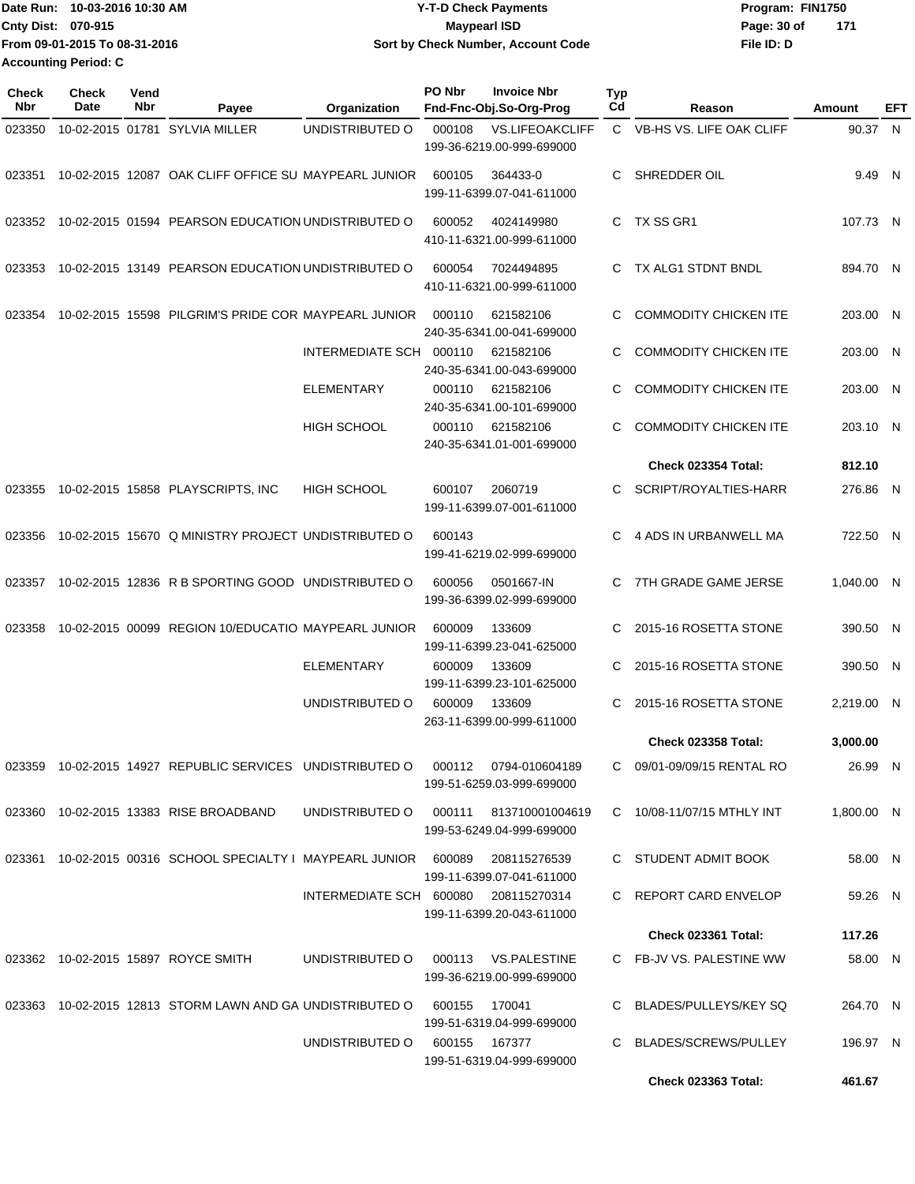| Date Run: 10-03-2016 10:30 AM |                               | <b>Y-T-D Check Payments</b>        | Program: FIN1750   |  |  |  |
|-------------------------------|-------------------------------|------------------------------------|--------------------|--|--|--|
| Cnty Dist: 070-915            |                               | <b>Mavpearl ISD</b>                | 171<br>Page: 30 of |  |  |  |
|                               | From 09-01-2015 To 08-31-2016 | Sort by Check Number, Account Code | File ID: D         |  |  |  |
| <b>Accounting Period: C</b>   |                               |                                    |                    |  |  |  |

| <b>Check</b><br><b>Nbr</b> | <b>Check</b><br>Date | Vend<br>Nbr | Payee                                                      | Organization                         | PO Nbr | <b>Invoice Nbr</b><br>Fnd-Fnc-Obj.So-Org-Prog       | <b>Typ</b><br>Cd | Reason                       | Amount     | EFT |
|----------------------------|----------------------|-------------|------------------------------------------------------------|--------------------------------------|--------|-----------------------------------------------------|------------------|------------------------------|------------|-----|
| 023350                     |                      |             | 10-02-2015 01781 SYLVIA MILLER                             | UNDISTRIBUTED O                      | 000108 | <b>VS.LIFEOAKCLIFF</b><br>199-36-6219.00-999-699000 |                  | C VB-HS VS. LIFE OAK CLIFF   | 90.37 N    |     |
| 023351                     |                      |             | 10-02-2015 12087 OAK CLIFF OFFICE SU MAYPEARL JUNIOR       |                                      | 600105 | 364433-0<br>199-11-6399.07-041-611000               | С                | SHREDDER OIL                 | 9.49 N     |     |
| 023352                     |                      |             | 10-02-2015 01594 PEARSON EDUCATION UNDISTRIBUTED O         |                                      | 600052 | 4024149980<br>410-11-6321.00-999-611000             | C                | TX SS GR1                    | 107.73 N   |     |
| 023353                     |                      |             | 10-02-2015 13149 PEARSON EDUCATION UNDISTRIBUTED O         |                                      | 600054 | 7024494895<br>410-11-6321.00-999-611000             | C.               | TX ALG1 STDNT BNDL           | 894.70 N   |     |
| 023354                     |                      |             | 10-02-2015 15598 PILGRIM'S PRIDE COR MAYPEARL JUNIOR       |                                      | 000110 | 621582106<br>240-35-6341.00-041-699000              | C                | <b>COMMODITY CHICKEN ITE</b> | 203.00 N   |     |
|                            |                      |             |                                                            | INTERMEDIATE SCH 000110              |        | 621582106<br>240-35-6341.00-043-699000              | C                | <b>COMMODITY CHICKEN ITE</b> | 203.00 N   |     |
|                            |                      |             |                                                            | <b>ELEMENTARY</b>                    | 000110 | 621582106<br>240-35-6341.00-101-699000              | C                | <b>COMMODITY CHICKEN ITE</b> | 203.00 N   |     |
|                            |                      |             |                                                            | <b>HIGH SCHOOL</b>                   | 000110 | 621582106<br>240-35-6341.01-001-699000              | С                | <b>COMMODITY CHICKEN ITE</b> | 203.10 N   |     |
|                            |                      |             |                                                            |                                      |        |                                                     |                  | <b>Check 023354 Total:</b>   | 812.10     |     |
| 023355                     |                      |             | 10-02-2015 15858 PLAYSCRIPTS, INC                          | <b>HIGH SCHOOL</b>                   | 600107 | 2060719<br>199-11-6399.07-001-611000                | С                | SCRIPT/ROYALTIES-HARR        | 276.86 N   |     |
| 023356                     |                      |             | 10-02-2015 15670 Q MINISTRY PROJECT UNDISTRIBUTED O        |                                      | 600143 | 199-41-6219.02-999-699000                           | C.               | 4 ADS IN URBANWELL MA        | 722.50 N   |     |
| 023357                     |                      |             | 10-02-2015 12836 R B SPORTING GOOD UNDISTRIBUTED O         |                                      | 600056 | 0501667-IN<br>199-36-6399.02-999-699000             | C                | 7TH GRADE GAME JERSE         | 1,040.00 N |     |
| 023358                     |                      |             | 10-02-2015 00099 REGION 10/EDUCATIO MAYPEARL JUNIOR        |                                      | 600009 | 133609<br>199-11-6399.23-041-625000                 | C                | 2015-16 ROSETTA STONE        | 390.50 N   |     |
|                            |                      |             |                                                            | <b>ELEMENTARY</b>                    | 600009 | 133609<br>199-11-6399.23-101-625000                 | C                | 2015-16 ROSETTA STONE        | 390.50 N   |     |
|                            |                      |             |                                                            | UNDISTRIBUTED O                      | 600009 | 133609<br>263-11-6399.00-999-611000                 | C                | 2015-16 ROSETTA STONE        | 2,219.00 N |     |
|                            |                      |             |                                                            |                                      |        |                                                     |                  | <b>Check 023358 Total:</b>   | 3,000.00   |     |
|                            |                      |             | 023359 10-02-2015 14927 REPUBLIC SERVICES UNDISTRIBUTED O  |                                      |        | 000112 0794-010604189<br>199-51-6259.03-999-699000  |                  | C 09/01-09/09/15 RENTAL RO   | 26.99 N    |     |
|                            |                      |             | 023360 10-02-2015 13383 RISE BROADBAND                     | UNDISTRIBUTED O                      |        | 000111 813710001004619<br>199-53-6249.04-999-699000 |                  | C 10/08-11/07/15 MTHLY INT   | 1,800.00 N |     |
| 023361                     |                      |             | 10-02-2015 00316 SCHOOL SPECIALTY I MAYPEARL JUNIOR 600089 |                                      |        | 208115276539<br>199-11-6399.07-041-611000           |                  | C STUDENT ADMIT BOOK         | 58.00 N    |     |
|                            |                      |             |                                                            | INTERMEDIATE SCH 600080 208115270314 |        | 199-11-6399.20-043-611000                           |                  | C REPORT CARD ENVELOP        | 59.26 N    |     |
|                            |                      |             |                                                            |                                      |        |                                                     |                  | <b>Check 023361 Total:</b>   | 117.26     |     |
|                            |                      |             | 023362 10-02-2015 15897 ROYCE SMITH                        | UNDISTRIBUTED O                      |        | 000113 VS.PALESTINE<br>199-36-6219.00-999-699000    |                  | C FB-JV VS. PALESTINE WW     | 58.00 N    |     |
|                            |                      |             | 023363 10-02-2015 12813 STORM LAWN AND GA UNDISTRIBUTED O  |                                      | 600155 | 170041<br>199-51-6319.04-999-699000                 |                  | BLADES/PULLEYS/KEY SQ        | 264.70 N   |     |
|                            |                      |             |                                                            | UNDISTRIBUTED O                      | 600155 | 167377<br>199-51-6319.04-999-699000                 | C.               | BLADES/SCREWS/PULLEY         | 196.97 N   |     |
|                            |                      |             |                                                            |                                      |        |                                                     |                  | <b>Check 023363 Total:</b>   | 461.67     |     |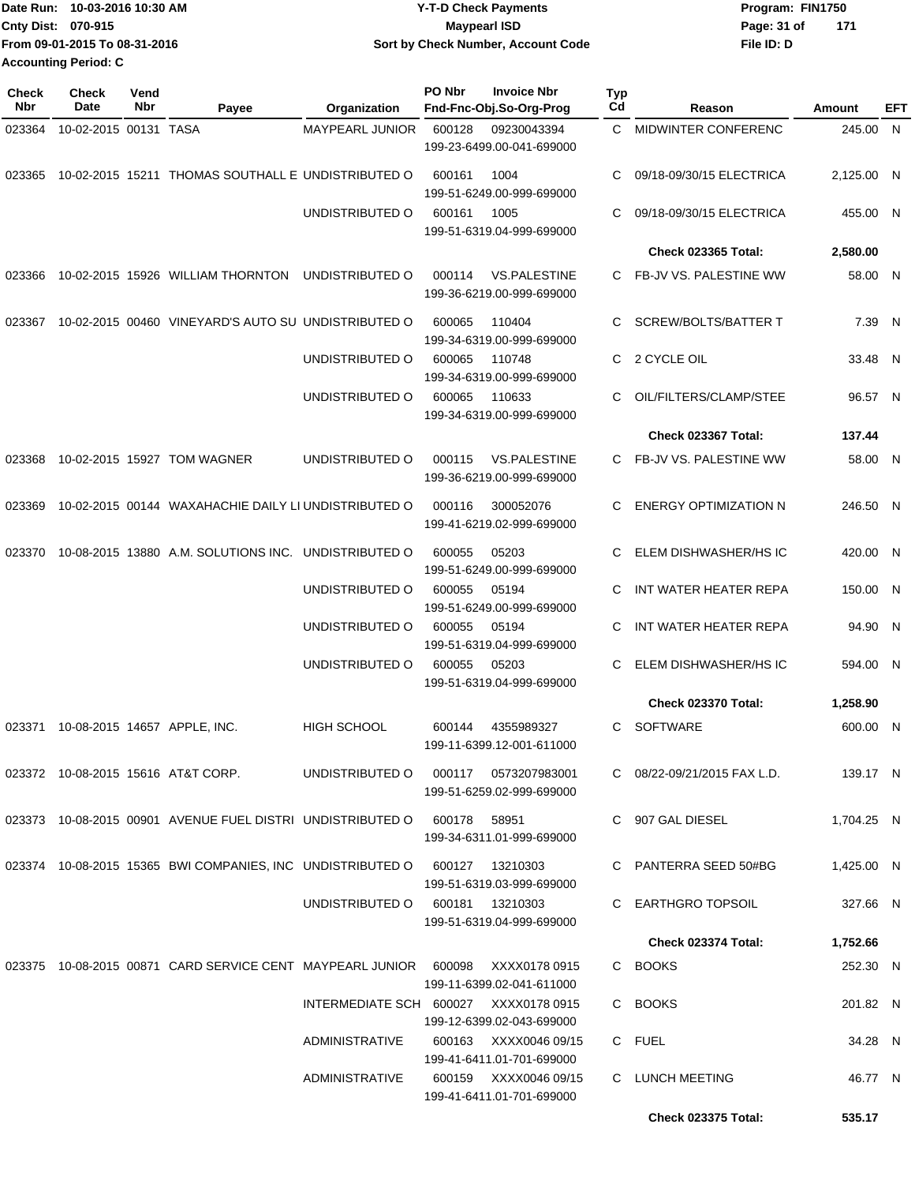| Date Run: 10-03-2016 10:30 AM |                               | <b>Y-T-D Check Payments</b>        | Program: FIN1750     |  |  |
|-------------------------------|-------------------------------|------------------------------------|----------------------|--|--|
| <b>Cnty Dist: 070-915</b>     |                               | <b>Mavpearl ISD</b>                | Page: 31 of<br>- 171 |  |  |
|                               | From 09-01-2015 To 08-31-2016 | Sort by Check Number, Account Code | File ID: D           |  |  |
| <b>Accounting Period: C</b>   |                               |                                    |                      |  |  |

| <b>Check</b><br>Nbr | <b>Check</b><br>Date  | Vend<br>Nbr | Payee                                                                      | Organization       | PO Nbr<br><b>Invoice Nbr</b><br>Fnd-Fnc-Obj.So-Org-Prog            | <b>Typ</b><br>Cd | Reason                       | Amount     | EFT |
|---------------------|-----------------------|-------------|----------------------------------------------------------------------------|--------------------|--------------------------------------------------------------------|------------------|------------------------------|------------|-----|
| 023364              | 10-02-2015 00131 TASA |             |                                                                            | MAYPEARL JUNIOR    | 600128<br>09230043394<br>199-23-6499.00-041-699000                 | $\mathbf{C}$     | MIDWINTER CONFERENC          | 245.00 N   |     |
| 023365              |                       |             | 10-02-2015 15211 THOMAS SOUTHALL E UNDISTRIBUTED O                         |                    | 1004<br>600161<br>199-51-6249.00-999-699000                        | C                | 09/18-09/30/15 ELECTRICA     | 2.125.00 N |     |
|                     |                       |             |                                                                            | UNDISTRIBUTED O    | 1005<br>600161<br>199-51-6319.04-999-699000                        | C                | 09/18-09/30/15 ELECTRICA     | 455.00 N   |     |
|                     |                       |             |                                                                            |                    |                                                                    |                  | <b>Check 023365 Total:</b>   | 2,580.00   |     |
| 023366              |                       |             | 10-02-2015 15926 WILLIAM THORNTON                                          | UNDISTRIBUTED O    | <b>VS.PALESTINE</b><br>000114<br>199-36-6219.00-999-699000         |                  | C FB-JV VS. PALESTINE WW     | 58.00 N    |     |
| 023367              |                       |             | 10-02-2015 00460 VINEYARD'S AUTO SU UNDISTRIBUTED O                        |                    | 600065<br>110404<br>199-34-6319.00-999-699000                      | C.               | <b>SCREW/BOLTS/BATTER T</b>  | 7.39 N     |     |
|                     |                       |             |                                                                            | UNDISTRIBUTED O    | 600065<br>110748<br>199-34-6319.00-999-699000                      | C.               | 2 CYCLE OIL                  | 33.48 N    |     |
|                     |                       |             |                                                                            | UNDISTRIBUTED O    | 600065<br>110633<br>199-34-6319.00-999-699000                      | C                | OIL/FILTERS/CLAMP/STEE       | 96.57 N    |     |
|                     |                       |             |                                                                            |                    |                                                                    |                  | Check 023367 Total:          | 137.44     |     |
| 023368              |                       |             | 10-02-2015 15927 TOM WAGNER                                                | UNDISTRIBUTED O    | <b>VS.PALESTINE</b><br>000115<br>199-36-6219.00-999-699000         |                  | C FB-JV VS. PALESTINE WW     | 58.00 N    |     |
| 023369              |                       |             | 10-02-2015 00144 WAXAHACHIE DAILY LI UNDISTRIBUTED O                       |                    | 300052076<br>000116<br>199-41-6219.02-999-699000                   | С                | <b>ENERGY OPTIMIZATION N</b> | 246.50 N   |     |
|                     |                       |             | 023370 10-08-2015 13880 A.M. SOLUTIONS INC. UNDISTRIBUTED O                |                    | 600055<br>05203<br>199-51-6249.00-999-699000                       | C.               | ELEM DISHWASHER/HS IC        | 420.00 N   |     |
|                     |                       |             |                                                                            | UNDISTRIBUTED O    | 600055<br>05194<br>199-51-6249.00-999-699000                       | C                | INT WATER HEATER REPA        | 150.00 N   |     |
|                     |                       |             |                                                                            | UNDISTRIBUTED O    | 600055<br>05194<br>199-51-6319.04-999-699000                       | С                | INT WATER HEATER REPA        | 94.90 N    |     |
|                     |                       |             |                                                                            | UNDISTRIBUTED O    | 600055<br>05203<br>199-51-6319.04-999-699000                       | С                | ELEM DISHWASHER/HS IC        | 594.00 N   |     |
|                     |                       |             |                                                                            |                    |                                                                    |                  | Check 023370 Total:          | 1,258.90   |     |
| 023371              |                       |             | 10-08-2015 14657 APPLE, INC.                                               | <b>HIGH SCHOOL</b> | 600144<br>4355989327<br>199-11-6399.12-001-611000                  | C.               | <b>SOFTWARE</b>              | 600.00 N   |     |
|                     |                       |             | 023372 10-08-2015 15616 AT&T CORP.                                         | UNDISTRIBUTED O    | 000117   0573207983001<br>199-51-6259.02-999-699000                |                  | C 08/22-09/21/2015 FAX L.D.  | 139.17 N   |     |
|                     |                       |             | 023373 10-08-2015 00901 AVENUE FUEL DISTRI UNDISTRIBUTED O 600178 58951    |                    | 199-34-6311.01-999-699000                                          |                  | C 907 GAL DIESEL             | 1,704.25 N |     |
|                     |                       |             | 023374 10-08-2015 15365 BWI COMPANIES, INC UNDISTRIBUTED O 600127 13210303 |                    | 199-51-6319.03-999-699000                                          |                  | C PANTERRA SEED 50#BG        | 1,425.00 N |     |
|                     |                       |             |                                                                            | UNDISTRIBUTED O    | 600181 13210303<br>199-51-6319.04-999-699000                       |                  | C EARTHGRO TOPSOIL           | 327.66 N   |     |
|                     |                       |             |                                                                            |                    |                                                                    |                  | <b>Check 023374 Total:</b>   | 1,752.66   |     |
|                     |                       |             | 023375  10-08-2015  00871  CARD SERVICE CENT  MAYPEARL JUNIOR  600098      |                    | XXXX0178 0915<br>199-11-6399.02-041-611000                         |                  | C BOOKS                      | 252.30 N   |     |
|                     |                       |             |                                                                            |                    | INTERMEDIATE SCH 600027 XXXX0178 0915<br>199-12-6399.02-043-699000 |                  | C BOOKS                      | 201.82 N   |     |
|                     |                       |             |                                                                            | ADMINISTRATIVE     | 600163 XXXX0046 09/15<br>199-41-6411.01-701-699000                 |                  | C FUEL                       | 34.28 N    |     |
|                     |                       |             |                                                                            | ADMINISTRATIVE     | 600159 XXXX0046 09/15<br>199-41-6411.01-701-699000                 |                  | C LUNCH MEETING              | 46.77 N    |     |
|                     |                       |             |                                                                            |                    |                                                                    |                  | <b>Check 023375 Total:</b>   | 535.17     |     |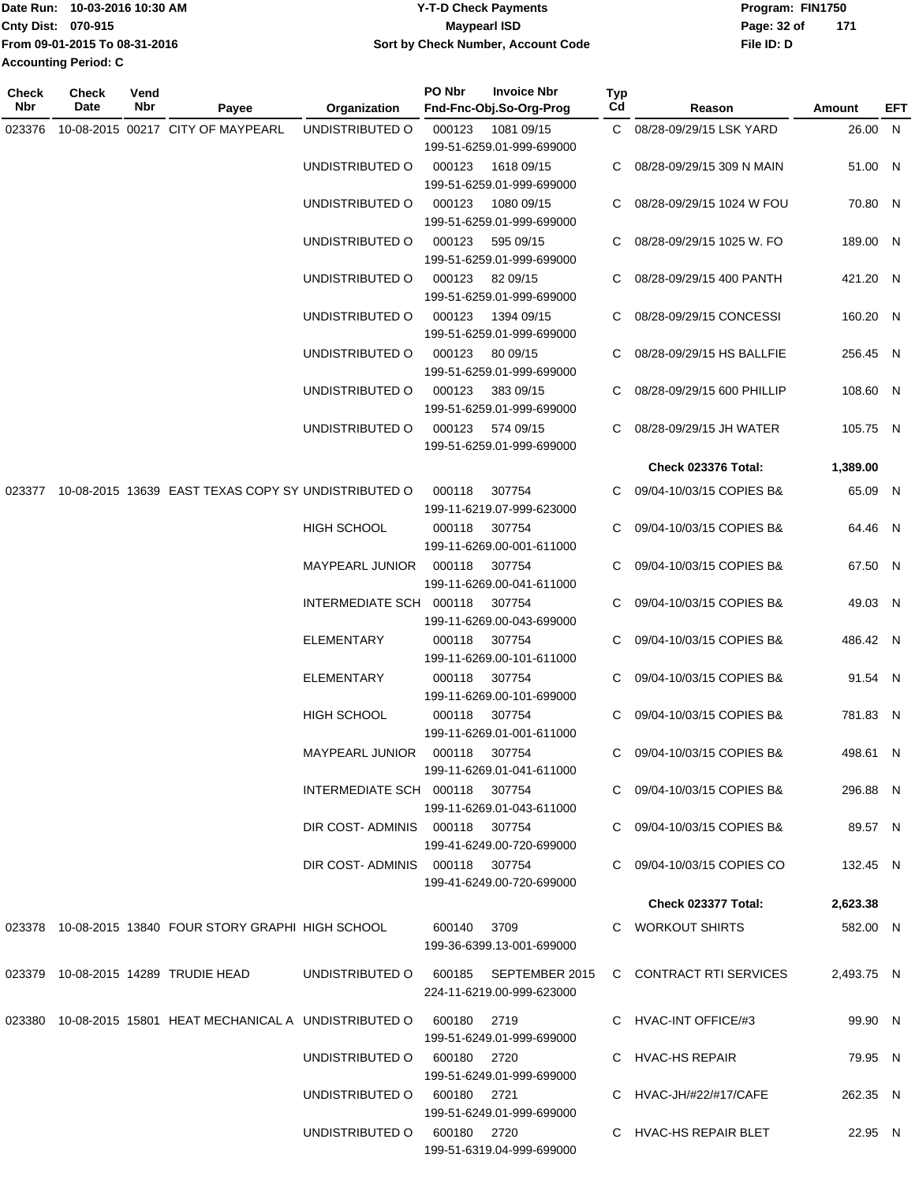| Date Run: 10-03-2016 10:30 AM |                               | <b>Y-T-D Check Payments</b>        | Program: FIN1750   |  |  |
|-------------------------------|-------------------------------|------------------------------------|--------------------|--|--|
| <b>Cnty Dist: 070-915</b>     |                               | Maypearl ISD                       | 171<br>Page: 32 of |  |  |
|                               | From 09-01-2015 To 08-31-2016 | Sort by Check Number, Account Code | File ID: D         |  |  |
| Accounting Period: C          |                               |                                    |                    |  |  |

**PO Nbr Invoice Nbr**

**Check**

| <b>Check</b><br>Nbr | Check<br>Date | Vend<br>Nbr | Payee                                                                 | Organization                   | PO Nbr      | <b>Invoice Nbr</b><br>Fnd-Fnc-Obj.So-Org-Prog                      | Typ<br>Cd | Reason                      | Amount     | EFT |
|---------------------|---------------|-------------|-----------------------------------------------------------------------|--------------------------------|-------------|--------------------------------------------------------------------|-----------|-----------------------------|------------|-----|
| 023376              |               |             | 10-08-2015 00217 CITY OF MAYPEARL                                     | UNDISTRIBUTED O                | 000123      | 1081 09/15<br>199-51-6259.01-999-699000                            |           | C 08/28-09/29/15 LSK YARD   | 26.00 N    |     |
|                     |               |             |                                                                       | UNDISTRIBUTED O                | 000123      | 1618 09/15<br>199-51-6259.01-999-699000                            |           | C 08/28-09/29/15 309 N MAIN | 51.00 N    |     |
|                     |               |             |                                                                       | UNDISTRIBUTED O                | 000123      | 1080 09/15<br>199-51-6259.01-999-699000                            | C.        | 08/28-09/29/15 1024 W FOU   | 70.80 N    |     |
|                     |               |             |                                                                       | UNDISTRIBUTED O                | 000123      | 595 09/15<br>199-51-6259.01-999-699000                             |           | 08/28-09/29/15 1025 W. FO   | 189.00 N   |     |
|                     |               |             |                                                                       | UNDISTRIBUTED O                | 000123      | 82 09/15<br>199-51-6259.01-999-699000                              | C.        | 08/28-09/29/15 400 PANTH    | 421.20 N   |     |
|                     |               |             |                                                                       | UNDISTRIBUTED O                | 000123      | 1394 09/15<br>199-51-6259.01-999-699000                            | C         | 08/28-09/29/15 CONCESSI     | 160.20 N   |     |
|                     |               |             |                                                                       | UNDISTRIBUTED O                | 000123      | 80 09/15<br>199-51-6259.01-999-699000                              |           | C 08/28-09/29/15 HS BALLFIE | 256.45 N   |     |
|                     |               |             |                                                                       | UNDISTRIBUTED O                | 000123      | 383 09/15<br>199-51-6259.01-999-699000                             | C.        | 08/28-09/29/15 600 PHILLIP  | 108.60 N   |     |
|                     |               |             |                                                                       | UNDISTRIBUTED O                | 000123      | 574 09/15<br>199-51-6259.01-999-699000                             | C.        | 08/28-09/29/15 JH WATER     | 105.75 N   |     |
|                     |               |             |                                                                       |                                |             |                                                                    |           | <b>Check 023376 Total:</b>  | 1,389.00   |     |
|                     |               |             | 023377 10-08-2015 13639 EAST TEXAS COPY SY UNDISTRIBUTED O            |                                | 000118      | 307754<br>199-11-6219.07-999-623000                                | C         | 09/04-10/03/15 COPIES B&    | 65.09 N    |     |
|                     |               |             |                                                                       | HIGH SCHOOL                    | 000118      | 307754<br>199-11-6269.00-001-611000                                |           | 09/04-10/03/15 COPIES B&    | 64.46 N    |     |
|                     |               |             |                                                                       | MAYPEARL JUNIOR                | 000118      | 307754<br>199-11-6269.00-041-611000                                | C.        | 09/04-10/03/15 COPIES B&    | 67.50 N    |     |
|                     |               |             |                                                                       | INTERMEDIATE SCH 000118        |             | 307754<br>199-11-6269.00-043-699000                                | C.        | 09/04-10/03/15 COPIES B&    | 49.03 N    |     |
|                     |               |             |                                                                       | <b>ELEMENTARY</b>              | 000118      | 307754<br>199-11-6269.00-101-611000                                |           | C 09/04-10/03/15 COPIES B&  | 486.42 N   |     |
|                     |               |             |                                                                       | <b>ELEMENTARY</b>              | 000118      | 307754<br>199-11-6269.00-101-699000                                |           | C 09/04-10/03/15 COPIES B&  | 91.54 N    |     |
|                     |               |             |                                                                       | <b>HIGH SCHOOL</b>             | 000118      | 307754<br>199-11-6269.01-001-611000                                | C         | 09/04-10/03/15 COPIES B&    | 781.83 N   |     |
|                     |               |             |                                                                       | MAYPEARL JUNIOR                |             | 000118 307754<br>199-11-6269.01-041-611000                         |           | C 09/04-10/03/15 COPIES B&  | 498.61 N   |     |
|                     |               |             |                                                                       | INTERMEDIATE SCH 000118 307754 |             | 199-11-6269.01-043-611000                                          |           | C 09/04-10/03/15 COPIES B&  | 296.88 N   |     |
|                     |               |             |                                                                       | DIR COST-ADMINIS 000118 307754 |             | 199-41-6249.00-720-699000                                          |           | C 09/04-10/03/15 COPIES B&  | 89.57 N    |     |
|                     |               |             |                                                                       | DIR COST-ADMINIS 000118 307754 |             | 199-41-6249.00-720-699000                                          |           | C 09/04-10/03/15 COPIES CO  | 132.45 N   |     |
|                     |               |             |                                                                       |                                |             |                                                                    |           | Check 023377 Total:         | 2,623.38   |     |
|                     |               |             | 023378 10-08-2015 13840 FOUR STORY GRAPHI HIGH SCHOOL                 |                                | 600140 3709 | 199-36-6399.13-001-699000                                          |           | C WORKOUT SHIRTS            | 582.00 N   |     |
|                     |               |             | 023379 10-08-2015 14289 TRUDIE HEAD                                   |                                |             | UNDISTRIBUTED O 600185 SEPTEMBER 2015<br>224-11-6219.00-999-623000 |           | C CONTRACT RTI SERVICES     | 2,493.75 N |     |
|                     |               |             | 023380 10-08-2015 15801 HEAT MECHANICAL A UNDISTRIBUTED O 600180 2719 |                                |             | 199-51-6249.01-999-699000                                          |           | C HVAC-INT OFFICE/#3        | 99.90 N    |     |
|                     |               |             |                                                                       | UNDISTRIBUTED O 600180 2720    |             | 199-51-6249.01-999-699000                                          |           | C HVAC-HS REPAIR            | 79.95 N    |     |
|                     |               |             |                                                                       | UNDISTRIBUTED O 600180 2721    |             | 199-51-6249.01-999-699000                                          |           | C HVAC-JH/#22/#17/CAFE      | 262.35 N   |     |
|                     |               |             |                                                                       | UNDISTRIBUTED O 600180 2720    |             | 199-51-6319.04-999-699000                                          |           | C HVAC-HS REPAIR BLET       | 22.95 N    |     |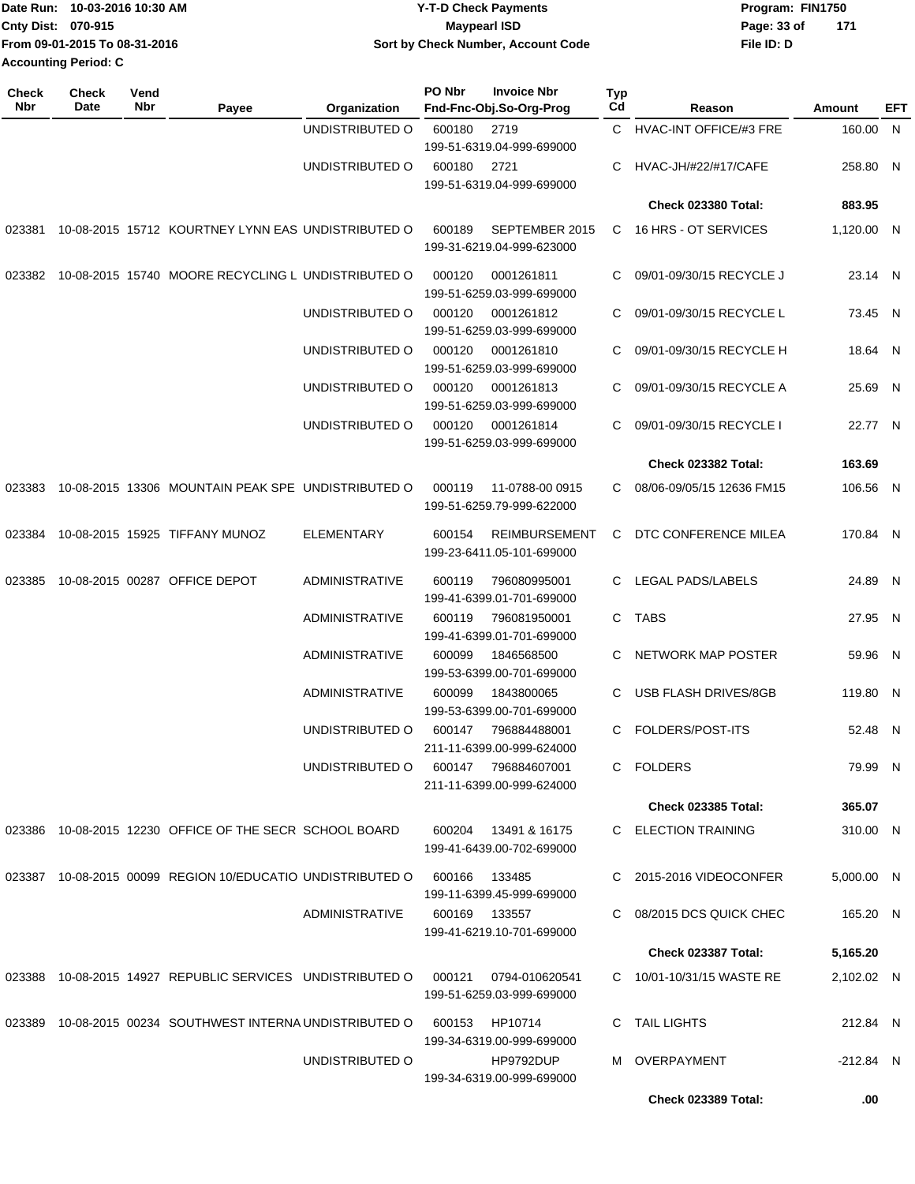| Date Run: 10-03-2016 10:30 AM  | <b>Y-T-D Check Payments</b>        | Program: FIN1750     |  |  |
|--------------------------------|------------------------------------|----------------------|--|--|
| <b>Cnty Dist: 070-915</b>      | <b>Mavpearl ISD</b>                | - 171<br>Page: 33 of |  |  |
| lFrom 09-01-2015 To 08-31-2016 | Sort by Check Number, Account Code | File ID: D           |  |  |
| <b>Accounting Period: C</b>    |                                    |                      |  |  |

| <b>Check</b><br><b>Nbr</b> | <b>Check</b><br>Date | Vend<br>Nbr | Payee                                                      | Organization          | PO Nbr | <b>Invoice Nbr</b><br>Fnd-Fnc-Obj.So-Org-Prog     | <b>Typ</b><br>Cd | Reason                        | Amount      | <b>EFT</b> |
|----------------------------|----------------------|-------------|------------------------------------------------------------|-----------------------|--------|---------------------------------------------------|------------------|-------------------------------|-------------|------------|
|                            |                      |             |                                                            | UNDISTRIBUTED O       | 600180 | 2719                                              | C.               | <b>HVAC-INT OFFICE/#3 FRE</b> | 160.00 N    |            |
|                            |                      |             |                                                            |                       |        | 199-51-6319.04-999-699000                         |                  |                               |             |            |
|                            |                      |             |                                                            | UNDISTRIBUTED O       | 600180 | 2721                                              | C                | <b>HVAC-JH/#22/#17/CAFE</b>   | 258.80 N    |            |
|                            |                      |             |                                                            |                       |        | 199-51-6319.04-999-699000                         |                  | <b>Check 023380 Total:</b>    | 883.95      |            |
|                            |                      |             |                                                            |                       |        |                                                   |                  |                               |             |            |
| 023381                     |                      |             | 10-08-2015 15712 KOURTNEY LYNN EAS UNDISTRIBUTED O         |                       | 600189 | SEPTEMBER 2015<br>199-31-6219.04-999-623000       | C.               | 16 HRS - OT SERVICES          | 1,120.00 N  |            |
| 023382                     |                      |             | 10-08-2015 15740 MOORE RECYCLING L UNDISTRIBUTED O         |                       | 000120 | 0001261811<br>199-51-6259.03-999-699000           |                  | 09/01-09/30/15 RECYCLE J      | 23.14 N     |            |
|                            |                      |             |                                                            | UNDISTRIBUTED O       | 000120 | 0001261812<br>199-51-6259.03-999-699000           | C                | 09/01-09/30/15 RECYCLE L      | 73.45 N     |            |
|                            |                      |             |                                                            | UNDISTRIBUTED O       | 000120 | 0001261810<br>199-51-6259.03-999-699000           | C                | 09/01-09/30/15 RECYCLE H      | 18.64 N     |            |
|                            |                      |             |                                                            | UNDISTRIBUTED O       | 000120 | 0001261813<br>199-51-6259.03-999-699000           | C.               | 09/01-09/30/15 RECYCLE A      | 25.69 N     |            |
|                            |                      |             |                                                            | UNDISTRIBUTED O       | 000120 | 0001261814                                        | C.               | 09/01-09/30/15 RECYCLE I      | 22.77 N     |            |
|                            |                      |             |                                                            |                       |        | 199-51-6259.03-999-699000                         |                  | Check 023382 Total:           | 163.69      |            |
| 023383                     |                      |             | 10-08-2015 13306 MOUNTAIN PEAK SPE UNDISTRIBUTED O         |                       | 000119 | 11-0788-00 0915                                   | C                | 08/06-09/05/15 12636 FM15     | 106.56 N    |            |
|                            |                      |             |                                                            |                       |        | 199-51-6259.79-999-622000                         |                  |                               |             |            |
| 023384                     |                      |             | 10-08-2015 15925 TIFFANY MUNOZ                             | <b>ELEMENTARY</b>     | 600154 | <b>REIMBURSEMENT</b><br>199-23-6411.05-101-699000 | C.               | DTC CONFERENCE MILEA          | 170.84 N    |            |
| 023385                     |                      |             | 10-08-2015 00287 OFFICE DEPOT                              | <b>ADMINISTRATIVE</b> | 600119 | 796080995001<br>199-41-6399.01-701-699000         |                  | LEGAL PADS/LABELS             | 24.89 N     |            |
|                            |                      |             |                                                            | <b>ADMINISTRATIVE</b> | 600119 | 796081950001<br>199-41-6399.01-701-699000         |                  | C TABS                        | 27.95 N     |            |
|                            |                      |             |                                                            | <b>ADMINISTRATIVE</b> | 600099 | 1846568500<br>199-53-6399.00-701-699000           | C                | NETWORK MAP POSTER            | 59.96 N     |            |
|                            |                      |             |                                                            | <b>ADMINISTRATIVE</b> | 600099 | 1843800065<br>199-53-6399.00-701-699000           | C                | USB FLASH DRIVES/8GB          | 119.80 N    |            |
|                            |                      |             |                                                            | UNDISTRIBUTED O       | 600147 | 796884488001<br>211-11-6399.00-999-624000         | C.               | FOLDERS/POST-ITS              | 52.48 N     |            |
|                            |                      |             |                                                            | UNDISTRIBUTED O       | 600147 | 796884607001<br>211-11-6399.00-999-624000         | C.               | FOLDERS                       | 79.99 N     |            |
|                            |                      |             |                                                            |                       |        |                                                   |                  | <b>Check 023385 Total:</b>    | 365.07      |            |
|                            |                      |             | 023386 10-08-2015 12230 OFFICE OF THE SECR SCHOOL BOARD    |                       | 600204 | 13491 & 16175                                     |                  | C ELECTION TRAINING           | 310.00 N    |            |
|                            |                      |             |                                                            |                       |        | 199-41-6439.00-702-699000                         |                  |                               |             |            |
|                            |                      |             | 023387 10-08-2015 00099 REGION 10/EDUCATIO UNDISTRIBUTED O |                       | 600166 | 133485<br>199-11-6399.45-999-699000               |                  | 2015-2016 VIDEOCONFER         | 5,000.00 N  |            |
|                            |                      |             |                                                            | <b>ADMINISTRATIVE</b> |        | 600169 133557<br>199-41-6219.10-701-699000        |                  | 08/2015 DCS QUICK CHEC        | 165.20 N    |            |
|                            |                      |             |                                                            |                       |        |                                                   |                  | <b>Check 023387 Total:</b>    | 5,165.20    |            |
|                            |                      |             | 023388 10-08-2015 14927 REPUBLIC SERVICES UNDISTRIBUTED O  |                       | 000121 | 0794-010620541<br>199-51-6259.03-999-699000       |                  | C 10/01-10/31/15 WASTE RE     | 2,102.02 N  |            |
|                            |                      |             | 023389 10-08-2015 00234 SOUTHWEST INTERNA UNDISTRIBUTED O  |                       | 600153 | HP10714                                           | C                | TAIL LIGHTS                   | 212.84 N    |            |
|                            |                      |             |                                                            | UNDISTRIBUTED O       |        | 199-34-6319.00-999-699000<br>HP9792DUP            |                  | M OVERPAYMENT                 | $-212.84$ N |            |
|                            |                      |             |                                                            |                       |        | 199-34-6319.00-999-699000                         |                  |                               |             |            |
|                            |                      |             |                                                            |                       |        |                                                   |                  | <b>Check 023389 Total:</b>    | .00         |            |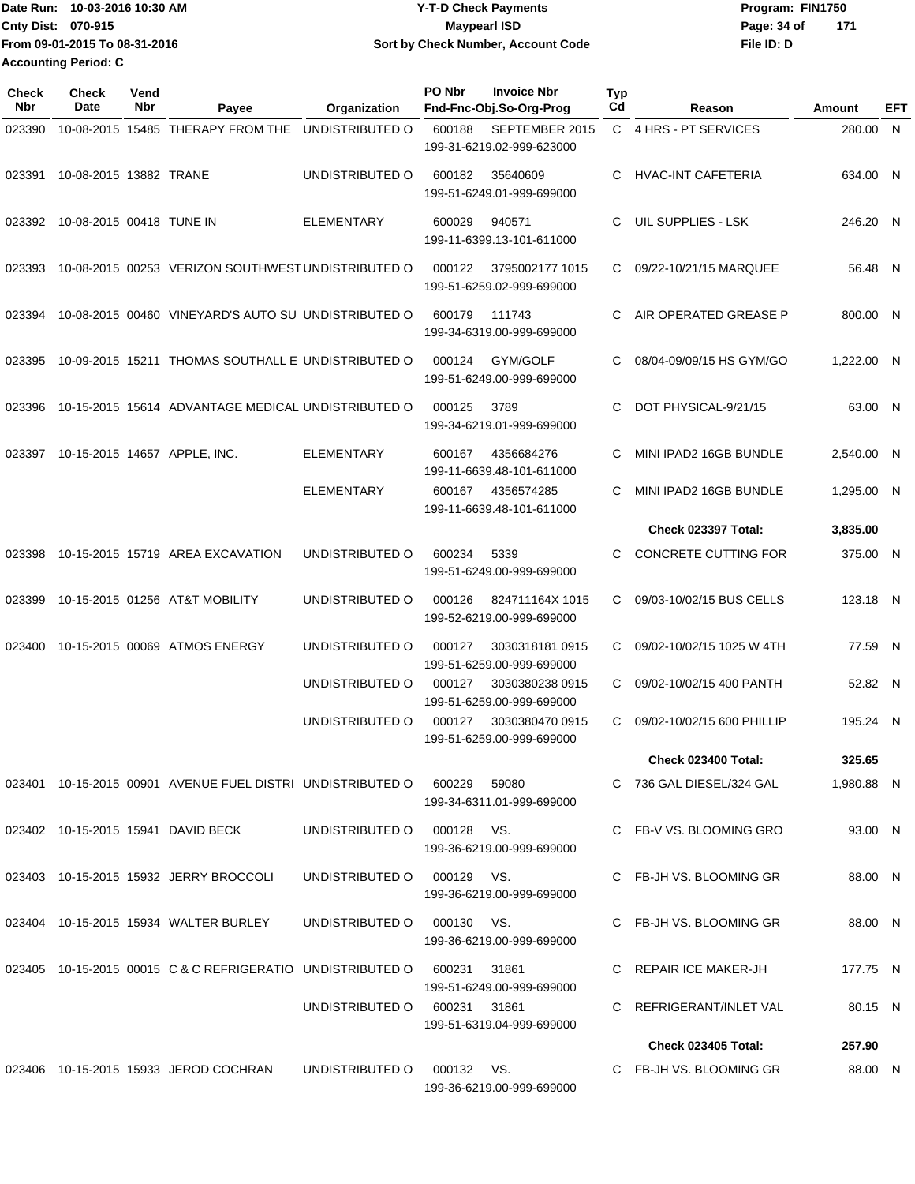**Date Run: Program: FIN1750 Cnty Dist:** 070-915 **Page: 34 of** Maypearl ISD **Contract ISD File ID: D From 09-01-2015 To 08-31-2016 10-03-2016 10:30 AM Y-T-D Check Payments 070-915 Maypearl ISD Sort by Check Number, Account Code 171 Accounting Period: C**

| <b>Check</b><br>Nbr | <b>Check</b><br>Date     | Vend<br>Nbr | Payee                                                      | Organization      | PO Nbr       | <b>Invoice Nbr</b><br>Fnd-Fnc-Obj.So-Org-Prog | <b>Typ</b><br>Cd | Reason                      | <b>Amount</b> | EFT |
|---------------------|--------------------------|-------------|------------------------------------------------------------|-------------------|--------------|-----------------------------------------------|------------------|-----------------------------|---------------|-----|
| 023390              |                          |             | 10-08-2015 15485 THERAPY FROM THE                          | UNDISTRIBUTED O   | 600188       | SEPTEMBER 2015<br>199-31-6219.02-999-623000   |                  | C 4 HRS - PT SERVICES       | 280.00 N      |     |
| 023391              | 10-08-2015 13882 TRANE   |             |                                                            | UNDISTRIBUTED O   | 600182       | 35640609<br>199-51-6249.01-999-699000         | C                | <b>HVAC-INT CAFETERIA</b>   | 634.00 N      |     |
| 023392              | 10-08-2015 00418 TUNE IN |             |                                                            | <b>ELEMENTARY</b> | 600029       | 940571<br>199-11-6399.13-101-611000           | C                | UIL SUPPLIES - LSK          | 246.20 N      |     |
| 023393              |                          |             | 10-08-2015 00253 VERIZON SOUTHWEST UNDISTRIBUTED O         |                   | 000122       | 3795002177 1015<br>199-51-6259.02-999-699000  | C                | 09/22-10/21/15 MARQUEE      | 56.48 N       |     |
| 023394              |                          |             | 10-08-2015 00460 VINEYARD'S AUTO SU UNDISTRIBUTED O        |                   | 600179       | 111743<br>199-34-6319.00-999-699000           | C.               | AIR OPERATED GREASE P       | 800.00 N      |     |
| 023395              |                          |             | 10-09-2015 15211 THOMAS SOUTHALL E UNDISTRIBUTED O         |                   | 000124       | GYM/GOLF<br>199-51-6249.00-999-699000         | C                | 08/04-09/09/15 HS GYM/GO    | 1,222.00 N    |     |
| 023396              |                          |             | 10-15-2015 15614 ADVANTAGE MEDICAL UNDISTRIBUTED O         |                   | 000125       | 3789<br>199-34-6219.01-999-699000             | C                | DOT PHYSICAL-9/21/15        | 63.00 N       |     |
| 023397              |                          |             | 10-15-2015 14657 APPLE, INC.                               | <b>ELEMENTARY</b> | 600167       | 4356684276<br>199-11-6639.48-101-611000       | C                | MINI IPAD2 16GB BUNDLE      | 2,540.00 N    |     |
|                     |                          |             |                                                            | <b>ELEMENTARY</b> | 600167       | 4356574285<br>199-11-6639.48-101-611000       | C                | MINI IPAD2 16GB BUNDLE      | 1.295.00 N    |     |
|                     |                          |             |                                                            |                   |              |                                               |                  | <b>Check 023397 Total:</b>  | 3,835.00      |     |
| 023398              |                          |             | 10-15-2015 15719 AREA EXCAVATION                           | UNDISTRIBUTED O   | 600234       | 5339<br>199-51-6249.00-999-699000             | C                | <b>CONCRETE CUTTING FOR</b> | 375.00 N      |     |
| 023399              |                          |             | 10-15-2015 01256 AT&T MOBILITY                             | UNDISTRIBUTED O   | 000126       | 824711164X 1015<br>199-52-6219.00-999-699000  | C                | 09/03-10/02/15 BUS CELLS    | 123.18 N      |     |
| 023400              |                          |             | 10-15-2015 00069 ATMOS ENERGY                              | UNDISTRIBUTED O   | 000127       | 3030318181 0915<br>199-51-6259.00-999-699000  | C                | 09/02-10/02/15 1025 W 4TH   | 77.59 N       |     |
|                     |                          |             |                                                            | UNDISTRIBUTED O   | 000127       | 3030380238 0915<br>199-51-6259.00-999-699000  | C                | 09/02-10/02/15 400 PANTH    | 52.82 N       |     |
|                     |                          |             |                                                            | UNDISTRIBUTED O   | 000127       | 3030380470 0915<br>199-51-6259.00-999-699000  | C.               | 09/02-10/02/15 600 PHILLIP  | 195.24 N      |     |
|                     |                          |             |                                                            |                   |              |                                               |                  | <b>Check 023400 Total:</b>  | 325.65        |     |
|                     |                          |             | 023401 10-15-2015 00901 AVENUE FUEL DISTRI UNDISTRIBUTED O |                   | 600229       | 59080<br>199-34-6311.01-999-699000            |                  | C 736 GAL DIESEL/324 GAL    | 1,980.88 N    |     |
|                     |                          |             | 023402 10-15-2015 15941 DAVID BECK                         | UNDISTRIBUTED O   | 000128 VS.   | 199-36-6219.00-999-699000                     |                  | C FB-V VS. BLOOMING GRO     | 93.00 N       |     |
|                     |                          |             | 023403 10-15-2015 15932 JERRY BROCCOLI                     | UNDISTRIBUTED O   | 000129 VS.   | 199-36-6219.00-999-699000                     |                  | C FB-JH VS, BLOOMING GR     | 88.00 N       |     |
|                     |                          |             | 023404 10-15-2015 15934 WALTER BURLEY                      | UNDISTRIBUTED O   | 000130 VS.   | 199-36-6219.00-999-699000                     |                  | C FB-JH VS. BLOOMING GR     | 88.00 N       |     |
|                     |                          |             | 023405 10-15-2015 00015 C & C REFRIGERATIO UNDISTRIBUTED O |                   | 600231       | 31861<br>199-51-6249.00-999-699000            |                  | C REPAIR ICE MAKER-JH       | 177.75 N      |     |
|                     |                          |             |                                                            | UNDISTRIBUTED O   | 600231 31861 | 199-51-6319.04-999-699000                     |                  | C REFRIGERANT/INLET VAL     | 80.15 N       |     |
|                     |                          |             |                                                            |                   |              |                                               |                  | <b>Check 023405 Total:</b>  | 257.90        |     |
|                     |                          |             | 023406 10-15-2015 15933 JEROD COCHRAN                      | UNDISTRIBUTED O   | 000132 VS.   | 199-36-6219.00-999-699000                     |                  | C FB-JH VS. BLOOMING GR     | 88.00 N       |     |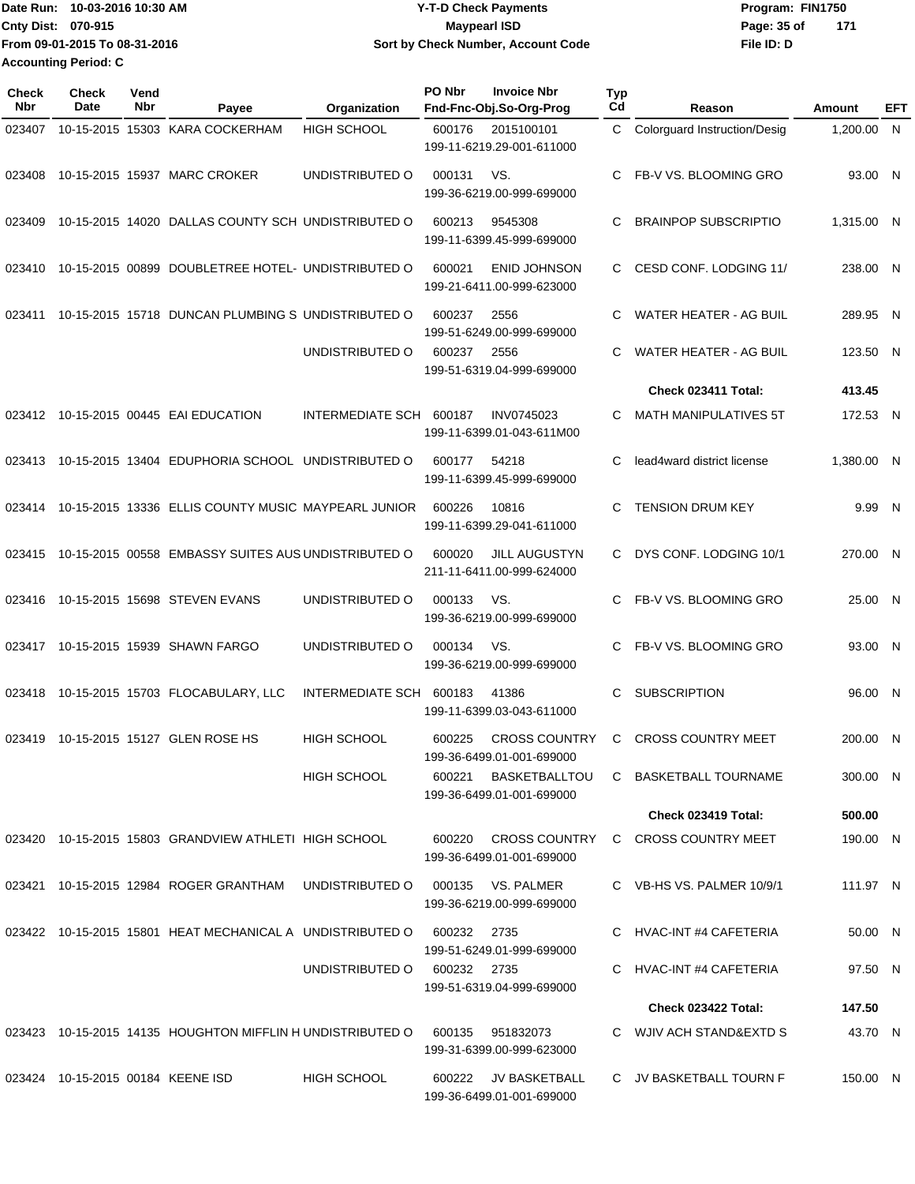| 10-03-2016 10:30 AM<br><b>Date Run:</b> | <b>Y-T-D Check Payments</b>        | Program: FIN1750 |     |  |  |
|-----------------------------------------|------------------------------------|------------------|-----|--|--|
| <b>Cnty Dist: 070-915</b>               | <b>Mavpearl ISD</b>                | Page: 35 of      | 171 |  |  |
| From 09-01-2015 To 08-31-2016           | Sort by Check Number, Account Code | File ID: D       |     |  |  |
| <b>Accounting Period: C</b>             |                                    |                  |     |  |  |

| <b>Check</b><br><b>Nbr</b> | <b>Check</b><br>Date              | Vend<br><b>Nbr</b> | Payee                                                     | Organization            | PO Nbr      | <b>Invoice Nbr</b><br>Fnd-Fnc-Obj.So-Org-Prog     | Typ<br>Cd | Reason                        | Amount     | EFT          |
|----------------------------|-----------------------------------|--------------------|-----------------------------------------------------------|-------------------------|-------------|---------------------------------------------------|-----------|-------------------------------|------------|--------------|
| 023407                     |                                   |                    | 10-15-2015 15303 KARA COCKERHAM                           | <b>HIGH SCHOOL</b>      | 600176      | 2015100101<br>199-11-6219.29-001-611000           | C         | Colorguard Instruction/Desig  | 1,200.00   | $\mathsf{N}$ |
| 023408                     |                                   |                    | 10-15-2015 15937 MARC CROKER                              | UNDISTRIBUTED O         | 000131      | VS.<br>199-36-6219.00-999-699000                  | C         | FB-V VS. BLOOMING GRO         | 93.00 N    |              |
| 023409                     |                                   |                    | 10-15-2015 14020 DALLAS COUNTY SCH UNDISTRIBUTED O        |                         | 600213      | 9545308<br>199-11-6399.45-999-699000              | С         | <b>BRAINPOP SUBSCRIPTIO</b>   | 1,315.00 N |              |
| 023410                     |                                   |                    | 10-15-2015 00899 DOUBLETREE HOTEL- UNDISTRIBUTED O        |                         | 600021      | <b>ENID JOHNSON</b><br>199-21-6411.00-999-623000  | C         | CESD CONF. LODGING 11/        | 238.00 N   |              |
| 023411                     |                                   |                    | 10-15-2015 15718 DUNCAN PLUMBING S UNDISTRIBUTED O        |                         | 600237      | 2556<br>199-51-6249.00-999-699000                 | C         | <b>WATER HEATER - AG BUIL</b> | 289.95     | N            |
|                            |                                   |                    |                                                           | UNDISTRIBUTED O         | 600237      | 2556<br>199-51-6319.04-999-699000                 | C         | <b>WATER HEATER - AG BUIL</b> | 123.50 N   |              |
|                            |                                   |                    |                                                           |                         |             |                                                   |           | Check 023411 Total:           | 413.45     |              |
| 023412                     |                                   |                    | 10-15-2015 00445 EAI EDUCATION                            | INTERMEDIATE SCH        | 600187      | <b>INV0745023</b><br>199-11-6399.01-043-611M00    | С         | <b>MATH MANIPULATIVES 5T</b>  | 172.53 N   |              |
| 023413                     |                                   |                    | 10-15-2015 13404 EDUPHORIA SCHOOL UNDISTRIBUTED O         |                         | 600177      | 54218<br>199-11-6399.45-999-699000                | С         | lead4ward district license    | 1,380.00 N |              |
| 023414                     |                                   |                    | 10-15-2015 13336 ELLIS COUNTY MUSIC MAYPEARL JUNIOR       |                         | 600226      | 10816<br>199-11-6399.29-041-611000                | C         | <b>TENSION DRUM KEY</b>       | 9.99       | N            |
| 023415                     |                                   |                    | 10-15-2015 00558 EMBASSY SUITES AUS UNDISTRIBUTED O       |                         | 600020      | <b>JILL AUGUSTYN</b><br>211-11-6411.00-999-624000 | C         | DYS CONF. LODGING 10/1        | 270.00 N   |              |
| 023416                     |                                   |                    | 10-15-2015 15698 STEVEN EVANS                             | UNDISTRIBUTED O         | 000133      | VS.<br>199-36-6219.00-999-699000                  | C         | FB-V VS. BLOOMING GRO         | 25.00 N    |              |
| 023417                     |                                   |                    | 10-15-2015 15939 SHAWN FARGO                              | UNDISTRIBUTED O         | 000134      | VS.<br>199-36-6219.00-999-699000                  | C         | FB-V VS. BLOOMING GRO         | 93.00 N    |              |
| 023418                     |                                   |                    | 10-15-2015 15703 FLOCABULARY, LLC                         | <b>INTERMEDIATE SCH</b> | 600183      | 41386<br>199-11-6399.03-043-611000                | C         | <b>SUBSCRIPTION</b>           | 96.00 N    |              |
| 023419                     |                                   |                    | 10-15-2015 15127 GLEN ROSE HS                             | <b>HIGH SCHOOL</b>      | 600225      | <b>CROSS COUNTRY</b><br>199-36-6499.01-001-699000 | C         | <b>CROSS COUNTRY MEET</b>     | 200.00 N   |              |
|                            |                                   |                    |                                                           | <b>HIGH SCHOOL</b>      |             | 600221 BASKETBALLTOU<br>199-36-6499.01-001-699000 |           | C BASKETBALL TOURNAME         | 300.00 N   |              |
|                            |                                   |                    |                                                           |                         |             |                                                   |           | Check 023419 Total:           | 500.00     |              |
|                            |                                   |                    | 023420 10-15-2015 15803 GRANDVIEW ATHLETI HIGH SCHOOL     |                         | 600220      | <b>CROSS COUNTRY</b><br>199-36-6499.01-001-699000 |           | C CROSS COUNTRY MEET          | 190.00 N   |              |
|                            |                                   |                    | 023421 10-15-2015 12984 ROGER GRANTHAM UNDISTRIBUTED O    |                         |             | 000135 VS. PALMER<br>199-36-6219.00-999-699000    |           | C VB-HS VS. PALMER 10/9/1     | 111.97 N   |              |
|                            |                                   |                    | 023422 10-15-2015 15801 HEAT MECHANICAL A UNDISTRIBUTED O |                         | 600232 2735 | 199-51-6249.01-999-699000                         |           | C HVAC-INT #4 CAFETERIA       | 50.00 N    |              |
|                            |                                   |                    |                                                           | UNDISTRIBUTED O         | 600232 2735 | 199-51-6319.04-999-699000                         |           | C HVAC-INT #4 CAFETERIA       | 97.50 N    |              |
|                            |                                   |                    |                                                           |                         |             |                                                   |           | Check 023422 Total:           | 147.50     |              |
|                            |                                   |                    | 023423 10-15-2015 14135 HOUGHTON MIFFLIN HUNDISTRIBUTED O |                         | 600135      | 951832073<br>199-31-6399.00-999-623000            |           | C WJIV ACH STAND&EXTD S       | 43.70 N    |              |
|                            | 023424 10-15-2015 00184 KEENE ISD |                    |                                                           | HIGH SCHOOL             |             | 600222 JV BASKETBALL<br>199-36-6499.01-001-699000 |           | C JV BASKETBALL TOURN F       | 150.00 N   |              |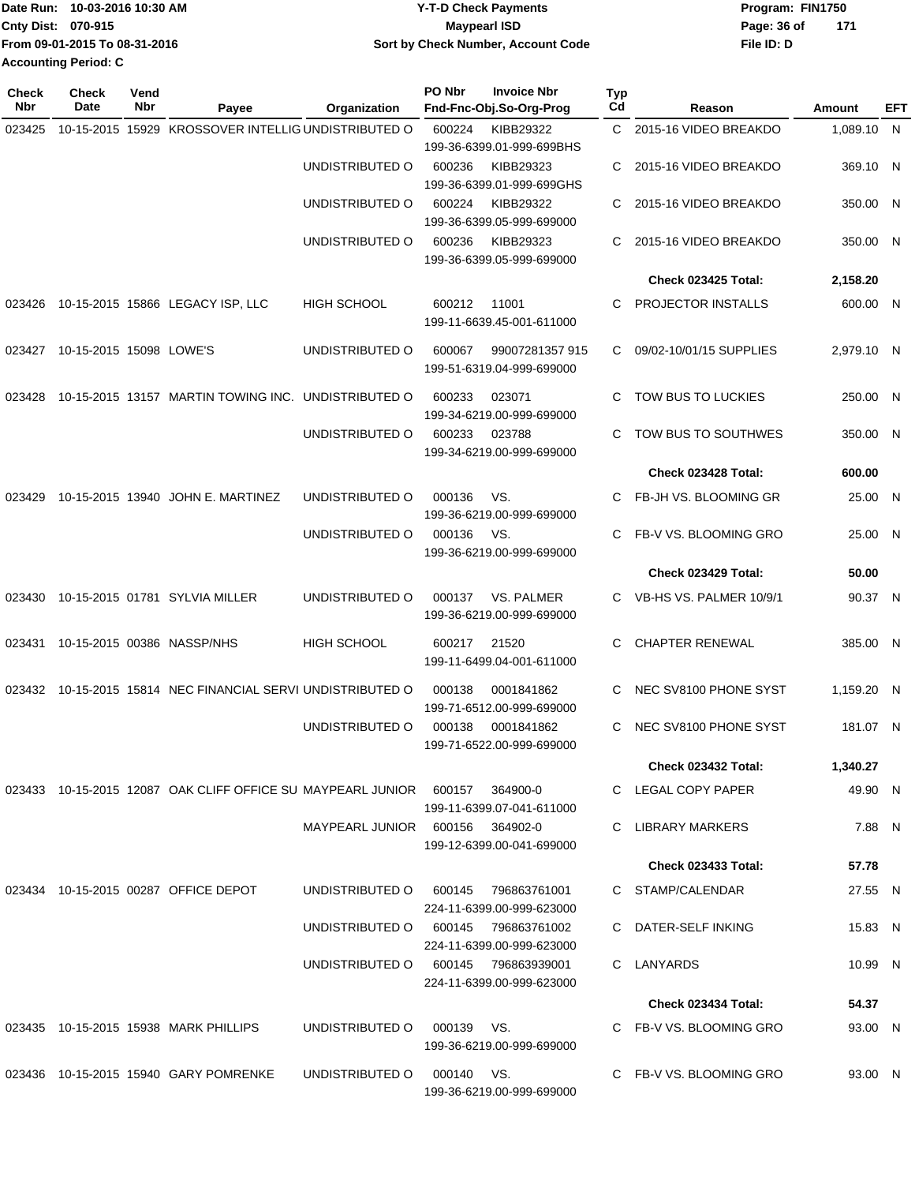|                           | Date Run: 10-03-2016 10:30 AM | <b>Y-T-D Check Payments</b>               | Program: FIN1750     |  |  |  |
|---------------------------|-------------------------------|-------------------------------------------|----------------------|--|--|--|
| <b>Cnty Dist: 070-915</b> |                               | <b>Mavpearl ISD</b>                       | - 171<br>Page: 36 of |  |  |  |
|                           | From 09-01-2015 To 08-31-2016 | <b>Sort by Check Number, Account Code</b> | File ID: D           |  |  |  |
| Accounting Period: C      |                               |                                           |                      |  |  |  |

| Check<br>Nbr | <b>Check</b><br>Date    | Vend<br>Nbr | Payee                                                                  | Organization                        | PO Nbr     | <b>Invoice Nbr</b><br>Fnd-Fnc-Obj.So-Org-Prog | Typ<br>Cd | Reason                     | Amount     | EFT |
|--------------|-------------------------|-------------|------------------------------------------------------------------------|-------------------------------------|------------|-----------------------------------------------|-----------|----------------------------|------------|-----|
| 023425       |                         |             | 10-15-2015 15929 KROSSOVER INTELLIG UNDISTRIBUTED O                    |                                     | 600224     | KIBB29322                                     |           | C 2015-16 VIDEO BREAKDO    | 1,089.10 N |     |
|              |                         |             |                                                                        |                                     |            | 199-36-6399.01-999-699BHS                     |           |                            |            |     |
|              |                         |             |                                                                        | UNDISTRIBUTED O                     | 600236     | KIBB29323                                     | С         | 2015-16 VIDEO BREAKDO      | 369.10 N   |     |
|              |                         |             |                                                                        |                                     |            | 199-36-6399.01-999-699GHS                     |           |                            |            |     |
|              |                         |             |                                                                        | UNDISTRIBUTED O                     | 600224     | KIBB29322<br>199-36-6399.05-999-699000        | C         | 2015-16 VIDEO BREAKDO      | 350.00 N   |     |
|              |                         |             |                                                                        | UNDISTRIBUTED O                     | 600236     | KIBB29323                                     | C         | 2015-16 VIDEO BREAKDO      | 350.00 N   |     |
|              |                         |             |                                                                        |                                     |            | 199-36-6399.05-999-699000                     |           |                            |            |     |
|              |                         |             |                                                                        |                                     |            |                                               |           | <b>Check 023425 Total:</b> | 2,158.20   |     |
| 023426       |                         |             | 10-15-2015 15866 LEGACY ISP, LLC                                       | <b>HIGH SCHOOL</b>                  | 600212     | 11001                                         | C         | PROJECTOR INSTALLS         | 600.00 N   |     |
|              |                         |             |                                                                        |                                     |            | 199-11-6639.45-001-611000                     |           |                            |            |     |
| 023427       | 10-15-2015 15098 LOWE'S |             |                                                                        | UNDISTRIBUTED O                     | 600067     | 99007281357 915                               | C         | 09/02-10/01/15 SUPPLIES    | 2,979.10 N |     |
|              |                         |             |                                                                        |                                     |            | 199-51-6319.04-999-699000                     |           |                            |            |     |
|              |                         |             | 10-15-2015 13157 MARTIN TOWING INC. UNDISTRIBUTED O                    |                                     | 600233     | 023071                                        |           | TOW BUS TO LUCKIES         |            |     |
| 023428       |                         |             |                                                                        |                                     |            | 199-34-6219.00-999-699000                     | C         |                            | 250.00 N   |     |
|              |                         |             |                                                                        | UNDISTRIBUTED O                     | 600233     | 023788                                        | С         | TOW BUS TO SOUTHWES        | 350.00 N   |     |
|              |                         |             |                                                                        |                                     |            | 199-34-6219.00-999-699000                     |           |                            |            |     |
|              |                         |             |                                                                        |                                     |            |                                               |           | Check 023428 Total:        | 600.00     |     |
| 023429       |                         |             | 10-15-2015 13940 JOHN E. MARTINEZ                                      | UNDISTRIBUTED O                     | 000136     | VS.                                           | C         | FB-JH VS. BLOOMING GR      | 25.00 N    |     |
|              |                         |             |                                                                        |                                     |            | 199-36-6219.00-999-699000                     |           |                            |            |     |
|              |                         |             |                                                                        | UNDISTRIBUTED O                     | 000136     | VS.                                           | C         | FB-V VS. BLOOMING GRO      | 25.00 N    |     |
|              |                         |             |                                                                        |                                     |            | 199-36-6219.00-999-699000                     |           |                            |            |     |
|              |                         |             |                                                                        |                                     |            |                                               |           | Check 023429 Total:        | 50.00      |     |
| 023430       |                         |             | 10-15-2015 01781 SYLVIA MILLER                                         | UNDISTRIBUTED O                     | 000137     | VS. PALMER                                    | C.        | VB-HS VS. PALMER 10/9/1    | 90.37 N    |     |
|              |                         |             |                                                                        |                                     |            | 199-36-6219.00-999-699000                     |           |                            |            |     |
| 023431       |                         |             | 10-15-2015 00386 NASSP/NHS                                             | <b>HIGH SCHOOL</b>                  | 600217     | 21520                                         | C         | <b>CHAPTER RENEWAL</b>     | 385.00 N   |     |
|              |                         |             |                                                                        |                                     |            | 199-11-6499.04-001-611000                     |           |                            |            |     |
| 023432       |                         |             | 10-15-2015 15814 NEC FINANCIAL SERVI UNDISTRIBUTED O                   |                                     | 000138     | 0001841862                                    | C         | NEC SV8100 PHONE SYST      | 1,159.20 N |     |
|              |                         |             |                                                                        |                                     |            | 199-71-6512.00-999-699000                     |           |                            |            |     |
|              |                         |             |                                                                        | UNDISTRIBUTED O                     | 000138     | 0001841862                                    | C         | NEC SV8100 PHONE SYST      | 181.07 N   |     |
|              |                         |             |                                                                        |                                     |            | 199-71-6522.00-999-699000                     |           |                            |            |     |
|              |                         |             |                                                                        |                                     |            |                                               |           | <b>Check 023432 Total:</b> | 1,340.27   |     |
|              |                         |             | 023433  10-15-2015  12087  OAK CLIFF OFFICE SU MAYPEARL JUNIOR  600157 |                                     |            | 364900-0                                      |           | C LEGAL COPY PAPER         | 49.90 N    |     |
|              |                         |             |                                                                        | MAYPEARL JUNIOR 600156 364902-0     |            | 199-11-6399.07-041-611000                     |           | C LIBRARY MARKERS          | 7.88 N     |     |
|              |                         |             |                                                                        |                                     |            | 199-12-6399.00-041-699000                     |           |                            |            |     |
|              |                         |             |                                                                        |                                     |            |                                               |           | <b>Check 023433 Total:</b> | 57.78      |     |
|              |                         |             | 023434 10-15-2015 00287 OFFICE DEPOT                                   | UNDISTRIBUTED O                     | 600145     | 796863761001                                  |           | C STAMP/CALENDAR           | 27.55 N    |     |
|              |                         |             |                                                                        |                                     |            | 224-11-6399.00-999-623000                     |           |                            |            |     |
|              |                         |             |                                                                        | UNDISTRIBUTED O 600145 796863761002 |            |                                               |           | C DATER-SELF INKING        | 15.83 N    |     |
|              |                         |             |                                                                        |                                     |            | 224-11-6399.00-999-623000                     |           |                            |            |     |
|              |                         |             |                                                                        | UNDISTRIBUTED O 600145 796863939001 |            |                                               |           | C LANYARDS                 | 10.99 N    |     |
|              |                         |             |                                                                        |                                     |            | 224-11-6399.00-999-623000                     |           |                            |            |     |
|              |                         |             |                                                                        |                                     |            |                                               |           | Check 023434 Total:        | 54.37      |     |
|              |                         |             | 023435 10-15-2015 15938 MARK PHILLIPS                                  | UNDISTRIBUTED O                     | 000139 VS. |                                               |           | C FB-V VS. BLOOMING GRO    | 93.00 N    |     |
|              |                         |             |                                                                        |                                     |            | 199-36-6219.00-999-699000                     |           |                            |            |     |
|              |                         |             | 023436 10-15-2015 15940 GARY POMRENKE                                  | UNDISTRIBUTED O                     | 000140 VS. |                                               |           | C FB-V VS. BLOOMING GRO    | 93.00 N    |     |
|              |                         |             |                                                                        |                                     |            | 199-36-6219.00-999-699000                     |           |                            |            |     |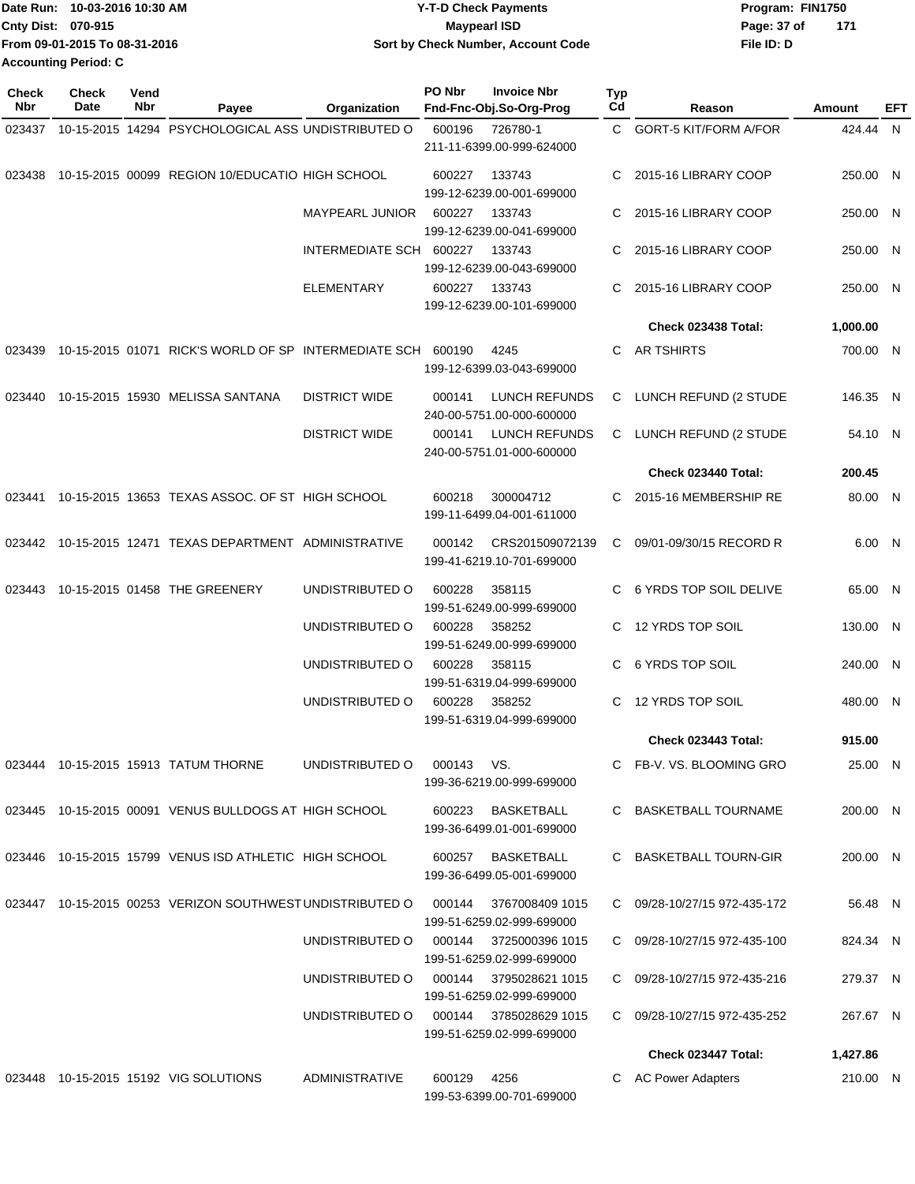| Date Run: 10-03-2016 10:30 AM | <b>Y-T-D Check Payments</b>        | Program: FIN1750   |
|-------------------------------|------------------------------------|--------------------|
| <b>Cnty Dist: 070-915</b>     | <b>Mavpearl ISD</b>                | 171<br>Page: 37 of |
| From 09-01-2015 To 08-31-2016 | Sort by Check Number, Account Code | File ID: D         |
| <b>Accounting Period: C</b>   |                                    |                    |

| Check<br>Nbr | <b>Check</b><br>Date | Vend<br>Nbr | Payee                                                       | Organization            | PO Nbr      | <b>Invoice Nbr</b><br>Fnd-Fnc-Obj.So-Org-Prog       | <b>Typ</b><br>Cd | Reason                       | Amount   | EFT |
|--------------|----------------------|-------------|-------------------------------------------------------------|-------------------------|-------------|-----------------------------------------------------|------------------|------------------------------|----------|-----|
|              |                      |             | 023437 10-15-2015 14294 PSYCHOLOGICAL ASS UNDISTRIBUTED O   |                         | 600196      | 726780-1<br>211-11-6399.00-999-624000               |                  | C GORT-5 KIT/FORM A/FOR      | 424.44 N |     |
|              |                      |             | 023438 10-15-2015 00099 REGION 10/EDUCATIO HIGH SCHOOL      |                         | 600227      | 133743<br>199-12-6239.00-001-699000                 | C.               | 2015-16 LIBRARY COOP         | 250.00 N |     |
|              |                      |             |                                                             | MAYPEARL JUNIOR         | 600227      | 133743<br>199-12-6239.00-041-699000                 | C.               | 2015-16 LIBRARY COOP         | 250.00 N |     |
|              |                      |             |                                                             | INTERMEDIATE SCH 600227 |             | 133743<br>199-12-6239.00-043-699000                 | C.               | 2015-16 LIBRARY COOP         | 250.00 N |     |
|              |                      |             |                                                             | <b>ELEMENTARY</b>       | 600227      | 133743<br>199-12-6239.00-101-699000                 | C                | 2015-16 LIBRARY COOP         | 250.00 N |     |
|              |                      |             |                                                             |                         |             |                                                     |                  | Check 023438 Total:          | 1,000.00 |     |
| 023439       |                      |             | 10-15-2015 01071 RICK'S WORLD OF SP INTERMEDIATE SCH 600190 |                         |             | 4245<br>199-12-6399.03-043-699000                   | C.               | AR TSHIRTS                   | 700.00 N |     |
| 023440       |                      |             | 10-15-2015 15930 MELISSA SANTANA                            | <b>DISTRICT WIDE</b>    | 000141      | LUNCH REFUNDS<br>240-00-5751.00-000-600000          |                  | C LUNCH REFUND (2 STUDE      | 146.35 N |     |
|              |                      |             |                                                             | <b>DISTRICT WIDE</b>    | 000141      | LUNCH REFUNDS<br>240-00-5751.01-000-600000          |                  | C LUNCH REFUND (2 STUDE      | 54.10 N  |     |
|              |                      |             |                                                             |                         |             |                                                     |                  | Check 023440 Total:          | 200.45   |     |
|              |                      |             | 023441 10-15-2015 13653 TEXAS ASSOC. OF ST HIGH SCHOOL      |                         | 600218      | 300004712<br>199-11-6499.04-001-611000              | C.               | 2015-16 MEMBERSHIP RE        | 80.00 N  |     |
|              |                      |             | 023442 10-15-2015 12471 TEXAS DEPARTMENT ADMINISTRATIVE     |                         | 000142      | CRS201509072139<br>199-41-6219.10-701-699000        | C                | 09/01-09/30/15 RECORD R      | 6.00 N   |     |
| 023443       |                      |             | 10-15-2015 01458 THE GREENERY                               | UNDISTRIBUTED O         | 600228      | 358115<br>199-51-6249.00-999-699000                 |                  | C 6 YRDS TOP SOIL DELIVE     | 65.00 N  |     |
|              |                      |             |                                                             | UNDISTRIBUTED O         | 600228      | 358252<br>199-51-6249.00-999-699000                 | C.               | 12 YRDS TOP SOIL             | 130.00 N |     |
|              |                      |             |                                                             | UNDISTRIBUTED O         | 600228      | 358115<br>199-51-6319.04-999-699000                 | C.               | 6 YRDS TOP SOIL              | 240.00 N |     |
|              |                      |             |                                                             | UNDISTRIBUTED O         | 600228      | 358252<br>199-51-6319.04-999-699000                 | C                | 12 YRDS TOP SOIL             | 480.00 N |     |
|              |                      |             |                                                             |                         |             |                                                     |                  | Check 023443 Total:          | 915.00   |     |
|              |                      |             | 023444 10-15-2015 15913 TATUM THORNE                        | UNDISTRIBUTED O         | 000143 VS.  | 199-36-6219.00-999-699000                           |                  | C FB-V, VS, BLOOMING GRO     | 25.00 N  |     |
|              |                      |             | 023445 10-15-2015 00091 VENUS BULLDOGS AT HIGH SCHOOL       |                         |             | 600223 BASKETBALL<br>199-36-6499.01-001-699000      |                  | C BASKETBALL TOURNAME        | 200.00 N |     |
|              |                      |             | 023446 10-15-2015 15799 VENUS ISD ATHLETIC HIGH SCHOOL      |                         |             | 600257 BASKETBALL<br>199-36-6499.05-001-699000      |                  | C BASKETBALL TOURN-GIR       | 200.00 N |     |
|              |                      |             | 023447 10-15-2015 00253 VERIZON SOUTHWESTUNDISTRIBUTED O    |                         | 000144      | 3767008409 1015<br>199-51-6259.02-999-699000        |                  | C 09/28-10/27/15 972-435-172 | 56.48 N  |     |
|              |                      |             |                                                             | UNDISTRIBUTED O         | 000144      | 3725000396 1015<br>199-51-6259.02-999-699000        |                  | C 09/28-10/27/15 972-435-100 | 824.34 N |     |
|              |                      |             |                                                             | UNDISTRIBUTED O         | 000144      | 3795028621 1015<br>199-51-6259.02-999-699000        |                  | C 09/28-10/27/15 972-435-216 | 279.37 N |     |
|              |                      |             |                                                             | UNDISTRIBUTED O         |             | 000144 3785028629 1015<br>199-51-6259.02-999-699000 |                  | C 09/28-10/27/15 972-435-252 | 267.67 N |     |
|              |                      |             |                                                             |                         |             |                                                     |                  | Check 023447 Total:          | 1,427.86 |     |
|              |                      |             | 023448 10-15-2015 15192 VIG SOLUTIONS                       | ADMINISTRATIVE          | 600129 4256 | 199-53-6399.00-701-699000                           |                  | C AC Power Adapters          | 210.00 N |     |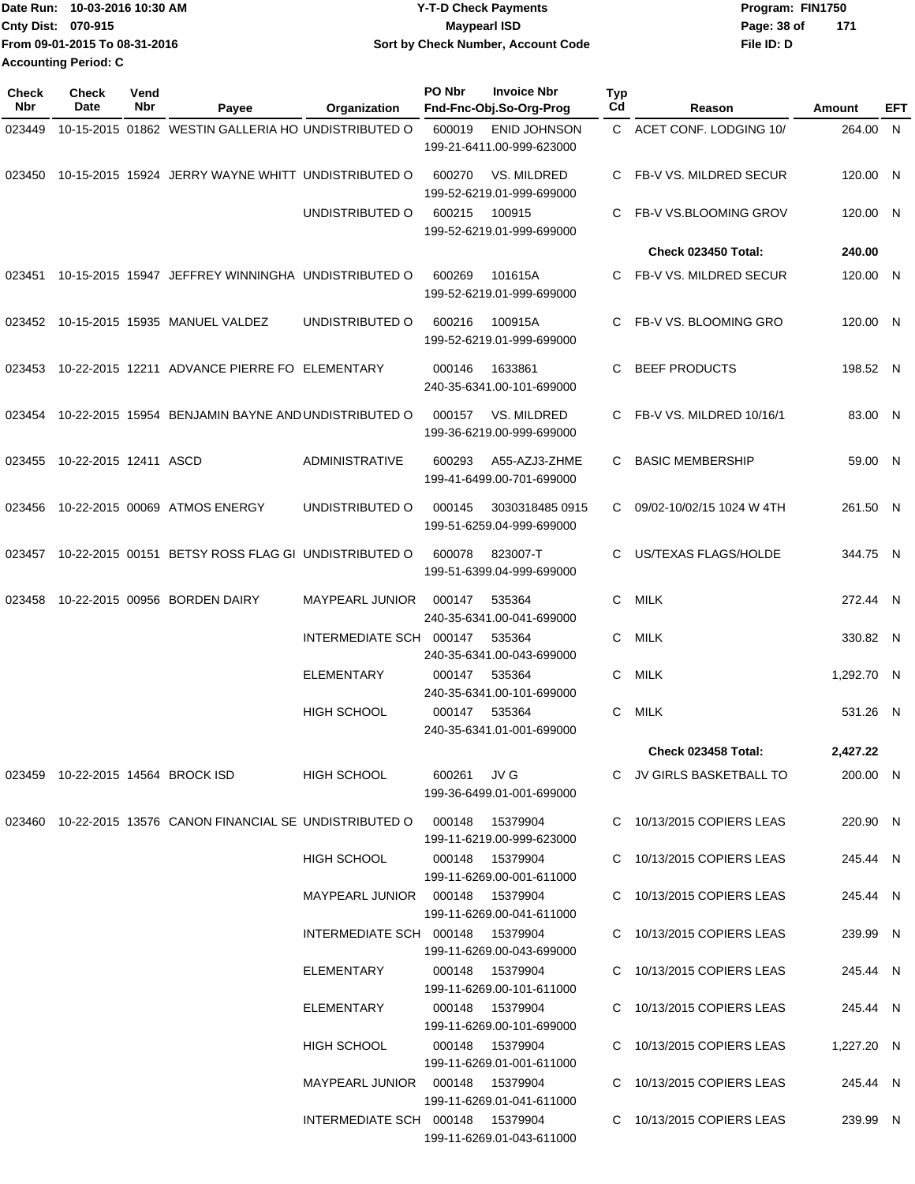|                      | Date Run: 10-03-2016 10:30 AM | <b>Y-T-D Check Payments</b>        | Program: FIN1750     |  |
|----------------------|-------------------------------|------------------------------------|----------------------|--|
| Cnty Dist: 070-915   |                               | <b>Maypearl ISD</b>                | - 171<br>Page: 38 of |  |
|                      | From 09-01-2015 To 08-31-2016 | Sort by Check Number, Account Code | File ID: D           |  |
| Accounting Period: C |                               |                                    |                      |  |

| <b>Check</b><br>Nbr | <b>Check</b><br>Date  | Vend<br>Nbr | Payee                                                                      | Organization                                                          | PO Nbr      | <b>Invoice Nbr</b><br>Fnd-Fnc-Obj.So-Org-Prog          | <b>Typ</b><br>Cd | Reason                                                 | Amount               | EFT |
|---------------------|-----------------------|-------------|----------------------------------------------------------------------------|-----------------------------------------------------------------------|-------------|--------------------------------------------------------|------------------|--------------------------------------------------------|----------------------|-----|
| 023449              |                       |             | 10-15-2015 01862 WESTIN GALLERIA HO UNDISTRIBUTED O                        |                                                                       | 600019      | ENID JOHNSON<br>199-21-6411.00-999-623000              |                  | C ACET CONF. LODGING 10/                               | 264.00 N             |     |
|                     |                       |             | 023450 10-15-2015 15924 JERRY WAYNE WHITT UNDISTRIBUTED O                  |                                                                       | 600270      | VS. MILDRED<br>199-52-6219.01-999-699000               | C.               | FB-V VS. MILDRED SECUR                                 | 120.00 N             |     |
|                     |                       |             |                                                                            | UNDISTRIBUTED O                                                       | 600215      | 100915<br>199-52-6219.01-999-699000                    | C.               | FB-V VS.BLOOMING GROV                                  | 120.00 N             |     |
|                     |                       |             |                                                                            |                                                                       |             |                                                        |                  | <b>Check 023450 Total:</b>                             | 240.00               |     |
| 023451              |                       |             | 10-15-2015 15947 JEFFREY WINNINGHA UNDISTRIBUTED O                         |                                                                       | 600269      | 101615A<br>199-52-6219.01-999-699000                   | C.               | FB-V VS. MILDRED SECUR                                 | 120.00 N             |     |
| 023452              |                       |             | 10-15-2015 15935 MANUEL VALDEZ                                             | UNDISTRIBUTED O                                                       | 600216      | 100915A<br>199-52-6219.01-999-699000                   |                  | C FB-V VS. BLOOMING GRO                                | 120.00 N             |     |
| 023453              |                       |             | 10-22-2015 12211 ADVANCE PIERRE FO ELEMENTARY                              |                                                                       | 000146      | 1633861<br>240-35-6341.00-101-699000                   | C                | <b>BEEF PRODUCTS</b>                                   | 198.52 N             |     |
| 023454              |                       |             | 10-22-2015 15954 BENJAMIN BAYNE AND UNDISTRIBUTED O                        |                                                                       | 000157      | VS. MILDRED<br>199-36-6219.00-999-699000               |                  | C FB-V VS. MILDRED 10/16/1                             | 83.00 N              |     |
| 023455              | 10-22-2015 12411 ASCD |             |                                                                            | <b>ADMINISTRATIVE</b>                                                 | 600293      | A55-AZJ3-ZHME<br>199-41-6499.00-701-699000             | C.               | <b>BASIC MEMBERSHIP</b>                                | 59.00 N              |     |
| 023456              |                       |             | 10-22-2015 00069 ATMOS ENERGY                                              | UNDISTRIBUTED O                                                       | 000145      | 3030318485 0915<br>199-51-6259.04-999-699000           | C                | 09/02-10/02/15 1024 W 4TH                              | 261.50 N             |     |
| 023457              |                       |             | 10-22-2015 00151 BETSY ROSS FLAG GI UNDISTRIBUTED O                        |                                                                       | 600078      | 823007-T<br>199-51-6399.04-999-699000                  | C.               | US/TEXAS FLAGS/HOLDE                                   | 344.75 N             |     |
| 023458              |                       |             | 10-22-2015 00956 BORDEN DAIRY                                              | <b>MAYPEARL JUNIOR</b>                                                | 000147      | 535364<br>240-35-6341.00-041-699000                    | C.               | <b>MILK</b>                                            | 272.44 N             |     |
|                     |                       |             |                                                                            | INTERMEDIATE SCH 000147                                               |             | 535364<br>240-35-6341.00-043-699000                    | C                | MILK                                                   | 330.82 N             |     |
|                     |                       |             |                                                                            | <b>ELEMENTARY</b>                                                     | 000147      | 535364<br>240-35-6341.00-101-699000                    | C.               | MILK                                                   | 1,292.70 N           |     |
|                     |                       |             |                                                                            | <b>HIGH SCHOOL</b>                                                    | 000147      | 535364<br>240-35-6341.01-001-699000                    | C                | <b>MILK</b>                                            | 531.26 N             |     |
|                     |                       |             |                                                                            |                                                                       |             |                                                        |                  | <b>Check 023458 Total:</b>                             | 2.427.22             |     |
|                     |                       |             | 023459 10-22-2015 14564 BROCK ISD                                          | HIGH SCHOOL                                                           | 600261 JV G | 199-36-6499.01-001-699000                              |                  | C JV GIRLS BASKETBALL TO                               | 200.00 N             |     |
|                     |                       |             | 023460 10-22-2015 13576 CANON FINANCIAL SE UNDISTRIBUTED O 000148 15379904 |                                                                       |             | 199-11-6219.00-999-623000                              |                  | C 10/13/2015 COPIERS LEAS                              | 220.90 N             |     |
|                     |                       |             |                                                                            | HIGH SCHOOL                                                           |             | 000148  15379904<br>199-11-6269.00-001-611000          |                  | C 10/13/2015 COPIERS LEAS                              | 245.44 N             |     |
|                     |                       |             |                                                                            | MAYPEARL JUNIOR  000148  15379904<br>INTERMEDIATE SCH 000148 15379904 |             | 199-11-6269.00-041-611000                              |                  | C 10/13/2015 COPIERS LEAS<br>C 10/13/2015 COPIERS LEAS | 245.44 N<br>239.99 N |     |
|                     |                       |             |                                                                            | ELEMENTARY                                                            |             | 199-11-6269.00-043-699000<br>000148 15379904           |                  | C 10/13/2015 COPIERS LEAS                              | 245.44 N             |     |
|                     |                       |             |                                                                            | ELEMENTARY                                                            |             | 199-11-6269.00-101-611000<br>000148 15379904           |                  | C 10/13/2015 COPIERS LEAS                              | 245.44 N             |     |
|                     |                       |             |                                                                            | HIGH SCHOOL                                                           |             | 199-11-6269.00-101-699000<br>000148 15379904           |                  | C 10/13/2015 COPIERS LEAS                              | 1,227.20 N           |     |
|                     |                       |             |                                                                            | MAYPEARL JUNIOR  000148  15379904                                     |             | 199-11-6269.01-001-611000                              |                  | C 10/13/2015 COPIERS LEAS                              | 245.44 N             |     |
|                     |                       |             |                                                                            | INTERMEDIATE SCH 000148 15379904                                      |             | 199-11-6269.01-041-611000<br>199-11-6269.01-043-611000 |                  | C 10/13/2015 COPIERS LEAS                              | 239.99 N             |     |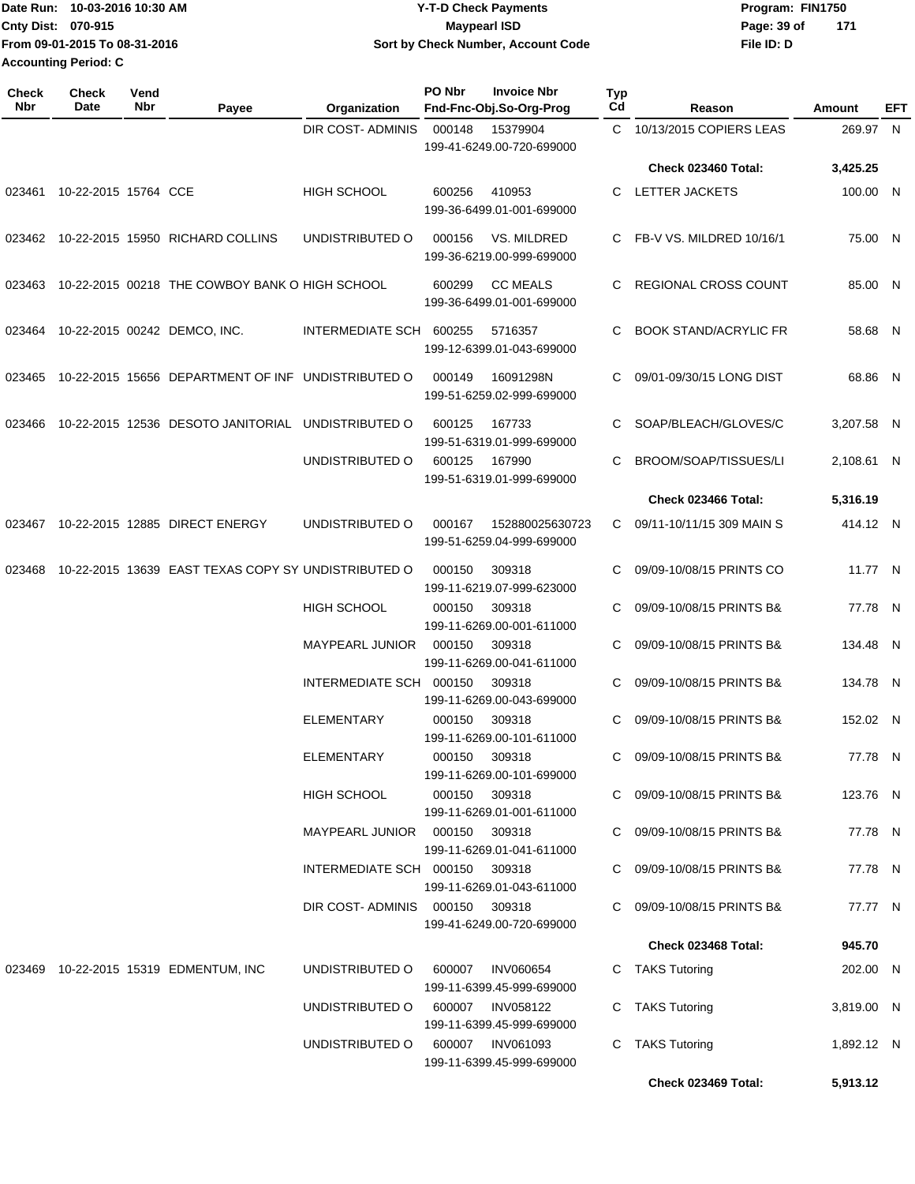Date Run: 10-03-2016 10:30 AM **Date Runity Controller Controller Controller Program: FIN1750** Program: FIN1750 **Cnty Dist:** 070-915 **Page: 39 of MaypearI ISD Page: 39 of File ID: D From 09-01-2015 To 08-31-2016 10-03-2016 10:30 AM Y-T-D Check Payments 070-915 Maypearl ISD Sort by Check Number, Account Code 171 Accounting Period: C**

| <b>DIR COST- ADMINIS</b><br>C 10/13/2015 COPIERS LEAS<br>000148<br>15379904<br>199-41-6249.00-720-699000<br>Check 023460 Total:<br><b>HIGH SCHOOL</b><br>600256<br>410953<br><b>LETTER JACKETS</b><br>10-22-2015 15764 CCE<br>023461<br>C<br>199-36-6499.01-001-699000<br>C FB-V VS. MILDRED 10/16/1<br>023462 10-22-2015 15950 RICHARD COLLINS<br>UNDISTRIBUTED O<br>VS. MILDRED<br>000156<br>199-36-6219.00-999-699000<br>10-22-2015 00218 THE COWBOY BANK O HIGH SCHOOL<br><b>CC MEALS</b><br>C REGIONAL CROSS COUNT<br>600299<br>023463<br>199-36-6499.01-001-699000<br>10-22-2015 00242 DEMCO, INC.<br><b>BOOK STAND/ACRYLIC FR</b><br>INTERMEDIATE SCH 600255<br>5716357<br>C.<br>023464<br>199-12-6399.01-043-699000<br>10-22-2015 15656 DEPARTMENT OF INF UNDISTRIBUTED O<br>09/01-09/30/15 LONG DIST<br>000149<br>16091298N<br>C<br>023465<br>199-51-6259.02-999-699000<br>10-22-2015 12536 DESOTO JANITORIAL UNDISTRIBUTED O<br>600125<br>167733<br>SOAP/BLEACH/GLOVES/C<br>023466<br>C<br>199-51-6319.01-999-699000<br>UNDISTRIBUTED O<br>600125<br>167990<br>BROOM/SOAP/TISSUES/LI<br>C<br>199-51-6319.01-999-699000<br>Check 023466 Total:<br>10-22-2015 12885 DIRECT ENERGY<br>UNDISTRIBUTED O<br>09/11-10/11/15 309 MAIN S<br>000167<br>152880025630723<br>023467<br>C.<br>199-51-6259.04-999-699000<br>10-22-2015 13639 EAST TEXAS COPY SY UNDISTRIBUTED O<br>09/09-10/08/15 PRINTS CO<br>000150<br>309318<br>023468<br>C<br>199-11-6219.07-999-623000<br><b>HIGH SCHOOL</b><br>000150<br>309318<br>09/09-10/08/15 PRINTS B&<br>C<br>199-11-6269.00-001-611000<br><b>MAYPEARL JUNIOR</b><br>000150<br>309318<br>09/09-10/08/15 PRINTS B&<br>C<br>199-11-6269.00-041-611000<br>INTERMEDIATE SCH<br>000150<br>309318<br>09/09-10/08/15 PRINTS B&<br>C<br>199-11-6269.00-043-699000<br><b>ELEMENTARY</b><br>000150<br>309318<br>09/09-10/08/15 PRINTS B&<br>C<br>199-11-6269.00-101-611000<br>ELEMENTARY<br>C 09/09-10/08/15 PRINTS B&<br>000150 309318<br>199-11-6269.00-101-699000<br>HIGH SCHOOL<br>C 09/09-10/08/15 PRINTS B&<br>000150 309318<br>199-11-6269.01-001-611000<br>C 09/09-10/08/15 PRINTS B&<br>MAYPEARL JUNIOR  000150  309318<br>199-11-6269.01-041-611000<br>C 09/09-10/08/15 PRINTS B&<br>INTERMEDIATE SCH 000150 309318<br>199-11-6269.01-043-611000<br>C 09/09-10/08/15 PRINTS B&<br>DIR COST-ADMINIS 000150 309318<br>199-41-6249.00-720-699000<br>Check 023468 Total:<br>C TAKS Tutoring<br>023469 10-22-2015 15319 EDMENTUM, INC<br>UNDISTRIBUTED O<br>600007<br><b>INV060654</b><br>199-11-6399.45-999-699000<br>C TAKS Tutoring<br>UNDISTRIBUTED O<br>600007 INV058122<br>199-11-6399.45-999-699000<br>UNDISTRIBUTED O 600007 INV061093<br><b>TAKS Tutoring</b><br>C<br>199-11-6399.45-999-699000 | Check<br>Nbr | Check<br>Date | Vend<br>Nbr | Payee | Organization | PO Nbr | <b>Invoice Nbr</b><br>Fnd-Fnc-Obj.So-Org-Prog | Typ<br>Cd | Reason | Amount     | EFT |
|--------------------------------------------------------------------------------------------------------------------------------------------------------------------------------------------------------------------------------------------------------------------------------------------------------------------------------------------------------------------------------------------------------------------------------------------------------------------------------------------------------------------------------------------------------------------------------------------------------------------------------------------------------------------------------------------------------------------------------------------------------------------------------------------------------------------------------------------------------------------------------------------------------------------------------------------------------------------------------------------------------------------------------------------------------------------------------------------------------------------------------------------------------------------------------------------------------------------------------------------------------------------------------------------------------------------------------------------------------------------------------------------------------------------------------------------------------------------------------------------------------------------------------------------------------------------------------------------------------------------------------------------------------------------------------------------------------------------------------------------------------------------------------------------------------------------------------------------------------------------------------------------------------------------------------------------------------------------------------------------------------------------------------------------------------------------------------------------------------------------------------------------------------------------------------------------------------------------------------------------------------------------------------------------------------------------------------------------------------------------------------------------------------------------------------------------------------------------------------------------------------------------------------------------------------------------------------------------------------------------------------------------------------------------------------------------------------------------------------------------|--------------|---------------|-------------|-------|--------------|--------|-----------------------------------------------|-----------|--------|------------|-----|
|                                                                                                                                                                                                                                                                                                                                                                                                                                                                                                                                                                                                                                                                                                                                                                                                                                                                                                                                                                                                                                                                                                                                                                                                                                                                                                                                                                                                                                                                                                                                                                                                                                                                                                                                                                                                                                                                                                                                                                                                                                                                                                                                                                                                                                                                                                                                                                                                                                                                                                                                                                                                                                                                                                                                            |              |               |             |       |              |        |                                               |           |        | 269.97 N   |     |
|                                                                                                                                                                                                                                                                                                                                                                                                                                                                                                                                                                                                                                                                                                                                                                                                                                                                                                                                                                                                                                                                                                                                                                                                                                                                                                                                                                                                                                                                                                                                                                                                                                                                                                                                                                                                                                                                                                                                                                                                                                                                                                                                                                                                                                                                                                                                                                                                                                                                                                                                                                                                                                                                                                                                            |              |               |             |       |              |        |                                               |           |        | 3,425.25   |     |
|                                                                                                                                                                                                                                                                                                                                                                                                                                                                                                                                                                                                                                                                                                                                                                                                                                                                                                                                                                                                                                                                                                                                                                                                                                                                                                                                                                                                                                                                                                                                                                                                                                                                                                                                                                                                                                                                                                                                                                                                                                                                                                                                                                                                                                                                                                                                                                                                                                                                                                                                                                                                                                                                                                                                            |              |               |             |       |              |        |                                               |           |        | 100.00 N   |     |
|                                                                                                                                                                                                                                                                                                                                                                                                                                                                                                                                                                                                                                                                                                                                                                                                                                                                                                                                                                                                                                                                                                                                                                                                                                                                                                                                                                                                                                                                                                                                                                                                                                                                                                                                                                                                                                                                                                                                                                                                                                                                                                                                                                                                                                                                                                                                                                                                                                                                                                                                                                                                                                                                                                                                            |              |               |             |       |              |        |                                               |           |        | 75.00 N    |     |
|                                                                                                                                                                                                                                                                                                                                                                                                                                                                                                                                                                                                                                                                                                                                                                                                                                                                                                                                                                                                                                                                                                                                                                                                                                                                                                                                                                                                                                                                                                                                                                                                                                                                                                                                                                                                                                                                                                                                                                                                                                                                                                                                                                                                                                                                                                                                                                                                                                                                                                                                                                                                                                                                                                                                            |              |               |             |       |              |        |                                               |           |        | 85.00 N    |     |
|                                                                                                                                                                                                                                                                                                                                                                                                                                                                                                                                                                                                                                                                                                                                                                                                                                                                                                                                                                                                                                                                                                                                                                                                                                                                                                                                                                                                                                                                                                                                                                                                                                                                                                                                                                                                                                                                                                                                                                                                                                                                                                                                                                                                                                                                                                                                                                                                                                                                                                                                                                                                                                                                                                                                            |              |               |             |       |              |        |                                               |           |        | 58.68 N    |     |
|                                                                                                                                                                                                                                                                                                                                                                                                                                                                                                                                                                                                                                                                                                                                                                                                                                                                                                                                                                                                                                                                                                                                                                                                                                                                                                                                                                                                                                                                                                                                                                                                                                                                                                                                                                                                                                                                                                                                                                                                                                                                                                                                                                                                                                                                                                                                                                                                                                                                                                                                                                                                                                                                                                                                            |              |               |             |       |              |        |                                               |           |        | 68.86 N    |     |
|                                                                                                                                                                                                                                                                                                                                                                                                                                                                                                                                                                                                                                                                                                                                                                                                                                                                                                                                                                                                                                                                                                                                                                                                                                                                                                                                                                                                                                                                                                                                                                                                                                                                                                                                                                                                                                                                                                                                                                                                                                                                                                                                                                                                                                                                                                                                                                                                                                                                                                                                                                                                                                                                                                                                            |              |               |             |       |              |        |                                               |           |        | 3,207.58 N |     |
|                                                                                                                                                                                                                                                                                                                                                                                                                                                                                                                                                                                                                                                                                                                                                                                                                                                                                                                                                                                                                                                                                                                                                                                                                                                                                                                                                                                                                                                                                                                                                                                                                                                                                                                                                                                                                                                                                                                                                                                                                                                                                                                                                                                                                                                                                                                                                                                                                                                                                                                                                                                                                                                                                                                                            |              |               |             |       |              |        |                                               |           |        | 2,108.61 N |     |
|                                                                                                                                                                                                                                                                                                                                                                                                                                                                                                                                                                                                                                                                                                                                                                                                                                                                                                                                                                                                                                                                                                                                                                                                                                                                                                                                                                                                                                                                                                                                                                                                                                                                                                                                                                                                                                                                                                                                                                                                                                                                                                                                                                                                                                                                                                                                                                                                                                                                                                                                                                                                                                                                                                                                            |              |               |             |       |              |        |                                               |           |        | 5,316.19   |     |
|                                                                                                                                                                                                                                                                                                                                                                                                                                                                                                                                                                                                                                                                                                                                                                                                                                                                                                                                                                                                                                                                                                                                                                                                                                                                                                                                                                                                                                                                                                                                                                                                                                                                                                                                                                                                                                                                                                                                                                                                                                                                                                                                                                                                                                                                                                                                                                                                                                                                                                                                                                                                                                                                                                                                            |              |               |             |       |              |        |                                               |           |        | 414.12 N   |     |
|                                                                                                                                                                                                                                                                                                                                                                                                                                                                                                                                                                                                                                                                                                                                                                                                                                                                                                                                                                                                                                                                                                                                                                                                                                                                                                                                                                                                                                                                                                                                                                                                                                                                                                                                                                                                                                                                                                                                                                                                                                                                                                                                                                                                                                                                                                                                                                                                                                                                                                                                                                                                                                                                                                                                            |              |               |             |       |              |        |                                               |           |        | 11.77 N    |     |
|                                                                                                                                                                                                                                                                                                                                                                                                                                                                                                                                                                                                                                                                                                                                                                                                                                                                                                                                                                                                                                                                                                                                                                                                                                                                                                                                                                                                                                                                                                                                                                                                                                                                                                                                                                                                                                                                                                                                                                                                                                                                                                                                                                                                                                                                                                                                                                                                                                                                                                                                                                                                                                                                                                                                            |              |               |             |       |              |        |                                               |           |        | 77.78 N    |     |
|                                                                                                                                                                                                                                                                                                                                                                                                                                                                                                                                                                                                                                                                                                                                                                                                                                                                                                                                                                                                                                                                                                                                                                                                                                                                                                                                                                                                                                                                                                                                                                                                                                                                                                                                                                                                                                                                                                                                                                                                                                                                                                                                                                                                                                                                                                                                                                                                                                                                                                                                                                                                                                                                                                                                            |              |               |             |       |              |        |                                               |           |        | 134.48 N   |     |
|                                                                                                                                                                                                                                                                                                                                                                                                                                                                                                                                                                                                                                                                                                                                                                                                                                                                                                                                                                                                                                                                                                                                                                                                                                                                                                                                                                                                                                                                                                                                                                                                                                                                                                                                                                                                                                                                                                                                                                                                                                                                                                                                                                                                                                                                                                                                                                                                                                                                                                                                                                                                                                                                                                                                            |              |               |             |       |              |        |                                               |           |        | 134.78 N   |     |
|                                                                                                                                                                                                                                                                                                                                                                                                                                                                                                                                                                                                                                                                                                                                                                                                                                                                                                                                                                                                                                                                                                                                                                                                                                                                                                                                                                                                                                                                                                                                                                                                                                                                                                                                                                                                                                                                                                                                                                                                                                                                                                                                                                                                                                                                                                                                                                                                                                                                                                                                                                                                                                                                                                                                            |              |               |             |       |              |        |                                               |           |        | 152.02 N   |     |
|                                                                                                                                                                                                                                                                                                                                                                                                                                                                                                                                                                                                                                                                                                                                                                                                                                                                                                                                                                                                                                                                                                                                                                                                                                                                                                                                                                                                                                                                                                                                                                                                                                                                                                                                                                                                                                                                                                                                                                                                                                                                                                                                                                                                                                                                                                                                                                                                                                                                                                                                                                                                                                                                                                                                            |              |               |             |       |              |        |                                               |           |        | 77.78 N    |     |
|                                                                                                                                                                                                                                                                                                                                                                                                                                                                                                                                                                                                                                                                                                                                                                                                                                                                                                                                                                                                                                                                                                                                                                                                                                                                                                                                                                                                                                                                                                                                                                                                                                                                                                                                                                                                                                                                                                                                                                                                                                                                                                                                                                                                                                                                                                                                                                                                                                                                                                                                                                                                                                                                                                                                            |              |               |             |       |              |        |                                               |           |        | 123.76 N   |     |
|                                                                                                                                                                                                                                                                                                                                                                                                                                                                                                                                                                                                                                                                                                                                                                                                                                                                                                                                                                                                                                                                                                                                                                                                                                                                                                                                                                                                                                                                                                                                                                                                                                                                                                                                                                                                                                                                                                                                                                                                                                                                                                                                                                                                                                                                                                                                                                                                                                                                                                                                                                                                                                                                                                                                            |              |               |             |       |              |        |                                               |           |        | 77.78 N    |     |
|                                                                                                                                                                                                                                                                                                                                                                                                                                                                                                                                                                                                                                                                                                                                                                                                                                                                                                                                                                                                                                                                                                                                                                                                                                                                                                                                                                                                                                                                                                                                                                                                                                                                                                                                                                                                                                                                                                                                                                                                                                                                                                                                                                                                                                                                                                                                                                                                                                                                                                                                                                                                                                                                                                                                            |              |               |             |       |              |        |                                               |           |        | 77.78 N    |     |
|                                                                                                                                                                                                                                                                                                                                                                                                                                                                                                                                                                                                                                                                                                                                                                                                                                                                                                                                                                                                                                                                                                                                                                                                                                                                                                                                                                                                                                                                                                                                                                                                                                                                                                                                                                                                                                                                                                                                                                                                                                                                                                                                                                                                                                                                                                                                                                                                                                                                                                                                                                                                                                                                                                                                            |              |               |             |       |              |        |                                               |           |        | 77.77 N    |     |
|                                                                                                                                                                                                                                                                                                                                                                                                                                                                                                                                                                                                                                                                                                                                                                                                                                                                                                                                                                                                                                                                                                                                                                                                                                                                                                                                                                                                                                                                                                                                                                                                                                                                                                                                                                                                                                                                                                                                                                                                                                                                                                                                                                                                                                                                                                                                                                                                                                                                                                                                                                                                                                                                                                                                            |              |               |             |       |              |        |                                               |           |        | 945.70     |     |
|                                                                                                                                                                                                                                                                                                                                                                                                                                                                                                                                                                                                                                                                                                                                                                                                                                                                                                                                                                                                                                                                                                                                                                                                                                                                                                                                                                                                                                                                                                                                                                                                                                                                                                                                                                                                                                                                                                                                                                                                                                                                                                                                                                                                                                                                                                                                                                                                                                                                                                                                                                                                                                                                                                                                            |              |               |             |       |              |        |                                               |           |        | 202.00 N   |     |
|                                                                                                                                                                                                                                                                                                                                                                                                                                                                                                                                                                                                                                                                                                                                                                                                                                                                                                                                                                                                                                                                                                                                                                                                                                                                                                                                                                                                                                                                                                                                                                                                                                                                                                                                                                                                                                                                                                                                                                                                                                                                                                                                                                                                                                                                                                                                                                                                                                                                                                                                                                                                                                                                                                                                            |              |               |             |       |              |        |                                               |           |        | 3,819.00 N |     |
|                                                                                                                                                                                                                                                                                                                                                                                                                                                                                                                                                                                                                                                                                                                                                                                                                                                                                                                                                                                                                                                                                                                                                                                                                                                                                                                                                                                                                                                                                                                                                                                                                                                                                                                                                                                                                                                                                                                                                                                                                                                                                                                                                                                                                                                                                                                                                                                                                                                                                                                                                                                                                                                                                                                                            |              |               |             |       |              |        |                                               |           |        | 1,892.12 N |     |
| Check 023469 Total:                                                                                                                                                                                                                                                                                                                                                                                                                                                                                                                                                                                                                                                                                                                                                                                                                                                                                                                                                                                                                                                                                                                                                                                                                                                                                                                                                                                                                                                                                                                                                                                                                                                                                                                                                                                                                                                                                                                                                                                                                                                                                                                                                                                                                                                                                                                                                                                                                                                                                                                                                                                                                                                                                                                        |              |               |             |       |              |        |                                               |           |        | 5,913.12   |     |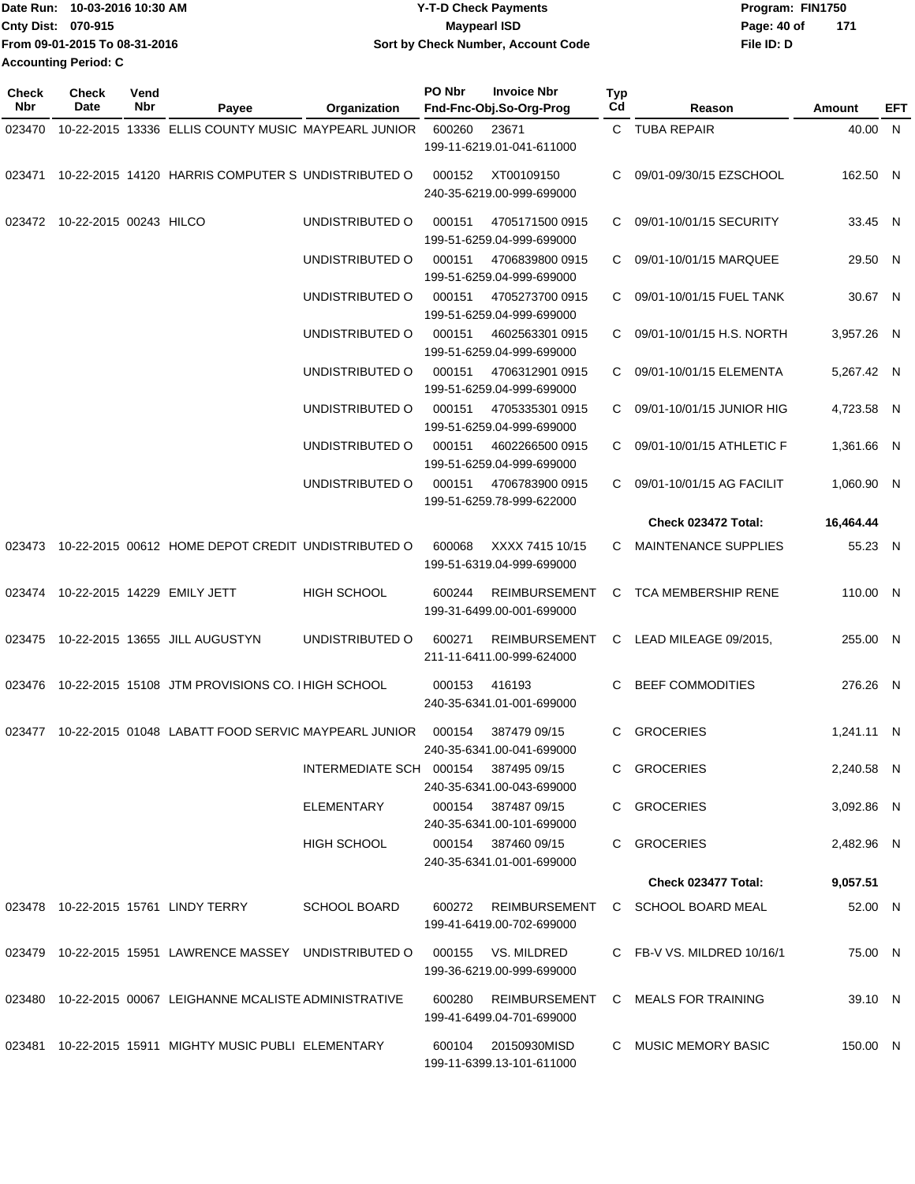| Date Run: 10-03-2016 10:30 AM | <b>Y-T-D Check Payments</b>        | Program: FIN1750   |
|-------------------------------|------------------------------------|--------------------|
| <b>Cnty Dist: 070-915</b>     | <b>Mavpearl ISD</b>                | 171<br>Page: 40 of |
| From 09-01-2015 To 08-31-2016 | Sort by Check Number, Account Code | File ID: D         |
| <b>Accounting Period: C</b>   |                                    |                    |

| <b>Check</b><br><b>Nbr</b> | <b>Check</b><br>Date   | Vend<br>Nbr | Payee                                                   | Organization            | PO Nbr | <b>Invoice Nbr</b><br>Fnd-Fnc-Obj.So-Org-Prog     | <b>Typ</b><br>Cd | Reason                     | Amount     | EFT |
|----------------------------|------------------------|-------------|---------------------------------------------------------|-------------------------|--------|---------------------------------------------------|------------------|----------------------------|------------|-----|
| 023470                     |                        |             | 10-22-2015 13336 ELLIS COUNTY MUSIC MAYPEARL JUNIOR     |                         | 600260 | 23671                                             |                  | C TUBA REPAIR              | 40.00 N    |     |
|                            |                        |             |                                                         |                         |        | 199-11-6219.01-041-611000                         |                  |                            |            |     |
| 023471                     |                        |             | 10-22-2015 14120 HARRIS COMPUTER S UNDISTRIBUTED O      |                         | 000152 | XT00109150<br>240-35-6219.00-999-699000           | C                | 09/01-09/30/15 EZSCHOOL    | 162.50 N   |     |
| 023472                     | 10-22-2015 00243 HILCO |             |                                                         | UNDISTRIBUTED O         | 000151 | 4705171500 0915<br>199-51-6259.04-999-699000      | C                | 09/01-10/01/15 SECURITY    | 33.45 N    |     |
|                            |                        |             |                                                         | UNDISTRIBUTED O         | 000151 | 4706839800 0915<br>199-51-6259.04-999-699000      | C.               | 09/01-10/01/15 MARQUEE     | 29.50 N    |     |
|                            |                        |             |                                                         | UNDISTRIBUTED O         | 000151 | 4705273700 0915<br>199-51-6259.04-999-699000      | C.               | 09/01-10/01/15 FUEL TANK   | 30.67 N    |     |
|                            |                        |             |                                                         | UNDISTRIBUTED O         | 000151 | 4602563301 0915<br>199-51-6259.04-999-699000      | C                | 09/01-10/01/15 H.S. NORTH  | 3,957.26 N |     |
|                            |                        |             |                                                         | UNDISTRIBUTED O         | 000151 | 4706312901 0915<br>199-51-6259.04-999-699000      | C                | 09/01-10/01/15 ELEMENTA    | 5,267.42 N |     |
|                            |                        |             |                                                         | UNDISTRIBUTED O         | 000151 | 4705335301 0915<br>199-51-6259.04-999-699000      | C.               | 09/01-10/01/15 JUNIOR HIG  | 4,723.58 N |     |
|                            |                        |             |                                                         | UNDISTRIBUTED O         | 000151 | 4602266500 0915<br>199-51-6259.04-999-699000      | C.               | 09/01-10/01/15 ATHLETIC F  | 1,361.66 N |     |
|                            |                        |             |                                                         | UNDISTRIBUTED O         | 000151 | 4706783900 0915<br>199-51-6259.78-999-622000      | C.               | 09/01-10/01/15 AG FACILIT  | 1,060.90 N |     |
|                            |                        |             |                                                         |                         |        |                                                   |                  | Check 023472 Total:        | 16,464.44  |     |
| 023473                     |                        |             | 10-22-2015 00612 HOME DEPOT CREDIT UNDISTRIBUTED O      |                         | 600068 | XXXX 7415 10/15<br>199-51-6319.04-999-699000      | C                | MAINTENANCE SUPPLIES       | 55.23 N    |     |
| 023474                     |                        |             | 10-22-2015 14229 EMILY JETT                             | HIGH SCHOOL             | 600244 | <b>REIMBURSEMENT</b><br>199-31-6499.00-001-699000 | C                | <b>TCA MEMBERSHIP RENE</b> | 110.00 N   |     |
|                            |                        |             | 023475 10-22-2015 13655 JILL AUGUSTYN                   | UNDISTRIBUTED O         | 600271 | <b>REIMBURSEMENT</b><br>211-11-6411.00-999-624000 | C                | LEAD MILEAGE 09/2015,      | 255.00 N   |     |
| 023476                     |                        |             | 10-22-2015 15108 JTM PROVISIONS CO. I HIGH SCHOOL       |                         | 000153 | 416193<br>240-35-6341.01-001-699000               | C.               | <b>BEEF COMMODITIES</b>    | 276.26 N   |     |
| 023477                     |                        |             | 10-22-2015 01048 LABATT FOOD SERVIC MAYPEARL JUNIOR     |                         | 000154 | 387479 09/15<br>240-35-6341.00-041-699000         | С                | <b>GROCERIES</b>           | 1,241.11 N |     |
|                            |                        |             |                                                         | INTERMEDIATE SCH 000154 |        | 387495 09/15<br>240-35-6341.00-043-699000         |                  | C GROCERIES                | 2,240.58 N |     |
|                            |                        |             |                                                         | ELEMENTARY              |        | 000154 387487 09/15<br>240-35-6341.00-101-699000  |                  | C GROCERIES                | 3,092.86 N |     |
|                            |                        |             |                                                         | HIGH SCHOOL             |        | 000154 387460 09/15<br>240-35-6341.01-001-699000  |                  | C GROCERIES                | 2,482.96 N |     |
|                            |                        |             |                                                         |                         |        |                                                   |                  | Check 023477 Total:        | 9,057.51   |     |
|                            |                        |             | 023478 10-22-2015 15761 LINDY TERRY                     | <b>SCHOOL BOARD</b>     | 600272 | REIMBURSEMENT<br>199-41-6419.00-702-699000        |                  | C SCHOOL BOARD MEAL        | 52.00 N    |     |
|                            |                        |             | 023479 10-22-2015 15951 LAWRENCE MASSEY UNDISTRIBUTED O |                         | 000155 | VS. MILDRED<br>199-36-6219.00-999-699000          |                  | C FB-V VS. MILDRED 10/16/1 | 75.00 N    |     |
| 023480                     |                        |             | 10-22-2015 00067 LEIGHANNE MCALISTE ADMINISTRATIVE      |                         | 600280 | REIMBURSEMENT<br>199-41-6499.04-701-699000        |                  | C MEALS FOR TRAINING       | 39.10 N    |     |
|                            |                        |             | 023481 10-22-2015 15911 MIGHTY MUSIC PUBLI ELEMENTARY   |                         | 600104 | 20150930MISD<br>199-11-6399.13-101-611000         |                  | C MUSIC MEMORY BASIC       | 150.00 N   |     |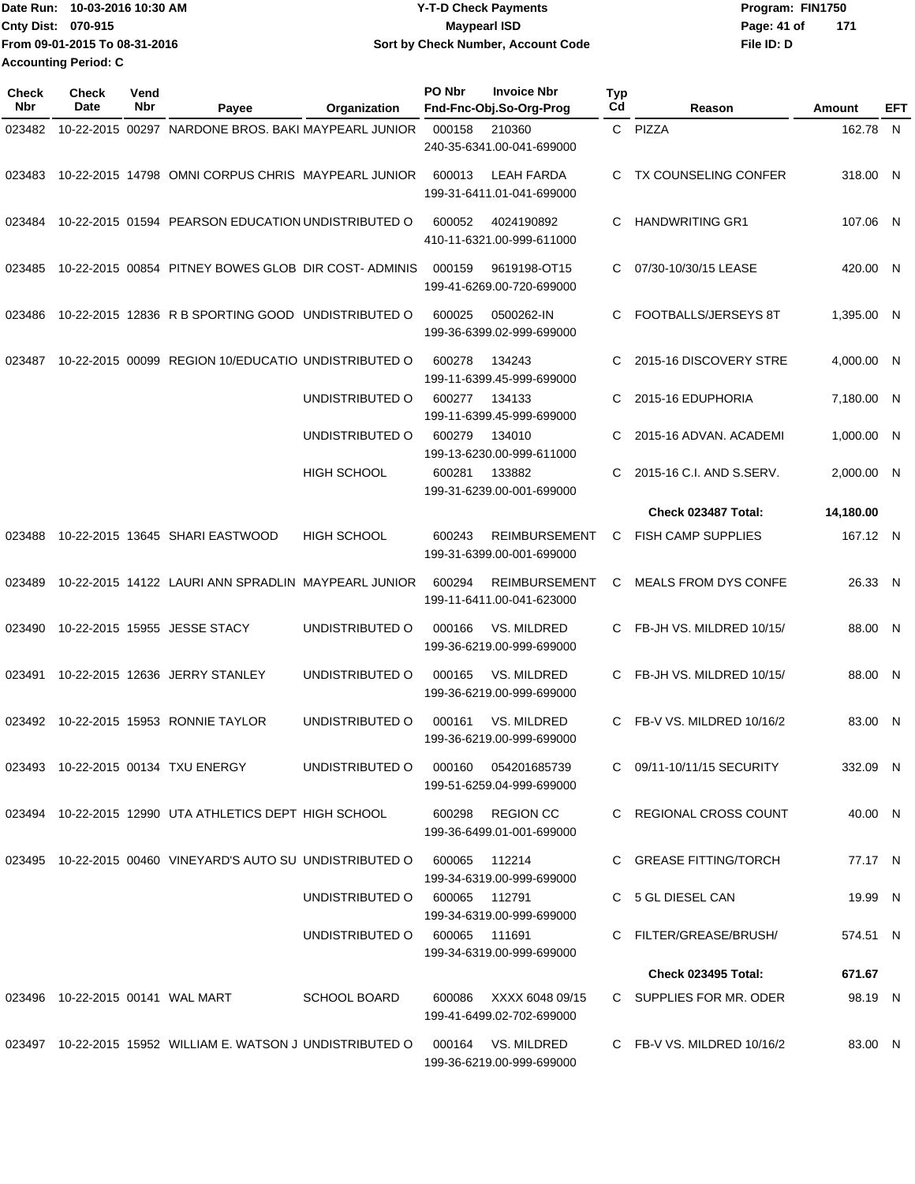|                           | Date Run: 10-03-2016 10:30 AM | <b>Y-T-D Check Payments</b>        | Program: FIN1750   |
|---------------------------|-------------------------------|------------------------------------|--------------------|
| <b>Cnty Dist: 070-915</b> |                               | <b>Mavpearl ISD</b>                | 171<br>Page: 41 of |
|                           | From 09-01-2015 To 08-31-2016 | Sort by Check Number, Account Code | File ID: D         |
| Accounting Period: C      |                               |                                    |                    |

| Check<br><b>Nbr</b> | <b>Check</b><br>Date | Vend<br>Nbr | Payee                                                       | Organization                  | PO Nbr | <b>Invoice Nbr</b><br>Fnd-Fnc-Obj.So-Org-Prog     | <b>Typ</b><br>Cd | Reason                      | Amount     | EFT |
|---------------------|----------------------|-------------|-------------------------------------------------------------|-------------------------------|--------|---------------------------------------------------|------------------|-----------------------------|------------|-----|
| 023482              |                      |             | 10-22-2015 00297 NARDONE BROS, BAKI MAYPEARL JUNIOR         |                               | 000158 | 210360<br>240-35-6341.00-041-699000               |                  | C PIZZA                     | 162.78     | N   |
| 023483              |                      |             | 10-22-2015 14798 OMNI CORPUS CHRIS MAYPEARL JUNIOR          |                               | 600013 | LEAH FARDA<br>199-31-6411.01-041-699000           | C                | <b>TX COUNSELING CONFER</b> | 318.00 N   |     |
| 023484              |                      |             | 10-22-2015 01594 PEARSON EDUCATION UNDISTRIBUTED O          |                               | 600052 | 4024190892<br>410-11-6321.00-999-611000           | C                | <b>HANDWRITING GR1</b>      | 107.06     | - N |
| 023485              |                      |             | 10-22-2015 00854 PITNEY BOWES GLOB DIR COST-ADMINIS         |                               | 000159 | 9619198-OT15<br>199-41-6269.00-720-699000         | C.               | 07/30-10/30/15 LEASE        | 420.00 N   |     |
| 023486              |                      |             | 10-22-2015 12836 R B SPORTING GOOD UNDISTRIBUTED O          |                               | 600025 | 0500262-IN<br>199-36-6399.02-999-699000           | C                | FOOTBALLS/JERSEYS 8T        | 1,395.00 N |     |
| 023487              |                      |             | 10-22-2015 00099 REGION 10/EDUCATIO UNDISTRIBUTED O         |                               | 600278 | 134243<br>199-11-6399.45-999-699000               | C                | 2015-16 DISCOVERY STRE      | 4,000.00 N |     |
|                     |                      |             |                                                             | UNDISTRIBUTED O               | 600277 | 134133<br>199-11-6399.45-999-699000               | C                | 2015-16 EDUPHORIA           | 7,180.00 N |     |
|                     |                      |             |                                                             | UNDISTRIBUTED O               | 600279 | 134010<br>199-13-6230.00-999-611000               | C                | 2015-16 ADVAN. ACADEMI      | 1,000.00 N |     |
|                     |                      |             |                                                             | <b>HIGH SCHOOL</b>            | 600281 | 133882<br>199-31-6239.00-001-699000               | C.               | 2015-16 C.I. AND S.SERV.    | 2,000.00   | -N  |
|                     |                      |             |                                                             |                               |        |                                                   |                  | Check 023487 Total:         | 14,180.00  |     |
| 023488              |                      |             | 10-22-2015 13645 SHARI EASTWOOD                             | <b>HIGH SCHOOL</b>            | 600243 | <b>REIMBURSEMENT</b><br>199-31-6399.00-001-699000 | C                | <b>FISH CAMP SUPPLIES</b>   | 167.12 N   |     |
| 023489              |                      |             | 10-22-2015 14122 LAURI ANN SPRADLIN MAYPEARL JUNIOR         |                               | 600294 | <b>REIMBURSEMENT</b><br>199-11-6411.00-041-623000 | C                | <b>MEALS FROM DYS CONFE</b> | 26.33 N    |     |
| 023490              |                      |             | 10-22-2015 15955 JESSE STACY                                | UNDISTRIBUTED O               | 000166 | VS. MILDRED<br>199-36-6219.00-999-699000          | C.               | FB-JH VS. MILDRED 10/15/    | 88.00 N    |     |
| 023491              |                      |             | 10-22-2015 12636 JERRY STANLEY                              | UNDISTRIBUTED O               | 000165 | VS. MILDRED<br>199-36-6219.00-999-699000          | C.               | FB-JH VS. MILDRED 10/15/    | 88.00 N    |     |
| 023492              |                      |             | 10-22-2015 15953 RONNIE TAYLOR                              | UNDISTRIBUTED O               | 000161 | VS. MILDRED<br>199-36-6219.00-999-699000          | C                | FB-V VS. MILDRED 10/16/2    | 83.00 N    |     |
|                     |                      |             | 023493 10-22-2015 00134 TXU ENERGY                          | UNDISTRIBUTED O               |        | 000160 054201685739<br>199-51-6259.04-999-699000  |                  | C 09/11-10/11/15 SECURITY   | 332.09 N   |     |
|                     |                      |             | 023494 10-22-2015 12990 UTA ATHLETICS DEPT HIGH SCHOOL      |                               |        | 600298 REGION CC<br>199-36-6499.01-001-699000     |                  | C REGIONAL CROSS COUNT      | 40.00 N    |     |
|                     |                      |             | 023495 10-22-2015 00460 VINEYARD'S AUTO SU UNDISTRIBUTED O  |                               | 600065 | 112214<br>199-34-6319.00-999-699000               |                  | C GREASE FITTING/TORCH      | 77.17 N    |     |
|                     |                      |             |                                                             | UNDISTRIBUTED O               |        | 600065 112791<br>199-34-6319.00-999-699000        |                  | C 5 GL DIESEL CAN           | 19.99 N    |     |
|                     |                      |             |                                                             | UNDISTRIBUTED O 600065 111691 |        | 199-34-6319.00-999-699000                         |                  | C FILTER/GREASE/BRUSH/      | 574.51 N   |     |
|                     |                      |             |                                                             |                               |        |                                                   |                  | <b>Check 023495 Total:</b>  | 671.67     |     |
|                     |                      |             | 023496 10-22-2015 00141 WAL MART                            | <b>SCHOOL BOARD</b>           | 600086 | XXXX 6048 09/15<br>199-41-6499.02-702-699000      |                  | C SUPPLIES FOR MR. ODER     | 98.19 N    |     |
|                     |                      |             | 023497 10-22-2015 15952 WILLIAM E. WATSON J UNDISTRIBUTED O |                               |        | 000164 VS. MILDRED<br>199-36-6219.00-999-699000   |                  | C FB-V VS. MILDRED 10/16/2  | 83.00 N    |     |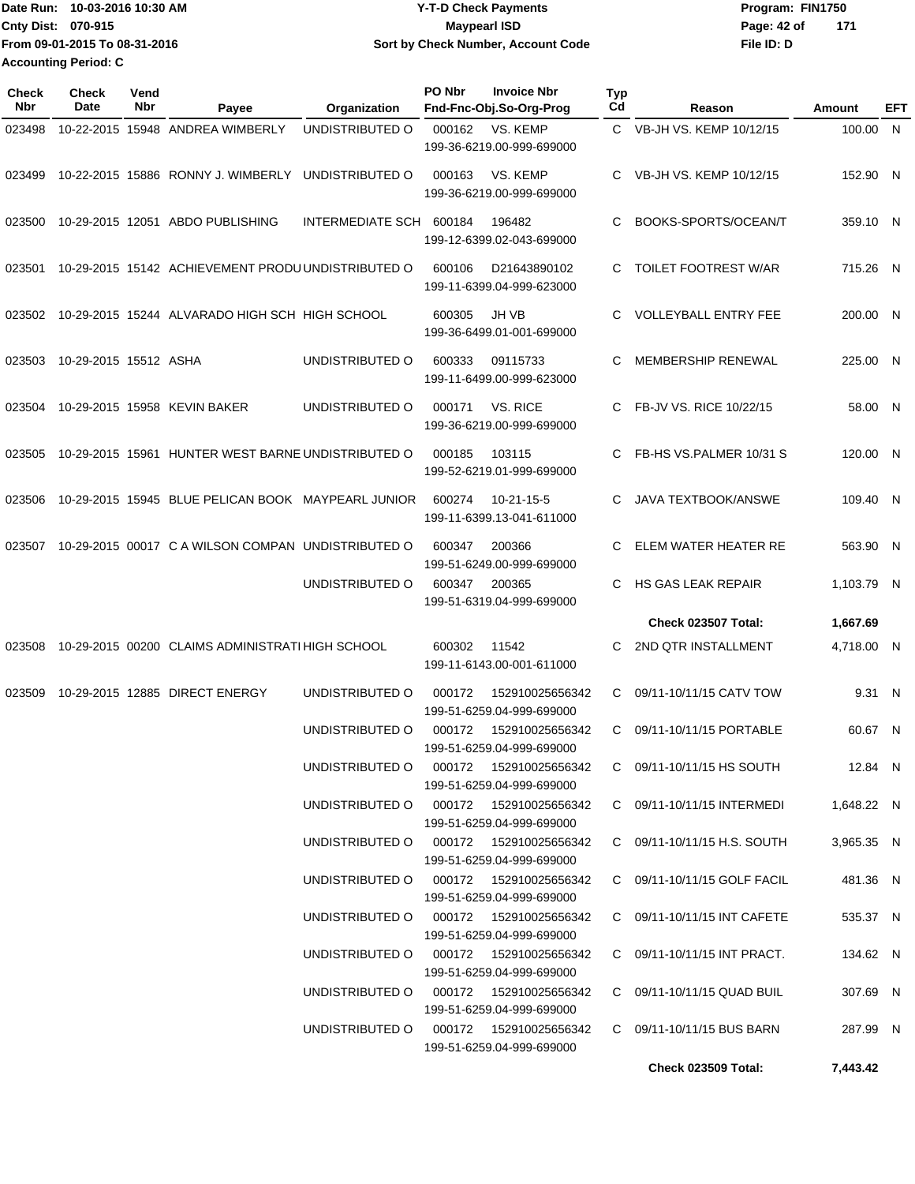Date Run: 10-03-2016 10:30 AM **CONSERVIA CONSERVIATES** Program: FIN1750 **Cnty Dist:** 070-915 **Page: 42 of** Maypearl ISD **Contract Contract Page: 42 of File ID: D From 09-01-2015 To 08-31-2016 10-03-2016 10:30 AM Y-T-D Check Payments 070-915 Maypearl ISD Sort by Check Number, Account Code 171 Accounting Period: C**

| Check<br><b>Nbr</b> | Check<br>Date         | Vend<br>Nbr | Payee                                              | Organization                              | PO Nbr | <b>Invoice Nbr</b><br>Fnd-Fnc-Obj.So-Org-Prog        | <b>Typ</b><br>Cd | Reason                           | Amount     | EFT |
|---------------------|-----------------------|-------------|----------------------------------------------------|-------------------------------------------|--------|------------------------------------------------------|------------------|----------------------------------|------------|-----|
| 023498              |                       |             | 10-22-2015 15948 ANDREA WIMBERLY                   | UNDISTRIBUTED O                           | 000162 | VS. KEMP<br>199-36-6219.00-999-699000                | $\mathbf{C}$     | VB-JH VS, KEMP 10/12/15          | 100.00 N   |     |
| 023499              |                       |             | 10-22-2015 15886 RONNY J. WIMBERLY                 | UNDISTRIBUTED O                           | 000163 | VS. KEMP<br>199-36-6219.00-999-699000                | C                | VB-JH VS. KEMP 10/12/15          | 152.90 N   |     |
| 023500              |                       |             | 10-29-2015 12051 ABDO PUBLISHING                   | INTERMEDIATE SCH                          | 600184 | 196482<br>199-12-6399.02-043-699000                  | C                | BOOKS-SPORTS/OCEAN/T             | 359.10 N   |     |
| 023501              |                       |             | 10-29-2015 15142 ACHIEVEMENT PRODU UNDISTRIBUTED O |                                           | 600106 | D21643890102<br>199-11-6399.04-999-623000            | C                | <b>TOILET FOOTREST W/AR</b>      | 715.26 N   |     |
| 023502              |                       |             | 10-29-2015 15244 ALVARADO HIGH SCH HIGH SCHOOL     |                                           | 600305 | JH VB<br>199-36-6499.01-001-699000                   |                  | <b>VOLLEYBALL ENTRY FEE</b>      | 200.00 N   |     |
| 023503              | 10-29-2015 15512 ASHA |             |                                                    | UNDISTRIBUTED O                           | 600333 | 09115733<br>199-11-6499.00-999-623000                | C                | <b>MEMBERSHIP RENEWAL</b>        | 225.00 N   |     |
| 023504              |                       |             | 10-29-2015 15958 KEVIN BAKER                       | UNDISTRIBUTED O                           | 000171 | VS. RICE<br>199-36-6219.00-999-699000                | C.               | FB-JV VS. RICE 10/22/15          | 58.00 N    |     |
| 023505              |                       |             | 10-29-2015 15961 HUNTER WEST BARNE UNDISTRIBUTED O |                                           | 000185 | 103115<br>199-52-6219.01-999-699000                  |                  | FB-HS VS.PALMER 10/31 S          | 120.00 N   |     |
| 023506              |                       |             | 10-29-2015 15945 BLUE PELICAN BOOK MAYPEARL JUNIOR |                                           | 600274 | 10-21-15-5<br>199-11-6399.13-041-611000              | C                | <b>JAVA TEXTBOOK/ANSWE</b>       | 109.40 N   |     |
| 023507              |                       |             | 10-29-2015 00017 C A WILSON COMPAN UNDISTRIBUTED O |                                           | 600347 | 200366<br>199-51-6249.00-999-699000                  | C                | ELEM WATER HEATER RE             | 563.90 N   |     |
|                     |                       |             |                                                    | UNDISTRIBUTED O                           | 600347 | 200365<br>199-51-6319.04-999-699000                  |                  | HS GAS LEAK REPAIR               | 1,103.79 N |     |
|                     |                       |             |                                                    |                                           |        |                                                      |                  | <b>Check 023507 Total:</b>       | 1,667.69   |     |
| 023508              |                       |             | 10-29-2015 00200 CLAIMS ADMINISTRATI HIGH SCHOOL   |                                           | 600302 | 11542<br>199-11-6143.00-001-611000                   | C                | 2ND QTR INSTALLMENT              | 4,718.00 N |     |
| 023509              |                       |             | 10-29-2015 12885 DIRECT ENERGY                     | UNDISTRIBUTED O                           | 000172 | 152910025656342<br>199-51-6259.04-999-699000         | C                | 09/11-10/11/15 CATV TOW          | 9.31 N     |     |
|                     |                       |             |                                                    | UNDISTRIBUTED O                           | 000172 | 152910025656342<br>199-51-6259.04-999-699000         | C.               | 09/11-10/11/15 PORTABLE          | 60.67 N    |     |
|                     |                       |             |                                                    | UNDISTRIBUTED O                           |        | 000172  152910025656342<br>199-51-6259.04-999-699000 |                  | C 09/11-10/11/15 HS SOUTH        | 12.84 N    |     |
|                     |                       |             |                                                    | UNDISTRIBUTED O 000172 152910025656342    |        | 199-51-6259.04-999-699000                            |                  | C 09/11-10/11/15 INTERMEDI       | 1,648.22 N |     |
|                     |                       |             |                                                    | UNDISTRIBUTED O 000172 152910025656342    |        | 199-51-6259.04-999-699000                            |                  | C 09/11-10/11/15 H.S. SOUTH      | 3,965.35 N |     |
|                     |                       |             |                                                    | UNDISTRIBUTED O 000172 152910025656342    |        | 199-51-6259.04-999-699000                            |                  | C 09/11-10/11/15 GOLF FACIL      | 481.36 N   |     |
|                     |                       |             |                                                    | UNDISTRIBUTED O 000172 152910025656342    |        | 199-51-6259.04-999-699000                            |                  | C 09/11-10/11/15 INT CAFETE      | 535.37 N   |     |
|                     |                       |             |                                                    | UNDISTRIBUTED O                           |        | 000172  152910025656342<br>199-51-6259.04-999-699000 |                  | C 09/11-10/11/15 INT PRACT.      | 134.62 N   |     |
|                     |                       |             |                                                    | UNDISTRIBUTED O 000172 152910025656342    |        | 199-51-6259.04-999-699000                            |                  | $C = 09/11 - 10/11/15$ QUAD BUIL | 307.69 N   |     |
|                     |                       |             |                                                    | UNDISTRIBUTED O   000172  152910025656342 |        | 199-51-6259.04-999-699000                            |                  | C 09/11-10/11/15 BUS BARN        | 287.99 N   |     |
|                     |                       |             |                                                    |                                           |        |                                                      |                  | <b>Check 023509 Total:</b>       | 7,443.42   |     |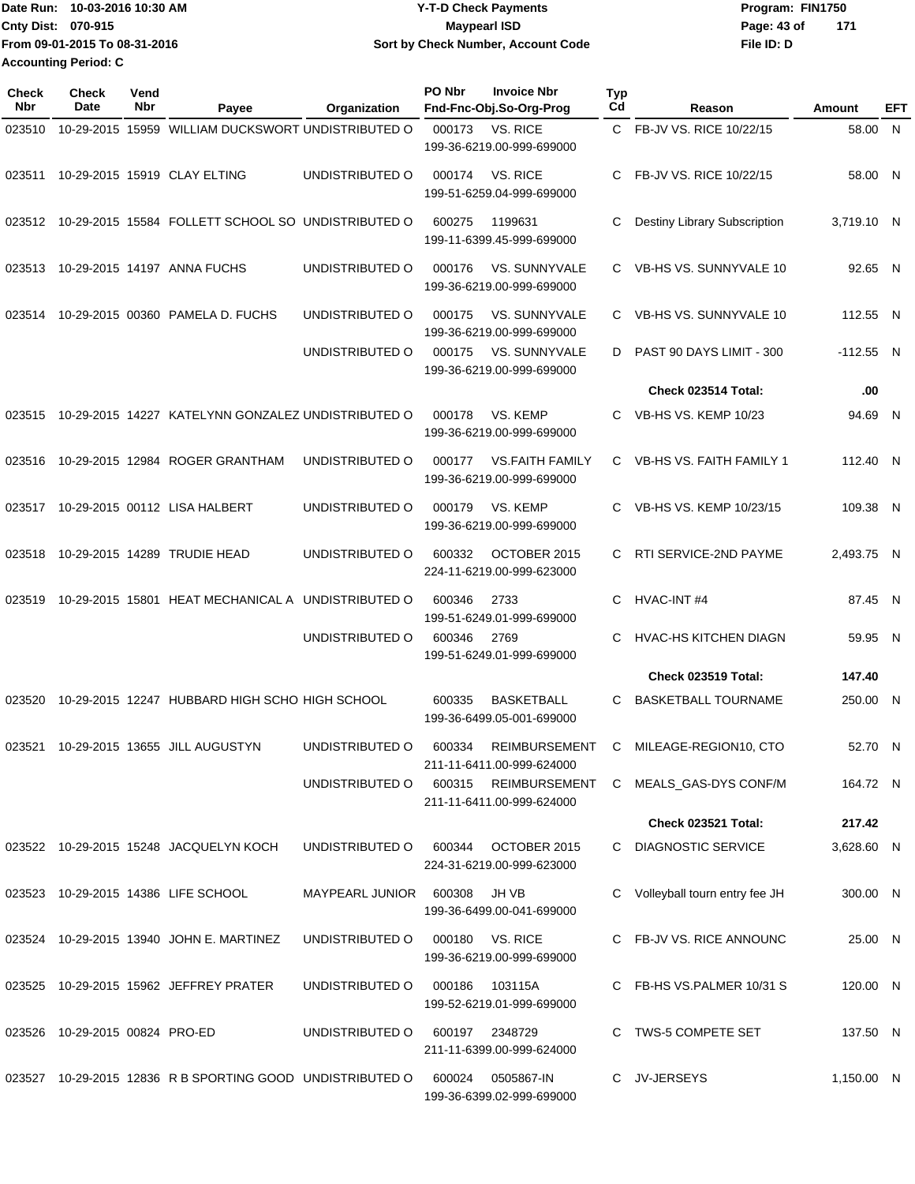|                             | Date Run: 10-03-2016 10:30 AM | <b>Y-T-D Check Payments</b>        | Program: FIN1750 |     |  |
|-----------------------------|-------------------------------|------------------------------------|------------------|-----|--|
| <b>Cnty Dist: 070-915</b>   |                               | Maypearl ISD                       | Page: 43 of      | 171 |  |
|                             | From 09-01-2015 To 08-31-2016 | Sort by Check Number, Account Code | File ID: D       |     |  |
| <b>Accounting Period: C</b> |                               |                                    |                  |     |  |

| Check<br>Nbr | <b>Check</b><br>Date    | Vend<br>Nbr | Payee                                                     | Organization           | PO Nbr | <b>Invoice Nbr</b><br>Fnd-Fnc-Obj.So-Org-Prog       | Typ<br>Cd | Reason                        | Amount      | EFT |
|--------------|-------------------------|-------------|-----------------------------------------------------------|------------------------|--------|-----------------------------------------------------|-----------|-------------------------------|-------------|-----|
|              |                         |             |                                                           |                        |        |                                                     |           |                               |             |     |
| 023510       |                         |             | 10-29-2015 15959 WILLIAM DUCKSWORT UNDISTRIBUTED O        |                        | 000173 | VS. RICE<br>199-36-6219.00-999-699000               | C.        | FB-JV VS. RICE 10/22/15       | 58.00       | N   |
| 023511       |                         |             | 10-29-2015 15919 CLAY ELTING                              | UNDISTRIBUTED O        | 000174 | VS. RICE<br>199-51-6259.04-999-699000               | C         | FB-JV VS. RICE 10/22/15       | 58.00 N     |     |
| 023512       |                         |             | 10-29-2015 15584 FOLLETT SCHOOL SO UNDISTRIBUTED O        |                        | 600275 | 1199631<br>199-11-6399.45-999-699000                | C         | Destiny Library Subscription  | 3,719.10 N  |     |
| 023513       |                         |             | 10-29-2015 14197 ANNA FUCHS                               | UNDISTRIBUTED O        | 000176 | VS. SUNNYVALE<br>199-36-6219.00-999-699000          | C.        | VB-HS VS. SUNNYVALE 10        | 92.65 N     |     |
| 023514       |                         |             | 10-29-2015 00360 PAMELA D. FUCHS                          | UNDISTRIBUTED O        | 000175 | <b>VS. SUNNYVALE</b><br>199-36-6219.00-999-699000   | C.        | VB-HS VS. SUNNYVALE 10        | 112.55 N    |     |
|              |                         |             |                                                           | UNDISTRIBUTED O        | 000175 | <b>VS. SUNNYVALE</b><br>199-36-6219.00-999-699000   | D         | PAST 90 DAYS LIMIT - 300      | $-112.55$ N |     |
|              |                         |             |                                                           |                        |        |                                                     |           | Check 023514 Total:           | .00         |     |
| 023515       |                         |             | 10-29-2015 14227 KATELYNN GONZALEZ UNDISTRIBUTED O        |                        | 000178 | VS. KEMP<br>199-36-6219.00-999-699000               | C         | <b>VB-HS VS. KEMP 10/23</b>   | 94.69       | N.  |
| 023516       |                         |             | 10-29-2015 12984 ROGER GRANTHAM                           | UNDISTRIBUTED O        | 000177 | <b>VS.FAITH FAMILY</b><br>199-36-6219.00-999-699000 | С         | VB-HS VS. FAITH FAMILY 1      | 112.40 N    |     |
| 023517       |                         |             | 10-29-2015 00112 LISA HALBERT                             | UNDISTRIBUTED O        | 000179 | VS. KEMP<br>199-36-6219.00-999-699000               | C         | VB-HS VS. KEMP 10/23/15       | 109.38      | - N |
| 023518       |                         |             | 10-29-2015 14289 TRUDIE HEAD                              | UNDISTRIBUTED O        | 600332 | OCTOBER 2015<br>224-11-6219.00-999-623000           | C         | RTI SERVICE-2ND PAYME         | 2,493.75 N  |     |
| 023519       |                         |             | 10-29-2015 15801 HEAT MECHANICAL A UNDISTRIBUTED O        |                        | 600346 | 2733<br>199-51-6249.01-999-699000                   | C         | HVAC-INT#4                    | 87.45 N     |     |
|              |                         |             |                                                           | UNDISTRIBUTED O        | 600346 | 2769<br>199-51-6249.01-999-699000                   | C         | HVAC-HS KITCHEN DIAGN         | 59.95 N     |     |
|              |                         |             |                                                           |                        |        |                                                     |           | Check 023519 Total:           | 147.40      |     |
| 023520       |                         |             | 10-29-2015 12247 HUBBARD HIGH SCHO HIGH SCHOOL            |                        | 600335 | <b>BASKETBALL</b><br>199-36-6499.05-001-699000      | C         | <b>BASKETBALL TOURNAME</b>    | 250.00 N    |     |
| 023521       |                         |             | 10-29-2015 13655 JILL AUGUSTYN                            | UNDISTRIBUTED O        | 600334 | <b>REIMBURSEMENT</b><br>211-11-6411.00-999-624000   | C         | MILEAGE-REGION10, CTO         | 52.70 N     |     |
|              |                         |             |                                                           | UNDISTRIBUTED O        | 600315 | <b>REIMBURSEMENT</b><br>211-11-6411.00-999-624000   | C.        | MEALS_GAS-DYS CONF/M          | 164.72 N    |     |
|              |                         |             |                                                           |                        |        |                                                     |           | Check 023521 Total:           | 217.42      |     |
|              |                         |             | 023522 10-29-2015 15248 JACQUELYN KOCH                    | UNDISTRIBUTED O        | 600344 | OCTOBER 2015<br>224-31-6219.00-999-623000           | C.        | <b>DIAGNOSTIC SERVICE</b>     | 3,628.60 N  |     |
|              |                         |             | 023523 10-29-2015 14386 LIFE SCHOOL                       | MAYPEARL JUNIOR 600308 |        | JH VB<br>199-36-6499.00-041-699000                  | C         | Volleyball tourn entry fee JH | 300.00 N    |     |
|              |                         |             | 023524 10-29-2015 13940 JOHN E. MARTINEZ                  | UNDISTRIBUTED O        | 000180 | VS. RICE<br>199-36-6219.00-999-699000               |           | C FB-JV VS. RICE ANNOUNC      | 25.00 N     |     |
|              |                         |             | 023525 10-29-2015 15962 JEFFREY PRATER                    | UNDISTRIBUTED O        | 000186 | 103115A<br>199-52-6219.01-999-699000                |           | FB-HS VS.PALMER 10/31 S       | 120.00 N    |     |
| 023526       | 10-29-2015 00824 PRO-ED |             |                                                           | UNDISTRIBUTED O        |        | 600197 2348729<br>211-11-6399.00-999-624000         | C.        | TWS-5 COMPETE SET             | 137.50 N    |     |
|              |                         |             | 023527 10-29-2015 12836 R B SPORTING GOOD UNDISTRIBUTED O |                        | 600024 | 0505867-IN<br>199-36-6399.02-999-699000             |           | C JV-JERSEYS                  | 1,150.00 N  |     |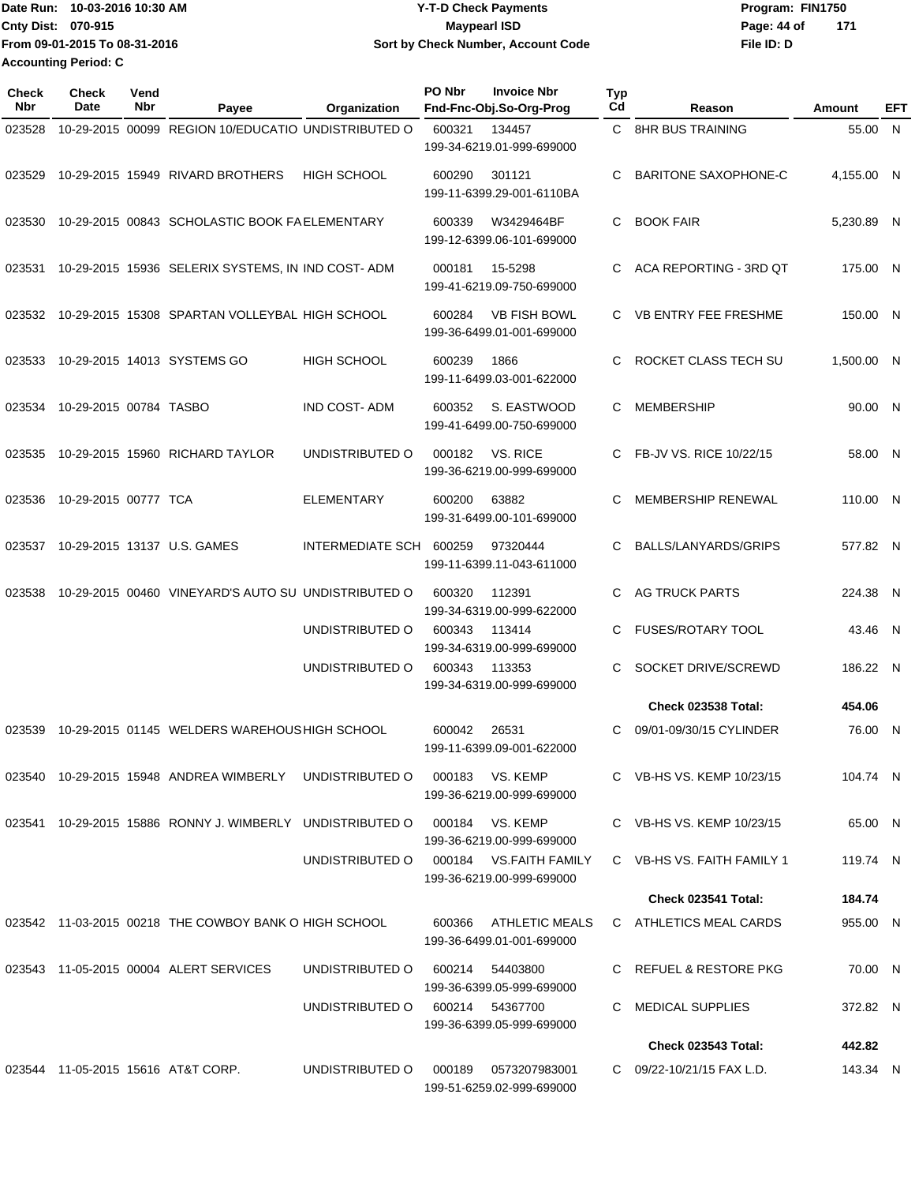Date Run: 10-03-2016 10:30 AM **Date Runity Controller Controller Controller Program: FIN1750** Program: FIN1750 **Cnty Dist:** 070-915 **Page: 44 of MaypearI ISD Page: 44 of File ID: D From 09-01-2015 To 08-31-2016 10-03-2016 10:30 AM Y-T-D Check Payments 070-915 Maypearl ISD Sort by Check Number, Account Code 171 Accounting Period: C**

| Check<br>Nbr | <b>Check</b><br>Date   | Vend<br>Nbr | Payee                                                   | Organization            | PO Nbr | <b>Invoice Nbr</b><br>Fnd-Fnc-Obj.So-Org-Prog       | <b>Typ</b><br>Cd | Reason                      | Amount     | EFT |
|--------------|------------------------|-------------|---------------------------------------------------------|-------------------------|--------|-----------------------------------------------------|------------------|-----------------------------|------------|-----|
| 023528       |                        |             | 10-29-2015 00099 REGION 10/EDUCATIO UNDISTRIBUTED O     |                         | 600321 | 134457<br>199-34-6219.01-999-699000                 |                  | C 8HR BUS TRAINING          | 55.00 N    |     |
| 023529       |                        |             | 10-29-2015 15949 RIVARD BROTHERS                        | HIGH SCHOOL             | 600290 | 301121<br>199-11-6399.29-001-6110BA                 | C                | <b>BARITONE SAXOPHONE-C</b> | 4,155.00 N |     |
| 023530       |                        |             | 10-29-2015 00843 SCHOLASTIC BOOK FAELEMENTARY           |                         | 600339 | W3429464BF<br>199-12-6399.06-101-699000             | C.               | <b>BOOK FAIR</b>            | 5,230.89 N |     |
| 023531       |                        |             | 10-29-2015 15936 SELERIX SYSTEMS, IN IND COST-ADM       |                         | 000181 | 15-5298<br>199-41-6219.09-750-699000                | C.               | ACA REPORTING - 3RD QT      | 175.00 N   |     |
| 023532       |                        |             | 10-29-2015 15308 SPARTAN VOLLEYBAL HIGH SCHOOL          |                         | 600284 | <b>VB FISH BOWL</b><br>199-36-6499.01-001-699000    | C.               | <b>VB ENTRY FEE FRESHME</b> | 150.00 N   |     |
| 023533       |                        |             | 10-29-2015 14013 SYSTEMS GO                             | <b>HIGH SCHOOL</b>      | 600239 | 1866<br>199-11-6499.03-001-622000                   | C                | ROCKET CLASS TECH SU        | 1,500.00 N |     |
| 023534       | 10-29-2015 00784 TASBO |             |                                                         | <b>IND COST-ADM</b>     | 600352 | S. EASTWOOD<br>199-41-6499.00-750-699000            | C                | <b>MEMBERSHIP</b>           | 90.00 N    |     |
| 023535       |                        |             | 10-29-2015 15960 RICHARD TAYLOR                         | UNDISTRIBUTED O         | 000182 | VS. RICE<br>199-36-6219.00-999-699000               | C.               | FB-JV VS. RICE 10/22/15     | 58.00 N    |     |
| 023536       | 10-29-2015 00777 TCA   |             |                                                         | <b>ELEMENTARY</b>       | 600200 | 63882<br>199-31-6499.00-101-699000                  | C                | <b>MEMBERSHIP RENEWAL</b>   | 110.00 N   |     |
| 023537       |                        |             | 10-29-2015 13137 U.S. GAMES                             | INTERMEDIATE SCH 600259 |        | 97320444<br>199-11-6399.11-043-611000               | C                | BALLS/LANYARDS/GRIPS        | 577.82 N   |     |
| 023538       |                        |             | 10-29-2015 00460 VINEYARD'S AUTO SU UNDISTRIBUTED O     |                         | 600320 | 112391<br>199-34-6319.00-999-622000                 | C                | <b>AG TRUCK PARTS</b>       | 224.38 N   |     |
|              |                        |             |                                                         | UNDISTRIBUTED O         | 600343 | 113414<br>199-34-6319.00-999-699000                 | C                | <b>FUSES/ROTARY TOOL</b>    | 43.46 N    |     |
|              |                        |             |                                                         | UNDISTRIBUTED O         | 600343 | 113353<br>199-34-6319.00-999-699000                 | C                | SOCKET DRIVE/SCREWD         | 186.22 N   |     |
|              |                        |             |                                                         |                         |        |                                                     |                  | <b>Check 023538 Total:</b>  | 454.06     |     |
| 023539       |                        |             | 10-29-2015 01145 WELDERS WAREHOUS HIGH SCHOOL           |                         | 600042 | 26531<br>199-11-6399.09-001-622000                  | C                | 09/01-09/30/15 CYLINDER     | 76.00 N    |     |
|              |                        |             | 023540 10-29-2015 15948 ANDREA WIMBERLY UNDISTRIBUTED O |                         |        | 000183 VS. KEMP<br>199-36-6219.00-999-699000        |                  | C VB-HS VS. KEMP 10/23/15   | 104.74 N   |     |
| 023541       |                        |             | 10-29-2015 15886 RONNY J. WIMBERLY UNDISTRIBUTED O      |                         |        | 000184 VS. KEMP<br>199-36-6219.00-999-699000        |                  | C VB-HS VS. KEMP 10/23/15   | 65.00 N    |     |
|              |                        |             |                                                         | UNDISTRIBUTED O         |        | 000184 VS.FAITH FAMILY<br>199-36-6219.00-999-699000 |                  | C VB-HS VS. FAITH FAMILY 1  | 119.74 N   |     |
|              |                        |             |                                                         |                         |        |                                                     |                  | Check 023541 Total:         | 184.74     |     |
|              |                        |             | 023542 11-03-2015 00218 THE COWBOY BANK O HIGH SCHOOL   |                         | 600366 | ATHLETIC MEALS<br>199-36-6499.01-001-699000         |                  | C ATHLETICS MEAL CARDS      | 955.00 N   |     |
|              |                        |             | 023543 11-05-2015 00004 ALERT SERVICES                  | UNDISTRIBUTED O         | 600214 | 54403800<br>199-36-6399.05-999-699000               |                  | C REFUEL & RESTORE PKG      | 70.00 N    |     |
|              |                        |             |                                                         | UNDISTRIBUTED O         |        | 600214 54367700<br>199-36-6399.05-999-699000        | C.               | <b>MEDICAL SUPPLIES</b>     | 372.82 N   |     |
|              |                        |             |                                                         |                         |        |                                                     |                  | <b>Check 023543 Total:</b>  | 442.82     |     |
|              |                        |             | 023544 11-05-2015 15616 AT&T CORP.                      | UNDISTRIBUTED O         | 000189 | 0573207983001<br>199-51-6259.02-999-699000          |                  | C 09/22-10/21/15 FAX L.D.   | 143.34 N   |     |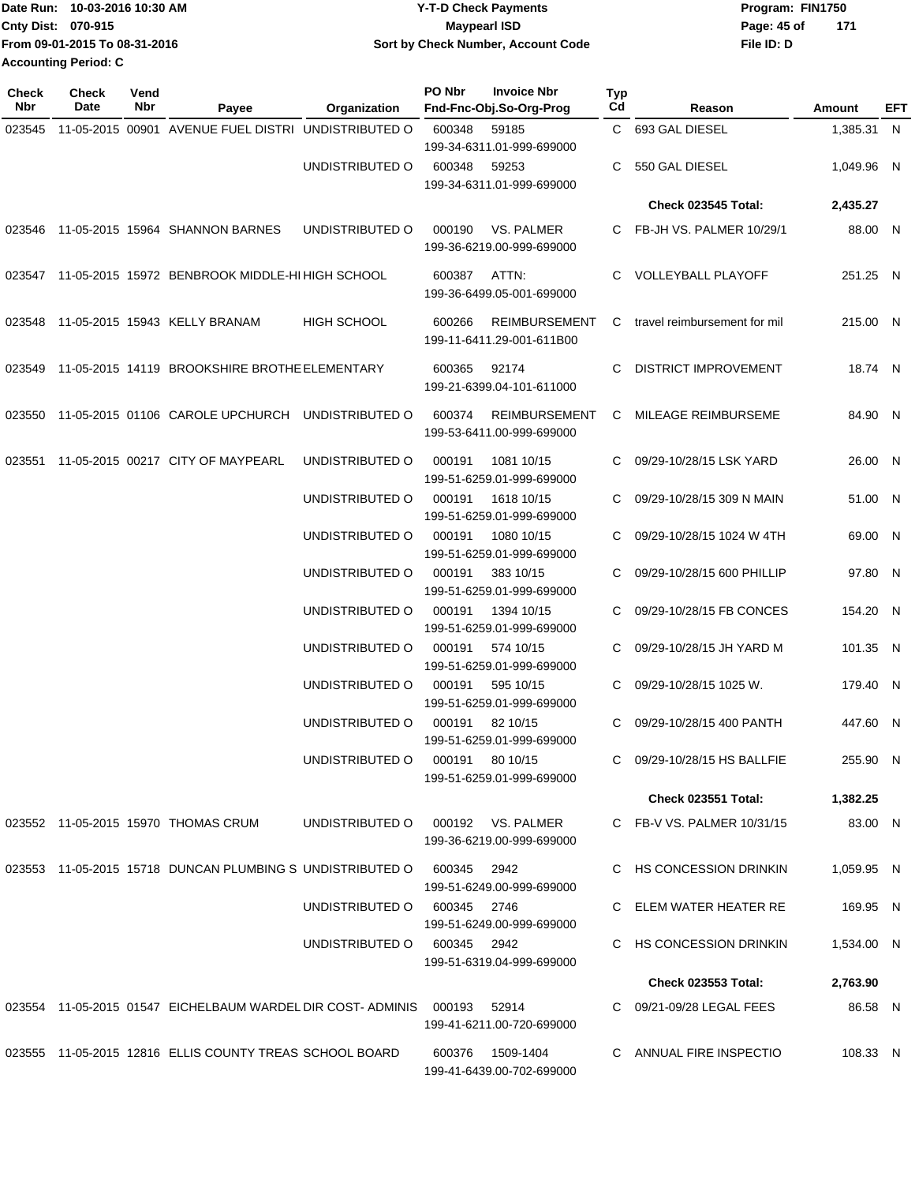| Date Run: 10-03-2016 10:30 AM | <b>Y-T-D Check Payments</b>        | Program: FIN1750   |
|-------------------------------|------------------------------------|--------------------|
| <b>Cnty Dist: 070-915</b>     | <b>Mavpearl ISD</b>                | 171<br>Page: 45 of |
| From 09-01-2015 To 08-31-2016 | Sort by Check Number, Account Code | File ID: D         |
| Accounting Period: C          |                                    |                    |

| <b>Check</b><br>Nbr | <b>Check</b><br>Date | Vend<br>Nbr | Payee                                                                   | Organization                | PO Nbr          | <b>Invoice Nbr</b><br>Fnd-Fnc-Obj.So-Org-Prog     | Typ<br>Cd | Reason                         | Amount     | EFT |
|---------------------|----------------------|-------------|-------------------------------------------------------------------------|-----------------------------|-----------------|---------------------------------------------------|-----------|--------------------------------|------------|-----|
| 023545              |                      |             | 11-05-2015 00901 AVENUE FUEL DISTRI UNDISTRIBUTED O                     |                             | 600348          | 59185<br>199-34-6311.01-999-699000                |           | C 693 GAL DIESEL               | 1,385.31 N |     |
|                     |                      |             |                                                                         | UNDISTRIBUTED O             | 600348          | 59253<br>199-34-6311.01-999-699000                | C.        | 550 GAL DIESEL                 | 1,049.96 N |     |
|                     |                      |             |                                                                         |                             |                 |                                                   |           | <b>Check 023545 Total:</b>     | 2,435.27   |     |
|                     |                      |             | 023546 11-05-2015 15964 SHANNON BARNES                                  | UNDISTRIBUTED O             | 000190          | VS. PALMER<br>199-36-6219.00-999-699000           |           | C FB-JH VS. PALMER 10/29/1     | 88.00 N    |     |
|                     |                      |             | 023547 11-05-2015 15972 BENBROOK MIDDLE-HI HIGH SCHOOL                  |                             | 600387          | ATTN:<br>199-36-6499.05-001-699000                |           | C VOLLEYBALL PLAYOFF           | 251.25 N   |     |
| 023548              |                      |             | 11-05-2015 15943 KELLY BRANAM                                           | <b>HIGH SCHOOL</b>          | 600266          | <b>REIMBURSEMENT</b><br>199-11-6411.29-001-611B00 |           | C travel reimbursement for mil | 215.00 N   |     |
|                     |                      |             | 023549 11-05-2015 14119 BROOKSHIRE BROTHE ELEMENTARY                    |                             | 600365          | 92174<br>199-21-6399.04-101-611000                | C         | <b>DISTRICT IMPROVEMENT</b>    | 18.74 N    |     |
| 023550              |                      |             | 11-05-2015 01106 CAROLE UPCHURCH                                        | UNDISTRIBUTED O             | 600374          | <b>REIMBURSEMENT</b><br>199-53-6411.00-999-699000 | C.        | MILEAGE REIMBURSEME            | 84.90 N    |     |
| 023551              |                      |             | 11-05-2015 00217 CITY OF MAYPEARL                                       | UNDISTRIBUTED O             | 000191          | 1081 10/15<br>199-51-6259.01-999-699000           | C.        | 09/29-10/28/15 LSK YARD        | 26.00 N    |     |
|                     |                      |             |                                                                         | UNDISTRIBUTED O             | 000191          | 1618 10/15<br>199-51-6259.01-999-699000           | C.        | 09/29-10/28/15 309 N MAIN      | 51.00 N    |     |
|                     |                      |             |                                                                         | UNDISTRIBUTED O             | 000191          | 1080 10/15<br>199-51-6259.01-999-699000           | C.        | 09/29-10/28/15 1024 W 4TH      | 69.00 N    |     |
|                     |                      |             |                                                                         | UNDISTRIBUTED O             | 000191          | 383 10/15<br>199-51-6259.01-999-699000            | C.        | 09/29-10/28/15 600 PHILLIP     | 97.80 N    |     |
|                     |                      |             |                                                                         | UNDISTRIBUTED O             | 000191          | 1394 10/15<br>199-51-6259.01-999-699000           | C.        | 09/29-10/28/15 FB CONCES       | 154.20 N   |     |
|                     |                      |             |                                                                         | UNDISTRIBUTED O             | 000191          | 574 10/15<br>199-51-6259.01-999-699000            | C.        | 09/29-10/28/15 JH YARD M       | 101.35 N   |     |
|                     |                      |             |                                                                         | UNDISTRIBUTED O             | 000191          | 595 10/15<br>199-51-6259.01-999-699000            | C         | 09/29-10/28/15 1025 W.         | 179.40 N   |     |
|                     |                      |             |                                                                         | UNDISTRIBUTED O             | 000191          | 82 10/15<br>199-51-6259.01-999-699000             | C.        | 09/29-10/28/15 400 PANTH       | 447.60 N   |     |
|                     |                      |             |                                                                         | UNDISTRIBUTED O             | 000191 80 10/15 | 199-51-6259.01-999-699000                         |           | C 09/29-10/28/15 HS BALLFIE    | 255.90 N   |     |
|                     |                      |             |                                                                         |                             |                 |                                                   |           | <b>Check 023551 Total:</b>     | 1,382.25   |     |
|                     |                      |             | 023552 11-05-2015 15970 THOMAS CRUM                                     | UNDISTRIBUTED O             |                 | 000192 VS. PALMER<br>199-36-6219.00-999-699000    |           | C FB-V VS. PALMER 10/31/15     | 83.00 N    |     |
|                     |                      |             | 023553 11-05-2015 15718 DUNCAN PLUMBING SUNDISTRIBUTED O                |                             | 600345 2942     | 199-51-6249.00-999-699000                         |           | C HS CONCESSION DRINKIN        | 1,059.95 N |     |
|                     |                      |             |                                                                         | UNDISTRIBUTED O             | 600345 2746     | 199-51-6249.00-999-699000                         |           | C ELEM WATER HEATER RE         | 169.95 N   |     |
|                     |                      |             |                                                                         | UNDISTRIBUTED 0 600345 2942 |                 | 199-51-6319.04-999-699000                         |           | C HS CONCESSION DRINKIN        | 1,534.00 N |     |
|                     |                      |             |                                                                         |                             |                 |                                                   |           | <b>Check 023553 Total:</b>     | 2,763.90   |     |
|                     |                      |             | 023554 11-05-2015 01547 EICHELBAUM WARDEL DIR COST-ADMINIS 000193 52914 |                             |                 | 199-41-6211.00-720-699000                         |           | C 09/21-09/28 LEGAL FEES       | 86.58 N    |     |
|                     |                      |             | 023555 11-05-2015 12816 ELLIS COUNTY TREAS SCHOOL BOARD                 |                             |                 | 600376 1509-1404<br>199-41-6439.00-702-699000     |           | C ANNUAL FIRE INSPECTIO        | 108.33 N   |     |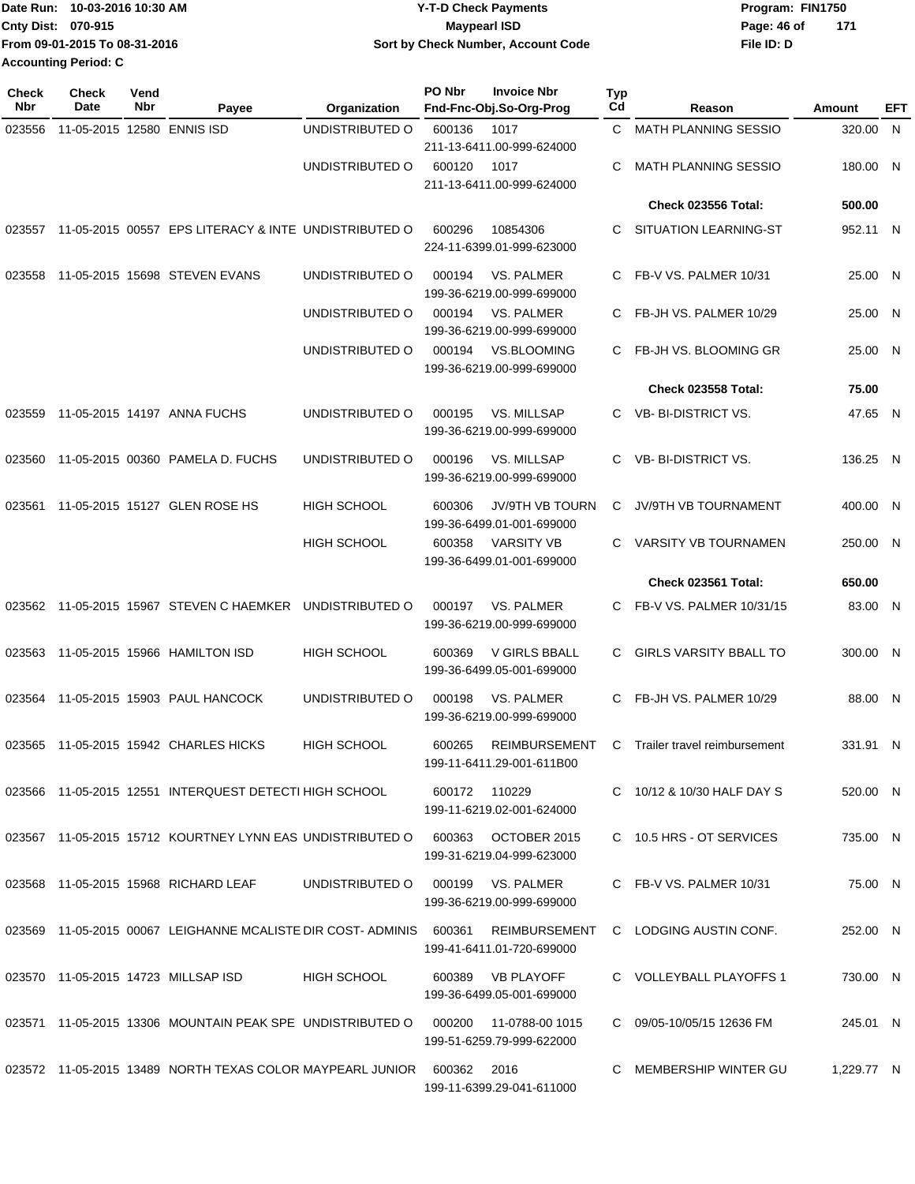|                             | Date Run: 10-03-2016 10:30 AM | <b>Y-T-D Check Payments</b>        | Program: FIN1750 |     |
|-----------------------------|-------------------------------|------------------------------------|------------------|-----|
| Cnty Dist: 070-915          |                               | Maypearl ISD                       | Page: 46 of      | 171 |
|                             | From 09-01-2015 To 08-31-2016 | Sort by Check Number, Account Code | File ID: D       |     |
| <b>Accounting Period: C</b> |                               |                                    |                  |     |

| <b>Check</b><br>Nbr | <b>Check</b><br>Date       | Vend<br>Nbr | Payee                                                                | Organization       | PO Nbr        | <b>Invoice Nbr</b><br>Fnd-Fnc-Obj.So-Org-Prog       | Typ<br>Cd | Reason                               | Amount     | EFT |
|---------------------|----------------------------|-------------|----------------------------------------------------------------------|--------------------|---------------|-----------------------------------------------------|-----------|--------------------------------------|------------|-----|
| 023556              | 11-05-2015 12580 ENNIS ISD |             |                                                                      | UNDISTRIBUTED O    | 600136        | 1017<br>211-13-6411.00-999-624000                   | C.        | <b>MATH PLANNING SESSIO</b>          | 320.00     | N   |
|                     |                            |             |                                                                      | UNDISTRIBUTED O    | 600120        | 1017<br>211-13-6411.00-999-624000                   | C         | MATH PLANNING SESSIO                 | 180.00 N   |     |
|                     |                            |             |                                                                      |                    |               |                                                     |           | <b>Check 023556 Total:</b>           | 500.00     |     |
| 023557              |                            |             | 11-05-2015 00557 EPS LITERACY & INTE UNDISTRIBUTED O                 |                    | 600296        | 10854306<br>224-11-6399.01-999-623000               | C.        | SITUATION LEARNING-ST                | 952.11 N   |     |
| 023558              |                            |             | 11-05-2015 15698 STEVEN EVANS                                        | UNDISTRIBUTED O    | 000194        | VS. PALMER<br>199-36-6219.00-999-699000             | C.        | FB-V VS. PALMER 10/31                | 25.00 N    |     |
|                     |                            |             |                                                                      | UNDISTRIBUTED O    | 000194        | VS. PALMER<br>199-36-6219.00-999-699000             | C.        | FB-JH VS. PALMER 10/29               | 25.00 N    |     |
|                     |                            |             |                                                                      | UNDISTRIBUTED O    | 000194        | <b>VS.BLOOMING</b><br>199-36-6219.00-999-699000     | C.        | FB-JH VS. BLOOMING GR                | 25.00 N    |     |
|                     |                            |             |                                                                      |                    |               |                                                     |           | <b>Check 023558 Total:</b>           | 75.00      |     |
| 023559              |                            |             | 11-05-2015 14197 ANNA FUCHS                                          | UNDISTRIBUTED O    | 000195        | VS. MILLSAP<br>199-36-6219.00-999-699000            |           | C VB-BI-DISTRICT VS.                 | 47.65 N    |     |
| 023560              |                            |             | 11-05-2015 00360 PAMELA D. FUCHS                                     | UNDISTRIBUTED O    | 000196        | VS. MILLSAP<br>199-36-6219.00-999-699000            | C.        | VB-BI-DISTRICT VS.                   | 136.25 N   |     |
| 023561              |                            |             | 11-05-2015 15127 GLEN ROSE HS                                        | <b>HIGH SCHOOL</b> | 600306        | <b>JV/9TH VB TOURN</b><br>199-36-6499.01-001-699000 | C.        | JV/9TH VB TOURNAMENT                 | 400.00 N   |     |
|                     |                            |             |                                                                      | HIGH SCHOOL        | 600358        | <b>VARSITY VB</b><br>199-36-6499.01-001-699000      | C.        | <b>VARSITY VB TOURNAMEN</b>          | 250.00 N   |     |
|                     |                            |             |                                                                      |                    |               |                                                     |           | Check 023561 Total:                  | 650.00     |     |
|                     |                            |             | 023562 11-05-2015 15967 STEVEN C HAEMKER                             | UNDISTRIBUTED O    | 000197        | VS. PALMER<br>199-36-6219.00-999-699000             | C.        | FB-V VS. PALMER 10/31/15             | 83.00 N    |     |
| 023563              |                            |             | 11-05-2015 15966 HAMILTON ISD                                        | <b>HIGH SCHOOL</b> | 600369        | V GIRLS BBALL<br>199-36-6499.05-001-699000          | C.        | <b>GIRLS VARSITY BBALL TO</b>        | 300.00 N   |     |
| 023564              |                            |             | 11-05-2015 15903 PAUL HANCOCK                                        | UNDISTRIBUTED O    | 000198        | VS. PALMER<br>199-36-6219.00-999-699000             | C.        | FB-JH VS. PALMER 10/29               | 88.00 N    |     |
| 023565              |                            |             | 11-05-2015 15942 CHARLES HICKS                                       | <b>HIGH SCHOOL</b> | 600265        | <b>REIMBURSEMENT</b><br>199-11-6411.29-001-611B00   | C         | Trailer travel reimbursement         | 331.91 N   |     |
|                     |                            |             | 023566 11-05-2015 12551 INTERQUEST DETECTI HIGH SCHOOL               |                    | 600172 110229 | 199-11-6219.02-001-624000                           |           | C 10/12 & 10/30 HALF DAY S           | 520.00 N   |     |
|                     |                            |             | 023567 11-05-2015 15712 KOURTNEY LYNN EAS UNDISTRIBUTED O            |                    | 600363        | OCTOBER 2015<br>199-31-6219.04-999-623000           |           | C 10.5 HRS - OT SERVICES             | 735.00 N   |     |
|                     |                            |             | 023568 11-05-2015 15968 RICHARD LEAF                                 | UNDISTRIBUTED O    |               | 000199 VS. PALMER<br>199-36-6219.00-999-699000      |           | C FB-V VS. PALMER 10/31              | 75.00 N    |     |
|                     |                            |             | 023569 11-05-2015 00067 LEIGHANNE MCALISTE DIR COST-ADMINIS 600361   |                    |               | 199-41-6411.01-720-699000                           |           | REIMBURSEMENT C LODGING AUSTIN CONF. | 252.00 N   |     |
|                     |                            |             | 023570 11-05-2015 14723 MILLSAP ISD                                  | HIGH SCHOOL        |               | 600389 VB PLAYOFF<br>199-36-6499.05-001-699000      |           | C VOLLEYBALL PLAYOFFS 1              | 730.00 N   |     |
|                     |                            |             | 023571 11-05-2015 13306 MOUNTAIN PEAK SPE UNDISTRIBUTED O            |                    |               | 199-51-6259.79-999-622000                           |           | C 09/05-10/05/15 12636 FM            | 245.01 N   |     |
|                     |                            |             | 023572  11-05-2015  13489  NORTH TEXAS COLOR MAYPEARL JUNIOR  600362 |                    |               | 2016<br>199-11-6399.29-041-611000                   | C.        | MEMBERSHIP WINTER GU                 | 1,229.77 N |     |
|                     |                            |             |                                                                      |                    |               |                                                     |           |                                      |            |     |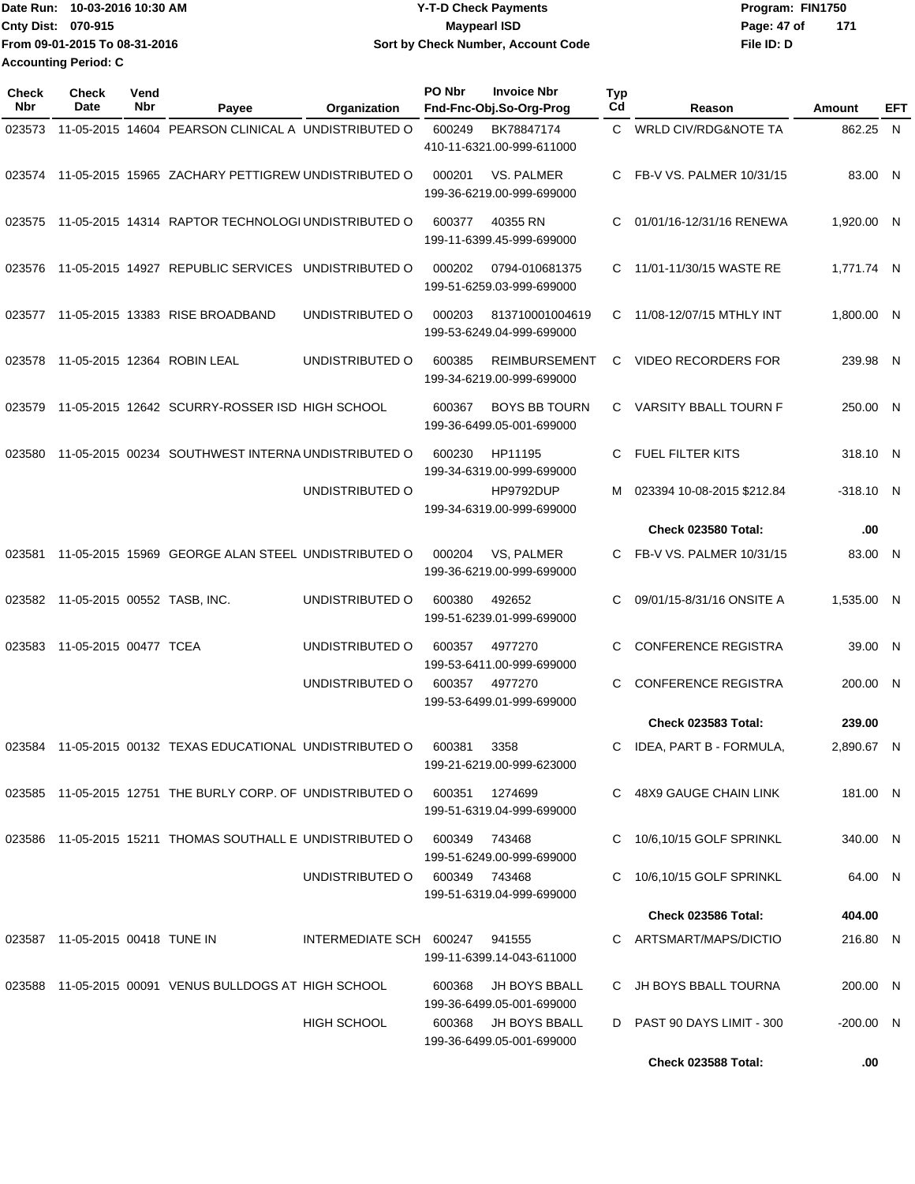|                             | Date Run: 10-03-2016 10:30 AM | <b>Y-T-D Check Payments</b>        | Program: FIN1750   |
|-----------------------------|-------------------------------|------------------------------------|--------------------|
| Cnty Dist: 070-915          |                               | Maypearl ISD                       | 171<br>Page: 47 of |
|                             | From 09-01-2015 To 08-31-2016 | Sort by Check Number, Account Code | File ID: D         |
| <b>Accounting Period: C</b> |                               |                                    |                    |

| Check<br>Nbr | <b>Check</b><br>Date               | Vend<br>Nbr | Payee                                                      | Organization            | PO Nbr | <b>Invoice Nbr</b><br>Fnd-Fnc-Obj.So-Org-Prog     | Typ<br>Cd    | Reason                          | Amount      | EFT |
|--------------|------------------------------------|-------------|------------------------------------------------------------|-------------------------|--------|---------------------------------------------------|--------------|---------------------------------|-------------|-----|
| 023573       |                                    |             | 11-05-2015 14604 PEARSON CLINICAL A UNDISTRIBUTED O        |                         | 600249 | BK78847174<br>410-11-6321.00-999-611000           | $\mathbf{C}$ | <b>WRLD CIV/RDG&amp;NOTE TA</b> | 862.25 N    |     |
|              |                                    |             | 023574 11-05-2015 15965 ZACHARY PETTIGREW UNDISTRIBUTED O  |                         | 000201 | VS. PALMER<br>199-36-6219.00-999-699000           | C.           | FB-V VS. PALMER 10/31/15        | 83.00 N     |     |
| 023575       |                                    |             | 11-05-2015 14314 RAPTOR TECHNOLOGI UNDISTRIBUTED O         |                         | 600377 | 40355 RN<br>199-11-6399.45-999-699000             | C.           | 01/01/16-12/31/16 RENEWA        | 1,920.00 N  |     |
| 023576       |                                    |             | 11-05-2015 14927 REPUBLIC SERVICES UNDISTRIBUTED O         |                         | 000202 | 0794-010681375<br>199-51-6259.03-999-699000       | C.           | 11/01-11/30/15 WASTE RE         | 1,771.74 N  |     |
| 023577       |                                    |             | 11-05-2015 13383 RISE BROADBAND                            | UNDISTRIBUTED O         | 000203 | 813710001004619<br>199-53-6249.04-999-699000      | C.           | 11/08-12/07/15 MTHLY INT        | 1,800.00 N  |     |
| 023578       |                                    |             | 11-05-2015 12364 ROBIN LEAL                                | UNDISTRIBUTED O         | 600385 | <b>REIMBURSEMENT</b><br>199-34-6219.00-999-699000 | C            | <b>VIDEO RECORDERS FOR</b>      | 239.98 N    |     |
| 023579       |                                    |             | 11-05-2015 12642 SCURRY-ROSSER ISD HIGH SCHOOL             |                         | 600367 | <b>BOYS BB TOURN</b><br>199-36-6499.05-001-699000 |              | C VARSITY BBALL TOURN F         | 250.00 N    |     |
| 023580       |                                    |             | 11-05-2015 00234 SOUTHWEST INTERNA UNDISTRIBUTED O         |                         | 600230 | HP11195<br>199-34-6319.00-999-699000              | C            | FUEL FILTER KITS                | 318.10 N    |     |
|              |                                    |             |                                                            | UNDISTRIBUTED O         |        | HP9792DUP<br>199-34-6319.00-999-699000            | м            | 023394 10-08-2015 \$212.84      | $-318.10$ N |     |
|              |                                    |             |                                                            |                         |        |                                                   |              | Check 023580 Total:             | .00         |     |
| 023581       |                                    |             | 11-05-2015 15969 GEORGE ALAN STEEL UNDISTRIBUTED O         |                         | 000204 | VS, PALMER<br>199-36-6219.00-999-699000           | C.           | FB-V VS. PALMER 10/31/15        | 83.00 N     |     |
|              | 023582 11-05-2015 00552 TASB, INC. |             |                                                            | UNDISTRIBUTED O         | 600380 | 492652<br>199-51-6239.01-999-699000               | C.           | 09/01/15-8/31/16 ONSITE A       | 1,535.00 N  |     |
| 023583       | 11-05-2015 00477 TCEA              |             |                                                            | UNDISTRIBUTED O         | 600357 | 4977270<br>199-53-6411.00-999-699000              | C            | <b>CONFERENCE REGISTRA</b>      | 39.00 N     |     |
|              |                                    |             |                                                            | UNDISTRIBUTED O         | 600357 | 4977270<br>199-53-6499.01-999-699000              | C            | <b>CONFERENCE REGISTRA</b>      | 200.00 N    |     |
|              |                                    |             |                                                            |                         |        |                                                   |              | Check 023583 Total:             | 239.00      |     |
| 023584       |                                    |             | 11-05-2015 00132 TEXAS EDUCATIONAL UNDISTRIBUTED O         |                         | 600381 | 3358<br>199-21-6219.00-999-623000                 | С            | IDEA, PART B - FORMULA,         | 2,890.67 N  |     |
|              |                                    |             | 023585 11-05-2015 12751 THE BURLY CORP. OF UNDISTRIBUTED O |                         | 600351 | 1274699<br>199-51-6319.04-999-699000              |              | C 48X9 GAUGE CHAIN LINK         | 181.00 N    |     |
|              |                                    |             | 023586 11-05-2015 15211 THOMAS SOUTHALL E UNDISTRIBUTED O  |                         | 600349 | 743468<br>199-51-6249.00-999-699000               |              | C 10/6,10/15 GOLF SPRINKL       | 340.00 N    |     |
|              |                                    |             |                                                            | UNDISTRIBUTED O         |        | 600349 743468<br>199-51-6319.04-999-699000        | C.           | 10/6,10/15 GOLF SPRINKL         | 64.00 N     |     |
|              |                                    |             |                                                            |                         |        |                                                   |              | Check 023586 Total:             | 404.00      |     |
|              | 023587 11-05-2015 00418 TUNE IN    |             |                                                            | INTERMEDIATE SCH 600247 |        | 941555<br>199-11-6399.14-043-611000               |              | C ARTSMART/MAPS/DICTIO          | 216.80 N    |     |
| 023588       |                                    |             | 11-05-2015_00091_VENUS BULLDOGS AT_HIGH SCHOOL             |                         | 600368 | <b>JH BOYS BBALL</b><br>199-36-6499.05-001-699000 |              | C JH BOYS BBALL TOURNA          | 200.00 N    |     |
|              |                                    |             |                                                            | <b>HIGH SCHOOL</b>      | 600368 | JH BOYS BBALL<br>199-36-6499.05-001-699000        |              | D PAST 90 DAYS LIMIT - 300      | $-200.00$ N |     |
|              |                                    |             |                                                            |                         |        |                                                   |              | Check 023588 Total:             | .00         |     |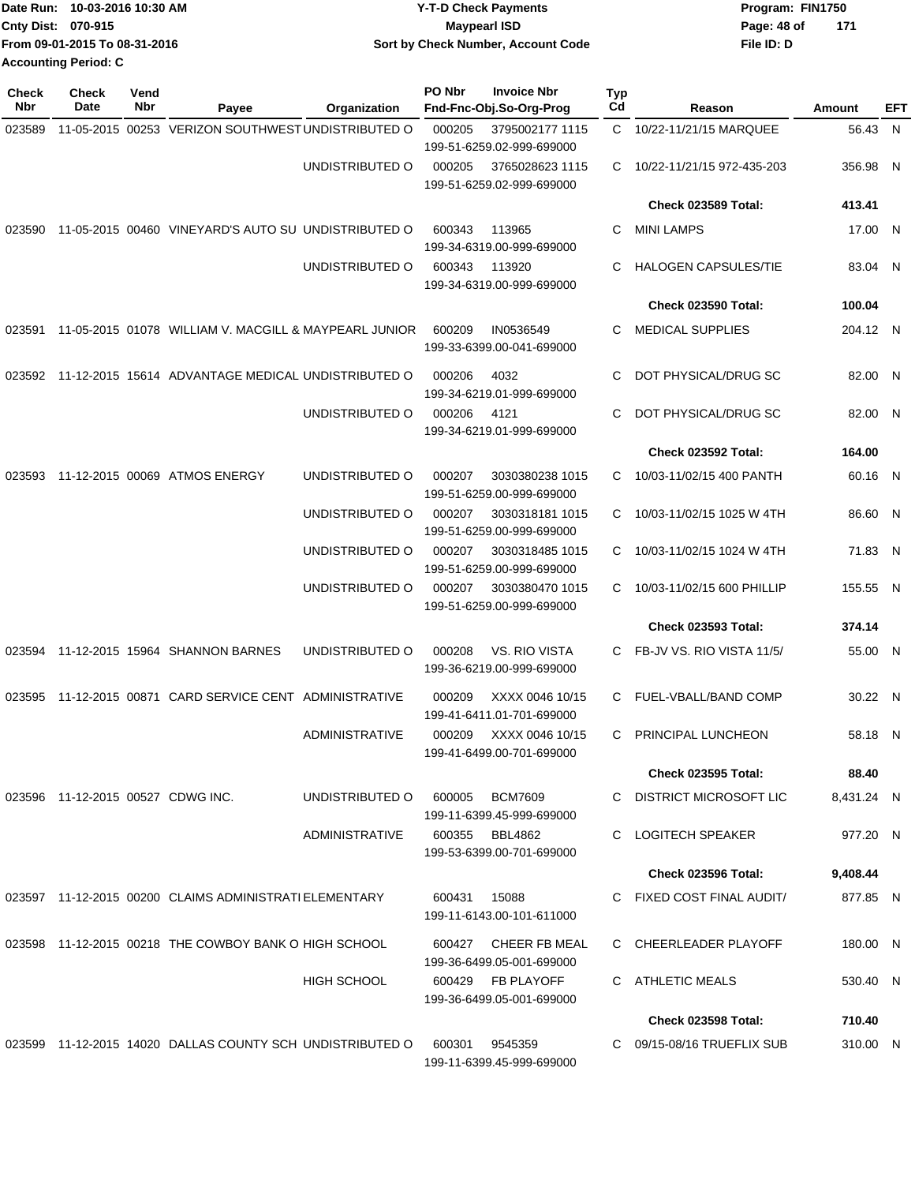|                             | Date Run: 10-03-2016 10:30 AM | <b>Y-T-D Check Payments</b>               | Program: FIN1750 |     |
|-----------------------------|-------------------------------|-------------------------------------------|------------------|-----|
| <b>Cnty Dist: 070-915</b>   |                               | <b>Mavpearl ISD</b>                       | Page: 48 of      | 171 |
|                             | From 09-01-2015 To 08-31-2016 | <b>Sort by Check Number, Account Code</b> | File ID: D       |     |
| <b>Accounting Period: C</b> |                               |                                           |                  |     |

| Check<br>Nbr | <b>Check</b><br>Date              | Vend<br>Nbr | Payee                                                     | Organization          | PO Nbr | <b>Invoice Nbr</b><br>Fnd-Fnc-Obj.So-Org-Prog  | <b>Typ</b><br>Cd | Reason                      | Amount     | EFT |
|--------------|-----------------------------------|-------------|-----------------------------------------------------------|-----------------------|--------|------------------------------------------------|------------------|-----------------------------|------------|-----|
| 023589       |                                   |             | 11-05-2015 00253 VERIZON SOUTHWEST UNDISTRIBUTED O        |                       | 000205 | 3795002177 1115<br>199-51-6259.02-999-699000   | C.               | 10/22-11/21/15 MARQUEE      | 56.43 N    |     |
|              |                                   |             |                                                           | UNDISTRIBUTED O       | 000205 | 3765028623 1115<br>199-51-6259.02-999-699000   | С                | 10/22-11/21/15 972-435-203  | 356.98 N   |     |
|              |                                   |             |                                                           |                       |        |                                                |                  | Check 023589 Total:         | 413.41     |     |
| 023590       |                                   |             | 11-05-2015 00460 VINEYARD'S AUTO SU UNDISTRIBUTED O       |                       | 600343 | 113965<br>199-34-6319.00-999-699000            | С                | <b>MINI LAMPS</b>           | 17.00 N    |     |
|              |                                   |             |                                                           | UNDISTRIBUTED O       | 600343 | 113920<br>199-34-6319.00-999-699000            | С                | <b>HALOGEN CAPSULES/TIE</b> | 83.04 N    |     |
|              |                                   |             |                                                           |                       |        |                                                |                  | Check 023590 Total:         | 100.04     |     |
| 023591       |                                   |             | 11-05-2015 01078 WILLIAM V. MACGILL & MAYPEARL JUNIOR     |                       | 600209 | IN0536549<br>199-33-6399.00-041-699000         | C.               | <b>MEDICAL SUPPLIES</b>     | 204.12 N   |     |
|              |                                   |             | 023592 11-12-2015 15614 ADVANTAGE MEDICAL UNDISTRIBUTED O |                       | 000206 | 4032<br>199-34-6219.01-999-699000              | С                | DOT PHYSICAL/DRUG SC        | 82.00 N    |     |
|              |                                   |             |                                                           | UNDISTRIBUTED O       | 000206 | 4121<br>199-34-6219.01-999-699000              | С                | DOT PHYSICAL/DRUG SC        | 82.00 N    |     |
|              |                                   |             |                                                           |                       |        |                                                |                  | Check 023592 Total:         | 164.00     |     |
| 023593       |                                   |             | 11-12-2015 00069 ATMOS ENERGY                             | UNDISTRIBUTED O       | 000207 | 3030380238 1015<br>199-51-6259.00-999-699000   | С                | 10/03-11/02/15 400 PANTH    | 60.16 N    |     |
|              |                                   |             |                                                           | UNDISTRIBUTED O       | 000207 | 3030318181 1015<br>199-51-6259.00-999-699000   | C.               | 10/03-11/02/15 1025 W 4TH   | 86.60 N    |     |
|              |                                   |             |                                                           | UNDISTRIBUTED O       | 000207 | 3030318485 1015<br>199-51-6259.00-999-699000   | C                | 10/03-11/02/15 1024 W 4TH   | 71.83 N    |     |
|              |                                   |             |                                                           | UNDISTRIBUTED O       | 000207 | 3030380470 1015<br>199-51-6259.00-999-699000   | С                | 10/03-11/02/15 600 PHILLIP  | 155.55 N   |     |
|              |                                   |             |                                                           |                       |        |                                                |                  | <b>Check 023593 Total:</b>  | 374.14     |     |
| 023594       |                                   |             | 11-12-2015 15964 SHANNON BARNES                           | UNDISTRIBUTED O       | 000208 | VS. RIO VISTA<br>199-36-6219.00-999-699000     | C.               | FB-JV VS. RIO VISTA 11/5/   | 55.00 N    |     |
| 023595       |                                   |             | 11-12-2015 00871 CARD SERVICE CENT ADMINISTRATIVE         |                       | 000209 | XXXX 0046 10/15<br>199-41-6411.01-701-699000   | C.               | FUEL-VBALL/BAND COMP        | 30.22 N    |     |
|              |                                   |             |                                                           | ADMINISTRATIVE        | 000209 | XXXX 0046 10/15<br>199-41-6499.00-701-699000   | C.               | PRINCIPAL LUNCHEON          | 58.18 N    |     |
|              |                                   |             |                                                           |                       |        |                                                |                  | <b>Check 023595 Total:</b>  | 88.40      |     |
|              | 023596 11-12-2015 00527 CDWG INC. |             |                                                           | UNDISTRIBUTED O       | 600005 | <b>BCM7609</b><br>199-11-6399.45-999-699000    | C.               | DISTRICT MICROSOFT LIC      | 8,431.24 N |     |
|              |                                   |             |                                                           | <b>ADMINISTRATIVE</b> | 600355 | BBL4862<br>199-53-6399.00-701-699000           | C.               | <b>LOGITECH SPEAKER</b>     | 977.20 N   |     |
|              |                                   |             |                                                           |                       |        |                                                |                  | Check 023596 Total:         | 9,408.44   |     |
|              |                                   |             | 023597 11-12-2015 00200 CLAIMS ADMINISTRATI ELEMENTARY    |                       | 600431 | 15088<br>199-11-6143.00-101-611000             | C.               | FIXED COST FINAL AUDIT/     | 877.85 N   |     |
|              |                                   |             | 023598 11-12-2015 00218 THE COWBOY BANK O HIGH SCHOOL     |                       | 600427 | CHEER FB MEAL<br>199-36-6499.05-001-699000     |                  | C CHEERLEADER PLAYOFF       | 180.00 N   |     |
|              |                                   |             |                                                           | <b>HIGH SCHOOL</b>    |        | 600429 FB PLAYOFF<br>199-36-6499.05-001-699000 |                  | C ATHLETIC MEALS            | 530.40 N   |     |
|              |                                   |             |                                                           |                       |        |                                                |                  | Check 023598 Total:         | 710.40     |     |
|              |                                   |             | 023599 11-12-2015 14020 DALLAS COUNTY SCH UNDISTRIBUTED O |                       | 600301 | 9545359<br>199-11-6399.45-999-699000           |                  | C 09/15-08/16 TRUEFLIX SUB  | 310.00 N   |     |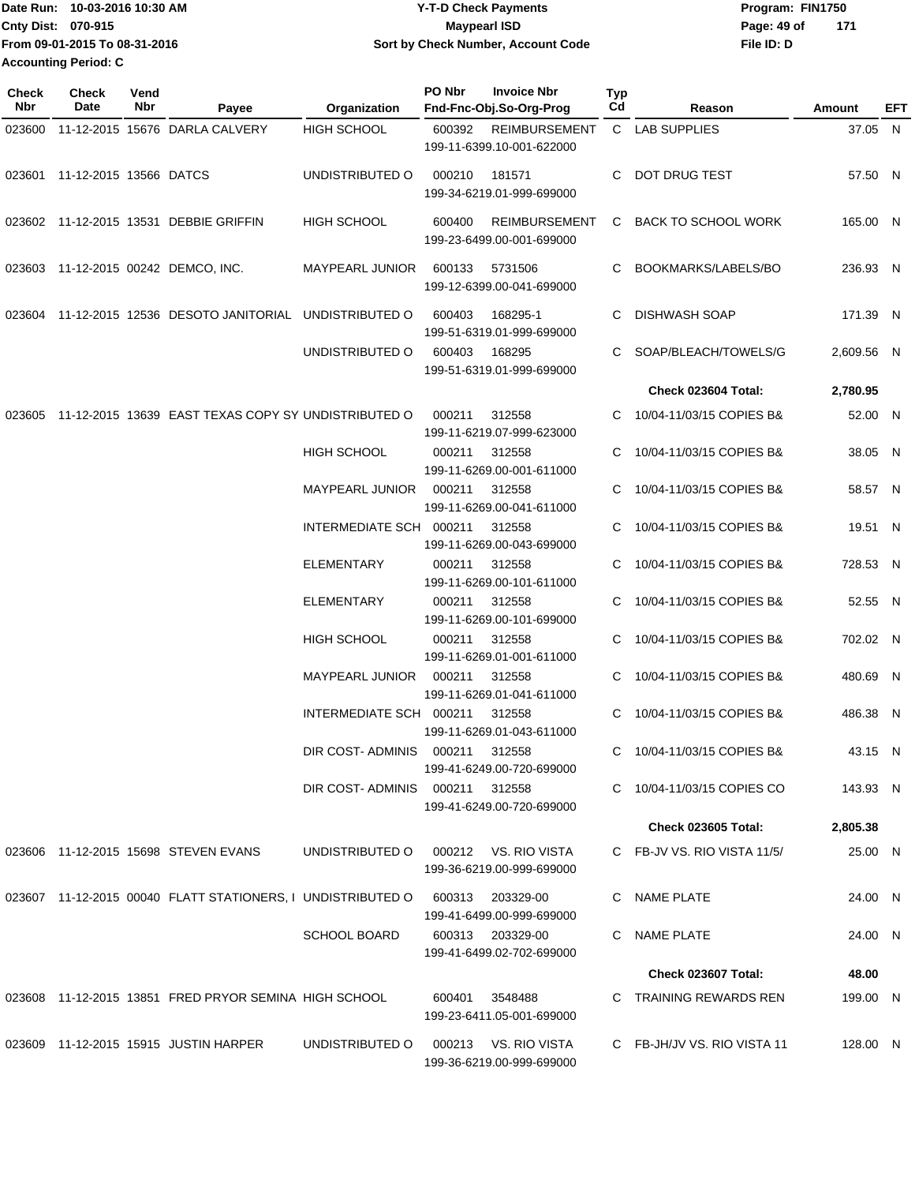| Date Run: 10-03-2016 10:30 AM | <b>Y-T-D Check Payments</b>        | Program: FIN1750 |       |
|-------------------------------|------------------------------------|------------------|-------|
| <b>Cnty Dist: 070-915</b>     | Maypearl ISD                       | Page: 49 of      | - 171 |
| From 09-01-2015 To 08-31-2016 | Sort by Check Number, Account Code | File ID: D       |       |
| <b>Accounting Period: C</b>   |                                    |                  |       |

| <b>Check</b><br>Nbr | Check<br>Date                 | Vend<br>Nbr | Payee                                                          | Organization                   | PO Nbr | <b>Invoice Nbr</b><br>Fnd-Fnc-Obj.So-Org-Prog     | <b>Typ</b><br>Cd | Reason                      | Amount     | EFT |
|---------------------|-------------------------------|-------------|----------------------------------------------------------------|--------------------------------|--------|---------------------------------------------------|------------------|-----------------------------|------------|-----|
| 023600              |                               |             | 11-12-2015 15676 DARLA CALVERY                                 | HIGH SCHOOL                    | 600392 | <b>REIMBURSEMENT</b><br>199-11-6399.10-001-622000 |                  | C LAB SUPPLIES              | 37.05 N    |     |
|                     | 023601 11-12-2015 13566 DATCS |             |                                                                | UNDISTRIBUTED O                | 000210 | 181571<br>199-34-6219.01-999-699000               | C                | DOT DRUG TEST               | 57.50 N    |     |
|                     |                               |             | 023602 11-12-2015 13531 DEBBIE GRIFFIN                         | <b>HIGH SCHOOL</b>             | 600400 | <b>REIMBURSEMENT</b><br>199-23-6499.00-001-699000 |                  | C BACK TO SCHOOL WORK       | 165.00 N   |     |
|                     |                               |             | 023603 11-12-2015 00242 DEMCO, INC.                            | MAYPEARL JUNIOR                | 600133 | 5731506<br>199-12-6399.00-041-699000              |                  | C BOOKMARKS/LABELS/BO       | 236.93 N   |     |
|                     |                               |             | 023604 11-12-2015 12536 DESOTO JANITORIAL UNDISTRIBUTED O      |                                | 600403 | 168295-1<br>199-51-6319.01-999-699000             | C                | DISHWASH SOAP               | 171.39 N   |     |
|                     |                               |             |                                                                | UNDISTRIBUTED O                | 600403 | 168295<br>199-51-6319.01-999-699000               |                  | C SOAP/BLEACH/TOWELS/G      | 2,609.56 N |     |
|                     |                               |             |                                                                |                                |        |                                                   |                  | Check 023604 Total:         | 2,780.95   |     |
| 023605              |                               |             | 11-12-2015 13639 EAST TEXAS COPY SY UNDISTRIBUTED O            |                                | 000211 | 312558<br>199-11-6219.07-999-623000               | C.               | 10/04-11/03/15 COPIES B&    | 52.00 N    |     |
|                     |                               |             |                                                                | <b>HIGH SCHOOL</b>             | 000211 | 312558<br>199-11-6269.00-001-611000               |                  | 10/04-11/03/15 COPIES B&    | 38.05 N    |     |
|                     |                               |             |                                                                | <b>MAYPEARL JUNIOR</b>         | 000211 | 312558<br>199-11-6269.00-041-611000               |                  | 10/04-11/03/15 COPIES B&    | 58.57 N    |     |
|                     |                               |             |                                                                | INTERMEDIATE SCH 000211        |        | 312558<br>199-11-6269.00-043-699000               | C                | 10/04-11/03/15 COPIES B&    | 19.51 N    |     |
|                     |                               |             |                                                                | <b>ELEMENTARY</b>              | 000211 | 312558<br>199-11-6269.00-101-611000               |                  | 10/04-11/03/15 COPIES B&    | 728.53 N   |     |
|                     |                               |             |                                                                | ELEMENTARY                     | 000211 | 312558<br>199-11-6269.00-101-699000               |                  | 10/04-11/03/15 COPIES B&    | 52.55 N    |     |
|                     |                               |             |                                                                | <b>HIGH SCHOOL</b>             | 000211 | 312558<br>199-11-6269.01-001-611000               |                  | C 10/04-11/03/15 COPIES B&  | 702.02 N   |     |
|                     |                               |             |                                                                | <b>MAYPEARL JUNIOR</b>         | 000211 | 312558<br>199-11-6269.01-041-611000               |                  | C 10/04-11/03/15 COPIES B&  | 480.69 N   |     |
|                     |                               |             |                                                                | INTERMEDIATE SCH 000211        |        | 312558<br>199-11-6269.01-043-611000               | C                | 10/04-11/03/15 COPIES B&    | 486.38 N   |     |
|                     |                               |             |                                                                | DIR COST-ADMINIS 000211 312558 |        | 199-41-6249.00-720-699000                         |                  | C 10/04-11/03/15 COPIES B&  | 43.15 N    |     |
|                     |                               |             |                                                                |                                |        | 199-41-6249.00-720-699000                         |                  | C 10/04-11/03/15 COPIES CO  | 143.93 N   |     |
|                     |                               |             |                                                                |                                |        |                                                   |                  | <b>Check 023605 Total:</b>  | 2,805.38   |     |
|                     |                               |             | 023606 11-12-2015 15698 STEVEN EVANS                           | UNDISTRIBUTED O                |        | 000212 VS. RIO VISTA<br>199-36-6219.00-999-699000 |                  | C FB-JV VS. RIO VISTA 11/5/ | 25.00 N    |     |
|                     |                               |             | 023607  11-12-2015  00040  FLATT STATIONERS, I UNDISTRIBUTED O |                                |        | 600313 203329-00<br>199-41-6499.00-999-699000     |                  | C NAME PLATE                | 24.00 N    |     |
|                     |                               |             |                                                                | <b>SCHOOL BOARD</b>            |        | 600313 203329-00<br>199-41-6499.02-702-699000     |                  | C NAME PLATE                | 24.00 N    |     |
|                     |                               |             |                                                                |                                |        |                                                   |                  | Check 023607 Total:         | 48.00      |     |
|                     |                               |             | 023608 11-12-2015 13851 FRED PRYOR SEMINA HIGH SCHOOL          |                                | 600401 | 3548488<br>199-23-6411.05-001-699000              |                  | C TRAINING REWARDS REN      | 199.00 N   |     |
|                     |                               |             | 023609 11-12-2015 15915 JUSTIN HARPER                          | UNDISTRIBUTED O                |        | 000213 VS. RIO VISTA<br>199-36-6219.00-999-699000 |                  | C FB-JH/JV VS. RIO VISTA 11 | 128.00 N   |     |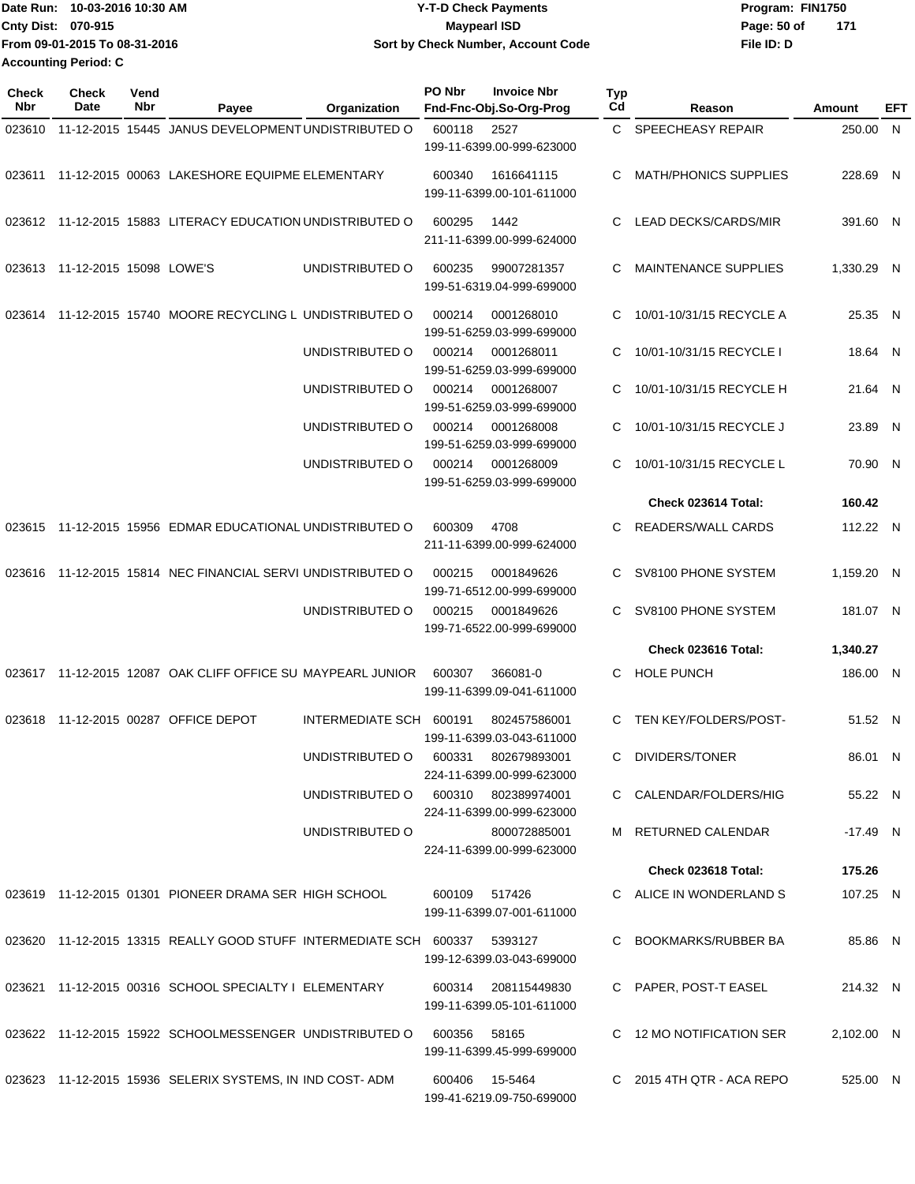|                           | Date Run: 10-03-2016 10:30 AM | <b>Y-T-D Check Payments</b>        | Program: FIN1750   |  |
|---------------------------|-------------------------------|------------------------------------|--------------------|--|
| <b>Cnty Dist: 070-915</b> |                               | <b>Mavpearl ISD</b>                | Page: 50 of<br>171 |  |
|                           | From 09-01-2015 To 08-31-2016 | Sort by Check Number, Account Code | File ID: D         |  |
| Accounting Period: C      |                               |                                    |                    |  |

| Check<br>Nbr | <b>Check</b><br>Date           | Vend<br>Nbr | Payee                                                                     | Organization                        | PO Nbr        | <b>Invoice Nbr</b><br>Fnd-Fnc-Obj.So-Org-Prog    | <b>Typ</b><br>Cd | Reason                       | Amount     | EFT |
|--------------|--------------------------------|-------------|---------------------------------------------------------------------------|-------------------------------------|---------------|--------------------------------------------------|------------------|------------------------------|------------|-----|
| 023610       |                                |             | 11-12-2015 15445 JANUS DEVELOPMENT UNDISTRIBUTED O                        |                                     | 600118        | 2527<br>199-11-6399.00-999-623000                | C.               | <b>SPEECHEASY REPAIR</b>     | 250.00 N   |     |
|              |                                |             | 023611 11-12-2015 00063 LAKESHORE EQUIPME ELEMENTARY                      |                                     | 600340        | 1616641115<br>199-11-6399.00-101-611000          | C                | <b>MATH/PHONICS SUPPLIES</b> | 228.69 N   |     |
|              |                                |             | 023612 11-12-2015 15883 LITERACY EDUCATION UNDISTRIBUTED O                |                                     | 600295        | 1442<br>211-11-6399.00-999-624000                | C                | LEAD DECKS/CARDS/MIR         | 391.60 N   |     |
|              | 023613 11-12-2015 15098 LOWE'S |             |                                                                           | UNDISTRIBUTED O                     | 600235        | 99007281357<br>199-51-6319.04-999-699000         | C                | <b>MAINTENANCE SUPPLIES</b>  | 1,330.29 N |     |
| 023614       |                                |             | 11-12-2015 15740 MOORE RECYCLING L UNDISTRIBUTED O                        |                                     | 000214        | 0001268010<br>199-51-6259.03-999-699000          | C                | 10/01-10/31/15 RECYCLE A     | 25.35 N    |     |
|              |                                |             |                                                                           | UNDISTRIBUTED O                     | 000214        | 0001268011<br>199-51-6259.03-999-699000          | C                | 10/01-10/31/15 RECYCLE I     | 18.64 N    |     |
|              |                                |             |                                                                           | UNDISTRIBUTED O                     | 000214        | 0001268007<br>199-51-6259.03-999-699000          | C                | 10/01-10/31/15 RECYCLE H     | 21.64 N    |     |
|              |                                |             |                                                                           | UNDISTRIBUTED O                     | 000214        | 0001268008<br>199-51-6259.03-999-699000          | С                | 10/01-10/31/15 RECYCLE J     | 23.89 N    |     |
|              |                                |             |                                                                           | UNDISTRIBUTED O                     | 000214        | 0001268009<br>199-51-6259.03-999-699000          | C.               | 10/01-10/31/15 RECYCLE L     | 70.90 N    |     |
|              |                                |             |                                                                           |                                     |               |                                                  |                  | Check 023614 Total:          | 160.42     |     |
| 023615       |                                |             | 11-12-2015 15956 EDMAR EDUCATIONAL UNDISTRIBUTED O                        |                                     | 600309        | 4708<br>211-11-6399.00-999-624000                | C                | READERS/WALL CARDS           | 112.22 N   |     |
| 023616       |                                |             | 11-12-2015 15814 NEC FINANCIAL SERVI UNDISTRIBUTED O                      |                                     | 000215        | 0001849626<br>199-71-6512.00-999-699000          | C                | SV8100 PHONE SYSTEM          | 1,159.20 N |     |
|              |                                |             |                                                                           | UNDISTRIBUTED O                     | 000215        | 0001849626<br>199-71-6522.00-999-699000          | C                | SV8100 PHONE SYSTEM          | 181.07 N   |     |
|              |                                |             |                                                                           |                                     |               |                                                  |                  | Check 023616 Total:          | 1,340.27   |     |
|              |                                |             | 023617 11-12-2015 12087 OAK CLIFF OFFICE SU MAYPEARL JUNIOR               |                                     | 600307        | 366081-0<br>199-11-6399.09-041-611000            | C                | <b>HOLE PUNCH</b>            | 186.00 N   |     |
| 023618       |                                |             | 11-12-2015 00287 OFFICE DEPOT                                             | INTERMEDIATE SCH 600191             |               | 802457586001<br>199-11-6399.03-043-611000        | C                | TEN KEY/FOLDERS/POST-        | 51.52 N    |     |
|              |                                |             |                                                                           | UNDISTRIBUTED O                     | 600331        | 802679893001<br>224-11-6399.00-999-623000        |                  | C DIVIDERS/TONER             | 86.01 N    |     |
|              |                                |             |                                                                           | UNDISTRIBUTED O 600310 802389974001 |               | 224-11-6399.00-999-623000                        |                  | C CALENDAR/FOLDERS/HIG       | 55.22 N    |     |
|              |                                |             |                                                                           | UNDISTRIBUTED O                     |               | 800072885001<br>224-11-6399.00-999-623000        |                  | M RETURNED CALENDAR          | $-17.49$ N |     |
|              |                                |             |                                                                           |                                     |               |                                                  |                  | Check 023618 Total:          | 175.26     |     |
|              |                                |             | 023619 11-12-2015 01301 PIONEER DRAMA SER HIGH SCHOOL                     |                                     | 600109 517426 | 199-11-6399.07-001-611000                        |                  | C ALICE IN WONDERLAND S      | 107.25 N   |     |
|              |                                |             | 023620 11-12-2015 13315 REALLY GOOD STUFF INTERMEDIATE SCH 600337 5393127 |                                     |               | 199-12-6399.03-043-699000                        |                  | C BOOKMARKS/RUBBER BA        | 85.86 N    |     |
|              |                                |             | 023621 11-12-2015 00316 SCHOOL SPECIALTY I ELEMENTARY                     |                                     |               | 600314 208115449830<br>199-11-6399.05-101-611000 |                  | C PAPER, POST-T EASEL        | 214.32 N   |     |
|              |                                |             | 023622 11-12-2015 15922 SCHOOLMESSENGER UNDISTRIBUTED O                   |                                     | 600356        | 58165<br>199-11-6399.45-999-699000               |                  | C 12 MO NOTIFICATION SER     | 2,102.00 N |     |
|              |                                |             | 023623 11-12-2015 15936 SELERIX SYSTEMS, IN IND COST-ADM                  |                                     |               | 600406 15-5464<br>199-41-6219.09-750-699000      |                  | C 2015 4TH QTR - ACA REPO    | 525.00 N   |     |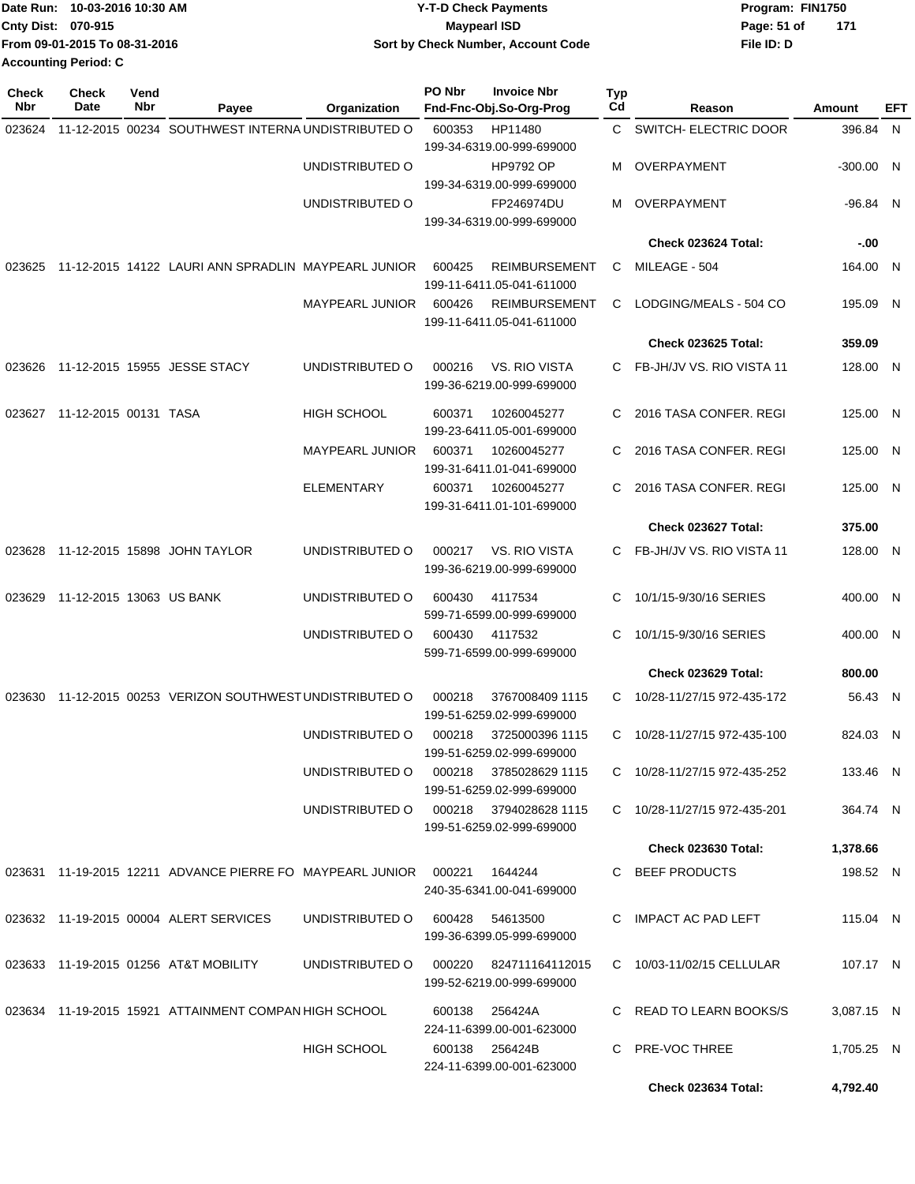|                    | Date Run: 10-03-2016 10:30 AM | <b>Y-T-D Check Payments</b>        | Program: FIN1750 |       |
|--------------------|-------------------------------|------------------------------------|------------------|-------|
| Cnty Dist: 070-915 |                               | Maypearl ISD                       | Page: 51 of      | - 171 |
|                    | From 09-01-2015 To 08-31-2016 | Sort by Check Number, Account Code | File ID: D       |       |
|                    | <b>Accounting Period: C</b>   |                                    |                  |       |
|                    |                               |                                    |                  |       |

| <b>Check</b><br>Nbr | <b>Check</b><br>Date     | Vend<br>Nbr | Payee                                                              | Organization           | PO Nbr | <b>Invoice Nbr</b><br>Fnd-Fnc-Obj.So-Org-Prog       | Typ<br>Cd | Reason                       | Amount      | EFT |
|---------------------|--------------------------|-------------|--------------------------------------------------------------------|------------------------|--------|-----------------------------------------------------|-----------|------------------------------|-------------|-----|
| 023624              |                          |             | 11-12-2015 00234 SOUTHWEST INTERNA UNDISTRIBUTED O                 |                        | 600353 | HP11480                                             |           | C SWITCH- ELECTRIC DOOR      | 396.84 N    |     |
|                     |                          |             |                                                                    | UNDISTRIBUTED O        |        | 199-34-6319.00-999-699000<br><b>HP9792 OP</b>       | м         | OVERPAYMENT                  | $-300.00$ N |     |
|                     |                          |             |                                                                    |                        |        | 199-34-6319.00-999-699000                           |           |                              |             |     |
|                     |                          |             |                                                                    | UNDISTRIBUTED O        |        | FP246974DU<br>199-34-6319.00-999-699000             | м         | OVERPAYMENT                  | -96.84 N    |     |
|                     |                          |             |                                                                    |                        |        |                                                     |           | Check 023624 Total:          | $-0.00$     |     |
|                     |                          |             | 023625 11-12-2015 14122 LAURI ANN SPRADLIN MAYPEARL JUNIOR         |                        | 600425 | <b>REIMBURSEMENT</b><br>199-11-6411.05-041-611000   | C         | MILEAGE - 504                | 164.00 N    |     |
|                     |                          |             |                                                                    | <b>MAYPEARL JUNIOR</b> | 600426 | <b>REIMBURSEMENT</b><br>199-11-6411.05-041-611000   | С         | LODGING/MEALS - 504 CO       | 195.09 N    |     |
|                     |                          |             |                                                                    |                        |        |                                                     |           | <b>Check 023625 Total:</b>   | 359.09      |     |
| 023626              |                          |             | 11-12-2015 15955 JESSE STACY                                       | UNDISTRIBUTED O        | 000216 | VS. RIO VISTA<br>199-36-6219.00-999-699000          |           | FB-JH/JV VS. RIO VISTA 11    | 128.00 N    |     |
| 023627              | 11-12-2015 00131 TASA    |             |                                                                    | <b>HIGH SCHOOL</b>     | 600371 | 10260045277<br>199-23-6411.05-001-699000            | C.        | 2016 TASA CONFER. REGI       | 125.00 N    |     |
|                     |                          |             |                                                                    | <b>MAYPEARL JUNIOR</b> | 600371 | 10260045277<br>199-31-6411.01-041-699000            | C         | 2016 TASA CONFER. REGI       | 125.00 N    |     |
|                     |                          |             |                                                                    | <b>ELEMENTARY</b>      | 600371 | 10260045277<br>199-31-6411.01-101-699000            |           | 2016 TASA CONFER. REGI       | 125.00 N    |     |
|                     |                          |             |                                                                    |                        |        |                                                     |           | Check 023627 Total:          | 375.00      |     |
|                     |                          |             | 023628 11-12-2015 15898 JOHN TAYLOR                                | UNDISTRIBUTED O        | 000217 | <b>VS. RIO VISTA</b><br>199-36-6219.00-999-699000   | C.        | FB-JH/JV VS. RIO VISTA 11    | 128.00 N    |     |
| 023629              | 11-12-2015 13063 US BANK |             |                                                                    | UNDISTRIBUTED O        | 600430 | 4117534<br>599-71-6599.00-999-699000                | С         | 10/1/15-9/30/16 SERIES       | 400.00 N    |     |
|                     |                          |             |                                                                    | UNDISTRIBUTED O        | 600430 | 4117532<br>599-71-6599.00-999-699000                | С         | 10/1/15-9/30/16 SERIES       | 400.00 N    |     |
|                     |                          |             |                                                                    |                        |        |                                                     |           | Check 023629 Total:          | 800.00      |     |
|                     |                          |             | 023630 11-12-2015 00253 VERIZON SOUTHWEST UNDISTRIBUTED O          |                        | 000218 | 3767008409 1115<br>199-51-6259.02-999-699000        | C.        | 10/28-11/27/15 972-435-172   | 56.43 N     |     |
|                     |                          |             |                                                                    | UNDISTRIBUTED O        | 000218 | 3725000396 1115<br>199-51-6259.02-999-699000        |           | C 10/28-11/27/15 972-435-100 | 824.03 N    |     |
|                     |                          |             |                                                                    | UNDISTRIBUTED O        | 000218 | 3785028629 1115<br>199-51-6259.02-999-699000        |           | C 10/28-11/27/15 972-435-252 | 133.46 N    |     |
|                     |                          |             |                                                                    | UNDISTRIBUTED O        |        | 000218 3794028628 1115<br>199-51-6259.02-999-699000 |           | C 10/28-11/27/15 972-435-201 | 364.74 N    |     |
|                     |                          |             |                                                                    |                        |        |                                                     |           | <b>Check 023630 Total:</b>   | 1,378.66    |     |
|                     |                          |             | 023631 11-19-2015 12211 ADVANCE PIERRE FO MAYPEARL JUNIOR   000221 |                        |        | 1644244<br>240-35-6341.00-041-699000                |           | C BEEF PRODUCTS              | 198.52 N    |     |
|                     |                          |             | 023632 11-19-2015 00004 ALERT SERVICES                             | UNDISTRIBUTED O        |        | 600428 54613500<br>199-36-6399.05-999-699000        |           | C IMPACT AC PAD LEFT         | 115.04 N    |     |
|                     |                          |             | 023633 11-19-2015 01256 AT&T MOBILITY                              | UNDISTRIBUTED O        |        | 000220 824711164112015<br>199-52-6219.00-999-699000 |           | C 10/03-11/02/15 CELLULAR    | 107.17 N    |     |
|                     |                          |             | 023634 11-19-2015 15921 ATTAINMENT COMPAN HIGH SCHOOL              |                        |        | 600138 256424A<br>224-11-6399.00-001-623000         |           | C READ TO LEARN BOOKS/S      | 3,087.15 N  |     |
|                     |                          |             |                                                                    | <b>HIGH SCHOOL</b>     |        | 600138 256424B<br>224-11-6399.00-001-623000         |           | C PRE-VOC THREE              | 1,705.25 N  |     |
|                     |                          |             |                                                                    |                        |        |                                                     |           | Check 023634 Total:          | 4,792.40    |     |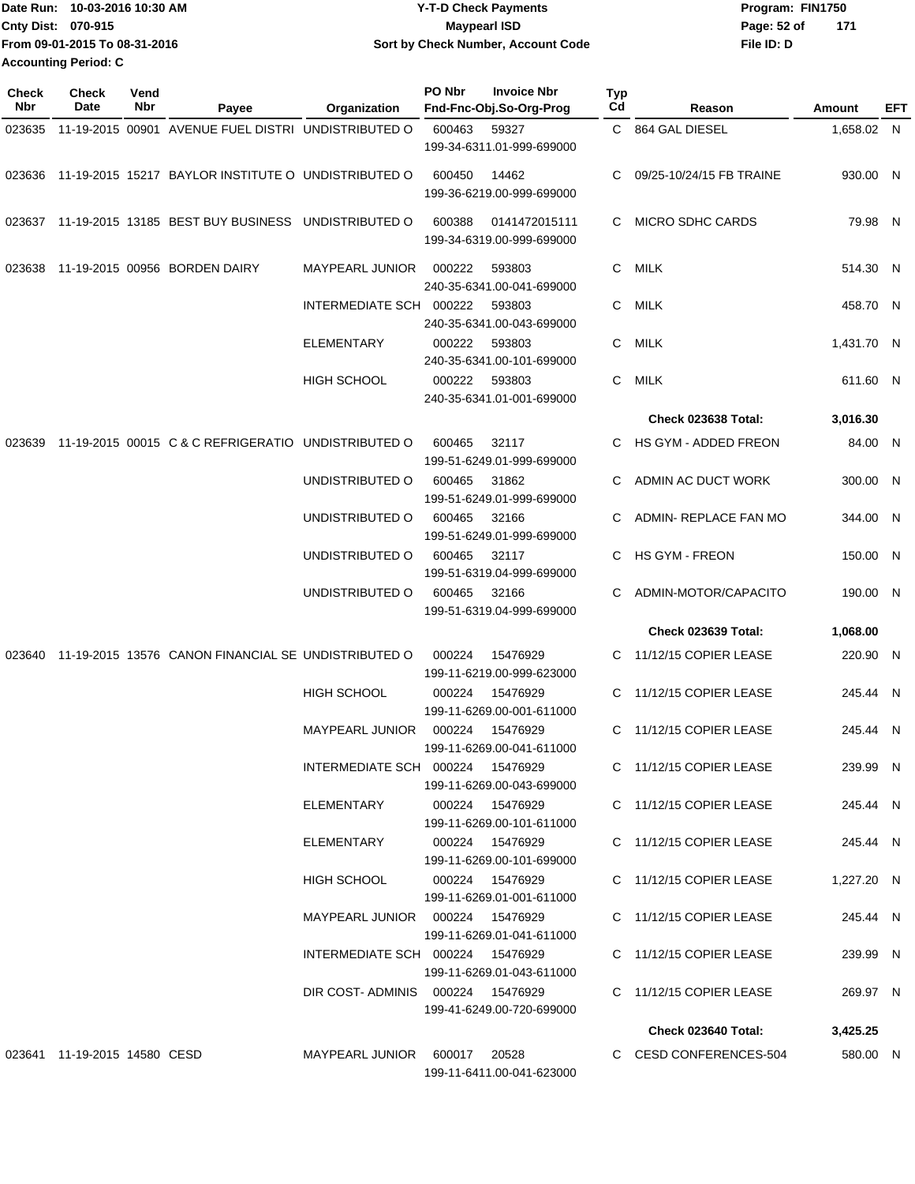| Date Run: 10-03-2016 10:30 AM | <b>Y-T-D Check Payments</b>        | Program: FIN1750     |
|-------------------------------|------------------------------------|----------------------|
| <b>Cnty Dist: 070-915</b>     | <b>Mavpearl ISD</b>                | - 171<br>Page: 52 of |
| From 09-01-2015 To 08-31-2016 | Sort by Check Number, Account Code | File ID: D           |
| <b>Accounting Period: C</b>   |                                    |                      |

| <b>Check</b><br>Nbr | <b>Check</b><br>Date         | Vend<br>Nbr | Payee                                                      | Organization                      | PO Nbr | <b>Invoice Nbr</b><br>Fnd-Fnc-Obj.So-Org-Prog | Typ<br>Cd | Reason                   | Amount     | EFT |
|---------------------|------------------------------|-------------|------------------------------------------------------------|-----------------------------------|--------|-----------------------------------------------|-----------|--------------------------|------------|-----|
| 023635              |                              |             | 11-19-2015 00901 AVENUE FUEL DISTRI UNDISTRIBUTED O        |                                   | 600463 | 59327<br>199-34-6311.01-999-699000            |           | C 864 GAL DIESEL         | 1,658.02 N |     |
|                     |                              |             | 023636 11-19-2015 15217 BAYLOR INSTITUTE O UNDISTRIBUTED O |                                   | 600450 | 14462<br>199-36-6219.00-999-699000            | C         | 09/25-10/24/15 FB TRAINE | 930.00 N   |     |
| 023637              |                              |             | 11-19-2015 13185 BEST BUY BUSINESS UNDISTRIBUTED O         |                                   | 600388 | 0141472015111<br>199-34-6319.00-999-699000    | C         | <b>MICRO SDHC CARDS</b>  | 79.98 N    |     |
| 023638              |                              |             | 11-19-2015 00956 BORDEN DAIRY                              | <b>MAYPEARL JUNIOR</b>            | 000222 | 593803<br>240-35-6341.00-041-699000           | C.        | MILK                     | 514.30 N   |     |
|                     |                              |             |                                                            | INTERMEDIATE SCH 000222           |        | 593803<br>240-35-6341.00-043-699000           | C.        | MILK                     | 458.70 N   |     |
|                     |                              |             |                                                            | <b>ELEMENTARY</b>                 | 000222 | 593803<br>240-35-6341.00-101-699000           | C.        | MILK                     | 1,431.70 N |     |
|                     |                              |             |                                                            | <b>HIGH SCHOOL</b>                | 000222 | 593803<br>240-35-6341.01-001-699000           | C         | <b>MILK</b>              | 611.60 N   |     |
|                     |                              |             |                                                            |                                   |        |                                               |           | Check 023638 Total:      | 3,016.30   |     |
| 023639              |                              |             | 11-19-2015 00015 C & C REFRIGERATIO UNDISTRIBUTED O        |                                   | 600465 | 32117<br>199-51-6249.01-999-699000            | C.        | HS GYM - ADDED FREON     | 84.00 N    |     |
|                     |                              |             |                                                            | UNDISTRIBUTED O                   | 600465 | 31862<br>199-51-6249.01-999-699000            | C         | ADMIN AC DUCT WORK       | 300.00 N   |     |
|                     |                              |             |                                                            | UNDISTRIBUTED O                   | 600465 | 32166<br>199-51-6249.01-999-699000            | C.        | ADMIN- REPLACE FAN MO    | 344.00 N   |     |
|                     |                              |             |                                                            | UNDISTRIBUTED O                   | 600465 | 32117<br>199-51-6319.04-999-699000            | C         | <b>HS GYM - FREON</b>    | 150.00 N   |     |
|                     |                              |             |                                                            | UNDISTRIBUTED O                   | 600465 | 32166<br>199-51-6319.04-999-699000            | C         | ADMIN-MOTOR/CAPACITO     | 190.00 N   |     |
|                     |                              |             |                                                            |                                   |        |                                               |           | Check 023639 Total:      | 1,068.00   |     |
| 023640              |                              |             | 11-19-2015 13576 CANON FINANCIAL SE UNDISTRIBUTED O        |                                   | 000224 | 15476929<br>199-11-6219.00-999-623000         | C         | 11/12/15 COPIER LEASE    | 220.90 N   |     |
|                     |                              |             |                                                            | <b>HIGH SCHOOL</b>                | 000224 | 15476929<br>199-11-6269.00-001-611000         | C         | 11/12/15 COPIER LEASE    | 245.44 N   |     |
|                     |                              |             |                                                            | <b>MAYPEARL JUNIOR</b>            | 000224 | 15476929<br>199-11-6269.00-041-611000         | C         | 11/12/15 COPIER LEASE    | 245.44 N   |     |
|                     |                              |             |                                                            | INTERMEDIATE SCH 000224 15476929  |        | 199-11-6269.00-043-699000                     |           | C 11/12/15 COPIER LEASE  | 239.99 N   |     |
|                     |                              |             |                                                            | ELEMENTARY                        |        | 000224 15476929<br>199-11-6269.00-101-611000  |           | C 11/12/15 COPIER LEASE  | 245.44 N   |     |
|                     |                              |             |                                                            | ELEMENTARY                        |        | 000224  15476929<br>199-11-6269.00-101-699000 |           | C 11/12/15 COPIER LEASE  | 245.44 N   |     |
|                     |                              |             |                                                            | HIGH SCHOOL                       |        | 000224 15476929<br>199-11-6269.01-001-611000  |           | C 11/12/15 COPIER LEASE  | 1,227.20 N |     |
|                     |                              |             |                                                            | MAYPEARL JUNIOR  000224  15476929 |        | 199-11-6269.01-041-611000                     |           | C 11/12/15 COPIER LEASE  | 245.44 N   |     |
|                     |                              |             |                                                            | INTERMEDIATE SCH 000224 15476929  |        | 199-11-6269.01-043-611000                     |           | C 11/12/15 COPIER LEASE  | 239.99 N   |     |
|                     |                              |             |                                                            | DIR COST-ADMINIS 000224 15476929  |        | 199-41-6249.00-720-699000                     |           | C 11/12/15 COPIER LEASE  | 269.97 N   |     |
|                     |                              |             |                                                            |                                   |        |                                               |           | Check 023640 Total:      | 3,425.25   |     |
|                     | 023641 11-19-2015 14580 CESD |             |                                                            | MAYPEARL JUNIOR 600017 20528      |        | 199-11-6411.00-041-623000                     |           | C CESD CONFERENCES-504   | 580.00 N   |     |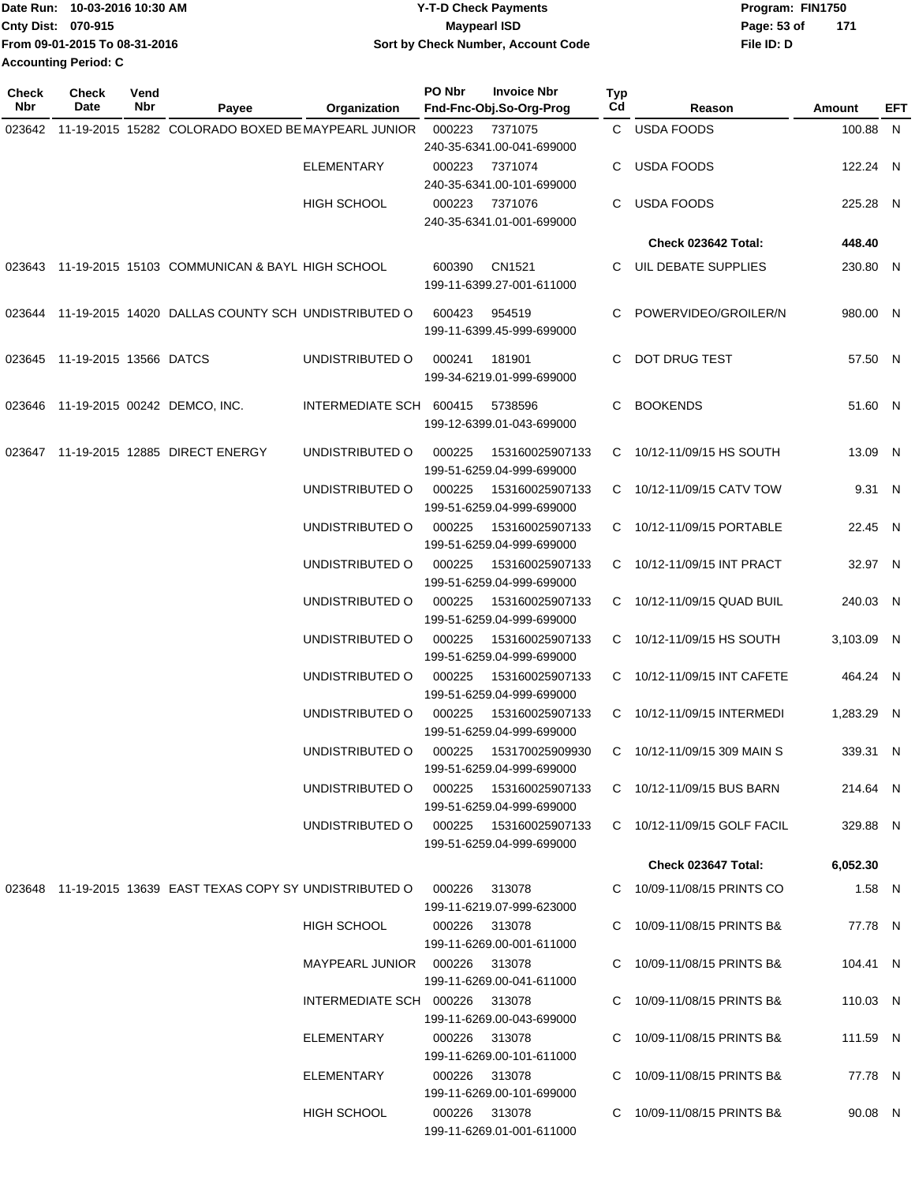|                             | Date Run: 10-03-2016 10:30 AM | <b>Y-T-D Check Payments</b>        | Program: FIN1750   |  |
|-----------------------------|-------------------------------|------------------------------------|--------------------|--|
| Cnty Dist: 070-915          |                               | Maypearl ISD                       | Page: 53 of<br>171 |  |
|                             | From 09-01-2015 To 08-31-2016 | Sort by Check Number, Account Code | File ID: D         |  |
| <b>Accounting Period: C</b> |                               |                                    |                    |  |

| Check<br>Nbr | <b>Check</b><br>Date          | Vend<br>Nbr | Payee                                                      | Organization                    | PO Nbr | <b>Invoice Nbr</b><br>Fnd-Fnc-Obj.So-Org-Prog | <b>Typ</b><br>Cd | Reason                      | Amount     | EFT |
|--------------|-------------------------------|-------------|------------------------------------------------------------|---------------------------------|--------|-----------------------------------------------|------------------|-----------------------------|------------|-----|
| 023642       |                               |             | 11-19-2015 15282 COLORADO BOXED BE MAYPEARL JUNIOR         |                                 | 000223 | 7371075                                       |                  | C USDA FOODS                | 100.88 N   |     |
|              |                               |             |                                                            |                                 |        | 240-35-6341.00-041-699000                     |                  |                             |            |     |
|              |                               |             |                                                            | <b>ELEMENTARY</b>               | 000223 | 7371074                                       | C.               | USDA FOODS                  | 122.24 N   |     |
|              |                               |             |                                                            |                                 |        | 240-35-6341.00-101-699000                     |                  |                             |            |     |
|              |                               |             |                                                            | <b>HIGH SCHOOL</b>              | 000223 | 7371076                                       | C.               | USDA FOODS                  | 225.28 N   |     |
|              |                               |             |                                                            |                                 |        | 240-35-6341.01-001-699000                     |                  | Check 023642 Total:         |            |     |
|              |                               |             |                                                            |                                 |        |                                               |                  |                             | 448.40     |     |
|              |                               |             | 023643 11-19-2015 15103 COMMUNICAN & BAYL HIGH SCHOOL      |                                 | 600390 | CN1521                                        | C.               | UIL DEBATE SUPPLIES         | 230.80 N   |     |
|              |                               |             |                                                            |                                 |        | 199-11-6399.27-001-611000                     |                  |                             |            |     |
|              |                               |             | 023644 11-19-2015 14020 DALLAS COUNTY SCH UNDISTRIBUTED O  |                                 | 600423 | 954519                                        |                  | POWERVIDEO/GROILER/N        | 980.00 N   |     |
|              |                               |             |                                                            |                                 |        | 199-11-6399.45-999-699000                     |                  |                             |            |     |
|              | 023645 11-19-2015 13566 DATCS |             |                                                            | UNDISTRIBUTED O                 | 000241 | 181901                                        | C.               | DOT DRUG TEST               | 57.50 N    |     |
|              |                               |             |                                                            |                                 |        | 199-34-6219.01-999-699000                     |                  |                             |            |     |
|              |                               |             | 023646 11-19-2015 00242 DEMCO, INC.                        | INTERMEDIATE SCH 600415         |        | 5738596                                       | C.               | BOOKENDS                    | 51.60 N    |     |
|              |                               |             |                                                            |                                 |        | 199-12-6399.01-043-699000                     |                  |                             |            |     |
|              |                               |             | 023647 11-19-2015 12885 DIRECT ENERGY                      | UNDISTRIBUTED O                 | 000225 | 153160025907133                               |                  | C 10/12-11/09/15 HS SOUTH   | 13.09 N    |     |
|              |                               |             |                                                            |                                 |        | 199-51-6259.04-999-699000                     |                  |                             |            |     |
|              |                               |             |                                                            | UNDISTRIBUTED O                 | 000225 | 153160025907133                               | C                | 10/12-11/09/15 CATV TOW     | 9.31 N     |     |
|              |                               |             |                                                            |                                 |        | 199-51-6259.04-999-699000                     |                  |                             |            |     |
|              |                               |             |                                                            | UNDISTRIBUTED O                 | 000225 | 153160025907133                               | C.               | 10/12-11/09/15 PORTABLE     | 22.45 N    |     |
|              |                               |             |                                                            |                                 |        | 199-51-6259.04-999-699000                     |                  |                             |            |     |
|              |                               |             |                                                            | UNDISTRIBUTED O                 | 000225 | 153160025907133<br>199-51-6259.04-999-699000  |                  | C 10/12-11/09/15 INT PRACT  | 32.97 N    |     |
|              |                               |             |                                                            | UNDISTRIBUTED O                 | 000225 | 153160025907133                               | C.               | 10/12-11/09/15 QUAD BUIL    | 240.03 N   |     |
|              |                               |             |                                                            |                                 |        | 199-51-6259.04-999-699000                     |                  |                             |            |     |
|              |                               |             |                                                            | UNDISTRIBUTED O                 | 000225 | 153160025907133                               |                  | C 10/12-11/09/15 HS SOUTH   | 3,103.09 N |     |
|              |                               |             |                                                            |                                 |        | 199-51-6259.04-999-699000                     |                  |                             |            |     |
|              |                               |             |                                                            | UNDISTRIBUTED O                 | 000225 | 153160025907133                               |                  | C 10/12-11/09/15 INT CAFETE | 464.24 N   |     |
|              |                               |             |                                                            |                                 |        | 199-51-6259.04-999-699000                     |                  |                             |            |     |
|              |                               |             |                                                            | UNDISTRIBUTED O                 | 000225 | 153160025907133                               |                  | C 10/12-11/09/15 INTERMEDI  | 1,283.29 N |     |
|              |                               |             |                                                            | UNDISTRIBUTED O                 | 000225 | 199-51-6259.04-999-699000<br>153170025909930  |                  | C 10/12-11/09/15 309 MAIN S | 339.31 N   |     |
|              |                               |             |                                                            |                                 |        | 199-51-6259.04-999-699000                     |                  |                             |            |     |
|              |                               |             |                                                            | UNDISTRIBUTED O                 | 000225 | 153160025907133                               |                  | C 10/12-11/09/15 BUS BARN   | 214.64 N   |     |
|              |                               |             |                                                            |                                 |        | 199-51-6259.04-999-699000                     |                  |                             |            |     |
|              |                               |             |                                                            | UNDISTRIBUTED O                 |        |                                               |                  | C 10/12-11/09/15 GOLF FACIL | 329.88 N   |     |
|              |                               |             |                                                            |                                 |        | 199-51-6259.04-999-699000                     |                  |                             |            |     |
|              |                               |             |                                                            |                                 |        |                                               |                  | Check 023647 Total:         | 6,052.30   |     |
|              |                               |             | 023648 11-19-2015 13639 EAST TEXAS COPY SY UNDISTRIBUTED O |                                 | 000226 | 313078                                        |                  | C 10/09-11/08/15 PRINTS CO  | $1.58$ N   |     |
|              |                               |             |                                                            |                                 |        | 199-11-6219.07-999-623000                     |                  |                             |            |     |
|              |                               |             |                                                            | HIGH SCHOOL                     |        | 000226 313078                                 |                  | C 10/09-11/08/15 PRINTS B&  | 77.78 N    |     |
|              |                               |             |                                                            | MAYPEARL JUNIOR  000226  313078 |        | 199-11-6269.00-001-611000                     |                  | C 10/09-11/08/15 PRINTS B&  | 104.41 N   |     |
|              |                               |             |                                                            |                                 |        | 199-11-6269.00-041-611000                     |                  |                             |            |     |
|              |                               |             |                                                            | INTERMEDIATE SCH 000226 313078  |        |                                               |                  | C 10/09-11/08/15 PRINTS B&  | 110.03 N   |     |
|              |                               |             |                                                            |                                 |        | 199-11-6269.00-043-699000                     |                  |                             |            |     |
|              |                               |             |                                                            | ELEMENTARY                      |        | 000226 313078                                 |                  | C 10/09-11/08/15 PRINTS B&  | 111.59 N   |     |
|              |                               |             |                                                            |                                 |        | 199-11-6269.00-101-611000                     |                  |                             |            |     |
|              |                               |             |                                                            | ELEMENTARY                      |        | 000226 313078                                 |                  | C 10/09-11/08/15 PRINTS B&  | 77.78 N    |     |
|              |                               |             |                                                            | HIGH SCHOOL                     |        | 199-11-6269.00-101-699000<br>000226 313078    |                  | C 10/09-11/08/15 PRINTS B&  | 90.08 N    |     |
|              |                               |             |                                                            |                                 |        | 199-11-6269.01-001-611000                     |                  |                             |            |     |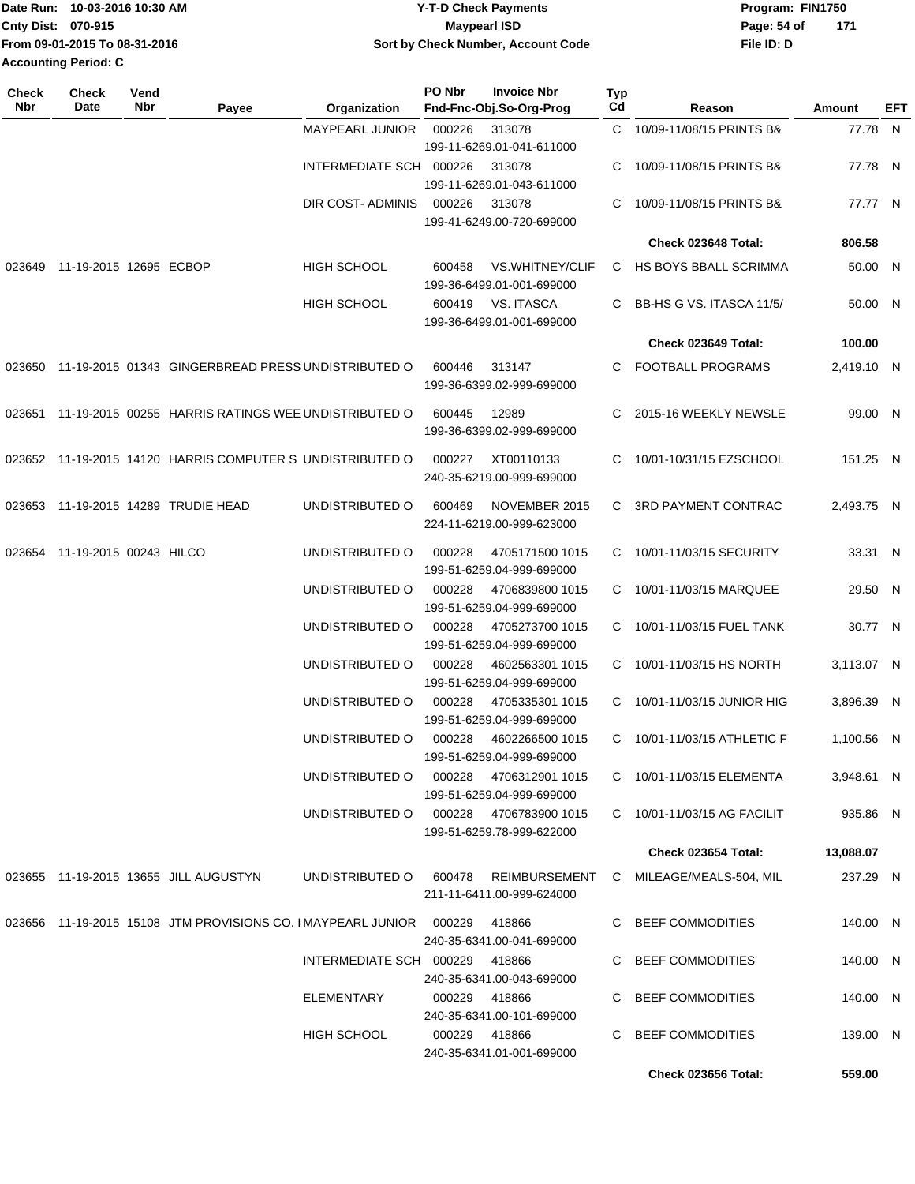|                           | Date Run: 10-03-2016 10:30 AM | <b>Y-T-D Check Payments</b>        | Program: FIN1750   |
|---------------------------|-------------------------------|------------------------------------|--------------------|
| <b>Cnty Dist: 070-915</b> |                               | Maypearl ISD                       | 171<br>Page: 54 of |
|                           | From 09-01-2015 To 08-31-2016 | Sort by Check Number, Account Code | File ID: D         |
| Accounting Period: C      |                               |                                    |                    |

| Check<br><b>Nbr</b> | <b>Check</b><br>Date          | Vend<br>Nbr | Payee                                                              | Organization                   | PO Nbr | <b>Invoice Nbr</b><br>Fnd-Fnc-Obj.So-Org-Prog       | <b>Typ</b><br>Cd | Reason                      | Amount     | EFT |
|---------------------|-------------------------------|-------------|--------------------------------------------------------------------|--------------------------------|--------|-----------------------------------------------------|------------------|-----------------------------|------------|-----|
|                     |                               |             |                                                                    | MAYPEARL JUNIOR                | 000226 | 313078<br>199-11-6269.01-041-611000                 | C.               | 10/09-11/08/15 PRINTS B&    | 77.78 N    |     |
|                     |                               |             |                                                                    | INTERMEDIATE SCH 000226        |        | 313078<br>199-11-6269.01-043-611000                 | C                | 10/09-11/08/15 PRINTS B&    | 77.78 N    |     |
|                     |                               |             |                                                                    | DIR COST- ADMINIS              | 000226 | 313078<br>199-41-6249.00-720-699000                 | C                | 10/09-11/08/15 PRINTS B&    | 77.77 N    |     |
|                     |                               |             |                                                                    |                                |        |                                                     |                  | Check 023648 Total:         | 806.58     |     |
| 023649              | 11-19-2015 12695 ECBOP        |             |                                                                    | <b>HIGH SCHOOL</b>             | 600458 | <b>VS.WHITNEY/CLIF</b><br>199-36-6499.01-001-699000 |                  | C HS BOYS BBALL SCRIMMA     | 50.00 N    |     |
|                     |                               |             |                                                                    | <b>HIGH SCHOOL</b>             | 600419 | VS. ITASCA<br>199-36-6499.01-001-699000             | C.               | BB-HS G VS. ITASCA 11/5/    | 50.00 N    |     |
|                     |                               |             |                                                                    |                                |        |                                                     |                  | Check 023649 Total:         | 100.00     |     |
| 023650              |                               |             | 11-19-2015 01343 GINGERBREAD PRESS UNDISTRIBUTED O                 |                                | 600446 | 313147<br>199-36-6399.02-999-699000                 | C.               | <b>FOOTBALL PROGRAMS</b>    | 2,419.10 N |     |
|                     |                               |             | 023651 11-19-2015 00255 HARRIS RATINGS WEE UNDISTRIBUTED O         |                                | 600445 | 12989<br>199-36-6399.02-999-699000                  | C.               | 2015-16 WEEKLY NEWSLE       | 99.00 N    |     |
|                     |                               |             | 023652 11-19-2015 14120 HARRIS COMPUTER S UNDISTRIBUTED O          |                                | 000227 | XT00110133<br>240-35-6219.00-999-699000             | C.               | 10/01-10/31/15 EZSCHOOL     | 151.25 N   |     |
| 023653              |                               |             | 11-19-2015 14289 TRUDIE HEAD                                       | UNDISTRIBUTED O                | 600469 | NOVEMBER 2015<br>224-11-6219.00-999-623000          | C.               | <b>3RD PAYMENT CONTRAC</b>  | 2,493.75 N |     |
|                     | 023654 11-19-2015 00243 HILCO |             |                                                                    | UNDISTRIBUTED O                | 000228 | 4705171500 1015<br>199-51-6259.04-999-699000        |                  | C 10/01-11/03/15 SECURITY   | 33.31 N    |     |
|                     |                               |             |                                                                    | UNDISTRIBUTED O                | 000228 | 4706839800 1015<br>199-51-6259.04-999-699000        |                  | C 10/01-11/03/15 MARQUEE    | 29.50 N    |     |
|                     |                               |             |                                                                    | UNDISTRIBUTED O                | 000228 | 4705273700 1015<br>199-51-6259.04-999-699000        | C.               | 10/01-11/03/15 FUEL TANK    | 30.77 N    |     |
|                     |                               |             |                                                                    | UNDISTRIBUTED O                | 000228 | 4602563301 1015<br>199-51-6259.04-999-699000        | C.               | 10/01-11/03/15 HS NORTH     | 3,113.07 N |     |
|                     |                               |             |                                                                    | UNDISTRIBUTED O                | 000228 | 4705335301 1015<br>199-51-6259.04-999-699000        | C                | 10/01-11/03/15 JUNIOR HIG   | 3,896.39 N |     |
|                     |                               |             |                                                                    | UNDISTRIBUTED O                | 000228 | 4602266500 1015<br>199-51-6259.04-999-699000        | C.               | 10/01-11/03/15 ATHLETIC F   | 1,100.56 N |     |
|                     |                               |             |                                                                    | UNDISTRIBUTED O                |        | 000228 4706312901 1015<br>199-51-6259.04-999-699000 |                  | C 10/01-11/03/15 ELEMENTA   | 3,948.61 N |     |
|                     |                               |             |                                                                    | UNDISTRIBUTED O                |        | 000228 4706783900 1015<br>199-51-6259.78-999-622000 |                  | C 10/01-11/03/15 AG FACILIT | 935.86 N   |     |
|                     |                               |             |                                                                    |                                |        |                                                     |                  | <b>Check 023654 Total:</b>  | 13,088.07  |     |
|                     |                               |             | 023655 11-19-2015 13655 JILL AUGUSTYN                              | UNDISTRIBUTED O                | 600478 | REIMBURSEMENT<br>211-11-6411.00-999-624000          |                  | C MILEAGE/MEALS-504, MIL    | 237.29 N   |     |
|                     |                               |             | 023656 11-19-2015 15108 JTM PROVISIONS CO. IMAYPEARL JUNIOR 000229 |                                |        | 418866<br>240-35-6341.00-041-699000                 |                  | C BEEF COMMODITIES          | 140.00 N   |     |
|                     |                               |             |                                                                    | INTERMEDIATE SCH 000229 418866 |        | 240-35-6341.00-043-699000                           |                  | C BEEF COMMODITIES          | 140.00 N   |     |
|                     |                               |             |                                                                    | ELEMENTARY                     |        | 000229 418866<br>240-35-6341.00-101-699000          |                  | C BEEF COMMODITIES          | 140.00 N   |     |
|                     |                               |             |                                                                    | HIGH SCHOOL                    |        | 000229 418866<br>240-35-6341.01-001-699000          |                  | C BEEF COMMODITIES          | 139.00 N   |     |
|                     |                               |             |                                                                    |                                |        |                                                     |                  | <b>Check 023656 Total:</b>  | 559.00     |     |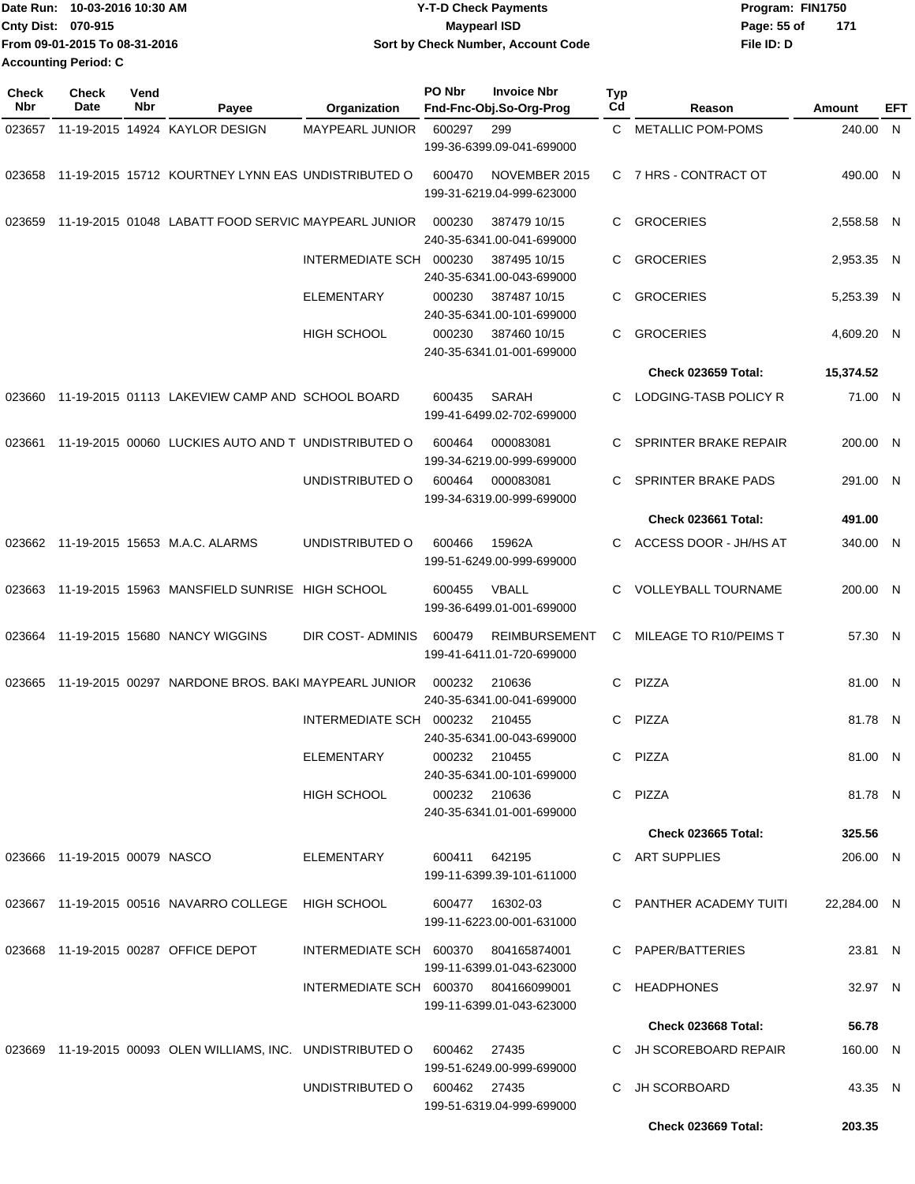|                             | Date Run: 10-03-2016 10:30 AM | <b>Y-T-D Check Payments</b>        | Program: FIN1750   |  |
|-----------------------------|-------------------------------|------------------------------------|--------------------|--|
| <b>Cnty Dist: 070-915</b>   |                               | Maypearl ISD                       | 171<br>Page: 55 of |  |
|                             | From 09-01-2015 To 08-31-2016 | Sort by Check Number, Account Code | File ID: D         |  |
| <b>Accounting Period: C</b> |                               |                                    |                    |  |

| <b>Check</b><br>Nbr | <b>Check</b><br><b>Date</b>   | Vend<br>Nbr | Payee                                                                    | Organization                         | PO Nbr | <b>Invoice Nbr</b><br>Fnd-Fnc-Obj.So-Org-Prog     | <b>Typ</b><br>Cd | Reason                       | Amount      | EFT |
|---------------------|-------------------------------|-------------|--------------------------------------------------------------------------|--------------------------------------|--------|---------------------------------------------------|------------------|------------------------------|-------------|-----|
| 023657              |                               |             | 11-19-2015 14924 KAYLOR DESIGN                                           | <b>MAYPEARL JUNIOR</b>               | 600297 | 299                                               |                  | C METALLIC POM-POMS          | 240.00 N    |     |
|                     |                               |             |                                                                          |                                      |        | 199-36-6399.09-041-699000                         |                  |                              |             |     |
| 023658              |                               |             | 11-19-2015 15712 KOURTNEY LYNN EAS UNDISTRIBUTED O                       |                                      | 600470 | NOVEMBER 2015<br>199-31-6219.04-999-623000        |                  | C 7 HRS - CONTRACT OT        | 490.00 N    |     |
| 023659              |                               |             | 11-19-2015 01048 LABATT FOOD SERVIC MAYPEARL JUNIOR                      |                                      | 000230 | 387479 10/15<br>240-35-6341.00-041-699000         | C                | <b>GROCERIES</b>             | 2,558.58 N  |     |
|                     |                               |             |                                                                          | INTERMEDIATE SCH 000230              |        | 387495 10/15<br>240-35-6341.00-043-699000         | C.               | <b>GROCERIES</b>             | 2,953.35 N  |     |
|                     |                               |             |                                                                          | <b>ELEMENTARY</b>                    | 000230 | 387487 10/15<br>240-35-6341.00-101-699000         | C                | <b>GROCERIES</b>             | 5,253.39 N  |     |
|                     |                               |             |                                                                          | <b>HIGH SCHOOL</b>                   | 000230 | 387460 10/15<br>240-35-6341.01-001-699000         | C                | <b>GROCERIES</b>             | 4,609.20 N  |     |
|                     |                               |             |                                                                          |                                      |        |                                                   |                  | <b>Check 023659 Total:</b>   | 15,374.52   |     |
| 023660              |                               |             | 11-19-2015 01113 LAKEVIEW CAMP AND SCHOOL BOARD                          |                                      | 600435 | SARAH                                             | C.               | <b>LODGING-TASB POLICY R</b> | 71.00 N     |     |
|                     |                               |             |                                                                          |                                      |        | 199-41-6499.02-702-699000                         |                  |                              |             |     |
| 023661              |                               |             | 11-19-2015 00060 LUCKIES AUTO AND T UNDISTRIBUTED O                      |                                      | 600464 | 000083081<br>199-34-6219.00-999-699000            | C                | SPRINTER BRAKE REPAIR        | 200.00 N    |     |
|                     |                               |             |                                                                          | UNDISTRIBUTED O                      | 600464 | 000083081<br>199-34-6319.00-999-699000            | C                | <b>SPRINTER BRAKE PADS</b>   | 291.00 N    |     |
|                     |                               |             |                                                                          |                                      |        |                                                   |                  | Check 023661 Total:          | 491.00      |     |
|                     |                               |             | 023662 11-19-2015 15653 M.A.C. ALARMS                                    | UNDISTRIBUTED O                      | 600466 | 15962A<br>199-51-6249.00-999-699000               | C.               | ACCESS DOOR - JH/HS AT       | 340.00 N    |     |
| 023663              |                               |             | 11-19-2015 15963 MANSFIELD SUNRISE HIGH SCHOOL                           |                                      | 600455 | VBALL<br>199-36-6499.01-001-699000                | C.               | <b>VOLLEYBALL TOURNAME</b>   | 200.00 N    |     |
| 023664              |                               |             | 11-19-2015 15680 NANCY WIGGINS                                           | DIR COST-ADMINIS                     | 600479 | <b>REIMBURSEMENT</b><br>199-41-6411.01-720-699000 | C.               | MILEAGE TO R10/PEIMS T       | 57.30 N     |     |
| 023665              |                               |             | 11-19-2015 00297 NARDONE BROS, BAKI MAYPEARL JUNIOR                      |                                      | 000232 | 210636<br>240-35-6341.00-041-699000               | C                | PIZZA                        | 81.00 N     |     |
|                     |                               |             |                                                                          | INTERMEDIATE SCH 000232              |        | 210455<br>240-35-6341.00-043-699000               | C.               | PIZZA                        | 81.78 N     |     |
|                     |                               |             |                                                                          | <b>ELEMENTARY</b>                    | 000232 | 210455<br>240-35-6341.00-101-699000               | C.               | PIZZA                        | 81.00 N     |     |
|                     |                               |             |                                                                          | HIGH SCHOOL                          |        | 000232 210636<br>240-35-6341.01-001-699000        |                  | C PIZZA                      | 81.78 N     |     |
|                     |                               |             |                                                                          |                                      |        |                                                   |                  | Check 023665 Total:          | 325.56      |     |
|                     | 023666 11-19-2015 00079 NASCO |             |                                                                          | ELEMENTARY                           |        | 600411 642195<br>199-11-6399.39-101-611000        |                  | C ART SUPPLIES               | 206.00 N    |     |
|                     |                               |             | 023667 11-19-2015 00516 NAVARRO COLLEGE HIGH SCHOOL                      |                                      |        | 600477 16302-03<br>199-11-6223.00-001-631000      |                  | C PANTHER ACADEMY TUITI      | 22,284.00 N |     |
|                     |                               |             | 023668 11-19-2015 00287 OFFICE DEPOT                                     | INTERMEDIATE SCH 600370 804165874001 |        | 199-11-6399.01-043-623000                         |                  | C PAPER/BATTERIES            | 23.81 N     |     |
|                     |                               |             |                                                                          | INTERMEDIATE SCH 600370 804166099001 |        | 199-11-6399.01-043-623000                         |                  | C HEADPHONES                 | 32.97 N     |     |
|                     |                               |             |                                                                          |                                      |        |                                                   |                  | Check 023668 Total:          | 56.78       |     |
|                     |                               |             | 023669 11-19-2015 00093 OLEN WILLIAMS, INC. UNDISTRIBUTED O 600462 27435 |                                      |        |                                                   |                  | C JH SCOREBOARD REPAIR       | 160.00 N    |     |
|                     |                               |             |                                                                          | UNDISTRIBUTED 0 600462 27435         |        | 199-51-6249.00-999-699000                         |                  | C JH SCORBOARD               | 43.35 N     |     |
|                     |                               |             |                                                                          |                                      |        | 199-51-6319.04-999-699000                         |                  |                              |             |     |
|                     |                               |             |                                                                          |                                      |        |                                                   |                  | Check 023669 Total:          | 203.35      |     |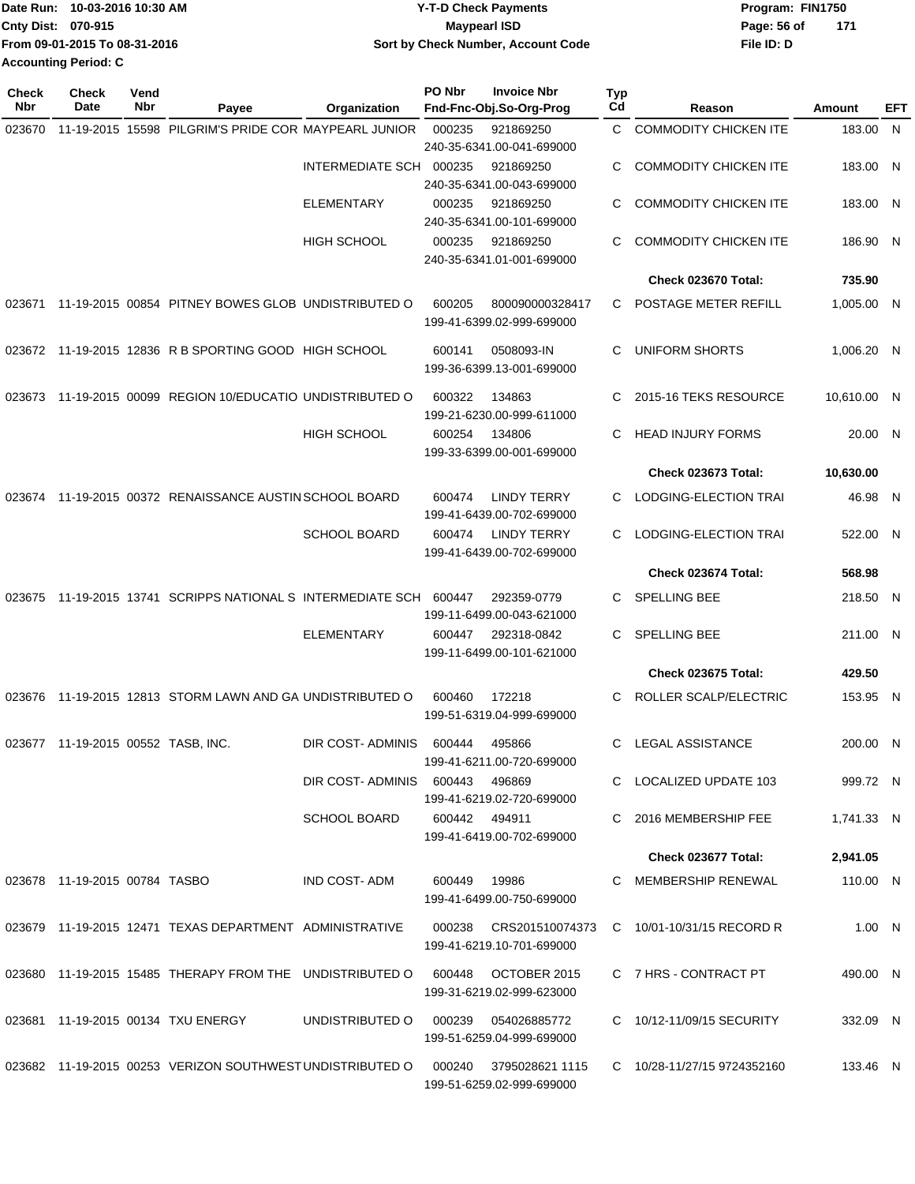|                    | Date Run: 10-03-2016 10:30 AM | <b>Y-T-D Check Payments</b>               | Program: FIN1750   |
|--------------------|-------------------------------|-------------------------------------------|--------------------|
| Cnty Dist: 070-915 |                               | <b>Mavpearl ISD</b>                       | Page: 56 of<br>171 |
|                    | From 09-01-2015 To 08-31-2016 | <b>Sort by Check Number, Account Code</b> | File ID: D         |
|                    | <b>Accounting Period: C</b>   |                                           |                    |

| <b>Check</b><br>Nbr | <b>Check</b><br>Date               | Vend<br>Nbr | Payee                                                     | Organization            | PO Nbr        | <b>Invoice Nbr</b><br>Fnd-Fnc-Obj.So-Org-Prog    | <b>Typ</b><br>Cd | Reason                       | Amount      | EFT |
|---------------------|------------------------------------|-------------|-----------------------------------------------------------|-------------------------|---------------|--------------------------------------------------|------------------|------------------------------|-------------|-----|
| 023670              |                                    |             | 11-19-2015 15598 PILGRIM'S PRIDE COR MAYPEARL JUNIOR      |                         | 000235        | 921869250                                        | C.               | <b>COMMODITY CHICKEN ITE</b> | 183.00 N    |     |
|                     |                                    |             |                                                           |                         |               | 240-35-6341.00-041-699000                        |                  |                              |             |     |
|                     |                                    |             |                                                           | INTERMEDIATE SCH        | 000235        | 921869250                                        | С                | <b>COMMODITY CHICKEN ITE</b> | 183.00 N    |     |
|                     |                                    |             |                                                           |                         |               | 240-35-6341.00-043-699000                        |                  |                              |             |     |
|                     |                                    |             |                                                           | <b>ELEMENTARY</b>       | 000235        | 921869250                                        | С                | <b>COMMODITY CHICKEN ITE</b> | 183.00 N    |     |
|                     |                                    |             |                                                           |                         |               | 240-35-6341.00-101-699000                        |                  |                              |             |     |
|                     |                                    |             |                                                           | <b>HIGH SCHOOL</b>      | 000235        | 921869250<br>240-35-6341.01-001-699000           | С                | <b>COMMODITY CHICKEN ITE</b> | 186.90 N    |     |
|                     |                                    |             |                                                           |                         |               |                                                  |                  | Check 023670 Total:          | 735.90      |     |
|                     |                                    |             |                                                           |                         |               |                                                  |                  |                              |             |     |
| 023671              |                                    |             | 11-19-2015 00854 PITNEY BOWES GLOB UNDISTRIBUTED O        |                         | 600205        | 800090000328417<br>199-41-6399.02-999-699000     | C                | POSTAGE METER REFILL         | 1,005.00 N  |     |
|                     |                                    |             |                                                           |                         |               |                                                  |                  |                              |             |     |
|                     |                                    |             | 023672 11-19-2015 12836 R B SPORTING GOOD HIGH SCHOOL     |                         | 600141        | 0508093-IN                                       | C                | UNIFORM SHORTS               | 1,006.20 N  |     |
|                     |                                    |             |                                                           |                         |               | 199-36-6399.13-001-699000                        |                  |                              |             |     |
| 023673              |                                    |             | 11-19-2015 00099 REGION 10/EDUCATIO UNDISTRIBUTED O       |                         | 600322        | 134863                                           | C                | 2015-16 TEKS RESOURCE        | 10,610.00 N |     |
|                     |                                    |             |                                                           |                         |               | 199-21-6230.00-999-611000                        |                  |                              |             |     |
|                     |                                    |             |                                                           | <b>HIGH SCHOOL</b>      | 600254        | 134806                                           | С                | <b>HEAD INJURY FORMS</b>     | 20.00 N     |     |
|                     |                                    |             |                                                           |                         |               | 199-33-6399.00-001-699000                        |                  |                              |             |     |
|                     |                                    |             |                                                           |                         |               |                                                  |                  | Check 023673 Total:          | 10,630.00   |     |
| 023674              |                                    |             | 11-19-2015 00372 RENAISSANCE AUSTIN SCHOOL BOARD          |                         | 600474        | <b>LINDY TERRY</b>                               | С                | LODGING-ELECTION TRAI        | 46.98 N     |     |
|                     |                                    |             |                                                           |                         |               | 199-41-6439.00-702-699000                        |                  |                              |             |     |
|                     |                                    |             |                                                           | <b>SCHOOL BOARD</b>     | 600474        | <b>LINDY TERRY</b><br>199-41-6439.00-702-699000  | С                | LODGING-ELECTION TRAI        | 522.00 N    |     |
|                     |                                    |             |                                                           |                         |               |                                                  |                  | Check 023674 Total:          | 568.98      |     |
|                     |                                    |             |                                                           |                         |               |                                                  |                  |                              |             |     |
| 023675              |                                    |             | 11-19-2015 13741 SCRIPPS NATIONAL S INTERMEDIATE SCH      |                         | 600447        | 292359-0779<br>199-11-6499.00-043-621000         | С                | <b>SPELLING BEE</b>          | 218.50 N    |     |
|                     |                                    |             |                                                           | <b>ELEMENTARY</b>       | 600447        | 292318-0842                                      | C.               | <b>SPELLING BEE</b>          | 211.00 N    |     |
|                     |                                    |             |                                                           |                         |               | 199-11-6499.00-101-621000                        |                  |                              |             |     |
|                     |                                    |             |                                                           |                         |               |                                                  |                  | <b>Check 023675 Total:</b>   | 429.50      |     |
|                     |                                    |             | 023676 11-19-2015 12813 STORM LAWN AND GA UNDISTRIBUTED O |                         | 600460        | 172218                                           | C                | ROLLER SCALP/ELECTRIC        | 153.95 N    |     |
|                     |                                    |             |                                                           |                         |               | 199-51-6319.04-999-699000                        |                  |                              |             |     |
|                     |                                    |             |                                                           |                         |               |                                                  |                  |                              |             |     |
|                     | 023677 11-19-2015 00552 TASB, INC. |             |                                                           | DIR COST-ADMINIS        | 600444        | 495866<br>199-41-6211.00-720-699000              | C                | LEGAL ASSISTANCE             | 200.00 N    |     |
|                     |                                    |             |                                                           | DIR COST-ADMINIS 600443 |               | 496869                                           |                  | C LOCALIZED UPDATE 103       | 999.72 N    |     |
|                     |                                    |             |                                                           |                         |               | 199-41-6219.02-720-699000                        |                  |                              |             |     |
|                     |                                    |             |                                                           | <b>SCHOOL BOARD</b>     | 600442 494911 |                                                  |                  | C 2016 MEMBERSHIP FEE        | 1,741.33 N  |     |
|                     |                                    |             |                                                           |                         |               | 199-41-6419.00-702-699000                        |                  |                              |             |     |
|                     |                                    |             |                                                           |                         |               |                                                  |                  | Check 023677 Total:          | 2,941.05    |     |
|                     | 023678 11-19-2015 00784 TASBO      |             |                                                           | IND COST- ADM           | 600449 19986  |                                                  |                  | C MEMBERSHIP RENEWAL         | 110.00 N    |     |
|                     |                                    |             |                                                           |                         |               | 199-41-6499.00-750-699000                        |                  |                              |             |     |
|                     |                                    |             | 023679 11-19-2015 12471 TEXAS DEPARTMENT ADMINISTRATIVE   |                         |               | 000238 CRS201510074373                           |                  | C 10/01-10/31/15 RECORD R    | 1.00 N      |     |
|                     |                                    |             |                                                           |                         |               | 199-41-6219.10-701-699000                        |                  |                              |             |     |
|                     |                                    |             |                                                           |                         |               |                                                  |                  |                              |             |     |
|                     |                                    |             | 023680 11-19-2015 15485 THERAPY FROM THE UNDISTRIBUTED O  |                         |               | 600448 OCTOBER 2015<br>199-31-6219.02-999-623000 |                  | C 7 HRS - CONTRACT PT        | 490.00 N    |     |
|                     |                                    |             |                                                           |                         |               |                                                  |                  |                              |             |     |
|                     |                                    |             | 023681 11-19-2015 00134 TXU ENERGY                        | UNDISTRIBUTED O         |               | 000239   054026885772                            |                  | C 10/12-11/09/15 SECURITY    | 332.09 N    |     |
|                     |                                    |             |                                                           |                         |               | 199-51-6259.04-999-699000                        |                  |                              |             |     |
|                     |                                    |             | 023682 11-19-2015 00253 VERIZON SOUTHWEST UNDISTRIBUTED O |                         | 000240        | 3795028621 1115                                  |                  | C 10/28-11/27/15 9724352160  | 133.46 N    |     |
|                     |                                    |             |                                                           |                         |               | 199-51-6259.02-999-699000                        |                  |                              |             |     |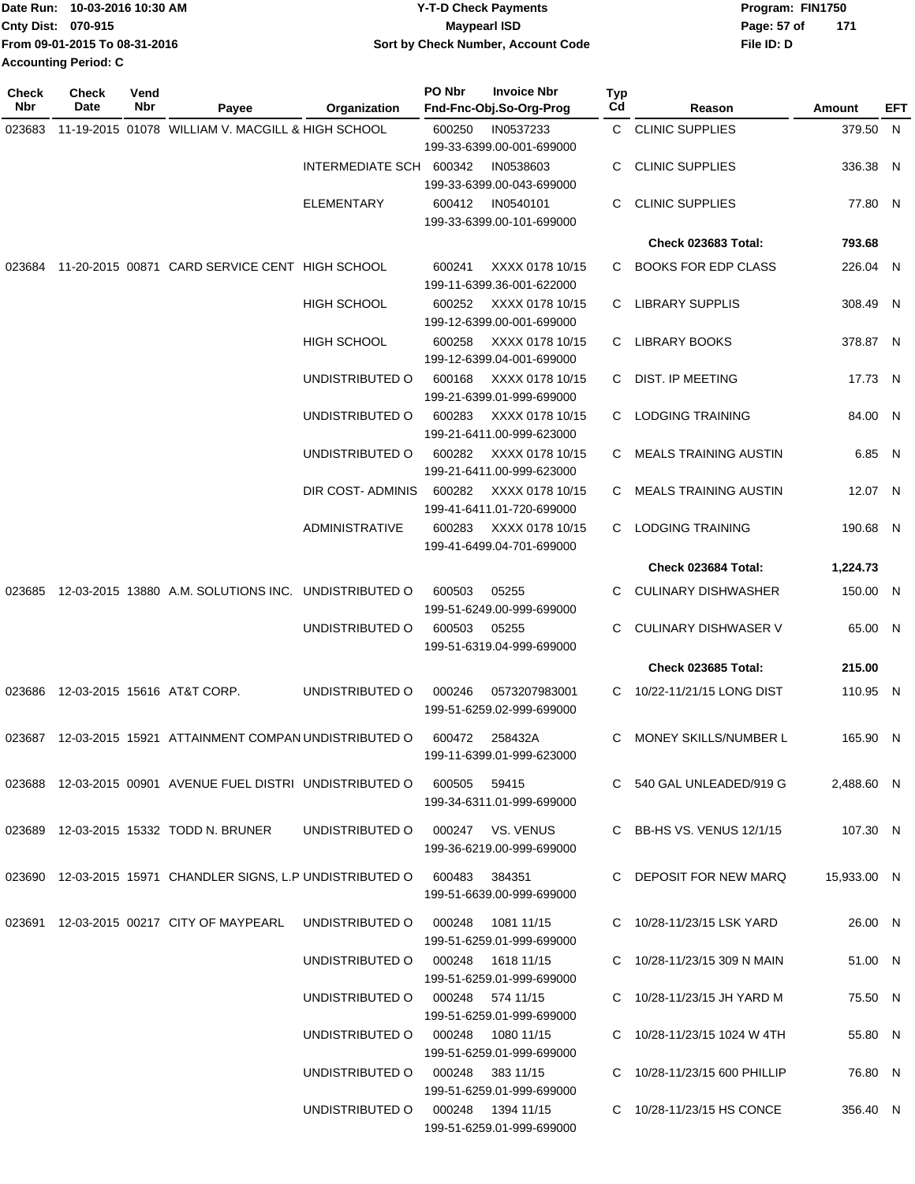|                    | Date Run: 10-03-2016 10:30 AM | <b>Y-T-D Check Payments</b>        | Program: FIN1750     |
|--------------------|-------------------------------|------------------------------------|----------------------|
| Cnty Dist: 070-915 |                               | <b>Mavpearl ISD</b>                | Page: 57 of<br>- 171 |
|                    | From 09-01-2015 To 08-31-2016 | Sort by Check Number, Account Code | File ID: D           |
|                    | <b>Accounting Period: C</b>   |                                    |                      |

| <b>Check</b><br>Nbr | <b>Check</b><br>Date | Vend<br>Nbr | Payee                                                                           | <b>Organization</b>     | PO Nbr<br><b>Invoice Nbr</b><br>Fnd-Fnc-Obj.So-Org-Prog             | Typ<br>Cd | Reason                          | Amount      | EFT |
|---------------------|----------------------|-------------|---------------------------------------------------------------------------------|-------------------------|---------------------------------------------------------------------|-----------|---------------------------------|-------------|-----|
| 023683              |                      |             | 11-19-2015 01078 WILLIAM V. MACGILL & HIGH SCHOOL                               |                         | 600250<br>IN0537233                                                 |           | C CLINIC SUPPLIES               | 379.50 N    |     |
|                     |                      |             |                                                                                 | INTERMEDIATE SCH 600342 | 199-33-6399.00-001-699000<br>IN0538603<br>199-33-6399.00-043-699000 | С         | <b>CLINIC SUPPLIES</b>          | 336.38 N    |     |
|                     |                      |             |                                                                                 | <b>ELEMENTARY</b>       | IN0540101<br>600412<br>199-33-6399.00-101-699000                    | C         | <b>CLINIC SUPPLIES</b>          | 77.80 N     |     |
|                     |                      |             |                                                                                 |                         |                                                                     |           | Check 023683 Total:             | 793.68      |     |
| 023684              |                      |             | 11-20-2015 00871 CARD SERVICE CENT HIGH SCHOOL                                  |                         | 600241<br>XXXX 0178 10/15<br>199-11-6399.36-001-622000              | C.        | <b>BOOKS FOR EDP CLASS</b>      | 226.04 N    |     |
|                     |                      |             |                                                                                 | <b>HIGH SCHOOL</b>      | 600252<br>XXXX 0178 10/15<br>199-12-6399.00-001-699000              | C.        | <b>LIBRARY SUPPLIS</b>          | 308.49 N    |     |
|                     |                      |             |                                                                                 | HIGH SCHOOL             | XXXX 0178 10/15<br>600258<br>199-12-6399.04-001-699000              | C.        | LIBRARY BOOKS                   | 378.87 N    |     |
|                     |                      |             |                                                                                 | UNDISTRIBUTED O         | 600168<br>XXXX 0178 10/15<br>199-21-6399.01-999-699000              | C.        | <b>DIST. IP MEETING</b>         | 17.73 N     |     |
|                     |                      |             |                                                                                 | UNDISTRIBUTED O         | 600283<br>XXXX 0178 10/15<br>199-21-6411.00-999-623000              | C.        | <b>LODGING TRAINING</b>         | 84.00 N     |     |
|                     |                      |             |                                                                                 | UNDISTRIBUTED O         | 600282<br>XXXX 0178 10/15<br>199-21-6411.00-999-623000              | C.        | <b>MEALS TRAINING AUSTIN</b>    | 6.85 N      |     |
|                     |                      |             |                                                                                 | DIR COST- ADMINIS       | XXXX 0178 10/15<br>600282<br>199-41-6411.01-720-699000              | C.        | <b>MEALS TRAINING AUSTIN</b>    | 12.07 N     |     |
|                     |                      |             |                                                                                 | <b>ADMINISTRATIVE</b>   | 600283<br>XXXX 0178 10/15<br>199-41-6499.04-701-699000              |           | C LODGING TRAINING              | 190.68 N    |     |
|                     |                      |             |                                                                                 |                         |                                                                     |           | Check 023684 Total:             | 1,224.73    |     |
| 023685              |                      |             | 12-03-2015 13880 A.M. SOLUTIONS INC. UNDISTRIBUTED O                            |                         | 600503<br>05255<br>199-51-6249.00-999-699000                        | C         | <b>CULINARY DISHWASHER</b>      | 150.00 N    |     |
|                     |                      |             |                                                                                 | UNDISTRIBUTED O         | 600503<br>05255<br>199-51-6319.04-999-699000                        | С         | <b>CULINARY DISHWASER V</b>     | 65.00 N     |     |
|                     |                      |             |                                                                                 |                         |                                                                     |           | Check 023685 Total:             | 215.00      |     |
|                     |                      |             | 023686 12-03-2015 15616 AT&T CORP.                                              | UNDISTRIBUTED O         | 000246<br>0573207983001<br>199-51-6259.02-999-699000                | C.        | 10/22-11/21/15 LONG DIST        | 110.95 N    |     |
| 023687              |                      |             | 12-03-2015 15921 ATTAINMENT COMPAN UNDISTRIBUTED O                              |                         | 600472<br>258432A<br>199-11-6399.01-999-623000                      | C         | MONEY SKILLS/NUMBER L           | 165.90 N    |     |
|                     |                      |             | 023688  12-03-2015  00901  AVENUE FUEL DISTRI  UNDISTRIBUTED   0  600505  59415 |                         | 199-34-6311.01-999-699000                                           |           | C 540 GAL UNLEADED/919 G        | 2,488.60 N  |     |
|                     |                      |             | 023689 12-03-2015 15332 TODD N. BRUNER                                          |                         | UNDISTRIBUTED O 000247 VS. VENUS<br>199-36-6219.00-999-699000       |           | C BB-HS VS. VENUS 12/1/15       | 107.30 N    |     |
|                     |                      |             | 023690 12-03-2015 15971 CHANDLER SIGNS, L.P UNDISTRIBUTED O 600483 384351       |                         | 199-51-6639.00-999-699000                                           |           | C DEPOSIT FOR NEW MARQ          | 15,933.00 N |     |
|                     |                      |             | 023691 12-03-2015 00217 CITY OF MAYPEARL                                        | UNDISTRIBUTED O         | 000248<br>1081 11/15<br>199-51-6259.01-999-699000                   |           | C 10/28-11/23/15 LSK YARD       | 26.00 N     |     |
|                     |                      |             |                                                                                 |                         | UNDISTRIBUTED 0 000248 1618 11/15<br>199-51-6259.01-999-699000      |           | C 10/28-11/23/15 309 N MAIN     | 51.00 N     |     |
|                     |                      |             |                                                                                 |                         | UNDISTRIBUTED O 000248 574 11/15<br>199-51-6259.01-999-699000       |           | C 10/28-11/23/15 JH YARD M      | 75.50 N     |     |
|                     |                      |             |                                                                                 |                         | UNDISTRIBUTED O   000248  1080 11/15<br>199-51-6259.01-999-699000   |           | C $10/28 - 11/23/15$ 1024 W 4TH | 55.80 N     |     |
|                     |                      |             |                                                                                 |                         | UNDISTRIBUTED O 000248 383 11/15<br>199-51-6259.01-999-699000       |           | C 10/28-11/23/15 600 PHILLIP    | 76.80 N     |     |
|                     |                      |             |                                                                                 |                         | UNDISTRIBUTED 0 000248 1394 11/15<br>199-51-6259.01-999-699000      |           | C 10/28-11/23/15 HS CONCE       | 356.40 N    |     |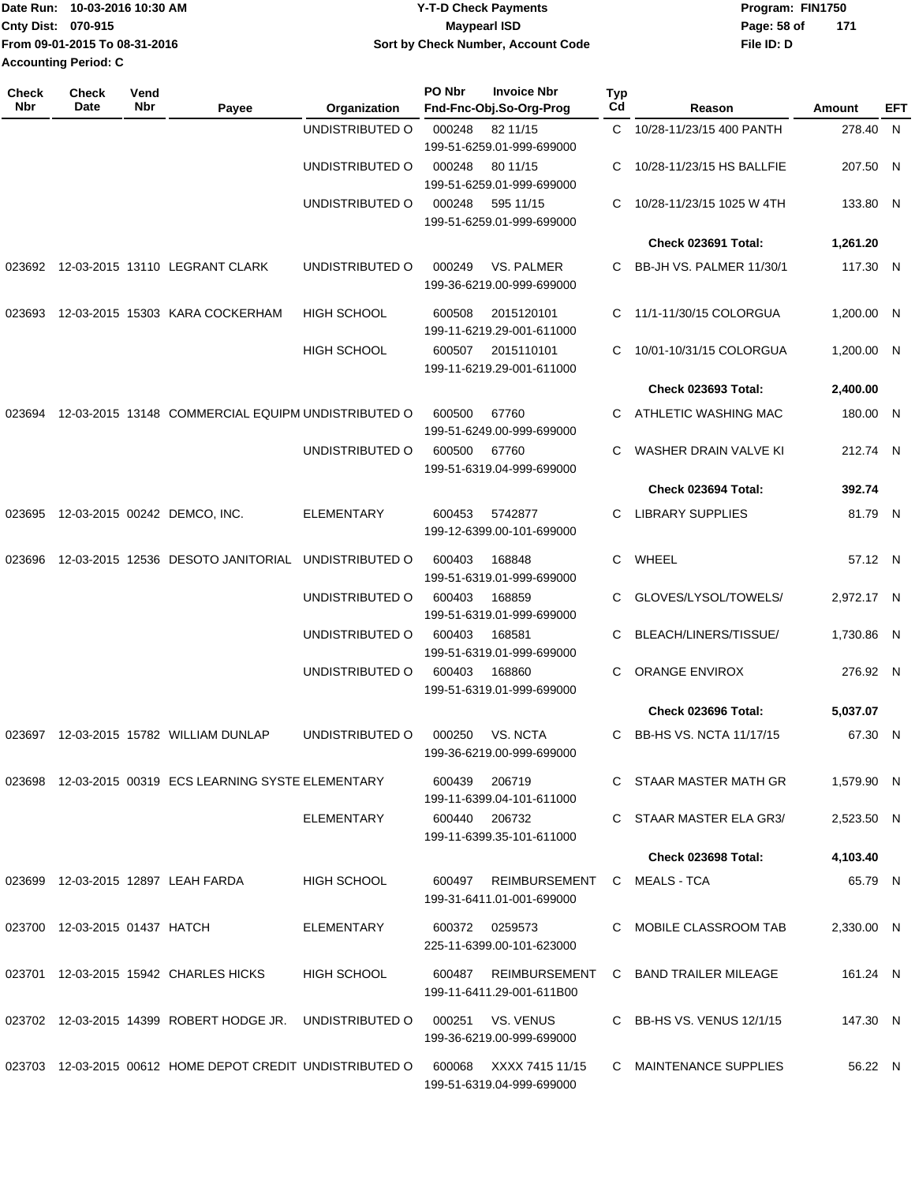| lDate Run: 10-03-2016 10:30 AM | <b>Y-T-D Check Payments</b>        | Program: FIN1750   |
|--------------------------------|------------------------------------|--------------------|
| <b>Cnty Dist: 070-915</b>      | <b>Mavpearl ISD</b>                | 171<br>Page: 58 of |
| From 09-01-2015 To 08-31-2016  | Sort by Check Number, Account Code | File ID: D         |
| <b>Accounting Period: C</b>    |                                    |                    |

| Check<br><b>Nbr</b> | <b>Check</b><br>Date          | Vend<br>Nbr | Payee                                                     | Organization       | PO Nbr | <b>Invoice Nbr</b><br>Fnd-Fnc-Obj.So-Org-Prog  | <b>Typ</b><br>Cd | Reason                     | Amount     | EFT |
|---------------------|-------------------------------|-------------|-----------------------------------------------------------|--------------------|--------|------------------------------------------------|------------------|----------------------------|------------|-----|
|                     |                               |             |                                                           | UNDISTRIBUTED O    | 000248 | 82 11/15<br>199-51-6259.01-999-699000          | C.               | 10/28-11/23/15 400 PANTH   | 278.40 N   |     |
|                     |                               |             |                                                           | UNDISTRIBUTED O    | 000248 | 80 11/15<br>199-51-6259.01-999-699000          | C                | 10/28-11/23/15 HS BALLFIE  | 207.50 N   |     |
|                     |                               |             |                                                           | UNDISTRIBUTED O    | 000248 | 595 11/15<br>199-51-6259.01-999-699000         | C.               | 10/28-11/23/15 1025 W 4TH  | 133.80 N   |     |
|                     |                               |             |                                                           |                    |        |                                                |                  | Check 023691 Total:        | 1,261.20   |     |
|                     |                               |             | 023692 12-03-2015 13110 LEGRANT CLARK                     | UNDISTRIBUTED O    | 000249 | <b>VS. PALMER</b><br>199-36-6219.00-999-699000 | C.               | BB-JH VS. PALMER 11/30/1   | 117.30 N   |     |
| 023693              |                               |             | 12-03-2015 15303 KARA COCKERHAM                           | <b>HIGH SCHOOL</b> | 600508 | 2015120101<br>199-11-6219.29-001-611000        | C                | 11/1-11/30/15 COLORGUA     | 1,200.00 N |     |
|                     |                               |             |                                                           | <b>HIGH SCHOOL</b> | 600507 | 2015110101<br>199-11-6219.29-001-611000        | C.               | 10/01-10/31/15 COLORGUA    | 1,200.00 N |     |
|                     |                               |             |                                                           |                    |        |                                                |                  | Check 023693 Total:        | 2,400.00   |     |
| 023694              |                               |             | 12-03-2015 13148 COMMERCIAL EQUIPM UNDISTRIBUTED O        |                    | 600500 | 67760<br>199-51-6249.00-999-699000             | C.               | ATHLETIC WASHING MAC       | 180.00 N   |     |
|                     |                               |             |                                                           | UNDISTRIBUTED O    | 600500 | 67760<br>199-51-6319.04-999-699000             | C                | WASHER DRAIN VALVE KI      | 212.74 N   |     |
|                     |                               |             |                                                           |                    |        |                                                |                  | Check 023694 Total:        | 392.74     |     |
| 023695              |                               |             | 12-03-2015 00242 DEMCO, INC.                              | <b>ELEMENTARY</b>  | 600453 | 5742877<br>199-12-6399.00-101-699000           | C.               | <b>LIBRARY SUPPLIES</b>    | 81.79 N    |     |
| 023696              |                               |             | 12-03-2015 12536 DESOTO JANITORIAL                        | UNDISTRIBUTED O    | 600403 | 168848<br>199-51-6319.01-999-699000            | C                | WHEEL                      | 57.12 N    |     |
|                     |                               |             |                                                           | UNDISTRIBUTED O    | 600403 | 168859<br>199-51-6319.01-999-699000            | C                | GLOVES/LYSOL/TOWELS/       | 2,972.17 N |     |
|                     |                               |             |                                                           | UNDISTRIBUTED O    | 600403 | 168581<br>199-51-6319.01-999-699000            | C                | BLEACH/LINERS/TISSUE/      | 1,730.86 N |     |
|                     |                               |             |                                                           | UNDISTRIBUTED O    | 600403 | 168860<br>199-51-6319.01-999-699000            | C.               | ORANGE ENVIROX             | 276.92 N   |     |
|                     |                               |             |                                                           |                    |        |                                                |                  | Check 023696 Total:        | 5,037.07   |     |
| 023697              |                               |             | 12-03-2015 15782 WILLIAM DUNLAP                           | UNDISTRIBUTED O    | 000250 | VS. NCTA<br>199-36-6219.00-999-699000          | C.               | BB-HS VS. NCTA 11/17/15    | 67.30 N    |     |
|                     |                               |             | 023698 12-03-2015 00319 ECS LEARNING SYSTE ELEMENTARY     |                    | 600439 | 206719<br>199-11-6399.04-101-611000            |                  | C STAAR MASTER MATH GR     | 1,579.90 N |     |
|                     |                               |             |                                                           | <b>ELEMENTARY</b>  |        | 600440 206732<br>199-11-6399.35-101-611000     |                  | C STAAR MASTER ELA GR3/    | 2,523.50 N |     |
|                     |                               |             |                                                           |                    |        |                                                |                  | <b>Check 023698 Total:</b> | 4,103.40   |     |
|                     |                               |             | 023699 12-03-2015 12897 LEAH FARDA                        | HIGH SCHOOL        | 600497 | REIMBURSEMENT<br>199-31-6411.01-001-699000     |                  | C MEALS-TCA                | 65.79 N    |     |
|                     | 023700 12-03-2015 01437 HATCH |             |                                                           | ELEMENTARY         |        | 600372 0259573<br>225-11-6399.00-101-623000    |                  | C MOBILE CLASSROOM TAB     | 2,330.00 N |     |
|                     |                               |             | 023701 12-03-2015 15942 CHARLES HICKS                     | <b>HIGH SCHOOL</b> | 600487 | REIMBURSEMENT<br>199-11-6411.29-001-611B00     |                  | C BAND TRAILER MILEAGE     | 161.24 N   |     |
|                     |                               |             | 023702 12-03-2015 14399 ROBERT HODGE JR. UNDISTRIBUTED O  |                    | 000251 | VS. VENUS<br>199-36-6219.00-999-699000         |                  | C BB-HS VS. VENUS 12/1/15  | 147.30 N   |     |
|                     |                               |             | 023703 12-03-2015 00612 HOME DEPOT CREDIT UNDISTRIBUTED O |                    | 600068 | XXXX 7415 11/15<br>199-51-6319.04-999-699000   |                  | C MAINTENANCE SUPPLIES     | 56.22 N    |     |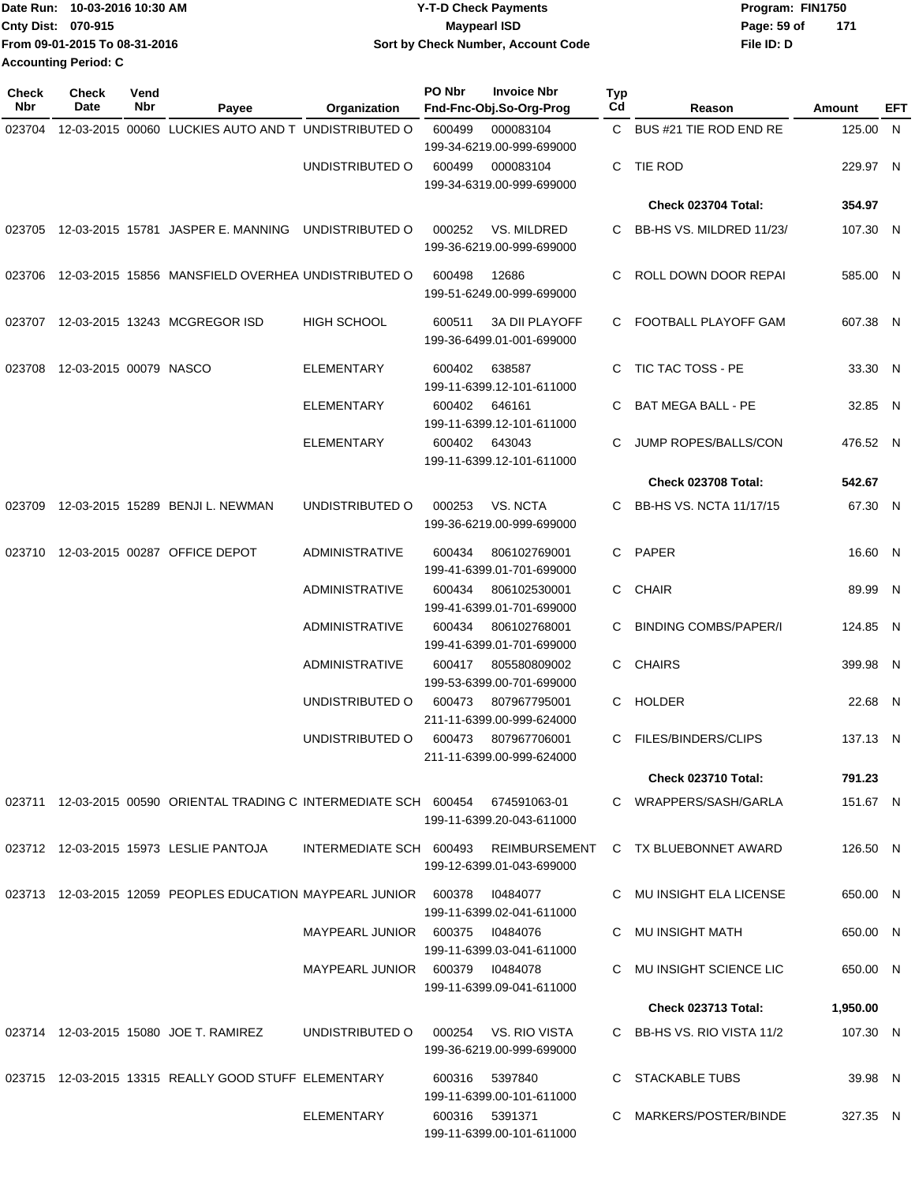|                             | Date Run: 10-03-2016 10:30 AM | <b>Y-T-D Check Payments</b>        | Program: FIN1750 |       |
|-----------------------------|-------------------------------|------------------------------------|------------------|-------|
| Cnty Dist: 070-915          |                               | <b>Mavpearl ISD</b>                | Page: 59 of      | - 171 |
|                             | From 09-01-2015 To 08-31-2016 | Sort by Check Number, Account Code | File ID: D       |       |
| <b>Accounting Period: C</b> |                               |                                    |                  |       |

| <b>Check</b><br>Nbr | <b>Check</b><br>Date          | Vend<br>Nbr | Payee                                                                           | Organization            | PO Nbr | <b>Invoice Nbr</b><br>Fnd-Fnc-Obj.So-Org-Prog                       | Typ<br>Cd | Reason                       | Amount   | EFT |
|---------------------|-------------------------------|-------------|---------------------------------------------------------------------------------|-------------------------|--------|---------------------------------------------------------------------|-----------|------------------------------|----------|-----|
| 023704              |                               |             | 12-03-2015 00060 LUCKIES AUTO AND T UNDISTRIBUTED O                             |                         | 600499 | 000083104                                                           |           | C BUS #21 TIE ROD END RE     | 125.00 N |     |
|                     |                               |             |                                                                                 | UNDISTRIBUTED O         | 600499 | 199-34-6219.00-999-699000<br>000083104<br>199-34-6319.00-999-699000 | C.        | TIE ROD                      | 229.97 N |     |
|                     |                               |             |                                                                                 |                         |        |                                                                     |           | Check 023704 Total:          | 354.97   |     |
|                     |                               |             | 023705 12-03-2015 15781 JASPER E. MANNING UNDISTRIBUTED O                       |                         | 000252 | VS. MILDRED<br>199-36-6219.00-999-699000                            | C         | BB-HS VS. MILDRED 11/23/     | 107.30 N |     |
|                     |                               |             | 023706 12-03-2015 15856 MANSFIELD OVERHEA UNDISTRIBUTED O                       |                         | 600498 | 12686<br>199-51-6249.00-999-699000                                  | C         | ROLL DOWN DOOR REPAI         | 585.00 N |     |
|                     |                               |             | 023707 12-03-2015 13243 MCGREGOR ISD                                            | HIGH SCHOOL             | 600511 | <b>3A DII PLAYOFF</b><br>199-36-6499.01-001-699000                  |           | C FOOTBALL PLAYOFF GAM       | 607.38 N |     |
|                     | 023708 12-03-2015 00079 NASCO |             |                                                                                 | <b>ELEMENTARY</b>       | 600402 | 638587<br>199-11-6399.12-101-611000                                 | C.        | TIC TAC TOSS - PE            | 33.30 N  |     |
|                     |                               |             |                                                                                 | <b>ELEMENTARY</b>       | 600402 | 646161<br>199-11-6399.12-101-611000                                 | C         | <b>BAT MEGA BALL - PE</b>    | 32.85 N  |     |
|                     |                               |             |                                                                                 | <b>ELEMENTARY</b>       |        | 600402 643043<br>199-11-6399.12-101-611000                          | C         | <b>JUMP ROPES/BALLS/CON</b>  | 476.52 N |     |
|                     |                               |             |                                                                                 |                         |        |                                                                     |           | Check 023708 Total:          | 542.67   |     |
| 023709              |                               |             | 12-03-2015 15289 BENJI L. NEWMAN                                                | UNDISTRIBUTED O         | 000253 | VS. NCTA<br>199-36-6219.00-999-699000                               |           | BB-HS VS. NCTA 11/17/15      | 67.30 N  |     |
|                     |                               |             | 023710 12-03-2015 00287 OFFICE DEPOT                                            | <b>ADMINISTRATIVE</b>   | 600434 | 806102769001<br>199-41-6399.01-701-699000                           |           | C PAPER                      | 16.60 N  |     |
|                     |                               |             |                                                                                 | <b>ADMINISTRATIVE</b>   | 600434 | 806102530001<br>199-41-6399.01-701-699000                           |           | C CHAIR                      | 89.99 N  |     |
|                     |                               |             |                                                                                 | <b>ADMINISTRATIVE</b>   | 600434 | 806102768001<br>199-41-6399.01-701-699000                           | C.        | <b>BINDING COMBS/PAPER/I</b> | 124.85 N |     |
|                     |                               |             |                                                                                 | <b>ADMINISTRATIVE</b>   | 600417 | 805580809002<br>199-53-6399.00-701-699000                           |           | C CHAIRS                     | 399.98 N |     |
|                     |                               |             |                                                                                 | UNDISTRIBUTED O         | 600473 | 807967795001<br>211-11-6399.00-999-624000                           |           | C HOLDER                     | 22.68 N  |     |
|                     |                               |             |                                                                                 | UNDISTRIBUTED O         | 600473 | 807967706001<br>211-11-6399.00-999-624000                           |           | C FILES/BINDERS/CLIPS        | 137.13 N |     |
|                     |                               |             |                                                                                 |                         |        |                                                                     |           | <b>Check 023710 Total:</b>   | 791.23   |     |
|                     |                               |             | 023711 12-03-2015 00590 ORIENTAL TRADING C INTERMEDIATE SCH 600454 674591063-01 |                         |        | 199-11-6399.20-043-611000                                           |           | C WRAPPERS/SASH/GARLA        | 151.67 N |     |
|                     |                               |             | 023712 12-03-2015 15973 LESLIE PANTOJA                                          | INTERMEDIATE SCH 600493 |        | REIMBURSEMENT<br>199-12-6399.01-043-699000                          |           | C TX BLUEBONNET AWARD        | 126.50 N |     |
|                     |                               |             | 023713  12-03-2015  12059  PEOPLES EDUCATION MAYPEARL JUNIOR  600378            |                         |        | 10484077<br>199-11-6399.02-041-611000                               |           | C MU INSIGHT ELA LICENSE     | 650.00 N |     |
|                     |                               |             |                                                                                 | MAYPEARL JUNIOR         | 600375 | 10484076<br>199-11-6399.03-041-611000                               |           | C MU INSIGHT MATH            | 650.00 N |     |
|                     |                               |             |                                                                                 | MAYPEARL JUNIOR 600379  |        | 10484078<br>199-11-6399.09-041-611000                               |           | MU INSIGHT SCIENCE LIC       | 650.00 N |     |
|                     |                               |             |                                                                                 |                         |        |                                                                     |           | Check 023713 Total:          | 1,950.00 |     |
|                     |                               |             | 023714 12-03-2015 15080 JOE T. RAMIREZ                                          | UNDISTRIBUTED O         | 000254 | VS. RIO VISTA<br>199-36-6219.00-999-699000                          |           | C BB-HS VS. RIO VISTA 11/2   | 107.30 N |     |
|                     |                               |             | 023715 12-03-2015 13315 REALLY GOOD STUFF ELEMENTARY                            |                         | 600316 | 5397840<br>199-11-6399.00-101-611000                                |           | C STACKABLE TUBS             | 39.98 N  |     |
|                     |                               |             |                                                                                 | <b>ELEMENTARY</b>       |        | 600316 5391371<br>199-11-6399.00-101-611000                         |           | C MARKERS/POSTER/BINDE       | 327.35 N |     |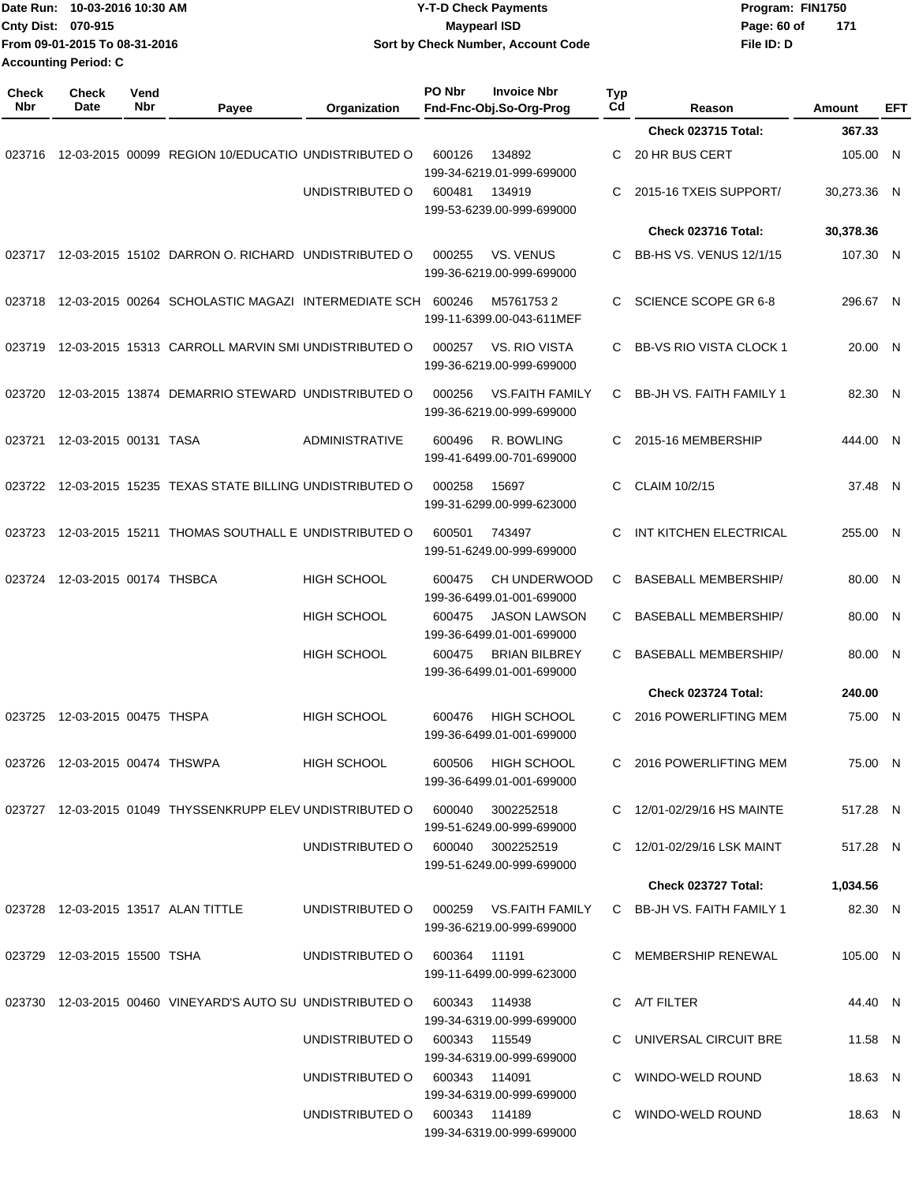| Date Run: 10-03-2016 10:30 AM<br>Cnty Dist: 070-915<br>From 09-01-2015 To 08-31-2016<br><b>Accounting Period: C</b> |                                | <b>Y-T-D Check Payments</b><br><b>Maypearl ISD</b><br>Sort by Check Number, Account Code |                                                               |                       |                |                                                     | Program: FIN1750<br>Page: 60 of<br>File ID: D | 171                             |  |                  |     |
|---------------------------------------------------------------------------------------------------------------------|--------------------------------|------------------------------------------------------------------------------------------|---------------------------------------------------------------|-----------------------|----------------|-----------------------------------------------------|-----------------------------------------------|---------------------------------|--|------------------|-----|
| <b>Check</b><br>Nbr                                                                                                 | Check<br><b>Date</b>           | Vend<br>Nbr                                                                              |                                                               |                       | PO Nbr         | <b>Invoice Nbr</b>                                  | Typ<br>Cd                                     |                                 |  |                  |     |
|                                                                                                                     |                                |                                                                                          | Payee                                                         | Organization          |                | Fnd-Fnc-Obj.So-Org-Prog                             |                                               | Reason<br>Check 023715 Total:   |  | Amount<br>367.33 | EFT |
| 023716                                                                                                              |                                |                                                                                          | 12-03-2015 00099 REGION 10/EDUCATIO UNDISTRIBUTED O           |                       | 600126         | 134892<br>199-34-6219.01-999-699000                 | C                                             | 20 HR BUS CERT                  |  | 105.00 N         |     |
|                                                                                                                     |                                |                                                                                          |                                                               | UNDISTRIBUTED O       | 600481         | 134919<br>199-53-6239.00-999-699000                 | C                                             | 2015-16 TXEIS SUPPORT/          |  | 30,273.36 N      |     |
|                                                                                                                     |                                |                                                                                          |                                                               |                       |                |                                                     |                                               | Check 023716 Total:             |  | 30,378.36        |     |
|                                                                                                                     |                                |                                                                                          | 023717  12-03-2015  15102  DARRON O. RICHARD  UNDISTRIBUTED O |                       | 000255         | <b>VS. VENUS</b><br>199-36-6219.00-999-699000       | C                                             | BB-HS VS. VENUS 12/1/15         |  | 107.30 N         |     |
| 023718                                                                                                              |                                |                                                                                          | 12-03-2015 00264 SCHOLASTIC MAGAZI INTERMEDIATE SCH 600246    |                       |                | M57617532<br>199-11-6399.00-043-611MEF              | C                                             | SCIENCE SCOPE GR 6-8            |  | 296.67 N         |     |
| 023719                                                                                                              |                                |                                                                                          | 12-03-2015 15313 CARROLL MARVIN SMI UNDISTRIBUTED O           |                       | 000257         | VS. RIO VISTA<br>199-36-6219.00-999-699000          | C                                             | <b>BB-VS RIO VISTA CLOCK 1</b>  |  | 20.00 N          |     |
| 023720                                                                                                              |                                |                                                                                          | 12-03-2015 13874 DEMARRIO STEWARD UNDISTRIBUTED O             |                       | 000256         | <b>VS.FAITH FAMILY</b><br>199-36-6219.00-999-699000 | C                                             | <b>BB-JH VS. FAITH FAMILY 1</b> |  | 82.30 N          |     |
| 023721                                                                                                              | 12-03-2015 00131 TASA          |                                                                                          |                                                               | <b>ADMINISTRATIVE</b> | 600496         | R. BOWLING<br>199-41-6499.00-701-699000             | С                                             | 2015-16 MEMBERSHIP              |  | 444.00 N         |     |
| 023722                                                                                                              |                                |                                                                                          | 12-03-2015 15235 TEXAS STATE BILLING UNDISTRIBUTED O          |                       | 000258         | 15697<br>199-31-6299.00-999-623000                  | C                                             | CLAIM 10/2/15                   |  | 37.48 N          |     |
| 023723                                                                                                              |                                |                                                                                          | 12-03-2015 15211 THOMAS SOUTHALL E UNDISTRIBUTED O            |                       | 600501         | 743497<br>199-51-6249.00-999-699000                 | C                                             | INT KITCHEN ELECTRICAL          |  | 255.00 N         |     |
| 023724                                                                                                              | 12-03-2015 00174 THSBCA        |                                                                                          |                                                               | HIGH SCHOOL           | 600475         | <b>CH UNDERWOOD</b><br>199-36-6499.01-001-699000    | C                                             | <b>BASEBALL MEMBERSHIP/</b>     |  | 80.00 N          |     |
|                                                                                                                     |                                |                                                                                          |                                                               | <b>HIGH SCHOOL</b>    | 600475         | <b>JASON LAWSON</b><br>199-36-6499.01-001-699000    | C                                             | <b>BASEBALL MEMBERSHIP/</b>     |  | 80.00            | N   |
|                                                                                                                     |                                |                                                                                          |                                                               | <b>HIGH SCHOOL</b>    | 600475         | <b>BRIAN BILBREY</b><br>199-36-6499.01-001-699000   | C                                             | <b>BASEBALL MEMBERSHIP/</b>     |  | 80.00 N          |     |
|                                                                                                                     |                                |                                                                                          |                                                               |                       |                |                                                     |                                               | <b>Check 023724 Total:</b>      |  | 240.00           |     |
|                                                                                                                     | 023725 12-03-2015 00475 THSPA  |                                                                                          |                                                               | <b>HIGH SCHOOL</b>    |                | 600476 HIGH SCHOOL<br>199-36-6499.01-001-699000     |                                               | C 2016 POWERLIFTING MEM         |  | 75.00 N          |     |
|                                                                                                                     | 023726 12-03-2015 00474 THSWPA |                                                                                          |                                                               | HIGH SCHOOL           |                | 600506 HIGH SCHOOL<br>199-36-6499.01-001-699000     |                                               | C 2016 POWERLIFTING MEM         |  | 75.00 N          |     |
|                                                                                                                     |                                |                                                                                          | 023727 12-03-2015 01049 THYSSENKRUPP ELEV UNDISTRIBUTED O     |                       | 600040         | 3002252518<br>199-51-6249.00-999-699000             |                                               | C 12/01-02/29/16 HS MAINTE      |  | 517.28 N         |     |
|                                                                                                                     |                                |                                                                                          |                                                               | UNDISTRIBUTED O       |                | 600040 3002252519<br>199-51-6249.00-999-699000      |                                               | C 12/01-02/29/16 LSK MAINT      |  | 517.28 N         |     |
|                                                                                                                     |                                |                                                                                          |                                                               |                       |                |                                                     |                                               | Check 023727 Total:             |  | 1,034.56         |     |
|                                                                                                                     |                                |                                                                                          | 023728 12-03-2015 13517 ALAN TITTLE                           | UNDISTRIBUTED O       | 000259         | VS.FAITH FAMILY<br>199-36-6219.00-999-699000        |                                               | C BB-JH VS. FAITH FAMILY 1      |  | 82.30 N          |     |
|                                                                                                                     | 023729 12-03-2015 15500 TSHA   |                                                                                          |                                                               | UNDISTRIBUTED O       | 600364 11191   | 199-11-6499.00-999-623000                           |                                               | C MEMBERSHIP RENEWAL            |  | 105.00 N         |     |
|                                                                                                                     |                                |                                                                                          | 023730 12-03-2015 00460 VINEYARD'S AUTO SU UNDISTRIBUTED O    |                       | 600343 114938  | 199-34-6319.00-999-699000                           |                                               | C A/T FILTER                    |  | 44.40 N          |     |
|                                                                                                                     |                                |                                                                                          |                                                               | UNDISTRIBUTED O       | 600343 115549  | 199-34-6319.00-999-699000                           |                                               | C UNIVERSAL CIRCUIT BRE         |  | 11.58 N          |     |
|                                                                                                                     |                                |                                                                                          |                                                               | UNDISTRIBUTED O       | 600343  114091 | 199-34-6319.00-999-699000                           |                                               | C WINDO-WELD ROUND              |  | 18.63 N          |     |
|                                                                                                                     |                                |                                                                                          |                                                               | UNDISTRIBUTED O       | 600343 114189  | 199-34-6319.00-999-699000                           |                                               | C WINDO-WELD ROUND              |  | 18.63 N          |     |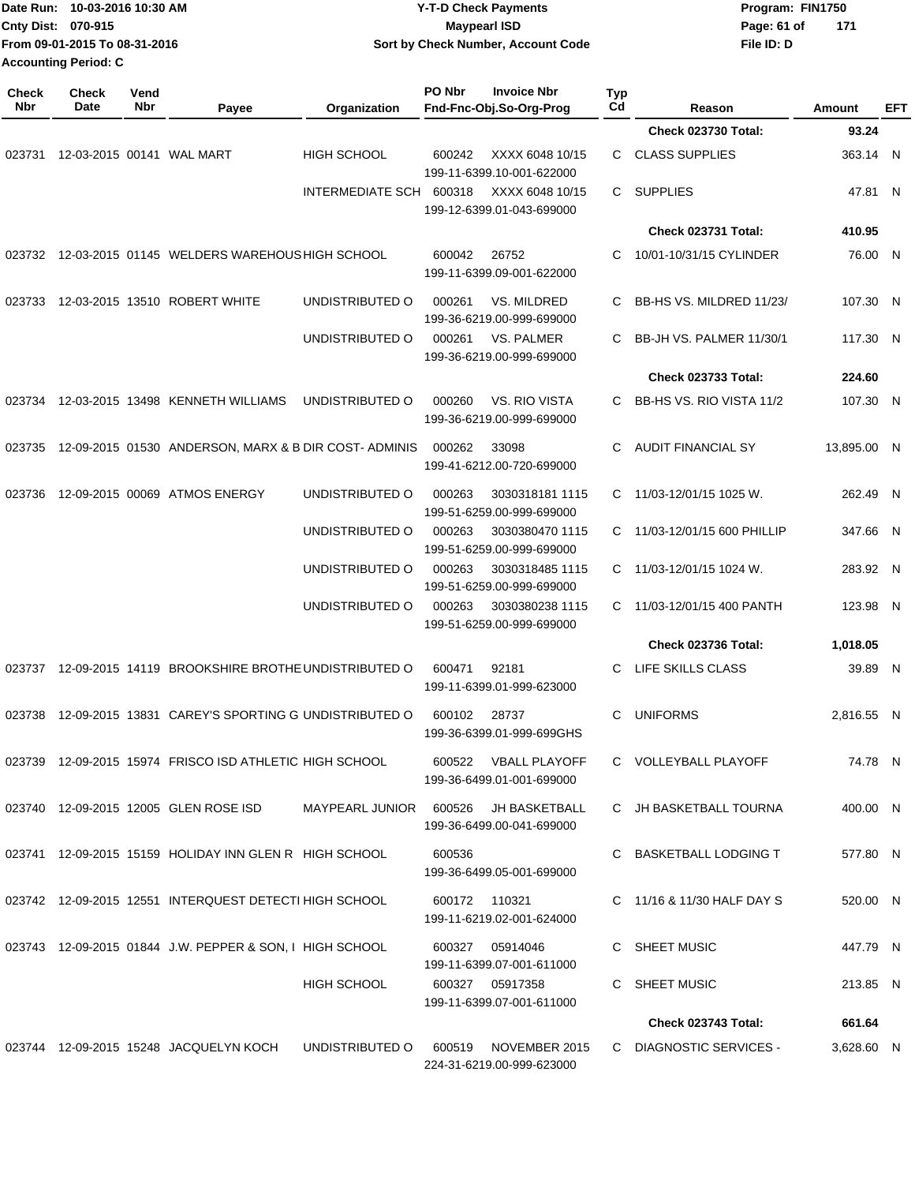| Date Run: 10-03-2016 10:30 AM<br>Cnty Dist: 070-915<br>From 09-01-2015 To 08-31-2016 |                                              |             | <b>Y-T-D Check Payments</b><br><b>Maypearl ISD</b><br>Sort by Check Number, Account Code |                                      |        |                                                   |           | Program: FIN1750<br>Page: 61 of<br>File ID: D   | 171 |                      |            |
|--------------------------------------------------------------------------------------|----------------------------------------------|-------------|------------------------------------------------------------------------------------------|--------------------------------------|--------|---------------------------------------------------|-----------|-------------------------------------------------|-----|----------------------|------------|
| <b>Check</b><br>Nbr                                                                  | <b>Accounting Period: C</b><br>Check<br>Date | Vend<br>Nbr | Payee                                                                                    | Organization                         | PO Nbr | <b>Invoice Nbr</b><br>Fnd-Fnc-Obj.So-Org-Prog     | Typ<br>Cd | Reason                                          |     | Amount               | <b>EFT</b> |
|                                                                                      |                                              |             |                                                                                          |                                      |        |                                                   |           | Check 023730 Total:                             |     | 93.24                |            |
| 023731                                                                               |                                              |             | 12-03-2015 00141 WAL MART                                                                | <b>HIGH SCHOOL</b>                   | 600242 | XXXX 6048 10/15<br>199-11-6399.10-001-622000      | C         | <b>CLASS SUPPLIES</b>                           |     | 363.14 N             |            |
|                                                                                      |                                              |             |                                                                                          | INTERMEDIATE SCH                     | 600318 | XXXX 6048 10/15<br>199-12-6399.01-043-699000      | C.        | SUPPLIES                                        |     | 47.81 N              |            |
|                                                                                      |                                              |             |                                                                                          |                                      |        |                                                   |           | Check 023731 Total:                             |     | 410.95               |            |
| 023732                                                                               |                                              |             | 12-03-2015 01145 WELDERS WAREHOUS HIGH SCHOOL                                            |                                      | 600042 | 26752<br>199-11-6399.09-001-622000                | С         | 10/01-10/31/15 CYLINDER                         |     | 76.00 N              |            |
| 023733                                                                               |                                              |             | 12-03-2015 13510 ROBERT WHITE                                                            | UNDISTRIBUTED O                      | 000261 | VS. MILDRED<br>199-36-6219.00-999-699000          |           | BB-HS VS. MILDRED 11/23/                        |     | 107.30 N             |            |
|                                                                                      |                                              |             |                                                                                          | UNDISTRIBUTED O                      | 000261 | VS. PALMER<br>199-36-6219.00-999-699000           | С         | BB-JH VS. PALMER 11/30/1                        |     | 117.30 N             |            |
|                                                                                      |                                              |             |                                                                                          |                                      |        |                                                   |           | Check 023733 Total:                             |     | 224.60               |            |
| 023734                                                                               |                                              |             | 12-03-2015 13498 KENNETH WILLIAMS                                                        | UNDISTRIBUTED O                      | 000260 | VS. RIO VISTA<br>199-36-6219.00-999-699000        | C         | BB-HS VS. RIO VISTA 11/2                        |     | 107.30 N             |            |
| 023735                                                                               |                                              |             | 12-09-2015 01530 ANDERSON, MARX & B DIR COST-ADMINIS                                     |                                      | 000262 | 33098<br>199-41-6212.00-720-699000                | C         | <b>AUDIT FINANCIAL SY</b>                       |     | 13,895.00 N          |            |
| 023736                                                                               |                                              |             | 12-09-2015 00069 ATMOS ENERGY                                                            | UNDISTRIBUTED O                      | 000263 | 3030318181 1115<br>199-51-6259.00-999-699000      | C         | 11/03-12/01/15 1025 W.                          |     | 262.49 N             |            |
|                                                                                      |                                              |             |                                                                                          | UNDISTRIBUTED O                      | 000263 | 3030380470 1115<br>199-51-6259.00-999-699000      | C         | 11/03-12/01/15 600 PHILLIP                      |     | 347.66 N             |            |
|                                                                                      |                                              |             |                                                                                          | UNDISTRIBUTED O                      | 000263 | 3030318485 1115<br>199-51-6259.00-999-699000      | C         | 11/03-12/01/15 1024 W.                          |     | 283.92 N             |            |
|                                                                                      |                                              |             |                                                                                          | UNDISTRIBUTED O                      | 000263 | 3030380238 1115<br>199-51-6259.00-999-699000      | C         | 11/03-12/01/15 400 PANTH<br>Check 023736 Total: |     | 123.98 N<br>1,018.05 |            |
| 023737                                                                               |                                              |             | 12-09-2015 14119 BROOKSHIRE BROTHE UNDISTRIBUTED O                                       |                                      | 600471 | 92181<br>199-11-6399.01-999-623000                |           | C LIFE SKILLS CLASS                             |     | 39.89 N              |            |
|                                                                                      |                                              |             | 023738 12-09-2015 13831 CAREY'S SPORTING G UNDISTRIBUTED O 600102 28737                  |                                      |        | 199-36-6399.01-999-699GHS                         |           | C UNIFORMS                                      |     | 2,816.55 N           |            |
|                                                                                      |                                              |             | 023739 12-09-2015 15974 FRISCO ISD ATHLETIC HIGH SCHOOL                                  |                                      |        | 600522 VBALL PLAYOFF<br>199-36-6499.01-001-699000 |           | C VOLLEYBALL PLAYOFF                            |     | 74.78 N              |            |
|                                                                                      |                                              |             | 023740 12-09-2015 12005 GLEN ROSE ISD                                                    | MAYPEARL JUNIOR 600526 JH BASKETBALL |        | 199-36-6499.00-041-699000                         |           | C JH BASKETBALL TOURNA                          |     | 400.00 N             |            |
|                                                                                      |                                              |             | 023741 12-09-2015 15159 HOLIDAY INN GLEN R HIGH SCHOOL                                   |                                      | 600536 | 199-36-6499.05-001-699000                         |           | C BASKETBALL LODGING T                          |     | 577.80 N             |            |
|                                                                                      |                                              |             | 023742 12-09-2015 12551 INTERQUEST DETECTI HIGH SCHOOL                                   |                                      |        | 600172 110321<br>199-11-6219.02-001-624000        |           | C 11/16 & 11/30 HALF DAY S                      |     | 520.00 N             |            |
|                                                                                      |                                              |             | 023743 12-09-2015 01844 J.W. PEPPER & SON, I HIGH SCHOOL                                 |                                      |        | 600327 05914046<br>199-11-6399.07-001-611000      |           | C SHEET MUSIC                                   |     | 447.79 N             |            |
|                                                                                      |                                              |             |                                                                                          | HIGH SCHOOL                          |        | 600327 05917358<br>199-11-6399.07-001-611000      |           | C SHEET MUSIC                                   |     | 213.85 N             |            |
|                                                                                      |                                              |             |                                                                                          |                                      |        |                                                   |           | Check 023743 Total:                             |     | 661.64               |            |
|                                                                                      |                                              |             | 023744 12-09-2015 15248 JACQUELYN KOCH                                                   | UNDISTRIBUTED O                      |        | 600519 NOVEMBER 2015<br>224-31-6219.00-999-623000 |           | C DIAGNOSTIC SERVICES -                         |     | 3,628.60 N           |            |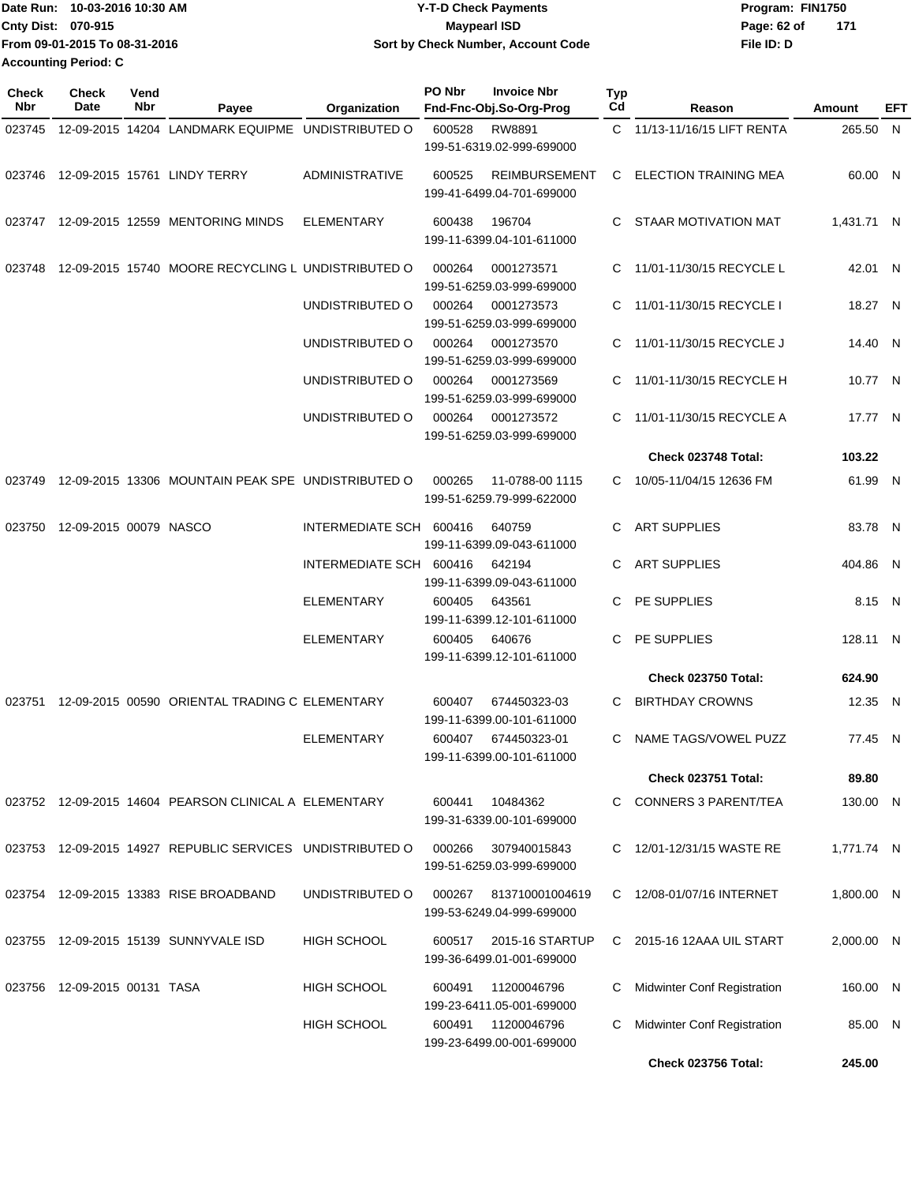|                             | IDate Run: 10-03-2016 10:30 AM | Y-T-D Check Payments               | Program: FIN1750   |  |
|-----------------------------|--------------------------------|------------------------------------|--------------------|--|
| <b>Cnty Dist: 070-915</b>   |                                | <b>Mavpearl ISD</b>                | 171<br>Page: 62 of |  |
|                             | From 09-01-2015 To 08-31-2016  | Sort by Check Number, Account Code | File ID: D         |  |
| <b>Accounting Period: C</b> |                                |                                    |                    |  |

| Check<br>Nbr | <b>Check</b><br>Date         | Vend<br>Nbr | Payee                                                     | Organization            | PO Nbr<br><b>Invoice Nbr</b><br>Fnd-Fnc-Obj.So-Org-Prog     | Typ<br>Cd | Reason                      | Amount     | EFT |
|--------------|------------------------------|-------------|-----------------------------------------------------------|-------------------------|-------------------------------------------------------------|-----------|-----------------------------|------------|-----|
| 023745       |                              |             | 12-09-2015 14204 LANDMARK EQUIPME UNDISTRIBUTED O         |                         | 600528<br>RW8891<br>199-51-6319.02-999-699000               |           | C 11/13-11/16/15 LIFT RENTA | 265.50 N   |     |
|              |                              |             | 023746 12-09-2015 15761 LINDY TERRY                       | <b>ADMINISTRATIVE</b>   | 600525<br><b>REIMBURSEMENT</b><br>199-41-6499.04-701-699000 |           | C ELECTION TRAINING MEA     | 60.00 N    |     |
| 023747       |                              |             | 12-09-2015 12559 MENTORING MINDS                          | <b>ELEMENTARY</b>       | 196704<br>600438<br>199-11-6399.04-101-611000               | C.        | STAAR MOTIVATION MAT        | 1,431.71 N |     |
| 023748       |                              |             | 12-09-2015 15740 MOORE RECYCLING L UNDISTRIBUTED O        |                         | 000264<br>0001273571<br>199-51-6259.03-999-699000           |           | C 11/01-11/30/15 RECYCLE L  | 42.01 N    |     |
|              |                              |             |                                                           | UNDISTRIBUTED O         | 000264<br>0001273573<br>199-51-6259.03-999-699000           |           | C 11/01-11/30/15 RECYCLE I  | 18.27 N    |     |
|              |                              |             |                                                           | UNDISTRIBUTED O         | 000264<br>0001273570<br>199-51-6259.03-999-699000           | C         | 11/01-11/30/15 RECYCLE J    | 14.40 N    |     |
|              |                              |             |                                                           | UNDISTRIBUTED O         | 000264<br>0001273569<br>199-51-6259.03-999-699000           | C.        | 11/01-11/30/15 RECYCLE H    | 10.77 N    |     |
|              |                              |             |                                                           | UNDISTRIBUTED O         | 000264<br>0001273572<br>199-51-6259.03-999-699000           | C.        | 11/01-11/30/15 RECYCLE A    | 17.77 N    |     |
|              |                              |             |                                                           |                         |                                                             |           | Check 023748 Total:         | 103.22     |     |
| 023749       |                              |             | 12-09-2015 13306 MOUNTAIN PEAK SPE UNDISTRIBUTED O        |                         | 000265<br>11-0788-00 1115<br>199-51-6259.79-999-622000      |           | C 10/05-11/04/15 12636 FM   | 61.99 N    |     |
| 023750       | 12-09-2015 00079 NASCO       |             |                                                           | INTERMEDIATE SCH 600416 | 640759<br>199-11-6399.09-043-611000                         | C         | <b>ART SUPPLIES</b>         | 83.78 N    |     |
|              |                              |             |                                                           | INTERMEDIATE SCH 600416 | 642194<br>199-11-6399.09-043-611000                         | C.        | <b>ART SUPPLIES</b>         | 404.86 N   |     |
|              |                              |             |                                                           | <b>ELEMENTARY</b>       | 643561<br>600405<br>199-11-6399.12-101-611000               | C         | PE SUPPLIES                 | 8.15 N     |     |
|              |                              |             |                                                           | <b>ELEMENTARY</b>       | 600405<br>640676<br>199-11-6399.12-101-611000               | C.        | PE SUPPLIES                 | 128.11 N   |     |
|              |                              |             |                                                           |                         |                                                             |           | <b>Check 023750 Total:</b>  | 624.90     |     |
| 023751       |                              |             | 12-09-2015 00590 ORIENTAL TRADING C ELEMENTARY            |                         | 600407<br>674450323-03<br>199-11-6399.00-101-611000         | C.        | <b>BIRTHDAY CROWNS</b>      | 12.35 N    |     |
|              |                              |             |                                                           | <b>ELEMENTARY</b>       | 600407<br>674450323-01<br>199-11-6399.00-101-611000         | C         | NAME TAGS/VOWEL PUZZ        | 77.45 N    |     |
|              |                              |             |                                                           |                         |                                                             |           | <b>Check 023751 Total:</b>  | 89.80      |     |
|              |                              |             | 023752 12-09-2015 14604 PEARSON CLINICAL A ELEMENTARY     |                         | 10484362<br>600441<br>199-31-6339.00-101-699000             |           | C CONNERS 3 PARENT/TEA      | 130.00 N   |     |
|              |                              |             | 023753 12-09-2015 14927 REPUBLIC SERVICES UNDISTRIBUTED O |                         | 307940015843<br>000266<br>199-51-6259.03-999-699000         |           | C 12/01-12/31/15 WASTE RE   | 1,771.74 N |     |
|              |                              |             | 023754 12-09-2015 13383 RISE BROADBAND                    | UNDISTRIBUTED O         | 000267<br>813710001004619<br>199-53-6249.04-999-699000      |           | C 12/08-01/07/16 INTERNET   | 1,800.00 N |     |
|              |                              |             | 023755 12-09-2015 15139 SUNNYVALE ISD                     | <b>HIGH SCHOOL</b>      | 600517<br>2015-16 STARTUP<br>199-36-6499.01-001-699000      |           | C 2015-16 12AAA UIL START   | 2,000.00 N |     |
|              | 023756 12-09-2015 00131 TASA |             |                                                           | <b>HIGH SCHOOL</b>      | 600491<br>11200046796<br>199-23-6411.05-001-699000          | С         | Midwinter Conf Registration | 160.00 N   |     |
|              |                              |             |                                                           | <b>HIGH SCHOOL</b>      | 600491<br>11200046796<br>199-23-6499.00-001-699000          | С         | Midwinter Conf Registration | 85.00 N    |     |
|              |                              |             |                                                           |                         |                                                             |           | <b>Check 023756 Total:</b>  | 245.00     |     |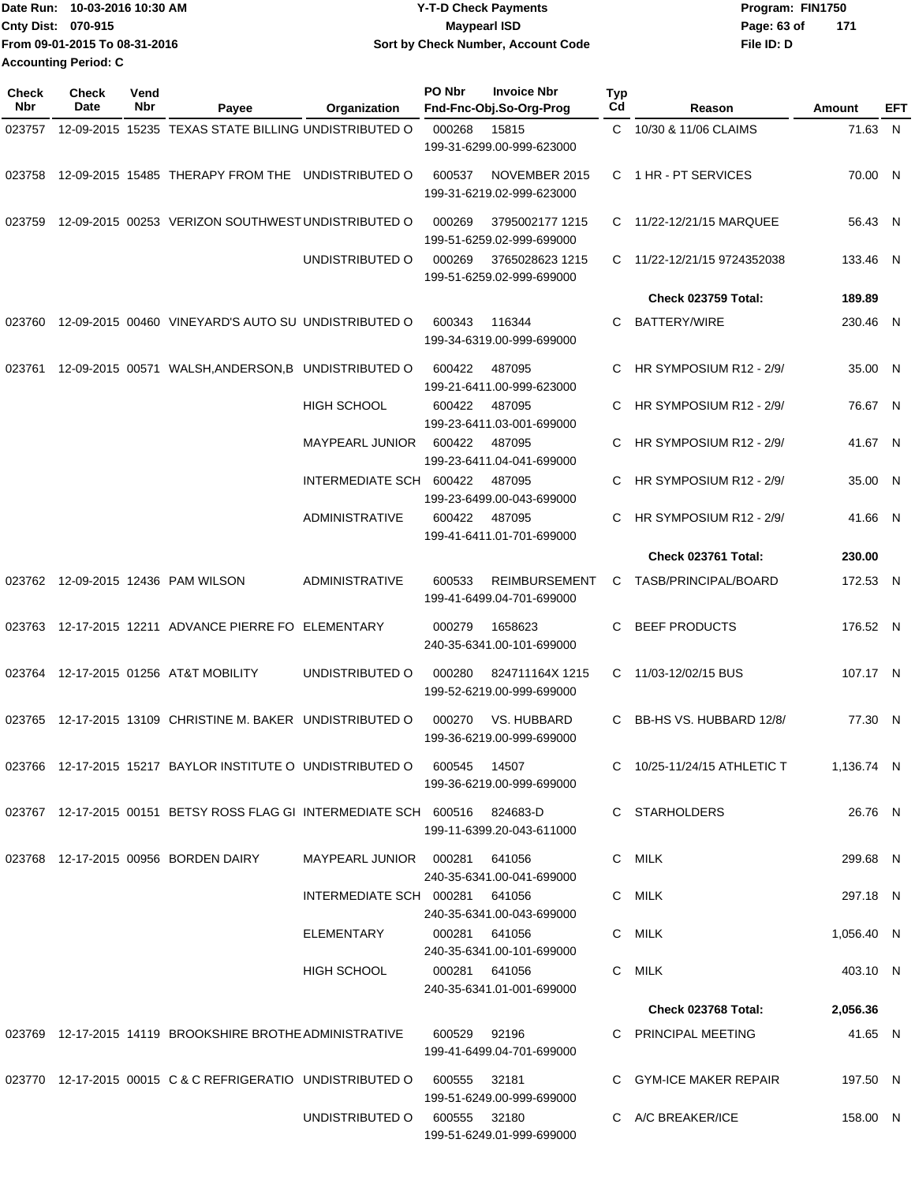| Date Run: 10-03-2016 10:30 AM | <b>Y-T-D Check Payments</b>        | Program: FIN1750   |
|-------------------------------|------------------------------------|--------------------|
| <b>Cnty Dist: 070-915</b>     | Maypearl ISD                       | 171<br>Page: 63 of |
| From 09-01-2015 To 08-31-2016 | Sort by Check Number, Account Code | File ID: D         |
| Accounting Period: C          |                                    |                    |

| <b>Check</b><br>Nbr | <b>Check</b><br>Date | Vend<br>Nbr | Payee                                                                       | Organization                   | PO Nbr        | <b>Invoice Nbr</b><br>Fnd-Fnc-Obj.So-Org-Prog     | <b>Typ</b><br>Cd | Reason                      | Amount     | EFT |
|---------------------|----------------------|-------------|-----------------------------------------------------------------------------|--------------------------------|---------------|---------------------------------------------------|------------------|-----------------------------|------------|-----|
| 023757              |                      |             | 12-09-2015 15235 TEXAS STATE BILLING UNDISTRIBUTED O                        |                                | 000268        | 15815<br>199-31-6299.00-999-623000                |                  | C 10/30 & 11/06 CLAIMS      | 71.63 N    |     |
|                     |                      |             | 023758 12-09-2015 15485 THERAPY FROM THE UNDISTRIBUTED O                    |                                | 600537        | NOVEMBER 2015<br>199-31-6219.02-999-623000        |                  | C 1 HR - PT SERVICES        | 70.00 N    |     |
| 023759              |                      |             | 12-09-2015 00253 VERIZON SOUTHWEST UNDISTRIBUTED O                          |                                | 000269        | 3795002177 1215<br>199-51-6259.02-999-699000      |                  | C 11/22-12/21/15 MARQUEE    | 56.43 N    |     |
|                     |                      |             |                                                                             | UNDISTRIBUTED O                | 000269        | 3765028623 1215<br>199-51-6259.02-999-699000      |                  | C 11/22-12/21/15 9724352038 | 133.46 N   |     |
|                     |                      |             |                                                                             |                                |               |                                                   |                  | <b>Check 023759 Total:</b>  | 189.89     |     |
| 023760              |                      |             | 12-09-2015 00460 VINEYARD'S AUTO SU UNDISTRIBUTED O                         |                                | 600343        | 116344<br>199-34-6319.00-999-699000               | C.               | BATTERY/WIRE                | 230.46 N   |     |
| 023761              |                      |             | 12-09-2015 00571 WALSH, ANDERSON, B UNDISTRIBUTED O                         |                                | 600422        | 487095<br>199-21-6411.00-999-623000               | C                | HR SYMPOSIUM R12 - 2/9/     | 35.00 N    |     |
|                     |                      |             |                                                                             | HIGH SCHOOL                    | 600422        | 487095<br>199-23-6411.03-001-699000               | C                | HR SYMPOSIUM R12 - 2/9/     | 76.67 N    |     |
|                     |                      |             |                                                                             | MAYPEARL JUNIOR                | 600422        | 487095<br>199-23-6411.04-041-699000               | C                | HR SYMPOSIUM R12 - 2/9/     | 41.67 N    |     |
|                     |                      |             |                                                                             | INTERMEDIATE SCH 600422        |               | 487095<br>199-23-6499.00-043-699000               | C                | HR SYMPOSIUM R12 - 2/9/     | 35.00 N    |     |
|                     |                      |             |                                                                             | <b>ADMINISTRATIVE</b>          | 600422        | 487095<br>199-41-6411.01-701-699000               | C.               | HR SYMPOSIUM R12 - 2/9/     | 41.66 N    |     |
|                     |                      |             |                                                                             |                                |               |                                                   |                  | Check 023761 Total:         | 230.00     |     |
|                     |                      |             | 023762 12-09-2015 12436 PAM WILSON                                          | <b>ADMINISTRATIVE</b>          | 600533        | <b>REIMBURSEMENT</b><br>199-41-6499.04-701-699000 | C.               | TASB/PRINCIPAL/BOARD        | 172.53 N   |     |
| 023763              |                      |             | 12-17-2015 12211 ADVANCE PIERRE FO ELEMENTARY                               |                                | 000279        | 1658623<br>240-35-6341.00-101-699000              | C.               | <b>BEEF PRODUCTS</b>        | 176.52 N   |     |
|                     |                      |             | 023764 12-17-2015 01256 AT&T MOBILITY                                       | UNDISTRIBUTED O                | 000280        | 824711164X 1215<br>199-52-6219.00-999-699000      |                  | C 11/03-12/02/15 BUS        | 107.17 N   |     |
| 023765              |                      |             | 12-17-2015 13109 CHRISTINE M. BAKER UNDISTRIBUTED O                         |                                | 000270        | VS. HUBBARD<br>199-36-6219.00-999-699000          | C.               | BB-HS VS. HUBBARD 12/8/     | 77.30 N    |     |
|                     |                      |             | 023766 12-17-2015 15217 BAYLOR INSTITUTE O UNDISTRIBUTED O 600545 14507     |                                |               | 199-36-6219.00-999-699000                         |                  | C 10/25-11/24/15 ATHLETIC T | 1,136.74 N |     |
|                     |                      |             | 023767 12-17-2015 00151 BETSY ROSS FLAG GI INTERMEDIATE SCH 600516 824683-D |                                |               | 199-11-6399.20-043-611000                         |                  | C STARHOLDERS               | 26.76 N    |     |
|                     |                      |             | 023768 12-17-2015 00956 BORDEN DAIRY                                        |                                |               | 641056<br>240-35-6341.00-041-699000               |                  | C MILK                      | 299.68 N   |     |
|                     |                      |             |                                                                             | INTERMEDIATE SCH 000281 641056 |               | 240-35-6341.00-043-699000                         |                  | C MILK                      | 297.18 N   |     |
|                     |                      |             |                                                                             | ELEMENTARY                     |               | 000281 641056<br>240-35-6341.00-101-699000        |                  | C MILK                      | 1,056.40 N |     |
|                     |                      |             |                                                                             | HIGH SCHOOL                    | 000281 641056 | 240-35-6341.01-001-699000                         |                  | C MILK                      | 403.10 N   |     |
|                     |                      |             |                                                                             |                                |               |                                                   |                  | Check 023768 Total:         | 2,056.36   |     |
|                     |                      |             | 023769 12-17-2015 14119 BROOKSHIRE BROTHE ADMINISTRATIVE                    |                                | 600529 92196  | 199-41-6499.04-701-699000                         |                  | C PRINCIPAL MEETING         | 41.65 N    |     |
|                     |                      |             | 023770 12-17-2015 00015 C & C REFRIGERATIO UNDISTRIBUTED O                  |                                | 600555  32181 | 199-51-6249.00-999-699000                         |                  | C GYM-ICE MAKER REPAIR      | 197.50 N   |     |
|                     |                      |             |                                                                             | UNDISTRIBUTED O 600555 32180   |               | 199-51-6249.01-999-699000                         |                  | C A/C BREAKER/ICE           | 158.00 N   |     |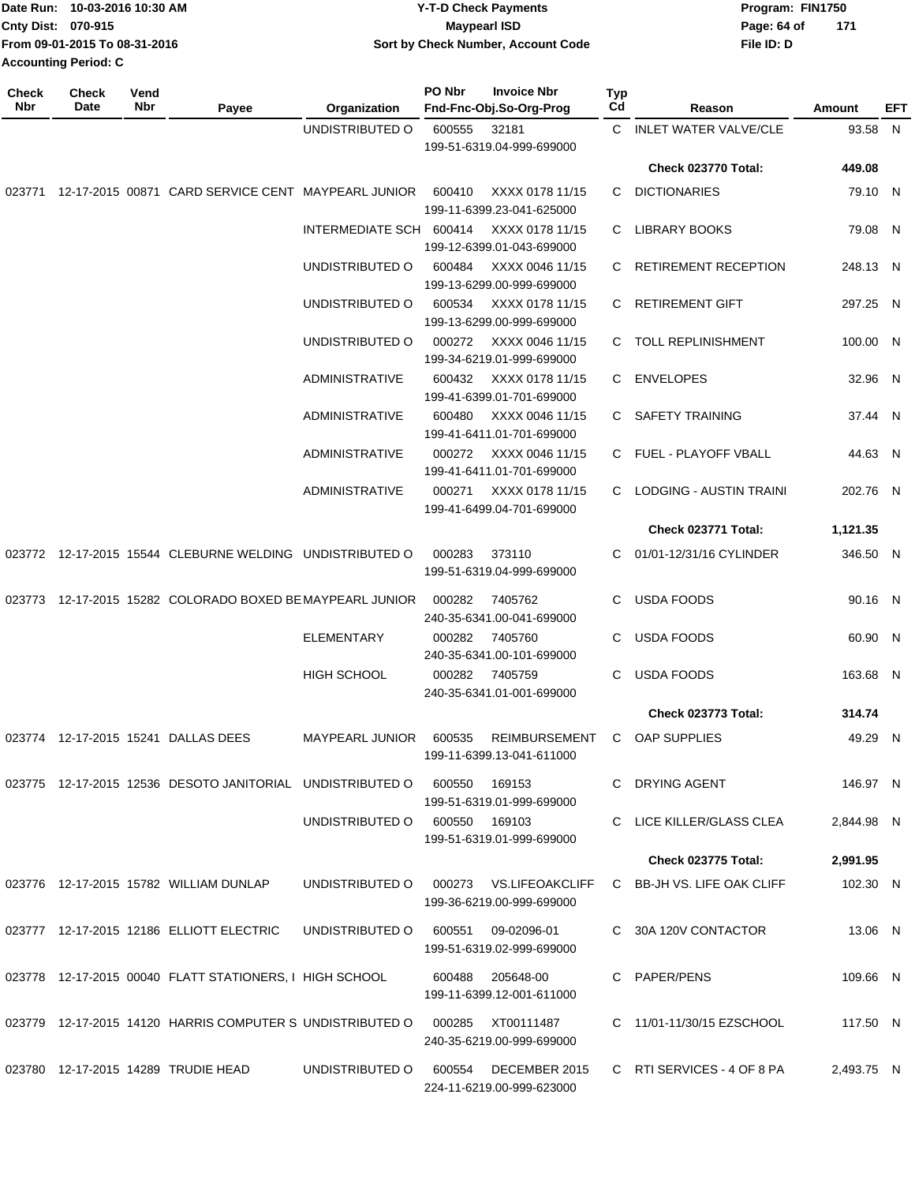| Date Run: 10-03-2016 10:30 AM | <b>Y-T-D Check Payments</b>        | Program: FIN1750   |
|-------------------------------|------------------------------------|--------------------|
| <b>Cnty Dist: 070-915</b>     | Maypearl ISD                       | 171<br>Page: 64 of |
| From 09-01-2015 To 08-31-2016 | Sort by Check Number, Account Code | File ID: D         |
| <b>Accounting Period: C</b>   |                                    |                    |

| <b>Check</b><br>Nbr | <b>Check</b><br>Date | Vend<br>Nbr | Payee                                                                    | Organization                           | PO Nbr | <b>Invoice Nbr</b><br>Fnd-Fnc-Obj.So-Org-Prog     | <b>Typ</b><br>Cd | Reason                     | <b>Amount</b> | EFT |
|---------------------|----------------------|-------------|--------------------------------------------------------------------------|----------------------------------------|--------|---------------------------------------------------|------------------|----------------------------|---------------|-----|
|                     |                      |             |                                                                          | UNDISTRIBUTED O                        | 600555 | 32181                                             |                  | C INLET WATER VALVE/CLE    | 93.58 N       |     |
|                     |                      |             |                                                                          |                                        |        | 199-51-6319.04-999-699000                         |                  |                            |               |     |
|                     |                      |             |                                                                          |                                        |        |                                                   |                  | Check 023770 Total:        | 449.08        |     |
|                     |                      |             | 023771 12-17-2015 00871 CARD SERVICE CENT MAYPEARL JUNIOR                |                                        | 600410 | XXXX 0178 11/15<br>199-11-6399.23-041-625000      | C                | <b>DICTIONARIES</b>        | 79.10 N       |     |
|                     |                      |             |                                                                          | INTERMEDIATE SCH 600414                |        | XXXX 0178 11/15<br>199-12-6399.01-043-699000      |                  | C LIBRARY BOOKS            | 79.08 N       |     |
|                     |                      |             |                                                                          | UNDISTRIBUTED O                        | 600484 | XXXX 0046 11/15<br>199-13-6299.00-999-699000      |                  | C RETIREMENT RECEPTION     | 248.13 N      |     |
|                     |                      |             |                                                                          | UNDISTRIBUTED O                        | 600534 | XXXX 0178 11/15<br>199-13-6299.00-999-699000      |                  | C RETIREMENT GIFT          | 297.25 N      |     |
|                     |                      |             |                                                                          | UNDISTRIBUTED O                        | 000272 | XXXX 0046 11/15<br>199-34-6219.01-999-699000      |                  | C TOLL REPLINISHMENT       | 100.00 N      |     |
|                     |                      |             |                                                                          | <b>ADMINISTRATIVE</b>                  | 600432 | XXXX 0178 11/15<br>199-41-6399.01-701-699000      |                  | C ENVELOPES                | 32.96 N       |     |
|                     |                      |             |                                                                          | <b>ADMINISTRATIVE</b>                  | 600480 | XXXX 0046 11/15<br>199-41-6411.01-701-699000      | C.               | SAFETY TRAINING            | 37.44 N       |     |
|                     |                      |             |                                                                          | <b>ADMINISTRATIVE</b>                  | 000272 | XXXX 0046 11/15<br>199-41-6411.01-701-699000      |                  | C FUEL - PLAYOFF VBALL     | 44.63 N       |     |
|                     |                      |             |                                                                          | <b>ADMINISTRATIVE</b>                  | 000271 | XXXX 0178 11/15<br>199-41-6499.04-701-699000      |                  | C LODGING - AUSTIN TRAINI  | 202.76 N      |     |
|                     |                      |             |                                                                          |                                        |        |                                                   |                  | Check 023771 Total:        | 1,121.35      |     |
|                     |                      |             | 023772 12-17-2015 15544 CLEBURNE WELDING UNDISTRIBUTED O                 |                                        | 000283 | 373110<br>199-51-6319.04-999-699000               |                  | C 01/01-12/31/16 CYLINDER  | 346.50 N      |     |
|                     |                      |             | 023773 12-17-2015 15282 COLORADO BOXED BE MAYPEARL JUNIOR                |                                        | 000282 | 7405762<br>240-35-6341.00-041-699000              | C                | <b>USDA FOODS</b>          | 90.16 N       |     |
|                     |                      |             |                                                                          | <b>ELEMENTARY</b>                      | 000282 | 7405760<br>240-35-6341.00-101-699000              | C                | <b>USDA FOODS</b>          | 60.90 N       |     |
|                     |                      |             |                                                                          | <b>HIGH SCHOOL</b>                     | 000282 | 7405759<br>240-35-6341.01-001-699000              | C                | <b>USDA FOODS</b>          | 163.68 N      |     |
|                     |                      |             |                                                                          |                                        |        |                                                   |                  | Check 023773 Total:        | 314.74        |     |
|                     |                      |             | 023774 12-17-2015 15241 DALLAS DEES                                      | <b>MAYPEARL JUNIOR</b>                 | 600535 | <b>REIMBURSEMENT</b><br>199-11-6399.13-041-611000 |                  | C OAP SUPPLIES             | 49.29 N       |     |
|                     |                      |             | 023775 12-17-2015 12536 DESOTO JANITORIAL UNDISTRIBUTED O 600550         |                                        |        | 169153<br>199-51-6319.01-999-699000               |                  | C DRYING AGENT             | 146.97 N      |     |
|                     |                      |             |                                                                          | UNDISTRIBUTED 0 600550 169103          |        | 199-51-6319.01-999-699000                         |                  | C LICE KILLER/GLASS CLEA   | 2,844.98 N    |     |
|                     |                      |             |                                                                          |                                        |        |                                                   |                  | <b>Check 023775 Total:</b> | 2,991.95      |     |
|                     |                      |             | 023776 12-17-2015 15782 WILLIAM DUNLAP                                   | UNDISTRIBUTED O 000273 VS.LIFEOAKCLIFF |        | 199-36-6219.00-999-699000                         |                  | C BB-JH VS. LIFE OAK CLIFF | 102.30 N      |     |
|                     |                      |             | 023777 12-17-2015 12186 ELLIOTT ELECTRIC                                 | UNDISTRIBUTED O                        | 600551 | 09-02096-01<br>199-51-6319.02-999-699000          |                  | C 30A 120V CONTACTOR       | 13.06 N       |     |
|                     |                      |             | 023778 12-17-2015 00040 FLATT STATIONERS, I HIGH SCHOOL 600488 205648-00 |                                        |        | 199-11-6399.12-001-611000                         |                  | C PAPER/PENS               | 109.66 N      |     |
|                     |                      |             | 023779 12-17-2015 14120 HARRIS COMPUTER S UNDISTRIBUTED O                |                                        | 000285 | XT00111487<br>240-35-6219.00-999-699000           |                  | C 11/01-11/30/15 EZSCHOOL  | 117.50 N      |     |
|                     |                      |             | 023780 12-17-2015 14289 TRUDIE HEAD                                      | UNDISTRIBUTED O 600554                 |        | DECEMBER 2015<br>224-11-6219.00-999-623000        |                  | C RTI SERVICES - 4 OF 8 PA | 2,493.75 N    |     |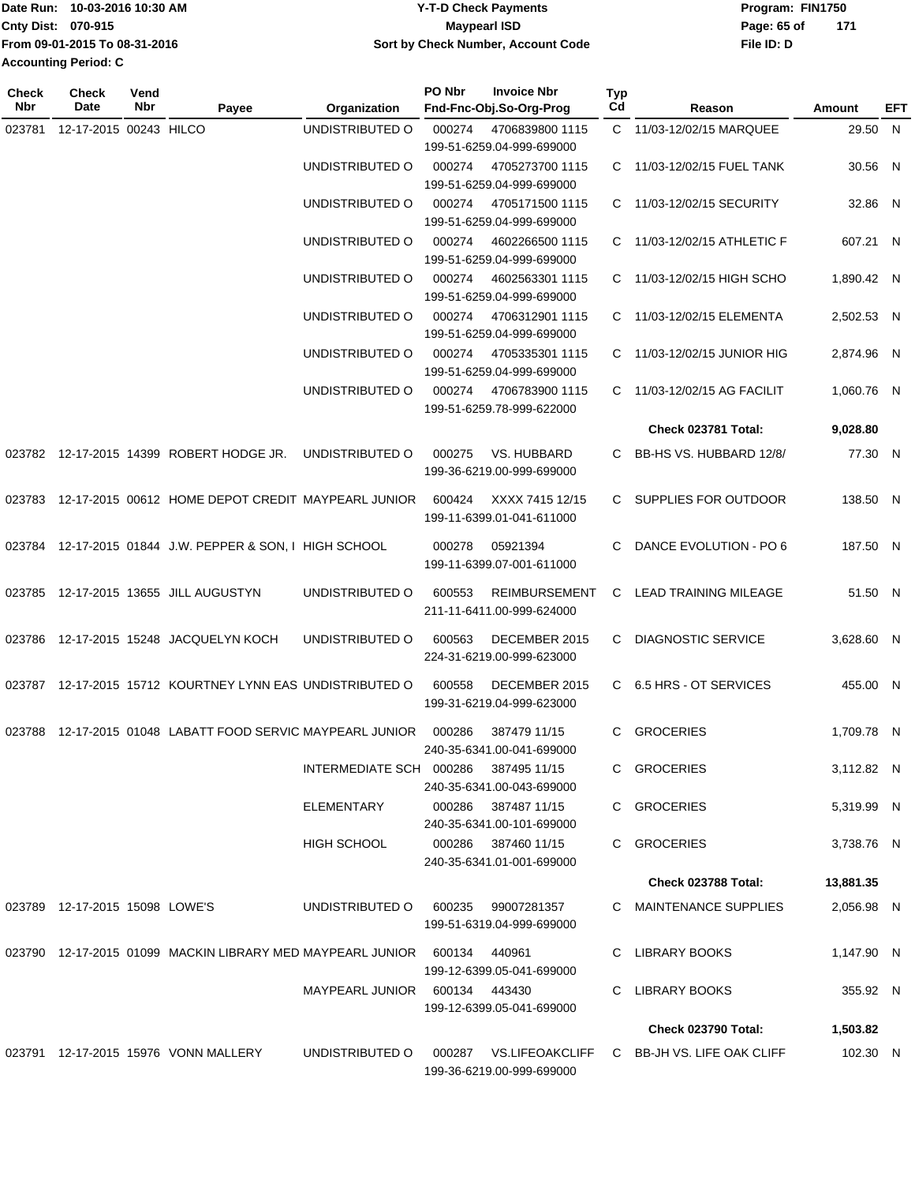|                             | Date Run: 10-03-2016 10:30 AM | <b>Y-T-D Check Payments</b>        | Program: FIN1750 |     |
|-----------------------------|-------------------------------|------------------------------------|------------------|-----|
| Cnty Dist: 070-915          |                               | Maypearl ISD                       | Page: 65 of      | 171 |
|                             | From 09-01-2015 To 08-31-2016 | Sort by Check Number, Account Code | File ID: D       |     |
| <b>Accounting Period: C</b> |                               |                                    |                  |     |

| <b>Check</b><br>Nbr | <b>Check</b><br><b>Date</b>    | Vend<br>Nbr | Payee                                                             | Organization                         | PO Nbr | <b>Invoice Nbr</b><br>Fnd-Fnc-Obj.So-Org-Prog       | Typ<br>Cd | Reason                      | Amount     | EFT |
|---------------------|--------------------------------|-------------|-------------------------------------------------------------------|--------------------------------------|--------|-----------------------------------------------------|-----------|-----------------------------|------------|-----|
| 023781              | 12-17-2015 00243 HILCO         |             |                                                                   | UNDISTRIBUTED O                      | 000274 | 4706839800 1115<br>199-51-6259.04-999-699000        |           | C 11/03-12/02/15 MARQUEE    | 29.50 N    |     |
|                     |                                |             |                                                                   | UNDISTRIBUTED O                      | 000274 | 4705273700 1115<br>199-51-6259.04-999-699000        |           | C 11/03-12/02/15 FUEL TANK  | 30.56 N    |     |
|                     |                                |             |                                                                   | UNDISTRIBUTED O                      | 000274 | 4705171500 1115<br>199-51-6259.04-999-699000        |           | C 11/03-12/02/15 SECURITY   | 32.86 N    |     |
|                     |                                |             |                                                                   | UNDISTRIBUTED O                      | 000274 | 4602266500 1115<br>199-51-6259.04-999-699000        |           | C 11/03-12/02/15 ATHLETIC F | 607.21 N   |     |
|                     |                                |             |                                                                   | UNDISTRIBUTED O                      | 000274 | 4602563301 1115<br>199-51-6259.04-999-699000        |           | C 11/03-12/02/15 HIGH SCHO  | 1.890.42 N |     |
|                     |                                |             |                                                                   | UNDISTRIBUTED O                      | 000274 | 4706312901 1115<br>199-51-6259.04-999-699000        |           | C 11/03-12/02/15 ELEMENTA   | 2,502.53 N |     |
|                     |                                |             |                                                                   | UNDISTRIBUTED O                      | 000274 | 4705335301 1115<br>199-51-6259.04-999-699000        |           | C 11/03-12/02/15 JUNIOR HIG | 2,874.96 N |     |
|                     |                                |             |                                                                   | UNDISTRIBUTED O                      | 000274 | 4706783900 1115<br>199-51-6259.78-999-622000        | C.        | 11/03-12/02/15 AG FACILIT   | 1,060.76 N |     |
|                     |                                |             |                                                                   |                                      |        |                                                     |           | Check 023781 Total:         | 9,028.80   |     |
|                     |                                |             | 023782 12-17-2015 14399 ROBERT HODGE JR.                          | UNDISTRIBUTED O                      | 000275 | VS. HUBBARD<br>199-36-6219.00-999-699000            | C         | BB-HS VS. HUBBARD 12/8/     | 77.30 N    |     |
|                     |                                |             | 023783 12-17-2015 00612 HOME DEPOT CREDIT MAYPEARL JUNIOR         |                                      | 600424 | XXXX 7415 12/15<br>199-11-6399.01-041-611000        | C.        | SUPPLIES FOR OUTDOOR        | 138.50 N   |     |
|                     |                                |             | 023784 12-17-2015 01844 J.W. PEPPER & SON, I HIGH SCHOOL          |                                      | 000278 | 05921394<br>199-11-6399.07-001-611000               | C         | DANCE EVOLUTION - PO 6      | 187.50 N   |     |
|                     |                                |             | 023785 12-17-2015 13655 JILL AUGUSTYN                             | UNDISTRIBUTED O                      | 600553 | <b>REIMBURSEMENT</b><br>211-11-6411.00-999-624000   | C.        | LEAD TRAINING MILEAGE       | 51.50 N    |     |
|                     |                                |             | 023786 12-17-2015 15248 JACQUELYN KOCH                            | UNDISTRIBUTED O                      | 600563 | DECEMBER 2015<br>224-31-6219.00-999-623000          | C.        | <b>DIAGNOSTIC SERVICE</b>   | 3,628.60 N |     |
|                     |                                |             | 023787 12-17-2015 15712 KOURTNEY LYNN EAS UNDISTRIBUTED O         |                                      | 600558 | DECEMBER 2015<br>199-31-6219.04-999-623000          |           | C 6.5 HRS - OT SERVICES     | 455.00 N   |     |
|                     |                                |             | 023788 12-17-2015 01048 LABATT FOOD SERVIC MAYPEARL JUNIOR        |                                      | 000286 | 387479 11/15<br>240-35-6341.00-041-699000           | C.        | <b>GROCERIES</b>            | 1,709.78 N |     |
|                     |                                |             |                                                                   | INTERMEDIATE SCH 000286 387495 11/15 |        | 240-35-6341.00-043-699000                           |           | C GROCERIES                 | 3,112.82 N |     |
|                     |                                |             |                                                                   | <b>ELEMENTARY</b>                    |        | 000286 387487 11/15<br>240-35-6341.00-101-699000    |           | C GROCERIES                 | 5,319.99 N |     |
|                     |                                |             |                                                                   | HIGH SCHOOL                          |        | 000286 387460 11/15<br>240-35-6341.01-001-699000    |           | C GROCERIES                 | 3,738.76 N |     |
|                     |                                |             |                                                                   |                                      |        |                                                     |           | Check 023788 Total:         | 13,881.35  |     |
|                     | 023789 12-17-2015 15098 LOWE'S |             |                                                                   | UNDISTRIBUTED O                      |        | 600235 99007281357<br>199-51-6319.04-999-699000     |           | C MAINTENANCE SUPPLIES      | 2,056.98 N |     |
|                     |                                |             | 023790 12-17-2015 01099 MACKIN LIBRARY MED MAYPEARL JUNIOR 600134 |                                      |        | 440961<br>199-12-6399.05-041-699000                 |           | C LIBRARY BOOKS             | 1,147.90 N |     |
|                     |                                |             |                                                                   | MAYPEARL JUNIOR 600134 443430        |        | 199-12-6399.05-041-699000                           |           | C LIBRARY BOOKS             | 355.92 N   |     |
|                     |                                |             |                                                                   |                                      |        |                                                     |           | Check 023790 Total:         | 1,503.82   |     |
|                     |                                |             | 023791 12-17-2015 15976 VONN MALLERY                              | UNDISTRIBUTED O                      |        | 000287 VS.LIFEOAKCLIFF<br>199-36-6219.00-999-699000 |           | C BB-JH VS. LIFE OAK CLIFF  | 102.30 N   |     |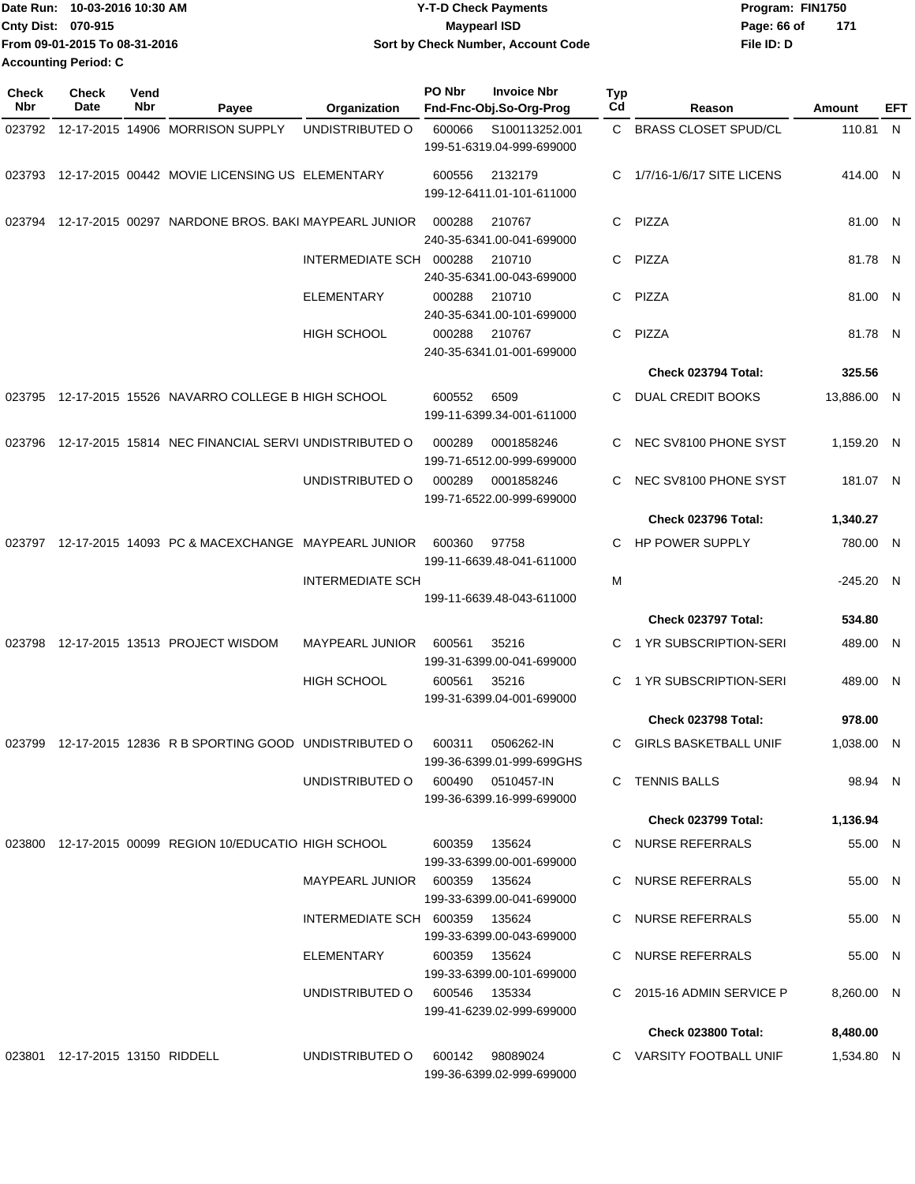|                           | Date Run: 10-03-2016 10:30 AM | <b>Y-T-D Check Payments</b>        | Program: FIN1750 |       |
|---------------------------|-------------------------------|------------------------------------|------------------|-------|
| <b>Cnty Dist: 070-915</b> |                               | <b>Mavpearl ISD</b>                | Page: 66 of      | - 171 |
|                           | From 09-01-2015 To 08-31-2016 | Sort by Check Number, Account Code | File ID: D       |       |
| Accounting Period: C      |                               |                                    |                  |       |

| <b>Check</b><br>Nbr | Check<br>Date                   | Vend<br>Nbr | Payee                                                  | Organization                   | PO Nbr<br><b>Invoice Nbr</b><br>Fnd-Fnc-Obj.So-Org-Prog | <b>Typ</b><br>Cd | Reason                       | Amount      | EFT |
|---------------------|---------------------------------|-------------|--------------------------------------------------------|--------------------------------|---------------------------------------------------------|------------------|------------------------------|-------------|-----|
|                     |                                 |             | 023792 12-17-2015 14906 MORRISON SUPPLY                | UNDISTRIBUTED O                | 600066<br>S100113252.001<br>199-51-6319.04-999-699000   |                  | C BRASS CLOSET SPUD/CL       | 110.81 N    |     |
|                     |                                 |             | 023793 12-17-2015 00442 MOVIE LICENSING US ELEMENTARY  |                                | 2132179<br>600556<br>199-12-6411.01-101-611000          | C.               | 1/7/16-1/6/17 SITE LICENS    | 414.00 N    |     |
| 023794              |                                 |             | 12-17-2015 00297 NARDONE BROS. BAKI MAYPEARL JUNIOR    |                                | 000288<br>210767<br>240-35-6341.00-041-699000           | C.               | PIZZA                        | 81.00 N     |     |
|                     |                                 |             |                                                        | INTERMEDIATE SCH 000288        | 210710<br>240-35-6341.00-043-699000                     | C.               | PIZZA                        | 81.78 N     |     |
|                     |                                 |             |                                                        | <b>ELEMENTARY</b>              | 000288<br>210710<br>240-35-6341.00-101-699000           | C.               | PIZZA                        | 81.00 N     |     |
|                     |                                 |             |                                                        | HIGH SCHOOL                    | 000288<br>210767<br>240-35-6341.01-001-699000           | C.               | PIZZA                        | 81.78 N     |     |
|                     |                                 |             |                                                        |                                |                                                         |                  | Check 023794 Total:          | 325.56      |     |
| 023795              |                                 |             | 12-17-2015 15526 NAVARRO COLLEGE B HIGH SCHOOL         |                                | 600552<br>6509<br>199-11-6399.34-001-611000             | C                | DUAL CREDIT BOOKS            | 13,886.00 N |     |
| 023796              |                                 |             | 12-17-2015 15814 NEC FINANCIAL SERVI UNDISTRIBUTED O   |                                | 000289<br>0001858246<br>199-71-6512.00-999-699000       | C                | NEC SV8100 PHONE SYST        | 1.159.20 N  |     |
|                     |                                 |             |                                                        | UNDISTRIBUTED O                | 000289<br>0001858246<br>199-71-6522.00-999-699000       | C                | NEC SV8100 PHONE SYST        | 181.07 N    |     |
|                     |                                 |             |                                                        |                                |                                                         |                  | Check 023796 Total:          | 1,340.27    |     |
| 023797              |                                 |             | 12-17-2015 14093 PC & MACEXCHANGE MAYPEARL JUNIOR      |                                | 600360<br>97758<br>199-11-6639.48-041-611000            | C                | HP POWER SUPPLY              | 780.00 N    |     |
|                     |                                 |             |                                                        | <b>INTERMEDIATE SCH</b>        |                                                         | M                |                              | $-245.20$ N |     |
|                     |                                 |             |                                                        |                                | 199-11-6639.48-043-611000                               |                  |                              |             |     |
|                     |                                 |             |                                                        |                                |                                                         |                  | Check 023797 Total:          | 534.80      |     |
| 023798              |                                 |             | 12-17-2015 13513 PROJECT WISDOM                        | <b>MAYPEARL JUNIOR</b>         | 35216<br>600561<br>199-31-6399.00-041-699000            | C.               | 1 YR SUBSCRIPTION-SERI       | 489.00 N    |     |
|                     |                                 |             |                                                        | <b>HIGH SCHOOL</b>             | 600561<br>35216<br>199-31-6399.04-001-699000            | C                | 1 YR SUBSCRIPTION-SERI       | 489.00 N    |     |
|                     |                                 |             |                                                        |                                |                                                         |                  | Check 023798 Total:          | 978.00      |     |
| 023799              |                                 |             | 12-17-2015 12836 R B SPORTING GOOD UNDISTRIBUTED O     |                                | 600311<br>0506262-IN<br>199-36-6399.01-999-699GHS       | C.               | <b>GIRLS BASKETBALL UNIF</b> | 1,038.00 N  |     |
|                     |                                 |             |                                                        | UNDISTRIBUTED O                | 600490<br>0510457-IN<br>199-36-6399.16-999-699000       |                  | C TENNIS BALLS               | 98.94 N     |     |
|                     |                                 |             |                                                        |                                |                                                         |                  | Check 023799 Total:          | 1,136.94    |     |
|                     |                                 |             | 023800 12-17-2015 00099 REGION 10/EDUCATIO HIGH SCHOOL |                                | 600359<br>135624<br>199-33-6399.00-001-699000           |                  | C NURSE REFERRALS            | 55.00 N     |     |
|                     |                                 |             |                                                        | MAYPEARL JUNIOR 600359 135624  | 199-33-6399.00-041-699000                               |                  | C NURSE REFERRALS            | 55.00 N     |     |
|                     |                                 |             |                                                        | INTERMEDIATE SCH 600359 135624 | 199-33-6399.00-043-699000                               |                  | C NURSE REFERRALS            | 55.00 N     |     |
|                     |                                 |             |                                                        | ELEMENTARY                     | 600359 135624<br>199-33-6399.00-101-699000              |                  | C NURSE REFERRALS            | 55.00 N     |     |
|                     |                                 |             |                                                        | UNDISTRIBUTED 0 600546 135334  | 199-41-6239.02-999-699000                               |                  | C 2015-16 ADMIN SERVICE P    | 8,260.00 N  |     |
|                     |                                 |             |                                                        |                                |                                                         |                  | Check 023800 Total:          | 8,480.00    |     |
|                     | 023801 12-17-2015 13150 RIDDELL |             |                                                        | UNDISTRIBUTED O                | 600142 98089024<br>199-36-6399.02-999-699000            |                  | C VARSITY FOOTBALL UNIF      | 1,534.80 N  |     |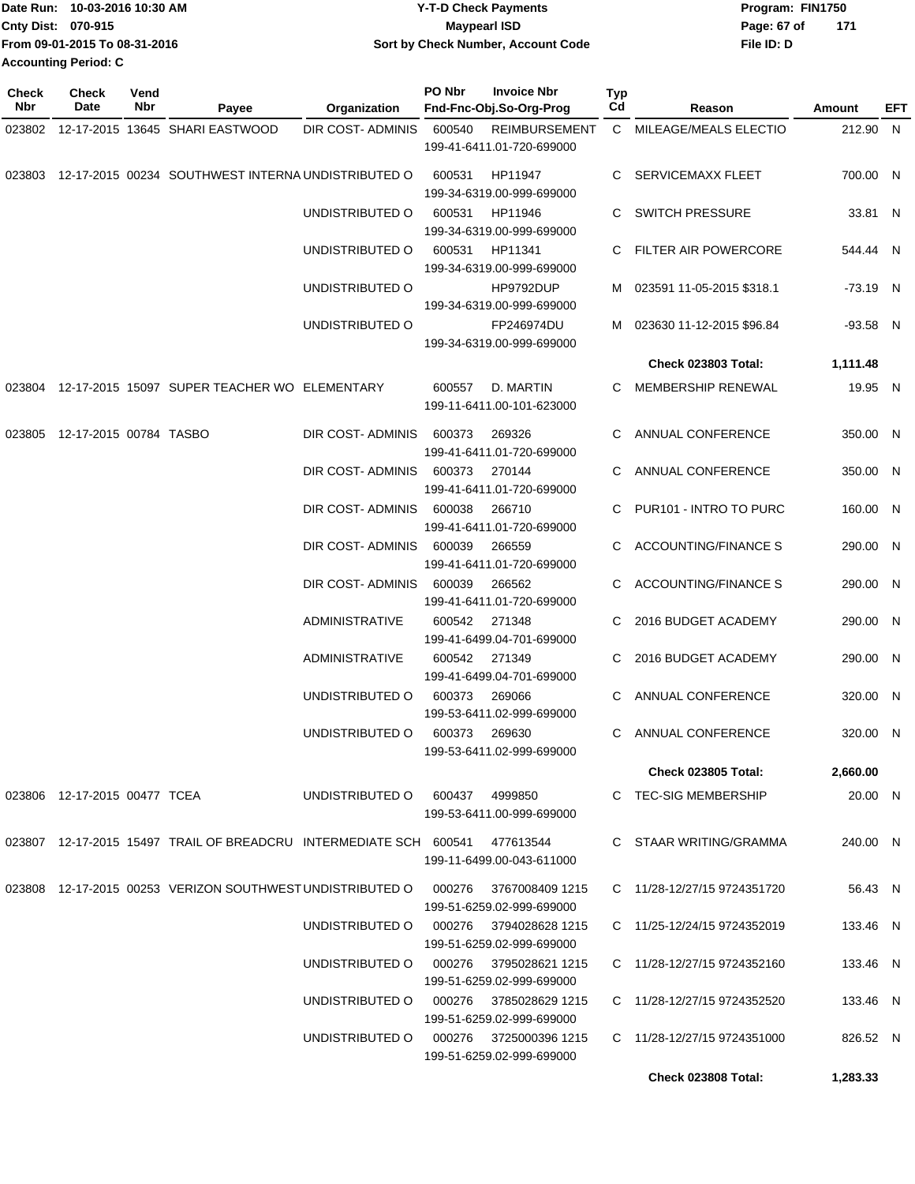| 10-03-2016 10:30 AM<br>Date Run: | <b>Y-T-D Check Payments</b>        | Program: FIN1750   |
|----------------------------------|------------------------------------|--------------------|
| Cnty Dist: 070-915               | <b>Maypearl ISD</b>                | 171<br>Page: 67 of |
| From 09-01-2015 To 08-31-2016    | Sort by Check Number, Account Code | File ID: D         |
| <b>Accounting Period: C</b>      |                                    |                    |

| <b>Check</b><br><b>Nbr</b> | <b>Check</b><br>Date          | Vend<br>Nbr | Payee                                                                 | Organization                           | PO Nbr | <b>Invoice Nbr</b><br>Fnd-Fnc-Obj.So-Org-Prog     | <b>Typ</b><br>Cd | Reason                      | Amount   | EFT |
|----------------------------|-------------------------------|-------------|-----------------------------------------------------------------------|----------------------------------------|--------|---------------------------------------------------|------------------|-----------------------------|----------|-----|
|                            |                               |             | 023802 12-17-2015 13645 SHARI EASTWOOD                                | DIR COST-ADMINIS                       | 600540 | <b>REIMBURSEMENT</b><br>199-41-6411.01-720-699000 |                  | C MILEAGE/MEALS ELECTIO     | 212.90 N |     |
| 023803                     |                               |             | 12-17-2015 00234 SOUTHWEST INTERNA UNDISTRIBUTED O                    |                                        | 600531 | HP11947<br>199-34-6319.00-999-699000              |                  | C SERVICEMAXX FLEET         | 700.00 N |     |
|                            |                               |             |                                                                       | UNDISTRIBUTED O                        | 600531 | HP11946<br>199-34-6319.00-999-699000              |                  | C SWITCH PRESSURE           | 33.81 N  |     |
|                            |                               |             |                                                                       | UNDISTRIBUTED O                        | 600531 | HP11341<br>199-34-6319.00-999-699000              |                  | C FILTER AIR POWERCORE      | 544.44 N |     |
|                            |                               |             |                                                                       | UNDISTRIBUTED O                        |        | HP9792DUP<br>199-34-6319.00-999-699000            |                  | M 023591 11-05-2015 \$318.1 | -73.19 N |     |
|                            |                               |             |                                                                       | UNDISTRIBUTED O                        |        | FP246974DU<br>199-34-6319.00-999-699000           | M                | 023630 11-12-2015 \$96.84   | -93.58 N |     |
|                            |                               |             |                                                                       |                                        |        |                                                   |                  | <b>Check 023803 Total:</b>  | 1,111.48 |     |
| 023804                     |                               |             | 12-17-2015 15097 SUPER TEACHER WO ELEMENTARY                          |                                        | 600557 | D. MARTIN<br>199-11-6411.00-101-623000            | C.               | MEMBERSHIP RENEWAL          | 19.95 N  |     |
|                            | 023805 12-17-2015 00784 TASBO |             |                                                                       | DIR COST- ADMINIS                      | 600373 | 269326<br>199-41-6411.01-720-699000               |                  | C ANNUAL CONFERENCE         | 350.00 N |     |
|                            |                               |             |                                                                       | DIR COST- ADMINIS                      | 600373 | 270144<br>199-41-6411.01-720-699000               |                  | C ANNUAL CONFERENCE         | 350.00 N |     |
|                            |                               |             |                                                                       | DIR COST- ADMINIS                      | 600038 | 266710<br>199-41-6411.01-720-699000               |                  | C PUR101 - INTRO TO PURC    | 160.00 N |     |
|                            |                               |             |                                                                       | DIR COST- ADMINIS                      | 600039 | 266559<br>199-41-6411.01-720-699000               |                  | C ACCOUNTING/FINANCE S      | 290.00 N |     |
|                            |                               |             |                                                                       | DIR COST- ADMINIS                      | 600039 | 266562<br>199-41-6411.01-720-699000               |                  | ACCOUNTING/FINANCE S        | 290.00 N |     |
|                            |                               |             |                                                                       | <b>ADMINISTRATIVE</b>                  | 600542 | 271348<br>199-41-6499.04-701-699000               | C                | 2016 BUDGET ACADEMY         | 290.00 N |     |
|                            |                               |             |                                                                       | <b>ADMINISTRATIVE</b>                  | 600542 | 271349<br>199-41-6499.04-701-699000               | C.               | 2016 BUDGET ACADEMY         | 290.00 N |     |
|                            |                               |             |                                                                       | UNDISTRIBUTED O                        | 600373 | 269066<br>199-53-6411.02-999-699000               |                  | ANNUAL CONFERENCE           | 320.00 N |     |
|                            |                               |             |                                                                       | UNDISTRIBUTED O                        | 600373 | 269630<br>199-53-6411.02-999-699000               |                  | C ANNUAL CONFERENCE         | 320.00 N |     |
|                            |                               |             |                                                                       |                                        |        |                                                   |                  | <b>Check 023805 Total:</b>  | 2,660.00 |     |
|                            | 023806 12-17-2015 00477 TCEA  |             |                                                                       | UNDISTRIBUTED O                        | 600437 | 4999850<br>199-53-6411.00-999-699000              |                  | C TEC-SIG MEMBERSHIP        | 20.00 N  |     |
|                            |                               |             | 023807  12-17-2015  15497  TRAIL OF BREADCRU INTERMEDIATE SCH  600541 |                                        |        | 477613544<br>199-11-6499.00-043-611000            |                  | C STAAR WRITING/GRAMMA      | 240.00 N |     |
|                            |                               |             | 023808 12-17-2015 00253 VERIZON SOUTHWEST UNDISTRIBUTED O 000276      |                                        |        | 3767008409 1215<br>199-51-6259.02-999-699000      |                  | C 11/28-12/27/15 9724351720 | 56.43 N  |     |
|                            |                               |             |                                                                       | UNDISTRIBUTED O 000276 3794028628 1215 |        | 199-51-6259.02-999-699000                         |                  | C 11/25-12/24/15 9724352019 | 133.46 N |     |
|                            |                               |             |                                                                       | UNDISTRIBUTED O 000276 3795028621 1215 |        | 199-51-6259.02-999-699000                         |                  | C 11/28-12/27/15 9724352160 | 133.46 N |     |
|                            |                               |             |                                                                       | UNDISTRIBUTED O 000276 3785028629 1215 |        | 199-51-6259.02-999-699000                         |                  | C 11/28-12/27/15 9724352520 | 133.46 N |     |
|                            |                               |             |                                                                       | UNDISTRIBUTED O 000276 3725000396 1215 |        | 199-51-6259.02-999-699000                         |                  | C 11/28-12/27/15 9724351000 | 826.52 N |     |
|                            |                               |             |                                                                       |                                        |        |                                                   |                  | Check 023808 Total:         | 1,283.33 |     |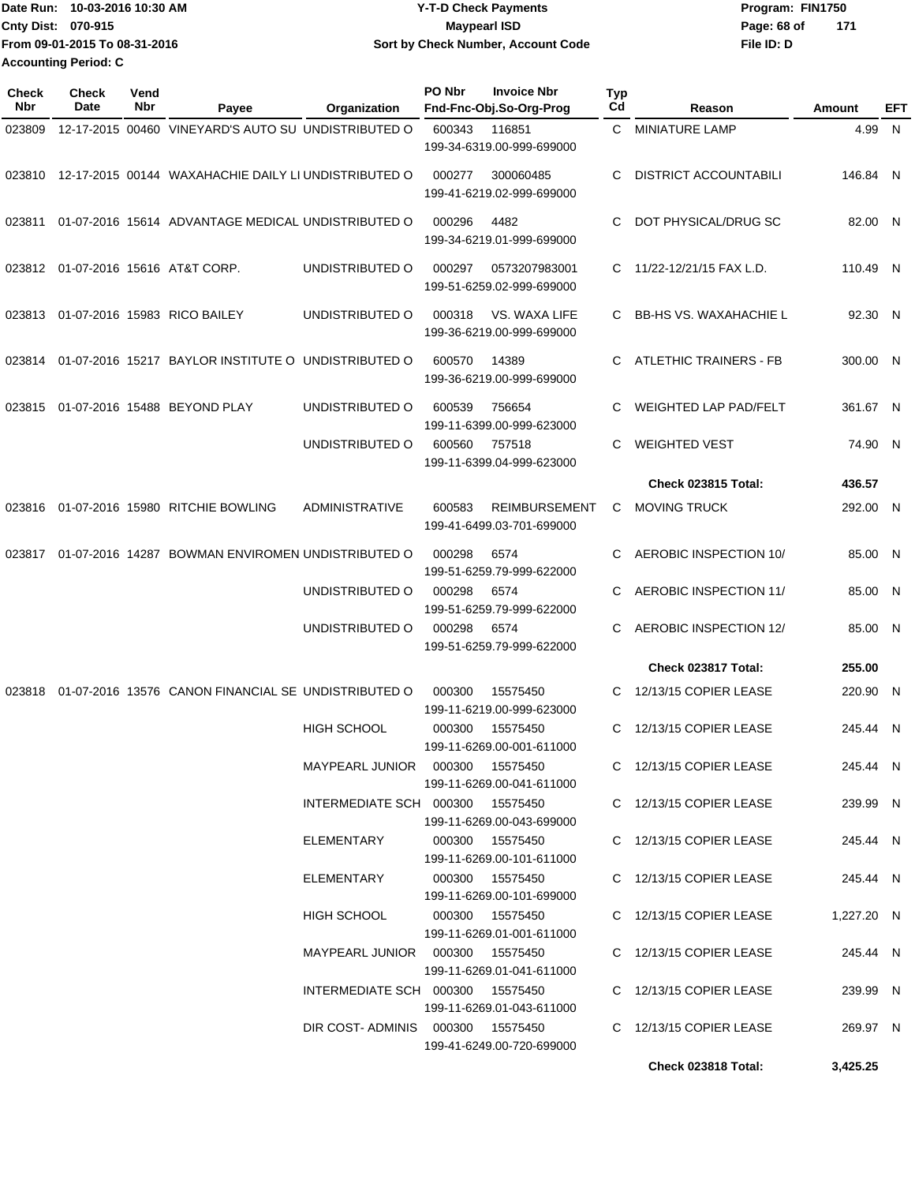| Date Run: 10-03-2016 10:30 AM | <b>Y-T-D Check Payments</b>        | Program: FIN1750   |
|-------------------------------|------------------------------------|--------------------|
| <b>Cnty Dist: 070-915</b>     | <b>Mavpearl ISD</b>                | 171<br>Page: 68 of |
| From 09-01-2015 To 08-31-2016 | Sort by Check Number, Account Code | File ID: D         |
| <b>Accounting Period: C</b>   |                                    |                    |

| <b>Check</b><br>Nbr | <b>Check</b><br><b>Date</b> | Vend<br>Nbr | Payee                                                       | Organization                      | PO Nbr | <b>Invoice Nbr</b><br>Fnd-Fnc-Obj.So-Org-Prog                      | <b>Typ</b><br>Cd | Reason                       | Amount     | EFT |
|---------------------|-----------------------------|-------------|-------------------------------------------------------------|-----------------------------------|--------|--------------------------------------------------------------------|------------------|------------------------------|------------|-----|
| 023809              |                             |             | 12-17-2015 00460 VINEYARD'S AUTO SU UNDISTRIBUTED O         |                                   | 600343 | 116851<br>199-34-6319.00-999-699000                                | C.               | <b>MINIATURE LAMP</b>        | 4.99 N     |     |
|                     |                             |             | 023810 12-17-2015 00144 WAXAHACHIE DAILY LI UNDISTRIBUTED O |                                   | 000277 | 300060485<br>199-41-6219.02-999-699000                             | C                | <b>DISTRICT ACCOUNTABILI</b> | 146.84 N   |     |
| 023811              |                             |             | 01-07-2016 15614 ADVANTAGE MEDICAL UNDISTRIBUTED O          |                                   | 000296 | 4482<br>199-34-6219.01-999-699000                                  | C                | DOT PHYSICAL/DRUG SC         | 82.00 N    |     |
| 023812              |                             |             | 01-07-2016 15616 AT&T CORP.                                 | UNDISTRIBUTED O                   | 000297 | 0573207983001<br>199-51-6259.02-999-699000                         | C                | 11/22-12/21/15 FAX L.D.      | 110.49 N   |     |
|                     |                             |             | 023813 01-07-2016 15983 RICO BAILEY                         | UNDISTRIBUTED O                   | 000318 | VS. WAXA LIFE<br>199-36-6219.00-999-699000                         |                  | C BB-HS VS. WAXAHACHIE L     | 92.30 N    |     |
| 023814              |                             |             | 01-07-2016 15217 BAYLOR INSTITUTE O UNDISTRIBUTED O         |                                   | 600570 | 14389<br>199-36-6219.00-999-699000                                 | C.               | ATLETHIC TRAINERS - FB       | 300.00 N   |     |
| 023815              |                             |             | 01-07-2016 15488 BEYOND PLAY                                | UNDISTRIBUTED O                   | 600539 | 756654<br>199-11-6399.00-999-623000                                | C                | <b>WEIGHTED LAP PAD/FELT</b> | 361.67 N   |     |
|                     |                             |             |                                                             | UNDISTRIBUTED O                   | 600560 | 757518<br>199-11-6399.04-999-623000                                | C                | <b>WEIGHTED VEST</b>         | 74.90 N    |     |
|                     |                             |             |                                                             |                                   |        |                                                                    |                  | Check 023815 Total:          | 436.57     |     |
| 023816              |                             |             | 01-07-2016 15980 RITCHIE BOWLING                            | <b>ADMINISTRATIVE</b>             | 600583 | <b>REIMBURSEMENT</b><br>199-41-6499.03-701-699000                  | C                | <b>MOVING TRUCK</b>          | 292.00 N   |     |
| 023817              |                             |             | 01-07-2016 14287 BOWMAN ENVIROMEN UNDISTRIBUTED O           |                                   | 000298 | 6574<br>199-51-6259.79-999-622000                                  | C                | AEROBIC INSPECTION 10/       | 85.00 N    |     |
|                     |                             |             |                                                             | UNDISTRIBUTED O                   | 000298 | 6574<br>199-51-6259.79-999-622000                                  | C                | AEROBIC INSPECTION 11/       | 85.00 N    |     |
|                     |                             |             |                                                             | UNDISTRIBUTED O                   | 000298 | 6574<br>199-51-6259.79-999-622000                                  | C                | AEROBIC INSPECTION 12/       | 85.00 N    |     |
|                     |                             |             |                                                             |                                   |        |                                                                    |                  | Check 023817 Total:          | 255.00     |     |
| 023818              |                             |             | 01-07-2016 13576 CANON FINANCIAL SE UNDISTRIBUTED O         |                                   | 000300 | 15575450<br>199-11-6219.00-999-623000                              | C.               | 12/13/15 COPIER LEASE        | 220.90 N   |     |
|                     |                             |             |                                                             | <b>HIGH SCHOOL</b>                | 000300 | 15575450                                                           | C                | 12/13/15 COPIER LEASE        | 245.44 N   |     |
|                     |                             |             |                                                             | MAYPEARL JUNIOR   000300          |        | 199-11-6269.00-001-611000<br>15575450<br>199-11-6269.00-041-611000 |                  | C 12/13/15 COPIER LEASE      | 245.44 N   |     |
|                     |                             |             |                                                             | INTERMEDIATE SCH 000300 15575450  |        | 199-11-6269.00-043-699000                                          |                  | C 12/13/15 COPIER LEASE      | 239.99 N   |     |
|                     |                             |             |                                                             | ELEMENTARY                        |        | 000300 15575450<br>199-11-6269.00-101-611000                       |                  | C 12/13/15 COPIER LEASE      | 245.44 N   |     |
|                     |                             |             |                                                             | ELEMENTARY                        |        | 000300 15575450<br>199-11-6269.00-101-699000                       |                  | C 12/13/15 COPIER LEASE      | 245.44 N   |     |
|                     |                             |             |                                                             | HIGH SCHOOL                       |        | 000300 15575450<br>199-11-6269.01-001-611000                       |                  | C 12/13/15 COPIER LEASE      | 1,227.20 N |     |
|                     |                             |             |                                                             | MAYPEARL JUNIOR  000300  15575450 |        | 199-11-6269.01-041-611000                                          |                  | C 12/13/15 COPIER LEASE      | 245.44 N   |     |
|                     |                             |             |                                                             | INTERMEDIATE SCH 000300 15575450  |        | 199-11-6269.01-043-611000                                          |                  | C 12/13/15 COPIER LEASE      | 239.99 N   |     |
|                     |                             |             |                                                             | DIR COST-ADMINIS 000300 15575450  |        | 199-41-6249.00-720-699000                                          |                  | C 12/13/15 COPIER LEASE      | 269.97 N   |     |
|                     |                             |             |                                                             |                                   |        |                                                                    |                  | Check 023818 Total:          | 3,425.25   |     |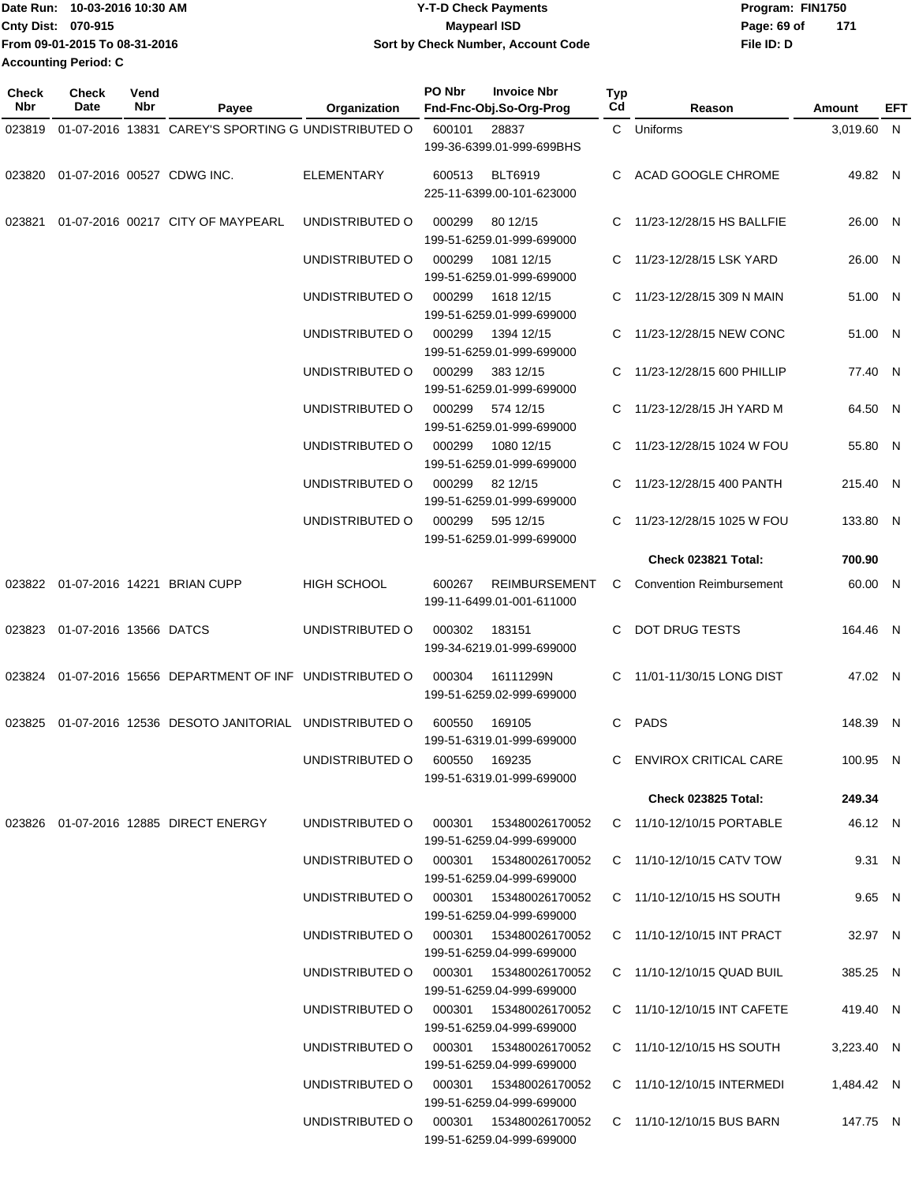| IDate Run: 10-03-2016 10:30 AM | <b>Y-T-D Check Payments</b>        | Program: FIN1750 |     |
|--------------------------------|------------------------------------|------------------|-----|
| <b>Cnty Dist: 070-915</b>      | <b>Maypearl ISD</b>                | Page: 69 of      | 171 |
| From 09-01-2015 To 08-31-2016  | Sort by Check Number, Account Code | File ID: D       |     |
| <b>Accounting Period: C</b>    |                                    |                  |     |

| <b>Check</b><br>Nbr | Check<br>Date                     | Vend<br>Nbr | Payee                                                     | <b>Organization</b>                    | PO Nbr | <b>Invoice Nbr</b><br>Fnd-Fnc-Obj.So-Org-Prog        | <b>Typ</b><br>Cd | Reason                          | Amount     | EFT |
|---------------------|-----------------------------------|-------------|-----------------------------------------------------------|----------------------------------------|--------|------------------------------------------------------|------------------|---------------------------------|------------|-----|
|                     |                                   |             | 01-07-2016 13831 CAREY'S SPORTING G UNDISTRIBUTED O       |                                        |        |                                                      |                  | C Uniforms                      |            |     |
| 023819              |                                   |             |                                                           |                                        | 600101 | 28837<br>199-36-6399.01-999-699BHS                   |                  |                                 | 3,019.60 N |     |
|                     | 023820 01-07-2016 00527 CDWG INC. |             |                                                           | <b>ELEMENTARY</b>                      |        | 600513 BLT6919<br>225-11-6399.00-101-623000          |                  | C ACAD GOOGLE CHROME            | 49.82 N    |     |
| 023821              |                                   |             | 01-07-2016 00217 CITY OF MAYPEARL                         | UNDISTRIBUTED O                        | 000299 | 80 12/15<br>199-51-6259.01-999-699000                |                  | C 11/23-12/28/15 HS BALLFIE     | 26.00 N    |     |
|                     |                                   |             |                                                           | UNDISTRIBUTED O                        | 000299 | 1081 12/15<br>199-51-6259.01-999-699000              |                  | C 11/23-12/28/15 LSK YARD       | 26.00 N    |     |
|                     |                                   |             |                                                           | UNDISTRIBUTED O                        | 000299 | 1618 12/15<br>199-51-6259.01-999-699000              |                  | C 11/23-12/28/15 309 N MAIN     | 51.00 N    |     |
|                     |                                   |             |                                                           | UNDISTRIBUTED O                        | 000299 | 1394 12/15<br>199-51-6259.01-999-699000              |                  | C 11/23-12/28/15 NEW CONC       | 51.00 N    |     |
|                     |                                   |             |                                                           | UNDISTRIBUTED O                        | 000299 | 383 12/15<br>199-51-6259.01-999-699000               |                  | C 11/23-12/28/15 600 PHILLIP    | 77.40 N    |     |
|                     |                                   |             |                                                           | UNDISTRIBUTED O                        | 000299 | 574 12/15<br>199-51-6259.01-999-699000               |                  | C 11/23-12/28/15 JH YARD M      | 64.50 N    |     |
|                     |                                   |             |                                                           | UNDISTRIBUTED O                        | 000299 | 1080 12/15<br>199-51-6259.01-999-699000              |                  | C 11/23-12/28/15 1024 W FOU     | 55.80 N    |     |
|                     |                                   |             |                                                           | UNDISTRIBUTED O                        | 000299 | 82 12/15<br>199-51-6259.01-999-699000                |                  | C 11/23-12/28/15 400 PANTH      | 215.40 N   |     |
|                     |                                   |             |                                                           | UNDISTRIBUTED O                        | 000299 | 595 12/15<br>199-51-6259.01-999-699000               |                  | C 11/23-12/28/15 1025 W FOU     | 133.80 N   |     |
|                     |                                   |             |                                                           |                                        |        |                                                      |                  | Check 023821 Total:             | 700.90     |     |
|                     |                                   |             | 023822 01-07-2016 14221 BRIAN CUPP                        | HIGH SCHOOL                            | 600267 | <b>REIMBURSEMENT</b><br>199-11-6499.01-001-611000    | C                | <b>Convention Reimbursement</b> | 60.00 N    |     |
|                     | 023823 01-07-2016 13566 DATCS     |             |                                                           | UNDISTRIBUTED O                        | 000302 | 183151<br>199-34-6219.01-999-699000                  |                  | C DOT DRUG TESTS                | 164.46 N   |     |
|                     |                                   |             | 023824 01-07-2016 15656 DEPARTMENT OF INF UNDISTRIBUTED O |                                        | 000304 | 16111299N<br>199-51-6259.02-999-699000               |                  | C 11/01-11/30/15 LONG DIST      | 47.02 N    |     |
|                     |                                   |             | 023825 01-07-2016 12536 DESOTO JANITORIAL UNDISTRIBUTED O |                                        | 600550 | 169105<br>199-51-6319.01-999-699000                  |                  | C PADS                          | 148.39 N   |     |
|                     |                                   |             |                                                           | UNDISTRIBUTED O 600550 169235          |        | 199-51-6319.01-999-699000                            |                  | C ENVIROX CRITICAL CARE         | 100.95 N   |     |
|                     |                                   |             |                                                           |                                        |        |                                                      |                  | Check 023825 Total:             | 249.34     |     |
|                     |                                   |             | 023826  01-07-2016  12885  DIRECT ENERGY                  | UNDISTRIBUTED O                        | 000301 | 153480026170052<br>199-51-6259.04-999-699000         |                  | C 11/10-12/10/15 PORTABLE       | 46.12 N    |     |
|                     |                                   |             |                                                           | UNDISTRIBUTED O 000301 153480026170052 |        | 199-51-6259.04-999-699000                            |                  | C 11/10-12/10/15 CATV TOW       | 9.31 N     |     |
|                     |                                   |             |                                                           | UNDISTRIBUTED O 000301 153480026170052 |        | 199-51-6259.04-999-699000                            |                  | C 11/10-12/10/15 HS SOUTH       | 9.65 N     |     |
|                     |                                   |             |                                                           | UNDISTRIBUTED O 000301                 |        | 153480026170052<br>199-51-6259.04-999-699000         |                  | C 11/10-12/10/15 INT PRACT      | 32.97 N    |     |
|                     |                                   |             |                                                           | UNDISTRIBUTED O 000301 153480026170052 |        | 199-51-6259.04-999-699000                            |                  | C 11/10-12/10/15 QUAD BUIL      | 385.25 N   |     |
|                     |                                   |             |                                                           | UNDISTRIBUTED O 000301 153480026170052 |        | 199-51-6259.04-999-699000                            |                  | C 11/10-12/10/15 INT CAFETE     | 419.40 N   |     |
|                     |                                   |             |                                                           | UNDISTRIBUTED O                        |        | 000301  153480026170052<br>199-51-6259.04-999-699000 |                  | C 11/10-12/10/15 HS SOUTH       | 3,223.40 N |     |
|                     |                                   |             |                                                           | UNDISTRIBUTED O 000301 153480026170052 |        | 199-51-6259.04-999-699000                            |                  | C 11/10-12/10/15 INTERMEDI      | 1,484.42 N |     |
|                     |                                   |             |                                                           | UNDISTRIBUTED O                        |        | 199-51-6259.04-999-699000                            |                  | C 11/10-12/10/15 BUS BARN       | 147.75 N   |     |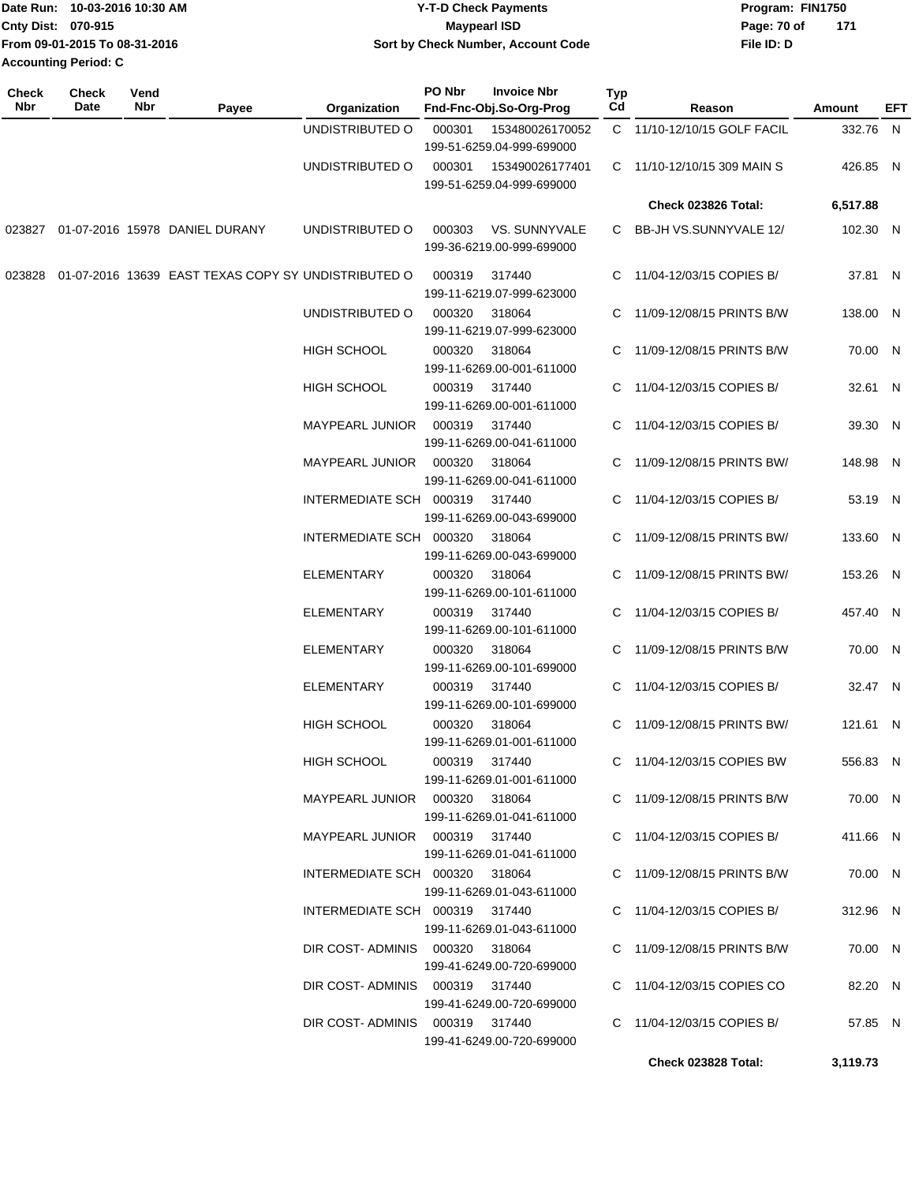|                             | Date Run: 10-03-2016 10:30 AM | <b>Y-T-D Check Payments</b>        | Program: FIN1750   |  |  |  |
|-----------------------------|-------------------------------|------------------------------------|--------------------|--|--|--|
| Cnty Dist: 070-915          |                               | <b>Mavpearl ISD</b>                | 171<br>Page: 70 of |  |  |  |
|                             | From 09-01-2015 To 08-31-2016 | Sort by Check Number, Account Code | File ID: D         |  |  |  |
| <b>Accounting Period: C</b> |                               |                                    |                    |  |  |  |

| <b>Check</b><br>Nbr | <b>Check</b><br>Date | Vend<br>Nbr | Payee                                                      | Organization                   | PO Nbr        | <b>Invoice Nbr</b><br>Fnd-Fnc-Obj.So-Org-Prog | Typ<br>Cd | Reason                      | Amount   | EFT |
|---------------------|----------------------|-------------|------------------------------------------------------------|--------------------------------|---------------|-----------------------------------------------|-----------|-----------------------------|----------|-----|
|                     |                      |             |                                                            | UNDISTRIBUTED O                | 000301        | 153480026170052<br>199-51-6259.04-999-699000  |           | C 11/10-12/10/15 GOLF FACIL | 332.76 N |     |
|                     |                      |             |                                                            | UNDISTRIBUTED O                | 000301        | 153490026177401<br>199-51-6259.04-999-699000  |           | C 11/10-12/10/15 309 MAIN S | 426.85 N |     |
|                     |                      |             |                                                            |                                |               |                                               |           | Check 023826 Total:         | 6,517.88 |     |
|                     |                      |             | 023827 01-07-2016 15978 DANIEL DURANY                      | UNDISTRIBUTED O                | 000303        | VS. SUNNYVALE<br>199-36-6219.00-999-699000    |           | C BB-JH VS.SUNNYVALE 12/    | 102.30 N |     |
|                     |                      |             | 023828 01-07-2016 13639 EAST TEXAS COPY SY UNDISTRIBUTED O |                                | 000319        | 317440<br>199-11-6219.07-999-623000           |           | C 11/04-12/03/15 COPIES B/  | 37.81 N  |     |
|                     |                      |             |                                                            | UNDISTRIBUTED O                | 000320        | 318064<br>199-11-6219.07-999-623000           |           | C 11/09-12/08/15 PRINTS B/W | 138.00 N |     |
|                     |                      |             |                                                            | <b>HIGH SCHOOL</b>             | 000320        | 318064<br>199-11-6269.00-001-611000           |           | C 11/09-12/08/15 PRINTS B/W | 70.00 N  |     |
|                     |                      |             |                                                            | <b>HIGH SCHOOL</b>             | 000319 317440 | 199-11-6269.00-001-611000                     |           | C 11/04-12/03/15 COPIES B/  | 32.61 N  |     |
|                     |                      |             |                                                            | MAYPEARL JUNIOR                | 000319        | 317440<br>199-11-6269.00-041-611000           |           | C 11/04-12/03/15 COPIES B/  | 39.30 N  |     |
|                     |                      |             |                                                            | MAYPEARL JUNIOR  000320        |               | 318064<br>199-11-6269.00-041-611000           |           | C 11/09-12/08/15 PRINTS BW/ | 148.98 N |     |
|                     |                      |             |                                                            | INTERMEDIATE SCH 000319 317440 |               | 199-11-6269.00-043-699000                     |           | C 11/04-12/03/15 COPIES B/  | 53.19 N  |     |
|                     |                      |             |                                                            | INTERMEDIATE SCH 000320        |               | 318064<br>199-11-6269.00-043-699000           |           | C 11/09-12/08/15 PRINTS BW/ | 133.60 N |     |
|                     |                      |             |                                                            | <b>ELEMENTARY</b>              | 000320        | 318064<br>199-11-6269.00-101-611000           |           | C 11/09-12/08/15 PRINTS BW/ | 153.26 N |     |
|                     |                      |             |                                                            | <b>ELEMENTARY</b>              |               | 000319 317440<br>199-11-6269.00-101-611000    |           | C 11/04-12/03/15 COPIES B/  | 457.40 N |     |
|                     |                      |             |                                                            | <b>ELEMENTARY</b>              |               | 000320 318064<br>199-11-6269.00-101-699000    |           | C 11/09-12/08/15 PRINTS B/W | 70.00 N  |     |
|                     |                      |             |                                                            | <b>ELEMENTARY</b>              |               | 000319 317440<br>199-11-6269.00-101-699000    |           | C 11/04-12/03/15 COPIES B/  | 32.47 N  |     |
|                     |                      |             |                                                            | <b>HIGH SCHOOL</b>             | 000320        | 318064<br>199-11-6269.01-001-611000           |           | C 11/09-12/08/15 PRINTS BW/ | 121.61 N |     |
|                     |                      |             |                                                            | HIGH SCHOOL                    | 000319 317440 | 199-11-6269.01-001-611000                     |           | C 11/04-12/03/15 COPIES BW  | 556.83 N |     |
|                     |                      |             |                                                            |                                |               | 199-11-6269.01-041-611000                     |           | C 11/09-12/08/15 PRINTS B/W | 70.00 N  |     |
|                     |                      |             |                                                            | MAYPEARL JUNIOR 000319 317440  |               | 199-11-6269.01-041-611000                     |           | C 11/04-12/03/15 COPIES B/  | 411.66 N |     |
|                     |                      |             |                                                            | INTERMEDIATE SCH 000320 318064 |               | 199-11-6269.01-043-611000                     |           | C 11/09-12/08/15 PRINTS B/W | 70.00 N  |     |
|                     |                      |             |                                                            | INTERMEDIATE SCH 000319 317440 |               |                                               |           | C 11/04-12/03/15 COPIES B/  | 312.96 N |     |
|                     |                      |             |                                                            | DIR COST-ADMINIS 000320 318064 |               | 199-11-6269.01-043-611000                     |           | C 11/09-12/08/15 PRINTS B/W | 70.00 N  |     |
|                     |                      |             |                                                            | DIR COST-ADMINIS 000319 317440 |               | 199-41-6249.00-720-699000                     |           | C 11/04-12/03/15 COPIES CO  | 82.20 N  |     |
|                     |                      |             |                                                            | DIR COST-ADMINIS 000319 317440 |               | 199-41-6249.00-720-699000                     |           | C 11/04-12/03/15 COPIES B/  | 57.85 N  |     |
|                     |                      |             |                                                            |                                |               | 199-41-6249.00-720-699000                     |           | Check 023828 Total:         | 3,119.73 |     |
|                     |                      |             |                                                            |                                |               |                                               |           |                             |          |     |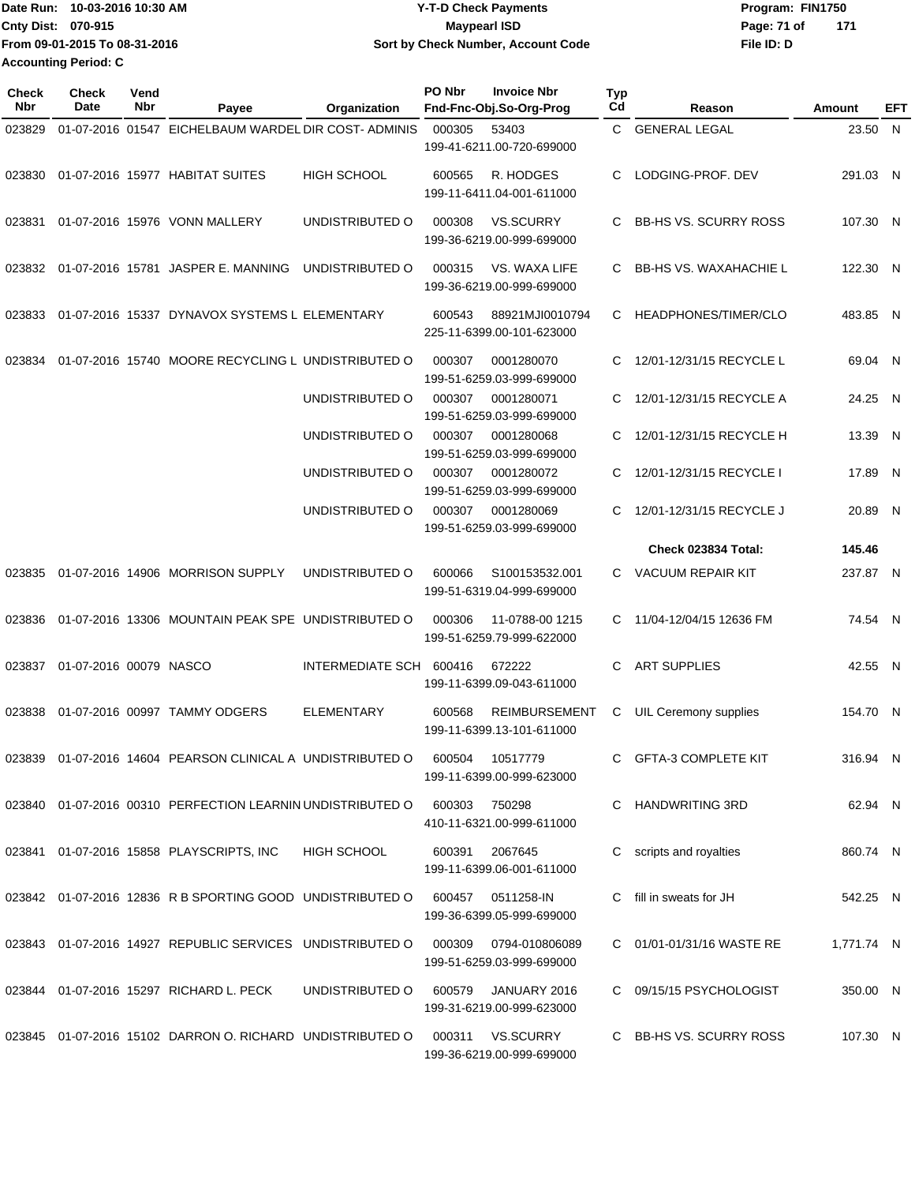| IDate Run: 10-03-2016 10:30 AM | <b>Y-T-D Check Payments</b>        | Program: FIN1750 |     |
|--------------------------------|------------------------------------|------------------|-----|
| <b>Cnty Dist: 070-915</b>      | Maypearl ISD                       | Page: 71 of      | 171 |
| From 09-01-2015 To 08-31-2016  | Sort by Check Number, Account Code | File ID: D       |     |
| <b>Accounting Period: C</b>    |                                    |                  |     |

| Check<br><b>Nbr</b> | <b>Check</b><br>Date   | Vend<br>Nbr | Payee                                                      | Organization            | PO Nbr<br><b>Invoice Nbr</b><br>Fnd-Fnc-Obj.So-Org-Prog     | Typ<br>Cd | Reason                        | Amount     | EFT |
|---------------------|------------------------|-------------|------------------------------------------------------------|-------------------------|-------------------------------------------------------------|-----------|-------------------------------|------------|-----|
| 023829              |                        |             | 01-07-2016 01547 EICHELBAUM WARDEL DIR COST- ADMINIS       |                         | 000305<br>53403<br>199-41-6211.00-720-699000                | C.        | <b>GENERAL LEGAL</b>          | 23.50 N    |     |
| 023830              |                        |             | 01-07-2016 15977 HABITAT SUITES                            | <b>HIGH SCHOOL</b>      | R. HODGES<br>600565<br>199-11-6411.04-001-611000            | C         | LODGING-PROF. DEV             | 291.03 N   |     |
| 023831              |                        |             | 01-07-2016 15976 VONN MALLERY                              | UNDISTRIBUTED O         | <b>VS.SCURRY</b><br>000308<br>199-36-6219.00-999-699000     | C         | <b>BB-HS VS. SCURRY ROSS</b>  | 107.30 N   |     |
| 023832              |                        |             | 01-07-2016 15781 JASPER E. MANNING                         | UNDISTRIBUTED O         | 000315<br>VS. WAXA LIFE<br>199-36-6219.00-999-699000        | C         | <b>BB-HS VS. WAXAHACHIE L</b> | 122.30 N   |     |
| 023833              |                        |             | 01-07-2016 15337 DYNAVOX SYSTEMS L ELEMENTARY              |                         | 600543<br>88921MJI0010794<br>225-11-6399.00-101-623000      | C         | HEADPHONES/TIMER/CLO          | 483.85 N   |     |
| 023834              |                        |             | 01-07-2016 15740 MOORE RECYCLING L UNDISTRIBUTED O         |                         | 000307<br>0001280070<br>199-51-6259.03-999-699000           | C         | 12/01-12/31/15 RECYCLE L      | 69.04 N    |     |
|                     |                        |             |                                                            | UNDISTRIBUTED O         | 000307<br>0001280071<br>199-51-6259.03-999-699000           | C         | 12/01-12/31/15 RECYCLE A      | 24.25 N    |     |
|                     |                        |             |                                                            | UNDISTRIBUTED O         | 000307<br>0001280068<br>199-51-6259.03-999-699000           | C         | 12/01-12/31/15 RECYCLE H      | 13.39      | - N |
|                     |                        |             |                                                            | UNDISTRIBUTED O         | 0001280072<br>000307<br>199-51-6259.03-999-699000           | C         | 12/01-12/31/15 RECYCLE I      | 17.89      | -N  |
|                     |                        |             |                                                            | UNDISTRIBUTED O         | 000307<br>0001280069<br>199-51-6259.03-999-699000           | C         | 12/01-12/31/15 RECYCLE J      | 20.89 N    |     |
|                     |                        |             |                                                            |                         |                                                             |           | <b>Check 023834 Total:</b>    | 145.46     |     |
| 023835              |                        |             | 01-07-2016 14906 MORRISON SUPPLY                           | UNDISTRIBUTED O         | 600066<br>S100153532.001<br>199-51-6319.04-999-699000       | C.        | <b>VACUUM REPAIR KIT</b>      | 237.87 N   |     |
| 023836              |                        |             | 01-07-2016 13306 MOUNTAIN PEAK SPE UNDISTRIBUTED O         |                         | 000306<br>11-0788-00 1215<br>199-51-6259.79-999-622000      | C         | 11/04-12/04/15 12636 FM       | 74.54 N    |     |
| 023837              | 01-07-2016 00079 NASCO |             |                                                            | INTERMEDIATE SCH 600416 | 672222<br>199-11-6399.09-043-611000                         | C         | <b>ART SUPPLIES</b>           | 42.55 N    |     |
| 023838              |                        |             | 01-07-2016 00997 TAMMY ODGERS                              | <b>ELEMENTARY</b>       | 600568<br><b>REIMBURSEMENT</b><br>199-11-6399.13-101-611000 | С         | UIL Ceremony supplies         | 154.70 N   |     |
|                     |                        |             | 023839 01-07-2016 14604 PEARSON CLINICAL A UNDISTRIBUTED O |                         | 600504 10517779<br>199-11-6399.00-999-623000                | C         | <b>GFTA-3 COMPLETE KIT</b>    | 316.94 N   |     |
|                     |                        |             | 023840 01-07-2016 00310 PERFECTION LEARNIN UNDISTRIBUTED O |                         | 600303<br>750298<br>410-11-6321.00-999-611000               |           | C HANDWRITING 3RD             | 62.94 N    |     |
|                     |                        |             | 023841 01-07-2016 15858 PLAYSCRIPTS, INC                   | <b>HIGH SCHOOL</b>      | 2067645<br>600391<br>199-11-6399.06-001-611000              |           | C scripts and royalties       | 860.74 N   |     |
|                     |                        |             | 023842 01-07-2016 12836 R B SPORTING GOOD UNDISTRIBUTED O  |                         | 0511258-IN<br>600457<br>199-36-6399.05-999-699000           |           | fill in sweats for JH         | 542.25 N   |     |
|                     |                        |             | 023843 01-07-2016 14927 REPUBLIC SERVICES UNDISTRIBUTED O  |                         | 000309<br>0794-010806089<br>199-51-6259.03-999-699000       |           | C 01/01-01/31/16 WASTE RE     | 1.771.74 N |     |
|                     |                        |             | 023844 01-07-2016 15297 RICHARD L. PECK                    | UNDISTRIBUTED O         | 600579 JANUARY 2016<br>199-31-6219.00-999-623000            |           | C 09/15/15 PSYCHOLOGIST       | 350.00 N   |     |
|                     |                        |             | 023845 01-07-2016 15102 DARRON O. RICHARD UNDISTRIBUTED O  |                         | 000311    VS.SCURRY<br>199-36-6219.00-999-699000            |           | C BB-HS VS. SCURRY ROSS       | 107.30 N   |     |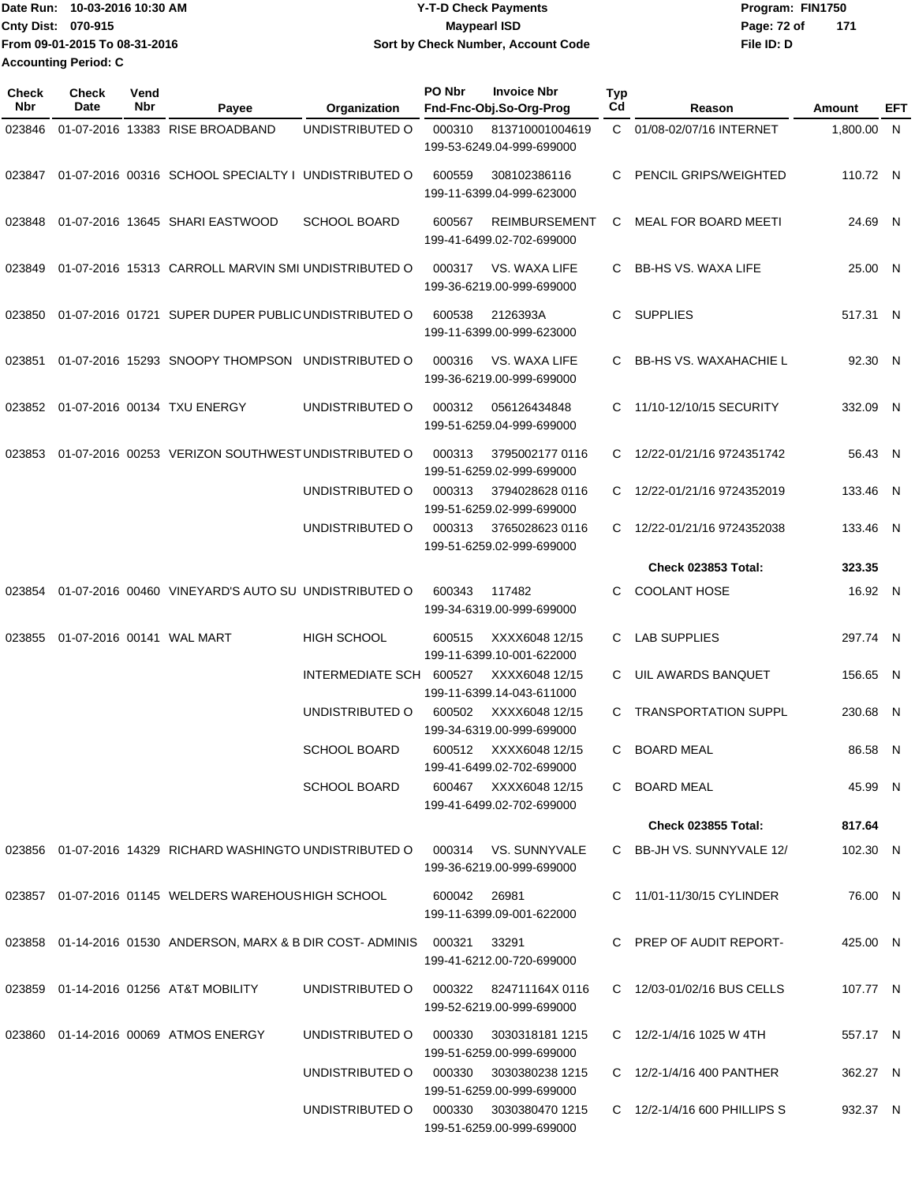| lDate Run: 10-03-2016 10:30 AM |                               | <b>Y-T-D Check Payments</b>        | Program: FIN1750   |  |  |  |
|--------------------------------|-------------------------------|------------------------------------|--------------------|--|--|--|
| <b>Cnty Dist: 070-915</b>      |                               | Maypearl ISD                       | Page: 72 of<br>171 |  |  |  |
|                                | From 09-01-2015 To 08-31-2016 | Sort by Check Number, Account Code | File ID: D         |  |  |  |
|                                | Accounting Period: C          |                                    |                    |  |  |  |

| <b>Check</b><br>Nbr | Check<br>Date | Vend<br>Nbr | Payee                                                                   | Organization                           | PO Nbr | <b>Invoice Nbr</b><br>Fnd-Fnc-Obj.So-Org-Prog                            | Typ<br>Cd | Reason                        | Amount   | EFT |
|---------------------|---------------|-------------|-------------------------------------------------------------------------|----------------------------------------|--------|--------------------------------------------------------------------------|-----------|-------------------------------|----------|-----|
| 023846              |               |             | 01-07-2016 13383 RISE BROADBAND                                         | UNDISTRIBUTED O                        | 000310 | 813710001004619<br>199-53-6249.04-999-699000                             | C.        | 01/08-02/07/16 INTERNET       | 1,800.00 | N,  |
| 023847              |               |             | 01-07-2016 00316 SCHOOL SPECIALTY I UNDISTRIBUTED O                     |                                        | 600559 | 308102386116<br>199-11-6399.04-999-623000                                | C.        | PENCIL GRIPS/WEIGHTED         | 110.72 N |     |
| 023848              |               |             | 01-07-2016 13645 SHARI EASTWOOD                                         | <b>SCHOOL BOARD</b>                    | 600567 | <b>REIMBURSEMENT</b><br>199-41-6499.02-702-699000                        | C         | MEAL FOR BOARD MEETI          | 24.69 N  |     |
| 023849              |               |             | 01-07-2016 15313 CARROLL MARVIN SMI UNDISTRIBUTED O                     |                                        | 000317 | VS. WAXA LIFE<br>199-36-6219.00-999-699000                               | C.        | <b>BB-HS VS. WAXA LIFE</b>    | 25.00 N  |     |
| 023850              |               |             | 01-07-2016 01721 SUPER DUPER PUBLIC UNDISTRIBUTED O                     |                                        | 600538 | 2126393A<br>199-11-6399.00-999-623000                                    | C         | <b>SUPPLIES</b>               | 517.31 N |     |
| 023851              |               |             | 01-07-2016 15293 SNOOPY THOMPSON                                        | UNDISTRIBUTED O                        | 000316 | VS. WAXA LIFE<br>199-36-6219.00-999-699000                               | C.        | <b>BB-HS VS. WAXAHACHIE L</b> | 92.30 N  |     |
| 023852              |               |             | 01-07-2016 00134 TXU ENERGY                                             | UNDISTRIBUTED O                        | 000312 | 056126434848<br>199-51-6259.04-999-699000                                | C.        | 11/10-12/10/15 SECURITY       | 332.09 N |     |
| 023853              |               |             | 01-07-2016 00253 VERIZON SOUTHWEST UNDISTRIBUTED O                      |                                        | 000313 | 3795002177 0116<br>199-51-6259.02-999-699000                             | C.        | 12/22-01/21/16 9724351742     | 56.43 N  |     |
|                     |               |             |                                                                         | UNDISTRIBUTED O                        | 000313 | 3794028628 0116<br>199-51-6259.02-999-699000                             | C.        | 12/22-01/21/16 9724352019     | 133.46 N |     |
|                     |               |             |                                                                         | UNDISTRIBUTED O                        | 000313 | 3765028623 0116<br>199-51-6259.02-999-699000                             | C.        | 12/22-01/21/16 9724352038     | 133.46 N |     |
|                     |               |             |                                                                         |                                        |        |                                                                          |           | <b>Check 023853 Total:</b>    | 323.35   |     |
| 023854              |               |             | 01-07-2016 00460 VINEYARD'S AUTO SU UNDISTRIBUTED O                     |                                        | 600343 | 117482<br>199-34-6319.00-999-699000                                      | C         | <b>COOLANT HOSE</b>           | 16.92 N  |     |
| 023855              |               |             | 01-07-2016 00141 WAL MART                                               | <b>HIGH SCHOOL</b>                     | 600515 | XXXX6048 12/15<br>199-11-6399.10-001-622000                              | C         | <b>LAB SUPPLIES</b>           | 297.74 N |     |
|                     |               |             |                                                                         | INTERMEDIATE SCH                       | 600527 | XXXX6048 12/15                                                           | C.        | UIL AWARDS BANQUET            | 156.65 N |     |
|                     |               |             |                                                                         | UNDISTRIBUTED O                        | 600502 | 199-11-6399.14-043-611000<br>XXXX6048 12/15<br>199-34-6319.00-999-699000 | C.        | <b>TRANSPORTATION SUPPL</b>   | 230.68 N |     |
|                     |               |             |                                                                         | <b>SCHOOL BOARD</b>                    |        | 600512 XXXX6048 12/15<br>199-41-6499.02-702-699000                       | C.        | <b>BOARD MEAL</b>             | 86.58 N  |     |
|                     |               |             |                                                                         | <b>SCHOOL BOARD</b>                    |        | 600467 XXXX6048 12/15<br>199-41-6499.02-702-699000                       |           | C BOARD MEAL                  | 45.99 N  |     |
|                     |               |             |                                                                         |                                        |        |                                                                          |           | <b>Check 023855 Total:</b>    | 817.64   |     |
|                     |               |             | 023856 01-07-2016 14329 RICHARD WASHINGTO UNDISTRIBUTED O               |                                        |        | 000314 VS. SUNNYVALE<br>199-36-6219.00-999-699000                        |           | C BB-JH VS. SUNNYVALE 12/     | 102.30 N |     |
|                     |               |             | 023857 01-07-2016 01145 WELDERS WAREHOUS HIGH SCHOOL                    |                                        | 600042 | 26981<br>199-11-6399.09-001-622000                                       |           | C 11/01-11/30/15 CYLINDER     | 76.00 N  |     |
|                     |               |             | 023858  01-14-2016  01530  ANDERSON, MARX & B DIR COST- ADMINIS  000321 |                                        |        | 33291<br>199-41-6212.00-720-699000                                       |           | C PREP OF AUDIT REPORT-       | 425.00 N |     |
|                     |               |             | 023859  01-14-2016  01256  AT&T MOBILITY                                | UNDISTRIBUTED O                        |        | 000322 824711164X0116<br>199-52-6219.00-999-699000                       |           | C 12/03-01/02/16 BUS CELLS    | 107.77 N |     |
|                     |               |             | 023860  01-14-2016  00069  ATMOS ENERGY                                 | UNDISTRIBUTED O                        | 000330 | 3030318181 1215<br>199-51-6259.00-999-699000                             |           | C $12/2 - 1/4/16$ 1025 W 4TH  | 557.17 N |     |
|                     |               |             |                                                                         | UNDISTRIBUTED O                        | 000330 | 3030380238 1215<br>199-51-6259.00-999-699000                             |           | C 12/2-1/4/16 400 PANTHER     | 362.27 N |     |
|                     |               |             |                                                                         | UNDISTRIBUTED O 000330 3030380470 1215 |        | 199-51-6259.00-999-699000                                                |           | C 12/2-1/4/16 600 PHILLIPS S  | 932.37 N |     |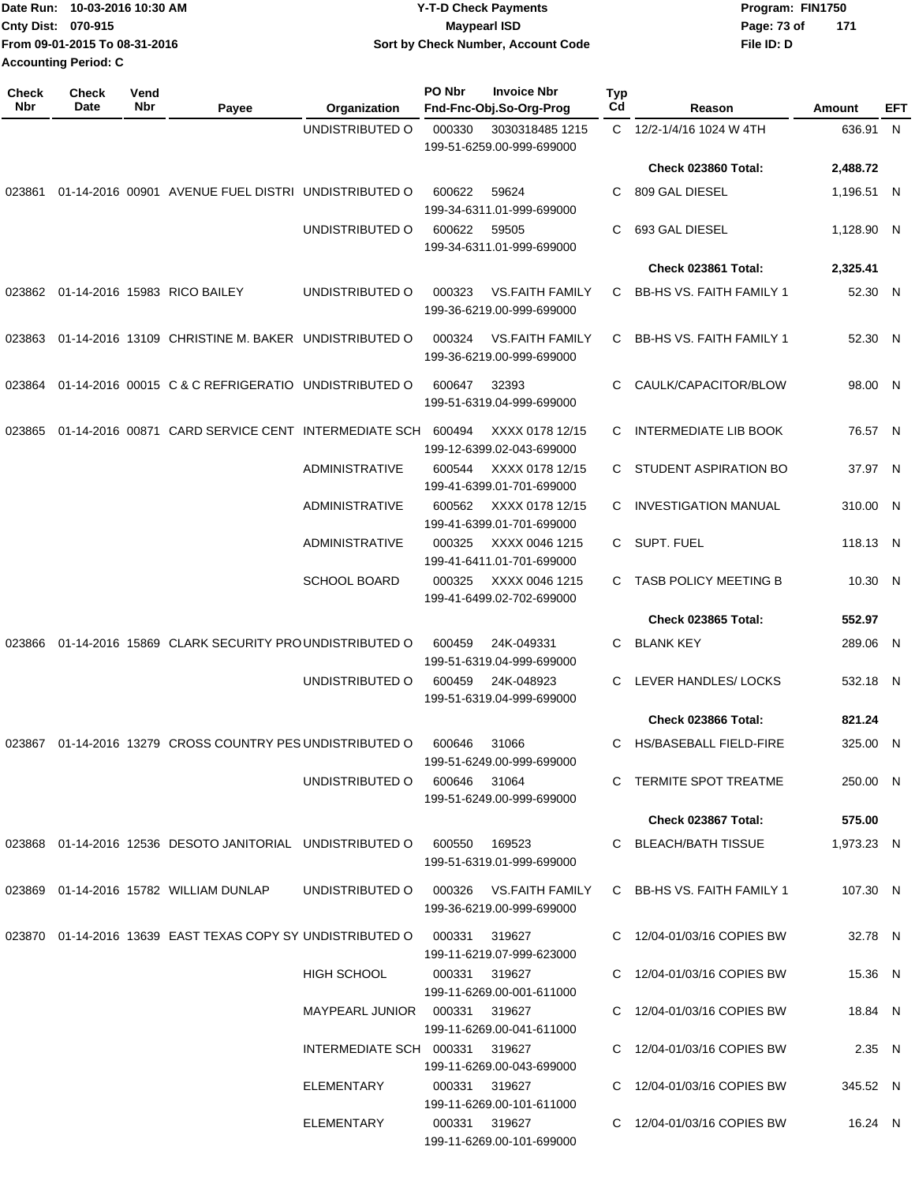|                             | IDate Run: 10-03-2016 10:30 AM | <b>Y-T-D Check Payments</b>        | Program: FIN1750   |  |
|-----------------------------|--------------------------------|------------------------------------|--------------------|--|
| <b>Cnty Dist: 070-915</b>   |                                | Maypearl ISD                       | 171<br>Page: 73 of |  |
|                             | From 09-01-2015 To 08-31-2016  | Sort by Check Number, Account Code | File ID: D         |  |
| <b>Accounting Period: C</b> |                                |                                    |                    |  |

| <b>Check</b><br>Nbr | Check<br>Date | Vend<br>Nbr | Payee                                                                         | Organization                           | PO Nbr       | <b>Invoice Nbr</b><br>Fnd-Fnc-Obj.So-Org-Prog       | Typ<br>Cd | Reason                          | Amount     | EFT |
|---------------------|---------------|-------------|-------------------------------------------------------------------------------|----------------------------------------|--------------|-----------------------------------------------------|-----------|---------------------------------|------------|-----|
|                     |               |             |                                                                               | UNDISTRIBUTED O                        | 000330       | 3030318485 1215                                     |           | C 12/2-1/4/16 1024 W 4TH        | 636.91 N   |     |
|                     |               |             |                                                                               |                                        |              | 199-51-6259.00-999-699000                           |           | <b>Check 023860 Total:</b>      | 2,488.72   |     |
| 023861              |               |             | 01-14-2016 00901 AVENUE FUEL DISTRI UNDISTRIBUTED O                           |                                        | 600622       | 59624<br>199-34-6311.01-999-699000                  | C         | 809 GAL DIESEL                  | 1,196.51 N |     |
|                     |               |             |                                                                               | UNDISTRIBUTED O                        | 600622       | 59505<br>199-34-6311.01-999-699000                  | C         | 693 GAL DIESEL                  | 1,128.90 N |     |
|                     |               |             |                                                                               |                                        |              |                                                     |           | Check 023861 Total:             | 2,325.41   |     |
| 023862              |               |             | 01-14-2016 15983 RICO BAILEY                                                  | UNDISTRIBUTED O                        | 000323       | <b>VS.FAITH FAMILY</b><br>199-36-6219.00-999-699000 | C         | <b>BB-HS VS. FAITH FAMILY 1</b> | 52.30 N    |     |
| 023863              |               |             | 01-14-2016 13109 CHRISTINE M. BAKER UNDISTRIBUTED O                           |                                        | 000324       | <b>VS.FAITH FAMILY</b><br>199-36-6219.00-999-699000 | C         | <b>BB-HS VS. FAITH FAMILY 1</b> | 52.30 N    |     |
| 023864              |               |             | 01-14-2016 00015 C & C REFRIGERATIO UNDISTRIBUTED O                           |                                        | 600647       | 32393<br>199-51-6319.04-999-699000                  | C         | CAULK/CAPACITOR/BLOW            | 98.00 N    |     |
| 023865              |               |             | 01-14-2016 00871 CARD SERVICE CENT INTERMEDIATE SCH                           |                                        | 600494       | XXXX 0178 12/15<br>199-12-6399.02-043-699000        | C         | <b>INTERMEDIATE LIB BOOK</b>    | 76.57 N    |     |
|                     |               |             |                                                                               | <b>ADMINISTRATIVE</b>                  | 600544       | XXXX 0178 12/15<br>199-41-6399.01-701-699000        | C.        | STUDENT ASPIRATION BO           | 37.97 N    |     |
|                     |               |             |                                                                               | <b>ADMINISTRATIVE</b>                  | 600562       | XXXX 0178 12/15<br>199-41-6399.01-701-699000        | C         | <b>INVESTIGATION MANUAL</b>     | 310.00 N   |     |
|                     |               |             |                                                                               | ADMINISTRATIVE                         | 000325       | XXXX 0046 1215<br>199-41-6411.01-701-699000         | C         | SUPT. FUEL                      | 118.13 N   |     |
|                     |               |             |                                                                               | <b>SCHOOL BOARD</b>                    | 000325       | XXXX 0046 1215<br>199-41-6499.02-702-699000         | C         | TASB POLICY MEETING B           | 10.30 N    |     |
|                     |               |             |                                                                               |                                        |              |                                                     |           | <b>Check 023865 Total:</b>      | 552.97     |     |
| 023866              |               |             | 01-14-2016 15869 CLARK SECURITY PROUNDISTRIBUTED O                            |                                        | 600459       | 24K-049331<br>199-51-6319.04-999-699000             | C         | <b>BLANK KEY</b>                | 289.06 N   |     |
|                     |               |             |                                                                               | UNDISTRIBUTED O                        | 600459       | 24K-048923<br>199-51-6319.04-999-699000             | C         | LEVER HANDLES/ LOCKS            | 532.18 N   |     |
|                     |               |             |                                                                               |                                        |              |                                                     |           | <b>Check 023866 Total:</b>      | 821.24     |     |
| 023867              |               |             | 01-14-2016 13279 CROSS COUNTRY PES UNDISTRIBUTED O                            |                                        | 600646       | 31066<br>199-51-6249.00-999-699000                  | C         | <b>HS/BASEBALL FIELD-FIRE</b>   | 325.00 N   |     |
|                     |               |             |                                                                               | UNDISTRIBUTED O                        | 600646 31064 | 199-51-6249.00-999-699000                           |           | C TERMITE SPOT TREATME          | 250.00 N   |     |
|                     |               |             |                                                                               |                                        |              |                                                     |           | Check 023867 Total:             | 575.00     |     |
|                     |               |             | 023868 01-14-2016 12536 DESOTO JANITORIAL UNDISTRIBUTED O                     |                                        | 600550       | 169523<br>199-51-6319.01-999-699000                 |           | C BLEACH/BATH TISSUE            | 1,973.23 N |     |
|                     |               |             | 023869 01-14-2016 15782 WILLIAM DUNLAP                                        | UNDISTRIBUTED O 000326 VS.FAITH FAMILY |              | 199-36-6219.00-999-699000                           |           | C BB-HS VS. FAITH FAMILY 1      | 107.30 N   |     |
|                     |               |             | 023870  01-14-2016  13639  EAST TEXAS COPY SY UNDISTRIBUTED O  000331  319627 |                                        |              | 199-11-6219.07-999-623000                           |           | C 12/04-01/03/16 COPIES BW      | 32.78 N    |     |
|                     |               |             |                                                                               | <b>HIGH SCHOOL</b>                     |              | 000331 319627<br>199-11-6269.00-001-611000          |           | C 12/04-01/03/16 COPIES BW      | 15.36 N    |     |
|                     |               |             |                                                                               | MAYPEARL JUNIOR 000331 319627          |              | 199-11-6269.00-041-611000                           |           | C 12/04-01/03/16 COPIES BW      | 18.84 N    |     |
|                     |               |             |                                                                               | INTERMEDIATE SCH 000331 319627         |              | 199-11-6269.00-043-699000                           |           | C 12/04-01/03/16 COPIES BW      | 2.35 N     |     |
|                     |               |             |                                                                               | ELEMENTARY                             |              | 000331 319627<br>199-11-6269.00-101-611000          |           | C 12/04-01/03/16 COPIES BW      | 345.52 N   |     |
|                     |               |             |                                                                               | ELEMENTARY                             |              | 000331 319627<br>199-11-6269.00-101-699000          |           | C 12/04-01/03/16 COPIES BW      | 16.24 N    |     |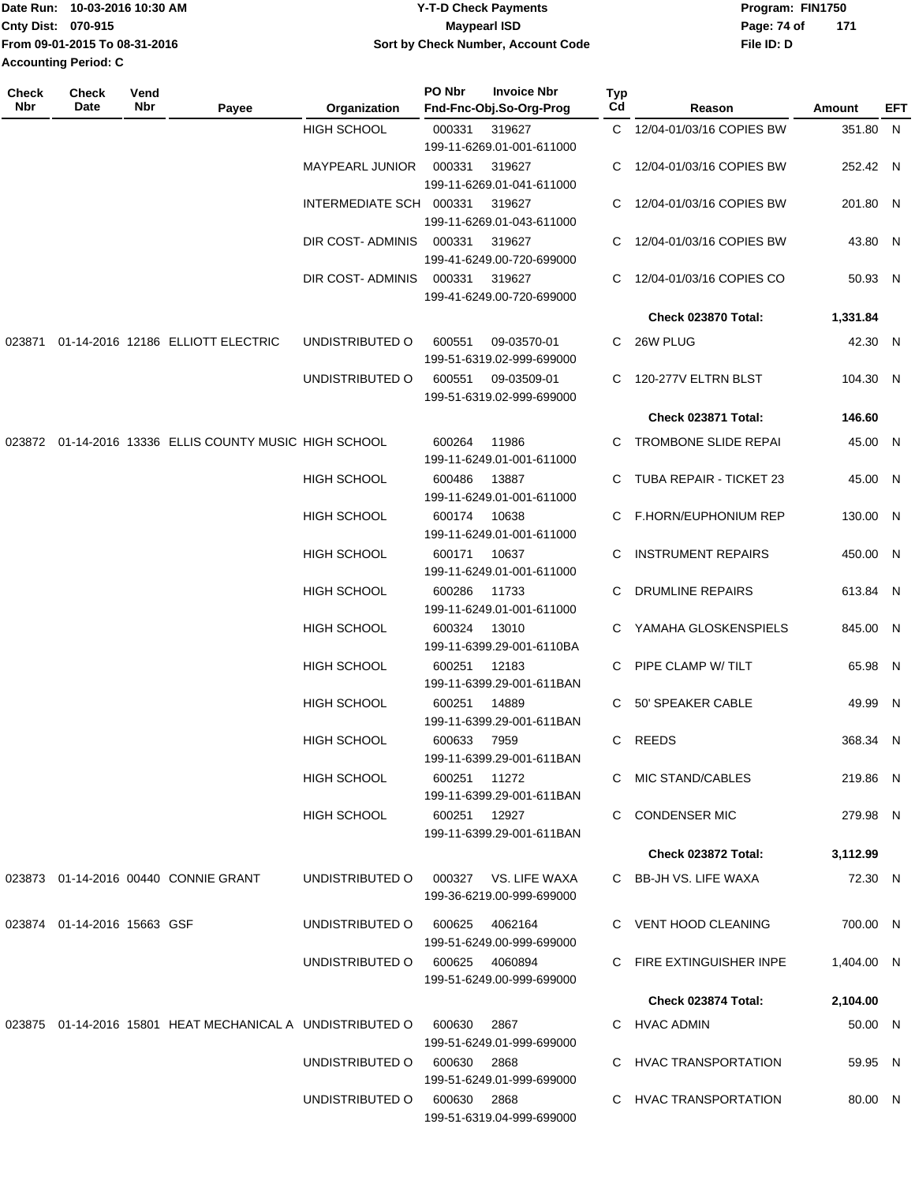| Date Run: 10-03-2016 10:30 AM | Y-T-D Check Payments               | Program: FIN1750 |     |
|-------------------------------|------------------------------------|------------------|-----|
| <b>Cnty Dist: 070-915</b>     | Maypearl ISD                       | Page: 74 of      | 171 |
| From 09-01-2015 To 08-31-2016 | Sort by Check Number, Account Code | File ID: D       |     |
| Accounting Period: C          |                                    |                  |     |

| <b>Check</b><br>Nbr | <b>Check</b><br>Date        | Vend<br>Nbr | Payee                                                                | Organization            | PO Nbr       | <b>Invoice Nbr</b><br>Fnd-Fnc-Obj.So-Org-Prog | Typ<br>Cd | Reason                     | Amount     | EFT |
|---------------------|-----------------------------|-------------|----------------------------------------------------------------------|-------------------------|--------------|-----------------------------------------------|-----------|----------------------------|------------|-----|
|                     |                             |             |                                                                      | <b>HIGH SCHOOL</b>      | 000331       | 319627                                        |           | C 12/04-01/03/16 COPIES BW | 351.80 N   |     |
|                     |                             |             |                                                                      |                         |              | 199-11-6269.01-001-611000                     |           |                            |            |     |
|                     |                             |             |                                                                      | <b>MAYPEARL JUNIOR</b>  | 000331       | 319627                                        |           | 12/04-01/03/16 COPIES BW   | 252.42 N   |     |
|                     |                             |             |                                                                      |                         |              | 199-11-6269.01-041-611000                     |           |                            |            |     |
|                     |                             |             |                                                                      | INTERMEDIATE SCH 000331 |              | 319627                                        | C.        | 12/04-01/03/16 COPIES BW   | 201.80 N   |     |
|                     |                             |             |                                                                      |                         |              | 199-11-6269.01-043-611000                     |           |                            |            |     |
|                     |                             |             |                                                                      | DIR COST-ADMINIS        | 000331       | 319627                                        |           | 12/04-01/03/16 COPIES BW   | 43.80 N    |     |
|                     |                             |             |                                                                      |                         |              | 199-41-6249.00-720-699000                     |           |                            |            |     |
|                     |                             |             |                                                                      | DIR COST-ADMINIS        | 000331       | 319627                                        | C.        | 12/04-01/03/16 COPIES CO   | 50.93 N    |     |
|                     |                             |             |                                                                      |                         |              | 199-41-6249.00-720-699000                     |           |                            |            |     |
|                     |                             |             |                                                                      |                         |              |                                               |           | Check 023870 Total:        | 1,331.84   |     |
| 023871              |                             |             | 01-14-2016 12186 ELLIOTT ELECTRIC                                    | UNDISTRIBUTED O         | 600551       | 09-03570-01                                   |           | C 26W PLUG                 | 42.30 N    |     |
|                     |                             |             |                                                                      |                         |              | 199-51-6319.02-999-699000                     |           |                            |            |     |
|                     |                             |             |                                                                      | UNDISTRIBUTED O         | 600551       | 09-03509-01                                   | C.        | 120-277V ELTRN BLST        | 104.30 N   |     |
|                     |                             |             |                                                                      |                         |              | 199-51-6319.02-999-699000                     |           |                            |            |     |
|                     |                             |             |                                                                      |                         |              |                                               |           | <b>Check 023871 Total:</b> | 146.60     |     |
|                     |                             |             | 023872 01-14-2016 13336 ELLIS COUNTY MUSIC HIGH SCHOOL               |                         | 600264       | 11986                                         |           | C TROMBONE SLIDE REPAI     | 45.00 N    |     |
|                     |                             |             |                                                                      |                         |              | 199-11-6249.01-001-611000                     |           |                            |            |     |
|                     |                             |             |                                                                      | <b>HIGH SCHOOL</b>      | 600486       | 13887                                         |           | C TUBA REPAIR - TICKET 23  | 45.00 N    |     |
|                     |                             |             |                                                                      |                         |              | 199-11-6249.01-001-611000                     |           |                            |            |     |
|                     |                             |             |                                                                      | <b>HIGH SCHOOL</b>      | 600174       | 10638                                         |           | C F.HORN/EUPHONIUM REP     | 130.00 N   |     |
|                     |                             |             |                                                                      |                         |              | 199-11-6249.01-001-611000                     |           |                            |            |     |
|                     |                             |             |                                                                      | <b>HIGH SCHOOL</b>      | 600171       | 10637                                         | C         | <b>INSTRUMENT REPAIRS</b>  | 450.00 N   |     |
|                     |                             |             |                                                                      |                         |              | 199-11-6249.01-001-611000                     |           |                            |            |     |
|                     |                             |             |                                                                      | <b>HIGH SCHOOL</b>      | 600286       | 11733                                         | C.        | <b>DRUMLINE REPAIRS</b>    | 613.84 N   |     |
|                     |                             |             |                                                                      |                         |              | 199-11-6249.01-001-611000                     |           |                            |            |     |
|                     |                             |             |                                                                      | <b>HIGH SCHOOL</b>      | 600324       | 13010<br>199-11-6399.29-001-6110BA            | C.        | YAMAHA GLOSKENSPIELS       | 845.00 N   |     |
|                     |                             |             |                                                                      | <b>HIGH SCHOOL</b>      | 600251       | 12183                                         | C.        | PIPE CLAMP W/ TILT         | 65.98 N    |     |
|                     |                             |             |                                                                      |                         |              | 199-11-6399.29-001-611BAN                     |           |                            |            |     |
|                     |                             |             |                                                                      | <b>HIGH SCHOOL</b>      | 600251       | 14889                                         |           | C 50' SPEAKER CABLE        | 49.99 N    |     |
|                     |                             |             |                                                                      |                         |              | 199-11-6399.29-001-611BAN                     |           |                            |            |     |
|                     |                             |             |                                                                      | <b>HIGH SCHOOL</b>      | 600633       | 7959                                          |           | C REEDS                    | 368.34 N   |     |
|                     |                             |             |                                                                      |                         |              | 199-11-6399.29-001-611BAN                     |           |                            |            |     |
|                     |                             |             |                                                                      | <b>HIGH SCHOOL</b>      | 600251 11272 |                                               |           | C MIC STAND/CABLES         | 219.86 N   |     |
|                     |                             |             |                                                                      |                         |              | 199-11-6399.29-001-611BAN                     |           |                            |            |     |
|                     |                             |             |                                                                      | <b>HIGH SCHOOL</b>      | 600251 12927 |                                               |           | C CONDENSER MIC            | 279.98 N   |     |
|                     |                             |             |                                                                      |                         |              | 199-11-6399.29-001-611BAN                     |           |                            |            |     |
|                     |                             |             |                                                                      |                         |              |                                               |           | Check 023872 Total:        | 3,112.99   |     |
|                     |                             |             | 023873  01-14-2016  00440  CONNIE GRANT                              | UNDISTRIBUTED O         |              | 000327 VS. LIFE WAXA                          |           | C BB-JH VS. LIFE WAXA      | 72.30 N    |     |
|                     |                             |             |                                                                      |                         |              | 199-36-6219.00-999-699000                     |           |                            |            |     |
|                     | 023874 01-14-2016 15663 GSF |             |                                                                      | UNDISTRIBUTED O         |              | 600625 4062164                                |           | C VENT HOOD CLEANING       | 700.00 N   |     |
|                     |                             |             |                                                                      |                         |              | 199-51-6249.00-999-699000                     |           |                            |            |     |
|                     |                             |             |                                                                      | UNDISTRIBUTED O         |              | 600625 4060894                                |           | C FIRE EXTINGUISHER INPE   | 1,404.00 N |     |
|                     |                             |             |                                                                      |                         |              | 199-51-6249.00-999-699000                     |           |                            |            |     |
|                     |                             |             |                                                                      |                         |              |                                               |           | Check 023874 Total:        | 2,104.00   |     |
|                     |                             |             | 023875  01-14-2016  15801  HEAT MECHANICAL A UNDISTRIBUTED O  600630 |                         |              |                                               |           |                            |            |     |
|                     |                             |             |                                                                      |                         |              | 2867<br>199-51-6249.01-999-699000             |           | C HVAC ADMIN               | 50.00 N    |     |
|                     |                             |             |                                                                      | UNDISTRIBUTED O         | 600630 2868  |                                               |           | C HVAC TRANSPORTATION      | 59.95 N    |     |
|                     |                             |             |                                                                      |                         |              | 199-51-6249.01-999-699000                     |           |                            |            |     |
|                     |                             |             |                                                                      | UNDISTRIBUTED O         | 600630 2868  |                                               |           | C HVAC TRANSPORTATION      | 80.00 N    |     |
|                     |                             |             |                                                                      |                         |              | 199-51-6319.04-999-699000                     |           |                            |            |     |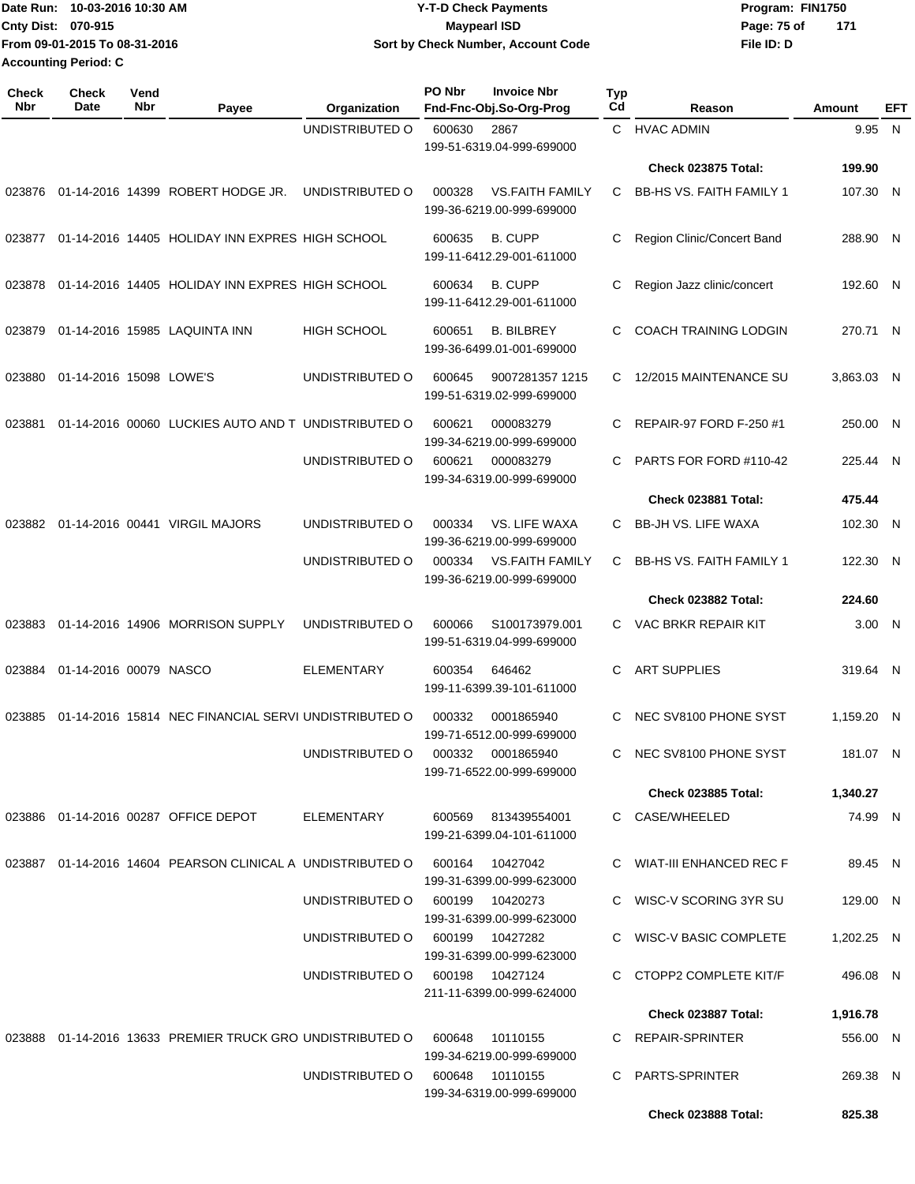Date Run: 10-03-2016 10:30 AM **CONTACT CONTACT ART AND THE SET OF PROGRAM** PROGRAM: FIN1750 **Cnty Dist:** 070-915 **Page: 75 of MaypearI ISD Page: 75 of File ID: D From 09-01-2015 To 08-31-2016 10-03-2016 10:30 AM Y-T-D Check Payments 070-915 Maypearl ISD Sort by Check Number, Account Code 171 Accounting Period: C**

| <b>Check</b><br>Nbr | Check<br>Date           | Vend<br>Nbr | Payee                                                      | Organization       | PO Nbr | <b>Invoice Nbr</b><br>Fnd-Fnc-Obj.So-Org-Prog       | Typ<br>Cd | Reason                          | Amount     | EFT |
|---------------------|-------------------------|-------------|------------------------------------------------------------|--------------------|--------|-----------------------------------------------------|-----------|---------------------------------|------------|-----|
|                     |                         |             |                                                            | UNDISTRIBUTED O    | 600630 | 2867<br>199-51-6319.04-999-699000                   | C         | <b>HVAC ADMIN</b>               | 9.95       | N   |
|                     |                         |             |                                                            |                    |        |                                                     |           | <b>Check 023875 Total:</b>      | 199.90     |     |
| 023876              |                         |             | 01-14-2016 14399 ROBERT HODGE JR.                          | UNDISTRIBUTED O    | 000328 | <b>VS.FAITH FAMILY</b><br>199-36-6219.00-999-699000 | C         | <b>BB-HS VS. FAITH FAMILY 1</b> | 107.30 N   |     |
| 023877              |                         |             | 01-14-2016 14405 HOLIDAY INN EXPRES HIGH SCHOOL            |                    | 600635 | <b>B. CUPP</b><br>199-11-6412.29-001-611000         | C         | Region Clinic/Concert Band      | 288.90 N   |     |
| 023878              |                         |             | 01-14-2016 14405 HOLIDAY INN EXPRES HIGH SCHOOL            |                    | 600634 | <b>B. CUPP</b><br>199-11-6412.29-001-611000         | C         | Region Jazz clinic/concert      | 192.60 N   |     |
| 023879              |                         |             | 01-14-2016 15985 LAQUINTA INN                              | <b>HIGH SCHOOL</b> | 600651 | <b>B. BILBREY</b><br>199-36-6499.01-001-699000      | C         | <b>COACH TRAINING LODGIN</b>    | 270.71 N   |     |
| 023880              | 01-14-2016 15098 LOWE'S |             |                                                            | UNDISTRIBUTED O    | 600645 | 9007281357 1215<br>199-51-6319.02-999-699000        | C         | 12/2015 MAINTENANCE SU          | 3,863.03 N |     |
| 023881              |                         |             | 01-14-2016 00060 LUCKIES AUTO AND T UNDISTRIBUTED O        |                    | 600621 | 000083279<br>199-34-6219.00-999-699000              | С         | REPAIR-97 FORD F-250 #1         | 250.00 N   |     |
|                     |                         |             |                                                            | UNDISTRIBUTED O    | 600621 | 000083279<br>199-34-6319.00-999-699000              | C         | PARTS FOR FORD #110-42          | 225.44 N   |     |
|                     |                         |             |                                                            |                    |        |                                                     |           | Check 023881 Total:             | 475.44     |     |
| 023882              |                         |             | 01-14-2016 00441 VIRGIL MAJORS                             | UNDISTRIBUTED O    | 000334 | VS. LIFE WAXA<br>199-36-6219.00-999-699000          | С         | <b>BB-JH VS. LIFE WAXA</b>      | 102.30 N   |     |
|                     |                         |             |                                                            | UNDISTRIBUTED O    | 000334 | <b>VS.FAITH FAMILY</b><br>199-36-6219.00-999-699000 | C         | <b>BB-HS VS. FAITH FAMILY 1</b> | 122.30 N   |     |
|                     |                         |             |                                                            |                    |        |                                                     |           | Check 023882 Total:             | 224.60     |     |
| 023883              |                         |             | 01-14-2016 14906 MORRISON SUPPLY                           | UNDISTRIBUTED O    | 600066 | S100173979.001<br>199-51-6319.04-999-699000         | C.        | VAC BRKR REPAIR KIT             | 3.00 N     |     |
| 023884              | 01-14-2016 00079 NASCO  |             |                                                            | ELEMENTARY         | 600354 | 646462<br>199-11-6399.39-101-611000                 | C         | <b>ART SUPPLIES</b>             | 319.64 N   |     |
| 023885              |                         |             | 01-14-2016 15814 NEC FINANCIAL SERVI UNDISTRIBUTED O       |                    | 000332 | 0001865940<br>199-71-6512.00-999-699000             | C         | NEC SV8100 PHONE SYST           | 1,159.20 N |     |
|                     |                         |             |                                                            | UNDISTRIBUTED O    | 000332 | 0001865940<br>199-71-6522.00-999-699000             | C.        | NEC SV8100 PHONE SYST           | 181.07 N   |     |
|                     |                         |             |                                                            |                    |        |                                                     |           | <b>Check 023885 Total:</b>      | 1,340.27   |     |
|                     |                         |             | 023886  01-14-2016  00287  OFFICE DEPOT                    | ELEMENTARY         | 600569 | 813439554001<br>199-21-6399.04-101-611000           |           | C CASE/WHEELED                  | 74.99 N    |     |
|                     |                         |             | 023887 01-14-2016 14604 PEARSON CLINICAL A UNDISTRIBUTED O |                    | 600164 | 10427042<br>199-31-6399.00-999-623000               |           | C WIAT-III ENHANCED REC F       | 89.45 N    |     |
|                     |                         |             |                                                            | UNDISTRIBUTED O    | 600199 | 10420273<br>199-31-6399.00-999-623000               |           | WISC-V SCORING 3YR SU           | 129.00 N   |     |
|                     |                         |             |                                                            | UNDISTRIBUTED O    | 600199 | 10427282<br>199-31-6399.00-999-623000               |           | C WISC-V BASIC COMPLETE         | 1,202.25 N |     |
|                     |                         |             |                                                            | UNDISTRIBUTED O    | 600198 | 10427124<br>211-11-6399.00-999-624000               |           | C CTOPP2 COMPLETE KIT/F         | 496.08 N   |     |
|                     |                         |             |                                                            |                    |        |                                                     |           | Check 023887 Total:             | 1,916.78   |     |
|                     |                         |             | 023888 01-14-2016 13633 PREMIER TRUCK GRO UNDISTRIBUTED O  |                    | 600648 | 10110155<br>199-34-6219.00-999-699000               |           | REPAIR-SPRINTER                 | 556.00 N   |     |
|                     |                         |             |                                                            | UNDISTRIBUTED O    | 600648 | 10110155<br>199-34-6319.00-999-699000               | C         | <b>PARTS-SPRINTER</b>           | 269.38 N   |     |
|                     |                         |             |                                                            |                    |        |                                                     |           | Check 023888 Total:             | 825.38     |     |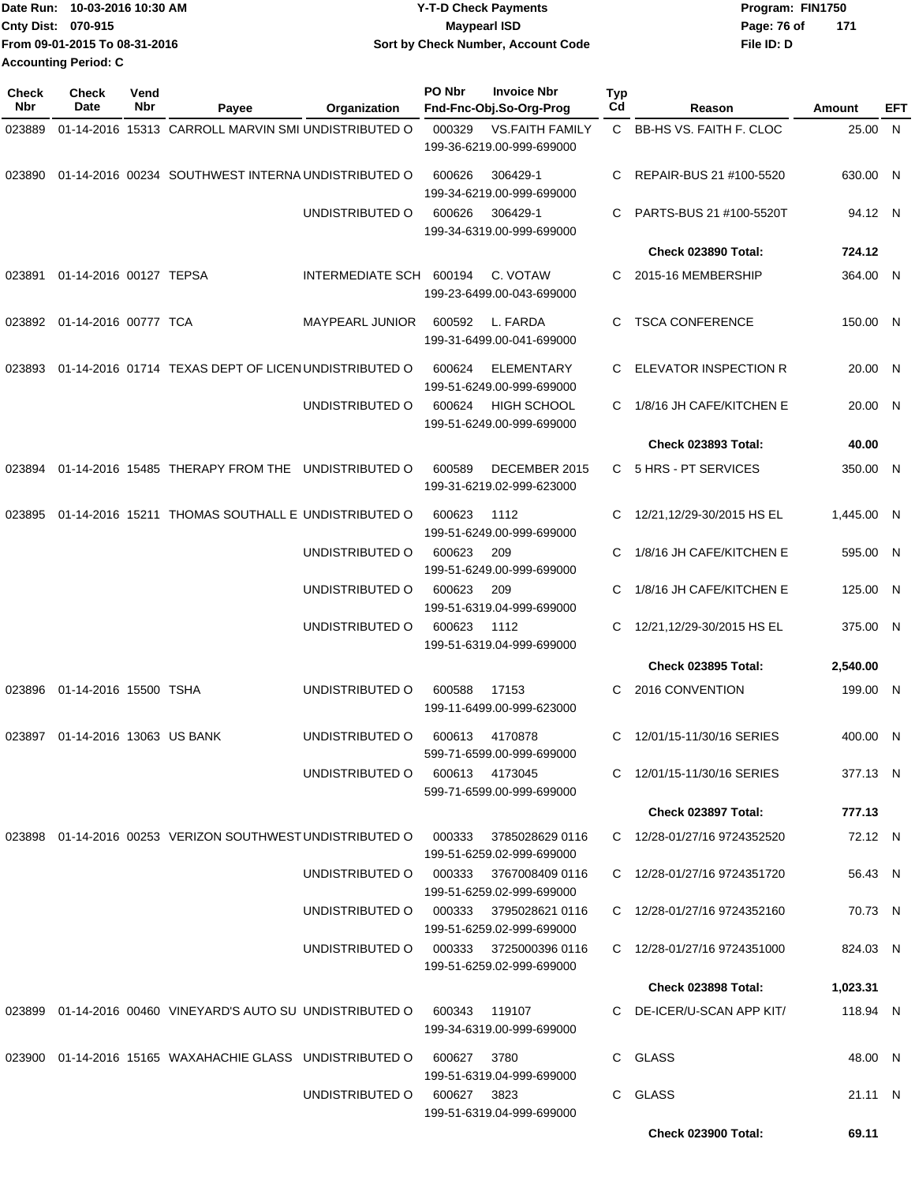|                             | Date Run: 10-03-2016 10:30 AM | <b>Y-T-D Check Payments</b>        | Program: FIN1750 |       |
|-----------------------------|-------------------------------|------------------------------------|------------------|-------|
| <b>Cnty Dist: 070-915</b>   |                               | Maypearl ISD                       | Page: 76 of      | - 171 |
|                             | From 09-01-2015 To 08-31-2016 | Sort by Check Number, Account Code | File ID: D       |       |
| <b>Accounting Period: C</b> |                               |                                    |                  |       |

| <b>Check</b><br>Nbr | Check<br>Date            | Vend<br>Nbr | Payee                                                         | Organization                                              | PO Nbr      | <b>Invoice Nbr</b><br>Fnd-Fnc-Obj.So-Org-Prog       | Typ<br>Cd    | Reason                                                     | Amount              | EFT |
|---------------------|--------------------------|-------------|---------------------------------------------------------------|-----------------------------------------------------------|-------------|-----------------------------------------------------|--------------|------------------------------------------------------------|---------------------|-----|
| 023889              |                          |             | 01-14-2016 15313 CARROLL MARVIN SMI UNDISTRIBUTED O           |                                                           | 000329      | <b>VS.FAITH FAMILY</b><br>199-36-6219.00-999-699000 | $\mathbf{C}$ | <b>BB-HS VS. FAITH F. CLOC</b>                             | 25.00 N             |     |
| 023890              |                          |             | 01-14-2016 00234 SOUTHWEST INTERNA UNDISTRIBUTED O            |                                                           | 600626      | 306429-1<br>199-34-6219.00-999-699000               | С            | REPAIR-BUS 21 #100-5520                                    | 630.00 N            |     |
|                     |                          |             |                                                               | UNDISTRIBUTED O                                           | 600626      | 306429-1<br>199-34-6319.00-999-699000               | С            | PARTS-BUS 21 #100-5520T                                    | 94.12 N             |     |
|                     |                          |             |                                                               |                                                           |             |                                                     |              | <b>Check 023890 Total:</b>                                 | 724.12              |     |
| 023891              | 01-14-2016 00127 TEPSA   |             |                                                               | INTERMEDIATE SCH 600194                                   |             | C. VOTAW<br>199-23-6499.00-043-699000               | C.           | 2015-16 MEMBERSHIP                                         | 364.00 N            |     |
| 023892              | 01-14-2016 00777 TCA     |             |                                                               | MAYPEARL JUNIOR                                           | 600592      | L. FARDA<br>199-31-6499.00-041-699000               | С            | <b>TSCA CONFERENCE</b>                                     | 150.00 N            |     |
| 023893              |                          |             | 01-14-2016 01714 TEXAS DEPT OF LICEN UNDISTRIBUTED O          |                                                           | 600624      | <b>ELEMENTARY</b><br>199-51-6249.00-999-699000      | С            | ELEVATOR INSPECTION R                                      | 20.00 N             |     |
|                     |                          |             |                                                               | UNDISTRIBUTED O                                           | 600624      | <b>HIGH SCHOOL</b><br>199-51-6249.00-999-699000     | C.           | 1/8/16 JH CAFE/KITCHEN E                                   | 20.00 N             |     |
|                     |                          |             |                                                               |                                                           |             |                                                     |              | <b>Check 023893 Total:</b>                                 | 40.00               |     |
| 023894              |                          |             | 01-14-2016 15485 THERAPY FROM THE                             | UNDISTRIBUTED O                                           | 600589      | DECEMBER 2015<br>199-31-6219.02-999-623000          |              | C 5 HRS - PT SERVICES                                      | 350.00 N            |     |
| 023895              |                          |             | 01-14-2016 15211 THOMAS SOUTHALL E UNDISTRIBUTED O            |                                                           | 600623      | 1112<br>199-51-6249.00-999-699000                   | С            | 12/21,12/29-30/2015 HS EL                                  | 1.445.00 N          |     |
|                     |                          |             |                                                               | UNDISTRIBUTED O                                           | 600623      | 209<br>199-51-6249.00-999-699000                    | С            | 1/8/16 JH CAFE/KITCHEN E                                   | 595.00 N            |     |
|                     |                          |             |                                                               | UNDISTRIBUTED O                                           | 600623      | 209<br>199-51-6319.04-999-699000                    | C            | 1/8/16 JH CAFE/KITCHEN E                                   | 125.00 N            |     |
|                     |                          |             |                                                               | UNDISTRIBUTED O                                           | 600623      | 1112<br>199-51-6319.04-999-699000                   | С            | 12/21,12/29-30/2015 HS EL                                  | 375.00 N            |     |
|                     |                          |             |                                                               |                                                           |             |                                                     |              | <b>Check 023895 Total:</b>                                 | 2,540.00            |     |
| 023896              | 01-14-2016 15500 TSHA    |             |                                                               | UNDISTRIBUTED O                                           | 600588      | 17153<br>199-11-6499.00-999-623000                  | С            | 2016 CONVENTION                                            | 199.00 N            |     |
| 023897              | 01-14-2016 13063 US BANK |             |                                                               | UNDISTRIBUTED O                                           | 600613      | 4170878<br>599-71-6599.00-999-699000                | C            | 12/01/15-11/30/16 SERIES                                   | 400.00 N            |     |
|                     |                          |             |                                                               | UNDISTRIBUTED O                                           | 600613      | 4173045<br>599-71-6599.00-999-699000                |              | C 12/01/15-11/30/16 SERIES                                 | 377.13 N            |     |
|                     |                          |             |                                                               |                                                           |             |                                                     |              | Check 023897 Total:                                        | 777.13              |     |
|                     |                          |             | 023898 01-14-2016 00253 VERIZON SOUTHWEST UNDISTRIBUTED O     |                                                           | 000333      | 3785028629 0116<br>199-51-6259.02-999-699000        |              | C 12/28-01/27/16 9724352520                                | 72.12 N             |     |
|                     |                          |             |                                                               | UNDISTRIBUTED O                                           |             | 000333 3767008409 0116<br>199-51-6259.02-999-699000 |              | C 12/28-01/27/16 9724351720                                | 56.43 N             |     |
|                     |                          |             |                                                               | UNDISTRIBUTED O 000333 3795028621 0116<br>UNDISTRIBUTED O |             | 199-51-6259.02-999-699000<br>000333 3725000396 0116 |              | C 12/28-01/27/16 9724352160<br>C 12/28-01/27/16 9724351000 | 70.73 N<br>824.03 N |     |
|                     |                          |             |                                                               |                                                           |             | 199-51-6259.02-999-699000                           |              | Check 023898 Total:                                        | 1,023.31            |     |
|                     |                          |             | 023899  01-14-2016  00460  VINEYARD'S AUTO SU UNDISTRIBUTED O |                                                           |             | 119107                                              |              | C DE-ICER/U-SCAN APP KIT/                                  | 118.94 N            |     |
|                     |                          |             |                                                               |                                                           | 600343      | 199-34-6319.00-999-699000                           |              |                                                            |                     |     |
|                     |                          |             | 023900 01-14-2016 15165 WAXAHACHIE GLASS UNDISTRIBUTED O      |                                                           | 600627      | 3780<br>199-51-6319.04-999-699000                   |              | C GLASS                                                    | 48.00 N             |     |
|                     |                          |             |                                                               | UNDISTRIBUTED O                                           | 600627 3823 | 199-51-6319.04-999-699000                           |              | C GLASS                                                    | 21.11 N             |     |
|                     |                          |             |                                                               |                                                           |             |                                                     |              | <b>Check 023900 Total:</b>                                 | 69.11               |     |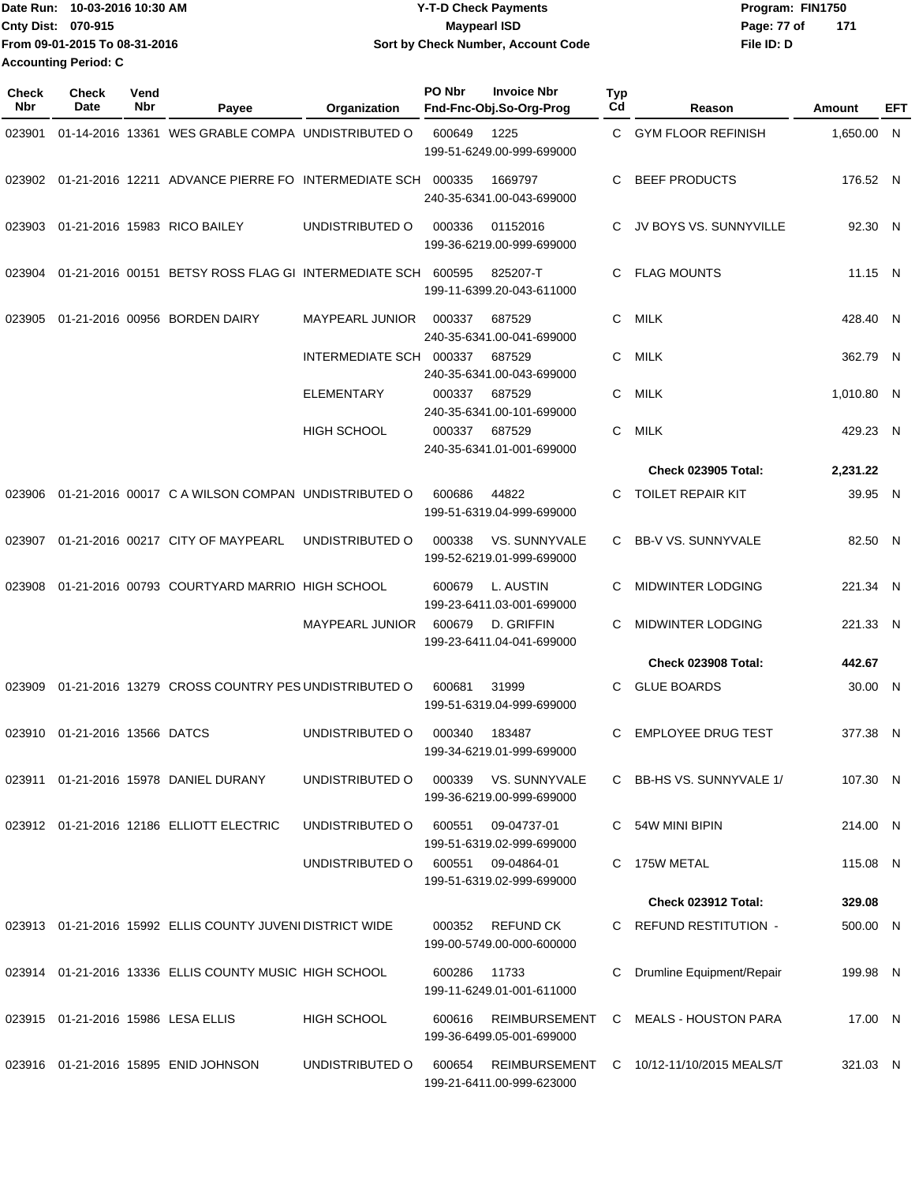|                           | lDate Run: 10-03-2016 10:30 AM | <b>Y-T-D Check Payments</b>        | Program: FIN1750     |  |
|---------------------------|--------------------------------|------------------------------------|----------------------|--|
| <b>Cnty Dist: 070-915</b> |                                | Maypearl ISD                       | - 171<br>Page: 77 of |  |
|                           | From 09-01-2015 To 08-31-2016  | Sort by Check Number, Account Code | File ID: D           |  |
| Accounting Period: C      |                                |                                    |                      |  |

| <b>Check</b><br><b>Nbr</b> | <b>Check</b><br>Date   | Vend<br>Nbr | Payee                                                       | Organization            | PO Nbr | <b>Invoice Nbr</b><br>Fnd-Fnc-Obj.So-Org-Prog | <b>Typ</b><br>Cd | Reason                                   | Amount     | EFT |
|----------------------------|------------------------|-------------|-------------------------------------------------------------|-------------------------|--------|-----------------------------------------------|------------------|------------------------------------------|------------|-----|
| 023901                     |                        |             | 01-14-2016 13361 WES GRABLE COMPA UNDISTRIBUTED O           |                         | 600649 | 1225<br>199-51-6249.00-999-699000             | C.               | <b>GYM FLOOR REFINISH</b>                | 1,650.00 N |     |
| 023902                     |                        |             | 01-21-2016 12211 ADVANCE PIERRE FO INTERMEDIATE SCH         |                         | 000335 | 1669797<br>240-35-6341.00-043-699000          | C                | <b>BEEF PRODUCTS</b>                     | 176.52 N   |     |
| 023903                     |                        |             | 01-21-2016 15983 RICO BAILEY                                | UNDISTRIBUTED O         | 000336 | 01152016<br>199-36-6219.00-999-699000         | C                | JV BOYS VS. SUNNYVILLE                   | 92.30 N    |     |
| 023904                     |                        |             | 01-21-2016 00151 BETSY ROSS FLAG GI INTERMEDIATE SCH 600595 |                         |        | 825207-T<br>199-11-6399.20-043-611000         | C.               | <b>FLAG MOUNTS</b>                       | 11.15 N    |     |
| 023905                     |                        |             | 01-21-2016 00956 BORDEN DAIRY                               | MAYPEARL JUNIOR         | 000337 | 687529<br>240-35-6341.00-041-699000           | C.               | <b>MILK</b>                              | 428.40 N   |     |
|                            |                        |             |                                                             | INTERMEDIATE SCH 000337 |        | 687529<br>240-35-6341.00-043-699000           | C.               | <b>MILK</b>                              | 362.79 N   |     |
|                            |                        |             |                                                             | <b>ELEMENTARY</b>       | 000337 | 687529<br>240-35-6341.00-101-699000           | C                | <b>MILK</b>                              | 1,010.80 N |     |
|                            |                        |             |                                                             | <b>HIGH SCHOOL</b>      | 000337 | 687529<br>240-35-6341.01-001-699000           | C                | <b>MILK</b>                              | 429.23 N   |     |
|                            |                        |             |                                                             |                         |        |                                               |                  | <b>Check 023905 Total:</b>               | 2,231.22   |     |
| 023906                     |                        |             | 01-21-2016 00017 C A WILSON COMPAN UNDISTRIBUTED O          |                         | 600686 | 44822<br>199-51-6319.04-999-699000            | C.               | <b>TOILET REPAIR KIT</b>                 | 39.95 N    |     |
| 023907                     |                        |             | 01-21-2016 00217 CITY OF MAYPEARL                           | UNDISTRIBUTED O         | 000338 | VS. SUNNYVALE<br>199-52-6219.01-999-699000    | C.               | <b>BB-V VS. SUNNYVALE</b>                | 82.50 N    |     |
| 023908                     |                        |             | 01-21-2016 00793 COURTYARD MARRIO HIGH SCHOOL               |                         | 600679 | L. AUSTIN<br>199-23-6411.03-001-699000        | C                | <b>MIDWINTER LODGING</b>                 | 221.34 N   |     |
|                            |                        |             |                                                             | MAYPEARL JUNIOR         | 600679 | D. GRIFFIN<br>199-23-6411.04-041-699000       | C                | <b>MIDWINTER LODGING</b>                 | 221.33 N   |     |
|                            |                        |             |                                                             |                         |        |                                               |                  | <b>Check 023908 Total:</b>               | 442.67     |     |
| 023909                     |                        |             | 01-21-2016 13279 CROSS COUNTRY PES UNDISTRIBUTED O          |                         | 600681 | 31999<br>199-51-6319.04-999-699000            | C.               | <b>GLUE BOARDS</b>                       | 30.00 N    |     |
| 023910                     | 01-21-2016 13566 DATCS |             |                                                             | UNDISTRIBUTED O         | 000340 | 183487<br>199-34-6219.01-999-699000           | C                | <b>EMPLOYEE DRUG TEST</b>                | 377.38 N   |     |
|                            |                        |             | 023911  01-21-2016  15978  DANIEL DURANY                    | UNDISTRIBUTED O         | 000339 | VS. SUNNYVALE<br>199-36-6219.00-999-699000    |                  | C BB-HS VS. SUNNYVALE 1/                 | 107.30 N   |     |
|                            |                        |             | 023912 01-21-2016 12186 ELLIOTT ELECTRIC                    | UNDISTRIBUTED O         | 600551 | 09-04737-01<br>199-51-6319.02-999-699000      |                  | C 54W MINI BIPIN                         | 214.00 N   |     |
|                            |                        |             |                                                             | UNDISTRIBUTED O         | 600551 | 09-04864-01<br>199-51-6319.02-999-699000      |                  | C 175W METAL                             | 115.08 N   |     |
|                            |                        |             |                                                             |                         |        |                                               |                  | Check 023912 Total:                      | 329.08     |     |
|                            |                        |             | 023913 01-21-2016 15992 ELLIS COUNTY JUVENI DISTRICT WIDE   |                         | 000352 | <b>REFUND CK</b><br>199-00-5749.00-000-600000 |                  | C REFUND RESTITUTION -                   | 500.00 N   |     |
|                            |                        |             | 023914 01-21-2016 13336 ELLIS COUNTY MUSIC HIGH SCHOOL      |                         | 600286 | 11733<br>199-11-6249.01-001-611000            | C.               | Drumline Equipment/Repair                | 199.98 N   |     |
|                            |                        |             | 023915 01-21-2016 15986 LESA ELLIS                          | <b>HIGH SCHOOL</b>      | 600616 | REIMBURSEMENT<br>199-36-6499.05-001-699000    |                  | C MEALS - HOUSTON PARA                   | 17.00 N    |     |
|                            |                        |             | 023916 01-21-2016 15895 ENID JOHNSON                        | UNDISTRIBUTED O         | 600654 | 199-21-6411.00-999-623000                     |                  | REIMBURSEMENT C 10/12-11/10/2015 MEALS/T | 321.03 N   |     |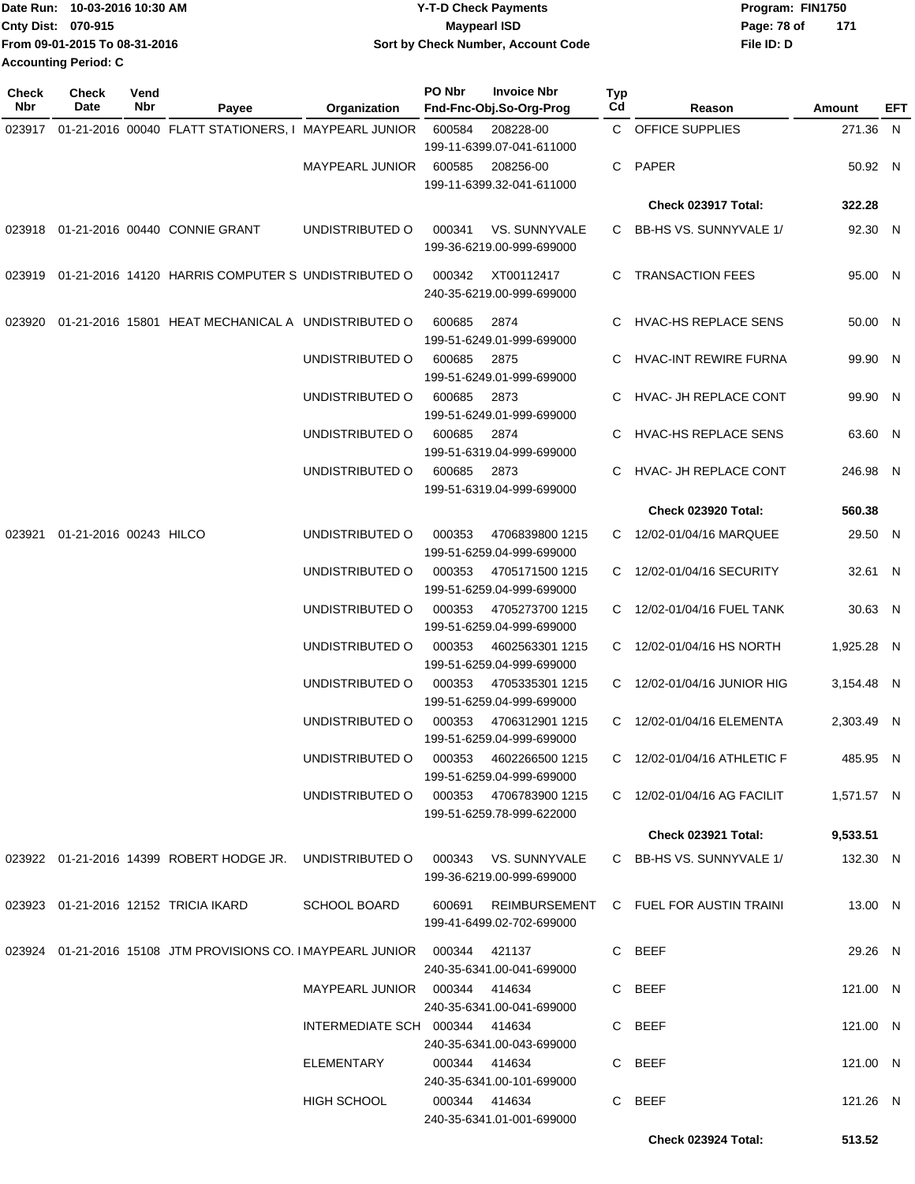|                           | Date Run: 10-03-2016 10:30 AM | <b>Y-T-D Check Payments</b>               | Program: FIN1750 |     |
|---------------------------|-------------------------------|-------------------------------------------|------------------|-----|
| <b>Cnty Dist: 070-915</b> |                               | <b>Mavpearl ISD</b>                       | Page: 78 of      | 171 |
|                           | From 09-01-2015 To 08-31-2016 | <b>Sort by Check Number, Account Code</b> | File ID: D       |     |
| Accounting Period: C      |                               |                                           |                  |     |

| Check<br>Nbr | <b>Check</b><br>Date          | Vend<br><b>Nbr</b> | Payee                                                                         | Organization                           | PO Nbr         | <b>Invoice Nbr</b><br>Fnd-Fnc-Obj.So-Org-Prog | Typ<br>Cd | Reason                                 | Amount     | EFT |
|--------------|-------------------------------|--------------------|-------------------------------------------------------------------------------|----------------------------------------|----------------|-----------------------------------------------|-----------|----------------------------------------|------------|-----|
|              |                               |                    | 023917 01-21-2016 00040 FLATT STATIONERS, I MAYPEARL JUNIOR                   |                                        | 600584         | 208228-00                                     |           | C OFFICE SUPPLIES                      | 271.36 N   |     |
|              |                               |                    |                                                                               | MAYPEARL JUNIOR                        | 600585         | 199-11-6399.07-041-611000<br>208256-00        | C.        | PAPER                                  | 50.92 N    |     |
|              |                               |                    |                                                                               |                                        |                | 199-11-6399.32-041-611000                     |           | Check 023917 Total:                    | 322.28     |     |
|              |                               |                    |                                                                               |                                        |                |                                               |           |                                        |            |     |
|              |                               |                    | 023918 01-21-2016 00440 CONNIE GRANT                                          | UNDISTRIBUTED O                        | 000341         | VS. SUNNYVALE<br>199-36-6219.00-999-699000    |           | C BB-HS VS. SUNNYVALE 1/               | 92.30 N    |     |
|              |                               |                    | 023919 01-21-2016 14120 HARRIS COMPUTER S UNDISTRIBUTED O                     |                                        | 000342         | XT00112417<br>240-35-6219.00-999-699000       |           | C TRANSACTION FEES                     | 95.00 N    |     |
| 023920       |                               |                    | 01-21-2016 15801 HEAT MECHANICAL A UNDISTRIBUTED O                            |                                        | 600685         | 2874<br>199-51-6249.01-999-699000             |           | C HVAC-HS REPLACE SENS                 | 50.00 N    |     |
|              |                               |                    |                                                                               | UNDISTRIBUTED O                        | 600685         | 2875<br>199-51-6249.01-999-699000             | C         | HVAC-INT REWIRE FURNA                  | 99.90 N    |     |
|              |                               |                    |                                                                               | UNDISTRIBUTED O                        | 600685         | 2873<br>199-51-6249.01-999-699000             |           | C HVAC- JH REPLACE CONT                | 99.90 N    |     |
|              |                               |                    |                                                                               | UNDISTRIBUTED O                        | 600685         | 2874<br>199-51-6319.04-999-699000             |           | C HVAC-HS REPLACE SENS                 | 63.60 N    |     |
|              |                               |                    |                                                                               | UNDISTRIBUTED O                        | 600685         | 2873<br>199-51-6319.04-999-699000             |           | HVAC- JH REPLACE CONT                  | 246.98 N   |     |
|              |                               |                    |                                                                               |                                        |                |                                               |           | <b>Check 023920 Total:</b>             | 560.38     |     |
|              | 023921 01-21-2016 00243 HILCO |                    |                                                                               | UNDISTRIBUTED O                        | 000353         | 4706839800 1215<br>199-51-6259.04-999-699000  |           | C 12/02-01/04/16 MARQUEE               | 29.50 N    |     |
|              |                               |                    |                                                                               | UNDISTRIBUTED O                        | 000353         | 4705171500 1215<br>199-51-6259.04-999-699000  |           | C 12/02-01/04/16 SECURITY              | 32.61 N    |     |
|              |                               |                    |                                                                               | UNDISTRIBUTED O                        | 000353         | 4705273700 1215<br>199-51-6259.04-999-699000  |           | C 12/02-01/04/16 FUEL TANK             | 30.63 N    |     |
|              |                               |                    |                                                                               | UNDISTRIBUTED O                        | 000353         | 4602563301 1215<br>199-51-6259.04-999-699000  |           | C 12/02-01/04/16 HS NORTH              | 1,925.28 N |     |
|              |                               |                    |                                                                               | UNDISTRIBUTED O                        | 000353         | 4705335301 1215<br>199-51-6259.04-999-699000  |           | C 12/02-01/04/16 JUNIOR HIG            | 3,154.48 N |     |
|              |                               |                    |                                                                               | UNDISTRIBUTED O                        | 000353         | 4706312901 1215<br>199-51-6259.04-999-699000  |           | C 12/02-01/04/16 ELEMENTA              | 2,303.49 N |     |
|              |                               |                    |                                                                               |                                        |                | 199-51-6259.04-999-699000                     |           | C 12/02-01/04/16 ATHLETIC F            | 485.95 N   |     |
|              |                               |                    |                                                                               | UNDISTRIBUTED O 000353 4706783900 1215 |                | 199-51-6259.78-999-622000                     |           | C 12/02-01/04/16 AG FACILIT            | 1,571.57 N |     |
|              |                               |                    |                                                                               |                                        |                |                                               |           | <b>Check 023921 Total:</b>             | 9,533.51   |     |
|              |                               |                    | 023922 01-21-2016 14399 ROBERT HODGE JR. UNDISTRIBUTED O 000343 VS. SUNNYVALE |                                        |                | 199-36-6219.00-999-699000                     |           | C BB-HS VS. SUNNYVALE 1/               | 132.30 N   |     |
|              |                               |                    | 023923 01-21-2016 12152 TRICIA IKARD                                          | <b>SCHOOL BOARD</b>                    | 600691         | 199-41-6499.02-702-699000                     |           | REIMBURSEMENT C FUEL FOR AUSTIN TRAINI | 13.00 N    |     |
|              |                               |                    | 023924 01-21-2016 15108 JTM PROVISIONS CO. IMAYPEARL JUNIOR 000344 421137     |                                        |                | 240-35-6341.00-041-699000                     |           | C BEEF                                 | 29.26 N    |     |
|              |                               |                    |                                                                               | MAYPEARL JUNIOR 000344 414634          |                | 240-35-6341.00-041-699000                     |           | C BEEF                                 | 121.00 N   |     |
|              |                               |                    |                                                                               | INTERMEDIATE SCH 000344 414634         |                | 240-35-6341.00-043-699000                     |           | C BEEF                                 | 121.00 N   |     |
|              |                               |                    |                                                                               | ELEMENTARY                             | 000344  414634 | 240-35-6341.00-101-699000                     |           | C BEEF                                 | 121.00 N   |     |
|              |                               |                    |                                                                               | <b>HIGH SCHOOL</b>                     | 000344  414634 | 240-35-6341.01-001-699000                     |           | C BEEF                                 | 121.26 N   |     |
|              |                               |                    |                                                                               |                                        |                |                                               |           | <b>Check 023924 Total:</b>             | 513.52     |     |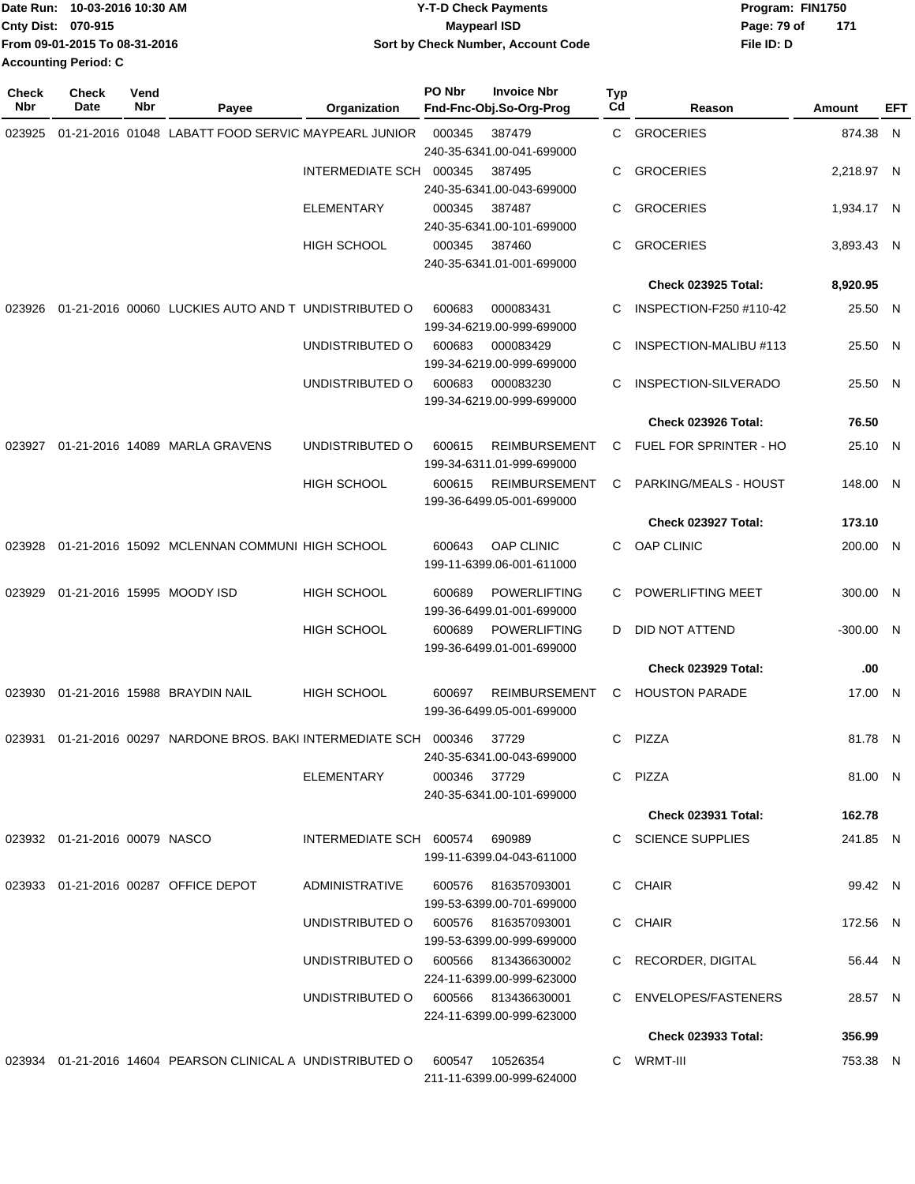|                    | Date Run: 10-03-2016 10:30 AM | <b>Y-T-D Check Payments</b>        | Program: FIN1750 |     |
|--------------------|-------------------------------|------------------------------------|------------------|-----|
| Cnty Dist: 070-915 |                               | Maypearl ISD                       | Page: 79 of      | 171 |
|                    | From 09-01-2015 To 08-31-2016 | Sort by Check Number, Account Code | File ID: D       |     |
|                    | <b>Accounting Period: C</b>   |                                    |                  |     |

| Check<br>Nbr | <b>Check</b><br>Date             | Vend<br>Nbr | Payee                                                         | Organization                        | PO Nbr       | <b>Invoice Nbr</b><br>Fnd-Fnc-Obj.So-Org-Prog                    | Typ<br>Cd | Reason                     | Amount      | EFT |
|--------------|----------------------------------|-------------|---------------------------------------------------------------|-------------------------------------|--------------|------------------------------------------------------------------|-----------|----------------------------|-------------|-----|
| 023925       |                                  |             | 01-21-2016 01048 LABATT FOOD SERVIC MAYPEARL JUNIOR           |                                     | 000345       | 387479<br>240-35-6341.00-041-699000                              | C         | <b>GROCERIES</b>           | 874.38 N    |     |
|              |                                  |             |                                                               | <b>INTERMEDIATE SCH</b>             | 000345       | 387495<br>240-35-6341.00-043-699000                              | С         | <b>GROCERIES</b>           | 2,218.97 N  |     |
|              |                                  |             |                                                               | <b>ELEMENTARY</b>                   | 000345       | 387487                                                           | С         | <b>GROCERIES</b>           | 1,934.17 N  |     |
|              |                                  |             |                                                               | <b>HIGH SCHOOL</b>                  | 000345       | 240-35-6341.00-101-699000<br>387460<br>240-35-6341.01-001-699000 | С         | <b>GROCERIES</b>           | 3,893.43 N  |     |
|              |                                  |             |                                                               |                                     |              |                                                                  |           | <b>Check 023925 Total:</b> | 8,920.95    |     |
| 023926       |                                  |             | 01-21-2016 00060 LUCKIES AUTO AND T UNDISTRIBUTED O           |                                     | 600683       | 000083431<br>199-34-6219.00-999-699000                           | С         | INSPECTION-F250 #110-42    | 25.50 N     |     |
|              |                                  |             |                                                               | UNDISTRIBUTED O                     | 600683       | 000083429<br>199-34-6219.00-999-699000                           | C         | INSPECTION-MALIBU #113     | 25.50 N     |     |
|              |                                  |             |                                                               | UNDISTRIBUTED O                     | 600683       | 000083230<br>199-34-6219.00-999-699000                           | С         | INSPECTION-SILVERADO       | 25.50 N     |     |
|              |                                  |             |                                                               |                                     |              |                                                                  |           | Check 023926 Total:        | 76.50       |     |
| 023927       |                                  |             | 01-21-2016 14089 MARLA GRAVENS                                | UNDISTRIBUTED O                     | 600615       | <b>REIMBURSEMENT</b><br>199-34-6311.01-999-699000                | C         | FUEL FOR SPRINTER - HO     | 25.10 N     |     |
|              |                                  |             |                                                               | HIGH SCHOOL                         | 600615       | <b>REIMBURSEMENT</b><br>199-36-6499.05-001-699000                | С         | PARKING/MEALS - HOUST      | 148.00 N    |     |
|              |                                  |             |                                                               |                                     |              |                                                                  |           | Check 023927 Total:        | 173.10      |     |
| 023928       |                                  |             | 01-21-2016 15092 MCLENNAN COMMUNI HIGH SCHOOL                 |                                     | 600643       | <b>OAP CLINIC</b><br>199-11-6399.06-001-611000                   | C         | <b>OAP CLINIC</b>          | 200.00 N    |     |
| 023929       |                                  |             | 01-21-2016 15995 MOODY ISD                                    | <b>HIGH SCHOOL</b>                  | 600689       | <b>POWERLIFTING</b><br>199-36-6499.01-001-699000                 | C         | POWERLIFTING MEET          | 300.00 N    |     |
|              |                                  |             |                                                               | <b>HIGH SCHOOL</b>                  | 600689       | <b>POWERLIFTING</b><br>199-36-6499.01-001-699000                 | D         | DID NOT ATTEND             | $-300.00$ N |     |
|              |                                  |             |                                                               |                                     |              |                                                                  |           | <b>Check 023929 Total:</b> | .00         |     |
| 023930       |                                  |             | 01-21-2016 15988 BRAYDIN NAIL                                 | <b>HIGH SCHOOL</b>                  | 600697       | <b>REIMBURSEMENT</b><br>199-36-6499.05-001-699000                | С         | <b>HOUSTON PARADE</b>      | 17.00 N     |     |
| 023931       |                                  |             | 01-21-2016 00297 NARDONE BROS, BAKI INTERMEDIATE SCH 000346   |                                     |              | 37729<br>240-35-6341.00-043-699000                               | C         | <b>PIZZA</b>               | 81.78 N     |     |
|              |                                  |             |                                                               | ELEMENTARY                          | 000346 37729 | 240-35-6341.00-101-699000                                        |           | C PIZZA                    | 81.00 N     |     |
|              |                                  |             |                                                               |                                     |              |                                                                  |           | Check 023931 Total:        | 162.78      |     |
|              | 023932  01-21-2016  00079  NASCO |             |                                                               | INTERMEDIATE SCH 600574 690989      |              | 199-11-6399.04-043-611000                                        |           | C SCIENCE SUPPLIES         | 241.85 N    |     |
|              |                                  |             | 023933 01-21-2016 00287 OFFICE DEPOT                          | ADMINISTRATIVE                      |              | 600576 816357093001<br>199-53-6399.00-701-699000                 |           | C CHAIR                    | 99.42 N     |     |
|              |                                  |             |                                                               | UNDISTRIBUTED O 600576 816357093001 |              | 199-53-6399.00-999-699000                                        |           | C CHAIR                    | 172.56 N    |     |
|              |                                  |             |                                                               | UNDISTRIBUTED O 600566 813436630002 |              | 224-11-6399.00-999-623000                                        |           | C RECORDER, DIGITAL        | 56.44 N     |     |
|              |                                  |             |                                                               | UNDISTRIBUTED O 600566 813436630001 |              | 224-11-6399.00-999-623000                                        |           | C ENVELOPES/FASTENERS      | 28.57 N     |     |
|              |                                  |             |                                                               |                                     |              |                                                                  |           | <b>Check 023933 Total:</b> | 356.99      |     |
|              |                                  |             | 023934  01-21-2016  14604  PEARSON CLINICAL A UNDISTRIBUTED O |                                     |              | 600547 10526354<br>211-11-6399.00-999-624000                     |           | C WRMT-III                 | 753.38 N    |     |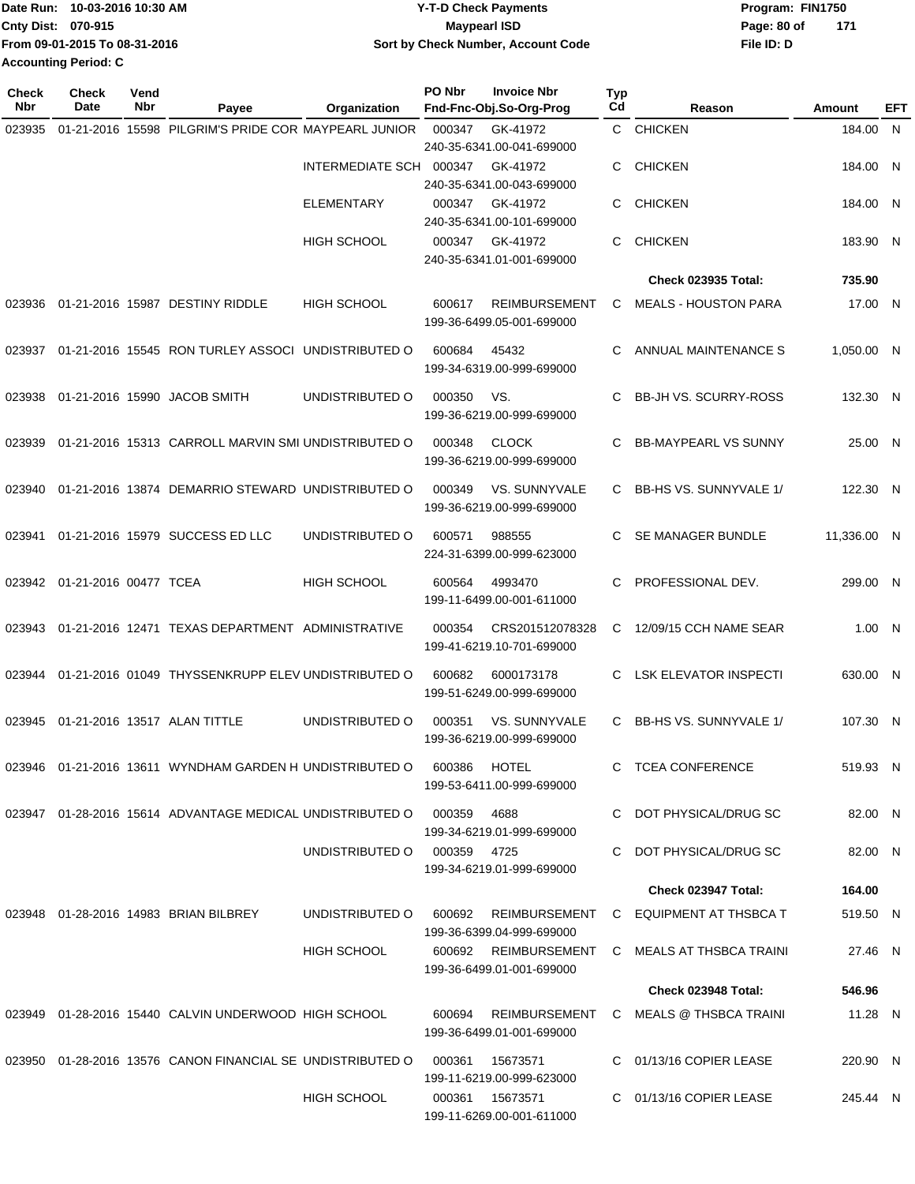|                             | Date Run: 10-03-2016 10:30 AM | <b>Y-T-D Check Payments</b>        | Program: FIN1750   |  |
|-----------------------------|-------------------------------|------------------------------------|--------------------|--|
| <b>Cnty Dist: 070-915</b>   |                               | <b>Mavpearl ISD</b>                | Page: 80 of<br>171 |  |
|                             | From 09-01-2015 To 08-31-2016 | Sort by Check Number, Account Code | File ID: D         |  |
| <b>Accounting Period: C</b> |                               |                                    |                    |  |

| <b>Check</b><br>Nbr | <b>Check</b><br><b>Date</b> | Vend<br>Nbr | Payee                                                      | Organization       | PO Nbr      | <b>Invoice Nbr</b><br>Fnd-Fnc-Obj.So-Org-Prog     | <b>Typ</b><br>Cd | Reason                                        | Amount      | EFT |
|---------------------|-----------------------------|-------------|------------------------------------------------------------|--------------------|-------------|---------------------------------------------------|------------------|-----------------------------------------------|-------------|-----|
| 023935              | 01-21-2016 15598            |             | PILGRIM'S PRIDE COR MAYPEARL JUNIOR                        |                    | 000347      | GK-41972                                          | C.               | <b>CHICKEN</b>                                | 184.00 N    |     |
|                     |                             |             |                                                            |                    |             | 240-35-6341.00-041-699000                         |                  |                                               |             |     |
|                     |                             |             |                                                            | INTERMEDIATE SCH   | 000347      | GK-41972<br>240-35-6341.00-043-699000             | C                | <b>CHICKEN</b>                                | 184.00      | - N |
|                     |                             |             |                                                            | <b>ELEMENTARY</b>  | 000347      | GK-41972                                          | C                | <b>CHICKEN</b>                                | 184.00      | -N  |
|                     |                             |             |                                                            |                    |             | 240-35-6341.00-101-699000                         |                  |                                               |             |     |
|                     |                             |             |                                                            | <b>HIGH SCHOOL</b> | 000347      | GK-41972                                          | C                | <b>CHICKEN</b>                                | 183.90 N    |     |
|                     |                             |             |                                                            |                    |             | 240-35-6341.01-001-699000                         |                  |                                               |             |     |
|                     |                             |             |                                                            |                    |             |                                                   |                  | <b>Check 023935 Total:</b>                    | 735.90      |     |
| 023936              |                             |             | 01-21-2016 15987 DESTINY RIDDLE                            | <b>HIGH SCHOOL</b> | 600617      | <b>REIMBURSEMENT</b><br>199-36-6499.05-001-699000 | C                | <b>MEALS - HOUSTON PARA</b>                   | 17.00 N     |     |
|                     |                             |             |                                                            |                    |             |                                                   |                  |                                               |             |     |
| 023937              |                             |             | 01-21-2016 15545 RON TURLEY ASSOCI UNDISTRIBUTED O         |                    | 600684      | 45432<br>199-34-6319.00-999-699000                | C                | ANNUAL MAINTENANCE S                          | 1,050.00 N  |     |
|                     |                             |             |                                                            |                    |             |                                                   |                  |                                               |             |     |
| 023938              |                             |             | 01-21-2016 15990 JACOB SMITH                               | UNDISTRIBUTED O    | 000350      | VS.<br>199-36-6219.00-999-699000                  | C                | <b>BB-JH VS. SCURRY-ROSS</b>                  | 132.30 N    |     |
|                     |                             |             |                                                            |                    |             |                                                   |                  |                                               |             |     |
| 023939              |                             |             | 01-21-2016 15313 CARROLL MARVIN SMI UNDISTRIBUTED O        |                    | 000348      | <b>CLOCK</b><br>199-36-6219.00-999-699000         | C                | <b>BB-MAYPEARL VS SUNNY</b>                   | 25.00 N     |     |
| 023940              |                             |             | 01-21-2016 13874 DEMARRIO STEWARD UNDISTRIBUTED O          |                    | 000349      | VS. SUNNYVALE                                     | C                | BB-HS VS. SUNNYVALE 1/                        | 122.30 N    |     |
|                     |                             |             |                                                            |                    |             | 199-36-6219.00-999-699000                         |                  |                                               |             |     |
| 023941              |                             |             | 01-21-2016 15979 SUCCESS ED LLC                            | UNDISTRIBUTED O    | 600571      | 988555                                            | C                | SE MANAGER BUNDLE                             | 11,336.00 N |     |
|                     |                             |             |                                                            |                    |             | 224-31-6399.00-999-623000                         |                  |                                               |             |     |
| 023942              | 01-21-2016 00477 TCEA       |             |                                                            | <b>HIGH SCHOOL</b> | 600564      | 4993470                                           | C                | PROFESSIONAL DEV.                             | 299.00 N    |     |
|                     |                             |             |                                                            |                    |             | 199-11-6499.00-001-611000                         |                  |                                               |             |     |
| 023943              |                             |             | 01-21-2016 12471 TEXAS DEPARTMENT ADMINISTRATIVE           |                    | 000354      | CRS201512078328                                   | C                | 12/09/15 CCH NAME SEAR                        | 1.00 N      |     |
|                     |                             |             |                                                            |                    |             | 199-41-6219.10-701-699000                         |                  |                                               |             |     |
| 023944              |                             |             | 01-21-2016 01049 THYSSENKRUPP ELEV UNDISTRIBUTED O         |                    | 600682      | 6000173178                                        | C                | <b>LSK ELEVATOR INSPECTI</b>                  | 630.00 N    |     |
|                     |                             |             |                                                            |                    |             | 199-51-6249.00-999-699000                         |                  |                                               |             |     |
| 023945              |                             |             | 01-21-2016 13517 ALAN TITTLE                               | UNDISTRIBUTED O    | 000351      | VS. SUNNYVALE                                     | C                | BB-HS VS. SUNNYVALE 1/                        | 107.30 N    |     |
|                     |                             |             |                                                            |                    |             | 199-36-6219.00-999-699000                         |                  |                                               |             |     |
|                     |                             |             | 023946 01-21-2016 13611 WYNDHAM GARDEN H UNDISTRIBUTED O   |                    | 600386      | <b>HOTEL</b>                                      |                  | C TCEA CONFERENCE                             | 519.93 N    |     |
|                     |                             |             |                                                            |                    |             | 199-53-6411.00-999-699000                         |                  |                                               |             |     |
|                     |                             |             | 023947 01-28-2016 15614 ADVANTAGE MEDICAL UNDISTRIBUTED O  |                    | 000359      | 4688                                              |                  | C DOT PHYSICAL/DRUG SC                        | 82.00 N     |     |
|                     |                             |             |                                                            |                    |             | 199-34-6219.01-999-699000                         |                  |                                               |             |     |
|                     |                             |             |                                                            | UNDISTRIBUTED O    | 000359 4725 | 199-34-6219.01-999-699000                         |                  | C DOT PHYSICAL/DRUG SC                        | 82.00 N     |     |
|                     |                             |             |                                                            |                    |             |                                                   |                  | <b>Check 023947 Total:</b>                    | 164.00      |     |
|                     |                             |             | 023948  01-28-2016  14983  BRIAN BILBREY                   | UNDISTRIBUTED O    | 600692      | <b>REIMBURSEMENT</b>                              |                  | C EQUIPMENT AT THSBCA T                       | 519.50 N    |     |
|                     |                             |             |                                                            |                    |             | 199-36-6399.04-999-699000                         |                  |                                               |             |     |
|                     |                             |             |                                                            | HIGH SCHOOL        |             |                                                   |                  | 600692 REIMBURSEMENT C MEALS AT THSBCA TRAINI | 27.46 N     |     |
|                     |                             |             |                                                            |                    |             | 199-36-6499.01-001-699000                         |                  | Check 023948 Total:                           |             |     |
|                     |                             |             |                                                            |                    |             |                                                   |                  |                                               | 546.96      |     |
|                     |                             |             | 023949 01-28-2016 15440 CALVIN UNDERWOOD HIGH SCHOOL       |                    | 600694      | REIMBURSEMENT<br>199-36-6499.01-001-699000        |                  | C MEALS @ THSBCA TRAINI                       | 11.28 N     |     |
|                     |                             |             |                                                            |                    |             |                                                   |                  |                                               |             |     |
|                     |                             |             | 023950 01-28-2016 13576 CANON FINANCIAL SE UNDISTRIBUTED O |                    | 000361      | 15673571<br>199-11-6219.00-999-623000             |                  | C 01/13/16 COPIER LEASE                       | 220.90 N    |     |
|                     |                             |             |                                                            | HIGH SCHOOL        |             | 000361 15673571                                   |                  | C 01/13/16 COPIER LEASE                       | 245.44 N    |     |
|                     |                             |             |                                                            |                    |             | 199-11-6269.00-001-611000                         |                  |                                               |             |     |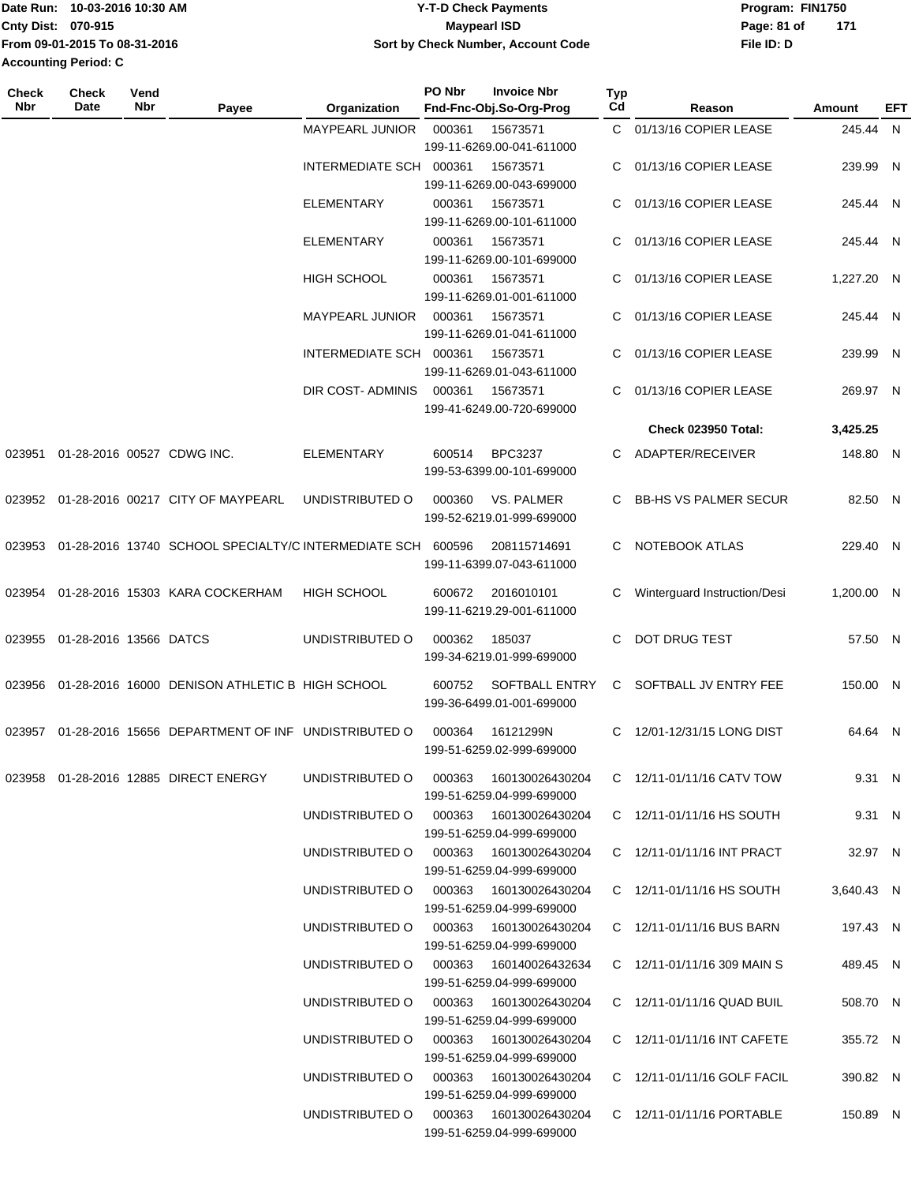| Date Run: 10-03-2016 10:30 AM | <b>Y-T-D Check Payments</b>        | Program: FIN1750   |
|-------------------------------|------------------------------------|--------------------|
| <b>Cnty Dist: 070-915</b>     | Maypearl ISD                       | 171<br>Page: 81 of |
| From 09-01-2015 To 08-31-2016 | Sort by Check Number, Account Code | File ID: D         |
| <b>Accounting Period: C</b>   |                                    |                    |

| <b>Check</b><br>Nbr | Check<br>Date          | Vend<br>Nbr | Payee                                                       | Organization                           | PO Nbr | <b>Invoice Nbr</b><br>Fnd-Fnc-Obj.So-Org-Prog       | <b>Typ</b><br>Cd | Reason                          | <b>Amount</b> | EFT |
|---------------------|------------------------|-------------|-------------------------------------------------------------|----------------------------------------|--------|-----------------------------------------------------|------------------|---------------------------------|---------------|-----|
|                     |                        |             |                                                             | <b>MAYPEARL JUNIOR</b>                 | 000361 | 15673571                                            |                  | C 01/13/16 COPIER LEASE         | 245.44 N      |     |
|                     |                        |             |                                                             |                                        |        | 199-11-6269.00-041-611000                           |                  |                                 |               |     |
|                     |                        |             |                                                             | INTERMEDIATE SCH                       | 000361 | 15673571                                            | C                | 01/13/16 COPIER LEASE           | 239.99 N      |     |
|                     |                        |             |                                                             |                                        |        | 199-11-6269.00-043-699000                           |                  |                                 |               |     |
|                     |                        |             |                                                             | <b>ELEMENTARY</b>                      | 000361 | 15673571                                            | C                | 01/13/16 COPIER LEASE           | 245.44 N      |     |
|                     |                        |             |                                                             |                                        |        | 199-11-6269.00-101-611000                           |                  |                                 |               |     |
|                     |                        |             |                                                             | <b>ELEMENTARY</b>                      | 000361 | 15673571                                            |                  | 01/13/16 COPIER LEASE           | 245.44 N      |     |
|                     |                        |             |                                                             |                                        |        | 199-11-6269.00-101-699000                           |                  |                                 |               |     |
|                     |                        |             |                                                             | <b>HIGH SCHOOL</b>                     |        | 15673571                                            | C                | 01/13/16 COPIER LEASE           | 1,227.20 N    |     |
|                     |                        |             |                                                             |                                        | 000361 | 199-11-6269.01-001-611000                           |                  |                                 |               |     |
|                     |                        |             |                                                             |                                        |        |                                                     |                  |                                 |               |     |
|                     |                        |             |                                                             | <b>MAYPEARL JUNIOR</b>                 | 000361 | 15673571                                            | C                | 01/13/16 COPIER LEASE           | 245.44 N      |     |
|                     |                        |             |                                                             |                                        |        | 199-11-6269.01-041-611000                           |                  |                                 |               |     |
|                     |                        |             |                                                             | INTERMEDIATE SCH 000361                |        | 15673571                                            |                  | 01/13/16 COPIER LEASE           | 239.99 N      |     |
|                     |                        |             |                                                             |                                        |        | 199-11-6269.01-043-611000                           |                  |                                 |               |     |
|                     |                        |             |                                                             | DIR COST- ADMINIS                      | 000361 | 15673571                                            | C                | 01/13/16 COPIER LEASE           | 269.97 N      |     |
|                     |                        |             |                                                             |                                        |        | 199-41-6249.00-720-699000                           |                  |                                 |               |     |
|                     |                        |             |                                                             |                                        |        |                                                     |                  | <b>Check 023950 Total:</b>      | 3,425.25      |     |
| 023951              |                        |             | 01-28-2016 00527 CDWG INC.                                  | <b>ELEMENTARY</b>                      | 600514 | <b>BPC3237</b>                                      | C                | ADAPTER/RECEIVER                | 148.80 N      |     |
|                     |                        |             |                                                             |                                        |        | 199-53-6399.00-101-699000                           |                  |                                 |               |     |
|                     |                        |             |                                                             |                                        | 000360 |                                                     |                  |                                 |               |     |
| 023952              |                        |             | 01-28-2016 00217 CITY OF MAYPEARL                           | UNDISTRIBUTED O                        |        | VS. PALMER                                          |                  | C BB-HS VS PALMER SECUR         | 82.50 N       |     |
|                     |                        |             |                                                             |                                        |        | 199-52-6219.01-999-699000                           |                  |                                 |               |     |
|                     |                        |             | 023953 01-28-2016 13740 SCHOOL SPECIALTY/C INTERMEDIATE SCH |                                        | 600596 | 208115714691                                        |                  | C NOTEBOOK ATLAS                | 229.40 N      |     |
|                     |                        |             |                                                             |                                        |        | 199-11-6399.07-043-611000                           |                  |                                 |               |     |
|                     |                        |             |                                                             |                                        |        |                                                     |                  |                                 |               |     |
| 023954              |                        |             | 01-28-2016 15303 KARA COCKERHAM                             | <b>HIGH SCHOOL</b>                     | 600672 | 2016010101<br>199-11-6219.29-001-611000             | C                | Winterguard Instruction/Desi    | 1,200.00 N    |     |
|                     |                        |             |                                                             |                                        |        |                                                     |                  |                                 |               |     |
| 023955              | 01-28-2016 13566 DATCS |             |                                                             | UNDISTRIBUTED O                        | 000362 | 185037                                              | C.               | DOT DRUG TEST                   | 57.50 N       |     |
|                     |                        |             |                                                             |                                        |        | 199-34-6219.01-999-699000                           |                  |                                 |               |     |
| 023956              |                        |             | 01-28-2016 16000 DENISON ATHLETIC B HIGH SCHOOL             |                                        | 600752 | <b>SOFTBALL ENTRY</b>                               |                  | C SOFTBALL JV ENTRY FEE         | 150.00 N      |     |
|                     |                        |             |                                                             |                                        |        | 199-36-6499.01-001-699000                           |                  |                                 |               |     |
|                     |                        |             |                                                             |                                        |        |                                                     |                  |                                 |               |     |
| 023957              |                        |             | 01-28-2016 15656 DEPARTMENT OF INF UNDISTRIBUTED O          |                                        | 000364 | 16121299N                                           | C.               | 12/01-12/31/15 LONG DIST        | 64.64 N       |     |
|                     |                        |             |                                                             |                                        |        | 199-51-6259.02-999-699000                           |                  |                                 |               |     |
|                     |                        |             | 023958  01-28-2016  12885  DIRECT ENERGY                    | UNDISTRIBUTED O                        | 000363 | 160130026430204                                     |                  | C 12/11-01/11/16 CATV TOW       | 9.31 N        |     |
|                     |                        |             |                                                             |                                        |        | 199-51-6259.04-999-699000                           |                  |                                 |               |     |
|                     |                        |             |                                                             | UNDISTRIBUTED O 000363 160130026430204 |        |                                                     |                  | C $12/11 - 01/11/16$ HS SOUTH   | 9.31 N        |     |
|                     |                        |             |                                                             |                                        |        | 199-51-6259.04-999-699000                           |                  |                                 |               |     |
|                     |                        |             |                                                             | UNDISTRIBUTED O 000363 160130026430204 |        |                                                     |                  | C 12/11-01/11/16 INT PRACT      | 32.97 N       |     |
|                     |                        |             |                                                             |                                        |        | 199-51-6259.04-999-699000                           |                  |                                 |               |     |
|                     |                        |             |                                                             | UNDISTRIBUTED O                        |        |                                                     |                  | C 12/11-01/11/16 HS SOUTH       | 3,640.43 N    |     |
|                     |                        |             |                                                             |                                        |        | 199-51-6259.04-999-699000                           |                  |                                 |               |     |
|                     |                        |             |                                                             | UNDISTRIBUTED O                        |        | 000363  160130026430204                             |                  | C 12/11-01/11/16 BUS BARN       |               |     |
|                     |                        |             |                                                             |                                        |        | 199-51-6259.04-999-699000                           |                  |                                 | 197.43 N      |     |
|                     |                        |             |                                                             |                                        |        |                                                     |                  |                                 |               |     |
|                     |                        |             |                                                             | UNDISTRIBUTED O                        |        | 000363 160140026432634<br>199-51-6259.04-999-699000 |                  | C $12/11 - 01/11/16$ 309 MAIN S | 489.45 N      |     |
|                     |                        |             |                                                             |                                        |        |                                                     |                  |                                 |               |     |
|                     |                        |             |                                                             | UNDISTRIBUTED O 000363 160130026430204 |        |                                                     |                  | C 12/11-01/11/16 QUAD BUIL      | 508.70 N      |     |
|                     |                        |             |                                                             |                                        |        | 199-51-6259.04-999-699000                           |                  |                                 |               |     |
|                     |                        |             |                                                             | UNDISTRIBUTED O 000363 160130026430204 |        |                                                     |                  | C 12/11-01/11/16 INT CAFETE     | 355.72 N      |     |
|                     |                        |             |                                                             |                                        |        | 199-51-6259.04-999-699000                           |                  |                                 |               |     |
|                     |                        |             |                                                             | UNDISTRIBUTED O 000363 160130026430204 |        |                                                     |                  | C 12/11-01/11/16 GOLF FACIL     | 390.82 N      |     |
|                     |                        |             |                                                             |                                        |        | 199-51-6259.04-999-699000                           |                  |                                 |               |     |
|                     |                        |             |                                                             | UNDISTRIBUTED O                        |        | 000363  160130026430204                             |                  | C 12/11-01/11/16 PORTABLE       | 150.89 N      |     |
|                     |                        |             |                                                             |                                        |        | 199-51-6259.04-999-699000                           |                  |                                 |               |     |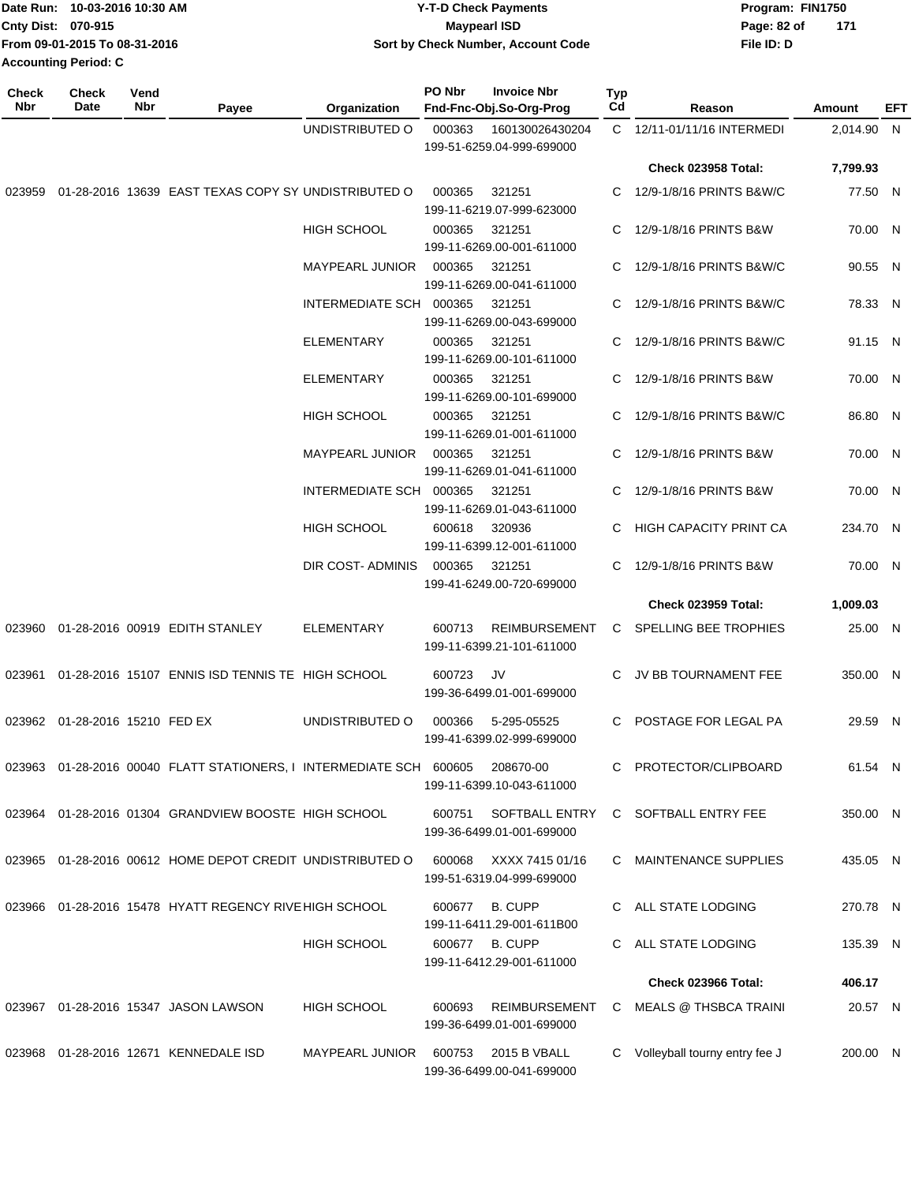|                           | Date Run: 10-03-2016 10:30 AM | <b>Y-T-D Check Payments</b>        | Program: FIN1750   |
|---------------------------|-------------------------------|------------------------------------|--------------------|
| <b>Cnty Dist: 070-915</b> |                               | Maypearl ISD                       | 171<br>Page: 82 of |
|                           | From 09-01-2015 To 08-31-2016 | Sort by Check Number, Account Code | File ID: D         |
|                           | <b>Accounting Period: C</b>   |                                    |                    |

| <b>Check</b><br>Nbr | Check<br>Date                  | Vend<br>Nbr | Payee                                                                   | Organization            | PO Nbr | <b>Invoice Nbr</b><br>Fnd-Fnc-Obj.So-Org-Prog     | <b>Typ</b><br>Cd | Reason                          | Amount     | EFT |
|---------------------|--------------------------------|-------------|-------------------------------------------------------------------------|-------------------------|--------|---------------------------------------------------|------------------|---------------------------------|------------|-----|
|                     |                                |             |                                                                         | UNDISTRIBUTED O         | 000363 | 160130026430204<br>199-51-6259.04-999-699000      |                  | C 12/11-01/11/16 INTERMEDI      | 2,014.90 N |     |
|                     |                                |             |                                                                         |                         |        |                                                   |                  | <b>Check 023958 Total:</b>      | 7,799.93   |     |
| 023959              |                                |             | 01-28-2016 13639 EAST TEXAS COPY SY UNDISTRIBUTED O                     |                         | 000365 | 321251<br>199-11-6219.07-999-623000               | C.               | 12/9-1/8/16 PRINTS B&W/C        | 77.50 N    |     |
|                     |                                |             |                                                                         | <b>HIGH SCHOOL</b>      | 000365 | 321251<br>199-11-6269.00-001-611000               | C                | 12/9-1/8/16 PRINTS B&W          | 70.00 N    |     |
|                     |                                |             |                                                                         | <b>MAYPEARL JUNIOR</b>  | 000365 | 321251<br>199-11-6269.00-041-611000               |                  | C 12/9-1/8/16 PRINTS B&W/C      | 90.55 N    |     |
|                     |                                |             |                                                                         | INTERMEDIATE SCH 000365 |        | 321251<br>199-11-6269.00-043-699000               | C.               | 12/9-1/8/16 PRINTS B&W/C        | 78.33 N    |     |
|                     |                                |             |                                                                         | <b>ELEMENTARY</b>       | 000365 | 321251<br>199-11-6269.00-101-611000               | C                | 12/9-1/8/16 PRINTS B&W/C        | 91.15 N    |     |
|                     |                                |             |                                                                         | <b>ELEMENTARY</b>       | 000365 | 321251<br>199-11-6269.00-101-699000               |                  | C 12/9-1/8/16 PRINTS B&W        | 70.00 N    |     |
|                     |                                |             |                                                                         | <b>HIGH SCHOOL</b>      | 000365 | 321251<br>199-11-6269.01-001-611000               | C                | 12/9-1/8/16 PRINTS B&W/C        | 86.80 N    |     |
|                     |                                |             |                                                                         | <b>MAYPEARL JUNIOR</b>  | 000365 | 321251<br>199-11-6269.01-041-611000               | C                | 12/9-1/8/16 PRINTS B&W          | 70.00 N    |     |
|                     |                                |             |                                                                         | INTERMEDIATE SCH 000365 |        | 321251<br>199-11-6269.01-043-611000               | C.               | 12/9-1/8/16 PRINTS B&W          | 70.00 N    |     |
|                     |                                |             |                                                                         | <b>HIGH SCHOOL</b>      | 600618 | 320936<br>199-11-6399.12-001-611000               | C                | <b>HIGH CAPACITY PRINT CA</b>   | 234.70 N   |     |
|                     |                                |             |                                                                         | DIR COST-ADMINIS        | 000365 | 321251<br>199-41-6249.00-720-699000               | C                | 12/9-1/8/16 PRINTS B&W          | 70.00 N    |     |
|                     |                                |             |                                                                         |                         |        |                                                   |                  | <b>Check 023959 Total:</b>      | 1,009.03   |     |
| 023960              |                                |             | 01-28-2016 00919 EDITH STANLEY                                          | <b>ELEMENTARY</b>       | 600713 | <b>REIMBURSEMENT</b><br>199-11-6399.21-101-611000 | C.               | SPELLING BEE TROPHIES           | 25.00 N    |     |
| 023961              |                                |             | 01-28-2016 15107 ENNIS ISD TENNIS TE HIGH SCHOOL                        |                         | 600723 | JV<br>199-36-6499.01-001-699000                   | C                | JV BB TOURNAMENT FEE            | 350.00 N   |     |
|                     | 023962 01-28-2016 15210 FED EX |             |                                                                         | UNDISTRIBUTED O         | 000366 | 5-295-05525<br>199-41-6399.02-999-699000          | C                | POSTAGE FOR LEGAL PA            | 29.59 N    |     |
|                     |                                |             | 023963  01-28-2016  00040  FLATT STATIONERS, I INTERMEDIATE SCH  600605 |                         |        | 208670-00<br>199-11-6399.10-043-611000            | C                | PROTECTOR/CLIPBOARD             | 61.54 N    |     |
|                     |                                |             | 023964 01-28-2016 01304 GRANDVIEW BOOSTE HIGH SCHOOL                    |                         | 600751 | SOFTBALL ENTRY<br>199-36-6499.01-001-699000       |                  | C SOFTBALL ENTRY FEE            | 350.00 N   |     |
|                     |                                |             | 023965 01-28-2016 00612 HOME DEPOT CREDIT UNDISTRIBUTED O               |                         | 600068 | XXXX 7415 01/16<br>199-51-6319.04-999-699000      |                  | C MAINTENANCE SUPPLIES          | 435.05 N   |     |
|                     |                                |             | 023966 01-28-2016 15478 HYATT REGENCY RIVE HIGH SCHOOL                  |                         | 600677 | <b>B. CUPP</b>                                    |                  | C ALL STATE LODGING             | 270.78 N   |     |
|                     |                                |             |                                                                         | <b>HIGH SCHOOL</b>      | 600677 | 199-11-6411.29-001-611B00<br><b>B. CUPP</b>       |                  | C ALL STATE LODGING             | 135.39 N   |     |
|                     |                                |             |                                                                         |                         |        | 199-11-6412.29-001-611000                         |                  |                                 |            |     |
|                     |                                |             |                                                                         |                         |        |                                                   |                  | <b>Check 023966 Total:</b>      | 406.17     |     |
|                     |                                |             | 023967  01-28-2016  15347  JASON LAWSON                                 | <b>HIGH SCHOOL</b>      | 600693 | REIMBURSEMENT<br>199-36-6499.01-001-699000        |                  | C MEALS @ THSBCA TRAINI         | 20.57 N    |     |
|                     |                                |             | 023968 01-28-2016 12671 KENNEDALE ISD                                   | MAYPEARL JUNIOR         | 600753 | 2015 B VBALL<br>199-36-6499.00-041-699000         |                  | C Volleyball tourny entry fee J | 200.00 N   |     |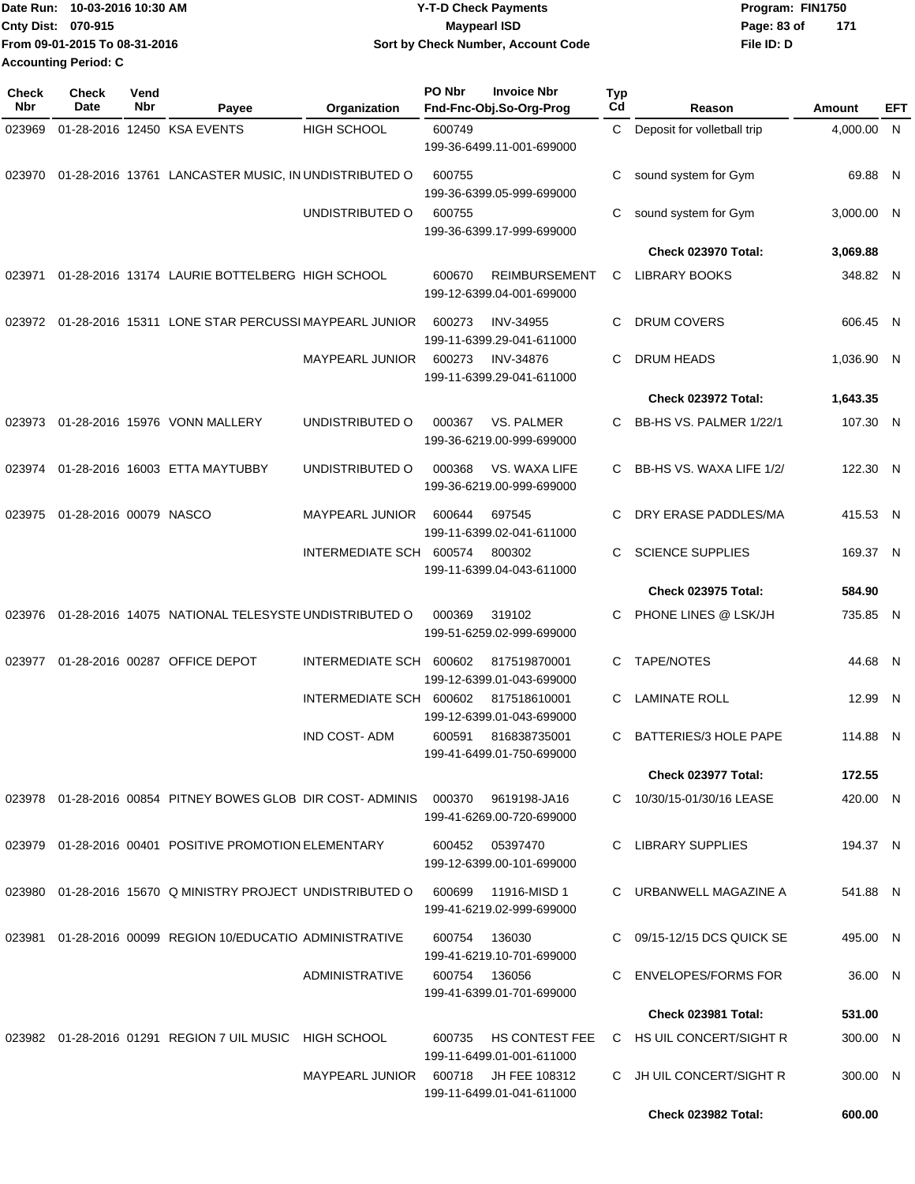| lDate Run: 10-03-2016 10:30 AM | <b>Y-T-D Check Payments</b>        | Program: FIN1750     |
|--------------------------------|------------------------------------|----------------------|
| <b>Cnty Dist: 070-915</b>      | Maypearl ISD                       | - 171<br>Page: 83 of |
| From 09-01-2015 To 08-31-2016  | Sort by Check Number, Account Code | File ID: D           |
| Accounting Period: C           |                                    |                      |

| <b>Check</b><br>Nbr | <b>Check</b><br>Date   | Vend<br><b>Nbr</b> | Payee                                                                  | Organization            | PO Nbr | <b>Invoice Nbr</b><br>Fnd-Fnc-Obj.So-Org-Prog      | <b>Typ</b><br>Cd | Reason                       | <b>Amount</b> | EFT |
|---------------------|------------------------|--------------------|------------------------------------------------------------------------|-------------------------|--------|----------------------------------------------------|------------------|------------------------------|---------------|-----|
| 023969              |                        |                    | 01-28-2016 12450 KSA EVENTS                                            | <b>HIGH SCHOOL</b>      | 600749 | 199-36-6499.11-001-699000                          | C                | Deposit for volletball trip  | 4,000.00 N    |     |
| 023970              |                        |                    | 01-28-2016 13761 LANCASTER MUSIC, IN UNDISTRIBUTED O                   |                         | 600755 | 199-36-6399.05-999-699000                          | С                | sound system for Gym         | 69.88 N       |     |
|                     |                        |                    |                                                                        | UNDISTRIBUTED O         | 600755 | 199-36-6399.17-999-699000                          | C                | sound system for Gym         | 3,000.00 N    |     |
|                     |                        |                    |                                                                        |                         |        |                                                    |                  | <b>Check 023970 Total:</b>   | 3,069.88      |     |
| 023971              |                        |                    | 01-28-2016 13174 LAURIE BOTTELBERG HIGH SCHOOL                         |                         | 600670 | <b>REIMBURSEMENT</b><br>199-12-6399.04-001-699000  | C                | <b>LIBRARY BOOKS</b>         | 348.82 N      |     |
| 023972              |                        |                    | 01-28-2016 15311 LONE STAR PERCUSSI MAYPEARL JUNIOR                    |                         | 600273 | <b>INV-34955</b><br>199-11-6399.29-041-611000      | C.               | <b>DRUM COVERS</b>           | 606.45 N      |     |
|                     |                        |                    |                                                                        | MAYPEARL JUNIOR         | 600273 | <b>INV-34876</b><br>199-11-6399.29-041-611000      | C                | <b>DRUM HEADS</b>            | 1,036.90 N    |     |
|                     |                        |                    |                                                                        |                         |        |                                                    |                  | <b>Check 023972 Total:</b>   | 1,643.35      |     |
| 023973              |                        |                    | 01-28-2016 15976 VONN MALLERY                                          | UNDISTRIBUTED O         | 000367 | VS. PALMER<br>199-36-6219.00-999-699000            | C                | BB-HS VS. PALMER 1/22/1      | 107.30 N      |     |
| 023974              |                        |                    | 01-28-2016 16003 ETTA MAYTUBBY                                         | UNDISTRIBUTED O         | 000368 | VS. WAXA LIFE<br>199-36-6219.00-999-699000         | C                | BB-HS VS. WAXA LIFE 1/2/     | 122.30 N      |     |
| 023975              | 01-28-2016 00079 NASCO |                    |                                                                        | MAYPEARL JUNIOR         | 600644 | 697545<br>199-11-6399.02-041-611000                | C.               | DRY ERASE PADDLES/MA         | 415.53 N      |     |
|                     |                        |                    |                                                                        | INTERMEDIATE SCH 600574 |        | 800302<br>199-11-6399.04-043-611000                | C.               | <b>SCIENCE SUPPLIES</b>      | 169.37 N      |     |
|                     |                        |                    |                                                                        |                         |        |                                                    |                  | <b>Check 023975 Total:</b>   | 584.90        |     |
| 023976              |                        |                    | 01-28-2016 14075 NATIONAL TELESYSTE UNDISTRIBUTED O                    |                         | 000369 | 319102<br>199-51-6259.02-999-699000                | C                | PHONE LINES @ LSK/JH         | 735.85 N      |     |
| 023977              |                        |                    | 01-28-2016 00287 OFFICE DEPOT                                          | INTERMEDIATE SCH        | 600602 | 817519870001<br>199-12-6399.01-043-699000          | C                | TAPE/NOTES                   | 44.68 N       |     |
|                     |                        |                    |                                                                        | INTERMEDIATE SCH 600602 |        | 817518610001<br>199-12-6399.01-043-699000          | C                | <b>LAMINATE ROLL</b>         | 12.99 N       |     |
|                     |                        |                    |                                                                        | <b>IND COST-ADM</b>     | 600591 | 816838735001<br>199-41-6499.01-750-699000          | C.               | <b>BATTERIES/3 HOLE PAPE</b> | 114.88 N      |     |
|                     |                        |                    |                                                                        |                         |        |                                                    |                  | <b>Check 023977 Total:</b>   | 172.55        |     |
|                     |                        |                    | 023978  01-28-2016  00854  PITNEY BOWES GLOB  DIR COST-ADMINIS  000370 |                         |        | 9619198-JA16<br>199-41-6269.00-720-699000          |                  | C 10/30/15-01/30/16 LEASE    | 420.00 N      |     |
|                     |                        |                    | 023979 01-28-2016 00401 POSITIVE PROMOTION ELEMENTARY                  |                         | 600452 | 05397470<br>199-12-6399.00-101-699000              | C.               | LIBRARY SUPPLIES             | 194.37 N      |     |
| 023980              |                        |                    | 01-28-2016 15670 Q MINISTRY PROJECT UNDISTRIBUTED O                    |                         | 600699 | 11916-MISD 1<br>199-41-6219.02-999-699000          |                  | C URBANWELL MAGAZINE A       | 541.88 N      |     |
|                     |                        |                    | 023981 01-28-2016 00099 REGION 10/EDUCATIO ADMINISTRATIVE              |                         | 600754 | 136030<br>199-41-6219.10-701-699000                |                  | C 09/15-12/15 DCS QUICK SE   | 495.00 N      |     |
|                     |                        |                    |                                                                        | ADMINISTRATIVE          |        | 600754 136056<br>199-41-6399.01-701-699000         | C.               | ENVELOPES/FORMS FOR          | 36.00 N       |     |
|                     |                        |                    |                                                                        |                         |        |                                                    |                  | <b>Check 023981 Total:</b>   | 531.00        |     |
|                     |                        |                    | 023982  01-28-2016  01291  REGION 7 UIL MUSIC  HIGH SCHOOL             |                         | 600735 | <b>HS CONTEST FEE</b><br>199-11-6499.01-001-611000 |                  | C HS UIL CONCERT/SIGHT R     | 300.00 N      |     |
|                     |                        |                    |                                                                        | MAYPEARL JUNIOR         | 600718 | JH FEE 108312<br>199-11-6499.01-041-611000         |                  | C JH UIL CONCERT/SIGHT R     | 300.00 N      |     |
|                     |                        |                    |                                                                        |                         |        |                                                    |                  | Check 023982 Total:          | 600.00        |     |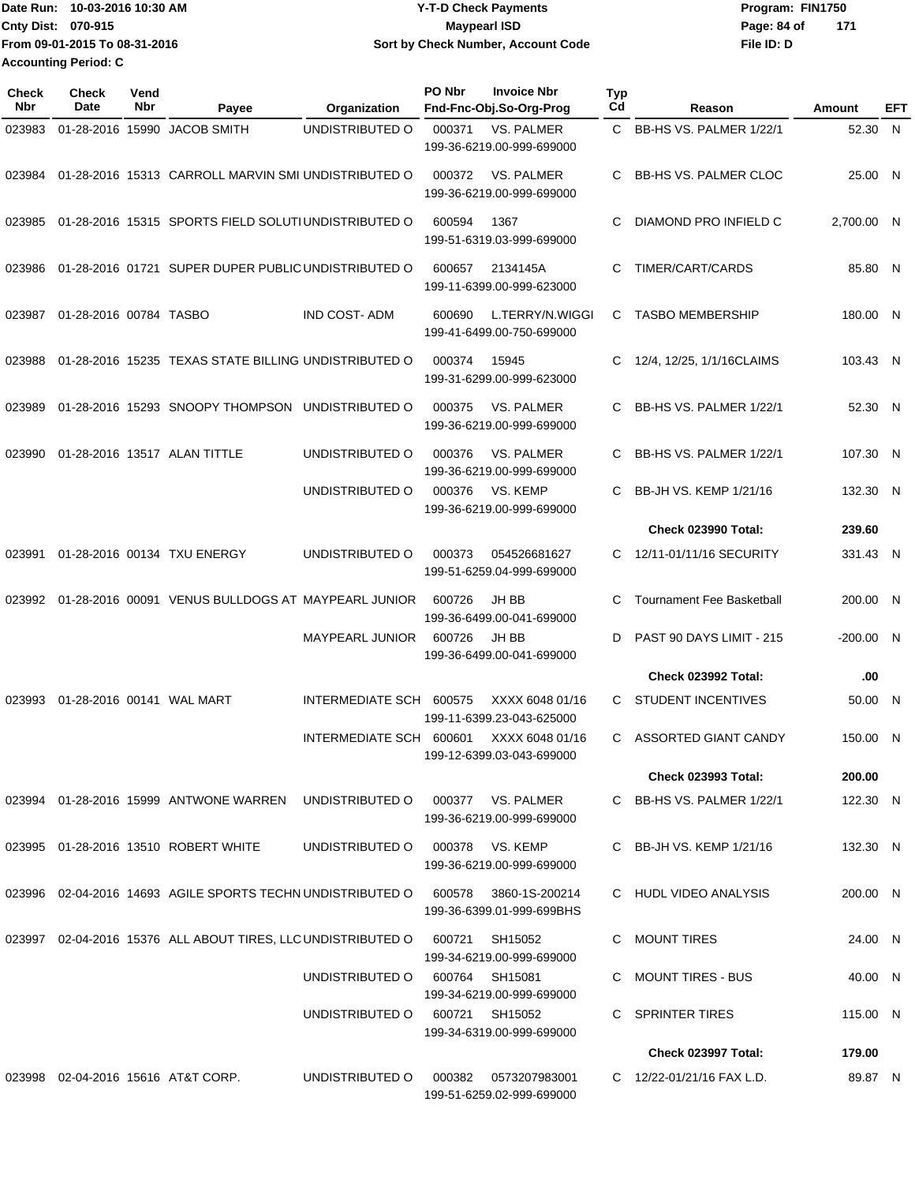**Date Run: Program: FIN1750 Cnty Dist:** 070-915 **Page: 84 of MaypearI ISD MaypearI ISD File ID: D From 09-01-2015 To 08-31-2016 10-03-2016 10:30 AM Y-T-D Check Payments 070-915 Maypearl ISD Sort by Check Number, Account Code 171 Accounting Period: C**

| Check<br>Nbr | Check<br>Date          | Vend<br>Nbr | Payee                                                           | Organization                   | PO Nbr | <b>Invoice Nbr</b><br>Fnd-Fnc-Obj.So-Org-Prog     | <b>Typ</b><br>Cd | Reason                           | Amount      | EFT |
|--------------|------------------------|-------------|-----------------------------------------------------------------|--------------------------------|--------|---------------------------------------------------|------------------|----------------------------------|-------------|-----|
| 023983       |                        |             | 01-28-2016 15990 JACOB SMITH                                    | UNDISTRIBUTED O                | 000371 | <b>VS. PALMER</b><br>199-36-6219.00-999-699000    | C.               | BB-HS VS. PALMER 1/22/1          | 52.30 N     |     |
| 023984       |                        |             | 01-28-2016 15313 CARROLL MARVIN SMI UNDISTRIBUTED O             |                                | 000372 | VS. PALMER<br>199-36-6219.00-999-699000           | C                | <b>BB-HS VS. PALMER CLOC</b>     | 25.00 N     |     |
| 023985       |                        |             | 01-28-2016 15315 SPORTS FIELD SOLUTIUNDISTRIBUTED O             |                                | 600594 | 1367<br>199-51-6319.03-999-699000                 | C                | DIAMOND PRO INFIELD C            | 2,700.00 N  |     |
| 023986       |                        |             | 01-28-2016 01721 SUPER DUPER PUBLIC UNDISTRIBUTED O             |                                | 600657 | 2134145A<br>199-11-6399.00-999-623000             | C                | TIMER/CART/CARDS                 | 85.80 N     |     |
| 023987       | 01-28-2016 00784 TASBO |             |                                                                 | <b>IND COST-ADM</b>            | 600690 | L.TERRY/N.WIGGI<br>199-41-6499.00-750-699000      | C                | <b>TASBO MEMBERSHIP</b>          | 180.00 N    |     |
| 023988       |                        |             | 01-28-2016 15235 TEXAS STATE BILLING UNDISTRIBUTED O            |                                | 000374 | 15945<br>199-31-6299.00-999-623000                | C                | 12/4, 12/25, 1/1/16CLAIMS        | 103.43 N    |     |
| 023989       |                        |             | 01-28-2016 15293 SNOOPY THOMPSON UNDISTRIBUTED O                |                                | 000375 | <b>VS. PALMER</b><br>199-36-6219.00-999-699000    | C.               | BB-HS VS. PALMER 1/22/1          | 52.30 N     |     |
| 023990       |                        |             | 01-28-2016 13517 ALAN TITTLE                                    | UNDISTRIBUTED O                | 000376 | <b>VS. PALMER</b><br>199-36-6219.00-999-699000    | C                | BB-HS VS. PALMER 1/22/1          | 107.30 N    |     |
|              |                        |             |                                                                 | UNDISTRIBUTED O                | 000376 | VS. KEMP<br>199-36-6219.00-999-699000             | C                | BB-JH VS. KEMP 1/21/16           | 132.30 N    |     |
|              |                        |             |                                                                 |                                |        |                                                   |                  | <b>Check 023990 Total:</b>       | 239.60      |     |
| 023991       |                        |             | 01-28-2016 00134 TXU ENERGY                                     | UNDISTRIBUTED O                | 000373 | 054526681627<br>199-51-6259.04-999-699000         | C                | 12/11-01/11/16 SECURITY          | 331.43 N    |     |
| 023992       |                        |             | 01-28-2016 00091 VENUS BULLDOGS AT MAYPEARL JUNIOR              |                                | 600726 | JH BB<br>199-36-6499.00-041-699000                | C                | <b>Tournament Fee Basketball</b> | 200.00 N    |     |
|              |                        |             |                                                                 | <b>MAYPEARL JUNIOR</b>         | 600726 | JH BB<br>199-36-6499.00-041-699000                | D                | PAST 90 DAYS LIMIT - 215         | $-200.00$ N |     |
|              |                        |             |                                                                 |                                |        |                                                   |                  | <b>Check 023992 Total:</b>       | .00         |     |
| 023993       |                        |             | 01-28-2016 00141 WAL MART                                       | INTERMEDIATE SCH 600575        |        | XXXX 6048 01/16<br>199-11-6399.23-043-625000      | C.               | <b>STUDENT INCENTIVES</b>        | 50.00 N     |     |
|              |                        |             |                                                                 | INTERMEDIATE SCH 600601        |        | XXXX 6048 01/16<br>199-12-6399.03-043-699000      |                  | C ASSORTED GIANT CANDY           | 150.00 N    |     |
|              |                        |             |                                                                 |                                |        |                                                   |                  | <b>Check 023993 Total:</b>       | 200.00      |     |
|              |                        |             | 023994  01-28-2016  15999  ANTWONE WARREN  UNDISTRIBUTED O      |                                |        | 000377 VS. PALMER<br>199-36-6219.00-999-699000    |                  | C BB-HS VS, PALMER 1/22/1        | 122.30 N    |     |
|              |                        |             | 023995 01-28-2016 13510 ROBERT WHITE                            | UNDISTRIBUTED O                |        | 000378 VS. KEMP<br>199-36-6219.00-999-699000      |                  | C BB-JH VS. KEMP $1/21/16$       | 132.30 N    |     |
|              |                        |             | 023996 02-04-2016 14693 AGILE SPORTS TECHN UNDISTRIBUTED O      |                                | 600578 | 3860-1S-200214<br>199-36-6399.01-999-699BHS       |                  | C HUDL VIDEO ANALYSIS            | 200.00 N    |     |
|              |                        |             | 023997  02-04-2016  15376  ALL ABOUT TIRES, LLC UNDISTRIBUTED O |                                | 600721 | SH15052<br>199-34-6219.00-999-699000              |                  | C MOUNT TIRES                    | 24.00 N     |     |
|              |                        |             |                                                                 | UNDISTRIBUTED 0 600764 SH15081 |        | 199-34-6219.00-999-699000                         |                  | C MOUNT TIRES - BUS              | 40.00 N     |     |
|              |                        |             |                                                                 | UNDISTRIBUTED O                |        | 600721 SH15052<br>199-34-6319.00-999-699000       |                  | C SPRINTER TIRES                 | 115.00 N    |     |
|              |                        |             |                                                                 |                                |        |                                                   |                  | Check 023997 Total:              | 179.00      |     |
|              |                        |             | 023998 02-04-2016 15616 AT&T CORP.                              | UNDISTRIBUTED O                |        | 000382 0573207983001<br>199-51-6259.02-999-699000 |                  | C 12/22-01/21/16 FAX L.D.        | 89.87 N     |     |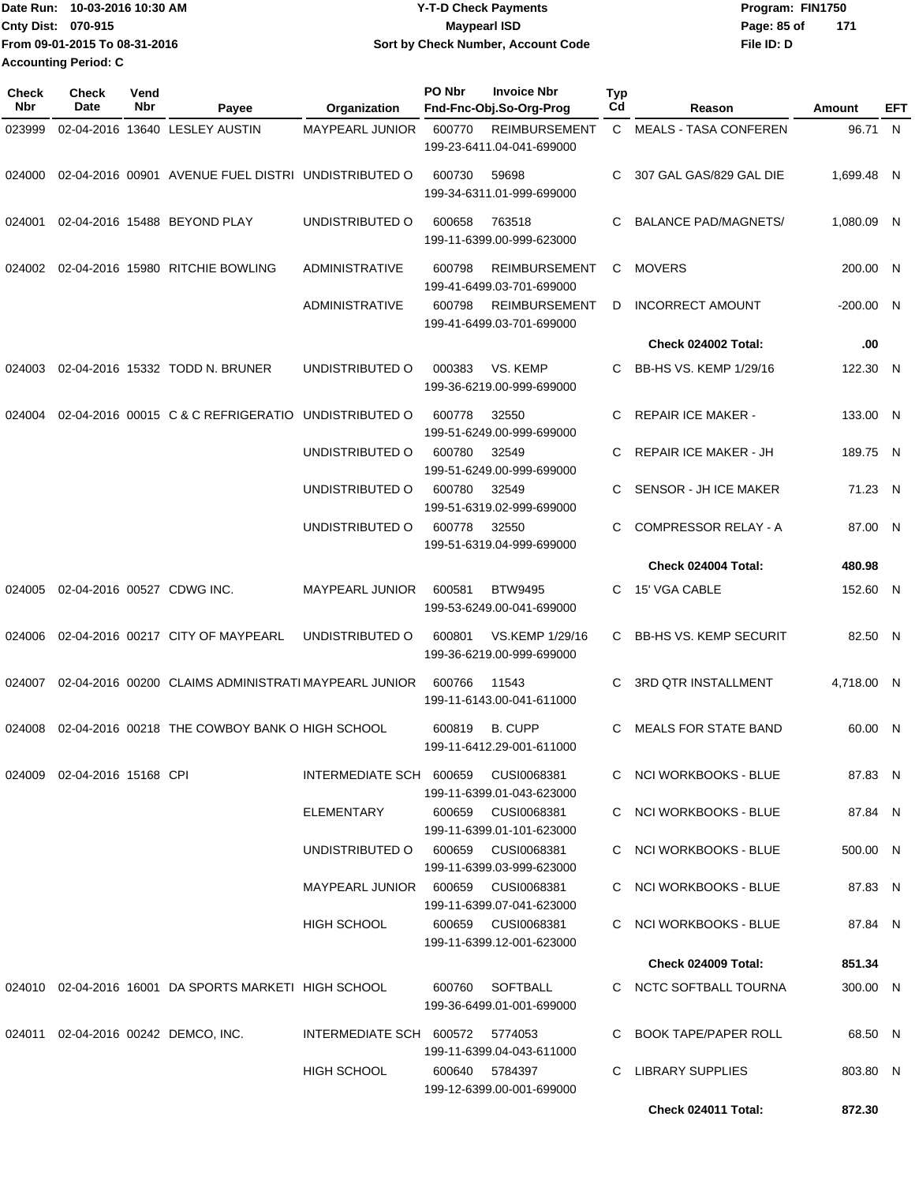|                           | IDate Run: 10-03-2016 10:30 AM | <b>Y-T-D Check Payments</b>        | Program: FIN1750   |
|---------------------------|--------------------------------|------------------------------------|--------------------|
| <b>Cnty Dist: 070-915</b> |                                | <b>Mavpearl ISD</b>                | 171<br>Page: 85 of |
|                           | From 09-01-2015 To 08-31-2016  | Sort by Check Number, Account Code | File ID: D         |
|                           | <b>Accounting Period: C</b>    |                                    |                    |

| Check<br>Nbr | <b>Check</b><br>Date        | Vend<br>Nbr | Payee                                                     | Organization                        | PO Nbr         | <b>Invoice Nbr</b><br>Fnd-Fnc-Obj.So-Org-Prog     | <b>Typ</b><br>Cd | Reason                        | Amount      | EFT |
|--------------|-----------------------------|-------------|-----------------------------------------------------------|-------------------------------------|----------------|---------------------------------------------------|------------------|-------------------------------|-------------|-----|
| 023999       |                             |             | 02-04-2016 13640 LESLEY AUSTIN                            | MAYPEARL JUNIOR                     | 600770         | <b>REIMBURSEMENT</b><br>199-23-6411.04-041-699000 | $\mathbf{C}$     | <b>MEALS - TASA CONFEREN</b>  | 96.71 N     |     |
| 024000       |                             |             | 02-04-2016 00901 AVENUE FUEL DISTRI UNDISTRIBUTED O       |                                     | 600730         | 59698<br>199-34-6311.01-999-699000                | C.               | 307 GAL GAS/829 GAL DIE       | 1,699.48 N  |     |
| 024001       |                             |             | 02-04-2016 15488 BEYOND PLAY                              | UNDISTRIBUTED O                     | 600658         | 763518<br>199-11-6399.00-999-623000               | C.               | <b>BALANCE PAD/MAGNETS/</b>   | 1,080.09 N  |     |
| 024002       |                             |             | 02-04-2016 15980 RITCHIE BOWLING                          | <b>ADMINISTRATIVE</b>               | 600798         | <b>REIMBURSEMENT</b><br>199-41-6499.03-701-699000 | C                | <b>MOVERS</b>                 | 200.00 N    |     |
|              |                             |             |                                                           | <b>ADMINISTRATIVE</b>               | 600798         | <b>REIMBURSEMENT</b><br>199-41-6499.03-701-699000 | D                | <b>INCORRECT AMOUNT</b>       | $-200.00$ N |     |
|              |                             |             |                                                           |                                     |                |                                                   |                  | Check 024002 Total:           | .00         |     |
| 024003       |                             |             | 02-04-2016 15332 TODD N. BRUNER                           | UNDISTRIBUTED O                     | 000383         | VS. KEMP<br>199-36-6219.00-999-699000             | C                | BB-HS VS. KEMP 1/29/16        | 122.30 N    |     |
| 024004       |                             |             | 02-04-2016 00015 C & C REFRIGERATIO                       | UNDISTRIBUTED O                     | 600778         | 32550<br>199-51-6249.00-999-699000                | C                | <b>REPAIR ICE MAKER -</b>     | 133.00 N    |     |
|              |                             |             |                                                           | UNDISTRIBUTED O                     | 600780         | 32549<br>199-51-6249.00-999-699000                | C                | <b>REPAIR ICE MAKER - JH</b>  | 189.75 N    |     |
|              |                             |             |                                                           | UNDISTRIBUTED O                     | 600780         | 32549<br>199-51-6319.02-999-699000                | C                | SENSOR - JH ICE MAKER         | 71.23 N     |     |
|              |                             |             |                                                           | UNDISTRIBUTED O                     | 600778         | 32550<br>199-51-6319.04-999-699000                | C.               | <b>COMPRESSOR RELAY - A</b>   | 87.00 N     |     |
|              |                             |             |                                                           |                                     |                |                                                   |                  | Check 024004 Total:           | 480.98      |     |
| 024005       |                             |             | 02-04-2016 00527 CDWG INC.                                | MAYPEARL JUNIOR                     | 600581         | <b>BTW9495</b><br>199-53-6249.00-041-699000       | C.               | 15' VGA CABLE                 | 152.60 N    |     |
| 024006       |                             |             | 02-04-2016 00217 CITY OF MAYPEARL                         | UNDISTRIBUTED O                     | 600801         | VS.KEMP 1/29/16<br>199-36-6219.00-999-699000      | C.               | <b>BB-HS VS. KEMP SECURIT</b> | 82.50 N     |     |
| 024007       |                             |             | 02-04-2016 00200 CLAIMS ADMINISTRATI MAYPEARL JUNIOR      |                                     | 600766         | 11543<br>199-11-6143.00-041-611000                | C                | <b>3RD QTR INSTALLMENT</b>    | 4.718.00 N  |     |
| 024008       |                             |             | 02-04-2016 00218 THE COWBOY BANK O HIGH SCHOOL            |                                     | 600819         | <b>B. CUPP</b><br>199-11-6412.29-001-611000       | C                | <b>MEALS FOR STATE BAND</b>   | 60.00 N     |     |
|              | 024009 02-04-2016 15168 CPI |             |                                                           | INTERMEDIATE SCH 600659 CUSI0068381 |                | 199-11-6399.01-043-623000                         |                  | C NCI WORKBOOKS - BLUE        | 87.83 N     |     |
|              |                             |             |                                                           | ELEMENTARY                          |                | 600659 CUSI0068381<br>199-11-6399.01-101-623000   |                  | C NCI WORKBOOKS - BLUE        | 87.84 N     |     |
|              |                             |             |                                                           | UNDISTRIBUTED O 600659 CUSI0068381  |                | 199-11-6399.03-999-623000                         |                  | C NCI WORKBOOKS - BLUE        | 500.00 N    |     |
|              |                             |             |                                                           | MAYPEARL JUNIOR 600659 CUSI0068381  |                | 199-11-6399.07-041-623000                         |                  | C NCI WORKBOOKS - BLUE        | 87.83 N     |     |
|              |                             |             |                                                           | HIGH SCHOOL                         |                | 600659 CUSI0068381<br>199-11-6399.12-001-623000   |                  | C NCI WORKBOOKS - BLUE        | 87.84 N     |     |
|              |                             |             |                                                           |                                     |                |                                                   |                  | Check 024009 Total:           | 851.34      |     |
|              |                             |             | 024010  02-04-2016  16001  DA SPORTS MARKETI  HIGH SCHOOL |                                     |                | 600760 SOFTBALL<br>199-36-6499.01-001-699000      |                  | C NCTC SOFTBALL TOURNA        | 300.00 N    |     |
|              |                             |             | 024011  02-04-2016  00242  DEMCO, INC.                    | INTERMEDIATE SCH 600572 5774053     |                | 199-11-6399.04-043-611000                         |                  | C BOOK TAPE/PAPER ROLL        | 68.50 N     |     |
|              |                             |             |                                                           | HIGH SCHOOL                         | 600640 5784397 | 199-12-6399.00-001-699000                         |                  | C LIBRARY SUPPLIES            | 803.80 N    |     |
|              |                             |             |                                                           |                                     |                |                                                   |                  | Check 024011 Total:           | 872.30      |     |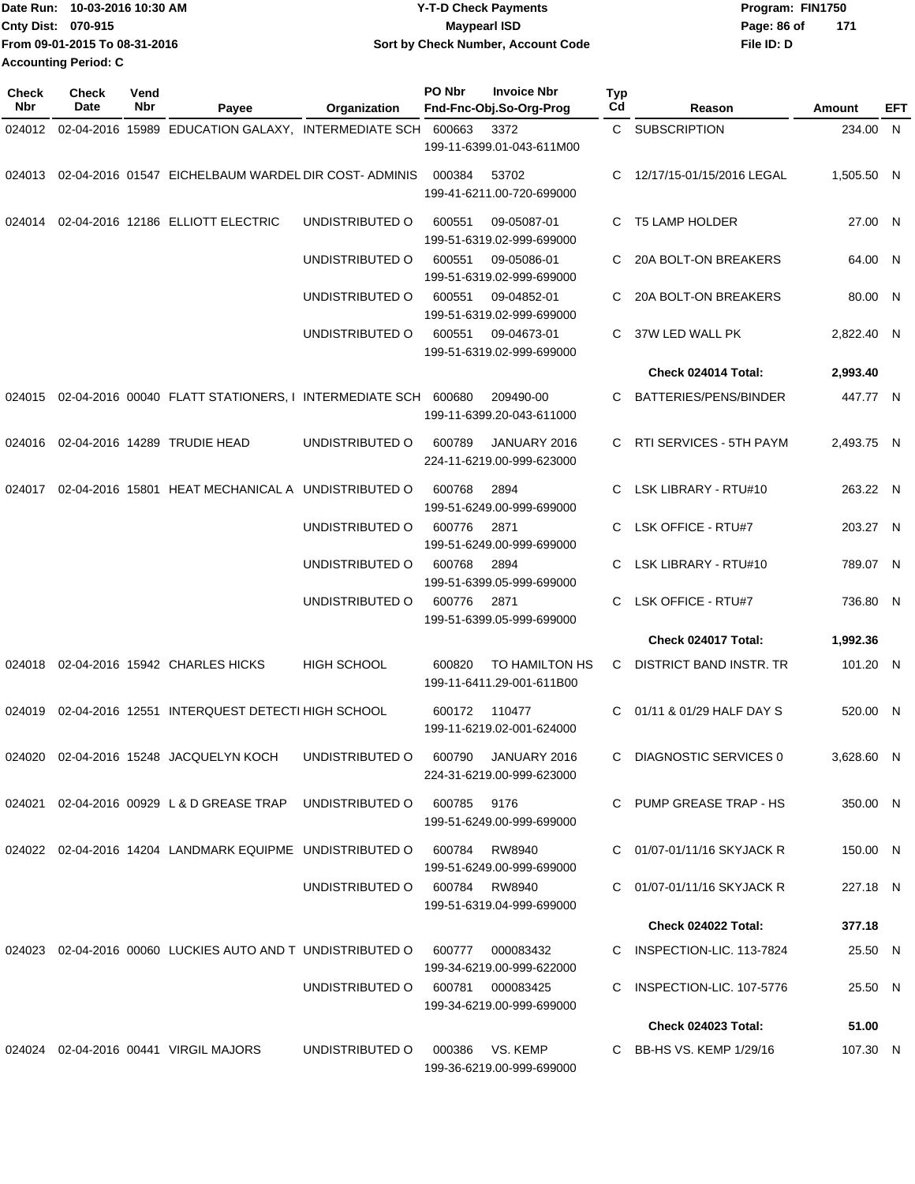|                             | Date Run: 10-03-2016 10:30 AM | Y-T-D Check Payments               | Program: FIN1750   |
|-----------------------------|-------------------------------|------------------------------------|--------------------|
| Cnty Dist: 070-915          |                               | Maypearl ISD                       | 171<br>Page: 86 of |
|                             | From 09-01-2015 To 08-31-2016 | Sort by Check Number, Account Code | File ID: D         |
| <b>Accounting Period: C</b> |                               |                                    |                    |

| <b>Check</b><br>Nbr | <b>Check</b><br>Date | Vend<br>Nbr | Payee                                                      | Organization       | PO Nbr      | <b>Invoice Nbr</b><br>Fnd-Fnc-Obj.So-Org-Prog    | Typ<br>Cd | Reason                     | Amount     | EFT |
|---------------------|----------------------|-------------|------------------------------------------------------------|--------------------|-------------|--------------------------------------------------|-----------|----------------------------|------------|-----|
| 024012              |                      |             | 02-04-2016 15989 EDUCATION GALAXY, INTERMEDIATE SCH 600663 |                    |             | 3372                                             |           | C SUBSCRIPTION             | 234.00 N   |     |
|                     |                      |             |                                                            |                    |             | 199-11-6399.01-043-611M00                        |           |                            |            |     |
| 024013              |                      |             | 02-04-2016 01547 EICHELBAUM WARDEL DIR COST-ADMINIS        |                    | 000384      | 53702<br>199-41-6211.00-720-699000               | С         | 12/17/15-01/15/2016 LEGAL  | 1,505.50 N |     |
| 024014              |                      |             | 02-04-2016 12186 ELLIOTT ELECTRIC                          | UNDISTRIBUTED O    | 600551      | 09-05087-01<br>199-51-6319.02-999-699000         | C.        | T5 LAMP HOLDER             | 27.00 N    |     |
|                     |                      |             |                                                            | UNDISTRIBUTED O    | 600551      | 09-05086-01<br>199-51-6319.02-999-699000         | C.        | 20A BOLT-ON BREAKERS       | 64.00 N    |     |
|                     |                      |             |                                                            | UNDISTRIBUTED O    | 600551      | 09-04852-01<br>199-51-6319.02-999-699000         | С         | 20A BOLT-ON BREAKERS       | 80.00 N    |     |
|                     |                      |             |                                                            | UNDISTRIBUTED O    | 600551      | 09-04673-01<br>199-51-6319.02-999-699000         | C         | 37W LED WALL PK            | 2,822.40 N |     |
|                     |                      |             |                                                            |                    |             |                                                  |           | Check 024014 Total:        | 2,993.40   |     |
| 024015              |                      |             | 02-04-2016 00040 FLATT STATIONERS, I INTERMEDIATE SCH      |                    | 600680      | 209490-00<br>199-11-6399.20-043-611000           | C.        | BATTERIES/PENS/BINDER      | 447.77 N   |     |
| 024016              |                      |             | 02-04-2016 14289 TRUDIE HEAD                               | UNDISTRIBUTED O    | 600789      | JANUARY 2016<br>224-11-6219.00-999-623000        | C         | RTI SERVICES - 5TH PAYM    | 2,493.75 N |     |
| 024017              |                      |             | 02-04-2016 15801 HEAT MECHANICAL A UNDISTRIBUTED O         |                    | 600768      | 2894<br>199-51-6249.00-999-699000                | C         | LSK LIBRARY - RTU#10       | 263.22 N   |     |
|                     |                      |             |                                                            | UNDISTRIBUTED O    | 600776      | 2871<br>199-51-6249.00-999-699000                | С         | LSK OFFICE - RTU#7         | 203.27 N   |     |
|                     |                      |             |                                                            | UNDISTRIBUTED O    | 600768      | 2894<br>199-51-6399.05-999-699000                |           | LSK LIBRARY - RTU#10       | 789.07 N   |     |
|                     |                      |             |                                                            | UNDISTRIBUTED O    | 600776      | 2871<br>199-51-6399.05-999-699000                | C.        | LSK OFFICE - RTU#7         | 736.80 N   |     |
|                     |                      |             |                                                            |                    |             |                                                  |           | Check 024017 Total:        | 1,992.36   |     |
| 024018              |                      |             | 02-04-2016 15942 CHARLES HICKS                             | <b>HIGH SCHOOL</b> | 600820      | TO HAMILTON HS<br>199-11-6411.29-001-611B00      | С         | DISTRICT BAND INSTR. TR    | 101.20 N   |     |
| 024019              |                      |             | 02-04-2016 12551 INTERQUEST DETECTI HIGH SCHOOL            |                    | 600172      | 110477<br>199-11-6219.02-001-624000              | C.        | 01/11 & 01/29 HALF DAY S   | 520.00 N   |     |
|                     |                      |             | 024020 02-04-2016 15248 JACQUELYN KOCH                     | UNDISTRIBUTED O    |             | 600790 JANUARY 2016<br>224-31-6219.00-999-623000 |           | C DIAGNOSTIC SERVICES 0    | 3,628.60 N |     |
|                     |                      |             | 024021 02-04-2016 00929 L & D GREASE TRAP UNDISTRIBUTED O  |                    | 600785 9176 | 199-51-6249.00-999-699000                        |           | C PUMP GREASE TRAP - HS    | 350.00 N   |     |
|                     |                      |             | 024022 02-04-2016 14204 LANDMARK EQUIPME UNDISTRIBUTED O   |                    |             | 600784 RW8940<br>199-51-6249.00-999-699000       |           | C 01/07-01/11/16 SKYJACK R | 150.00 N   |     |
|                     |                      |             |                                                            | UNDISTRIBUTED O    |             | 600784 RW8940<br>199-51-6319.04-999-699000       |           | C 01/07-01/11/16 SKYJACK R | 227.18 N   |     |
|                     |                      |             |                                                            |                    |             |                                                  |           | Check 024022 Total:        | 377.18     |     |
|                     |                      |             | 024023 02-04-2016 00060 LUCKIES AUTO AND T UNDISTRIBUTED O |                    | 600777      | 000083432<br>199-34-6219.00-999-622000           |           | C INSPECTION-LIC, 113-7824 | 25.50 N    |     |
|                     |                      |             |                                                            | UNDISTRIBUTED O    |             | 600781 000083425<br>199-34-6219.00-999-699000    | C.        | INSPECTION-LIC. 107-5776   | 25.50 N    |     |
|                     |                      |             |                                                            |                    |             |                                                  |           | <b>Check 024023 Total:</b> | 51.00      |     |
|                     |                      |             | 024024 02-04-2016 00441 VIRGIL MAJORS                      | UNDISTRIBUTED O    | 000386      | VS. KEMP<br>199-36-6219.00-999-699000            |           | C BB-HS VS. KEMP 1/29/16   | 107.30 N   |     |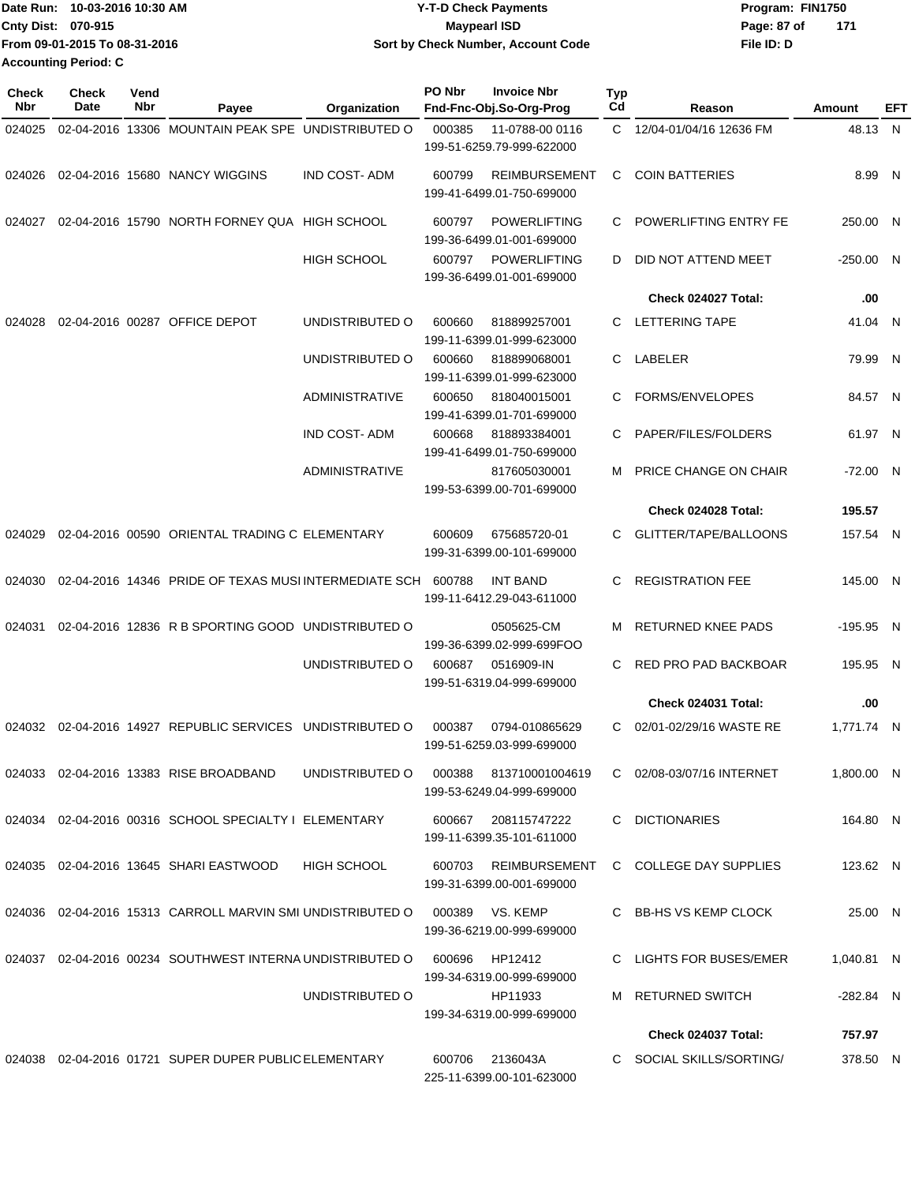|                             | Date Run: 10-03-2016 10:30 AM | <b>Y-T-D Check Payments</b>        | Program: FIN1750 |     |
|-----------------------------|-------------------------------|------------------------------------|------------------|-----|
| Cnty Dist: 070-915          |                               | <b>Mavpearl ISD</b>                | Page: 87 of      | 171 |
|                             | From 09-01-2015 To 08-31-2016 | Sort by Check Number, Account Code | File ID: D       |     |
| <b>Accounting Period: C</b> |                               |                                    |                  |     |

| <b>Check</b><br><b>Nbr</b> | <b>Check</b><br>Date | Vend<br>Nbr | Payee                                                        | Organization          | PO Nbr | <b>Invoice Nbr</b><br>Fnd-Fnc-Obj.So-Org-Prog       | Typ<br>Cd | Reason                                      | Amount      | EFT |
|----------------------------|----------------------|-------------|--------------------------------------------------------------|-----------------------|--------|-----------------------------------------------------|-----------|---------------------------------------------|-------------|-----|
| 024025                     |                      |             | 02-04-2016 13306 MOUNTAIN PEAK SPE UNDISTRIBUTED O           |                       | 000385 | 11-0788-00 0116<br>199-51-6259.79-999-622000        | C.        | 12/04-01/04/16 12636 FM                     | 48.13 N     |     |
| 024026                     |                      |             | 02-04-2016 15680 NANCY WIGGINS                               | <b>IND COST-ADM</b>   | 600799 | <b>REIMBURSEMENT</b><br>199-41-6499.01-750-699000   | C         | <b>COIN BATTERIES</b>                       | 8.99 N      |     |
| 024027                     |                      |             | 02-04-2016 15790 NORTH FORNEY QUA HIGH SCHOOL                |                       | 600797 | <b>POWERLIFTING</b><br>199-36-6499.01-001-699000    | C         | POWERLIFTING ENTRY FE                       | 250.00 N    |     |
|                            |                      |             |                                                              | <b>HIGH SCHOOL</b>    | 600797 | <b>POWERLIFTING</b><br>199-36-6499.01-001-699000    | D         | DID NOT ATTEND MEET                         | $-250.00$ N |     |
|                            |                      |             |                                                              |                       |        |                                                     |           | Check 024027 Total:                         | .00         |     |
| 024028                     |                      |             | 02-04-2016 00287 OFFICE DEPOT                                | UNDISTRIBUTED O       | 600660 | 818899257001<br>199-11-6399.01-999-623000           | C.        | <b>LETTERING TAPE</b>                       | 41.04 N     |     |
|                            |                      |             |                                                              | UNDISTRIBUTED O       | 600660 | 818899068001<br>199-11-6399.01-999-623000           | C         | LABELER                                     | 79.99 N     |     |
|                            |                      |             |                                                              | <b>ADMINISTRATIVE</b> | 600650 | 818040015001<br>199-41-6399.01-701-699000           | C         | FORMS/ENVELOPES                             | 84.57 N     |     |
|                            |                      |             |                                                              | <b>IND COST-ADM</b>   | 600668 | 818893384001<br>199-41-6499.01-750-699000           | C         | PAPER/FILES/FOLDERS                         | 61.97 N     |     |
|                            |                      |             |                                                              | <b>ADMINISTRATIVE</b> |        | 817605030001<br>199-53-6399.00-701-699000           | м         | PRICE CHANGE ON CHAIR                       | $-72.00$ N  |     |
|                            |                      |             |                                                              |                       |        |                                                     |           | Check 024028 Total:                         | 195.57      |     |
| 024029                     |                      |             | 02-04-2016 00590 ORIENTAL TRADING C ELEMENTARY               |                       | 600609 | 675685720-01<br>199-31-6399.00-101-699000           |           | GLITTER/TAPE/BALLOONS                       | 157.54 N    |     |
| 024030                     |                      |             | 02-04-2016 14346 PRIDE OF TEXAS MUSI INTERMEDIATE SCH 600788 |                       |        | INT BAND<br>199-11-6412.29-043-611000               | C         | <b>REGISTRATION FEE</b>                     | 145.00 N    |     |
| 024031                     |                      |             | 02-04-2016 12836 R B SPORTING GOOD UNDISTRIBUTED O           |                       |        | 0505625-CM<br>199-36-6399.02-999-699FOO             | м         | <b>RETURNED KNEE PADS</b>                   | $-195.95$ N |     |
|                            |                      |             |                                                              | UNDISTRIBUTED O       | 600687 | 0516909-IN<br>199-51-6319.04-999-699000             | C.        | RED PRO PAD BACKBOAR                        | 195.95 N    |     |
|                            |                      |             |                                                              |                       |        |                                                     |           | Check 024031 Total:                         | .00         |     |
| 024032                     |                      |             | 02-04-2016 14927 REPUBLIC SERVICES UNDISTRIBUTED O           |                       | 000387 | 0794-010865629<br>199-51-6259.03-999-699000         | C         | 02/01-02/29/16 WASTE RE                     | 1,771.74 N  |     |
|                            |                      |             | 024033 02-04-2016 13383 RISE BROADBAND                       | UNDISTRIBUTED O       |        | 000388 813710001004619<br>199-53-6249.04-999-699000 |           | C 02/08-03/07/16 INTERNET                   | 1,800.00 N  |     |
|                            |                      |             | 024034 02-04-2016 00316 SCHOOL SPECIALTY I ELEMENTARY        |                       |        | 600667 208115747222<br>199-11-6399.35-101-611000    |           | C DICTIONARIES                              | 164.80 N    |     |
|                            |                      |             | 024035 02-04-2016 13645 SHARI EASTWOOD                       | HIGH SCHOOL           |        | 199-31-6399.00-001-699000                           |           | 600703 REIMBURSEMENT C COLLEGE DAY SUPPLIES | 123.62 N    |     |
|                            |                      |             | 024036 02-04-2016 15313 CARROLL MARVIN SMI UNDISTRIBUTED O   |                       | 000389 | VS. KEMP<br>199-36-6219.00-999-699000               |           | C BB-HS VS KEMP CLOCK                       | 25.00 N     |     |
|                            |                      |             | 024037 02-04-2016 00234 SOUTHWEST INTERNA UNDISTRIBUTED O    |                       | 600696 | HP12412<br>199-34-6319.00-999-699000                |           | C LIGHTS FOR BUSES/EMER                     | 1,040.81 N  |     |
|                            |                      |             |                                                              | UNDISTRIBUTED O       |        | HP11933<br>199-34-6319.00-999-699000                |           | M RETURNED SWITCH                           | -282.84 N   |     |
|                            |                      |             |                                                              |                       |        |                                                     |           | Check 024037 Total:                         | 757.97      |     |
|                            |                      |             | 024038 02-04-2016 01721 SUPER DUPER PUBLIC ELEMENTARY        |                       | 600706 | 2136043A<br>225-11-6399.00-101-623000               |           | C SOCIAL SKILLS/SORTING/                    | 378.50 N    |     |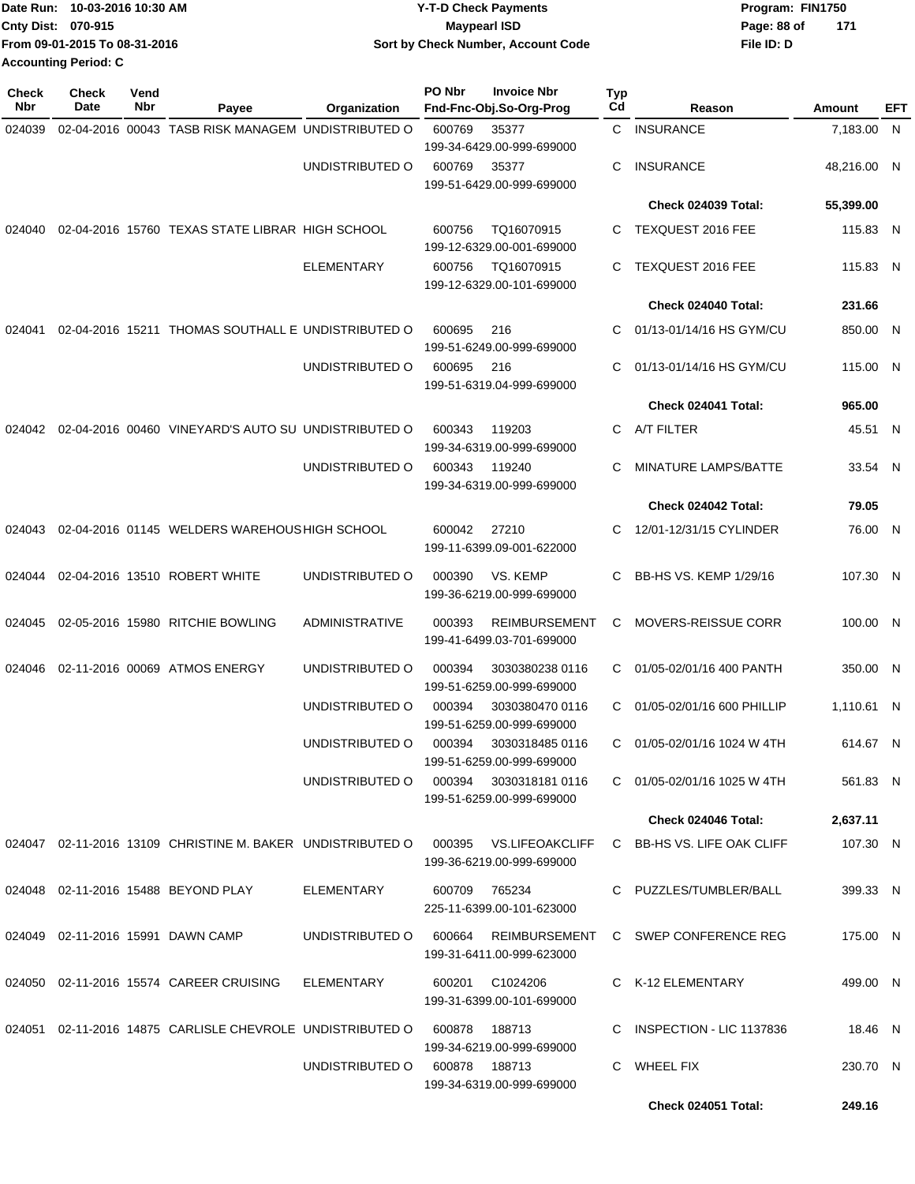|                           | Date Run: 10-03-2016 10:30 AM | <b>Y-T-D Check Payments</b>        | Program: FIN1750 |       |
|---------------------------|-------------------------------|------------------------------------|------------------|-------|
| <b>Cnty Dist: 070-915</b> |                               | <b>Mavpearl ISD</b>                | Page: 88 of      | - 171 |
|                           | From 09-01-2015 To 08-31-2016 | Sort by Check Number, Account Code | File ID: D       |       |
| Accounting Period: C      |                               |                                    |                  |       |

| Check<br>Nbr | <b>Check</b><br>Date | Vend<br>Nbr | Payee                                                      | Organization      | PO Nbr | <b>Invoice Nbr</b><br>Fnd-Fnc-Obj.So-Org-Prog                           | Typ<br>Cd | Reason                            | Amount      | EFT |
|--------------|----------------------|-------------|------------------------------------------------------------|-------------------|--------|-------------------------------------------------------------------------|-----------|-----------------------------------|-------------|-----|
| 024039       |                      |             | 02-04-2016 00043 TASB RISK MANAGEM UNDISTRIBUTED O         |                   | 600769 | 35377                                                                   | C         | <b>INSURANCE</b>                  | 7,183.00 N  |     |
|              |                      |             |                                                            |                   |        | 199-34-6429.00-999-699000                                               |           |                                   |             |     |
|              |                      |             |                                                            | UNDISTRIBUTED O   | 600769 | 35377                                                                   | C         | <b>INSURANCE</b>                  | 48,216.00 N |     |
|              |                      |             |                                                            |                   |        | 199-51-6429.00-999-699000                                               |           |                                   |             |     |
|              |                      |             |                                                            |                   |        |                                                                         |           | Check 024039 Total:               | 55,399.00   |     |
| 024040       |                      |             | 02-04-2016 15760 TEXAS STATE LIBRAR HIGH SCHOOL            |                   | 600756 | TQ16070915<br>199-12-6329.00-001-699000                                 | C         | TEXQUEST 2016 FEE                 | 115.83 N    |     |
|              |                      |             |                                                            | <b>ELEMENTARY</b> | 600756 | TQ16070915<br>199-12-6329.00-101-699000                                 | C         | TEXQUEST 2016 FEE                 | 115.83 N    |     |
|              |                      |             |                                                            |                   |        |                                                                         |           | Check 024040 Total:               | 231.66      |     |
| 024041       |                      |             | 02-04-2016 15211 THOMAS SOUTHALL E UNDISTRIBUTED O         |                   | 600695 | 216<br>199-51-6249.00-999-699000                                        | C         | 01/13-01/14/16 HS GYM/CU          | 850.00 N    |     |
|              |                      |             |                                                            | UNDISTRIBUTED O   | 600695 | 216<br>199-51-6319.04-999-699000                                        | C         | 01/13-01/14/16 HS GYM/CU          | 115.00 N    |     |
|              |                      |             |                                                            |                   |        |                                                                         |           | Check 024041 Total:               | 965.00      |     |
| 024042       |                      |             | 02-04-2016 00460 VINEYARD'S AUTO SU UNDISTRIBUTED O        |                   | 600343 | 119203<br>199-34-6319.00-999-699000                                     | C         | A/T FILTER                        | 45.51 N     |     |
|              |                      |             |                                                            | UNDISTRIBUTED O   | 600343 | 119240<br>199-34-6319.00-999-699000                                     | C         | <b>MINATURE LAMPS/BATTE</b>       | 33.54 N     |     |
|              |                      |             |                                                            |                   |        |                                                                         |           | Check 024042 Total:               | 79.05       |     |
| 024043       |                      |             | 02-04-2016 01145 WELDERS WAREHOUS HIGH SCHOOL              |                   | 600042 | 27210<br>199-11-6399.09-001-622000                                      | C         | 12/01-12/31/15 CYLINDER           | 76.00 N     |     |
| 024044       |                      |             | 02-04-2016 13510 ROBERT WHITE                              | UNDISTRIBUTED O   | 000390 | VS. KEMP<br>199-36-6219.00-999-699000                                   | C         | BB-HS VS. KEMP 1/29/16            | 107.30 N    |     |
| 024045       |                      |             | 02-05-2016 15980 RITCHIE BOWLING                           | ADMINISTRATIVE    | 000393 | <b>REIMBURSEMENT</b><br>199-41-6499.03-701-699000                       | С         | <b>MOVERS-REISSUE CORR</b>        | 100.00 N    |     |
| 024046       |                      |             | 02-11-2016 00069 ATMOS ENERGY                              | UNDISTRIBUTED O   | 000394 | 3030380238 0116<br>199-51-6259.00-999-699000                            | C         | 01/05-02/01/16 400 PANTH          | 350.00 N    |     |
|              |                      |             |                                                            | UNDISTRIBUTED O   | 000394 | 3030380470 0116<br>199-51-6259.00-999-699000                            | C         | 01/05-02/01/16 600 PHILLIP        | 1,110.61 N  |     |
|              |                      |             |                                                            | UNDISTRIBUTED O   | 000394 | 3030318485 0116<br>199-51-6259.00-999-699000                            | C         | 01/05-02/01/16 1024 W 4TH         | 614.67 N    |     |
|              |                      |             |                                                            | UNDISTRIBUTED O   | 000394 | 30303181810116<br>199-51-6259.00-999-699000                             |           | $C = 01/05 - 02/01/16$ 1025 W 4TH | 561.83 N    |     |
|              |                      |             |                                                            |                   |        |                                                                         |           | <b>Check 024046 Total:</b>        | 2,637.11    |     |
|              |                      |             | 024047 02-11-2016 13109 CHRISTINE M. BAKER UNDISTRIBUTED O |                   | 000395 | <b>VS.LIFEOAKCLIFF</b><br>199-36-6219.00-999-699000                     | C.        | BB-HS VS. LIFE OAK CLIFF          | 107.30 N    |     |
|              |                      |             | 024048 02-11-2016 15488 BEYOND PLAY                        | ELEMENTARY        | 600709 | 765234<br>225-11-6399.00-101-623000                                     |           | C PUZZLES/TUMBLER/BALL            | 399.33 N    |     |
|              |                      |             | 024049 02-11-2016 15991 DAWN CAMP                          | UNDISTRIBUTED O   | 600664 | REIMBURSEMENT<br>199-31-6411.00-999-623000                              |           | C SWEP CONFERENCE REG             | 175.00 N    |     |
|              |                      |             | 024050 02-11-2016 15574 CAREER CRUISING                    | ELEMENTARY        |        | 600201 C1024206<br>199-31-6399.00-101-699000                            |           | C K-12 ELEMENTARY                 | 499.00 N    |     |
|              |                      |             | 024051 02-11-2016 14875 CARLISLE CHEVROLE UNDISTRIBUTED O  |                   | 600878 | 188713                                                                  |           | C INSPECTION - LIC 1137836        | 18.46 N     |     |
|              |                      |             |                                                            | UNDISTRIBUTED O   |        | 199-34-6219.00-999-699000<br>600878 188713<br>199-34-6319.00-999-699000 |           | C WHEEL FIX                       | 230.70 N    |     |
|              |                      |             |                                                            |                   |        |                                                                         |           | Check 024051 Total:               | 249.16      |     |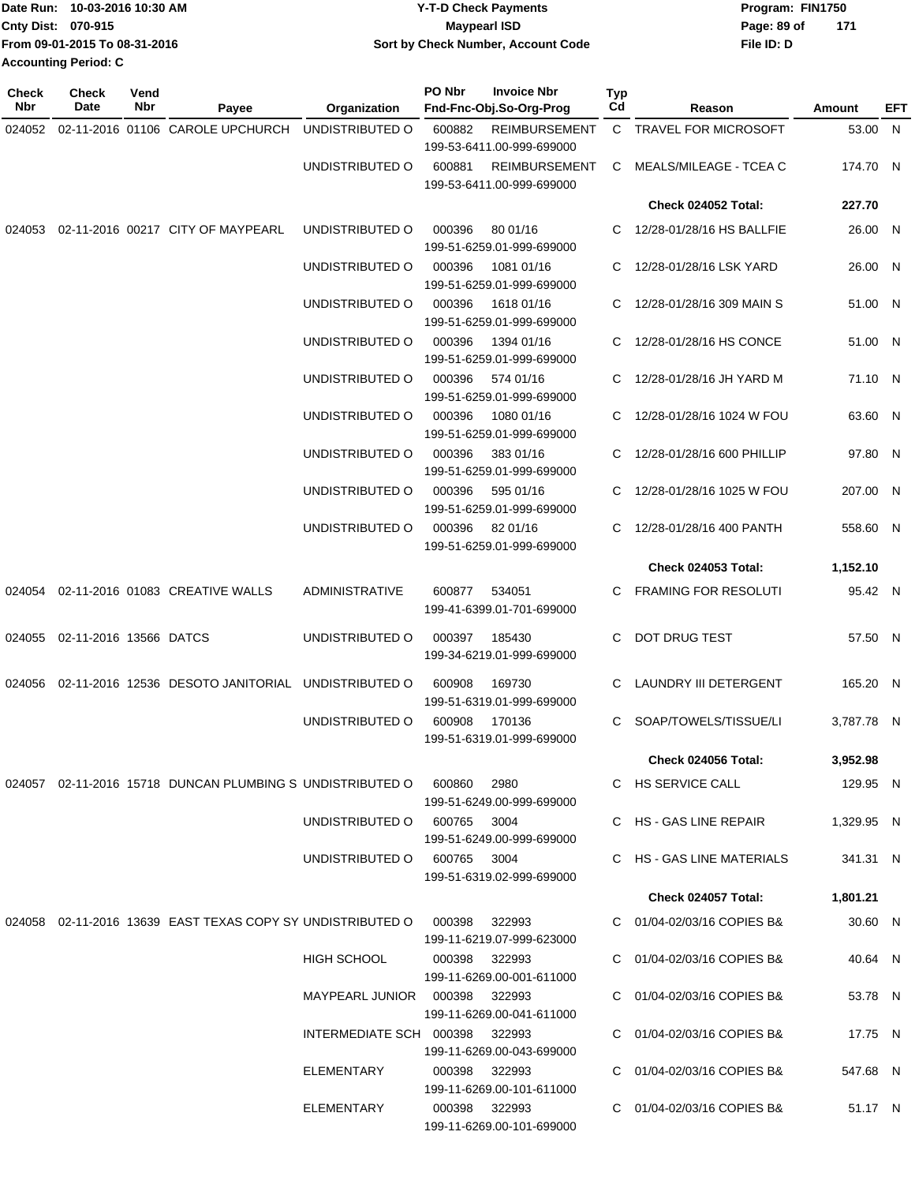|                             | Date Run: 10-03-2016 10:30 AM | <b>Y-T-D Check Payments</b>        | Program: FIN1750 |     |  |  |
|-----------------------------|-------------------------------|------------------------------------|------------------|-----|--|--|
| Cnty Dist: 070-915          |                               | Maypearl ISD                       | Page: 89 of      | 171 |  |  |
|                             | From 09-01-2015 To 08-31-2016 | Sort by Check Number, Account Code | File ID: D       |     |  |  |
| <b>Accounting Period: C</b> |                               |                                    |                  |     |  |  |

| Check<br>Nbr | <b>Check</b><br>Date            | Vend<br>Nbr | Payee                                                                    | Organization                    | PO Nbr        | <b>Invoice Nbr</b><br>Fnd-Fnc-Obj.So-Org-Prog     | Typ<br>Cd | Reason                       | Amount     | EFT |
|--------------|---------------------------------|-------------|--------------------------------------------------------------------------|---------------------------------|---------------|---------------------------------------------------|-----------|------------------------------|------------|-----|
|              |                                 |             | 024052 02-11-2016 01106 CAROLE UPCHURCH                                  | UNDISTRIBUTED O                 | 600882        | <b>REIMBURSEMENT</b>                              |           | C TRAVEL FOR MICROSOFT       | 53.00 N    |     |
|              |                                 |             |                                                                          |                                 |               | 199-53-6411.00-999-699000                         |           |                              |            |     |
|              |                                 |             |                                                                          | UNDISTRIBUTED O                 | 600881        | <b>REIMBURSEMENT</b><br>199-53-6411.00-999-699000 | C         | MEALS/MILEAGE - TCEA C       | 174.70 N   |     |
|              |                                 |             |                                                                          |                                 |               |                                                   |           | Check 024052 Total:          | 227.70     |     |
|              |                                 |             | 024053 02-11-2016 00217 CITY OF MAYPEARL                                 | UNDISTRIBUTED O                 | 000396        | 80 01/16                                          | C         | 12/28-01/28/16 HS BALLFIE    | 26.00 N    |     |
|              |                                 |             |                                                                          |                                 |               | 199-51-6259.01-999-699000                         |           |                              |            |     |
|              |                                 |             |                                                                          | UNDISTRIBUTED O                 | 000396        | 1081 01/16                                        | C         | 12/28-01/28/16 LSK YARD      | 26.00 N    |     |
|              |                                 |             |                                                                          | UNDISTRIBUTED O                 | 000396        | 199-51-6259.01-999-699000<br>1618 01/16           | C         | 12/28-01/28/16 309 MAIN S    | 51.00 N    |     |
|              |                                 |             |                                                                          |                                 |               | 199-51-6259.01-999-699000                         |           |                              |            |     |
|              |                                 |             |                                                                          | UNDISTRIBUTED O                 | 000396        | 1394 01/16                                        | C         | 12/28-01/28/16 HS CONCE      | 51.00 N    |     |
|              |                                 |             |                                                                          |                                 |               | 199-51-6259.01-999-699000                         |           |                              |            |     |
|              |                                 |             |                                                                          | UNDISTRIBUTED O                 | 000396        | 574 01/16                                         | C         | 12/28-01/28/16 JH YARD M     | 71.10 N    |     |
|              |                                 |             |                                                                          | UNDISTRIBUTED O                 | 000396        | 199-51-6259.01-999-699000<br>1080 01/16           | C         | 12/28-01/28/16 1024 W FOU    | 63.60 N    |     |
|              |                                 |             |                                                                          |                                 |               | 199-51-6259.01-999-699000                         |           |                              |            |     |
|              |                                 |             |                                                                          | UNDISTRIBUTED O                 | 000396        | 383 01/16                                         | C         | 12/28-01/28/16 600 PHILLIP   | 97.80 N    |     |
|              |                                 |             |                                                                          |                                 |               | 199-51-6259.01-999-699000                         |           |                              |            |     |
|              |                                 |             |                                                                          | UNDISTRIBUTED O                 | 000396        | 595 01/16<br>199-51-6259.01-999-699000            | C         | 12/28-01/28/16 1025 W FOU    | 207.00 N   |     |
|              |                                 |             |                                                                          | UNDISTRIBUTED O                 | 000396        | 82 01/16                                          | C         | 12/28-01/28/16 400 PANTH     | 558.60 N   |     |
|              |                                 |             |                                                                          |                                 |               | 199-51-6259.01-999-699000                         |           |                              |            |     |
|              |                                 |             |                                                                          |                                 |               |                                                   |           | <b>Check 024053 Total:</b>   | 1,152.10   |     |
|              |                                 |             | 024054  02-11-2016  01083  CREATIVE WALLS                                | <b>ADMINISTRATIVE</b>           | 600877        | 534051                                            | C         | <b>FRAMING FOR RESOLUTI</b>  | 95.42 N    |     |
|              |                                 |             |                                                                          |                                 |               | 199-41-6399.01-701-699000                         |           |                              |            |     |
|              | 024055  02-11-2016  13566 DATCS |             |                                                                          | UNDISTRIBUTED O                 | 000397        | 185430                                            | C         | DOT DRUG TEST                | 57.50 N    |     |
|              |                                 |             |                                                                          |                                 |               | 199-34-6219.01-999-699000                         |           |                              |            |     |
| 024056       |                                 |             | 02-11-2016 12536 DESOTO JANITORIAL UNDISTRIBUTED O                       |                                 | 600908        | 169730                                            | C.        | <b>LAUNDRY III DETERGENT</b> | 165.20 N   |     |
|              |                                 |             |                                                                          |                                 |               | 199-51-6319.01-999-699000                         |           |                              |            |     |
|              |                                 |             |                                                                          | UNDISTRIBUTED O                 | 600908        | 170136<br>199-51-6319.01-999-699000               | C         | SOAP/TOWELS/TISSUE/LI        | 3,787.78 N |     |
|              |                                 |             |                                                                          |                                 |               |                                                   |           | <b>Check 024056 Total:</b>   | 3,952.98   |     |
|              |                                 |             | 024057  02-11-2016  15718  DUNCAN PLUMBING S  UNDISTRIBUTED    000860    |                                 |               | 2980                                              |           | C HS SERVICE CALL            | 129.95 N   |     |
|              |                                 |             |                                                                          |                                 |               | 199-51-6249.00-999-699000                         |           |                              |            |     |
|              |                                 |             |                                                                          | UNDISTRIBUTED O 600765 3004     |               |                                                   |           | C HS - GAS LINE REPAIR       | 1,329.95 N |     |
|              |                                 |             |                                                                          |                                 |               | 199-51-6249.00-999-699000                         |           |                              |            |     |
|              |                                 |             |                                                                          | UNDISTRIBUTED O 600765 3004     |               | 199-51-6319.02-999-699000                         |           | C HS - GAS LINE MATERIALS    | 341.31 N   |     |
|              |                                 |             |                                                                          |                                 |               |                                                   |           | Check 024057 Total:          | 1,801.21   |     |
|              |                                 |             | 024058 02-11-2016 13639 EAST TEXAS COPY SY UNDISTRIBUTED O 000398 322993 |                                 |               |                                                   |           | C 01/04-02/03/16 COPIES B&   | 30.60 N    |     |
|              |                                 |             |                                                                          |                                 |               | 199-11-6219.07-999-623000                         |           |                              |            |     |
|              |                                 |             |                                                                          | <b>HIGH SCHOOL</b>              |               | 000398 322993                                     |           | C 01/04-02/03/16 COPIES B&   | 40.64 N    |     |
|              |                                 |             |                                                                          | MAYPEARL JUNIOR  000398  322993 |               | 199-11-6269.00-001-611000                         |           | C 01/04-02/03/16 COPIES B&   | 53.78 N    |     |
|              |                                 |             |                                                                          |                                 |               | 199-11-6269.00-041-611000                         |           |                              |            |     |
|              |                                 |             |                                                                          | INTERMEDIATE SCH 000398 322993  |               |                                                   |           | C 01/04-02/03/16 COPIES B&   | 17.75 N    |     |
|              |                                 |             |                                                                          |                                 |               | 199-11-6269.00-043-699000                         |           |                              |            |     |
|              |                                 |             |                                                                          | ELEMENTARY                      | 000398 322993 |                                                   |           | C 01/04-02/03/16 COPIES B&   | 547.68 N   |     |
|              |                                 |             |                                                                          | ELEMENTARY                      | 000398 322993 | 199-11-6269.00-101-611000                         |           | C 01/04-02/03/16 COPIES B&   | 51.17 N    |     |
|              |                                 |             |                                                                          |                                 |               | 199-11-6269.00-101-699000                         |           |                              |            |     |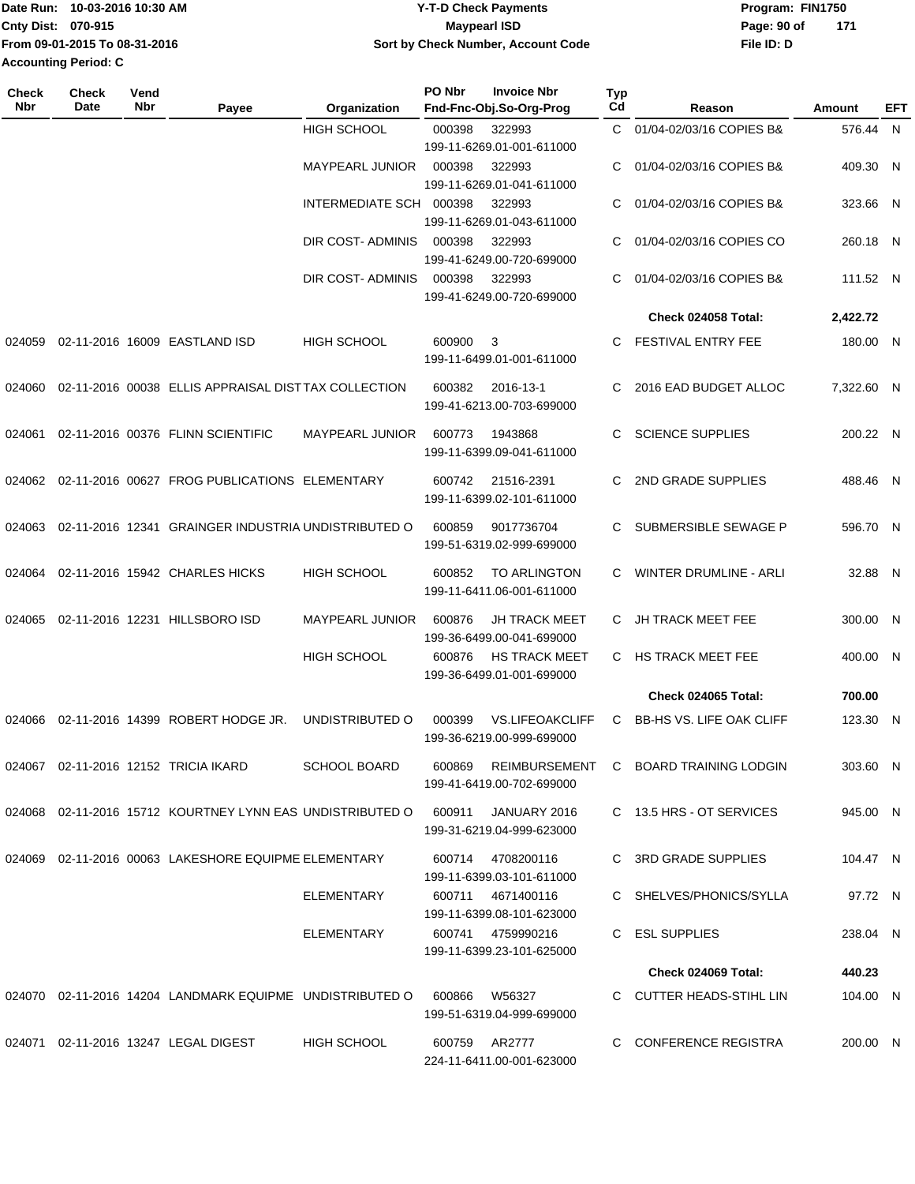|                             | Date Run: 10-03-2016 10:30 AM | <b>Y-T-D Check Payments</b>        | Program: FIN1750 |     |
|-----------------------------|-------------------------------|------------------------------------|------------------|-----|
| <b>Cnty Dist: 070-915</b>   |                               | <b>Mavpearl ISD</b>                | Page: 90 of      | 171 |
|                             | From 09-01-2015 To 08-31-2016 | Sort by Check Number, Account Code | File ID: D       |     |
| <b>Accounting Period: C</b> |                               |                                    |                  |     |

| <b>Check</b><br>Nbr | Check<br>Date | Vend<br><b>Nbr</b> | Payee                                                     | Organization            | PO Nbr        | <b>Invoice Nbr</b><br>Fnd-Fnc-Obj.So-Org-Prog       | Typ<br>Cd | Reason                                | Amount     | EFT |
|---------------------|---------------|--------------------|-----------------------------------------------------------|-------------------------|---------------|-----------------------------------------------------|-----------|---------------------------------------|------------|-----|
|                     |               |                    |                                                           | <b>HIGH SCHOOL</b>      | 000398        | 322993<br>199-11-6269.01-001-611000                 | C.        | 01/04-02/03/16 COPIES B&              | 576.44 N   |     |
|                     |               |                    |                                                           | <b>MAYPEARL JUNIOR</b>  | 000398        | 322993<br>199-11-6269.01-041-611000                 | C         | 01/04-02/03/16 COPIES B&              | 409.30 N   |     |
|                     |               |                    |                                                           | INTERMEDIATE SCH 000398 |               | 322993<br>199-11-6269.01-043-611000                 | C         | 01/04-02/03/16 COPIES B&              | 323.66 N   |     |
|                     |               |                    |                                                           | DIR COST- ADMINIS       | 000398        | 322993<br>199-41-6249.00-720-699000                 | С         | 01/04-02/03/16 COPIES CO              | 260.18 N   |     |
|                     |               |                    |                                                           | DIR COST- ADMINIS       | 000398        | 322993<br>199-41-6249.00-720-699000                 | C         | 01/04-02/03/16 COPIES B&              | 111.52 N   |     |
|                     |               |                    |                                                           |                         |               |                                                     |           | Check 024058 Total:                   | 2,422.72   |     |
| 024059              |               |                    | 02-11-2016 16009 EASTLAND ISD                             | HIGH SCHOOL             | 600900        | 3<br>199-11-6499.01-001-611000                      |           | C FESTIVAL ENTRY FEE                  | 180.00 N   |     |
| 024060              |               |                    | 02-11-2016 00038 ELLIS APPRAISAL DIST TAX COLLECTION      |                         | 600382        | 2016-13-1<br>199-41-6213.00-703-699000              | C         | 2016 EAD BUDGET ALLOC                 | 7,322.60 N |     |
| 024061              |               |                    | 02-11-2016 00376 FLINN SCIENTIFIC                         | <b>MAYPEARL JUNIOR</b>  | 600773        | 1943868<br>199-11-6399.09-041-611000                | C         | <b>SCIENCE SUPPLIES</b>               | 200.22 N   |     |
| 024062              |               |                    | 02-11-2016 00627 FROG PUBLICATIONS ELEMENTARY             |                         | 600742        | 21516-2391<br>199-11-6399.02-101-611000             | C.        | 2ND GRADE SUPPLIES                    | 488.46 N   |     |
| 024063              |               |                    | 02-11-2016 12341 GRAINGER INDUSTRIA UNDISTRIBUTED O       |                         | 600859        | 9017736704<br>199-51-6319.02-999-699000             | C         | SUBMERSIBLE SEWAGE P                  | 596.70 N   |     |
| 024064              |               |                    | 02-11-2016 15942 CHARLES HICKS                            | <b>HIGH SCHOOL</b>      | 600852        | <b>TO ARLINGTON</b><br>199-11-6411.06-001-611000    | C         | <b>WINTER DRUMLINE - ARLI</b>         | 32.88 N    |     |
| 024065              |               |                    | 02-11-2016 12231 HILLSBORO ISD                            | MAYPEARL JUNIOR         | 600876        | <b>JH TRACK MEET</b><br>199-36-6499.00-041-699000   | C.        | JH TRACK MEET FEE                     | 300.00 N   |     |
|                     |               |                    |                                                           | <b>HIGH SCHOOL</b>      | 600876        | <b>HS TRACK MEET</b><br>199-36-6499.01-001-699000   | C.        | <b>HS TRACK MEET FEE</b>              | 400.00 N   |     |
|                     |               |                    |                                                           |                         |               |                                                     |           | Check 024065 Total:                   | 700.00     |     |
| 024066              |               |                    | 02-11-2016 14399 ROBERT HODGE JR.                         | UNDISTRIBUTED O         | 000399        | <b>VS.LIFEOAKCLIFF</b><br>199-36-6219.00-999-699000 | C.        | <b>BB-HS VS. LIFE OAK CLIFF</b>       | 123.30 N   |     |
|                     |               |                    | 024067  02-11-2016  12152  TRICIA IKARD                   | <b>SCHOOL BOARD</b>     | 600869        | 199-41-6419.00-702-699000                           |           | REIMBURSEMENT C BOARD TRAINING LODGIN | 303.60 N   |     |
|                     |               |                    | 024068 02-11-2016 15712 KOURTNEY LYNN EAS UNDISTRIBUTED O |                         | 600911        | JANUARY 2016<br>199-31-6219.04-999-623000           |           | C 13.5 HRS - OT SERVICES              | 945.00 N   |     |
|                     |               |                    | 024069 02-11-2016 00063 LAKESHORE EQUIPME ELEMENTARY      |                         |               | 600714 4708200116<br>199-11-6399.03-101-611000      |           | C 3RD GRADE SUPPLIES                  | 104.47 N   |     |
|                     |               |                    |                                                           | ELEMENTARY              |               | 600711 4671400116<br>199-11-6399.08-101-623000      |           | C SHELVES/PHONICS/SYLLA               | 97.72 N    |     |
|                     |               |                    |                                                           | ELEMENTARY              |               | 600741 4759990216<br>199-11-6399.23-101-625000      |           | C ESL SUPPLIES                        | 238.04 N   |     |
|                     |               |                    |                                                           |                         |               |                                                     |           | Check 024069 Total:                   | 440.23     |     |
|                     |               |                    | 024070 02-11-2016 14204 LANDMARK EQUIPME UNDISTRIBUTED O  |                         | 600866        | W56327<br>199-51-6319.04-999-699000                 |           | C CUTTER HEADS-STIHL LIN              | 104.00 N   |     |
|                     |               |                    | 024071 02-11-2016 13247 LEGAL DIGEST                      | <b>HIGH SCHOOL</b>      | 600759 AR2777 | 224-11-6411.00-001-623000                           |           | C CONFERENCE REGISTRA                 | 200.00 N   |     |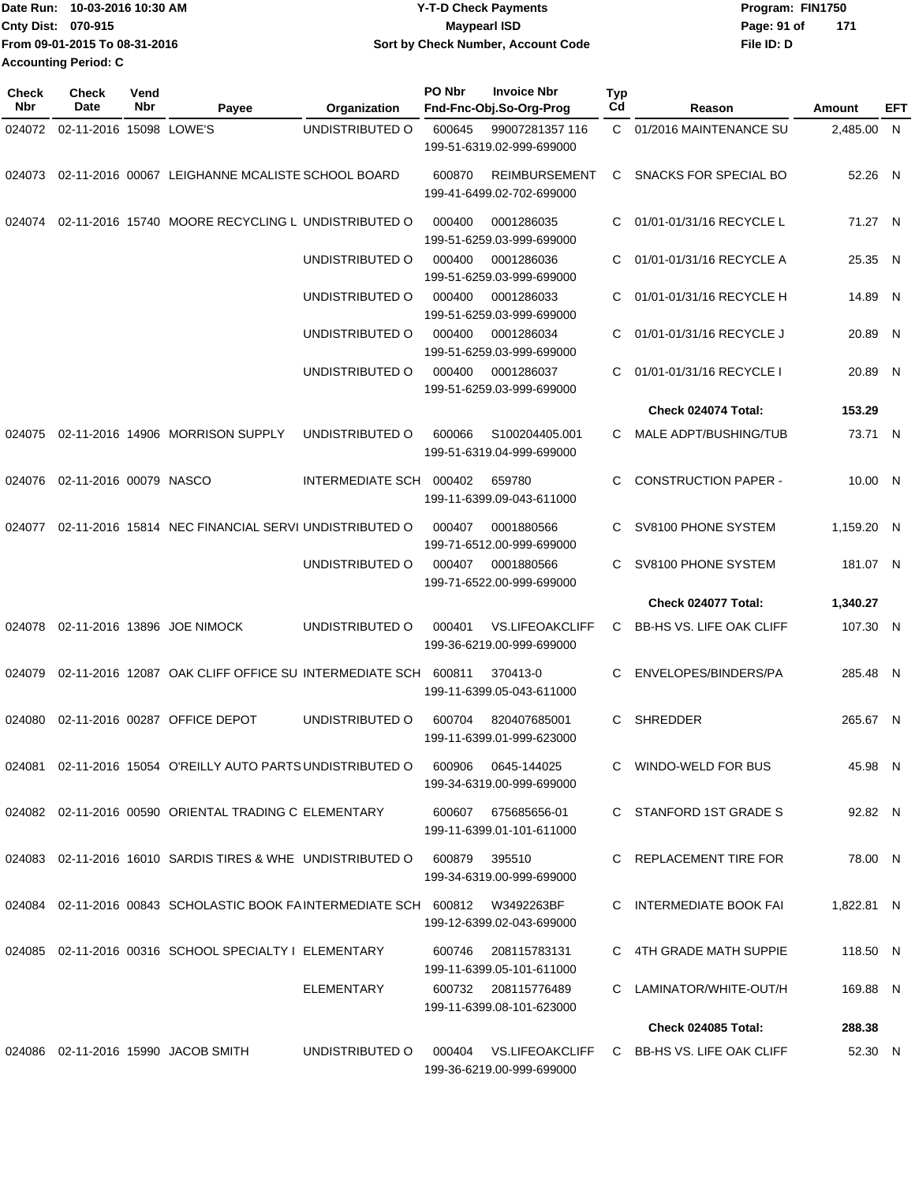|                           | Date Run: 10-03-2016 10:30 AM | <b>Y-T-D Check Payments</b>        | Program: FIN1750   |  |
|---------------------------|-------------------------------|------------------------------------|--------------------|--|
| <b>Cnty Dist: 070-915</b> |                               | <b>Mavpearl ISD</b>                | 171<br>Page: 91 of |  |
|                           | From 09-01-2015 To 08-31-2016 | Sort by Check Number, Account Code | File ID: D         |  |
|                           | Accounting Period: C          |                                    |                    |  |

| <b>Check</b><br>Nbr | <b>Check</b><br>Date    | Vend<br>Nbr | Payee                                                                        | Organization     | PO Nbr | <b>Invoice Nbr</b><br>Fnd-Fnc-Obj.So-Org-Prog       | <b>Typ</b><br>Cd | Reason                          | Amount     | EFT |
|---------------------|-------------------------|-------------|------------------------------------------------------------------------------|------------------|--------|-----------------------------------------------------|------------------|---------------------------------|------------|-----|
| 024072              | 02-11-2016 15098 LOWE'S |             |                                                                              | UNDISTRIBUTED O  | 600645 | 99007281357 116<br>199-51-6319.02-999-699000        | C.               | 01/2016 MAINTENANCE SU          | 2,485.00 N |     |
| 024073              |                         |             | 02-11-2016 00067 LEIGHANNE MCALISTE SCHOOL BOARD                             |                  | 600870 | <b>REIMBURSEMENT</b><br>199-41-6499.02-702-699000   | C.               | SNACKS FOR SPECIAL BO           | 52.26 N    |     |
| 024074              |                         |             | 02-11-2016 15740 MOORE RECYCLING L UNDISTRIBUTED O                           |                  | 000400 | 0001286035<br>199-51-6259.03-999-699000             | C                | 01/01-01/31/16 RECYCLE L        | 71.27 N    |     |
|                     |                         |             |                                                                              | UNDISTRIBUTED O  | 000400 | 0001286036<br>199-51-6259.03-999-699000             | C                | 01/01-01/31/16 RECYCLE A        | 25.35 N    |     |
|                     |                         |             |                                                                              | UNDISTRIBUTED O  | 000400 | 0001286033<br>199-51-6259.03-999-699000             | C.               | 01/01-01/31/16 RECYCLE H        | 14.89 N    |     |
|                     |                         |             |                                                                              | UNDISTRIBUTED O  | 000400 | 0001286034<br>199-51-6259.03-999-699000             | C                | 01/01-01/31/16 RECYCLE J        | 20.89 N    |     |
|                     |                         |             |                                                                              | UNDISTRIBUTED O  | 000400 | 0001286037<br>199-51-6259.03-999-699000             | C                | 01/01-01/31/16 RECYCLE I        | 20.89 N    |     |
|                     |                         |             |                                                                              |                  |        |                                                     |                  | Check 024074 Total:             | 153.29     |     |
| 024075              |                         |             | 02-11-2016 14906 MORRISON SUPPLY                                             | UNDISTRIBUTED O  | 600066 | S100204405.001<br>199-51-6319.04-999-699000         | C                | MALE ADPT/BUSHING/TUB           | 73.71 N    |     |
| 024076              | 02-11-2016 00079 NASCO  |             |                                                                              | INTERMEDIATE SCH | 000402 | 659780<br>199-11-6399.09-043-611000                 | C                | <b>CONSTRUCTION PAPER -</b>     | 10.00 N    |     |
| 024077              |                         |             | 02-11-2016 15814 NEC FINANCIAL SERVI UNDISTRIBUTED O                         |                  | 000407 | 0001880566<br>199-71-6512.00-999-699000             | C                | SV8100 PHONE SYSTEM             | 1,159.20 N |     |
|                     |                         |             |                                                                              | UNDISTRIBUTED O  | 000407 | 0001880566<br>199-71-6522.00-999-699000             | C.               | SV8100 PHONE SYSTEM             | 181.07 N   |     |
|                     |                         |             |                                                                              |                  |        |                                                     |                  | Check 024077 Total:             | 1,340.27   |     |
| 024078              |                         |             | 02-11-2016 13896 JOE NIMOCK                                                  | UNDISTRIBUTED O  | 000401 | <b>VS.LIFEOAKCLIFF</b><br>199-36-6219.00-999-699000 | C.               | <b>BB-HS VS. LIFE OAK CLIFF</b> | 107.30 N   |     |
| 024079              |                         |             | 02-11-2016 12087 OAK CLIFF OFFICE SU INTERMEDIATE SCH 600811                 |                  |        | 370413-0<br>199-11-6399.05-043-611000               | C                | ENVELOPES/BINDERS/PA            | 285.48 N   |     |
| 024080              |                         |             | 02-11-2016 00287 OFFICE DEPOT                                                | UNDISTRIBUTED O  | 600704 | 820407685001<br>199-11-6399.01-999-623000           | C                | <b>SHREDDER</b>                 | 265.67 N   |     |
|                     |                         |             | 024081 02-11-2016 15054 O'REILLY AUTO PARTS UNDISTRIBUTED O                  |                  | 600906 | 0645-144025<br>199-34-6319.00-999-699000            |                  | C WINDO-WELD FOR BUS            | 45.98 N    |     |
|                     |                         |             | 024082 02-11-2016 00590 ORIENTAL TRADING C ELEMENTARY                        |                  |        | 600607 675685656-01<br>199-11-6399.01-101-611000    |                  | C STANFORD 1ST GRADE S          | 92.82 N    |     |
|                     |                         |             | 024083 02-11-2016 16010 SARDIS TIRES & WHE UNDISTRIBUTED O                   |                  | 600879 | 395510<br>199-34-6319.00-999-699000                 |                  | C REPLACEMENT TIRE FOR          | 78.00 N    |     |
|                     |                         |             | 024084 02-11-2016 00843 SCHOLASTIC BOOK FAINTERMEDIATE SCH 600812 W3492263BF |                  |        | 199-12-6399.02-043-699000                           |                  | C INTERMEDIATE BOOK FAI         | 1,822.81 N |     |
|                     |                         |             | 024085 02-11-2016 00316 SCHOOL SPECIALTY I ELEMENTARY                        |                  | 600746 | 208115783131<br>199-11-6399.05-101-611000           |                  | C 4TH GRADE MATH SUPPIE         | 118.50 N   |     |
|                     |                         |             |                                                                              | ELEMENTARY       |        | 600732 208115776489<br>199-11-6399.08-101-623000    |                  | C LAMINATOR/WHITE-OUT/H         | 169.88 N   |     |
|                     |                         |             |                                                                              |                  |        |                                                     |                  | <b>Check 024085 Total:</b>      | 288.38     |     |
|                     |                         |             | 024086 02-11-2016 15990 JACOB SMITH                                          | UNDISTRIBUTED O  | 000404 | VS.LIFEOAKCLIFF<br>199-36-6219.00-999-699000        |                  | C BB-HS VS. LIFE OAK CLIFF      | 52.30 N    |     |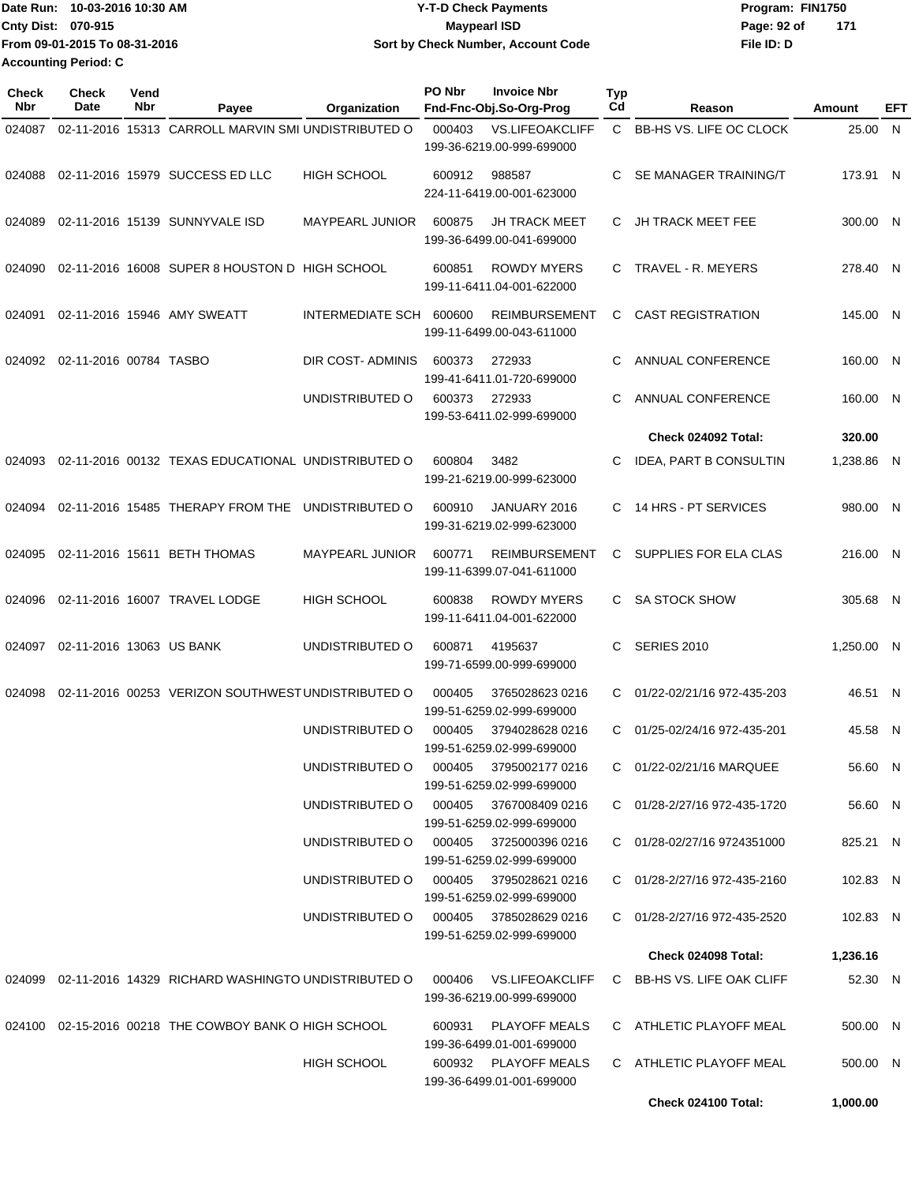| Date Run: 10-03-2016 10:30 AM |                               | <b>Y-T-D Check Payments</b>        | Program: FIN1750     |  |  |
|-------------------------------|-------------------------------|------------------------------------|----------------------|--|--|
| <b>Cnty Dist: 070-915</b>     |                               | <b>Mavpearl ISD</b>                | - 171<br>Page: 92 of |  |  |
|                               | From 09-01-2015 To 08-31-2016 | Sort by Check Number, Account Code | File ID: D           |  |  |
|                               | <b>Accounting Period: C</b>   |                                    |                      |  |  |

| <b>Check</b><br>Nbr | <b>Check</b><br>Date     | Vend<br>Nbr | Payee                                                     | Organization           | PO Nbr | <b>Invoice Nbr</b><br>Fnd-Fnc-Obj.So-Org-Prog       | Typ<br>Cd    | Reason                        | Amount     | EFT |
|---------------------|--------------------------|-------------|-----------------------------------------------------------|------------------------|--------|-----------------------------------------------------|--------------|-------------------------------|------------|-----|
| 024087              |                          |             | 02-11-2016 15313 CARROLL MARVIN SMI UNDISTRIBUTED O       |                        | 000403 | <b>VS.LIFEOAKCLIFF</b><br>199-36-6219.00-999-699000 | $\mathbf{C}$ | BB-HS VS. LIFE OC CLOCK       | 25.00 N    |     |
| 024088              |                          |             | 02-11-2016 15979 SUCCESS ED LLC                           | <b>HIGH SCHOOL</b>     | 600912 | 988587<br>224-11-6419.00-001-623000                 | C            | SE MANAGER TRAINING/T         | 173.91 N   |     |
| 024089              |                          |             | 02-11-2016 15139 SUNNYVALE ISD                            | MAYPEARL JUNIOR        | 600875 | <b>JH TRACK MEET</b><br>199-36-6499.00-041-699000   |              | C JH TRACK MEET FEE           | 300.00 N   |     |
| 024090              |                          |             | 02-11-2016 16008 SUPER 8 HOUSTON D HIGH SCHOOL            |                        | 600851 | <b>ROWDY MYERS</b><br>199-11-6411.04-001-622000     | C.           | TRAVEL - R. MEYERS            | 278.40 N   |     |
| 024091              |                          |             | 02-11-2016 15946 AMY SWEATT                               | INTERMEDIATE SCH       | 600600 | <b>REIMBURSEMENT</b><br>199-11-6499.00-043-611000   | C.           | <b>CAST REGISTRATION</b>      | 145.00 N   |     |
| 024092              | 02-11-2016 00784 TASBO   |             |                                                           | DIR COST-ADMINIS       | 600373 | 272933<br>199-41-6411.01-720-699000                 | C.           | ANNUAL CONFERENCE             | 160.00 N   |     |
|                     |                          |             |                                                           | UNDISTRIBUTED O        | 600373 | 272933<br>199-53-6411.02-999-699000                 | C            | ANNUAL CONFERENCE             | 160.00 N   |     |
|                     |                          |             |                                                           |                        |        |                                                     |              | Check 024092 Total:           | 320.00     |     |
| 024093              |                          |             | 02-11-2016 00132 TEXAS EDUCATIONAL UNDISTRIBUTED O        |                        | 600804 | 3482<br>199-21-6219.00-999-623000                   | C            | <b>IDEA, PART B CONSULTIN</b> | 1,238.86 N |     |
| 024094              |                          |             | 02-11-2016 15485 THERAPY FROM THE                         | UNDISTRIBUTED O        | 600910 | JANUARY 2016<br>199-31-6219.02-999-623000           | C.           | 14 HRS - PT SERVICES          | 980.00 N   |     |
| 024095              |                          |             | 02-11-2016 15611 BETH THOMAS                              | <b>MAYPEARL JUNIOR</b> | 600771 | <b>REIMBURSEMENT</b><br>199-11-6399.07-041-611000   | C.           | SUPPLIES FOR ELA CLAS         | 216.00 N   |     |
| 024096              |                          |             | 02-11-2016 16007 TRAVEL LODGE                             | <b>HIGH SCHOOL</b>     | 600838 | <b>ROWDY MYERS</b><br>199-11-6411.04-001-622000     | C.           | <b>SA STOCK SHOW</b>          | 305.68 N   |     |
| 024097              | 02-11-2016 13063 US BANK |             |                                                           | UNDISTRIBUTED O        | 600871 | 4195637<br>199-71-6599.00-999-699000                | C            | <b>SERIES 2010</b>            | 1,250.00 N |     |
| 024098              |                          |             | 02-11-2016 00253 VERIZON SOUTHWEST UNDISTRIBUTED O        |                        | 000405 | 3765028623 0216<br>199-51-6259.02-999-699000        | C.           | 01/22-02/21/16 972-435-203    | 46.51 N    |     |
|                     |                          |             |                                                           | UNDISTRIBUTED O        | 000405 | 3794028628 0216<br>199-51-6259.02-999-699000        | C.           | 01/25-02/24/16 972-435-201    | 45.58 N    |     |
|                     |                          |             |                                                           | UNDISTRIBUTED O        | 000405 | 3795002177 0216<br>199-51-6259.02-999-699000        |              | C 01/22-02/21/16 MARQUEE      | 56.60 N    |     |
|                     |                          |             |                                                           | UNDISTRIBUTED O        |        | 000405 3767008409 0216<br>199-51-6259.02-999-699000 |              | C 01/28-2/27/16 972-435-1720  | 56.60 N    |     |
|                     |                          |             |                                                           | UNDISTRIBUTED O        | 000405 | 3725000396 0216<br>199-51-6259.02-999-699000        |              | C 01/28-02/27/16 9724351000   | 825.21 N   |     |
|                     |                          |             |                                                           | UNDISTRIBUTED O        | 000405 | 3795028621 0216<br>199-51-6259.02-999-699000        |              | C 01/28-2/27/16 972-435-2160  | 102.83 N   |     |
|                     |                          |             |                                                           | UNDISTRIBUTED O        |        | 000405 3785028629 0216<br>199-51-6259.02-999-699000 |              | C 01/28-2/27/16 972-435-2520  | 102.83 N   |     |
|                     |                          |             |                                                           |                        |        |                                                     |              | <b>Check 024098 Total:</b>    | 1,236.16   |     |
|                     |                          |             | 024099 02-11-2016 14329 RICHARD WASHINGTO UNDISTRIBUTED O |                        | 000406 | <b>VS.LIFEOAKCLIFF</b><br>199-36-6219.00-999-699000 |              | C BB-HS VS. LIFE OAK CLIFF    | 52.30 N    |     |
|                     |                          |             | 024100 02-15-2016 00218 THE COWBOY BANK O HIGH SCHOOL     |                        | 600931 | <b>PLAYOFF MEALS</b><br>199-36-6499.01-001-699000   |              | C ATHLETIC PLAYOFF MEAL       | 500.00 N   |     |
|                     |                          |             |                                                           | <b>HIGH SCHOOL</b>     |        | 600932 PLAYOFF MEALS<br>199-36-6499.01-001-699000   |              | C ATHLETIC PLAYOFF MEAL       | 500.00 N   |     |
|                     |                          |             |                                                           |                        |        |                                                     |              | Check 024100 Total:           | 1,000.00   |     |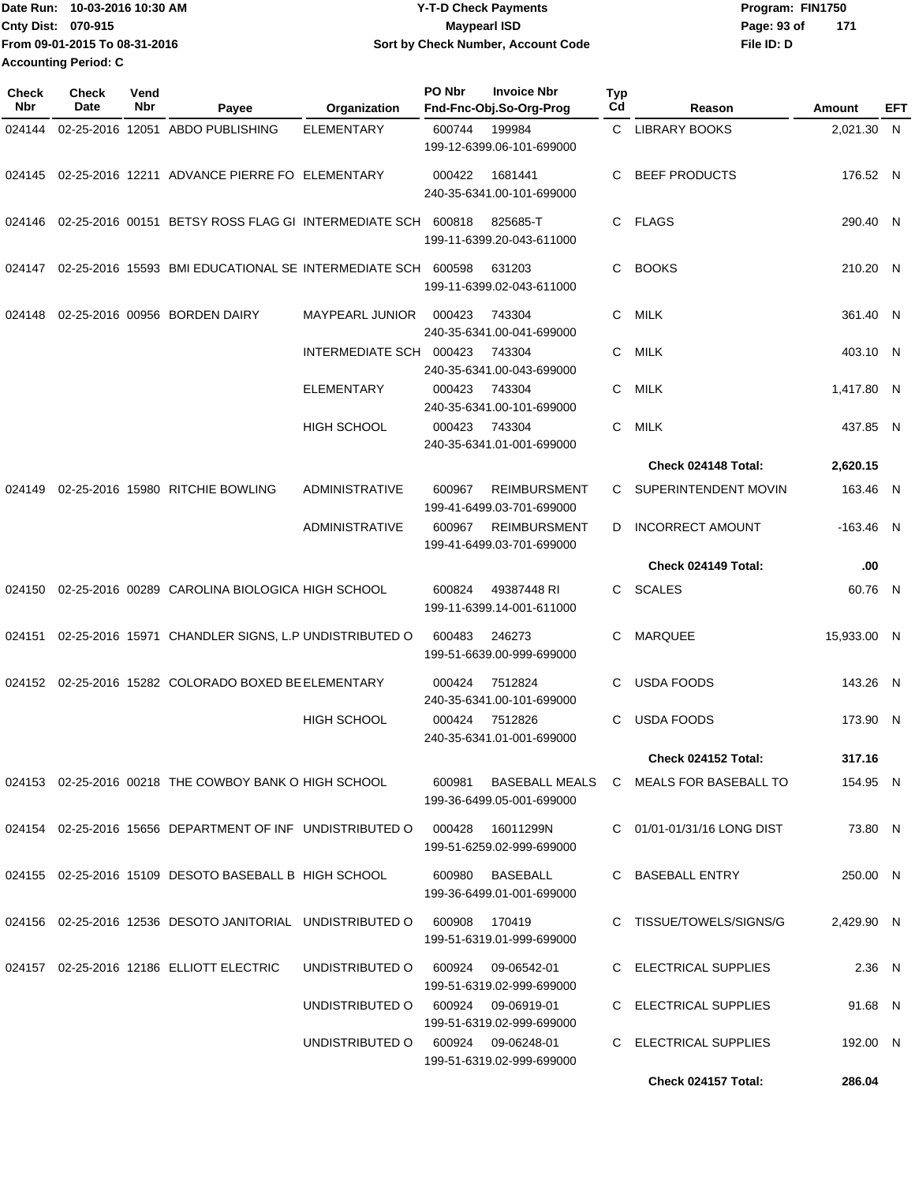| Date Run:<br>10-03-2016 10:30 AM | <b>Y-T-D Check Payments</b>        | Program: FIN1750   |  |  |  |
|----------------------------------|------------------------------------|--------------------|--|--|--|
| <b>Cnty Dist: 070-915</b>        | Maypearl ISD                       | 171<br>Page: 93 of |  |  |  |
| From 09-01-2015 To 08-31-2016    | Sort by Check Number, Account Code | File ID: D         |  |  |  |
| <b>Accounting Period: C</b>      |                                    |                    |  |  |  |

| <b>Check</b><br>Nbr | Check<br>Date | Vend<br>Nbr | Payee                                                       | Organization                       | PO Nbr | <b>Invoice Nbr</b><br>Fnd-Fnc-Obj.So-Org-Prog    | <b>Typ</b><br>Cd | Reason                     | Amount      | EFT |
|---------------------|---------------|-------------|-------------------------------------------------------------|------------------------------------|--------|--------------------------------------------------|------------------|----------------------------|-------------|-----|
| 024144              |               |             | 02-25-2016 12051 ABDO PUBLISHING                            | <b>ELEMENTARY</b>                  | 600744 | 199984<br>199-12-6399.06-101-699000              |                  | C LIBRARY BOOKS            | 2,021.30 N  |     |
| 024145              |               |             | 02-25-2016 12211 ADVANCE PIERRE FO ELEMENTARY               |                                    | 000422 | 1681441<br>240-35-6341.00-101-699000             | C                | <b>BEEF PRODUCTS</b>       | 176.52 N    |     |
| 024146              |               |             | 02-25-2016 00151 BETSY ROSS FLAG GI INTERMEDIATE SCH 600818 |                                    |        | 825685-T<br>199-11-6399.20-043-611000            | C.               | FLAGS                      | 290.40 N    |     |
| 024147              |               |             | 02-25-2016 15593 BMI EDUCATIONAL SE INTERMEDIATE SCH 600598 |                                    |        | 631203<br>199-11-6399.02-043-611000              | C                | <b>BOOKS</b>               | 210.20 N    |     |
| 024148              |               |             | 02-25-2016 00956 BORDEN DAIRY                               | MAYPEARL JUNIOR                    | 000423 | 743304<br>240-35-6341.00-041-699000              | C                | MILK                       | 361.40 N    |     |
|                     |               |             |                                                             | INTERMEDIATE SCH                   | 000423 | 743304<br>240-35-6341.00-043-699000              | C                | MILK                       | 403.10 N    |     |
|                     |               |             |                                                             | <b>ELEMENTARY</b>                  | 000423 | 743304<br>240-35-6341.00-101-699000              | C                | <b>MILK</b>                | 1,417.80 N  |     |
|                     |               |             |                                                             | <b>HIGH SCHOOL</b>                 | 000423 | 743304<br>240-35-6341.01-001-699000              | C                | <b>MILK</b>                | 437.85 N    |     |
|                     |               |             |                                                             |                                    |        |                                                  |                  | Check 024148 Total:        | 2,620.15    |     |
| 024149              |               |             | 02-25-2016 15980 RITCHIE BOWLING                            | <b>ADMINISTRATIVE</b>              | 600967 | <b>REIMBURSMENT</b><br>199-41-6499.03-701-699000 | C                | SUPERINTENDENT MOVIN       | 163.46 N    |     |
|                     |               |             |                                                             | <b>ADMINISTRATIVE</b>              | 600967 | <b>REIMBURSMENT</b><br>199-41-6499.03-701-699000 | D                | <b>INCORRECT AMOUNT</b>    | $-163.46$ N |     |
|                     |               |             |                                                             |                                    |        |                                                  |                  | Check 024149 Total:        | .00         |     |
| 024150              |               |             | 02-25-2016 00289 CAROLINA BIOLOGICA HIGH SCHOOL             |                                    | 600824 | 49387448 RI<br>199-11-6399.14-001-611000         | C                | <b>SCALES</b>              | 60.76 N     |     |
| 024151              |               |             | 02-25-2016 15971 CHANDLER SIGNS, L.P UNDISTRIBUTED O        |                                    | 600483 | 246273<br>199-51-6639.00-999-699000              | С                | <b>MARQUEE</b>             | 15,933.00 N |     |
| 024152              |               |             | 02-25-2016 15282 COLORADO BOXED BE ELEMENTARY               |                                    | 000424 | 7512824<br>240-35-6341.00-101-699000             | С                | <b>USDA FOODS</b>          | 143.26 N    |     |
|                     |               |             |                                                             | <b>HIGH SCHOOL</b>                 | 000424 | 7512826<br>240-35-6341.01-001-699000             | C                | <b>USDA FOODS</b>          | 173.90      | -N  |
|                     |               |             |                                                             |                                    |        |                                                  |                  | Check 024152 Total:        | 317.16      |     |
|                     |               |             | 024153 02-25-2016 00218 THE COWBOY BANK O HIGH SCHOOL       |                                    | 600981 | BASEBALL MEALS<br>199-36-6499.05-001-699000      |                  | C MEALS FOR BASEBALL TO    | 154.95 N    |     |
|                     |               |             | 024154 02-25-2016 15656 DEPARTMENT OF INF UNDISTRIBUTED O   |                                    | 000428 | 16011299N<br>199-51-6259.02-999-699000           |                  | C 01/01-01/31/16 LONG DIST | 73.80 N     |     |
|                     |               |             | 024155 02-25-2016 15109 DESOTO BASEBALL B HIGH SCHOOL       |                                    | 600980 | <b>BASEBALL</b><br>199-36-6499.01-001-699000     |                  | C BASEBALL ENTRY           | 250.00 N    |     |
|                     |               |             | 024156 02-25-2016 12536 DESOTO JANITORIAL UNDISTRIBUTED O   |                                    | 600908 | 170419<br>199-51-6319.01-999-699000              |                  | C TISSUE/TOWELS/SIGNS/G    | 2,429.90 N  |     |
|                     |               |             | 024157 02-25-2016 12186 ELLIOTT ELECTRIC                    | UNDISTRIBUTED O                    | 600924 | 09-06542-01<br>199-51-6319.02-999-699000         |                  | C ELECTRICAL SUPPLIES      | 2.36 N      |     |
|                     |               |             |                                                             | UNDISTRIBUTED O 600924 09-06919-01 |        | 199-51-6319.02-999-699000                        |                  | C ELECTRICAL SUPPLIES      | 91.68 N     |     |
|                     |               |             |                                                             | UNDISTRIBUTED 0 600924 09-06248-01 |        | 199-51-6319.02-999-699000                        |                  | C ELECTRICAL SUPPLIES      | 192.00 N    |     |
|                     |               |             |                                                             |                                    |        |                                                  |                  | Check 024157 Total:        | 286.04      |     |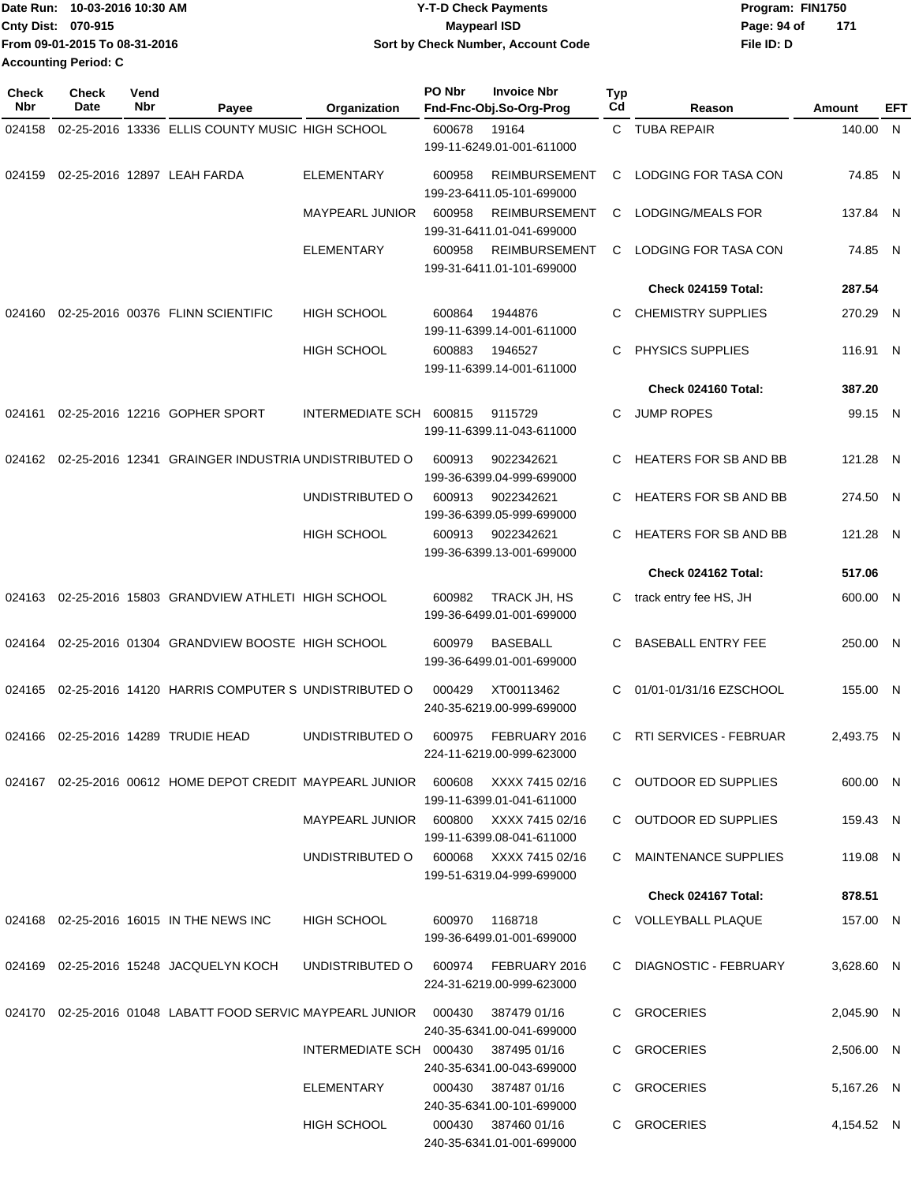| Date Run: 10-03-2016 10:30 AM |                               | <b>Y-T-D Check Payments</b>        | Program: FIN1750   |  |  |
|-------------------------------|-------------------------------|------------------------------------|--------------------|--|--|
| <b>Cnty Dist: 070-915</b>     |                               | Maypearl ISD                       | 171<br>Page: 94 of |  |  |
|                               | From 09-01-2015 To 08-31-2016 | Sort by Check Number, Account Code | File ID: D         |  |  |
| <b>Accounting Period: C</b>   |                               |                                    |                    |  |  |

| Check<br>Nbr | <b>Check</b><br>Date | Vend<br>Nbr | Payee                                                                                    | Organization                           | PO Nbr                                  | <b>Invoice Nbr</b><br>Fnd-Fnc-Obj.So-Org-Prog     | Typ<br>Cd                    | Reason                       | Amount     | EFT |
|--------------|----------------------|-------------|------------------------------------------------------------------------------------------|----------------------------------------|-----------------------------------------|---------------------------------------------------|------------------------------|------------------------------|------------|-----|
| 024158       |                      |             | 02-25-2016 13336 ELLIS COUNTY MUSIC HIGH SCHOOL                                          |                                        | 600678                                  | 19164<br>199-11-6249.01-001-611000                |                              | C TUBA REPAIR                | 140.00 N   |     |
| 024159       |                      |             | 02-25-2016 12897 LEAH FARDA                                                              | <b>ELEMENTARY</b>                      | 600958                                  | <b>REIMBURSEMENT</b><br>199-23-6411.05-101-699000 | C                            | LODGING FOR TASA CON         | 74.85 N    |     |
|              |                      |             |                                                                                          | <b>MAYPEARL JUNIOR</b>                 | 600958                                  | <b>REIMBURSEMENT</b><br>199-31-6411.01-041-699000 | C                            | LODGING/MEALS FOR            | 137.84 N   |     |
|              |                      |             |                                                                                          | <b>ELEMENTARY</b>                      | 600958                                  | <b>REIMBURSEMENT</b><br>199-31-6411.01-101-699000 | C                            | LODGING FOR TASA CON         | 74.85 N    |     |
|              |                      |             |                                                                                          |                                        |                                         |                                                   |                              | Check 024159 Total:          | 287.54     |     |
| 024160       |                      |             | 02-25-2016 00376 FLINN SCIENTIFIC                                                        | <b>HIGH SCHOOL</b>                     | 600864                                  | 1944876<br>199-11-6399.14-001-611000              | С                            | <b>CHEMISTRY SUPPLIES</b>    | 270.29 N   |     |
|              |                      |             |                                                                                          | <b>HIGH SCHOOL</b>                     | 600883                                  | 1946527<br>199-11-6399.14-001-611000              | С                            | PHYSICS SUPPLIES             | 116.91 N   |     |
|              |                      |             |                                                                                          |                                        |                                         |                                                   |                              | Check 024160 Total:          | 387.20     |     |
| 024161       |                      |             | 02-25-2016 12216 GOPHER SPORT                                                            | INTERMEDIATE SCH                       | 600815                                  | 9115729<br>199-11-6399.11-043-611000              | С                            | <b>JUMP ROPES</b>            | 99.15 N    |     |
| 024162       |                      |             | 02-25-2016 12341 GRAINGER INDUSTRIA UNDISTRIBUTED O                                      |                                        | 600913                                  | 9022342621<br>199-36-6399.04-999-699000           | С                            | <b>HEATERS FOR SB AND BB</b> | 121.28 N   |     |
|              |                      |             | UNDISTRIBUTED O                                                                          | 600913                                 | 9022342621<br>199-36-6399.05-999-699000 | С                                                 | <b>HEATERS FOR SB AND BB</b> | 274.50 N                     |            |     |
|              |                      |             | <b>HIGH SCHOOL</b>                                                                       | 600913                                 | 9022342621<br>199-36-6399.13-001-699000 | С                                                 | <b>HEATERS FOR SB AND BB</b> | 121.28 N                     |            |     |
|              |                      |             |                                                                                          |                                        |                                         |                                                   |                              | Check 024162 Total:          | 517.06     |     |
| 024163       |                      |             | 02-25-2016 15803 GRANDVIEW ATHLETI HIGH SCHOOL                                           |                                        | 600982                                  | TRACK JH, HS<br>199-36-6499.01-001-699000         | C                            | track entry fee HS, JH       | 600.00 N   |     |
| 024164       |                      |             | 02-25-2016 01304 GRANDVIEW BOOSTE HIGH SCHOOL                                            |                                        | 600979                                  | <b>BASEBALL</b><br>199-36-6499.01-001-699000      | C                            | <b>BASEBALL ENTRY FEE</b>    | 250.00 N   |     |
| 024165       |                      |             | 02-25-2016 14120 HARRIS COMPUTER S UNDISTRIBUTED O                                       |                                        | 000429                                  | XT00113462<br>240-35-6219.00-999-699000           | С                            | 01/01-01/31/16 EZSCHOOL      | 155.00 N   |     |
| 024166       |                      |             | 02-25-2016 14289 TRUDIE HEAD                                                             | UNDISTRIBUTED O                        | 600975                                  | FEBRUARY 2016<br>224-11-6219.00-999-623000        | C                            | RTI SERVICES - FEBRUAR       | 2.493.75 N |     |
|              |                      |             | 024167  02-25-2016  00612  HOME                     DEPOT CREDIT MAYPEARL JUNIOR  600608 |                                        |                                         | XXXX 7415 02/16<br>199-11-6399.01-041-611000      |                              | C OUTDOOR ED SUPPLIES        | 600.00 N   |     |
|              |                      |             |                                                                                          | MAYPEARL JUNIOR 600800 XXXX 7415 02/16 |                                         | 199-11-6399.08-041-611000                         |                              | C OUTDOOR ED SUPPLIES        | 159.43 N   |     |
|              |                      |             |                                                                                          | UNDISTRIBUTED O 600068 XXXX 7415 02/16 |                                         | 199-51-6319.04-999-699000                         |                              | C MAINTENANCE SUPPLIES       | 119.08 N   |     |
|              |                      |             |                                                                                          |                                        |                                         |                                                   |                              | Check 024167 Total:          | 878.51     |     |
|              |                      |             | 024168 02-25-2016 16015 IN THE NEWS INC                                                  | HIGH SCHOOL                            |                                         | 600970 1168718<br>199-36-6499.01-001-699000       |                              | C VOLLEYBALL PLAQUE          | 157.00 N   |     |
|              |                      |             | 024169  02-25-2016  15248  JACQUELYN KOCH                                                | UNDISTRIBUTED O 600974 FEBRUARY 2016   |                                         | 224-31-6219.00-999-623000                         |                              | C DIAGNOSTIC - FEBRUARY      | 3,628.60 N |     |
|              |                      |             | 024170 02-25-2016 01048 LABATT FOOD SERVIC MAYPEARL JUNIOR 000430                        |                                        |                                         | 387479 01/16<br>240-35-6341.00-041-699000         |                              | C GROCERIES                  | 2,045.90 N |     |
|              |                      |             |                                                                                          | INTERMEDIATE SCH 000430 387495 01/16   |                                         | 240-35-6341.00-043-699000                         |                              | C GROCERIES                  | 2,506.00 N |     |
|              |                      |             |                                                                                          | ELEMENTARY                             |                                         | 000430 387487 01/16<br>240-35-6341.00-101-699000  |                              | C GROCERIES                  | 5,167.26 N |     |
|              |                      |             |                                                                                          | HIGH SCHOOL                            |                                         | 000430 387460 01/16<br>240-35-6341.01-001-699000  |                              | C GROCERIES                  | 4,154.52 N |     |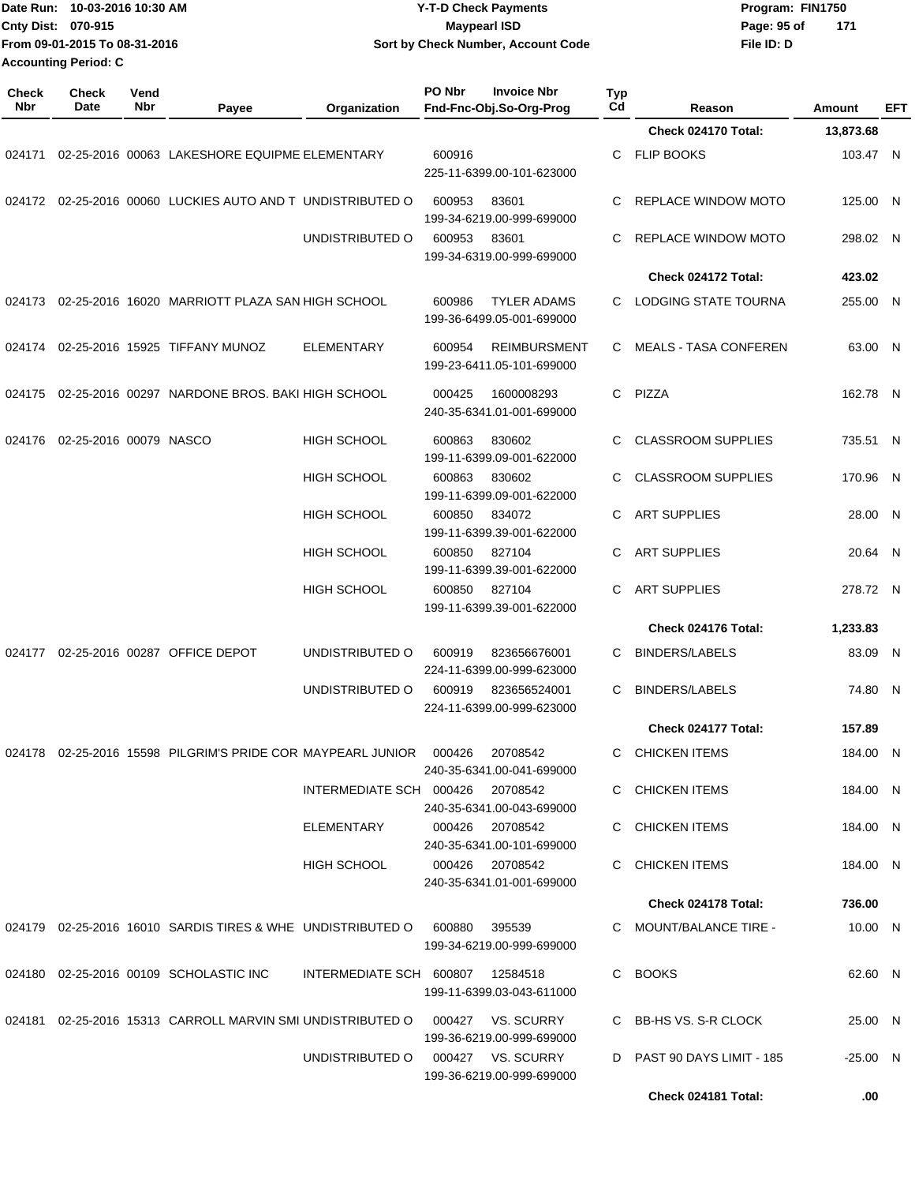|                             | Date Run: 10-03-2016 10:30 AM | <b>Y-T-D Check Payments</b>        | Program: FIN1750 |     |  |
|-----------------------------|-------------------------------|------------------------------------|------------------|-----|--|
| Cnty Dist: 070-915          |                               | Mavpearl ISD                       | Page: 95 of      | 171 |  |
|                             | From 09-01-2015 To 08-31-2016 | Sort by Check Number, Account Code | File ID: D       |     |  |
| <b>Accounting Period: C</b> |                               |                                    |                  |     |  |

| <b>Check</b><br>Nbr | Check<br>Date          | Vend<br>Nbr | Payee                                                      | Organization                     | PO Nbr | <b>Invoice Nbr</b><br>Fnd-Fnc-Obj.So-Org-Prog    | Typ<br>Cd | Reason                       | Amount     | EFT |
|---------------------|------------------------|-------------|------------------------------------------------------------|----------------------------------|--------|--------------------------------------------------|-----------|------------------------------|------------|-----|
|                     |                        |             |                                                            |                                  |        |                                                  |           | Check 024170 Total:          | 13,873.68  |     |
|                     |                        |             | 024171 02-25-2016 00063 LAKESHORE EQUIPME ELEMENTARY       |                                  | 600916 | 225-11-6399.00-101-623000                        | C         | <b>FLIP BOOKS</b>            | 103.47 N   |     |
| 024172              |                        |             | 02-25-2016 00060 LUCKIES AUTO AND T UNDISTRIBUTED O        |                                  | 600953 | 83601<br>199-34-6219.00-999-699000               | C         | REPLACE WINDOW MOTO          | 125.00 N   |     |
|                     |                        |             |                                                            | UNDISTRIBUTED O                  | 600953 | 83601<br>199-34-6319.00-999-699000               | C         | REPLACE WINDOW MOTO          | 298.02 N   |     |
|                     |                        |             |                                                            |                                  |        |                                                  |           | Check 024172 Total:          | 423.02     |     |
|                     |                        |             | 024173 02-25-2016 16020 MARRIOTT PLAZA SAN HIGH SCHOOL     |                                  | 600986 | <b>TYLER ADAMS</b><br>199-36-6499.05-001-699000  | C         | LODGING STATE TOURNA         | 255.00 N   |     |
| 024174              |                        |             | 02-25-2016 15925 TIFFANY MUNOZ                             | <b>ELEMENTARY</b>                | 600954 | <b>REIMBURSMENT</b><br>199-23-6411.05-101-699000 | C         | <b>MEALS - TASA CONFEREN</b> | 63.00 N    |     |
| 024175              |                        |             | 02-25-2016 00297 NARDONE BROS. BAKI HIGH SCHOOL            |                                  | 000425 | 1600008293<br>240-35-6341.01-001-699000          | C         | PIZZA                        | 162.78 N   |     |
| 024176              | 02-25-2016 00079 NASCO |             |                                                            | <b>HIGH SCHOOL</b>               | 600863 | 830602<br>199-11-6399.09-001-622000              | C         | <b>CLASSROOM SUPPLIES</b>    | 735.51 N   |     |
|                     |                        |             |                                                            | <b>HIGH SCHOOL</b>               | 600863 | 830602<br>199-11-6399.09-001-622000              | C         | <b>CLASSROOM SUPPLIES</b>    | 170.96 N   |     |
|                     |                        |             |                                                            | <b>HIGH SCHOOL</b>               | 600850 | 834072<br>199-11-6399.39-001-622000              | C         | <b>ART SUPPLIES</b>          | 28.00 N    |     |
|                     |                        |             |                                                            | <b>HIGH SCHOOL</b>               | 600850 | 827104<br>199-11-6399.39-001-622000              | C         | <b>ART SUPPLIES</b>          | 20.64 N    |     |
|                     |                        |             |                                                            | <b>HIGH SCHOOL</b>               | 600850 | 827104<br>199-11-6399.39-001-622000              | С         | <b>ART SUPPLIES</b>          | 278.72 N   |     |
|                     |                        |             |                                                            |                                  |        |                                                  |           | Check 024176 Total:          | 1,233.83   |     |
| 024177              |                        |             | 02-25-2016 00287 OFFICE DEPOT                              | UNDISTRIBUTED O                  | 600919 | 823656676001<br>224-11-6399.00-999-623000        | C         | <b>BINDERS/LABELS</b>        | 83.09 N    |     |
|                     |                        |             |                                                            | UNDISTRIBUTED O                  | 600919 | 823656524001<br>224-11-6399.00-999-623000        | C         | <b>BINDERS/LABELS</b>        | 74.80 N    |     |
|                     |                        |             |                                                            |                                  |        |                                                  |           | Check 024177 Total:          | 157.89     |     |
| 024178              |                        |             | 02-25-2016 15598 PILGRIM'S PRIDE COR MAYPEARL JUNIOR       |                                  | 000426 | 20708542<br>240-35-6341.00-041-699000            | C.        | <b>CHICKEN ITEMS</b>         | 184.00 N   |     |
|                     |                        |             |                                                            | INTERMEDIATE SCH 000426          |        | 20708542<br>240-35-6341.00-043-699000            |           | C CHICKEN ITEMS              | 184.00 N   |     |
|                     |                        |             |                                                            | ELEMENTARY                       | 000426 | 20708542<br>240-35-6341.00-101-699000            | C         | CHICKEN ITEMS                | 184.00 N   |     |
|                     |                        |             |                                                            | HIGH SCHOOL                      |        | 000426 20708542<br>240-35-6341.01-001-699000     | C         | <b>CHICKEN ITEMS</b>         | 184.00 N   |     |
|                     |                        |             |                                                            |                                  |        |                                                  |           | Check 024178 Total:          | 736.00     |     |
|                     |                        |             | 024179 02-25-2016 16010 SARDIS TIRES & WHE UNDISTRIBUTED O |                                  | 600880 | 395539<br>199-34-6219.00-999-699000              |           | C MOUNT/BALANCE TIRE -       | 10.00 N    |     |
|                     |                        |             | 024180 02-25-2016 00109 SCHOLASTIC INC                     | INTERMEDIATE SCH 600807 12584518 |        | 199-11-6399.03-043-611000                        | C         | <b>BOOKS</b>                 | 62.60 N    |     |
|                     |                        |             | 024181 02-25-2016 15313 CARROLL MARVIN SMI UNDISTRIBUTED O |                                  | 000427 | VS. SCURRY<br>199-36-6219.00-999-699000          |           | C BB-HS VS. S-R CLOCK        | 25.00 N    |     |
|                     |                        |             |                                                            | UNDISTRIBUTED O                  |        | 000427 VS. SCURRY<br>199-36-6219.00-999-699000   | D         | PAST 90 DAYS LIMIT - 185     | $-25.00$ N |     |
|                     |                        |             |                                                            |                                  |        |                                                  |           | Check 024181 Total:          | .00        |     |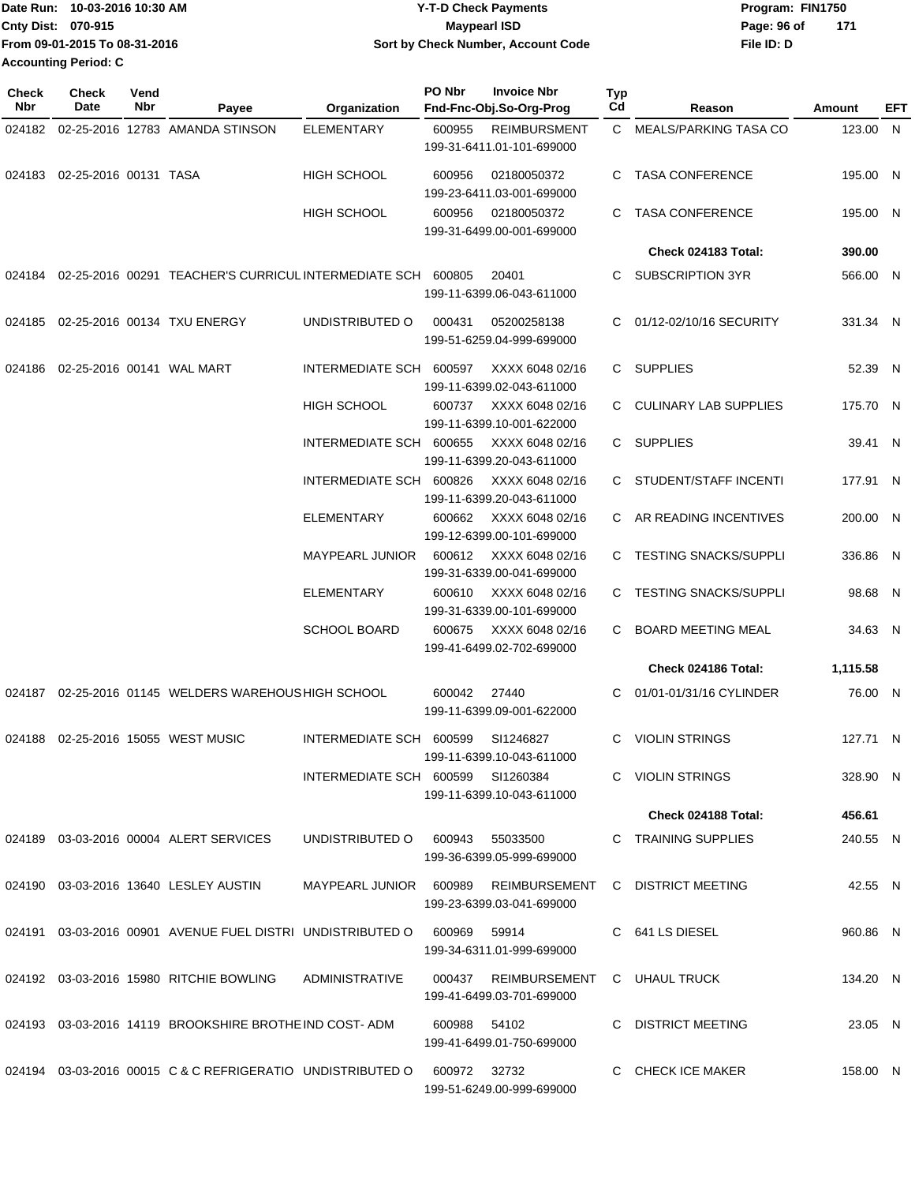| Date Run: 10-03-2016 10:30 AM | <b>Y-T-D Check Payments</b>                | Program: FIN1750   |  |  |
|-------------------------------|--------------------------------------------|--------------------|--|--|
| Cnty Dist: 070-915            | Maypearl ISD                               | 171<br>Page: 96 of |  |  |
| From 09-01-2015 To 08-31-2016 | Sort by Check Number, Account Code         | File ID: D         |  |  |
| Accounting Period: C          |                                            |                    |  |  |
| <b>Check</b><br>Check<br>Vend | <b>PO Nbr</b><br><b>Invoice Nbr</b><br>Tvo |                    |  |  |

| Check<br><b>Nbr</b> | <b>Check</b><br>Date                | Vend<br>Nbr | Payee                                                                  | Organization                      | PO Nbr       | <b>Invoice Nbr</b><br>Fnd-Fnc-Obj.So-Org-Prog     | <b>Typ</b><br>$_{\rm Cd}$ | Reason                       | Amount   | EFT |
|---------------------|-------------------------------------|-------------|------------------------------------------------------------------------|-----------------------------------|--------------|---------------------------------------------------|---------------------------|------------------------------|----------|-----|
| 024182              |                                     |             | 02-25-2016 12783 AMANDA STINSON                                        | <b>ELEMENTARY</b>                 | 600955       | <b>REIMBURSMENT</b><br>199-31-6411.01-101-699000  |                           | C MEALS/PARKING TASA CO      | 123.00   | N.  |
| 024183              | 02-25-2016 00131 TASA               |             |                                                                        | <b>HIGH SCHOOL</b>                | 600956       | 02180050372<br>199-23-6411.03-001-699000          | C.                        | <b>TASA CONFERENCE</b>       | 195.00 N |     |
|                     |                                     |             |                                                                        | HIGH SCHOOL                       | 600956       | 02180050372<br>199-31-6499.00-001-699000          |                           | <b>TASA CONFERENCE</b>       | 195.00 N |     |
|                     |                                     |             |                                                                        |                                   |              |                                                   |                           | Check 024183 Total:          | 390.00   |     |
|                     |                                     |             | 024184  02-25-2016  00291  TEACHER'S CURRICUL INTERMEDIATE SCH  600805 |                                   |              | 20401<br>199-11-6399.06-043-611000                |                           | <b>SUBSCRIPTION 3YR</b>      | 566.00 N |     |
| 024185              |                                     |             | 02-25-2016 00134 TXU ENERGY                                            | UNDISTRIBUTED O                   | 000431       | 05200258138<br>199-51-6259.04-999-699000          |                           | 01/12-02/10/16 SECURITY      | 331.34 N |     |
|                     | 024186  02-25-2016  00141  WAL MART |             |                                                                        | INTERMEDIATE SCH 600597           |              | XXXX 6048 02/16<br>199-11-6399.02-043-611000      | C.                        | <b>SUPPLIES</b>              | 52.39 N  |     |
|                     |                                     |             |                                                                        | <b>HIGH SCHOOL</b>                | 600737       | XXXX 6048 02/16<br>199-11-6399.10-001-622000      |                           | CULINARY LAB SUPPLIES        | 175.70 N |     |
|                     |                                     |             |                                                                        | INTERMEDIATE SCH 600655           |              | XXXX 6048 02/16<br>199-11-6399.20-043-611000      |                           | C SUPPLIES                   | 39.41 N  |     |
|                     |                                     |             |                                                                        | <b>INTERMEDIATE SCH</b>           | 600826       | XXXX 6048 02/16<br>199-11-6399.20-043-611000      |                           | C STUDENT/STAFF INCENTI      | 177.91 N |     |
|                     |                                     |             |                                                                        | <b>ELEMENTARY</b>                 | 600662       | XXXX 6048 02/16<br>199-12-6399.00-101-699000      |                           | C AR READING INCENTIVES      | 200.00 N |     |
|                     |                                     |             |                                                                        | <b>MAYPEARL JUNIOR</b>            | 600612       | XXXX 6048 02/16<br>199-31-6339.00-041-699000      |                           | C TESTING SNACKS/SUPPLI      | 336.86 N |     |
|                     |                                     |             |                                                                        | <b>ELEMENTARY</b>                 | 600610       | XXXX 6048 02/16<br>199-31-6339.00-101-699000      | C.                        | <b>TESTING SNACKS/SUPPLI</b> | 98.68 N  |     |
|                     |                                     |             |                                                                        | <b>SCHOOL BOARD</b>               | 600675       | XXXX 6048 02/16<br>199-41-6499.02-702-699000      | C.                        | <b>BOARD MEETING MEAL</b>    | 34.63 N  |     |
|                     |                                     |             |                                                                        |                                   |              |                                                   |                           | Check 024186 Total:          | 1,115.58 |     |
| 024187              |                                     |             | 02-25-2016 01145 WELDERS WAREHOUS HIGH SCHOOL                          |                                   | 600042       | 27440<br>199-11-6399.09-001-622000                |                           | 01/01-01/31/16 CYLINDER      | 76.00 N  |     |
| 024188              |                                     |             | 02-25-2016 15055 WEST MUSIC                                            | INTERMEDIATE SCH 600599           |              | SI1246827<br>199-11-6399.10-043-611000            | C                         | <b>VIOLIN STRINGS</b>        | 127.71 N |     |
|                     |                                     |             |                                                                        | INTERMEDIATE SCH 600599 SI1260384 |              | 199-11-6399.10-043-611000                         |                           | C VIOLIN STRINGS             | 328.90 N |     |
|                     |                                     |             |                                                                        |                                   |              |                                                   |                           | Check 024188 Total:          | 456.61   |     |
|                     |                                     |             | 024189  03-03-2016  00004  ALERT SERVICES                              | UNDISTRIBUTED O                   | 600943       | 55033500<br>199-36-6399.05-999-699000             |                           | C TRAINING SUPPLIES          | 240.55 N |     |
|                     |                                     |             | 024190 03-03-2016 13640 LESLEY AUSTIN                                  | MAYPEARL JUNIOR 600989            |              | REIMBURSEMENT<br>199-23-6399.03-041-699000        |                           | C DISTRICT MEETING           | 42.55 N  |     |
|                     |                                     |             |                                                                        |                                   | 600969       | 59914<br>199-34-6311.01-999-699000                |                           | C 641 LS DIESEL              | 960.86 N |     |
|                     |                                     |             | 024192 03-03-2016 15980 RITCHIE BOWLING                                | ADMINISTRATIVE                    |              | 000437 REIMBURSEMENT<br>199-41-6499.03-701-699000 |                           | C UHAUL TRUCK                | 134.20 N |     |
|                     |                                     |             | 024193 03-03-2016 14119 BROOKSHIRE BROTHE IND COST-ADM                 |                                   | 600988 54102 | 199-41-6499.01-750-699000                         |                           | C DISTRICT MEETING           | 23.05 N  |     |
|                     |                                     |             | 024194 03-03-2016 00015 C & C REFRIGERATIO UNDISTRIBUTED O             |                                   | 600972 32732 | 199-51-6249.00-999-699000                         |                           | C CHECK ICE MAKER            | 158.00 N |     |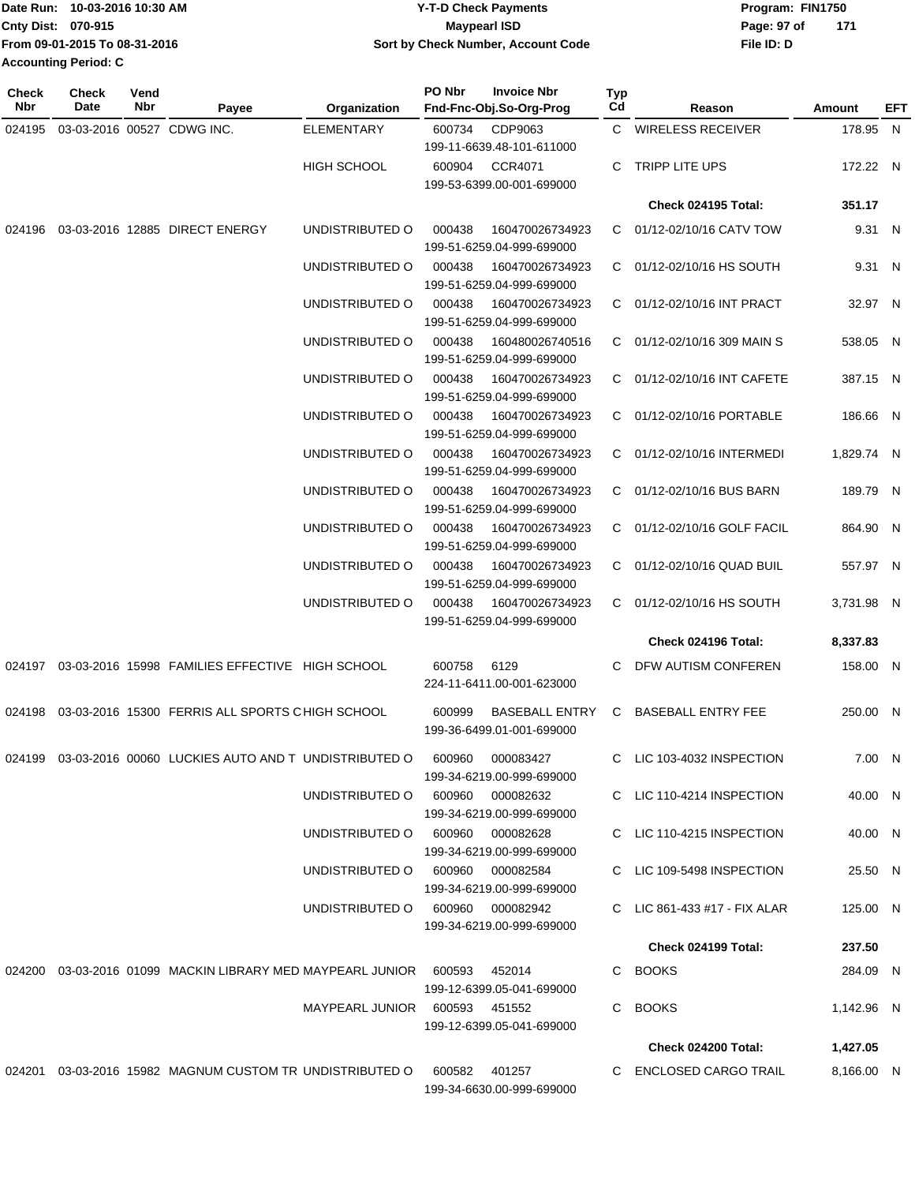|                             | Date Run: 10-03-2016 10:30 AM | <b>Y-T-D Check Payments</b>        | Program: FIN1750 |     |  |
|-----------------------------|-------------------------------|------------------------------------|------------------|-----|--|
| Cnty Dist: 070-915          |                               | <b>Mavpearl ISD</b>                | Page: 97 of      | 171 |  |
|                             | From 09-01-2015 To 08-31-2016 | Sort by Check Number, Account Code | File ID: D       |     |  |
| <b>Accounting Period: C</b> |                               |                                    |                  |     |  |

| <b>Check</b><br>Nbr | Check<br>Date              | Vend<br>Nbr | Payee                                                                         | Organization                     | PO Nbr | <b>Invoice Nbr</b><br>Fnd-Fnc-Obj.So-Org-Prog      | Typ<br>Cd | Reason                       | Amount     | EFT |
|---------------------|----------------------------|-------------|-------------------------------------------------------------------------------|----------------------------------|--------|----------------------------------------------------|-----------|------------------------------|------------|-----|
| 024195              | 03-03-2016 00527 CDWG INC. |             |                                                                               | <b>ELEMENTARY</b>                | 600734 | CDP9063<br>199-11-6639.48-101-611000               |           | C WIRELESS RECEIVER          | 178.95 N   |     |
|                     |                            |             |                                                                               | <b>HIGH SCHOOL</b>               | 600904 | <b>CCR4071</b><br>199-53-6399.00-001-699000        | C         | TRIPP LITE UPS               | 172.22 N   |     |
|                     |                            |             |                                                                               |                                  |        |                                                    |           | <b>Check 024195 Total:</b>   | 351.17     |     |
| 024196              |                            |             | 03-03-2016 12885 DIRECT ENERGY                                                | UNDISTRIBUTED O                  | 000438 | 160470026734923<br>199-51-6259.04-999-699000       |           | C 01/12-02/10/16 CATV TOW    | 9.31 N     |     |
|                     |                            |             |                                                                               | UNDISTRIBUTED O                  | 000438 | 160470026734923<br>199-51-6259.04-999-699000       |           | C 01/12-02/10/16 HS SOUTH    | 9.31 N     |     |
|                     |                            |             |                                                                               | UNDISTRIBUTED O                  | 000438 | 160470026734923<br>199-51-6259.04-999-699000       |           | C 01/12-02/10/16 INT PRACT   | 32.97 N    |     |
|                     |                            |             |                                                                               | UNDISTRIBUTED O                  | 000438 | 160480026740516<br>199-51-6259.04-999-699000       |           | C 01/12-02/10/16 309 MAIN S  | 538.05 N   |     |
|                     |                            |             |                                                                               | UNDISTRIBUTED O                  | 000438 | 160470026734923<br>199-51-6259.04-999-699000       |           | C 01/12-02/10/16 INT CAFETE  | 387.15 N   |     |
|                     |                            |             |                                                                               | UNDISTRIBUTED O                  | 000438 | 160470026734923<br>199-51-6259.04-999-699000       |           | C 01/12-02/10/16 PORTABLE    | 186.66 N   |     |
|                     |                            |             |                                                                               | UNDISTRIBUTED O                  | 000438 | 160470026734923<br>199-51-6259.04-999-699000       |           | C 01/12-02/10/16 INTERMEDI   | 1,829.74 N |     |
|                     |                            |             |                                                                               | UNDISTRIBUTED O                  | 000438 | 160470026734923<br>199-51-6259.04-999-699000       |           | C 01/12-02/10/16 BUS BARN    | 189.79 N   |     |
|                     |                            |             |                                                                               | UNDISTRIBUTED O                  | 000438 | 160470026734923<br>199-51-6259.04-999-699000       |           | C 01/12-02/10/16 GOLF FACIL  | 864.90 N   |     |
|                     |                            |             |                                                                               | UNDISTRIBUTED O                  | 000438 | 160470026734923<br>199-51-6259.04-999-699000       |           | C 01/12-02/10/16 QUAD BUIL   | 557.97 N   |     |
|                     |                            |             |                                                                               | UNDISTRIBUTED O                  | 000438 | 160470026734923<br>199-51-6259.04-999-699000       |           | C 01/12-02/10/16 HS SOUTH    | 3,731.98 N |     |
|                     |                            |             |                                                                               |                                  |        |                                                    |           | Check 024196 Total:          | 8,337.83   |     |
| 024197              |                            |             | 03-03-2016 15998 FAMILIES EFFECTIVE HIGH SCHOOL                               |                                  | 600758 | 6129<br>224-11-6411.00-001-623000                  | C         | DFW AUTISM CONFEREN          | 158.00 N   |     |
| 024198              |                            |             | 03-03-2016 15300 FERRIS ALL SPORTS CHIGH SCHOOL                               |                                  | 600999 | <b>BASEBALL ENTRY</b><br>199-36-6499.01-001-699000 | C.        | <b>BASEBALL ENTRY FEE</b>    | 250.00 N   |     |
|                     |                            |             | 024199 03-03-2016 00060 LUCKIES AUTO AND T UNDISTRIBUTED O                    |                                  | 600960 | 000083427<br>199-34-6219.00-999-699000             |           | C LIC 103-4032 INSPECTION    | 7.00 N     |     |
|                     |                            |             |                                                                               | UNDISTRIBUTED O                  |        | 600960 000082632<br>199-34-6219.00-999-699000      |           | C LIC 110-4214 INSPECTION    | 40.00 N    |     |
|                     |                            |             |                                                                               | UNDISTRIBUTED O 600960 000082628 |        | 199-34-6219.00-999-699000                          |           | C LIC 110-4215 INSPECTION    | 40.00 N    |     |
|                     |                            |             |                                                                               | UNDISTRIBUTED O 600960 000082584 |        | 199-34-6219.00-999-699000                          |           | C LIC 109-5498 INSPECTION    | 25.50 N    |     |
|                     |                            |             |                                                                               | UNDISTRIBUTED O 600960 000082942 |        | 199-34-6219.00-999-699000                          |           | C LIC 861-433 #17 - FIX ALAR | 125.00 N   |     |
|                     |                            |             |                                                                               |                                  |        |                                                    |           | <b>Check 024199 Total:</b>   | 237.50     |     |
|                     |                            |             | 024200  03-03-2016  01099  MACKIN LIBRARY MED MAYPEARL JUNIOR  600593  452014 |                                  |        | 199-12-6399.05-041-699000                          |           | C BOOKS                      | 284.09 N   |     |
|                     |                            |             |                                                                               | MAYPEARL JUNIOR 600593 451552    |        | 199-12-6399.05-041-699000                          |           | C BOOKS                      | 1,142.96 N |     |
|                     |                            |             |                                                                               |                                  |        |                                                    |           | Check 024200 Total:          | 1,427.05   |     |
|                     |                            |             | 024201  03-03-2016  15982  MAGNUM CUSTOM TR UNDISTRIBUTED O                   |                                  | 600582 | 401257<br>199-34-6630.00-999-699000                |           | C ENCLOSED CARGO TRAIL       | 8,166.00 N |     |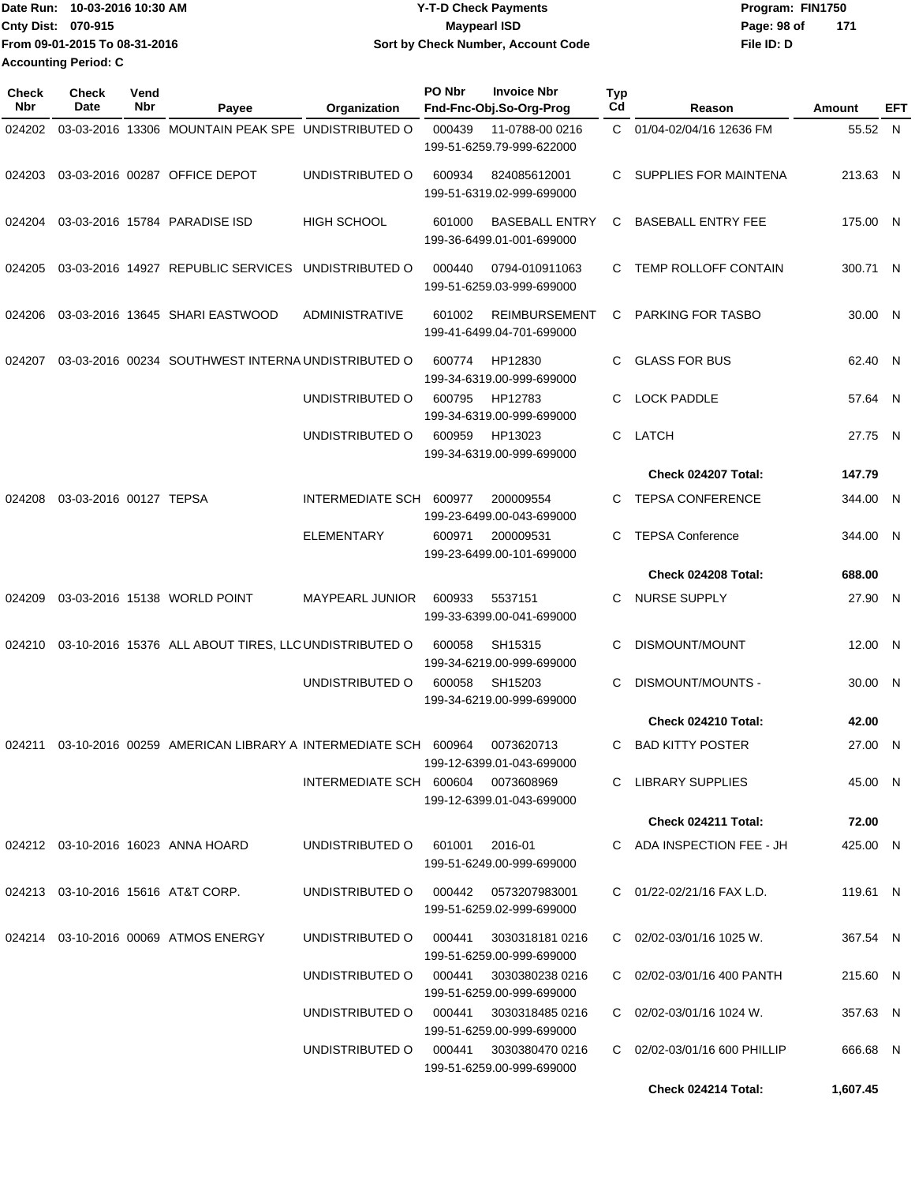| Date Run: 10-03-2016 10:30 AM |                               | <b>Y-T-D Check Payments</b>        | Program: FIN1750   |  |  |  |
|-------------------------------|-------------------------------|------------------------------------|--------------------|--|--|--|
| <b>Cnty Dist: 070-915</b>     |                               | <b>Mavpearl ISD</b>                | Page: 98 of<br>171 |  |  |  |
|                               | From 09-01-2015 To 08-31-2016 | Sort by Check Number, Account Code | File ID: D         |  |  |  |
| <b>Accounting Period: C</b>   |                               |                                    |                    |  |  |  |

| <b>Check</b><br>Nbr | <b>Check</b><br>Date   | Vend<br>Nbr | Payee                                                       | Organization                         | PO Nbr | <b>Invoice Nbr</b><br>Fnd-Fnc-Obj.So-Org-Prog       | Typ<br>Cd    | Reason                         | Amount   | EFT |
|---------------------|------------------------|-------------|-------------------------------------------------------------|--------------------------------------|--------|-----------------------------------------------------|--------------|--------------------------------|----------|-----|
| 024202              |                        |             | 03-03-2016 13306 MOUNTAIN PEAK SPE UNDISTRIBUTED O          |                                      | 000439 | 11-0788-00 0216<br>199-51-6259.79-999-622000        | $\mathbf{C}$ | 01/04-02/04/16 12636 FM        | 55.52 N  |     |
| 024203              |                        |             | 03-03-2016 00287 OFFICE DEPOT                               | UNDISTRIBUTED O                      | 600934 | 824085612001<br>199-51-6319.02-999-699000           | C.           | SUPPLIES FOR MAINTENA          | 213.63 N |     |
| 024204              |                        |             | 03-03-2016 15784 PARADISE ISD                               | <b>HIGH SCHOOL</b>                   | 601000 | <b>BASEBALL ENTRY</b><br>199-36-6499.01-001-699000  | C            | <b>BASEBALL ENTRY FEE</b>      | 175.00 N |     |
| 024205              |                        |             | 03-03-2016 14927 REPUBLIC SERVICES                          | UNDISTRIBUTED O                      | 000440 | 0794-010911063<br>199-51-6259.03-999-699000         | C.           | TEMP ROLLOFF CONTAIN           | 300.71 N |     |
| 024206              |                        |             | 03-03-2016 13645 SHARI EASTWOOD                             | ADMINISTRATIVE                       | 601002 | <b>REIMBURSEMENT</b><br>199-41-6499.04-701-699000   | C            | <b>PARKING FOR TASBO</b>       | 30.00 N  |     |
| 024207              |                        |             | 03-03-2016 00234 SOUTHWEST INTERNA UNDISTRIBUTED O          |                                      | 600774 | HP12830<br>199-34-6319.00-999-699000                | C.           | <b>GLASS FOR BUS</b>           | 62.40 N  |     |
|                     |                        |             |                                                             | UNDISTRIBUTED O                      | 600795 | HP12783<br>199-34-6319.00-999-699000                | C.           | <b>LOCK PADDLE</b>             | 57.64 N  |     |
|                     |                        |             |                                                             | UNDISTRIBUTED O                      | 600959 | HP13023<br>199-34-6319.00-999-699000                | C.           | LATCH                          | 27.75 N  |     |
|                     |                        |             |                                                             |                                      |        |                                                     |              | Check 024207 Total:            | 147.79   |     |
| 024208              | 03-03-2016 00127 TEPSA |             |                                                             | <b>INTERMEDIATE SCH</b>              | 600977 | 200009554<br>199-23-6499.00-043-699000              | $\mathbf{C}$ | <b>TEPSA CONFERENCE</b>        | 344.00 N |     |
|                     |                        |             |                                                             | <b>ELEMENTARY</b>                    | 600971 | 200009531<br>199-23-6499.00-101-699000              | C.           | <b>TEPSA Conference</b>        | 344.00 N |     |
|                     |                        |             |                                                             |                                      |        |                                                     |              | Check 024208 Total:            | 688.00   |     |
| 024209              |                        |             | 03-03-2016 15138 WORLD POINT                                | <b>MAYPEARL JUNIOR</b>               | 600933 | 5537151<br>199-33-6399.00-041-699000                | C.           | <b>NURSE SUPPLY</b>            | 27.90 N  |     |
| 024210              |                        |             | 03-10-2016 15376 ALL ABOUT TIRES, LLC UNDISTRIBUTED O       |                                      | 600058 | SH15315<br>199-34-6219.00-999-699000                | C            | DISMOUNT/MOUNT                 | 12.00 N  |     |
|                     |                        |             |                                                             | UNDISTRIBUTED O                      | 600058 | SH15203<br>199-34-6219.00-999-699000                | C            | DISMOUNT/MOUNTS -              | 30.00 N  |     |
|                     |                        |             |                                                             |                                      |        |                                                     |              | Check 024210 Total:            | 42.00    |     |
| 024211              |                        |             | 03-10-2016 00259 AMERICAN LIBRARY A INTERMEDIATE SCH 600964 |                                      |        | 0073620713<br>199-12-6399.01-043-699000             | C            | <b>BAD KITTY POSTER</b>        | 27.00 N  |     |
|                     |                        |             |                                                             | INTERMEDIATE SCH 600604 0073608969   |        | 199-12-6399.01-043-699000                           |              | C LIBRARY SUPPLIES             | 45.00 N  |     |
|                     |                        |             |                                                             |                                      |        |                                                     |              | Check 024211 Total:            | 72.00    |     |
|                     |                        |             | 024212 03-10-2016 16023 ANNA HOARD                          | UNDISTRIBUTED O                      | 601001 | 2016-01<br>199-51-6249.00-999-699000                |              | C ADA INSPECTION FEE - JH      | 425.00 N |     |
|                     |                        |             | 024213 03-10-2016 15616 AT&T CORP.                          | UNDISTRIBUTED O 000442 0573207983001 |        | 199-51-6259.02-999-699000                           |              | C 01/22-02/21/16 FAX L.D.      | 119.61 N |     |
|                     |                        |             | 024214 03-10-2016 00069 ATMOS ENERGY                        | UNDISTRIBUTED O                      | 000441 | 3030318181 0216<br>199-51-6259.00-999-699000        |              | $C = 02/02 - 03/01/16$ 1025 W. | 367.54 N |     |
|                     |                        |             |                                                             | UNDISTRIBUTED O                      |        | 000441 3030380238 0216<br>199-51-6259.00-999-699000 |              | C 02/02-03/01/16 400 PANTH     | 215.60 N |     |
|                     |                        |             |                                                             | UNDISTRIBUTED O                      |        | 000441 3030318485 0216<br>199-51-6259.00-999-699000 |              | $C = 02/02 - 03/01/1611024$ W. | 357.63 N |     |
|                     |                        |             |                                                             | UNDISTRIBUTED O                      | 000441 | 3030380470 0216<br>199-51-6259.00-999-699000        |              | C 02/02-03/01/16 600 PHILLIP   | 666.68 N |     |
|                     |                        |             |                                                             |                                      |        |                                                     |              | Check 024214 Total:            | 1,607.45 |     |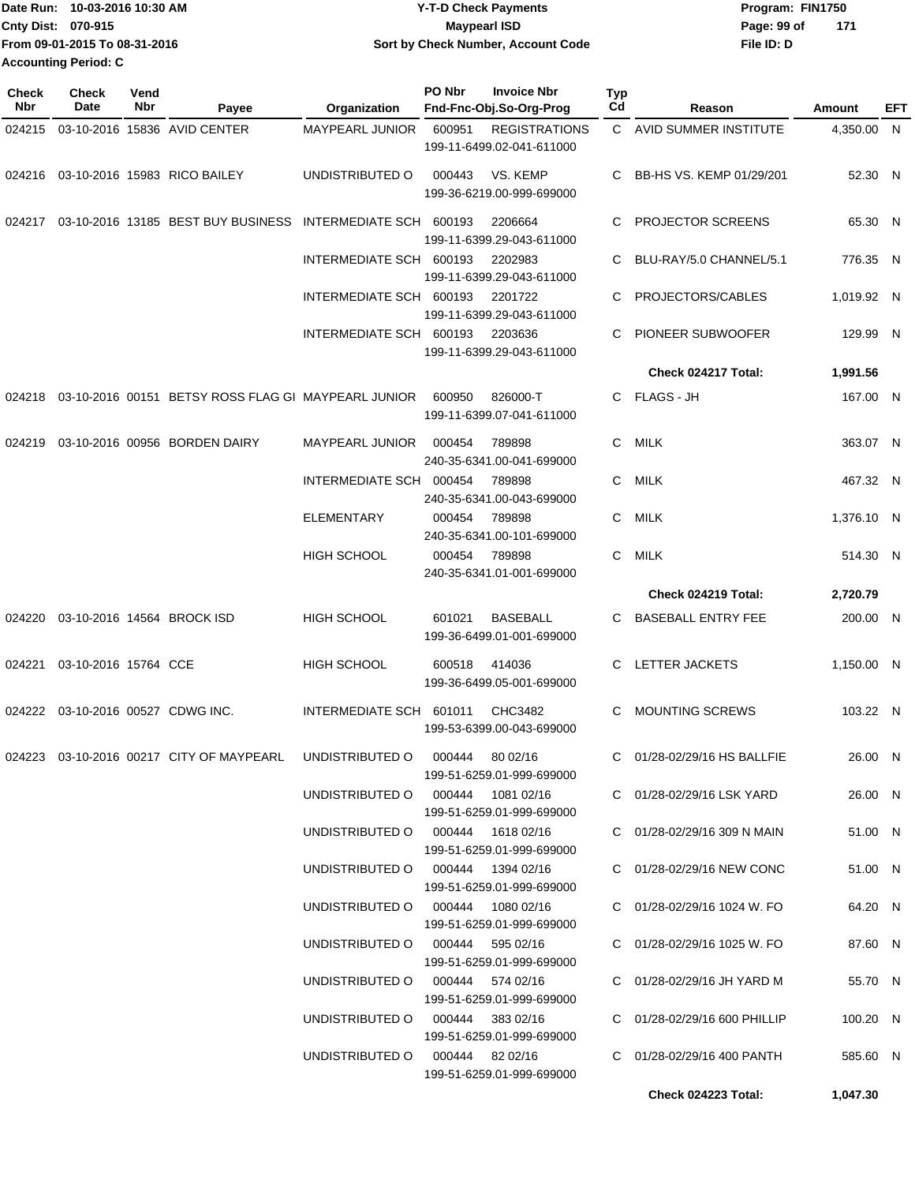| Date Run: 10-03-2016 10:30 AM | <b>Y-T-D Check Payments</b>        | Program: FIN1750   |  |  |  |
|-------------------------------|------------------------------------|--------------------|--|--|--|
| Cnty Dist: 070-915            | <b>Mavpearl ISD</b>                | 171<br>Page: 99 of |  |  |  |
| From 09-01-2015 To 08-31-2016 | Sort by Check Number, Account Code | File ID: D         |  |  |  |
| Accounting Period: C          |                                    |                    |  |  |  |

| <b>Check</b><br><b>Nbr</b> | Check<br>Date              | Vend<br>Nbr | Payee                                                                    | Organization                                                         | PO Nbr | <b>Invoice Nbr</b><br>Fnd-Fnc-Obj.So-Org-Prog     | Typ<br>Cd | Reason                                                     | Amount              | EFT |
|----------------------------|----------------------------|-------------|--------------------------------------------------------------------------|----------------------------------------------------------------------|--------|---------------------------------------------------|-----------|------------------------------------------------------------|---------------------|-----|
| 024215                     |                            |             | 03-10-2016 15836 AVID CENTER                                             | <b>MAYPEARL JUNIOR</b>                                               | 600951 | <b>REGISTRATIONS</b><br>199-11-6499.02-041-611000 |           | C AVID SUMMER INSTITUTE                                    | 4,350.00 N          |     |
|                            |                            |             | 024216  03-10-2016  15983  RICO BAILEY                                   | UNDISTRIBUTED O                                                      | 000443 | VS. KEMP<br>199-36-6219.00-999-699000             | С         | BB-HS VS. KEMP 01/29/201                                   | 52.30 N             |     |
| 024217                     |                            |             | 03-10-2016 13185 BEST BUY BUSINESS                                       | INTERMEDIATE SCH 600193                                              |        | 2206664<br>199-11-6399.29-043-611000              | С         | PROJECTOR SCREENS                                          | 65.30 N             |     |
|                            |                            |             |                                                                          | INTERMEDIATE SCH 600193                                              |        | 2202983<br>199-11-6399.29-043-611000              | С         | BLU-RAY/5.0 CHANNEL/5.1                                    | 776.35 N            |     |
|                            |                            |             |                                                                          | INTERMEDIATE SCH 600193                                              |        | 2201722<br>199-11-6399.29-043-611000              | С         | PROJECTORS/CABLES                                          | 1.019.92 N          |     |
|                            |                            |             |                                                                          | INTERMEDIATE SCH 600193                                              |        | 2203636<br>199-11-6399.29-043-611000              | С         | PIONEER SUBWOOFER                                          | 129.99 N            |     |
|                            |                            |             |                                                                          |                                                                      |        |                                                   |           | Check 024217 Total:                                        | 1,991.56            |     |
| 024218                     |                            |             | 03-10-2016 00151 BETSY ROSS FLAG GI MAYPEARL JUNIOR                      |                                                                      | 600950 | 826000-T<br>199-11-6399.07-041-611000             |           | C FLAGS-JH                                                 | 167.00 N            |     |
| 024219                     |                            |             | 03-10-2016 00956 BORDEN DAIRY                                            | <b>MAYPEARL JUNIOR</b>                                               | 000454 | 789898<br>240-35-6341.00-041-699000               | С         | <b>MILK</b>                                                | 363.07 N            |     |
|                            |                            |             |                                                                          | INTERMEDIATE SCH                                                     | 000454 | 789898<br>240-35-6341.00-043-699000               | С         | <b>MILK</b>                                                | 467.32 N            |     |
|                            |                            |             |                                                                          | <b>ELEMENTARY</b>                                                    | 000454 | 789898<br>240-35-6341.00-101-699000               | С         | MILK                                                       | 1,376.10 N          |     |
|                            |                            |             |                                                                          | <b>HIGH SCHOOL</b>                                                   | 000454 | 789898<br>240-35-6341.01-001-699000               | С         | <b>MILK</b>                                                | 514.30 N            |     |
|                            |                            |             |                                                                          |                                                                      |        |                                                   |           | Check 024219 Total:                                        | 2,720.79            |     |
| 024220                     |                            |             | 03-10-2016 14564 BROCK ISD                                               | <b>HIGH SCHOOL</b>                                                   | 601021 | <b>BASEBALL</b><br>199-36-6499.01-001-699000      | С         | <b>BASEBALL ENTRY FEE</b>                                  | 200.00 N            |     |
| 024221                     | 03-10-2016 15764 CCE       |             |                                                                          | <b>HIGH SCHOOL</b>                                                   | 600518 | 414036<br>199-36-6499.05-001-699000               | С         | LETTER JACKETS                                             | 1,150.00 N          |     |
| 024222                     | 03-10-2016 00527 CDWG INC. |             |                                                                          | INTERMEDIATE SCH                                                     | 601011 | CHC3482<br>199-53-6399.00-043-699000              | C         | <b>MOUNTING SCREWS</b>                                     | 103.22 N            |     |
|                            |                            |             | 024223 03-10-2016 00217 CITY OF MAYPEARL UNDISTRIBUTED O 000444 80 02/16 |                                                                      |        | 199-51-6259.01-999-699000                         |           | C 01/28-02/29/16 HS BALLFIE                                | 26.00 N             |     |
|                            |                            |             |                                                                          | UNDISTRIBUTED O 000444 1081 02/16                                    |        | 199-51-6259.01-999-699000                         |           | C 01/28-02/29/16 LSK YARD                                  | 26.00 N             |     |
|                            |                            |             |                                                                          | UNDISTRIBUTED O 000444 1618 02/16                                    |        | 199-51-6259.01-999-699000                         |           | C 01/28-02/29/16 309 N MAIN                                | 51.00 N             |     |
|                            |                            |             |                                                                          | UNDISTRIBUTED O 000444 1394 02/16                                    |        | 199-51-6259.01-999-699000                         |           | C 01/28-02/29/16 NEW CONC                                  | 51.00 N             |     |
|                            |                            |             |                                                                          | UNDISTRIBUTED O   000444  1080 02/16                                 |        | 199-51-6259.01-999-699000                         |           | $C = 01/28 - 02/29/16$ 1024 W. FO                          | 64.20 N             |     |
|                            |                            |             |                                                                          | UNDISTRIBUTED O 000444 595 02/16                                     |        | 199-51-6259.01-999-699000                         |           | C 01/28-02/29/16 1025 W. FO                                | 87.60 N             |     |
|                            |                            |             |                                                                          | UNDISTRIBUTED O 000444 574 02/16<br>UNDISTRIBUTED O 000444 383 02/16 |        | 199-51-6259.01-999-699000                         |           | C 01/28-02/29/16 JH YARD M<br>C 01/28-02/29/16 600 PHILLIP | 55.70 N<br>100.20 N |     |
|                            |                            |             |                                                                          | UNDISTRIBUTED 0 000444 82 02/16                                      |        | 199-51-6259.01-999-699000                         |           | C 01/28-02/29/16 400 PANTH                                 | 585.60 N            |     |
|                            |                            |             |                                                                          |                                                                      |        | 199-51-6259.01-999-699000                         |           |                                                            |                     |     |
|                            |                            |             |                                                                          |                                                                      |        |                                                   |           | <b>Check 024223 Total:</b>                                 | 1,047.30            |     |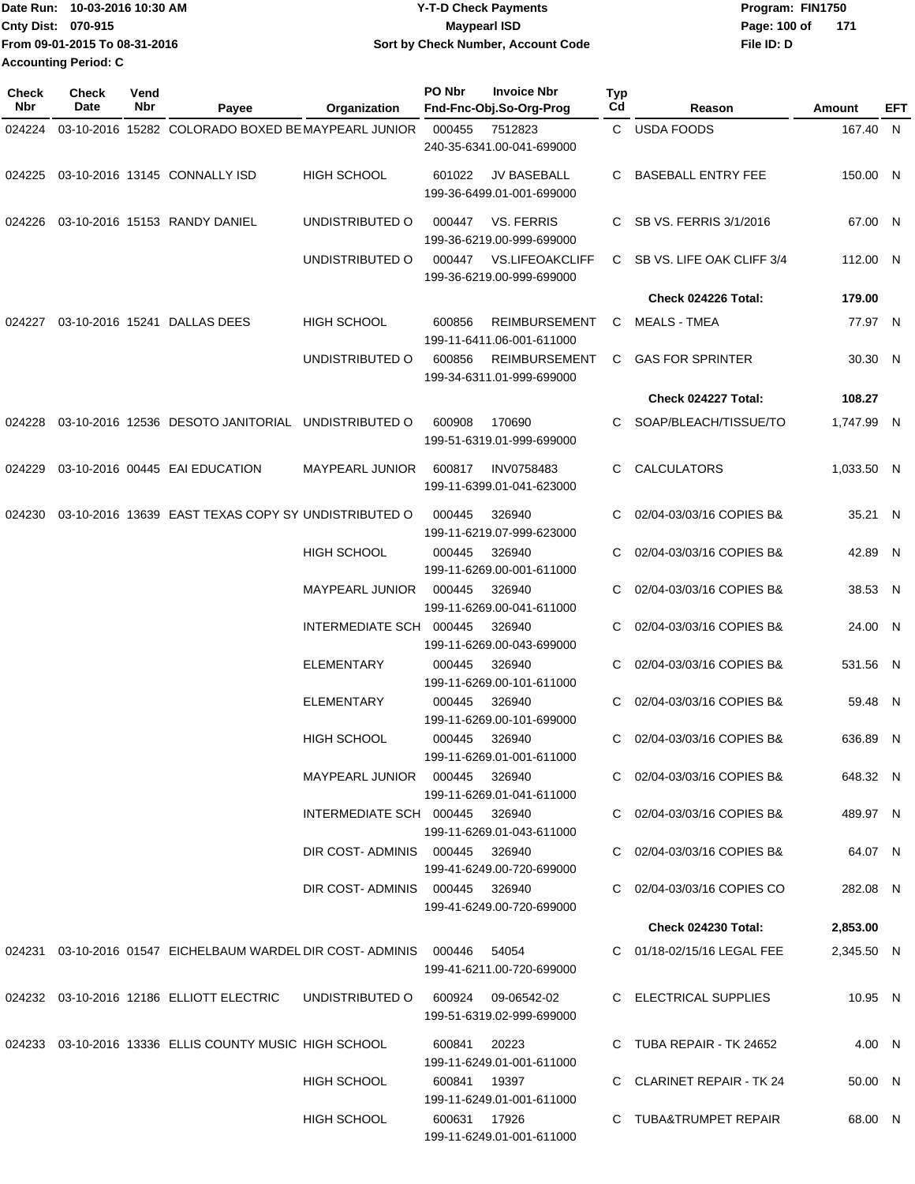| lDate Run: 10-03-2016 10:30 AM | <b>Y-T-D Check Payments</b>        | Program: FIN1750    |  |  |  |
|--------------------------------|------------------------------------|---------------------|--|--|--|
| <b>Cnty Dist: 070-915</b>      | <b>Mavpearl ISD</b>                | 171<br>Page: 100 of |  |  |  |
| From 09-01-2015 To 08-31-2016  | Sort by Check Number, Account Code | File ID: D          |  |  |  |
| <b>Accounting Period: C</b>    |                                    |                     |  |  |  |

| Check<br>Nbr | Check<br>Date | Vend<br>Nbr | Payee                                                                         | Organization                   | PO Nbr                              | <b>Invoice Nbr</b><br>Fnd-Fnc-Obj.So-Org-Prog       | <b>Typ</b><br>Cd         | Reason                      | Amount     | EFT |
|--------------|---------------|-------------|-------------------------------------------------------------------------------|--------------------------------|-------------------------------------|-----------------------------------------------------|--------------------------|-----------------------------|------------|-----|
| 024224       |               |             | 03-10-2016 15282 COLORADO BOXED BE MAYPEARL JUNIOR                            |                                | 000455                              | 7512823                                             |                          | C USDA FOODS                | 167.40 N   |     |
|              |               |             |                                                                               |                                |                                     | 240-35-6341.00-041-699000                           |                          |                             |            |     |
| 024225       |               |             | 03-10-2016 13145 CONNALLY ISD                                                 | <b>HIGH SCHOOL</b>             | 601022                              | <b>JV BASEBALL</b><br>199-36-6499.01-001-699000     | C.                       | <b>BASEBALL ENTRY FEE</b>   | 150.00 N   |     |
| 024226       |               |             | 03-10-2016 15153 RANDY DANIEL                                                 | UNDISTRIBUTED O                | 000447                              | <b>VS. FERRIS</b><br>199-36-6219.00-999-699000      | C.                       | SB VS. FERRIS 3/1/2016      | 67.00 N    |     |
|              |               |             |                                                                               | UNDISTRIBUTED O                | 000447                              | <b>VS.LIFEOAKCLIFF</b><br>199-36-6219.00-999-699000 |                          | C SB VS. LIFE OAK CLIFF 3/4 | 112.00 N   |     |
|              |               |             |                                                                               |                                |                                     |                                                     |                          | Check 024226 Total:         | 179.00     |     |
| 024227       |               |             | 03-10-2016 15241 DALLAS DEES                                                  | <b>HIGH SCHOOL</b>             | 600856                              | <b>REIMBURSEMENT</b><br>199-11-6411.06-001-611000   | C                        | <b>MEALS - TMEA</b>         | 77.97 N    |     |
|              |               |             |                                                                               | UNDISTRIBUTED O                | 600856                              | <b>REIMBURSEMENT</b><br>199-34-6311.01-999-699000   | C.                       | <b>GAS FOR SPRINTER</b>     | 30.30 N    |     |
|              |               |             |                                                                               |                                |                                     |                                                     |                          | Check 024227 Total:         | 108.27     |     |
| 024228       |               |             | 03-10-2016 12536 DESOTO JANITORIAL UNDISTRIBUTED O                            |                                | 600908                              | 170690<br>199-51-6319.01-999-699000                 | C.                       | SOAP/BLEACH/TISSUE/TO       | 1,747.99 N |     |
| 024229       |               |             | 03-10-2016 00445 EAI EDUCATION                                                | <b>MAYPEARL JUNIOR</b>         | 600817                              | <b>INV0758483</b><br>199-11-6399.01-041-623000      | C.                       | <b>CALCULATORS</b>          | 1,033.50 N |     |
| 024230       |               |             | 03-10-2016 13639 EAST TEXAS COPY SY UNDISTRIBUTED O                           |                                | 000445                              | 326940<br>199-11-6219.07-999-623000                 | C.                       | 02/04-03/03/16 COPIES B&    | 35.21 N    |     |
|              |               |             |                                                                               | HIGH SCHOOL                    | 000445                              | 326940<br>199-11-6269.00-001-611000                 | C                        | 02/04-03/03/16 COPIES B&    | 42.89 N    |     |
|              |               |             | <b>MAYPEARL JUNIOR</b>                                                        | 000445                         | 326940<br>199-11-6269.00-041-611000 | C                                                   | 02/04-03/03/16 COPIES B& | 38.53 N                     |            |     |
|              |               |             |                                                                               | INTERMEDIATE SCH               | 000445                              | 326940<br>199-11-6269.00-043-699000                 | C                        | 02/04-03/03/16 COPIES B&    | 24.00 N    |     |
|              |               |             |                                                                               | <b>ELEMENTARY</b>              | 000445                              | 326940<br>199-11-6269.00-101-611000                 | C                        | 02/04-03/03/16 COPIES B&    | 531.56 N   |     |
|              |               |             |                                                                               | <b>ELEMENTARY</b>              | 000445                              | 326940<br>199-11-6269.00-101-699000                 | C                        | 02/04-03/03/16 COPIES B&    | 59.48 N    |     |
|              |               |             |                                                                               | <b>HIGH SCHOOL</b>             | 000445                              | 326940<br>199-11-6269.01-001-611000                 | C.                       | 02/04-03/03/16 COPIES B&    | 636.89 N   |     |
|              |               |             |                                                                               | MAYPEARL JUNIOR 000445 326940  |                                     | 199-11-6269.01-041-611000                           |                          | C 02/04-03/03/16 COPIES B&  | 648.32 N   |     |
|              |               |             |                                                                               | INTERMEDIATE SCH 000445 326940 |                                     | 199-11-6269.01-043-611000                           |                          | C 02/04-03/03/16 COPIES B&  | 489.97 N   |     |
|              |               |             |                                                                               | DIR COST-ADMINIS 000445 326940 |                                     | 199-41-6249.00-720-699000                           |                          | C 02/04-03/03/16 COPIES B&  | 64.07 N    |     |
|              |               |             |                                                                               | DIR COST-ADMINIS 000445 326940 |                                     | 199-41-6249.00-720-699000                           |                          | C 02/04-03/03/16 COPIES CO  | 282.08 N   |     |
|              |               |             |                                                                               |                                |                                     |                                                     |                          | Check 024230 Total:         | 2,853.00   |     |
|              |               |             | 024231  03-10-2016  01547  EICHELBAUM WARDEL DIR COST- ADMINIS  000446  54054 |                                |                                     | 199-41-6211.00-720-699000                           |                          | C 01/18-02/15/16 LEGAL FEE  | 2,345.50 N |     |
|              |               |             | 024232 03-10-2016 12186 ELLIOTT ELECTRIC                                      |                                |                                     | 199-51-6319.02-999-699000                           |                          | C ELECTRICAL SUPPLIES       | 10.95 N    |     |
|              |               |             | 024233 03-10-2016 13336 ELLIS COUNTY MUSIC HIGH SCHOOL                        |                                | 600841 20223                        | 199-11-6249.01-001-611000                           |                          | C TUBA REPAIR - TK 24652    | 4.00 N     |     |
|              |               |             |                                                                               | <b>HIGH SCHOOL</b>             | 600841 19397                        | 199-11-6249.01-001-611000                           |                          | C CLARINET REPAIR - TK 24   | 50.00 N    |     |
|              |               |             |                                                                               | HIGH SCHOOL                    | 600631 17926                        | 199-11-6249.01-001-611000                           |                          | C TUBA&TRUMPET REPAIR       | 68.00 N    |     |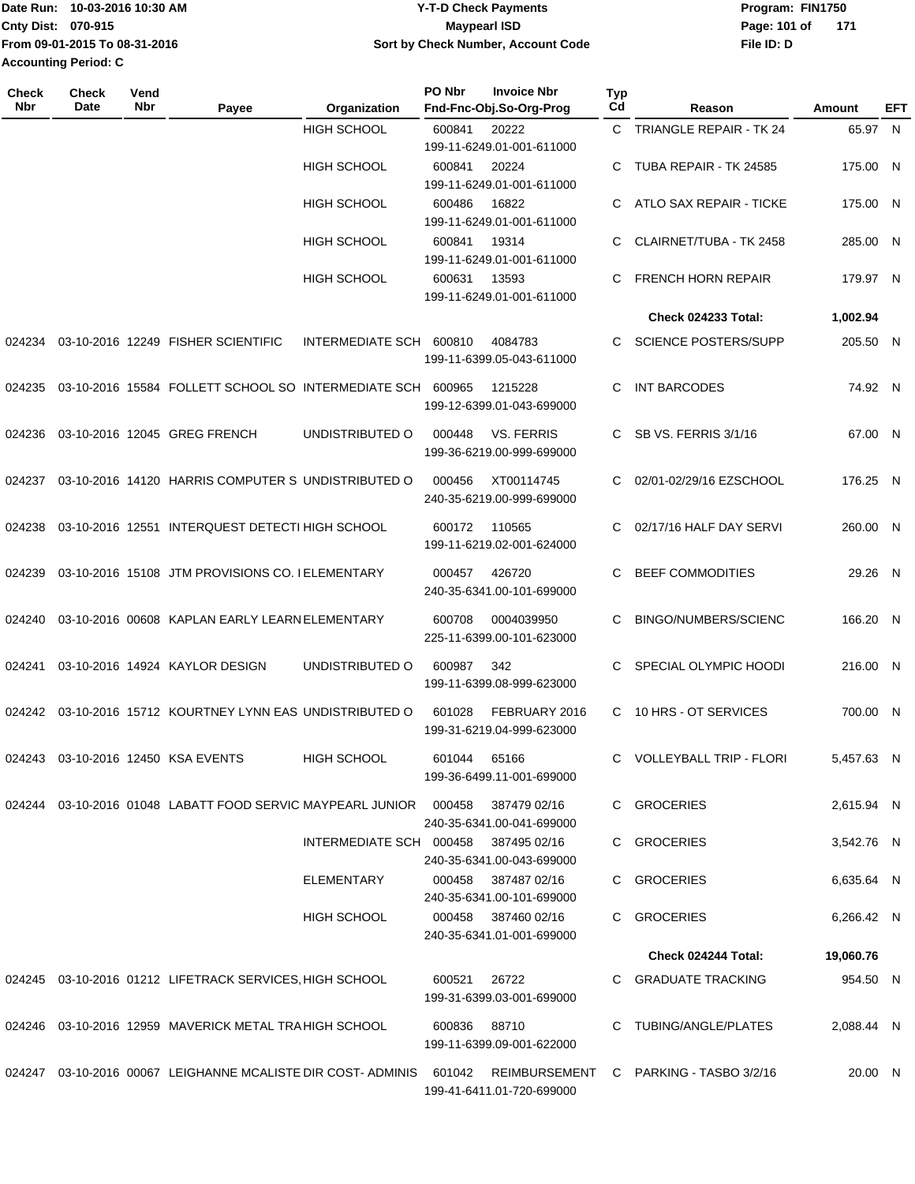|                             | Date Run: 10-03-2016 10:30 AM | <b>Y-T-D Check Payments</b>        | Program: FIN1750 |     |
|-----------------------------|-------------------------------|------------------------------------|------------------|-----|
| <b>Cnty Dist: 070-915</b>   |                               | Maypearl ISD                       | Page: 101 of     | 171 |
|                             | From 09-01-2015 To 08-31-2016 | Sort by Check Number, Account Code | File ID: D       |     |
| <b>Accounting Period: C</b> |                               |                                    |                  |     |

| Check<br><b>Nbr</b> | <b>Check</b><br>Date | Vend<br>Nbr | Payee                                                             | Organization                         | PO Nbr       | <b>Invoice Nbr</b><br>Fnd-Fnc-Obj.So-Org-Prog | Typ<br>Cd | Reason                                                                                                    | Amount     | EFT |
|---------------------|----------------------|-------------|-------------------------------------------------------------------|--------------------------------------|--------------|-----------------------------------------------|-----------|-----------------------------------------------------------------------------------------------------------|------------|-----|
|                     |                      |             |                                                                   | <b>HIGH SCHOOL</b>                   | 600841       | 20222                                         | C.        | <b>TRIANGLE REPAIR - TK 24</b>                                                                            | 65.97 N    |     |
|                     |                      |             |                                                                   |                                      |              | 199-11-6249.01-001-611000                     |           |                                                                                                           |            |     |
|                     |                      |             |                                                                   | <b>HIGH SCHOOL</b>                   | 600841       | 20224                                         | C         | TUBA REPAIR - TK 24585                                                                                    | 175.00 N   |     |
|                     |                      |             |                                                                   |                                      |              | 199-11-6249.01-001-611000                     |           |                                                                                                           |            |     |
|                     |                      |             |                                                                   | <b>HIGH SCHOOL</b>                   | 600486       | 16822                                         | C         | ATLO SAX REPAIR - TICKE                                                                                   | 175.00 N   |     |
|                     |                      |             |                                                                   |                                      |              | 199-11-6249.01-001-611000                     |           |                                                                                                           |            |     |
|                     |                      |             |                                                                   | <b>HIGH SCHOOL</b>                   | 600841       | 19314                                         | C         | CLAIRNET/TUBA - TK 2458                                                                                   | 285.00 N   |     |
|                     |                      |             |                                                                   |                                      |              | 199-11-6249.01-001-611000                     |           |                                                                                                           |            |     |
|                     |                      |             |                                                                   | <b>HIGH SCHOOL</b>                   | 600631       | 13593                                         | C         | <b>FRENCH HORN REPAIR</b>                                                                                 | 179.97 N   |     |
|                     |                      |             |                                                                   |                                      |              | 199-11-6249.01-001-611000                     |           |                                                                                                           |            |     |
|                     |                      |             |                                                                   |                                      |              |                                               |           | Check 024233 Total:                                                                                       | 1,002.94   |     |
| 024234              |                      |             | 03-10-2016 12249 FISHER SCIENTIFIC                                | INTERMEDIATE SCH                     | 600810       | 4084783                                       | C.        | <b>SCIENCE POSTERS/SUPP</b>                                                                               | 205.50 N   |     |
|                     |                      |             |                                                                   |                                      |              | 199-11-6399.05-043-611000                     |           |                                                                                                           |            |     |
|                     |                      |             |                                                                   |                                      |              |                                               |           |                                                                                                           |            |     |
| 024235              |                      |             | 03-10-2016 15584 FOLLETT SCHOOL SO INTERMEDIATE SCH 600965        |                                      |              | 1215228                                       | C         | <b>INT BARCODES</b>                                                                                       | 74.92 N    |     |
|                     |                      |             |                                                                   |                                      |              | 199-12-6399.01-043-699000                     |           |                                                                                                           |            |     |
| 024236              |                      |             | 03-10-2016 12045 GREG FRENCH                                      | UNDISTRIBUTED O                      | 000448       | <b>VS. FERRIS</b>                             | C         | <b>SB VS. FERRIS 3/1/16</b>                                                                               | 67.00 N    |     |
|                     |                      |             |                                                                   |                                      |              | 199-36-6219.00-999-699000                     |           |                                                                                                           |            |     |
|                     |                      |             |                                                                   |                                      |              |                                               |           |                                                                                                           |            |     |
| 024237              |                      |             | 03-10-2016 14120 HARRIS COMPUTER S UNDISTRIBUTED O                |                                      | 000456       | XT00114745<br>240-35-6219.00-999-699000       | C.        | 02/01-02/29/16 EZSCHOOL                                                                                   | 176.25 N   |     |
|                     |                      |             |                                                                   |                                      |              |                                               |           |                                                                                                           |            |     |
| 024238              |                      |             | 03-10-2016 12551 INTERQUEST DETECTI HIGH SCHOOL                   |                                      | 600172       | 110565                                        | C.        | 02/17/16 HALF DAY SERVI                                                                                   | 260.00 N   |     |
|                     |                      |             |                                                                   |                                      |              | 199-11-6219.02-001-624000                     |           |                                                                                                           |            |     |
| 024239              |                      |             | 03-10-2016 15108 JTM PROVISIONS CO. I ELEMENTARY                  |                                      | 000457       | 426720                                        | C.        | <b>BEEF COMMODITIES</b>                                                                                   | 29.26 N    |     |
|                     |                      |             |                                                                   |                                      |              | 240-35-6341.00-101-699000                     |           |                                                                                                           |            |     |
|                     |                      |             |                                                                   |                                      |              |                                               |           |                                                                                                           |            |     |
| 024240              |                      |             | 03-10-2016 00608 KAPLAN EARLY LEARN ELEMENTARY                    |                                      | 600708       | 0004039950                                    | C         | BINGO/NUMBERS/SCIENC                                                                                      | 166.20 N   |     |
|                     |                      |             |                                                                   |                                      |              | 225-11-6399.00-101-623000                     |           |                                                                                                           |            |     |
| 024241              |                      |             | 03-10-2016 14924 KAYLOR DESIGN                                    | UNDISTRIBUTED O                      | 600987       | 342                                           | C         | SPECIAL OLYMPIC HOODI                                                                                     | 216.00 N   |     |
|                     |                      |             |                                                                   |                                      |              | 199-11-6399.08-999-623000                     |           |                                                                                                           |            |     |
|                     |                      |             | 03-10-2016 15712 KOURTNEY LYNN EAS UNDISTRIBUTED O                |                                      |              |                                               |           |                                                                                                           |            |     |
| 024242              |                      |             |                                                                   |                                      | 601028       | FEBRUARY 2016<br>199-31-6219.04-999-623000    | C         | 10 HRS - OT SERVICES                                                                                      | 700.00 N   |     |
|                     |                      |             |                                                                   |                                      |              |                                               |           |                                                                                                           |            |     |
|                     |                      |             | 024243 03-10-2016 12450 KSA EVENTS                                | HIGH SCHOOL                          | 601044 65166 |                                               |           | C VOLLEYBALL TRIP - FLORI                                                                                 | 5,457.63 N |     |
|                     |                      |             |                                                                   |                                      |              | 199-36-6499.11-001-699000                     |           |                                                                                                           |            |     |
|                     |                      |             | 024244 03-10-2016 01048 LABATT FOOD SERVIC MAYPEARL JUNIOR 000458 |                                      |              | 387479 02/16                                  |           | C GROCERIES                                                                                               | 2,615.94 N |     |
|                     |                      |             |                                                                   |                                      |              | 240-35-6341.00-041-699000                     |           |                                                                                                           |            |     |
|                     |                      |             |                                                                   | INTERMEDIATE SCH 000458 387495 02/16 |              |                                               |           | C GROCERIES                                                                                               | 3,542.76 N |     |
|                     |                      |             |                                                                   |                                      |              | 240-35-6341.00-043-699000                     |           |                                                                                                           |            |     |
|                     |                      |             |                                                                   | ELEMENTARY                           | 000458       | 387487 02/16                                  |           | C GROCERIES                                                                                               | 6,635.64 N |     |
|                     |                      |             |                                                                   |                                      |              | 240-35-6341.00-101-699000                     |           |                                                                                                           |            |     |
|                     |                      |             |                                                                   | <b>HIGH SCHOOL</b>                   |              | 000458 387460 02/16                           |           | C GROCERIES                                                                                               | 6,266.42 N |     |
|                     |                      |             |                                                                   |                                      |              | 240-35-6341.01-001-699000                     |           |                                                                                                           |            |     |
|                     |                      |             |                                                                   |                                      |              |                                               |           | Check 024244 Total:                                                                                       | 19,060.76  |     |
|                     |                      |             | 024245 03-10-2016 01212 LIFETRACK SERVICES, HIGH SCHOOL           |                                      |              | 26722                                         |           | C GRADUATE TRACKING                                                                                       | 954.50 N   |     |
|                     |                      |             |                                                                   |                                      | 600521       | 199-31-6399.03-001-699000                     |           |                                                                                                           |            |     |
|                     |                      |             |                                                                   |                                      |              |                                               |           |                                                                                                           |            |     |
|                     |                      |             | 024246 03-10-2016 12959 MAVERICK METAL TRA HIGH SCHOOL            |                                      | 600836 88710 |                                               |           | C TUBING/ANGLE/PLATES                                                                                     | 2,088.44 N |     |
|                     |                      |             |                                                                   |                                      |              | 199-11-6399.09-001-622000                     |           |                                                                                                           |            |     |
|                     |                      |             |                                                                   |                                      |              |                                               |           | 024247 03-10-2016 00067 LEIGHANNE MCALISTE DIR COST-ADMINIS 601042 REIMBURSEMENT C PARKING - TASBO 3/2/16 | 20.00 N    |     |
|                     |                      |             |                                                                   |                                      |              | 199-41-6411.01-720-699000                     |           |                                                                                                           |            |     |
|                     |                      |             |                                                                   |                                      |              |                                               |           |                                                                                                           |            |     |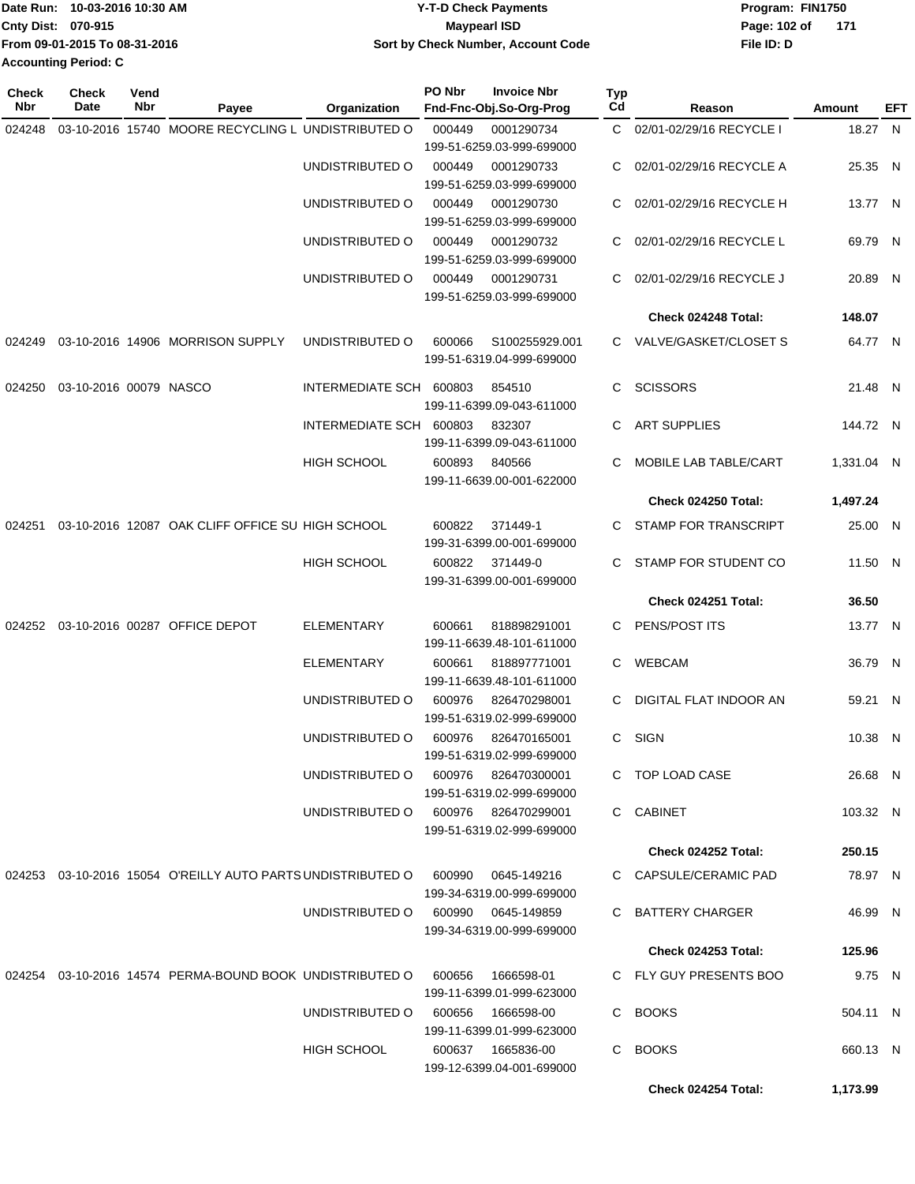|                             | IDate Run: 10-03-2016 10:30 AM | <b>Y-T-D Check Payments</b>        | Program: FIN1750    |  |  |  |
|-----------------------------|--------------------------------|------------------------------------|---------------------|--|--|--|
| <b>Cnty Dist: 070-915</b>   |                                | <b>Mavpearl ISD</b>                | 171<br>Page: 102 of |  |  |  |
|                             | From 09-01-2015 To 08-31-2016  | Sort by Check Number, Account Code | File ID: D          |  |  |  |
| <b>Accounting Period: C</b> |                                |                                    |                     |  |  |  |

| <b>Check</b><br>Nbr | <b>Check</b><br>Date   | Vend<br>Nbr | Payee                                                                          | Organization                        | PO Nbr        | <b>Invoice Nbr</b><br>Fnd-Fnc-Obj.So-Org-Prog | Typ<br>Cd | Reason                     | Amount     | EFT |
|---------------------|------------------------|-------------|--------------------------------------------------------------------------------|-------------------------------------|---------------|-----------------------------------------------|-----------|----------------------------|------------|-----|
| 024248              |                        |             | 03-10-2016 15740 MOORE RECYCLING L UNDISTRIBUTED O                             |                                     | 000449        | 0001290734                                    |           | C 02/01-02/29/16 RECYCLE I | 18.27 N    |     |
|                     |                        |             |                                                                                |                                     |               | 199-51-6259.03-999-699000                     |           |                            |            |     |
|                     |                        |             |                                                                                | UNDISTRIBUTED O                     | 000449        | 0001290733                                    | C.        | 02/01-02/29/16 RECYCLE A   | 25.35 N    |     |
|                     |                        |             |                                                                                |                                     |               | 199-51-6259.03-999-699000                     |           |                            |            |     |
|                     |                        |             |                                                                                | UNDISTRIBUTED O                     | 000449        | 0001290730                                    |           | C 02/01-02/29/16 RECYCLE H | 13.77 N    |     |
|                     |                        |             |                                                                                |                                     |               | 199-51-6259.03-999-699000                     |           |                            |            |     |
|                     |                        |             |                                                                                | UNDISTRIBUTED O                     | 000449        | 0001290732                                    |           | C 02/01-02/29/16 RECYCLE L | 69.79 N    |     |
|                     |                        |             |                                                                                |                                     | 000449        | 199-51-6259.03-999-699000                     |           |                            |            |     |
|                     |                        |             |                                                                                | UNDISTRIBUTED O                     |               | 0001290731<br>199-51-6259.03-999-699000       | C.        | 02/01-02/29/16 RECYCLE J   | 20.89 N    |     |
|                     |                        |             |                                                                                |                                     |               |                                               |           | Check 024248 Total:        | 148.07     |     |
| 024249              |                        |             | 03-10-2016 14906 MORRISON SUPPLY                                               | UNDISTRIBUTED O                     | 600066        | S100255929.001                                |           | C VALVE/GASKET/CLOSET S    | 64.77 N    |     |
|                     |                        |             |                                                                                |                                     |               | 199-51-6319.04-999-699000                     |           |                            |            |     |
|                     |                        |             |                                                                                |                                     |               |                                               |           |                            |            |     |
| 024250              | 03-10-2016 00079 NASCO |             |                                                                                | INTERMEDIATE SCH 600803             |               | 854510                                        | C.        | SCISSORS                   | 21.48 N    |     |
|                     |                        |             |                                                                                | INTERMEDIATE SCH 600803             |               | 199-11-6399.09-043-611000<br>832307           | C.        | <b>ART SUPPLIES</b>        | 144.72 N   |     |
|                     |                        |             |                                                                                |                                     |               | 199-11-6399.09-043-611000                     |           |                            |            |     |
|                     |                        |             |                                                                                | <b>HIGH SCHOOL</b>                  | 600893 840566 |                                               | C.        | MOBILE LAB TABLE/CART      | 1,331.04 N |     |
|                     |                        |             |                                                                                |                                     |               | 199-11-6639.00-001-622000                     |           |                            |            |     |
|                     |                        |             |                                                                                |                                     |               |                                               |           | Check 024250 Total:        | 1,497.24   |     |
| 024251              |                        |             | 03-10-2016 12087 OAK CLIFF OFFICE SU HIGH SCHOOL                               |                                     | 600822        | 371449-1                                      | C.        | STAMP FOR TRANSCRIPT       | 25.00 N    |     |
|                     |                        |             |                                                                                |                                     |               | 199-31-6399.00-001-699000                     |           |                            |            |     |
|                     |                        |             |                                                                                | <b>HIGH SCHOOL</b>                  | 600822        | 371449-0                                      | C.        | STAMP FOR STUDENT CO       | 11.50 N    |     |
|                     |                        |             |                                                                                |                                     |               | 199-31-6399.00-001-699000                     |           |                            |            |     |
|                     |                        |             |                                                                                |                                     |               |                                               |           | Check 024251 Total:        | 36.50      |     |
|                     |                        |             | 024252 03-10-2016 00287 OFFICE DEPOT                                           | <b>ELEMENTARY</b>                   | 600661        | 818898291001                                  |           | C PENS/POST ITS            | 13.77 N    |     |
|                     |                        |             |                                                                                |                                     |               | 199-11-6639.48-101-611000                     |           |                            |            |     |
|                     |                        |             |                                                                                | <b>ELEMENTARY</b>                   | 600661        | 818897771001<br>199-11-6639.48-101-611000     |           | C WEBCAM                   | 36.79 N    |     |
|                     |                        |             |                                                                                | UNDISTRIBUTED O                     | 600976        | 826470298001                                  | C.        | DIGITAL FLAT INDOOR AN     | 59.21 N    |     |
|                     |                        |             |                                                                                |                                     |               | 199-51-6319.02-999-699000                     |           |                            |            |     |
|                     |                        |             |                                                                                | UNDISTRIBUTED O                     | 600976        | 826470165001                                  |           | C SIGN                     | 10.38 N    |     |
|                     |                        |             |                                                                                |                                     |               | 199-51-6319.02-999-699000                     |           |                            |            |     |
|                     |                        |             |                                                                                | UNDISTRIBUTED O                     |               | 600976 826470300001                           |           | C TOP LOAD CASE            | 26.68 N    |     |
|                     |                        |             |                                                                                |                                     |               | 199-51-6319.02-999-699000                     |           |                            |            |     |
|                     |                        |             |                                                                                | UNDISTRIBUTED O 600976 826470299001 |               | 199-51-6319.02-999-699000                     |           | C CABINET                  | 103.32 N   |     |
|                     |                        |             |                                                                                |                                     |               |                                               |           | <b>Check 024252 Total:</b> | 250.15     |     |
|                     |                        |             |                                                                                |                                     |               |                                               |           |                            |            |     |
|                     |                        |             | 024253 03-10-2016 15054 O'REILLY AUTO PARTS UNDISTRIBUTED O 600990 0645-149216 |                                     |               | 199-34-6319.00-999-699000                     |           | C CAPSULE/CERAMIC PAD      | 78.97 N    |     |
|                     |                        |             |                                                                                | UNDISTRIBUTED O                     |               | 600990   0645-149859                          |           | C BATTERY CHARGER          | 46.99 N    |     |
|                     |                        |             |                                                                                |                                     |               | 199-34-6319.00-999-699000                     |           |                            |            |     |
|                     |                        |             |                                                                                |                                     |               |                                               |           | Check 024253 Total:        | 125.96     |     |
|                     |                        |             | 024254  03-10-2016  14574  PERMA-BOUND BOOK  UNDISTRIBUTED   0  600656         |                                     |               | 1666598-01                                    |           | C FLY GUY PRESENTS BOO     | 9.75 N     |     |
|                     |                        |             |                                                                                |                                     |               | 199-11-6399.01-999-623000                     |           |                            |            |     |
|                     |                        |             |                                                                                | UNDISTRIBUTED O                     | 600656        | 1666598-00                                    |           | C BOOKS                    | 504.11 N   |     |
|                     |                        |             |                                                                                |                                     |               | 199-11-6399.01-999-623000                     |           |                            |            |     |
|                     |                        |             |                                                                                | HIGH SCHOOL                         |               | 600637 1665836-00                             |           | C BOOKS                    | 660.13 N   |     |
|                     |                        |             |                                                                                |                                     |               | 199-12-6399.04-001-699000                     |           |                            |            |     |
|                     |                        |             |                                                                                |                                     |               |                                               |           | Check 024254 Total:        | 1,173.99   |     |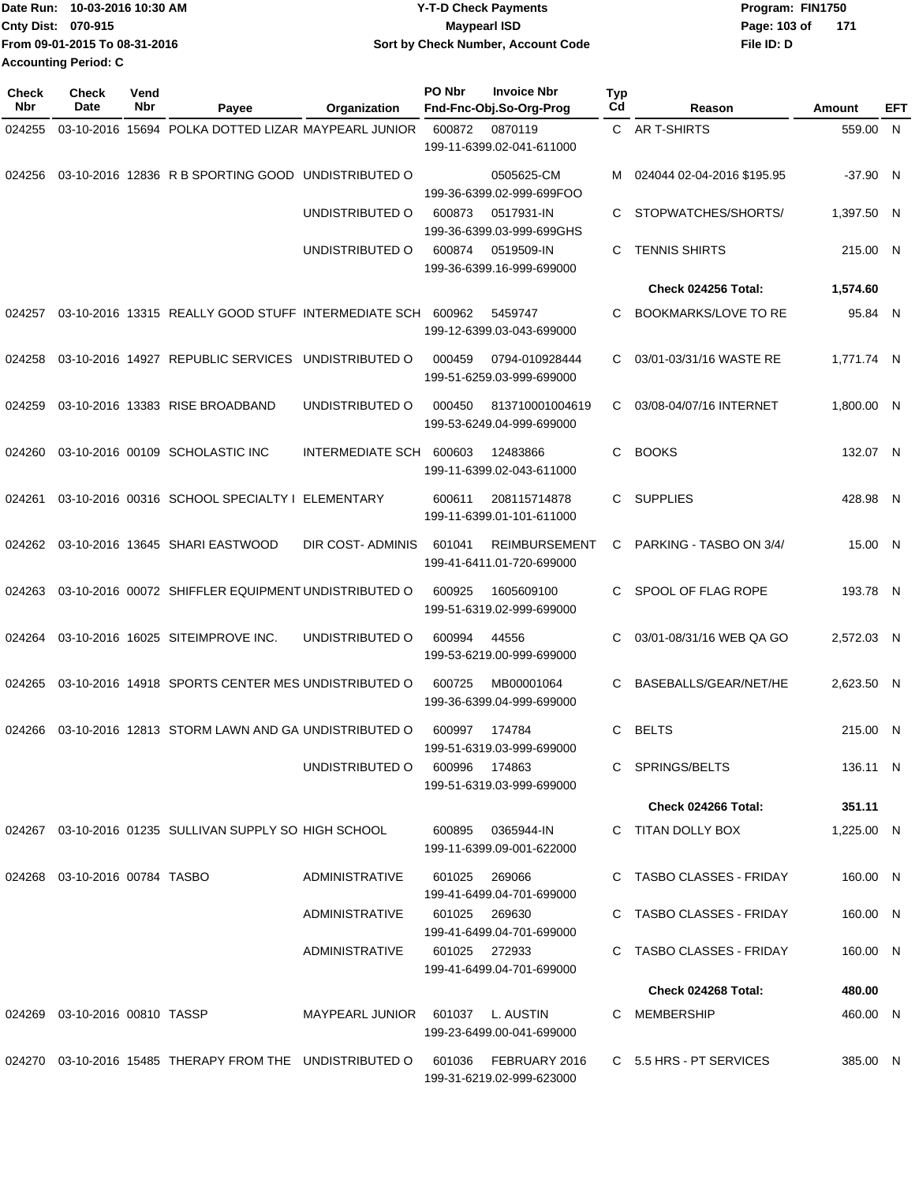| IDate Run: 10-03-2016 10:30 AM | Y-T-D Check Payments               | Program: FIN1750      |  |  |  |
|--------------------------------|------------------------------------|-----------------------|--|--|--|
| <b>Cnty Dist: 070-915</b>      | <b>Mavpearl ISD</b>                | Page: 103 of<br>- 171 |  |  |  |
| From 09-01-2015 To 08-31-2016  | Sort by Check Number, Account Code | File ID: D            |  |  |  |
| <b>Accounting Period: C</b>    |                                    |                       |  |  |  |

| <b>Check</b><br>Nbr | <b>Check</b><br><b>Date</b>      | Vend<br><b>Nbr</b> | Payee                                                           | Organization                     | PO Nbr        | <b>Invoice Nbr</b><br>Fnd-Fnc-Obj.So-Org-Prog     | <b>Typ</b><br>Cd | Reason                      | Amount     | EFT |
|---------------------|----------------------------------|--------------------|-----------------------------------------------------------------|----------------------------------|---------------|---------------------------------------------------|------------------|-----------------------------|------------|-----|
| 024255              |                                  |                    | 03-10-2016 15694 POLKA DOTTED LIZAR MAYPEARL JUNIOR             |                                  | 600872        | 0870119                                           |                  | C AR T-SHIRTS               | 559.00 N   |     |
|                     |                                  |                    |                                                                 |                                  |               | 199-11-6399.02-041-611000                         |                  |                             |            |     |
| 024256              |                                  |                    | 03-10-2016 12836 R B SPORTING GOOD UNDISTRIBUTED O              |                                  |               | 0505625-CM<br>199-36-6399.02-999-699FOO           |                  | 024044 02-04-2016 \$195.95  | $-37.90$ N |     |
|                     |                                  |                    |                                                                 | UNDISTRIBUTED O                  | 600873        | 0517931-IN<br>199-36-6399.03-999-699GHS           | C                | STOPWATCHES/SHORTS/         | 1,397.50 N |     |
|                     |                                  |                    |                                                                 | UNDISTRIBUTED O                  | 600874        | 0519509-IN<br>199-36-6399.16-999-699000           | C                | <b>TENNIS SHIRTS</b>        | 215.00 N   |     |
|                     |                                  |                    |                                                                 |                                  |               |                                                   |                  | Check 024256 Total:         | 1,574.60   |     |
| 024257              |                                  |                    | 03-10-2016 13315 REALLY GOOD STUFF INTERMEDIATE SCH 600962      |                                  |               | 5459747<br>199-12-6399.03-043-699000              | C                | <b>BOOKMARKS/LOVE TO RE</b> | 95.84 N    |     |
| 024258              |                                  |                    | 03-10-2016 14927 REPUBLIC SERVICES UNDISTRIBUTED O              |                                  | 000459        | 0794-010928444<br>199-51-6259.03-999-699000       | C                | 03/01-03/31/16 WASTE RE     | 1,771.74 N |     |
| 024259              |                                  |                    | 03-10-2016 13383 RISE BROADBAND                                 | UNDISTRIBUTED O                  | 000450        | 813710001004619<br>199-53-6249.04-999-699000      | C                | 03/08-04/07/16 INTERNET     | 1,800.00 N |     |
| 024260              |                                  |                    | 03-10-2016 00109 SCHOLASTIC INC                                 | INTERMEDIATE SCH 600603          |               | 12483866<br>199-11-6399.02-043-611000             | C                | <b>BOOKS</b>                | 132.07 N   |     |
| 024261              |                                  |                    | 03-10-2016 00316 SCHOOL SPECIALTY   ELEMENTARY                  |                                  | 600611        | 208115714878<br>199-11-6399.01-101-611000         | C.               | <b>SUPPLIES</b>             | 428.98 N   |     |
| 024262              |                                  |                    | 03-10-2016 13645 SHARI EASTWOOD                                 | DIR COST-ADMINIS                 | 601041        | <b>REIMBURSEMENT</b><br>199-41-6411.01-720-699000 | C.               | PARKING - TASBO ON 3/4/     | 15.00 N    |     |
| 024263              |                                  |                    | 03-10-2016 00072 SHIFFLER EQUIPMENT UNDISTRIBUTED O             |                                  | 600925        | 1605609100<br>199-51-6319.02-999-699000           | C.               | SPOOL OF FLAG ROPE          | 193.78 N   |     |
| 024264              |                                  |                    | 03-10-2016 16025 SITEIMPROVE INC.                               | UNDISTRIBUTED O                  | 600994        | 44556<br>199-53-6219.00-999-699000                | C                | 03/01-08/31/16 WEB QA GO    | 2,572.03 N |     |
| 024265              |                                  |                    | 03-10-2016 14918 SPORTS CENTER MES UNDISTRIBUTED O              |                                  | 600725        | MB00001064<br>199-36-6399.04-999-699000           | C                | BASEBALLS/GEAR/NET/HE       | 2,623.50 N |     |
| 024266              |                                  |                    | 03-10-2016 12813 STORM LAWN AND GA UNDISTRIBUTED O              |                                  | 600997        | 174784<br>199-51-6319.03-999-699000               | C                | <b>BELTS</b>                | 215.00 N   |     |
|                     |                                  |                    |                                                                 | UNDISTRIBUTED O                  | 600996 174863 | 199-51-6319.03-999-699000                         |                  | C SPRINGS/BELTS             | 136.11 N   |     |
|                     |                                  |                    |                                                                 |                                  |               |                                                   |                  | Check 024266 Total:         | 351.11     |     |
|                     |                                  |                    | 024267 03-10-2016 01235 SULLIVAN SUPPLY SO HIGH SCHOOL          |                                  |               | 600895 0365944-IN<br>199-11-6399.09-001-622000    |                  | C TITAN DOLLY BOX           | 1,225.00 N |     |
|                     | 024268  03-10-2016  00784  TASBO |                    |                                                                 | ADMINISTRATIVE                   | 601025        | 269066<br>199-41-6499.04-701-699000               |                  | C TASBO CLASSES - FRIDAY    | 160.00 N   |     |
|                     |                                  |                    |                                                                 | ADMINISTRATIVE                   | 601025 269630 | 199-41-6499.04-701-699000                         |                  | C TASBO CLASSES - FRIDAY    | 160.00 N   |     |
|                     |                                  |                    |                                                                 | ADMINISTRATIVE                   | 601025 272933 | 199-41-6499.04-701-699000                         |                  | C TASBO CLASSES - FRIDAY    | 160.00 N   |     |
|                     |                                  |                    |                                                                 |                                  |               |                                                   |                  | Check 024268 Total:         | 480.00     |     |
|                     | 024269 03-10-2016 00810 TASSP    |                    |                                                                 | MAYPEARL JUNIOR 601037 L. AUSTIN |               | 199-23-6499.00-041-699000                         |                  | C MEMBERSHIP                | 460.00 N   |     |
|                     |                                  |                    | 024270  03-10-2016  15485  THERAPY FROM THE  UNDISTRIBUTED    O |                                  | 601036        | FEBRUARY 2016<br>199-31-6219.02-999-623000        |                  | C 5.5 HRS - PT SERVICES     | 385.00 N   |     |
|                     |                                  |                    |                                                                 |                                  |               |                                                   |                  |                             |            |     |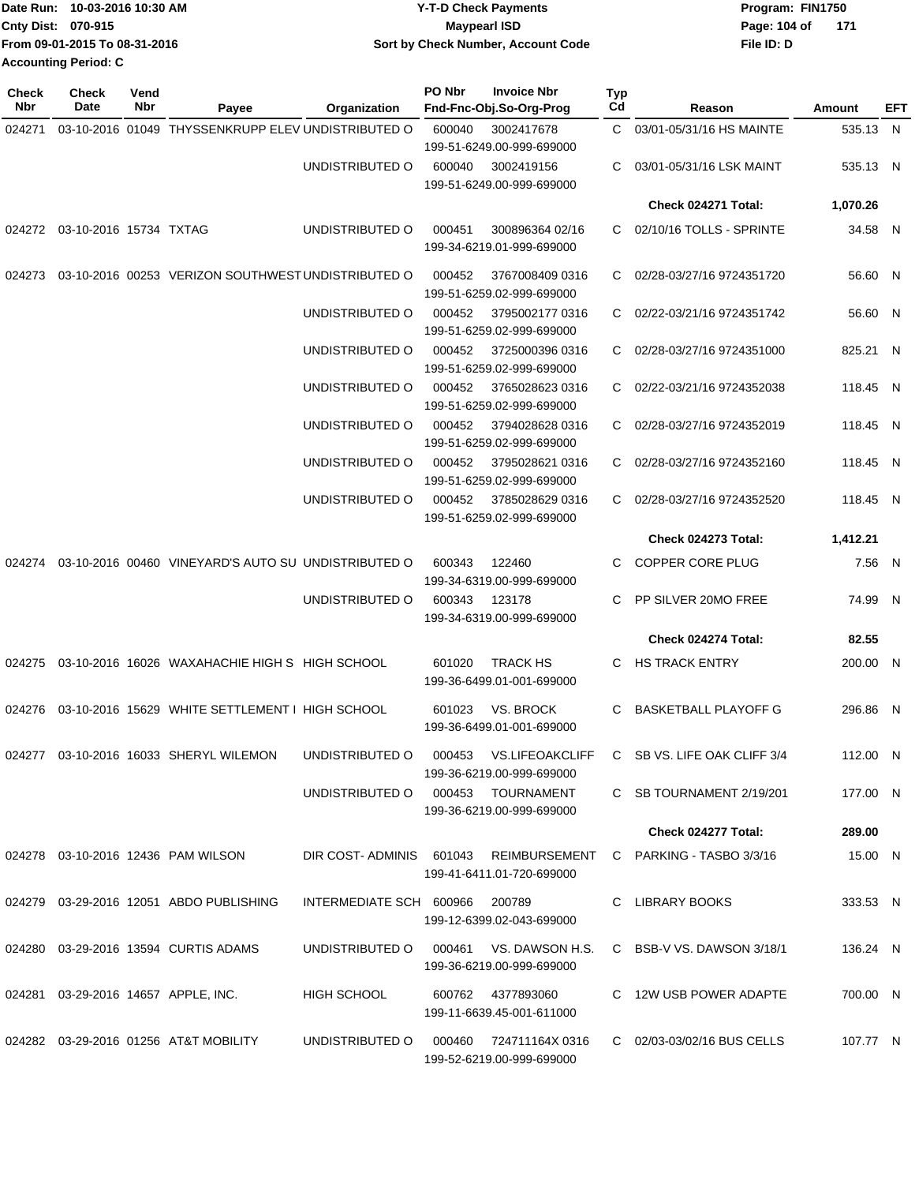| Date Run: 10-03-2016 10:30 AM | <b>Y-T-D Check Payments</b>        | Program: FIN1750 |  |
|-------------------------------|------------------------------------|------------------|--|
| <b>Cnty Dist: 070-915</b>     | <b>Mavpearl ISD</b>                | Page: 104 of 171 |  |
| From 09-01-2015 To 08-31-2016 | Sort by Check Number, Account Code | File ID: D       |  |
| Accounting Period: C          |                                    |                  |  |

| <b>Check</b><br>Nbr | <b>Check</b><br>Date             | Vend<br>Nbr | Payee                                               | Organization                           | PO Nbr | <b>Invoice Nbr</b><br>Fnd-Fnc-Obj.So-Org-Prog      | <b>Typ</b><br>Cd | Reason                                                          | Amount   | <b>EFT</b> |
|---------------------|----------------------------------|-------------|-----------------------------------------------------|----------------------------------------|--------|----------------------------------------------------|------------------|-----------------------------------------------------------------|----------|------------|
| 024271              |                                  |             | 03-10-2016 01049 THYSSENKRUPP ELEV UNDISTRIBUTED O  |                                        | 600040 | 3002417678<br>199-51-6249.00-999-699000            |                  | C 03/01-05/31/16 HS MAINTE                                      | 535.13 N |            |
|                     |                                  |             |                                                     | UNDISTRIBUTED O                        | 600040 | 3002419156<br>199-51-6249.00-999-699000            | C.               | 03/01-05/31/16 LSK MAINT                                        | 535.13 N |            |
|                     |                                  |             |                                                     |                                        |        |                                                    |                  | Check 024271 Total:                                             | 1,070.26 |            |
|                     | 024272  03-10-2016  15734  TXTAG |             |                                                     | UNDISTRIBUTED O                        | 000451 | 300896364 02/16<br>199-34-6219.01-999-699000       |                  | C 02/10/16 TOLLS - SPRINTE                                      | 34.58 N  |            |
| 024273              |                                  |             | 03-10-2016 00253 VERIZON SOUTHWEST UNDISTRIBUTED O  |                                        | 000452 | 3767008409 0316<br>199-51-6259.02-999-699000       | C.               | 02/28-03/27/16 9724351720                                       | 56.60 N  |            |
|                     |                                  |             |                                                     | UNDISTRIBUTED O                        | 000452 | 3795002177 0316<br>199-51-6259.02-999-699000       | C.               | 02/22-03/21/16 9724351742                                       | 56.60 N  |            |
|                     |                                  |             |                                                     | UNDISTRIBUTED O                        | 000452 | 3725000396 0316<br>199-51-6259.02-999-699000       |                  | C 02/28-03/27/16 9724351000                                     | 825.21 N |            |
|                     |                                  |             |                                                     | UNDISTRIBUTED O                        | 000452 | 3765028623 0316<br>199-51-6259.02-999-699000       | C                | 02/22-03/21/16 9724352038                                       | 118.45 N |            |
|                     |                                  |             |                                                     | UNDISTRIBUTED O                        | 000452 | 3794028628 0316<br>199-51-6259.02-999-699000       | C                | 02/28-03/27/16 9724352019                                       | 118.45 N |            |
|                     |                                  |             |                                                     | UNDISTRIBUTED O                        | 000452 | 3795028621 0316<br>199-51-6259.02-999-699000       | C                | 02/28-03/27/16 9724352160                                       | 118.45 N |            |
|                     |                                  |             |                                                     | UNDISTRIBUTED O                        | 000452 | 3785028629 0316<br>199-51-6259.02-999-699000       | C.               | 02/28-03/27/16 9724352520                                       | 118.45 N |            |
|                     |                                  |             |                                                     |                                        |        |                                                    |                  | Check 024273 Total:                                             | 1,412.21 |            |
| 024274              |                                  |             | 03-10-2016 00460 VINEYARD'S AUTO SU UNDISTRIBUTED O |                                        | 600343 | 122460<br>199-34-6319.00-999-699000                | C.               | COPPER CORE PLUG                                                | 7.56 N   |            |
|                     |                                  |             |                                                     | UNDISTRIBUTED O                        | 600343 | 123178<br>199-34-6319.00-999-699000                | C                | PP SILVER 20MO FREE                                             | 74.99 N  |            |
|                     |                                  |             |                                                     |                                        |        |                                                    |                  | Check 024274 Total:                                             | 82.55    |            |
| 024275              |                                  |             | 03-10-2016 16026 WAXAHACHIE HIGH S HIGH SCHOOL      |                                        | 601020 | <b>TRACK HS</b><br>199-36-6499.01-001-699000       | C.               | <b>HS TRACK ENTRY</b>                                           | 200.00 N |            |
| 024276              |                                  |             | 03-10-2016 15629 WHITE SETTLEMENT I HIGH SCHOOL     |                                        | 601023 | VS. BROCK<br>199-36-6499.01-001-699000             | C                | <b>BASKETBALL PLAYOFF G</b>                                     | 296.86 N |            |
|                     |                                  |             | 024277 03-10-2016 16033 SHERYL WILEMON              | UNDISTRIBUTED O 000453 VS.LIFEOAKCLIFF |        | 199-36-6219.00-999-699000                          |                  | C SB VS. LIFE OAK CLIFF 3/4                                     | 112.00 N |            |
|                     |                                  |             |                                                     | UNDISTRIBUTED O 000453 TOURNAMENT      |        | 199-36-6219.00-999-699000                          |                  | C SB TOURNAMENT 2/19/201                                        | 177.00 N |            |
|                     |                                  |             |                                                     |                                        |        |                                                    |                  | Check 024277 Total:                                             | 289.00   |            |
|                     |                                  |             | 024278 03-10-2016 12436 PAM WILSON                  |                                        |        | 199-41-6411.01-720-699000                          |                  | DIR COST- ADMINIS 601043 REIMBURSEMENT C PARKING - TASBO 3/3/16 | 15.00 N  |            |
|                     |                                  |             | 024279  03-29-2016  12051  ABDO PUBLISHING          | INTERMEDIATE SCH 600966                |        | 200789<br>199-12-6399.02-043-699000                |                  | C LIBRARY BOOKS                                                 | 333.53 N |            |
|                     |                                  |             | 024280 03-29-2016 13594 CURTIS ADAMS                | UNDISTRIBUTED O                        |        | 199-36-6219.00-999-699000                          |                  | C BSB-V VS. DAWSON 3/18/1                                       | 136.24 N |            |
|                     |                                  |             | 024281  03-29-2016  14657  APPLE, INC.              | HIGH SCHOOL                            |        | 600762 4377893060<br>199-11-6639.45-001-611000     |                  | C 12W USB POWER ADAPTE                                          | 700.00 N |            |
|                     |                                  |             | 024282 03-29-2016 01256 AT&T MOBILITY               | UNDISTRIBUTED O                        |        | 000460 724711164X0316<br>199-52-6219.00-999-699000 |                  | C 02/03-03/02/16 BUS CELLS                                      | 107.77 N |            |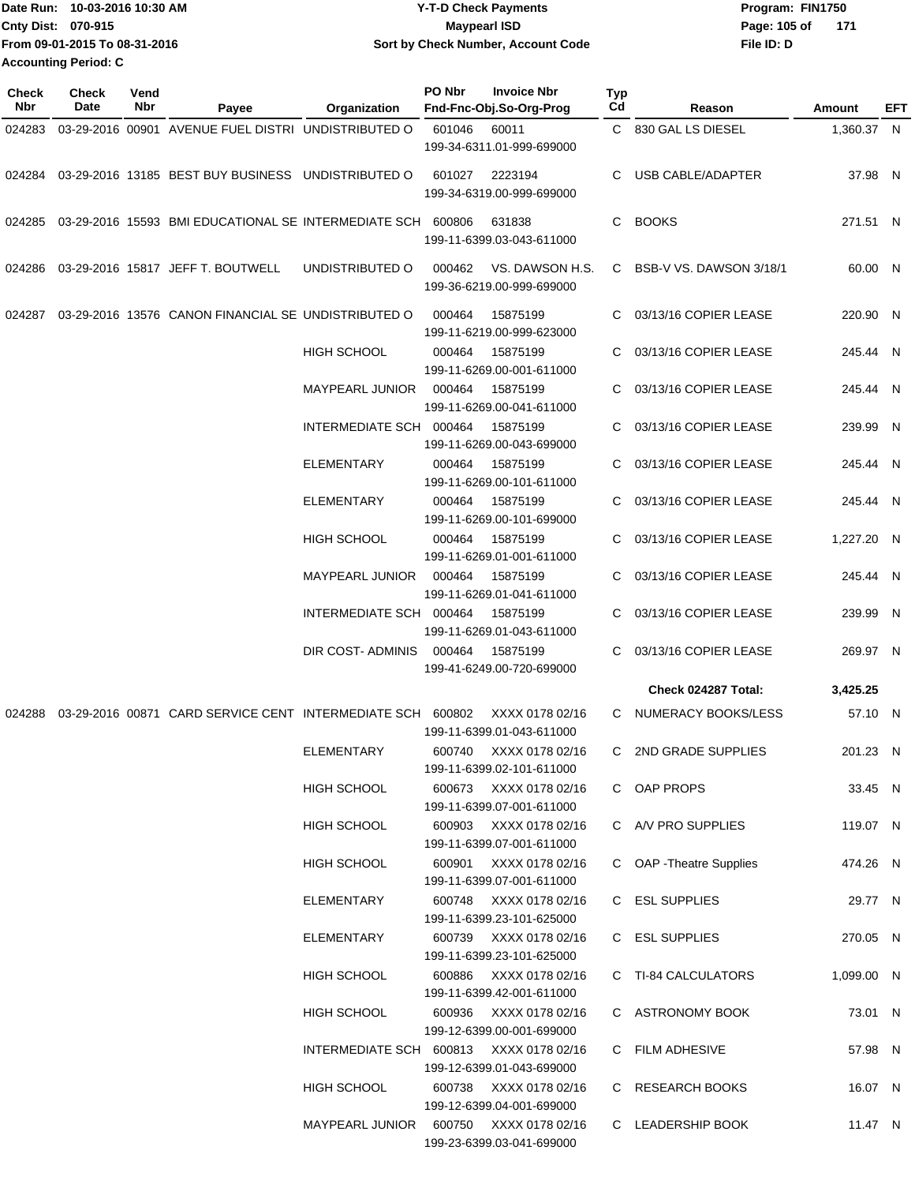| Date Run: 10-03-2016 10:30 AM | <b>Y-T-D Check Payments</b>        | Program: FIN1750      |
|-------------------------------|------------------------------------|-----------------------|
| Cnty Dist: 070-915            | <b>Mavpearl ISD</b>                | Page: 105 of<br>- 171 |
| From 09-01-2015 To 08-31-2016 | Sort by Check Number, Account Code | File ID: D            |
| <b>Accounting Period: C</b>   |                                    |                       |

| <b>Check</b><br>Nbr | Check<br>Date | Vend<br>Nbr | Payee                                                       | Organization                            | PO Nbr | <b>Invoice Nbr</b><br>Fnd-Fnc-Obj.So-Org-Prog       | <b>Typ</b><br>Cd | Reason                   | Amount     | EFT |
|---------------------|---------------|-------------|-------------------------------------------------------------|-----------------------------------------|--------|-----------------------------------------------------|------------------|--------------------------|------------|-----|
| 024283              |               |             | 03-29-2016 00901 AVENUE FUEL DISTRI UNDISTRIBUTED O         |                                         | 601046 | 60011<br>199-34-6311.01-999-699000                  |                  | C 830 GAL LS DIESEL      | 1,360.37 N |     |
| 024284              |               |             | 03-29-2016 13185 BEST BUY BUSINESS UNDISTRIBUTED O          |                                         | 601027 | 2223194<br>199-34-6319.00-999-699000                | C.               | USB CABLE/ADAPTER        | 37.98 N    |     |
| 024285              |               |             | 03-29-2016 15593 BMI EDUCATIONAL SE INTERMEDIATE SCH 600806 |                                         |        | 631838<br>199-11-6399.03-043-611000                 | C.               | <b>BOOKS</b>             | 271.51 N   |     |
| 024286              |               |             | 03-29-2016 15817 JEFF T. BOUTWELL                           | UNDISTRIBUTED O                         | 000462 | VS. DAWSON H.S.<br>199-36-6219.00-999-699000        | C.               | BSB-V VS. DAWSON 3/18/1  | 60.00 N    |     |
| 024287              |               |             | 03-29-2016 13576 CANON FINANCIAL SE UNDISTRIBUTED O         |                                         | 000464 | 15875199<br>199-11-6219.00-999-623000               | C.               | 03/13/16 COPIER LEASE    | 220.90 N   |     |
|                     |               |             |                                                             | <b>HIGH SCHOOL</b>                      | 000464 | 15875199<br>199-11-6269.00-001-611000               | C.               | 03/13/16 COPIER LEASE    | 245.44 N   |     |
|                     |               |             |                                                             | <b>MAYPEARL JUNIOR</b>                  | 000464 | 15875199<br>199-11-6269.00-041-611000               | C                | 03/13/16 COPIER LEASE    | 245.44 N   |     |
|                     |               |             |                                                             | INTERMEDIATE SCH                        | 000464 | 15875199<br>199-11-6269.00-043-699000               | C.               | 03/13/16 COPIER LEASE    | 239.99 N   |     |
|                     |               |             |                                                             | ELEMENTARY                              | 000464 | 15875199<br>199-11-6269.00-101-611000               | C                | 03/13/16 COPIER LEASE    | 245.44 N   |     |
|                     |               |             |                                                             | ELEMENTARY                              | 000464 | 15875199<br>199-11-6269.00-101-699000               | C                | 03/13/16 COPIER LEASE    | 245.44 N   |     |
|                     |               |             |                                                             | <b>HIGH SCHOOL</b>                      | 000464 | 15875199<br>199-11-6269.01-001-611000               | C                | 03/13/16 COPIER LEASE    | 1,227.20 N |     |
|                     |               |             |                                                             | <b>MAYPEARL JUNIOR</b>                  | 000464 | 15875199<br>199-11-6269.01-041-611000               | C.               | 03/13/16 COPIER LEASE    | 245.44 N   |     |
|                     |               |             |                                                             | INTERMEDIATE SCH 000464                 |        | 15875199<br>199-11-6269.01-043-611000               |                  | 03/13/16 COPIER LEASE    | 239.99 N   |     |
|                     |               |             |                                                             | DIR COST- ADMINIS                       | 000464 | 15875199<br>199-41-6249.00-720-699000               | C.               | 03/13/16 COPIER LEASE    | 269.97 N   |     |
|                     |               |             |                                                             |                                         |        |                                                     |                  | Check 024287 Total:      | 3,425.25   |     |
| 024288              |               |             | 03-29-2016 00871 CARD SERVICE CENT INTERMEDIATE SCH         |                                         | 600802 | XXXX 0178 02/16<br>199-11-6399.01-043-611000        | C                | NUMERACY BOOKS/LESS      | 57.10 N    |     |
|                     |               |             |                                                             | ELEMENTARY                              |        | 600740 XXXX 0178 02/16<br>199-11-6399.02-101-611000 | C.               | 2ND GRADE SUPPLIES       | 201.23 N   |     |
|                     |               |             |                                                             | HIGH SCHOOL                             |        | 600673 XXXX 0178 02/16<br>199-11-6399.07-001-611000 |                  | C OAP PROPS              | 33.45 N    |     |
|                     |               |             |                                                             | HIGH SCHOOL                             |        | 600903 XXXX 0178 02/16<br>199-11-6399.07-001-611000 |                  | C A/V PRO SUPPLIES       | 119.07 N   |     |
|                     |               |             |                                                             | HIGH SCHOOL                             |        | 600901 XXXX 0178 02/16<br>199-11-6399.07-001-611000 |                  | C OAP - Theatre Supplies | 474.26 N   |     |
|                     |               |             |                                                             | ELEMENTARY                              |        | 600748 XXXX 0178 02/16<br>199-11-6399.23-101-625000 |                  | C ESL SUPPLIES           | 29.77 N    |     |
|                     |               |             |                                                             | ELEMENTARY                              |        | 600739 XXXX 0178 02/16<br>199-11-6399.23-101-625000 |                  | C ESL SUPPLIES           | 270.05 N   |     |
|                     |               |             |                                                             | HIGH SCHOOL                             |        | 600886 XXXX 0178 02/16<br>199-11-6399.42-001-611000 |                  | C TI-84 CALCULATORS      | 1,099.00 N |     |
|                     |               |             |                                                             | HIGH SCHOOL                             |        | 600936 XXXX 0178 02/16<br>199-12-6399.00-001-699000 |                  | C ASTRONOMY BOOK         | 73.01 N    |     |
|                     |               |             |                                                             | INTERMEDIATE SCH 600813 XXXX 0178 02/16 |        | 199-12-6399.01-043-699000                           |                  | C FILM ADHESIVE          | 57.98 N    |     |
|                     |               |             |                                                             | HIGH SCHOOL                             |        | 600738 XXXX 0178 02/16<br>199-12-6399.04-001-699000 |                  | C RESEARCH BOOKS         | 16.07 N    |     |
|                     |               |             |                                                             | MAYPEARL JUNIOR 600750 XXXX 0178 02/16  |        | 199-23-6399.03-041-699000                           |                  | C LEADERSHIP BOOK        | 11.47 N    |     |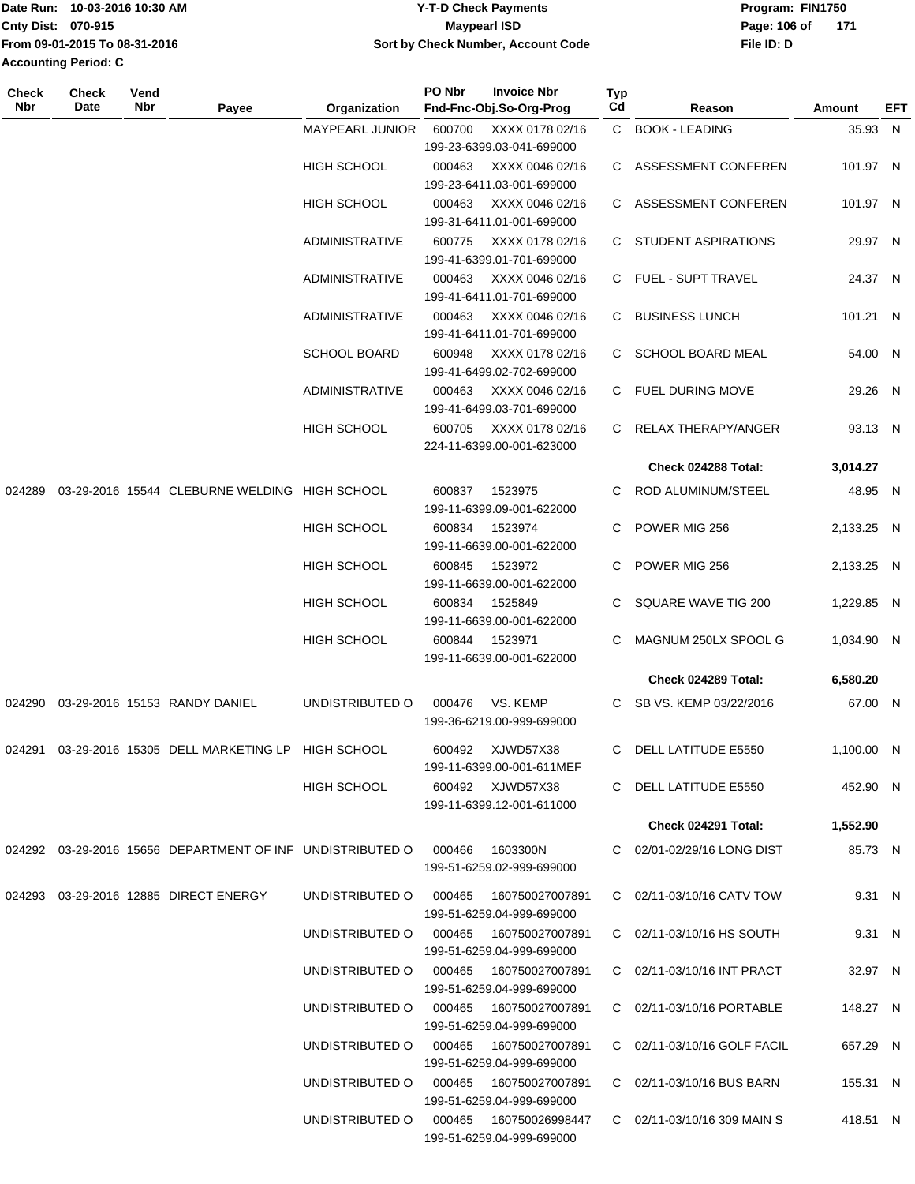|                             | IDate Run: 10-03-2016 10:30 AM | <b>Y-T-D Check Payments</b>        | Program: FIN1750    |
|-----------------------------|--------------------------------|------------------------------------|---------------------|
| <b>Cnty Dist: 070-915</b>   |                                | Maypearl ISD                       | Page: 106 of<br>171 |
|                             | From 09-01-2015 To 08-31-2016  | Sort by Check Number, Account Code | File ID: D          |
| <b>Accounting Period: C</b> |                                |                                    |                     |

**PO Nbr Invoice Nbr**

| Check<br>Nbr | Check<br>Date | Vend<br>Nbr | Payee                                                         | Organization                           | PO Nbr                               | <b>Invoice Nbr</b><br>Fnd-Fnc-Obj.So-Org-Prog | Typ<br>Cd             | Reason                      | <b>Amount</b> | EFT |
|--------------|---------------|-------------|---------------------------------------------------------------|----------------------------------------|--------------------------------------|-----------------------------------------------|-----------------------|-----------------------------|---------------|-----|
|              |               |             |                                                               | <b>MAYPEARL JUNIOR</b>                 | 600700                               | XXXX 0178 02/16<br>199-23-6399.03-041-699000  |                       | C BOOK - LEADING            | 35.93 N       |     |
|              |               |             |                                                               | <b>HIGH SCHOOL</b>                     | 000463                               | XXXX 0046 02/16<br>199-23-6411.03-001-699000  |                       | C ASSESSMENT CONFEREN       | 101.97 N      |     |
|              |               |             |                                                               | <b>HIGH SCHOOL</b>                     | 000463                               | XXXX 0046 02/16<br>199-31-6411.01-001-699000  |                       | C ASSESSMENT CONFEREN       | 101.97 N      |     |
|              |               |             |                                                               | <b>ADMINISTRATIVE</b>                  | 600775                               | XXXX 0178 02/16<br>199-41-6399.01-701-699000  |                       | C STUDENT ASPIRATIONS       | 29.97 N       |     |
|              |               |             |                                                               | ADMINISTRATIVE                         | 000463                               | XXXX 0046 02/16<br>199-41-6411.01-701-699000  |                       | C FUEL - SUPT TRAVEL        | 24.37 N       |     |
|              |               |             |                                                               | ADMINISTRATIVE                         | 000463                               | XXXX 0046 02/16<br>199-41-6411.01-701-699000  |                       | C BUSINESS LUNCH            | 101.21 N      |     |
|              |               |             |                                                               | <b>SCHOOL BOARD</b>                    | 600948                               | XXXX 0178 02/16<br>199-41-6499.02-702-699000  |                       | C SCHOOL BOARD MEAL         | 54.00 N       |     |
|              |               |             |                                                               | <b>ADMINISTRATIVE</b>                  | 000463                               | XXXX 0046 02/16<br>199-41-6499.03-701-699000  |                       | C FUEL DURING MOVE          | 29.26 N       |     |
|              |               |             |                                                               | HIGH SCHOOL                            | 600705                               | XXXX 0178 02/16<br>224-11-6399.00-001-623000  |                       | C RELAX THERAPY/ANGER       | 93.13 N       |     |
|              |               |             |                                                               |                                        |                                      |                                               |                       | Check 024288 Total:         | 3,014.27      |     |
| 024289       |               |             | 03-29-2016 15544 CLEBURNE WELDING HIGH SCHOOL                 |                                        | 600837                               | 1523975<br>199-11-6399.09-001-622000          |                       | ROD ALUMINUM/STEEL          | 48.95 N       |     |
|              |               |             |                                                               | <b>HIGH SCHOOL</b>                     | 600834                               | 1523974<br>199-11-6639.00-001-622000          | C.                    | POWER MIG 256               | 2,133.25 N    |     |
|              |               |             |                                                               | <b>HIGH SCHOOL</b>                     | 600845                               | 1523972<br>199-11-6639.00-001-622000          | C                     | POWER MIG 256               | 2,133.25 N    |     |
|              |               |             | <b>HIGH SCHOOL</b>                                            | 600834                                 | 1525849<br>199-11-6639.00-001-622000 |                                               | C SQUARE WAVE TIG 200 | 1,229.85 N                  |               |     |
|              |               |             |                                                               | <b>HIGH SCHOOL</b>                     | 600844                               | 1523971<br>199-11-6639.00-001-622000          | C                     | MAGNUM 250LX SPOOL G        | 1,034.90 N    |     |
|              |               |             |                                                               |                                        |                                      |                                               |                       | Check 024289 Total:         | 6,580.20      |     |
| 024290       |               |             | 03-29-2016 15153 RANDY DANIEL                                 | UNDISTRIBUTED O                        | 000476                               | VS. KEMP<br>199-36-6219.00-999-699000         |                       | C SB VS. KEMP 03/22/2016    | 67.00 N       |     |
| 024291       |               |             | 03-29-2016 15305 DELL MARKETING LP HIGH SCHOOL                |                                        | 600492                               | XJWD57X38<br>199-11-6399.00-001-611MEF        | C.                    | DELL LATITUDE E5550         | 1,100.00 N    |     |
|              |               |             |                                                               | <b>HIGH SCHOOL</b>                     |                                      | 600492 XJWD57X38<br>199-11-6399.12-001-611000 |                       | C DELL LATITUDE E5550       | 452.90 N      |     |
|              |               |             |                                                               |                                        |                                      |                                               |                       | Check 024291 Total:         | 1,552.90      |     |
|              |               |             | 024292  03-29-2016  15656  DEPARTMENT OF INF  UNDISTRIBUTED O |                                        | 000466                               | 1603300N<br>199-51-6259.02-999-699000         |                       | C 02/01-02/29/16 LONG DIST  | 85.73 N       |     |
|              |               |             | 024293 03-29-2016 12885 DIRECT ENERGY                         | UNDISTRIBUTED O                        | 000465                               | 160750027007891<br>199-51-6259.04-999-699000  |                       | C 02/11-03/10/16 CATV TOW   | 9.31 N        |     |
|              |               |             |                                                               | UNDISTRIBUTED O 000465 160750027007891 |                                      | 199-51-6259.04-999-699000                     |                       | C 02/11-03/10/16 HS SOUTH   | 9.31 N        |     |
|              |               |             |                                                               | UNDISTRIBUTED O 000465 160750027007891 |                                      | 199-51-6259.04-999-699000                     |                       | C 02/11-03/10/16 INT PRACT  | 32.97 N       |     |
|              |               |             |                                                               | UNDISTRIBUTED O 000465 160750027007891 |                                      | 199-51-6259.04-999-699000                     |                       | C 02/11-03/10/16 PORTABLE   | 148.27 N      |     |
|              |               |             |                                                               | UNDISTRIBUTED O                        | 000465                               | 160750027007891<br>199-51-6259.04-999-699000  |                       | C 02/11-03/10/16 GOLF FACIL | 657.29 N      |     |
|              |               |             |                                                               | UNDISTRIBUTED O 000465                 |                                      | 160750027007891<br>199-51-6259.04-999-699000  |                       | C 02/11-03/10/16 BUS BARN   | 155.31 N      |     |
|              |               |             |                                                               | UNDISTRIBUTED O 000465 160750026998447 |                                      | 199-51-6259.04-999-699000                     |                       | C 02/11-03/10/16 309 MAIN S | 418.51 N      |     |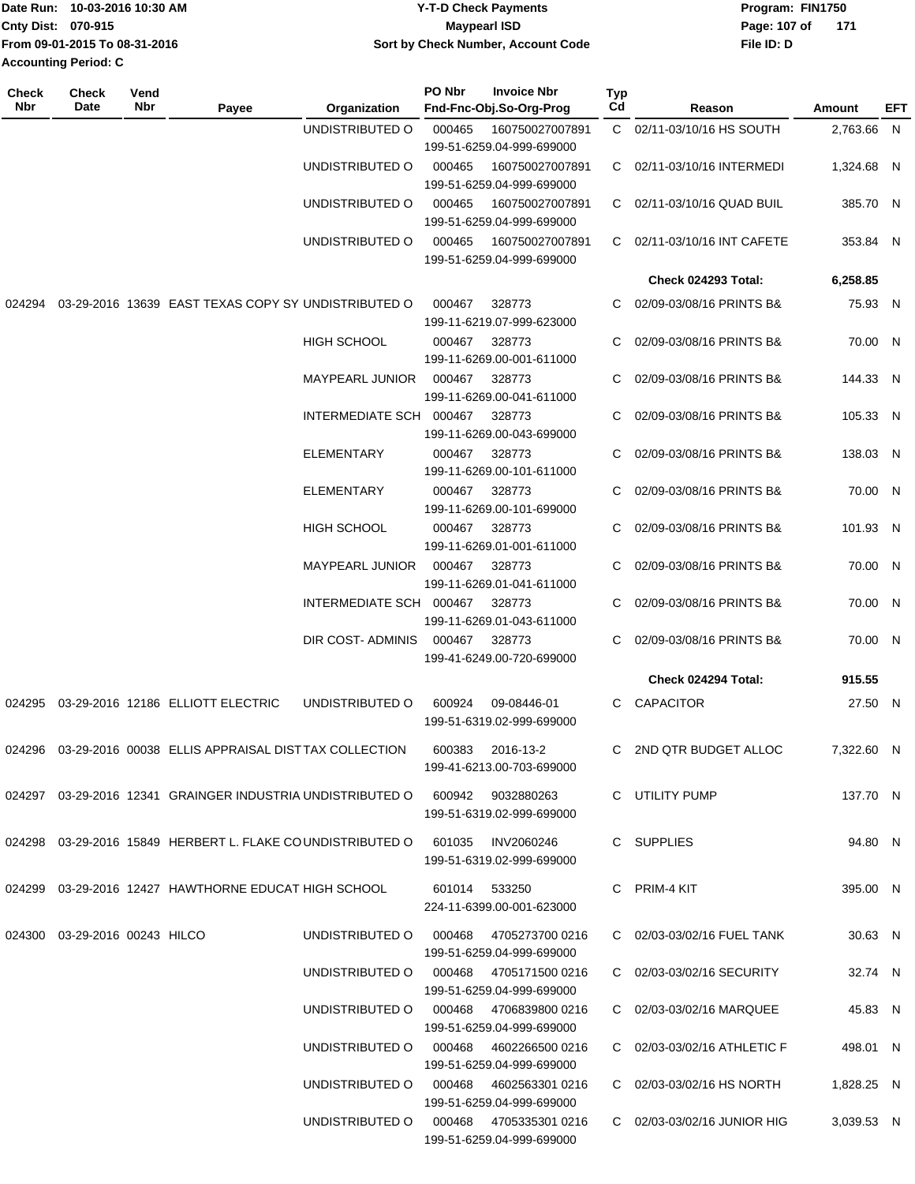| Date Run: 10-03-2016 10:30 AM | <b>Y-T-D Check Payments</b>               | Program: FIN1750 |     |  |
|-------------------------------|-------------------------------------------|------------------|-----|--|
| <b>Cnty Dist: 070-915</b>     | Maypearl ISD                              | Page: 107 of     | 171 |  |
| From 09-01-2015 To 08-31-2016 | <b>Sort by Check Number, Account Code</b> | File ID: D       |     |  |
| <b>Accounting Period: C</b>   |                                           |                  |     |  |

| Check<br>Nbr | Check<br>Date                 | Vend<br>Nbr | Payee                                                                        | Organization                           | PO Nbr        | <b>Invoice Nbr</b><br>Fnd-Fnc-Obj.So-Org-Prog       | <b>Typ</b><br>Cd | Reason                      | Amount     | EFT |
|--------------|-------------------------------|-------------|------------------------------------------------------------------------------|----------------------------------------|---------------|-----------------------------------------------------|------------------|-----------------------------|------------|-----|
|              |                               |             |                                                                              | UNDISTRIBUTED O                        | 000465        | 160750027007891<br>199-51-6259.04-999-699000        |                  | C 02/11-03/10/16 HS SOUTH   | 2,763.66 N |     |
|              |                               |             |                                                                              | UNDISTRIBUTED O                        | 000465        | 160750027007891<br>199-51-6259.04-999-699000        |                  | C 02/11-03/10/16 INTERMEDI  | 1,324.68 N |     |
|              |                               |             |                                                                              | UNDISTRIBUTED O                        | 000465        | 160750027007891<br>199-51-6259.04-999-699000        |                  | C 02/11-03/10/16 QUAD BUIL  | 385.70 N   |     |
|              |                               |             |                                                                              | UNDISTRIBUTED O                        | 000465        | 160750027007891<br>199-51-6259.04-999-699000        |                  | C 02/11-03/10/16 INT CAFETE | 353.84 N   |     |
|              |                               |             |                                                                              |                                        |               |                                                     |                  | <b>Check 024293 Total:</b>  | 6,258.85   |     |
| 024294       |                               |             | 03-29-2016 13639 EAST TEXAS COPY SY UNDISTRIBUTED O                          |                                        | 000467        | 328773<br>199-11-6219.07-999-623000                 |                  | C 02/09-03/08/16 PRINTS B&  | 75.93 N    |     |
|              |                               |             |                                                                              | <b>HIGH SCHOOL</b>                     | 000467        | 328773<br>199-11-6269.00-001-611000                 | C                | 02/09-03/08/16 PRINTS B&    | 70.00 N    |     |
|              |                               |             |                                                                              | MAYPEARL JUNIOR                        | 000467        | 328773<br>199-11-6269.00-041-611000                 | C.               | 02/09-03/08/16 PRINTS B&    | 144.33 N   |     |
|              |                               |             |                                                                              | INTERMEDIATE SCH 000467                |               | 328773<br>199-11-6269.00-043-699000                 |                  | 02/09-03/08/16 PRINTS B&    | 105.33 N   |     |
|              |                               |             |                                                                              | ELEMENTARY                             | 000467        | 328773<br>199-11-6269.00-101-611000                 |                  | 02/09-03/08/16 PRINTS B&    | 138.03 N   |     |
|              |                               |             |                                                                              | <b>ELEMENTARY</b>                      | 000467        | 328773<br>199-11-6269.00-101-699000                 | C                | 02/09-03/08/16 PRINTS B&    | 70.00 N    |     |
|              |                               |             |                                                                              | <b>HIGH SCHOOL</b>                     | 000467        | 328773<br>199-11-6269.01-001-611000                 | C.               | 02/09-03/08/16 PRINTS B&    | 101.93 N   |     |
|              |                               |             |                                                                              | MAYPEARL JUNIOR                        | 000467        | 328773<br>199-11-6269.01-041-611000                 |                  | 02/09-03/08/16 PRINTS B&    | 70.00 N    |     |
|              |                               |             |                                                                              | INTERMEDIATE SCH 000467                |               | 328773<br>199-11-6269.01-043-611000                 | C.               | 02/09-03/08/16 PRINTS B&    | 70.00 N    |     |
|              |                               |             |                                                                              | DIR COST- ADMINIS                      | 000467        | 328773<br>199-41-6249.00-720-699000                 | C.               | 02/09-03/08/16 PRINTS B&    | 70.00 N    |     |
|              |                               |             |                                                                              |                                        |               |                                                     |                  | Check 024294 Total:         | 915.55     |     |
| 024295       |                               |             | 03-29-2016 12186 ELLIOTT ELECTRIC                                            | UNDISTRIBUTED O                        | 600924        | 09-08446-01<br>199-51-6319.02-999-699000            |                  | C CAPACITOR                 | 27.50 N    |     |
| 024296       |                               |             | 03-29-2016 00038 ELLIS APPRAISAL DIST TAX COLLECTION                         |                                        | 600383        | 2016-13-2<br>199-41-6213.00-703-699000              | C.               | 2ND QTR BUDGET ALLOC        | 7,322.60 N |     |
|              |                               |             | 024297 03-29-2016 12341 GRAINGER INDUSTRIA UNDISTRIBUTED O 600942 9032880263 |                                        |               | 199-51-6319.02-999-699000                           |                  | C UTILITY PUMP              | 137.70 N   |     |
|              |                               |             | 024298 03-29-2016 15849 HERBERT L. FLAKE COUNDISTRIBUTED O 601035 INV2060246 |                                        |               | 199-51-6319.02-999-699000                           |                  | C SUPPLIES                  | 94.80 N    |     |
| 024299       |                               |             | 03-29-2016 12427 HAWTHORNE EDUCAT HIGH SCHOOL                                |                                        | 601014 533250 | 224-11-6399.00-001-623000                           |                  | C PRIM-4 KIT                | 395.00 N   |     |
|              | 024300 03-29-2016 00243 HILCO |             |                                                                              | UNDISTRIBUTED O                        |               | 000468 4705273700 0216<br>199-51-6259.04-999-699000 |                  | C 02/03-03/02/16 FUEL TANK  | 30.63 N    |     |
|              |                               |             |                                                                              | UNDISTRIBUTED O 000468 4705171500 0216 |               | 199-51-6259.04-999-699000                           |                  | C 02/03-03/02/16 SECURITY   | 32.74 N    |     |
|              |                               |             |                                                                              |                                        |               | 199-51-6259.04-999-699000                           |                  | C 02/03-03/02/16 MARQUEE    | 45.83 N    |     |
|              |                               |             |                                                                              |                                        |               | 199-51-6259.04-999-699000                           |                  | C 02/03-03/02/16 ATHLETIC F | 498.01 N   |     |
|              |                               |             |                                                                              | UNDISTRIBUTED O 000468 4602563301 0216 |               | 199-51-6259.04-999-699000                           |                  | C 02/03-03/02/16 HS NORTH   | 1,828.25 N |     |
|              |                               |             |                                                                              | UNDISTRIBUTED O 000468 4705335301 0216 |               | 199-51-6259.04-999-699000                           |                  | C 02/03-03/02/16 JUNIOR HIG | 3,039.53 N |     |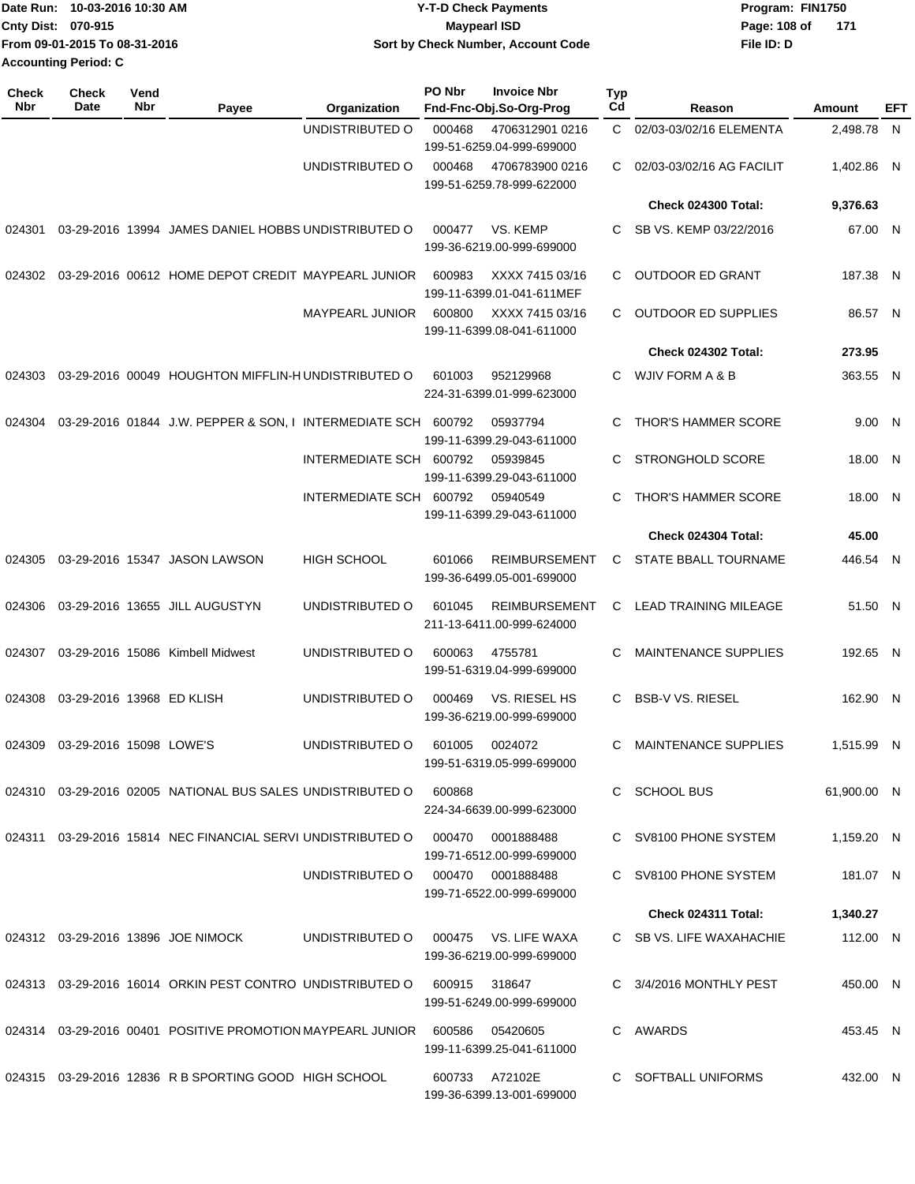| 1Date Run: 10-03-2016 10:30 AM | <b>Y-T-D Check Payments</b>        | Program: FIN1750 |
|--------------------------------|------------------------------------|------------------|
| <b>Cnty Dist: 070-915</b>      | <b>Mavpearl ISD</b>                | Page: 108 of 171 |
| From 09-01-2015 To 08-31-2016  | Sort by Check Number, Account Code | File ID: D       |
| <b>Accounting Period: C</b>    |                                    |                  |

| <b>Check</b><br><b>Nbr</b> | <b>Check</b><br>Date           | Vend<br><b>Nbr</b> | Payee                                                                    | Organization            | PO Nbr | <b>Invoice Nbr</b><br>Fnd-Fnc-Obj.So-Org-Prog     | <b>Typ</b><br>Cd | Reason                      | Amount      | EFT |
|----------------------------|--------------------------------|--------------------|--------------------------------------------------------------------------|-------------------------|--------|---------------------------------------------------|------------------|-----------------------------|-------------|-----|
|                            |                                |                    |                                                                          | UNDISTRIBUTED O         | 000468 | 4706312901 0216<br>199-51-6259.04-999-699000      | C.               | 02/03-03/02/16 ELEMENTA     | 2,498.78 N  |     |
|                            |                                |                    |                                                                          | UNDISTRIBUTED O         | 000468 | 4706783900 0216<br>199-51-6259.78-999-622000      | С                | 02/03-03/02/16 AG FACILIT   | 1,402.86 N  |     |
|                            |                                |                    |                                                                          |                         |        |                                                   |                  | Check 024300 Total:         | 9,376.63    |     |
| 024301                     |                                |                    | 03-29-2016 13994 JAMES DANIEL HOBBS UNDISTRIBUTED O                      |                         | 000477 | VS. KEMP<br>199-36-6219.00-999-699000             | C                | SB VS. KEMP 03/22/2016      | 67.00 N     |     |
| 024302                     |                                |                    | 03-29-2016 00612 HOME DEPOT CREDIT MAYPEARL JUNIOR                       |                         | 600983 | XXXX 7415 03/16<br>199-11-6399.01-041-611MEF      | C.               | <b>OUTDOOR ED GRANT</b>     | 187.38 N    |     |
|                            |                                |                    |                                                                          | <b>MAYPEARL JUNIOR</b>  | 600800 | XXXX 7415 03/16<br>199-11-6399.08-041-611000      | C.               | <b>OUTDOOR ED SUPPLIES</b>  | 86.57 N     |     |
|                            |                                |                    |                                                                          |                         |        |                                                   |                  | Check 024302 Total:         | 273.95      |     |
| 024303                     |                                |                    | 03-29-2016 00049 HOUGHTON MIFFLIN-HUNDISTRIBUTED O                       |                         | 601003 | 952129968<br>224-31-6399.01-999-623000            | C.               | WJIV FORM A & B             | 363.55 N    |     |
|                            |                                |                    | 024304  03-29-2016  01844  J.W. PEPPER & SON, I INTERMEDIATE SCH  600792 |                         |        | 05937794<br>199-11-6399.29-043-611000             | C                | <b>THOR'S HAMMER SCORE</b>  | 9.00 N      |     |
|                            |                                |                    |                                                                          | INTERMEDIATE SCH        | 600792 | 05939845<br>199-11-6399.29-043-611000             | C                | <b>STRONGHOLD SCORE</b>     | 18.00 N     |     |
|                            |                                |                    |                                                                          | INTERMEDIATE SCH 600792 |        | 05940549<br>199-11-6399.29-043-611000             | C                | <b>THOR'S HAMMER SCORE</b>  | 18.00 N     |     |
|                            |                                |                    |                                                                          |                         |        |                                                   |                  | Check 024304 Total:         | 45.00       |     |
| 024305                     |                                |                    | 03-29-2016 15347 JASON LAWSON                                            | <b>HIGH SCHOOL</b>      | 601066 | <b>REIMBURSEMENT</b><br>199-36-6499.05-001-699000 | C                | STATE BBALL TOURNAME        | 446.54 N    |     |
| 024306                     |                                |                    | 03-29-2016 13655 JILL AUGUSTYN                                           | UNDISTRIBUTED O         | 601045 | <b>REIMBURSEMENT</b><br>211-13-6411.00-999-624000 | C                | LEAD TRAINING MILEAGE       | 51.50 N     |     |
| 024307                     |                                |                    | 03-29-2016 15086 Kimbell Midwest                                         | UNDISTRIBUTED O         | 600063 | 4755781<br>199-51-6319.04-999-699000              | C                | <b>MAINTENANCE SUPPLIES</b> | 192.65 N    |     |
| 024308                     | 03-29-2016 13968 ED KLISH      |                    |                                                                          | UNDISTRIBUTED O         | 000469 | VS. RIESEL HS<br>199-36-6219.00-999-699000        | C                | <b>BSB-V VS. RIESEL</b>     | 162.90 N    |     |
|                            | 024309 03-29-2016 15098 LOWE'S |                    |                                                                          | UNDISTRIBUTED O         | 601005 | 0024072<br>199-51-6319.05-999-699000              | С                | <b>MAINTENANCE SUPPLIES</b> | 1,515.99 N  |     |
|                            |                                |                    | 024310 03-29-2016 02005 NATIONAL BUS SALES UNDISTRIBUTED O               |                         | 600868 | 224-34-6639.00-999-623000                         |                  | C SCHOOL BUS                | 61.900.00 N |     |
|                            |                                |                    | 024311 03-29-2016 15814 NEC FINANCIAL SERVI UNDISTRIBUTED O              |                         | 000470 | 0001888488<br>199-71-6512.00-999-699000           |                  | C SV8100 PHONE SYSTEM       | 1.159.20 N  |     |
|                            |                                |                    |                                                                          | UNDISTRIBUTED O         |        | 000470 0001888488<br>199-71-6522.00-999-699000    |                  | C SV8100 PHONE SYSTEM       | 181.07 N    |     |
|                            |                                |                    |                                                                          |                         |        |                                                   |                  | Check 024311 Total:         | 1,340.27    |     |
|                            |                                |                    | 024312 03-29-2016 13896 JOE NIMOCK                                       | UNDISTRIBUTED O         |        | 000475 VS. LIFE WAXA<br>199-36-6219.00-999-699000 |                  | C SB VS. LIFE WAXAHACHIE    | 112.00 N    |     |
|                            |                                |                    | 024313 03-29-2016 16014 ORKIN PEST CONTRO UNDISTRIBUTED O                |                         | 600915 | 318647<br>199-51-6249.00-999-699000               |                  | C 3/4/2016 MONTHLY PEST     | 450.00 N    |     |
|                            |                                |                    | 024314 03-29-2016 00401 POSITIVE PROMOTION MAYPEARL JUNIOR               |                         | 600586 | 05420605<br>199-11-6399.25-041-611000             |                  | C AWARDS                    | 453.45 N    |     |
|                            |                                |                    | 024315  03-29-2016  12836  R B SPORTING GOOD  HIGH SCHOOL                |                         | 600733 | A72102E<br>199-36-6399.13-001-699000              |                  | C SOFTBALL UNIFORMS         | 432.00 N    |     |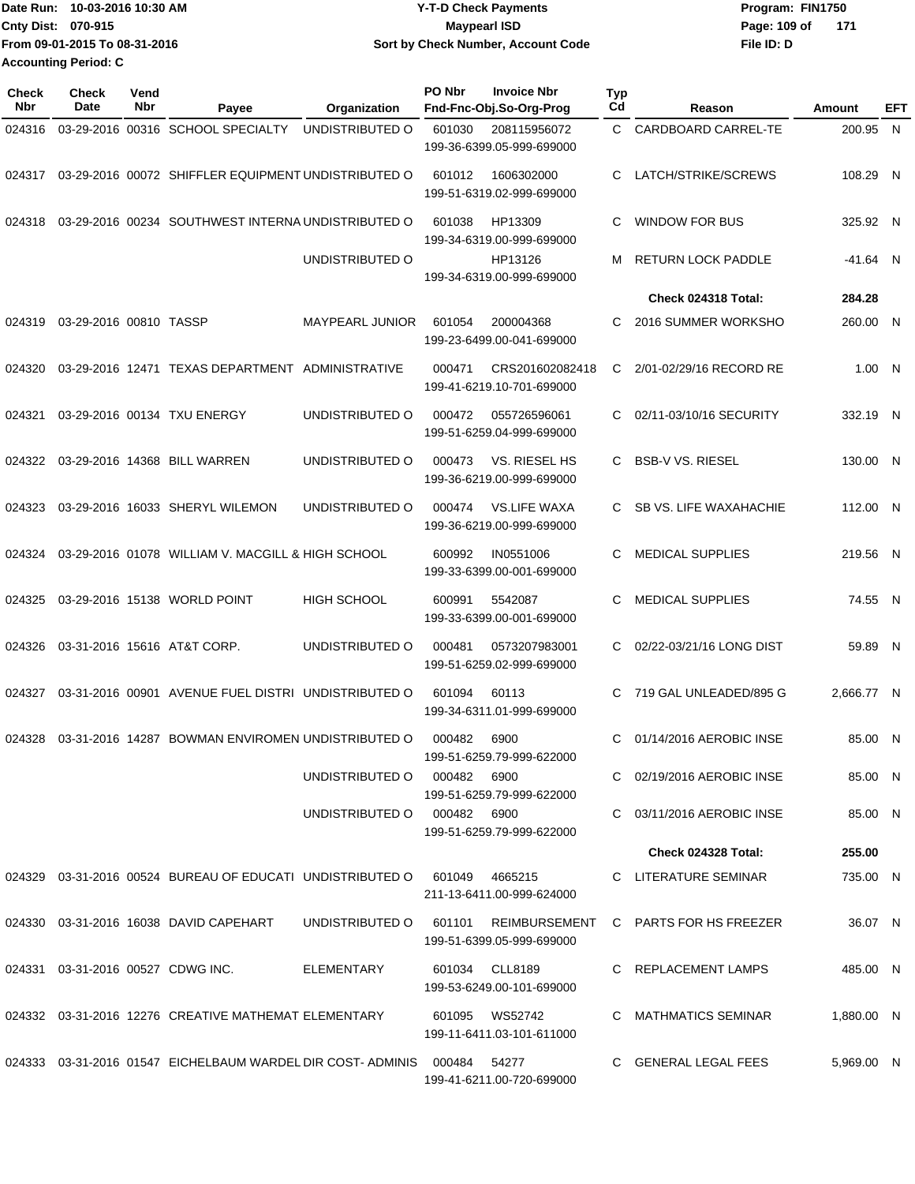| Date Run: 10-03-2016 10:30 AM | <b>Y-T-D Check Payments</b>        | Program: FIN1750    |  |  |  |
|-------------------------------|------------------------------------|---------------------|--|--|--|
| <b>Cnty Dist: 070-915</b>     | <b>Mavpearl ISD</b>                | Page: 109 of<br>171 |  |  |  |
| From 09-01-2015 To 08-31-2016 | Sort by Check Number, Account Code | File ID: D          |  |  |  |
| Accounting Period: C          |                                    |                     |  |  |  |

**PO Nbr Invoice Nbr**

| <b>Check</b><br>Nbr | Check<br>Date          | Vend<br>Nbr | Payee                                                                         | Organization           | PO Nbr      | <b>Invoice Nbr</b><br>Fnd-Fnc-Obj.So-Org-Prog    | Typ<br>C <sub>d</sub> | Reason                                      | <b>Amount</b> | EFT |
|---------------------|------------------------|-------------|-------------------------------------------------------------------------------|------------------------|-------------|--------------------------------------------------|-----------------------|---------------------------------------------|---------------|-----|
| 024316              |                        |             | 03-29-2016 00316 SCHOOL SPECIALTY                                             | UNDISTRIBUTED O        | 601030      | 208115956072<br>199-36-6399.05-999-699000        | C.                    | CARDBOARD CARREL-TE                         | 200.95 N      |     |
| 024317              |                        |             | 03-29-2016 00072 SHIFFLER EQUIPMENT UNDISTRIBUTED O                           |                        | 601012      | 1606302000<br>199-51-6319.02-999-699000          | C                     | LATCH/STRIKE/SCREWS                         | 108.29 N      |     |
| 024318              |                        |             | 03-29-2016 00234 SOUTHWEST INTERNA UNDISTRIBUTED O                            |                        | 601038      | HP13309<br>199-34-6319.00-999-699000             | C                     | <b>WINDOW FOR BUS</b>                       | 325.92 N      |     |
|                     |                        |             |                                                                               | UNDISTRIBUTED O        |             | HP13126<br>199-34-6319.00-999-699000             |                       | <b>RETURN LOCK PADDLE</b>                   | -41.64 N      |     |
|                     |                        |             |                                                                               |                        |             |                                                  |                       | Check 024318 Total:                         | 284.28        |     |
| 024319              | 03-29-2016 00810 TASSP |             |                                                                               | <b>MAYPEARL JUNIOR</b> | 601054      | 200004368<br>199-23-6499.00-041-699000           | C                     | 2016 SUMMER WORKSHO                         | 260.00 N      |     |
| 024320              |                        |             | 03-29-2016 12471 TEXAS DEPARTMENT ADMINISTRATIVE                              |                        | 000471      | CRS201602082418<br>199-41-6219.10-701-699000     | C                     | 2/01-02/29/16 RECORD RE                     | 1.00 N        |     |
| 024321              |                        |             | 03-29-2016 00134 TXU ENERGY                                                   | UNDISTRIBUTED O        | 000472      | 055726596061<br>199-51-6259.04-999-699000        | C                     | 02/11-03/10/16 SECURITY                     | 332.19 N      |     |
| 024322              |                        |             | 03-29-2016 14368 BILL WARREN                                                  | UNDISTRIBUTED O        | 000473      | VS. RIESEL HS<br>199-36-6219.00-999-699000       | C.                    | <b>BSB-V VS. RIESEL</b>                     | 130.00 N      |     |
| 024323              |                        |             | 03-29-2016 16033 SHERYL WILEMON                                               | UNDISTRIBUTED O        | 000474      | <b>VS.LIFE WAXA</b><br>199-36-6219.00-999-699000 | C.                    | SB VS. LIFE WAXAHACHIE                      | 112.00 N      |     |
| 024324              |                        |             | 03-29-2016 01078 WILLIAM V. MACGILL & HIGH SCHOOL                             |                        | 600992      | IN0551006<br>199-33-6399.00-001-699000           | C                     | <b>MEDICAL SUPPLIES</b>                     | 219.56 N      |     |
| 024325              |                        |             | 03-29-2016 15138 WORLD POINT                                                  | <b>HIGH SCHOOL</b>     | 600991      | 5542087<br>199-33-6399.00-001-699000             | C                     | <b>MEDICAL SUPPLIES</b>                     | 74.55 N       |     |
| 024326              |                        |             | 03-31-2016 15616 AT&T CORP.                                                   | UNDISTRIBUTED O        | 000481      | 0573207983001<br>199-51-6259.02-999-699000       | C                     | 02/22-03/21/16 LONG DIST                    | 59.89 N       |     |
| 024327              |                        |             | 03-31-2016 00901 AVENUE FUEL DISTRI UNDISTRIBUTED O                           |                        | 601094      | 60113<br>199-34-6311.01-999-699000               | C                     | 719 GAL UNLEADED/895 G                      | 2,666.77 N    |     |
| 024328              |                        |             | 03-31-2016 14287 BOWMAN ENVIROMEN UNDISTRIBUTED O                             |                        | 000482      | 6900<br>199-51-6259.79-999-622000                | C.                    | 01/14/2016 AEROBIC INSE                     | 85.00 N       |     |
|                     |                        |             |                                                                               | UNDISTRIBUTED O        | 000482 6900 | 199-51-6259.79-999-622000                        |                       | $C$ 02/19/2016 AEROBIC INSE                 | 85.00 N       |     |
|                     |                        |             |                                                                               | UNDISTRIBUTED O        | 000482 6900 | 199-51-6259.79-999-622000                        |                       | C 03/11/2016 AEROBIC INSE                   | 85.00 N       |     |
|                     |                        |             |                                                                               |                        |             |                                                  |                       | Check 024328 Total:                         | 255.00        |     |
|                     |                        |             | 024329 03-31-2016 00524 BUREAU OF EDUCATI UNDISTRIBUTED O                     |                        | 601049      | 4665215<br>211-13-6411.00-999-624000             |                       | C LITERATURE SEMINAR                        | 735.00 N      |     |
|                     |                        |             | 024330 03-31-2016 16038 DAVID CAPEHART                                        | UNDISTRIBUTED O        |             | 199-51-6399.05-999-699000                        |                       | 601101 REIMBURSEMENT C PARTS FOR HS FREEZER | 36.07 N       |     |
|                     |                        |             | 024331  03-31-2016  00527  CDWG INC.                                          | <b>ELEMENTARY</b>      |             | 601034 CLL8189<br>199-53-6249.00-101-699000      |                       | C REPLACEMENT LAMPS                         | 485.00 N      |     |
|                     |                        |             | 024332 03-31-2016 12276 CREATIVE MATHEMAT ELEMENTARY                          |                        |             | 601095 WS52742<br>199-11-6411.03-101-611000      |                       | C MATHMATICS SEMINAR                        | 1,880.00 N    |     |
|                     |                        |             | 024333  03-31-2016  01547  EICHELBAUM WARDEL DIR COST- ADMINIS  000484  54277 |                        |             | 199-41-6211.00-720-699000                        |                       | C GENERAL LEGAL FEES                        | 5,969.00 N    |     |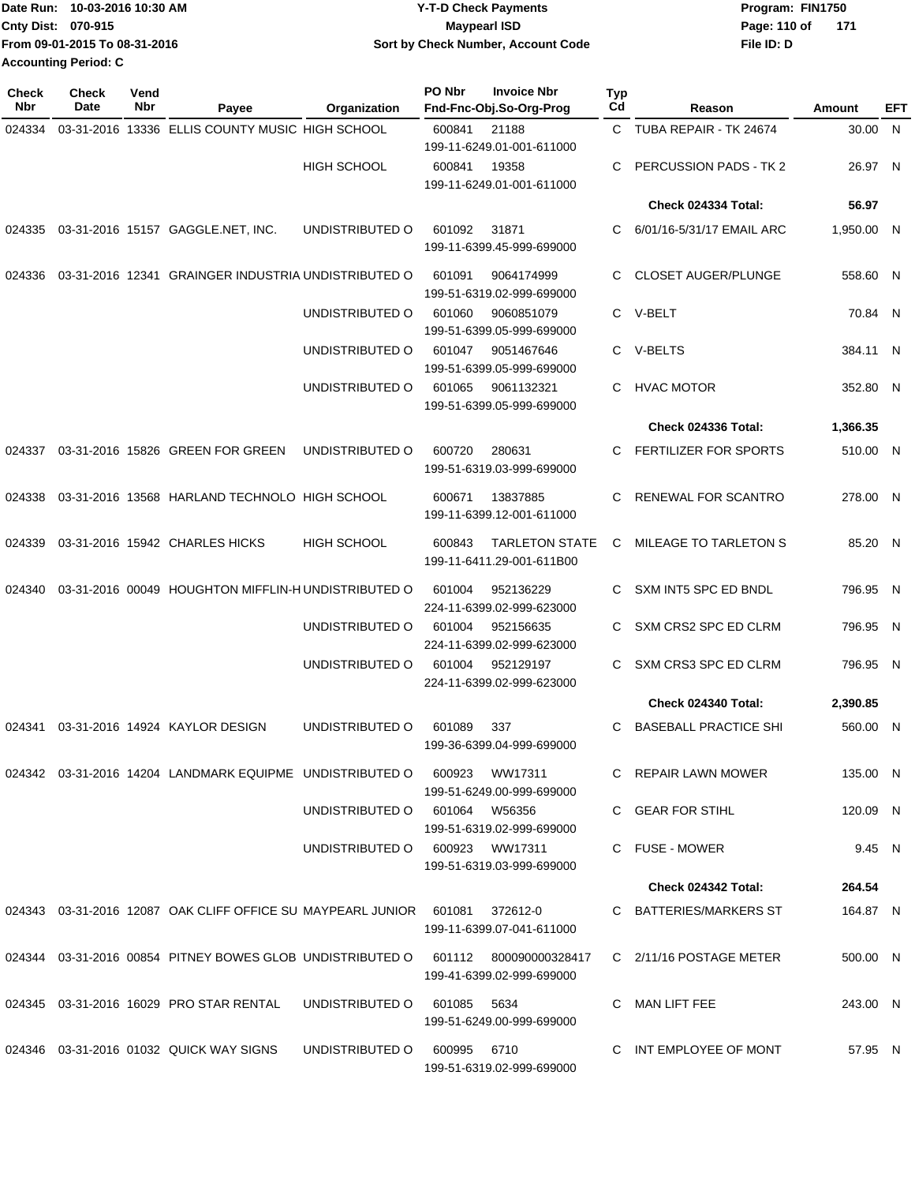|                             | Date Run: 10-03-2016 10:30 AM | <b>Y-T-D Check Payments</b>        | Program: FIN1750    |  |  |  |
|-----------------------------|-------------------------------|------------------------------------|---------------------|--|--|--|
| <b>Cnty Dist: 070-915</b>   |                               | <b>Mavpearl ISD</b>                | 171<br>Page: 110 of |  |  |  |
|                             | From 09-01-2015 To 08-31-2016 | Sort by Check Number, Account Code | File ID: D          |  |  |  |
| <b>Accounting Period: C</b> |                               |                                    |                     |  |  |  |

| Check<br><b>Nbr</b> | Check<br>Date | Vend<br>Nbr | Payee                                                                            | Organization                   | PO Nbr      | <b>Invoice Nbr</b><br>Fnd-Fnc-Obj.So-Org-Prog      | <b>Typ</b><br>Cd | Reason                       | Amount     | <b>EFT</b> |
|---------------------|---------------|-------------|----------------------------------------------------------------------------------|--------------------------------|-------------|----------------------------------------------------|------------------|------------------------------|------------|------------|
| 024334              |               |             | 03-31-2016 13336 ELLIS COUNTY MUSIC HIGH SCHOOL                                  |                                | 600841      | 21188<br>199-11-6249.01-001-611000                 | C                | TUBA REPAIR - TK 24674       | 30.00 N    |            |
|                     |               |             |                                                                                  | <b>HIGH SCHOOL</b>             | 600841      | 19358<br>199-11-6249.01-001-611000                 |                  | PERCUSSION PADS - TK 2       | 26.97 N    |            |
|                     |               |             |                                                                                  |                                |             |                                                    |                  | <b>Check 024334 Total:</b>   | 56.97      |            |
| 024335              |               |             | 03-31-2016 15157 GAGGLE.NET, INC.                                                | UNDISTRIBUTED O                | 601092      | 31871<br>199-11-6399.45-999-699000                 | C                | 6/01/16-5/31/17 EMAIL ARC    | 1,950.00 N |            |
| 024336              |               |             | 03-31-2016 12341 GRAINGER INDUSTRIA UNDISTRIBUTED O                              |                                | 601091      | 9064174999<br>199-51-6319.02-999-699000            | C.               | <b>CLOSET AUGER/PLUNGE</b>   | 558.60 N   |            |
|                     |               |             |                                                                                  | UNDISTRIBUTED O                | 601060      | 9060851079<br>199-51-6399.05-999-699000            | C.               | V-BELT                       | 70.84 N    |            |
|                     |               |             |                                                                                  | UNDISTRIBUTED O                | 601047      | 9051467646<br>199-51-6399.05-999-699000            |                  | C V-BELTS                    | 384.11 N   |            |
|                     |               |             |                                                                                  | UNDISTRIBUTED O                | 601065      | 9061132321<br>199-51-6399.05-999-699000            | C.               | <b>HVAC MOTOR</b>            | 352.80 N   |            |
|                     |               |             |                                                                                  |                                |             |                                                    |                  | <b>Check 024336 Total:</b>   | 1,366.35   |            |
| 024337              |               |             | 03-31-2016 15826 GREEN FOR GREEN                                                 | UNDISTRIBUTED O                | 600720      | 280631<br>199-51-6319.03-999-699000                | C                | FERTILIZER FOR SPORTS        | 510.00 N   |            |
| 024338              |               |             | 03-31-2016 13568 HARLAND TECHNOLO HIGH SCHOOL                                    |                                | 600671      | 13837885<br>199-11-6399.12-001-611000              | C.               | RENEWAL FOR SCANTRO          | 278.00 N   |            |
| 024339              |               |             | 03-31-2016 15942 CHARLES HICKS                                                   | <b>HIGH SCHOOL</b>             | 600843      | <b>TARLETON STATE</b><br>199-11-6411.29-001-611B00 | C                | MILEAGE TO TARLETON S        | 85.20 N    |            |
| 024340              |               |             | 03-31-2016 00049 HOUGHTON MIFFLIN-HUNDISTRIBUTED O                               |                                | 601004      | 952136229<br>224-11-6399.02-999-623000             | С                | SXM INT5 SPC ED BNDL         | 796.95 N   |            |
|                     |               |             |                                                                                  | UNDISTRIBUTED O                | 601004      | 952156635<br>224-11-6399.02-999-623000             | C                | SXM CRS2 SPC ED CLRM         | 796.95 N   |            |
|                     |               |             |                                                                                  | UNDISTRIBUTED O                | 601004      | 952129197<br>224-11-6399.02-999-623000             | C                | SXM CRS3 SPC ED CLRM         | 796.95 N   |            |
|                     |               |             |                                                                                  |                                |             |                                                    |                  | Check 024340 Total:          | 2,390.85   |            |
| 024341              |               |             | 03-31-2016 14924 KAYLOR DESIGN                                                   | UNDISTRIBUTED O                | 601089      | 337<br>199-36-6399.04-999-699000                   |                  | <b>BASEBALL PRACTICE SHI</b> | 560.00 N   |            |
|                     |               |             | 024342 03-31-2016 14204 LANDMARK EQUIPME UNDISTRIBUTED O                         |                                | 600923      | WW17311<br>199-51-6249.00-999-699000               |                  | C REPAIR LAWN MOWER          | 135.00 N   |            |
|                     |               |             |                                                                                  | UNDISTRIBUTED O 601064 W56356  |             | 199-51-6319.02-999-699000                          |                  | C GEAR FOR STIHL             | 120.09 N   |            |
|                     |               |             |                                                                                  | UNDISTRIBUTED O 600923 WW17311 |             | 199-51-6319.03-999-699000                          |                  | C FUSE - MOWER               | 9.45 N     |            |
|                     |               |             |                                                                                  |                                |             |                                                    |                  | Check 024342 Total:          | 264.54     |            |
|                     |               |             | 024343  03-31-2016  12087  OAK CLIFF OFFICE SU MAYPEARL JUNIOR  601081  372612-0 |                                |             | 199-11-6399.07-041-611000                          |                  | C BATTERIES/MARKERS ST       | 164.87 N   |            |
|                     |               |             | 024344 03-31-2016 00854 PITNEY BOWES GLOB UNDISTRIBUTED O 601112 800090000328417 |                                |             | 199-41-6399.02-999-699000                          |                  | C 2/11/16 POSTAGE METER      | 500.00 N   |            |
|                     |               |             | 024345 03-31-2016 16029 PRO STAR RENTAL                                          | UNDISTRIBUTED O                | 601085 5634 | 199-51-6249.00-999-699000                          |                  | C MAN LIFT FEE               | 243.00 N   |            |
|                     |               |             | 024346  03-31-2016  01032  QUICK WAY SIGNS                                       | UNDISTRIBUTED O                | 600995 6710 | 199-51-6319.02-999-699000                          |                  | C INT EMPLOYEE OF MONT       | 57.95 N    |            |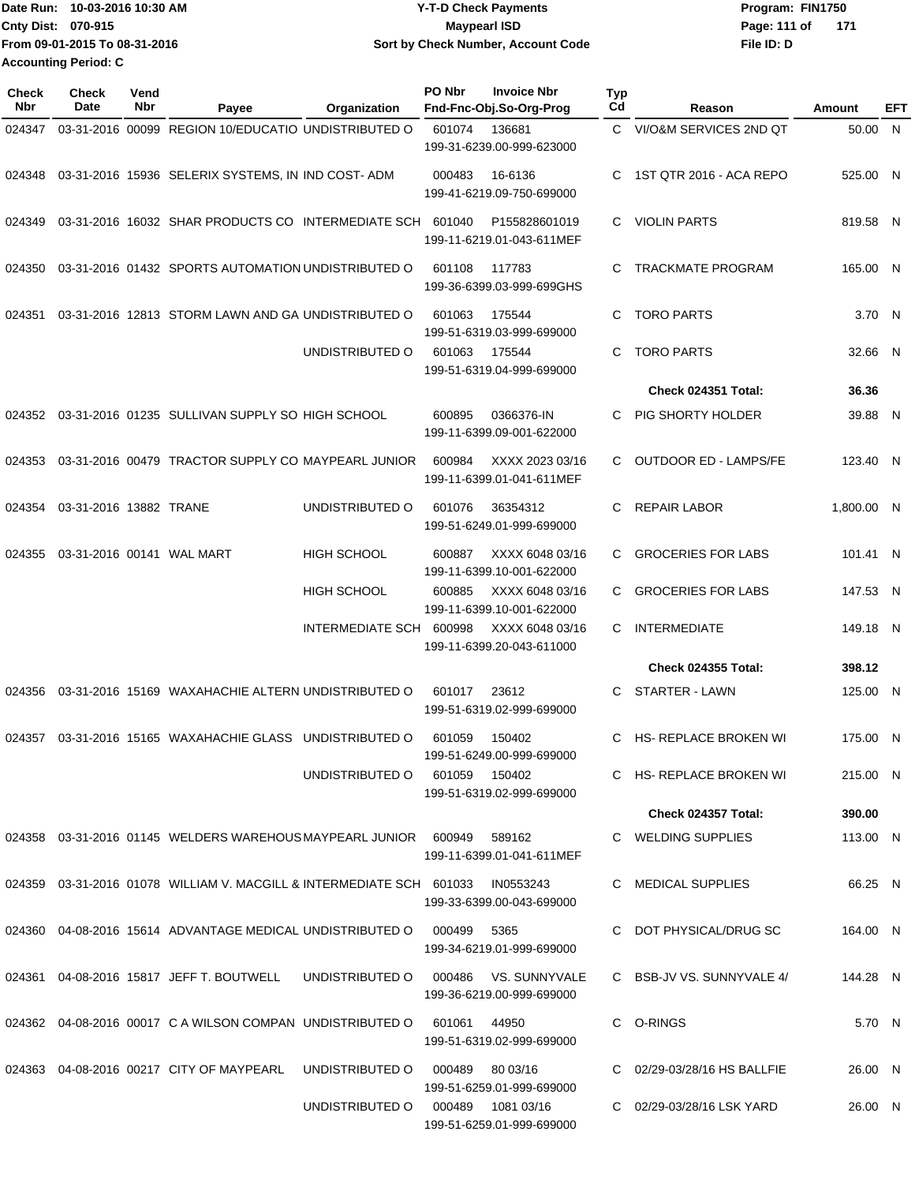| Date Run: 10-03-2016 10:30 AM | <b>Y-T-D Check Payments</b>        | Program: FIN1750    |  |  |  |
|-------------------------------|------------------------------------|---------------------|--|--|--|
| <b>Cnty Dist: 070-915</b>     | Mavpearl ISD                       | Page: 111 of<br>171 |  |  |  |
| From 09-01-2015 To 08-31-2016 | Sort by Check Number, Account Code | File ID: D          |  |  |  |
| <b>Accounting Period: C</b>   |                                    |                     |  |  |  |

| Check<br>Nbr | <b>Check</b><br>Date   | Vend<br>Nbr | Payee                                                                               | Organization                  | PO Nbr | <b>Invoice Nbr</b><br>Fnd-Fnc-Obj.So-Org-Prog | <b>Typ</b><br>Cd | Reason                       | Amount     | EFT |
|--------------|------------------------|-------------|-------------------------------------------------------------------------------------|-------------------------------|--------|-----------------------------------------------|------------------|------------------------------|------------|-----|
| 024347       |                        |             | 03-31-2016 00099 REGION 10/EDUCATIO UNDISTRIBUTED O                                 |                               | 601074 | 136681<br>199-31-6239.00-999-623000           | C.               | VI/O&M SERVICES 2ND QT       | 50.00 N    |     |
| 024348       |                        |             | 03-31-2016 15936 SELERIX SYSTEMS, IN IND COST-ADM                                   |                               | 000483 | 16-6136<br>199-41-6219.09-750-699000          | C                | 1ST QTR 2016 - ACA REPO      | 525.00 N   |     |
| 024349       |                        |             | 03-31-2016 16032 SHAR PRODUCTS CO INTERMEDIATE SCH                                  |                               | 601040 | P155828601019<br>199-11-6219.01-043-611MEF    | C                | <b>VIOLIN PARTS</b>          | 819.58 N   |     |
| 024350       |                        |             | 03-31-2016 01432 SPORTS AUTOMATION UNDISTRIBUTED O                                  |                               | 601108 | 117783<br>199-36-6399.03-999-699GHS           | C                | <b>TRACKMATE PROGRAM</b>     | 165.00 N   |     |
| 024351       |                        |             | 03-31-2016 12813 STORM LAWN AND GA UNDISTRIBUTED O                                  |                               | 601063 | 175544<br>199-51-6319.03-999-699000           | C                | <b>TORO PARTS</b>            | 3.70 N     |     |
|              |                        |             |                                                                                     | UNDISTRIBUTED O               | 601063 | 175544<br>199-51-6319.04-999-699000           | C                | <b>TORO PARTS</b>            | 32.66      | - N |
|              |                        |             |                                                                                     |                               |        |                                               |                  | Check 024351 Total:          | 36.36      |     |
| 024352       |                        |             | 03-31-2016 01235 SULLIVAN SUPPLY SO HIGH SCHOOL                                     |                               | 600895 | 0366376-IN<br>199-11-6399.09-001-622000       | C                | PIG SHORTY HOLDER            | 39.88 N    |     |
| 024353       |                        |             | 03-31-2016 00479 TRACTOR SUPPLY CO MAYPEARL JUNIOR                                  |                               | 600984 | XXXX 2023 03/16<br>199-11-6399.01-041-611MEF  | C                | <b>OUTDOOR ED - LAMPS/FE</b> | 123.40 N   |     |
| 024354       | 03-31-2016 13882 TRANE |             |                                                                                     | UNDISTRIBUTED O               | 601076 | 36354312<br>199-51-6249.01-999-699000         | C                | <b>REPAIR LABOR</b>          | 1,800.00 N |     |
| 024355       |                        |             | 03-31-2016 00141 WAL MART                                                           | <b>HIGH SCHOOL</b>            | 600887 | XXXX 6048 03/16<br>199-11-6399.10-001-622000  | C                | <b>GROCERIES FOR LABS</b>    | 101.41 N   |     |
|              |                        |             |                                                                                     | HIGH SCHOOL                   | 600885 | XXXX 6048 03/16<br>199-11-6399.10-001-622000  | C.               | <b>GROCERIES FOR LABS</b>    | 147.53 N   |     |
|              |                        |             |                                                                                     | INTERMEDIATE SCH              | 600998 | XXXX 6048 03/16<br>199-11-6399.20-043-611000  | C                | <b>INTERMEDIATE</b>          | 149.18 N   |     |
|              |                        |             |                                                                                     |                               |        |                                               |                  | <b>Check 024355 Total:</b>   | 398.12     |     |
| 024356       |                        |             | 03-31-2016 15169 WAXAHACHIE ALTERN UNDISTRIBUTED O                                  |                               | 601017 | 23612<br>199-51-6319.02-999-699000            | C                | <b>STARTER - LAWN</b>        | 125.00 N   |     |
| 024357       |                        |             | 03-31-2016 15165 WAXAHACHIE GLASS UNDISTRIBUTED O                                   |                               | 601059 | 150402<br>199-51-6249.00-999-699000           | C                | HS- REPLACE BROKEN WI        | 175.00 N   |     |
|              |                        |             |                                                                                     | UNDISTRIBUTED O 601059 150402 |        | 199-51-6319.02-999-699000                     |                  | C HS-REPLACE BROKEN WI       | 215.00 N   |     |
|              |                        |             |                                                                                     |                               |        |                                               |                  | Check 024357 Total:          | 390.00     |     |
|              |                        |             | 024358  03-31-2016  01145  WELDERS WAREHOUS MAYPEARL JUNIOR  600949                 |                               |        | 589162<br>199-11-6399.01-041-611MEF           |                  | C WELDING SUPPLIES           | 113.00 N   |     |
|              |                        |             | 024359  03-31-2016  01078  WILLIAM V. MACGILL & INTERMEDIATE SCH  601033  IN0553243 |                               |        | 199-33-6399.00-043-699000                     |                  | C MEDICAL SUPPLIES           | 66.25 N    |     |
| 024360       |                        |             | 04-08-2016 15614 ADVANTAGE MEDICAL UNDISTRIBUTED O                                  |                               | 000499 | 5365<br>199-34-6219.01-999-699000             |                  | C DOT PHYSICAL/DRUG SC       | 164.00 N   |     |
| 024361       |                        |             | 04-08-2016 15817 JEFF T. BOUTWELL                                                   | UNDISTRIBUTED O               | 000486 | VS. SUNNYVALE<br>199-36-6219.00-999-699000    |                  | C BSB-JV VS. SUNNYVALE 4/    | 144.28 N   |     |
|              |                        |             | 024362 04-08-2016 00017 C A WILSON COMPAN UNDISTRIBUTED O                           |                               | 601061 | 44950<br>199-51-6319.02-999-699000            |                  | C O-RINGS                    | 5.70 N     |     |
| 024363       |                        |             | 04-08-2016 00217 CITY OF MAYPEARL                                                   | UNDISTRIBUTED O               | 000489 | 80 03/16<br>199-51-6259.01-999-699000         |                  | C 02/29-03/28/16 HS BALLFIE  | 26.00 N    |     |
|              |                        |             |                                                                                     | UNDISTRIBUTED O               |        | 199-51-6259.01-999-699000                     |                  | C 02/29-03/28/16 LSK YARD    | 26.00 N    |     |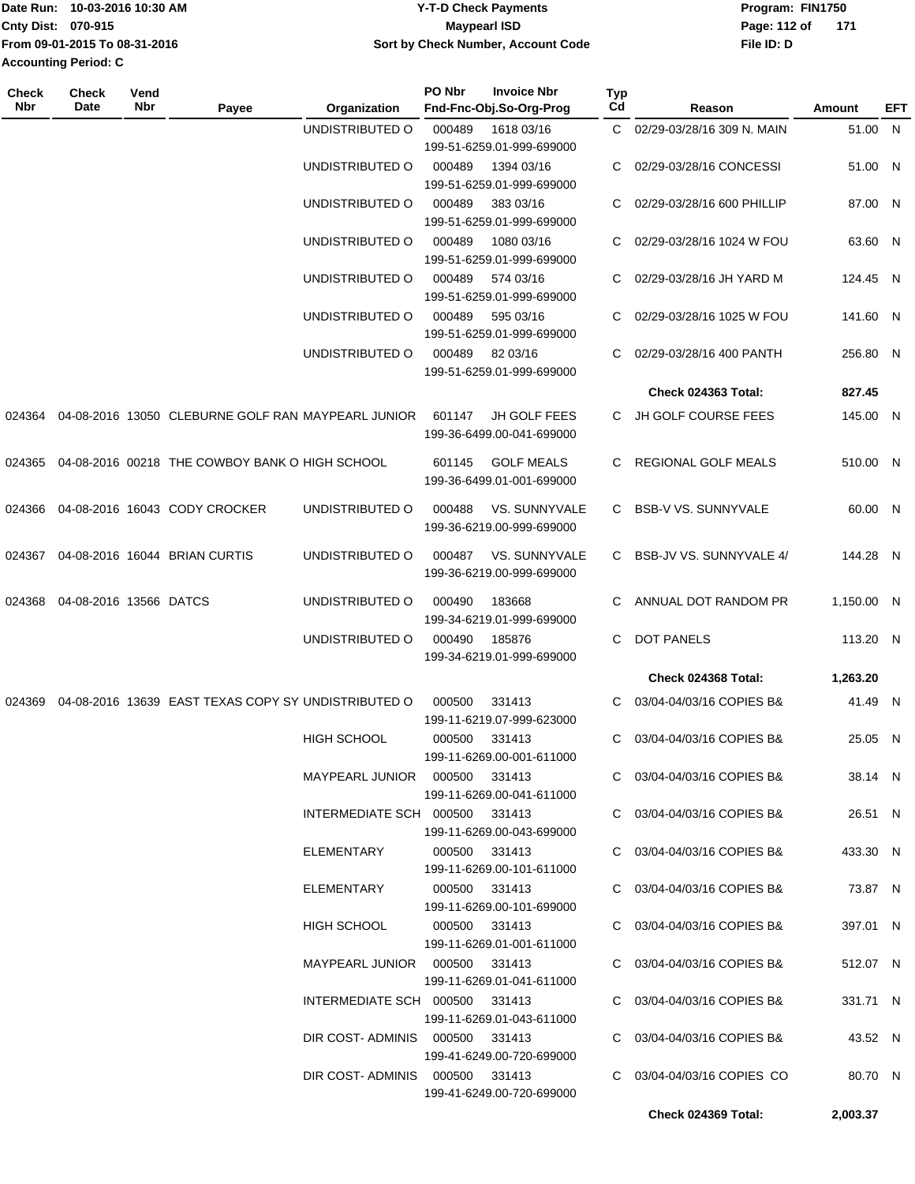| Date Run:                   | 10-03-2016 10:30 AM           | <b>Y-T-D Check Payments</b>        | Program: FIN1750    |
|-----------------------------|-------------------------------|------------------------------------|---------------------|
| Cnty Dist: 070-915          |                               | Maypearl ISD                       | 171<br>Page: 112 of |
|                             | From 09-01-2015 To 08-31-2016 | Sort by Check Number, Account Code | File ID: D          |
| <b>Accounting Period: C</b> |                               |                                    |                     |

| Check<br><b>Nbr</b> | <b>Check</b><br>Date   | Vend<br>Nbr | Payee                                               | Organization                    | PO Nbr        | <b>Invoice Nbr</b><br>Fnd-Fnc-Obj.So-Org-Prog    | <b>Typ</b><br>Cd | Reason                       | Amount     | EFT |
|---------------------|------------------------|-------------|-----------------------------------------------------|---------------------------------|---------------|--------------------------------------------------|------------------|------------------------------|------------|-----|
|                     |                        |             |                                                     | UNDISTRIBUTED O                 | 000489        | 1618 03/16<br>199-51-6259.01-999-699000          |                  | C 02/29-03/28/16 309 N. MAIN | 51.00 N    |     |
|                     |                        |             |                                                     | UNDISTRIBUTED O                 | 000489        | 1394 03/16<br>199-51-6259.01-999-699000          | C                | 02/29-03/28/16 CONCESSI      | 51.00 N    |     |
|                     |                        |             |                                                     | UNDISTRIBUTED O                 | 000489        | 383 03/16<br>199-51-6259.01-999-699000           | C                | 02/29-03/28/16 600 PHILLIP   | 87.00 N    |     |
|                     |                        |             |                                                     | UNDISTRIBUTED O                 | 000489        | 1080 03/16<br>199-51-6259.01-999-699000          | C                | 02/29-03/28/16 1024 W FOU    | 63.60 N    |     |
|                     |                        |             |                                                     | UNDISTRIBUTED O                 | 000489        | 574 03/16<br>199-51-6259.01-999-699000           | C                | 02/29-03/28/16 JH YARD M     | 124.45 N   |     |
|                     |                        |             |                                                     | UNDISTRIBUTED O                 | 000489        | 595 03/16<br>199-51-6259.01-999-699000           | C                | 02/29-03/28/16 1025 W FOU    | 141.60 N   |     |
|                     |                        |             |                                                     | UNDISTRIBUTED O                 | 000489        | 82 03/16<br>199-51-6259.01-999-699000            | C                | 02/29-03/28/16 400 PANTH     | 256.80 N   |     |
|                     |                        |             |                                                     |                                 |               |                                                  |                  | Check 024363 Total:          | 827.45     |     |
| 024364              |                        |             | 04-08-2016 13050 CLEBURNE GOLF RAN MAYPEARL JUNIOR  |                                 | 601147        | <b>JH GOLF FEES</b><br>199-36-6499.00-041-699000 | C.               | JH GOLF COURSE FEES          | 145.00 N   |     |
| 024365              |                        |             | 04-08-2016 00218 THE COWBOY BANK O HIGH SCHOOL      |                                 | 601145        | <b>GOLF MEALS</b><br>199-36-6499.01-001-699000   | C.               | REGIONAL GOLF MEALS          | 510.00 N   |     |
| 024366              |                        |             | 04-08-2016 16043 CODY CROCKER                       | UNDISTRIBUTED O                 | 000488        | VS. SUNNYVALE<br>199-36-6219.00-999-699000       | C.               | <b>BSB-V VS. SUNNYVALE</b>   | 60.00 N    |     |
| 024367              |                        |             | 04-08-2016 16044 BRIAN CURTIS                       | UNDISTRIBUTED O                 | 000487        | VS. SUNNYVALE<br>199-36-6219.00-999-699000       | C.               | BSB-JV VS. SUNNYVALE 4/      | 144.28 N   |     |
| 024368              | 04-08-2016 13566 DATCS |             |                                                     | UNDISTRIBUTED O                 | 000490        | 183668<br>199-34-6219.01-999-699000              | C                | ANNUAL DOT RANDOM PR         | 1,150.00 N |     |
|                     |                        |             |                                                     | UNDISTRIBUTED O                 | 000490        | 185876<br>199-34-6219.01-999-699000              | C                | <b>DOT PANELS</b>            | 113.20 N   |     |
|                     |                        |             |                                                     |                                 |               |                                                  |                  | Check 024368 Total:          | 1,263.20   |     |
| 024369              |                        |             | 04-08-2016 13639 EAST TEXAS COPY SY UNDISTRIBUTED O |                                 | 000500        | 331413<br>199-11-6219.07-999-623000              | C.               | 03/04-04/03/16 COPIES B&     | 41.49 N    |     |
|                     |                        |             |                                                     | <b>HIGH SCHOOL</b>              | 000500        | 331413<br>199-11-6269.00-001-611000              | C                | 03/04-04/03/16 COPIES B&     | 25.05 N    |     |
|                     |                        |             |                                                     | MAYPEARL JUNIOR  000500  331413 |               | 199-11-6269.00-041-611000                        |                  | C 03/04-04/03/16 COPIES B&   | 38.14 N    |     |
|                     |                        |             |                                                     | INTERMEDIATE SCH 000500 331413  |               | 199-11-6269.00-043-699000                        |                  | C 03/04-04/03/16 COPIES B&   | 26.51 N    |     |
|                     |                        |             |                                                     | ELEMENTARY                      |               | 000500 331413<br>199-11-6269.00-101-611000       |                  | C 03/04-04/03/16 COPIES B&   | 433.30 N   |     |
|                     |                        |             |                                                     | ELEMENTARY                      |               | 000500 331413<br>199-11-6269.00-101-699000       |                  | C 03/04-04/03/16 COPIES B&   | 73.87 N    |     |
|                     |                        |             |                                                     | HIGH SCHOOL                     | 000500 331413 | 199-11-6269.01-001-611000                        |                  | C 03/04-04/03/16 COPIES B&   | 397.01 N   |     |
|                     |                        |             |                                                     | MAYPEARL JUNIOR  000500  331413 |               | 199-11-6269.01-041-611000                        |                  | C 03/04-04/03/16 COPIES B&   | 512.07 N   |     |
|                     |                        |             |                                                     | INTERMEDIATE SCH 000500 331413  |               | 199-11-6269.01-043-611000                        |                  | C 03/04-04/03/16 COPIES B&   | 331.71 N   |     |
|                     |                        |             |                                                     | DIR COST-ADMINIS 000500 331413  |               | 199-41-6249.00-720-699000                        |                  | C 03/04-04/03/16 COPIES B&   | 43.52 N    |     |
|                     |                        |             |                                                     | DIR COST-ADMINIS 000500 331413  |               | 199-41-6249.00-720-699000                        |                  | C 03/04-04/03/16 COPIES CO   | 80.70 N    |     |
|                     |                        |             |                                                     |                                 |               |                                                  |                  | Check 024369 Total:          | 2,003.37   |     |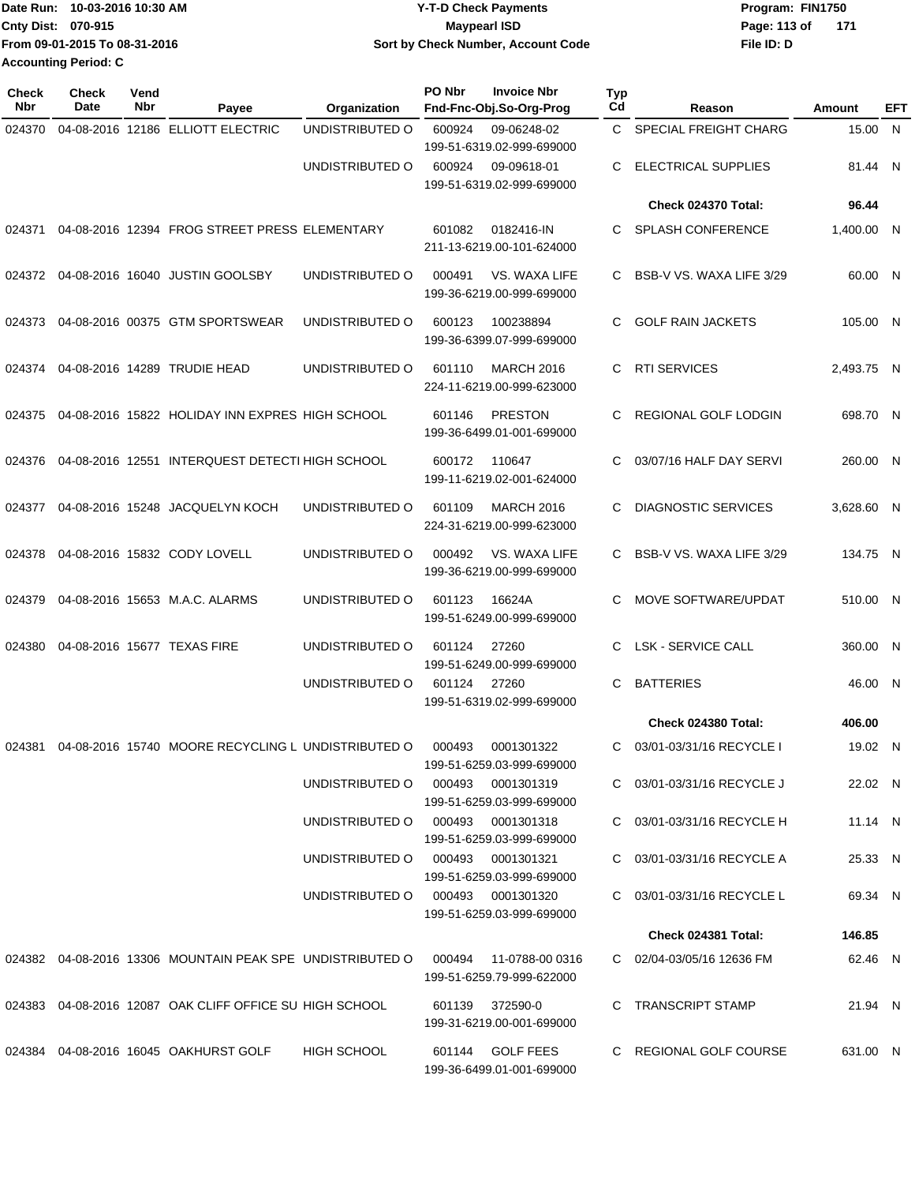| Date Run: 10-03-2016 10:30 AM | <b>Y-T-D Check Payments</b>        | Program: FIN1750    |  |  |  |  |
|-------------------------------|------------------------------------|---------------------|--|--|--|--|
| <b>Cnty Dist: 070-915</b>     | <b>Mavpearl ISD</b>                | Page: 113 of<br>171 |  |  |  |  |
| From 09-01-2015 To 08-31-2016 | Sort by Check Number, Account Code | File ID: D          |  |  |  |  |
| <b>Accounting Period: C</b>   |                                    |                     |  |  |  |  |

| <b>Check</b><br>Nbr | <b>Check</b><br><b>Date</b> | Vend<br>Nbr                 | Payee                                                      | Organization       | PO Nbr | <b>Invoice Nbr</b><br>Fnd-Fnc-Obj.So-Org-Prog  | Typ<br>Cd | Reason                     | Amount     | EFT |
|---------------------|-----------------------------|-----------------------------|------------------------------------------------------------|--------------------|--------|------------------------------------------------|-----------|----------------------------|------------|-----|
| 024370              |                             |                             | 04-08-2016 12186 ELLIOTT ELECTRIC                          | UNDISTRIBUTED O    | 600924 | 09-06248-02<br>199-51-6319.02-999-699000       | C.        | SPECIAL FREIGHT CHARG      | 15.00 N    |     |
|                     |                             |                             |                                                            | UNDISTRIBUTED O    | 600924 | 09-09618-01<br>199-51-6319.02-999-699000       | С         | <b>ELECTRICAL SUPPLIES</b> | 81.44 N    |     |
|                     |                             |                             |                                                            |                    |        |                                                |           | Check 024370 Total:        | 96.44      |     |
| 024371              |                             |                             | 04-08-2016 12394 FROG STREET PRESS ELEMENTARY              |                    | 601082 | 0182416-IN<br>211-13-6219.00-101-624000        | C         | <b>SPLASH CONFERENCE</b>   | 1,400.00 N |     |
| 024372              |                             |                             | 04-08-2016 16040 JUSTIN GOOLSBY                            | UNDISTRIBUTED O    | 000491 | VS. WAXA LIFE<br>199-36-6219.00-999-699000     | C         | BSB-V VS. WAXA LIFE 3/29   | 60.00 N    |     |
| 024373              |                             |                             | 04-08-2016 00375 GTM SPORTSWEAR                            | UNDISTRIBUTED O    | 600123 | 100238894<br>199-36-6399.07-999-699000         | C         | <b>GOLF RAIN JACKETS</b>   | 105.00 N   |     |
| 024374              |                             |                             | 04-08-2016 14289 TRUDIE HEAD                               | UNDISTRIBUTED O    | 601110 | <b>MARCH 2016</b><br>224-11-6219.00-999-623000 | C         | <b>RTI SERVICES</b>        | 2,493.75 N |     |
| 024375              |                             |                             | 04-08-2016 15822 HOLIDAY INN EXPRES HIGH SCHOOL            |                    | 601146 | <b>PRESTON</b><br>199-36-6499.01-001-699000    | С         | REGIONAL GOLF LODGIN       | 698.70 N   |     |
| 024376              |                             |                             | 04-08-2016 12551 INTERQUEST DETECTI HIGH SCHOOL            |                    | 600172 | 110647<br>199-11-6219.02-001-624000            | С         | 03/07/16 HALF DAY SERVI    | 260.00 N   |     |
| 024377              |                             |                             | 04-08-2016 15248 JACQUELYN KOCH                            | UNDISTRIBUTED O    | 601109 | <b>MARCH 2016</b><br>224-31-6219.00-999-623000 | С         | <b>DIAGNOSTIC SERVICES</b> | 3,628.60 N |     |
| 024378              |                             |                             | 04-08-2016 15832 CODY LOVELL                               | UNDISTRIBUTED O    | 000492 | VS. WAXA LIFE<br>199-36-6219.00-999-699000     | C.        | BSB-V VS. WAXA LIFE 3/29   | 134.75 N   |     |
| 024379              |                             |                             | 04-08-2016 15653 M.A.C. ALARMS                             | UNDISTRIBUTED O    | 601123 | 16624A<br>199-51-6249.00-999-699000            | С         | MOVE SOFTWARE/UPDAT        | 510.00 N   |     |
| 024380              |                             | 04-08-2016 15677 TEXAS FIRE | UNDISTRIBUTED O                                            |                    | 601124 | 27260<br>199-51-6249.00-999-699000             | С         | <b>LSK - SERVICE CALL</b>  | 360.00 N   |     |
|                     |                             |                             |                                                            | UNDISTRIBUTED O    | 601124 | 27260<br>199-51-6319.02-999-699000             | С         | <b>BATTERIES</b>           | 46.00 N    |     |
|                     |                             |                             |                                                            |                    |        |                                                |           | Check 024380 Total:        | 406.00     |     |
| 024381              |                             |                             | 04-08-2016 15740 MOORE RECYCLING L UNDISTRIBUTED O         |                    | 000493 | 0001301322<br>199-51-6259.03-999-699000        | С         | 03/01-03/31/16 RECYCLE I   | 19.02 N    |     |
|                     |                             |                             |                                                            | UNDISTRIBUTED O    | 000493 | 0001301319<br>199-51-6259.03-999-699000        |           | C 03/01-03/31/16 RECYCLE J | 22.02 N    |     |
|                     |                             |                             |                                                            | UNDISTRIBUTED O    |        | 000493 0001301318<br>199-51-6259.03-999-699000 |           | C 03/01-03/31/16 RECYCLE H | 11.14 N    |     |
|                     |                             |                             |                                                            | UNDISTRIBUTED O    |        | 000493 0001301321<br>199-51-6259.03-999-699000 |           | C 03/01-03/31/16 RECYCLE A | 25.33 N    |     |
|                     |                             |                             |                                                            | UNDISTRIBUTED O    |        | 000493 0001301320<br>199-51-6259.03-999-699000 |           | C 03/01-03/31/16 RECYCLE L | 69.34 N    |     |
|                     |                             |                             |                                                            |                    |        |                                                |           | Check 024381 Total:        | 146.85     |     |
|                     |                             |                             | 024382 04-08-2016 13306 MOUNTAIN PEAK SPE UNDISTRIBUTED O  |                    | 000494 | 11-0788-00 0316<br>199-51-6259.79-999-622000   |           | C 02/04-03/05/16 12636 FM  | 62.46 N    |     |
|                     |                             |                             | 024383  04-08-2016  12087  OAK CLIFF OFFICE SU HIGH SCHOOL |                    | 601139 | 372590-0<br>199-31-6219.00-001-699000          | C         | TRANSCRIPT STAMP           | 21.94 N    |     |
|                     |                             |                             | 024384 04-08-2016 16045 OAKHURST GOLF                      | <b>HIGH SCHOOL</b> | 601144 | <b>GOLF FEES</b><br>199-36-6499.01-001-699000  |           | C REGIONAL GOLF COURSE     | 631.00 N   |     |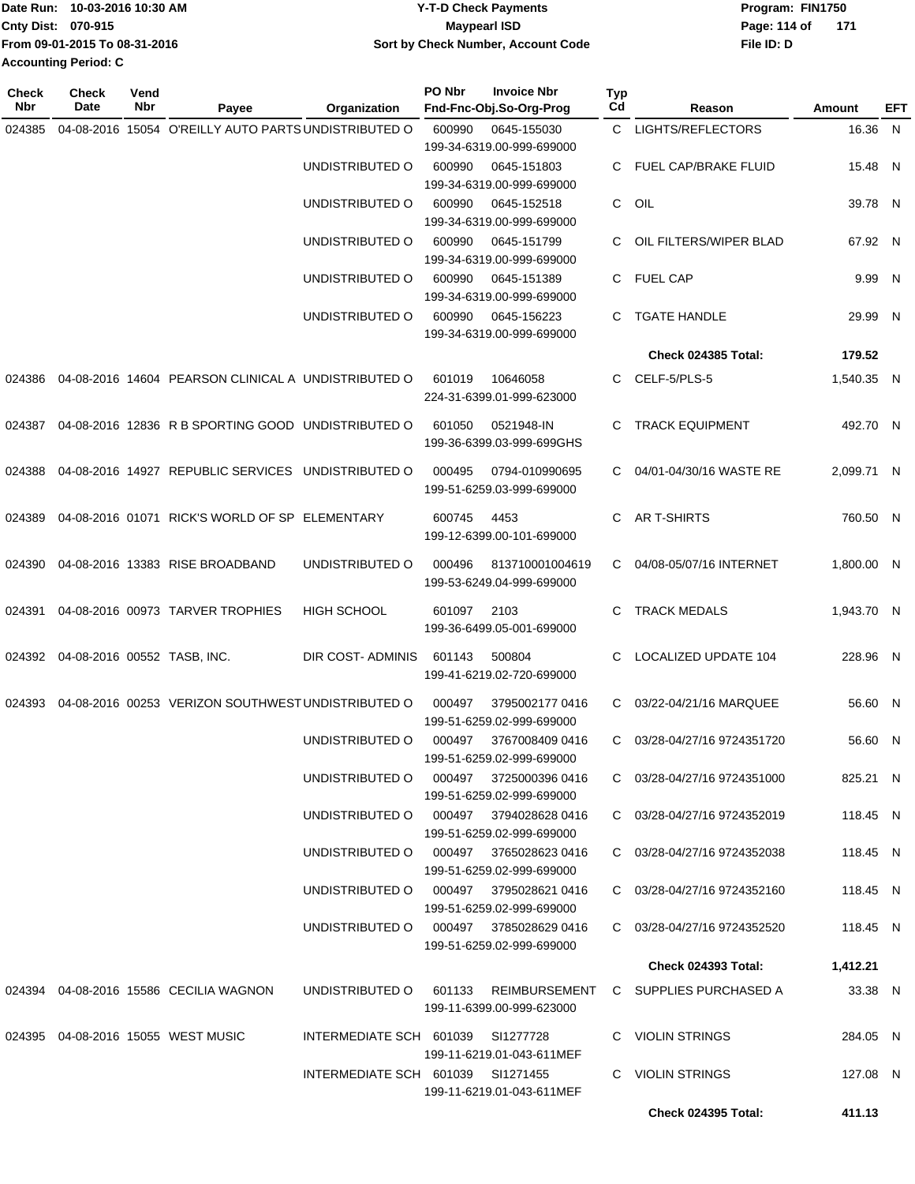| IDate Run: 10-03-2016 10:30 AM | <b>Y-T-D Check Payments</b>        | Program: FIN1750    |  |  |  |
|--------------------------------|------------------------------------|---------------------|--|--|--|
| <b>Cnty Dist: 070-915</b>      | <b>Maypearl ISD</b>                | Page: 114 of<br>171 |  |  |  |
| From 09-01-2015 To 08-31-2016  | Sort by Check Number, Account Code | File ID: D          |  |  |  |
| <b>Accounting Period: C</b>    |                                    |                     |  |  |  |

| Check<br>Nbr | <b>Check</b><br>Date               | Vend<br>Nbr | Payee                                                | Organization                           | PO Nbr | <b>Invoice Nbr</b><br>Fnd-Fnc-Obj.So-Org-Prog | <b>Typ</b><br>Cd | Reason                                                      | Amount     | EFT |
|--------------|------------------------------------|-------------|------------------------------------------------------|----------------------------------------|--------|-----------------------------------------------|------------------|-------------------------------------------------------------|------------|-----|
| 024385       |                                    |             | 04-08-2016 15054 O'REILLY AUTO PARTS UNDISTRIBUTED O |                                        | 600990 | 0645-155030                                   |                  | C LIGHTS/REFLECTORS                                         | 16.36 N    |     |
|              |                                    |             |                                                      |                                        |        | 199-34-6319.00-999-699000                     |                  |                                                             |            |     |
|              |                                    |             |                                                      | UNDISTRIBUTED O                        | 600990 | 0645-151803                                   |                  | C FUEL CAP/BRAKE FLUID                                      | 15.48 N    |     |
|              |                                    |             |                                                      |                                        |        | 199-34-6319.00-999-699000                     |                  |                                                             |            |     |
|              |                                    |             |                                                      | UNDISTRIBUTED O                        | 600990 | 0645-152518<br>199-34-6319.00-999-699000      | C                | OIL                                                         | 39.78 N    |     |
|              |                                    |             |                                                      | UNDISTRIBUTED O                        | 600990 | 0645-151799                                   | C.               | OIL FILTERS/WIPER BLAD                                      | 67.92 N    |     |
|              |                                    |             |                                                      |                                        |        | 199-34-6319.00-999-699000                     |                  |                                                             |            |     |
|              |                                    |             |                                                      | UNDISTRIBUTED O                        | 600990 | 0645-151389                                   |                  | C FUEL CAP                                                  | 9.99 N     |     |
|              |                                    |             |                                                      |                                        |        | 199-34-6319.00-999-699000                     |                  |                                                             |            |     |
|              |                                    |             |                                                      | UNDISTRIBUTED O                        | 600990 | 0645-156223                                   | C.               | TGATE HANDLE                                                | 29.99 N    |     |
|              |                                    |             |                                                      |                                        |        | 199-34-6319.00-999-699000                     |                  |                                                             |            |     |
|              |                                    |             |                                                      |                                        |        |                                               |                  | Check 024385 Total:                                         | 179.52     |     |
| 024386       |                                    |             | 04-08-2016 14604 PEARSON CLINICAL A UNDISTRIBUTED O  |                                        | 601019 | 10646058<br>224-31-6399.01-999-623000         | C                | CELF-5/PLS-5                                                | 1,540.35 N |     |
| 024387       |                                    |             | 04-08-2016 12836 R B SPORTING GOOD UNDISTRIBUTED O   |                                        | 601050 | 0521948-IN                                    | С                | <b>TRACK EQUIPMENT</b>                                      | 492.70 N   |     |
|              |                                    |             |                                                      |                                        |        | 199-36-6399.03-999-699GHS                     |                  |                                                             |            |     |
| 024388       |                                    |             | 04-08-2016 14927 REPUBLIC SERVICES UNDISTRIBUTED O   |                                        | 000495 | 0794-010990695                                | C.               | 04/01-04/30/16 WASTE RE                                     | 2,099.71 N |     |
|              |                                    |             |                                                      |                                        |        | 199-51-6259.03-999-699000                     |                  |                                                             |            |     |
| 024389       |                                    |             | 04-08-2016 01071 RICK'S WORLD OF SP ELEMENTARY       |                                        | 600745 | 4453                                          | C.               | AR T-SHIRTS                                                 | 760.50 N   |     |
|              |                                    |             |                                                      |                                        |        | 199-12-6399.00-101-699000                     |                  |                                                             |            |     |
| 024390       |                                    |             | 04-08-2016 13383 RISE BROADBAND                      | UNDISTRIBUTED O                        | 000496 | 813710001004619                               | C.               | 04/08-05/07/16 INTERNET                                     | 1,800.00 N |     |
|              |                                    |             |                                                      |                                        |        | 199-53-6249.04-999-699000                     |                  |                                                             |            |     |
|              |                                    |             |                                                      |                                        |        |                                               |                  |                                                             |            |     |
| 024391       |                                    |             | 04-08-2016 00973 TARVER TROPHIES                     | <b>HIGH SCHOOL</b>                     | 601097 | 2103<br>199-36-6499.05-001-699000             | C                | <b>TRACK MEDALS</b>                                         | 1,943.70 N |     |
|              |                                    |             |                                                      |                                        |        |                                               |                  |                                                             |            |     |
|              | 024392 04-08-2016 00552 TASB, INC. |             |                                                      | DIR COST-ADMINIS                       | 601143 | 500804                                        | C                | <b>LOCALIZED UPDATE 104</b>                                 | 228.96 N   |     |
|              |                                    |             |                                                      |                                        |        | 199-41-6219.02-720-699000                     |                  |                                                             |            |     |
| 024393       |                                    |             | 04-08-2016 00253 VERIZON SOUTHWEST UNDISTRIBUTED O   |                                        | 000497 | 3795002177 0416                               | C.               | 03/22-04/21/16 MARQUEE                                      | 56.60 N    |     |
|              |                                    |             |                                                      |                                        |        | 199-51-6259.02-999-699000                     |                  |                                                             |            |     |
|              |                                    |             |                                                      | UNDISTRIBUTED O                        | 000497 | 3767008409 0416                               | C.               | 03/28-04/27/16 9724351720                                   | 56.60 N    |     |
|              |                                    |             |                                                      | UNDISTRIBUTED O 000497 3725000396 0416 |        | 199-51-6259.02-999-699000                     |                  | C 03/28-04/27/16 9724351000                                 | 825.21 N   |     |
|              |                                    |             |                                                      |                                        |        | 199-51-6259.02-999-699000                     |                  |                                                             |            |     |
|              |                                    |             |                                                      | UNDISTRIBUTED O 000497 3794028628 0416 |        |                                               |                  | C 03/28-04/27/16 9724352019                                 | 118.45 N   |     |
|              |                                    |             |                                                      |                                        |        | 199-51-6259.02-999-699000                     |                  |                                                             |            |     |
|              |                                    |             |                                                      | UNDISTRIBUTED O 000497 3765028623 0416 |        |                                               |                  | C 03/28-04/27/16 9724352038                                 | 118.45 N   |     |
|              |                                    |             |                                                      |                                        |        | 199-51-6259.02-999-699000                     |                  |                                                             |            |     |
|              |                                    |             |                                                      | UNDISTRIBUTED O 000497 3795028621 0416 |        | 199-51-6259.02-999-699000                     |                  | C 03/28-04/27/16 9724352160                                 | 118.45 N   |     |
|              |                                    |             |                                                      | UNDISTRIBUTED O 000497 3785028629 0416 |        |                                               |                  | C 03/28-04/27/16 9724352520                                 | 118.45 N   |     |
|              |                                    |             |                                                      |                                        |        | 199-51-6259.02-999-699000                     |                  |                                                             |            |     |
|              |                                    |             |                                                      |                                        |        |                                               |                  | Check 024393 Total:                                         | 1,412.21   |     |
|              |                                    |             | 024394 04-08-2016 15586 CECILIA WAGNON               |                                        |        |                                               |                  | UNDISTRIBUTED O 601133 REIMBURSEMENT C SUPPLIES PURCHASED A | 33.38 N    |     |
|              |                                    |             |                                                      |                                        |        | 199-11-6399.00-999-623000                     |                  |                                                             |            |     |
|              |                                    |             | 024395  04-08-2016  15055  WEST MUSIC                | INTERMEDIATE SCH 601039 SI1277728      |        |                                               |                  | C VIOLIN STRINGS                                            | 284.05 N   |     |
|              |                                    |             |                                                      |                                        |        | 199-11-6219.01-043-611MEF                     |                  |                                                             |            |     |
|              |                                    |             |                                                      | INTERMEDIATE SCH 601039 SI1271455      |        |                                               |                  | C VIOLIN STRINGS                                            | 127.08 N   |     |
|              |                                    |             |                                                      |                                        |        | 199-11-6219.01-043-611MEF                     |                  |                                                             |            |     |
|              |                                    |             |                                                      |                                        |        |                                               |                  | <b>Check 024395 Total:</b>                                  | 411.13     |     |
|              |                                    |             |                                                      |                                        |        |                                               |                  |                                                             |            |     |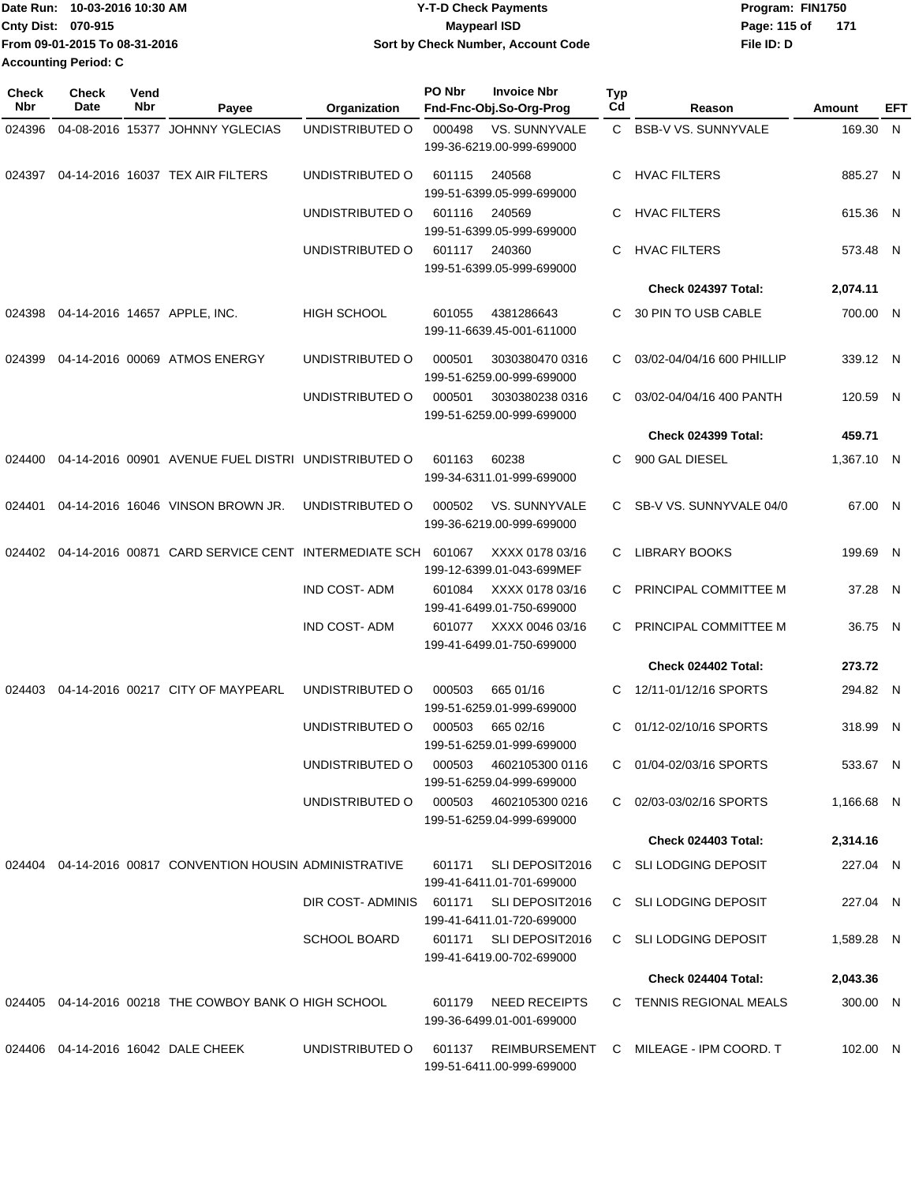| 1Date Run: 10-03-2016 10:30 AM | <b>Y-T-D Check Payments</b>        | Program: FIN1750      |  |  |  |
|--------------------------------|------------------------------------|-----------------------|--|--|--|
| <b>Cnty Dist: 070-915</b>      | Maypearl ISD                       | - 171<br>Page: 115 of |  |  |  |
| TFrom 09-01-2015 To 08-31-2016 | Sort by Check Number, Account Code | File ID: D            |  |  |  |
| <b>Accounting Period: C</b>    |                                    |                       |  |  |  |

| <b>Check</b><br>Nbr | Check<br>Date | Vend<br>Nbr | Payee                                                      | Organization                            | PO Nbr | <b>Invoice Nbr</b><br>Fnd-Fnc-Obj.So-Org-Prog     | <b>Typ</b><br>Cd | Reason                                 | Amount     | EFT |
|---------------------|---------------|-------------|------------------------------------------------------------|-----------------------------------------|--------|---------------------------------------------------|------------------|----------------------------------------|------------|-----|
| 024396              |               |             | 04-08-2016 15377 JOHNNY YGLECIAS                           | UNDISTRIBUTED O                         | 000498 | VS. SUNNYVALE<br>199-36-6219.00-999-699000        | $\mathbf{C}$     | <b>BSB-V VS. SUNNYVALE</b>             | 169.30 N   |     |
| 024397              |               |             | 04-14-2016 16037 TEX AIR FILTERS                           | UNDISTRIBUTED O                         | 601115 | 240568<br>199-51-6399.05-999-699000               | C.               | <b>HVAC FILTERS</b>                    | 885.27 N   |     |
|                     |               |             |                                                            | UNDISTRIBUTED O                         | 601116 | 240569<br>199-51-6399.05-999-699000               | C                | <b>HVAC FILTERS</b>                    | 615.36 N   |     |
|                     |               |             |                                                            | UNDISTRIBUTED O                         | 601117 | 240360<br>199-51-6399.05-999-699000               | C                | <b>HVAC FILTERS</b>                    | 573.48 N   |     |
|                     |               |             |                                                            |                                         |        |                                                   |                  | Check 024397 Total:                    | 2,074.11   |     |
|                     |               |             | 024398  04-14-2016  14657  APPLE, INC.                     | <b>HIGH SCHOOL</b>                      | 601055 | 4381286643<br>199-11-6639.45-001-611000           | C.               | 30 PIN TO USB CABLE                    | 700.00 N   |     |
| 024399              |               |             | 04-14-2016 00069 ATMOS ENERGY                              | UNDISTRIBUTED O                         | 000501 | 3030380470 0316<br>199-51-6259.00-999-699000      | C                | 03/02-04/04/16 600 PHILLIP             | 339.12 N   |     |
|                     |               |             |                                                            | UNDISTRIBUTED O                         | 000501 | 3030380238 0316<br>199-51-6259.00-999-699000      | C.               | 03/02-04/04/16 400 PANTH               | 120.59 N   |     |
|                     |               |             |                                                            |                                         |        |                                                   |                  | Check 024399 Total:                    | 459.71     |     |
| 024400              |               |             | 04-14-2016 00901 AVENUE FUEL DISTRI UNDISTRIBUTED O        |                                         | 601163 | 60238<br>199-34-6311.01-999-699000                | C.               | 900 GAL DIESEL                         | 1,367.10 N |     |
| 024401              |               |             | 04-14-2016 16046 VINSON BROWN JR.                          | UNDISTRIBUTED O                         | 000502 | VS. SUNNYVALE<br>199-36-6219.00-999-699000        |                  | C SB-V VS. SUNNYVALE 04/0              | 67.00 N    |     |
| 024402              |               |             | 04-14-2016 00871 CARD SERVICE CENT INTERMEDIATE SCH 601067 |                                         |        | XXXX 0178 03/16<br>199-12-6399.01-043-699MEF      | C.               | <b>LIBRARY BOOKS</b>                   | 199.69 N   |     |
|                     |               |             |                                                            | <b>IND COST-ADM</b>                     | 601084 | XXXX 0178 03/16<br>199-41-6499.01-750-699000      | C.               | PRINCIPAL COMMITTEE M                  | 37.28 N    |     |
|                     |               |             |                                                            | <b>IND COST-ADM</b>                     | 601077 | XXXX 0046 03/16<br>199-41-6499.01-750-699000      | C.               | PRINCIPAL COMMITTEE M                  | 36.75 N    |     |
|                     |               |             |                                                            |                                         |        |                                                   |                  | Check 024402 Total:                    | 273.72     |     |
| 024403              |               |             | 04-14-2016 00217 CITY OF MAYPEARL                          | UNDISTRIBUTED O                         | 000503 | 665 01/16<br>199-51-6259.01-999-699000            | C.               | 12/11-01/12/16 SPORTS                  | 294.82 N   |     |
|                     |               |             |                                                            | UNDISTRIBUTED O                         | 000503 | 665 02/16<br>199-51-6259.01-999-699000            | C                | 01/12-02/10/16 SPORTS                  | 318.99 N   |     |
|                     |               |             |                                                            | UNDISTRIBUTED O                         | 000503 | 4602105300 0116<br>199-51-6259.04-999-699000      |                  | C 01/04-02/03/16 SPORTS                | 533.67 N   |     |
|                     |               |             |                                                            | UNDISTRIBUTED O                         | 000503 | 4602105300 0216<br>199-51-6259.04-999-699000      |                  | C 02/03-03/02/16 SPORTS                | 1,166.68 N |     |
|                     |               |             |                                                            |                                         |        |                                                   |                  | Check 024403 Total:                    | 2,314.16   |     |
|                     |               |             | 024404 04-14-2016 00817 CONVENTION HOUSIN ADMINISTRATIVE   |                                         | 601171 | SLI DEPOSIT2016<br>199-41-6411.01-701-699000      |                  | C SLI LODGING DEPOSIT                  | 227.04 N   |     |
|                     |               |             |                                                            | DIR COST-ADMINIS 601171 SLI DEPOSIT2016 |        | 199-41-6411.01-720-699000                         |                  | C SLI LODGING DEPOSIT                  | 227.04 N   |     |
|                     |               |             |                                                            | <b>SCHOOL BOARD</b>                     | 601171 | SLI DEPOSIT2016<br>199-41-6419.00-702-699000      |                  | C SLI LODGING DEPOSIT                  | 1,589.28 N |     |
|                     |               |             |                                                            |                                         |        |                                                   |                  | Check 024404 Total:                    | 2,043.36   |     |
|                     |               |             | 024405 04-14-2016 00218 THE COWBOY BANK O HIGH SCHOOL      |                                         | 601179 | <b>NEED RECEIPTS</b><br>199-36-6499.01-001-699000 |                  | C TENNIS REGIONAL MEALS                | 300.00 N   |     |
|                     |               |             | 024406 04-14-2016 16042 DALE CHEEK                         | UNDISTRIBUTED O                         | 601137 | 199-51-6411.00-999-699000                         |                  | REIMBURSEMENT C MILEAGE - IPM COORD. T | 102.00 N   |     |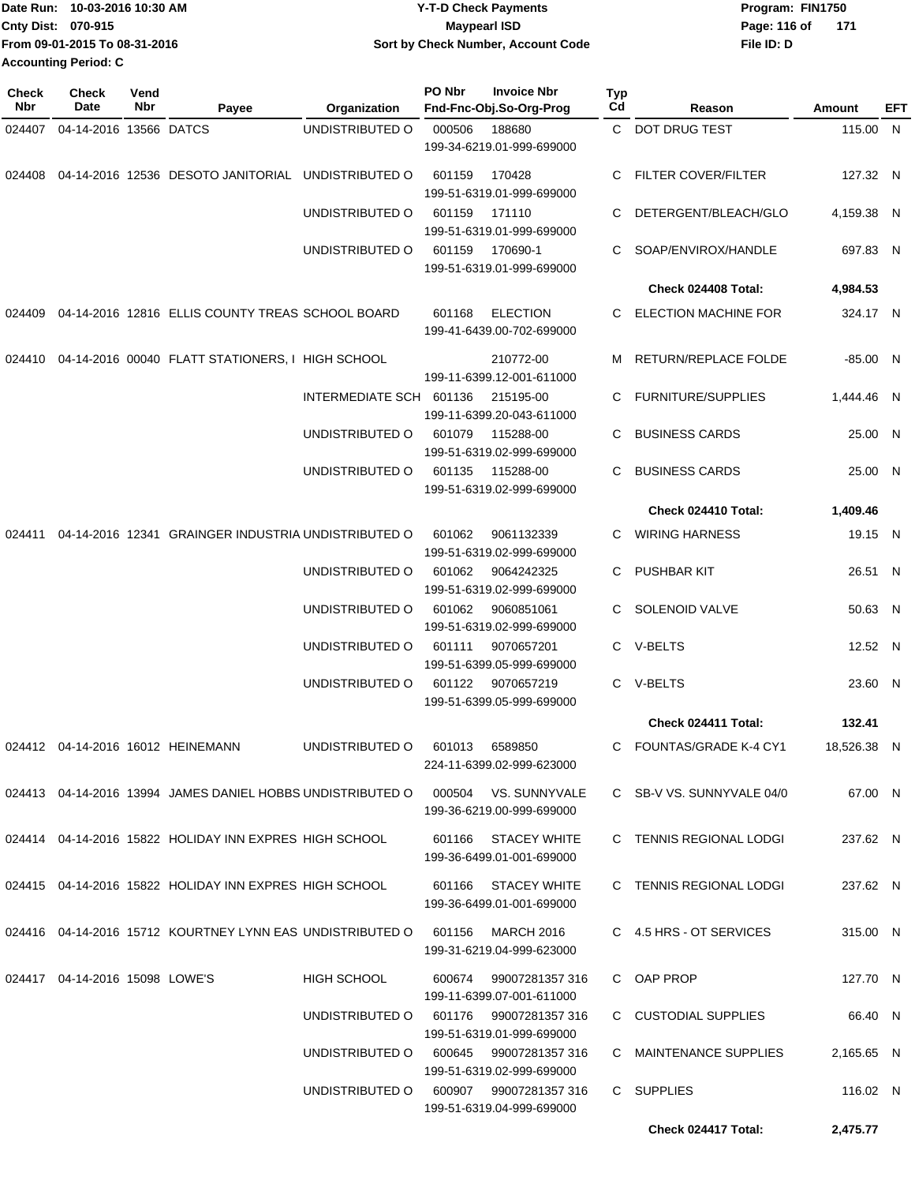| lDate Run: 10-03-2016 10:30 AM | <b>Y-T-D Check Payments</b>        | Program: FIN1750      |  |  |  |
|--------------------------------|------------------------------------|-----------------------|--|--|--|
| <b>Cnty Dist: 070-915</b>      | Maypearl ISD                       | Page: 116 of<br>- 171 |  |  |  |
| From 09-01-2015 To 08-31-2016  | Sort by Check Number, Account Code | File ID: D            |  |  |  |
| <b>Accounting Period: C</b>    |                                    |                       |  |  |  |

| Check<br>Nbr | Check<br><b>Date</b>           | Vend<br>Nbr | Payee                                                      | Organization            | PO Nbr | <b>Invoice Nbr</b><br>Fnd-Fnc-Obj.So-Org-Prog       | Typ<br>Cd | Reason                       | Amount     | EFT |
|--------------|--------------------------------|-------------|------------------------------------------------------------|-------------------------|--------|-----------------------------------------------------|-----------|------------------------------|------------|-----|
| 024407       | 04-14-2016 13566 DATCS         |             |                                                            | UNDISTRIBUTED O         | 000506 | 188680<br>199-34-6219.01-999-699000                 |           | C DOT DRUG TEST              | 115.00 N   |     |
| 024408       |                                |             | 04-14-2016 12536 DESOTO JANITORIAL UNDISTRIBUTED O         |                         | 601159 | 170428<br>199-51-6319.01-999-699000                 | С         | FILTER COVER/FILTER          | 127.32 N   |     |
|              |                                |             |                                                            | UNDISTRIBUTED O         | 601159 | 171110<br>199-51-6319.01-999-699000                 | С         | DETERGENT/BLEACH/GLO         | 4,159.38 N |     |
|              |                                |             |                                                            | UNDISTRIBUTED O         | 601159 | 170690-1<br>199-51-6319.01-999-699000               | C         | SOAP/ENVIROX/HANDLE          | 697.83 N   |     |
|              |                                |             |                                                            |                         |        |                                                     |           | Check 024408 Total:          | 4,984.53   |     |
| 024409       |                                |             | 04-14-2016 12816 ELLIS COUNTY TREAS SCHOOL BOARD           |                         | 601168 | <b>ELECTION</b><br>199-41-6439.00-702-699000        | С         | <b>ELECTION MACHINE FOR</b>  | 324.17 N   |     |
| 024410       |                                |             | 04-14-2016 00040 FLATT STATIONERS, I HIGH SCHOOL           |                         |        | 210772-00<br>199-11-6399.12-001-611000              | м         | RETURN/REPLACE FOLDE         | $-85.00$ N |     |
|              |                                |             |                                                            | INTERMEDIATE SCH 601136 |        | 215195-00<br>199-11-6399.20-043-611000              | С         | <b>FURNITURE/SUPPLIES</b>    | 1.444.46 N |     |
|              |                                |             |                                                            | UNDISTRIBUTED O         | 601079 | 115288-00<br>199-51-6319.02-999-699000              | С         | <b>BUSINESS CARDS</b>        | 25.00 N    |     |
|              |                                |             |                                                            | UNDISTRIBUTED O         | 601135 | 115288-00<br>199-51-6319.02-999-699000              | С         | <b>BUSINESS CARDS</b>        | 25.00 N    |     |
|              |                                |             |                                                            |                         |        |                                                     |           | Check 024410 Total:          | 1,409.46   |     |
| 024411       |                                |             | 04-14-2016 12341 GRAINGER INDUSTRIA UNDISTRIBUTED O        |                         | 601062 | 9061132339<br>199-51-6319.02-999-699000             | C         | <b>WIRING HARNESS</b>        | 19.15 N    |     |
|              |                                |             |                                                            | UNDISTRIBUTED O         | 601062 | 9064242325<br>199-51-6319.02-999-699000             | С         | <b>PUSHBAR KIT</b>           | 26.51 N    |     |
|              |                                |             |                                                            | UNDISTRIBUTED O         | 601062 | 9060851061<br>199-51-6319.02-999-699000             | С         | SOLENOID VALVE               | 50.63 N    |     |
|              |                                |             |                                                            | UNDISTRIBUTED O         | 601111 | 9070657201<br>199-51-6399.05-999-699000             | C         | V-BELTS                      | 12.52 N    |     |
|              |                                |             |                                                            | UNDISTRIBUTED O         | 601122 | 9070657219<br>199-51-6399.05-999-699000             |           | C V-BELTS                    | 23.60 N    |     |
|              |                                |             |                                                            |                         |        |                                                     |           | Check 024411 Total:          | 132.41     |     |
|              |                                |             | 024412  04-14-2016  16012  HEINEMANN                       | UNDISTRIBUTED O         | 601013 | 6589850<br>224-11-6399.02-999-623000                | C.        | <b>FOUNTAS/GRADE K-4 CY1</b> | 18,526.38  | - N |
|              |                                |             | 024413 04-14-2016 13994 JAMES DANIEL HOBBS UNDISTRIBUTED O |                         |        | 000504 VS. SUNNYVALE<br>199-36-6219.00-999-699000   |           | C SB-V VS. SUNNYVALE 04/0    | 67.00 N    |     |
|              |                                |             | 024414 04-14-2016 15822 HOLIDAY INN EXPRES HIGH SCHOOL     |                         | 601166 | STACEY WHITE<br>199-36-6499.01-001-699000           |           | C TENNIS REGIONAL LODGI      | 237.62 N   |     |
|              |                                |             | 024415 04-14-2016 15822 HOLIDAY INN EXPRES HIGH SCHOOL     |                         |        | 601166 STACEY WHITE<br>199-36-6499.01-001-699000    |           | C TENNIS REGIONAL LODGI      | 237.62 N   |     |
|              |                                |             | 024416 04-14-2016 15712 KOURTNEY LYNN EAS UNDISTRIBUTED O  |                         | 601156 | MARCH 2016<br>199-31-6219.04-999-623000             |           | C 4.5 HRS - OT SERVICES      | 315.00 N   |     |
|              | 024417 04-14-2016 15098 LOWE'S |             |                                                            | <b>HIGH SCHOOL</b>      |        | 600674 99007281357 316<br>199-11-6399.07-001-611000 |           | C OAP PROP                   | 127.70 N   |     |
|              |                                |             |                                                            | UNDISTRIBUTED O         |        | 601176 99007281357 316<br>199-51-6319.01-999-699000 |           | C CUSTODIAL SUPPLIES         | 66.40 N    |     |
|              |                                |             |                                                            | UNDISTRIBUTED O         | 600645 | 99007281357 316<br>199-51-6319.02-999-699000        |           | C MAINTENANCE SUPPLIES       | 2,165.65 N |     |
|              |                                |             |                                                            | UNDISTRIBUTED O         |        | 600907 99007281357 316<br>199-51-6319.04-999-699000 |           | C SUPPLIES                   | 116.02 N   |     |
|              |                                |             |                                                            |                         |        |                                                     |           | Check 024417 Total:          | 2,475.77   |     |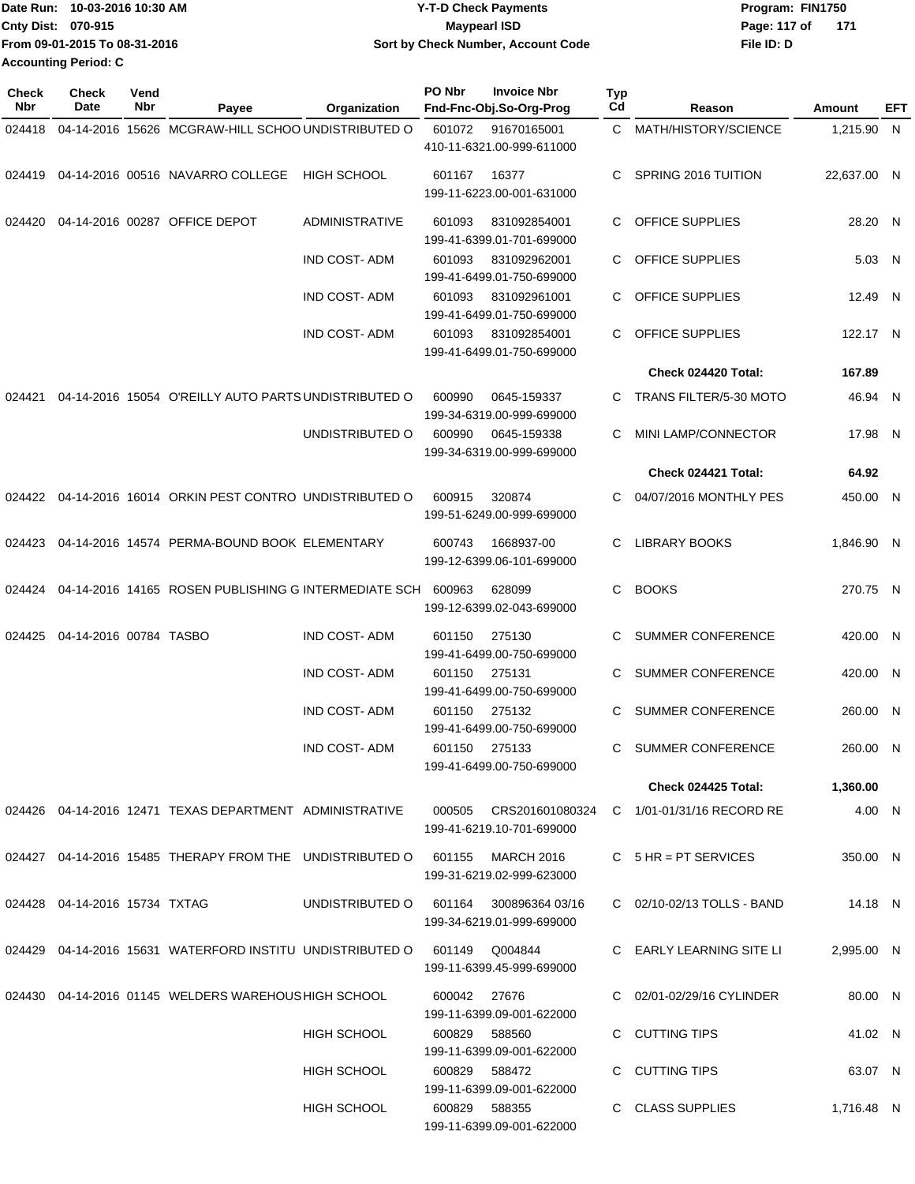| lDate Run: 10-03-2016 10:30 AM | <b>Y-T-D Check Payments</b>        | Program: FIN1750    |  |  |  |
|--------------------------------|------------------------------------|---------------------|--|--|--|
| <b>Cnty Dist: 070-915</b>      | <b>Mavpearl ISD</b>                | Page: 117 of<br>171 |  |  |  |
| Trom 09-01-2015 To 08-31-2016  | Sort by Check Number, Account Code | File ID: D          |  |  |  |
| <b>Accounting Period: C</b>    |                                    |                     |  |  |  |

| <b>Check</b><br>Nbr | <b>Check</b><br>Date          | Vend<br>Nbr | Payee                                                        | Organization          | PO Nbr                    | <b>Invoice Nbr</b><br>Fnd-Fnc-Obj.So-Org-Prog | <b>Typ</b><br>Cd | Reason                                           | Amount      | EFT |
|---------------------|-------------------------------|-------------|--------------------------------------------------------------|-----------------------|---------------------------|-----------------------------------------------|------------------|--------------------------------------------------|-------------|-----|
| 024418              |                               |             | 04-14-2016 15626 MCGRAW-HILL SCHOO UNDISTRIBUTED O           |                       | 601072                    | 91670165001                                   |                  | C MATH/HISTORY/SCIENCE                           | 1,215.90 N  |     |
|                     |                               |             |                                                              |                       |                           | 410-11-6321.00-999-611000                     |                  |                                                  |             |     |
|                     |                               |             | 024419  04-14-2016  00516  NAVARRO COLLEGE                   | HIGH SCHOOL           | 601167                    | 16377                                         | C                | SPRING 2016 TUITION                              | 22,637.00 N |     |
|                     |                               |             |                                                              |                       |                           | 199-11-6223.00-001-631000                     |                  |                                                  |             |     |
| 024420              |                               |             | 04-14-2016 00287 OFFICE DEPOT                                | <b>ADMINISTRATIVE</b> | 601093                    | 831092854001                                  | C.               | <b>OFFICE SUPPLIES</b>                           | 28.20 N     |     |
|                     |                               |             |                                                              |                       |                           | 199-41-6399.01-701-699000                     |                  |                                                  |             |     |
|                     |                               |             |                                                              | <b>IND COST-ADM</b>   | 601093                    | 831092962001                                  | C.               | <b>OFFICE SUPPLIES</b>                           | 5.03 N      |     |
|                     |                               |             |                                                              |                       |                           | 199-41-6499.01-750-699000                     |                  |                                                  |             |     |
|                     |                               |             |                                                              | <b>IND COST-ADM</b>   | 601093                    | 831092961001<br>199-41-6499.01-750-699000     | C                | <b>OFFICE SUPPLIES</b>                           | 12.49 N     |     |
|                     |                               |             |                                                              | <b>IND COST-ADM</b>   | 601093                    | 831092854001                                  | C.               | <b>OFFICE SUPPLIES</b>                           | 122.17 N    |     |
|                     |                               |             |                                                              |                       |                           | 199-41-6499.01-750-699000                     |                  |                                                  |             |     |
|                     |                               |             |                                                              |                       |                           |                                               |                  | Check 024420 Total:                              | 167.89      |     |
| 024421              |                               |             | 04-14-2016 15054 O'REILLY AUTO PARTS UNDISTRIBUTED O         |                       | 600990                    | 0645-159337                                   | C                | <b>TRANS FILTER/5-30 MOTO</b>                    | 46.94 N     |     |
|                     |                               |             |                                                              |                       |                           | 199-34-6319.00-999-699000                     |                  |                                                  |             |     |
|                     |                               |             |                                                              | UNDISTRIBUTED O       | 600990                    | 0645-159338<br>199-34-6319.00-999-699000      | С                | MINI LAMP/CONNECTOR                              | 17.98 N     |     |
|                     |                               |             |                                                              |                       |                           |                                               |                  | Check 024421 Total:                              | 64.92       |     |
|                     |                               |             | 024422 04-14-2016 16014 ORKIN PEST CONTRO UNDISTRIBUTED O    |                       | 600915                    | 320874                                        | C.               | 04/07/2016 MONTHLY PES                           | 450.00 N    |     |
|                     |                               |             |                                                              |                       |                           | 199-51-6249.00-999-699000                     |                  |                                                  |             |     |
| 024423              |                               |             | 04-14-2016 14574 PERMA-BOUND BOOK ELEMENTARY                 |                       | 600743                    | 1668937-00                                    | C.               | <b>LIBRARY BOOKS</b>                             | 1,846.90 N  |     |
|                     |                               |             |                                                              |                       |                           | 199-12-6399.06-101-699000                     |                  |                                                  |             |     |
|                     |                               |             | 024424 04-14-2016 14165 ROSEN PUBLISHING G INTERMEDIATE SCH  |                       | 600963                    | 628099                                        | C.               | <b>BOOKS</b>                                     | 270.75 N    |     |
|                     |                               |             |                                                              |                       |                           | 199-12-6399.02-043-699000                     |                  |                                                  |             |     |
| 024425              | 04-14-2016 00784 TASBO        |             |                                                              | <b>IND COST-ADM</b>   | 601150                    | 275130                                        | C                | <b>SUMMER CONFERENCE</b>                         | 420.00 N    |     |
|                     |                               |             |                                                              |                       |                           | 199-41-6499.00-750-699000                     |                  |                                                  |             |     |
|                     |                               |             |                                                              | <b>IND COST-ADM</b>   | 601150                    | 275131                                        | C                | <b>SUMMER CONFERENCE</b>                         | 420.00 N    |     |
|                     |                               |             |                                                              |                       | 199-41-6499.00-750-699000 |                                               |                  |                                                  |             |     |
|                     |                               |             |                                                              | <b>IND COST-ADM</b>   | 601150                    | 275132                                        | C                | <b>SUMMER CONFERENCE</b>                         | 260.00 N    |     |
|                     |                               |             |                                                              | <b>IND COST-ADM</b>   | 601150                    | 199-41-6499.00-750-699000<br>275133           | C                | <b>SUMMER CONFERENCE</b>                         | 260.00 N    |     |
|                     |                               |             |                                                              |                       |                           | 199-41-6499.00-750-699000                     |                  |                                                  |             |     |
|                     |                               |             |                                                              |                       |                           |                                               |                  | <b>Check 024425 Total:</b>                       | 1,360.00    |     |
|                     |                               |             | 024426 04-14-2016 12471 TEXAS DEPARTMENT ADMINISTRATIVE      |                       |                           |                                               |                  | 000505 CRS201601080324 C 1/01-01/31/16 RECORD RE | 4.00 N      |     |
|                     |                               |             |                                                              |                       |                           | 199-41-6219.10-701-699000                     |                  |                                                  |             |     |
|                     |                               |             | 024427  04-14-2016  15485  THERAPY FROM THE  UNDISTRIBUTED O |                       |                           | 601155 MARCH 2016                             |                  | C $5 HR = PT$ SERVICES                           | 350.00 N    |     |
|                     |                               |             |                                                              |                       |                           | 199-31-6219.02-999-623000                     |                  |                                                  |             |     |
|                     | 024428 04-14-2016 15734 TXTAG |             |                                                              | UNDISTRIBUTED O       | 601164                    | 300896364 03/16                               |                  | C 02/10-02/13 TOLLS - BAND                       | 14.18 N     |     |
|                     |                               |             |                                                              |                       |                           | 199-34-6219.01-999-699000                     |                  |                                                  |             |     |
|                     |                               |             | 024429  04-14-2016  15631  WATERFORD INSTITU UNDISTRIBUTED O |                       | 601149                    | Q004844                                       |                  | C EARLY LEARNING SITE LI                         | 2,995.00 N  |     |
|                     |                               |             |                                                              |                       |                           | 199-11-6399.45-999-699000                     |                  |                                                  |             |     |
|                     |                               |             | 024430 04-14-2016 01145 WELDERS WAREHOUS HIGH SCHOOL         |                       | 600042 27676              |                                               |                  | C 02/01-02/29/16 CYLINDER                        | 80.00 N     |     |
|                     |                               |             |                                                              |                       |                           | 199-11-6399.09-001-622000                     |                  |                                                  |             |     |
|                     |                               |             |                                                              | <b>HIGH SCHOOL</b>    | 600829                    | 588560                                        |                  | C CUTTING TIPS                                   | 41.02 N     |     |
|                     |                               |             |                                                              | <b>HIGH SCHOOL</b>    |                           | 199-11-6399.09-001-622000<br>600829 588472    |                  | C CUTTING TIPS                                   | 63.07 N     |     |
|                     |                               |             |                                                              |                       |                           | 199-11-6399.09-001-622000                     |                  |                                                  |             |     |
|                     |                               |             |                                                              | HIGH SCHOOL           |                           | 600829 588355                                 |                  | C CLASS SUPPLIES                                 | 1,716.48 N  |     |
|                     |                               |             |                                                              |                       |                           | 199-11-6399.09-001-622000                     |                  |                                                  |             |     |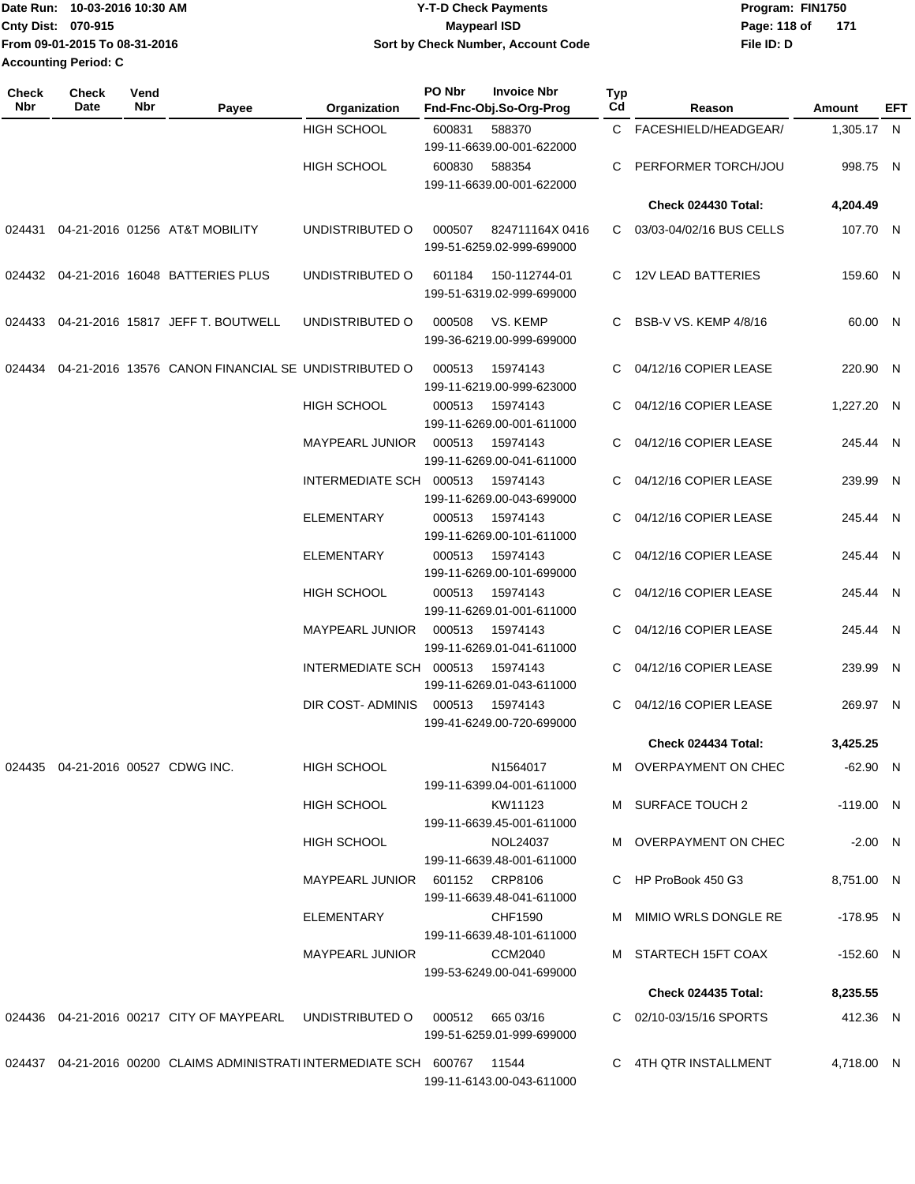| IDate Run: 10-03-2016 10:30 AM | <b>Y-T-D Check Payments</b>               | Program: FIN1750    |  |  |  |
|--------------------------------|-------------------------------------------|---------------------|--|--|--|
| <b>Cnty Dist: 070-915</b>      | <b>Mavpearl ISD</b>                       | 171<br>Page: 118 of |  |  |  |
| From 09-01-2015 To 08-31-2016  | <b>Sort by Check Number, Account Code</b> | File ID: D          |  |  |  |
| <b>Accounting Period: C</b>    |                                           |                     |  |  |  |

| Check<br>Nbr | <b>Check</b><br>Date                 | Vend<br>Nbr | Payee                                                                           | Organization                   | PO Nbr | <b>Invoice Nbr</b><br>Fnd-Fnc-Obj.So-Org-Prog | Typ<br>Cd | Reason                   | Amount      | EFT |
|--------------|--------------------------------------|-------------|---------------------------------------------------------------------------------|--------------------------------|--------|-----------------------------------------------|-----------|--------------------------|-------------|-----|
|              |                                      |             |                                                                                 | <b>HIGH SCHOOL</b>             | 600831 | 588370<br>199-11-6639.00-001-622000           | C.        | FACESHIELD/HEADGEAR/     | 1,305.17 N  |     |
|              |                                      |             |                                                                                 | <b>HIGH SCHOOL</b>             | 600830 | 588354<br>199-11-6639.00-001-622000           | С         | PERFORMER TORCH/JOU      | 998.75 N    |     |
|              |                                      |             |                                                                                 |                                |        |                                               |           | Check 024430 Total:      | 4,204.49    |     |
| 024431       |                                      |             | 04-21-2016 01256 AT&T MOBILITY                                                  | UNDISTRIBUTED O                | 000507 | 824711164X0416<br>199-51-6259.02-999-699000   | C.        | 03/03-04/02/16 BUS CELLS | 107.70 N    |     |
|              |                                      |             | 024432 04-21-2016 16048 BATTERIES PLUS                                          | UNDISTRIBUTED O                | 601184 | 150-112744-01<br>199-51-6319.02-999-699000    |           | C 12V LEAD BATTERIES     | 159.60 N    |     |
| 024433       |                                      |             | 04-21-2016 15817 JEFF T. BOUTWELL                                               | UNDISTRIBUTED O                | 000508 | VS. KEMP<br>199-36-6219.00-999-699000         | C         | BSB-V VS. KEMP 4/8/16    | 60.00 N     |     |
|              |                                      |             | 024434 04-21-2016 13576 CANON FINANCIAL SE UNDISTRIBUTED O                      |                                | 000513 | 15974143<br>199-11-6219.00-999-623000         | C         | 04/12/16 COPIER LEASE    | 220.90 N    |     |
|              |                                      |             |                                                                                 | <b>HIGH SCHOOL</b>             | 000513 | 15974143<br>199-11-6269.00-001-611000         | C.        | 04/12/16 COPIER LEASE    | 1,227.20 N  |     |
|              |                                      |             |                                                                                 | MAYPEARL JUNIOR                | 000513 | 15974143<br>199-11-6269.00-041-611000         | C.        | 04/12/16 COPIER LEASE    | 245.44 N    |     |
|              |                                      |             |                                                                                 | INTERMEDIATE SCH 000513        |        | 15974143<br>199-11-6269.00-043-699000         | C         | 04/12/16 COPIER LEASE    | 239.99 N    |     |
|              |                                      |             |                                                                                 | <b>ELEMENTARY</b>              | 000513 | 15974143<br>199-11-6269.00-101-611000         | С         | 04/12/16 COPIER LEASE    | 245.44 N    |     |
|              |                                      |             |                                                                                 | <b>ELEMENTARY</b>              | 000513 | 15974143<br>199-11-6269.00-101-699000         | С         | 04/12/16 COPIER LEASE    | 245.44 N    |     |
|              |                                      |             |                                                                                 | <b>HIGH SCHOOL</b>             | 000513 | 15974143<br>199-11-6269.01-001-611000         | C         | 04/12/16 COPIER LEASE    | 245.44 N    |     |
|              |                                      |             |                                                                                 | <b>MAYPEARL JUNIOR</b>         | 000513 | 15974143<br>199-11-6269.01-041-611000         | C.        | 04/12/16 COPIER LEASE    | 245.44 N    |     |
|              |                                      |             |                                                                                 | INTERMEDIATE SCH 000513        |        | 15974143<br>199-11-6269.01-043-611000         | C.        | 04/12/16 COPIER LEASE    | 239.99 N    |     |
|              |                                      |             |                                                                                 | DIR COST- ADMINIS              | 000513 | 15974143<br>199-41-6249.00-720-699000         | C         | 04/12/16 COPIER LEASE    | 269.97 N    |     |
|              |                                      |             |                                                                                 |                                |        |                                               |           | Check 024434 Total:      | 3,425.25    |     |
|              | 024435  04-21-2016  00527  CDWG INC. |             |                                                                                 | HIGH SCHOOL                    |        | N1564017<br>199-11-6399.04-001-611000         |           | M OVERPAYMENT ON CHEC    | $-62.90$ N  |     |
|              |                                      |             |                                                                                 | HIGH SCHOOL                    |        | KW11123<br>199-11-6639.45-001-611000          |           | M SURFACE TOUCH 2        | $-119.00$ N |     |
|              |                                      |             |                                                                                 | HIGH SCHOOL                    |        | NOL24037<br>199-11-6639.48-001-611000         |           | M OVERPAYMENT ON CHEC    | $-2.00$ N   |     |
|              |                                      |             |                                                                                 | MAYPEARL JUNIOR 601152 CRP8106 |        | 199-11-6639.48-041-611000                     |           | C HP ProBook 450 G3      | 8,751.00 N  |     |
|              |                                      |             |                                                                                 | ELEMENTARY                     |        | CHF1590<br>199-11-6639.48-101-611000          |           | M MIMIO WRLS DONGLE RE   | -178.95 N   |     |
|              |                                      |             |                                                                                 | MAYPEARL JUNIOR                |        | CCM2040<br>199-53-6249.00-041-699000          |           | M STARTECH 15FT COAX     | $-152.60$ N |     |
|              |                                      |             |                                                                                 |                                |        |                                               |           | Check 024435 Total:      | 8,235.55    |     |
|              |                                      |             | 024436  04-21-2016  00217  CITY OF MAYPEARL  UNDISTRIBUTED   000512  665  03/16 |                                |        |                                               |           | C 02/10-03/15/16 SPORTS  | 412.36 N    |     |
|              |                                      |             |                                                                                 |                                |        | 199-51-6259.01-999-699000                     |           |                          |             |     |
|              |                                      |             | 024437  04-21-2016  00200  CLAIMS ADMINISTRATI INTERMEDIATE SCH  600767  11544  |                                |        | 199-11-6143.00-043-611000                     |           | C 4TH QTR INSTALLMENT    | 4,718.00 N  |     |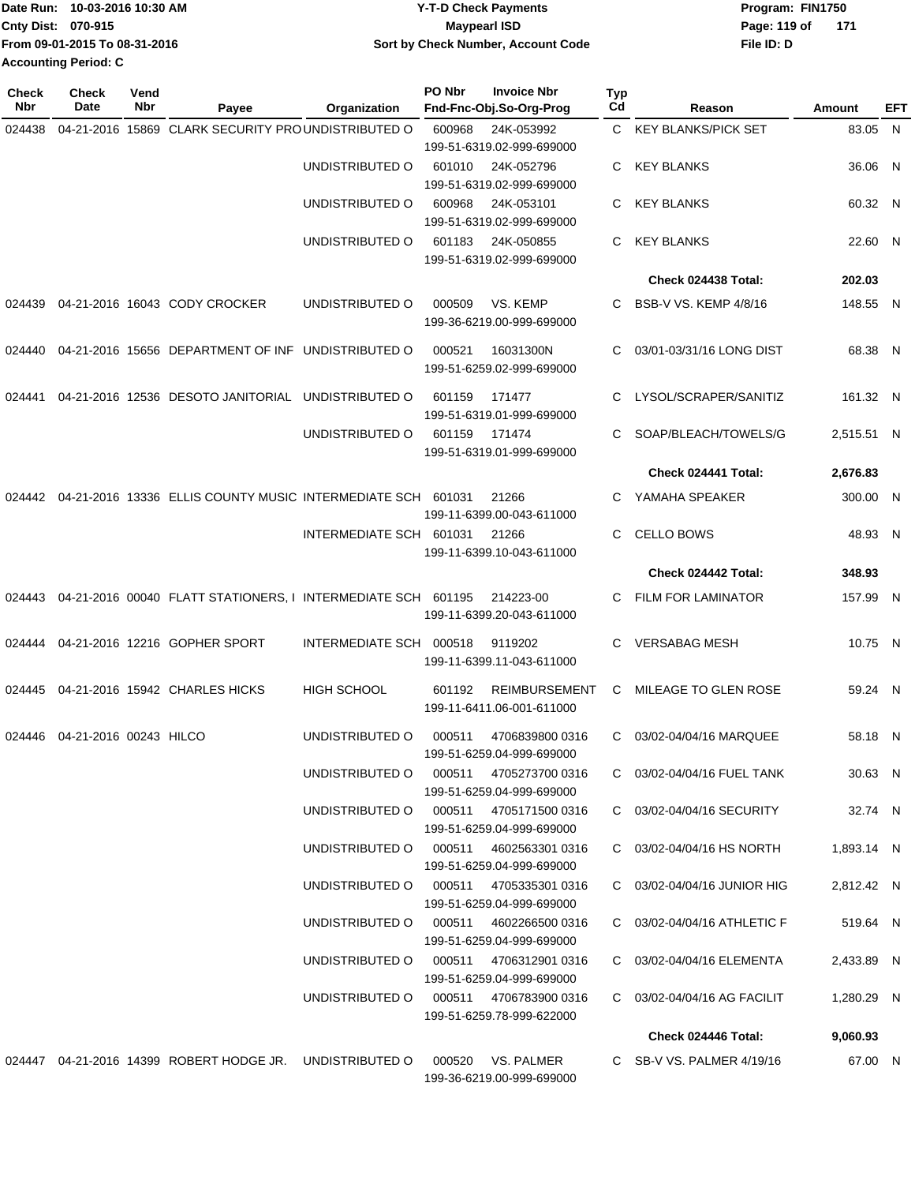| Date Run: 10-03-2016 10:30 AM | <b>Y-T-D Check Payments</b>        | Program: FIN1750      |  |  |  |
|-------------------------------|------------------------------------|-----------------------|--|--|--|
| <b>Cnty Dist: 070-915</b>     | <b>Mavpearl ISD</b>                | Page: 119 of<br>- 171 |  |  |  |
| From 09-01-2015 To 08-31-2016 | Sort by Check Number, Account Code | File ID: D            |  |  |  |
| <b>Accounting Period: C</b>   |                                    |                       |  |  |  |

| <b>Check</b><br>Nbr | <b>Check</b><br>Date   | Vend<br>Nbr | Payee                                                        | Organization                           | PO Nbr | <b>Invoice Nbr</b><br>Fnd-Fnc-Obj.So-Org-Prog                        | <b>Typ</b><br>Cd | Reason                      | Amount     | EFT |
|---------------------|------------------------|-------------|--------------------------------------------------------------|----------------------------------------|--------|----------------------------------------------------------------------|------------------|-----------------------------|------------|-----|
| 024438              |                        |             | 04-21-2016 15869 CLARK SECURITY PROUNDISTRIBUTED O           |                                        | 600968 | 24K-053992<br>199-51-6319.02-999-699000                              | C.               | <b>KEY BLANKS/PICK SET</b>  | 83.05 N    |     |
|                     |                        |             |                                                              | UNDISTRIBUTED O                        | 601010 | 24K-052796<br>199-51-6319.02-999-699000                              | С                | <b>KEY BLANKS</b>           | 36.06 N    |     |
|                     |                        |             |                                                              | UNDISTRIBUTED O                        | 600968 | 24K-053101                                                           | С                | <b>KEY BLANKS</b>           | 60.32 N    |     |
|                     |                        |             |                                                              | UNDISTRIBUTED O                        | 601183 | 199-51-6319.02-999-699000<br>24K-050855<br>199-51-6319.02-999-699000 | С                | <b>KEY BLANKS</b>           | 22.60 N    |     |
|                     |                        |             |                                                              |                                        |        |                                                                      |                  | Check 024438 Total:         | 202.03     |     |
| 024439              |                        |             | 04-21-2016 16043 CODY CROCKER                                | UNDISTRIBUTED O                        | 000509 | VS. KEMP<br>199-36-6219.00-999-699000                                | С                | BSB-V VS. KEMP 4/8/16       | 148.55 N   |     |
| 024440              |                        |             | 04-21-2016 15656 DEPARTMENT OF INF UNDISTRIBUTED O           |                                        | 000521 | 16031300N<br>199-51-6259.02-999-699000                               | С                | 03/01-03/31/16 LONG DIST    | 68.38 N    |     |
| 024441              |                        |             | 04-21-2016 12536 DESOTO JANITORIAL UNDISTRIBUTED O           |                                        | 601159 | 171477<br>199-51-6319.01-999-699000                                  | С                | LYSOL/SCRAPER/SANITIZ       | 161.32 N   |     |
|                     |                        |             |                                                              | UNDISTRIBUTED O                        | 601159 | 171474<br>199-51-6319.01-999-699000                                  | С                | SOAP/BLEACH/TOWELS/G        | 2,515.51 N |     |
|                     |                        |             |                                                              |                                        |        |                                                                      |                  | Check 024441 Total:         | 2,676.83   |     |
| 024442              |                        |             | 04-21-2016 13336 ELLIS COUNTY MUSIC INTERMEDIATE SCH 601031  |                                        |        | 21266<br>199-11-6399.00-043-611000                                   | C                | YAMAHA SPEAKER              | 300.00 N   |     |
|                     |                        |             |                                                              | INTERMEDIATE SCH 601031                |        | 21266<br>199-11-6399.10-043-611000                                   | С                | <b>CELLO BOWS</b>           | 48.93 N    |     |
|                     |                        |             |                                                              |                                        |        |                                                                      |                  | Check 024442 Total:         | 348.93     |     |
| 024443              |                        |             | 04-21-2016 00040 FLATT STATIONERS, I INTERMEDIATE SCH 601195 |                                        |        | 214223-00<br>199-11-6399.20-043-611000                               | C                | <b>FILM FOR LAMINATOR</b>   | 157.99 N   |     |
| 024444              |                        |             | 04-21-2016 12216 GOPHER SPORT                                | INTERMEDIATE SCH                       | 000518 | 9119202<br>199-11-6399.11-043-611000                                 | C.               | <b>VERSABAG MESH</b>        | 10.75 N    |     |
| 024445              |                        |             | 04-21-2016 15942 CHARLES HICKS                               | <b>HIGH SCHOOL</b>                     | 601192 | <b>REIMBURSEMENT</b><br>199-11-6411.06-001-611000                    | С                | MILEAGE TO GLEN ROSE        | 59.24 N    |     |
| 024446              | 04-21-2016 00243 HILCO |             |                                                              | UNDISTRIBUTED O                        | 000511 | 4706839800 0316<br>199-51-6259.04-999-699000                         | C.               | 03/02-04/04/16 MARQUEE      | 58.18 N    |     |
|                     |                        |             |                                                              | UNDISTRIBUTED O                        |        | 000511 4705273700 0316<br>199-51-6259.04-999-699000                  |                  | C 03/02-04/04/16 FUEL TANK  | 30.63 N    |     |
|                     |                        |             |                                                              | UNDISTRIBUTED O 000511 4705171500 0316 |        | 199-51-6259.04-999-699000                                            |                  | C 03/02-04/04/16 SECURITY   | 32.74 N    |     |
|                     |                        |             |                                                              | UNDISTRIBUTED O 000511 4602563301 0316 |        | 199-51-6259.04-999-699000                                            |                  | C 03/02-04/04/16 HS NORTH   | 1,893.14 N |     |
|                     |                        |             |                                                              | UNDISTRIBUTED O 000511 4705335301 0316 |        | 199-51-6259.04-999-699000                                            |                  | C 03/02-04/04/16 JUNIOR HIG | 2,812.42 N |     |
|                     |                        |             |                                                              |                                        |        | 199-51-6259.04-999-699000                                            |                  | C 03/02-04/04/16 ATHLETIC F | 519.64 N   |     |
|                     |                        |             |                                                              | UNDISTRIBUTED O 000511 4706312901 0316 |        | 199-51-6259.04-999-699000                                            |                  | C 03/02-04/04/16 ELEMENTA   | 2,433.89 N |     |
|                     |                        |             |                                                              |                                        |        | 199-51-6259.78-999-622000                                            |                  | C 03/02-04/04/16 AG FACILIT | 1,280.29 N |     |
|                     |                        |             |                                                              |                                        |        |                                                                      |                  | Check 024446 Total:         | 9,060.93   |     |
|                     |                        |             | 024447  04-21-2016  14399  ROBERT HODGE JR.  UNDISTRIBUTED O |                                        |        | 000520 VS. PALMER<br>199-36-6219.00-999-699000                       |                  | C SB-V VS. PALMER 4/19/16   | 67.00 N    |     |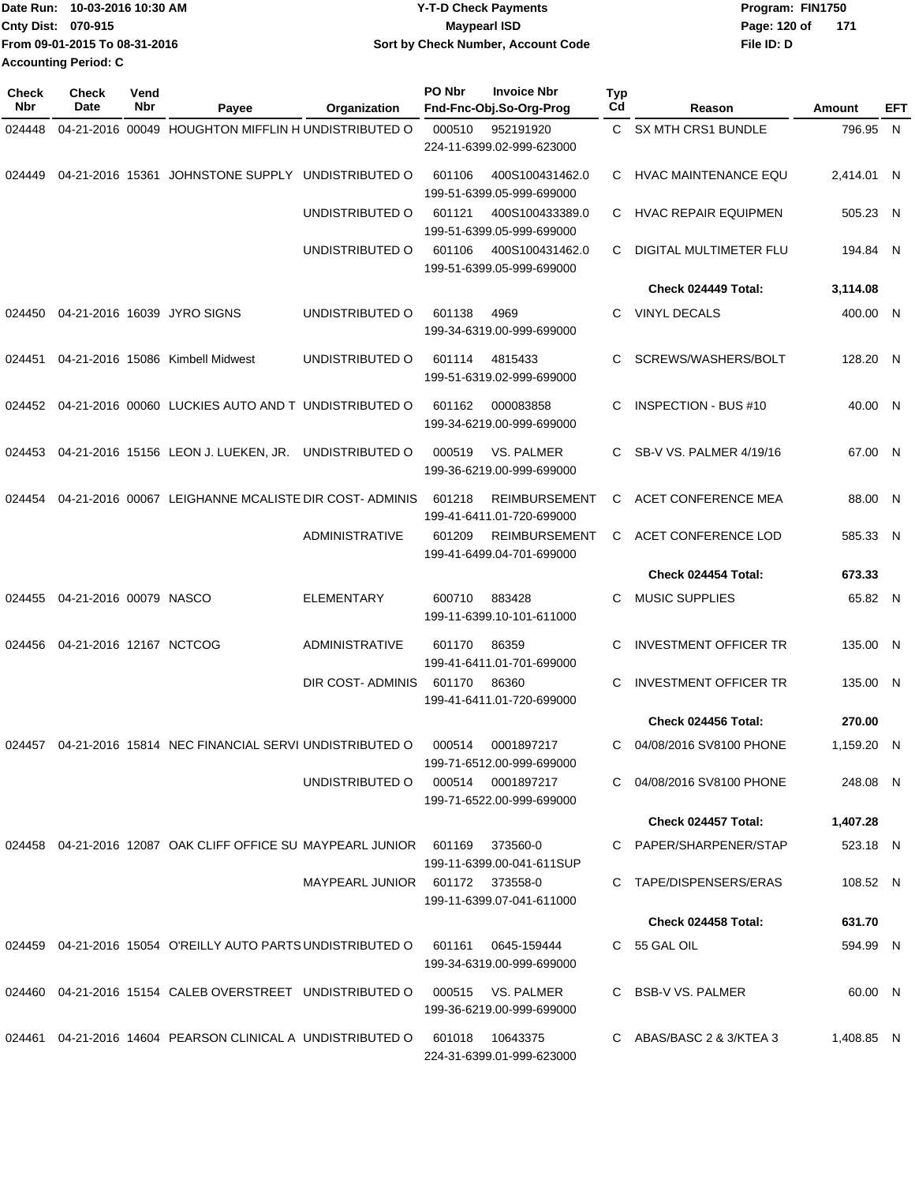| IDate Run: 10-03-2016 10:30 AM | <b>Y-T-D Check Payments</b>        | Program: FIN1750    |  |  |  |
|--------------------------------|------------------------------------|---------------------|--|--|--|
| <b>Cnty Dist: 070-915</b>      | <b>Mavpearl ISD</b>                | Page: 120 of<br>171 |  |  |  |
| From 09-01-2015 To 08-31-2016  | Sort by Check Number, Account Code | File ID: D          |  |  |  |
| <b>Accounting Period: C</b>    |                                    |                     |  |  |  |

| Check<br>Nbr | <b>Check</b><br>Date    | Vend<br>Nbr | Payee                                                         | Organization                    | PO Nbr | <b>Invoice Nbr</b><br>Fnd-Fnc-Obj.So-Org-Prog     | <b>Typ</b><br>Cd | Reason                       | Amount     | EFT |
|--------------|-------------------------|-------------|---------------------------------------------------------------|---------------------------------|--------|---------------------------------------------------|------------------|------------------------------|------------|-----|
| 024448       |                         |             | 04-21-2016 00049 HOUGHTON MIFFLIN H UNDISTRIBUTED O           |                                 | 000510 | 952191920                                         |                  | C SX MTH CRS1 BUNDLE         | 796.95 N   |     |
|              |                         |             |                                                               |                                 |        | 224-11-6399.02-999-623000                         |                  |                              |            |     |
| 024449       |                         |             | 04-21-2016 15361 JOHNSTONE SUPPLY UNDISTRIBUTED O             |                                 | 601106 | 400S100431462.0<br>199-51-6399.05-999-699000      |                  | C HVAC MAINTENANCE EQU       | 2,414.01 N |     |
|              |                         |             |                                                               | UNDISTRIBUTED O                 | 601121 | 400S100433389.0<br>199-51-6399.05-999-699000      |                  | C HVAC REPAIR EQUIPMEN       | 505.23 N   |     |
|              |                         |             |                                                               | UNDISTRIBUTED O                 | 601106 | 400S100431462.0                                   | C                | DIGITAL MULTIMETER FLU       | 194.84 N   |     |
|              |                         |             |                                                               |                                 |        | 199-51-6399.05-999-699000                         |                  |                              |            |     |
|              |                         |             |                                                               |                                 |        |                                                   |                  | Check 024449 Total:          | 3,114.08   |     |
| 024450       |                         |             | 04-21-2016 16039 JYRO SIGNS                                   | UNDISTRIBUTED O                 | 601138 | 4969<br>199-34-6319.00-999-699000                 | C.               | <b>VINYL DECALS</b>          | 400.00 N   |     |
| 024451       |                         |             | 04-21-2016 15086 Kimbell Midwest                              | UNDISTRIBUTED O                 | 601114 | 4815433<br>199-51-6319.02-999-699000              | C                | SCREWS/WASHERS/BOLT          | 128.20 N   |     |
|              |                         |             | 024452 04-21-2016 00060 LUCKIES AUTO AND TUNDISTRIBUTED O     |                                 | 601162 | 000083858<br>199-34-6219.00-999-699000            | C                | INSPECTION - BUS #10         | 40.00 N    |     |
| 024453       |                         |             | 04-21-2016 15156 LEON J. LUEKEN, JR. UNDISTRIBUTED O          |                                 | 000519 | VS. PALMER<br>199-36-6219.00-999-699000           | C.               | SB-V VS. PALMER 4/19/16      | 67.00 N    |     |
| 024454       |                         |             | 04-21-2016 00067 LEIGHANNE MCALISTE DIR COST-ADMINIS          |                                 | 601218 | <b>REIMBURSEMENT</b><br>199-41-6411.01-720-699000 | C.               | ACET CONFERENCE MEA          | 88.00 N    |     |
|              |                         |             |                                                               | ADMINISTRATIVE                  | 601209 | <b>REIMBURSEMENT</b><br>199-41-6499.04-701-699000 | C.               | ACET CONFERENCE LOD          | 585.33 N   |     |
|              |                         |             |                                                               |                                 |        |                                                   |                  | Check 024454 Total:          | 673.33     |     |
| 024455       | 04-21-2016 00079 NASCO  |             |                                                               | <b>ELEMENTARY</b>               | 600710 | 883428<br>199-11-6399.10-101-611000               | C.               | <b>MUSIC SUPPLIES</b>        | 65.82 N    |     |
| 024456       | 04-21-2016 12167 NCTCOG |             |                                                               | ADMINISTRATIVE                  | 601170 | 86359<br>199-41-6411.01-701-699000                | C                | <b>INVESTMENT OFFICER TR</b> | 135.00 N   |     |
|              |                         |             |                                                               | <b>DIR COST- ADMINIS</b>        | 601170 | 86360<br>199-41-6411.01-720-699000                | C                | <b>INVESTMENT OFFICER TR</b> | 135.00 N   |     |
|              |                         |             |                                                               |                                 |        |                                                   |                  | Check 024456 Total:          | 270.00     |     |
|              |                         |             | 024457 04-21-2016 15814 NEC FINANCIAL SERVI UNDISTRIBUTED O   |                                 | 000514 | 0001897217<br>199-71-6512.00-999-699000           | C.               | 04/08/2016 SV8100 PHONE      | 1,159.20 N |     |
|              |                         |             |                                                               | UNDISTRIBUTED O                 | 000514 | 0001897217<br>199-71-6522.00-999-699000           |                  | C 04/08/2016 SV8100 PHONE    | 248.08 N   |     |
|              |                         |             |                                                               |                                 |        |                                                   |                  | Check 024457 Total:          | 1,407.28   |     |
|              |                         |             | 024458 04-21-2016 12087 OAK CLIFF OFFICE SU MAYPEARL JUNIOR   |                                 | 601169 | 373560-0<br>199-11-6399.00-041-611SUP             |                  | C PAPER/SHARPENER/STAP       | 523.18 N   |     |
|              |                         |             |                                                               | MAYPEARL JUNIOR 601172 373558-0 |        | 199-11-6399.07-041-611000                         |                  | C TAPE/DISPENSERS/ERAS       | 108.52 N   |     |
|              |                         |             |                                                               |                                 |        |                                                   |                  | Check 024458 Total:          | 631.70     |     |
|              |                         |             | 024459 04-21-2016 15054 O'REILLY AUTO PARTS UNDISTRIBUTED O   |                                 | 601161 | 0645-159444<br>199-34-6319.00-999-699000          |                  | C 55 GAL OIL                 | 594.99 N   |     |
|              |                         |             | 024460  04-21-2016  15154  CALEB OVERSTREET  UNDISTRIBUTED O  |                                 | 000515 | VS. PALMER<br>199-36-6219.00-999-699000           |                  | C BSB-V VS. PALMER           | 60.00 N    |     |
|              |                         |             | 024461  04-21-2016  14604  PEARSON CLINICAL A UNDISTRIBUTED O |                                 | 601018 | 10643375<br>224-31-6399.01-999-623000             |                  | C ABAS/BASC 2 & 3/KTEA 3     | 1,408.85 N |     |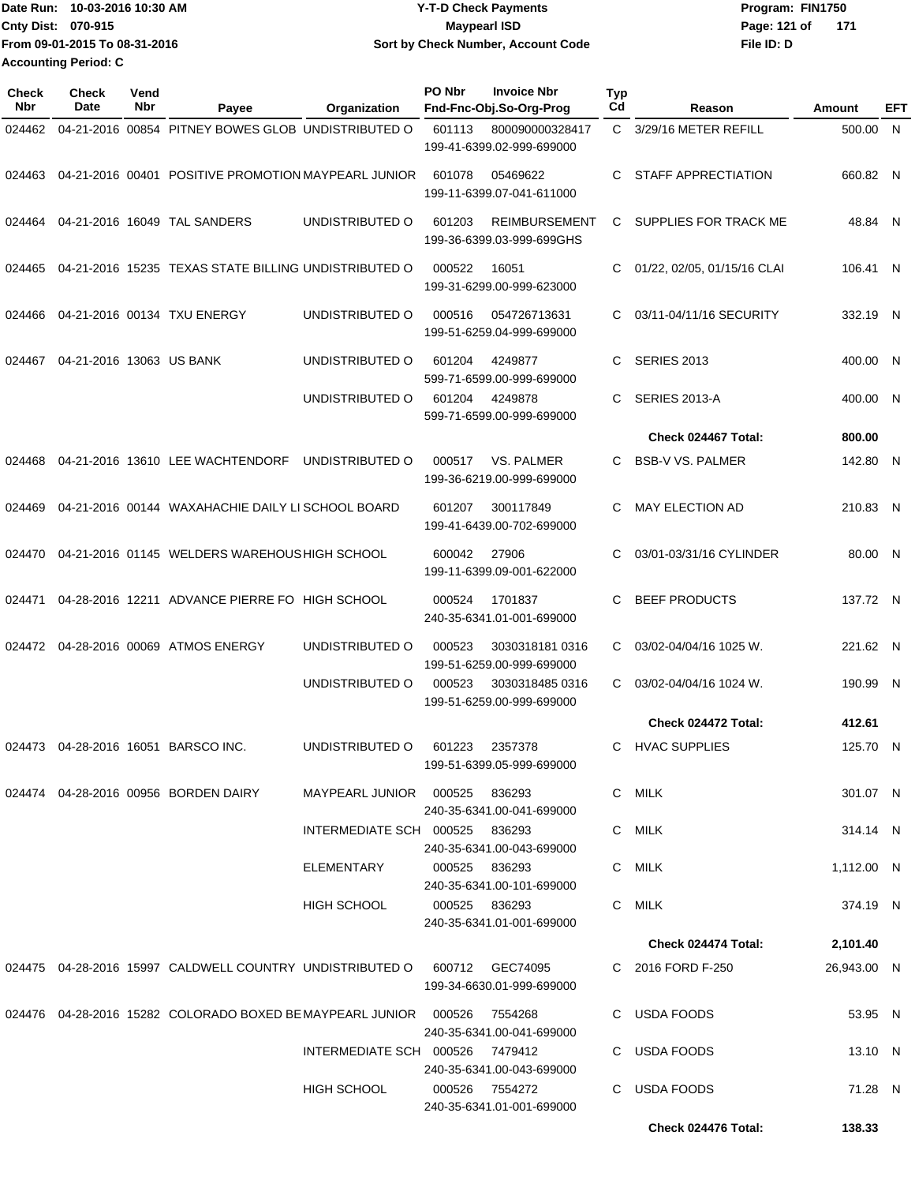| Date Run: 10-03-2016 10:30 AM | Y-T-D Check Payments               | Program: FIN1750      |
|-------------------------------|------------------------------------|-----------------------|
| <b>Cnty Dist: 070-915</b>     | <b>Mavpearl ISD</b>                | Page: 121 of<br>- 171 |
| From 09-01-2015 To 08-31-2016 | Sort by Check Number, Account Code | File ID: D            |
| <b>Accounting Period: C</b>   |                                    |                       |

| Check<br><b>Nbr</b> | Check<br>Date            | Vend<br>Nbr | Payee                                                                         | Organization                    | PO Nbr        | <b>Invoice Nbr</b><br>Fnd-Fnc-Obj.So-Org-Prog     | <b>Typ</b><br>Cd | Reason                      | Amount      | EFT |
|---------------------|--------------------------|-------------|-------------------------------------------------------------------------------|---------------------------------|---------------|---------------------------------------------------|------------------|-----------------------------|-------------|-----|
| 024462              |                          |             | 04-21-2016 00854 PITNEY BOWES GLOB UNDISTRIBUTED O                            |                                 | 601113        | 800090000328417<br>199-41-6399.02-999-699000      | C.               | 3/29/16 METER REFILL        | 500.00      | N.  |
| 024463              |                          |             | 04-21-2016 00401 POSITIVE PROMOTION MAYPEARL JUNIOR                           |                                 | 601078        | 05469622<br>199-11-6399.07-041-611000             | C                | STAFF APPRECTIATION         | 660.82 N    |     |
| 024464              |                          |             | 04-21-2016 16049 TAL SANDERS                                                  | UNDISTRIBUTED O                 | 601203        | <b>REIMBURSEMENT</b><br>199-36-6399.03-999-699GHS | C                | SUPPLIES FOR TRACK ME       | 48.84 N     |     |
| 024465              |                          |             | 04-21-2016 15235 TEXAS STATE BILLING UNDISTRIBUTED O                          |                                 | 000522        | 16051<br>199-31-6299.00-999-623000                | C                | 01/22, 02/05, 01/15/16 CLAI | 106.41 N    |     |
| 024466              |                          |             | 04-21-2016 00134 TXU ENERGY                                                   | UNDISTRIBUTED O                 | 000516        | 054726713631<br>199-51-6259.04-999-699000         | C                | 03/11-04/11/16 SECURITY     | 332.19 N    |     |
| 024467              | 04-21-2016 13063 US BANK |             |                                                                               | UNDISTRIBUTED O                 | 601204        | 4249877<br>599-71-6599.00-999-699000              | C                | <b>SERIES 2013</b>          | 400.00 N    |     |
|                     |                          |             |                                                                               | UNDISTRIBUTED O                 | 601204        | 4249878<br>599-71-6599.00-999-699000              | C                | SERIES 2013-A               | 400.00 N    |     |
|                     |                          |             |                                                                               |                                 |               |                                                   |                  | Check 024467 Total:         | 800.00      |     |
| 024468              |                          |             | 04-21-2016 13610 LEE WACHTENDORF                                              | UNDISTRIBUTED O                 | 000517        | VS. PALMER<br>199-36-6219.00-999-699000           | C.               | <b>BSB-V VS. PALMER</b>     | 142.80 N    |     |
| 024469              |                          |             | 04-21-2016 00144 WAXAHACHIE DAILY LI SCHOOL BOARD                             |                                 | 601207        | 300117849<br>199-41-6439.00-702-699000            | C                | <b>MAY ELECTION AD</b>      | 210.83 N    |     |
| 024470              |                          |             | 04-21-2016 01145 WELDERS WAREHOUS HIGH SCHOOL                                 |                                 | 600042        | 27906<br>199-11-6399.09-001-622000                | C                | 03/01-03/31/16 CYLINDER     | 80.00 N     |     |
| 024471              |                          |             | 04-28-2016 12211 ADVANCE PIERRE FO                                            | HIGH SCHOOL                     | 000524        | 1701837<br>240-35-6341.01-001-699000              | C                | <b>BEEF PRODUCTS</b>        | 137.72 N    |     |
| 024472              |                          |             | 04-28-2016 00069 ATMOS ENERGY                                                 | UNDISTRIBUTED O                 | 000523        | 30303181810316<br>199-51-6259.00-999-699000       | C                | 03/02-04/04/16 1025 W.      | 221.62 N    |     |
|                     |                          |             |                                                                               | UNDISTRIBUTED O                 | 000523        | 3030318485 0316<br>199-51-6259.00-999-699000      | C                | 03/02-04/04/16 1024 W.      | 190.99 N    |     |
|                     |                          |             |                                                                               |                                 |               |                                                   |                  | Check 024472 Total:         | 412.61      |     |
| 024473              |                          |             | 04-28-2016 16051 BARSCO INC.                                                  | UNDISTRIBUTED O                 | 601223        | 2357378<br>199-51-6399.05-999-699000              | C.               | <b>HVAC SUPPLIES</b>        | 125.70 N    |     |
|                     |                          |             | 024474 04-28-2016 00956 BORDEN DAIRY                                          | MAYPEARL JUNIOR  000525  836293 |               | 240-35-6341.00-041-699000                         |                  | C MILK                      | 301.07 N    |     |
|                     |                          |             |                                                                               | INTERMEDIATE SCH 000525 836293  |               | 240-35-6341.00-043-699000                         |                  | C MILK                      | 314.14 N    |     |
|                     |                          |             |                                                                               | ELEMENTARY                      | 000525 836293 | 240-35-6341.00-101-699000                         |                  | C MILK                      | 1,112.00 N  |     |
|                     |                          |             |                                                                               | HIGH SCHOOL                     | 000525 836293 | 240-35-6341.01-001-699000                         |                  | C MILK                      | 374.19 N    |     |
|                     |                          |             |                                                                               |                                 |               |                                                   |                  | Check 024474 Total:         | 2,101.40    |     |
|                     |                          |             | 024475  04-28-2016  15997  CALDWELL COUNTRY UNDISTRIBUTED O  600712  GEC74095 |                                 |               | 199-34-6630.01-999-699000                         |                  | C 2016 FORD F-250           | 26,943.00 N |     |
|                     |                          |             | 024476 04-28-2016 15282 COLORADO BOXED BE MAYPEARL JUNIOR 000526 7554268      |                                 |               | 240-35-6341.00-041-699000                         |                  | C USDA FOODS                | 53.95 N     |     |
|                     |                          |             |                                                                               | INTERMEDIATE SCH 000526 7479412 |               | 240-35-6341.00-043-699000                         |                  | C USDA FOODS                | 13.10 N     |     |
|                     |                          |             |                                                                               | HIGH SCHOOL                     |               | 000526 7554272<br>240-35-6341.01-001-699000       |                  | C USDA FOODS                | 71.28 N     |     |
|                     |                          |             |                                                                               |                                 |               |                                                   |                  | Check 024476 Total:         | 138.33      |     |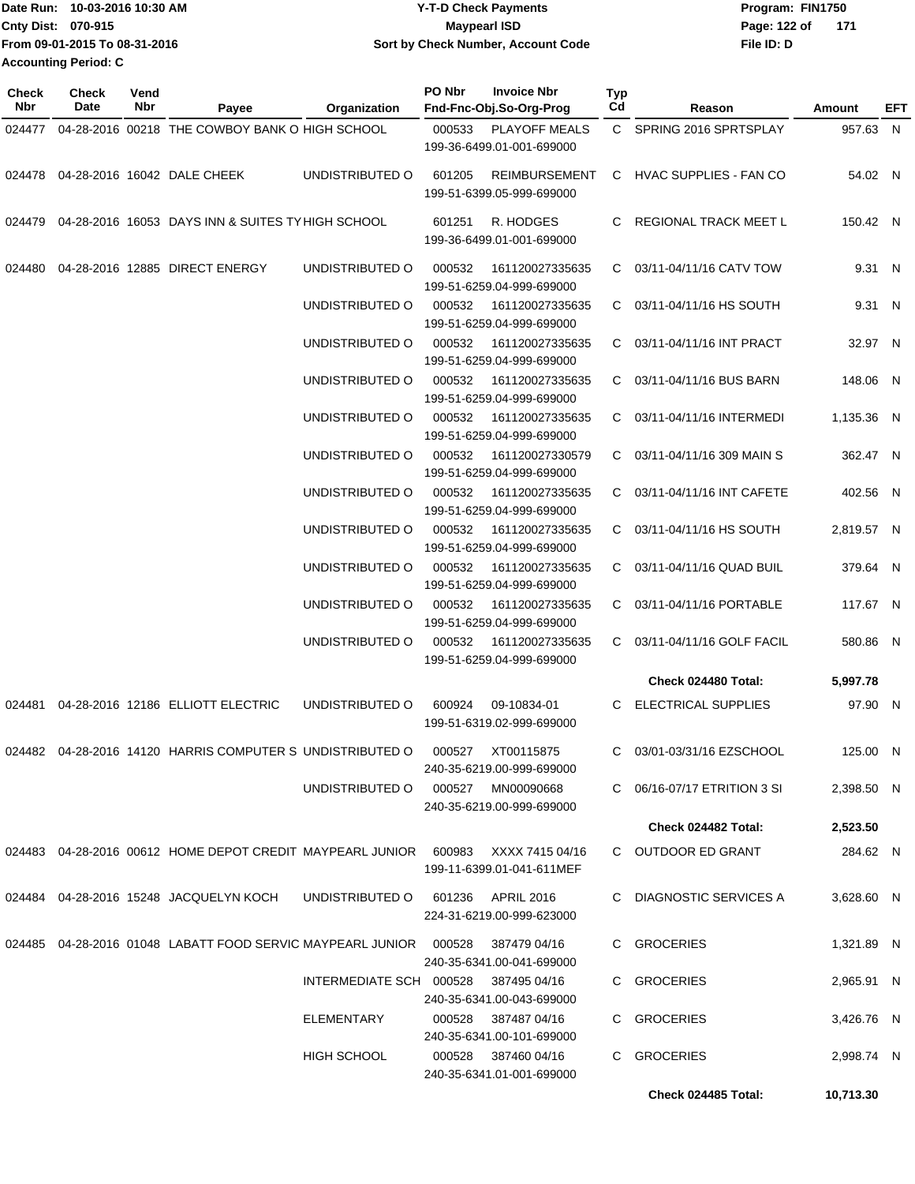|                           | Date Run: 10-03-2016 10:30 AM | Y-T-D Check Payments               | Program: FIN1750      |  |
|---------------------------|-------------------------------|------------------------------------|-----------------------|--|
| <b>Cnty Dist: 070-915</b> |                               | <b>Mavpearl ISD</b>                | Page: 122 of<br>- 171 |  |
|                           | From 09-01-2015 To 08-31-2016 | Sort by Check Number, Account Code | File ID: D            |  |
| Accounting Period: C      |                               |                                    |                       |  |

| <b>Check</b><br>Nbr | <b>Check</b><br>Date | Vend<br>Nbr | Payee                                                                | Organization            | PO Nbr | <b>Invoice Nbr</b><br>Fnd-Fnc-Obj.So-Org-Prog     | Typ<br>Cd | Reason                        | Amount     | EFT |
|---------------------|----------------------|-------------|----------------------------------------------------------------------|-------------------------|--------|---------------------------------------------------|-----------|-------------------------------|------------|-----|
| 024477              |                      |             | 04-28-2016 00218 THE COWBOY BANK O HIGH SCHOOL                       |                         | 000533 | <b>PLAYOFF MEALS</b><br>199-36-6499.01-001-699000 |           | C SPRING 2016 SPRTSPLAY       | 957.63 N   |     |
|                     |                      |             | 024478 04-28-2016 16042 DALE CHEEK                                   | UNDISTRIBUTED O         | 601205 | <b>REIMBURSEMENT</b><br>199-51-6399.05-999-699000 |           | C HVAC SUPPLIES - FAN CO      | 54.02 N    |     |
| 024479              |                      |             | 04-28-2016 16053 DAYS INN & SUITES TY HIGH SCHOOL                    |                         | 601251 | R. HODGES<br>199-36-6499.01-001-699000            | C.        | <b>REGIONAL TRACK MEET L</b>  | 150.42 N   |     |
| 024480              |                      |             | 04-28-2016 12885 DIRECT ENERGY                                       | UNDISTRIBUTED O         | 000532 | 161120027335635<br>199-51-6259.04-999-699000      |           | C 03/11-04/11/16 CATV TOW     | 9.31 N     |     |
|                     |                      |             |                                                                      | UNDISTRIBUTED O         | 000532 | 161120027335635<br>199-51-6259.04-999-699000      |           | C 03/11-04/11/16 HS SOUTH     | 9.31 N     |     |
|                     |                      |             |                                                                      | UNDISTRIBUTED O         | 000532 | 161120027335635<br>199-51-6259.04-999-699000      |           | C 03/11-04/11/16 INT PRACT    | 32.97 N    |     |
|                     |                      |             |                                                                      | UNDISTRIBUTED O         | 000532 | 161120027335635<br>199-51-6259.04-999-699000      | C.        | 03/11-04/11/16 BUS BARN       | 148.06 N   |     |
|                     |                      |             |                                                                      | UNDISTRIBUTED O         | 000532 | 161120027335635                                   | C         | 03/11-04/11/16 INTERMEDI      | 1,135.36 N |     |
|                     |                      |             |                                                                      |                         |        | 199-51-6259.04-999-699000                         |           |                               |            |     |
|                     |                      |             |                                                                      | UNDISTRIBUTED O         | 000532 | 161120027330579<br>199-51-6259.04-999-699000      |           | $C$ 03/11-04/11/16 309 MAIN S | 362.47 N   |     |
|                     |                      |             |                                                                      | UNDISTRIBUTED O         | 000532 | 161120027335635<br>199-51-6259.04-999-699000      |           | C 03/11-04/11/16 INT CAFETE   | 402.56 N   |     |
|                     |                      |             |                                                                      | UNDISTRIBUTED O         | 000532 | 161120027335635<br>199-51-6259.04-999-699000      |           | C 03/11-04/11/16 HS SOUTH     | 2,819.57 N |     |
|                     |                      |             |                                                                      | UNDISTRIBUTED O         | 000532 | 161120027335635<br>199-51-6259.04-999-699000      |           | C 03/11-04/11/16 QUAD BUIL    | 379.64 N   |     |
|                     |                      |             |                                                                      | UNDISTRIBUTED O         | 000532 | 161120027335635<br>199-51-6259.04-999-699000      |           | C 03/11-04/11/16 PORTABLE     | 117.67 N   |     |
|                     |                      |             |                                                                      | UNDISTRIBUTED O         | 000532 | 161120027335635<br>199-51-6259.04-999-699000      | C.        | 03/11-04/11/16 GOLF FACIL     | 580.86 N   |     |
|                     |                      |             |                                                                      |                         |        |                                                   |           | Check 024480 Total:           | 5,997.78   |     |
| 024481              |                      |             | 04-28-2016 12186 ELLIOTT ELECTRIC                                    | UNDISTRIBUTED O         | 600924 | 09-10834-01<br>199-51-6319.02-999-699000          |           | <b>ELECTRICAL SUPPLIES</b>    | 97.90 N    |     |
|                     |                      |             | 024482 04-28-2016 14120 HARRIS COMPUTER S UNDISTRIBUTED O            |                         | 000527 | XT00115875<br>240-35-6219.00-999-699000           |           | C 03/01-03/31/16 EZSCHOOL     | 125.00 N   |     |
|                     |                      |             |                                                                      | UNDISTRIBUTED O         |        | 000527 MN00090668<br>240-35-6219.00-999-699000    |           | C 06/16-07/17 ETRITION 3 SI   | 2,398.50 N |     |
|                     |                      |             |                                                                      |                         |        |                                                   |           | Check 024482 Total:           | 2,523.50   |     |
|                     |                      |             | 024483  04-28-2016  00612  HOME DEPOT CREDIT MAYPEARL JUNIOR  600983 |                         |        | XXXX 7415 04/16<br>199-11-6399.01-041-611MEF      |           | C OUTDOOR ED GRANT            | 284.62 N   |     |
|                     |                      |             | 024484 04-28-2016 15248 JACQUELYN KOCH                               | UNDISTRIBUTED O         | 601236 | APRIL 2016<br>224-31-6219.00-999-623000           |           | DIAGNOSTIC SERVICES A         | 3,628.60 N |     |
| 024485              |                      |             | 04-28-2016 01048 LABATT FOOD SERVIC MAYPEARL JUNIOR 000528           |                         |        | 387479 04/16<br>240-35-6341.00-041-699000         |           | C GROCERIES                   | 1,321.89 N |     |
|                     |                      |             |                                                                      | INTERMEDIATE SCH 000528 |        | 387495 04/16<br>240-35-6341.00-043-699000         |           | C GROCERIES                   | 2,965.91 N |     |
|                     |                      |             |                                                                      | ELEMENTARY              | 000528 | 387487 04/16<br>240-35-6341.00-101-699000         |           | C GROCERIES                   | 3,426.76 N |     |
|                     |                      |             |                                                                      | <b>HIGH SCHOOL</b>      | 000528 | 387460 04/16<br>240-35-6341.01-001-699000         |           | C GROCERIES                   | 2,998.74 N |     |
|                     |                      |             |                                                                      |                         |        |                                                   |           | Check 024485 Total:           | 10,713.30  |     |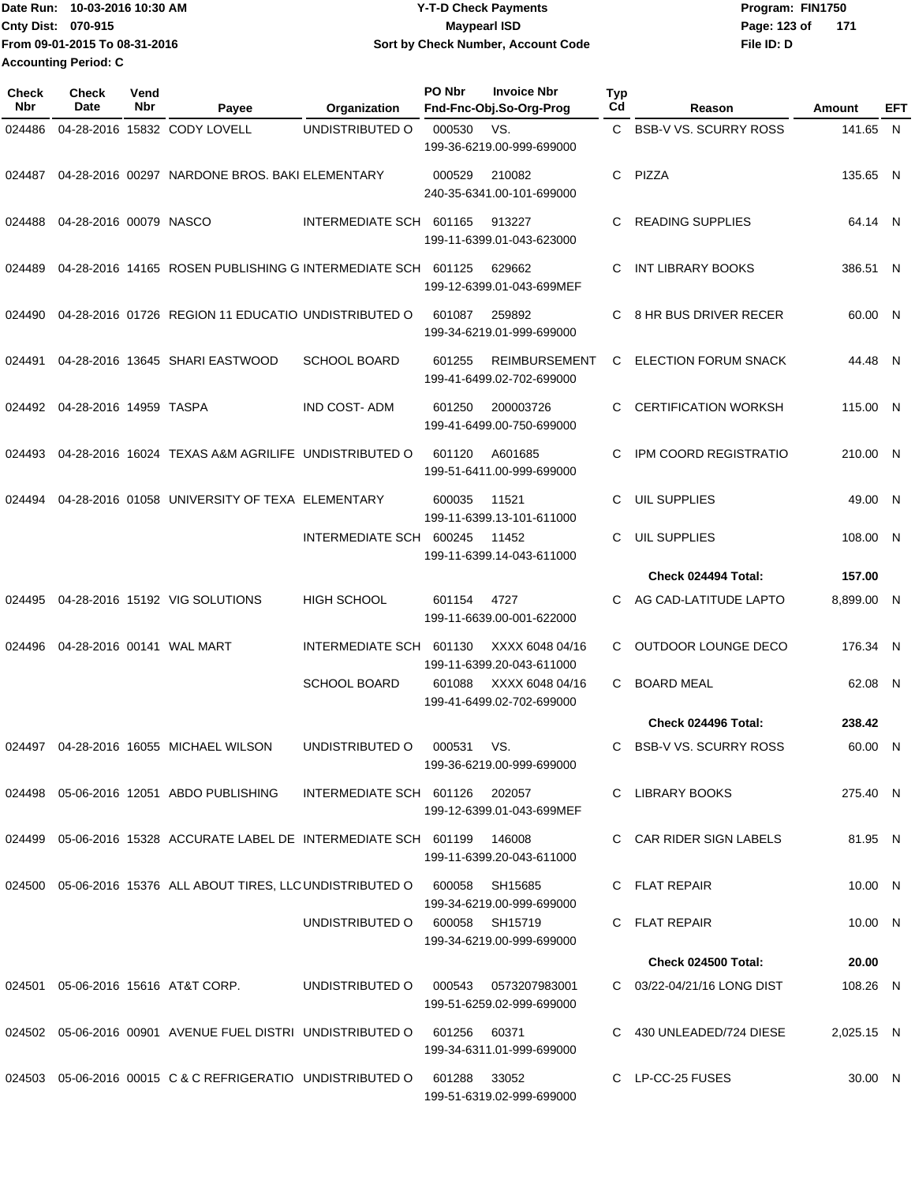**Date Run: Program: FIN1750 Cnty Dist: 070-915 File ID: D From 09-01-2015 To 08-31-2016 10-03-2016 10:30 AM Y-T-D Check Payments 070-915 Maypearl ISD Sort by Check Number, Account Code** Page: 123 of 171 **Accounting Period: C**

| Check<br>Nbr | Check<br>Date          | Vend<br>Nbr | Payee                                                                            | Organization                   | PO Nbr | <b>Invoice Nbr</b><br>Fnd-Fnc-Obj.So-Org-Prog     | Typ<br>Cd | Reason                       | Amount     | EFT |
|--------------|------------------------|-------------|----------------------------------------------------------------------------------|--------------------------------|--------|---------------------------------------------------|-----------|------------------------------|------------|-----|
| 024486       |                        |             | 04-28-2016 15832 CODY LOVELL                                                     | UNDISTRIBUTED O                | 000530 | VS.                                               |           | C BSB-V VS. SCURRY ROSS      | 141.65 N   |     |
|              |                        |             |                                                                                  |                                |        | 199-36-6219.00-999-699000                         |           |                              |            |     |
| 024487       |                        |             | 04-28-2016 00297 NARDONE BROS. BAKI ELEMENTARY                                   |                                | 000529 | 210082<br>240-35-6341.00-101-699000               | C.        | PIZZA                        | 135.65 N   |     |
| 024488       | 04-28-2016 00079 NASCO |             |                                                                                  | INTERMEDIATE SCH 601165        |        | 913227<br>199-11-6399.01-043-623000               | C         | <b>READING SUPPLIES</b>      | 64.14 N    |     |
| 024489       |                        |             | 04-28-2016 14165 ROSEN PUBLISHING G INTERMEDIATE SCH                             |                                | 601125 | 629662<br>199-12-6399.01-043-699MEF               | C         | INT LIBRARY BOOKS            | 386.51 N   |     |
| 024490       |                        |             | 04-28-2016 01726 REGION 11 EDUCATIO UNDISTRIBUTED O                              |                                | 601087 | 259892<br>199-34-6219.01-999-699000               | C         | 8 HR BUS DRIVER RECER        | 60.00 N    |     |
| 024491       |                        |             | 04-28-2016 13645 SHARI EASTWOOD                                                  | <b>SCHOOL BOARD</b>            | 601255 | <b>REIMBURSEMENT</b><br>199-41-6499.02-702-699000 | C.        | <b>ELECTION FORUM SNACK</b>  | 44.48 N    |     |
| 024492       | 04-28-2016 14959 TASPA |             |                                                                                  | <b>IND COST-ADM</b>            | 601250 | 200003726<br>199-41-6499.00-750-699000            | C         | <b>CERTIFICATION WORKSH</b>  | 115.00 N   |     |
| 024493       |                        |             | 04-28-2016 16024 TEXAS A&M AGRILIFE UNDISTRIBUTED O                              |                                | 601120 | A601685<br>199-51-6411.00-999-699000              | C         | <b>IPM COORD REGISTRATIO</b> | 210.00 N   |     |
| 024494       |                        |             | 04-28-2016 01058 UNIVERSITY OF TEXA ELEMENTARY                                   |                                | 600035 | 11521<br>199-11-6399.13-101-611000                | C.        | UIL SUPPLIES                 | 49.00 N    |     |
|              |                        |             |                                                                                  | INTERMEDIATE SCH               | 600245 | 11452<br>199-11-6399.14-043-611000                | C.        | <b>UIL SUPPLIES</b>          | 108.00 N   |     |
|              |                        |             |                                                                                  |                                |        |                                                   |           | Check 024494 Total:          | 157.00     |     |
| 024495       |                        |             | 04-28-2016 15192 VIG SOLUTIONS                                                   | HIGH SCHOOL                    | 601154 | 4727<br>199-11-6639.00-001-622000                 | C.        | AG CAD-LATITUDE LAPTO        | 8,899.00 N |     |
| 024496       |                        |             | 04-28-2016 00141 WAL MART                                                        | INTERMEDIATE SCH               | 601130 | XXXX 6048 04/16<br>199-11-6399.20-043-611000      | C         | OUTDOOR LOUNGE DECO          | 176.34 N   |     |
|              |                        |             |                                                                                  | <b>SCHOOL BOARD</b>            | 601088 | XXXX 6048 04/16<br>199-41-6499.02-702-699000      | C.        | <b>BOARD MEAL</b>            | 62.08 N    |     |
|              |                        |             |                                                                                  |                                |        |                                                   |           | Check 024496 Total:          | 238.42     |     |
|              |                        |             | 024497  04-28-2016  16055  MICHAEL WILSON                                        | UNDISTRIBUTED O                | 000531 | VS.<br>199-36-6219.00-999-699000                  | C         | <b>BSB-V VS. SCURRY ROSS</b> | 60.00 N    |     |
|              |                        |             | 024498  05-06-2016  12051  ABDO PUBLISHING                                       | INTERMEDIATE SCH 601126 202057 |        | 199-12-6399.01-043-699MEF                         |           | C LIBRARY BOOKS              | 275.40 N   |     |
| 024499       |                        |             | 05-06-2016 15328 ACCURATE LABEL DE INTERMEDIATE SCH 601199                       |                                |        | 146008<br>199-11-6399.20-043-611000               |           | C CAR RIDER SIGN LABELS      | 81.95 N    |     |
|              |                        |             | 024500 05-06-2016 15376 ALL ABOUT TIRES, LLC UNDISTRIBUTED O                     |                                | 600058 | SH15685<br>199-34-6219.00-999-699000              |           | C FLAT REPAIR                | 10.00 N    |     |
|              |                        |             |                                                                                  | UNDISTRIBUTED O                | 600058 | SH15719<br>199-34-6219.00-999-699000              |           | C FLAT REPAIR                | 10.00 N    |     |
|              |                        |             |                                                                                  |                                |        |                                                   |           | <b>Check 024500 Total:</b>   | 20.00      |     |
| 024501       |                        |             | 05-06-2016 15616 AT&T CORP.                                                      | UNDISTRIBUTED O                | 000543 | 0573207983001<br>199-51-6259.02-999-699000        |           | C 03/22-04/21/16 LONG DIST   | 108.26 N   |     |
|              |                        |             | 024502    05-06-2016    00901    AVENUE FUEL DISTRI_UNDISTRIBUTED              O |                                | 601256 | 60371<br>199-34-6311.01-999-699000                |           | C 430 UNLEADED/724 DIESE     | 2,025.15 N |     |
|              |                        |             | 024503 05-06-2016 00015 C & C REFRIGERATIO UNDISTRIBUTED O                       |                                | 601288 | 33052<br>199-51-6319.02-999-699000                |           | C LP-CC-25 FUSES             | 30.00 N    |     |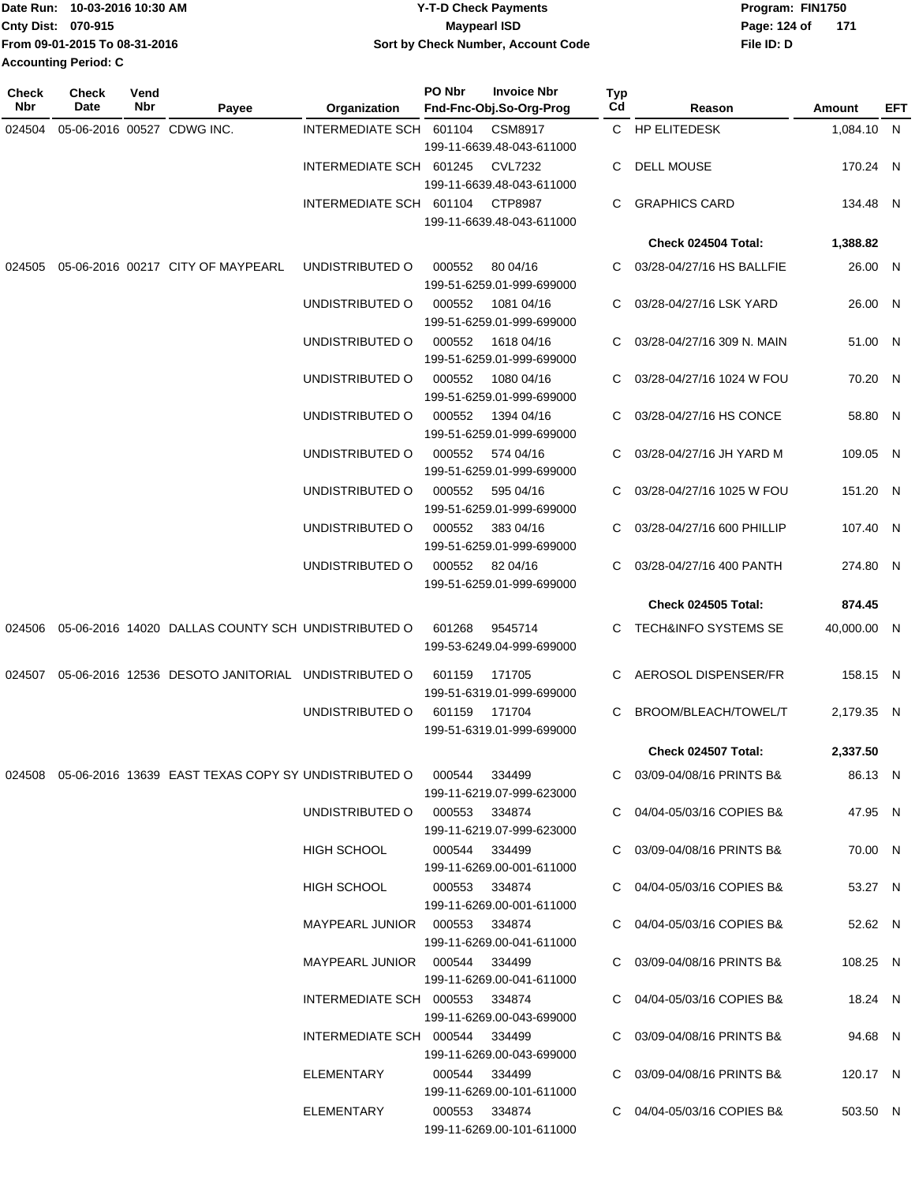|                             | IDate Run: 10-03-2016 10:30 AM | <b>Y-T-D Check Payments</b>        | Program: FIN1750 |     |
|-----------------------------|--------------------------------|------------------------------------|------------------|-----|
| <b>Cnty Dist: 070-915</b>   |                                | <b>Maypearl ISD</b>                | Page: 124 of     | 171 |
|                             | From 09-01-2015 To 08-31-2016  | Sort by Check Number, Account Code | File ID: D       |     |
| <b>Accounting Period: C</b> |                                |                                    |                  |     |

| <b>Check</b><br>Nbr | Check<br>Date | Vend<br>Nbr | Payee                                                                         | Organization                   | PO Nbr        | <b>Invoice Nbr</b><br>Fnd-Fnc-Obj.So-Org-Prog | <b>Typ</b><br>Cd | Reason                          | Amount      | EFT |
|---------------------|---------------|-------------|-------------------------------------------------------------------------------|--------------------------------|---------------|-----------------------------------------------|------------------|---------------------------------|-------------|-----|
| 024504              |               |             | 05-06-2016 00527 CDWG INC.                                                    | INTERMEDIATE SCH 601104        |               | <b>CSM8917</b>                                |                  | C HP ELITEDESK                  | 1,084.10 N  |     |
|                     |               |             |                                                                               |                                |               | 199-11-6639.48-043-611000                     |                  |                                 |             |     |
|                     |               |             |                                                                               | INTERMEDIATE SCH 601245        |               | <b>CVL7232</b>                                | C                | <b>DELL MOUSE</b>               | 170.24 N    |     |
|                     |               |             |                                                                               |                                |               | 199-11-6639.48-043-611000                     |                  |                                 |             |     |
|                     |               |             |                                                                               | INTERMEDIATE SCH 601104        |               | CTP8987                                       | C                | <b>GRAPHICS CARD</b>            | 134.48 N    |     |
|                     |               |             |                                                                               |                                |               | 199-11-6639.48-043-611000                     |                  |                                 |             |     |
|                     |               |             |                                                                               |                                |               |                                               |                  | Check 024504 Total:             | 1,388.82    |     |
| 024505              |               |             | 05-06-2016 00217 CITY OF MAYPEARL                                             | UNDISTRIBUTED O                | 000552        | 80 04/16                                      | C.               | 03/28-04/27/16 HS BALLFIE       | 26.00 N     |     |
|                     |               |             |                                                                               |                                |               | 199-51-6259.01-999-699000                     |                  |                                 |             |     |
|                     |               |             |                                                                               | UNDISTRIBUTED O                | 000552        | 1081 04/16<br>199-51-6259.01-999-699000       | C.               | 03/28-04/27/16 LSK YARD         | 26.00 N     |     |
|                     |               |             |                                                                               | UNDISTRIBUTED O                | 000552        | 1618 04/16                                    | C.               | 03/28-04/27/16 309 N. MAIN      | 51.00 N     |     |
|                     |               |             |                                                                               |                                |               | 199-51-6259.01-999-699000                     |                  |                                 |             |     |
|                     |               |             |                                                                               | UNDISTRIBUTED O                | 000552        | 1080 04/16                                    | C.               | 03/28-04/27/16 1024 W FOU       | 70.20 N     |     |
|                     |               |             |                                                                               |                                |               | 199-51-6259.01-999-699000                     |                  |                                 |             |     |
|                     |               |             |                                                                               | UNDISTRIBUTED O                | 000552        | 1394 04/16                                    | C.               | 03/28-04/27/16 HS CONCE         | 58.80 N     |     |
|                     |               |             |                                                                               |                                |               | 199-51-6259.01-999-699000                     |                  |                                 |             |     |
|                     |               |             |                                                                               | UNDISTRIBUTED O                | 000552        | 574 04/16                                     |                  | 03/28-04/27/16 JH YARD M        | 109.05 N    |     |
|                     |               |             |                                                                               |                                |               | 199-51-6259.01-999-699000                     |                  |                                 |             |     |
|                     |               |             |                                                                               | UNDISTRIBUTED O                | 000552        | 595 04/16                                     | C                | 03/28-04/27/16 1025 W FOU       | 151.20 N    |     |
|                     |               |             |                                                                               |                                |               | 199-51-6259.01-999-699000                     |                  |                                 |             |     |
|                     |               |             |                                                                               | UNDISTRIBUTED O                | 000552        | 383 04/16<br>199-51-6259.01-999-699000        | C                | 03/28-04/27/16 600 PHILLIP      | 107.40 N    |     |
|                     |               |             |                                                                               | UNDISTRIBUTED O                |               | 000552 82 04/16                               | C.               | 03/28-04/27/16 400 PANTH        | 274.80 N    |     |
|                     |               |             |                                                                               |                                |               | 199-51-6259.01-999-699000                     |                  |                                 |             |     |
|                     |               |             |                                                                               |                                |               |                                               |                  | Check 024505 Total:             | 874.45      |     |
| 024506              |               |             | 05-06-2016 14020 DALLAS COUNTY SCH UNDISTRIBUTED O                            |                                | 601268        | 9545714                                       |                  | <b>TECH&amp;INFO SYSTEMS SE</b> | 40,000.00 N |     |
|                     |               |             |                                                                               |                                |               | 199-53-6249.04-999-699000                     |                  |                                 |             |     |
|                     |               |             |                                                                               |                                |               |                                               |                  |                                 |             |     |
| 024507              |               |             | 05-06-2016 12536 DESOTO JANITORIAL UNDISTRIBUTED O                            |                                | 601159        | 171705                                        |                  | C AEROSOL DISPENSER/FR          | 158.15 N    |     |
|                     |               |             |                                                                               | UNDISTRIBUTED O                | 601159        | 199-51-6319.01-999-699000<br>171704           | C                | BROOM/BLEACH/TOWEL/T            | 2,179.35 N  |     |
|                     |               |             |                                                                               |                                |               | 199-51-6319.01-999-699000                     |                  |                                 |             |     |
|                     |               |             |                                                                               |                                |               |                                               |                  | Check 024507 Total:             | 2,337.50    |     |
|                     |               |             | 024508  05-06-2016  13639  EAST TEXAS COPY SY UNDISTRIBUTED O  000544  334499 |                                |               |                                               |                  | C 03/09-04/08/16 PRINTS B&      | 86.13 N     |     |
|                     |               |             |                                                                               |                                |               | 199-11-6219.07-999-623000                     |                  |                                 |             |     |
|                     |               |             |                                                                               | UNDISTRIBUTED O 000553 334874  |               |                                               |                  | C 04/04-05/03/16 COPIES B&      | 47.95 N     |     |
|                     |               |             |                                                                               |                                |               | 199-11-6219.07-999-623000                     |                  |                                 |             |     |
|                     |               |             |                                                                               | HIGH SCHOOL                    | 000544 334499 |                                               |                  | C 03/09-04/08/16 PRINTS B&      | 70.00 N     |     |
|                     |               |             |                                                                               |                                |               | 199-11-6269.00-001-611000                     |                  |                                 |             |     |
|                     |               |             |                                                                               | HIGH SCHOOL                    | 000553 334874 |                                               |                  | C 04/04-05/03/16 COPIES B&      | 53.27 N     |     |
|                     |               |             |                                                                               |                                |               | 199-11-6269.00-001-611000                     |                  |                                 |             |     |
|                     |               |             |                                                                               | MAYPEARL JUNIOR 000553 334874  |               |                                               |                  | C 04/04-05/03/16 COPIES B&      | 52.62 N     |     |
|                     |               |             |                                                                               |                                |               | 199-11-6269.00-041-611000                     |                  |                                 |             |     |
|                     |               |             |                                                                               | MAYPEARL JUNIOR 000544 334499  |               |                                               |                  | C 03/09-04/08/16 PRINTS B&      | 108.25 N    |     |
|                     |               |             |                                                                               | INTERMEDIATE SCH 000553 334874 |               | 199-11-6269.00-041-611000                     |                  | C 04/04-05/03/16 COPIES B&      | 18.24 N     |     |
|                     |               |             |                                                                               |                                |               | 199-11-6269.00-043-699000                     |                  |                                 |             |     |
|                     |               |             |                                                                               | INTERMEDIATE SCH 000544 334499 |               |                                               |                  | C 03/09-04/08/16 PRINTS B&      | 94.68 N     |     |
|                     |               |             |                                                                               |                                |               | 199-11-6269.00-043-699000                     |                  |                                 |             |     |
|                     |               |             |                                                                               | ELEMENTARY                     | 000544 334499 |                                               |                  | C 03/09-04/08/16 PRINTS B&      | 120.17 N    |     |
|                     |               |             |                                                                               |                                |               | 199-11-6269.00-101-611000                     |                  |                                 |             |     |
|                     |               |             |                                                                               | ELEMENTARY                     | 000553 334874 |                                               |                  | C 04/04-05/03/16 COPIES B&      | 503.50 N    |     |
|                     |               |             |                                                                               |                                |               | 199-11-6269.00-101-611000                     |                  |                                 |             |     |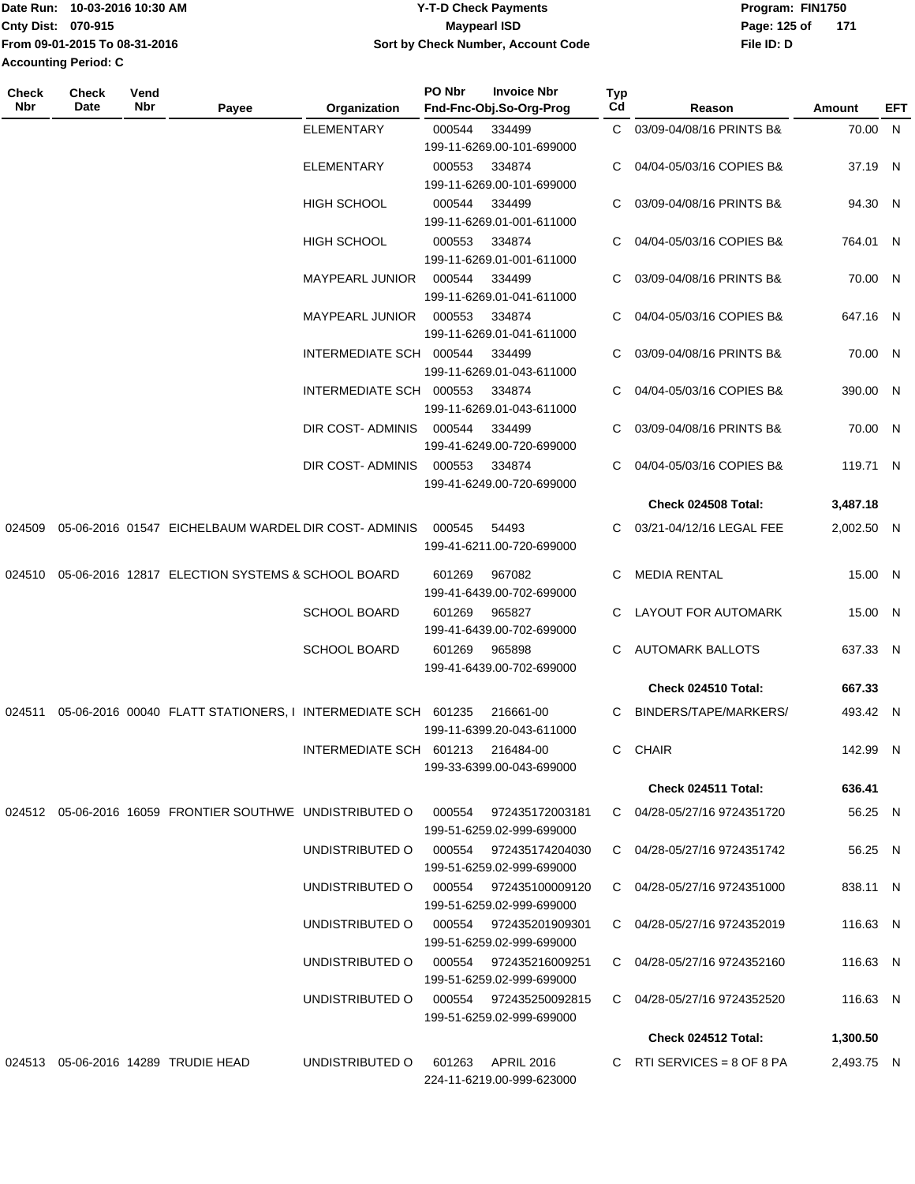| Date Run: 10-03-2016 10:30 AM<br><b>Y-T-D Check Payments</b><br>Program: FIN1750  |  |
|-----------------------------------------------------------------------------------|--|
| <b>Cnty Dist: 070-915</b><br>171<br>Page: 125 of<br>Maypearl ISD                  |  |
| From 09-01-2015 To 08-31-2016<br>Sort by Check Number, Account Code<br>File ID: D |  |
| <b>Accounting Period: C</b>                                                       |  |

| Check<br>Nbr | Check<br>Date | Vend<br>Nbr | Payee                                                                   | Organization                           | PO Nbr | <b>Invoice Nbr</b><br>Fnd-Fnc-Obj.So-Org-Prog | Typ<br>Cd | Reason                         | Amount     | EFT |
|--------------|---------------|-------------|-------------------------------------------------------------------------|----------------------------------------|--------|-----------------------------------------------|-----------|--------------------------------|------------|-----|
|              |               |             |                                                                         | <b>ELEMENTARY</b>                      | 000544 | 334499                                        |           | C 03/09-04/08/16 PRINTS B&     | 70.00 N    |     |
|              |               |             |                                                                         |                                        |        | 199-11-6269.00-101-699000                     |           |                                |            |     |
|              |               |             |                                                                         | ELEMENTARY                             | 000553 | 334874                                        | C         | 04/04-05/03/16 COPIES B&       | 37.19 N    |     |
|              |               |             |                                                                         |                                        |        | 199-11-6269.00-101-699000                     |           |                                |            |     |
|              |               |             |                                                                         | <b>HIGH SCHOOL</b>                     | 000544 | 334499                                        | C         | 03/09-04/08/16 PRINTS B&       | 94.30 N    |     |
|              |               |             |                                                                         |                                        |        | 199-11-6269.01-001-611000                     |           |                                |            |     |
|              |               |             |                                                                         | <b>HIGH SCHOOL</b>                     |        | 334874                                        |           | 04/04-05/03/16 COPIES B&       | 764.01 N   |     |
|              |               |             |                                                                         |                                        | 000553 | 199-11-6269.01-001-611000                     |           |                                |            |     |
|              |               |             |                                                                         |                                        |        |                                               |           |                                |            |     |
|              |               |             |                                                                         | MAYPEARL JUNIOR                        | 000544 | 334499                                        |           | 03/09-04/08/16 PRINTS B&       | 70.00 N    |     |
|              |               |             |                                                                         |                                        |        | 199-11-6269.01-041-611000                     |           |                                |            |     |
|              |               |             |                                                                         | MAYPEARL JUNIOR                        | 000553 | 334874                                        | C         | 04/04-05/03/16 COPIES B&       | 647.16 N   |     |
|              |               |             |                                                                         |                                        |        | 199-11-6269.01-041-611000                     |           |                                |            |     |
|              |               |             |                                                                         | INTERMEDIATE SCH 000544                |        | 334499                                        |           | 03/09-04/08/16 PRINTS B&       | 70.00 N    |     |
|              |               |             |                                                                         |                                        |        | 199-11-6269.01-043-611000                     |           |                                |            |     |
|              |               |             |                                                                         | INTERMEDIATE SCH 000553                |        | 334874                                        | C         | 04/04-05/03/16 COPIES B&       | 390.00 N   |     |
|              |               |             |                                                                         |                                        |        | 199-11-6269.01-043-611000                     |           |                                |            |     |
|              |               |             |                                                                         | DIR COST-ADMINIS                       | 000544 | 334499                                        | C         | 03/09-04/08/16 PRINTS B&       | 70.00 N    |     |
|              |               |             |                                                                         |                                        |        | 199-41-6249.00-720-699000                     |           |                                |            |     |
|              |               |             |                                                                         | DIR COST-ADMINIS                       | 000553 | 334874                                        |           | 04/04-05/03/16 COPIES B&       | 119.71 N   |     |
|              |               |             |                                                                         |                                        |        | 199-41-6249.00-720-699000                     |           |                                |            |     |
|              |               |             |                                                                         |                                        |        |                                               |           | Check 024508 Total:            | 3,487.18   |     |
| 024509       |               |             | 05-06-2016 01547 EICHELBAUM WARDEL DIR COST-ADMINIS                     |                                        | 000545 | 54493                                         |           | C 03/21-04/12/16 LEGAL FEE     | 2,002.50 N |     |
|              |               |             |                                                                         |                                        |        | 199-41-6211.00-720-699000                     |           |                                |            |     |
|              |               |             |                                                                         |                                        |        |                                               |           |                                |            |     |
| 024510       |               |             | 05-06-2016 12817 ELECTION SYSTEMS & SCHOOL BOARD                        |                                        | 601269 | 967082                                        | C.        | <b>MEDIA RENTAL</b>            | 15.00 N    |     |
|              |               |             |                                                                         |                                        |        | 199-41-6439.00-702-699000                     |           |                                |            |     |
|              |               |             |                                                                         | <b>SCHOOL BOARD</b>                    | 601269 | 965827                                        | C         | LAYOUT FOR AUTOMARK            | 15.00 N    |     |
|              |               |             |                                                                         |                                        |        | 199-41-6439.00-702-699000                     |           |                                |            |     |
|              |               |             |                                                                         | <b>SCHOOL BOARD</b>                    | 601269 | 965898                                        |           | AUTOMARK BALLOTS               | 637.33 N   |     |
|              |               |             |                                                                         |                                        |        | 199-41-6439.00-702-699000                     |           |                                |            |     |
|              |               |             |                                                                         |                                        |        |                                               |           | Check 024510 Total:            | 667.33     |     |
| 024511       |               |             | 05-06-2016 00040 FLATT STATIONERS, I INTERMEDIATE SCH 601235            |                                        |        | 216661-00                                     |           | C BINDERS/TAPE/MARKERS/        | 493.42 N   |     |
|              |               |             |                                                                         |                                        |        | 199-11-6399.20-043-611000                     |           |                                |            |     |
|              |               |             |                                                                         | INTERMEDIATE SCH 601213 216484-00      |        |                                               |           | C CHAIR                        | 142.99 N   |     |
|              |               |             |                                                                         |                                        |        | 199-33-6399.00-043-699000                     |           |                                |            |     |
|              |               |             |                                                                         |                                        |        |                                               |           | Check 024511 Total:            | 636.41     |     |
|              |               |             |                                                                         |                                        |        |                                               |           |                                |            |     |
|              |               |             | 024512    05-06-2016    16059    FRONTIER SOUTHWE    UNDISTRIBUTED    0 |                                        | 000554 | 972435172003181                               |           | C 04/28-05/27/16 9724351720    | 56.25 N    |     |
|              |               |             |                                                                         |                                        |        | 199-51-6259.02-999-699000                     |           |                                |            |     |
|              |               |             |                                                                         | UNDISTRIBUTED O                        | 000554 | 972435174204030                               |           | C 04/28-05/27/16 9724351742    | 56.25 N    |     |
|              |               |             |                                                                         |                                        |        | 199-51-6259.02-999-699000                     |           |                                |            |     |
|              |               |             |                                                                         | UNDISTRIBUTED O 000554 972435100009120 |        |                                               |           | C 04/28-05/27/16 9724351000    | 838.11 N   |     |
|              |               |             |                                                                         |                                        |        | 199-51-6259.02-999-699000                     |           |                                |            |     |
|              |               |             |                                                                         | UNDISTRIBUTED O 000554 972435201909301 |        |                                               |           | C 04/28-05/27/16 9724352019    | 116.63 N   |     |
|              |               |             |                                                                         |                                        |        | 199-51-6259.02-999-699000                     |           |                                |            |     |
|              |               |             |                                                                         | UNDISTRIBUTED O                        |        | 000554  972435216009251                       |           | C 04/28-05/27/16 9724352160    | 116.63 N   |     |
|              |               |             |                                                                         |                                        |        | 199-51-6259.02-999-699000                     |           |                                |            |     |
|              |               |             |                                                                         | UNDISTRIBUTED O                        |        | 000554 972435250092815                        |           | C 04/28-05/27/16 9724352520    | 116.63 N   |     |
|              |               |             |                                                                         |                                        |        | 199-51-6259.02-999-699000                     |           |                                |            |     |
|              |               |             |                                                                         |                                        |        |                                               |           | Check 024512 Total:            | 1,300.50   |     |
|              |               |             | 024513 05-06-2016 14289 TRUDIE HEAD                                     | UNDISTRIBUTED O                        |        | 601263 APRIL 2016                             |           | C RTI SERVICES = $8$ OF $8$ PA | 2,493.75 N |     |
|              |               |             |                                                                         |                                        |        | 224-11-6219.00-999-623000                     |           |                                |            |     |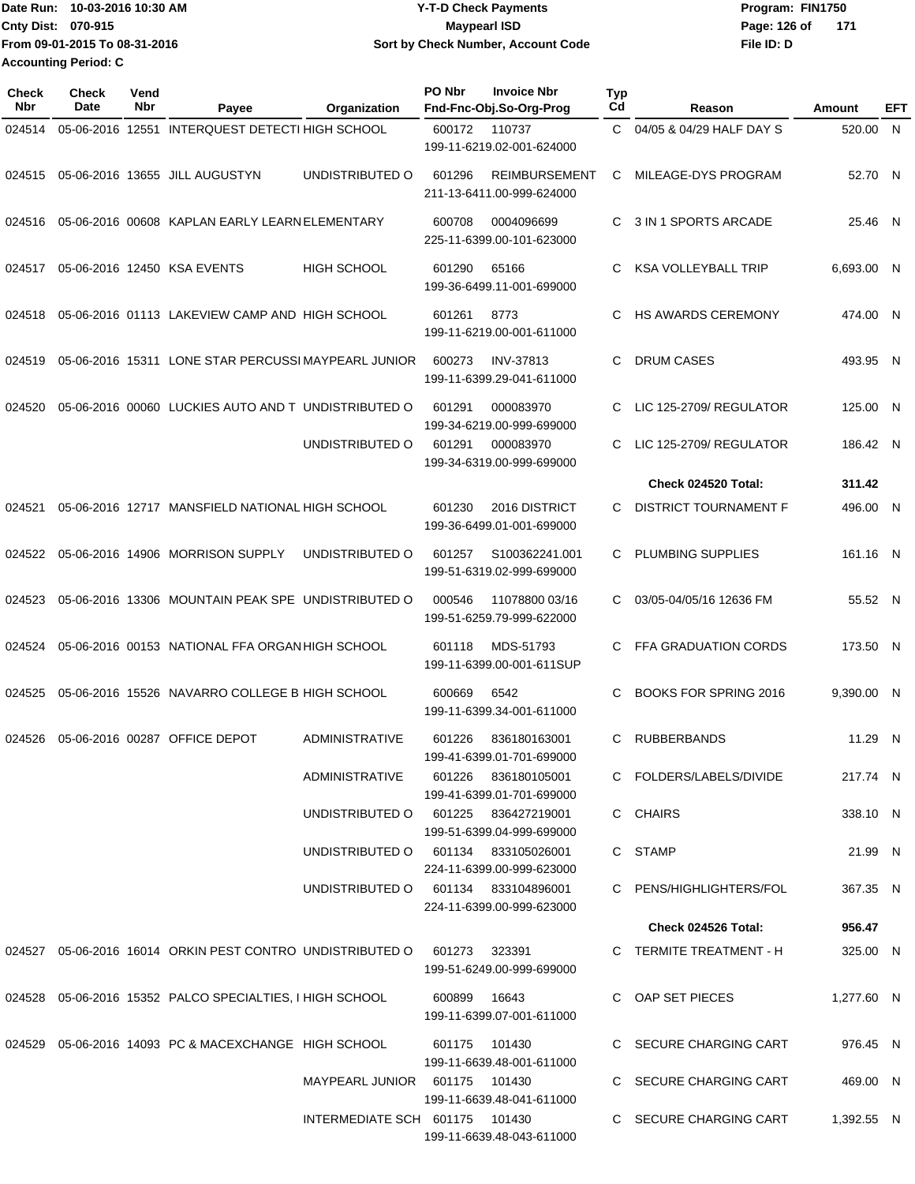| Date Run: 10-03-2016 10:30 AM | <b>Y-T-D Check Payments</b>        | Program: FIN1750    |
|-------------------------------|------------------------------------|---------------------|
| Cnty Dist: 070-915            | <b>Mavpearl ISD</b>                | Page: 126 of<br>171 |
| From 09-01-2015 To 08-31-2016 | Sort by Check Number, Account Code | File ID: D          |
| <b>Accounting Period: C</b>   |                                    |                     |

| Check<br>Nbr | <b>Check</b><br>Date | Vend<br>Nbr | Payee                                                                           | Organization                        | PO Nbr        | <b>Invoice Nbr</b><br>Fnd-Fnc-Obj.So-Org-Prog     | Typ<br>Cd    | Reason                       | Amount     | EFT |
|--------------|----------------------|-------------|---------------------------------------------------------------------------------|-------------------------------------|---------------|---------------------------------------------------|--------------|------------------------------|------------|-----|
| 024514       | 05-06-2016 12551     |             | INTERQUEST DETECTI HIGH SCHOOL                                                  |                                     | 600172        | 110737<br>199-11-6219.02-001-624000               | $\mathsf{C}$ | 04/05 & 04/29 HALF DAY S     | 520.00     | N   |
| 024515       |                      |             | 05-06-2016 13655 JILL AUGUSTYN                                                  | UNDISTRIBUTED O                     | 601296        | <b>REIMBURSEMENT</b><br>211-13-6411.00-999-624000 | C            | MILEAGE-DYS PROGRAM          | 52.70 N    |     |
| 024516       |                      |             | 05-06-2016 00608 KAPLAN EARLY LEARN ELEMENTARY                                  |                                     | 600708        | 0004096699<br>225-11-6399.00-101-623000           | C.           | 3 IN 1 SPORTS ARCADE         | 25.46 N    |     |
| 024517       |                      |             | 05-06-2016 12450 KSA EVENTS                                                     | <b>HIGH SCHOOL</b>                  | 601290        | 65166<br>199-36-6499.11-001-699000                | C            | <b>KSA VOLLEYBALL TRIP</b>   | 6,693.00 N |     |
| 024518       |                      |             | 05-06-2016 01113 LAKEVIEW CAMP AND HIGH SCHOOL                                  |                                     | 601261        | 8773<br>199-11-6219.00-001-611000                 | C            | <b>HS AWARDS CEREMONY</b>    | 474.00 N   |     |
| 024519       |                      |             | 05-06-2016 15311 LONE STAR PERCUSSI MAYPEARL JUNIOR                             |                                     | 600273        | <b>INV-37813</b><br>199-11-6399.29-041-611000     | C            | <b>DRUM CASES</b>            | 493.95 N   |     |
| 024520       |                      |             | 05-06-2016 00060 LUCKIES AUTO AND T UNDISTRIBUTED O                             |                                     | 601291        | 000083970<br>199-34-6219.00-999-699000            | C            | LIC 125-2709/ REGULATOR      | 125.00 N   |     |
|              |                      |             |                                                                                 | UNDISTRIBUTED O                     | 601291        | 000083970<br>199-34-6319.00-999-699000            | C            | LIC 125-2709/ REGULATOR      | 186.42 N   |     |
|              |                      |             |                                                                                 |                                     |               |                                                   |              | Check 024520 Total:          | 311.42     |     |
| 024521       |                      |             | 05-06-2016 12717 MANSFIELD NATIONAL HIGH SCHOOL                                 |                                     | 601230        | 2016 DISTRICT<br>199-36-6499.01-001-699000        | C.           | <b>DISTRICT TOURNAMENT F</b> | 496.00 N   |     |
| 024522       |                      |             | 05-06-2016 14906 MORRISON SUPPLY                                                | UNDISTRIBUTED O                     | 601257        | S100362241.001<br>199-51-6319.02-999-699000       | C.           | PLUMBING SUPPLIES            | 161.16 N   |     |
| 024523       |                      |             | 05-06-2016 13306 MOUNTAIN PEAK SPE UNDISTRIBUTED O                              |                                     | 000546        | 11078800 03/16<br>199-51-6259.79-999-622000       | C.           | 03/05-04/05/16 12636 FM      | 55.52 N    |     |
| 024524       |                      |             | 05-06-2016 00153 NATIONAL FFA ORGAN HIGH SCHOOL                                 |                                     | 601118        | MDS-51793<br>199-11-6399.00-001-611SUP            | C.           | FFA GRADUATION CORDS         | 173.50 N   |     |
| 024525       |                      |             | 05-06-2016 15526 NAVARRO COLLEGE B HIGH SCHOOL                                  |                                     | 600669        | 6542<br>199-11-6399.34-001-611000                 | C            | <b>BOOKS FOR SPRING 2016</b> | 9,390.00 N |     |
| 024526       |                      |             | 05-06-2016 00287 OFFICE DEPOT                                                   | <b>ADMINISTRATIVE</b>               | 601226        | 836180163001<br>199-41-6399.01-701-699000         | C.           | <b>RUBBERBANDS</b>           | 11.29 N    |     |
|              |                      |             |                                                                                 | ADMINISTRATIVE                      |               | 601226 836180105001<br>199-41-6399.01-701-699000  |              | C FOLDERS/LABELS/DIVIDE      | 217.74 N   |     |
|              |                      |             |                                                                                 | UNDISTRIBUTED O 601225 836427219001 |               | 199-51-6399.04-999-699000                         |              | C CHAIRS                     | 338.10 N   |     |
|              |                      |             |                                                                                 | UNDISTRIBUTED O 601134 833105026001 |               | 224-11-6399.00-999-623000                         |              | C STAMP                      | 21.99 N    |     |
|              |                      |             |                                                                                 | UNDISTRIBUTED O 601134 833104896001 |               | 224-11-6399.00-999-623000                         |              | C PENS/HIGHLIGHTERS/FOL      | 367.35 N   |     |
|              |                      |             |                                                                                 |                                     |               |                                                   |              | Check 024526 Total:          | 956.47     |     |
|              |                      |             | 024527  05-06-2016  16014  ORKIN PEST CONTRO UNDISTRIBUTED   0   601273  323391 |                                     |               | 199-51-6249.00-999-699000                         |              | C TERMITE TREATMENT - H      | 325.00 N   |     |
|              |                      |             | 024528 05-06-2016 15352 PALCO SPECIALTIES, I HIGH SCHOOL                        |                                     | 600899 16643  | 199-11-6399.07-001-611000                         |              | C OAP SET PIECES             | 1,277.60 N |     |
|              |                      |             | 024529 05-06-2016 14093 PC & MACEXCHANGE HIGH SCHOOL                            |                                     | 601175 101430 | 199-11-6639.48-001-611000                         |              | C SECURE CHARGING CART       | 976.45 N   |     |
|              |                      |             |                                                                                 | MAYPEARL JUNIOR 601175 101430       |               | 199-11-6639.48-041-611000                         |              | C SECURE CHARGING CART       | 469.00 N   |     |
|              |                      |             |                                                                                 | INTERMEDIATE SCH 601175 101430      |               | 199-11-6639.48-043-611000                         |              | C SECURE CHARGING CART       | 1,392.55 N |     |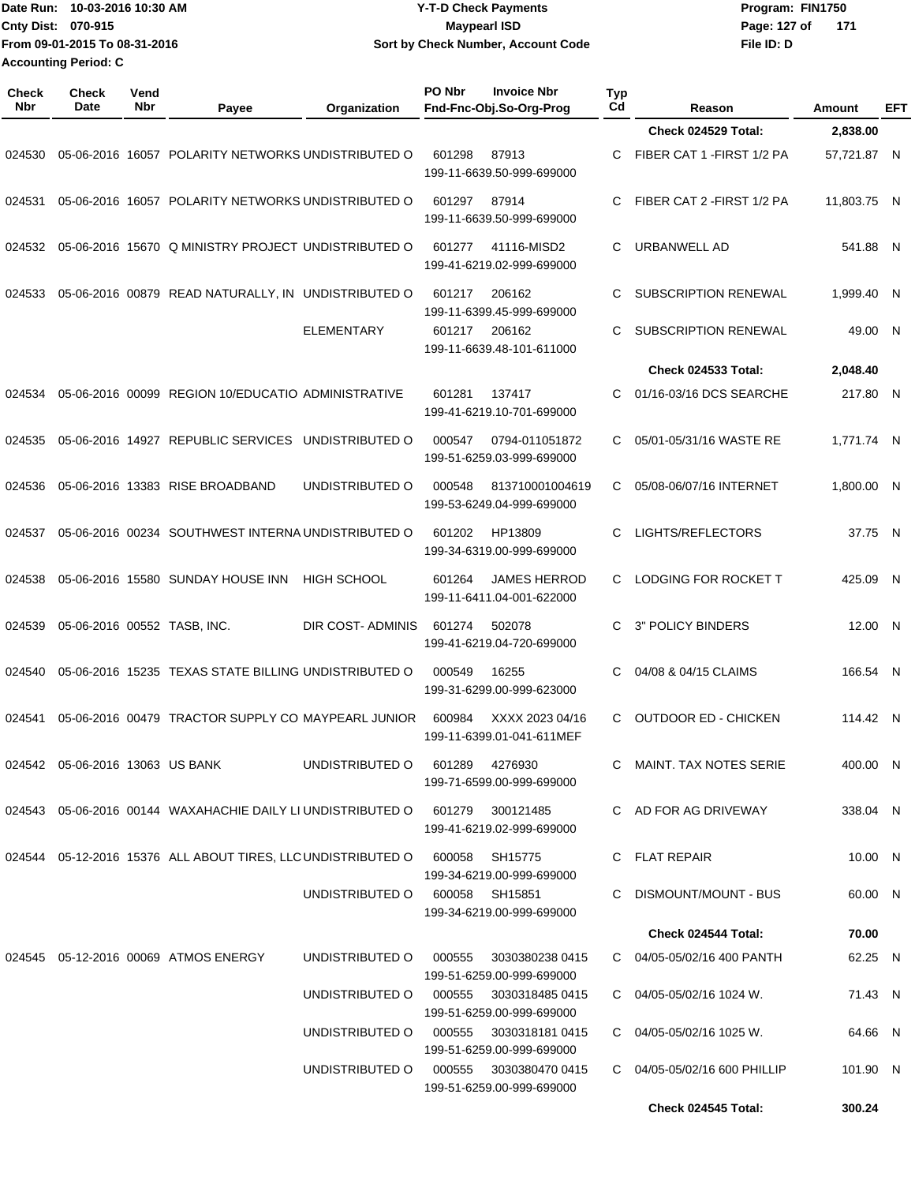| Date Run: 10-03-2016 10:30 AM | <b>Y-T-D Check Payments</b>        | Program: FIN1750    |
|-------------------------------|------------------------------------|---------------------|
| <b>Cnty Dist: 070-915</b>     | Maypearl ISD                       | Page: 127 of<br>171 |
| From 09-01-2015 To 08-31-2016 | Sort by Check Number, Account Code | File ID: D          |
| <b>Accounting Period: C</b>   |                                    |                     |

**PO Nbr Invoice Nbr**

| <b>Check</b><br>Nbr | <b>Check</b><br>Date            | Vend<br>Nbr | Payee                                                                        | Organization                           | PO Nbr | <b>Invoice Nbr</b><br>Fnd-Fnc-Obj.So-Org-Prog    | <b>Typ</b><br>Cd | Reason                         | <b>Amount</b> | EFT |
|---------------------|---------------------------------|-------------|------------------------------------------------------------------------------|----------------------------------------|--------|--------------------------------------------------|------------------|--------------------------------|---------------|-----|
|                     |                                 |             |                                                                              |                                        |        |                                                  |                  | Check 024529 Total:            | 2,838.00      |     |
| 024530              |                                 |             | 05-06-2016 16057 POLARITY NETWORKS UNDISTRIBUTED O                           |                                        | 601298 | 87913<br>199-11-6639.50-999-699000               | C.               | FIBER CAT 1 - FIRST 1/2 PA     | 57,721.87 N   |     |
| 024531              |                                 |             | 05-06-2016 16057 POLARITY NETWORKS UNDISTRIBUTED O                           |                                        | 601297 | 87914<br>199-11-6639.50-999-699000               | C                | FIBER CAT 2 - FIRST 1/2 PA     | 11,803.75 N   |     |
| 024532              |                                 |             | 05-06-2016 15670 Q MINISTRY PROJECT UNDISTRIBUTED O                          |                                        | 601277 | 41116-MISD2<br>199-41-6219.02-999-699000         | C                | URBANWELL AD                   | 541.88 N      |     |
| 024533              |                                 |             | 05-06-2016 00879 READ NATURALLY, IN UNDISTRIBUTED O                          |                                        | 601217 | 206162<br>199-11-6399.45-999-699000              | C                | <b>SUBSCRIPTION RENEWAL</b>    | 1,999.40 N    |     |
|                     |                                 |             |                                                                              | <b>ELEMENTARY</b>                      | 601217 | 206162<br>199-11-6639.48-101-611000              | C                | <b>SUBSCRIPTION RENEWAL</b>    | 49.00 N       |     |
|                     |                                 |             |                                                                              |                                        |        |                                                  |                  | Check 024533 Total:            | 2,048.40      |     |
| 024534              |                                 |             | 05-06-2016 00099 REGION 10/EDUCATIO ADMINISTRATIVE                           |                                        | 601281 | 137417<br>199-41-6219.10-701-699000              | C                | 01/16-03/16 DCS SEARCHE        | 217.80 N      |     |
| 024535              |                                 |             | 05-06-2016 14927 REPUBLIC SERVICES                                           | UNDISTRIBUTED O                        | 000547 | 0794-011051872<br>199-51-6259.03-999-699000      | C                | 05/01-05/31/16 WASTE RE        | 1,771.74 N    |     |
| 024536              |                                 |             | 05-06-2016 13383 RISE BROADBAND                                              | UNDISTRIBUTED O                        | 000548 | 813710001004619<br>199-53-6249.04-999-699000     | C                | 05/08-06/07/16 INTERNET        | 1,800.00 N    |     |
| 024537              |                                 |             | 05-06-2016 00234 SOUTHWEST INTERNA UNDISTRIBUTED O                           |                                        | 601202 | HP13809<br>199-34-6319.00-999-699000             | C                | LIGHTS/REFLECTORS              | 37.75 N       |     |
| 024538              |                                 |             | 05-06-2016 15580 SUNDAY HOUSE INN                                            | <b>HIGH SCHOOL</b>                     | 601264 | <b>JAMES HERROD</b><br>199-11-6411.04-001-622000 | C                | LODGING FOR ROCKET T           | 425.09 N      |     |
| 024539              | 05-06-2016 00552 TASB, INC.     |             |                                                                              | DIR COST-ADMINIS                       | 601274 | 502078<br>199-41-6219.04-720-699000              | C                | 3" POLICY BINDERS              | 12.00 N       |     |
| 024540              |                                 |             | 05-06-2016 15235 TEXAS STATE BILLING UNDISTRIBUTED O                         |                                        | 000549 | 16255<br>199-31-6299.00-999-623000               | C                | 04/08 & 04/15 CLAIMS           | 166.54 N      |     |
| 024541              |                                 |             | 05-06-2016 00479 TRACTOR SUPPLY CO MAYPEARL JUNIOR                           |                                        | 600984 | XXXX 2023 04/16<br>199-11-6399.01-041-611MEF     | С                | <b>OUTDOOR ED - CHICKEN</b>    | 114.42 N      |     |
|                     | 024542 05-06-2016 13063 US BANK |             |                                                                              | UNDISTRIBUTED O                        | 601289 | 4276930<br>199-71-6599.00-999-699000             |                  | C MAINT. TAX NOTES SERIE       | 400.00 N      |     |
|                     |                                 |             | 024543 05-06-2016 00144 WAXAHACHIE DAILY LI UNDISTRIBUTED O 601279 300121485 |                                        |        | 199-41-6219.02-999-699000                        |                  | C AD FOR AG DRIVEWAY           | 338.04 N      |     |
|                     |                                 |             | 024544 05-12-2016 15376 ALL ABOUT TIRES, LLC UNDISTRIBUTED O                 |                                        | 600058 | SH15775<br>199-34-6219.00-999-699000             |                  | C FLAT REPAIR                  | 10.00 N       |     |
|                     |                                 |             |                                                                              | UNDISTRIBUTED O                        |        | 600058 SH15851<br>199-34-6219.00-999-699000      |                  | C DISMOUNT/MOUNT - BUS         | 60.00 N       |     |
|                     |                                 |             |                                                                              |                                        |        |                                                  |                  | Check 024544 Total:            | 70.00         |     |
|                     |                                 |             | 024545  05-12-2016  00069  ATMOS ENERGY                                      | UNDISTRIBUTED O                        | 000555 | 3030380238 0415<br>199-51-6259.00-999-699000     |                  | C 04/05-05/02/16 400 PANTH     | 62.25 N       |     |
|                     |                                 |             |                                                                              | UNDISTRIBUTED O                        | 000555 | 3030318485 0415<br>199-51-6259.00-999-699000     |                  | C 04/05-05/02/16 1024 W.       | 71.43 N       |     |
|                     |                                 |             |                                                                              | UNDISTRIBUTED O 000555 3030318181 0415 |        | 199-51-6259.00-999-699000                        |                  | $C = 04/05 - 05/02/16$ 1025 W. | 64.66 N       |     |
|                     |                                 |             |                                                                              | UNDISTRIBUTED O 000555 3030380470 0415 |        | 199-51-6259.00-999-699000                        |                  | C 04/05-05/02/16 600 PHILLIP   | 101.90 N      |     |
|                     |                                 |             |                                                                              |                                        |        |                                                  |                  | Check 024545 Total:            | 300.24        |     |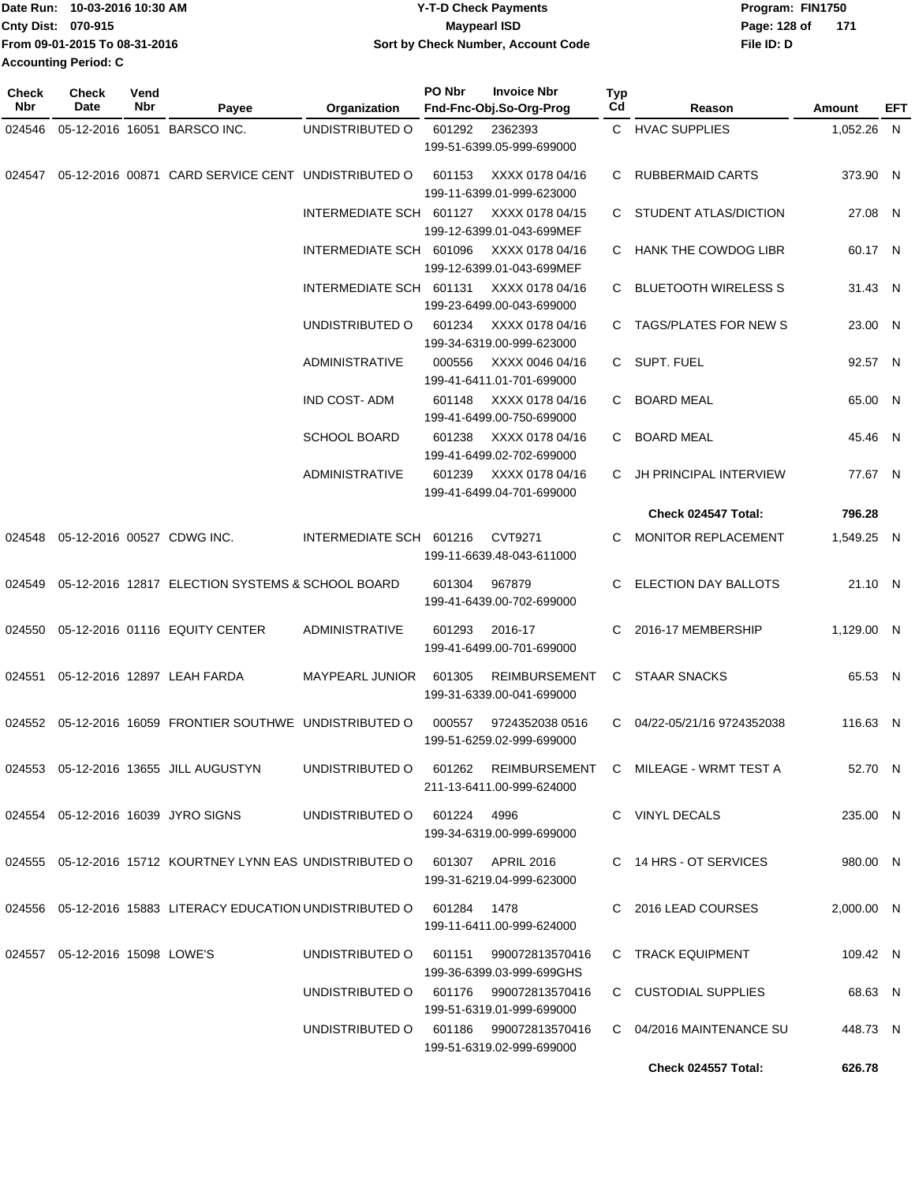| 10-03-2016 10:30 AM<br>lDate Run: | <b>Y-T-D Check Payments</b>        | Program: FIN1750    |
|-----------------------------------|------------------------------------|---------------------|
| <b>Cnty Dist: 070-915</b>         | <b>Mavpearl ISD</b>                | Page: 128 of<br>171 |
| From 09-01-2015 To 08-31-2016     | Sort by Check Number, Account Code | File ID: D          |
| <b>Accounting Period: C</b>       |                                    |                     |

| Check<br>Nbr | <b>Check</b><br>Date              | Vend<br>Nbr | Payee                                                                       | Organization                           | PO Nbr | <b>Invoice Nbr</b><br>Fnd-Fnc-Obj.So-Org-Prog | Typ<br>Cd | Reason                                                       | Amount     | EFT |
|--------------|-----------------------------------|-------------|-----------------------------------------------------------------------------|----------------------------------------|--------|-----------------------------------------------|-----------|--------------------------------------------------------------|------------|-----|
| 024546       |                                   |             | 05-12-2016 16051 BARSCO INC.                                                | UNDISTRIBUTED O                        | 601292 | 2362393                                       |           | C HVAC SUPPLIES                                              | 1,052.26 N |     |
|              |                                   |             |                                                                             |                                        |        | 199-51-6399.05-999-699000                     |           |                                                              |            |     |
| 024547       |                                   |             | 05-12-2016 00871 CARD SERVICE CENT UNDISTRIBUTED O                          |                                        | 601153 | XXXX 0178 04/16<br>199-11-6399.01-999-623000  | C.        | <b>RUBBERMAID CARTS</b>                                      | 373.90 N   |     |
|              |                                   |             |                                                                             | INTERMEDIATE SCH 601127                |        | XXXX 0178 04/15                               | C.        | STUDENT ATLAS/DICTION                                        | 27.08 N    |     |
|              |                                   |             |                                                                             |                                        |        | 199-12-6399.01-043-699MEF                     |           |                                                              |            |     |
|              |                                   |             |                                                                             | INTERMEDIATE SCH 601096                |        | XXXX 0178 04/16                               |           | C HANK THE COWDOG LIBR                                       | 60.17 N    |     |
|              |                                   |             |                                                                             |                                        |        | 199-12-6399.01-043-699MEF                     |           |                                                              |            |     |
|              |                                   |             |                                                                             | INTERMEDIATE SCH 601131                |        | XXXX 0178 04/16                               | C.        | <b>BLUETOOTH WIRELESS S</b>                                  | 31.43 N    |     |
|              |                                   |             |                                                                             |                                        |        | 199-23-6499.00-043-699000                     |           |                                                              |            |     |
|              |                                   |             |                                                                             | UNDISTRIBUTED O                        | 601234 | XXXX 0178 04/16                               |           | C TAGS/PLATES FOR NEW S                                      | 23.00 N    |     |
|              |                                   |             |                                                                             |                                        |        | 199-34-6319.00-999-623000                     |           |                                                              |            |     |
|              |                                   |             |                                                                             | <b>ADMINISTRATIVE</b>                  | 000556 | XXXX 0046 04/16<br>199-41-6411.01-701-699000  | C.        | SUPT. FUEL                                                   | 92.57 N    |     |
|              |                                   |             |                                                                             | IND COST-ADM                           | 601148 | XXXX 0178 04/16                               | C         | <b>BOARD MEAL</b>                                            | 65.00 N    |     |
|              |                                   |             |                                                                             |                                        |        | 199-41-6499.00-750-699000                     |           |                                                              |            |     |
|              |                                   |             |                                                                             | <b>SCHOOL BOARD</b>                    | 601238 | XXXX 0178 04/16                               | C         | <b>BOARD MEAL</b>                                            | 45.46 N    |     |
|              |                                   |             |                                                                             |                                        |        | 199-41-6499.02-702-699000                     |           |                                                              |            |     |
|              |                                   |             |                                                                             | <b>ADMINISTRATIVE</b>                  | 601239 | XXXX 0178 04/16                               | C.        | JH PRINCIPAL INTERVIEW                                       | 77.67 N    |     |
|              |                                   |             |                                                                             |                                        |        | 199-41-6499.04-701-699000                     |           |                                                              |            |     |
|              |                                   |             |                                                                             |                                        |        |                                               |           | Check 024547 Total:                                          | 796.28     |     |
| 024548       |                                   |             | 05-12-2016 00527 CDWG INC.                                                  | INTERMEDIATE SCH 601216                |        | CVT9271                                       | C.        | MONITOR REPLACEMENT                                          | 1,549.25 N |     |
|              |                                   |             |                                                                             |                                        |        | 199-11-6639.48-043-611000                     |           |                                                              |            |     |
| 024549       |                                   |             | 05-12-2016 12817 ELECTION SYSTEMS & SCHOOL BOARD                            |                                        | 601304 | 967879                                        | C         | ELECTION DAY BALLOTS                                         | 21.10 N    |     |
|              |                                   |             |                                                                             |                                        |        | 199-41-6439.00-702-699000                     |           |                                                              |            |     |
|              |                                   |             |                                                                             |                                        |        |                                               |           |                                                              |            |     |
| 024550       |                                   |             | 05-12-2016 01116 EQUITY CENTER                                              | <b>ADMINISTRATIVE</b>                  | 601293 | 2016-17                                       | C         | 2016-17 MEMBERSHIP                                           | 1,129.00 N |     |
|              |                                   |             |                                                                             |                                        |        | 199-41-6499.00-701-699000                     |           |                                                              |            |     |
| 024551       |                                   |             | 05-12-2016 12897 LEAH FARDA                                                 | MAYPEARL JUNIOR                        | 601305 | <b>REIMBURSEMENT</b>                          | C         | <b>STAAR SNACKS</b>                                          | 65.53 N    |     |
|              |                                   |             |                                                                             |                                        |        | 199-31-6339.00-041-699000                     |           |                                                              |            |     |
| 024552       |                                   |             | 05-12-2016 16059 FRONTIER SOUTHWE UNDISTRIBUTED O                           |                                        | 000557 | 9724352038 0516                               | C.        | 04/22-05/21/16 9724352038                                    | 116.63 N   |     |
|              |                                   |             |                                                                             |                                        |        | 199-51-6259.02-999-699000                     |           |                                                              |            |     |
|              |                                   |             |                                                                             |                                        |        |                                               |           |                                                              |            |     |
|              |                                   |             | 024553  05-12-2016  13655  JILL AUGUSTYN                                    |                                        |        | 211-13-6411.00-999-624000                     |           | UNDISTRIBUTED O 601262 REIMBURSEMENT C MILEAGE - WRMT TEST A | 52.70 N    |     |
|              |                                   |             |                                                                             |                                        |        |                                               |           |                                                              |            |     |
|              |                                   |             | 024554 05-12-2016 16039 JYRO SIGNS                                          | UNDISTRIBUTED O 601224 4996            |        |                                               |           | C VINYL DECALS                                               | 235.00 N   |     |
|              |                                   |             |                                                                             |                                        |        | 199-34-6319.00-999-699000                     |           |                                                              |            |     |
|              |                                   |             | 024555 05-12-2016 15712 KOURTNEY LYNN EAS UNDISTRIBUTED O 601307 APRIL 2016 |                                        |        |                                               |           | C 14 HRS - OT SERVICES                                       | 980.00 N   |     |
|              |                                   |             |                                                                             |                                        |        | 199-31-6219.04-999-623000                     |           |                                                              |            |     |
|              |                                   |             | 024556  05-12-2016  15883 LITERACY EDUCATION UNDISTRIBUTED O  601284  1478  |                                        |        |                                               |           | C 2016 LEAD COURSES                                          |            |     |
|              |                                   |             |                                                                             |                                        |        | 199-11-6411.00-999-624000                     |           |                                                              | 2,000.00 N |     |
|              |                                   |             |                                                                             |                                        |        |                                               |           |                                                              |            |     |
|              | 024557  05-12-2016  15098  LOWE'S |             |                                                                             | UNDISTRIBUTED O 601151 990072813570416 |        |                                               |           | C TRACK EQUIPMENT                                            | 109.42 N   |     |
|              |                                   |             |                                                                             |                                        |        | 199-36-6399.03-999-699GHS                     |           |                                                              |            |     |
|              |                                   |             |                                                                             | UNDISTRIBUTED O 601176 990072813570416 |        |                                               |           | C CUSTODIAL SUPPLIES                                         | 68.63 N    |     |
|              |                                   |             |                                                                             |                                        |        | 199-51-6319.01-999-699000                     |           |                                                              |            |     |
|              |                                   |             |                                                                             | UNDISTRIBUTED O 601186 990072813570416 |        | 199-51-6319.02-999-699000                     |           | C 04/2016 MAINTENANCE SU                                     | 448.73 N   |     |
|              |                                   |             |                                                                             |                                        |        |                                               |           | Check 024557 Total:                                          | 626.78     |     |
|              |                                   |             |                                                                             |                                        |        |                                               |           |                                                              |            |     |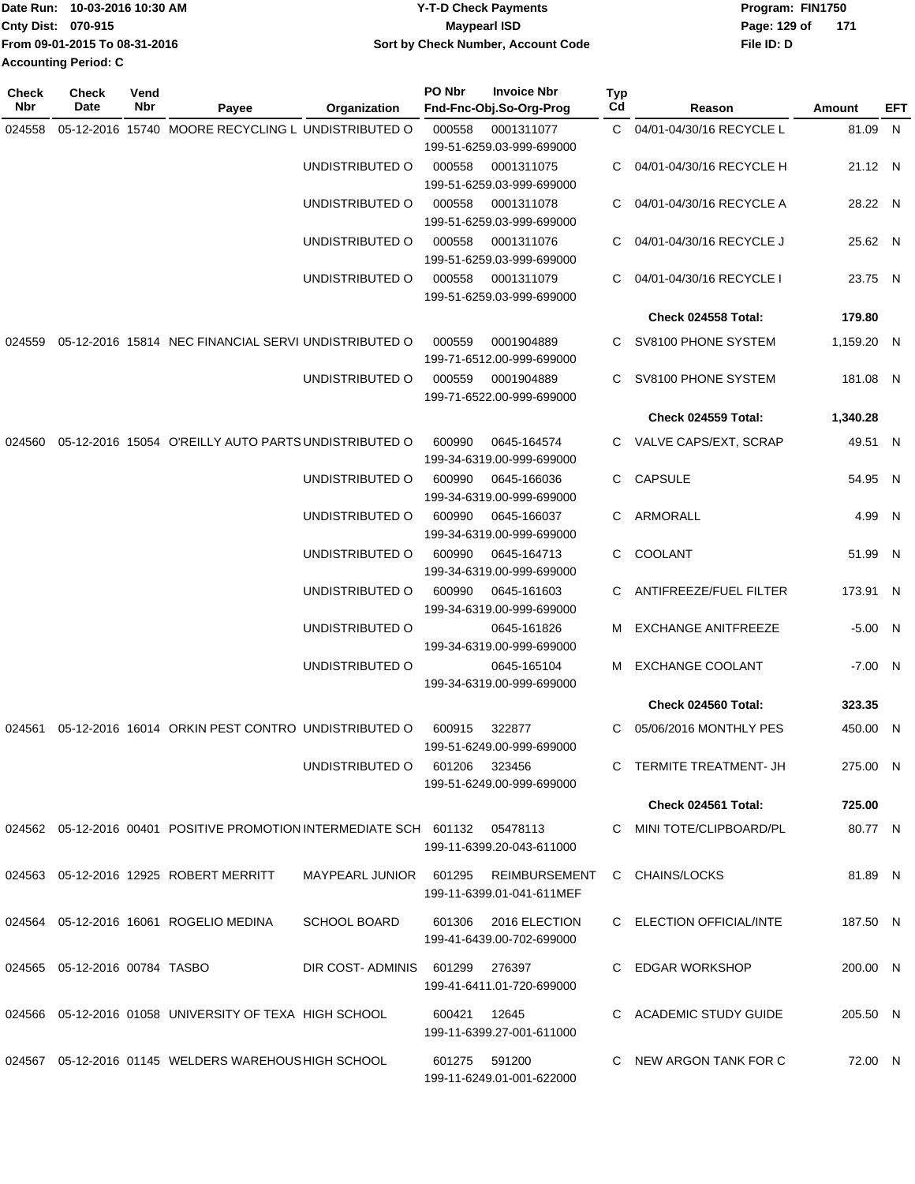|                             | Date Run: 10-03-2016 10:30 AM | <b>Y-T-D Check Payments</b>        | Program: FIN1750    |
|-----------------------------|-------------------------------|------------------------------------|---------------------|
| <b>Cnty Dist: 070-915</b>   |                               | <b>Mavpearl ISD</b>                | 171<br>Page: 129 of |
|                             | From 09-01-2015 To 08-31-2016 | Sort by Check Number, Account Code | File ID: D          |
| <b>Accounting Period: C</b> |                               |                                    |                     |

| <b>Check</b><br>Nbr | <b>Check</b><br>Date             | Vend<br>Nbr | Payee                                                                            | Organization                   | PO Nbr | <b>Invoice Nbr</b><br>Fnd-Fnc-Obj.So-Org-Prog | Typ<br>Cd | Reason                     | Amount     | EFT |
|---------------------|----------------------------------|-------------|----------------------------------------------------------------------------------|--------------------------------|--------|-----------------------------------------------|-----------|----------------------------|------------|-----|
| 024558              |                                  |             | 05-12-2016 15740 MOORE RECYCLING L UNDISTRIBUTED O                               |                                | 000558 | 0001311077                                    |           | C 04/01-04/30/16 RECYCLE L | 81.09 N    |     |
|                     |                                  |             |                                                                                  |                                |        | 199-51-6259.03-999-699000                     |           |                            |            |     |
|                     |                                  |             |                                                                                  | UNDISTRIBUTED O                | 000558 | 0001311075                                    | C.        | 04/01-04/30/16 RECYCLE H   | 21.12 N    |     |
|                     |                                  |             |                                                                                  |                                |        | 199-51-6259.03-999-699000                     |           |                            |            |     |
|                     |                                  |             |                                                                                  | UNDISTRIBUTED O                | 000558 | 0001311078                                    | C         | 04/01-04/30/16 RECYCLE A   | 28.22 N    |     |
|                     |                                  |             |                                                                                  |                                |        | 199-51-6259.03-999-699000                     |           |                            |            |     |
|                     |                                  |             |                                                                                  | UNDISTRIBUTED O                | 000558 | 0001311076                                    | C.        | 04/01-04/30/16 RECYCLE J   | 25.62 N    |     |
|                     |                                  |             |                                                                                  |                                |        | 199-51-6259.03-999-699000                     |           |                            |            |     |
|                     |                                  |             |                                                                                  | UNDISTRIBUTED O                | 000558 | 0001311079                                    | C.        | 04/01-04/30/16 RECYCLE I   | 23.75 N    |     |
|                     |                                  |             |                                                                                  |                                |        | 199-51-6259.03-999-699000                     |           |                            |            |     |
|                     |                                  |             |                                                                                  |                                |        |                                               |           | Check 024558 Total:        | 179.80     |     |
|                     |                                  |             |                                                                                  |                                |        |                                               |           |                            |            |     |
| 024559              |                                  |             | 05-12-2016 15814 NEC FINANCIAL SERVI UNDISTRIBUTED O                             |                                | 000559 | 0001904889                                    |           | C SV8100 PHONE SYSTEM      | 1,159.20 N |     |
|                     |                                  |             |                                                                                  |                                |        | 199-71-6512.00-999-699000                     |           |                            |            |     |
|                     |                                  |             |                                                                                  | UNDISTRIBUTED O                | 000559 | 0001904889                                    | C.        | SV8100 PHONE SYSTEM        | 181.08 N   |     |
|                     |                                  |             |                                                                                  |                                |        | 199-71-6522.00-999-699000                     |           |                            |            |     |
|                     |                                  |             |                                                                                  |                                |        |                                               |           | Check 024559 Total:        | 1,340.28   |     |
| 024560              |                                  |             | 05-12-2016 15054 O'REILLY AUTO PARTS UNDISTRIBUTED O                             |                                | 600990 | 0645-164574                                   |           | C VALVE CAPS/EXT, SCRAP    | 49.51 N    |     |
|                     |                                  |             |                                                                                  |                                |        | 199-34-6319.00-999-699000                     |           |                            |            |     |
|                     |                                  |             |                                                                                  | UNDISTRIBUTED O                | 600990 | 0645-166036                                   | C.        | <b>CAPSULE</b>             | 54.95 N    |     |
|                     |                                  |             |                                                                                  |                                |        | 199-34-6319.00-999-699000                     |           |                            |            |     |
|                     |                                  |             |                                                                                  | UNDISTRIBUTED O                | 600990 | 0645-166037                                   | C.        | ARMORALL                   | 4.99 N     |     |
|                     |                                  |             |                                                                                  |                                |        | 199-34-6319.00-999-699000                     |           |                            |            |     |
|                     |                                  |             |                                                                                  | UNDISTRIBUTED O                | 600990 | 0645-164713                                   | C.        | <b>COOLANT</b>             | 51.99 N    |     |
|                     |                                  |             |                                                                                  |                                |        | 199-34-6319.00-999-699000                     |           |                            |            |     |
|                     |                                  |             |                                                                                  | UNDISTRIBUTED O                | 600990 | 0645-161603                                   | C.        | ANTIFREEZE/FUEL FILTER     | 173.91 N   |     |
|                     |                                  |             |                                                                                  |                                |        | 199-34-6319.00-999-699000                     |           |                            |            |     |
|                     |                                  |             |                                                                                  | UNDISTRIBUTED O                |        | 0645-161826                                   | M         | <b>EXCHANGE ANITFREEZE</b> | $-5.00$ N  |     |
|                     |                                  |             |                                                                                  |                                |        | 199-34-6319.00-999-699000                     |           |                            |            |     |
|                     |                                  |             |                                                                                  | UNDISTRIBUTED O                |        | 0645-165104                                   | M         | <b>EXCHANGE COOLANT</b>    | $-7.00 N$  |     |
|                     |                                  |             |                                                                                  |                                |        | 199-34-6319.00-999-699000                     |           |                            |            |     |
|                     |                                  |             |                                                                                  |                                |        |                                               |           | Check 024560 Total:        | 323.35     |     |
| 024561              |                                  |             | 05-12-2016 16014 ORKIN PEST CONTRO UNDISTRIBUTED O                               |                                | 600915 | 322877                                        | C.        | 05/06/2016 MONTHLY PES     | 450.00 N   |     |
|                     |                                  |             |                                                                                  |                                |        | 199-51-6249.00-999-699000                     |           |                            |            |     |
|                     |                                  |             |                                                                                  | UNDISTRIBUTED 0 601206 323456  |        |                                               |           | C TERMITE TREATMENT- JH    | 275.00 N   |     |
|                     |                                  |             |                                                                                  |                                |        | 199-51-6249.00-999-699000                     |           |                            |            |     |
|                     |                                  |             |                                                                                  |                                |        |                                               |           | Check 024561 Total:        | 725.00     |     |
|                     |                                  |             |                                                                                  |                                |        |                                               |           |                            |            |     |
|                     |                                  |             | 024562  05-12-2016  00401  POSITIVE PROMOTION INTERMEDIATE SCH  601132  05478113 |                                |        | 199-11-6399.20-043-611000                     |           | C MINI TOTE/CLIPBOARD/PL   | 80.77 N    |     |
|                     |                                  |             |                                                                                  |                                |        |                                               |           |                            |            |     |
|                     |                                  |             | 024563 05-12-2016 12925 ROBERT MERRITT                                           |                                |        | MAYPEARL JUNIOR 601295 REIMBURSEMENT          |           | C CHAINS/LOCKS             | 81.89 N    |     |
|                     |                                  |             |                                                                                  |                                |        | 199-11-6399.01-041-611MEF                     |           |                            |            |     |
|                     |                                  |             | 024564 05-12-2016 16061 ROGELIO MEDINA                                           | <b>SCHOOL BOARD</b>            |        | 601306 2016 ELECTION                          |           | C ELECTION OFFICIAL/INTE   | 187.50 N   |     |
|                     |                                  |             |                                                                                  |                                |        | 199-41-6439.00-702-699000                     |           |                            |            |     |
|                     |                                  |             |                                                                                  |                                |        |                                               |           |                            |            |     |
|                     | 024565  05-12-2016  00784  TASBO |             |                                                                                  | DIR COST-ADMINIS 601299 276397 |        |                                               |           | C EDGAR WORKSHOP           | 200.00 N   |     |
|                     |                                  |             |                                                                                  |                                |        | 199-41-6411.01-720-699000                     |           |                            |            |     |
|                     |                                  |             | 024566  05-12-2016  01058  UNIVERSITY OF TEXA  HIGH SCHOOL                       |                                | 600421 | 12645                                         |           | C ACADEMIC STUDY GUIDE     | 205.50 N   |     |
|                     |                                  |             |                                                                                  |                                |        | 199-11-6399.27-001-611000                     |           |                            |            |     |
|                     |                                  |             |                                                                                  |                                |        |                                               |           |                            |            |     |
|                     |                                  |             | 024567 05-12-2016 01145 WELDERS WAREHOUS HIGH SCHOOL                             |                                |        | 601275 591200                                 |           | C NEW ARGON TANK FOR C     | 72.00 N    |     |
|                     |                                  |             |                                                                                  |                                |        | 199-11-6249.01-001-622000                     |           |                            |            |     |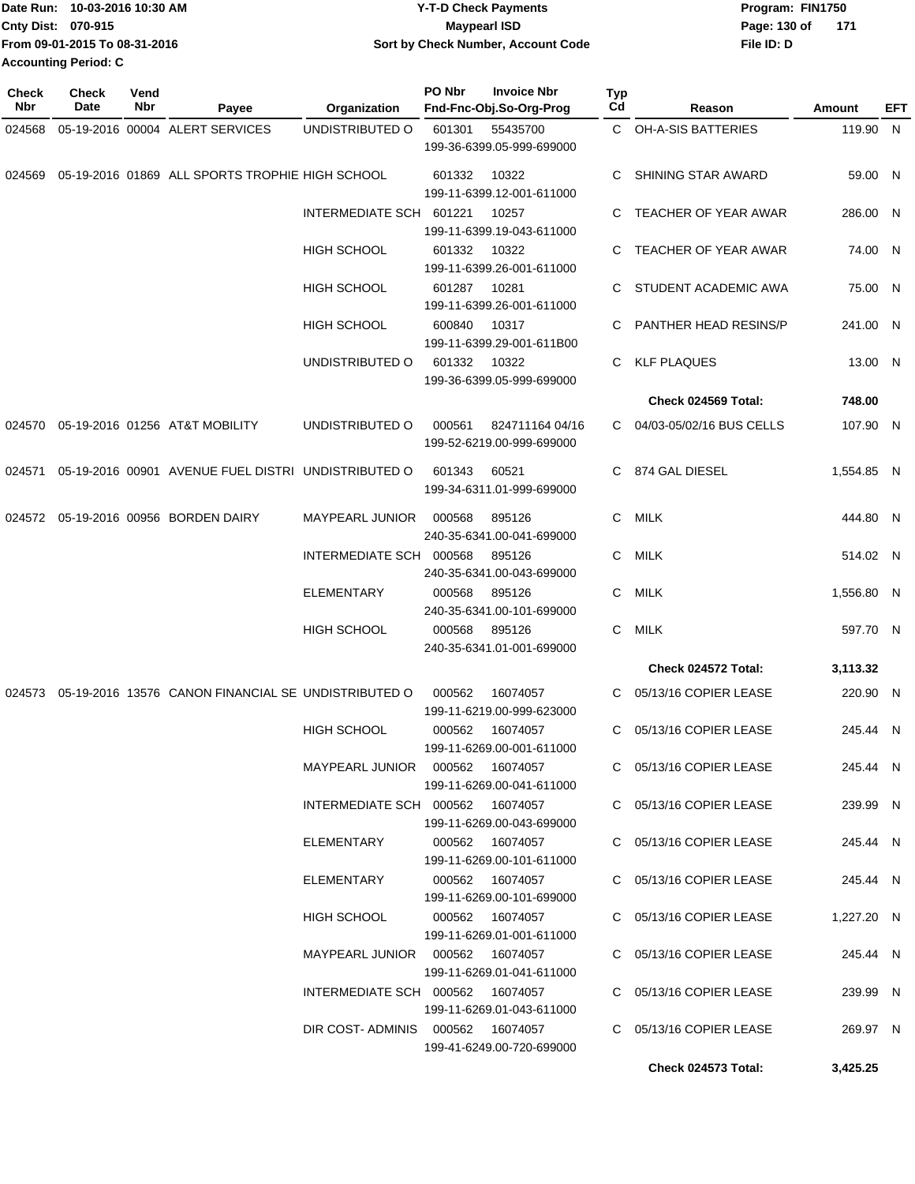|                             | Date Run: 10-03-2016 10:30 AM | <b>Y-T-D Check Payments</b>        | Program: FIN1750    |
|-----------------------------|-------------------------------|------------------------------------|---------------------|
| <b>Cnty Dist: 070-915</b>   |                               | <b>Mavpearl ISD</b>                | 171<br>Page: 130 of |
|                             | From 09-01-2015 To 08-31-2016 | Sort by Check Number, Account Code | File ID: D          |
| <b>Accounting Period: C</b> |                               |                                    |                     |

| <b>Check</b><br>Nbr | <b>Check</b><br>Date | Vend<br>Nbr | Payee                                                      | Organization                     | <b>PO Nbr</b> | <b>Invoice Nbr</b><br>Fnd-Fnc-Obj.So-Org-Prog | <b>Typ</b><br>Cd | Reason                   | Amount     | EFT |
|---------------------|----------------------|-------------|------------------------------------------------------------|----------------------------------|---------------|-----------------------------------------------|------------------|--------------------------|------------|-----|
| 024568              |                      |             | 05-19-2016 00004 ALERT SERVICES                            | UNDISTRIBUTED O                  | 601301        | 55435700                                      |                  | C OH-A-SIS BATTERIES     | 119.90 N   |     |
|                     |                      |             |                                                            |                                  |               | 199-36-6399.05-999-699000                     |                  |                          |            |     |
|                     |                      |             | 024569 05-19-2016 01869 ALL SPORTS TROPHIE HIGH SCHOOL     |                                  | 601332        | 10322<br>199-11-6399.12-001-611000            | C                | SHINING STAR AWARD       | 59.00 N    |     |
|                     |                      |             |                                                            | INTERMEDIATE SCH 601221          |               | 10257                                         | C                | TEACHER OF YEAR AWAR     | 286.00 N   |     |
|                     |                      |             |                                                            |                                  |               | 199-11-6399.19-043-611000                     |                  |                          |            |     |
|                     |                      |             |                                                            | <b>HIGH SCHOOL</b>               | 601332        | 10322                                         |                  | TEACHER OF YEAR AWAR     | 74.00 N    |     |
|                     |                      |             |                                                            |                                  |               | 199-11-6399.26-001-611000                     |                  |                          |            |     |
|                     |                      |             |                                                            | HIGH SCHOOL                      | 601287        | 10281                                         | C                | STUDENT ACADEMIC AWA     | 75.00 N    |     |
|                     |                      |             |                                                            |                                  |               | 199-11-6399.26-001-611000                     |                  |                          |            |     |
|                     |                      |             |                                                            | HIGH SCHOOL                      | 600840        | 10317                                         | C                | PANTHER HEAD RESINS/P    | 241.00 N   |     |
|                     |                      |             |                                                            |                                  |               | 199-11-6399.29-001-611B00                     |                  |                          |            |     |
|                     |                      |             |                                                            | UNDISTRIBUTED O                  | 601332        | 10322                                         | C.               | <b>KLF PLAQUES</b>       | 13.00 N    |     |
|                     |                      |             |                                                            |                                  |               | 199-36-6399.05-999-699000                     |                  |                          |            |     |
|                     |                      |             |                                                            |                                  |               |                                               |                  | Check 024569 Total:      | 748.00     |     |
|                     |                      |             | 024570 05-19-2016 01256 AT&T MOBILITY                      | UNDISTRIBUTED O                  | 000561        | 824711164 04/16                               | C.               | 04/03-05/02/16 BUS CELLS | 107.90 N   |     |
|                     |                      |             |                                                            |                                  |               | 199-52-6219.00-999-699000                     |                  |                          |            |     |
| 024571              |                      |             | 05-19-2016 00901 AVENUE FUEL DISTRI UNDISTRIBUTED O        |                                  | 601343        | 60521                                         | C                | 874 GAL DIESEL           | 1,554.85 N |     |
|                     |                      |             |                                                            |                                  |               | 199-34-6311.01-999-699000                     |                  |                          |            |     |
|                     |                      |             | 024572 05-19-2016 00956 BORDEN DAIRY                       | <b>MAYPEARL JUNIOR</b>           | 000568        | 895126                                        | C.               | MILK                     | 444.80 N   |     |
|                     |                      |             |                                                            |                                  |               | 240-35-6341.00-041-699000                     |                  |                          |            |     |
|                     |                      |             |                                                            | INTERMEDIATE SCH 000568          |               | 895126                                        | C.               | <b>MILK</b>              | 514.02 N   |     |
|                     |                      |             |                                                            |                                  |               | 240-35-6341.00-043-699000                     |                  |                          |            |     |
|                     |                      |             |                                                            | <b>ELEMENTARY</b>                | 000568        | 895126                                        | C.               | MILK                     | 1,556.80 N |     |
|                     |                      |             |                                                            |                                  |               | 240-35-6341.00-101-699000                     |                  |                          |            |     |
|                     |                      |             |                                                            | HIGH SCHOOL                      | 000568        | 895126                                        | C                | MILK                     | 597.70 N   |     |
|                     |                      |             |                                                            |                                  |               | 240-35-6341.01-001-699000                     |                  |                          |            |     |
|                     |                      |             |                                                            |                                  |               |                                               |                  | Check 024572 Total:      | 3,113.32   |     |
|                     |                      |             | 024573 05-19-2016 13576 CANON FINANCIAL SE UNDISTRIBUTED O |                                  | 000562        | 16074057                                      | C                | 05/13/16 COPIER LEASE    | 220.90 N   |     |
|                     |                      |             |                                                            |                                  |               | 199-11-6219.00-999-623000                     |                  |                          |            |     |
|                     |                      |             |                                                            | <b>HIGH SCHOOL</b>               | 000562        | 16074057                                      | C.               | 05/13/16 COPIER LEASE    | 245.44 N   |     |
|                     |                      |             |                                                            |                                  |               | 199-11-6269.00-001-611000                     |                  |                          |            |     |
|                     |                      |             |                                                            |                                  |               |                                               |                  | C 05/13/16 COPIER LEASE  | 245.44 N   |     |
|                     |                      |             |                                                            |                                  |               | 199-11-6269.00-041-611000                     |                  |                          |            |     |
|                     |                      |             |                                                            | INTERMEDIATE SCH 000562 16074057 |               |                                               |                  | C 05/13/16 COPIER LEASE  | 239.99 N   |     |
|                     |                      |             |                                                            | ELEMENTARY                       |               | 199-11-6269.00-043-699000<br>000562 16074057  |                  | C 05/13/16 COPIER LEASE  | 245.44 N   |     |
|                     |                      |             |                                                            |                                  |               | 199-11-6269.00-101-611000                     |                  |                          |            |     |
|                     |                      |             |                                                            | ELEMENTARY                       |               | 000562 16074057                               |                  | C 05/13/16 COPIER LEASE  | 245.44 N   |     |
|                     |                      |             |                                                            |                                  |               | 199-11-6269.00-101-699000                     |                  |                          |            |     |
|                     |                      |             |                                                            | <b>HIGH SCHOOL</b>               |               | 000562 16074057                               |                  | C 05/13/16 COPIER LEASE  | 1,227.20 N |     |
|                     |                      |             |                                                            |                                  |               | 199-11-6269.01-001-611000                     |                  |                          |            |     |
|                     |                      |             |                                                            |                                  |               |                                               |                  | C 05/13/16 COPIER LEASE  | 245.44 N   |     |
|                     |                      |             |                                                            |                                  |               | 199-11-6269.01-041-611000                     |                  |                          |            |     |
|                     |                      |             |                                                            | INTERMEDIATE SCH 000562 16074057 |               |                                               |                  | C 05/13/16 COPIER LEASE  | 239.99 N   |     |
|                     |                      |             |                                                            |                                  |               | 199-11-6269.01-043-611000                     |                  |                          |            |     |
|                     |                      |             |                                                            | DIR COST-ADMINIS 000562 16074057 |               | 199-41-6249.00-720-699000                     |                  | C 05/13/16 COPIER LEASE  | 269.97 N   |     |
|                     |                      |             |                                                            |                                  |               |                                               |                  | Check 024573 Total:      | 3,425.25   |     |
|                     |                      |             |                                                            |                                  |               |                                               |                  |                          |            |     |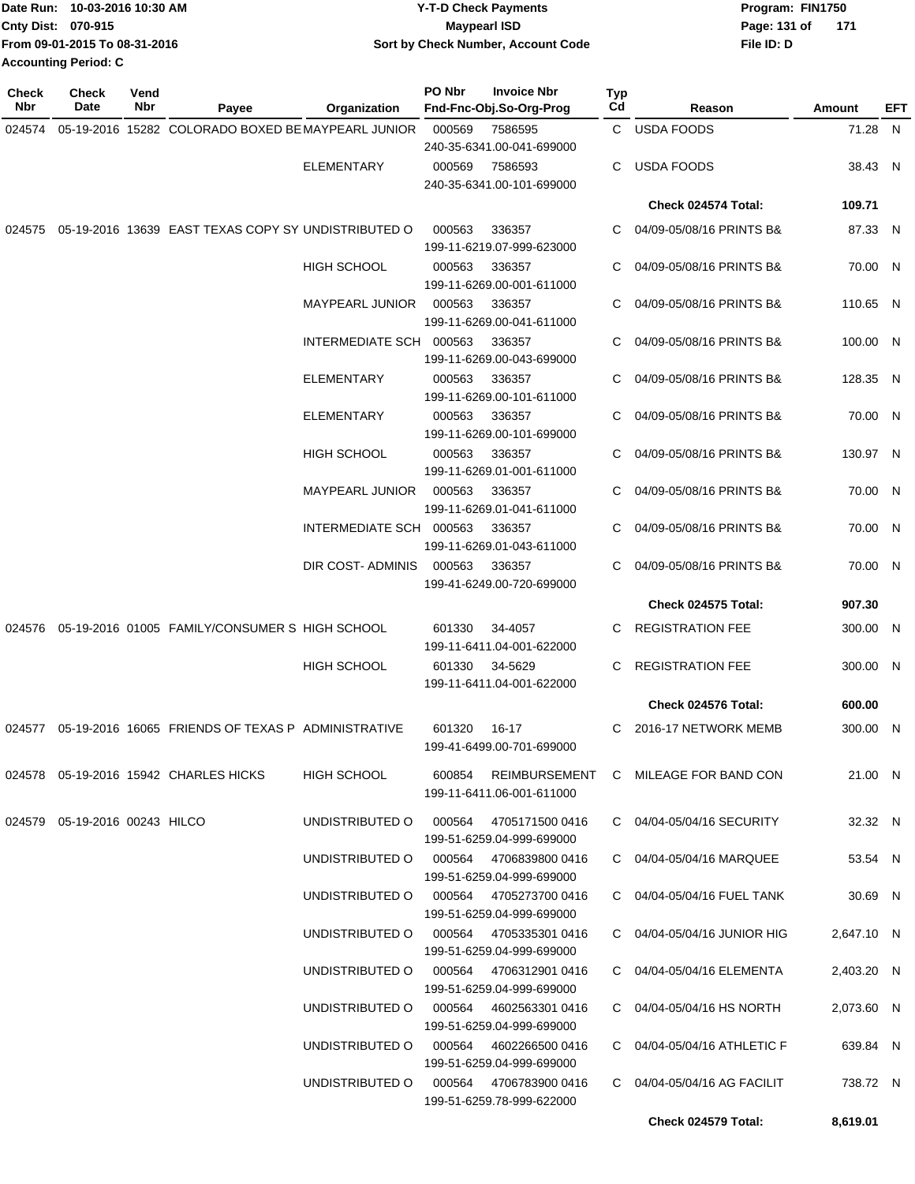| Date Run: 10-03-2016 10:30 AM | <b>Y-T-D Check Payments</b>        | Program: FIN1750    |
|-------------------------------|------------------------------------|---------------------|
| <b>Cnty Dist: 070-915</b>     | <b>Mavpearl ISD</b>                | Page: 131 of<br>171 |
| From 09-01-2015 To 08-31-2016 | Sort by Check Number, Account Code | File ID: D          |
| Accounting Period: C          |                                    |                     |

| <b>Check</b><br><b>Nbr</b> | <b>Check</b><br>Date             | Vend<br>Nbr | Payee                                                      | Organization                           | PO Nbr | <b>Invoice Nbr</b><br>Fnd-Fnc-Obj.So-Org-Prog       | Typ<br>Cd | Reason                                      | Amount     | EFT |
|----------------------------|----------------------------------|-------------|------------------------------------------------------------|----------------------------------------|--------|-----------------------------------------------------|-----------|---------------------------------------------|------------|-----|
| 024574                     |                                  |             | 05-19-2016 15282 COLORADO BOXED BE MAYPEARL JUNIOR         |                                        | 000569 | 7586595<br>240-35-6341.00-041-699000                |           | C USDA FOODS                                | 71.28 N    |     |
|                            |                                  |             |                                                            | <b>ELEMENTARY</b>                      | 000569 | 7586593<br>240-35-6341.00-101-699000                | C         | <b>USDA FOODS</b>                           | 38.43 N    |     |
|                            |                                  |             |                                                            |                                        |        |                                                     |           | Check 024574 Total:                         | 109.71     |     |
|                            |                                  |             | 024575 05-19-2016 13639 EAST TEXAS COPY SY UNDISTRIBUTED O |                                        | 000563 | 336357<br>199-11-6219.07-999-623000                 | C         | 04/09-05/08/16 PRINTS B&                    | 87.33 N    |     |
|                            |                                  |             |                                                            | <b>HIGH SCHOOL</b>                     | 000563 | 336357<br>199-11-6269.00-001-611000                 |           | 04/09-05/08/16 PRINTS B&                    | 70.00 N    |     |
|                            |                                  |             |                                                            | <b>MAYPEARL JUNIOR</b>                 | 000563 | 336357<br>199-11-6269.00-041-611000                 | C         | 04/09-05/08/16 PRINTS B&                    | 110.65 N   |     |
|                            |                                  |             |                                                            | INTERMEDIATE SCH 000563                |        | 336357<br>199-11-6269.00-043-699000                 |           | 04/09-05/08/16 PRINTS B&                    | 100.00 N   |     |
|                            |                                  |             |                                                            | <b>ELEMENTARY</b>                      | 000563 | 336357<br>199-11-6269.00-101-611000                 |           | 04/09-05/08/16 PRINTS B&                    | 128.35 N   |     |
|                            |                                  |             |                                                            | <b>ELEMENTARY</b>                      | 000563 | 336357<br>199-11-6269.00-101-699000                 | C         | 04/09-05/08/16 PRINTS B&                    | 70.00 N    |     |
|                            |                                  |             |                                                            | <b>HIGH SCHOOL</b>                     | 000563 | 336357<br>199-11-6269.01-001-611000                 |           | 04/09-05/08/16 PRINTS B&                    | 130.97 N   |     |
|                            |                                  |             |                                                            | <b>MAYPEARL JUNIOR</b>                 | 000563 | 336357<br>199-11-6269.01-041-611000                 | C         | 04/09-05/08/16 PRINTS B&                    | 70.00 N    |     |
|                            |                                  |             |                                                            | INTERMEDIATE SCH 000563                |        | 336357<br>199-11-6269.01-043-611000                 | C         | 04/09-05/08/16 PRINTS B&                    | 70.00 N    |     |
|                            |                                  |             |                                                            | DIR COST-ADMINIS                       | 000563 | 336357<br>199-41-6249.00-720-699000                 |           | 04/09-05/08/16 PRINTS B&                    | 70.00 N    |     |
|                            |                                  |             |                                                            |                                        |        |                                                     |           | Check 024575 Total:                         | 907.30     |     |
|                            |                                  |             | 024576 05-19-2016 01005 FAMILY/CONSUMER S HIGH SCHOOL      |                                        | 601330 | 34-4057<br>199-11-6411.04-001-622000                |           | <b>REGISTRATION FEE</b>                     | 300.00 N   |     |
|                            |                                  |             |                                                            | <b>HIGH SCHOOL</b>                     | 601330 | 34-5629<br>199-11-6411.04-001-622000                | C         | <b>REGISTRATION FEE</b>                     | 300.00 N   |     |
|                            |                                  |             |                                                            |                                        |        |                                                     |           | <b>Check 024576 Total:</b>                  | 600.00     |     |
|                            |                                  |             | 024577 05-19-2016 16065 FRIENDS OF TEXAS P ADMINISTRATIVE  |                                        | 601320 | 16-17<br>199-41-6499.00-701-699000                  | C         | 2016-17 NETWORK MEMB                        | 300.00 N   |     |
|                            |                                  |             | 024578 05-19-2016 15942 CHARLES HICKS                      | HIGH SCHOOL                            |        | 199-11-6411.06-001-611000                           |           | 600854 REIMBURSEMENT C MILEAGE FOR BAND CON | 21.00 N    |     |
|                            | 024579  05-19-2016  00243  HILCO |             |                                                            | UNDISTRIBUTED O                        |        | 000564 4705171500 0416<br>199-51-6259.04-999-699000 |           | C 04/04-05/04/16 SECURITY                   | 32.32 N    |     |
|                            |                                  |             |                                                            | UNDISTRIBUTED O                        |        | 000564 4706839800 0416<br>199-51-6259.04-999-699000 |           | C 04/04-05/04/16 MARQUEE                    | 53.54 N    |     |
|                            |                                  |             |                                                            | UNDISTRIBUTED O 000564 4705273700 0416 |        | 199-51-6259.04-999-699000                           |           | C 04/04-05/04/16 FUEL TANK                  | 30.69 N    |     |
|                            |                                  |             |                                                            | UNDISTRIBUTED O 000564 4705335301 0416 |        | 199-51-6259.04-999-699000                           |           | C 04/04-05/04/16 JUNIOR HIG                 | 2,647.10 N |     |
|                            |                                  |             |                                                            | UNDISTRIBUTED O 000564 4706312901 0416 |        | 199-51-6259.04-999-699000                           |           | C 04/04-05/04/16 ELEMENTA                   | 2,403.20 N |     |
|                            |                                  |             |                                                            | UNDISTRIBUTED O 000564 4602563301 0416 |        | 199-51-6259.04-999-699000                           |           | C 04/04-05/04/16 HS NORTH                   | 2,073.60 N |     |
|                            |                                  |             |                                                            | UNDISTRIBUTED O 000564 4602266500 0416 |        | 199-51-6259.04-999-699000                           |           | C 04/04-05/04/16 ATHLETIC F                 | 639.84 N   |     |
|                            |                                  |             |                                                            | UNDISTRIBUTED O                        |        | 000564 4706783900 0416<br>199-51-6259.78-999-622000 |           | C 04/04-05/04/16 AG FACILIT                 | 738.72 N   |     |
|                            |                                  |             |                                                            |                                        |        |                                                     |           | Check 024579 Total:                         | 8,619.01   |     |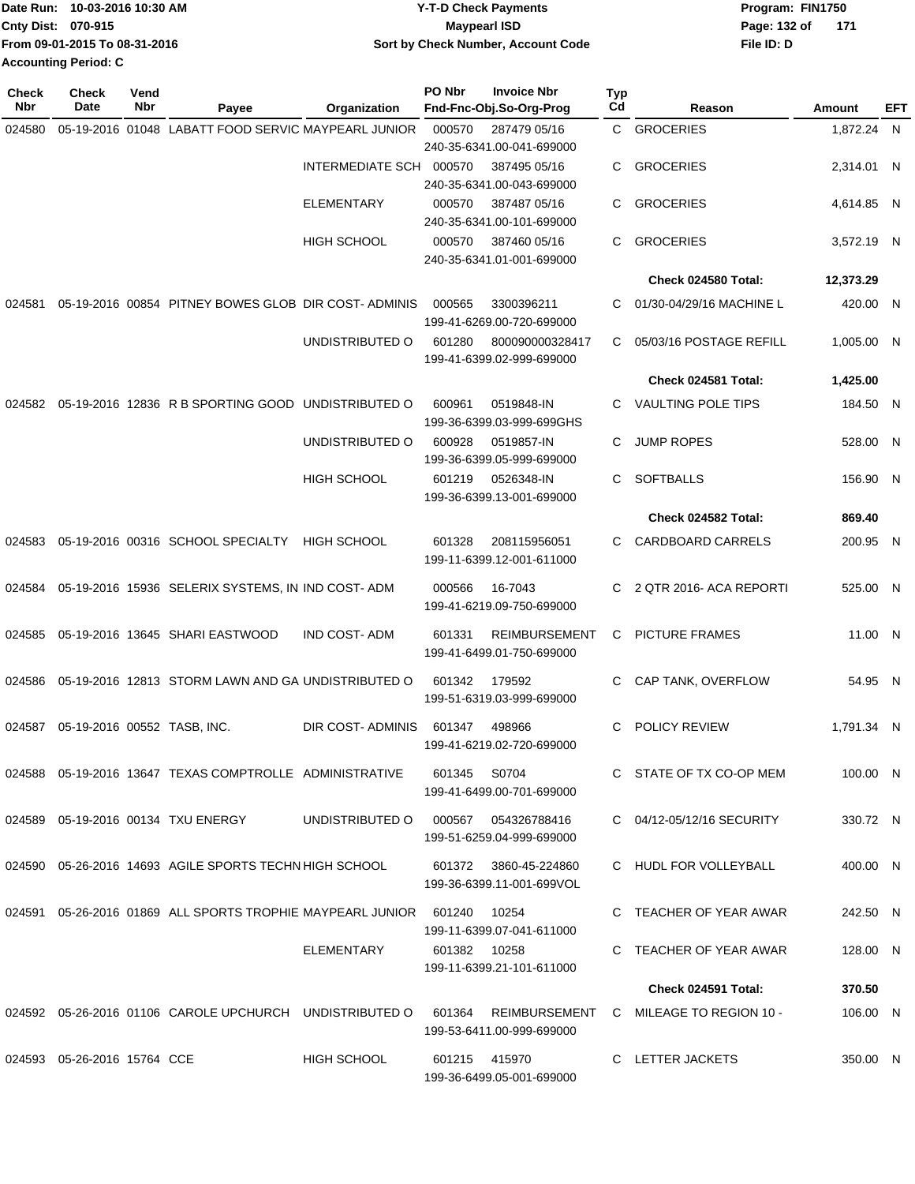| Date Run: 10-03-2016 10:30 AM | <b>Y-T-D Check Payments</b>        | Program: FIN1750      |
|-------------------------------|------------------------------------|-----------------------|
| <b>Cnty Dist: 070-915</b>     | <b>Mavpearl ISD</b>                | Page: 132 of<br>- 171 |
| From 09-01-2015 To 08-31-2016 | Sort by Check Number, Account Code | File ID: D            |
| <b>Accounting Period: C</b>   |                                    |                       |

| <b>Check</b><br>Nbr | <b>Check</b><br>Date                  | Vend<br>Nbr | Payee                                                             | Organization            | PO Nbr       | <b>Invoice Nbr</b><br>Fnd-Fnc-Obj.So-Org-Prog      | <b>Typ</b><br>Cd | Reason                    | <b>Amount</b> | EFT |
|---------------------|---------------------------------------|-------------|-------------------------------------------------------------------|-------------------------|--------------|----------------------------------------------------|------------------|---------------------------|---------------|-----|
| 024580              |                                       |             | 05-19-2016 01048 LABATT FOOD SERVIC MAYPEARL JUNIOR               |                         | 000570       | 287479 05/16                                       |                  | C GROCERIES               | 1,872.24 N    |     |
|                     |                                       |             |                                                                   |                         |              | 240-35-6341.00-041-699000                          |                  |                           |               |     |
|                     |                                       |             |                                                                   | INTERMEDIATE SCH 000570 |              | 387495 05/16                                       | C.               | <b>GROCERIES</b>          | 2,314.01 N    |     |
|                     |                                       |             |                                                                   | <b>ELEMENTARY</b>       | 000570       | 240-35-6341.00-043-699000<br>387487 05/16          | C                | <b>GROCERIES</b>          |               |     |
|                     |                                       |             |                                                                   |                         |              | 240-35-6341.00-101-699000                          |                  |                           | 4,614.85 N    |     |
|                     |                                       |             |                                                                   | <b>HIGH SCHOOL</b>      | 000570       | 387460 05/16<br>240-35-6341.01-001-699000          | C                | <b>GROCERIES</b>          | 3,572.19 N    |     |
|                     |                                       |             |                                                                   |                         |              |                                                    |                  | Check 024580 Total:       | 12,373.29     |     |
| 024581              |                                       |             | 05-19-2016 00854 PITNEY BOWES GLOB DIR COST-ADMINIS               |                         | 000565       | 3300396211                                         | С                | 01/30-04/29/16 MACHINE L  | 420.00 N      |     |
|                     |                                       |             |                                                                   |                         |              | 199-41-6269.00-720-699000                          |                  |                           |               |     |
|                     |                                       |             |                                                                   | UNDISTRIBUTED O         | 601280       | 800090000328417<br>199-41-6399.02-999-699000       | C.               | 05/03/16 POSTAGE REFILL   | 1,005.00 N    |     |
|                     |                                       |             |                                                                   |                         |              |                                                    |                  | Check 024581 Total:       | 1,425.00      |     |
| 024582              |                                       |             | 05-19-2016 12836 R B SPORTING GOOD UNDISTRIBUTED O                |                         | 600961       | 0519848-IN<br>199-36-6399.03-999-699GHS            | С                | <b>VAULTING POLE TIPS</b> | 184.50 N      |     |
|                     |                                       |             |                                                                   | UNDISTRIBUTED O         | 600928       | 0519857-IN<br>199-36-6399.05-999-699000            | С                | <b>JUMP ROPES</b>         | 528.00 N      |     |
|                     |                                       |             |                                                                   | <b>HIGH SCHOOL</b>      | 601219       | 0526348-IN<br>199-36-6399.13-001-699000            | С                | <b>SOFTBALLS</b>          | 156.90 N      |     |
|                     |                                       |             |                                                                   |                         |              |                                                    |                  | Check 024582 Total:       | 869.40        |     |
| 024583              |                                       |             | 05-19-2016 00316 SCHOOL SPECIALTY                                 | <b>HIGH SCHOOL</b>      | 601328       | 208115956051<br>199-11-6399.12-001-611000          | C                | CARDBOARD CARRELS         | 200.95 N      |     |
|                     |                                       |             | 024584 05-19-2016 15936 SELERIX SYSTEMS, IN IND COST- ADM         |                         | 000566       | 16-7043<br>199-41-6219.09-750-699000               | C.               | 2 QTR 2016- ACA REPORTI   | 525.00 N      |     |
| 024585              |                                       |             | 05-19-2016 13645 SHARI EASTWOOD                                   | <b>IND COST-ADM</b>     | 601331       | <b>REIMBURSEMENT</b><br>199-41-6499.01-750-699000  | C                | <b>PICTURE FRAMES</b>     | 11.00 N       |     |
| 024586              |                                       |             | 05-19-2016 12813 STORM LAWN AND GA UNDISTRIBUTED O                |                         | 601342       | 179592<br>199-51-6319.03-999-699000                | C.               | CAP TANK, OVERFLOW        | 54.95 N       |     |
|                     | 024587  05-19-2016  00552  TASB, INC. |             |                                                                   | DIR COST-ADMINIS        | 601347       | 498966<br>199-41-6219.02-720-699000                | С                | POLICY REVIEW             | 1.791.34 N    |     |
|                     |                                       |             | 024588  05-19-2016  13647  TEXAS COMPTROLLE  ADMINISTRATIVE       |                         | 601345 S0704 | 199-41-6499.00-701-699000                          |                  | C STATE OF TX CO-OP MEM   | 100.00 N      |     |
|                     |                                       |             | 024589  05-19-2016  00134  TXU ENERGY                             | UNDISTRIBUTED O         |              | 000567   054326788416<br>199-51-6259.04-999-699000 |                  | C 04/12-05/12/16 SECURITY | 330.72 N      |     |
|                     |                                       |             | 024590 05-26-2016 14693 AGILE SPORTS TECHN HIGH SCHOOL            |                         |              | 601372 3860-45-224860<br>199-36-6399.11-001-699VOL |                  | C HUDL FOR VOLLEYBALL     | 400.00 N      |     |
|                     |                                       |             | 024591 05-26-2016 01869 ALL SPORTS TROPHIE MAYPEARL JUNIOR 601240 |                         |              | 10254<br>199-11-6399.07-041-611000                 |                  | C TEACHER OF YEAR AWAR    | 242.50 N      |     |
|                     |                                       |             |                                                                   | ELEMENTARY              | 601382 10258 | 199-11-6399.21-101-611000                          |                  | C TEACHER OF YEAR AWAR    | 128.00 N      |     |
|                     |                                       |             |                                                                   |                         |              |                                                    |                  | Check 024591 Total:       | 370.50        |     |
|                     |                                       |             | 024592 05-26-2016 01106 CAROLE UPCHURCH UNDISTRIBUTED O           |                         | 601364       | REIMBURSEMENT<br>199-53-6411.00-999-699000         |                  | C MILEAGE TO REGION 10 -  | 106.00 N      |     |
|                     | 024593 05-26-2016 15764 CCE           |             |                                                                   | <b>HIGH SCHOOL</b>      |              | 601215 415970<br>199-36-6499.05-001-699000         |                  | C LETTER JACKETS          | 350.00 N      |     |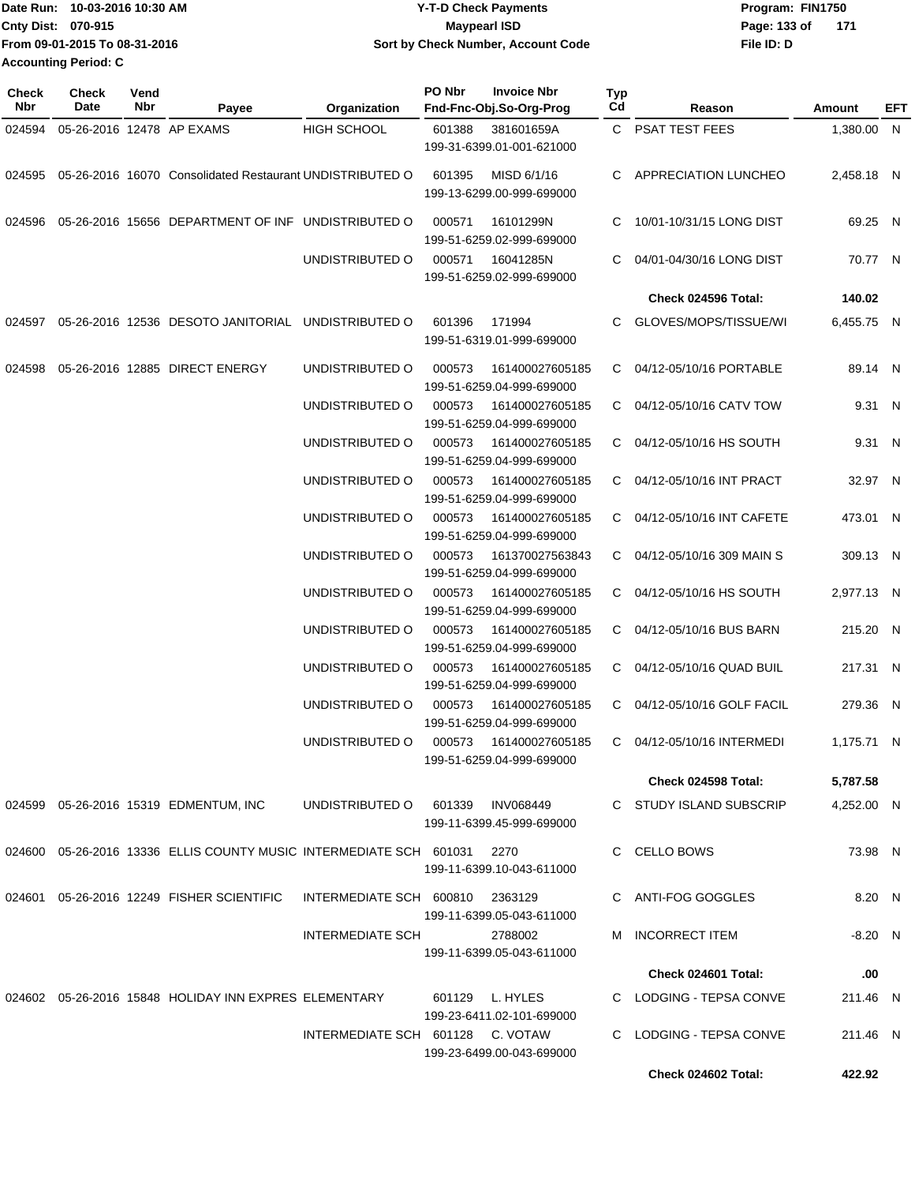| Date Run: 10-03-2016 10:30 AM | <b>Y-T-D Check Payments</b>        | Program: FIN1750    |
|-------------------------------|------------------------------------|---------------------|
| <b>Cnty Dist: 070-915</b>     | <b>Mavpearl ISD</b>                | Page: 133 of<br>171 |
| From 09-01-2015 To 08-31-2016 | Sort by Check Number, Account Code | File ID: D          |
| <b>Accounting Period: C</b>   |                                    |                     |

| <b>Check</b><br>Nbr | Check<br>Date             | Vend<br>Nbr | Payee                                                                  | Organization                     | PO Nbr | <b>Invoice Nbr</b><br>Fnd-Fnc-Obj.So-Org-Prog | <b>Typ</b><br>Cd | Reason                      | Amount     | EFT |
|---------------------|---------------------------|-------------|------------------------------------------------------------------------|----------------------------------|--------|-----------------------------------------------|------------------|-----------------------------|------------|-----|
| 024594              | 05-26-2016 12478 AP EXAMS |             |                                                                        | <b>HIGH SCHOOL</b>               | 601388 | 381601659A<br>199-31-6399.01-001-621000       |                  | C PSAT TEST FEES            | 1,380.00 N |     |
|                     |                           |             | 024595 05-26-2016 16070 Consolidated Restaurant UNDISTRIBUTED O        |                                  | 601395 | MISD 6/1/16<br>199-13-6299.00-999-699000      | C.               | APPRECIATION LUNCHEO        | 2,458.18 N |     |
|                     |                           |             | 024596  05-26-2016  15656  DEPARTMENT OF INF  UNDISTRIBUTED O          |                                  | 000571 | 16101299N<br>199-51-6259.02-999-699000        | C                | 10/01-10/31/15 LONG DIST    | 69.25 N    |     |
|                     |                           |             |                                                                        | UNDISTRIBUTED O                  | 000571 | 16041285N<br>199-51-6259.02-999-699000        | C                | 04/01-04/30/16 LONG DIST    | 70.77 N    |     |
|                     |                           |             |                                                                        |                                  |        |                                               |                  | Check 024596 Total:         | 140.02     |     |
| 024597              |                           |             | 05-26-2016 12536 DESOTO JANITORIAL                                     | UNDISTRIBUTED O                  | 601396 | 171994<br>199-51-6319.01-999-699000           | C.               | GLOVES/MOPS/TISSUE/WI       | 6,455.75 N |     |
| 024598              |                           |             | 05-26-2016 12885 DIRECT ENERGY                                         | UNDISTRIBUTED O                  | 000573 | 161400027605185<br>199-51-6259.04-999-699000  |                  | C 04/12-05/10/16 PORTABLE   | 89.14 N    |     |
|                     |                           |             |                                                                        | UNDISTRIBUTED O                  | 000573 | 161400027605185<br>199-51-6259.04-999-699000  |                  | C 04/12-05/10/16 CATV TOW   | 9.31 N     |     |
|                     |                           |             |                                                                        | UNDISTRIBUTED O                  | 000573 | 161400027605185<br>199-51-6259.04-999-699000  |                  | C 04/12-05/10/16 HS SOUTH   | 9.31 N     |     |
|                     |                           |             |                                                                        | UNDISTRIBUTED O                  | 000573 | 161400027605185<br>199-51-6259.04-999-699000  | C.               | 04/12-05/10/16 INT PRACT    | 32.97 N    |     |
|                     |                           |             |                                                                        | UNDISTRIBUTED O                  | 000573 | 161400027605185<br>199-51-6259.04-999-699000  | C.               | 04/12-05/10/16 INT CAFETE   | 473.01 N   |     |
|                     |                           |             |                                                                        | UNDISTRIBUTED O                  | 000573 | 161370027563843<br>199-51-6259.04-999-699000  | C.               | 04/12-05/10/16 309 MAIN S   | 309.13 N   |     |
|                     |                           |             |                                                                        | UNDISTRIBUTED O                  | 000573 | 161400027605185<br>199-51-6259.04-999-699000  | C.               | 04/12-05/10/16 HS SOUTH     | 2,977.13 N |     |
|                     |                           |             |                                                                        | UNDISTRIBUTED O                  | 000573 | 161400027605185<br>199-51-6259.04-999-699000  |                  | C 04/12-05/10/16 BUS BARN   | 215.20 N   |     |
|                     |                           |             |                                                                        | UNDISTRIBUTED O                  | 000573 | 161400027605185<br>199-51-6259.04-999-699000  |                  | C 04/12-05/10/16 QUAD BUIL  | 217.31 N   |     |
|                     |                           |             |                                                                        | UNDISTRIBUTED O                  | 000573 | 161400027605185<br>199-51-6259.04-999-699000  |                  | C 04/12-05/10/16 GOLF FACIL | 279.36 N   |     |
|                     |                           |             |                                                                        | UNDISTRIBUTED O                  | 000573 | 161400027605185<br>199-51-6259.04-999-699000  |                  | C 04/12-05/10/16 INTERMEDI  | 1,175.71 N |     |
|                     |                           |             |                                                                        |                                  |        |                                               |                  | Check 024598 Total:         | 5,787.58   |     |
|                     |                           |             | 024599  05-26-2016  15319  EDMENTUM, INC                               | UNDISTRIBUTED O                  | 601339 | <b>INV068449</b><br>199-11-6399.45-999-699000 |                  | C STUDY ISLAND SUBSCRIP     | 4,252.00 N |     |
|                     |                           |             | 024600  05-26-2016  13336  ELLIS COUNTY MUSIC INTERMEDIATE SCH  601031 |                                  |        | 2270<br>199-11-6399.10-043-611000             |                  | C CELLO BOWS                | 73.98 N    |     |
|                     |                           |             | 024601 05-26-2016 12249 FISHER SCIENTIFIC                              | INTERMEDIATE SCH 600810          |        | 2363129<br>199-11-6399.05-043-611000          |                  | C ANTI-FOG GOGGLES          | 8.20 N     |     |
|                     |                           |             |                                                                        | INTERMEDIATE SCH                 |        | 2788002<br>199-11-6399.05-043-611000          |                  | M INCORRECT ITEM            | -8.20 N    |     |
|                     |                           |             |                                                                        |                                  |        |                                               |                  | Check 024601 Total:         | .00        |     |
|                     |                           |             | 024602  05-26-2016  15848  HOLIDAY INN EXPRES ELEMENTARY               |                                  | 601129 | L. HYLES<br>199-23-6411.02-101-699000         |                  | C LODGING - TEPSA CONVE     | 211.46 N   |     |
|                     |                           |             |                                                                        | INTERMEDIATE SCH 601128 C. VOTAW |        | 199-23-6499.00-043-699000                     |                  | C LODGING - TEPSA CONVE     | 211.46 N   |     |
|                     |                           |             |                                                                        |                                  |        |                                               |                  | Check 024602 Total:         | 422.92     |     |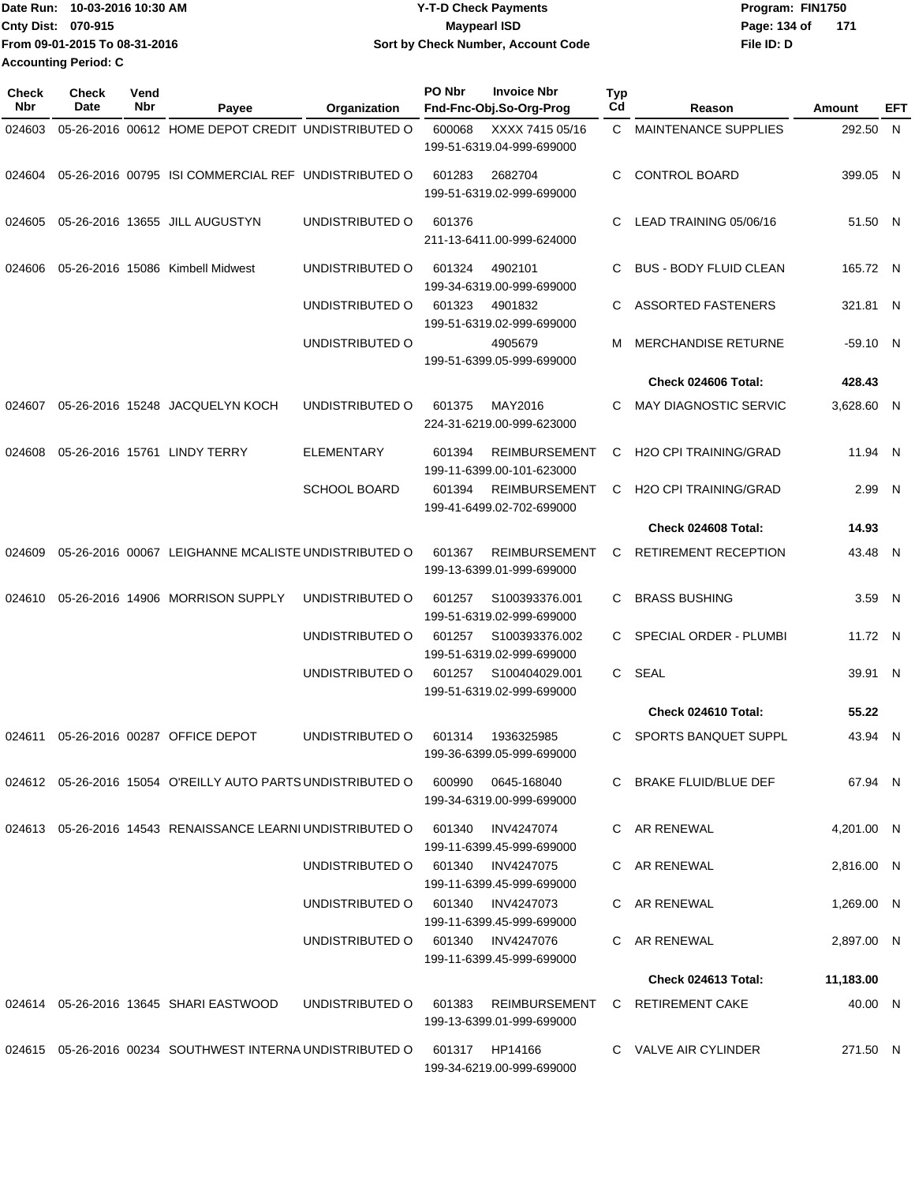| Date Run: 10-03-2016 10:30 AM | <b>Y-T-D Check Payments</b>        | Program: FIN1750    |
|-------------------------------|------------------------------------|---------------------|
| Cnty Dist: 070-915            | <b>Mavpearl ISD</b>                | Page: 134 of<br>171 |
| From 09-01-2015 To 08-31-2016 | Sort by Check Number, Account Code | File ID: D          |
| <b>Accounting Period: C</b>   |                                    |                     |

| Check<br>Nbr | <b>Check</b><br>Date | Vend<br>Nbr | Payee                                                             | Organization                      | PO Nbr | <b>Invoice Nbr</b><br>Fnd-Fnc-Obj.So-Org-Prog     | <b>Typ</b><br>Cd | Reason                        | Amount     | EFT |
|--------------|----------------------|-------------|-------------------------------------------------------------------|-----------------------------------|--------|---------------------------------------------------|------------------|-------------------------------|------------|-----|
| 024603       |                      |             | 05-26-2016 00612 HOME DEPOT CREDIT UNDISTRIBUTED O                |                                   | 600068 | XXXX 7415 05/16<br>199-51-6319.04-999-699000      | C.               | <b>MAINTENANCE SUPPLIES</b>   | 292.50 N   |     |
| 024604       |                      |             | 05-26-2016 00795 ISI COMMERCIAL REF UNDISTRIBUTED O               |                                   | 601283 | 2682704<br>199-51-6319.02-999-699000              | C.               | <b>CONTROL BOARD</b>          | 399.05 N   |     |
| 024605       |                      |             | 05-26-2016 13655 JILL AUGUSTYN                                    | UNDISTRIBUTED O                   | 601376 | 211-13-6411.00-999-624000                         | C.               | LEAD TRAINING 05/06/16        | 51.50 N    |     |
| 024606       |                      |             | 05-26-2016 15086 Kimbell Midwest                                  | UNDISTRIBUTED O                   | 601324 | 4902101<br>199-34-6319.00-999-699000              | C.               | <b>BUS - BODY FLUID CLEAN</b> | 165.72 N   |     |
|              |                      |             |                                                                   | UNDISTRIBUTED O                   | 601323 | 4901832<br>199-51-6319.02-999-699000              | C.               | <b>ASSORTED FASTENERS</b>     | 321.81 N   |     |
|              |                      |             |                                                                   | UNDISTRIBUTED O                   |        | 4905679<br>199-51-6399.05-999-699000              | м                | <b>MERCHANDISE RETURNE</b>    | $-59.10$ N |     |
|              |                      |             |                                                                   |                                   |        |                                                   |                  | Check 024606 Total:           | 428.43     |     |
| 024607       |                      |             | 05-26-2016 15248 JACQUELYN KOCH                                   | UNDISTRIBUTED O                   | 601375 | MAY2016<br>224-31-6219.00-999-623000              | C.               | <b>MAY DIAGNOSTIC SERVIC</b>  | 3,628.60 N |     |
| 024608       |                      |             | 05-26-2016 15761 LINDY TERRY                                      | ELEMENTARY                        | 601394 | <b>REIMBURSEMENT</b><br>199-11-6399.00-101-623000 | C                | <b>H2O CPI TRAINING/GRAD</b>  | 11.94 N    |     |
|              |                      |             |                                                                   | <b>SCHOOL BOARD</b>               | 601394 | <b>REIMBURSEMENT</b><br>199-41-6499.02-702-699000 | C                | <b>H2O CPI TRAINING/GRAD</b>  | 2.99 N     |     |
|              |                      |             |                                                                   |                                   |        |                                                   |                  | Check 024608 Total:           | 14.93      |     |
| 024609       |                      |             | 05-26-2016 00067 LEIGHANNE MCALISTE UNDISTRIBUTED O               |                                   | 601367 | <b>REIMBURSEMENT</b><br>199-13-6399.01-999-699000 | C                | <b>RETIREMENT RECEPTION</b>   | 43.48 N    |     |
| 024610       |                      |             | 05-26-2016 14906 MORRISON SUPPLY                                  | UNDISTRIBUTED O                   | 601257 | S100393376.001<br>199-51-6319.02-999-699000       | C                | <b>BRASS BUSHING</b>          | 3.59 N     |     |
|              |                      |             |                                                                   | UNDISTRIBUTED O                   | 601257 | S100393376.002<br>199-51-6319.02-999-699000       | C.               | SPECIAL ORDER - PLUMBI        | 11.72 N    |     |
|              |                      |             |                                                                   | UNDISTRIBUTED O                   | 601257 | S100404029.001<br>199-51-6319.02-999-699000       |                  | C SEAL                        | 39.91 N    |     |
|              |                      |             |                                                                   |                                   |        |                                                   |                  | Check 024610 Total:           | 55.22      |     |
| 024611       |                      |             | 05-26-2016 00287 OFFICE DEPOT                                     | UNDISTRIBUTED O                   | 601314 | 1936325985<br>199-36-6399.05-999-699000           | C.               | <b>SPORTS BANQUET SUPPL</b>   | 43.94 N    |     |
|              |                      |             |                                                                   |                                   | 600990 | 0645-168040<br>199-34-6319.00-999-699000          |                  | C BRAKE FLUID/BLUE DEF        | 67.94 N    |     |
|              |                      |             | 024613 05-26-2016 14543 RENAISSANCE LEARNI UNDISTRIBUTED O 601340 |                                   |        | INV4247074<br>199-11-6399.45-999-699000           |                  | C AR RENEWAL                  | 4,201.00 N |     |
|              |                      |             |                                                                   | UNDISTRIBUTED 0 601340 INV4247075 |        | 199-11-6399.45-999-699000                         |                  | C AR RENEWAL                  | 2,816.00 N |     |
|              |                      |             |                                                                   | UNDISTRIBUTED 0 601340 INV4247073 |        | 199-11-6399.45-999-699000                         |                  | C AR RENEWAL                  | 1.269.00 N |     |
|              |                      |             |                                                                   | UNDISTRIBUTED 0 601340 INV4247076 |        | 199-11-6399.45-999-699000                         |                  | C AR RENEWAL                  | 2,897.00 N |     |
|              |                      |             |                                                                   |                                   |        |                                                   |                  | <b>Check 024613 Total:</b>    | 11,183.00  |     |
|              |                      |             | 024614  05-26-2016  13645  SHARI EASTWOOD                         | UNDISTRIBUTED O                   | 601383 | REIMBURSEMENT<br>199-13-6399.01-999-699000        |                  | C RETIREMENT CAKE             | 40.00 N    |     |
|              |                      |             | 024615 05-26-2016 00234 SOUTHWEST INTERNA UNDISTRIBUTED O         |                                   |        | 601317 HP14166<br>199-34-6219.00-999-699000       |                  | C VALVE AIR CYLINDER          | 271.50 N   |     |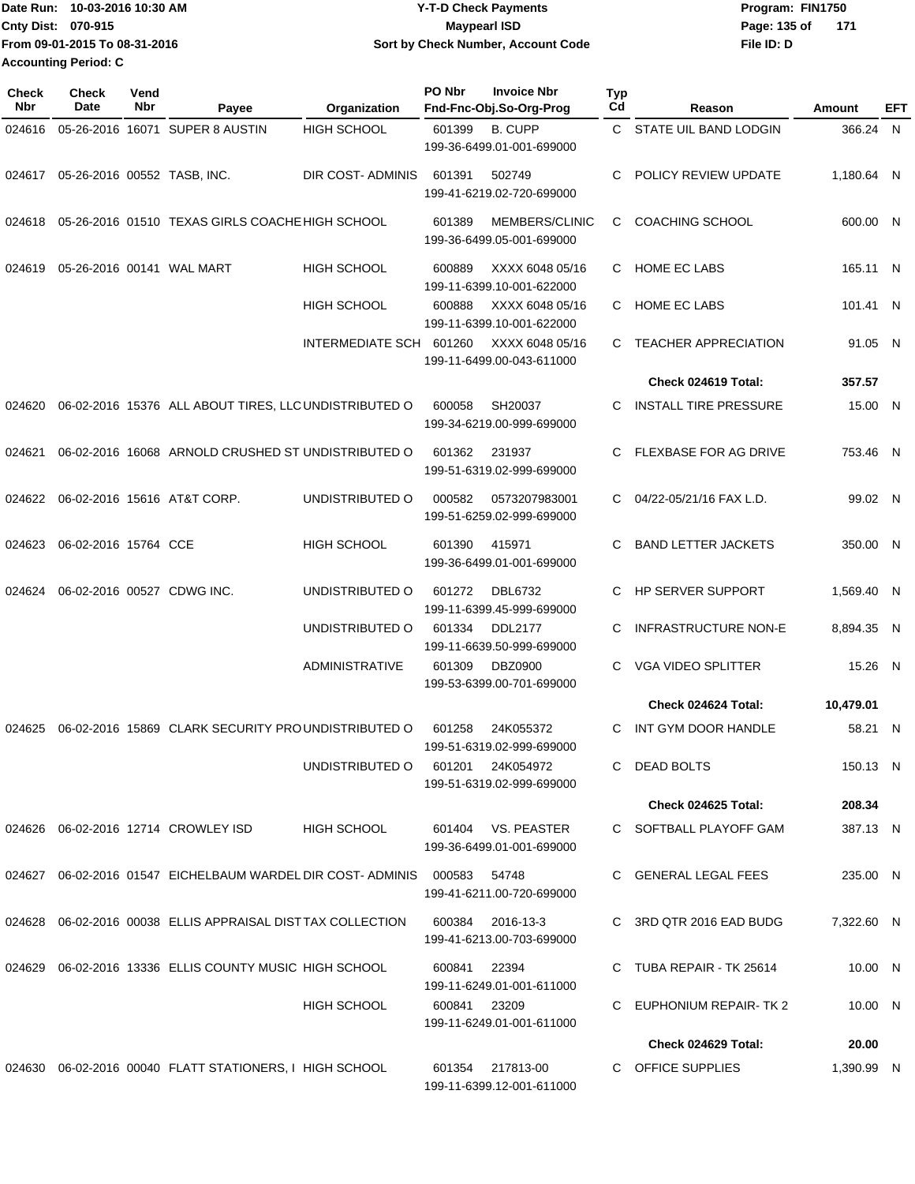| Date Run: 10-03-2016 10:30 AM | <b>Y-T-D Check Payments</b>        | Program: FIN1750    |
|-------------------------------|------------------------------------|---------------------|
| <b>Cnty Dist: 070-915</b>     | <b>Mavpearl ISD</b>                | Page: 135 of<br>171 |
| From 09-01-2015 To 08-31-2016 | Sort by Check Number, Account Code | File ID: D          |
| <b>Accounting Period: C</b>   |                                    |                     |

| Check<br>Nbr | <b>Check</b><br>Date               | Vend<br>Nbr | Payee                                                             | Organization            | PO Nbr       | <b>Invoice Nbr</b><br>Fnd-Fnc-Obj.So-Org-Prog   | Typ<br>Cd | Reason                       | Amount     | EFT |
|--------------|------------------------------------|-------------|-------------------------------------------------------------------|-------------------------|--------------|-------------------------------------------------|-----------|------------------------------|------------|-----|
| 024616       |                                    |             | 05-26-2016 16071 SUPER 8 AUSTIN                                   | <b>HIGH SCHOOL</b>      | 601399       | <b>B. CUPP</b><br>199-36-6499.01-001-699000     |           | C STATE UIL BAND LODGIN      | 366.24 N   |     |
|              | 024617 05-26-2016 00552 TASB. INC. |             |                                                                   | DIR COST-ADMINIS        | 601391       | 502749<br>199-41-6219.02-720-699000             | C.        | POLICY REVIEW UPDATE         | 1.180.64 N |     |
| 024618       |                                    |             | 05-26-2016 01510 TEXAS GIRLS COACHE HIGH SCHOOL                   |                         | 601389       | MEMBERS/CLINIC<br>199-36-6499.05-001-699000     | C.        | <b>COACHING SCHOOL</b>       | 600.00 N   |     |
| 024619       |                                    |             | 05-26-2016 00141 WAL MART                                         | HIGH SCHOOL             | 600889       | XXXX 6048 05/16<br>199-11-6399.10-001-622000    | C.        | <b>HOME EC LABS</b>          | 165.11 N   |     |
|              |                                    |             |                                                                   | HIGH SCHOOL             | 600888       | XXXX 6048 05/16<br>199-11-6399.10-001-622000    | C.        | <b>HOME EC LABS</b>          | 101.41 N   |     |
|              |                                    |             |                                                                   | INTERMEDIATE SCH 601260 |              | XXXX 6048 05/16<br>199-11-6499.00-043-611000    | C.        | <b>TEACHER APPRECIATION</b>  | 91.05 N    |     |
|              |                                    |             |                                                                   |                         |              |                                                 |           | Check 024619 Total:          | 357.57     |     |
| 024620       |                                    |             | 06-02-2016 15376 ALL ABOUT TIRES, LLC UNDISTRIBUTED O             |                         | 600058       | SH20037<br>199-34-6219.00-999-699000            | C.        | <b>INSTALL TIRE PRESSURE</b> | 15.00 N    |     |
| 024621       |                                    |             | 06-02-2016 16068 ARNOLD CRUSHED ST UNDISTRIBUTED O                |                         | 601362       | 231937<br>199-51-6319.02-999-699000             | C.        | <b>FLEXBASE FOR AG DRIVE</b> | 753.46 N   |     |
| 024622       |                                    |             | 06-02-2016 15616 AT&T CORP.                                       | UNDISTRIBUTED O         | 000582       | 0573207983001<br>199-51-6259.02-999-699000      |           | C 04/22-05/21/16 FAX L.D.    | 99.02 N    |     |
| 024623       | 06-02-2016 15764 CCE               |             |                                                                   | HIGH SCHOOL             | 601390       | 415971<br>199-36-6499.01-001-699000             | C.        | <b>BAND LETTER JACKETS</b>   | 350.00 N   |     |
| 024624       |                                    |             | 06-02-2016 00527 CDWG INC.                                        | UNDISTRIBUTED O         | 601272       | <b>DBL6732</b><br>199-11-6399.45-999-699000     | C.        | <b>HP SERVER SUPPORT</b>     | 1,569.40 N |     |
|              |                                    |             |                                                                   | UNDISTRIBUTED O         | 601334       | <b>DDL2177</b><br>199-11-6639.50-999-699000     | C         | <b>INFRASTRUCTURE NON-E</b>  | 8,894.35 N |     |
|              |                                    |             |                                                                   | <b>ADMINISTRATIVE</b>   | 601309       | <b>DBZ0900</b><br>199-53-6399.00-701-699000     | C.        | <b>VGA VIDEO SPLITTER</b>    | 15.26 N    |     |
|              |                                    |             |                                                                   |                         |              |                                                 |           | Check 024624 Total:          | 10,479.01  |     |
| 024625       |                                    |             | 06-02-2016 15869 CLARK SECURITY PROUNDISTRIBUTED O                |                         | 601258       | 24K055372<br>199-51-6319.02-999-699000          | C.        | INT GYM DOOR HANDLE          | 58.21 N    |     |
|              |                                    |             |                                                                   | UNDISTRIBUTED O         | 601201       | 24K054972<br>199-51-6319.02-999-699000          |           | C DEAD BOLTS                 | 150.13 N   |     |
|              |                                    |             |                                                                   |                         |              |                                                 |           | Check 024625 Total:          | 208.34     |     |
|              |                                    |             | 024626  06-02-2016  12714  CROWLEY ISD                            | <b>HIGH SCHOOL</b>      |              | 601404 VS. PEASTER<br>199-36-6499.01-001-699000 |           | C SOFTBALL PLAYOFF GAM       | 387.13 N   |     |
|              |                                    |             | 024627 06-02-2016 01547 EICHELBAUM WARDEL DIR COST-ADMINIS 000583 |                         |              | 54748<br>199-41-6211.00-720-699000              |           | C GENERAL LEGAL FEES         | 235.00 N   |     |
|              |                                    |             | 024628 06-02-2016 00038 ELLIS APPRAISAL DISTTAX COLLECTION        |                         | 600384       | 2016-13-3<br>199-41-6213.00-703-699000          |           | C 3RD QTR 2016 EAD BUDG      | 7,322.60 N |     |
| 024629       |                                    |             | 06-02-2016 13336 ELLIS COUNTY MUSIC HIGH SCHOOL                   |                         | 600841       | 22394<br>199-11-6249.01-001-611000              |           | C TUBA REPAIR - TK 25614     | 10.00 N    |     |
|              |                                    |             |                                                                   | HIGH SCHOOL             | 600841 23209 | 199-11-6249.01-001-611000                       | C         | EUPHONIUM REPAIR- TK 2       | 10.00 N    |     |
|              |                                    |             |                                                                   |                         |              |                                                 |           | Check 024629 Total:          | 20.00      |     |
|              |                                    |             | 024630 06-02-2016 00040 FLATT STATIONERS, I HIGH SCHOOL           |                         | 601354       | 217813-00<br>199-11-6399.12-001-611000          |           | C OFFICE SUPPLIES            | 1,390.99 N |     |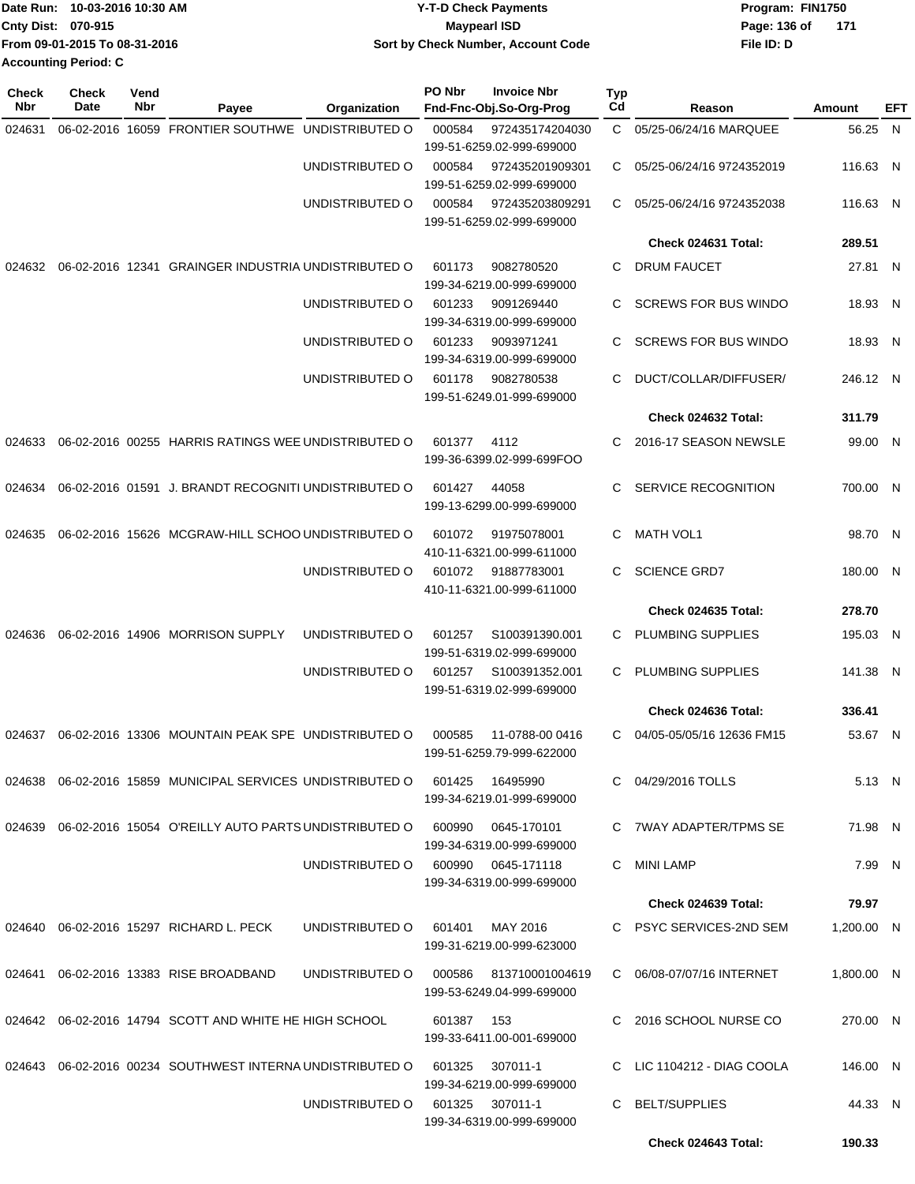| Date Run: 10-03-2016 10:30 AM | <b>Y-T-D Check Payments</b>        | Program: FIN1750      |
|-------------------------------|------------------------------------|-----------------------|
| <b>Cnty Dist: 070-915</b>     | <b>Mavpearl ISD</b>                | Page: 136 of<br>- 171 |
| From 09-01-2015 To 08-31-2016 | Sort by Check Number, Account Code | File ID: D            |
| <b>Accounting Period: C</b>   |                                    |                       |

| <b>Check</b><br>Nbr | <b>Check</b><br>Date | Vend<br>Nbr | Payee                                                         | Organization    | PO Nbr | <b>Invoice Nbr</b><br>Fnd-Fnc-Obj.So-Org-Prog | Typ<br>Cd | Reason                      | Amount     | EFT |
|---------------------|----------------------|-------------|---------------------------------------------------------------|-----------------|--------|-----------------------------------------------|-----------|-----------------------------|------------|-----|
| 024631              |                      |             | 06-02-2016 16059 FRONTIER SOUTHWE                             | UNDISTRIBUTED O | 000584 | 972435174204030                               | C.        | 05/25-06/24/16 MARQUEE      | 56.25 N    |     |
|                     |                      |             |                                                               |                 |        | 199-51-6259.02-999-699000                     |           |                             |            |     |
|                     |                      |             |                                                               | UNDISTRIBUTED O | 000584 | 972435201909301                               | C         | 05/25-06/24/16 9724352019   | 116.63 N   |     |
|                     |                      |             |                                                               |                 |        | 199-51-6259.02-999-699000                     |           |                             |            |     |
|                     |                      |             |                                                               | UNDISTRIBUTED O | 000584 | 972435203809291<br>199-51-6259.02-999-699000  | C         | 05/25-06/24/16 9724352038   | 116.63 N   |     |
|                     |                      |             |                                                               |                 |        |                                               |           | Check 024631 Total:         | 289.51     |     |
| 024632              |                      |             | 06-02-2016 12341 GRAINGER INDUSTRIA UNDISTRIBUTED O           |                 | 601173 | 9082780520                                    | C         | <b>DRUM FAUCET</b>          | 27.81 N    |     |
|                     |                      |             |                                                               |                 |        | 199-34-6219.00-999-699000                     |           |                             |            |     |
|                     |                      |             |                                                               | UNDISTRIBUTED O | 601233 | 9091269440                                    | C         | <b>SCREWS FOR BUS WINDO</b> | 18.93 N    |     |
|                     |                      |             |                                                               |                 |        | 199-34-6319.00-999-699000                     |           |                             |            |     |
|                     |                      |             |                                                               | UNDISTRIBUTED O | 601233 | 9093971241<br>199-34-6319.00-999-699000       | C         | <b>SCREWS FOR BUS WINDO</b> | 18.93 N    |     |
|                     |                      |             |                                                               | UNDISTRIBUTED O | 601178 | 9082780538                                    | C         | DUCT/COLLAR/DIFFUSER/       | 246.12 N   |     |
|                     |                      |             |                                                               |                 |        | 199-51-6249.01-999-699000                     |           |                             |            |     |
|                     |                      |             |                                                               |                 |        |                                               |           | Check 024632 Total:         | 311.79     |     |
| 024633              |                      |             | 06-02-2016 00255 HARRIS RATINGS WEE UNDISTRIBUTED O           |                 | 601377 | 4112                                          | C         | 2016-17 SEASON NEWSLE       | 99.00 N    |     |
|                     |                      |             |                                                               |                 |        | 199-36-6399.02-999-699FOO                     |           |                             |            |     |
| 024634              |                      |             | 06-02-2016 01591 J. BRANDT RECOGNITI UNDISTRIBUTED O          |                 | 601427 | 44058                                         | C         | SERVICE RECOGNITION         | 700.00 N   |     |
|                     |                      |             |                                                               |                 |        | 199-13-6299.00-999-699000                     |           |                             |            |     |
| 024635              |                      |             | 06-02-2016 15626 MCGRAW-HILL SCHOO UNDISTRIBUTED O            |                 | 601072 | 91975078001                                   | C         | <b>MATH VOL1</b>            | 98.70 N    |     |
|                     |                      |             |                                                               |                 |        | 410-11-6321.00-999-611000                     |           |                             |            |     |
|                     |                      |             |                                                               | UNDISTRIBUTED O | 601072 | 91887783001                                   | C         | <b>SCIENCE GRD7</b>         | 180.00 N   |     |
|                     |                      |             |                                                               |                 |        | 410-11-6321.00-999-611000                     |           |                             |            |     |
|                     |                      |             |                                                               |                 |        |                                               |           | Check 024635 Total:         | 278.70     |     |
| 024636              |                      |             | 06-02-2016 14906 MORRISON SUPPLY                              | UNDISTRIBUTED O | 601257 | S100391390.001                                | C         | PLUMBING SUPPLIES           | 195.03 N   |     |
|                     |                      |             |                                                               |                 |        | 199-51-6319.02-999-699000                     |           |                             |            |     |
|                     |                      |             |                                                               | UNDISTRIBUTED O | 601257 | S100391352.001                                | C         | PLUMBING SUPPLIES           | 141.38 N   |     |
|                     |                      |             |                                                               |                 |        | 199-51-6319.02-999-699000                     |           |                             |            |     |
|                     |                      |             |                                                               |                 |        |                                               |           | Check 024636 Total:         | 336.41     |     |
| 024637              |                      |             | 06-02-2016 13306 MOUNTAIN PEAK SPE UNDISTRIBUTED O            |                 | 000585 | 11-0788-00 0416                               | C         | 04/05-05/05/16 12636 FM15   | 53.67 N    |     |
|                     |                      |             |                                                               |                 |        | 199-51-6259.79-999-622000                     |           |                             |            |     |
|                     |                      |             | 024638  06-02-2016  15859  MUNICIPAL SERVICES UNDISTRIBUTED O |                 | 601425 | 16495990                                      | C.        | 04/29/2016 TOLLS            | 5.13 N     |     |
|                     |                      |             |                                                               |                 |        | 199-34-6219.01-999-699000                     |           |                             |            |     |
|                     |                      |             | 024639 06-02-2016 15054 O'REILLY AUTO PARTS UNDISTRIBUTED O   |                 | 600990 | 0645-170101                                   | C.        | <b>7WAY ADAPTER/TPMS SE</b> | 71.98 N    |     |
|                     |                      |             |                                                               |                 |        | 199-34-6319.00-999-699000                     |           |                             |            |     |
|                     |                      |             |                                                               | UNDISTRIBUTED O | 600990 | 0645-171118                                   | С         | <b>MINI LAMP</b>            | 7.99 N     |     |
|                     |                      |             |                                                               |                 |        | 199-34-6319.00-999-699000                     |           |                             |            |     |
|                     |                      |             |                                                               |                 |        |                                               |           | <b>Check 024639 Total:</b>  | 79.97      |     |
| 024640              |                      |             | 06-02-2016 15297 RICHARD L. PECK                              | UNDISTRIBUTED O | 601401 | MAY 2016                                      |           | C PSYC SERVICES-2ND SEM     | 1,200.00 N |     |
|                     |                      |             |                                                               |                 |        | 199-31-6219.00-999-623000                     |           |                             |            |     |
|                     |                      |             | 024641 06-02-2016 13383 RISE BROADBAND                        | UNDISTRIBUTED O | 000586 | 813710001004619                               |           | C 06/08-07/07/16 INTERNET   | 1,800.00 N |     |
|                     |                      |             |                                                               |                 |        | 199-53-6249.04-999-699000                     |           |                             |            |     |
|                     |                      |             | 024642 06-02-2016 14794 SCOTT AND WHITE HE HIGH SCHOOL        |                 | 601387 | 153                                           | C         | 2016 SCHOOL NURSE CO        | 270.00 N   |     |
|                     |                      |             |                                                               |                 |        | 199-33-6411.00-001-699000                     |           |                             |            |     |
| 024643              |                      |             | 06-02-2016 00234 SOUTHWEST INTERNA UNDISTRIBUTED O            |                 | 601325 | 307011-1                                      |           | C LIC 1104212 - DIAG COOLA  | 146.00 N   |     |
|                     |                      |             |                                                               |                 |        | 199-34-6219.00-999-699000                     |           |                             |            |     |
|                     |                      |             |                                                               | UNDISTRIBUTED O | 601325 | 307011-1                                      | C         | <b>BELT/SUPPLIES</b>        | 44.33 N    |     |
|                     |                      |             |                                                               |                 |        | 199-34-6319.00-999-699000                     |           |                             |            |     |
|                     |                      |             |                                                               |                 |        |                                               |           | Check 024643 Total:         | 190.33     |     |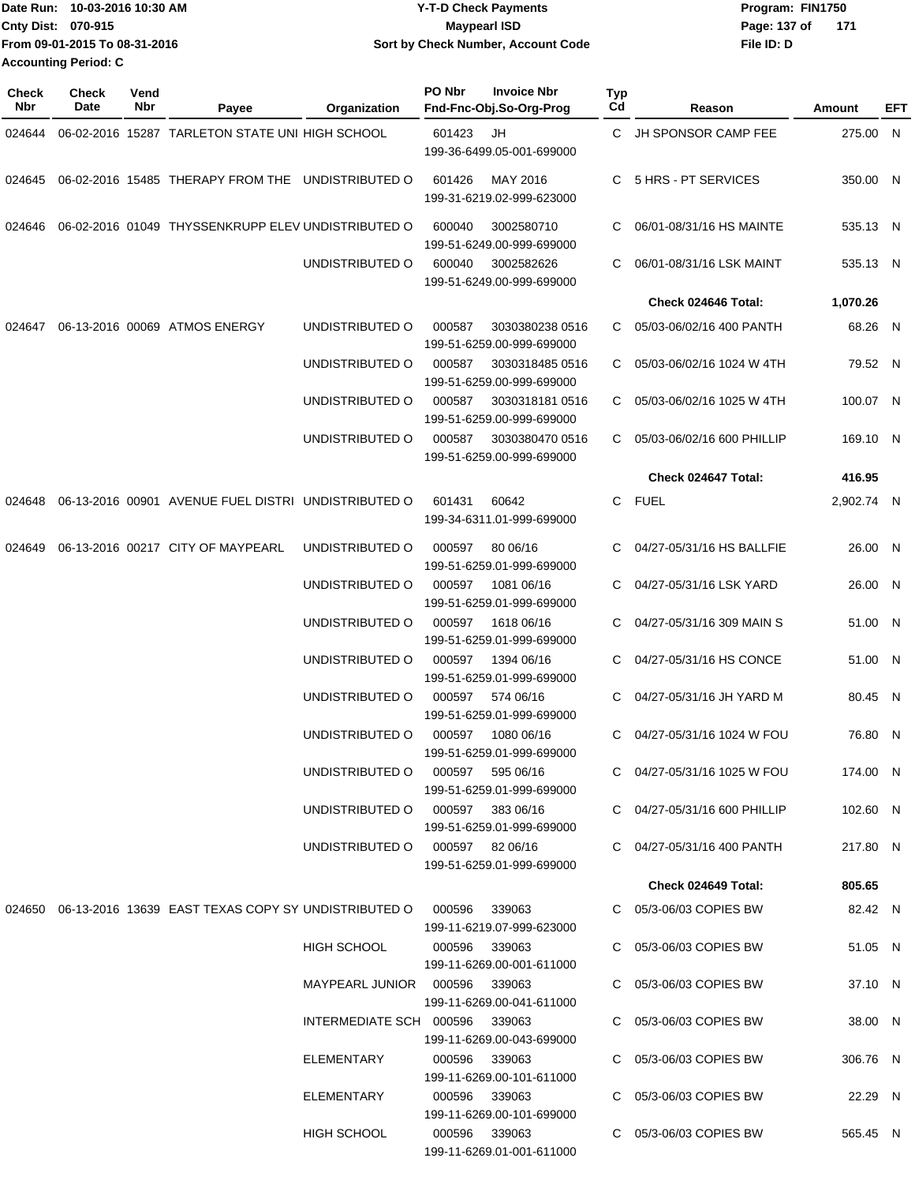|                             | Date Run: 10-03-2016 10:30 AM | <b>Y-T-D Check Payments</b>        | Program: FIN1750      |
|-----------------------------|-------------------------------|------------------------------------|-----------------------|
| <b>Cnty Dist: 070-915</b>   |                               | <b>Maypearl ISD</b>                | Page: 137 of<br>- 171 |
|                             | From 09-01-2015 To 08-31-2016 | Sort by Check Number, Account Code | File ID: D            |
| <b>Accounting Period: C</b> |                               |                                    |                       |

| Check<br><b>Nbr</b> | <b>Check</b><br>Date | Vend<br>Nbr | Payee                                                                    | Organization                                                        | PO Nbr        | <b>Invoice Nbr</b><br>Fnd-Fnc-Obj.So-Org-Prog          | Typ<br>Cd | Reason                                                     | Amount               | EFT |
|---------------------|----------------------|-------------|--------------------------------------------------------------------------|---------------------------------------------------------------------|---------------|--------------------------------------------------------|-----------|------------------------------------------------------------|----------------------|-----|
| 024644              |                      |             | 06-02-2016 15287 TARLETON STATE UNI HIGH SCHOOL                          |                                                                     | 601423        | JH<br>199-36-6499.05-001-699000                        |           | C JH SPONSOR CAMP FEE                                      | 275.00 N             |     |
| 024645              |                      |             | 06-02-2016 15485 THERAPY FROM THE UNDISTRIBUTED O                        |                                                                     | 601426        | MAY 2016<br>199-31-6219.02-999-623000                  |           | 5 HRS - PT SERVICES                                        | 350.00 N             |     |
| 024646              |                      |             | 06-02-2016 01049 THYSSENKRUPP ELEV UNDISTRIBUTED O                       |                                                                     | 600040        | 3002580710<br>199-51-6249.00-999-699000                | C         | 06/01-08/31/16 HS MAINTE                                   | 535.13 N             |     |
|                     |                      |             |                                                                          | UNDISTRIBUTED O                                                     | 600040        | 3002582626<br>199-51-6249.00-999-699000                | C.        | 06/01-08/31/16 LSK MAINT                                   | 535.13 N             |     |
|                     |                      |             |                                                                          |                                                                     |               |                                                        |           | Check 024646 Total:                                        | 1,070.26             |     |
| 024647              |                      |             | 06-13-2016 00069 ATMOS ENERGY                                            | UNDISTRIBUTED O                                                     | 000587        | 3030380238 0516<br>199-51-6259.00-999-699000           | C.        | 05/03-06/02/16 400 PANTH                                   | 68.26 N              |     |
|                     |                      |             |                                                                          | UNDISTRIBUTED O                                                     | 000587        | 3030318485 0516<br>199-51-6259.00-999-699000           | C.        | 05/03-06/02/16 1024 W 4TH                                  | 79.52 N              |     |
|                     |                      |             |                                                                          | UNDISTRIBUTED O                                                     | 000587        | 30303181810516<br>199-51-6259.00-999-699000            | C.        | 05/03-06/02/16 1025 W 4TH                                  | 100.07 N             |     |
|                     |                      |             |                                                                          | UNDISTRIBUTED O                                                     | 000587        | 3030380470 0516<br>199-51-6259.00-999-699000           | C.        | 05/03-06/02/16 600 PHILLIP                                 | 169.10 N             |     |
|                     |                      |             |                                                                          |                                                                     |               |                                                        |           | Check 024647 Total:                                        | 416.95               |     |
| 024648              |                      |             | 06-13-2016 00901 AVENUE FUEL DISTRI UNDISTRIBUTED O                      |                                                                     | 601431        | 60642<br>199-34-6311.01-999-699000                     |           | C FUEL                                                     | 2,902.74 N           |     |
| 024649              |                      |             | 06-13-2016 00217 CITY OF MAYPEARL                                        | UNDISTRIBUTED O                                                     | 000597        | 80 06/16<br>199-51-6259.01-999-699000                  | C.        | 04/27-05/31/16 HS BALLFIE                                  | 26.00 N              |     |
|                     |                      |             |                                                                          | UNDISTRIBUTED O                                                     | 000597        | 1081 06/16<br>199-51-6259.01-999-699000                | C         | 04/27-05/31/16 LSK YARD                                    | 26.00 N              |     |
|                     |                      |             |                                                                          | UNDISTRIBUTED O                                                     | 000597        | 1618 06/16<br>199-51-6259.01-999-699000                | C.        | 04/27-05/31/16 309 MAIN S                                  | 51.00 N              |     |
|                     |                      |             |                                                                          | UNDISTRIBUTED O                                                     | 000597        | 1394 06/16<br>199-51-6259.01-999-699000                | C.        | 04/27-05/31/16 HS CONCE                                    | 51.00 N              |     |
|                     |                      |             |                                                                          | UNDISTRIBUTED O                                                     | 000597        | 574 06/16<br>199-51-6259.01-999-699000                 | C.        | 04/27-05/31/16 JH YARD M                                   | 80.45 N              |     |
|                     |                      |             |                                                                          | UNDISTRIBUTED O                                                     | 000597        | 1080 06/16<br>199-51-6259.01-999-699000                | C.        | 04/27-05/31/16 1024 W FOU                                  | 76.80 N              |     |
|                     |                      |             |                                                                          | UNDISTRIBUTED O                                                     |               | 000597 595 06/16<br>199-51-6259.01-999-699000          |           | C 04/27-05/31/16 1025 W FOU                                | 174.00 N             |     |
|                     |                      |             |                                                                          | UNDISTRIBUTED O 000597 383 06/16<br>UNDISTRIBUTED O 000597 82 06/16 |               | 199-51-6259.01-999-699000                              |           | C 04/27-05/31/16 600 PHILLIP<br>C 04/27-05/31/16 400 PANTH | 102.60 N<br>217.80 N |     |
|                     |                      |             |                                                                          |                                                                     |               | 199-51-6259.01-999-699000                              |           |                                                            |                      |     |
|                     |                      |             |                                                                          |                                                                     |               |                                                        |           | Check 024649 Total:                                        | 805.65               |     |
|                     |                      |             | 024650 06-13-2016 13639 EAST TEXAS COPY SY UNDISTRIBUTED O 000596 339063 |                                                                     |               | 199-11-6219.07-999-623000                              |           | C 05/3-06/03 COPIES BW                                     | 82.42 N              |     |
|                     |                      |             |                                                                          | <b>HIGH SCHOOL</b>                                                  | 000596 339063 | 199-11-6269.00-001-611000                              |           | C 05/3-06/03 COPIES BW                                     | 51.05 N              |     |
|                     |                      |             |                                                                          | MAYPEARL JUNIOR  000596  339063                                     |               | 199-11-6269.00-041-611000                              |           | C 05/3-06/03 COPIES BW                                     | 37.10 N              |     |
|                     |                      |             |                                                                          | INTERMEDIATE SCH 000596 339063                                      |               |                                                        |           | C 05/3-06/03 COPIES BW                                     | 38.00 N              |     |
|                     |                      |             |                                                                          | ELEMENTARY                                                          | 000596 339063 | 199-11-6269.00-043-699000<br>199-11-6269.00-101-611000 |           | C 05/3-06/03 COPIES BW                                     | 306.76 N             |     |
|                     |                      |             |                                                                          | ELEMENTARY                                                          | 000596 339063 | 199-11-6269.00-101-699000                              |           | C 05/3-06/03 COPIES BW                                     | 22.29 N              |     |
|                     |                      |             |                                                                          | HIGH SCHOOL                                                         | 000596 339063 | 199-11-6269.01-001-611000                              |           | C 05/3-06/03 COPIES BW                                     | 565.45 N             |     |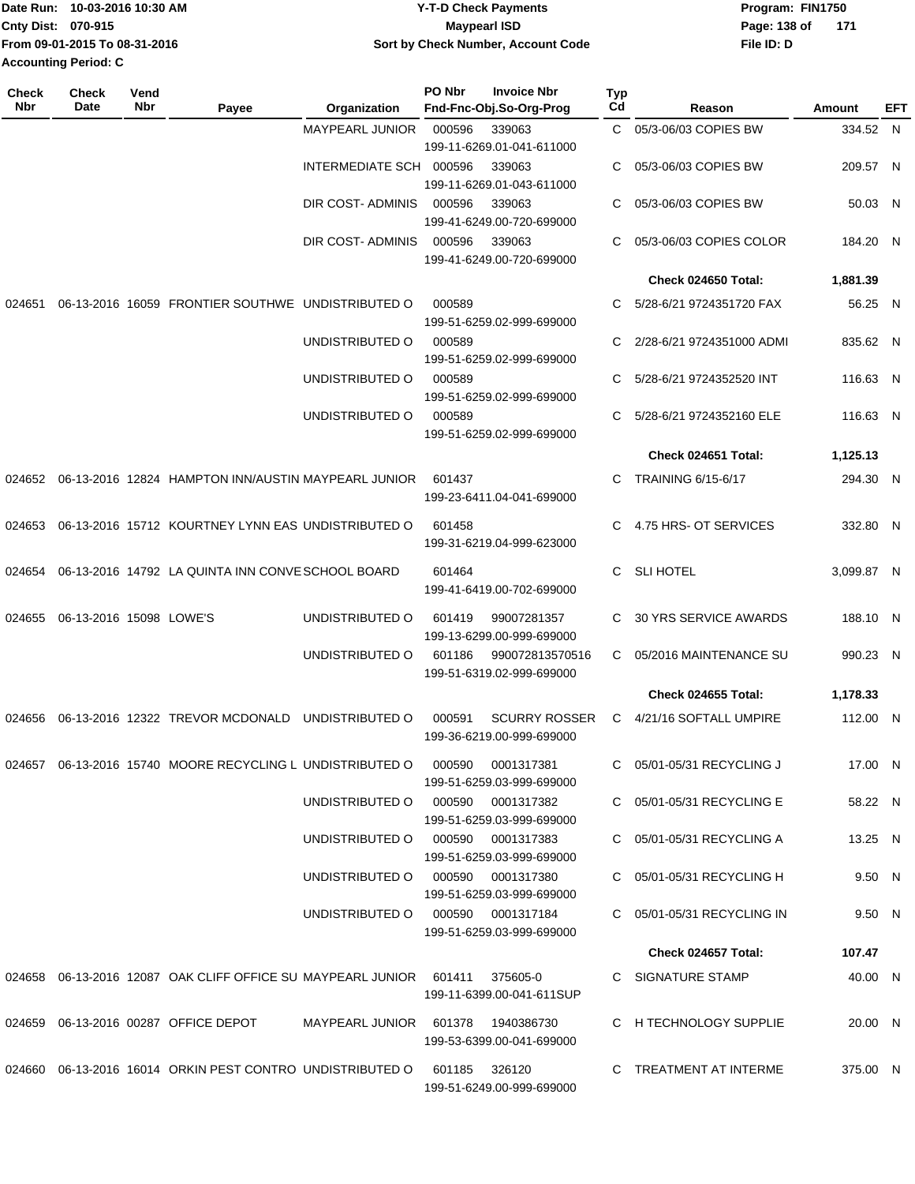| lDate Run: 10-03-2016 10:30 AM | <b>Y-T-D Check Payments</b>        | Program: FIN1750    |
|--------------------------------|------------------------------------|---------------------|
| <b>Cnty Dist: 070-915</b>      | <b>Mavpearl ISD</b>                | Page: 138 of<br>171 |
| From 09-01-2015 To 08-31-2016  | Sort by Check Number, Account Code | File ID: D          |
| Accounting Period: C           |                                    |                     |

| <b>Check</b><br>Nbr | Check<br>Date           | Vend<br>Nbr | Payee                                                                            | Organization                      | PO Nbr        | <b>Invoice Nbr</b><br>Fnd-Fnc-Obj.So-Org-Prog     | Typ<br>Cd | Reason                     | Amount     | EFT |
|---------------------|-------------------------|-------------|----------------------------------------------------------------------------------|-----------------------------------|---------------|---------------------------------------------------|-----------|----------------------------|------------|-----|
|                     |                         |             |                                                                                  | <b>MAYPEARL JUNIOR</b>            | 000596        | 339063<br>199-11-6269.01-041-611000               | C.        | 05/3-06/03 COPIES BW       | 334.52 N   |     |
|                     |                         |             |                                                                                  | INTERMEDIATE SCH 000596           |               | 339063<br>199-11-6269.01-043-611000               | C         | 05/3-06/03 COPIES BW       | 209.57 N   |     |
|                     |                         |             |                                                                                  | DIR COST-ADMINIS                  | 000596        | 339063<br>199-41-6249.00-720-699000               | C         | 05/3-06/03 COPIES BW       | 50.03 N    |     |
|                     |                         |             |                                                                                  | DIR COST- ADMINIS                 | 000596        | 339063<br>199-41-6249.00-720-699000               | C.        | 05/3-06/03 COPIES COLOR    | 184.20 N   |     |
|                     |                         |             |                                                                                  |                                   |               |                                                   |           | Check 024650 Total:        | 1,881.39   |     |
| 024651              |                         |             | 06-13-2016 16059 FRONTIER SOUTHWE UNDISTRIBUTED O                                |                                   | 000589        | 199-51-6259.02-999-699000                         | C.        | 5/28-6/21 9724351720 FAX   | 56.25 N    |     |
|                     |                         |             |                                                                                  | UNDISTRIBUTED O                   | 000589        | 199-51-6259.02-999-699000                         | C         | 2/28-6/21 9724351000 ADMI  | 835.62 N   |     |
|                     |                         |             |                                                                                  | UNDISTRIBUTED O                   | 000589        | 199-51-6259.02-999-699000                         | C         | 5/28-6/21 9724352520 INT   | 116.63 N   |     |
|                     |                         |             |                                                                                  | UNDISTRIBUTED O                   | 000589        | 199-51-6259.02-999-699000                         | C.        | 5/28-6/21 9724352160 ELE   | 116.63 N   |     |
|                     |                         |             |                                                                                  |                                   |               |                                                   |           | Check 024651 Total:        | 1,125.13   |     |
| 024652              |                         |             | 06-13-2016 12824 HAMPTON INN/AUSTIN MAYPEARL JUNIOR                              |                                   | 601437        | 199-23-6411.04-041-699000                         | C.        | <b>TRAINING 6/15-6/17</b>  | 294.30 N   |     |
| 024653              |                         |             | 06-13-2016 15712 KOURTNEY LYNN EAS UNDISTRIBUTED O                               |                                   | 601458        | 199-31-6219.04-999-623000                         | C         | 4.75 HRS- OT SERVICES      | 332.80 N   |     |
| 024654              |                         |             | 06-13-2016 14792 LA QUINTA INN CONVE SCHOOL BOARD                                |                                   | 601464        | 199-41-6419.00-702-699000                         | C         | <b>SLI HOTEL</b>           | 3,099.87 N |     |
| 024655              | 06-13-2016 15098 LOWE'S |             |                                                                                  | UNDISTRIBUTED O                   | 601419        | 99007281357<br>199-13-6299.00-999-699000          | C.        | 30 YRS SERVICE AWARDS      | 188.10 N   |     |
|                     |                         |             |                                                                                  | UNDISTRIBUTED O                   | 601186        | 990072813570516<br>199-51-6319.02-999-699000      | C.        | 05/2016 MAINTENANCE SU     | 990.23 N   |     |
|                     |                         |             |                                                                                  |                                   |               |                                                   |           | <b>Check 024655 Total:</b> | 1,178.33   |     |
| 024656              |                         |             | 06-13-2016 12322 TREVOR MCDONALD                                                 | UNDISTRIBUTED O                   | 000591        | <b>SCURRY ROSSER</b><br>199-36-6219.00-999-699000 | C         | 4/21/16 SOFTALL UMPIRE     | 112.00 N   |     |
|                     |                         |             | 024657  06-13-2016  15740  MOORE RECYCLING L UNDISTRIBUTED O  000590             |                                   |               | 0001317381<br>199-51-6259.03-999-699000           |           | C 05/01-05/31 RECYCLING J  | 17.00 N    |     |
|                     |                         |             |                                                                                  | UNDISTRIBUTED O                   |               | 000590 0001317382<br>199-51-6259.03-999-699000    |           | C 05/01-05/31 RECYCLING E  | 58.22 N    |     |
|                     |                         |             |                                                                                  | UNDISTRIBUTED O                   |               | 000590 0001317383<br>199-51-6259.03-999-699000    |           | C 05/01-05/31 RECYCLING A  | 13.25 N    |     |
|                     |                         |             |                                                                                  | UNDISTRIBUTED O 000590 0001317380 |               | 199-51-6259.03-999-699000                         |           | C 05/01-05/31 RECYCLING H  | 9.50 N     |     |
|                     |                         |             |                                                                                  | UNDISTRIBUTED O 000590 0001317184 |               | 199-51-6259.03-999-699000                         |           | C 05/01-05/31 RECYCLING IN | 9.50 N     |     |
|                     |                         |             |                                                                                  |                                   |               |                                                   |           | Check 024657 Total:        | 107.47     |     |
|                     |                         |             | 024658  06-13-2016  12087  OAK CLIFF OFFICE SU MAYPEARL JUNIOR  601411  375605-0 |                                   |               | 199-11-6399.00-041-611SUP                         |           | C SIGNATURE STAMP          | 40.00 N    |     |
|                     |                         |             | 024659 06-13-2016 00287 OFFICE DEPOT                                             | MAYPEARL JUNIOR 601378 1940386730 |               | 199-53-6399.00-041-699000                         |           | C H TECHNOLOGY SUPPLIE     | 20.00 N    |     |
|                     |                         |             | 024660 06-13-2016 16014 ORKIN PEST CONTRO UNDISTRIBUTED O                        |                                   | 601185 326120 | 199-51-6249.00-999-699000                         |           | C TREATMENT AT INTERME     | 375.00 N   |     |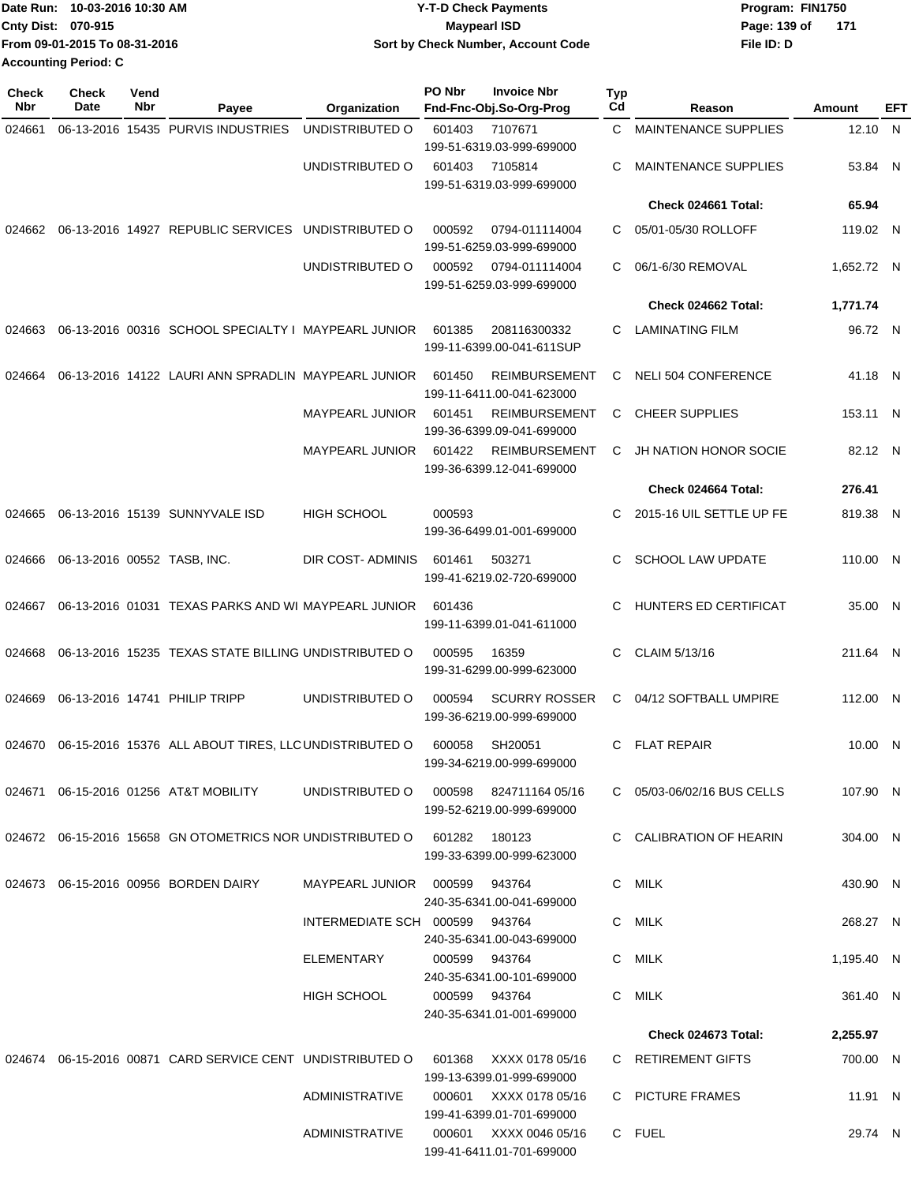| Date Run: 10-03-2016 10:30 AM | <b>Y-T-D Check Payments</b>        | Program: FIN1750      |
|-------------------------------|------------------------------------|-----------------------|
| Cnty Dist: 070-915            | Maypearl ISD                       | Page: 139 of<br>- 171 |
| From 09-01-2015 To 08-31-2016 | Sort by Check Number, Account Code | File ID: D            |
| <b>Accounting Period: C</b>   |                                    |                       |

| <b>Check</b> | <b>Check</b>                | Vend |                                                                                |                                          | PO Nbr | <b>Invoice Nbr</b>                                  | Typ |                             |            |     |
|--------------|-----------------------------|------|--------------------------------------------------------------------------------|------------------------------------------|--------|-----------------------------------------------------|-----|-----------------------------|------------|-----|
| Nbr          | Date                        | Nbr  | Payee                                                                          | Organization                             |        | Fnd-Fnc-Obj.So-Org-Prog                             | Cd  | Reason                      | Amount     | EFT |
| 024661       |                             |      | 06-13-2016 15435 PURVIS INDUSTRIES                                             | UNDISTRIBUTED O                          | 601403 | 7107671<br>199-51-6319.03-999-699000                | C   | <b>MAINTENANCE SUPPLIES</b> | 12.10 N    |     |
|              |                             |      |                                                                                | UNDISTRIBUTED O                          | 601403 | 7105814<br>199-51-6319.03-999-699000                | C   | <b>MAINTENANCE SUPPLIES</b> | 53.84 N    |     |
|              |                             |      |                                                                                |                                          |        |                                                     |     | Check 024661 Total:         | 65.94      |     |
|              |                             |      | 024662 06-13-2016 14927 REPUBLIC SERVICES UNDISTRIBUTED O                      |                                          | 000592 | 0794-011114004<br>199-51-6259.03-999-699000         | C   | 05/01-05/30 ROLLOFF         | 119.02 N   |     |
|              |                             |      |                                                                                | UNDISTRIBUTED O                          | 000592 | 0794-011114004<br>199-51-6259.03-999-699000         | C.  | 06/1-6/30 REMOVAL           | 1,652.72 N |     |
|              |                             |      |                                                                                |                                          |        |                                                     |     | Check 024662 Total:         | 1,771.74   |     |
| 024663       |                             |      | 06-13-2016 00316 SCHOOL SPECIALTY I MAYPEARL JUNIOR                            |                                          | 601385 | 208116300332<br>199-11-6399.00-041-611SUP           | C.  | LAMINATING FILM             | 96.72 N    |     |
| 024664       |                             |      | 06-13-2016 14122 LAURI ANN SPRADLIN MAYPEARL JUNIOR                            |                                          | 601450 | <b>REIMBURSEMENT</b><br>199-11-6411.00-041-623000   | C   | <b>NELI 504 CONFERENCE</b>  | 41.18 N    |     |
|              |                             |      |                                                                                | <b>MAYPEARL JUNIOR</b>                   | 601451 | <b>REIMBURSEMENT</b><br>199-36-6399.09-041-699000   | C   | <b>CHEER SUPPLIES</b>       | 153.11 N   |     |
|              |                             |      |                                                                                | <b>MAYPEARL JUNIOR</b>                   | 601422 | <b>REIMBURSEMENT</b><br>199-36-6399.12-041-699000   | С   | JH NATION HONOR SOCIE       | 82.12 N    |     |
|              |                             |      |                                                                                |                                          |        |                                                     |     | Check 024664 Total:         | 276.41     |     |
| 024665       |                             |      | 06-13-2016 15139 SUNNYVALE ISD                                                 | <b>HIGH SCHOOL</b>                       | 000593 | 199-36-6499.01-001-699000                           | C   | 2015-16 UIL SETTLE UP FE    | 819.38 N   |     |
| 024666       | 06-13-2016 00552 TASB, INC. |      |                                                                                | DIR COST- ADMINIS                        | 601461 | 503271<br>199-41-6219.02-720-699000                 | C   | <b>SCHOOL LAW UPDATE</b>    | 110.00 N   |     |
| 024667       |                             |      | 06-13-2016 01031 TEXAS PARKS AND WI MAYPEARL JUNIOR                            |                                          | 601436 | 199-11-6399.01-041-611000                           | C   | HUNTERS ED CERTIFICAT       | 35.00 N    |     |
| 024668       |                             |      | 06-13-2016 15235 TEXAS STATE BILLING UNDISTRIBUTED O                           |                                          | 000595 | 16359<br>199-31-6299.00-999-623000                  | C   | CLAIM 5/13/16               | 211.64 N   |     |
| 024669       |                             |      | 06-13-2016 14741 PHILIP TRIPP                                                  | UNDISTRIBUTED O                          | 000594 | <b>SCURRY ROSSER</b><br>199-36-6219.00-999-699000   | C   | 04/12 SOFTBALL UMPIRE       | 112.00 N   |     |
|              |                             |      | 024670 06-15-2016 15376 ALL ABOUT TIRES, LLC UNDISTRIBUTED O                   |                                          | 600058 | SH20051<br>199-34-6219.00-999-699000                | C   | <b>FLAT REPAIR</b>          | 10.00 N    |     |
|              |                             |      | 024671   06-15-2016   01256   AT&T MOBILITY                                    | UNDISTRIBUTED O  000598  824711164 05/16 |        | 199-52-6219.00-999-699000                           |     | C 05/03-06/02/16 BUS CELLS  | 107.90 N   |     |
|              |                             |      | 024672  06-15-2016  15658  GN OTOMETRICS NOR UNDISTRIBUTED   0  601282  180123 |                                          |        | 199-33-6399.00-999-623000                           |     | C CALIBRATION OF HEARIN     | 304.00 N   |     |
|              |                             |      | 024673 06-15-2016 00956 BORDEN DAIRY                                           | MAYPEARL JUNIOR 000599 943764            |        | 240-35-6341.00-041-699000                           |     | C MILK                      | 430.90 N   |     |
|              |                             |      |                                                                                | INTERMEDIATE SCH 000599 943764           |        | 240-35-6341.00-043-699000                           |     | C MILK                      | 268.27 N   |     |
|              |                             |      |                                                                                | ELEMENTARY                               |        | 000599 943764<br>240-35-6341.00-101-699000          |     | C MILK                      | 1,195.40 N |     |
|              |                             |      |                                                                                | <b>HIGH SCHOOL</b>                       |        | 000599 943764<br>240-35-6341.01-001-699000          |     | C MILK                      | 361.40 N   |     |
|              |                             |      |                                                                                |                                          |        |                                                     |     | Check 024673 Total:         | 2,255.97   |     |
|              |                             |      | 024674 06-15-2016 00871 CARD SERVICE CENT UNDISTRIBUTED O                      |                                          | 601368 | XXXX 0178 05/16<br>199-13-6399.01-999-699000        |     | C RETIREMENT GIFTS          | 700.00 N   |     |
|              |                             |      |                                                                                | ADMINISTRATIVE                           |        | 000601 XXXX 0178 05/16<br>199-41-6399.01-701-699000 |     | C PICTURE FRAMES            | 11.91 N    |     |
|              |                             |      |                                                                                | ADMINISTRATIVE                           |        | 000601 XXXX 0046 05/16<br>199-41-6411.01-701-699000 |     | C FUEL                      | 29.74 N    |     |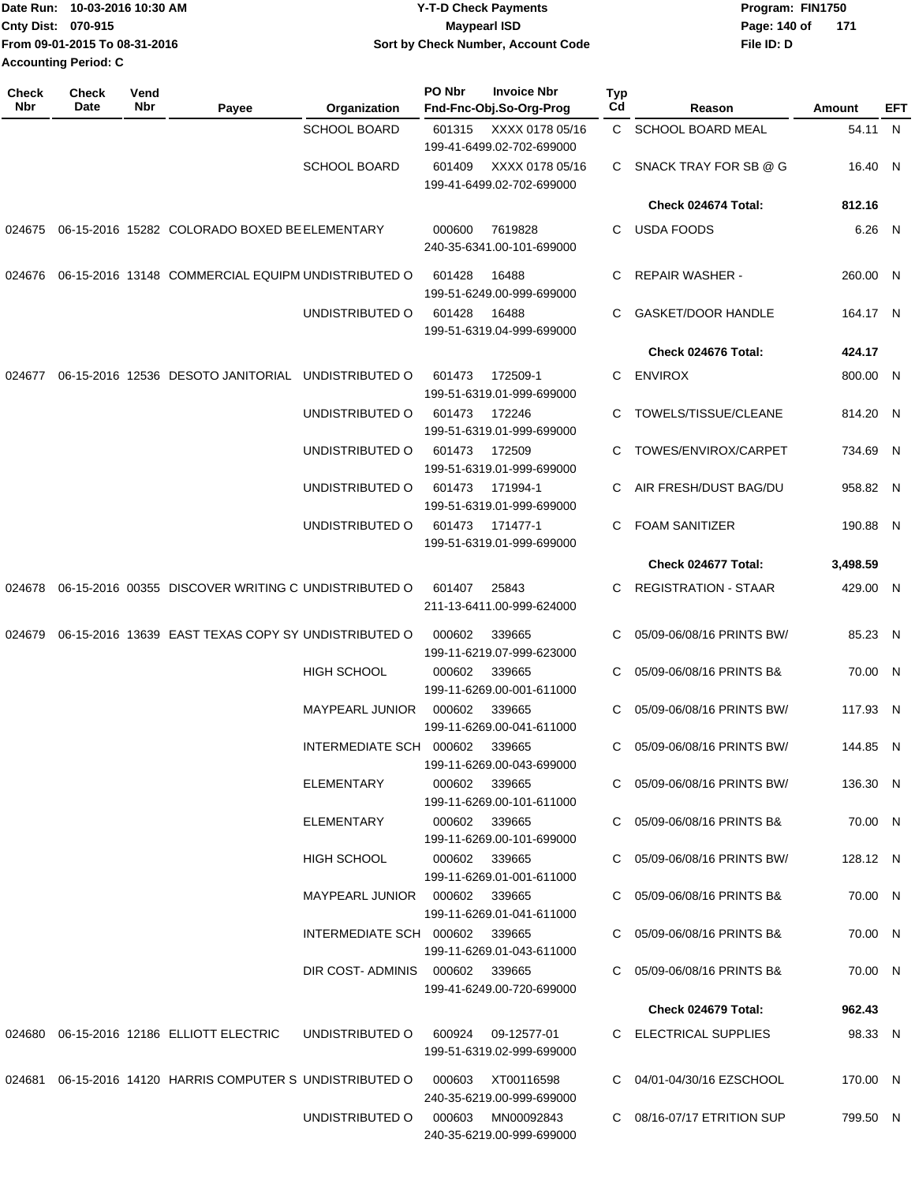| 10-03-2016 10:30 AM<br>lDate Run: | <b>Y-T-D Check Payments</b>        | Program: FIN1750      |
|-----------------------------------|------------------------------------|-----------------------|
| <b>Cnty Dist: 070-915</b>         | Maypearl ISD                       | Page: 140 of<br>- 171 |
| Trom 09-01-2015 To 08-31-2016     | Sort by Check Number, Account Code | File ID: D            |
| <b>Accounting Period: C</b>       |                                    |                       |

| <b>Check</b><br>Nbr | <b>Check</b><br>Date | Vend<br>Nbr | Payee                                                     | Organization                    | PO Nbr        | <b>Invoice Nbr</b><br>Fnd-Fnc-Obj.So-Org-Prog | Typ<br>Cd | Reason                      | Amount   | EFT |
|---------------------|----------------------|-------------|-----------------------------------------------------------|---------------------------------|---------------|-----------------------------------------------|-----------|-----------------------------|----------|-----|
|                     |                      |             |                                                           | <b>SCHOOL BOARD</b>             | 601315        | XXXX 0178 05/16                               | C.        | <b>SCHOOL BOARD MEAL</b>    | 54.11 N  |     |
|                     |                      |             |                                                           |                                 |               | 199-41-6499.02-702-699000                     |           |                             |          |     |
|                     |                      |             |                                                           | <b>SCHOOL BOARD</b>             | 601409        | XXXX 0178 05/16<br>199-41-6499.02-702-699000  | C.        | SNACK TRAY FOR SB @ G       | 16.40 N  |     |
|                     |                      |             |                                                           |                                 |               |                                               |           | Check 024674 Total:         | 812.16   |     |
|                     |                      |             | 024675 06-15-2016 15282 COLORADO BOXED BE ELEMENTARY      |                                 | 000600        | 7619828                                       | C.        | <b>USDA FOODS</b>           | 6.26 N   |     |
|                     |                      |             |                                                           |                                 |               | 240-35-6341.00-101-699000                     |           |                             |          |     |
| 024676              |                      |             | 06-15-2016 13148 COMMERCIAL EQUIPM UNDISTRIBUTED O        |                                 | 601428        | 16488                                         | С         | <b>REPAIR WASHER -</b>      | 260.00 N |     |
|                     |                      |             |                                                           |                                 |               | 199-51-6249.00-999-699000                     |           |                             |          |     |
|                     |                      |             |                                                           | UNDISTRIBUTED O                 | 601428        | 16488                                         | C         | <b>GASKET/DOOR HANDLE</b>   | 164.17 N |     |
|                     |                      |             |                                                           |                                 |               | 199-51-6319.04-999-699000                     |           | Check 024676 Total:         | 424.17   |     |
| 024677              |                      |             | 06-15-2016 12536 DESOTO JANITORIAL                        | UNDISTRIBUTED O                 | 601473        | 172509-1                                      | С         | <b>ENVIROX</b>              | 800.00 N |     |
|                     |                      |             |                                                           |                                 |               | 199-51-6319.01-999-699000                     |           |                             |          |     |
|                     |                      |             |                                                           | UNDISTRIBUTED O                 | 601473        | 172246                                        | C         | TOWELS/TISSUE/CLEANE        | 814.20 N |     |
|                     |                      |             |                                                           |                                 |               | 199-51-6319.01-999-699000                     |           |                             |          |     |
|                     |                      |             |                                                           | UNDISTRIBUTED O                 | 601473        | 172509<br>199-51-6319.01-999-699000           | C         | TOWES/ENVIROX/CARPET        | 734.69 N |     |
|                     |                      |             |                                                           | UNDISTRIBUTED O                 | 601473        | 171994-1                                      | C         | AIR FRESH/DUST BAG/DU       | 958.82 N |     |
|                     |                      |             |                                                           |                                 |               | 199-51-6319.01-999-699000                     |           |                             |          |     |
|                     |                      |             |                                                           | UNDISTRIBUTED O                 | 601473        | 171477-1                                      | C         | <b>FOAM SANITIZER</b>       | 190.88 N |     |
|                     |                      |             |                                                           |                                 |               | 199-51-6319.01-999-699000                     |           |                             |          |     |
|                     |                      |             |                                                           |                                 |               |                                               |           | Check 024677 Total:         | 3,498.59 |     |
| 024678              |                      |             | 06-15-2016 00355 DISCOVER WRITING C UNDISTRIBUTED O       |                                 | 601407        | 25843<br>211-13-6411.00-999-624000            | C         | <b>REGISTRATION - STAAR</b> | 429.00 N |     |
| 024679              |                      |             | 06-15-2016 13639 EAST TEXAS COPY SY UNDISTRIBUTED O       |                                 | 000602        | 339665                                        | С         | 05/09-06/08/16 PRINTS BW/   | 85.23 N  |     |
|                     |                      |             |                                                           |                                 |               | 199-11-6219.07-999-623000                     |           |                             |          |     |
|                     |                      |             |                                                           | <b>HIGH SCHOOL</b>              | 000602        | 339665                                        | C         | 05/09-06/08/16 PRINTS B&    | 70.00 N  |     |
|                     |                      |             |                                                           |                                 |               | 199-11-6269.00-001-611000                     |           |                             |          |     |
|                     |                      |             |                                                           | <b>MAYPEARL JUNIOR</b>          | 000602        | 339665<br>199-11-6269.00-041-611000           | C.        | 05/09-06/08/16 PRINTS BW/   | 117.93 N |     |
|                     |                      |             |                                                           | INTERMEDIATE SCH 000602         |               | 339665                                        | C         | 05/09-06/08/16 PRINTS BW/   | 144.85 N |     |
|                     |                      |             |                                                           |                                 |               | 199-11-6269.00-043-699000                     |           |                             |          |     |
|                     |                      |             |                                                           | ELEMENTARY                      | 000602 339665 |                                               |           | C 05/09-06/08/16 PRINTS BW/ | 136.30 N |     |
|                     |                      |             |                                                           |                                 |               | 199-11-6269.00-101-611000                     |           |                             |          |     |
|                     |                      |             |                                                           | ELEMENTARY                      | 000602 339665 | 199-11-6269.00-101-699000                     |           | C 05/09-06/08/16 PRINTS B&  | 70.00 N  |     |
|                     |                      |             |                                                           | <b>HIGH SCHOOL</b>              | 000602 339665 |                                               |           | C 05/09-06/08/16 PRINTS BW/ | 128.12 N |     |
|                     |                      |             |                                                           |                                 |               | 199-11-6269.01-001-611000                     |           |                             |          |     |
|                     |                      |             |                                                           | MAYPEARL JUNIOR  000602  339665 |               | 199-11-6269.01-041-611000                     |           | C 05/09-06/08/16 PRINTS B&  | 70.00 N  |     |
|                     |                      |             |                                                           | INTERMEDIATE SCH 000602 339665  |               |                                               |           | C 05/09-06/08/16 PRINTS B&  | 70.00 N  |     |
|                     |                      |             |                                                           |                                 |               | 199-11-6269.01-043-611000                     |           |                             |          |     |
|                     |                      |             |                                                           | DIR COST-ADMINIS 000602 339665  |               |                                               |           | C 05/09-06/08/16 PRINTS B&  | 70.00 N  |     |
|                     |                      |             |                                                           |                                 |               | 199-41-6249.00-720-699000                     |           |                             |          |     |
|                     |                      |             |                                                           |                                 |               |                                               |           | Check 024679 Total:         | 962.43   |     |
|                     |                      |             | 024680 06-15-2016 12186 ELLIOTT ELECTRIC                  | UNDISTRIBUTED O                 | 600924        | 09-12577-01<br>199-51-6319.02-999-699000      |           | C ELECTRICAL SUPPLIES       | 98.33 N  |     |
|                     |                      |             |                                                           |                                 |               |                                               |           |                             |          |     |
|                     |                      |             | 024681 06-15-2016 14120 HARRIS COMPUTER S UNDISTRIBUTED O |                                 | 000603        | XT00116598<br>240-35-6219.00-999-699000       |           | C 04/01-04/30/16 EZSCHOOL   | 170.00 N |     |
|                     |                      |             |                                                           | UNDISTRIBUTED O                 | 000603        | MN00092843                                    |           | C 08/16-07/17 ETRITION SUP  | 799.50 N |     |
|                     |                      |             |                                                           |                                 |               | 240-35-6219.00-999-699000                     |           |                             |          |     |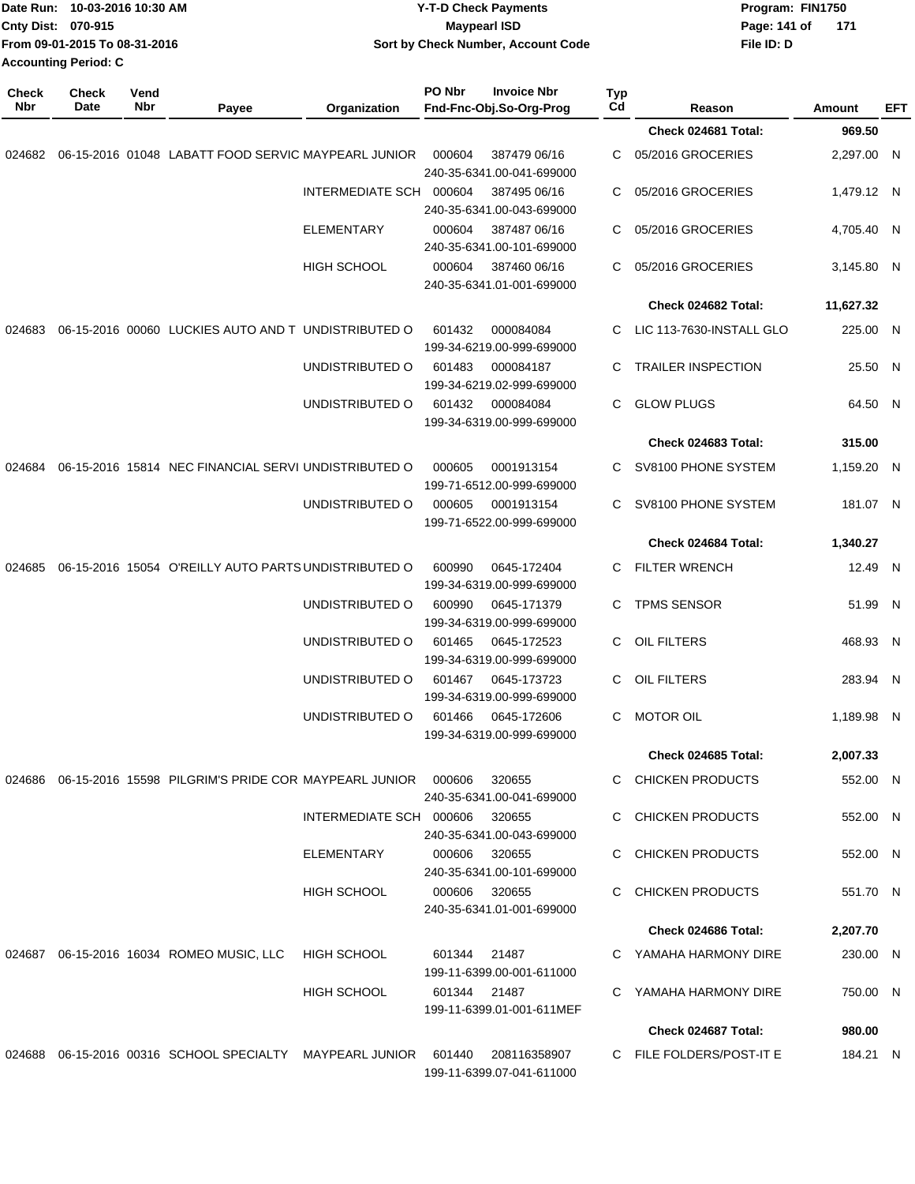|              | Date Run: 10-03-2016 10:30 AM<br>Cnty Dist: 070-915<br>From 09-01-2015 To 08-31-2016<br><b>Accounting Period: C</b> |             |                                                                        | <b>Y-T-D Check Payments</b><br><b>Maypearl ISD</b><br>Sort by Check Number, Account Code |                                           |                                                 |                    | Page: 141 of<br>File ID: D | Program: FIN1750<br>171 |            |
|--------------|---------------------------------------------------------------------------------------------------------------------|-------------|------------------------------------------------------------------------|------------------------------------------------------------------------------------------|-------------------------------------------|-------------------------------------------------|--------------------|----------------------------|-------------------------|------------|
| Check<br>Nbr | <b>Check</b><br>Date                                                                                                | Vend<br>Nbr | Payee                                                                  | Organization                                                                             | PO Nbr                                    | <b>Invoice Nbr</b><br>Fnd-Fnc-Obj.So-Org-Prog   | Typ<br>$_{\rm Cd}$ | Reason                     | Amount                  | <b>EFT</b> |
|              |                                                                                                                     |             |                                                                        |                                                                                          |                                           |                                                 |                    | Check 024681 Total:        | 969.50                  |            |
| 024682       |                                                                                                                     |             | 06-15-2016 01048 LABATT FOOD SERVIC MAYPEARL JUNIOR                    |                                                                                          | 000604                                    | 387479 06/16<br>240-35-6341.00-041-699000       | С                  | 05/2016 GROCERIES          | 2,297.00 N              |            |
|              |                                                                                                                     |             |                                                                        | INTERMEDIATE SCH                                                                         | 000604                                    | 387495 06/16<br>240-35-6341.00-043-699000       | C                  | 05/2016 GROCERIES          | 1,479.12 N              |            |
|              |                                                                                                                     |             | ELEMENTARY                                                             | 000604                                                                                   | 387487 06/16<br>240-35-6341.00-101-699000 | С                                               | 05/2016 GROCERIES  | 4,705.40 N                 |                         |            |
|              |                                                                                                                     |             |                                                                        | <b>HIGH SCHOOL</b>                                                                       | 000604                                    | 387460 06/16<br>240-35-6341.01-001-699000       | С                  | 05/2016 GROCERIES          | 3,145.80 N              |            |
|              |                                                                                                                     |             |                                                                        |                                                                                          |                                           |                                                 |                    | Check 024682 Total:        | 11,627.32               |            |
| 024683       |                                                                                                                     |             | 06-15-2016 00060 LUCKIES AUTO AND TUNDISTRIBUTED O                     |                                                                                          | 601432                                    | 000084084<br>199-34-6219.00-999-699000          | С                  | LIC 113-7630-INSTALL GLO   | 225.00 N                |            |
|              |                                                                                                                     |             |                                                                        | UNDISTRIBUTED O                                                                          | 601483                                    | 000084187<br>199-34-6219.02-999-699000          | C                  | <b>TRAILER INSPECTION</b>  | 25.50 N                 |            |
|              |                                                                                                                     |             |                                                                        | UNDISTRIBUTED O                                                                          | 601432                                    | 000084084<br>199-34-6319.00-999-699000          | С                  | <b>GLOW PLUGS</b>          | 64.50 N                 |            |
|              |                                                                                                                     |             |                                                                        |                                                                                          |                                           |                                                 |                    | Check 024683 Total:        | 315.00                  |            |
| 024684       |                                                                                                                     |             | 06-15-2016 15814 NEC FINANCIAL SERVI UNDISTRIBUTED O                   |                                                                                          | 000605                                    | 0001913154<br>199-71-6512.00-999-699000         | С                  | SV8100 PHONE SYSTEM        | 1,159.20 N              |            |
|              |                                                                                                                     |             |                                                                        | UNDISTRIBUTED O                                                                          | 000605                                    | 0001913154<br>199-71-6522.00-999-699000         | С                  | SV8100 PHONE SYSTEM        | 181.07 N                |            |
|              |                                                                                                                     |             |                                                                        |                                                                                          |                                           |                                                 |                    | Check 024684 Total:        | 1,340.27                |            |
| 024685       |                                                                                                                     |             | 06-15-2016 15054 O'REILLY AUTO PARTS UNDISTRIBUTED O                   |                                                                                          | 600990                                    | 0645-172404<br>199-34-6319.00-999-699000        | С                  | <b>FILTER WRENCH</b>       | 12.49 N                 |            |
|              |                                                                                                                     |             |                                                                        | UNDISTRIBUTED O                                                                          | 600990                                    | 0645-171379<br>199-34-6319.00-999-699000        | С                  | <b>TPMS SENSOR</b>         | 51.99                   | - N        |
|              |                                                                                                                     |             |                                                                        | UNDISTRIBUTED O                                                                          | 601465                                    | 0645-172523<br>199-34-6319.00-999-699000        | С                  | OIL FILTERS                | 468.93 N                |            |
|              |                                                                                                                     |             |                                                                        | UNDISTRIBUTED O                                                                          | 601467                                    | 0645-173723<br>199-34-6319.00-999-699000        |                    | C OIL FILTERS              | 283.94 N                |            |
|              |                                                                                                                     |             |                                                                        | UNDISTRIBUTED O                                                                          |                                           | 601466 0645-172606<br>199-34-6319.00-999-699000 |                    | C MOTOR OIL                | 1.189.98 N              |            |
|              |                                                                                                                     |             |                                                                        |                                                                                          |                                           |                                                 |                    | Check 024685 Total:        | 2,007.33                |            |
|              |                                                                                                                     |             | 024686  06-15-2016  15598  PILGRIM'S PRIDE COR MAYPEARL JUNIOR  000606 |                                                                                          |                                           | 320655<br>240-35-6341.00-041-699000             |                    | C CHICKEN PRODUCTS         | 552.00 N                |            |
|              |                                                                                                                     |             |                                                                        | INTERMEDIATE SCH 000606                                                                  |                                           | 320655<br>240-35-6341.00-043-699000             |                    | C CHICKEN PRODUCTS         | 552.00 N                |            |
|              |                                                                                                                     |             |                                                                        | ELEMENTARY                                                                               | 000606                                    | 320655<br>240-35-6341.00-101-699000             |                    | <b>CHICKEN PRODUCTS</b>    | 552.00 N                |            |
|              |                                                                                                                     |             |                                                                        | HIGH SCHOOL                                                                              |                                           | 000606 320655<br>240-35-6341.01-001-699000      |                    | C CHICKEN PRODUCTS         | 551.70 N                |            |
|              |                                                                                                                     |             |                                                                        |                                                                                          |                                           |                                                 |                    | Check 024686 Total:        | 2,207.70                |            |
|              |                                                                                                                     |             | 024687   06-15-2016  16034   ROMEO MUSIC, LLC                          | <b>HIGH SCHOOL</b>                                                                       | 601344 21487                              | 199-11-6399.00-001-611000                       |                    | C YAMAHA HARMONY DIRE      | 230.00 N                |            |
|              |                                                                                                                     |             |                                                                        | HIGH SCHOOL                                                                              | 601344 21487                              | 199-11-6399.01-001-611MEF                       |                    | C YAMAHA HARMONY DIRE      | 750.00 N                |            |
|              |                                                                                                                     |             |                                                                        |                                                                                          |                                           |                                                 |                    | Check 024687 Total:        | 980.00                  |            |
|              |                                                                                                                     |             | 024688 06-15-2016 00316 SCHOOL SPECIALTY MAYPEARL JUNIOR               |                                                                                          | 601440                                    | 208116358907<br>199-11-6399.07-041-611000       |                    | C FILE FOLDERS/POST-IT E   | 184.21 N                |            |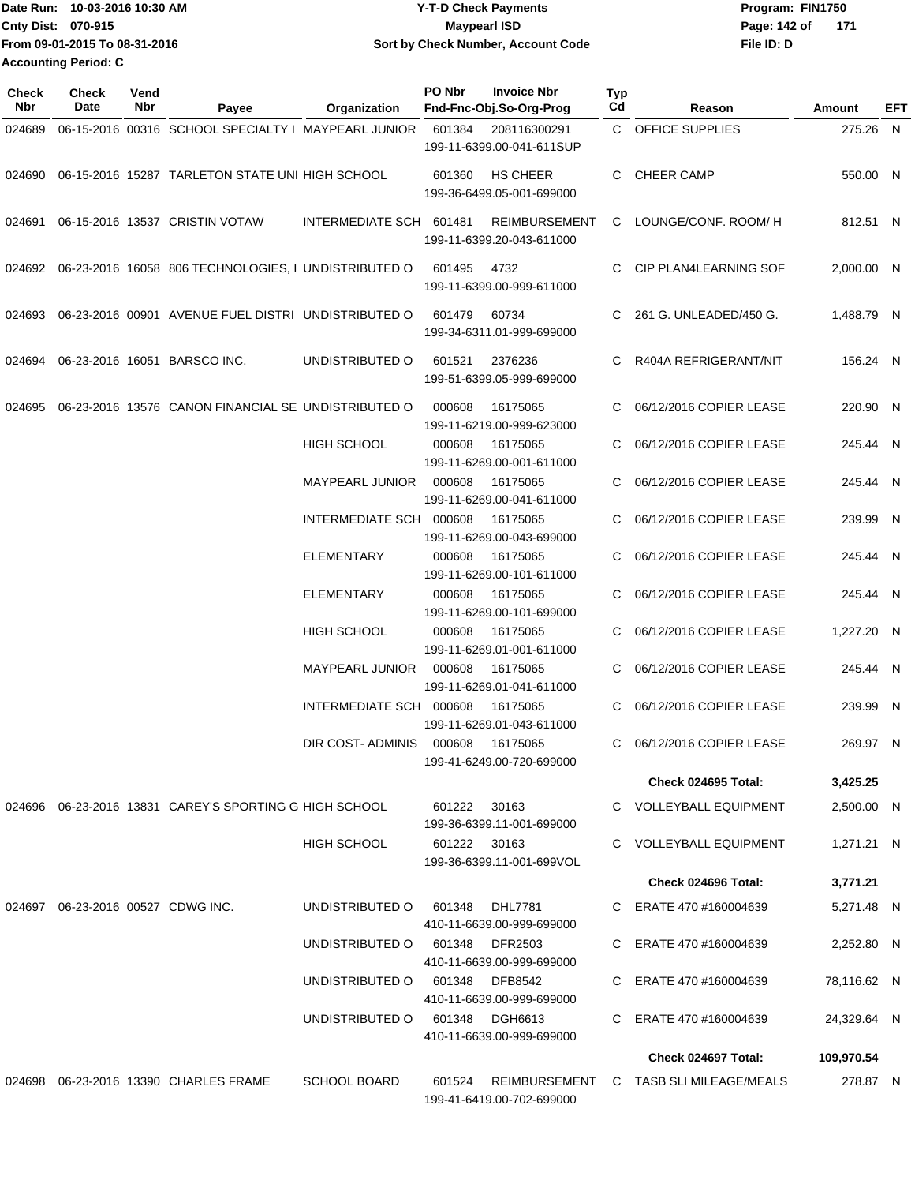| IDate Run: 10-03-2016 10:30 AM | <b>Y-T-D Check Payments</b>               | Program: FIN1750    |
|--------------------------------|-------------------------------------------|---------------------|
| <b>Cnty Dist: 070-915</b>      | <b>Mavpearl ISD</b>                       | Page: 142 of<br>171 |
| From 09-01-2015 To 08-31-2016  | <b>Sort by Check Number, Account Code</b> | File ID: D          |
| <b>Accounting Period: C</b>    |                                           |                     |

| <b>Check</b><br>Nbr | Check<br>Date | Vend<br>Nbr | Payee                                                     | Organization             | PO Nbr       | <b>Invoice Nbr</b><br>Fnd-Fnc-Obj.So-Org-Prog     | Typ<br>Cd | Reason                   | Amount      | EFT |
|---------------------|---------------|-------------|-----------------------------------------------------------|--------------------------|--------------|---------------------------------------------------|-----------|--------------------------|-------------|-----|
| 024689              |               |             | 06-15-2016 00316 SCHOOL SPECIALTY I MAYPEARL JUNIOR       |                          | 601384       | 208116300291<br>199-11-6399.00-041-611SUP         |           | C OFFICE SUPPLIES        | 275.26 N    |     |
| 024690              |               |             | 06-15-2016 15287 TARLETON STATE UNI HIGH SCHOOL           |                          | 601360       | <b>HS CHEER</b><br>199-36-6499.05-001-699000      | C         | <b>CHEER CAMP</b>        | 550.00 N    |     |
| 024691              |               |             | 06-15-2016 13537 CRISTIN VOTAW                            | INTERMEDIATE SCH 601481  |              | <b>REIMBURSEMENT</b><br>199-11-6399.20-043-611000 | C.        | LOUNGE/CONF. ROOM/H      | 812.51 N    |     |
| 024692              |               |             | 06-23-2016 16058 806 TECHNOLOGIES, I UNDISTRIBUTED O      |                          | 601495       | 4732<br>199-11-6399.00-999-611000                 | C.        | CIP PLAN4LEARNING SOF    | 2,000.00 N  |     |
| 024693              |               |             | 06-23-2016 00901 AVENUE FUEL DISTRI UNDISTRIBUTED O       |                          | 601479       | 60734<br>199-34-6311.01-999-699000                | C.        | 261 G. UNLEADED/450 G.   | 1,488.79 N  |     |
| 024694              |               |             | 06-23-2016 16051 BARSCO INC.                              | UNDISTRIBUTED O          | 601521       | 2376236<br>199-51-6399.05-999-699000              | C.        | R404A REFRIGERANT/NIT    | 156.24 N    |     |
| 024695              |               |             | 06-23-2016 13576 CANON FINANCIAL SE UNDISTRIBUTED O       |                          | 000608       | 16175065<br>199-11-6219.00-999-623000             | C.        | 06/12/2016 COPIER LEASE  | 220.90 N    |     |
|                     |               |             |                                                           | <b>HIGH SCHOOL</b>       | 000608       | 16175065<br>199-11-6269.00-001-611000             | C         | 06/12/2016 COPIER LEASE  | 245.44 N    |     |
|                     |               |             |                                                           | <b>MAYPEARL JUNIOR</b>   | 000608       | 16175065<br>199-11-6269.00-041-611000             | C         | 06/12/2016 COPIER LEASE  | 245.44 N    |     |
|                     |               |             |                                                           | INTERMEDIATE SCH 000608  |              | 16175065<br>199-11-6269.00-043-699000             | C.        | 06/12/2016 COPIER LEASE  | 239.99 N    |     |
|                     |               |             |                                                           | <b>ELEMENTARY</b>        | 000608       | 16175065<br>199-11-6269.00-101-611000             | C         | 06/12/2016 COPIER LEASE  | 245.44 N    |     |
|                     |               |             |                                                           | <b>ELEMENTARY</b>        | 000608       | 16175065<br>199-11-6269.00-101-699000             | C         | 06/12/2016 COPIER LEASE  | 245.44 N    |     |
|                     |               |             |                                                           | HIGH SCHOOL              | 000608       | 16175065<br>199-11-6269.01-001-611000             | C.        | 06/12/2016 COPIER LEASE  | 1,227.20 N  |     |
|                     |               |             |                                                           | <b>MAYPEARL JUNIOR</b>   | 000608       | 16175065<br>199-11-6269.01-041-611000             | C         | 06/12/2016 COPIER LEASE  | 245.44 N    |     |
|                     |               |             |                                                           | INTERMEDIATE SCH 000608  |              | 16175065<br>199-11-6269.01-043-611000             | C         | 06/12/2016 COPIER LEASE  | 239.99 N    |     |
|                     |               |             |                                                           | <b>DIR COST- ADMINIS</b> | 000608       | 16175065<br>199-41-6249.00-720-699000             | C.        | 06/12/2016 COPIER LEASE  | 269.97 N    |     |
|                     |               |             |                                                           |                          |              |                                                   |           | Check 024695 Total:      | 3,425.25    |     |
|                     |               |             | 024696  06-23-2016  13831  CAREY'S SPORTING G HIGH SCHOOL |                          | 601222       | 30163<br>199-36-6399.11-001-699000                |           | C VOLLEYBALL EQUIPMENT   | 2,500.00 N  |     |
|                     |               |             |                                                           | <b>HIGH SCHOOL</b>       | 601222 30163 | 199-36-6399.11-001-699VOL                         |           | C VOLLEYBALL EQUIPMENT   | 1,271.21 N  |     |
|                     |               |             |                                                           |                          |              |                                                   |           | Check 024696 Total:      | 3,771.21    |     |
| 024697              |               |             | 06-23-2016 00527 CDWG INC.                                | UNDISTRIBUTED O          | 601348       | <b>DHL7781</b><br>410-11-6639.00-999-699000       |           | C ERATE 470 #160004639   | 5,271.48 N  |     |
|                     |               |             |                                                           | UNDISTRIBUTED O          | 601348       | <b>DFR2503</b><br>410-11-6639.00-999-699000       |           | C ERATE 470 #160004639   | 2,252.80 N  |     |
|                     |               |             |                                                           | UNDISTRIBUTED O          | 601348       | DFB8542<br>410-11-6639.00-999-699000              |           | C ERATE 470 #160004639   | 78,116.62 N |     |
|                     |               |             |                                                           | UNDISTRIBUTED O          | 601348       | DGH6613<br>410-11-6639.00-999-699000              | C.        | ERATE 470 #160004639     | 24,329.64 N |     |
|                     |               |             |                                                           |                          |              |                                                   |           | Check 024697 Total:      | 109,970.54  |     |
| 024698              |               |             | 06-23-2016 13390 CHARLES FRAME                            | <b>SCHOOL BOARD</b>      | 601524       | <b>REIMBURSEMENT</b><br>199-41-6419.00-702-699000 |           | C TASB SLI MILEAGE/MEALS | 278.87 N    |     |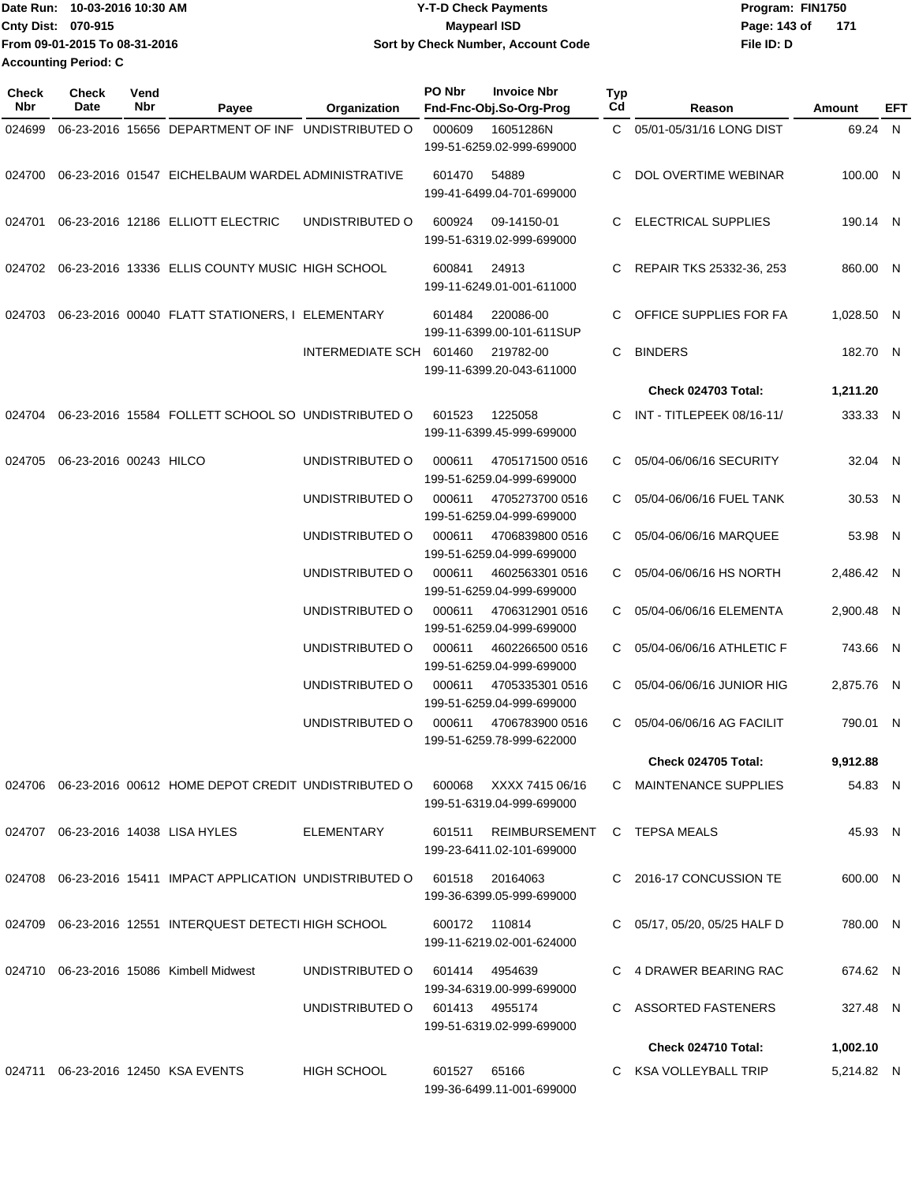| 10-03-2016 10:30 AM<br><b>Date Run:</b> | <b>Y-T-D Check Payments</b>        | Program: FIN1750 |       |  |
|-----------------------------------------|------------------------------------|------------------|-------|--|
| Cnty Dist: 070-915                      | <b>Mavpearl ISD</b>                | Page: 143 of     | - 171 |  |
| From 09-01-2015 To 08-31-2016           | Sort by Check Number, Account Code | File ID: D       |       |  |
| <b>Accounting Period: C</b>             |                                    |                  |       |  |

| <b>Check</b><br>Nbr | <b>Check</b><br>Date   | Vend<br>Nbr | Payee                                                      | Organization            | PO Nbr         | <b>Invoice Nbr</b><br>Fnd-Fnc-Obj.So-Org-Prog | Typ<br>Cd | Reason                     | Amount     | EFT |
|---------------------|------------------------|-------------|------------------------------------------------------------|-------------------------|----------------|-----------------------------------------------|-----------|----------------------------|------------|-----|
| 024699              |                        |             | 06-23-2016 15656 DEPARTMENT OF INF UNDISTRIBUTED O         |                         | 000609         | 16051286N<br>199-51-6259.02-999-699000        |           | C 05/01-05/31/16 LONG DIST | 69.24 N    |     |
| 024700              |                        |             | 06-23-2016 01547 EICHELBAUM WARDEL ADMINISTRATIVE          |                         | 601470         | 54889<br>199-41-6499.04-701-699000            | C.        | DOL OVERTIME WEBINAR       | 100.00 N   |     |
| 024701              |                        |             | 06-23-2016 12186 ELLIOTT ELECTRIC                          | UNDISTRIBUTED O         | 600924         | 09-14150-01<br>199-51-6319.02-999-699000      | C.        | <b>ELECTRICAL SUPPLIES</b> | 190.14 N   |     |
| 024702              |                        |             | 06-23-2016 13336 ELLIS COUNTY MUSIC HIGH SCHOOL            |                         | 600841         | 24913<br>199-11-6249.01-001-611000            | C         | REPAIR TKS 25332-36, 253   | 860.00 N   |     |
| 024703              |                        |             | 06-23-2016 00040 FLATT STATIONERS, I ELEMENTARY            |                         | 601484         | 220086-00<br>199-11-6399.00-101-611SUP        | C.        | OFFICE SUPPLIES FOR FA     | 1,028.50 N |     |
|                     |                        |             |                                                            | INTERMEDIATE SCH 601460 |                | 219782-00<br>199-11-6399.20-043-611000        | C         | <b>BINDERS</b>             | 182.70 N   |     |
|                     |                        |             |                                                            |                         |                |                                               |           | <b>Check 024703 Total:</b> | 1,211.20   |     |
| 024704              |                        |             | 06-23-2016 15584 FOLLETT SCHOOL SO UNDISTRIBUTED O         |                         | 601523         | 1225058<br>199-11-6399.45-999-699000          | C.        | INT - TITLEPEEK 08/16-11/  | 333.33 N   |     |
| 024705              | 06-23-2016 00243 HILCO |             |                                                            | UNDISTRIBUTED O         | 000611         | 4705171500 0516<br>199-51-6259.04-999-699000  | C.        | 05/04-06/06/16 SECURITY    | 32.04 N    |     |
|                     |                        |             |                                                            | UNDISTRIBUTED O         | 000611         | 4705273700 0516<br>199-51-6259.04-999-699000  | C.        | 05/04-06/06/16 FUEL TANK   | 30.53 N    |     |
|                     |                        |             |                                                            | UNDISTRIBUTED O         | 000611         | 4706839800 0516<br>199-51-6259.04-999-699000  |           | C 05/04-06/06/16 MARQUEE   | 53.98 N    |     |
|                     |                        |             |                                                            | UNDISTRIBUTED O         | 000611         | 4602563301 0516<br>199-51-6259.04-999-699000  |           | C 05/04-06/06/16 HS NORTH  | 2,486.42 N |     |
|                     |                        |             |                                                            | UNDISTRIBUTED O         | 000611         | 4706312901 0516<br>199-51-6259.04-999-699000  | C.        | 05/04-06/06/16 ELEMENTA    | 2,900.48 N |     |
|                     |                        |             |                                                            | UNDISTRIBUTED O         | 000611         | 4602266500 0516<br>199-51-6259.04-999-699000  | C.        | 05/04-06/06/16 ATHLETIC F  | 743.66 N   |     |
|                     |                        |             |                                                            | UNDISTRIBUTED O         | 000611         | 4705335301 0516<br>199-51-6259.04-999-699000  | C.        | 05/04-06/06/16 JUNIOR HIG  | 2,875.76 N |     |
|                     |                        |             |                                                            | UNDISTRIBUTED O         | 000611         | 4706783900 0516<br>199-51-6259.78-999-622000  | C         | 05/04-06/06/16 AG FACILIT  | 790.01 N   |     |
|                     |                        |             |                                                            |                         |                |                                               |           | <b>Check 024705 Total:</b> | 9,912.88   |     |
|                     |                        |             | 024706 06-23-2016 00612 HOME DEPOT CREDIT UNDISTRIBUTED O  |                         | 600068         | XXXX 7415 06/16<br>199-51-6319.04-999-699000  |           | C MAINTENANCE SUPPLIES     | 54.83 N    |     |
|                     |                        |             | 024707 06-23-2016 14038 LISA HYLES                         | <b>ELEMENTARY</b>       | 601511         | REIMBURSEMENT<br>199-23-6411.02-101-699000    |           | C TEPSA MEALS              | 45.93 N    |     |
|                     |                        |             | 024708 06-23-2016 15411 IMPACT APPLICATION UNDISTRIBUTED O |                         | 601518         | 20164063<br>199-36-6399.05-999-699000         |           | C 2016-17 CONCUSSION TE    | 600.00 N   |     |
|                     |                        |             | 024709 06-23-2016 12551 INTERQUEST DETECTI HIGH SCHOOL     |                         | 600172 110814  | 199-11-6219.02-001-624000                     | C.        | 05/17, 05/20, 05/25 HALF D | 780.00 N   |     |
|                     |                        |             | 024710 06-23-2016 15086 Kimbell Midwest                    | UNDISTRIBUTED O         | 601414         | 4954639<br>199-34-6319.00-999-699000          |           | C 4 DRAWER BEARING RAC     | 674.62 N   |     |
|                     |                        |             |                                                            | UNDISTRIBUTED O         | 601413 4955174 | 199-51-6319.02-999-699000                     |           | C ASSORTED FASTENERS       | 327.48 N   |     |
|                     |                        |             |                                                            |                         |                |                                               |           | Check 024710 Total:        | 1,002.10   |     |
|                     |                        |             | 024711 06-23-2016 12450 KSA EVENTS                         | <b>HIGH SCHOOL</b>      | 601527         | 65166<br>199-36-6499.11-001-699000            |           | C KSA VOLLEYBALL TRIP      | 5,214.82 N |     |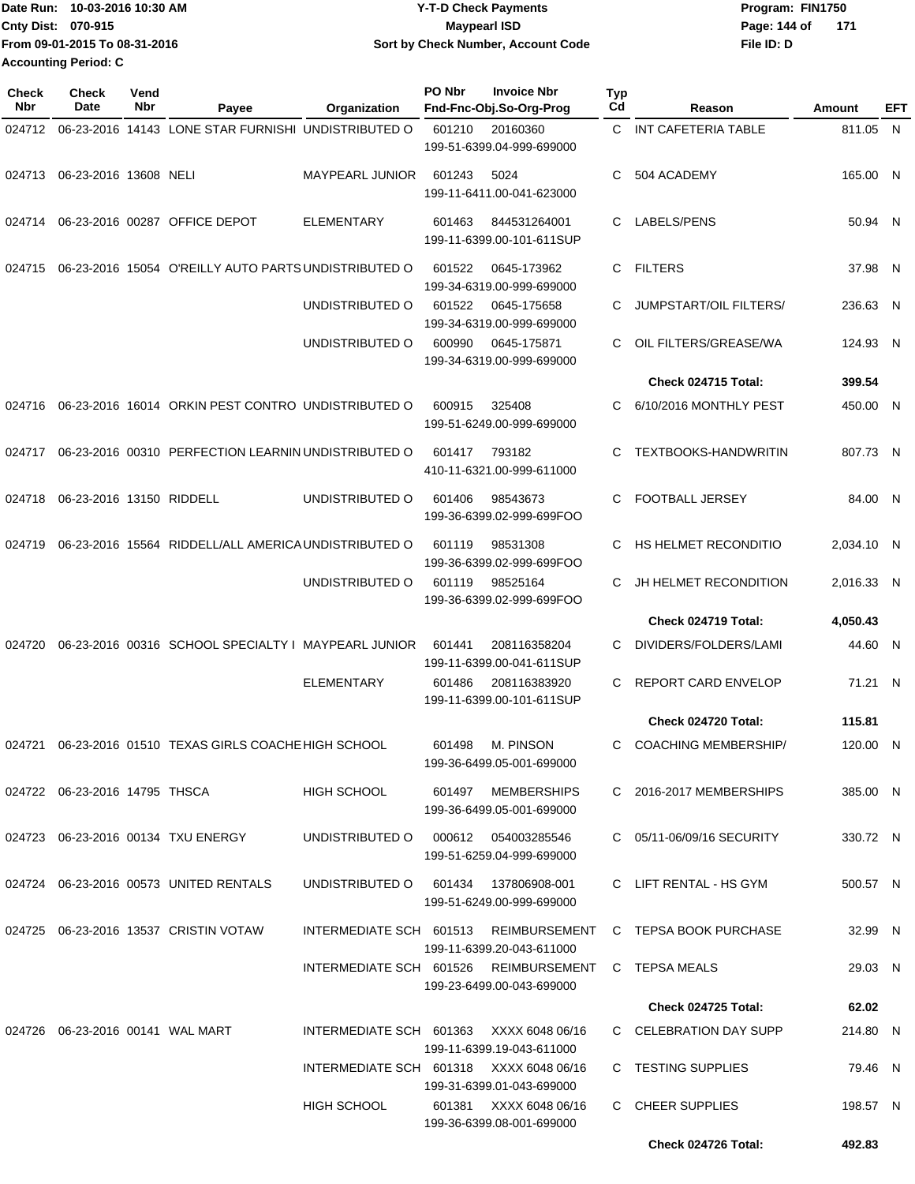| Date Run: 10-03-2016 10:30 AM | <b>Y-T-D Check Payments</b>        | Program: FIN1750      |
|-------------------------------|------------------------------------|-----------------------|
| <b>Cnty Dist: 070-915</b>     | <b>Mavpearl ISD</b>                | Page: 144 of<br>- 171 |
| From 09-01-2015 To 08-31-2016 | Sort by Check Number, Account Code | File ID: D            |
| <b>Accounting Period: C</b>   |                                    |                       |

| Check<br>Nbr | <b>Check</b><br>Date             | Vend<br>Nbr | Payee                                                | Organization                            | PO Nbr | <b>Invoice Nbr</b><br>Fnd-Fnc-Obj.So-Org-Prog                      | <b>Typ</b><br>Cd | Reason                        | Amount     | EFT |
|--------------|----------------------------------|-------------|------------------------------------------------------|-----------------------------------------|--------|--------------------------------------------------------------------|------------------|-------------------------------|------------|-----|
| 024712       |                                  |             | 06-23-2016 14143 LONE STAR FURNISHI UNDISTRIBUTED O  |                                         | 601210 | 20160360                                                           | $\mathsf{C}^-$   | INT CAFETERIA TABLE           | 811.05 N   |     |
|              |                                  |             |                                                      |                                         |        | 199-51-6399.04-999-699000                                          |                  |                               |            |     |
| 024713       | 06-23-2016 13608 NELI            |             |                                                      | <b>MAYPEARL JUNIOR</b>                  | 601243 | 5024                                                               | C                | 504 ACADEMY                   | 165.00 N   |     |
|              |                                  |             |                                                      |                                         |        | 199-11-6411.00-041-623000                                          |                  |                               |            |     |
| 024714       |                                  |             | 06-23-2016 00287 OFFICE DEPOT                        | <b>ELEMENTARY</b>                       | 601463 | 844531264001                                                       | C                | LABELS/PENS                   | 50.94 N    |     |
|              |                                  |             |                                                      |                                         |        | 199-11-6399.00-101-611SUP                                          |                  |                               |            |     |
| 024715       |                                  |             | 06-23-2016 15054 O'REILLY AUTO PARTS UNDISTRIBUTED O |                                         | 601522 | 0645-173962                                                        | C.               | <b>FILTERS</b>                | 37.98 N    |     |
|              |                                  |             |                                                      |                                         |        | 199-34-6319.00-999-699000                                          |                  |                               |            |     |
|              |                                  |             |                                                      | UNDISTRIBUTED O                         | 601522 | 0645-175658<br>199-34-6319.00-999-699000                           | C                | <b>JUMPSTART/OIL FILTERS/</b> | 236.63 N   |     |
|              |                                  |             |                                                      | UNDISTRIBUTED O                         | 600990 | 0645-175871                                                        | C                | OIL FILTERS/GREASE/WA         | 124.93 N   |     |
|              |                                  |             |                                                      |                                         |        | 199-34-6319.00-999-699000                                          |                  |                               |            |     |
|              |                                  |             |                                                      |                                         |        |                                                                    |                  | Check 024715 Total:           | 399.54     |     |
| 024716       |                                  |             | 06-23-2016 16014 ORKIN PEST CONTRO UNDISTRIBUTED O   |                                         | 600915 | 325408                                                             | C                | 6/10/2016 MONTHLY PEST        | 450.00 N   |     |
|              |                                  |             |                                                      |                                         |        | 199-51-6249.00-999-699000                                          |                  |                               |            |     |
| 024717       |                                  |             | 06-23-2016 00310 PERFECTION LEARNIN UNDISTRIBUTED O  |                                         | 601417 | 793182                                                             | C                | <b>TEXTBOOKS-HANDWRITIN</b>   | 807.73 N   |     |
|              |                                  |             |                                                      |                                         |        | 410-11-6321.00-999-611000                                          |                  |                               |            |     |
| 024718       | 06-23-2016 13150 RIDDELL         |             |                                                      | UNDISTRIBUTED O                         | 601406 | 98543673                                                           | C                | <b>FOOTBALL JERSEY</b>        | 84.00 N    |     |
|              |                                  |             |                                                      |                                         |        | 199-36-6399.02-999-699FOO                                          |                  |                               |            |     |
| 024719       |                                  |             | 06-23-2016 15564 RIDDELL/ALL AMERICA UNDISTRIBUTED O |                                         | 601119 | 98531308                                                           | C                | HS HELMET RECONDITIO          | 2,034.10 N |     |
|              |                                  |             |                                                      | UNDISTRIBUTED O                         | 601119 | 199-36-6399.02-999-699FOO<br>98525164                              | C                | JH HELMET RECONDITION         | 2,016.33 N |     |
|              |                                  |             |                                                      |                                         |        | 199-36-6399.02-999-699FOO                                          |                  |                               |            |     |
|              |                                  |             |                                                      |                                         |        |                                                                    |                  | Check 024719 Total:           | 4,050.43   |     |
| 024720       |                                  |             | 06-23-2016 00316 SCHOOL SPECIALTY I MAYPEARL JUNIOR  |                                         | 601441 | 208116358204                                                       | C                | DIVIDERS/FOLDERS/LAMI         | 44.60 N    |     |
|              |                                  |             |                                                      |                                         |        | 199-11-6399.00-041-611SUP                                          |                  |                               |            |     |
|              |                                  |             |                                                      | <b>ELEMENTARY</b>                       | 601486 | 208116383920<br>199-11-6399.00-101-611SUP                          | C                | <b>REPORT CARD ENVELOP</b>    | 71.21 N    |     |
|              |                                  |             |                                                      |                                         |        |                                                                    |                  | Check 024720 Total:           | 115.81     |     |
| 024721       |                                  |             | 06-23-2016 01510 TEXAS GIRLS COACHE HIGH SCHOOL      |                                         | 601498 | M. PINSON                                                          | C                | <b>COACHING MEMBERSHIP/</b>   | 120.00 N   |     |
|              |                                  |             |                                                      |                                         |        | 199-36-6499.05-001-699000                                          |                  |                               |            |     |
|              | 024722 06-23-2016 14795 THSCA    |             |                                                      | <b>HIGH SCHOOL</b>                      |        | 601497 MEMBERSHIPS                                                 |                  | C 2016-2017 MEMBERSHIPS       | 385.00 N   |     |
|              |                                  |             |                                                      |                                         |        | 199-36-6499.05-001-699000                                          |                  |                               |            |     |
|              |                                  |             | 024723 06-23-2016 00134 TXU ENERGY                   | UNDISTRIBUTED O 000612 054003285546     |        |                                                                    |                  | C 05/11-06/09/16 SECURITY     | 330.72 N   |     |
|              |                                  |             |                                                      |                                         |        | 199-51-6259.04-999-699000                                          |                  |                               |            |     |
|              |                                  |             | 024724 06-23-2016 00573 UNITED RENTALS               | UNDISTRIBUTED O 601434 137806908-001    |        |                                                                    |                  | C LIFT RENTAL - HS GYM        | 500.57 N   |     |
|              |                                  |             |                                                      |                                         |        | 199-51-6249.00-999-699000                                          |                  |                               |            |     |
| 024725       |                                  |             | 06-23-2016 13537 CRISTIN VOTAW                       |                                         |        | INTERMEDIATE SCH 601513 REIMBURSEMENT                              |                  | C TEPSA BOOK PURCHASE         | 32.99 N    |     |
|              |                                  |             |                                                      |                                         |        | 199-11-6399.20-043-611000                                          |                  |                               |            |     |
|              |                                  |             |                                                      |                                         |        | INTERMEDIATE SCH 601526 REIMBURSEMENT<br>199-23-6499.00-043-699000 |                  | C TEPSA MEALS                 | 29.03 N    |     |
|              |                                  |             |                                                      |                                         |        |                                                                    |                  | <b>Check 024725 Total:</b>    | 62.02      |     |
|              | 024726 06-23-2016 00141 WAL MART |             |                                                      | INTERMEDIATE SCH 601363 XXXX 6048 06/16 |        |                                                                    |                  | C CELEBRATION DAY SUPP        | 214.80 N   |     |
|              |                                  |             |                                                      |                                         |        | 199-11-6399.19-043-611000                                          |                  |                               |            |     |
|              |                                  |             |                                                      | INTERMEDIATE SCH 601318 XXXX 6048 06/16 |        |                                                                    |                  | C TESTING SUPPLIES            | 79.46 N    |     |
|              |                                  |             |                                                      | HIGH SCHOOL                             | 601381 | 199-31-6399.01-043-699000<br>XXXX 6048 06/16                       |                  | C CHEER SUPPLIES              | 198.57 N   |     |
|              |                                  |             |                                                      |                                         |        | 199-36-6399.08-001-699000                                          |                  |                               |            |     |
|              |                                  |             |                                                      |                                         |        |                                                                    |                  | Check 024726 Total:           | 492.83     |     |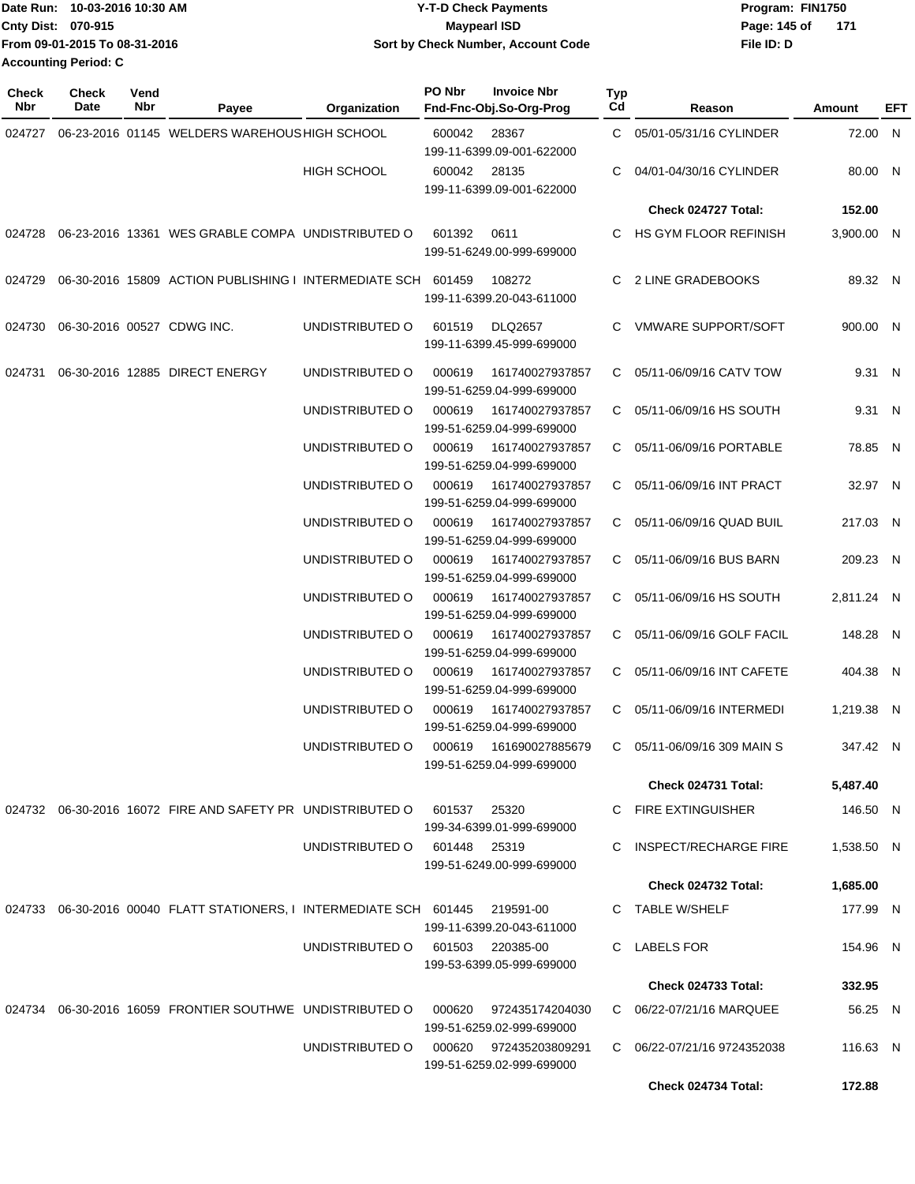| Date Run: 10-03-2016 10:30 AM |                               | <b>Y-T-D Check Payments</b>        | Program: FIN1750    |  |  |  |
|-------------------------------|-------------------------------|------------------------------------|---------------------|--|--|--|
| <b>Cnty Dist: 070-915</b>     |                               | <b>Mavpearl ISD</b>                | Page: 145 of<br>171 |  |  |  |
|                               | From 09-01-2015 To 08-31-2016 | Sort by Check Number, Account Code | File ID: D          |  |  |  |
| <b>Accounting Period: C</b>   |                               |                                    |                     |  |  |  |

| <b>Check</b><br>Nbr | <b>Check</b><br>Date | Vend<br>Nbr | Payee                                                                   | Organization       | PO Nbr                                       | <b>Invoice Nbr</b><br>Fnd-Fnc-Obj.So-Org-Prog       | Typ<br>Cd                   | Reason                      | Amount     | EFT |
|---------------------|----------------------|-------------|-------------------------------------------------------------------------|--------------------|----------------------------------------------|-----------------------------------------------------|-----------------------------|-----------------------------|------------|-----|
| 024727              |                      |             | 06-23-2016 01145 WELDERS WAREHOUS HIGH SCHOOL                           |                    | 600042                                       | 28367<br>199-11-6399.09-001-622000                  | C.                          | 05/01-05/31/16 CYLINDER     | 72.00 N    |     |
|                     |                      |             |                                                                         | <b>HIGH SCHOOL</b> | 600042                                       | 28135<br>199-11-6399.09-001-622000                  | C                           | 04/01-04/30/16 CYLINDER     | 80.00 N    |     |
|                     |                      |             |                                                                         |                    |                                              |                                                     | Check 024727 Total:         | 152.00                      |            |     |
| 024728              |                      |             | 06-23-2016 13361 WES GRABLE COMPA UNDISTRIBUTED O                       |                    | 601392                                       | 0611<br>199-51-6249.00-999-699000                   | C.                          | HS GYM FLOOR REFINISH       | 3,900.00 N |     |
| 024729              |                      |             | 06-30-2016 15809 ACTION PUBLISHING I INTERMEDIATE SCH 601459            |                    |                                              | 108272<br>199-11-6399.20-043-611000                 | C.                          | 2 LINE GRADEBOOKS           | 89.32 N    |     |
| 024730              |                      |             | 06-30-2016 00527 CDWG INC.                                              | UNDISTRIBUTED O    | 601519                                       | <b>DLQ2657</b><br>199-11-6399.45-999-699000         | C                           | <b>VMWARE SUPPORT/SOFT</b>  | 900.00 N   |     |
| 024731              |                      |             | 06-30-2016 12885 DIRECT ENERGY                                          | UNDISTRIBUTED O    | 000619                                       | 161740027937857<br>199-51-6259.04-999-699000        |                             | C 05/11-06/09/16 CATV TOW   | 9.31 N     |     |
|                     |                      |             |                                                                         | UNDISTRIBUTED O    | 000619                                       | 161740027937857<br>199-51-6259.04-999-699000        |                             | C 05/11-06/09/16 HS SOUTH   | 9.31 N     |     |
|                     |                      |             |                                                                         | UNDISTRIBUTED O    | 000619                                       | 161740027937857<br>199-51-6259.04-999-699000        |                             | C 05/11-06/09/16 PORTABLE   | 78.85 N    |     |
|                     |                      |             |                                                                         | UNDISTRIBUTED O    | 000619                                       | 161740027937857<br>199-51-6259.04-999-699000        | C.                          | 05/11-06/09/16 INT PRACT    | 32.97 N    |     |
|                     |                      |             |                                                                         | UNDISTRIBUTED O    | 000619                                       | 161740027937857<br>199-51-6259.04-999-699000        | C.                          | 05/11-06/09/16 QUAD BUIL    | 217.03 N   |     |
|                     |                      |             | UNDISTRIBUTED O                                                         | 000619             | 161740027937857<br>199-51-6259.04-999-699000 | C.                                                  | 05/11-06/09/16 BUS BARN     | 209.23 N                    |            |     |
|                     |                      |             |                                                                         | UNDISTRIBUTED O    | 000619                                       | 161740027937857<br>199-51-6259.04-999-699000        | C.                          | 05/11-06/09/16 HS SOUTH     | 2,811.24 N |     |
|                     |                      |             |                                                                         | UNDISTRIBUTED O    | 000619                                       | 161740027937857<br>199-51-6259.04-999-699000        | C.                          | 05/11-06/09/16 GOLF FACIL   | 148.28 N   |     |
|                     |                      |             | UNDISTRIBUTED O                                                         | 000619             | 161740027937857<br>199-51-6259.04-999-699000 |                                                     | C 05/11-06/09/16 INT CAFETE | 404.38 N                    |            |     |
|                     |                      |             | UNDISTRIBUTED O                                                         | 000619             | 161740027937857<br>199-51-6259.04-999-699000 | C.                                                  | 05/11-06/09/16 INTERMEDI    | 1,219.38 N                  |            |     |
|                     |                      |             |                                                                         | UNDISTRIBUTED O    | 000619                                       | 161690027885679<br>199-51-6259.04-999-699000        | C.                          | 05/11-06/09/16 309 MAIN S   | 347.42 N   |     |
|                     |                      |             |                                                                         |                    |                                              |                                                     |                             | <b>Check 024731 Total:</b>  | 5,487.40   |     |
|                     |                      |             | 024732 06-30-2016 16072 FIRE AND SAFETY PR UNDISTRIBUTED O              |                    | 601537                                       | 25320<br>199-34-6399.01-999-699000                  |                             | C FIRE EXTINGUISHER         | 146.50 N   |     |
|                     |                      |             |                                                                         | UNDISTRIBUTED O    | 601448 25319                                 | 199-51-6249.00-999-699000                           |                             | INSPECT/RECHARGE FIRE       | 1,538.50 N |     |
|                     |                      |             |                                                                         |                    |                                              |                                                     |                             | <b>Check 024732 Total:</b>  | 1,685.00   |     |
|                     |                      |             | 024733  06-30-2016  00040  FLATT STATIONERS, I INTERMEDIATE SCH  601445 |                    |                                              | 219591-00<br>199-11-6399.20-043-611000              |                             | C TABLE W/SHELF             | 177.99 N   |     |
|                     |                      |             |                                                                         | UNDISTRIBUTED O    |                                              | 601503 220385-00<br>199-53-6399.05-999-699000       |                             | C LABELS FOR                | 154.96 N   |     |
|                     |                      |             |                                                                         |                    |                                              |                                                     |                             | <b>Check 024733 Total:</b>  | 332.95     |     |
|                     |                      |             | 024734 06-30-2016 16059 FRONTIER SOUTHWE UNDISTRIBUTED O                |                    | 000620                                       | 972435174204030<br>199-51-6259.02-999-699000        |                             | C 06/22-07/21/16 MARQUEE    | 56.25 N    |     |
|                     |                      |             |                                                                         | UNDISTRIBUTED O    |                                              | 000620 972435203809291<br>199-51-6259.02-999-699000 |                             | C 06/22-07/21/16 9724352038 | 116.63 N   |     |
|                     |                      |             |                                                                         |                    |                                              |                                                     |                             | Check 024734 Total:         | 172.88     |     |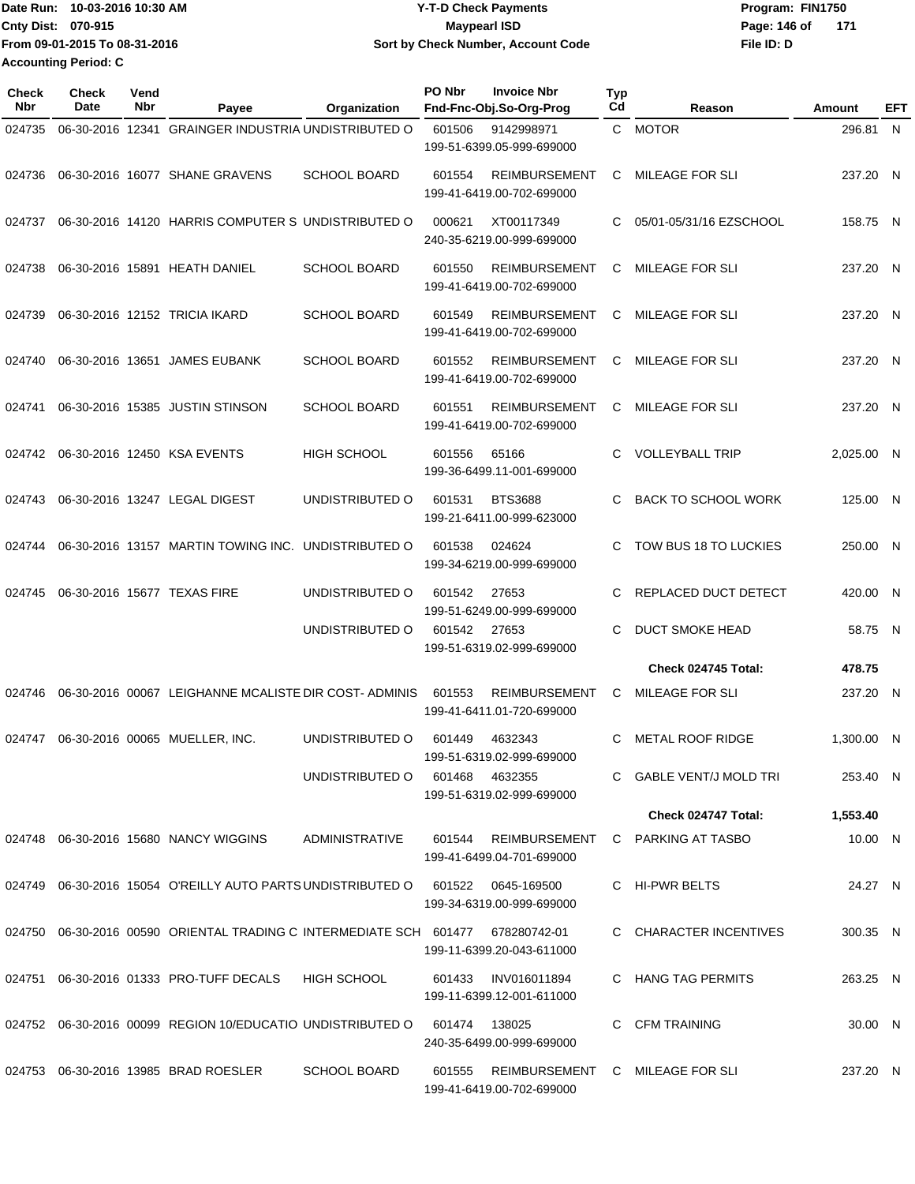| lDate Run: 10-03-2016 10:30 AM | <b>Y-T-D Check Payments</b>        | Program: FIN1750    |  |  |  |
|--------------------------------|------------------------------------|---------------------|--|--|--|
| Cnty Dist: 070-915             | <b>Mavpearl ISD</b>                | Page: 146 of<br>171 |  |  |  |
| From 09-01-2015 To 08-31-2016  | Sort by Check Number, Account Code | File ID: D          |  |  |  |
| <b>Accounting Period: C</b>    |                                    |                     |  |  |  |

| <b>Check</b><br><b>Nbr</b> | <b>Check</b><br>Date | Vend<br>Nbr | Payee                                                                                  | Organization        | PO Nbr        | <b>Invoice Nbr</b><br>Fnd-Fnc-Obj.So-Org-Prog                | <b>Typ</b><br>Cd | Reason                           | Amount     | EFT |
|----------------------------|----------------------|-------------|----------------------------------------------------------------------------------------|---------------------|---------------|--------------------------------------------------------------|------------------|----------------------------------|------------|-----|
| 024735                     | 06-30-2016 12341     |             | <b>GRAINGER INDUSTRIA UNDISTRIBUTED O</b>                                              |                     | 601506        | 9142998971<br>199-51-6399.05-999-699000                      |                  | C MOTOR                          | 296.81 N   |     |
| 024736                     |                      |             | 06-30-2016 16077 SHANE GRAVENS                                                         | <b>SCHOOL BOARD</b> | 601554        | <b>REIMBURSEMENT</b><br>199-41-6419.00-702-699000            | C                | <b>MILEAGE FOR SLI</b>           | 237.20 N   |     |
| 024737                     |                      |             | 06-30-2016 14120 HARRIS COMPUTER S UNDISTRIBUTED O                                     |                     | 000621        | XT00117349<br>240-35-6219.00-999-699000                      | C                | 05/01-05/31/16 EZSCHOOL          | 158.75 N   |     |
| 024738                     |                      |             | 06-30-2016 15891 HEATH DANIEL                                                          | <b>SCHOOL BOARD</b> | 601550        | <b>REIMBURSEMENT</b><br>199-41-6419.00-702-699000            | C                | <b>MILEAGE FOR SLI</b>           | 237.20 N   |     |
| 024739                     |                      |             | 06-30-2016 12152 TRICIA IKARD                                                          | <b>SCHOOL BOARD</b> | 601549        | <b>REIMBURSEMENT</b><br>199-41-6419.00-702-699000            | C                | MILEAGE FOR SLI                  | 237.20 N   |     |
| 024740                     |                      |             | 06-30-2016 13651 JAMES EUBANK                                                          | <b>SCHOOL BOARD</b> | 601552        | <b>REIMBURSEMENT</b><br>199-41-6419.00-702-699000            | C                | <b>MILEAGE FOR SLI</b>           | 237.20 N   |     |
| 024741                     |                      |             | 06-30-2016 15385 JUSTIN STINSON                                                        | <b>SCHOOL BOARD</b> | 601551        | <b>REIMBURSEMENT</b><br>199-41-6419.00-702-699000            | С                | <b>MILEAGE FOR SLI</b>           | 237.20 N   |     |
| 024742                     |                      |             | 06-30-2016 12450 KSA EVENTS                                                            | <b>HIGH SCHOOL</b>  | 601556        | 65166<br>199-36-6499.11-001-699000                           | C                | <b>VOLLEYBALL TRIP</b>           | 2,025.00 N |     |
| 024743                     |                      |             | 06-30-2016 13247 LEGAL DIGEST                                                          | UNDISTRIBUTED O     | 601531        | <b>BTS3688</b><br>199-21-6411.00-999-623000                  | C                | <b>BACK TO SCHOOL WORK</b>       | 125.00 N   |     |
| 024744                     |                      |             | 06-30-2016 13157 MARTIN TOWING INC. UNDISTRIBUTED O                                    |                     | 601538        | 024624<br>199-34-6219.00-999-699000                          | C                | TOW BUS 18 TO LUCKIES            | 250.00 N   |     |
| 024745                     |                      |             | 06-30-2016 15677 TEXAS FIRE                                                            | UNDISTRIBUTED O     | 601542        | 27653<br>199-51-6249.00-999-699000                           | C                | REPLACED DUCT DETECT             | 420.00 N   |     |
|                            |                      |             |                                                                                        | UNDISTRIBUTED O     | 601542        | 27653<br>199-51-6319.02-999-699000                           | C                | <b>DUCT SMOKE HEAD</b>           | 58.75 N    |     |
|                            |                      |             |                                                                                        |                     |               |                                                              |                  | Check 024745 Total:              | 478.75     |     |
| 024746                     |                      |             | 06-30-2016 00067 LEIGHANNE MCALISTE DIR COST-ADMINIS                                   |                     | 601553        | <b>REIMBURSEMENT</b><br>199-41-6411.01-720-699000            | C                | <b>MILEAGE FOR SLI</b>           | 237.20 N   |     |
| 024747                     |                      |             | 06-30-2016 00065 MUELLER, INC.                                                         | UNDISTRIBUTED O     | 601449        | 4632343<br>199-51-6319.02-999-699000                         | C                | <b>METAL ROOF RIDGE</b>          | 1,300.00 N |     |
|                            |                      |             |                                                                                        | UNDISTRIBUTED O     | 601468        | 4632355<br>199-51-6319.02-999-699000                         |                  | C GABLE VENT/J MOLD TRI          | 253.40 N   |     |
|                            |                      |             |                                                                                        |                     |               |                                                              |                  | Check 024747 Total:              | 1,553.40   |     |
|                            |                      |             | 024748 06-30-2016 15680 NANCY WIGGINS                                                  | ADMINISTRATIVE      | 601544        | 199-41-6499.04-701-699000                                    |                  | REIMBURSEMENT C PARKING AT TASBO | 10.00 N    |     |
|                            |                      |             | 024749  06-30-2016  15054  O'REILLY  AUTO PARTS UNDISTRIBUTED   0  601522  0645-169500 |                     |               | 199-34-6319.00-999-699000                                    |                  | C HI-PWR BELTS                   | 24.27 N    |     |
|                            |                      |             | 024750  06-30-2016  00590  ORIENTAL TRADING C INTERMEDIATE SCH  601477                 |                     |               | 678280742-01<br>199-11-6399.20-043-611000                    |                  | C CHARACTER INCENTIVES           | 300.35 N   |     |
|                            |                      |             | 024751 06-30-2016 01333 PRO-TUFF DECALS                                                | HIGH SCHOOL         |               | 601433 INV016011894<br>199-11-6399.12-001-611000             |                  | C HANG TAG PERMITS               | 263.25 N   |     |
|                            |                      |             | 024752 06-30-2016 00099 REGION 10/EDUCATIO UNDISTRIBUTED O                             |                     | 601474 138025 | 240-35-6499.00-999-699000                                    |                  | C CFM TRAINING                   | 30.00 N    |     |
|                            |                      |             | 024753 06-30-2016 13985 BRAD ROESLER                                                   | <b>SCHOOL BOARD</b> | 601555        | REIMBURSEMENT C MILEAGE FOR SLI<br>199-41-6419.00-702-699000 |                  |                                  | 237.20 N   |     |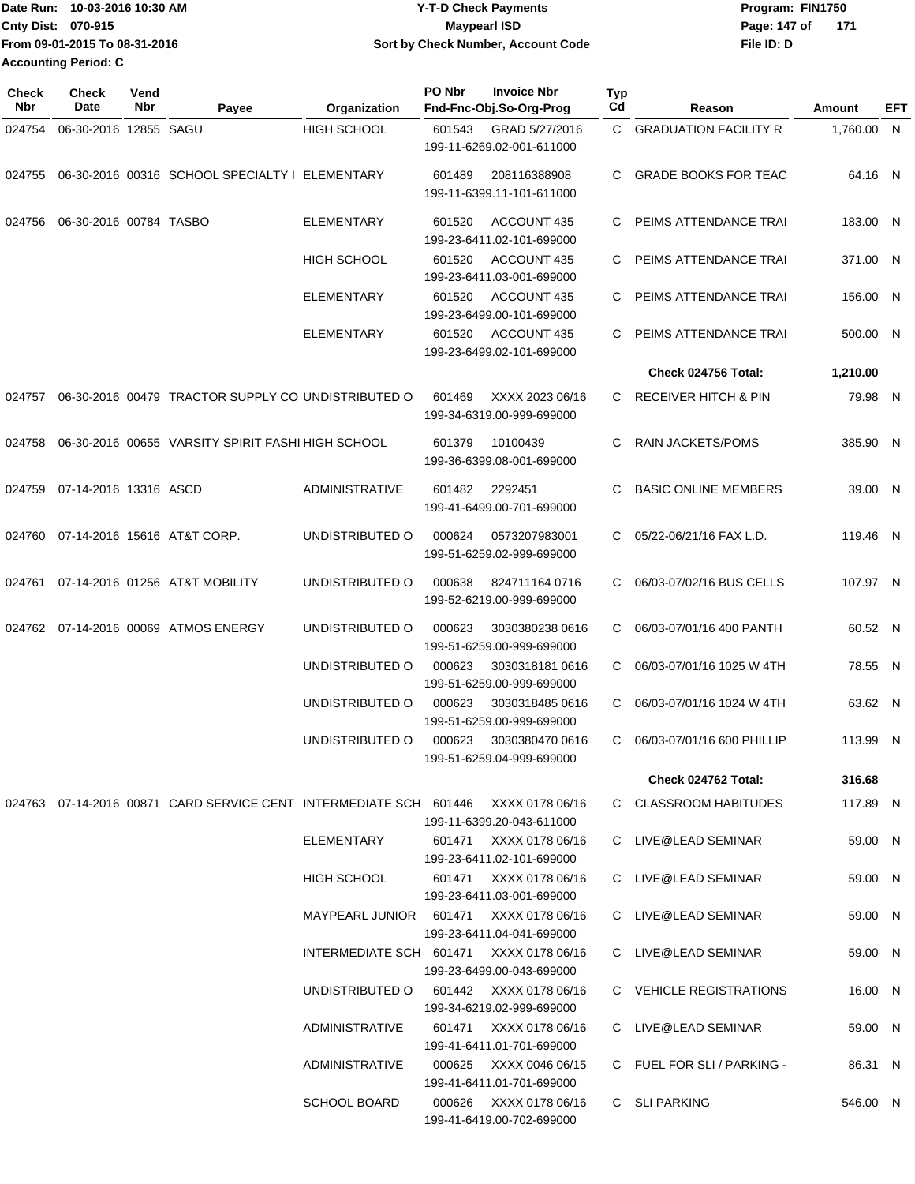| Date Run:<br>10-03-2016 10:30 AM | <b>Y-T-D Check Payments</b>        | Program: FIN1750    |  |  |
|----------------------------------|------------------------------------|---------------------|--|--|
| Cnty Dist: 070-915               | <b>Mavpearl ISD</b>                | 171<br>Page: 147 of |  |  |
| From 09-01-2015 To 08-31-2016    | Sort by Check Number, Account Code | File ID: D          |  |  |
| <b>Accounting Period: C</b>      |                                    |                     |  |  |

| <b>Check</b><br>Nbr | Check<br>Date          | Vend<br>Nbr | Payee                                                                             | Organization                            | PO Nbr | <b>Invoice Nbr</b><br>Fnd-Fnc-Obj.So-Org-Prog       | <b>Typ</b><br>Cd | Reason                          | Amount     | EFT |
|---------------------|------------------------|-------------|-----------------------------------------------------------------------------------|-----------------------------------------|--------|-----------------------------------------------------|------------------|---------------------------------|------------|-----|
| 024754              | 06-30-2016 12855 SAGU  |             |                                                                                   | <b>HIGH SCHOOL</b>                      | 601543 | GRAD 5/27/2016<br>199-11-6269.02-001-611000         | C.               | <b>GRADUATION FACILITY R</b>    | 1,760.00 N |     |
| 024755              |                        |             | 06-30-2016 00316 SCHOOL SPECIALTY I ELEMENTARY                                    |                                         | 601489 | 208116388908<br>199-11-6399.11-101-611000           | C                | <b>GRADE BOOKS FOR TEAC</b>     | 64.16 N    |     |
| 024756              | 06-30-2016 00784 TASBO |             |                                                                                   | <b>ELEMENTARY</b>                       | 601520 | ACCOUNT 435<br>199-23-6411.02-101-699000            | С                | PEIMS ATTENDANCE TRAI           | 183.00 N   |     |
|                     |                        |             |                                                                                   | <b>HIGH SCHOOL</b>                      | 601520 | ACCOUNT 435<br>199-23-6411.03-001-699000            |                  | PEIMS ATTENDANCE TRAI           | 371.00 N   |     |
|                     |                        |             |                                                                                   | <b>ELEMENTARY</b>                       | 601520 | ACCOUNT 435<br>199-23-6499.00-101-699000            |                  | PEIMS ATTENDANCE TRAI           | 156.00 N   |     |
|                     |                        |             |                                                                                   | <b>ELEMENTARY</b>                       | 601520 | ACCOUNT 435<br>199-23-6499.02-101-699000            | C                | PEIMS ATTENDANCE TRAI           | 500.00 N   |     |
|                     |                        |             |                                                                                   |                                         |        |                                                     |                  | Check 024756 Total:             | 1,210.00   |     |
| 024757              |                        |             | 06-30-2016 00479 TRACTOR SUPPLY CO UNDISTRIBUTED O                                |                                         | 601469 | XXXX 2023 06/16<br>199-34-6319.00-999-699000        | C.               | <b>RECEIVER HITCH &amp; PIN</b> | 79.98 N    |     |
| 024758              |                        |             | 06-30-2016 00655 VARSITY SPIRIT FASHI HIGH SCHOOL                                 |                                         | 601379 | 10100439<br>199-36-6399.08-001-699000               | С                | <b>RAIN JACKETS/POMS</b>        | 385.90 N   |     |
| 024759              | 07-14-2016 13316 ASCD  |             |                                                                                   | <b>ADMINISTRATIVE</b>                   | 601482 | 2292451<br>199-41-6499.00-701-699000                | С                | <b>BASIC ONLINE MEMBERS</b>     | 39.00 N    |     |
| 024760              |                        |             | 07-14-2016 15616 AT&T CORP.                                                       | UNDISTRIBUTED O                         | 000624 | 0573207983001<br>199-51-6259.02-999-699000          | C.               | 05/22-06/21/16 FAX L.D.         | 119.46 N   |     |
|                     |                        |             | 024761 07-14-2016 01256 AT&T MOBILITY                                             | UNDISTRIBUTED O                         | 000638 | 824711164 0716<br>199-52-6219.00-999-699000         |                  | 06/03-07/02/16 BUS CELLS        | 107.97 N   |     |
|                     |                        |             | 024762 07-14-2016 00069 ATMOS ENERGY                                              | UNDISTRIBUTED O                         | 000623 | 3030380238 0616<br>199-51-6259.00-999-699000        | C.               | 06/03-07/01/16 400 PANTH        | 60.52 N    |     |
|                     |                        |             |                                                                                   | UNDISTRIBUTED O                         | 000623 | 30303181810616<br>199-51-6259.00-999-699000         | C.               | 06/03-07/01/16 1025 W 4TH       | 78.55 N    |     |
|                     |                        |             |                                                                                   | UNDISTRIBUTED O                         | 000623 | 3030318485 0616<br>199-51-6259.00-999-699000        | C.               | 06/03-07/01/16 1024 W 4TH       | 63.62 N    |     |
|                     |                        |             |                                                                                   | UNDISTRIBUTED O                         | 000623 | 3030380470 0616<br>199-51-6259.04-999-699000        | C.               | 06/03-07/01/16 600 PHILLIP      | 113.99 N   |     |
|                     |                        |             |                                                                                   |                                         |        |                                                     |                  | Check 024762 Total:             | 316.68     |     |
|                     |                        |             | 024763 07-14-2016 00871 CARD SERVICE CENT INTERMEDIATE SCH 601446 XXXX 0178 06/16 |                                         |        | 199-11-6399.20-043-611000                           |                  | C CLASSROOM HABITUDES           | 117.89 N   |     |
|                     |                        |             |                                                                                   | ELEMENTARY                              |        | 601471 XXXX 0178 06/16<br>199-23-6411.02-101-699000 |                  | C LIVE@LEAD SEMINAR             | 59.00 N    |     |
|                     |                        |             |                                                                                   | HIGH SCHOOL                             |        | 601471 XXXX 0178 06/16<br>199-23-6411.03-001-699000 |                  | C LIVE@LEAD SEMINAR             | 59.00 N    |     |
|                     |                        |             |                                                                                   | MAYPEARL JUNIOR 601471 XXXX 0178 06/16  |        | 199-23-6411.04-041-699000                           |                  | C LIVE@LEAD SEMINAR             | 59.00 N    |     |
|                     |                        |             |                                                                                   | INTERMEDIATE SCH 601471 XXXX 0178 06/16 |        | 199-23-6499.00-043-699000                           |                  | C LIVE@LEAD SEMINAR             | 59.00 N    |     |
|                     |                        |             |                                                                                   | UNDISTRIBUTED O 601442 XXXX 0178 06/16  |        | 199-34-6219.02-999-699000                           |                  | C VEHICLE REGISTRATIONS         | 16.00 N    |     |
|                     |                        |             |                                                                                   | ADMINISTRATIVE                          |        | 601471 XXXX 0178 06/16<br>199-41-6411.01-701-699000 |                  | C LIVE@LEAD SEMINAR             | 59.00 N    |     |
|                     |                        |             |                                                                                   | ADMINISTRATIVE                          |        | 000625 XXXX 0046 06/15<br>199-41-6411.01-701-699000 |                  | C FUEL FOR SLI / PARKING -      | 86.31 N    |     |
|                     |                        |             |                                                                                   | <b>SCHOOL BOARD</b>                     | 000626 | XXXX 0178 06/16<br>199-41-6419.00-702-699000        |                  | C SLI PARKING                   | 546.00 N   |     |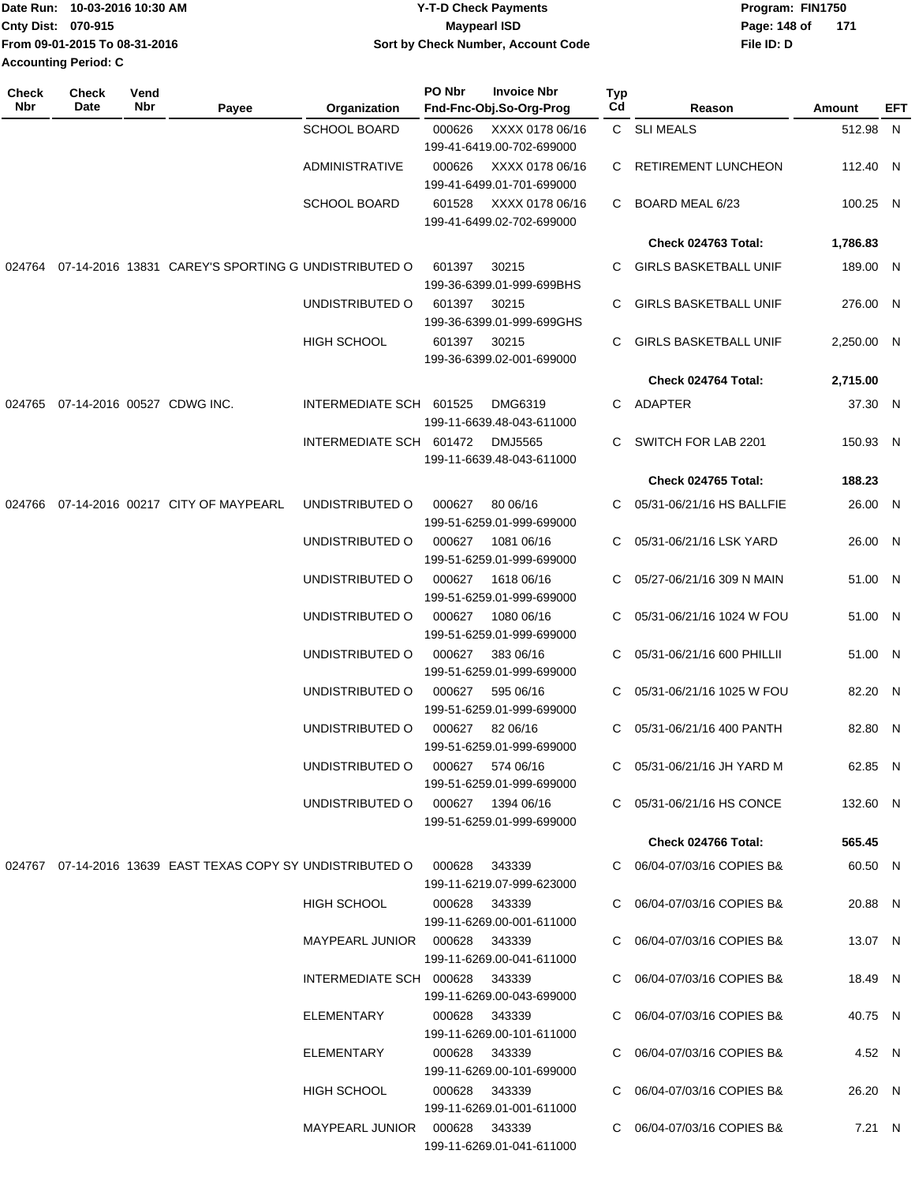| 10-03-2016 10:30 AM<br>Date Run: | <b>Y-T-D Check Payments</b>        | Program: FIN1750      |  |  |  |
|----------------------------------|------------------------------------|-----------------------|--|--|--|
| <b>Cnty Dist: 070-915</b>        | <b>Maypearl ISD</b>                | Page: 148 of<br>- 171 |  |  |  |
| From 09-01-2015 To 08-31-2016    | Sort by Check Number, Account Code | File ID: D            |  |  |  |
| <b>Accounting Period: C</b>      |                                    |                       |  |  |  |

| Check<br>Nbr | <b>Check</b><br>Vend<br>Nbr<br>Date | Payee                                                                         | Organization                         | PO Nbr | <b>Invoice Nbr</b><br>Fnd-Fnc-Obj.So-Org-Prog | Typ<br>Cd | Reason                       | <b>Amount</b> | EFT |
|--------------|-------------------------------------|-------------------------------------------------------------------------------|--------------------------------------|--------|-----------------------------------------------|-----------|------------------------------|---------------|-----|
|              |                                     |                                                                               | <b>SCHOOL BOARD</b>                  | 000626 | XXXX 0178 06/16                               |           | C SLIMEALS                   | 512.98 N      |     |
|              |                                     |                                                                               |                                      |        | 199-41-6419.00-702-699000                     |           |                              |               |     |
|              |                                     |                                                                               | <b>ADMINISTRATIVE</b>                | 000626 | XXXX 0178 06/16<br>199-41-6499.01-701-699000  | C         | RETIREMENT LUNCHEON          | 112.40 N      |     |
|              |                                     |                                                                               | <b>SCHOOL BOARD</b>                  | 601528 | XXXX 0178 06/16<br>199-41-6499.02-702-699000  | C         | BOARD MEAL 6/23              | 100.25 N      |     |
|              |                                     |                                                                               |                                      |        |                                               |           | Check 024763 Total:          | 1,786.83      |     |
|              |                                     | 024764 07-14-2016 13831 CAREY'S SPORTING G UNDISTRIBUTED O                    |                                      | 601397 | 30215                                         | C         | <b>GIRLS BASKETBALL UNIF</b> | 189.00 N      |     |
|              |                                     |                                                                               |                                      |        | 199-36-6399.01-999-699BHS                     |           |                              |               |     |
|              |                                     |                                                                               | UNDISTRIBUTED O                      | 601397 | 30215<br>199-36-6399.01-999-699GHS            | C         | <b>GIRLS BASKETBALL UNIF</b> | 276.00 N      |     |
|              |                                     |                                                                               | <b>HIGH SCHOOL</b>                   | 601397 | 30215<br>199-36-6399.02-001-699000            | C         | <b>GIRLS BASKETBALL UNIF</b> | 2,250.00 N    |     |
|              |                                     |                                                                               |                                      |        |                                               |           | Check 024764 Total:          | 2,715.00      |     |
|              | 024765 07-14-2016 00527 CDWG INC.   |                                                                               | INTERMEDIATE SCH 601525              |        | <b>DMG6319</b>                                | C         | ADAPTER                      | 37.30 N       |     |
|              |                                     |                                                                               |                                      |        | 199-11-6639.48-043-611000                     |           |                              |               |     |
|              |                                     |                                                                               | INTERMEDIATE SCH 601472              |        | <b>DMJ5565</b><br>199-11-6639.48-043-611000   | C         | SWITCH FOR LAB 2201          | 150.93 N      |     |
|              |                                     |                                                                               |                                      |        |                                               |           | Check 024765 Total:          | 188.23        |     |
| 024766       |                                     | 07-14-2016 00217 CITY OF MAYPEARL                                             | UNDISTRIBUTED O                      | 000627 | 80 06/16<br>199-51-6259.01-999-699000         | C         | 05/31-06/21/16 HS BALLFIE    | 26.00 N       |     |
|              |                                     |                                                                               | UNDISTRIBUTED O                      | 000627 | 1081 06/16<br>199-51-6259.01-999-699000       | C         | 05/31-06/21/16 LSK YARD      | 26.00 N       |     |
|              |                                     |                                                                               | UNDISTRIBUTED O                      | 000627 | 1618 06/16<br>199-51-6259.01-999-699000       | C         | 05/27-06/21/16 309 N MAIN    | 51.00 N       |     |
|              |                                     |                                                                               | UNDISTRIBUTED O                      | 000627 | 1080 06/16<br>199-51-6259.01-999-699000       | C         | 05/31-06/21/16 1024 W FOU    | 51.00 N       |     |
|              |                                     |                                                                               | UNDISTRIBUTED O                      | 000627 | 383 06/16<br>199-51-6259.01-999-699000        | C         | 05/31-06/21/16 600 PHILLII   | 51.00 N       |     |
|              |                                     |                                                                               | UNDISTRIBUTED O                      | 000627 | 595 06/16<br>199-51-6259.01-999-699000        | C.        | 05/31-06/21/16 1025 W FOU    | 82.20 N       |     |
|              |                                     |                                                                               | UNDISTRIBUTED O                      | 000627 | 82 06/16<br>199-51-6259.01-999-699000         | C.        | 05/31-06/21/16 400 PANTH     | 82.80 N       |     |
|              |                                     |                                                                               | UNDISTRIBUTED O 000627 574 06/16     |        | 199-51-6259.01-999-699000                     |           | C 05/31-06/21/16 JH YARD M   | 62.85 N       |     |
|              |                                     |                                                                               | UNDISTRIBUTED O   000627  1394 06/16 |        | 199-51-6259.01-999-699000                     |           | C 05/31-06/21/16 HS CONCE    | 132.60 N      |     |
|              |                                     |                                                                               |                                      |        |                                               |           | Check 024766 Total:          | 565.45        |     |
|              |                                     | 024767  07-14-2016  13639  EAST TEXAS COPY SY UNDISTRIBUTED O  000628  343339 |                                      |        | 199-11-6219.07-999-623000                     |           | C 06/04-07/03/16 COPIES B&   | 60.50 N       |     |
|              |                                     |                                                                               | <b>HIGH SCHOOL</b>                   |        | 000628 343339<br>199-11-6269.00-001-611000    |           | C 06/04-07/03/16 COPIES B&   | 20.88 N       |     |
|              |                                     |                                                                               | MAYPEARL JUNIOR  000628  343339      |        | 199-11-6269.00-041-611000                     |           | C 06/04-07/03/16 COPIES B&   | 13.07 N       |     |
|              |                                     |                                                                               | INTERMEDIATE SCH 000628 343339       |        |                                               |           | C 06/04-07/03/16 COPIES B&   | 18.49 N       |     |
|              |                                     |                                                                               |                                      |        | 199-11-6269.00-043-699000                     |           |                              |               |     |
|              |                                     |                                                                               | ELEMENTARY                           |        | 000628 343339<br>199-11-6269.00-101-611000    |           | C 06/04-07/03/16 COPIES B&   | 40.75 N       |     |
|              |                                     |                                                                               | ELEMENTARY                           |        | 000628 343339<br>199-11-6269.00-101-699000    |           | C 06/04-07/03/16 COPIES B&   | 4.52 N        |     |
|              |                                     |                                                                               | HIGH SCHOOL                          |        | 000628 343339<br>199-11-6269.01-001-611000    |           | C 06/04-07/03/16 COPIES B&   | 26.20 N       |     |
|              |                                     |                                                                               | MAYPEARL JUNIOR  000628  343339      |        | 199-11-6269.01-041-611000                     |           | C 06/04-07/03/16 COPIES B&   | 7.21 N        |     |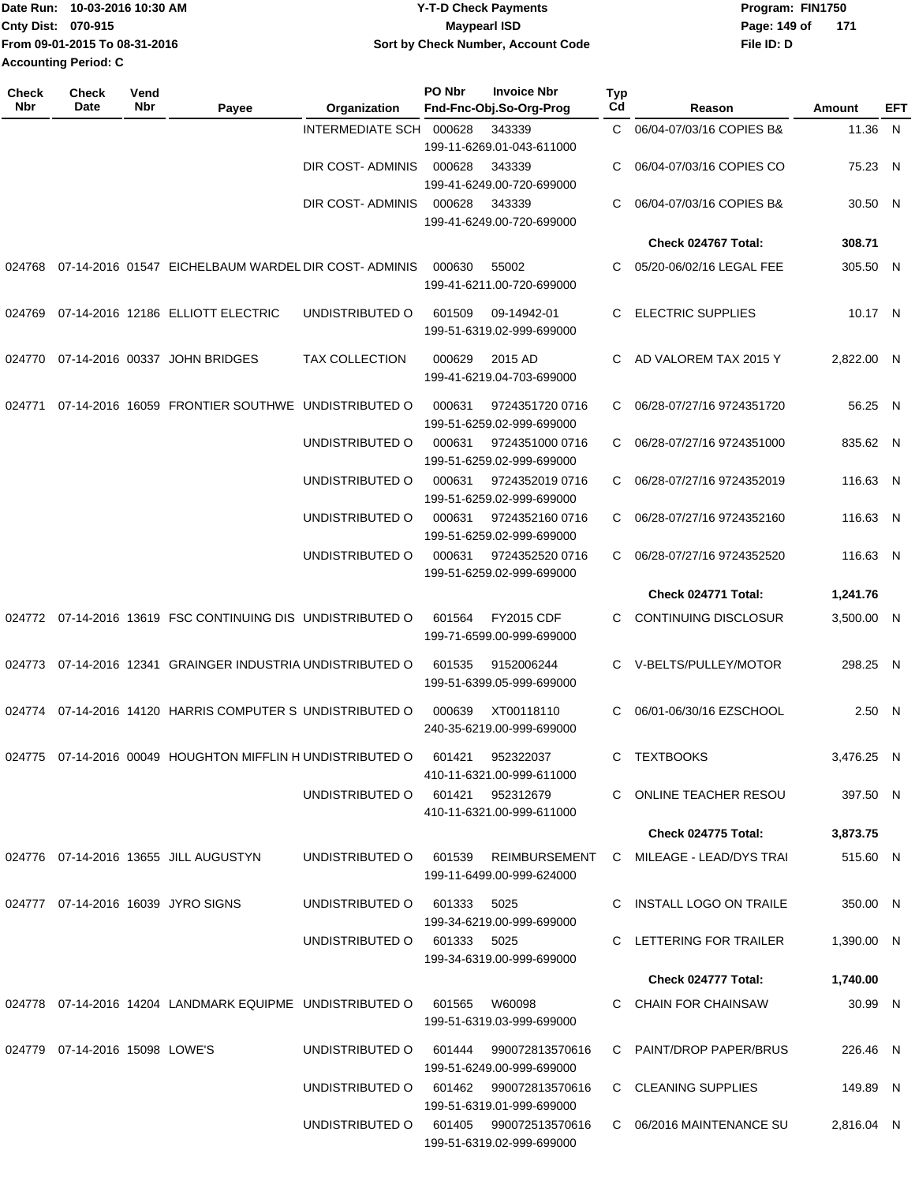| 10-03-2016 10:30 AM<br><b>Date Run:</b> | <b>Y-T-D Check Payments</b>        | Program: FIN1750    |  |  |  |
|-----------------------------------------|------------------------------------|---------------------|--|--|--|
| <b>Cnty Dist: 070-915</b>               | <b>Maypearl ISD</b>                | 171<br>Page: 149 of |  |  |  |
| From 09-01-2015 To 08-31-2016           | Sort by Check Number, Account Code | File ID: D          |  |  |  |
| <b>Accounting Period: C</b>             |                                    |                     |  |  |  |

| <b>Check</b><br>Nbr | Check<br>Date                  | Vend<br>Nbr | Payee                                                                  | Organization                           | PO Nbr | <b>Invoice Nbr</b><br>Fnd-Fnc-Obj.So-Org-Prog  | <b>Typ</b><br>Cd | Reason                                                         | Amount     | EFT |
|---------------------|--------------------------------|-------------|------------------------------------------------------------------------|----------------------------------------|--------|------------------------------------------------|------------------|----------------------------------------------------------------|------------|-----|
|                     |                                |             |                                                                        | INTERMEDIATE SCH 000628                |        | 343339                                         | C.               | 06/04-07/03/16 COPIES B&                                       | 11.36 N    |     |
|                     |                                |             |                                                                        |                                        |        | 199-11-6269.01-043-611000                      |                  |                                                                |            |     |
|                     |                                |             |                                                                        | DIR COST- ADMINIS                      | 000628 | 343339                                         | С                | 06/04-07/03/16 COPIES CO                                       | 75.23 N    |     |
|                     |                                |             |                                                                        |                                        |        | 199-41-6249.00-720-699000                      |                  |                                                                |            |     |
|                     |                                |             |                                                                        | DIR COST- ADMINIS                      | 000628 | 343339<br>199-41-6249.00-720-699000            | C                | 06/04-07/03/16 COPIES B&                                       | 30.50 N    |     |
|                     |                                |             |                                                                        |                                        |        |                                                |                  | Check 024767 Total:                                            | 308.71     |     |
| 024768              |                                |             | 07-14-2016 01547 EICHELBAUM WARDEL DIR COST-ADMINIS                    |                                        | 000630 | 55002<br>199-41-6211.00-720-699000             | C                | 05/20-06/02/16 LEGAL FEE                                       | 305.50 N   |     |
| 024769              |                                |             | 07-14-2016 12186 ELLIOTT ELECTRIC                                      | UNDISTRIBUTED O                        | 601509 | 09-14942-01<br>199-51-6319.02-999-699000       | C                | <b>ELECTRIC SUPPLIES</b>                                       | 10.17 N    |     |
| 024770              |                                |             | 07-14-2016 00337 JOHN BRIDGES                                          | <b>TAX COLLECTION</b>                  | 000629 | 2015 AD<br>199-41-6219.04-703-699000           | C                | AD VALOREM TAX 2015 Y                                          | 2,822.00 N |     |
| 024771              |                                |             | 07-14-2016 16059 FRONTIER SOUTHWE UNDISTRIBUTED O                      |                                        | 000631 | 9724351720 0716<br>199-51-6259.02-999-699000   | C.               | 06/28-07/27/16 9724351720                                      | 56.25 N    |     |
|                     |                                |             |                                                                        | UNDISTRIBUTED O                        | 000631 | 9724351000 0716<br>199-51-6259.02-999-699000   | C.               | 06/28-07/27/16 9724351000                                      | 835.62 N   |     |
|                     |                                |             |                                                                        | UNDISTRIBUTED O                        | 000631 | 9724352019 0716<br>199-51-6259.02-999-699000   | C                | 06/28-07/27/16 9724352019                                      | 116.63 N   |     |
|                     |                                |             |                                                                        | UNDISTRIBUTED O                        | 000631 | 9724352160 0716<br>199-51-6259.02-999-699000   | C                | 06/28-07/27/16 9724352160                                      | 116.63 N   |     |
|                     |                                |             |                                                                        | UNDISTRIBUTED O                        | 000631 | 9724352520 0716<br>199-51-6259.02-999-699000   | C.               | 06/28-07/27/16 9724352520                                      | 116.63 N   |     |
|                     |                                |             |                                                                        |                                        |        |                                                |                  | Check 024771 Total:                                            | 1,241.76   |     |
| 024772              |                                |             | 07-14-2016 13619 FSC CONTINUING DIS UNDISTRIBUTED O                    |                                        | 601564 | <b>FY2015 CDF</b><br>199-71-6599.00-999-699000 | C.               | CONTINUING DISCLOSUR                                           | 3,500.00 N |     |
|                     |                                |             | 024773 07-14-2016 12341 GRAINGER INDUSTRIA UNDISTRIBUTED O             |                                        | 601535 | 9152006244<br>199-51-6399.05-999-699000        | C                | V-BELTS/PULLEY/MOTOR                                           | 298.25 N   |     |
| 024774              |                                |             | 07-14-2016 14120 HARRIS COMPUTER S UNDISTRIBUTED O                     |                                        | 000639 | XT00118110<br>240-35-6219.00-999-699000        | C                | 06/01-06/30/16 EZSCHOOL                                        | 2.50 N     |     |
|                     |                                |             | 024775 07-14-2016 00049 HOUGHTON MIFFLIN H UNDISTRIBUTED O 601421      |                                        |        | 952322037<br>410-11-6321.00-999-611000         |                  | C TEXTBOOKS                                                    | 3,476.25 N |     |
|                     |                                |             |                                                                        | UNDISTRIBUTED O 601421 952312679       |        | 410-11-6321.00-999-611000                      |                  | C ONLINE TEACHER RESOU                                         | 397.50 N   |     |
|                     |                                |             |                                                                        |                                        |        |                                                |                  | Check 024775 Total:                                            | 3,873.75   |     |
|                     |                                |             | 024776  07-14-2016  13655  JILL AUGUSTYN                               |                                        |        | 199-11-6499.00-999-624000                      |                  | UNDISTRIBUTED O 601539 REIMBURSEMENT C MILEAGE - LEAD/DYS TRAI | 515.60 N   |     |
|                     |                                |             | 024777 07-14-2016 16039 JYRO SIGNS                                     | UNDISTRIBUTED O 601333                 |        | 5025<br>199-34-6219.00-999-699000              |                  | C INSTALL LOGO ON TRAILE                                       | 350.00 N   |     |
|                     |                                |             |                                                                        | UNDISTRIBUTED 0 601333 5025            |        | 199-34-6319.00-999-699000                      |                  | C LETTERING FOR TRAILER                                        | 1,390.00 N |     |
|                     |                                |             |                                                                        |                                        |        |                                                |                  | Check 024777 Total:                                            | 1,740.00   |     |
|                     |                                |             | 024778 07-14-2016 14204 LANDMARK EQUIPME UNDISTRIBUTED O 601565 W60098 |                                        |        | 199-51-6319.03-999-699000                      |                  | C CHAIN FOR CHAINSAW                                           | 30.99 N    |     |
|                     | 024779 07-14-2016 15098 LOWE'S |             |                                                                        | UNDISTRIBUTED O 601444 990072813570616 |        | 199-51-6249.00-999-699000                      |                  | C PAINT/DROP PAPER/BRUS                                        | 226.46 N   |     |
|                     |                                |             |                                                                        | UNDISTRIBUTED O 601462 990072813570616 |        | 199-51-6319.01-999-699000                      |                  | C CLEANING SUPPLIES                                            | 149.89 N   |     |
|                     |                                |             |                                                                        | UNDISTRIBUTED O 601405 990072513570616 |        | 199-51-6319.02-999-699000                      |                  | C 06/2016 MAINTENANCE SU                                       | 2,816.04 N |     |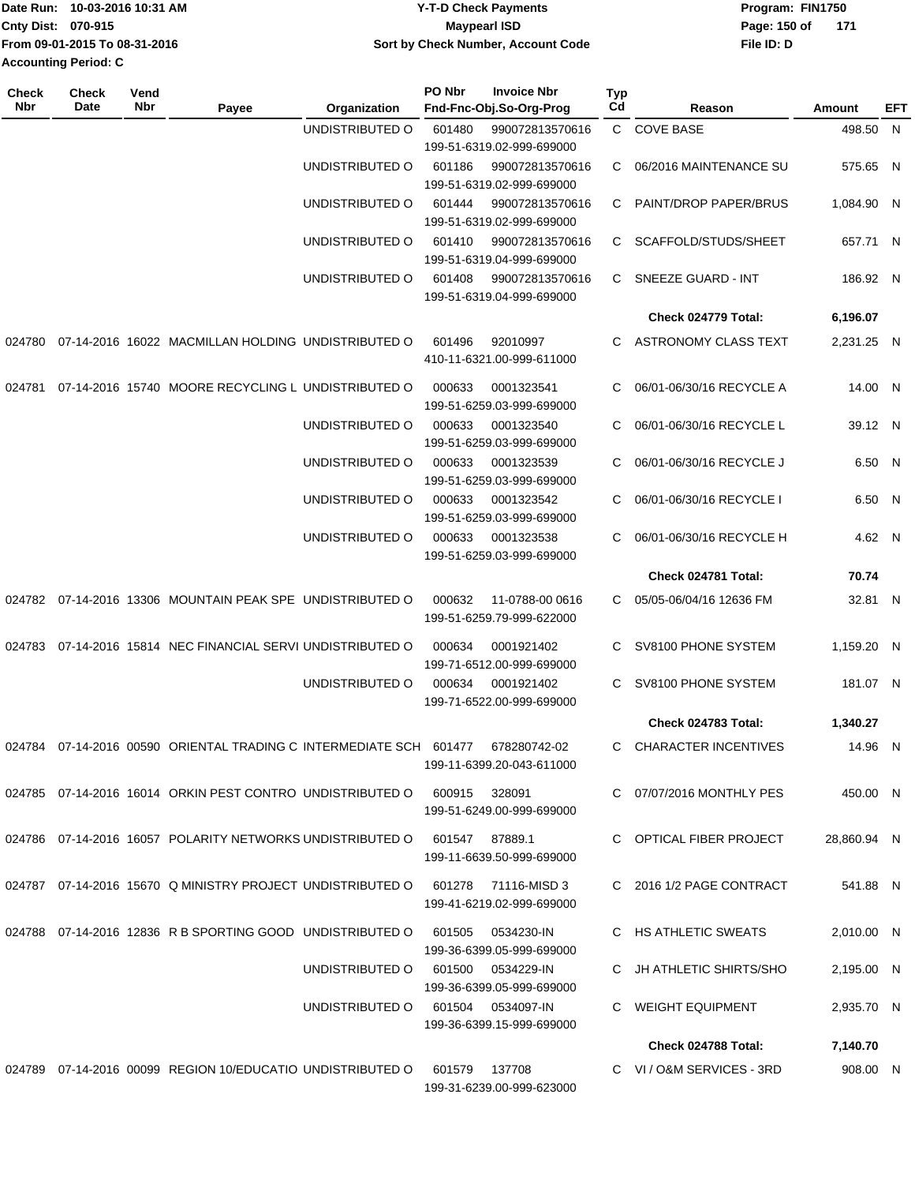|                           | Date Run: 10-03-2016 10:31 AM | Y-T-D Check Payments               | Program: FIN1750 |     |  |  |
|---------------------------|-------------------------------|------------------------------------|------------------|-----|--|--|
| <b>Cnty Dist: 070-915</b> |                               | Maypearl ISD                       | Page: 150 of     | 171 |  |  |
|                           | From 09-01-2015 To 08-31-2016 | Sort by Check Number, Account Code | File ID: D       |     |  |  |
| Accounting Period: C      |                               |                                    |                  |     |  |  |

| <b>Check</b><br><b>Nbr</b> | <b>Check</b><br>Date | Vend<br>Nbr | Payee                                                              | Organization    | PO Nbr | <b>Invoice Nbr</b><br>Fnd-Fnc-Obj.So-Org-Prog | Typ<br>Cd | Reason                      | Amount      | EFT |
|----------------------------|----------------------|-------------|--------------------------------------------------------------------|-----------------|--------|-----------------------------------------------|-----------|-----------------------------|-------------|-----|
|                            |                      |             |                                                                    | UNDISTRIBUTED O | 601480 | 990072813570616                               |           | C COVE BASE                 | 498.50 N    |     |
|                            |                      |             |                                                                    |                 |        | 199-51-6319.02-999-699000                     |           |                             |             |     |
|                            |                      |             |                                                                    | UNDISTRIBUTED O | 601186 | 990072813570616                               | C.        | 06/2016 MAINTENANCE SU      | 575.65 N    |     |
|                            |                      |             |                                                                    |                 |        | 199-51-6319.02-999-699000                     |           |                             |             |     |
|                            |                      |             |                                                                    | UNDISTRIBUTED O | 601444 | 990072813570616<br>199-51-6319.02-999-699000  | C         | PAINT/DROP PAPER/BRUS       | 1,084.90 N  |     |
|                            |                      |             |                                                                    | UNDISTRIBUTED O | 601410 | 990072813570616                               | C.        | SCAFFOLD/STUDS/SHEET        | 657.71 N    |     |
|                            |                      |             |                                                                    |                 |        | 199-51-6319.04-999-699000                     |           |                             |             |     |
|                            |                      |             |                                                                    | UNDISTRIBUTED O | 601408 | 990072813570616                               | C.        | SNEEZE GUARD - INT          | 186.92 N    |     |
|                            |                      |             |                                                                    |                 |        | 199-51-6319.04-999-699000                     |           |                             |             |     |
|                            |                      |             |                                                                    |                 |        |                                               |           | Check 024779 Total:         | 6,196.07    |     |
| 024780                     |                      |             | 07-14-2016 16022 MACMILLAN HOLDING UNDISTRIBUTED O                 |                 | 601496 | 92010997                                      | C.        | ASTRONOMY CLASS TEXT        | 2,231.25 N  |     |
|                            |                      |             |                                                                    |                 |        | 410-11-6321.00-999-611000                     |           |                             |             |     |
|                            |                      |             |                                                                    |                 |        |                                               |           |                             |             |     |
| 024781                     |                      |             | 07-14-2016 15740 MOORE RECYCLING L UNDISTRIBUTED O                 |                 | 000633 | 0001323541<br>199-51-6259.03-999-699000       | C         | 06/01-06/30/16 RECYCLE A    | 14.00 N     |     |
|                            |                      |             |                                                                    | UNDISTRIBUTED O | 000633 | 0001323540                                    | C         | 06/01-06/30/16 RECYCLE L    | 39.12 N     |     |
|                            |                      |             |                                                                    |                 |        | 199-51-6259.03-999-699000                     |           |                             |             |     |
|                            |                      |             |                                                                    | UNDISTRIBUTED O | 000633 | 0001323539                                    | C         | 06/01-06/30/16 RECYCLE J    | 6.50 N      |     |
|                            |                      |             |                                                                    |                 |        | 199-51-6259.03-999-699000                     |           |                             |             |     |
|                            |                      |             |                                                                    | UNDISTRIBUTED O | 000633 | 0001323542                                    | C         | 06/01-06/30/16 RECYCLE I    | 6.50 N      |     |
|                            |                      |             |                                                                    |                 |        | 199-51-6259.03-999-699000                     |           |                             |             |     |
|                            |                      |             |                                                                    | UNDISTRIBUTED O | 000633 | 0001323538                                    | C.        | 06/01-06/30/16 RECYCLE H    | 4.62 N      |     |
|                            |                      |             |                                                                    |                 |        | 199-51-6259.03-999-699000                     |           |                             |             |     |
|                            |                      |             |                                                                    |                 |        |                                               |           | Check 024781 Total:         | 70.74       |     |
| 024782                     |                      |             | 07-14-2016 13306 MOUNTAIN PEAK SPE UNDISTRIBUTED O                 |                 | 000632 | 11-0788-00 0616                               | C.        | 05/05-06/04/16 12636 FM     | 32.81 N     |     |
|                            |                      |             |                                                                    |                 |        | 199-51-6259.79-999-622000                     |           |                             |             |     |
| 024783                     |                      |             | 07-14-2016 15814 NEC FINANCIAL SERVI UNDISTRIBUTED O               |                 | 000634 | 0001921402                                    | C.        | SV8100 PHONE SYSTEM         | 1,159.20 N  |     |
|                            |                      |             |                                                                    |                 |        | 199-71-6512.00-999-699000                     |           |                             |             |     |
|                            |                      |             |                                                                    | UNDISTRIBUTED O | 000634 | 0001921402                                    | C         | SV8100 PHONE SYSTEM         | 181.07 N    |     |
|                            |                      |             |                                                                    |                 |        | 199-71-6522.00-999-699000                     |           |                             |             |     |
|                            |                      |             |                                                                    |                 |        |                                               |           | Check 024783 Total:         | 1,340.27    |     |
|                            |                      |             | 024784 07-14-2016 00590 ORIENTAL TRADING C INTERMEDIATE SCH 601477 |                 |        | 678280742-02                                  | C         | <b>CHARACTER INCENTIVES</b> | 14.96 N     |     |
|                            |                      |             |                                                                    |                 |        | 199-11-6399.20-043-611000                     |           |                             |             |     |
|                            |                      |             | 024785 07-14-2016 16014 ORKIN PEST CONTRO UNDISTRIBUTED O          |                 |        | 600915 328091                                 |           | C 07/07/2016 MONTHLY PES    | 450.00 N    |     |
|                            |                      |             |                                                                    |                 |        | 199-51-6249.00-999-699000                     |           |                             |             |     |
|                            |                      |             |                                                                    |                 |        |                                               |           |                             |             |     |
|                            |                      |             | 024786 07-14-2016 16057 POLARITY NETWORKS UNDISTRIBUTED O          |                 |        | 601547 87889.1                                |           | C OPTICAL FIBER PROJECT     | 28,860.94 N |     |
|                            |                      |             |                                                                    |                 |        | 199-11-6639.50-999-699000                     |           |                             |             |     |
|                            |                      |             | 024787 07-14-2016 15670 Q MINISTRY PROJECT UNDISTRIBUTED O         |                 |        | 601278 71116-MISD 3                           |           | C 2016 1/2 PAGE CONTRACT    | 541.88 N    |     |
|                            |                      |             |                                                                    |                 |        | 199-41-6219.02-999-699000                     |           |                             |             |     |
|                            |                      |             | 024788 07-14-2016 12836 R B SPORTING GOOD UNDISTRIBUTED O          |                 | 601505 | 0534230-IN                                    |           | C HS ATHLETIC SWEATS        | 2,010.00 N  |     |
|                            |                      |             |                                                                    |                 |        | 199-36-6399.05-999-699000                     |           |                             |             |     |
|                            |                      |             |                                                                    | UNDISTRIBUTED O | 601500 | 0534229-IN                                    |           | JH ATHLETIC SHIRTS/SHO      | 2,195.00 N  |     |
|                            |                      |             |                                                                    |                 |        | 199-36-6399.05-999-699000                     |           |                             |             |     |
|                            |                      |             |                                                                    | UNDISTRIBUTED O |        | 601504 0534097-IN                             | C         | WEIGHT EQUIPMENT            | 2,935.70 N  |     |
|                            |                      |             |                                                                    |                 |        | 199-36-6399.15-999-699000                     |           |                             |             |     |
|                            |                      |             |                                                                    |                 |        |                                               |           | Check 024788 Total:         | 7,140.70    |     |
|                            |                      |             | 024789 07-14-2016 00099 REGION 10/EDUCATIO UNDISTRIBUTED O         |                 | 601579 | 137708                                        |           | C VI / O&M SERVICES - 3RD   | 908.00 N    |     |
|                            |                      |             |                                                                    |                 |        | 199-31-6239.00-999-623000                     |           |                             |             |     |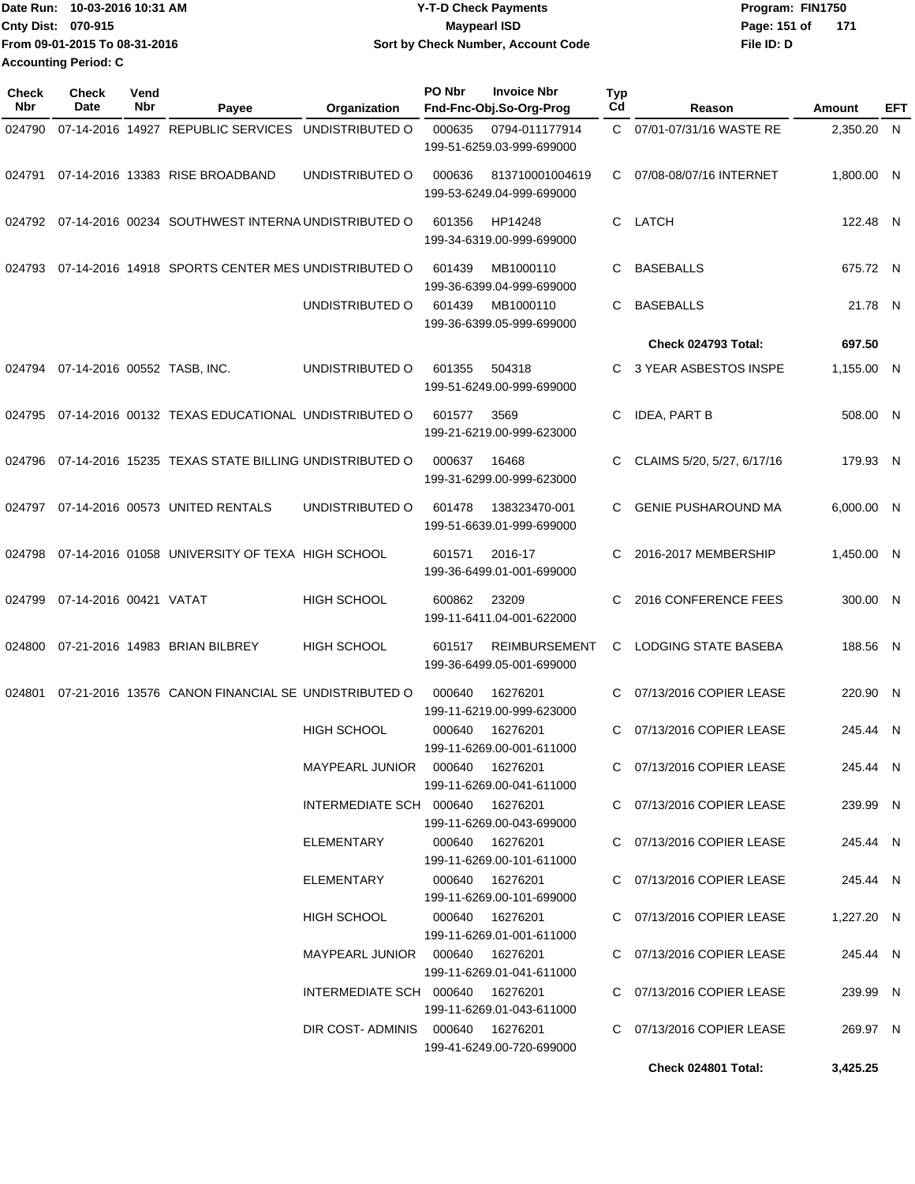| Date Run: 10-03-2016 10:31 AM | <b>Y-T-D Check Payments</b>        | Program: FIN1750      |  |  |  |
|-------------------------------|------------------------------------|-----------------------|--|--|--|
| <b>Cnty Dist: 070-915</b>     | <b>Mavpearl ISD</b>                | Page: 151 of<br>- 171 |  |  |  |
| From 09-01-2015 To 08-31-2016 | Sort by Check Number, Account Code | File ID: D            |  |  |  |
| <b>Accounting Period: C</b>   |                                    |                       |  |  |  |

| <b>Check</b><br>Nbr | <b>Check</b><br>Date        | Vend<br>Nbr | Payee                                                     | Organization                      | PO Nbr | <b>Invoice Nbr</b><br>Fnd-Fnc-Obj.So-Org-Prog     | <b>Typ</b><br>Cd | Reason                      | Amount     | EFT |
|---------------------|-----------------------------|-------------|-----------------------------------------------------------|-----------------------------------|--------|---------------------------------------------------|------------------|-----------------------------|------------|-----|
| 024790              |                             |             | 07-14-2016 14927 REPUBLIC SERVICES                        | UNDISTRIBUTED O                   | 000635 | 0794-011177914<br>199-51-6259.03-999-699000       | C.               | 07/01-07/31/16 WASTE RE     | 2,350.20 N |     |
|                     |                             |             | 024791 07-14-2016 13383 RISE BROADBAND                    | UNDISTRIBUTED O                   | 000636 | 813710001004619<br>199-53-6249.04-999-699000      | C.               | 07/08-08/07/16 INTERNET     | 1.800.00 N |     |
|                     |                             |             | 024792 07-14-2016 00234 SOUTHWEST INTERNA UNDISTRIBUTED O |                                   | 601356 | HP14248<br>199-34-6319.00-999-699000              | C.               | LATCH                       | 122.48 N   |     |
| 024793              |                             |             | 07-14-2016 14918 SPORTS CENTER MES UNDISTRIBUTED O        |                                   | 601439 | MB1000110<br>199-36-6399.04-999-699000            | C.               | <b>BASEBALLS</b>            | 675.72 N   |     |
|                     |                             |             |                                                           | UNDISTRIBUTED O                   | 601439 | MB1000110<br>199-36-6399.05-999-699000            | C                | <b>BASEBALLS</b>            | 21.78 N    |     |
|                     |                             |             |                                                           |                                   |        |                                                   |                  | Check 024793 Total:         | 697.50     |     |
| 024794              | 07-14-2016 00552 TASB, INC. |             |                                                           | UNDISTRIBUTED O                   | 601355 | 504318<br>199-51-6249.00-999-699000               | C.               | 3 YEAR ASBESTOS INSPE       | 1,155.00 N |     |
| 024795              |                             |             | 07-14-2016 00132 TEXAS EDUCATIONAL UNDISTRIBUTED O        |                                   | 601577 | 3569<br>199-21-6219.00-999-623000                 | C                | <b>IDEA, PART B</b>         | 508.00 N   |     |
| 024796              |                             |             | 07-14-2016 15235 TEXAS STATE BILLING UNDISTRIBUTED O      |                                   | 000637 | 16468<br>199-31-6299.00-999-623000                | C                | CLAIMS 5/20, 5/27, 6/17/16  | 179.93 N   |     |
| 024797              |                             |             | 07-14-2016 00573 UNITED RENTALS                           | UNDISTRIBUTED O                   | 601478 | 138323470-001<br>199-51-6639.01-999-699000        | C.               | <b>GENIE PUSHAROUND MA</b>  | 6,000.00 N |     |
| 024798              |                             |             | 07-14-2016 01058 UNIVERSITY OF TEXA HIGH SCHOOL           |                                   | 601571 | 2016-17<br>199-36-6499.01-001-699000              | C.               | 2016-2017 MEMBERSHIP        | 1,450.00 N |     |
| 024799              | 07-14-2016 00421 VATAT      |             |                                                           | <b>HIGH SCHOOL</b>                | 600862 | 23209<br>199-11-6411.04-001-622000                | C.               | 2016 CONFERENCE FEES        | 300.00 N   |     |
| 024800              |                             |             | 07-21-2016 14983 BRIAN BILBREY                            | <b>HIGH SCHOOL</b>                | 601517 | <b>REIMBURSEMENT</b><br>199-36-6499.05-001-699000 | C                | <b>LODGING STATE BASEBA</b> | 188.56 N   |     |
| 024801              |                             |             | 07-21-2016 13576 CANON FINANCIAL SE UNDISTRIBUTED O       |                                   | 000640 | 16276201<br>199-11-6219.00-999-623000             | C                | 07/13/2016 COPIER LEASE     | 220.90 N   |     |
|                     |                             |             |                                                           | <b>HIGH SCHOOL</b>                | 000640 | 16276201<br>199-11-6269.00-001-611000             | C.               | 07/13/2016 COPIER LEASE     | 245.44 N   |     |
|                     |                             |             |                                                           | MAYPEARL JUNIOR  000640  16276201 |        | 199-11-6269.00-041-611000                         |                  | C 07/13/2016 COPIER LEASE   | 245.44 N   |     |
|                     |                             |             |                                                           | INTERMEDIATE SCH 000640 16276201  |        | 199-11-6269.00-043-699000                         |                  | C 07/13/2016 COPIER LEASE   | 239.99 N   |     |
|                     |                             |             |                                                           | ELEMENTARY                        | 000640 | 16276201<br>199-11-6269.00-101-611000             |                  | C 07/13/2016 COPIER LEASE   | 245.44 N   |     |
|                     |                             |             |                                                           | ELEMENTARY                        |        | 000640 16276201<br>199-11-6269.00-101-699000      |                  | C 07/13/2016 COPIER LEASE   | 245.44 N   |     |
|                     |                             |             |                                                           | HIGH SCHOOL                       |        | 000640 16276201<br>199-11-6269.01-001-611000      |                  | C 07/13/2016 COPIER LEASE   | 1,227.20 N |     |
|                     |                             |             |                                                           |                                   |        | 199-11-6269.01-041-611000                         |                  | C 07/13/2016 COPIER LEASE   | 245.44 N   |     |
|                     |                             |             |                                                           | INTERMEDIATE SCH 000640 16276201  |        | 199-11-6269.01-043-611000                         |                  | C 07/13/2016 COPIER LEASE   | 239.99 N   |     |
|                     |                             |             |                                                           | DIR COST-ADMINIS 000640 16276201  |        | 199-41-6249.00-720-699000                         |                  | C 07/13/2016 COPIER LEASE   | 269.97 N   |     |
|                     |                             |             |                                                           |                                   |        |                                                   |                  | Check 024801 Total:         | 3,425.25   |     |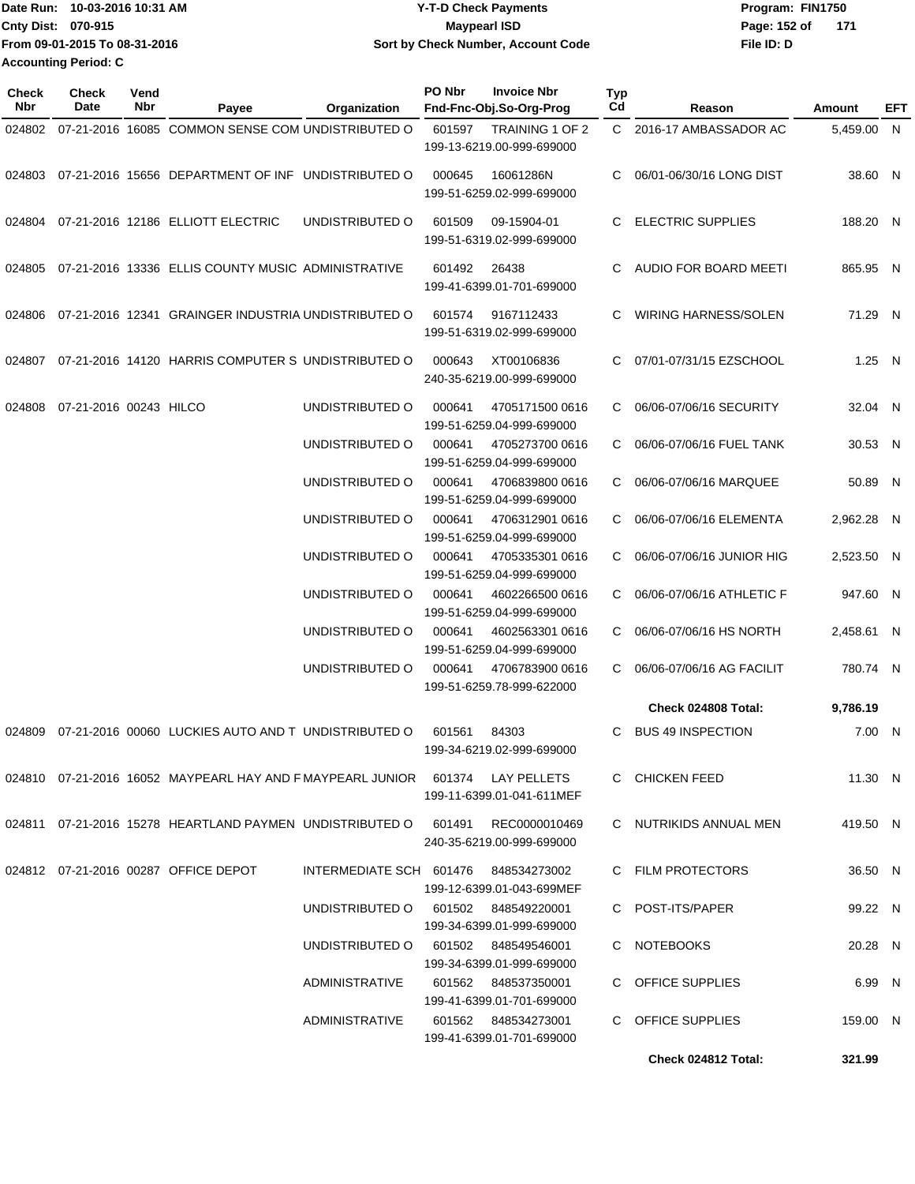| lDate Run: 10-03-2016 10:31 AM |                               | <b>Y-T-D Check Payments</b>        | Program: FIN1750    |  |  |  |
|--------------------------------|-------------------------------|------------------------------------|---------------------|--|--|--|
| <b>Cnty Dist: 070-915</b>      |                               | <b>Mavpearl ISD</b>                | Page: 152 of<br>171 |  |  |  |
|                                | From 09-01-2015 To 08-31-2016 | Sort by Check Number, Account Code | File ID: D          |  |  |  |
| <b>Accounting Period: C</b>    |                               |                                    |                     |  |  |  |

| Check<br><b>Nbr</b> | <b>Check</b><br>Date   | Vend<br><b>Nbr</b> | Payee                                                                         | Organization    | PO Nbr<br><b>Invoice Nbr</b><br>Fnd-Fnc-Obj.So-Org-Prog           | Typ<br>Cd             |    | Reason                      | Amount     | EFT          |
|---------------------|------------------------|--------------------|-------------------------------------------------------------------------------|-----------------|-------------------------------------------------------------------|-----------------------|----|-----------------------------|------------|--------------|
| 024802              |                        |                    | 07-21-2016 16085 COMMON SENSE COM UNDISTRIBUTED O                             |                 | 601597<br>199-13-6219.00-999-699000                               | TRAINING 1 OF 2       |    | C 2016-17 AMBASSADOR AC     | 5,459.00 N |              |
| 024803              |                        |                    | 07-21-2016 15656 DEPARTMENT OF INF UNDISTRIBUTED O                            |                 | 000645<br>16061286N<br>199-51-6259.02-999-699000                  | C                     |    | 06/01-06/30/16 LONG DIST    | 38.60 N    |              |
| 024804              |                        |                    | 07-21-2016 12186 ELLIOTT ELECTRIC                                             | UNDISTRIBUTED O | 601509<br>09-15904-01<br>199-51-6319.02-999-699000                | C                     |    | <b>ELECTRIC SUPPLIES</b>    | 188.20 N   |              |
| 024805              |                        |                    | 07-21-2016 13336 ELLIS COUNTY MUSIC ADMINISTRATIVE                            |                 | 601492<br>26438<br>199-41-6399.01-701-699000                      | C                     |    | AUDIO FOR BOARD MEETI       | 865.95 N   |              |
| 024806              |                        |                    | 07-21-2016 12341 GRAINGER INDUSTRIA UNDISTRIBUTED O                           |                 | 601574<br>9167112433<br>199-51-6319.02-999-699000                 | C                     |    | <b>WIRING HARNESS/SOLEN</b> | 71.29 N    |              |
| 024807              |                        |                    | 07-21-2016 14120 HARRIS COMPUTER S UNDISTRIBUTED O                            |                 | 000643<br>XT00106836<br>240-35-6219.00-999-699000                 | C                     |    | 07/01-07/31/15 EZSCHOOL     | 1.25 N     |              |
| 024808              | 07-21-2016 00243 HILCO |                    |                                                                               | UNDISTRIBUTED O | 000641<br>199-51-6259.04-999-699000                               | 4705171500 0616<br>C. |    | 06/06-07/06/16 SECURITY     | 32.04 N    |              |
|                     |                        |                    |                                                                               | UNDISTRIBUTED O | 000641<br>199-51-6259.04-999-699000                               | 4705273700 0616<br>C  |    | 06/06-07/06/16 FUEL TANK    | 30.53 N    |              |
|                     |                        |                    |                                                                               | UNDISTRIBUTED O | 000641<br>199-51-6259.04-999-699000                               | 4706839800 0616       | C. | 06/06-07/06/16 MARQUEE      | 50.89      | $\mathsf{N}$ |
|                     |                        |                    |                                                                               | UNDISTRIBUTED O | 000641<br>199-51-6259.04-999-699000                               | 4706312901 0616       | C. | 06/06-07/06/16 ELEMENTA     | 2,962.28 N |              |
|                     |                        |                    |                                                                               | UNDISTRIBUTED O | 000641<br>199-51-6259.04-999-699000                               | 4705335301 0616       | C  | 06/06-07/06/16 JUNIOR HIG   | 2,523.50 N |              |
|                     |                        |                    |                                                                               | UNDISTRIBUTED O | 000641<br>199-51-6259.04-999-699000                               | 4602266500 0616       | C  | 06/06-07/06/16 ATHLETIC F   | 947.60 N   |              |
|                     |                        |                    |                                                                               | UNDISTRIBUTED O | 000641<br>199-51-6259.04-999-699000                               | 4602563301 0616<br>C  |    | 06/06-07/06/16 HS NORTH     | 2,458.61 N |              |
|                     |                        |                    |                                                                               | UNDISTRIBUTED O | 000641<br>199-51-6259.78-999-622000                               | 4706783900 0616<br>C  |    | 06/06-07/06/16 AG FACILIT   | 780.74 N   |              |
|                     |                        |                    |                                                                               |                 |                                                                   |                       |    | Check 024808 Total:         | 9,786.19   |              |
| 024809              |                        |                    | 07-21-2016 00060 LUCKIES AUTO AND T UNDISTRIBUTED O                           |                 | 601561<br>84303<br>199-34-6219.02-999-699000                      | C                     |    | <b>BUS 49 INSPECTION</b>    | 7.00       | - N          |
|                     |                        |                    | 024810 07-21-2016 16052 MAYPEARL HAY AND F MAYPEARL JUNIOR 601374 LAY PELLETS |                 | 199-11-6399.01-041-611MEF                                         |                       |    | C CHICKEN FEED              | 11.30 N    |              |
|                     |                        |                    | 024811 07-21-2016 15278 HEARTLAND PAYMEN UNDISTRIBUTED O 601491 REC0000010469 |                 | 240-35-6219.00-999-699000                                         |                       |    | C NUTRIKIDS ANNUAL MEN      | 419.50 N   |              |
|                     |                        |                    | 024812 07-21-2016 00287 OFFICE DEPOT                                          |                 | INTERMEDIATE SCH 601476 848534273002<br>199-12-6399.01-043-699MEF |                       |    | C FILM PROTECTORS           | 36.50 N    |              |
|                     |                        |                    |                                                                               |                 | UNDISTRIBUTED O 601502 848549220001<br>199-34-6399.01-999-699000  |                       |    | C POST-ITS/PAPER            | 99.22 N    |              |
|                     |                        |                    |                                                                               |                 | UNDISTRIBUTED O 601502 848549546001<br>199-34-6399.01-999-699000  |                       |    | C NOTEBOOKS                 | 20.28 N    |              |
|                     |                        |                    |                                                                               | ADMINISTRATIVE  | 601562 848537350001<br>199-41-6399.01-701-699000                  |                       |    | C OFFICE SUPPLIES           | 6.99 N     |              |
|                     |                        |                    |                                                                               | ADMINISTRATIVE  | 199-41-6399.01-701-699000                                         |                       |    | C OFFICE SUPPLIES           | 159.00 N   |              |
|                     |                        |                    |                                                                               |                 |                                                                   |                       |    | Check 024812 Total:         | 321.99     |              |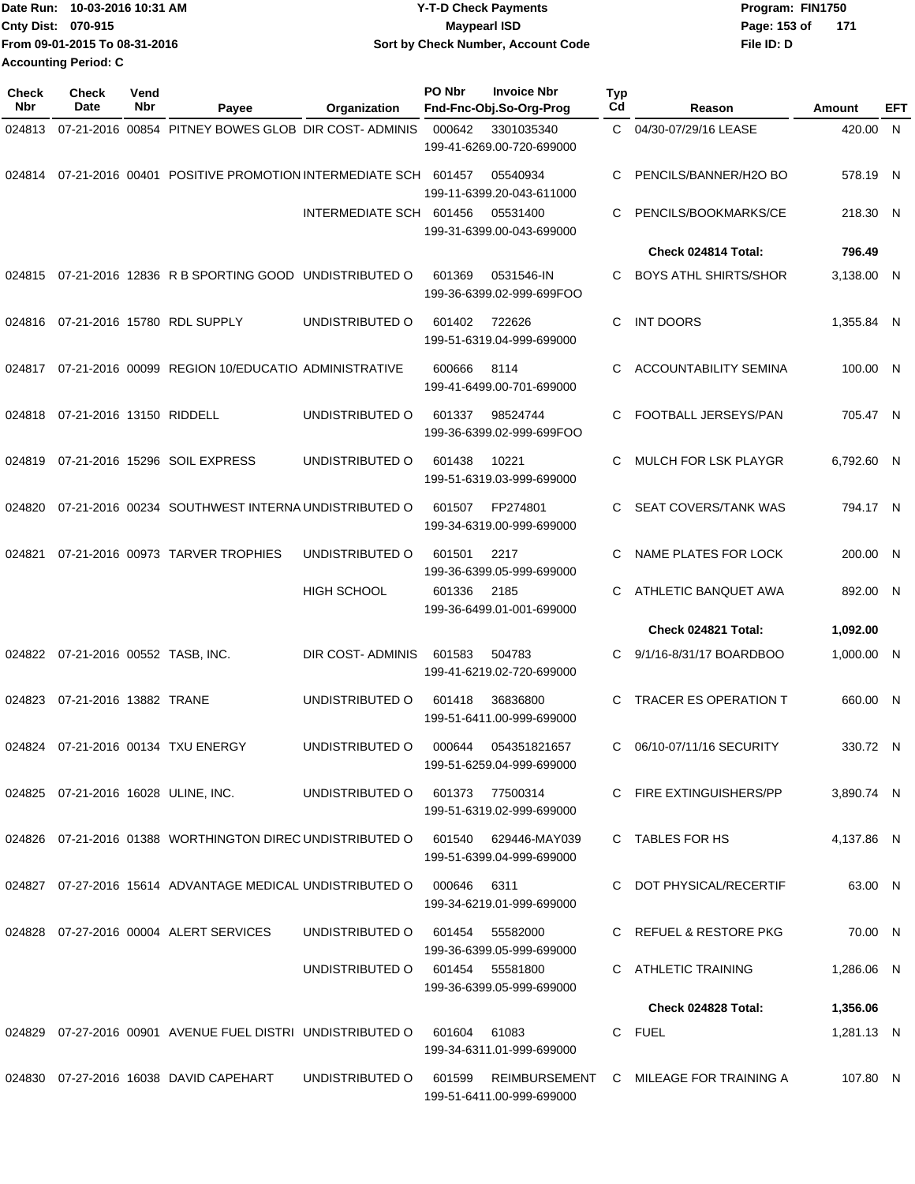| Date Run: 10-03-2016 10:31 AM | <b>Y-T-D Check Payments</b>        | Program: FIN1750    |  |  |  |
|-------------------------------|------------------------------------|---------------------|--|--|--|
| <b>Cnty Dist: 070-915</b>     | <b>Mavpearl ISD</b>                | Page: 153 of<br>171 |  |  |  |
| From 09-01-2015 To 08-31-2016 | Sort by Check Number, Account Code | File ID: D          |  |  |  |
| <b>Accounting Period: C</b>   |                                    |                     |  |  |  |

| Check<br><b>Nbr</b> | <b>Check</b><br>Date                | Vend<br>Nbr | Payee                                                       | Organization            | PO Nbr | <b>Invoice Nbr</b><br>Fnd-Fnc-Obj.So-Org-Prog     | Typ<br>Cd | Reason                                 | Amount     | EFT |
|---------------------|-------------------------------------|-------------|-------------------------------------------------------------|-------------------------|--------|---------------------------------------------------|-----------|----------------------------------------|------------|-----|
| 024813              |                                     |             | 07-21-2016 00854 PITNEY BOWES GLOB DIR COST- ADMINIS        |                         | 000642 | 3301035340<br>199-41-6269.00-720-699000           | C.        | 04/30-07/29/16 LEASE                   | 420.00 N   |     |
| 024814              |                                     |             | 07-21-2016 00401 POSITIVE PROMOTION INTERMEDIATE SCH 601457 |                         |        | 05540934<br>199-11-6399.20-043-611000             | C         | PENCILS/BANNER/H2O BO                  | 578.19 N   |     |
|                     |                                     |             |                                                             | INTERMEDIATE SCH 601456 |        | 05531400<br>199-31-6399.00-043-699000             | C         | PENCILS/BOOKMARKS/CE                   | 218.30 N   |     |
|                     |                                     |             |                                                             |                         |        |                                                   |           | Check 024814 Total:                    | 796.49     |     |
| 024815              |                                     |             | 07-21-2016 12836 R B SPORTING GOOD UNDISTRIBUTED O          |                         | 601369 | 0531546-IN<br>199-36-6399.02-999-699FOO           | C         | <b>BOYS ATHL SHIRTS/SHOR</b>           | 3,138.00 N |     |
| 024816              |                                     |             | 07-21-2016 15780 RDL SUPPLY                                 | UNDISTRIBUTED O         | 601402 | 722626<br>199-51-6319.04-999-699000               | C         | <b>INT DOORS</b>                       | 1,355.84 N |     |
| 024817              |                                     |             | 07-21-2016 00099 REGION 10/EDUCATIO ADMINISTRATIVE          |                         | 600666 | 8114<br>199-41-6499.00-701-699000                 | C         | <b>ACCOUNTABILITY SEMINA</b>           | 100.00 N   |     |
| 024818              | 07-21-2016 13150 RIDDELL            |             |                                                             | UNDISTRIBUTED O         | 601337 | 98524744<br>199-36-6399.02-999-699FOO             | C         | FOOTBALL JERSEYS/PAN                   | 705.47 N   |     |
| 024819              |                                     |             | 07-21-2016 15296 SOIL EXPRESS                               | UNDISTRIBUTED O         | 601438 | 10221<br>199-51-6319.03-999-699000                | C.        | <b>MULCH FOR LSK PLAYGR</b>            | 6,792.60 N |     |
| 024820              |                                     |             | 07-21-2016 00234 SOUTHWEST INTERNA UNDISTRIBUTED O          |                         | 601507 | FP274801<br>199-34-6319.00-999-699000             | C         | <b>SEAT COVERS/TANK WAS</b>            | 794.17 N   |     |
| 024821              |                                     |             | 07-21-2016 00973 TARVER TROPHIES                            | UNDISTRIBUTED O         | 601501 | 2217<br>199-36-6399.05-999-699000                 | C         | NAME PLATES FOR LOCK                   | 200.00 N   |     |
|                     |                                     |             |                                                             | <b>HIGH SCHOOL</b>      | 601336 | 2185<br>199-36-6499.01-001-699000                 | C         | ATHLETIC BANQUET AWA                   | 892.00 N   |     |
|                     |                                     |             |                                                             |                         |        |                                                   |           | Check 024821 Total:                    | 1,092.00   |     |
| 024822              | 07-21-2016 00552 TASB, INC.         |             |                                                             | DIR COST- ADMINIS       | 601583 | 504783<br>199-41-6219.02-720-699000               | C.        | 9/1/16-8/31/17 BOARDBOO                | 1,000.00 N |     |
| 024823              | 07-21-2016 13882 TRANE              |             |                                                             | UNDISTRIBUTED O         | 601418 | 36836800<br>199-51-6411.00-999-699000             | C         | TRACER ES OPERATION T                  | 660.00 N   |     |
|                     |                                     |             | 024824 07-21-2016 00134 TXU ENERGY                          | UNDISTRIBUTED O         | 000644 | 054351821657<br>199-51-6259.04-999-699000         | C.        | 06/10-07/11/16 SECURITY                | 330.72 N   |     |
|                     | 024825 07-21-2016 16028 ULINE, INC. |             |                                                             | UNDISTRIBUTED O         |        | 601373 77500314<br>199-51-6319.02-999-699000      |           | C FIRE EXTINGUISHERS/PP                | 3.890.74 N |     |
|                     |                                     |             | 024826 07-21-2016 01388 WORTHINGTON DIREC UNDISTRIBUTED O   |                         |        | 601540 629446-MAY039<br>199-51-6399.04-999-699000 |           | C TABLES FOR HS                        | 4.137.86 N |     |
|                     |                                     |             | 024827 07-27-2016 15614 ADVANTAGE MEDICAL UNDISTRIBUTED O   |                         | 000646 | 6311<br>199-34-6219.01-999-699000                 |           | C DOT PHYSICAL/RECERTIF                | 63.00 N    |     |
|                     |                                     |             | 024828  07-27-2016  00004  ALERT SERVICES                   | UNDISTRIBUTED O         | 601454 | 55582000<br>199-36-6399.05-999-699000             |           | C REFUEL & RESTORE PKG                 | 70.00 N    |     |
|                     |                                     |             |                                                             | UNDISTRIBUTED O         |        | 601454 55581800<br>199-36-6399.05-999-699000      |           | ATHLETIC TRAINING                      | 1,286.06 N |     |
|                     |                                     |             |                                                             |                         |        |                                                   |           | Check 024828 Total:                    | 1,356.06   |     |
|                     |                                     |             | 024829 07-27-2016 00901 AVENUE FUEL DISTRI UNDISTRIBUTED O  |                         | 601604 | 61083<br>199-34-6311.01-999-699000                | C.        | FUEL                                   | 1,281.13 N |     |
|                     |                                     |             | 024830 07-27-2016 16038 DAVID CAPEHART                      | UNDISTRIBUTED O         | 601599 | 199-51-6411.00-999-699000                         |           | REIMBURSEMENT C MILEAGE FOR TRAINING A | 107.80 N   |     |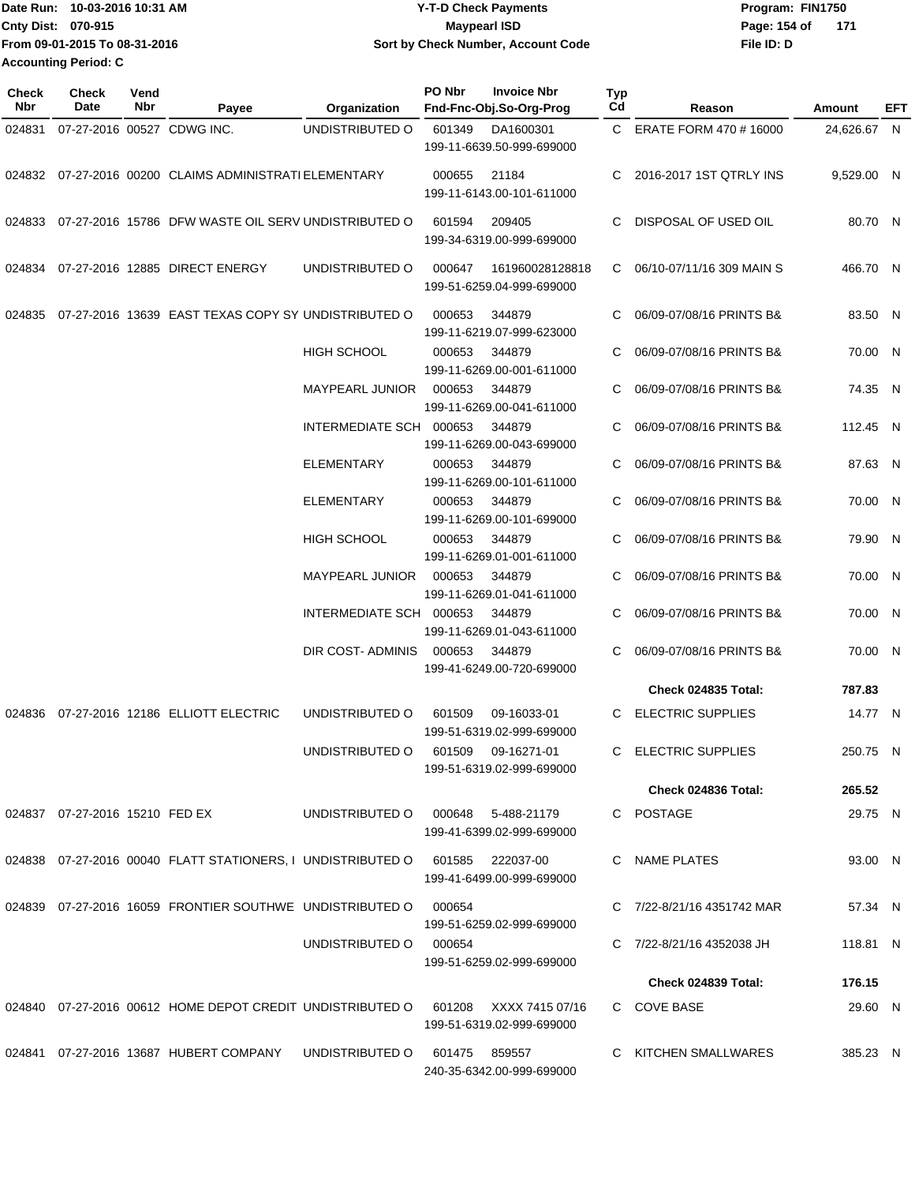| IDate Run: 10-03-2016 10:31 AM |                               | <b>Y-T-D Check Payments</b>        | Program: FIN1750    |  |  |  |
|--------------------------------|-------------------------------|------------------------------------|---------------------|--|--|--|
| <b>Cnty Dist: 070-915</b>      |                               | <b>Mavpearl ISD</b>                | Page: 154 of<br>171 |  |  |  |
|                                | From 09-01-2015 To 08-31-2016 | Sort by Check Number, Account Code | File ID: D          |  |  |  |
| <b>Accounting Period: C</b>    |                               |                                    |                     |  |  |  |

| Check<br>Nbr | <b>Check</b><br>Date           | Vend<br>Nbr | Payee                                                                            | Organization                       | PO Nbr                                          | <b>Invoice Nbr</b><br>Fnd-Fnc-Obj.So-Org-Prog                    | Typ<br>Cd | Reason                        | Amount      | EFT |
|--------------|--------------------------------|-------------|----------------------------------------------------------------------------------|------------------------------------|-------------------------------------------------|------------------------------------------------------------------|-----------|-------------------------------|-------------|-----|
| 024831       |                                |             | 07-27-2016 00527 CDWG INC.                                                       | UNDISTRIBUTED O                    | 601349                                          | DA1600301<br>199-11-6639.50-999-699000                           | C.        | ERATE FORM 470 # 16000        | 24,626.67 N |     |
| 024832       |                                |             | 07-27-2016 00200 CLAIMS ADMINISTRATI ELEMENTARY                                  |                                    | 000655                                          | 21184<br>199-11-6143.00-101-611000                               | C.        | 2016-2017 1ST QTRLY INS       | 9,529.00 N  |     |
| 024833       |                                |             | 07-27-2016 15786 DFW WASTE OIL SERV UNDISTRIBUTED O                              |                                    | 601594                                          | 209405<br>199-34-6319.00-999-699000                              | C         | DISPOSAL OF USED OIL          | 80.70 N     |     |
| 024834       |                                |             | 07-27-2016 12885 DIRECT ENERGY                                                   | UNDISTRIBUTED O                    | 000647                                          | 161960028128818<br>199-51-6259.04-999-699000                     | C.        | 06/10-07/11/16 309 MAIN S     | 466.70 N    |     |
| 024835       |                                |             | 07-27-2016 13639 EAST TEXAS COPY SY UNDISTRIBUTED O                              |                                    | 000653                                          | 344879<br>199-11-6219.07-999-623000                              | C         | 06/09-07/08/16 PRINTS B&      | 83.50 N     |     |
|              |                                |             |                                                                                  | <b>HIGH SCHOOL</b>                 | 000653                                          | 344879<br>199-11-6269.00-001-611000                              | C         | 06/09-07/08/16 PRINTS B&      | 70.00 N     |     |
|              |                                |             |                                                                                  | <b>MAYPEARL JUNIOR</b>             | 000653                                          | 344879<br>199-11-6269.00-041-611000                              | C         | 06/09-07/08/16 PRINTS B&      | 74.35 N     |     |
|              |                                |             |                                                                                  | INTERMEDIATE SCH                   | 000653                                          | 344879<br>199-11-6269.00-043-699000                              | C         | 06/09-07/08/16 PRINTS B&      | 112.45 N    |     |
|              |                                |             |                                                                                  | <b>ELEMENTARY</b>                  | 000653                                          | 344879<br>199-11-6269.00-101-611000                              | C         | 06/09-07/08/16 PRINTS B&      | 87.63 N     |     |
|              |                                |             |                                                                                  | <b>ELEMENTARY</b>                  | 000653                                          | 344879<br>199-11-6269.00-101-699000                              | C         | 06/09-07/08/16 PRINTS B&      | 70.00 N     |     |
|              |                                |             |                                                                                  | <b>HIGH SCHOOL</b>                 | 000653                                          | 344879<br>199-11-6269.01-001-611000                              | C         | 06/09-07/08/16 PRINTS B&      | 79.90 N     |     |
|              |                                |             |                                                                                  | <b>MAYPEARL JUNIOR</b>             | 000653                                          | 344879<br>199-11-6269.01-041-611000                              | C         | 06/09-07/08/16 PRINTS B&      | 70.00 N     |     |
|              |                                |             |                                                                                  | INTERMEDIATE SCH 000653            |                                                 | 344879                                                           |           | 06/09-07/08/16 PRINTS B&      | 70.00 N     |     |
|              |                                |             |                                                                                  | DIR COST-ADMINIS                   | 000653                                          | 199-11-6269.01-043-611000<br>344879<br>199-41-6249.00-720-699000 | C         | 06/09-07/08/16 PRINTS B&      | 70.00 N     |     |
|              |                                |             |                                                                                  |                                    |                                                 |                                                                  |           | Check 024835 Total:           | 787.83      |     |
| 024836       |                                |             | 07-27-2016 12186 ELLIOTT ELECTRIC                                                | UNDISTRIBUTED O                    | 601509                                          | 09-16033-01                                                      | C         | <b>ELECTRIC SUPPLIES</b>      | 14.77 N     |     |
|              |                                |             |                                                                                  |                                    |                                                 | 199-51-6319.02-999-699000                                        |           |                               |             |     |
|              |                                |             |                                                                                  | UNDISTRIBUTED O                    | 601509 09-16271-01<br>199-51-6319.02-999-699000 |                                                                  |           | C ELECTRIC SUPPLIES           | 250.75 N    |     |
|              |                                |             |                                                                                  |                                    |                                                 |                                                                  |           | Check 024836 Total:           | 265.52      |     |
|              | 024837 07-27-2016 15210 FED EX |             |                                                                                  | UNDISTRIBUTED O 000648 5-488-21179 |                                                 | 199-41-6399.02-999-699000                                        |           | C POSTAGE                     | 29.75 N     |     |
|              |                                |             | 024838 07-27-2016 00040 FLATT STATIONERS, I UNDISTRIBUTED O 601585 222037-00     |                                    |                                                 | 199-41-6499.00-999-699000                                        |           | C NAME PLATES                 | 93.00 N     |     |
|              |                                |             | 024839 07-27-2016 16059 FRONTIER SOUTHWE UNDISTRIBUTED O                         |                                    | 000654                                          | 199-51-6259.02-999-699000                                        |           | C 7/22-8/21/16 4351742 MAR    | 57.34 N     |     |
|              |                                |             |                                                                                  | UNDISTRIBUTED O                    | 000654                                          | 199-51-6259.02-999-699000                                        |           | C $7/22 - 8/21/16$ 4352038 JH | 118.81 N    |     |
|              |                                |             |                                                                                  |                                    |                                                 |                                                                  |           | Check 024839 Total:           | 176.15      |     |
|              |                                |             | 024840 07-27-2016 00612 HOME DEPOT CREDIT UNDISTRIBUTED O 601208 XXXX 7415 07/16 |                                    |                                                 |                                                                  |           | C COVE BASE                   | 29.60 N     |     |
|              |                                |             |                                                                                  |                                    |                                                 | 199-51-6319.02-999-699000                                        |           |                               |             |     |
|              |                                |             | 024841  07-27-2016  13687  HUBERT COMPANY  UNDISTRIBUTED O                       |                                    | 601475  859557                                  | 240-35-6342.00-999-699000                                        |           | C KITCHEN SMALLWARES          | 385.23 N    |     |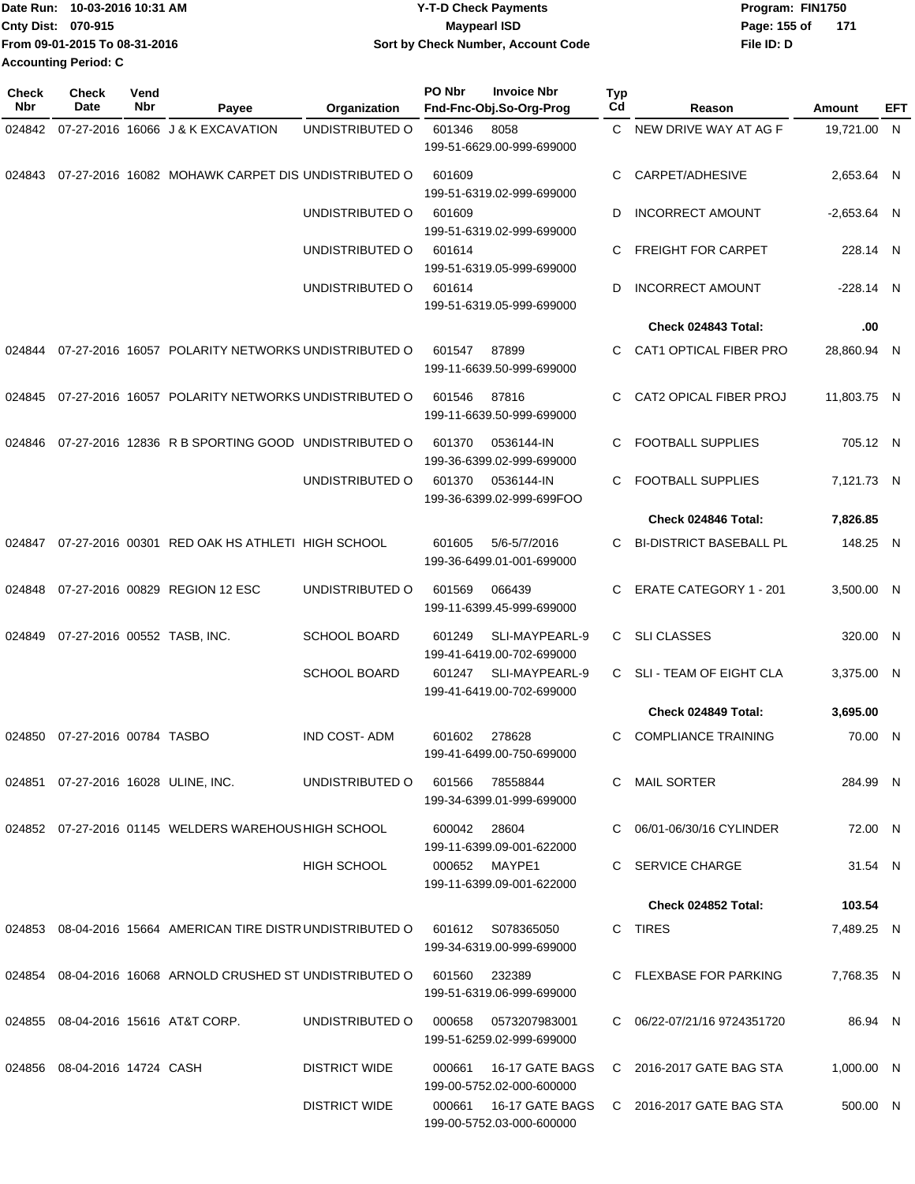| 10-03-2016 10:31 AM<br><b>Date Run:</b> | <b>Y-T-D Check Payments</b>        | Program: FIN1750      |  |  |  |
|-----------------------------------------|------------------------------------|-----------------------|--|--|--|
| <b>Cnty Dist: 070-915</b>               | Maypearl ISD                       | Page: 155 of<br>- 171 |  |  |  |
| From 09-01-2015 To 08-31-2016           | Sort by Check Number, Account Code | File ID: D            |  |  |  |
| <b>Accounting Period: C</b>             |                                    |                       |  |  |  |

| <b>Check</b><br>Nbr | <b>Check</b><br><b>Date</b>  | Vend<br>Nbr | Payee                                                            | Organization         | PO Nbr | <b>Invoice Nbr</b><br>Fnd-Fnc-Obj.So-Org-Prog       | <b>Typ</b><br>Cd | Reason                         | Amount        | EFT |
|---------------------|------------------------------|-------------|------------------------------------------------------------------|----------------------|--------|-----------------------------------------------------|------------------|--------------------------------|---------------|-----|
| 024842              |                              |             | 07-27-2016 16066 J & K EXCAVATION                                | UNDISTRIBUTED O      | 601346 | 8058                                                | C.               | NEW DRIVE WAY AT AG F          | 19,721.00 N   |     |
|                     |                              |             |                                                                  |                      |        | 199-51-6629.00-999-699000                           |                  |                                |               |     |
| 024843              |                              |             | 07-27-2016 16082 MOHAWK CARPET DIS UNDISTRIBUTED O               |                      | 601609 | 199-51-6319.02-999-699000                           | C                | CARPET/ADHESIVE                | 2,653.64 N    |     |
|                     |                              |             |                                                                  | UNDISTRIBUTED O      | 601609 | 199-51-6319.02-999-699000                           | D                | <b>INCORRECT AMOUNT</b>        | $-2,653.64$ N |     |
|                     |                              |             |                                                                  | UNDISTRIBUTED O      | 601614 | 199-51-6319.05-999-699000                           | C                | <b>FREIGHT FOR CARPET</b>      | 228.14 N      |     |
|                     |                              |             |                                                                  | UNDISTRIBUTED O      | 601614 | 199-51-6319.05-999-699000                           | D                | <b>INCORRECT AMOUNT</b>        | $-228.14$ N   |     |
|                     |                              |             |                                                                  |                      |        |                                                     |                  | Check 024843 Total:            | .00           |     |
| 024844              |                              |             | 07-27-2016 16057 POLARITY NETWORKS UNDISTRIBUTED O               |                      | 601547 | 87899<br>199-11-6639.50-999-699000                  | C.               | CAT1 OPTICAL FIBER PRO         | 28,860.94 N   |     |
| 024845              |                              |             | 07-27-2016 16057 POLARITY NETWORKS UNDISTRIBUTED O               |                      | 601546 | 87816<br>199-11-6639.50-999-699000                  | C.               | CAT2 OPICAL FIBER PROJ         | 11,803.75 N   |     |
| 024846              |                              |             | 07-27-2016 12836 R B SPORTING GOOD UNDISTRIBUTED O               |                      | 601370 | 0536144-IN<br>199-36-6399.02-999-699000             | C.               | <b>FOOTBALL SUPPLIES</b>       | 705.12 N      |     |
|                     |                              |             |                                                                  | UNDISTRIBUTED O      | 601370 | 0536144-IN<br>199-36-6399.02-999-699FOO             | C                | <b>FOOTBALL SUPPLIES</b>       | 7,121.73 N    |     |
|                     |                              |             |                                                                  |                      |        |                                                     |                  | Check 024846 Total:            | 7,826.85      |     |
| 024847              |                              |             | 07-27-2016 00301 RED OAK HS ATHLETI HIGH SCHOOL                  |                      | 601605 | 5/6-5/7/2016<br>199-36-6499.01-001-699000           | C                | <b>BI-DISTRICT BASEBALL PL</b> | 148.25 N      |     |
| 024848              |                              |             | 07-27-2016 00829 REGION 12 ESC                                   | UNDISTRIBUTED O      | 601569 | 066439<br>199-11-6399.45-999-699000                 | C                | <b>ERATE CATEGORY 1 - 201</b>  | 3,500.00 N    |     |
| 024849              | 07-27-2016 00552 TASB, INC.  |             |                                                                  | <b>SCHOOL BOARD</b>  | 601249 | SLI-MAYPEARL-9<br>199-41-6419.00-702-699000         | C.               | <b>SLI CLASSES</b>             | 320.00 N      |     |
|                     |                              |             |                                                                  | <b>SCHOOL BOARD</b>  | 601247 | SLI-MAYPEARL-9<br>199-41-6419.00-702-699000         | C.               | SLI - TEAM OF EIGHT CLA        | 3,375.00 N    |     |
|                     |                              |             |                                                                  |                      |        |                                                     |                  | Check 024849 Total:            | 3,695.00      |     |
| 024850              | 07-27-2016 00784 TASBO       |             |                                                                  | <b>IND COST-ADM</b>  | 601602 | 278628<br>199-41-6499.00-750-699000                 | C                | <b>COMPLIANCE TRAINING</b>     | 70.00 N       |     |
|                     |                              |             | 024851 07-27-2016 16028 ULINE, INC.                              | UNDISTRIBUTED O      | 601566 | 78558844<br>199-34-6399.01-999-699000               |                  | C MAIL SORTER                  | 284.99 N      |     |
|                     |                              |             | 024852 07-27-2016 01145 WELDERS WAREHOUS HIGH SCHOOL             |                      | 600042 | 28604<br>199-11-6399.09-001-622000                  |                  | C 06/01-06/30/16 CYLINDER      | 72.00 N       |     |
|                     |                              |             |                                                                  | <b>HIGH SCHOOL</b>   |        | 000652 MAYPE1<br>199-11-6399.09-001-622000          |                  | C SERVICE CHARGE               | 31.54 N       |     |
|                     |                              |             |                                                                  |                      |        |                                                     |                  | Check 024852 Total:            | 103.54        |     |
|                     |                              |             | 024853 08-04-2016 15664 AMERICAN TIRE DISTRUNDISTRIBUTED O       |                      | 601612 | S078365050<br>199-34-6319.00-999-699000             |                  | C TIRES                        | 7,489.25 N    |     |
|                     |                              |             | 024854 08-04-2016 16068 ARNOLD CRUSHED ST UNDISTRIBUTED O 601560 |                      |        | 232389<br>199-51-6319.06-999-699000                 |                  | C FLEXBASE FOR PARKING         | 7,768.35 N    |     |
|                     |                              |             | 024855 08-04-2016 15616 AT&T CORP.                               | UNDISTRIBUTED O      | 000658 | 0573207983001<br>199-51-6259.02-999-699000          |                  | C 06/22-07/21/16 9724351720    | 86.94 N       |     |
|                     | 024856 08-04-2016 14724 CASH |             |                                                                  | <b>DISTRICT WIDE</b> | 000661 | 16-17 GATE BAGS<br>199-00-5752.02-000-600000        |                  | C 2016-2017 GATE BAG STA       | 1,000.00 N    |     |
|                     |                              |             |                                                                  | <b>DISTRICT WIDE</b> |        | 000661 16-17 GATE BAGS<br>199-00-5752.03-000-600000 |                  | C 2016-2017 GATE BAG STA       | 500.00 N      |     |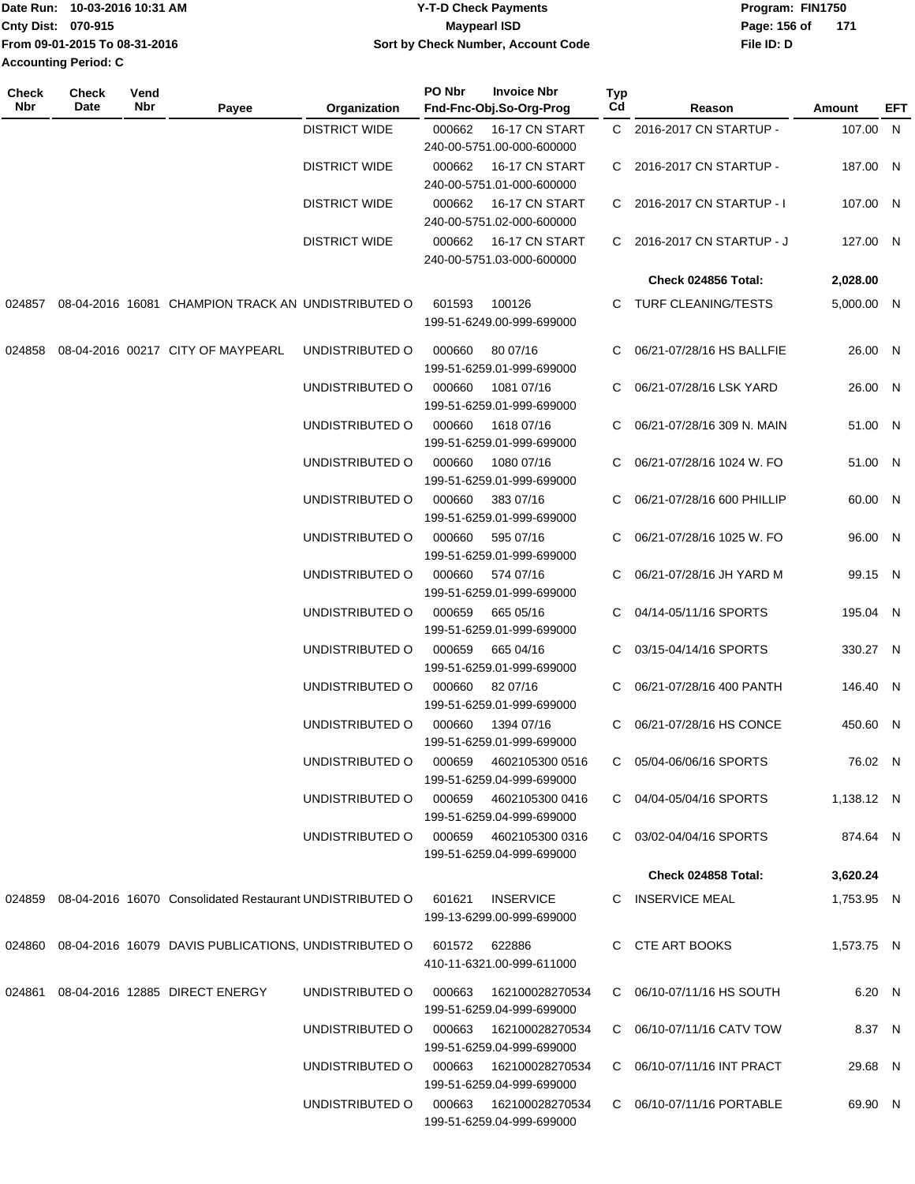| 10-03-2016 10:31 AM<br><b>Date Run:</b> | Y-T-D Check Payments               | Program: FIN1750    |  |  |  |
|-----------------------------------------|------------------------------------|---------------------|--|--|--|
| Cnty Dist: 070-915                      | <b>Mavpearl ISD</b>                | Page: 156 of<br>171 |  |  |  |
| From 09-01-2015 To 08-31-2016           | Sort by Check Number, Account Code | File ID: D          |  |  |  |
| <b>Accounting Period: C</b>             |                                    |                     |  |  |  |

| Check<br>Nbr | <b>Check</b><br>Date | Vend<br>Nbr | Payee                                                                     | Organization         | PO Nbr                                 | <b>Invoice Nbr</b><br>Fnd-Fnc-Obj.So-Org-Prog                            | Typ<br>Cd                | Reason                     | Amount     | EFT |
|--------------|----------------------|-------------|---------------------------------------------------------------------------|----------------------|----------------------------------------|--------------------------------------------------------------------------|--------------------------|----------------------------|------------|-----|
|              |                      |             |                                                                           | <b>DISTRICT WIDE</b> | 000662                                 | 16-17 CN START<br>240-00-5751.00-000-600000                              |                          | C 2016-2017 CN STARTUP -   | 107.00 N   |     |
|              |                      |             |                                                                           | <b>DISTRICT WIDE</b> | 000662                                 | 16-17 CN START                                                           |                          | C 2016-2017 CN STARTUP -   | 187.00 N   |     |
|              |                      |             |                                                                           | <b>DISTRICT WIDE</b> | 000662                                 | 240-00-5751.01-000-600000<br>16-17 CN START<br>240-00-5751.02-000-600000 |                          | C 2016-2017 CN STARTUP - I | 107.00 N   |     |
|              |                      |             |                                                                           | <b>DISTRICT WIDE</b> | 000662                                 | 16-17 CN START<br>240-00-5751.03-000-600000                              |                          | C 2016-2017 CN STARTUP - J | 127.00 N   |     |
|              |                      |             |                                                                           |                      |                                        |                                                                          |                          | Check 024856 Total:        | 2,028.00   |     |
| 024857       |                      |             | 08-04-2016 16081 CHAMPION TRACK AN UNDISTRIBUTED O                        |                      | 601593                                 | 100126<br>199-51-6249.00-999-699000                                      |                          | C TURF CLEANING/TESTS      | 5,000.00 N |     |
| 024858       |                      |             | 08-04-2016 00217 CITY OF MAYPEARL                                         | UNDISTRIBUTED O      | 000660                                 | 80 07/16<br>199-51-6259.01-999-699000                                    |                          | 06/21-07/28/16 HS BALLFIE  | 26.00 N    |     |
|              |                      |             |                                                                           | UNDISTRIBUTED O      | 000660                                 | 1081 07/16<br>199-51-6259.01-999-699000                                  | C.                       | 06/21-07/28/16 LSK YARD    | 26.00 N    |     |
|              |                      |             |                                                                           | UNDISTRIBUTED O      | 000660                                 | 1618 07/16<br>199-51-6259.01-999-699000                                  | C.                       | 06/21-07/28/16 309 N. MAIN | 51.00 N    |     |
|              |                      |             |                                                                           | UNDISTRIBUTED O      | 000660                                 | 1080 07/16<br>199-51-6259.01-999-699000                                  |                          | 06/21-07/28/16 1024 W. FO  | 51.00 N    |     |
|              |                      |             |                                                                           | UNDISTRIBUTED O      | 000660                                 | 383 07/16<br>199-51-6259.01-999-699000                                   | C.                       | 06/21-07/28/16 600 PHILLIP | 60.00 N    |     |
|              |                      |             |                                                                           | UNDISTRIBUTED O      | 000660                                 | 595 07/16<br>199-51-6259.01-999-699000                                   | C.                       | 06/21-07/28/16 1025 W. FO  | 96.00 N    |     |
|              |                      |             |                                                                           | UNDISTRIBUTED O      | 000660                                 | 574 07/16<br>199-51-6259.01-999-699000                                   | C.                       | 06/21-07/28/16 JH YARD M   | 99.15 N    |     |
|              |                      |             | UNDISTRIBUTED O                                                           | 000659               | 665 05/16<br>199-51-6259.01-999-699000 | C.                                                                       | 04/14-05/11/16 SPORTS    | 195.04 N                   |            |     |
|              |                      |             |                                                                           | UNDISTRIBUTED O      | 000659                                 | 665 04/16<br>199-51-6259.01-999-699000                                   | C.                       | 03/15-04/14/16 SPORTS      | 330.27 N   |     |
|              |                      |             | UNDISTRIBUTED O                                                           | 000660               | 82 07/16<br>199-51-6259.01-999-699000  |                                                                          | 06/21-07/28/16 400 PANTH | 146.40 N                   |            |     |
|              |                      |             |                                                                           | UNDISTRIBUTED O      | 000660                                 | 1394 07/16<br>199-51-6259.01-999-699000                                  | C.                       | 06/21-07/28/16 HS CONCE    | 450.60 N   |     |
|              |                      |             |                                                                           | UNDISTRIBUTED O      | 000659                                 | 4602105300 0516<br>199-51-6259.04-999-699000                             |                          | C 05/04-06/06/16 SPORTS    | 76.02 N    |     |
|              |                      |             |                                                                           | UNDISTRIBUTED O      |                                        | 000659 4602105300 0416<br>199-51-6259.04-999-699000                      |                          | C 04/04-05/04/16 SPORTS    | 1,138.12 N |     |
|              |                      |             |                                                                           |                      |                                        | 199-51-6259.04-999-699000                                                |                          | C 03/02-04/04/16 SPORTS    | 874.64 N   |     |
|              |                      |             |                                                                           |                      |                                        |                                                                          |                          | <b>Check 024858 Total:</b> | 3,620.24   |     |
|              |                      |             | 024859 08-04-2016 16070 Consolidated Restaurant UNDISTRIBUTED O           |                      | 601621                                 | <b>INSERVICE</b><br>199-13-6299.00-999-699000                            |                          | C INSERVICE MEAL           | 1,753.95 N |     |
|              |                      |             | 024860 08-04-2016 16079 DAVIS PUBLICATIONS, UNDISTRIBUTED O 601572 622886 |                      |                                        | 410-11-6321.00-999-611000                                                |                          | C CTE ART BOOKS            | 1,573.75 N |     |
|              |                      |             | 024861 08-04-2016 12885 DIRECT ENERGY                                     | UNDISTRIBUTED O      | 000663                                 | 162100028270534<br>199-51-6259.04-999-699000                             |                          | C 06/10-07/11/16 HS SOUTH  | 6.20 N     |     |
|              |                      |             |                                                                           | UNDISTRIBUTED O      |                                        | 199-51-6259.04-999-699000                                                |                          | C 06/10-07/11/16 CATV TOW  | 8.37 N     |     |
|              |                      |             |                                                                           | UNDISTRIBUTED O      |                                        | 199-51-6259.04-999-699000                                                |                          | C 06/10-07/11/16 INT PRACT | 29.68 N    |     |
|              |                      |             |                                                                           | UNDISTRIBUTED O      |                                        | 000663 162100028270534<br>199-51-6259.04-999-699000                      |                          | C 06/10-07/11/16 PORTABLE  | 69.90 N    |     |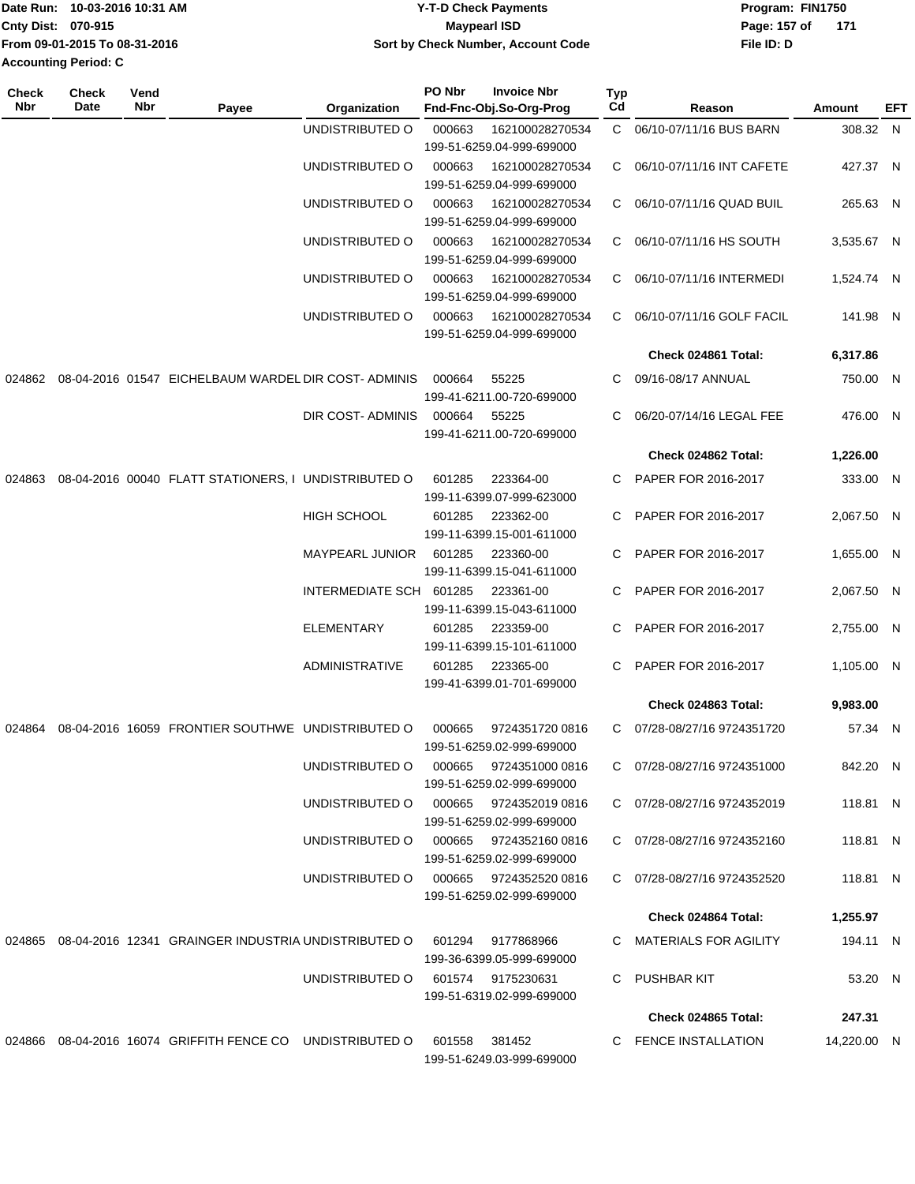| Date Run: 10-03-2016 10:31 AM |                               | Y-T-D Check Payments               | Program: FIN1750    |  |  |  |
|-------------------------------|-------------------------------|------------------------------------|---------------------|--|--|--|
| <b>Cnty Dist: 070-915</b>     |                               | <b>Mavpearl ISD</b>                | 171<br>Page: 157 of |  |  |  |
|                               | From 09-01-2015 To 08-31-2016 | Sort by Check Number, Account Code | File ID: D          |  |  |  |
|                               | Accounting Period: C          |                                    |                     |  |  |  |

| <b>Check</b><br>Nbr | <b>Check</b><br>Date | Vend<br>Nbr | Payee                                                         | Organization                           | PO Nbr                                 | <b>Invoice Nbr</b><br>Fnd-Fnc-Obj.So-Org-Prog                             | <b>Typ</b><br>Cd    | Reason                      | Amount      | EFT |
|---------------------|----------------------|-------------|---------------------------------------------------------------|----------------------------------------|----------------------------------------|---------------------------------------------------------------------------|---------------------|-----------------------------|-------------|-----|
|                     |                      |             |                                                               | UNDISTRIBUTED O                        | 000663                                 | 162100028270534<br>199-51-6259.04-999-699000                              |                     | C 06/10-07/11/16 BUS BARN   | 308.32 N    |     |
|                     |                      |             |                                                               | UNDISTRIBUTED O                        | 000663                                 | 162100028270534<br>199-51-6259.04-999-699000                              | $\mathbf{C}$        | 06/10-07/11/16 INT CAFETE   | 427.37 N    |     |
|                     |                      |             |                                                               | UNDISTRIBUTED O                        | 000663                                 | 162100028270534<br>199-51-6259.04-999-699000                              | C.                  | 06/10-07/11/16 QUAD BUIL    | 265.63 N    |     |
|                     |                      |             |                                                               | UNDISTRIBUTED O                        | 000663                                 | 162100028270534<br>199-51-6259.04-999-699000                              | C.                  | 06/10-07/11/16 HS SOUTH     | 3,535.67 N  |     |
|                     |                      |             |                                                               | UNDISTRIBUTED O                        | 000663                                 | 162100028270534                                                           | C.                  | 06/10-07/11/16 INTERMEDI    | 1.524.74 N  |     |
|                     |                      |             |                                                               | UNDISTRIBUTED O                        | 000663                                 | 199-51-6259.04-999-699000<br>162100028270534<br>199-51-6259.04-999-699000 | C.                  | 06/10-07/11/16 GOLF FACIL   | 141.98 N    |     |
|                     |                      |             |                                                               |                                        |                                        |                                                                           |                     | Check 024861 Total:         | 6,317.86    |     |
| 024862              |                      |             | 08-04-2016 01547 EICHELBAUM WARDEL DIR COST-ADMINIS           |                                        | 000664                                 | 55225<br>199-41-6211.00-720-699000                                        | C.                  | 09/16-08/17 ANNUAL          | 750.00 N    |     |
|                     |                      |             |                                                               | DIR COST- ADMINIS                      | 000664                                 | 55225<br>199-41-6211.00-720-699000                                        | C                   | 06/20-07/14/16 LEGAL FEE    | 476.00 N    |     |
|                     |                      |             |                                                               |                                        |                                        |                                                                           |                     | Check 024862 Total:         | 1,226.00    |     |
| 024863              |                      |             | 08-04-2016 00040 FLATT STATIONERS, I UNDISTRIBUTED O          |                                        | 601285                                 | 223364-00<br>199-11-6399.07-999-623000                                    | C.                  | PAPER FOR 2016-2017         | 333.00 N    |     |
|                     |                      |             |                                                               | <b>HIGH SCHOOL</b>                     | 601285                                 | 223362-00<br>199-11-6399.15-001-611000                                    | C.                  | PAPER FOR 2016-2017         | 2,067.50 N  |     |
|                     |                      |             |                                                               | <b>MAYPEARL JUNIOR</b>                 | 601285                                 | 223360-00<br>199-11-6399.15-041-611000                                    | C                   | PAPER FOR 2016-2017         | 1,655.00 N  |     |
|                     |                      |             |                                                               | INTERMEDIATE SCH 601285                |                                        | 223361-00<br>199-11-6399.15-043-611000                                    | C.                  | PAPER FOR 2016-2017         | 2,067.50 N  |     |
|                     |                      |             | <b>ELEMENTARY</b>                                             | 601285                                 | 223359-00<br>199-11-6399.15-101-611000 | C                                                                         | PAPER FOR 2016-2017 | 2,755.00 N                  |             |     |
|                     |                      |             |                                                               | ADMINISTRATIVE                         | 601285                                 | 223365-00<br>199-41-6399.01-701-699000                                    | C.                  | PAPER FOR 2016-2017         | 1,105.00 N  |     |
|                     |                      |             |                                                               |                                        |                                        |                                                                           |                     | Check 024863 Total:         | 9,983.00    |     |
| 024864              |                      |             | 08-04-2016 16059 FRONTIER SOUTHWE UNDISTRIBUTED O             |                                        | 000665                                 | 9724351720 0816<br>199-51-6259.02-999-699000                              | C.                  | 07/28-08/27/16 9724351720   | 57.34 N     |     |
|                     |                      |             |                                                               | UNDISTRIBUTED O                        | 000665                                 | 9724351000 0816<br>199-51-6259.02-999-699000                              |                     | C 07/28-08/27/16 9724351000 | 842.20 N    |     |
|                     |                      |             |                                                               | UNDISTRIBUTED O                        |                                        | 000665 9724352019 0816<br>199-51-6259.02-999-699000                       |                     | C 07/28-08/27/16 9724352019 | 118.81 N    |     |
|                     |                      |             |                                                               | UNDISTRIBUTED O 000665 9724352160 0816 |                                        | 199-51-6259.02-999-699000                                                 |                     | C 07/28-08/27/16 9724352160 | 118.81 N    |     |
|                     |                      |             |                                                               | UNDISTRIBUTED O 000665 9724352520 0816 |                                        | 199-51-6259.02-999-699000                                                 |                     | C 07/28-08/27/16 9724352520 | 118.81 N    |     |
|                     |                      |             |                                                               |                                        |                                        |                                                                           |                     | Check 024864 Total:         | 1,255.97    |     |
|                     |                      |             | 024865  08-04-2016  12341  GRAINGER INDUSTRIA UNDISTRIBUTED O |                                        |                                        | 601294 9177868966<br>199-36-6399.05-999-699000                            |                     | C MATERIALS FOR AGILITY     | 194.11 N    |     |
|                     |                      |             |                                                               | UNDISTRIBUTED 0 601574 9175230631      |                                        | 199-51-6319.02-999-699000                                                 |                     | C PUSHBAR KIT               | 53.20 N     |     |
|                     |                      |             |                                                               |                                        |                                        |                                                                           |                     | Check 024865 Total:         | 247.31      |     |
|                     |                      |             | 024866 08-04-2016 16074 GRIFFITH FENCE CO UNDISTRIBUTED O     |                                        | 601558 381452                          | 199-51-6249.03-999-699000                                                 |                     | C FENCE INSTALLATION        | 14,220.00 N |     |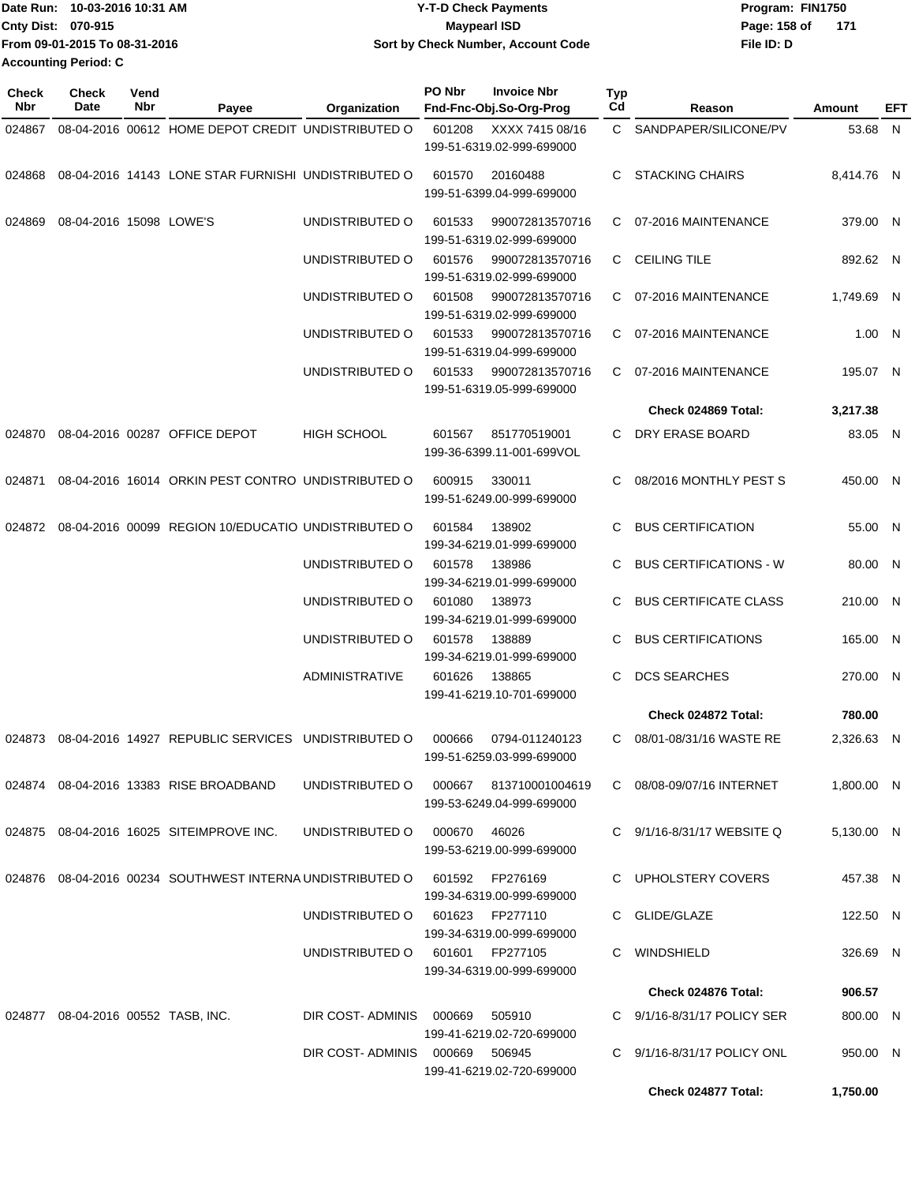| Date Run: 10-03-2016 10:31 AM |                               | <b>Y-T-D Check Payments</b>        | Program: FIN1750    |  |  |  |
|-------------------------------|-------------------------------|------------------------------------|---------------------|--|--|--|
| <b>Cnty Dist: 070-915</b>     |                               | <b>Mavpearl ISD</b>                | Page: 158 of<br>171 |  |  |  |
|                               | From 09-01-2015 To 08-31-2016 | Sort by Check Number, Account Code | File ID: D          |  |  |  |
| <b>Accounting Period: C</b>   |                               |                                    |                     |  |  |  |

| Check<br><b>Nbr</b> | <b>Check</b><br>Date               | Vend<br>Nbr | Payee                                                                                                | Organization                           | PO Nbr                                        | <b>Invoice Nbr</b><br>Fnd-Fnc-Obj.So-Org-Prog | Typ<br>Cd | Reason                         | <b>Amount</b> | EFT |
|---------------------|------------------------------------|-------------|------------------------------------------------------------------------------------------------------|----------------------------------------|-----------------------------------------------|-----------------------------------------------|-----------|--------------------------------|---------------|-----|
| 024867              |                                    |             | 08-04-2016 00612 HOME DEPOT CREDIT UNDISTRIBUTED O                                                   |                                        | 601208                                        | XXXX 7415 08/16<br>199-51-6319.02-999-699000  |           | C SANDPAPER/SILICONE/PV        | 53.68 N       |     |
| 024868              |                                    |             | 08-04-2016 14143 LONE STAR FURNISHI UNDISTRIBUTED O                                                  |                                        | 601570                                        | 20160488<br>199-51-6399.04-999-699000         | C.        | <b>STACKING CHAIRS</b>         | 8,414.76 N    |     |
| 024869              | 08-04-2016 15098 LOWE'S            |             |                                                                                                      | UNDISTRIBUTED O                        | 601533                                        | 990072813570716<br>199-51-6319.02-999-699000  |           | C 07-2016 MAINTENANCE          | 379.00 N      |     |
|                     |                                    |             |                                                                                                      | UNDISTRIBUTED O                        | 601576                                        | 990072813570716<br>199-51-6319.02-999-699000  |           | C CEILING TILE                 | 892.62 N      |     |
|                     |                                    |             |                                                                                                      | UNDISTRIBUTED O                        | 601508                                        | 990072813570716<br>199-51-6319.02-999-699000  |           | C 07-2016 MAINTENANCE          | 1,749.69 N    |     |
|                     |                                    |             |                                                                                                      | UNDISTRIBUTED O                        | 601533                                        | 990072813570716<br>199-51-6319.04-999-699000  | C.        | 07-2016 MAINTENANCE            | 1.00 N        |     |
|                     |                                    |             |                                                                                                      | UNDISTRIBUTED O                        | 601533                                        | 990072813570716<br>199-51-6319.05-999-699000  |           | C 07-2016 MAINTENANCE          | 195.07 N      |     |
|                     |                                    |             |                                                                                                      |                                        |                                               |                                               |           | Check 024869 Total:            | 3,217.38      |     |
| 024870              |                                    |             | 08-04-2016 00287 OFFICE DEPOT                                                                        | <b>HIGH SCHOOL</b>                     | 601567                                        | 851770519001<br>199-36-6399.11-001-699VOL     |           | C DRY ERASE BOARD              | 83.05 N       |     |
| 024871              |                                    |             | 08-04-2016 16014 ORKIN PEST CONTRO UNDISTRIBUTED O                                                   |                                        | 600915<br>330011<br>199-51-6249.00-999-699000 |                                               | C.        | 08/2016 MONTHLY PEST S         | 450.00 N      |     |
| 024872              |                                    |             | 08-04-2016 00099 REGION 10/EDUCATIO UNDISTRIBUTED O<br>601584<br>138902<br>199-34-6219.01-999-699000 |                                        | C.                                            | <b>BUS CERTIFICATION</b>                      | 55.00 N   |                                |               |     |
|                     |                                    |             |                                                                                                      | UNDISTRIBUTED O                        | 601578                                        | 138986<br>199-34-6219.01-999-699000           | C.        | <b>BUS CERTIFICATIONS - W</b>  | 80.00 N       |     |
|                     |                                    |             |                                                                                                      | UNDISTRIBUTED O                        | 601080                                        | 138973<br>199-34-6219.01-999-699000           | C         | <b>BUS CERTIFICATE CLASS</b>   | 210.00 N      |     |
|                     |                                    |             |                                                                                                      | UNDISTRIBUTED O                        | 601578                                        | 138889<br>199-34-6219.01-999-699000           | C         | <b>BUS CERTIFICATIONS</b>      | 165.00 N      |     |
|                     |                                    |             |                                                                                                      | <b>ADMINISTRATIVE</b>                  | 601626                                        | 138865<br>199-41-6219.10-701-699000           | C.        | <b>DCS SEARCHES</b>            | 270.00 N      |     |
|                     |                                    |             |                                                                                                      |                                        |                                               |                                               |           | Check 024872 Total:            | 780.00        |     |
|                     |                                    |             | 024873 08-04-2016 14927 REPUBLIC SERVICES UNDISTRIBUTED O                                            |                                        | 000666                                        | 0794-011240123<br>199-51-6259.03-999-699000   | C.        | 08/01-08/31/16 WASTE RE        | 2,326.63 N    |     |
|                     |                                    |             | 024874 08-04-2016 13383 RISE BROADBAND                                                               | UNDISTRIBUTED O 000667 813710001004619 |                                               | 199-53-6249.04-999-699000                     |           | C 08/08-09/07/16 INTERNET      | 1,800.00 N    |     |
|                     |                                    |             | 024875 08-04-2016 16025 SITEIMPROVE INC.                                                             | UNDISTRIBUTED O                        | 000670                                        | 46026<br>199-53-6219.00-999-699000            |           | C $9/1/16 - 8/31/17$ WEBSITE Q | 5,130.00 N    |     |
|                     |                                    |             | 024876 08-04-2016 00234 SOUTHWEST INTERNA UNDISTRIBUTED O 601592 FP276169                            |                                        |                                               | 199-34-6319.00-999-699000                     |           | C UPHOLSTERY COVERS            | 457.38 N      |     |
|                     |                                    |             |                                                                                                      | UNDISTRIBUTED 0 601623 FP277110        |                                               | 199-34-6319.00-999-699000                     |           | C GLIDE/GLAZE                  | 122.50 N      |     |
|                     |                                    |             |                                                                                                      | UNDISTRIBUTED O 601601 FP277105        |                                               | 199-34-6319.00-999-699000                     |           | C WINDSHIELD                   | 326.69 N      |     |
|                     |                                    |             |                                                                                                      |                                        |                                               |                                               |           | Check 024876 Total:            | 906.57        |     |
|                     | 024877 08-04-2016 00552 TASB, INC. |             |                                                                                                      | DIR COST-ADMINIS 000669                |                                               | 505910<br>199-41-6219.02-720-699000           |           | C 9/1/16-8/31/17 POLICY SER    | 800.00 N      |     |
|                     |                                    |             |                                                                                                      | DIR COST-ADMINIS 000669 506945         |                                               | 199-41-6219.02-720-699000                     |           | C 9/1/16-8/31/17 POLICY ONL    | 950.00 N      |     |
|                     |                                    |             |                                                                                                      |                                        |                                               |                                               |           | Check 024877 Total:            | 1,750.00      |     |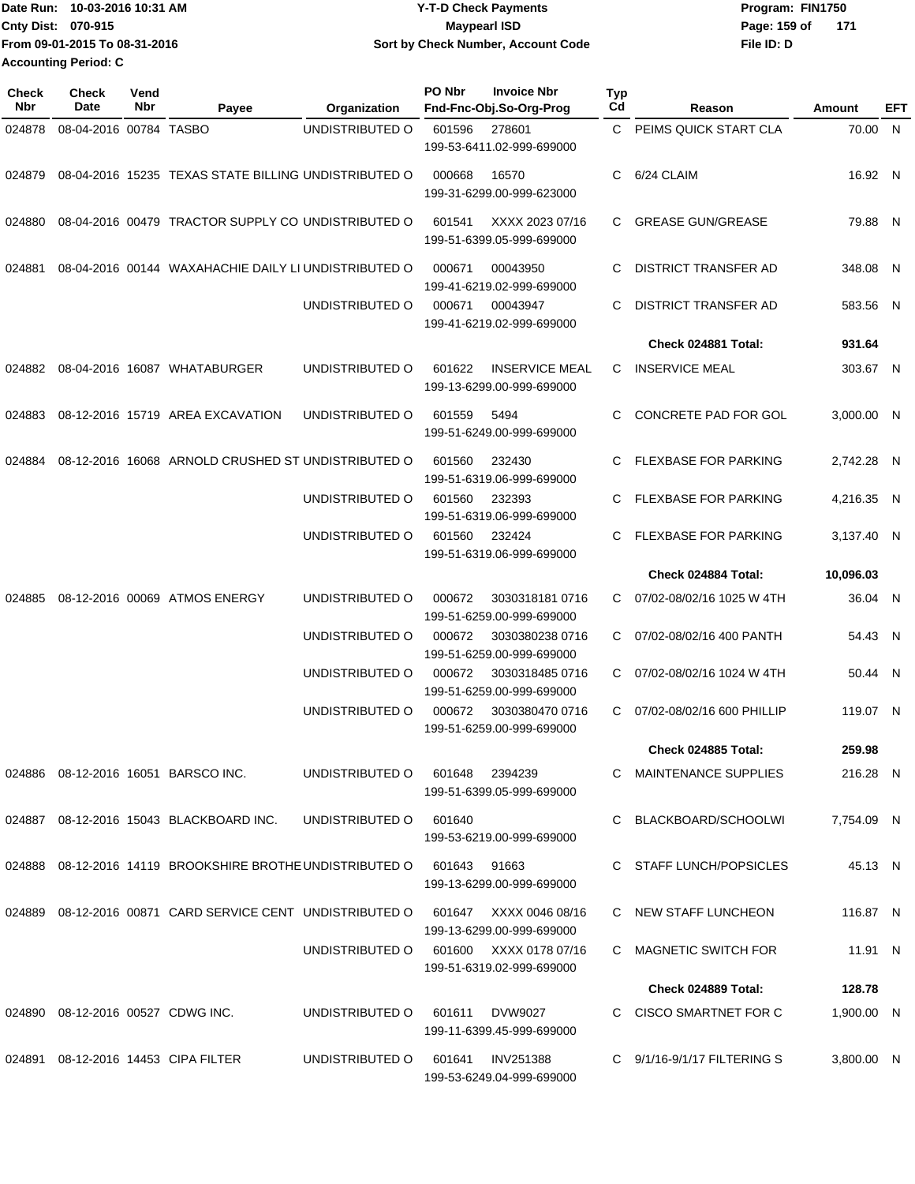| 10-03-2016 10:31 AM<br><b>Date Run:</b> | <b>Y-T-D Check Payments</b>        | Program: FIN1750    |  |  |  |
|-----------------------------------------|------------------------------------|---------------------|--|--|--|
| <b>Cnty Dist: 070-915</b>               | <b>Mavpearl ISD</b>                | Page: 159 of<br>171 |  |  |  |
| From 09-01-2015 To 08-31-2016           | Sort by Check Number, Account Code | File ID: D          |  |  |  |
| <b>Accounting Period: C</b>             |                                    |                     |  |  |  |

| <b>Check</b><br>Nbr | <b>Check</b><br><b>Date</b> | Vend<br>Nbr | Payee                                                                            | Organization    | PO Nbr | <b>Invoice Nbr</b><br>Fnd-Fnc-Obj.So-Org-Prog       | <b>Typ</b><br>Cd | Reason                          | Amount     | EFT          |
|---------------------|-----------------------------|-------------|----------------------------------------------------------------------------------|-----------------|--------|-----------------------------------------------------|------------------|---------------------------------|------------|--------------|
| 024878              | 08-04-2016 00784 TASBO      |             |                                                                                  | UNDISTRIBUTED O | 601596 | 278601<br>199-53-6411.02-999-699000                 | C.               | PEIMS QUICK START CLA           | 70.00 N    |              |
| 024879              |                             |             | 08-04-2016 15235 TEXAS STATE BILLING UNDISTRIBUTED O                             |                 | 000668 | 16570<br>199-31-6299.00-999-623000                  | C                | 6/24 CLAIM                      | 16.92 N    |              |
| 024880              |                             |             | 08-04-2016 00479 TRACTOR SUPPLY CO UNDISTRIBUTED O                               |                 | 601541 | XXXX 2023 07/16<br>199-51-6399.05-999-699000        | C                | <b>GREASE GUN/GREASE</b>        | 79.88 N    |              |
| 024881              |                             |             | 08-04-2016 00144 WAXAHACHIE DAILY LI UNDISTRIBUTED O                             |                 | 000671 | 00043950<br>199-41-6219.02-999-699000               | C                | DISTRICT TRANSFER AD            | 348.08 N   |              |
|                     |                             |             |                                                                                  | UNDISTRIBUTED O | 000671 | 00043947<br>199-41-6219.02-999-699000               | C                | DISTRICT TRANSFER AD            | 583.56 N   |              |
|                     |                             |             |                                                                                  |                 |        |                                                     |                  | Check 024881 Total:             | 931.64     |              |
| 024882              |                             |             | 08-04-2016 16087 WHATABURGER                                                     | UNDISTRIBUTED O | 601622 | <b>INSERVICE MEAL</b><br>199-13-6299.00-999-699000  | C                | <b>INSERVICE MEAL</b>           | 303.67 N   |              |
| 024883              |                             |             | 08-12-2016 15719 AREA EXCAVATION                                                 | UNDISTRIBUTED O | 601559 | 5494<br>199-51-6249.00-999-699000                   | C                | <b>CONCRETE PAD FOR GOL</b>     | 3,000.00 N |              |
| 024884              |                             |             | 08-12-2016 16068 ARNOLD CRUSHED ST UNDISTRIBUTED O                               |                 | 601560 | 232430<br>199-51-6319.06-999-699000                 | C                | <b>FLEXBASE FOR PARKING</b>     | 2.742.28 N |              |
|                     |                             |             |                                                                                  | UNDISTRIBUTED O | 601560 | 232393<br>199-51-6319.06-999-699000                 | C                | <b>FLEXBASE FOR PARKING</b>     | 4,216.35   | $\mathsf{N}$ |
|                     |                             |             |                                                                                  | UNDISTRIBUTED O | 601560 | 232424<br>199-51-6319.06-999-699000                 |                  | <b>FLEXBASE FOR PARKING</b>     | 3,137.40 N |              |
|                     |                             |             |                                                                                  |                 |        |                                                     |                  | Check 024884 Total:             | 10,096.03  |              |
| 024885              |                             |             | 08-12-2016 00069 ATMOS ENERGY                                                    | UNDISTRIBUTED O | 000672 | 30303181810716<br>199-51-6259.00-999-699000         | C                | 07/02-08/02/16 1025 W 4TH       | 36.04 N    |              |
|                     |                             |             |                                                                                  | UNDISTRIBUTED O | 000672 | 3030380238 0716<br>199-51-6259.00-999-699000        | C.               | 07/02-08/02/16 400 PANTH        | 54.43 N    |              |
|                     |                             |             |                                                                                  | UNDISTRIBUTED O | 000672 | 3030318485 0716<br>199-51-6259.00-999-699000        | C.               | 07/02-08/02/16 1024 W 4TH       | 50.44 N    |              |
|                     |                             |             |                                                                                  | UNDISTRIBUTED O | 000672 | 3030380470 0716<br>199-51-6259.00-999-699000        | C                | 07/02-08/02/16 600 PHILLIP      | 119.07 N   |              |
|                     |                             |             |                                                                                  |                 |        |                                                     |                  | <b>Check 024885 Total:</b>      | 259.98     |              |
|                     |                             |             | 024886  08-12-2016  16051  BARSCO INC.                                           | UNDISTRIBUTED O |        | 601648 2394239<br>199-51-6399.05-999-699000         |                  | C MAINTENANCE SUPPLIES          | 216.28 N   |              |
|                     |                             |             | 024887 08-12-2016 15043 BLACKBOARD INC.                                          | UNDISTRIBUTED O | 601640 | 199-53-6219.00-999-699000                           |                  | C BLACKBOARD/SCHOOLWI           | 7.754.09 N |              |
|                     |                             |             | 024888 08-12-2016 14119 BROOKSHIRE BROTHE UNDISTRIBUTED O 601643 91663           |                 |        | 199-13-6299.00-999-699000                           |                  | C STAFF LUNCH/POPSICLES         | 45.13 N    |              |
|                     |                             |             | 024889 08-12-2016 00871 CARD SERVICE CENT UNDISTRIBUTED O 601647 XXXX 0046 08/16 |                 |        | 199-13-6299.00-999-699000                           |                  | C NEW STAFF LUNCHEON            | 116.87 N   |              |
|                     |                             |             |                                                                                  | UNDISTRIBUTED O |        | 601600 XXXX 0178 07/16<br>199-51-6319.02-999-699000 |                  | C MAGNETIC SWITCH FOR           | 11.91 N    |              |
|                     |                             |             |                                                                                  |                 |        |                                                     |                  | Check 024889 Total:             | 128.78     |              |
|                     |                             |             | 024890 08-12-2016 00527 CDWG INC.                                                | UNDISTRIBUTED O | 601611 | DVW9027<br>199-11-6399.45-999-699000                |                  | C CISCO SMARTNET FOR C          | 1,900.00 N |              |
|                     |                             |             | 024891  08-12-2016  14453  CIPA FILTER                                           | UNDISTRIBUTED O |        | 601641 INV251388<br>199-53-6249.04-999-699000       |                  | C $9/1/16 - 9/1/17$ FILTERING S | 3,800.00 N |              |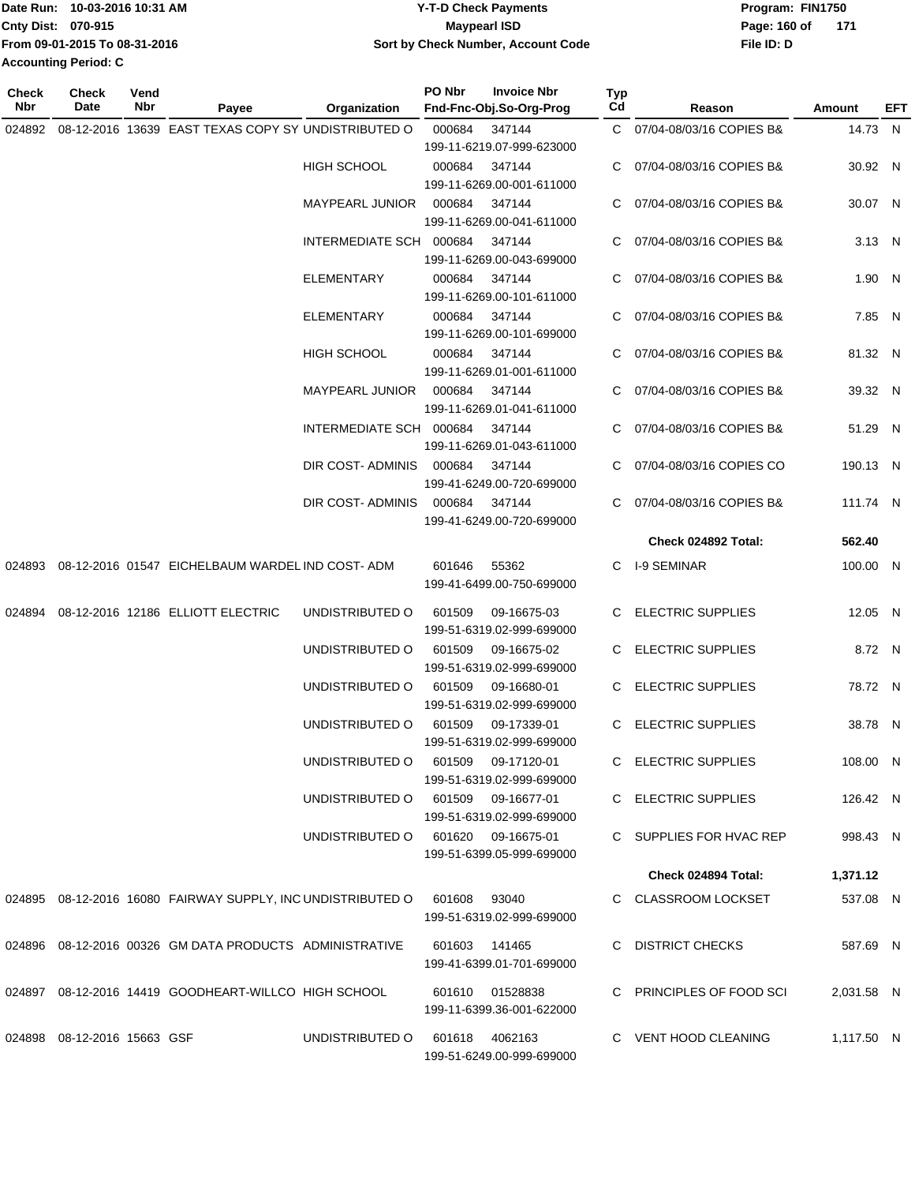| 1Date Run: 10-03-2016 10:31 AM | <b>Y-T-D Check Payments</b>        | Program: FIN1750    |  |  |  |
|--------------------------------|------------------------------------|---------------------|--|--|--|
| Cnty Dist: 070-915             | <b>Mavpearl ISD</b>                | Page: 160 of<br>171 |  |  |  |
| From 09-01-2015 To 08-31-2016  | Sort by Check Number, Account Code | File ID: D          |  |  |  |
| <b>Accounting Period: C</b>    |                                    |                     |  |  |  |

| <b>Check</b><br>Nbr | Check<br>Date               | Vend<br>Nbr | Payee                                                       | Organization                       | PO Nbr         | <b>Invoice Nbr</b><br>Fnd-Fnc-Obj.So-Org-Prog                    | <b>Typ</b><br>Cd | Reason                     | Amount     | EFT |
|---------------------|-----------------------------|-------------|-------------------------------------------------------------|------------------------------------|----------------|------------------------------------------------------------------|------------------|----------------------------|------------|-----|
|                     |                             |             | 024892 08-12-2016 13639 EAST TEXAS COPY SY UNDISTRIBUTED O  |                                    | 000684 347144  | 199-11-6219.07-999-623000                                        |                  | C 07/04-08/03/16 COPIES B& | 14.73 N    |     |
|                     |                             |             |                                                             | HIGH SCHOOL                        | 000684 347144  | 199-11-6269.00-001-611000                                        |                  | C 07/04-08/03/16 COPIES B& | 30.92 N    |     |
|                     |                             |             |                                                             | MAYPEARL JUNIOR 000684 347144      |                |                                                                  |                  | C 07/04-08/03/16 COPIES B& | 30.07 N    |     |
|                     |                             |             |                                                             | INTERMEDIATE SCH 000684            |                | 199-11-6269.00-041-611000<br>347144<br>199-11-6269.00-043-699000 |                  | C 07/04-08/03/16 COPIES B& | 3.13 N     |     |
|                     |                             |             |                                                             | ELEMENTARY                         | 000684         | 347144<br>199-11-6269.00-101-611000                              |                  | 07/04-08/03/16 COPIES B&   | 1.90 N     |     |
|                     |                             |             |                                                             | ELEMENTARY                         | 000684 347144  | 199-11-6269.00-101-699000                                        | C.               | 07/04-08/03/16 COPIES B&   | 7.85 N     |     |
|                     |                             |             |                                                             | HIGH SCHOOL                        | 000684 347144  | 199-11-6269.01-001-611000                                        |                  | C 07/04-08/03/16 COPIES B& | 81.32 N    |     |
|                     |                             |             |                                                             | MAYPEARL JUNIOR 000684 347144      |                | 199-11-6269.01-041-611000                                        |                  | C 07/04-08/03/16 COPIES B& | 39.32 N    |     |
|                     |                             |             |                                                             | INTERMEDIATE SCH 000684 347144     |                | 199-11-6269.01-043-611000                                        |                  | C 07/04-08/03/16 COPIES B& | 51.29 N    |     |
|                     |                             |             |                                                             | DIR COST-ADMINIS 000684 347144     |                | 199-41-6249.00-720-699000                                        |                  | C 07/04-08/03/16 COPIES CO | 190.13 N   |     |
|                     |                             |             |                                                             | DIR COST- ADMINIS                  | 000684 347144  | 199-41-6249.00-720-699000                                        |                  | C 07/04-08/03/16 COPIES B& | 111.74 N   |     |
|                     |                             |             |                                                             |                                    |                |                                                                  |                  | Check 024892 Total:        | 562.40     |     |
|                     |                             |             | 024893 08-12-2016 01547 EICHELBAUM WARDEL IND COST-ADM      |                                    | 601646         | 55362<br>199-41-6499.00-750-699000                               |                  | C I-9 SEMINAR              | 100.00 N   |     |
|                     |                             |             | 024894 08-12-2016 12186 ELLIOTT ELECTRIC                    | UNDISTRIBUTED O                    | 601509         | 09-16675-03<br>199-51-6319.02-999-699000                         |                  | C ELECTRIC SUPPLIES        | 12.05 N    |     |
|                     |                             |             |                                                             | UNDISTRIBUTED O                    | 601509         | 09-16675-02<br>199-51-6319.02-999-699000                         |                  | C ELECTRIC SUPPLIES        | 8.72 N     |     |
|                     |                             |             |                                                             | UNDISTRIBUTED O                    | 601509         | 09-16680-01<br>199-51-6319.02-999-699000                         |                  | C ELECTRIC SUPPLIES        | 78.72 N    |     |
|                     |                             |             |                                                             | UNDISTRIBUTED O                    | 601509         | 09-17339-01<br>199-51-6319.02-999-699000                         |                  | C ELECTRIC SUPPLIES        | 38.78 N    |     |
|                     |                             |             |                                                             | UNDISTRIBUTED O                    |                | 601509 09-17120-01<br>199-51-6319.02-999-699000                  |                  | C ELECTRIC SUPPLIES        | 108.00 N   |     |
|                     |                             |             |                                                             | UNDISTRIBUTED O 601509 09-16677-01 |                | 199-51-6319.02-999-699000                                        |                  | C ELECTRIC SUPPLIES        | 126.42 N   |     |
|                     |                             |             |                                                             | UNDISTRIBUTED O 601620 09-16675-01 |                | 199-51-6399.05-999-699000                                        |                  | C SUPPLIES FOR HVAC REP    | 998.43 N   |     |
|                     |                             |             |                                                             |                                    |                |                                                                  |                  | Check 024894 Total:        | 1,371.12   |     |
|                     |                             |             | 024895 08-12-2016 16080 FAIRWAY SUPPLY, INC UNDISTRIBUTED O |                                    | 601608 93040   | 199-51-6319.02-999-699000                                        |                  | C CLASSROOM LOCKSET        | 537.08 N   |     |
|                     |                             |             | 024896 08-12-2016 00326 GM DATA PRODUCTS ADMINISTRATIVE     |                                    |                | 601603 141465<br>199-41-6399.01-701-699000                       |                  | C DISTRICT CHECKS          | 587.69 N   |     |
|                     |                             |             | 024897 08-12-2016 14419 GOODHEART-WILLCO HIGH SCHOOL        |                                    |                | 601610 01528838<br>199-11-6399.36-001-622000                     |                  | C PRINCIPLES OF FOOD SCI   | 2,031.58 N |     |
|                     | 024898 08-12-2016 15663 GSF |             |                                                             | UNDISTRIBUTED O                    | 601618 4062163 | 199-51-6249.00-999-699000                                        |                  | C VENT HOOD CLEANING       | 1,117.50 N |     |
|                     |                             |             |                                                             |                                    |                |                                                                  |                  |                            |            |     |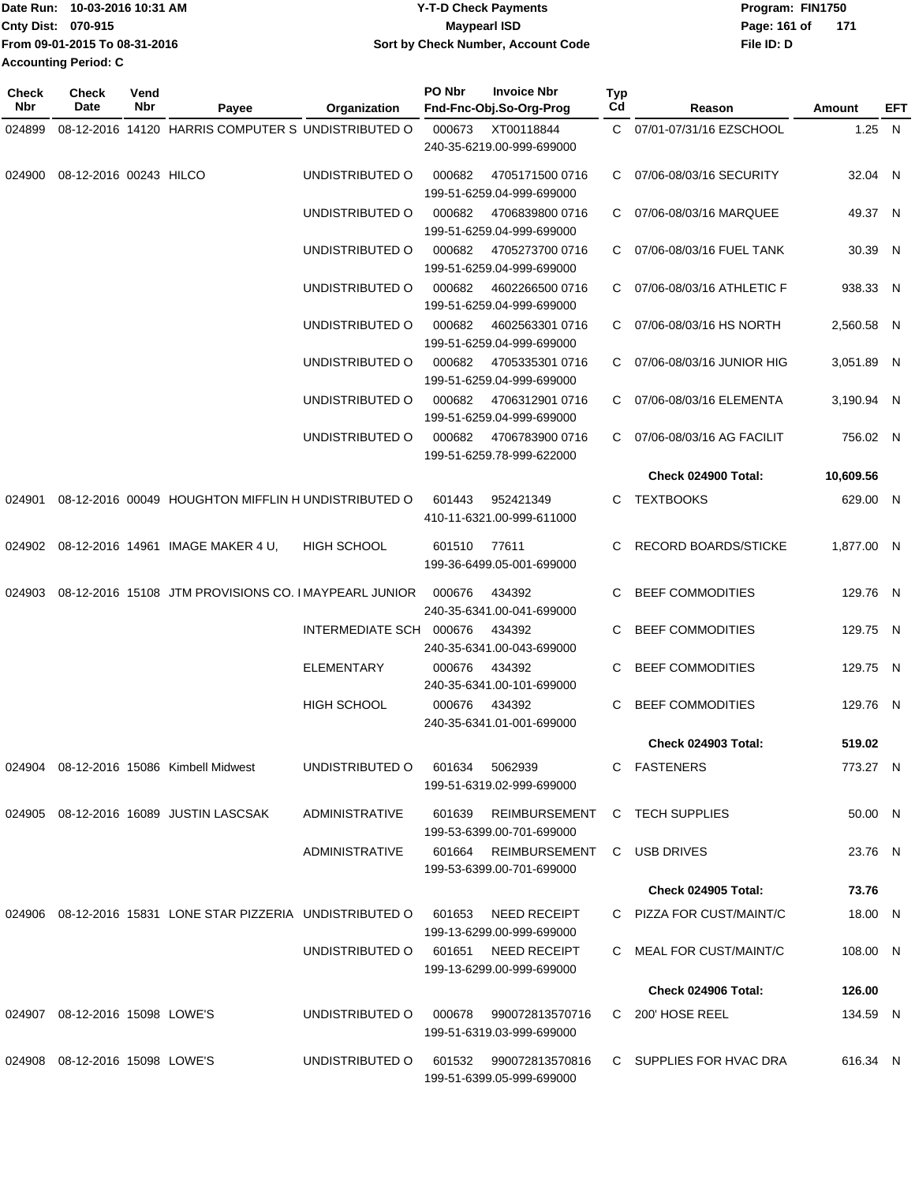| Date Run: 10-03-2016 10:31 AM | Y-T-D Check Payments               | Program: FIN1750 |     |
|-------------------------------|------------------------------------|------------------|-----|
| Cnty Dist: 070-915            | <b>Mavpearl ISD</b>                | Page: 161 of     | 171 |
| From 09-01-2015 To 08-31-2016 | Sort by Check Number, Account Code | File ID: D       |     |
| <b>Accounting Period: C</b>   |                                    |                  |     |

| Check<br>Date | Vend<br>Nbr | Payee             | Organization                                                                                                                                                                                                                       | PO Nbr                                                                                                                                                                         | <b>Invoice Nbr</b>                                                                        | Typ<br>Cd                                                                                                                                                                                                                                                                                                                                                                                                                                                                                                                                                                                                                                                                                                                                                                                 | Reason                     | Amount                                                                                                                                                                                                                                                                                                                                                                                       | EFT    |
|---------------|-------------|-------------------|------------------------------------------------------------------------------------------------------------------------------------------------------------------------------------------------------------------------------------|--------------------------------------------------------------------------------------------------------------------------------------------------------------------------------|-------------------------------------------------------------------------------------------|-------------------------------------------------------------------------------------------------------------------------------------------------------------------------------------------------------------------------------------------------------------------------------------------------------------------------------------------------------------------------------------------------------------------------------------------------------------------------------------------------------------------------------------------------------------------------------------------------------------------------------------------------------------------------------------------------------------------------------------------------------------------------------------------|----------------------------|----------------------------------------------------------------------------------------------------------------------------------------------------------------------------------------------------------------------------------------------------------------------------------------------------------------------------------------------------------------------------------------------|--------|
|               |             |                   |                                                                                                                                                                                                                                    |                                                                                                                                                                                |                                                                                           |                                                                                                                                                                                                                                                                                                                                                                                                                                                                                                                                                                                                                                                                                                                                                                                           |                            |                                                                                                                                                                                                                                                                                                                                                                                              |        |
|               |             |                   |                                                                                                                                                                                                                                    |                                                                                                                                                                                |                                                                                           |                                                                                                                                                                                                                                                                                                                                                                                                                                                                                                                                                                                                                                                                                                                                                                                           |                            |                                                                                                                                                                                                                                                                                                                                                                                              |        |
|               |             |                   | UNDISTRIBUTED O                                                                                                                                                                                                                    | 000682                                                                                                                                                                         | 4705171500 0716                                                                           |                                                                                                                                                                                                                                                                                                                                                                                                                                                                                                                                                                                                                                                                                                                                                                                           |                            | 32.04 N                                                                                                                                                                                                                                                                                                                                                                                      |        |
|               |             |                   | UNDISTRIBUTED O                                                                                                                                                                                                                    | 000682                                                                                                                                                                         | 4706839800 0716                                                                           |                                                                                                                                                                                                                                                                                                                                                                                                                                                                                                                                                                                                                                                                                                                                                                                           |                            | 49.37 N                                                                                                                                                                                                                                                                                                                                                                                      |        |
|               |             |                   | UNDISTRIBUTED O                                                                                                                                                                                                                    | 000682                                                                                                                                                                         | 4705273700 0716                                                                           |                                                                                                                                                                                                                                                                                                                                                                                                                                                                                                                                                                                                                                                                                                                                                                                           |                            | 30.39 N                                                                                                                                                                                                                                                                                                                                                                                      |        |
|               |             |                   | UNDISTRIBUTED O                                                                                                                                                                                                                    | 000682                                                                                                                                                                         | 4602266500 0716                                                                           | C.                                                                                                                                                                                                                                                                                                                                                                                                                                                                                                                                                                                                                                                                                                                                                                                        | 07/06-08/03/16 ATHLETIC F  | 938.33 N                                                                                                                                                                                                                                                                                                                                                                                     |        |
|               |             |                   | UNDISTRIBUTED O                                                                                                                                                                                                                    | 000682                                                                                                                                                                         | 4602563301 0716                                                                           | C.                                                                                                                                                                                                                                                                                                                                                                                                                                                                                                                                                                                                                                                                                                                                                                                        | 07/06-08/03/16 HS NORTH    | 2,560.58 N                                                                                                                                                                                                                                                                                                                                                                                   |        |
|               |             |                   | UNDISTRIBUTED O                                                                                                                                                                                                                    | 000682                                                                                                                                                                         | 4705335301 0716                                                                           | C.                                                                                                                                                                                                                                                                                                                                                                                                                                                                                                                                                                                                                                                                                                                                                                                        | 07/06-08/03/16 JUNIOR HIG  | 3,051.89 N                                                                                                                                                                                                                                                                                                                                                                                   |        |
|               |             |                   | UNDISTRIBUTED O                                                                                                                                                                                                                    | 000682                                                                                                                                                                         | 4706312901 0716                                                                           | C.                                                                                                                                                                                                                                                                                                                                                                                                                                                                                                                                                                                                                                                                                                                                                                                        |                            | 3,190.94 N                                                                                                                                                                                                                                                                                                                                                                                   |        |
|               |             |                   | UNDISTRIBUTED O                                                                                                                                                                                                                    | 000682                                                                                                                                                                         | 4706783900 0716                                                                           | C.                                                                                                                                                                                                                                                                                                                                                                                                                                                                                                                                                                                                                                                                                                                                                                                        |                            | 756.02 N                                                                                                                                                                                                                                                                                                                                                                                     |        |
|               |             |                   |                                                                                                                                                                                                                                    |                                                                                                                                                                                |                                                                                           |                                                                                                                                                                                                                                                                                                                                                                                                                                                                                                                                                                                                                                                                                                                                                                                           | <b>Check 024900 Total:</b> | 10,609.56                                                                                                                                                                                                                                                                                                                                                                                    |        |
|               |             |                   |                                                                                                                                                                                                                                    | 601443                                                                                                                                                                         | 952421349                                                                                 |                                                                                                                                                                                                                                                                                                                                                                                                                                                                                                                                                                                                                                                                                                                                                                                           |                            | 629.00 N                                                                                                                                                                                                                                                                                                                                                                                     |        |
|               |             |                   | <b>HIGH SCHOOL</b>                                                                                                                                                                                                                 | 601510                                                                                                                                                                         | 77611                                                                                     | C.                                                                                                                                                                                                                                                                                                                                                                                                                                                                                                                                                                                                                                                                                                                                                                                        |                            | 1,877.00 N                                                                                                                                                                                                                                                                                                                                                                                   |        |
|               |             |                   |                                                                                                                                                                                                                                    | 000676                                                                                                                                                                         | 434392                                                                                    | C.                                                                                                                                                                                                                                                                                                                                                                                                                                                                                                                                                                                                                                                                                                                                                                                        | <b>BEEF COMMODITIES</b>    | 129.76 N                                                                                                                                                                                                                                                                                                                                                                                     |        |
|               |             |                   |                                                                                                                                                                                                                                    |                                                                                                                                                                                | 434392                                                                                    | C                                                                                                                                                                                                                                                                                                                                                                                                                                                                                                                                                                                                                                                                                                                                                                                         | <b>BEEF COMMODITIES</b>    | 129.75 N                                                                                                                                                                                                                                                                                                                                                                                     |        |
|               |             | <b>ELEMENTARY</b> | 000676                                                                                                                                                                                                                             | 434392                                                                                                                                                                         | C.                                                                                        | <b>BEEF COMMODITIES</b>                                                                                                                                                                                                                                                                                                                                                                                                                                                                                                                                                                                                                                                                                                                                                                   | 129.75 N                   |                                                                                                                                                                                                                                                                                                                                                                                              |        |
|               |             |                   | <b>HIGH SCHOOL</b>                                                                                                                                                                                                                 | 000676                                                                                                                                                                         | 434392                                                                                    | C.                                                                                                                                                                                                                                                                                                                                                                                                                                                                                                                                                                                                                                                                                                                                                                                        | <b>BEEF COMMODITIES</b>    | 129.76 N                                                                                                                                                                                                                                                                                                                                                                                     |        |
|               |             |                   |                                                                                                                                                                                                                                    |                                                                                                                                                                                |                                                                                           |                                                                                                                                                                                                                                                                                                                                                                                                                                                                                                                                                                                                                                                                                                                                                                                           | <b>Check 024903 Total:</b> | 519.02                                                                                                                                                                                                                                                                                                                                                                                       |        |
|               |             |                   | UNDISTRIBUTED O                                                                                                                                                                                                                    |                                                                                                                                                                                |                                                                                           |                                                                                                                                                                                                                                                                                                                                                                                                                                                                                                                                                                                                                                                                                                                                                                                           |                            | 773.27 N                                                                                                                                                                                                                                                                                                                                                                                     |        |
|               |             |                   | <b>ADMINISTRATIVE</b>                                                                                                                                                                                                              | 601639                                                                                                                                                                         |                                                                                           |                                                                                                                                                                                                                                                                                                                                                                                                                                                                                                                                                                                                                                                                                                                                                                                           |                            | 50.00 N                                                                                                                                                                                                                                                                                                                                                                                      |        |
|               |             |                   | ADMINISTRATIVE                                                                                                                                                                                                                     |                                                                                                                                                                                |                                                                                           |                                                                                                                                                                                                                                                                                                                                                                                                                                                                                                                                                                                                                                                                                                                                                                                           |                            | 23.76 N                                                                                                                                                                                                                                                                                                                                                                                      |        |
|               |             |                   |                                                                                                                                                                                                                                    |                                                                                                                                                                                |                                                                                           |                                                                                                                                                                                                                                                                                                                                                                                                                                                                                                                                                                                                                                                                                                                                                                                           | <b>Check 024905 Total:</b> | 73.76                                                                                                                                                                                                                                                                                                                                                                                        |        |
|               |             |                   |                                                                                                                                                                                                                                    | 601653                                                                                                                                                                         | <b>NEED RECEIPT</b>                                                                       |                                                                                                                                                                                                                                                                                                                                                                                                                                                                                                                                                                                                                                                                                                                                                                                           |                            | 18.00 N                                                                                                                                                                                                                                                                                                                                                                                      |        |
|               |             |                   | UNDISTRIBUTED O                                                                                                                                                                                                                    |                                                                                                                                                                                |                                                                                           |                                                                                                                                                                                                                                                                                                                                                                                                                                                                                                                                                                                                                                                                                                                                                                                           |                            | 108.00 N                                                                                                                                                                                                                                                                                                                                                                                     |        |
|               |             |                   |                                                                                                                                                                                                                                    |                                                                                                                                                                                |                                                                                           |                                                                                                                                                                                                                                                                                                                                                                                                                                                                                                                                                                                                                                                                                                                                                                                           | <b>Check 024906 Total:</b> | 126.00                                                                                                                                                                                                                                                                                                                                                                                       |        |
|               |             |                   | UNDISTRIBUTED O                                                                                                                                                                                                                    | 000678                                                                                                                                                                         |                                                                                           |                                                                                                                                                                                                                                                                                                                                                                                                                                                                                                                                                                                                                                                                                                                                                                                           |                            | 134.59 N                                                                                                                                                                                                                                                                                                                                                                                     |        |
|               |             |                   | UNDISTRIBUTED O                                                                                                                                                                                                                    |                                                                                                                                                                                |                                                                                           |                                                                                                                                                                                                                                                                                                                                                                                                                                                                                                                                                                                                                                                                                                                                                                                           |                            | 616.34 N                                                                                                                                                                                                                                                                                                                                                                                     |        |
|               |             |                   | 024900 08-12-2016 00243 HILCO<br>024902 08-12-2016 14961 IMAGE MAKER 4 U,<br>024904 08-12-2016 15086 Kimbell Midwest<br>024905 08-12-2016 16089 JUSTIN LASCSAK<br>024907 08-12-2016 15098 LOWE'S<br>024908 08-12-2016 15098 LOWE'S | 08-12-2016 14120 HARRIS COMPUTER S UNDISTRIBUTED O<br>024901 08-12-2016 00049 HOUGHTON MIFFLIN H UNDISTRIBUTED O<br>024906 08-12-2016 15831 LONE STAR PIZZERIA UNDISTRIBUTED O | 000673<br>08-12-2016 15108 JTM PROVISIONS CO. IMAYPEARL JUNIOR<br>INTERMEDIATE SCH 000676 | Fnd-Fnc-Obj.So-Org-Prog<br>XT00118844<br>240-35-6219.00-999-699000<br>199-51-6259.04-999-699000<br>199-51-6259.04-999-699000<br>199-51-6259.04-999-699000<br>199-51-6259.04-999-699000<br>199-51-6259.04-999-699000<br>199-51-6259.04-999-699000<br>199-51-6259.04-999-699000<br>199-51-6259.78-999-622000<br>410-11-6321.00-999-611000<br>199-36-6499.05-001-699000<br>240-35-6341.00-041-699000<br>240-35-6341.00-043-699000<br>240-35-6341.00-101-699000<br>240-35-6341.01-001-699000<br>601634 5062939<br>199-51-6319.02-999-699000<br>199-53-6399.00-701-699000<br>199-53-6399.00-701-699000<br>199-13-6299.00-999-699000<br>601651 NEED RECEIPT<br>199-13-6299.00-999-699000<br>990072813570716<br>199-51-6319.03-999-699000<br>601532 990072813570816<br>199-51-6399.05-999-699000 | 601664 REIMBURSEMENT       | C 07/01-07/31/16 EZSCHOOL<br>C 07/06-08/03/16 SECURITY<br>C 07/06-08/03/16 MARQUEE<br>C 07/06-08/03/16 FUEL TANK<br>07/06-08/03/16 ELEMENTA<br>07/06-08/03/16 AG FACILIT<br>C TEXTBOOKS<br><b>RECORD BOARDS/STICKE</b><br>C FASTENERS<br>REIMBURSEMENT C TECH SUPPLIES<br>C USB DRIVES<br>C PIZZA FOR CUST/MAINT/C<br>C MEAL FOR CUST/MAINT/C<br>C 200' HOSE REEL<br>C SUPPLIES FOR HVAC DRA | 1.25 N |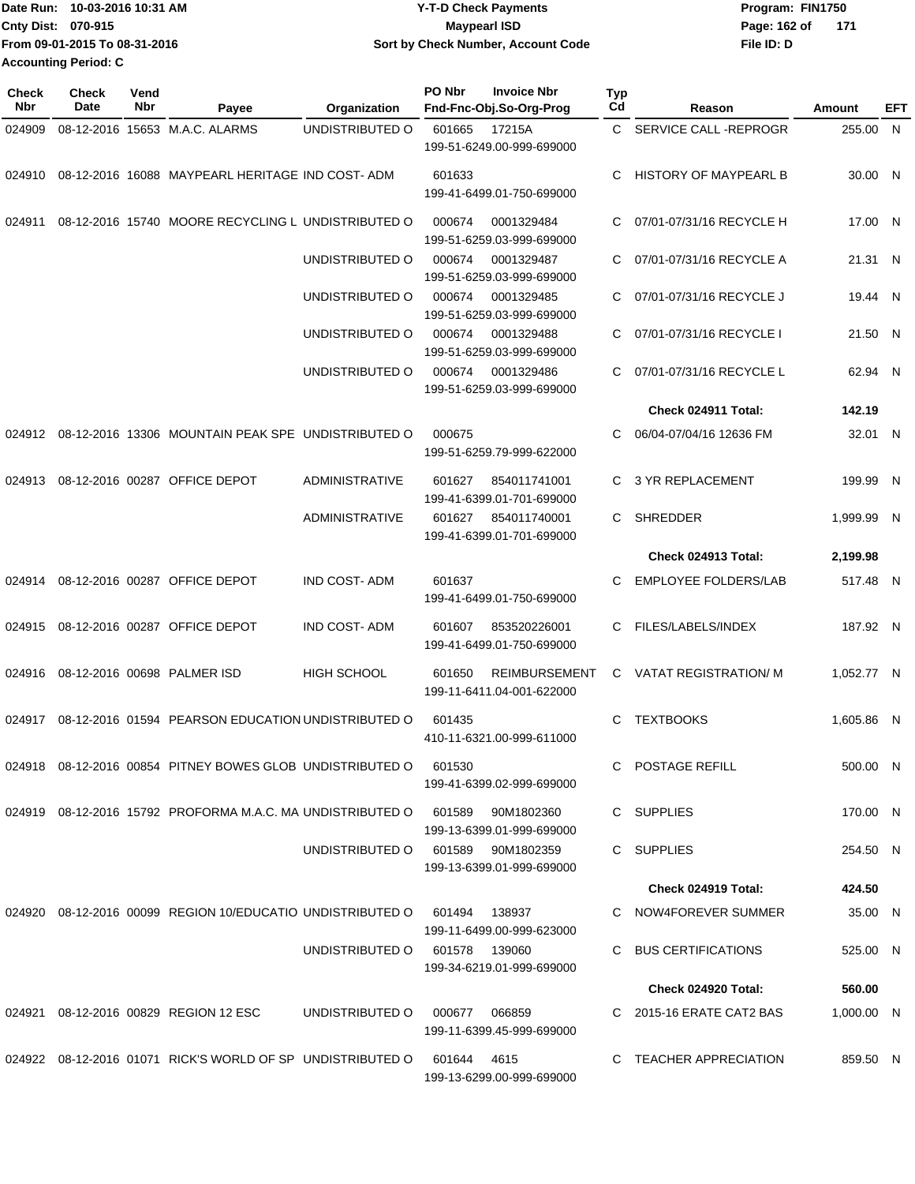| Date Run: 10-03-2016 10:31 AM | Y-T-D Check Payments               | Program: FIN1750 |     |  |  |
|-------------------------------|------------------------------------|------------------|-----|--|--|
| <b>Cnty Dist: 070-915</b>     | Maypearl ISD                       | Page: 162 of     | 171 |  |  |
| From 09-01-2015 To 08-31-2016 | Sort by Check Number, Account Code | File ID: D       |     |  |  |
| <b>Accounting Period: C</b>   |                                    |                  |     |  |  |

| <b>Check</b><br>Nbr | Check<br>Date | Vend<br>Nbr | Payee                                                      | Organization          | PO Nbr      | <b>Invoice Nbr</b><br>Fnd-Fnc-Obj.So-Org-Prog     | Typ<br>Cd | Reason                       | Amount     | EFT |
|---------------------|---------------|-------------|------------------------------------------------------------|-----------------------|-------------|---------------------------------------------------|-----------|------------------------------|------------|-----|
| 024909              |               |             | 08-12-2016 15653 M.A.C. ALARMS                             | UNDISTRIBUTED O       | 601665      | 17215A                                            |           | C SERVICE CALL-REPROGR       | 255.00 N   |     |
|                     |               |             |                                                            |                       |             | 199-51-6249.00-999-699000                         |           |                              |            |     |
| 024910              |               |             | 08-12-2016 16088 MAYPEARL HERITAGE IND COST-ADM            |                       | 601633      | 199-41-6499.01-750-699000                         | C.        | <b>HISTORY OF MAYPEARL B</b> | 30.00 N    |     |
| 024911              |               |             | 08-12-2016 15740 MOORE RECYCLING L UNDISTRIBUTED O         |                       | 000674      | 0001329484<br>199-51-6259.03-999-699000           | C         | 07/01-07/31/16 RECYCLE H     | 17.00 N    |     |
|                     |               |             |                                                            | UNDISTRIBUTED O       | 000674      | 0001329487<br>199-51-6259.03-999-699000           | C.        | 07/01-07/31/16 RECYCLE A     | 21.31 N    |     |
|                     |               |             |                                                            | UNDISTRIBUTED O       | 000674      | 0001329485<br>199-51-6259.03-999-699000           | C.        | 07/01-07/31/16 RECYCLE J     | 19.44 N    |     |
|                     |               |             |                                                            | UNDISTRIBUTED O       | 000674      | 0001329488<br>199-51-6259.03-999-699000           | C         | 07/01-07/31/16 RECYCLE I     | 21.50 N    |     |
|                     |               |             |                                                            | UNDISTRIBUTED O       | 000674      | 0001329486<br>199-51-6259.03-999-699000           | C.        | 07/01-07/31/16 RECYCLE L     | 62.94 N    |     |
|                     |               |             |                                                            |                       |             |                                                   |           | Check 024911 Total:          | 142.19     |     |
| 024912              |               |             | 08-12-2016 13306 MOUNTAIN PEAK SPE UNDISTRIBUTED O         |                       | 000675      | 199-51-6259.79-999-622000                         | C.        | 06/04-07/04/16 12636 FM      | 32.01 N    |     |
| 024913              |               |             | 08-12-2016 00287 OFFICE DEPOT                              | ADMINISTRATIVE        | 601627      | 854011741001<br>199-41-6399.01-701-699000         | C.        | <b>3 YR REPLACEMENT</b>      | 199.99 N   |     |
|                     |               |             |                                                            | <b>ADMINISTRATIVE</b> | 601627      | 854011740001<br>199-41-6399.01-701-699000         | C.        | <b>SHREDDER</b>              | 1,999.99 N |     |
|                     |               |             |                                                            |                       |             |                                                   |           | Check 024913 Total:          | 2,199.98   |     |
|                     |               |             | 024914 08-12-2016 00287 OFFICE DEPOT                       | <b>IND COST-ADM</b>   | 601637      | 199-41-6499.01-750-699000                         | C.        | <b>EMPLOYEE FOLDERS/LAB</b>  | 517.48 N   |     |
| 024915              |               |             | 08-12-2016 00287 OFFICE DEPOT                              | <b>IND COST-ADM</b>   | 601607      | 853520226001<br>199-41-6499.01-750-699000         | C.        | FILES/LABELS/INDEX           | 187.92 N   |     |
| 024916              |               |             | 08-12-2016 00698 PALMER ISD                                | <b>HIGH SCHOOL</b>    | 601650      | <b>REIMBURSEMENT</b><br>199-11-6411.04-001-622000 |           | C VATAT REGISTRATION/M       | 1,052.77 N |     |
|                     |               |             | 024917 08-12-2016 01594 PEARSON EDUCATION UNDISTRIBUTED O  |                       | 601435      | 410-11-6321.00-999-611000                         | C.        | <b>TEXTBOOKS</b>             | 1.605.86 N |     |
|                     |               |             | 024918 08-12-2016 00854 PITNEY BOWES GLOB UNDISTRIBUTED O  |                       | 601530      | 199-41-6399.02-999-699000                         |           | C POSTAGE REFILL             | 500.00 N   |     |
|                     |               |             | 024919 08-12-2016 15792 PROFORMA M.A.C. MA UNDISTRIBUTED O |                       | 601589      | 90M1802360<br>199-13-6399.01-999-699000           |           | C SUPPLIES                   | 170.00 N   |     |
|                     |               |             |                                                            | UNDISTRIBUTED O       |             | 601589 90M1802359<br>199-13-6399.01-999-699000    |           | C SUPPLIES                   | 254.50 N   |     |
|                     |               |             |                                                            |                       |             |                                                   |           | Check 024919 Total:          | 424.50     |     |
|                     |               |             | 024920 08-12-2016 00099 REGION 10/EDUCATIO UNDISTRIBUTED O |                       | 601494      | 138937<br>199-11-6499.00-999-623000               |           | C NOW4FOREVER SUMMER         | 35.00 N    |     |
|                     |               |             |                                                            | UNDISTRIBUTED O       |             | 601578 139060<br>199-34-6219.01-999-699000        |           | C BUS CERTIFICATIONS         | 525.00 N   |     |
|                     |               |             |                                                            |                       |             |                                                   |           | <b>Check 024920 Total:</b>   | 560.00     |     |
|                     |               |             | 024921 08-12-2016 00829 REGION 12 ESC                      | UNDISTRIBUTED O       |             | 000677 066859                                     |           | C 2015-16 ERATE CAT2 BAS     | 1,000.00 N |     |
|                     |               |             |                                                            |                       |             | 199-11-6399.45-999-699000                         |           |                              |            |     |
|                     |               |             | 024922 08-12-2016 01071 RICK'S WORLD OF SP UNDISTRIBUTED O |                       | 601644 4615 | 199-13-6299.00-999-699000                         |           | C TEACHER APPRECIATION       | 859.50 N   |     |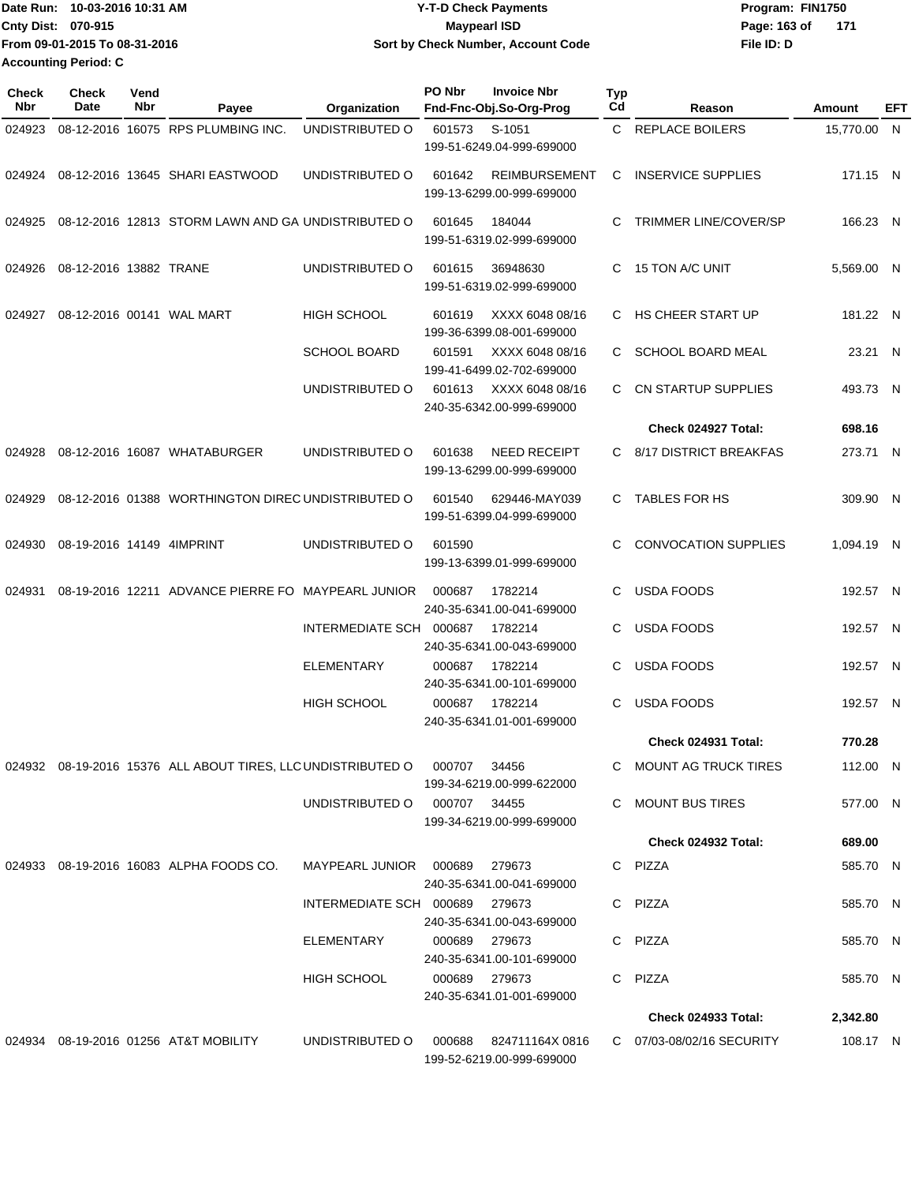| lDate Run: 10-03-2016 10:31 AM | <b>Y-T-D Check Payments</b>        | Program: FIN1750      |  |
|--------------------------------|------------------------------------|-----------------------|--|
| <b>Cnty Dist: 070-915</b>      | Maypearl ISD                       | Page: 163 of<br>- 171 |  |
| From 09-01-2015 To 08-31-2016  | Sort by Check Number, Account Code | File ID: D            |  |
| Accounting Period: C           |                                    |                       |  |

| Check<br>Nbr | <b>Check</b><br>Date      | Vend<br>Nbr | Payee                                                               | Organization                    | PO Nbr | <b>Invoice Nbr</b><br>Fnd-Fnc-Obj.So-Org-Prog     | Typ<br>Cd | Reason                       | Amount      | EFT |
|--------------|---------------------------|-------------|---------------------------------------------------------------------|---------------------------------|--------|---------------------------------------------------|-----------|------------------------------|-------------|-----|
| 024923       |                           |             | 08-12-2016 16075 RPS PLUMBING INC.                                  | UNDISTRIBUTED O                 | 601573 | S-1051<br>199-51-6249.04-999-699000               |           | C REPLACE BOILERS            | 15,770.00 N |     |
|              |                           |             | 024924 08-12-2016 13645 SHARI EASTWOOD                              | UNDISTRIBUTED O                 | 601642 | <b>REIMBURSEMENT</b><br>199-13-6299.00-999-699000 | C         | <b>INSERVICE SUPPLIES</b>    | 171.15 N    |     |
| 024925       |                           |             | 08-12-2016 12813 STORM LAWN AND GA UNDISTRIBUTED O                  |                                 | 601645 | 184044<br>199-51-6319.02-999-699000               | C.        | <b>TRIMMER LINE/COVER/SP</b> | 166.23 N    |     |
| 024926       | 08-12-2016 13882 TRANE    |             |                                                                     | UNDISTRIBUTED O                 | 601615 | 36948630<br>199-51-6319.02-999-699000             | C.        | 15 TON A/C UNIT              | 5,569.00 N  |     |
| 024927       |                           |             | 08-12-2016 00141 WAL MART                                           | <b>HIGH SCHOOL</b>              | 601619 | XXXX 6048 08/16<br>199-36-6399.08-001-699000      |           | C HS CHEER START UP          | 181.22 N    |     |
|              |                           |             |                                                                     | <b>SCHOOL BOARD</b>             | 601591 | XXXX 6048 08/16<br>199-41-6499.02-702-699000      | C.        | <b>SCHOOL BOARD MEAL</b>     | 23.21 N     |     |
|              |                           |             |                                                                     | UNDISTRIBUTED O                 | 601613 | XXXX 6048 08/16<br>240-35-6342.00-999-699000      | C.        | CN STARTUP SUPPLIES          | 493.73 N    |     |
|              |                           |             |                                                                     |                                 |        |                                                   |           | Check 024927 Total:          | 698.16      |     |
| 024928       |                           |             | 08-12-2016 16087 WHATABURGER                                        | UNDISTRIBUTED O                 | 601638 | <b>NEED RECEIPT</b><br>199-13-6299.00-999-699000  |           | C 8/17 DISTRICT BREAKFAS     | 273.71 N    |     |
| 024929       |                           |             | 08-12-2016 01388 WORTHINGTON DIREC UNDISTRIBUTED O                  |                                 | 601540 | 629446-MAY039<br>199-51-6399.04-999-699000        | C.        | <b>TABLES FOR HS</b>         | 309.90 N    |     |
| 024930       | 08-19-2016 14149 4IMPRINT |             |                                                                     | UNDISTRIBUTED O                 | 601590 | 199-13-6399.01-999-699000                         | C.        | <b>CONVOCATION SUPPLIES</b>  | 1,094.19 N  |     |
| 024931       |                           |             | 08-19-2016 12211 ADVANCE PIERRE FO MAYPEARL JUNIOR                  |                                 | 000687 | 1782214<br>240-35-6341.00-041-699000              | C         | <b>USDA FOODS</b>            | 192.57 N    |     |
|              |                           |             |                                                                     | INTERMEDIATE SCH 000687         |        | 1782214<br>240-35-6341.00-043-699000              | C         | <b>USDA FOODS</b>            | 192.57 N    |     |
|              |                           |             |                                                                     | <b>ELEMENTARY</b>               | 000687 | 1782214<br>240-35-6341.00-101-699000              | C         | <b>USDA FOODS</b>            | 192.57 N    |     |
|              |                           |             |                                                                     | <b>HIGH SCHOOL</b>              | 000687 | 1782214<br>240-35-6341.01-001-699000              | C.        | <b>USDA FOODS</b>            | 192.57 N    |     |
|              |                           |             |                                                                     |                                 |        |                                                   |           | Check 024931 Total:          | 770.28      |     |
|              |                           |             | 024932 08-19-2016 15376 ALL ABOUT TIRES, LLC UNDISTRIBUTED O 000707 |                                 |        | 34456<br>199-34-6219.00-999-622000                |           | C MOUNT AG TRUCK TIRES       | 112.00 N    |     |
|              |                           |             |                                                                     | UNDISTRIBUTED O 000707 34455    |        | 199-34-6219.00-999-699000                         |           | C MOUNT BUS TIRES            | 577.00 N    |     |
|              |                           |             |                                                                     |                                 |        |                                                   |           | <b>Check 024932 Total:</b>   | 689.00      |     |
|              |                           |             | 024933 08-19-2016 16083 ALPHA FOODS CO.                             | MAYPEARL JUNIOR  000689  279673 |        | 240-35-6341.00-041-699000                         |           | C PIZZA                      | 585.70 N    |     |
|              |                           |             |                                                                     | INTERMEDIATE SCH 000689 279673  |        | 240-35-6341.00-043-699000                         |           | C PIZZA                      | 585.70 N    |     |
|              |                           |             |                                                                     | ELEMENTARY                      |        | 000689 279673<br>240-35-6341.00-101-699000        |           | C PIZZA                      | 585.70 N    |     |
|              |                           |             |                                                                     | HIGH SCHOOL                     |        | 000689 279673<br>240-35-6341.01-001-699000        |           | C PIZZA                      | 585.70 N    |     |
|              |                           |             |                                                                     |                                 |        |                                                   |           | Check 024933 Total:          | 2,342.80    |     |
|              |                           |             | 024934 08-19-2016 01256 AT&T MOBILITY                               | UNDISTRIBUTED O                 | 000688 | 824711164X 0816<br>199-52-6219.00-999-699000      |           | C 07/03-08/02/16 SECURITY    | 108.17 N    |     |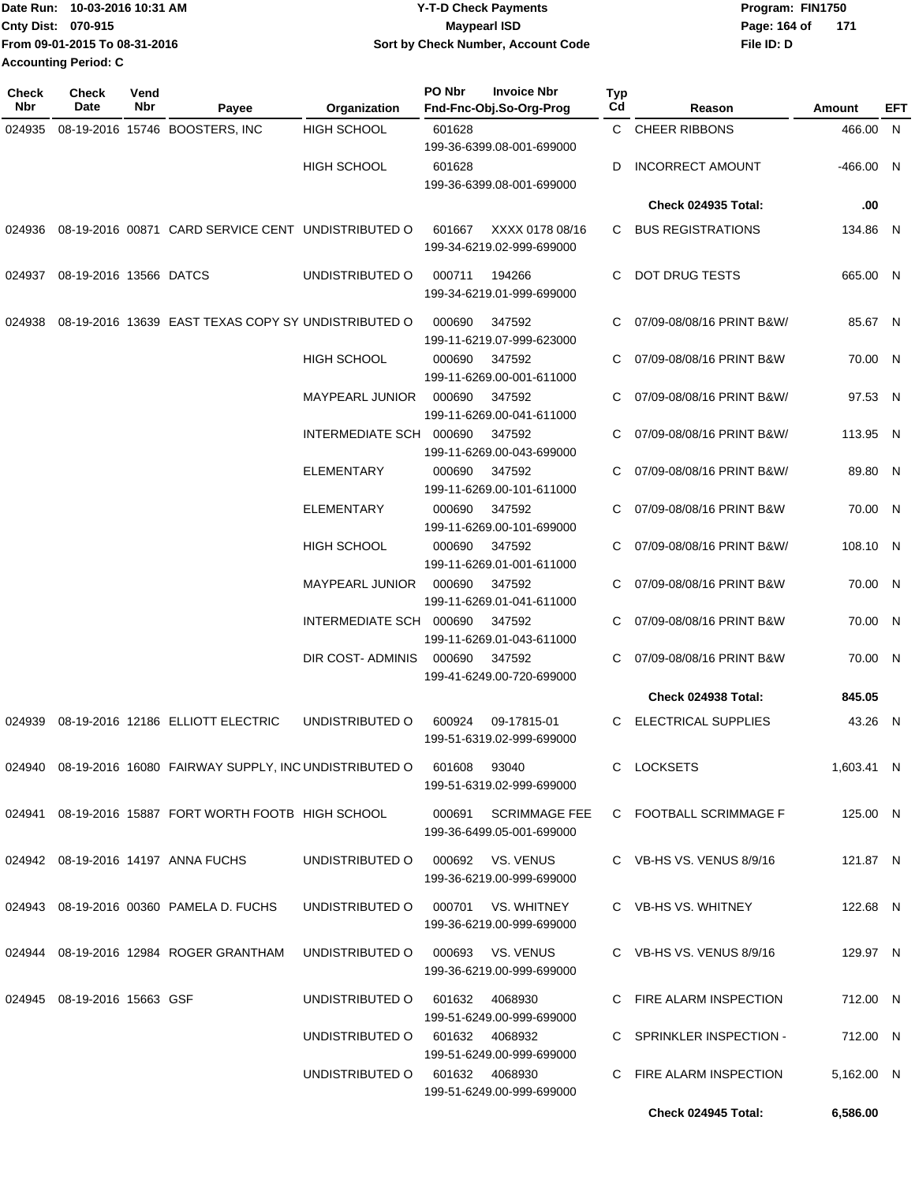|                             | IDate Run: 10-03-2016 10:31 AM | <b>Y-T-D Check Payments</b>        | Program: FIN1750      |  |  |  |
|-----------------------------|--------------------------------|------------------------------------|-----------------------|--|--|--|
| <b>Cnty Dist: 070-915</b>   |                                | Maypearl ISD                       | Page: 164 of<br>- 171 |  |  |  |
|                             | From 09-01-2015 To 08-31-2016  | Sort by Check Number, Account Code | File ID: D            |  |  |  |
| <b>Accounting Period: C</b> |                                |                                    |                       |  |  |  |

| <b>Check</b><br>Nbr | Check<br>Date               | Vend<br>Nbr | Payee                                                                         | Organization                     | PO Nbr | <b>Invoice Nbr</b><br>Fnd-Fnc-Obj.So-Org-Prog          | Typ<br>Cd | Reason                     | Amount      | EFT |
|---------------------|-----------------------------|-------------|-------------------------------------------------------------------------------|----------------------------------|--------|--------------------------------------------------------|-----------|----------------------------|-------------|-----|
| 024935              |                             |             | 08-19-2016 15746 BOOSTERS, INC                                                | <b>HIGH SCHOOL</b>               | 601628 |                                                        |           | C CHEER RIBBONS            | 466.00 N    |     |
|                     |                             |             |                                                                               |                                  |        | 199-36-6399.08-001-699000                              |           |                            |             |     |
|                     |                             |             |                                                                               | <b>HIGH SCHOOL</b>               | 601628 |                                                        | D         | <b>INCORRECT AMOUNT</b>    | $-466.00$ N |     |
|                     |                             |             |                                                                               |                                  |        | 199-36-6399.08-001-699000                              |           |                            |             |     |
|                     |                             |             |                                                                               |                                  |        |                                                        |           | <b>Check 024935 Total:</b> | .00         |     |
|                     |                             |             | 024936 08-19-2016 00871 CARD SERVICE CENT UNDISTRIBUTED O                     |                                  | 601667 | XXXX 0178 08/16<br>199-34-6219.02-999-699000           | C         | <b>BUS REGISTRATIONS</b>   | 134.86 N    |     |
| 024937              | 08-19-2016 13566 DATCS      |             |                                                                               | UNDISTRIBUTED O                  | 000711 | 194266<br>199-34-6219.01-999-699000                    | C.        | <b>DOT DRUG TESTS</b>      | 665.00 N    |     |
| 024938              |                             |             | 08-19-2016 13639 EAST TEXAS COPY SY UNDISTRIBUTED O                           |                                  | 000690 | 347592<br>199-11-6219.07-999-623000                    | C.        | 07/09-08/08/16 PRINT B&W/  | 85.67 N     |     |
|                     |                             |             |                                                                               | <b>HIGH SCHOOL</b>               | 000690 | 347592<br>199-11-6269.00-001-611000                    | С         | 07/09-08/08/16 PRINT B&W   | 70.00 N     |     |
|                     |                             |             |                                                                               | <b>MAYPEARL JUNIOR</b>           | 000690 | 347592<br>199-11-6269.00-041-611000                    | C         | 07/09-08/08/16 PRINT B&W/  | 97.53 N     |     |
|                     |                             |             |                                                                               | INTERMEDIATE SCH                 | 000690 | 347592<br>199-11-6269.00-043-699000                    | C         | 07/09-08/08/16 PRINT B&W/  | 113.95 N    |     |
|                     |                             |             |                                                                               | <b>ELEMENTARY</b>                | 000690 | 347592<br>199-11-6269.00-101-611000                    | С         | 07/09-08/08/16 PRINT B&W/  | 89.80 N     |     |
|                     |                             |             |                                                                               | <b>ELEMENTARY</b>                | 000690 | 347592<br>199-11-6269.00-101-699000                    | C.        | 07/09-08/08/16 PRINT B&W   | 70.00 N     |     |
|                     |                             |             |                                                                               | HIGH SCHOOL                      | 000690 | 347592<br>199-11-6269.01-001-611000                    |           | 07/09-08/08/16 PRINT B&W/  | 108.10 N    |     |
|                     |                             |             |                                                                               | <b>MAYPEARL JUNIOR</b>           | 000690 | 347592<br>199-11-6269.01-041-611000                    | С         | 07/09-08/08/16 PRINT B&W   | 70.00 N     |     |
|                     |                             |             |                                                                               | INTERMEDIATE SCH 000690          |        | 347592<br>199-11-6269.01-043-611000                    | С         | 07/09-08/08/16 PRINT B&W   | 70.00 N     |     |
|                     |                             |             |                                                                               | DIR COST- ADMINIS                | 000690 | 347592<br>199-41-6249.00-720-699000                    | C         | 07/09-08/08/16 PRINT B&W   | 70.00 N     |     |
|                     |                             |             |                                                                               |                                  |        |                                                        |           | Check 024938 Total:        | 845.05      |     |
| 024939              |                             |             | 08-19-2016 12186 ELLIOTT ELECTRIC                                             | UNDISTRIBUTED O                  | 600924 | 09-17815-01<br>199-51-6319.02-999-699000               | C         | <b>ELECTRICAL SUPPLIES</b> | 43.26 N     |     |
|                     |                             |             | 024940  08-19-2016  16080  FAIRWAY SUPPLY, INC UNDISTRIBUTED O  601608  93040 |                                  |        | 199-51-6319.02-999-699000                              |           | C LOCKSETS                 | 1,603.41 N  |     |
|                     |                             |             | 024941 08-19-2016 15887 FORT WORTH FOOTB HIGH SCHOOL                          |                                  |        | 000691 SCRIMMAGE FEE<br>199-36-6499.05-001-699000      |           | C FOOTBALL SCRIMMAGE F     | 125.00 N    |     |
|                     |                             |             | 024942 08-19-2016 14197 ANNA FUCHS                                            | UNDISTRIBUTED O                  |        | 000692 VS. VENUS<br>199-36-6219.00-999-699000          |           | C VB-HS VS. VENUS 8/9/16   | 121.87 N    |     |
|                     |                             |             | 024943 08-19-2016 00360 PAMELA D. FUCHS                                       | UNDISTRIBUTED O                  |        | 000701 VS. WHITNEY<br>199-36-6219.00-999-699000        |           | C VB-HS VS. WHITNEY        | 122.68 N    |     |
|                     |                             |             | 024944 08-19-2016 12984 ROGER GRANTHAM                                        | UNDISTRIBUTED O 000693 VS. VENUS |        | 199-36-6219.00-999-699000                              |           | C VB-HS VS. VENUS 8/9/16   | 129.97 N    |     |
|                     | 024945 08-19-2016 15663 GSF |             |                                                                               | UNDISTRIBUTED O 601632 4068930   |        |                                                        |           | C FIRE ALARM INSPECTION    | 712.00 N    |     |
|                     |                             |             |                                                                               | UNDISTRIBUTED O 601632 4068932   |        | 199-51-6249.00-999-699000<br>199-51-6249.00-999-699000 |           | C SPRINKLER INSPECTION -   | 712.00 N    |     |
|                     |                             |             |                                                                               | UNDISTRIBUTED O 601632 4068930   |        | 199-51-6249.00-999-699000                              |           | C FIRE ALARM INSPECTION    | 5,162.00 N  |     |
|                     |                             |             |                                                                               |                                  |        |                                                        |           | Check 024945 Total:        | 6,586.00    |     |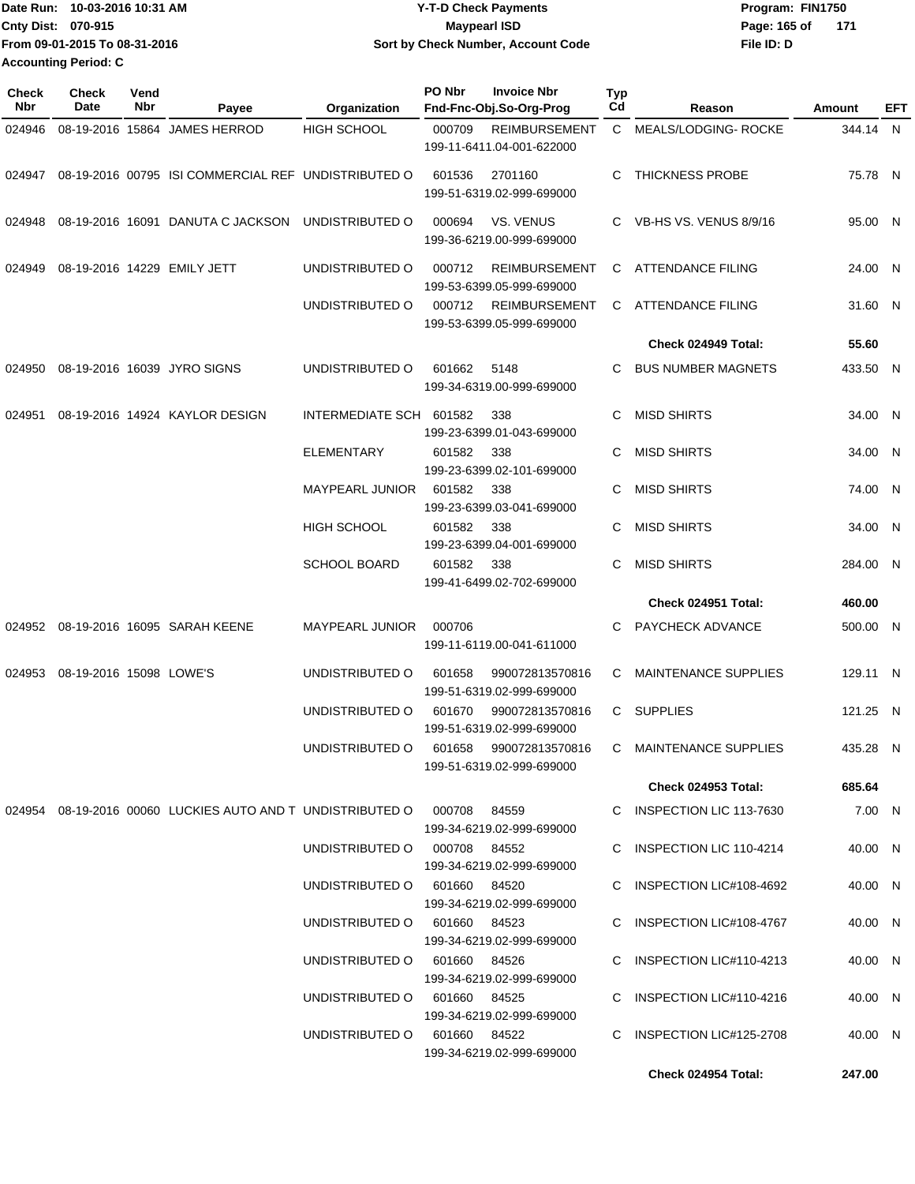| 10-03-2016 10:31 AM<br><b>I</b> Date Run: | <b>Y-T-D Check Payments</b>        | Program: FIN1750       |
|-------------------------------------------|------------------------------------|------------------------|
| Cnty Dist: 070-915                        | Maypearl ISD                       | Page: 165 of<br>-- 171 |
| From 09-01-2015 To 08-31-2016             | Sort by Check Number, Account Code | File ID: D             |
| <b>Accounting Period: C</b>               |                                    |                        |

| <b>Check</b><br>Nbr | <b>Check</b><br>Date    | Vend<br>Nbr | Payee                                                                   | Organization                 | PO Nbr<br><b>Invoice Nbr</b><br>Fnd-Fnc-Obj.So-Org-Prog     | Typ<br>Cd    | Reason                      | Amount   | EFT |
|---------------------|-------------------------|-------------|-------------------------------------------------------------------------|------------------------------|-------------------------------------------------------------|--------------|-----------------------------|----------|-----|
| 024946              |                         |             | 08-19-2016 15864 JAMES HERROD                                           | <b>HIGH SCHOOL</b>           | 000709<br><b>REIMBURSEMENT</b><br>199-11-6411.04-001-622000 | $\mathbf{C}$ | <b>MEALS/LODGING-ROCKE</b>  | 344.14 N |     |
| 024947              |                         |             | 08-19-2016 00795 ISI COMMERCIAL REF UNDISTRIBUTED O                     |                              | 601536<br>2701160<br>199-51-6319.02-999-699000              |              | C THICKNESS PROBE           | 75.78 N  |     |
| 024948              |                         |             | 08-19-2016 16091 DANUTA C JACKSON                                       | UNDISTRIBUTED O              | VS. VENUS<br>000694<br>199-36-6219.00-999-699000            |              | C VB-HS VS. VENUS 8/9/16    | 95.00 N  |     |
| 024949              |                         |             | 08-19-2016 14229 EMILY JETT                                             | UNDISTRIBUTED O              | <b>REIMBURSEMENT</b><br>000712<br>199-53-6399.05-999-699000 |              | C ATTENDANCE FILING         | 24.00 N  |     |
|                     |                         |             |                                                                         | UNDISTRIBUTED O              | 000712<br><b>REIMBURSEMENT</b><br>199-53-6399.05-999-699000 | C.           | <b>ATTENDANCE FILING</b>    | 31.60 N  |     |
|                     |                         |             |                                                                         |                              |                                                             |              | Check 024949 Total:         | 55.60    |     |
| 024950              |                         |             | 08-19-2016 16039 JYRO SIGNS                                             | UNDISTRIBUTED O              | 601662<br>5148<br>199-34-6319.00-999-699000                 | C            | <b>BUS NUMBER MAGNETS</b>   | 433.50 N |     |
| 024951              |                         |             | 08-19-2016 14924 KAYLOR DESIGN                                          | INTERMEDIATE SCH 601582      | 338<br>199-23-6399.01-043-699000                            | C            | <b>MISD SHIRTS</b>          | 34.00 N  |     |
|                     |                         |             |                                                                         | <b>ELEMENTARY</b>            | 601582<br>338<br>199-23-6399.02-101-699000                  | C            | <b>MISD SHIRTS</b>          | 34.00 N  |     |
|                     |                         |             |                                                                         | MAYPEARL JUNIOR              | 601582<br>338<br>199-23-6399.03-041-699000                  | С            | <b>MISD SHIRTS</b>          | 74.00 N  |     |
|                     |                         |             |                                                                         | <b>HIGH SCHOOL</b>           | 601582<br>338<br>199-23-6399.04-001-699000                  | С            | <b>MISD SHIRTS</b>          | 34.00 N  |     |
|                     |                         |             |                                                                         | <b>SCHOOL BOARD</b>          | 601582<br>338<br>199-41-6499.02-702-699000                  | С            | <b>MISD SHIRTS</b>          | 284.00 N |     |
|                     |                         |             |                                                                         |                              |                                                             |              | Check 024951 Total:         | 460.00   |     |
| 024952              |                         |             | 08-19-2016 16095 SARAH KEENE                                            | <b>MAYPEARL JUNIOR</b>       | 000706<br>199-11-6119.00-041-611000                         | C.           | <b>PAYCHECK ADVANCE</b>     | 500.00 N |     |
| 024953              | 08-19-2016 15098 LOWE'S |             |                                                                         | UNDISTRIBUTED O              | 601658<br>990072813570816<br>199-51-6319.02-999-699000      | C            | <b>MAINTENANCE SUPPLIES</b> | 129.11 N |     |
|                     |                         |             |                                                                         | UNDISTRIBUTED O              | 601670<br>990072813570816<br>199-51-6319.02-999-699000      | C.           | <b>SUPPLIES</b>             | 121.25 N |     |
|                     |                         |             |                                                                         | UNDISTRIBUTED O              | 601658<br>990072813570816<br>199-51-6319.02-999-699000      | C.           | MAINTENANCE SUPPLIES        | 435.28 N |     |
|                     |                         |             |                                                                         |                              |                                                             |              | <b>Check 024953 Total:</b>  | 685.64   |     |
|                     |                         |             | 024954 08-19-2016 00060 LUCKIES AUTO AND T UNDISTRIBUTED O 000708 84559 |                              | 199-34-6219.02-999-699000                                   |              | C INSPECTION LIC 113-7630   | 7.00 N   |     |
|                     |                         |             |                                                                         | UNDISTRIBUTED O 000708 84552 | 199-34-6219.02-999-699000                                   |              | C INSPECTION LIC 110-4214   | 40.00 N  |     |
|                     |                         |             |                                                                         | UNDISTRIBUTED O 601660 84520 | 199-34-6219.02-999-699000                                   |              | C INSPECTION LIC#108-4692   | 40.00 N  |     |
|                     |                         |             |                                                                         | UNDISTRIBUTED 0 601660 84523 | 199-34-6219.02-999-699000                                   |              | C INSPECTION LIC#108-4767   | 40.00 N  |     |
|                     |                         |             |                                                                         | UNDISTRIBUTED O 601660 84526 | 199-34-6219.02-999-699000                                   |              | C INSPECTION LIC#110-4213   | 40.00 N  |     |
|                     |                         |             |                                                                         | UNDISTRIBUTED O 601660 84525 | 199-34-6219.02-999-699000                                   |              | C INSPECTION LIC#110-4216   | 40.00 N  |     |
|                     |                         |             |                                                                         | UNDISTRIBUTED 0 601660 84522 | 199-34-6219.02-999-699000                                   |              | C INSPECTION LIC#125-2708   | 40.00 N  |     |
|                     |                         |             |                                                                         |                              |                                                             |              | <b>Check 024954 Total:</b>  | 247.00   |     |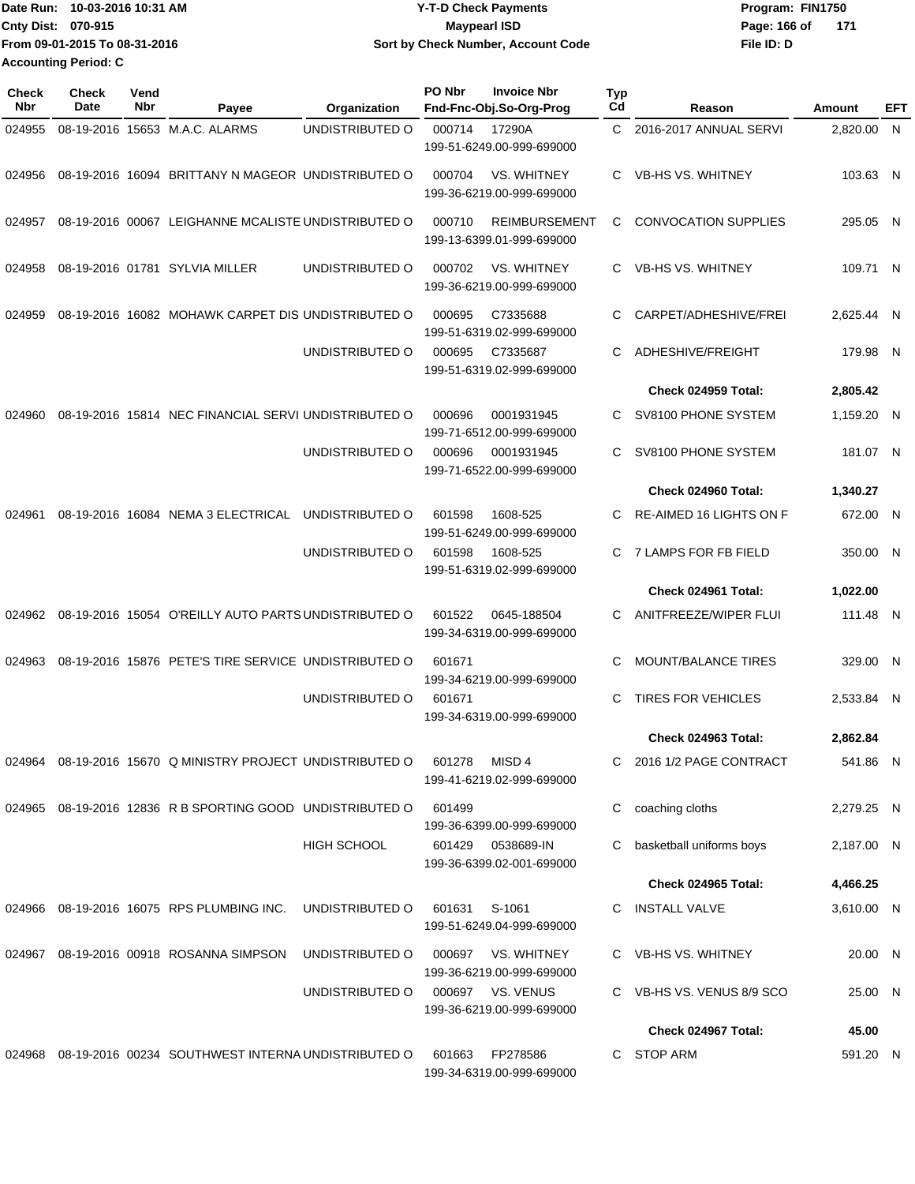| IDate Run: 10-03-2016 10:31 AM | <b>Y-T-D Check Payments</b>        | Program: FIN1750 |
|--------------------------------|------------------------------------|------------------|
| <b>Cnty Dist: 070-915</b>      | Maypearl ISD                       | Page: 166 of 171 |
| From 09-01-2015 To 08-31-2016  | Sort by Check Number, Account Code | File ID: D       |
| <b>Accounting Period: C</b>    |                                    |                  |

| <b>Check</b><br>Nbr | <b>Check</b><br>Date | Vend<br>Nbr | Payee                                                      | Organization       | PO Nbr | <b>Invoice Nbr</b><br>Fnd-Fnc-Obj.So-Org-Prog     | Typ<br>Cd | Reason                         | Amount     | EFT |
|---------------------|----------------------|-------------|------------------------------------------------------------|--------------------|--------|---------------------------------------------------|-----------|--------------------------------|------------|-----|
| 024955              |                      |             | 08-19-2016 15653 M.A.C. ALARMS                             | UNDISTRIBUTED O    | 000714 | 17290A<br>199-51-6249.00-999-699000               | C.        | 2016-2017 ANNUAL SERVI         | 2,820.00 N |     |
| 024956              |                      |             | 08-19-2016 16094 BRITTANY N MAGEOR UNDISTRIBUTED O         |                    | 000704 | VS. WHITNEY<br>199-36-6219.00-999-699000          | C.        | VB-HS VS. WHITNEY              | 103.63 N   |     |
| 024957              |                      |             | 08-19-2016 00067 LEIGHANNE MCALISTE UNDISTRIBUTED O        |                    | 000710 | <b>REIMBURSEMENT</b><br>199-13-6399.01-999-699000 | C         | <b>CONVOCATION SUPPLIES</b>    | 295.05 N   |     |
| 024958              |                      |             | 08-19-2016 01781 SYLVIA MILLER                             | UNDISTRIBUTED O    | 000702 | <b>VS. WHITNEY</b><br>199-36-6219.00-999-699000   | C.        | <b>VB-HS VS, WHITNEY</b>       | 109.71 N   |     |
| 024959              |                      |             | 08-19-2016 16082 MOHAWK CARPET DIS UNDISTRIBUTED O         |                    | 000695 | C7335688<br>199-51-6319.02-999-699000             | C         | CARPET/ADHESHIVE/FREI          | 2,625.44 N |     |
|                     |                      |             |                                                            | UNDISTRIBUTED O    | 000695 | C7335687<br>199-51-6319.02-999-699000             | C         | ADHESHIVE/FREIGHT              | 179.98 N   |     |
|                     |                      |             |                                                            |                    |        |                                                   |           | Check 024959 Total:            | 2,805.42   |     |
| 024960              |                      |             | 08-19-2016 15814 NEC FINANCIAL SERVI UNDISTRIBUTED O       |                    | 000696 | 0001931945<br>199-71-6512.00-999-699000           | C         | SV8100 PHONE SYSTEM            | 1,159.20 N |     |
|                     |                      |             |                                                            | UNDISTRIBUTED O    | 000696 | 0001931945<br>199-71-6522.00-999-699000           | C         | SV8100 PHONE SYSTEM            | 181.07 N   |     |
|                     |                      |             |                                                            |                    |        |                                                   |           | Check 024960 Total:            | 1,340.27   |     |
| 024961              |                      |             | 08-19-2016 16084 NEMA 3 ELECTRICAL                         | UNDISTRIBUTED O    | 601598 | 1608-525<br>199-51-6249.00-999-699000             | C.        | <b>RE-AIMED 16 LIGHTS ON F</b> | 672.00 N   |     |
|                     |                      |             |                                                            | UNDISTRIBUTED O    | 601598 | 1608-525<br>199-51-6319.02-999-699000             | C.        | 7 LAMPS FOR FB FIELD           | 350.00 N   |     |
|                     |                      |             |                                                            |                    |        |                                                   |           | Check 024961 Total:            | 1,022.00   |     |
| 024962              |                      |             | 08-19-2016 15054 O'REILLY AUTO PARTS UNDISTRIBUTED O       |                    | 601522 | 0645-188504<br>199-34-6319.00-999-699000          | C         | ANITFREEZE/WIPER FLUI          | 111.48 N   |     |
| 024963              |                      |             | 08-19-2016 15876 PETE'S TIRE SERVICE UNDISTRIBUTED O       |                    | 601671 | 199-34-6219.00-999-699000                         | C         | <b>MOUNT/BALANCE TIRES</b>     | 329.00 N   |     |
|                     |                      |             |                                                            | UNDISTRIBUTED O    | 601671 | 199-34-6319.00-999-699000                         | C         | TIRES FOR VEHICLES             | 2,533.84 N |     |
|                     |                      |             |                                                            |                    |        |                                                   |           | Check 024963 Total:            | 2,862.84   |     |
|                     |                      |             | 024964 08-19-2016 15670 Q MINISTRY PROJECT UNDISTRIBUTED O |                    | 601278 | MISD 4<br>199-41-6219.02-999-699000               |           | 2016 1/2 PAGE CONTRACT         | 541.86 N   |     |
|                     |                      |             | 024965 08-19-2016 12836 R B SPORTING GOOD UNDISTRIBUTED O  |                    | 601499 | 199-36-6399.00-999-699000                         | С         | coaching cloths                | 2,279.25 N |     |
|                     |                      |             |                                                            | <b>HIGH SCHOOL</b> | 601429 | 0538689-IN<br>199-36-6399.02-001-699000           | С         | basketball uniforms boys       | 2,187.00 N |     |
|                     |                      |             |                                                            |                    |        |                                                   |           | <b>Check 024965 Total:</b>     | 4,466.25   |     |
| 024966              |                      |             | 08-19-2016 16075 RPS PLUMBING INC.                         | UNDISTRIBUTED O    | 601631 | S-1061<br>199-51-6249.04-999-699000               |           | C INSTALL VALVE                | 3,610.00 N |     |
|                     |                      |             | 024967 08-19-2016 00918 ROSANNA SIMPSON                    | UNDISTRIBUTED O    | 000697 | VS. WHITNEY<br>199-36-6219.00-999-699000          |           | C VB-HS VS. WHITNEY            | 20.00 N    |     |
|                     |                      |             |                                                            | UNDISTRIBUTED O    |        | 000697 VS. VENUS<br>199-36-6219.00-999-699000     |           | C VB-HS VS. VENUS 8/9 SCO      | 25.00 N    |     |
|                     |                      |             |                                                            |                    |        |                                                   |           | Check 024967 Total:            | 45.00      |     |
| 024968              |                      |             | 08-19-2016 00234 SOUTHWEST INTERNA UNDISTRIBUTED O         |                    | 601663 | FP278586<br>199-34-6319.00-999-699000             |           | C STOP ARM                     | 591.20 N   |     |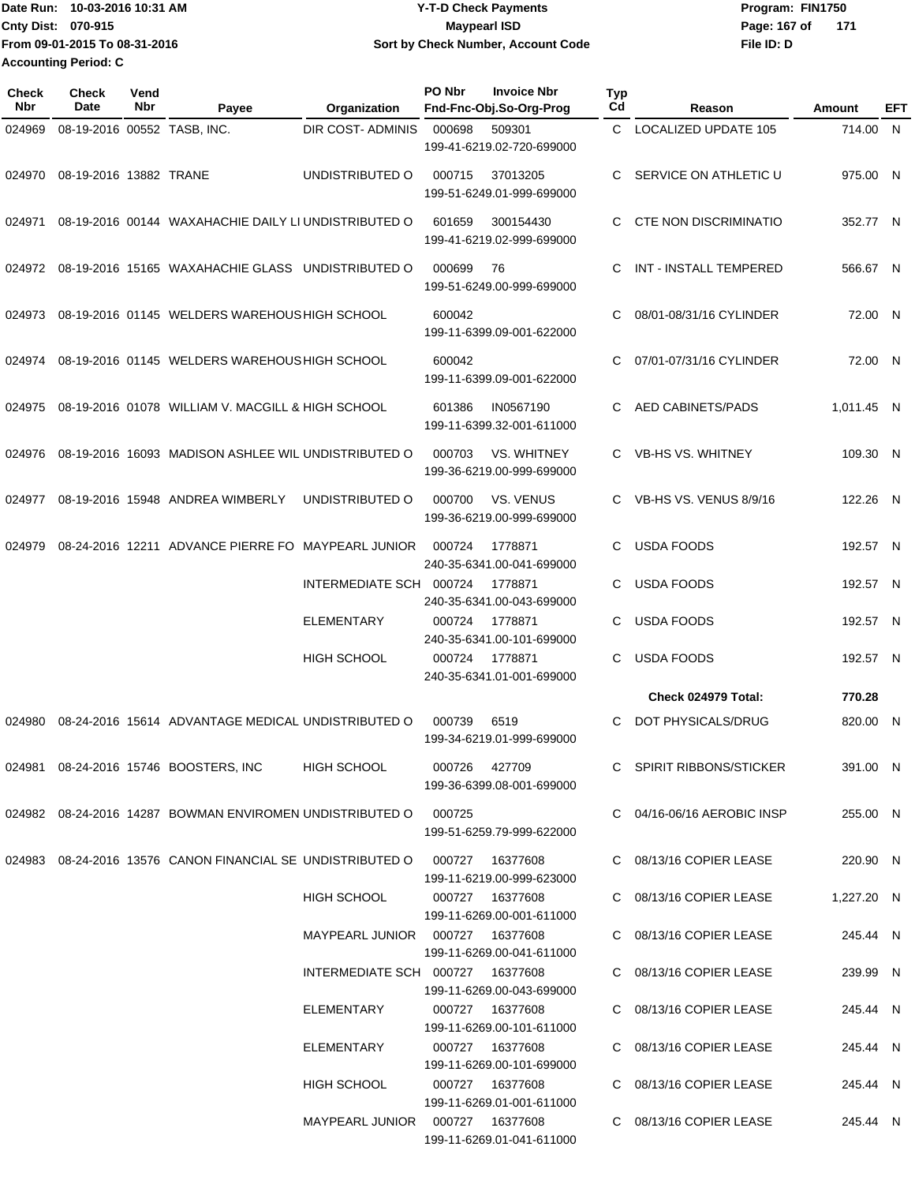**Date Run: Program: FIN1750 Cnty Dist: 070-915 From 09-01-2015 To 08-31-2016 Accounting Period: C**

## **Y-T-D Check Payments 070-915 Maypearl ISD Sort by Check Number, Account Code**

**File ID: D** Page: 167 of 171

| <b>Check</b><br>Nbr | <b>Check</b><br>Date        | Vend<br>Nbr | Payee                                                                      | Organization                      | PO Nbr        | <b>Invoice Nbr</b><br>Fnd-Fnc-Obj.So-Org-Prog   | <b>Typ</b><br>Cd | Reason                       | <b>Amount</b> | EFT |
|---------------------|-----------------------------|-------------|----------------------------------------------------------------------------|-----------------------------------|---------------|-------------------------------------------------|------------------|------------------------------|---------------|-----|
| 024969              | 08-19-2016 00552 TASB, INC. |             |                                                                            | <b>DIR COST- ADMINIS</b>          | 000698        | 509301<br>199-41-6219.02-720-699000             | C.               | <b>LOCALIZED UPDATE 105</b>  | 714.00 N      |     |
| 024970              | 08-19-2016 13882 TRANE      |             |                                                                            | UNDISTRIBUTED O                   | 000715        | 37013205<br>199-51-6249.01-999-699000           | C                | SERVICE ON ATHLETIC U        | 975.00 N      |     |
| 024971              |                             |             | 08-19-2016 00144 WAXAHACHIE DAILY LI UNDISTRIBUTED O                       |                                   | 601659        | 300154430<br>199-41-6219.02-999-699000          | C                | <b>CTE NON DISCRIMINATIO</b> | 352.77 N      |     |
| 024972              |                             |             | 08-19-2016 15165 WAXAHACHIE GLASS UNDISTRIBUTED O                          |                                   | 000699        | 76<br>199-51-6249.00-999-699000                 | C                | INT - INSTALL TEMPERED       | 566.67 N      |     |
| 024973              |                             |             | 08-19-2016 01145 WELDERS WAREHOUS HIGH SCHOOL                              |                                   | 600042        | 199-11-6399.09-001-622000                       | С                | 08/01-08/31/16 CYLINDER      | 72.00 N       |     |
| 024974              |                             |             | 08-19-2016 01145 WELDERS WAREHOUS HIGH SCHOOL                              |                                   | 600042        | 199-11-6399.09-001-622000                       | C                | 07/01-07/31/16 CYLINDER      | 72.00 N       |     |
| 024975              |                             |             | 08-19-2016 01078 WILLIAM V. MACGILL & HIGH SCHOOL                          |                                   | 601386        | IN0567190<br>199-11-6399.32-001-611000          | C                | <b>AED CABINETS/PADS</b>     | 1,011.45 N    |     |
| 024976              |                             |             | 08-19-2016 16093 MADISON ASHLEE WIL UNDISTRIBUTED O                        |                                   | 000703        | <b>VS. WHITNEY</b><br>199-36-6219.00-999-699000 | C.               | VB-HS VS. WHITNEY            | 109.30 N      |     |
| 024977              |                             |             | 08-19-2016 15948 ANDREA WIMBERLY                                           | UNDISTRIBUTED O                   | 000700        | VS. VENUS<br>199-36-6219.00-999-699000          | C                | VB-HS VS, VENUS 8/9/16       | 122.26 N      |     |
| 024979              |                             |             | 08-24-2016 12211 ADVANCE PIERRE FO                                         | <b>MAYPEARL JUNIOR</b>            | 000724        | 1778871<br>240-35-6341.00-041-699000            | C                | <b>USDA FOODS</b>            | 192.57 N      |     |
|                     |                             |             |                                                                            | INTERMEDIATE SCH 000724           |               | 1778871<br>240-35-6341.00-043-699000            | C                | <b>USDA FOODS</b>            | 192.57 N      |     |
|                     |                             |             |                                                                            | <b>ELEMENTARY</b>                 | 000724        | 1778871<br>240-35-6341.00-101-699000            | C                | <b>USDA FOODS</b>            | 192.57 N      |     |
|                     |                             |             |                                                                            | <b>HIGH SCHOOL</b>                | 000724        | 1778871<br>240-35-6341.01-001-699000            | C                | <b>USDA FOODS</b>            | 192.57 N      |     |
|                     |                             |             |                                                                            |                                   |               |                                                 |                  | Check 024979 Total:          | 770.28        |     |
| 024980              |                             |             | 08-24-2016 15614 ADVANTAGE MEDICAL UNDISTRIBUTED O                         |                                   | 000739        | 6519<br>199-34-6219.01-999-699000               | C                | DOT PHYSICALS/DRUG           | 820.00 N      |     |
|                     |                             |             | 024981  08-24-2016  15746  BOOSTERS, INC                                   | HIGH SCHOOL                       | 000726 427709 | 199-36-6399.08-001-699000                       |                  | C SPIRIT RIBBONS/STICKER     | 391.00 N      |     |
|                     |                             |             | 024982 08-24-2016 14287 BOWMAN ENVIROMEN UNDISTRIBUTED O                   |                                   | 000725        | 199-51-6259.79-999-622000                       |                  | C 04/16-06/16 AEROBIC INSP   | 255.00 N      |     |
|                     |                             |             | 024983 08-24-2016 13576 CANON FINANCIAL SE UNDISTRIBUTED O 000727 16377608 |                                   |               | 199-11-6219.00-999-623000                       |                  | C 08/13/16 COPIER LEASE      | 220.90 N      |     |
|                     |                             |             |                                                                            | <b>HIGH SCHOOL</b>                |               | 000727 16377608<br>199-11-6269.00-001-611000    |                  | C 08/13/16 COPIER LEASE      | 1,227.20 N    |     |
|                     |                             |             |                                                                            | MAYPEARL JUNIOR  000727  16377608 |               | 199-11-6269.00-041-611000                       |                  | C 08/13/16 COPIER LEASE      | 245.44 N      |     |
|                     |                             |             |                                                                            | INTERMEDIATE SCH 000727 16377608  |               | 199-11-6269.00-043-699000                       |                  | C 08/13/16 COPIER LEASE      | 239.99 N      |     |
|                     |                             |             |                                                                            | ELEMENTARY                        |               | 000727 16377608<br>199-11-6269.00-101-611000    |                  | C 08/13/16 COPIER LEASE      | 245.44 N      |     |
|                     |                             |             |                                                                            | ELEMENTARY                        |               | 000727 16377608<br>199-11-6269.00-101-699000    |                  | C 08/13/16 COPIER LEASE      | 245.44 N      |     |
|                     |                             |             |                                                                            | HIGH SCHOOL                       |               | 000727 16377608<br>199-11-6269.01-001-611000    |                  | C 08/13/16 COPIER LEASE      | 245.44 N      |     |
|                     |                             |             |                                                                            | MAYPEARL JUNIOR  000727  16377608 |               | 199-11-6269.01-041-611000                       |                  | C 08/13/16 COPIER LEASE      | 245.44 N      |     |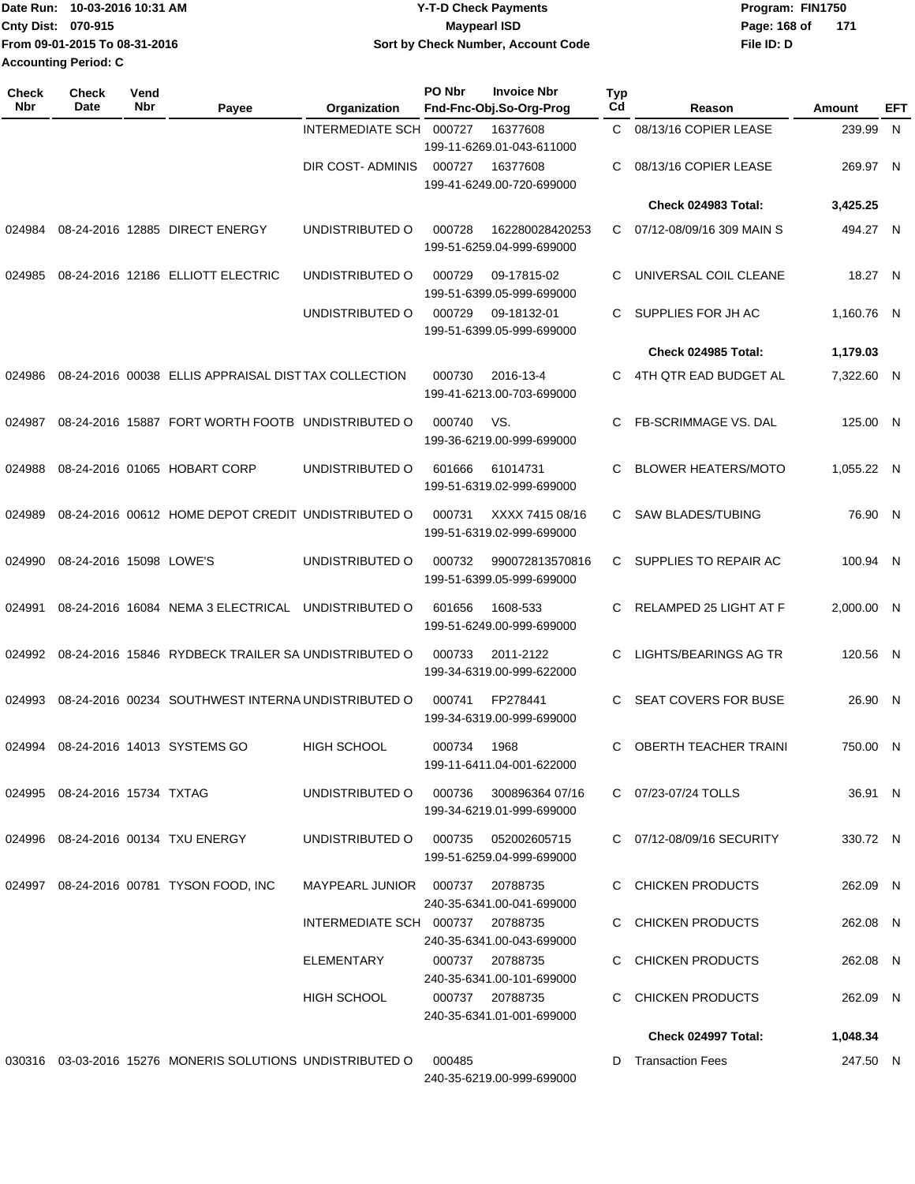|                             | IDate Run: 10-03-2016 10:31 AM | <b>Y-T-D Check Payments</b>        | Program: FIN1750    |  |  |  |
|-----------------------------|--------------------------------|------------------------------------|---------------------|--|--|--|
| <b>Cnty Dist: 070-915</b>   |                                | Maypearl ISD                       | Page: 168 of<br>171 |  |  |  |
|                             | From 09-01-2015 To 08-31-2016  | Sort by Check Number, Account Code | File ID: D          |  |  |  |
| <b>Accounting Period: C</b> |                                |                                    |                     |  |  |  |

| <b>Check</b><br>Nbr | <b>Check</b><br><b>Date</b>   | Vend<br>Nbr | Payee                                                     | Organization                        | PO Nbr | <b>Invoice Nbr</b><br>Fnd-Fnc-Obj.So-Org-Prog       | <b>Typ</b><br>Cd | Reason                       | Amount     | EFT |
|---------------------|-------------------------------|-------------|-----------------------------------------------------------|-------------------------------------|--------|-----------------------------------------------------|------------------|------------------------------|------------|-----|
|                     |                               |             |                                                           | INTERMEDIATE SCH                    | 000727 | 16377608<br>199-11-6269.01-043-611000               | C.               | 08/13/16 COPIER LEASE        | 239.99 N   |     |
|                     |                               |             |                                                           | DIR COST- ADMINIS                   | 000727 | 16377608<br>199-41-6249.00-720-699000               | С                | 08/13/16 COPIER LEASE        | 269.97 N   |     |
|                     |                               |             |                                                           |                                     |        |                                                     |                  | Check 024983 Total:          | 3,425.25   |     |
| 024984              |                               |             | 08-24-2016 12885 DIRECT ENERGY                            | UNDISTRIBUTED O                     | 000728 | 162280028420253<br>199-51-6259.04-999-699000        | C                | 07/12-08/09/16 309 MAIN S    | 494.27 N   |     |
| 024985              |                               |             | 08-24-2016 12186 ELLIOTT ELECTRIC                         | UNDISTRIBUTED O                     | 000729 | 09-17815-02<br>199-51-6399.05-999-699000            | С                | UNIVERSAL COIL CLEANE        | 18.27 N    |     |
|                     |                               |             |                                                           | UNDISTRIBUTED O                     | 000729 | 09-18132-01<br>199-51-6399.05-999-699000            | C                | SUPPLIES FOR JH AC           | 1,160.76 N |     |
|                     |                               |             |                                                           |                                     |        |                                                     |                  | Check 024985 Total:          | 1,179.03   |     |
| 024986              |                               |             | 08-24-2016 00038 ELLIS APPRAISAL DIST TAX COLLECTION      |                                     | 000730 | 2016-13-4<br>199-41-6213.00-703-699000              | C                | 4TH QTR EAD BUDGET AL        | 7,322.60 N |     |
| 024987              |                               |             | 08-24-2016 15887 FORT WORTH FOOTB UNDISTRIBUTED O         |                                     | 000740 | VS.<br>199-36-6219.00-999-699000                    | C                | FB-SCRIMMAGE VS. DAL         | 125.00 N   |     |
| 024988              |                               |             | 08-24-2016 01065 HOBART CORP                              | UNDISTRIBUTED O                     | 601666 | 61014731<br>199-51-6319.02-999-699000               | С                | <b>BLOWER HEATERS/MOTO</b>   | 1,055.22 N |     |
| 024989              |                               |             | 08-24-2016 00612 HOME DEPOT CREDIT UNDISTRIBUTED O        |                                     | 000731 | XXXX 7415 08/16<br>199-51-6319.02-999-699000        | C.               | <b>SAW BLADES/TUBING</b>     | 76.90 N    |     |
| 024990              | 08-24-2016 15098 LOWE'S       |             |                                                           | UNDISTRIBUTED O                     | 000732 | 990072813570816<br>199-51-6399.05-999-699000        | C.               | SUPPLIES TO REPAIR AC        | 100.94 N   |     |
| 024991              |                               |             | 08-24-2016 16084 NEMA 3 ELECTRICAL                        | UNDISTRIBUTED O                     | 601656 | 1608-533<br>199-51-6249.00-999-699000               | С                | RELAMPED 25 LIGHT AT F       | 2,000.00 N |     |
| 024992              |                               |             | 08-24-2016 15846 RYDBECK TRAILER SA UNDISTRIBUTED O       |                                     | 000733 | 2011-2122<br>199-34-6319.00-999-622000              | С                | LIGHTS/BEARINGS AG TR        | 120.56 N   |     |
| 024993              |                               |             | 08-24-2016 00234 SOUTHWEST INTERNA UNDISTRIBUTED O        |                                     | 000741 | FP278441<br>199-34-6319.00-999-699000               | С                | <b>SEAT COVERS FOR BUSE</b>  | 26.90 N    |     |
| 024994              |                               |             | 08-24-2016 14013 SYSTEMS GO                               | <b>HIGH SCHOOL</b>                  | 000734 | 1968<br>199-11-6411.04-001-622000                   | С                | <b>OBERTH TEACHER TRAINI</b> | 750.00 N   |     |
|                     | 024995 08-24-2016 15734 TXTAG |             |                                                           | UNDISTRIBUTED O                     |        | 000736 300896364 07/16<br>199-34-6219.01-999-699000 |                  | C 07/23-07/24 TOLLS          | 36.91 N    |     |
|                     |                               |             | 024996 08-24-2016 00134 TXU ENERGY                        | UNDISTRIBUTED O 000735 052002605715 |        | 199-51-6259.04-999-699000                           |                  | C 07/12-08/09/16 SECURITY    | 330.72 N   |     |
|                     |                               |             | 024997 08-24-2016 00781 TYSON FOOD, INC                   | MAYPEARL JUNIOR  000737  20788735   |        | 240-35-6341.00-041-699000                           |                  | C CHICKEN PRODUCTS           | 262.09 N   |     |
|                     |                               |             |                                                           | INTERMEDIATE SCH 000737 20788735    |        | 240-35-6341.00-043-699000                           |                  | C CHICKEN PRODUCTS           | 262.08 N   |     |
|                     |                               |             |                                                           | ELEMENTARY                          |        | 000737 20788735<br>240-35-6341.00-101-699000        |                  | C CHICKEN PRODUCTS           | 262.08 N   |     |
|                     |                               |             |                                                           | HIGH SCHOOL                         |        | 000737 20788735<br>240-35-6341.01-001-699000        |                  | C CHICKEN PRODUCTS           | 262.09 N   |     |
|                     |                               |             |                                                           |                                     |        |                                                     |                  | <b>Check 024997 Total:</b>   | 1,048.34   |     |
|                     |                               |             | 030316 03-03-2016 15276 MONERIS SOLUTIONS UNDISTRIBUTED O |                                     | 000485 |                                                     |                  | D Transaction Fees           | 247.50 N   |     |

240-35-6219.00-999-699000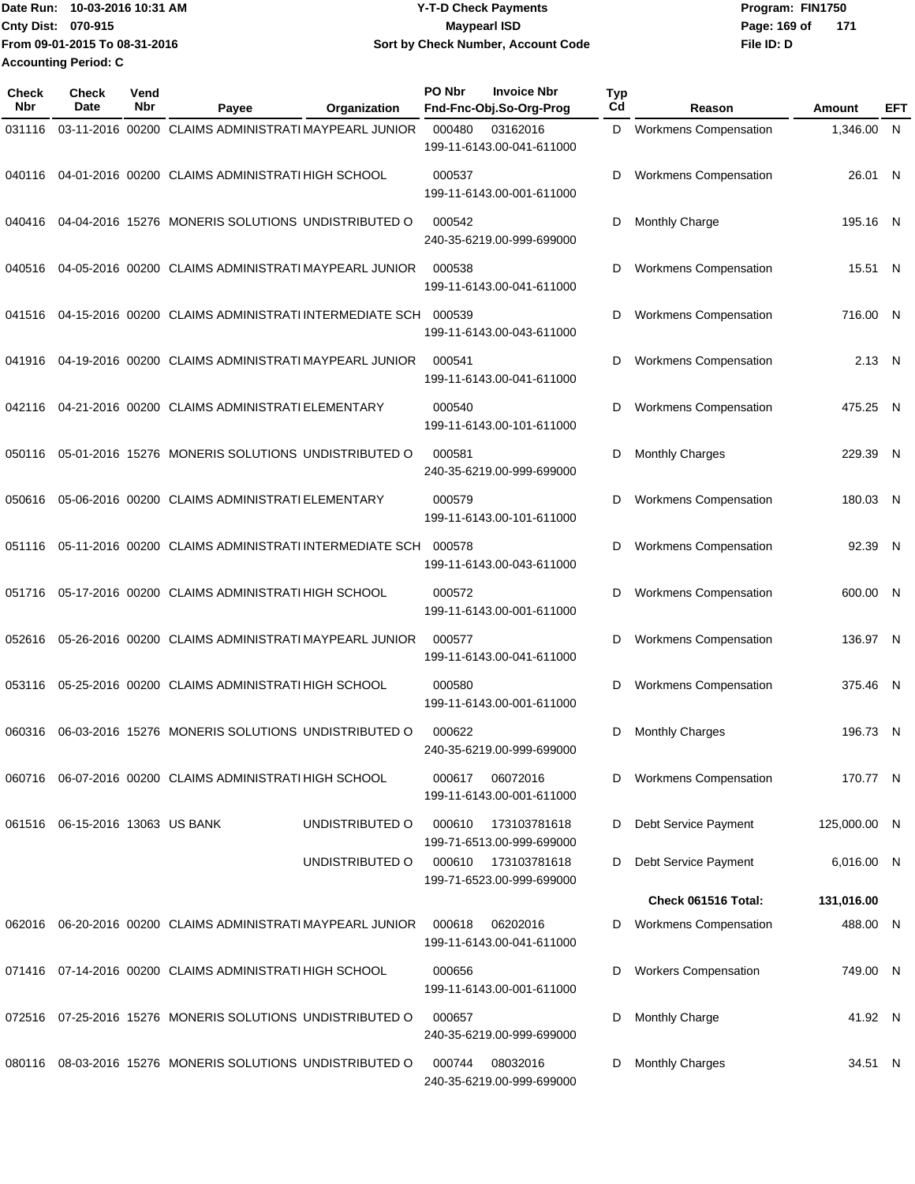**Date Run: Program: FIN1750 Cnty Dist: 070-915 From 09-01-2015 To 08-31-2016 10-03-2016 10:31 AM Y-T-D Check Payments 070-915 Maypearl ISD Sort by Check Number, Account Code Accounting Period: C**

**File ID: D** Page: 169 of 171

| <b>Check</b><br>Nbr | Check<br>Date                   | Vend<br>Nbr | Payee                                                     | Organization    | PO Nbr | <b>Invoice Nbr</b><br>Fnd-Fnc-Obj.So-Org-Prog | <b>Typ</b><br>Cd | Reason                       | Amount       | EFT |
|---------------------|---------------------------------|-------------|-----------------------------------------------------------|-----------------|--------|-----------------------------------------------|------------------|------------------------------|--------------|-----|
| 031116              |                                 |             | 03-11-2016 00200 CLAIMS ADMINISTRATI MAYPEARL JUNIOR      |                 | 000480 | 03162016<br>199-11-6143.00-041-611000         | D                | <b>Workmens Compensation</b> | 1,346.00 N   |     |
| 040116              |                                 |             | 04-01-2016 00200 CLAIMS ADMINISTRATI HIGH SCHOOL          |                 | 000537 | 199-11-6143.00-001-611000                     | D                | <b>Workmens Compensation</b> | 26.01 N      |     |
| 040416              |                                 |             | 04-04-2016 15276 MONERIS SOLUTIONS UNDISTRIBUTED O        |                 | 000542 | 240-35-6219.00-999-699000                     | D                | <b>Monthly Charge</b>        | 195.16 N     |     |
| 040516              |                                 |             | 04-05-2016 00200 CLAIMS ADMINISTRATI MAYPEARL JUNIOR      |                 | 000538 | 199-11-6143.00-041-611000                     | D                | Workmens Compensation        | 15.51 N      |     |
| 041516              |                                 |             | 04-15-2016 00200 CLAIMS ADMINISTRATI INTERMEDIATE SCH     |                 | 000539 | 199-11-6143.00-043-611000                     | D                | Workmens Compensation        | 716.00 N     |     |
| 041916              |                                 |             | 04-19-2016 00200 CLAIMS ADMINISTRATI MAYPEARL JUNIOR      |                 | 000541 | 199-11-6143.00-041-611000                     | D                | <b>Workmens Compensation</b> | 2.13 N       |     |
| 042116              |                                 |             | 04-21-2016 00200 CLAIMS ADMINISTRATI ELEMENTARY           |                 | 000540 | 199-11-6143.00-101-611000                     | D                | <b>Workmens Compensation</b> | 475.25 N     |     |
| 050116              |                                 |             | 05-01-2016 15276 MONERIS SOLUTIONS UNDISTRIBUTED O        |                 | 000581 | 240-35-6219.00-999-699000                     | D                | <b>Monthly Charges</b>       | 229.39 N     |     |
| 050616              |                                 |             | 05-06-2016 00200 CLAIMS ADMINISTRATI ELEMENTARY           |                 | 000579 | 199-11-6143.00-101-611000                     | D                | <b>Workmens Compensation</b> | 180.03 N     |     |
| 051116              |                                 |             | 05-11-2016 00200 CLAIMS ADMINISTRATI INTERMEDIATE SCH     |                 | 000578 | 199-11-6143.00-043-611000                     | D                | <b>Workmens Compensation</b> | 92.39 N      |     |
| 051716              |                                 |             | 05-17-2016 00200 CLAIMS ADMINISTRATI HIGH SCHOOL          |                 | 000572 | 199-11-6143.00-001-611000                     | D                | <b>Workmens Compensation</b> | 600.00 N     |     |
| 052616              |                                 |             | 05-26-2016 00200 CLAIMS ADMINISTRATI MAYPEARL JUNIOR      |                 | 000577 | 199-11-6143.00-041-611000                     | D                | <b>Workmens Compensation</b> | 136.97 N     |     |
| 053116              |                                 |             | 05-25-2016 00200 CLAIMS ADMINISTRATI HIGH SCHOOL          |                 | 000580 | 199-11-6143.00-001-611000                     | D                | <b>Workmens Compensation</b> | 375.46 N     |     |
| 060316              |                                 |             | 06-03-2016 15276 MONERIS SOLUTIONS UNDISTRIBUTED O        |                 | 000622 | 240-35-6219.00-999-699000                     | D                | <b>Monthly Charges</b>       | 196.73 N     |     |
|                     |                                 |             | 060716 06-07-2016 00200 CLAIMS ADMINISTRATI HIGH SCHOOL   |                 | 000617 | 06072016<br>199-11-6143.00-001-611000         | D                | <b>Workmens Compensation</b> | 170.77 N     |     |
|                     | 061516 06-15-2016 13063 US BANK |             |                                                           | UNDISTRIBUTED O | 000610 | 173103781618<br>199-71-6513.00-999-699000     | D                | Debt Service Payment         | 125,000.00 N |     |
|                     |                                 |             |                                                           | UNDISTRIBUTED O | 000610 | 173103781618<br>199-71-6523.00-999-699000     | D                | Debt Service Payment         | 6,016.00 N   |     |
|                     |                                 |             |                                                           |                 |        |                                               |                  | Check 061516 Total:          | 131,016.00   |     |
| 062016              |                                 |             | 06-20-2016 00200 CLAIMS ADMINISTRATI MAYPEARL JUNIOR      |                 | 000618 | 06202016<br>199-11-6143.00-041-611000         | D                | <b>Workmens Compensation</b> | 488.00 N     |     |
|                     |                                 |             | 071416 07-14-2016 00200 CLAIMS ADMINISTRATI HIGH SCHOOL   |                 | 000656 | 199-11-6143.00-001-611000                     | D                | <b>Workers Compensation</b>  | 749.00 N     |     |
|                     |                                 |             | 072516 07-25-2016 15276 MONERIS SOLUTIONS UNDISTRIBUTED O |                 | 000657 | 240-35-6219.00-999-699000                     | D                | Monthly Charge               | 41.92 N      |     |
| 080116              |                                 |             | 08-03-2016 15276 MONERIS SOLUTIONS UNDISTRIBUTED O        |                 | 000744 | 08032016<br>240-35-6219.00-999-699000         | D                | <b>Monthly Charges</b>       | 34.51 N      |     |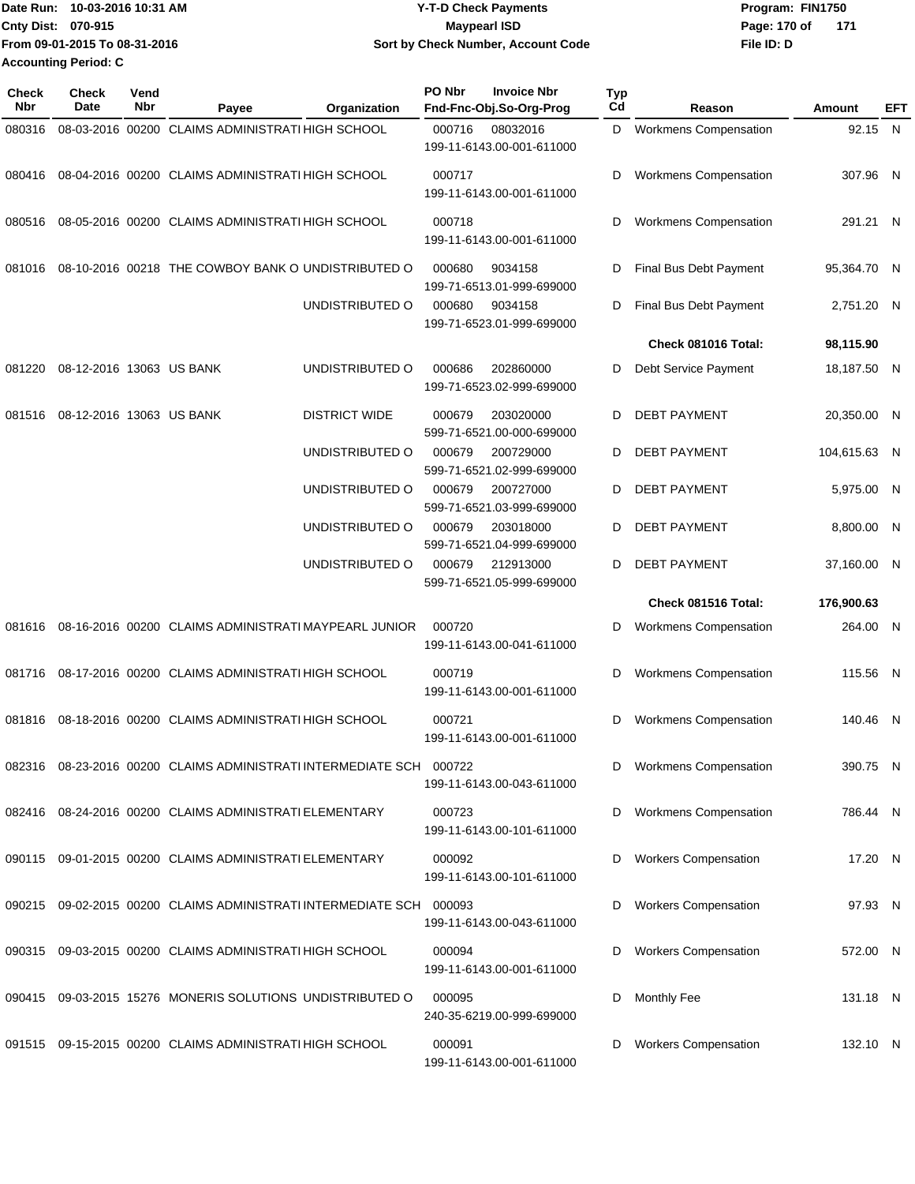| Date Run: 10-03-2016 10:31 AM |                               | <b>Y-T-D Check Payments</b>        | Program: FIN1750    |  |  |
|-------------------------------|-------------------------------|------------------------------------|---------------------|--|--|
| <b>Cnty Dist: 070-915</b>     |                               | <b>Mavpearl ISD</b>                | 171<br>Page: 170 of |  |  |
|                               | From 09-01-2015 To 08-31-2016 | Sort by Check Number, Account Code | File ID: D          |  |  |
| <b>Accounting Period: C</b>   |                               |                                    |                     |  |  |

| Check<br><b>Nbr</b> | <b>Check</b><br>Date     | Vend<br>Nbr | Payee                                                               | Organization         | PO Nbr | <b>Invoice Nbr</b><br>Fnd-Fnc-Obj.So-Org-Prog | <b>Typ</b><br>Cd | Reason                       | Amount       | EFT |
|---------------------|--------------------------|-------------|---------------------------------------------------------------------|----------------------|--------|-----------------------------------------------|------------------|------------------------------|--------------|-----|
| 080316              |                          |             | 08-03-2016 00200 CLAIMS ADMINISTRATI HIGH SCHOOL                    |                      | 000716 | 08032016<br>199-11-6143.00-001-611000         | D                | <b>Workmens Compensation</b> | 92.15 N      |     |
| 080416              |                          |             | 08-04-2016 00200 CLAIMS ADMINISTRATI HIGH SCHOOL                    |                      | 000717 | 199-11-6143.00-001-611000                     | D                | <b>Workmens Compensation</b> | 307.96 N     |     |
| 080516              |                          |             | 08-05-2016 00200 CLAIMS ADMINISTRATI HIGH SCHOOL                    |                      | 000718 | 199-11-6143.00-001-611000                     | D                | <b>Workmens Compensation</b> | 291.21 N     |     |
| 081016              |                          |             | 08-10-2016 00218 THE COWBOY BANK O UNDISTRIBUTED O                  |                      | 000680 | 9034158<br>199-71-6513.01-999-699000          | D                | Final Bus Debt Payment       | 95,364.70 N  |     |
|                     |                          |             |                                                                     | UNDISTRIBUTED O      | 000680 | 9034158<br>199-71-6523.01-999-699000          | D                | Final Bus Debt Payment       | 2,751.20 N   |     |
|                     |                          |             |                                                                     |                      |        |                                               |                  | Check 081016 Total:          | 98,115.90    |     |
| 081220              | 08-12-2016 13063 US BANK |             |                                                                     | UNDISTRIBUTED O      | 000686 | 202860000<br>199-71-6523.02-999-699000        | D                | Debt Service Payment         | 18,187.50 N  |     |
| 081516              | 08-12-2016 13063 US BANK |             |                                                                     | <b>DISTRICT WIDE</b> | 000679 | 203020000<br>599-71-6521.00-000-699000        | D                | <b>DEBT PAYMENT</b>          | 20,350.00 N  |     |
|                     |                          |             |                                                                     | UNDISTRIBUTED O      | 000679 | 200729000<br>599-71-6521.02-999-699000        | D                | <b>DEBT PAYMENT</b>          | 104,615.63 N |     |
|                     |                          |             |                                                                     | UNDISTRIBUTED O      | 000679 | 200727000<br>599-71-6521.03-999-699000        | D                | <b>DEBT PAYMENT</b>          | 5,975.00 N   |     |
|                     |                          |             |                                                                     | UNDISTRIBUTED O      | 000679 | 203018000<br>599-71-6521.04-999-699000        | D                | <b>DEBT PAYMENT</b>          | 8,800.00 N   |     |
|                     |                          |             |                                                                     | UNDISTRIBUTED O      | 000679 | 212913000<br>599-71-6521.05-999-699000        | D                | <b>DEBT PAYMENT</b>          | 37,160.00 N  |     |
|                     |                          |             |                                                                     |                      |        |                                               |                  | Check 081516 Total:          | 176,900.63   |     |
| 081616              |                          |             | 08-16-2016 00200 CLAIMS ADMINISTRATI MAYPEARL JUNIOR                |                      | 000720 | 199-11-6143.00-041-611000                     | D                | <b>Workmens Compensation</b> | 264.00 N     |     |
| 081716              |                          |             | 08-17-2016 00200 CLAIMS ADMINISTRATI HIGH SCHOOL                    |                      | 000719 | 199-11-6143.00-001-611000                     | D                | <b>Workmens Compensation</b> | 115.56 N     |     |
| 081816              |                          |             | 08-18-2016 00200 CLAIMS ADMINISTRATI HIGH SCHOOL                    |                      | 000721 | 199-11-6143.00-001-611000                     | D                | <b>Workmens Compensation</b> | 140.46 N     |     |
|                     |                          |             | 082316 08-23-2016 00200 CLAIMS ADMINISTRATI INTERMEDIATE SCH 000722 |                      |        | 199-11-6143.00-043-611000                     | D                | <b>Workmens Compensation</b> | 390.75 N     |     |
|                     |                          |             | 082416 08-24-2016 00200 CLAIMS ADMINISTRATI ELEMENTARY              |                      | 000723 | 199-11-6143.00-101-611000                     | D                | <b>Workmens Compensation</b> | 786.44 N     |     |
| 090115              |                          |             | 09-01-2015 00200 CLAIMS ADMINISTRATI ELEMENTARY                     |                      | 000092 | 199-11-6143.00-101-611000                     | D                | <b>Workers Compensation</b>  | 17.20 N      |     |
|                     |                          |             | 090215 09-02-2015 00200 CLAIMS ADMINISTRATI INTERMEDIATE SCH 000093 |                      |        | 199-11-6143.00-043-611000                     | D                | <b>Workers Compensation</b>  | 97.93 N      |     |
|                     |                          |             | 090315 09-03-2015 00200 CLAIMS ADMINISTRATI HIGH SCHOOL             |                      | 000094 | 199-11-6143.00-001-611000                     | D                | <b>Workers Compensation</b>  | 572.00 N     |     |
| 090415              |                          |             | 09-03-2015 15276 MONERIS SOLUTIONS UNDISTRIBUTED O                  |                      | 000095 | 240-35-6219.00-999-699000                     | D                | Monthly Fee                  | 131.18 N     |     |
|                     |                          |             | 091515 09-15-2015 00200 CLAIMS ADMINISTRATI HIGH SCHOOL             |                      | 000091 | 199-11-6143.00-001-611000                     | D                | <b>Workers Compensation</b>  | 132.10 N     |     |